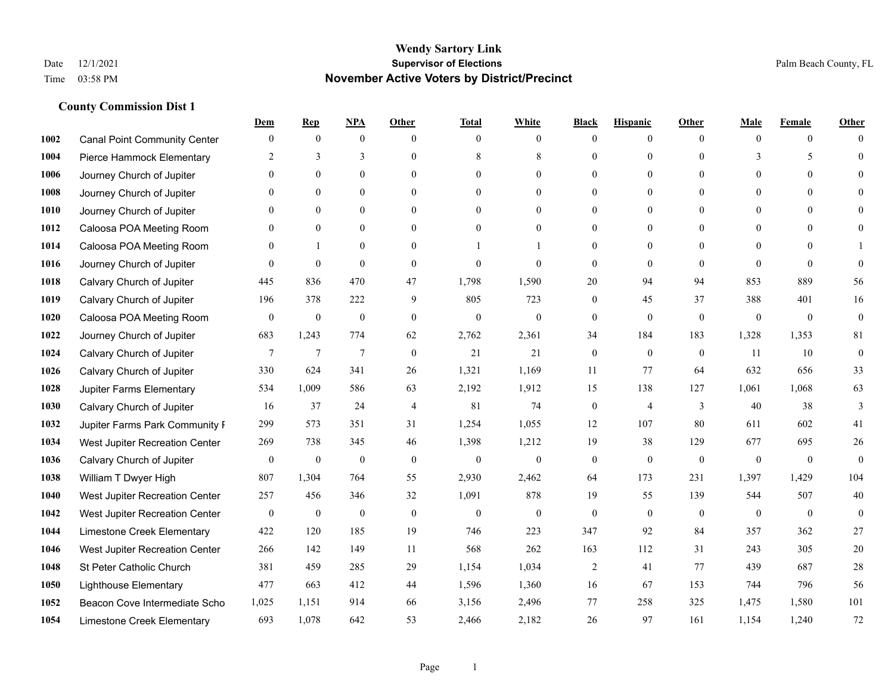|      |                                     | Dem              | <b>Rep</b>       | NPA              | <b>Other</b>   | <b>Total</b>     | <b>White</b>     | <b>Black</b>     | <b>Hispanic</b> | <b>Other</b> | <b>Male</b>  | <b>Female</b>  | <b>Other</b>     |
|------|-------------------------------------|------------------|------------------|------------------|----------------|------------------|------------------|------------------|-----------------|--------------|--------------|----------------|------------------|
| 1002 | <b>Canal Point Community Center</b> | $\mathbf{0}$     | $\mathbf{0}$     | $\boldsymbol{0}$ | $\theta$       | $\overline{0}$   | $\overline{0}$   | $\mathbf{0}$     | $\mathbf{0}$    | $\theta$     | $\theta$     | $\overline{0}$ | $\Omega$         |
| 1004 | Pierce Hammock Elementary           | 2                | 3                | 3                | $\theta$       | 8                | 8                | $\theta$         | $\mathbf{0}$    | $\Omega$     | 3            | 5              | $\theta$         |
| 1006 | Journey Church of Jupiter           | $\Omega$         | $\theta$         | $\theta$         | $\Omega$       | $\Omega$         | $\Omega$         | $\Omega$         | $\theta$        | $\Omega$     | $\Omega$     | $\Omega$       | $\Omega$         |
| 1008 | Journey Church of Jupiter           | $\mathbf{0}$     | $\mathbf{0}$     | $\mathbf{0}$     | $\mathbf{0}$   | $\theta$         | $\overline{0}$   | $\overline{0}$   | $\mathbf{0}$    | $\Omega$     | $\mathbf{0}$ | $\theta$       |                  |
| 1010 | Journey Church of Jupiter           | $\Omega$         | $\theta$         | $\mathbf{0}$     | $\theta$       | $\Omega$         | $\overline{0}$   | $\theta$         | $\mathbf{0}$    | $\Omega$     | $\theta$     | $\theta$       | $\Omega$         |
| 1012 | Caloosa POA Meeting Room            | $\theta$         | $\mathbf{0}$     | $\mathbf{0}$     | $\theta$       | $\theta$         | $\mathbf{0}$     | $\theta$         | $\mathbf{0}$    | $\Omega$     | $\mathbf{0}$ | $\Omega$       | $\Omega$         |
| 1014 | Caloosa POA Meeting Room            | $\mathbf{0}$     | $\mathbf{1}$     | $\mathbf{0}$     | $\mathbf{0}$   |                  |                  | $\mathbf{0}$     | $\mathbf{0}$    | $\Omega$     | $\mathbf{0}$ | $\theta$       |                  |
| 1016 | Journey Church of Jupiter           | $\Omega$         | $\mathbf{0}$     | $\theta$         | $\theta$       | $\theta$         | $\theta$         | $\theta$         | $\theta$        | $\Omega$     | $\Omega$     | $\Omega$       | $\theta$         |
| 1018 | Calvary Church of Jupiter           | 445              | 836              | 470              | 47             | 1,798            | 1,590            | 20               | 94              | 94           | 853          | 889            | 56               |
| 1019 | Calvary Church of Jupiter           | 196              | 378              | 222              | 9              | 805              | 723              | $\mathbf{0}$     | 45              | 37           | 388          | 401            | 16               |
| 1020 | Caloosa POA Meeting Room            | $\mathbf{0}$     | $\boldsymbol{0}$ | $\boldsymbol{0}$ | $\theta$       | $\mathbf{0}$     | $\mathbf{0}$     | $\mathbf{0}$     | $\mathbf{0}$    | $\mathbf{0}$ | $\mathbf{0}$ | $\overline{0}$ | $\boldsymbol{0}$ |
| 1022 | Journey Church of Jupiter           | 683              | 1,243            | 774              | 62             | 2,762            | 2,361            | 34               | 184             | 183          | 1,328        | 1,353          | $81\,$           |
| 1024 | Calvary Church of Jupiter           | $7\phantom{.0}$  | $\overline{7}$   | $\overline{7}$   | $\theta$       | 21               | 21               | $\mathbf{0}$     | $\mathbf{0}$    | $\theta$     | 11           | 10             | $\boldsymbol{0}$ |
| 1026 | Calvary Church of Jupiter           | 330              | 624              | 341              | 26             | 1,321            | 1,169            | 11               | 77              | 64           | 632          | 656            | 33               |
| 1028 | Jupiter Farms Elementary            | 534              | 1,009            | 586              | 63             | 2,192            | 1,912            | 15               | 138             | 127          | 1,061        | 1,068          | 63               |
| 1030 | Calvary Church of Jupiter           | 16               | 37               | 24               | $\overline{4}$ | 81               | 74               | $\boldsymbol{0}$ | $\overline{4}$  | 3            | 40           | 38             | 3                |
| 1032 | Jupiter Farms Park Community F      | 299              | 573              | 351              | 31             | 1,254            | 1,055            | 12               | 107             | 80           | 611          | 602            | 41               |
| 1034 | West Jupiter Recreation Center      | 269              | 738              | 345              | 46             | 1,398            | 1,212            | 19               | 38              | 129          | 677          | 695            | $26\,$           |
| 1036 | Calvary Church of Jupiter           | $\boldsymbol{0}$ | $\boldsymbol{0}$ | $\boldsymbol{0}$ | $\mathbf{0}$   | $\boldsymbol{0}$ | $\boldsymbol{0}$ | $\boldsymbol{0}$ | $\mathbf{0}$    | $\mathbf{0}$ | $\mathbf{0}$ | $\mathbf{0}$   | $\mathbf{0}$     |
| 1038 | William T Dwyer High                | 807              | 1,304            | 764              | 55             | 2,930            | 2,462            | 64               | 173             | 231          | 1,397        | 1,429          | 104              |
| 1040 | West Jupiter Recreation Center      | 257              | 456              | 346              | 32             | 1,091            | 878              | 19               | 55              | 139          | 544          | 507            | 40               |
| 1042 | West Jupiter Recreation Center      | $\boldsymbol{0}$ | $\boldsymbol{0}$ | $\boldsymbol{0}$ | $\mathbf{0}$   | $\boldsymbol{0}$ | $\mathbf{0}$     | $\boldsymbol{0}$ | $\mathbf{0}$    | $\mathbf{0}$ | $\mathbf{0}$ | $\mathbf{0}$   | $\mathbf{0}$     |
| 1044 | Limestone Creek Elementary          | 422              | 120              | 185              | 19             | 746              | 223              | 347              | 92              | 84           | 357          | 362            | 27               |
| 1046 | West Jupiter Recreation Center      | 266              | 142              | 149              | 11             | 568              | 262              | 163              | 112             | 31           | 243          | 305            | 20               |
| 1048 | St Peter Catholic Church            | 381              | 459              | 285              | 29             | 1,154            | 1,034            | $\overline{c}$   | 41              | 77           | 439          | 687            | $28\,$           |
| 1050 | <b>Lighthouse Elementary</b>        | 477              | 663              | 412              | 44             | 1,596            | 1,360            | 16               | 67              | 153          | 744          | 796            | 56               |
| 1052 | Beacon Cove Intermediate Scho       | 1,025            | 1,151            | 914              | 66             | 3,156            | 2,496            | 77               | 258             | 325          | 1,475        | 1,580          | 101              |
| 1054 | Limestone Creek Elementary          | 693              | 1,078            | 642              | 53             | 2,466            | 2,182            | 26               | 97              | 161          | 1,154        | 1,240          | 72               |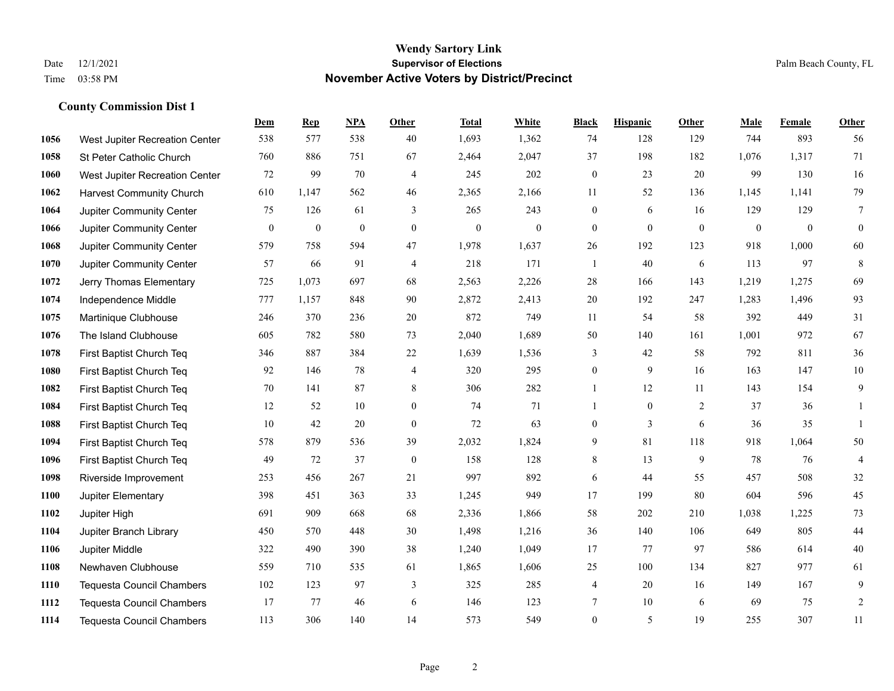|      |                                  | Dem              | <b>Rep</b>       | NPA              | <b>Other</b>   | <b>Total</b>     | <b>White</b>     | <b>Black</b>     | <b>Hispanic</b> | <b>Other</b>     | <b>Male</b>  | <b>Female</b> | <b>Other</b>     |
|------|----------------------------------|------------------|------------------|------------------|----------------|------------------|------------------|------------------|-----------------|------------------|--------------|---------------|------------------|
| 1056 | West Jupiter Recreation Center   | 538              | 577              | 538              | 40             | 1,693            | 1,362            | 74               | 128             | 129              | 744          | 893           | 56               |
| 1058 | St Peter Catholic Church         | 760              | 886              | 751              | 67             | 2,464            | 2,047            | 37               | 198             | 182              | 1,076        | 1,317         | 71               |
| 1060 | West Jupiter Recreation Center   | 72               | 99               | 70               | 4              | 245              | 202              | $\boldsymbol{0}$ | 23              | 20               | 99           | 130           | 16               |
| 1062 | <b>Harvest Community Church</b>  | 610              | 1,147            | 562              | 46             | 2,365            | 2,166            | 11               | 52              | 136              | 1,145        | 1,141         | 79               |
| 1064 | Jupiter Community Center         | 75               | 126              | 61               | 3              | 265              | 243              | $\boldsymbol{0}$ | 6               | 16               | 129          | 129           | $\overline{7}$   |
| 1066 | Jupiter Community Center         | $\boldsymbol{0}$ | $\boldsymbol{0}$ | $\boldsymbol{0}$ | $\overline{0}$ | $\boldsymbol{0}$ | $\boldsymbol{0}$ | $\mathbf{0}$     | $\mathbf{0}$    | $\boldsymbol{0}$ | $\mathbf{0}$ | $\mathbf{0}$  | $\boldsymbol{0}$ |
| 1068 | Jupiter Community Center         | 579              | 758              | 594              | 47             | 1,978            | 1,637            | 26               | 192             | 123              | 918          | 1,000         | 60               |
| 1070 | Jupiter Community Center         | 57               | 66               | 91               | $\overline{4}$ | 218              | 171              | 1                | 40              | 6                | 113          | 97            | 8                |
| 1072 | Jerry Thomas Elementary          | 725              | 1,073            | 697              | 68             | 2,563            | 2,226            | 28               | 166             | 143              | 1,219        | 1,275         | 69               |
| 1074 | Independence Middle              | 777              | 1,157            | 848              | 90             | 2,872            | 2,413            | 20               | 192             | 247              | 1,283        | 1,496         | 93               |
| 1075 | Martinique Clubhouse             | 246              | 370              | 236              | 20             | 872              | 749              | 11               | 54              | 58               | 392          | 449           | 31               |
| 1076 | The Island Clubhouse             | 605              | 782              | 580              | 73             | 2,040            | 1,689            | 50               | 140             | 161              | 1,001        | 972           | 67               |
| 1078 | First Baptist Church Teq         | 346              | 887              | 384              | 22             | 1,639            | 1,536            | 3                | 42              | 58               | 792          | 811           | 36               |
| 1080 | First Baptist Church Teq         | 92               | 146              | 78               | $\overline{4}$ | 320              | 295              | $\boldsymbol{0}$ | 9               | 16               | 163          | 147           | $10\,$           |
| 1082 | First Baptist Church Teq         | 70               | 141              | 87               | 8              | 306              | 282              | 1                | 12              | 11               | 143          | 154           | 9                |
| 1084 | First Baptist Church Teq         | 12               | 52               | 10               | $\overline{0}$ | 74               | 71               | $\mathbf{1}$     | $\mathbf{0}$    | 2                | 37           | 36            | 1                |
| 1088 | First Baptist Church Teq         | 10               | 42               | 20               | $\mathbf{0}$   | 72               | 63               | $\boldsymbol{0}$ | 3               | 6                | 36           | 35            | $\mathbf{1}$     |
| 1094 | First Baptist Church Teq         | 578              | 879              | 536              | 39             | 2,032            | 1,824            | 9                | 81              | 118              | 918          | 1,064         | 50               |
| 1096 | First Baptist Church Teq         | 49               | 72               | 37               | $\mathbf{0}$   | 158              | 128              | 8                | 13              | 9                | 78           | 76            | $\overline{4}$   |
| 1098 | Riverside Improvement            | 253              | 456              | 267              | 21             | 997              | 892              | $\sqrt{6}$       | 44              | 55               | 457          | 508           | 32               |
| 1100 | Jupiter Elementary               | 398              | 451              | 363              | 33             | 1,245            | 949              | 17               | 199             | 80               | 604          | 596           | 45               |
| 1102 | Jupiter High                     | 691              | 909              | 668              | 68             | 2,336            | 1,866            | 58               | 202             | 210              | 1,038        | 1,225         | 73               |
| 1104 | Jupiter Branch Library           | 450              | 570              | 448              | 30             | 1,498            | 1,216            | 36               | 140             | 106              | 649          | 805           | $44\,$           |
| 1106 | Jupiter Middle                   | 322              | 490              | 390              | 38             | 1,240            | 1,049            | 17               | 77              | 97               | 586          | 614           | $40\,$           |
| 1108 | Newhaven Clubhouse               | 559              | 710              | 535              | 61             | 1,865            | 1,606            | 25               | 100             | 134              | 827          | 977           | 61               |
| 1110 | <b>Tequesta Council Chambers</b> | 102              | 123              | 97               | 3              | 325              | 285              | 4                | 20              | 16               | 149          | 167           | 9                |
| 1112 | <b>Tequesta Council Chambers</b> | 17               | 77               | 46               | 6              | 146              | 123              | 7                | 10              | 6                | 69           | 75            | $\overline{c}$   |
| 1114 | <b>Tequesta Council Chambers</b> | 113              | 306              | 140              | 14             | 573              | 549              | $\overline{0}$   | 5               | 19               | 255          | 307           | 11               |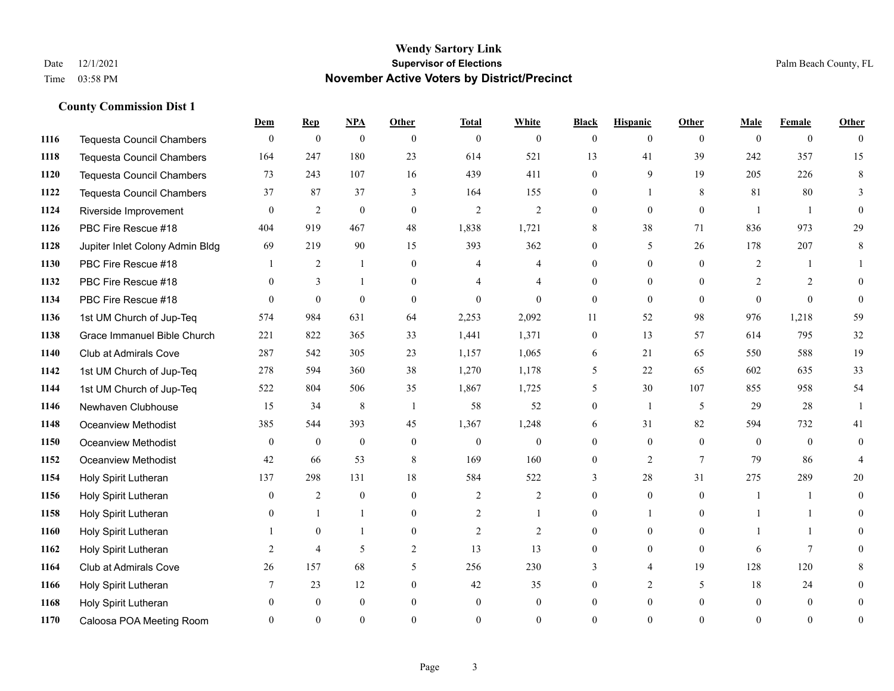|      |                                  | Dem            | <b>Rep</b>       | NPA              | <b>Other</b>   | <b>Total</b>   | <b>White</b>   | <b>Black</b>   | <b>Hispanic</b> | <b>Other</b> | <b>Male</b>    | <b>Female</b>  | <b>Other</b>   |
|------|----------------------------------|----------------|------------------|------------------|----------------|----------------|----------------|----------------|-----------------|--------------|----------------|----------------|----------------|
| 1116 | <b>Tequesta Council Chambers</b> | $\mathbf{0}$   | $\boldsymbol{0}$ | $\boldsymbol{0}$ | $\theta$       | $\mathbf{0}$   | $\overline{0}$ | $\overline{0}$ | $\overline{0}$  | $\theta$     | $\theta$       | $\overline{0}$ | $\theta$       |
| 1118 | <b>Tequesta Council Chambers</b> | 164            | 247              | 180              | 23             | 614            | 521            | 13             | 41              | 39           | 242            | 357            | 15             |
| 1120 | <b>Tequesta Council Chambers</b> | 73             | 243              | 107              | 16             | 439            | 411            | $\Omega$       | 9               | 19           | 205            | 226            | 8              |
| 1122 | Tequesta Council Chambers        | 37             | 87               | 37               | 3              | 164            | 155            | 0              | 1               | 8            | 81             | 80             | 3              |
| 1124 | Riverside Improvement            | $\theta$       | 2                | $\mathbf{0}$     | $\theta$       | $\overline{2}$ | $\overline{2}$ | 0              | $\overline{0}$  | $\theta$     | $\overline{1}$ | $\overline{1}$ | $\Omega$       |
| 1126 | PBC Fire Rescue #18              | 404            | 919              | 467              | 48             | 1,838          | 1,721          | 8              | 38              | 71           | 836            | 973            | 29             |
| 1128 | Jupiter Inlet Colony Admin Bldg  | 69             | 219              | 90               | 15             | 393            | 362            | $\overline{0}$ | 5               | 26           | 178            | 207            | 8              |
| 1130 | PBC Fire Rescue #18              |                | 2                | $\mathbf{1}$     | $\theta$       | 4              | 4              | $\theta$       | $\overline{0}$  | $\Omega$     | 2              |                |                |
| 1132 | PBC Fire Rescue #18              | $\theta$       | $\overline{3}$   |                  | $\theta$       |                | 4              | 0              | $\overline{0}$  | $\theta$     | $\overline{2}$ | 2              | $\Omega$       |
| 1134 | PBC Fire Rescue #18              | $\theta$       | $\theta$         | $\theta$         | $\theta$       | $\theta$       | $\overline{0}$ | $\overline{0}$ | $\overline{0}$  | $\theta$     | $\Omega$       | $\theta$       | $\theta$       |
| 1136 | 1st UM Church of Jup-Teq         | 574            | 984              | 631              | 64             | 2,253          | 2,092          | 11             | 52              | 98           | 976            | 1,218          | 59             |
| 1138 | Grace Immanuel Bible Church      | 221            | 822              | 365              | 33             | 1,441          | 1,371          | $\overline{0}$ | 13              | 57           | 614            | 795            | 32             |
| 1140 | Club at Admirals Cove            | 287            | 542              | 305              | 23             | 1,157          | 1,065          | 6              | 21              | 65           | 550            | 588            | 19             |
| 1142 | 1st UM Church of Jup-Teq         | 278            | 594              | 360              | 38             | 1,270          | 1,178          | 5              | 22              | 65           | 602            | 635            | 33             |
| 1144 | 1st UM Church of Jup-Teq         | 522            | 804              | 506              | 35             | 1,867          | 1,725          | 5              | 30              | 107          | 855            | 958            | 54             |
| 1146 | Newhaven Clubhouse               | 15             | 34               | $\,$ 8 $\,$      | $\overline{1}$ | 58             | 52             | $\overline{0}$ | $\mathbf{1}$    | 5            | 29             | 28             | $\mathbf{1}$   |
| 1148 | <b>Oceanview Methodist</b>       | 385            | 544              | 393              | 45             | 1,367          | 1,248          | 6              | 31              | 82           | 594            | 732            | 41             |
| 1150 | Oceanview Methodist              | $\mathbf{0}$   | $\mathbf{0}$     | $\boldsymbol{0}$ | $\mathbf{0}$   | $\mathbf{0}$   | 0              | 0              | $\overline{0}$  | $\theta$     | $\theta$       | $\theta$       | $\overline{0}$ |
| 1152 | Oceanview Methodist              | 42             | 66               | 53               | 8              | 169            | 160            | $\overline{0}$ | $\overline{2}$  | $\tau$       | 79             | 86             | $\overline{4}$ |
| 1154 | Holy Spirit Lutheran             | 137            | 298              | 131              | 18             | 584            | 522            | 3              | 28              | 31           | 275            | 289            | 20             |
| 1156 | Holy Spirit Lutheran             | $\theta$       | 2                | $\theta$         | $\theta$       | 2              | $\overline{2}$ | $\Omega$       | $\overline{0}$  | $\Omega$     | $\overline{1}$ |                | $\Omega$       |
| 1158 | Holy Spirit Lutheran             | $\overline{0}$ | $\mathbf{1}$     |                  | $\overline{0}$ | $\overline{c}$ | $\mathbf{1}$   | 0              | 1               | $\theta$     |                |                | 0              |
| 1160 | Holy Spirit Lutheran             |                | $\mathbf{0}$     |                  | $\overline{0}$ | $\overline{2}$ | $\overline{2}$ | 0              | $\overline{0}$  | $\theta$     |                |                | 0              |
| 1162 | Holy Spirit Lutheran             | 2              | $\overline{4}$   | 5                | $\overline{2}$ | 13             | 13             | $\Omega$       | $\Omega$        | $\theta$     | 6              | $\tau$         | 0              |
| 1164 | Club at Admirals Cove            | 26             | 157              | 68               | 5              | 256            | 230            | 3              | $\overline{4}$  | 19           | 128            | 120            | 8              |
| 1166 | Holy Spirit Lutheran             | 7              | 23               | 12               | $\overline{0}$ | 42             | 35             | 0              | 2               | 5            | 18             | 24             | 0              |
| 1168 | Holy Spirit Lutheran             | 0              | $\mathbf{0}$     | $\mathbf{0}$     | $\theta$       | $\theta$       | $\overline{0}$ | $\theta$       | $\overline{0}$  | $\theta$     | $\theta$       | $\theta$       | 0              |
| 1170 | Caloosa POA Meeting Room         | $\Omega$       | $\Omega$         | $\Omega$         | $\Omega$       | $\Omega$       | $\Omega$       | $\Omega$       | $\Omega$        | $\Omega$     | $\Omega$       | $\Omega$       | $\overline{0}$ |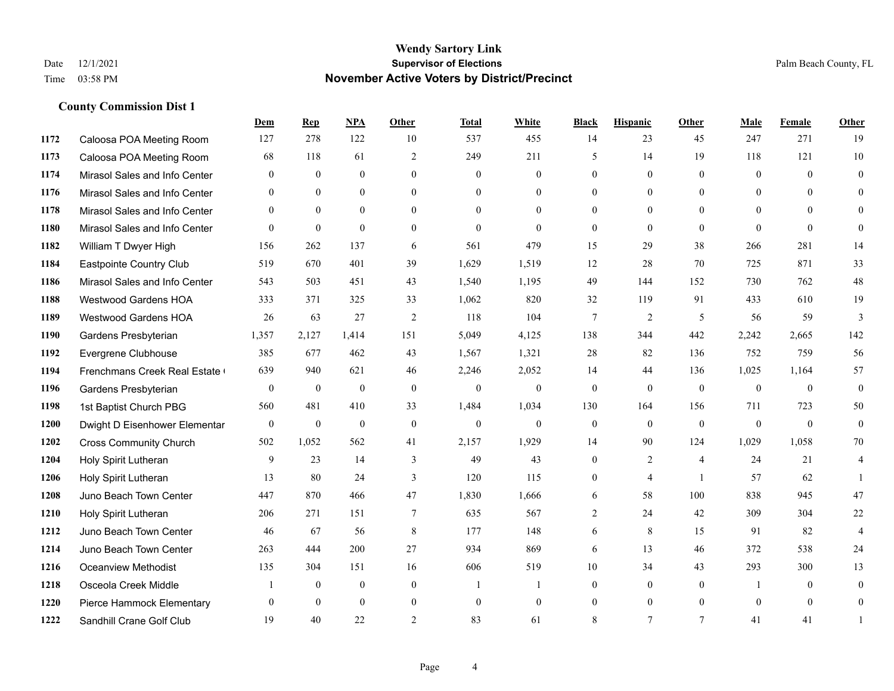|      |                               | Dem            | <b>Rep</b>       | NPA          | <b>Other</b>    | <b>Total</b> | <b>White</b>   | <b>Black</b>     | <b>Hispanic</b> | <b>Other</b>   | <b>Male</b>  | Female       | <b>Other</b>     |
|------|-------------------------------|----------------|------------------|--------------|-----------------|--------------|----------------|------------------|-----------------|----------------|--------------|--------------|------------------|
| 1172 | Caloosa POA Meeting Room      | 127            | 278              | 122          | 10              | 537          | 455            | 14               | 23              | 45             | 247          | 271          | 19               |
| 1173 | Caloosa POA Meeting Room      | 68             | 118              | 61           | 2               | 249          | 211            | 5                | 14              | 19             | 118          | 121          | 10               |
| 1174 | Mirasol Sales and Info Center | $\mathbf{0}$   | $\mathbf{0}$     | $\mathbf{0}$ | $\theta$        | $\mathbf{0}$ | $\mathbf{0}$   | $\mathbf{0}$     | $\mathbf{0}$    | $\theta$       | $\mathbf{0}$ | $\theta$     | $\mathbf{0}$     |
| 1176 | Mirasol Sales and Info Center | $\mathbf{0}$   | $\mathbf{0}$     | $\mathbf{0}$ | $\overline{0}$  | $\mathbf{0}$ | $\overline{0}$ | $\mathbf{0}$     | $\mathbf{0}$    | $\overline{0}$ | $\mathbf{0}$ | $\theta$     | $\theta$         |
| 1178 | Mirasol Sales and Info Center | $\theta$       | $\theta$         | $\theta$     | $\Omega$        | $\Omega$     | $\Omega$       | $\theta$         | $\theta$        | $\Omega$       | $\theta$     | $\Omega$     | $\theta$         |
| 1180 | Mirasol Sales and Info Center | $\overline{0}$ | $\boldsymbol{0}$ | $\mathbf{0}$ | $\mathbf{0}$    | $\mathbf{0}$ | $\mathbf{0}$   | $\mathbf{0}$     | $\mathbf{0}$    | $\theta$       | $\mathbf{0}$ | $\mathbf{0}$ | $\mathbf{0}$     |
| 1182 | William T Dwyer High          | 156            | 262              | 137          | 6               | 561          | 479            | 15               | 29              | 38             | 266          | 281          | 14               |
| 1184 | Eastpointe Country Club       | 519            | 670              | 401          | 39              | 1,629        | 1,519          | 12               | 28              | 70             | 725          | 871          | 33               |
| 1186 | Mirasol Sales and Info Center | 543            | 503              | 451          | 43              | 1,540        | 1,195          | 49               | 144             | 152            | 730          | 762          | 48               |
| 1188 | <b>Westwood Gardens HOA</b>   | 333            | 371              | 325          | 33              | 1,062        | 820            | 32               | 119             | 91             | 433          | 610          | 19               |
| 1189 | <b>Westwood Gardens HOA</b>   | 26             | 63               | 27           | 2               | 118          | 104            | $\tau$           | $\overline{2}$  | 5              | 56           | 59           | 3                |
| 1190 | Gardens Presbyterian          | 1,357          | 2,127            | 1,414        | 151             | 5,049        | 4,125          | 138              | 344             | 442            | 2,242        | 2,665        | 142              |
| 1192 | Evergrene Clubhouse           | 385            | 677              | 462          | 43              | 1,567        | 1,321          | 28               | 82              | 136            | 752          | 759          | 56               |
| 1194 | Frenchmans Creek Real Estate  | 639            | 940              | 621          | 46              | 2,246        | 2,052          | 14               | 44              | 136            | 1,025        | 1,164        | 57               |
| 1196 | Gardens Presbyterian          | $\mathbf{0}$   | $\mathbf{0}$     | $\mathbf{0}$ | $\theta$        | $\mathbf{0}$ | $\overline{0}$ | $\mathbf{0}$     | $\mathbf{0}$    | $\theta$       | $\mathbf{0}$ | $\theta$     | $\mathbf{0}$     |
| 1198 | 1st Baptist Church PBG        | 560            | 481              | 410          | 33              | 1,484        | 1,034          | 130              | 164             | 156            | 711          | 723          | 50               |
| 1200 | Dwight D Eisenhower Elementar | $\overline{0}$ | $\mathbf{0}$     | $\mathbf{0}$ | $\mathbf{0}$    | $\mathbf{0}$ | $\overline{0}$ | $\boldsymbol{0}$ | $\mathbf{0}$    | $\mathbf{0}$   | $\mathbf{0}$ | $\theta$     | $\mathbf{0}$     |
| 1202 | <b>Cross Community Church</b> | 502            | 1.052            | 562          | 41              | 2,157        | 1,929          | 14               | 90              | 124            | 1,029        | 1,058        | 70               |
| 1204 | Holy Spirit Lutheran          | 9              | 23               | 14           | 3               | 49           | 43             | $\boldsymbol{0}$ | $\overline{2}$  | $\overline{4}$ | 24           | 21           | 4                |
| 1206 | Holy Spirit Lutheran          | 13             | 80               | 24           | 3               | 120          | 115            | $\mathbf{0}$     | $\overline{4}$  | $\overline{1}$ | 57           | 62           | -1               |
| 1208 | Juno Beach Town Center        | 447            | 870              | 466          | 47              | 1,830        | 1,666          | 6                | 58              | 100            | 838          | 945          | 47               |
| 1210 | Holy Spirit Lutheran          | 206            | 271              | 151          | $7\phantom{.0}$ | 635          | 567            | $\overline{c}$   | 24              | 42             | 309          | 304          | $22\,$           |
| 1212 | Juno Beach Town Center        | 46             | 67               | 56           | 8               | 177          | 148            | 6                | 8               | 15             | 91           | 82           | $\overline{4}$   |
| 1214 | Juno Beach Town Center        | 263            | 444              | 200          | 27              | 934          | 869            | 6                | 13              | 46             | 372          | 538          | 24               |
| 1216 | <b>Oceanview Methodist</b>    | 135            | 304              | 151          | 16              | 606          | 519            | 10               | 34              | 43             | 293          | 300          | 13               |
| 1218 | Osceola Creek Middle          |                | $\mathbf{0}$     | $\mathbf{0}$ | $\mathbf{0}$    | -1           | 1              | $\mathbf{0}$     | $\mathbf{0}$    | $\theta$       |              | $\theta$     | $\boldsymbol{0}$ |
| 1220 | Pierce Hammock Elementary     | $\theta$       | $\theta$         | $\mathbf{0}$ | $\mathbf{0}$    | $\mathbf{0}$ | $\overline{0}$ | $\mathbf{0}$     | $\mathbf{0}$    | $\overline{0}$ | $\theta$     | $\theta$     | $\mathbf{0}$     |
| 1222 | Sandhill Crane Golf Club      | 19             | 40               | 22           | $\overline{c}$  | 83           | 61             | 8                | $\overline{7}$  | $\tau$         | 41           | 41           | 1                |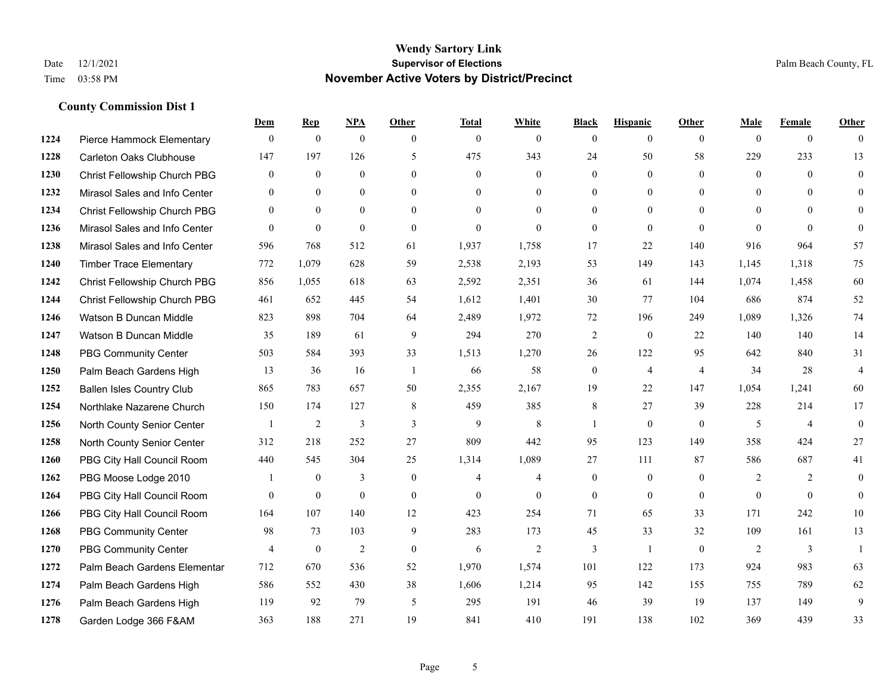|      |                                  | Dem            | <b>Rep</b>     | NPA              | <b>Other</b>   | <b>Total</b>   | <b>White</b>   | <b>Black</b>     | <b>Hispanic</b>  | <b>Other</b>   | <b>Male</b>    | <b>Female</b>  | <b>Other</b>            |
|------|----------------------------------|----------------|----------------|------------------|----------------|----------------|----------------|------------------|------------------|----------------|----------------|----------------|-------------------------|
| 1224 | Pierce Hammock Elementary        | $\mathbf{0}$   | $\theta$       | $\boldsymbol{0}$ | $\theta$       | $\mathbf{0}$   | $\overline{0}$ | $\mathbf{0}$     | $\mathbf{0}$     | $\theta$       | $\theta$       | $\overline{0}$ | $\Omega$                |
| 1228 | Carleton Oaks Clubhouse          | 147            | 197            | 126              | 5              | 475            | 343            | 24               | 50               | 58             | 229            | 233            | 13                      |
| 1230 | Christ Fellowship Church PBG     | $\theta$       | $\mathbf{0}$   | $\theta$         | $\Omega$       | $\theta$       | $\Omega$       | $\theta$         | $\theta$         | $\Omega$       | $\Omega$       | $\Omega$       | $\theta$                |
| 1232 | Mirasol Sales and Info Center    | $\mathbf{0}$   | $\mathbf{0}$   | $\mathbf{0}$     | $\overline{0}$ | $\mathbf{0}$   | $\overline{0}$ | $\boldsymbol{0}$ | $\boldsymbol{0}$ | $\overline{0}$ | $\mathbf{0}$   | $\Omega$       | $\Omega$                |
| 1234 | Christ Fellowship Church PBG     | $\theta$       | $\theta$       | $\Omega$         | $\theta$       | $\Omega$       | $\Omega$       | $\mathbf{0}$     | $\mathbf{0}$     | $\Omega$       | $\theta$       | $\theta$       | $\theta$                |
| 1236 | Mirasol Sales and Info Center    | $\theta$       | $\mathbf{0}$   | $\mathbf{0}$     | $\theta$       | $\mathbf{0}$   | $\Omega$       | $\mathbf{0}$     | $\mathbf{0}$     | $\Omega$       | $\Omega$       | $\theta$       | $\theta$                |
| 1238 | Mirasol Sales and Info Center    | 596            | 768            | 512              | 61             | 1,937          | 1,758          | 17               | 22               | 140            | 916            | 964            | 57                      |
| 1240 | <b>Timber Trace Elementary</b>   | 772            | 1,079          | 628              | 59             | 2,538          | 2,193          | 53               | 149              | 143            | 1,145          | 1,318          | 75                      |
| 1242 | Christ Fellowship Church PBG     | 856            | 1,055          | 618              | 63             | 2,592          | 2,351          | 36               | 61               | 144            | 1,074          | 1,458          | 60                      |
| 1244 | Christ Fellowship Church PBG     | 461            | 652            | 445              | 54             | 1,612          | 1,401          | 30               | 77               | 104            | 686            | 874            | 52                      |
| 1246 | Watson B Duncan Middle           | 823            | 898            | 704              | 64             | 2,489          | 1,972          | 72               | 196              | 249            | 1,089          | 1,326          | 74                      |
| 1247 | Watson B Duncan Middle           | 35             | 189            | 61               | 9              | 294            | 270            | $\overline{c}$   | $\mathbf{0}$     | 22             | 140            | 140            | 14                      |
| 1248 | <b>PBG Community Center</b>      | 503            | 584            | 393              | 33             | 1,513          | 1,270          | 26               | 122              | 95             | 642            | 840            | 31                      |
| 1250 | Palm Beach Gardens High          | 13             | 36             | 16               | -1             | 66             | 58             | $\boldsymbol{0}$ | $\overline{4}$   | $\overline{4}$ | 34             | 28             | $\overline{\mathbf{4}}$ |
| 1252 | <b>Ballen Isles Country Club</b> | 865            | 783            | 657              | 50             | 2,355          | 2,167          | 19               | 22               | 147            | 1,054          | 1,241          | 60                      |
| 1254 | Northlake Nazarene Church        | 150            | 174            | 127              | 8              | 459            | 385            | 8                | 27               | 39             | 228            | 214            | 17                      |
| 1256 | North County Senior Center       |                | $\overline{2}$ | 3                | 3              | 9              | 8              | 1                | $\theta$         | $\theta$       | 5              | $\overline{4}$ | $\theta$                |
| 1258 | North County Senior Center       | 312            | 218            | 252              | 27             | 809            | 442            | 95               | 123              | 149            | 358            | 424            | 27                      |
| 1260 | PBG City Hall Council Room       | 440            | 545            | 304              | 25             | 1,314          | 1,089          | 27               | 111              | 87             | 586            | 687            | 41                      |
| 1262 | PBG Moose Lodge 2010             |                | $\mathbf{0}$   | 3                | $\mathbf{0}$   | $\overline{4}$ | 4              | $\mathbf{0}$     | $\mathbf{0}$     | $\theta$       | $\overline{2}$ | 2              | $\mathbf{0}$            |
| 1264 | PBG City Hall Council Room       | $\Omega$       | $\mathbf{0}$   | $\theta$         | $\Omega$       | $\theta$       | $\theta$       | $\mathbf{0}$     | $\theta$         | $\theta$       | $\Omega$       | $\Omega$       | $\theta$                |
| 1266 | PBG City Hall Council Room       | 164            | 107            | 140              | 12             | 423            | 254            | 71               | 65               | 33             | 171            | 242            | 10                      |
| 1268 | <b>PBG Community Center</b>      | 98             | 73             | 103              | 9              | 283            | 173            | 45               | 33               | 32             | 109            | 161            | 13                      |
| 1270 | <b>PBG Community Center</b>      | $\overline{4}$ | $\mathbf{0}$   | 2                | $\theta$       | 6              | $\overline{2}$ | $\overline{3}$   | $\mathbf{1}$     | $\theta$       | 2              | 3              | $\mathbf{1}$            |
| 1272 | Palm Beach Gardens Elementar     | 712            | 670            | 536              | 52             | 1,970          | 1,574          | 101              | 122              | 173            | 924            | 983            | 63                      |
| 1274 | Palm Beach Gardens High          | 586            | 552            | 430              | 38             | 1,606          | 1,214          | 95               | 142              | 155            | 755            | 789            | 62                      |
| 1276 | Palm Beach Gardens High          | 119            | 92             | 79               | 5              | 295            | 191            | 46               | 39               | 19             | 137            | 149            | 9                       |
| 1278 | Garden Lodge 366 F&AM            | 363            | 188            | 271              | 19             | 841            | 410            | 191              | 138              | 102            | 369            | 439            | 33                      |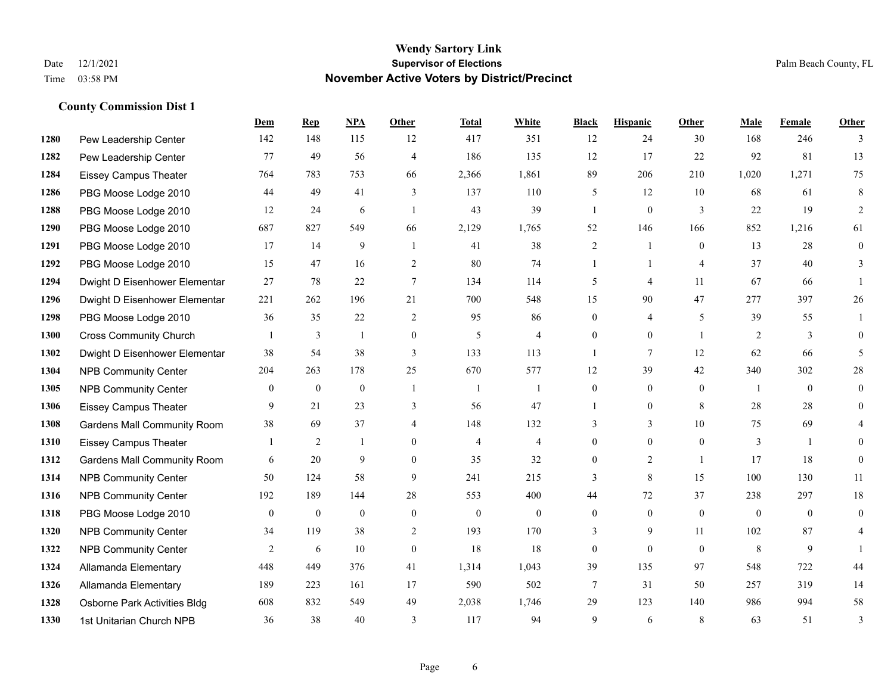|      |                                    | Dem            | <b>Rep</b>       | NPA          | <b>Other</b>   | <b>Total</b>   | <b>White</b>   | <b>Black</b>     | <b>Hispanic</b> | <b>Other</b>   | <b>Male</b>  | Female         | <b>Other</b>   |
|------|------------------------------------|----------------|------------------|--------------|----------------|----------------|----------------|------------------|-----------------|----------------|--------------|----------------|----------------|
| 1280 | Pew Leadership Center              | 142            | 148              | 115          | 12             | 417            | 351            | 12               | 24              | 30             | 168          | 246            | 3              |
| 1282 | Pew Leadership Center              | 77             | 49               | 56           | $\overline{4}$ | 186            | 135            | 12               | 17              | 22             | 92           | 81             | 13             |
| 1284 | <b>Eissey Campus Theater</b>       | 764            | 783              | 753          | 66             | 2,366          | 1,861          | 89               | 206             | 210            | 1,020        | 1,271          | 75             |
| 1286 | PBG Moose Lodge 2010               | 44             | 49               | 41           | 3              | 137            | 110            | 5                | 12              | 10             | 68           | 61             | 8              |
| 1288 | PBG Moose Lodge 2010               | 12             | 24               | 6            | $\overline{1}$ | 43             | 39             | $\mathbf{1}$     | $\overline{0}$  | 3              | 22           | 19             | 2              |
| 1290 | PBG Moose Lodge 2010               | 687            | 827              | 549          | 66             | 2,129          | 1,765          | 52               | 146             | 166            | 852          | 1,216          | 61             |
| 1291 | PBG Moose Lodge 2010               | 17             | 14               | 9            | -1             | 41             | 38             | $\overline{c}$   | $\mathbf{1}$    | $\theta$       | 13           | 28             | $\overline{0}$ |
| 1292 | PBG Moose Lodge 2010               | 15             | 47               | 16           | 2              | 80             | 74             | $\mathbf{1}$     | $\mathbf{1}$    | $\overline{4}$ | 37           | 40             | 3              |
| 1294 | Dwight D Eisenhower Elementar      | 27             | 78               | 22           | $\tau$         | 134            | 114            | 5                | 4               | 11             | 67           | 66             |                |
| 1296 | Dwight D Eisenhower Elementar      | 221            | 262              | 196          | 21             | 700            | 548            | 15               | 90              | 47             | 277          | 397            | 26             |
| 1298 | PBG Moose Lodge 2010               | 36             | 35               | 22           | 2              | 95             | 86             | $\overline{0}$   | 4               | 5              | 39           | 55             | $\mathbf{1}$   |
| 1300 | <b>Cross Community Church</b>      |                | 3                | $\mathbf{1}$ | $\mathbf{0}$   | 5              | $\overline{4}$ | $\overline{0}$   | $\overline{0}$  | $\mathbf{1}$   | 2            | 3              | $\overline{0}$ |
| 1302 | Dwight D Eisenhower Elementar      | 38             | 54               | 38           | 3              | 133            | 113            | $\mathbf{1}$     | 7               | 12             | 62           | 66             | 5              |
| 1304 | <b>NPB Community Center</b>        | 204            | 263              | 178          | 25             | 670            | 577            | 12               | 39              | 42             | 340          | 302            | $28\,$         |
| 1305 | <b>NPB Community Center</b>        | $\overline{0}$ | $\mathbf{0}$     | $\mathbf{0}$ | $\overline{1}$ | -1             | 1              | $\overline{0}$   | $\overline{0}$  | $\theta$       | $\mathbf{1}$ | $\theta$       | $\overline{0}$ |
| 1306 | <b>Eissey Campus Theater</b>       | 9              | 21               | 23           | 3              | 56             | 47             |                  | $\overline{0}$  | 8              | 28           | 28             | $\overline{0}$ |
| 1308 | <b>Gardens Mall Community Room</b> | 38             | 69               | 37           | $\overline{4}$ | 148            | 132            | 3                | 3               | 10             | 75           | 69             |                |
| 1310 | <b>Eissey Campus Theater</b>       |                | 2                |              | $\theta$       | $\overline{4}$ | $\overline{4}$ | $\overline{0}$   | $\overline{0}$  | $\theta$       | 3            | $\mathbf{1}$   | 0              |
| 1312 | <b>Gardens Mall Community Room</b> | 6              | 20               | 9            | $\theta$       | 35             | 32             | $\overline{0}$   | $\overline{2}$  | $\overline{1}$ | 17           | 18             | $\overline{0}$ |
| 1314 | <b>NPB Community Center</b>        | 50             | 124              | 58           | 9              | 241            | 215            | $\overline{3}$   | 8               | 15             | 100          | 130            | 11             |
| 1316 | <b>NPB Community Center</b>        | 192            | 189              | 144          | 28             | 553            | 400            | 44               | 72              | 37             | 238          | 297            | $18\,$         |
| 1318 | PBG Moose Lodge 2010               | $\mathbf{0}$   | $\boldsymbol{0}$ | $\mathbf{0}$ | $\mathbf{0}$   | $\mathbf{0}$   | $\mathbf{0}$   | $\overline{0}$   | $\mathbf{0}$    | $\theta$       | $\mathbf{0}$ | $\overline{0}$ | $\overline{0}$ |
| 1320 | <b>NPB Community Center</b>        | 34             | 119              | 38           | 2              | 193            | 170            | 3                | 9               | 11             | 102          | 87             | 4              |
| 1322 | <b>NPB Community Center</b>        | $\overline{2}$ | 6                | 10           | $\mathbf{0}$   | 18             | 18             | $\boldsymbol{0}$ | $\overline{0}$  | $\theta$       | 8            | 9              |                |
| 1324 | Allamanda Elementary               | 448            | 449              | 376          | 41             | 1,314          | 1,043          | 39               | 135             | 97             | 548          | 722            | 44             |
| 1326 | Allamanda Elementary               | 189            | 223              | 161          | 17             | 590            | 502            | 7                | 31              | 50             | 257          | 319            | 14             |
| 1328 | Osborne Park Activities Bldg       | 608            | 832              | 549          | 49             | 2,038          | 1,746          | 29               | 123             | 140            | 986          | 994            | 58             |
| 1330 | 1st Unitarian Church NPB           | 36             | 38               | 40           | 3              | 117            | 94             | 9                | 6               | 8              | 63           | 51             | 3              |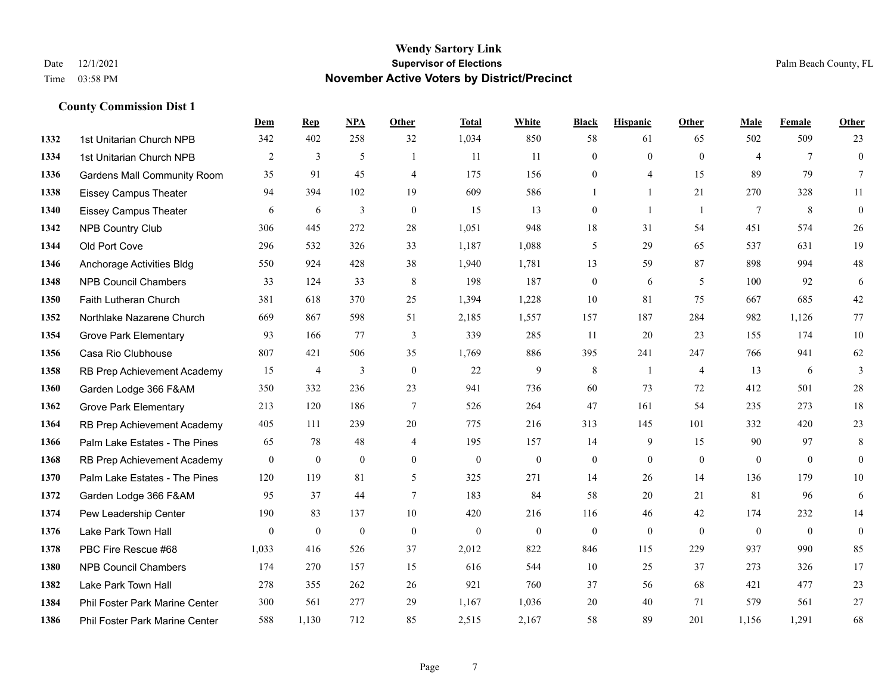|      |                                    | Dem            | <b>Rep</b>       | NPA            | <b>Other</b>     | <b>Total</b>     | <b>White</b>     | <b>Black</b>     | <b>Hispanic</b> | <b>Other</b>   | <b>Male</b>    | <b>Female</b>  | <b>Other</b>     |
|------|------------------------------------|----------------|------------------|----------------|------------------|------------------|------------------|------------------|-----------------|----------------|----------------|----------------|------------------|
| 1332 | 1st Unitarian Church NPB           | 342            | 402              | 258            | 32               | 1,034            | 850              | 58               | 61              | 65             | 502            | 509            | 23               |
| 1334 | 1st Unitarian Church NPB           | $\overline{2}$ | 3                | 5              | $\mathbf{1}$     | 11               | 11               | $\mathbf{0}$     | $\mathbf{0}$    | $\theta$       | $\overline{4}$ | $\overline{7}$ | $\mathbf{0}$     |
| 1336 | <b>Gardens Mall Community Room</b> | 35             | 91               | 45             | $\overline{4}$   | 175              | 156              | $\theta$         | 4               | 15             | 89             | 79             | $7\overline{ }$  |
| 1338 | <b>Eissey Campus Theater</b>       | 94             | 394              | 102            | 19               | 609              | 586              | 1                | 1               | 21             | 270            | 328            | 11               |
| 1340 | <b>Eissey Campus Theater</b>       | 6              | 6                | 3              | $\theta$         | 15               | 13               | $\mathbf{0}$     | $\mathbf{1}$    | $\overline{1}$ | $\tau$         | 8              | $\boldsymbol{0}$ |
| 1342 | <b>NPB Country Club</b>            | 306            | 445              | 272            | 28               | 1,051            | 948              | 18               | 31              | 54             | 451            | 574            | 26               |
| 1344 | Old Port Cove                      | 296            | 532              | 326            | 33               | 1,187            | 1,088            | 5                | 29              | 65             | 537            | 631            | 19               |
| 1346 | Anchorage Activities Bldg          | 550            | 924              | 428            | 38               | 1,940            | 1,781            | 13               | 59              | 87             | 898            | 994            | $48\,$           |
| 1348 | <b>NPB Council Chambers</b>        | 33             | 124              | 33             | $\,8\,$          | 198              | 187              | $\boldsymbol{0}$ | 6               | 5              | 100            | 92             | 6                |
| 1350 | Faith Lutheran Church              | 381            | 618              | 370            | 25               | 1,394            | 1,228            | 10               | 81              | 75             | 667            | 685            | $42\,$           |
| 1352 | Northlake Nazarene Church          | 669            | 867              | 598            | 51               | 2,185            | 1,557            | 157              | 187             | 284            | 982            | 1,126          | 77               |
| 1354 | <b>Grove Park Elementary</b>       | 93             | 166              | 77             | 3                | 339              | 285              | 11               | 20              | 23             | 155            | 174            | $10\,$           |
| 1356 | Casa Rio Clubhouse                 | 807            | 421              | 506            | 35               | 1,769            | 886              | 395              | 241             | 247            | 766            | 941            | 62               |
| 1358 | RB Prep Achievement Academy        | 15             | $\overline{4}$   | $\mathfrak{Z}$ | $\boldsymbol{0}$ | 22               | 9                | $\,8\,$          | 1               | $\overline{4}$ | 13             | 6              | 3                |
| 1360 | Garden Lodge 366 F&AM              | 350            | 332              | 236            | 23               | 941              | 736              | 60               | 73              | 72             | 412            | 501            | $28\,$           |
| 1362 | <b>Grove Park Elementary</b>       | 213            | 120              | 186            | $\tau$           | 526              | 264              | 47               | 161             | 54             | 235            | 273            | 18               |
| 1364 | RB Prep Achievement Academy        | 405            | 111              | 239            | 20               | 775              | 216              | 313              | 145             | 101            | 332            | 420            | 23               |
| 1366 | Palm Lake Estates - The Pines      | 65             | 78               | 48             | $\overline{4}$   | 195              | 157              | 14               | 9               | 15             | 90             | 97             | $\,8\,$          |
| 1368 | RB Prep Achievement Academy        | $\mathbf{0}$   | $\boldsymbol{0}$ | $\mathbf{0}$   | $\overline{0}$   | $\boldsymbol{0}$ | $\boldsymbol{0}$ | $\boldsymbol{0}$ | $\mathbf{0}$    | $\overline{0}$ | $\mathbf{0}$   | $\mathbf{0}$   | $\mathbf{0}$     |
| 1370 | Palm Lake Estates - The Pines      | 120            | 119              | 81             | 5                | 325              | 271              | 14               | 26              | 14             | 136            | 179            | $10\,$           |
| 1372 | Garden Lodge 366 F&AM              | 95             | 37               | 44             | $\tau$           | 183              | 84               | 58               | 20              | 21             | 81             | 96             | 6                |
| 1374 | Pew Leadership Center              | 190            | 83               | 137            | 10               | 420              | 216              | 116              | 46              | 42             | 174            | 232            | 14               |
| 1376 | Lake Park Town Hall                | $\mathbf{0}$   | $\mathbf{0}$     | $\mathbf{0}$   | $\mathbf{0}$     | $\mathbf{0}$     | $\boldsymbol{0}$ | $\mathbf{0}$     | $\mathbf{0}$    | $\mathbf{0}$   | $\mathbf{0}$   | $\mathbf{0}$   | $\boldsymbol{0}$ |
| 1378 | PBC Fire Rescue #68                | 1,033          | 416              | 526            | 37               | 2,012            | 822              | 846              | 115             | 229            | 937            | 990            | 85               |
| 1380 | <b>NPB Council Chambers</b>        | 174            | 270              | 157            | 15               | 616              | 544              | 10               | 25              | 37             | 273            | 326            | 17               |
| 1382 | Lake Park Town Hall                | 278            | 355              | 262            | 26               | 921              | 760              | 37               | 56              | 68             | 421            | 477            | 23               |
| 1384 | Phil Foster Park Marine Center     | 300            | 561              | 277            | 29               | 1,167            | 1,036            | 20               | 40              | 71             | 579            | 561            | $27\,$           |
| 1386 | Phil Foster Park Marine Center     | 588            | 1,130            | 712            | 85               | 2,515            | 2,167            | 58               | 89              | 201            | 1,156          | 1,291          | 68               |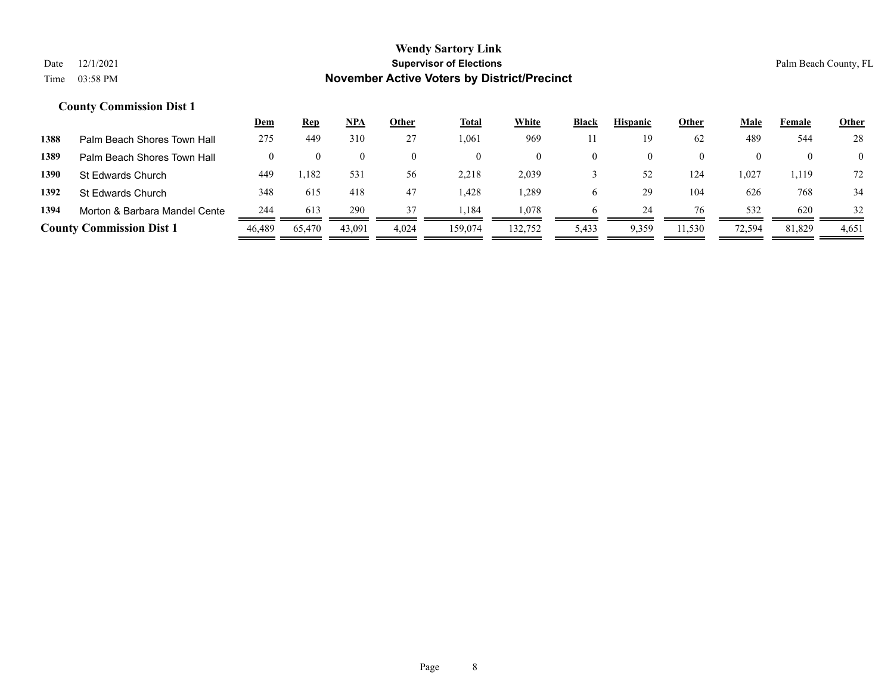|      |                                 | <u>Dem</u> | <u>Rep</u> | <u>NPA</u> | Other | Total   | White    | Black | <b>Hispanic</b> | Other    | Male   | Female   | <b>Other</b>   |
|------|---------------------------------|------------|------------|------------|-------|---------|----------|-------|-----------------|----------|--------|----------|----------------|
| 1388 | Palm Beach Shores Town Hall     | 275        | 449        | 310        | 27    | .061    | 969      |       | 19              | 62       | 489    | 544      | 28             |
| 1389 | Palm Beach Shores Town Hall     |            |            |            | 0     |         | $\theta$ |       | 0               | $\theta$ |        |          | $\overline{0}$ |
| 1390 | St Edwards Church               | 449        | 1,182      | 531        | 56    | 2,218   | 2,039    |       | 52              | 124      | 0.027  | . 119. ، | 72             |
| 1392 | St Edwards Church               | 348        | 615        | 418        | 47    | .428    | .289     | O     | 29              | 104      | 626    | 768      | 34             |
| 1394 | Morton & Barbara Mandel Cente   | 244        | 613        | 290        | 37    | .184    | 1,078    |       | 24              | 76       | 532    | 620      | 32             |
|      | <b>County Commission Dist 1</b> | 46.489     | 65,470     | 43,091     | 4,024 | 159,074 | 132,752  | 5,433 | 9,359           | 11,530   | 72,594 | 81,829   | 4,651          |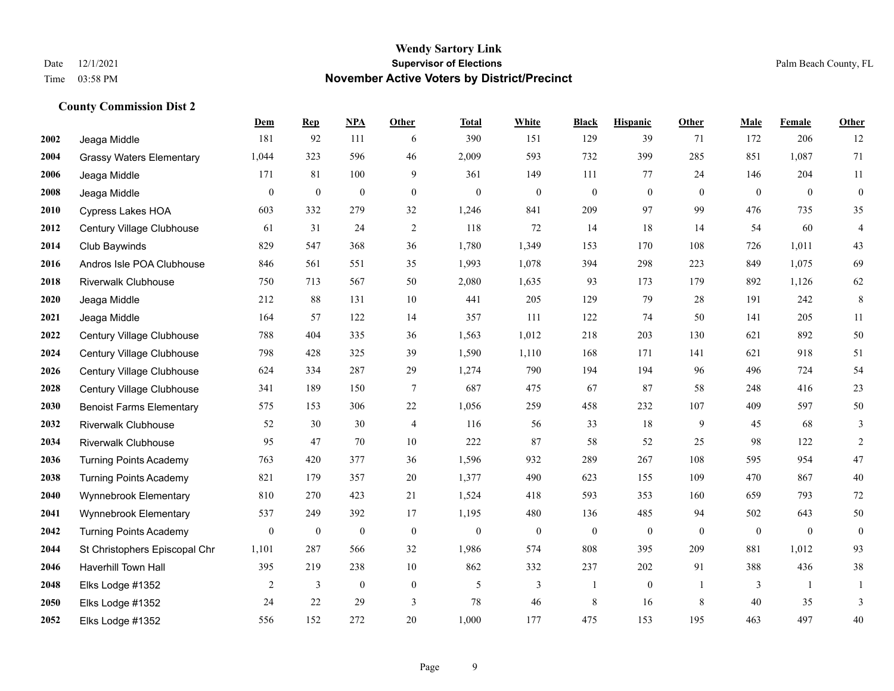**County Commission Dist 2**

## **Wendy Sartory Link** Date 12/1/2021 **Supervisor of Elections** Palm Beach County, FL Time 03:58 PM **November Active Voters by District/Precinct**

|      |                                 | Dem              | <b>Rep</b>       | <b>NPA</b>       | Other            | <b>Total</b>     | White        | <b>Black</b>     | <b>Hispanic</b>  | Other        | Male         | Female       | Other                    |
|------|---------------------------------|------------------|------------------|------------------|------------------|------------------|--------------|------------------|------------------|--------------|--------------|--------------|--------------------------|
| 2002 | Jeaga Middle                    | 181              | 92               | 111              | 6                | 390              | 151          | 129              | 39               | 71           | 172          | 206          | 12                       |
| 2004 | <b>Grassy Waters Elementary</b> | 1,044            | 323              | 596              | 46               | 2,009            | 593          | 732              | 399              | 285          | 851          | 1,087        | 71                       |
| 2006 | Jeaga Middle                    | 171              | 81               | 100              | 9                | 361              | 149          | 111              | 77               | 24           | 146          | 204          | 11                       |
| 2008 | Jeaga Middle                    | $\mathbf{0}$     | $\boldsymbol{0}$ | $\mathbf{0}$     | $\mathbf{0}$     | $\mathbf{0}$     | $\mathbf{0}$ | $\overline{0}$   | $\mathbf{0}$     | $\theta$     | $\theta$     | $\theta$     | $\mathbf{0}$             |
| 2010 | Cypress Lakes HOA               | 603              | 332              | 279              | 32               | 1,246            | 841          | 209              | 97               | 99           | 476          | 735          | 35                       |
| 2012 | Century Village Clubhouse       | 61               | 31               | 24               | 2                | 118              | 72           | 14               | 18               | 14           | 54           | 60           | $\overline{\mathcal{A}}$ |
| 2014 | Club Baywinds                   | 829              | 547              | 368              | 36               | 1,780            | 1,349        | 153              | 170              | 108          | 726          | 1,011        | 43                       |
| 2016 | Andros Isle POA Clubhouse       | 846              | 561              | 551              | 35               | 1,993            | 1,078        | 394              | 298              | 223          | 849          | 1,075        | 69                       |
| 2018 | <b>Riverwalk Clubhouse</b>      | 750              | 713              | 567              | 50               | 2,080            | 1,635        | 93               | 173              | 179          | 892          | 1,126        | 62                       |
| 2020 | Jeaga Middle                    | 212              | 88               | 131              | 10               | 441              | 205          | 129              | 79               | 28           | 191          | 242          | $\,$ 8 $\,$              |
| 2021 | Jeaga Middle                    | 164              | 57               | 122              | 14               | 357              | 111          | 122              | 74               | 50           | 141          | 205          | 11                       |
| 2022 | Century Village Clubhouse       | 788              | 404              | 335              | 36               | 1,563            | 1,012        | 218              | 203              | 130          | 621          | 892          | 50                       |
| 2024 | Century Village Clubhouse       | 798              | 428              | 325              | 39               | 1,590            | 1,110        | 168              | 171              | 141          | 621          | 918          | 51                       |
| 2026 | Century Village Clubhouse       | 624              | 334              | 287              | 29               | 1,274            | 790          | 194              | 194              | 96           | 496          | 724          | 54                       |
| 2028 | Century Village Clubhouse       | 341              | 189              | 150              | $\tau$           | 687              | 475          | 67               | 87               | 58           | 248          | 416          | 23                       |
| 2030 | <b>Benoist Farms Elementary</b> | 575              | 153              | 306              | 22               | 1,056            | 259          | 458              | 232              | 107          | 409          | 597          | 50                       |
| 2032 | <b>Riverwalk Clubhouse</b>      | 52               | 30               | 30               | $\overline{4}$   | 116              | 56           | 33               | 18               | 9            | 45           | 68           | 3                        |
| 2034 | <b>Riverwalk Clubhouse</b>      | 95               | 47               | 70               | $10\,$           | 222              | 87           | 58               | 52               | 25           | 98           | 122          | $\sqrt{2}$               |
| 2036 | <b>Turning Points Academy</b>   | 763              | 420              | 377              | 36               | 1,596            | 932          | 289              | 267              | 108          | 595          | 954          | 47                       |
| 2038 | <b>Turning Points Academy</b>   | 821              | 179              | 357              | 20               | 1,377            | 490          | 623              | 155              | 109          | 470          | 867          | 40                       |
| 2040 | Wynnebrook Elementary           | 810              | 270              | 423              | 21               | 1,524            | 418          | 593              | 353              | 160          | 659          | 793          | 72                       |
| 2041 | Wynnebrook Elementary           | 537              | 249              | 392              | 17               | 1,195            | 480          | 136              | 485              | 94           | 502          | 643          | 50                       |
| 2042 | <b>Turning Points Academy</b>   | $\boldsymbol{0}$ | $\boldsymbol{0}$ | $\boldsymbol{0}$ | $\boldsymbol{0}$ | $\boldsymbol{0}$ | $\mathbf{0}$ | $\boldsymbol{0}$ | $\boldsymbol{0}$ | $\mathbf{0}$ | $\mathbf{0}$ | $\mathbf{0}$ | $\boldsymbol{0}$         |
| 2044 | St Christophers Episcopal Chr   | 1,101            | 287              | 566              | 32               | 1,986            | 574          | 808              | 395              | 209          | 881          | 1,012        | 93                       |
| 2046 | <b>Haverhill Town Hall</b>      | 395              | 219              | 238              | 10               | 862              | 332          | 237              | 202              | 91           | 388          | 436          | 38                       |
| 2048 | Elks Lodge #1352                | 2                | 3                | $\boldsymbol{0}$ | $\boldsymbol{0}$ | 5                | 3            | $\mathbf{1}$     | $\boldsymbol{0}$ | -1           | 3            | -1           | 1                        |
| 2050 | Elks Lodge #1352                | 24               | 22               | 29               | 3                | 78               | 46           | 8                | 16               | 8            | 40           | 35           | 3                        |
| 2052 | Elks Lodge #1352                | 556              | 152              | 272              | 20               | 1,000            | 177          | 475              | 153              | 195          | 463          | 497          | 40                       |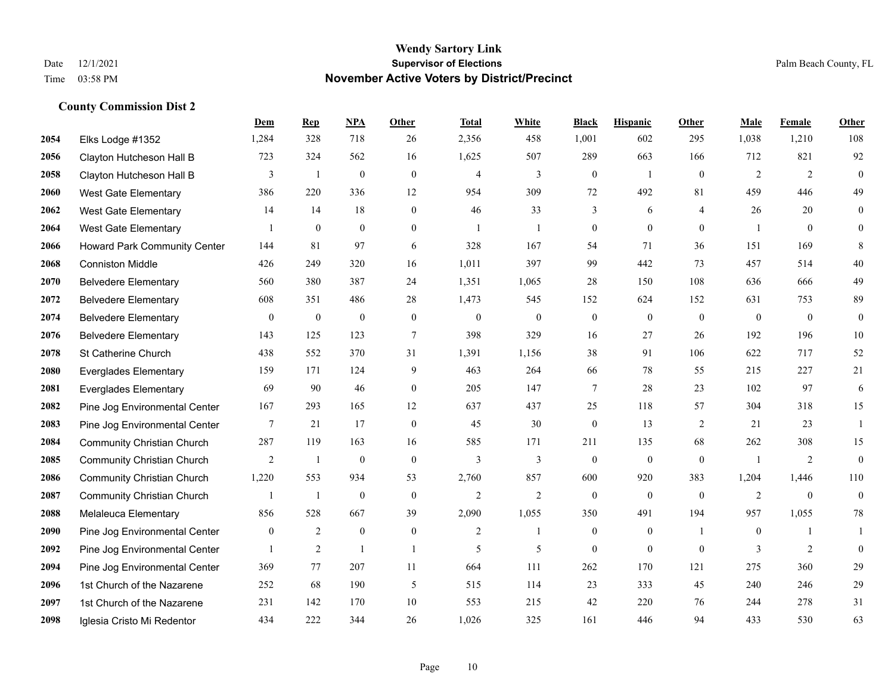|      |                                   | Dem          | <b>Rep</b>       | NPA              | <b>Other</b>     | <b>Total</b>   | <b>White</b>   | <b>Black</b>     | <b>Hispanic</b>  | <b>Other</b>   | <b>Male</b>    | <b>Female</b>  | <b>Other</b>     |
|------|-----------------------------------|--------------|------------------|------------------|------------------|----------------|----------------|------------------|------------------|----------------|----------------|----------------|------------------|
| 2054 | Elks Lodge #1352                  | 1,284        | 328              | 718              | 26               | 2,356          | 458            | 1,001            | 602              | 295            | 1,038          | 1,210          | 108              |
| 2056 | Clayton Hutcheson Hall B          | 723          | 324              | 562              | 16               | 1,625          | 507            | 289              | 663              | 166            | 712            | 821            | 92               |
| 2058 | Clayton Hutcheson Hall B          | 3            | $\mathbf{1}$     | $\boldsymbol{0}$ | $\mathbf{0}$     | $\overline{4}$ | 3              | $\boldsymbol{0}$ | $\mathbf{1}$     | $\theta$       | 2              | 2              | $\boldsymbol{0}$ |
| 2060 | <b>West Gate Elementary</b>       | 386          | 220              | 336              | 12               | 954            | 309            | 72               | 492              | 81             | 459            | 446            | 49               |
| 2062 | <b>West Gate Elementary</b>       | 14           | 14               | 18               | $\Omega$         | 46             | 33             | 3                | 6                | $\overline{4}$ | 26             | 20             | $\mathbf{0}$     |
| 2064 | <b>West Gate Elementary</b>       | 1            | $\boldsymbol{0}$ | $\boldsymbol{0}$ | $\overline{0}$   | $\overline{1}$ | $\overline{1}$ | $\boldsymbol{0}$ | $\boldsymbol{0}$ | $\mathbf{0}$   | $\overline{1}$ | $\mathbf{0}$   | $\mathbf{0}$     |
| 2066 | Howard Park Community Center      | 144          | 81               | 97               | 6                | 328            | 167            | 54               | 71               | 36             | 151            | 169            | 8                |
| 2068 | <b>Conniston Middle</b>           | 426          | 249              | 320              | 16               | 1,011          | 397            | 99               | 442              | 73             | 457            | 514            | 40               |
| 2070 | <b>Belvedere Elementary</b>       | 560          | 380              | 387              | 24               | 1,351          | 1,065          | 28               | 150              | 108            | 636            | 666            | 49               |
| 2072 | <b>Belvedere Elementary</b>       | 608          | 351              | 486              | 28               | 1,473          | 545            | 152              | 624              | 152            | 631            | 753            | 89               |
| 2074 | <b>Belvedere Elementary</b>       | $\mathbf{0}$ | $\boldsymbol{0}$ | $\mathbf{0}$     | $\theta$         | $\theta$       | $\overline{0}$ | $\boldsymbol{0}$ | $\mathbf{0}$     | $\theta$       | $\mathbf{0}$   | $\mathbf{0}$   | $\mathbf{0}$     |
| 2076 | <b>Belvedere Elementary</b>       | 143          | 125              | 123              | $\overline{7}$   | 398            | 329            | 16               | 27               | 26             | 192            | 196            | 10               |
| 2078 | St Catherine Church               | 438          | 552              | 370              | 31               | 1,391          | 1,156          | 38               | 91               | 106            | 622            | 717            | 52               |
| 2080 | <b>Everglades Elementary</b>      | 159          | 171              | 124              | 9                | 463            | 264            | 66               | 78               | 55             | 215            | 227            | 21               |
| 2081 | <b>Everglades Elementary</b>      | 69           | 90               | 46               | $\Omega$         | 205            | 147            | 7                | 28               | 23             | 102            | 97             | 6                |
| 2082 | Pine Jog Environmental Center     | 167          | 293              | 165              | 12               | 637            | 437            | 25               | 118              | 57             | 304            | 318            | 15               |
| 2083 | Pine Jog Environmental Center     | $\tau$       | 21               | 17               | $\mathbf{0}$     | 45             | 30             | $\boldsymbol{0}$ | 13               | 2              | 21             | 23             | $\mathbf{1}$     |
| 2084 | <b>Community Christian Church</b> | 287          | 119              | 163              | 16               | 585            | 171            | 211              | 135              | 68             | 262            | 308            | 15               |
| 2085 | <b>Community Christian Church</b> | 2            | $\mathbf{1}$     | $\boldsymbol{0}$ | $\mathbf{0}$     | $\mathfrak{Z}$ | 3              | $\boldsymbol{0}$ | $\boldsymbol{0}$ | $\mathbf{0}$   | -1             | $\overline{2}$ | $\boldsymbol{0}$ |
| 2086 | <b>Community Christian Church</b> | 1,220        | 553              | 934              | 53               | 2,760          | 857            | 600              | 920              | 383            | 1,204          | 1,446          | 110              |
| 2087 | <b>Community Christian Church</b> | 1            | 1                | $\mathbf{0}$     | $\Omega$         | $\overline{2}$ | $\overline{2}$ | $\mathbf{0}$     | $\theta$         | $\theta$       | $\overline{2}$ | $\theta$       | $\boldsymbol{0}$ |
| 2088 | Melaleuca Elementary              | 856          | 528              | 667              | 39               | 2,090          | 1,055          | 350              | 491              | 194            | 957            | 1,055          | $78\,$           |
| 2090 | Pine Jog Environmental Center     | $\mathbf{0}$ | 2                | $\mathbf{0}$     | $\boldsymbol{0}$ | 2              | -1             | $\boldsymbol{0}$ | $\mathbf{0}$     | $\overline{1}$ | $\mathbf{0}$   | -1             | 1                |
| 2092 | Pine Jog Environmental Center     | $\mathbf{1}$ | $\overline{2}$   | $\mathbf{1}$     | $\overline{1}$   | 5              | 5              | $\mathbf{0}$     | $\mathbf{0}$     | $\theta$       | 3              | 2              | $\theta$         |
| 2094 | Pine Jog Environmental Center     | 369          | 77               | 207              | 11               | 664            | 111            | 262              | 170              | 121            | 275            | 360            | 29               |
| 2096 | 1st Church of the Nazarene        | 252          | 68               | 190              | 5                | 515            | 114            | 23               | 333              | 45             | 240            | 246            | 29               |
| 2097 | 1st Church of the Nazarene        | 231          | 142              | 170              | 10               | 553            | 215            | 42               | 220              | 76             | 244            | 278            | 31               |
| 2098 | Iglesia Cristo Mi Redentor        | 434          | 222              | 344              | 26               | 1,026          | 325            | 161              | 446              | 94             | 433            | 530            | 63               |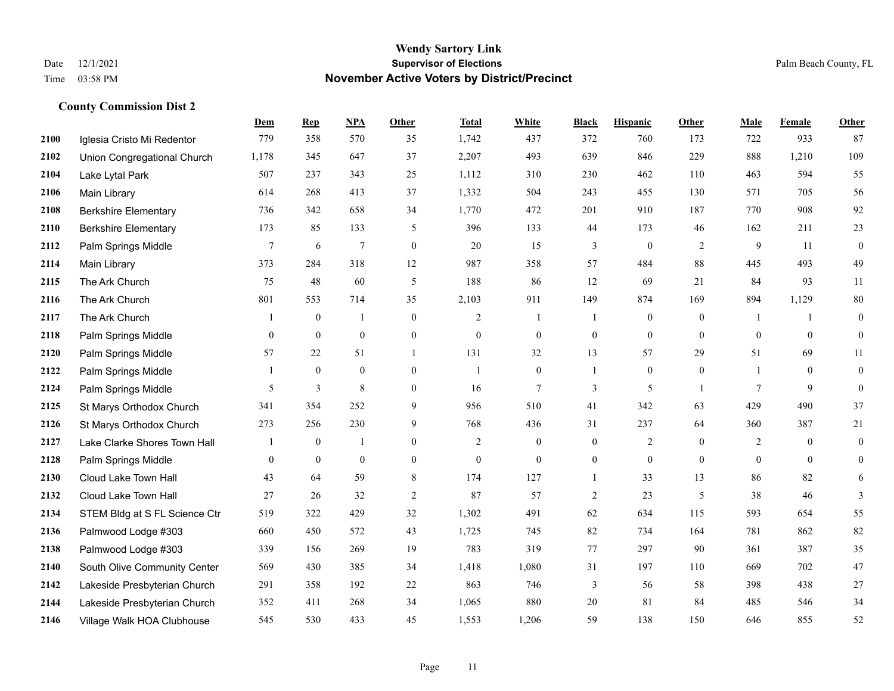|      |                               | Dem            | <b>Rep</b>       | NPA              | <b>Other</b>     | <b>Total</b>     | <b>White</b>     | <b>Black</b>     | <b>Hispanic</b>  | <b>Other</b>     | <b>Male</b>  | <b>Female</b>  | <b>Other</b>   |
|------|-------------------------------|----------------|------------------|------------------|------------------|------------------|------------------|------------------|------------------|------------------|--------------|----------------|----------------|
| 2100 | Iglesia Cristo Mi Redentor    | 779            | 358              | 570              | 35               | 1,742            | 437              | 372              | 760              | 173              | 722          | 933            | 87             |
| 2102 | Union Congregational Church   | 1,178          | 345              | 647              | 37               | 2,207            | 493              | 639              | 846              | 229              | 888          | 1,210          | 109            |
| 2104 | Lake Lytal Park               | 507            | 237              | 343              | 25               | 1,112            | 310              | 230              | 462              | 110              | 463          | 594            | 55             |
| 2106 | Main Library                  | 614            | 268              | 413              | 37               | 1,332            | 504              | 243              | 455              | 130              | 571          | 705            | 56             |
| 2108 | <b>Berkshire Elementary</b>   | 736            | 342              | 658              | 34               | 1,770            | 472              | 201              | 910              | 187              | 770          | 908            | 92             |
| 2110 | <b>Berkshire Elementary</b>   | 173            | 85               | 133              | 5                | 396              | 133              | 44               | 173              | 46               | 162          | 211            | 23             |
| 2112 | Palm Springs Middle           | $\overline{7}$ | 6                | $\overline{7}$   | $\mathbf{0}$     | 20               | 15               | 3                | $\boldsymbol{0}$ | $\overline{2}$   | 9            | 11             | $\bf{0}$       |
| 2114 | Main Library                  | 373            | 284              | 318              | 12               | 987              | 358              | 57               | 484              | 88               | 445          | 493            | 49             |
| 2115 | The Ark Church                | 75             | 48               | 60               | 5                | 188              | 86               | 12               | 69               | 21               | 84           | 93             | 11             |
| 2116 | The Ark Church                | 801            | 553              | 714              | 35               | 2,103            | 911              | 149              | 874              | 169              | 894          | 1,129          | $80\,$         |
| 2117 | The Ark Church                | -1             | $\mathbf{0}$     | $\overline{1}$   | $\mathbf{0}$     | 2                | 1                | 1                | $\boldsymbol{0}$ | $\overline{0}$   | -1           | $\overline{1}$ | $\mathbf{0}$   |
| 2118 | Palm Springs Middle           | $\overline{0}$ | $\boldsymbol{0}$ | $\mathbf{0}$     | $\boldsymbol{0}$ | $\mathbf{0}$     | $\overline{0}$   | $\boldsymbol{0}$ | $\overline{0}$   | $\mathbf{0}$     | $\mathbf{0}$ | $\mathbf{0}$   | $\bf{0}$       |
| 2120 | Palm Springs Middle           | 57             | 22               | 51               | 1                | 131              | 32               | 13               | 57               | 29               | 51           | 69             | 11             |
| 2122 | Palm Springs Middle           |                | $\boldsymbol{0}$ | $\boldsymbol{0}$ | $\boldsymbol{0}$ | 1                | $\mathbf{0}$     | 1                | $\overline{0}$   | $\boldsymbol{0}$ | -1           | $\mathbf{0}$   | $\mathbf{0}$   |
| 2124 | Palm Springs Middle           | 5              | 3                | $\,$ 8 $\,$      | $\overline{0}$   | 16               | 7                | 3                | 5                |                  | 7            | 9              | $\bf{0}$       |
| 2125 | St Marys Orthodox Church      | 341            | 354              | 252              | 9                | 956              | 510              | 41               | 342              | 63               | 429          | 490            | 37             |
| 2126 | St Marys Orthodox Church      | 273            | 256              | 230              | 9                | 768              | 436              | 31               | 237              | 64               | 360          | 387            | 21             |
| 2127 | Lake Clarke Shores Town Hall  |                | $\mathbf{0}$     |                  | $\mathbf{0}$     | 2                | $\mathbf{0}$     | $\boldsymbol{0}$ | $\overline{2}$   | $\theta$         | 2            | $\theta$       | $\mathbf{0}$   |
| 2128 | Palm Springs Middle           | $\mathbf{0}$   | $\boldsymbol{0}$ | $\boldsymbol{0}$ | $\overline{0}$   | $\boldsymbol{0}$ | $\boldsymbol{0}$ | $\overline{0}$   | $\overline{0}$   | $\mathbf{0}$     | $\mathbf{0}$ | $\overline{0}$ | $\overline{0}$ |
| 2130 | Cloud Lake Town Hall          | 43             | 64               | 59               | $\,8\,$          | 174              | 127              | $\mathbf{1}$     | 33               | 13               | 86           | 82             | 6              |
| 2132 | Cloud Lake Town Hall          | 27             | 26               | 32               | $\overline{2}$   | 87               | 57               | $\overline{c}$   | 23               | 5                | 38           | 46             | $\mathfrak{Z}$ |
| 2134 | STEM Bldg at S FL Science Ctr | 519            | 322              | 429              | 32               | 1,302            | 491              | 62               | 634              | 115              | 593          | 654            | 55             |
| 2136 | Palmwood Lodge #303           | 660            | 450              | 572              | 43               | 1,725            | 745              | 82               | 734              | 164              | 781          | 862            | $82\,$         |
| 2138 | Palmwood Lodge #303           | 339            | 156              | 269              | 19               | 783              | 319              | 77               | 297              | 90               | 361          | 387            | 35             |
| 2140 | South Olive Community Center  | 569            | 430              | 385              | 34               | 1,418            | 1,080            | 31               | 197              | 110              | 669          | 702            | $47\,$         |
| 2142 | Lakeside Presbyterian Church  | 291            | 358              | 192              | 22               | 863              | 746              | 3                | 56               | 58               | 398          | 438            | $27\,$         |
| 2144 | Lakeside Presbyterian Church  | 352            | 411              | 268              | 34               | 1,065            | 880              | 20               | 81               | 84               | 485          | 546            | 34             |
| 2146 | Village Walk HOA Clubhouse    | 545            | 530              | 433              | 45               | 1,553            | 1,206            | 59               | 138              | 150              | 646          | 855            | 52             |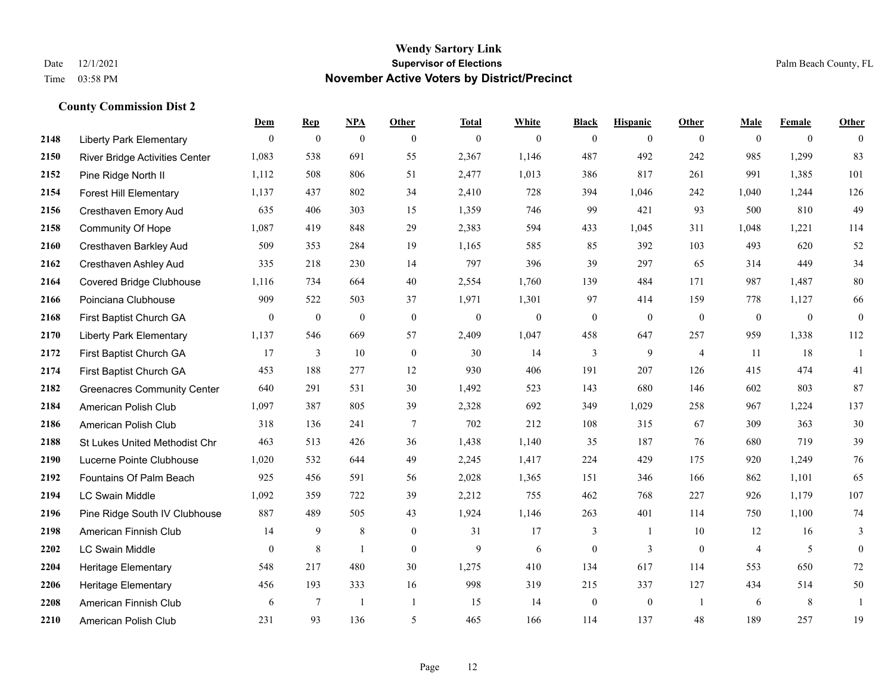|      |                                    | Dem            | <b>Rep</b>   | NPA              | Other            | <b>Total</b> | <b>White</b>     | <b>Black</b>     | <b>Hispanic</b> | <b>Other</b>   | <b>Male</b>    | <b>Female</b>  | <b>Other</b>     |
|------|------------------------------------|----------------|--------------|------------------|------------------|--------------|------------------|------------------|-----------------|----------------|----------------|----------------|------------------|
| 2148 | <b>Liberty Park Elementary</b>     | $\overline{0}$ | $\mathbf{0}$ | $\boldsymbol{0}$ | $\mathbf{0}$     | $\mathbf{0}$ | $\mathbf{0}$     | $\boldsymbol{0}$ | $\bf{0}$        | $\theta$       | $\mathbf{0}$   | $\overline{0}$ | $\theta$         |
| 2150 | River Bridge Activities Center     | 1,083          | 538          | 691              | 55               | 2,367        | 1,146            | 487              | 492             | 242            | 985            | 1,299          | 83               |
| 2152 | Pine Ridge North II                | 1,112          | 508          | 806              | 51               | 2,477        | 1,013            | 386              | 817             | 261            | 991            | 1,385          | 101              |
| 2154 | <b>Forest Hill Elementary</b>      | 1,137          | 437          | 802              | 34               | 2,410        | 728              | 394              | 1,046           | 242            | 1,040          | 1,244          | 126              |
| 2156 | Cresthaven Emory Aud               | 635            | 406          | 303              | 15               | 1,359        | 746              | 99               | 421             | 93             | 500            | 810            | 49               |
| 2158 | Community Of Hope                  | 1,087          | 419          | 848              | 29               | 2,383        | 594              | 433              | 1,045           | 311            | 1,048          | 1,221          | 114              |
| 2160 | Cresthaven Barkley Aud             | 509            | 353          | 284              | 19               | 1,165        | 585              | 85               | 392             | 103            | 493            | 620            | 52               |
| 2162 | Cresthaven Ashley Aud              | 335            | 218          | 230              | 14               | 797          | 396              | 39               | 297             | 65             | 314            | 449            | 34               |
| 2164 | <b>Covered Bridge Clubhouse</b>    | 1,116          | 734          | 664              | 40               | 2,554        | 1,760            | 139              | 484             | 171            | 987            | 1,487          | $80\,$           |
| 2166 | Poinciana Clubhouse                | 909            | 522          | 503              | 37               | 1,971        | 1,301            | 97               | 414             | 159            | 778            | 1,127          | 66               |
| 2168 | First Baptist Church GA            | $\overline{0}$ | $\mathbf{0}$ | $\boldsymbol{0}$ | $\boldsymbol{0}$ | $\mathbf{0}$ | $\boldsymbol{0}$ | $\boldsymbol{0}$ | $\mathbf{0}$    | $\mathbf{0}$   | $\mathbf{0}$   | $\overline{0}$ | $\boldsymbol{0}$ |
| 2170 | <b>Liberty Park Elementary</b>     | 1,137          | 546          | 669              | 57               | 2,409        | 1,047            | 458              | 647             | 257            | 959            | 1,338          | 112              |
| 2172 | First Baptist Church GA            | 17             | 3            | 10               | $\boldsymbol{0}$ | 30           | 14               | 3                | 9               | $\overline{4}$ | 11             | 18             | $\mathbf{1}$     |
| 2174 | First Baptist Church GA            | 453            | 188          | 277              | 12               | 930          | 406              | 191              | 207             | 126            | 415            | 474            | 41               |
| 2182 | <b>Greenacres Community Center</b> | 640            | 291          | 531              | 30               | 1,492        | 523              | 143              | 680             | 146            | 602            | 803            | 87               |
| 2184 | American Polish Club               | 1,097          | 387          | 805              | 39               | 2,328        | 692              | 349              | 1,029           | 258            | 967            | 1,224          | 137              |
| 2186 | American Polish Club               | 318            | 136          | 241              | $\overline{7}$   | 702          | 212              | 108              | 315             | 67             | 309            | 363            | 30               |
| 2188 | St Lukes United Methodist Chr      | 463            | 513          | 426              | 36               | 1,438        | 1,140            | 35               | 187             | 76             | 680            | 719            | 39               |
| 2190 | Lucerne Pointe Clubhouse           | 1,020          | 532          | 644              | 49               | 2,245        | 1,417            | 224              | 429             | 175            | 920            | 1,249          | 76               |
| 2192 | Fountains Of Palm Beach            | 925            | 456          | 591              | 56               | 2,028        | 1,365            | 151              | 346             | 166            | 862            | 1,101          | 65               |
| 2194 | <b>LC Swain Middle</b>             | 1,092          | 359          | 722              | 39               | 2,212        | 755              | 462              | 768             | 227            | 926            | 1,179          | 107              |
| 2196 | Pine Ridge South IV Clubhouse      | 887            | 489          | 505              | 43               | 1,924        | 1,146            | 263              | 401             | 114            | 750            | 1,100          | 74               |
| 2198 | American Finnish Club              | 14             | 9            | 8                | $\boldsymbol{0}$ | 31           | 17               | 3                | 1               | 10             | 12             | 16             | 3                |
| 2202 | <b>LC Swain Middle</b>             | $\overline{0}$ | 8            | $\mathbf{1}$     | $\mathbf{0}$     | 9            | 6                | $\boldsymbol{0}$ | 3               | $\theta$       | $\overline{4}$ | 5              | $\mathbf{0}$     |
| 2204 | Heritage Elementary                | 548            | 217          | 480              | 30               | 1,275        | 410              | 134              | 617             | 114            | 553            | 650            | $72\,$           |
| 2206 | Heritage Elementary                | 456            | 193          | 333              | 16               | 998          | 319              | 215              | 337             | 127            | 434            | 514            | 50               |
| 2208 | American Finnish Club              | 6              | 7            | $\mathbf{1}$     | $\overline{1}$   | 15           | 14               | $\boldsymbol{0}$ | $\mathbf{0}$    | -1             | 6              | 8              | 1                |
| 2210 | American Polish Club               | 231            | 93           | 136              | 5                | 465          | 166              | 114              | 137             | 48             | 189            | 257            | 19               |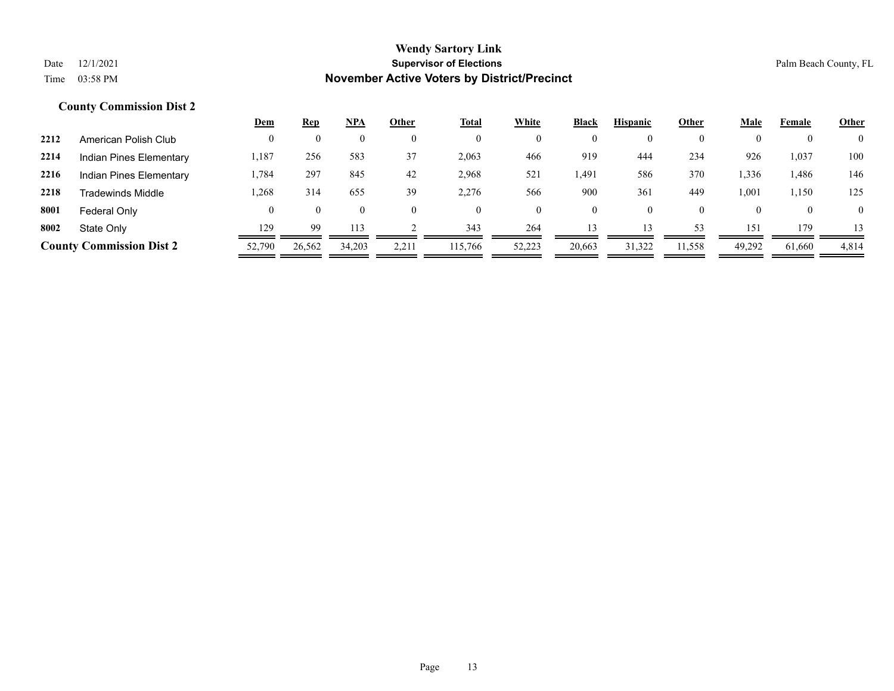|      |                                 | <u>Dem</u> | <b>Rep</b> | NPA      | Other | <b>Total</b> | White  | <b>Black</b>   | <b>Hispanic</b> | Other    | <u>Male</u> | Female | <b>Other</b>   |
|------|---------------------------------|------------|------------|----------|-------|--------------|--------|----------------|-----------------|----------|-------------|--------|----------------|
| 2212 | American Polish Club            |            |            | 0        |       | $\mathbf{0}$ |        | $\mathbf{0}$   | $\theta$        | $\theta$ |             |        | $\overline{0}$ |
| 2214 | Indian Pines Elementary         | 1,187      | 256        | 583      | 37    | 2,063        | 466    | 919            | 444             | 234      | 926         | 1,037  | 100            |
| 2216 | Indian Pines Elementary         | .784       | 297        | 845      | 42    | 2,968        | 521    | 1,491          | 586             | 370      | 1,336       | 1,486  | 146            |
| 2218 | Tradewinds Middle               | .268       | 314        | 655      | 39    | 2,276        | 566    | 900            | 361             | 449      | 1,001       | 1,150  | 125            |
| 8001 | Federal Only                    |            | 0          | $\theta$ |       | $\theta$     |        | $\overline{0}$ | $\theta$        | $\theta$ |             |        | $\overline{0}$ |
| 8002 | State Only                      | 129        | 99         | 113      |       | 343          | 264    | 13             | 13              | 53       | 151         | 179    | 13             |
|      | <b>County Commission Dist 2</b> | 52,790     | 26,562     | 34,203   | 2,211 | 115,766      | 52,223 | 20,663         | 31,322          | 11,558   | 49,292      | 61,660 | 4,814          |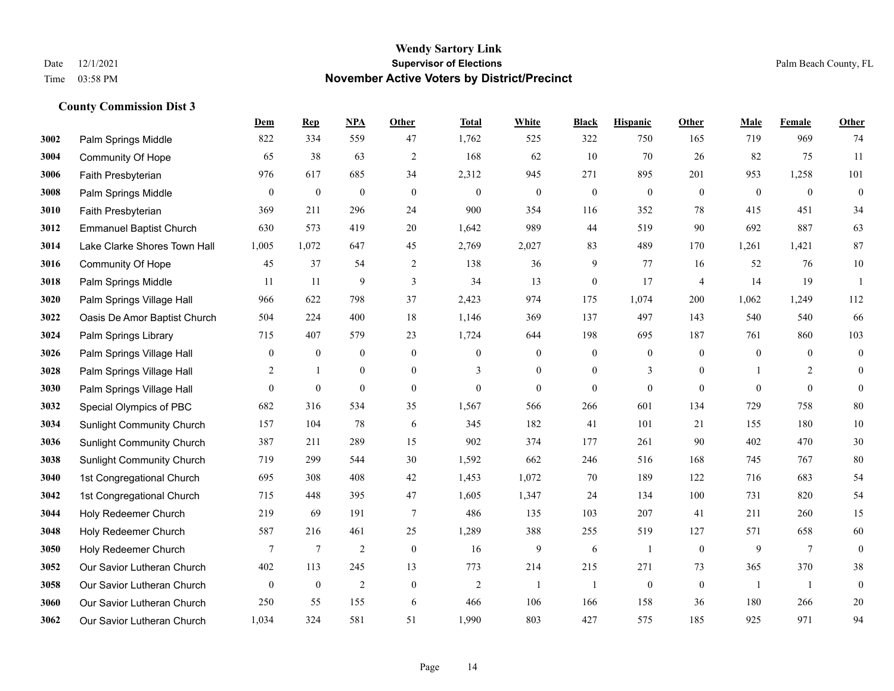|      |                                  | <b>Dem</b>     | <b>Rep</b>       | NPA              | <b>Other</b>     | <b>Total</b>   | <b>White</b>     | <b>Black</b>     | <b>Hispanic</b>  | <b>Other</b>   | <b>Male</b>    | Female          | <b>Other</b>     |
|------|----------------------------------|----------------|------------------|------------------|------------------|----------------|------------------|------------------|------------------|----------------|----------------|-----------------|------------------|
| 3002 | Palm Springs Middle              | 822            | 334              | 559              | 47               | 1,762          | 525              | 322              | 750              | 165            | 719            | 969             | 74               |
| 3004 | Community Of Hope                | 65             | 38               | 63               | $\mathfrak{2}$   | 168            | 62               | 10               | 70               | 26             | 82             | 75              | 11               |
| 3006 | Faith Presbyterian               | 976            | 617              | 685              | 34               | 2,312          | 945              | 271              | 895              | 201            | 953            | 1,258           | 101              |
| 3008 | Palm Springs Middle              | $\mathbf{0}$   | $\boldsymbol{0}$ | $\boldsymbol{0}$ | $\boldsymbol{0}$ | $\overline{0}$ | $\mathbf{0}$     | $\boldsymbol{0}$ | $\boldsymbol{0}$ | $\mathbf{0}$   | $\mathbf{0}$   | $\mathbf{0}$    | $\boldsymbol{0}$ |
| 3010 | Faith Presbyterian               | 369            | 211              | 296              | 24               | 900            | 354              | 116              | 352              | 78             | 415            | 451             | 34               |
| 3012 | <b>Emmanuel Baptist Church</b>   | 630            | 573              | 419              | $20\,$           | 1,642          | 989              | 44               | 519              | 90             | 692            | 887             | 63               |
| 3014 | Lake Clarke Shores Town Hall     | 1,005          | 1,072            | 647              | 45               | 2,769          | 2,027            | 83               | 489              | 170            | 1,261          | 1,421           | 87               |
| 3016 | <b>Community Of Hope</b>         | 45             | 37               | 54               | 2                | 138            | 36               | 9                | 77               | 16             | 52             | 76              | 10               |
| 3018 | Palm Springs Middle              | 11             | 11               | 9                | 3                | 34             | 13               | $\boldsymbol{0}$ | 17               | $\overline{4}$ | 14             | 19              | -1               |
| 3020 | Palm Springs Village Hall        | 966            | 622              | 798              | 37               | 2,423          | 974              | 175              | 1,074            | 200            | 1,062          | 1,249           | 112              |
| 3022 | Oasis De Amor Baptist Church     | 504            | 224              | 400              | 18               | 1,146          | 369              | 137              | 497              | 143            | 540            | 540             | 66               |
| 3024 | Palm Springs Library             | 715            | 407              | 579              | 23               | 1,724          | 644              | 198              | 695              | 187            | 761            | 860             | 103              |
| 3026 | Palm Springs Village Hall        | $\overline{0}$ | $\boldsymbol{0}$ | $\bf{0}$         | $\mathbf{0}$     | $\theta$       | $\overline{0}$   | $\boldsymbol{0}$ | $\mathbf{0}$     | $\theta$       | $\mathbf{0}$   | $\theta$        | $\boldsymbol{0}$ |
| 3028 | Palm Springs Village Hall        | 2              | $\mathbf{1}$     | $\boldsymbol{0}$ | $\boldsymbol{0}$ | 3              | $\boldsymbol{0}$ | $\boldsymbol{0}$ | 3                | $\bf{0}$       |                | 2               | $\boldsymbol{0}$ |
| 3030 | Palm Springs Village Hall        | $\overline{0}$ | $\boldsymbol{0}$ | $\mathbf{0}$     | $\overline{0}$   | $\mathbf{0}$   | $\overline{0}$   | $\mathbf{0}$     | $\mathbf{0}$     | $\overline{0}$ | $\theta$       | $\mathbf{0}$    | $\mathbf{0}$     |
| 3032 | Special Olympics of PBC          | 682            | 316              | 534              | 35               | 1,567          | 566              | 266              | 601              | 134            | 729            | 758             | 80               |
| 3034 | <b>Sunlight Community Church</b> | 157            | 104              | 78               | 6                | 345            | 182              | 41               | 101              | 21             | 155            | 180             | $10\,$           |
| 3036 | <b>Sunlight Community Church</b> | 387            | 211              | 289              | 15               | 902            | 374              | 177              | 261              | 90             | 402            | 470             | $30\,$           |
| 3038 | <b>Sunlight Community Church</b> | 719            | 299              | 544              | 30               | 1,592          | 662              | 246              | 516              | 168            | 745            | 767             | 80               |
| 3040 | 1st Congregational Church        | 695            | 308              | 408              | 42               | 1,453          | 1,072            | 70               | 189              | 122            | 716            | 683             | 54               |
| 3042 | 1st Congregational Church        | 715            | 448              | 395              | 47               | 1,605          | 1,347            | 24               | 134              | 100            | 731            | 820             | 54               |
| 3044 | Holy Redeemer Church             | 219            | 69               | 191              | $\overline{7}$   | 486            | 135              | 103              | 207              | 41             | 211            | 260             | 15               |
| 3048 | Holy Redeemer Church             | 587            | 216              | 461              | 25               | 1,289          | 388              | 255              | 519              | 127            | 571            | 658             | $60\,$           |
| 3050 | Holy Redeemer Church             | 7              | $7\phantom{.0}$  | $\overline{2}$   | $\mathbf{0}$     | 16             | 9                | 6                | 1                | $\mathbf{0}$   | 9              | $7\phantom{.0}$ | $\mathbf{0}$     |
| 3052 | Our Savior Lutheran Church       | 402            | 113              | 245              | 13               | 773            | 214              | 215              | 271              | 73             | 365            | 370             | 38               |
| 3058 | Our Savior Lutheran Church       | $\overline{0}$ | $\mathbf{0}$     | $\overline{2}$   | $\mathbf{0}$     | $\overline{2}$ | -1               | -1               | $\boldsymbol{0}$ | $\mathbf{0}$   | $\overline{1}$ | -1              | $\boldsymbol{0}$ |
| 3060 | Our Savior Lutheran Church       | 250            | 55               | 155              | 6                | 466            | 106              | 166              | 158              | 36             | 180            | 266             | $20\,$           |
| 3062 | Our Savior Lutheran Church       | 1,034          | 324              | 581              | 51               | 1,990          | 803              | 427              | 575              | 185            | 925            | 971             | 94               |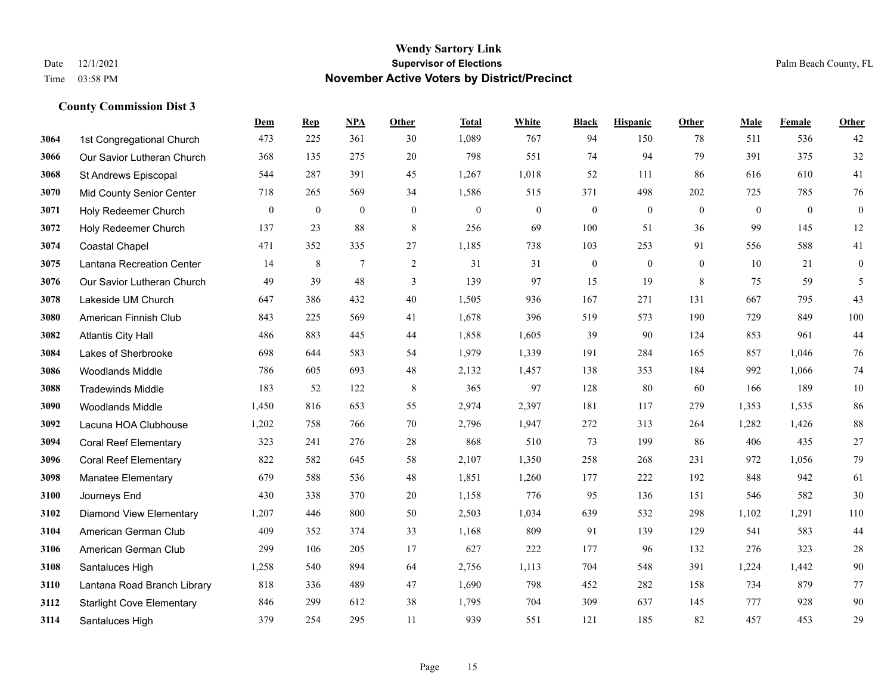|      |                                  | Dem          | <b>Rep</b>       | NPA            | <b>Other</b> | <b>Total</b> | <b>White</b>     | <b>Black</b>     | <b>Hispanic</b> | <b>Other</b> | <b>Male</b>  | Female       | <b>Other</b>     |
|------|----------------------------------|--------------|------------------|----------------|--------------|--------------|------------------|------------------|-----------------|--------------|--------------|--------------|------------------|
| 3064 | 1st Congregational Church        | 473          | 225              | 361            | 30           | 1,089        | 767              | 94               | 150             | 78           | 511          | 536          | 42               |
| 3066 | Our Savior Lutheran Church       | 368          | 135              | 275            | 20           | 798          | 551              | 74               | 94              | 79           | 391          | 375          | 32               |
| 3068 | St Andrews Episcopal             | 544          | 287              | 391            | 45           | 1,267        | 1,018            | 52               | 111             | 86           | 616          | 610          | 41               |
| 3070 | Mid County Senior Center         | 718          | 265              | 569            | 34           | 1,586        | 515              | 371              | 498             | 202          | 725          | 785          | 76               |
| 3071 | Holy Redeemer Church             | $\mathbf{0}$ | $\boldsymbol{0}$ | $\overline{0}$ | $\mathbf{0}$ | $\mathbf{0}$ | $\boldsymbol{0}$ | $\boldsymbol{0}$ | $\mathbf{0}$    | $\theta$     | $\mathbf{0}$ | $\mathbf{0}$ | $\boldsymbol{0}$ |
| 3072 | Holy Redeemer Church             | 137          | 23               | 88             | 8            | 256          | 69               | 100              | 51              | 36           | 99           | 145          | 12               |
| 3074 | Coastal Chapel                   | 471          | 352              | 335            | 27           | 1,185        | 738              | 103              | 253             | 91           | 556          | 588          | 41               |
| 3075 | Lantana Recreation Center        | 14           | 8                | $\tau$         | 2            | 31           | 31               | $\boldsymbol{0}$ | $\mathbf{0}$    | $\theta$     | 10           | 21           | $\mathbf{0}$     |
| 3076 | Our Savior Lutheran Church       | 49           | 39               | 48             | 3            | 139          | 97               | 15               | 19              | 8            | 75           | 59           | 5                |
| 3078 | Lakeside UM Church               | 647          | 386              | 432            | 40           | 1,505        | 936              | 167              | 271             | 131          | 667          | 795          | 43               |
| 3080 | American Finnish Club            | 843          | 225              | 569            | 41           | 1,678        | 396              | 519              | 573             | 190          | 729          | 849          | 100              |
| 3082 | <b>Atlantis City Hall</b>        | 486          | 883              | 445            | 44           | 1,858        | 1,605            | 39               | 90              | 124          | 853          | 961          | $44\,$           |
| 3084 | Lakes of Sherbrooke              | 698          | 644              | 583            | 54           | 1,979        | 1,339            | 191              | 284             | 165          | 857          | 1,046        | $76\,$           |
| 3086 | <b>Woodlands Middle</b>          | 786          | 605              | 693            | 48           | 2,132        | 1,457            | 138              | 353             | 184          | 992          | 1,066        | $74\,$           |
| 3088 | <b>Tradewinds Middle</b>         | 183          | 52               | 122            | 8            | 365          | 97               | 128              | 80              | 60           | 166          | 189          | $10\,$           |
| 3090 | <b>Woodlands Middle</b>          | 1,450        | 816              | 653            | 55           | 2,974        | 2,397            | 181              | 117             | 279          | 1,353        | 1,535        | 86               |
| 3092 | Lacuna HOA Clubhouse             | 1,202        | 758              | 766            | 70           | 2,796        | 1,947            | 272              | 313             | 264          | 1,282        | 1,426        | $88\,$           |
| 3094 | <b>Coral Reef Elementary</b>     | 323          | 241              | 276            | 28           | 868          | 510              | 73               | 199             | 86           | 406          | 435          | 27               |
| 3096 | <b>Coral Reef Elementary</b>     | 822          | 582              | 645            | 58           | 2,107        | 1,350            | 258              | 268             | 231          | 972          | 1,056        | 79               |
| 3098 | Manatee Elementary               | 679          | 588              | 536            | 48           | 1,851        | 1,260            | 177              | 222             | 192          | 848          | 942          | 61               |
| 3100 | Journeys End                     | 430          | 338              | 370            | 20           | 1,158        | 776              | 95               | 136             | 151          | 546          | 582          | 30               |
| 3102 | <b>Diamond View Elementary</b>   | 1,207        | 446              | 800            | 50           | 2,503        | 1,034            | 639              | 532             | 298          | 1,102        | 1,291        | 110              |
| 3104 | American German Club             | 409          | 352              | 374            | 33           | 1,168        | 809              | 91               | 139             | 129          | 541          | 583          | $44\,$           |
| 3106 | American German Club             | 299          | 106              | 205            | 17           | 627          | 222              | 177              | 96              | 132          | 276          | 323          | $28\,$           |
| 3108 | Santaluces High                  | 1,258        | 540              | 894            | 64           | 2,756        | 1,113            | 704              | 548             | 391          | 1,224        | 1,442        | $90\,$           |
| 3110 | Lantana Road Branch Library      | 818          | 336              | 489            | 47           | 1,690        | 798              | 452              | 282             | 158          | 734          | 879          | $77\,$           |
| 3112 | <b>Starlight Cove Elementary</b> | 846          | 299              | 612            | 38           | 1,795        | 704              | 309              | 637             | 145          | 777          | 928          | 90               |
| 3114 | Santaluces High                  | 379          | 254              | 295            | 11           | 939          | 551              | 121              | 185             | 82           | 457          | 453          | 29               |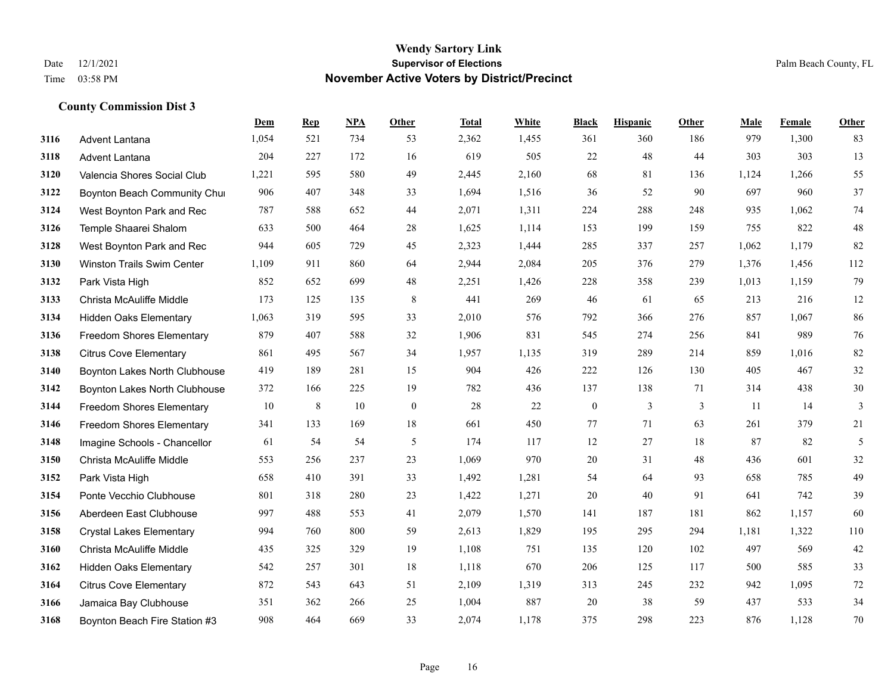|      |                                   | Dem   | <b>Rep</b> | NPA | Other        | <b>Total</b> | <b>White</b> | <b>Black</b>     | <b>Hispanic</b> | Other | <b>Male</b> | Female | <b>Other</b>   |
|------|-----------------------------------|-------|------------|-----|--------------|--------------|--------------|------------------|-----------------|-------|-------------|--------|----------------|
| 3116 | Advent Lantana                    | 1,054 | 521        | 734 | 53           | 2,362        | 1,455        | 361              | 360             | 186   | 979         | 1,300  | 83             |
| 3118 | Advent Lantana                    | 204   | 227        | 172 | 16           | 619          | 505          | 22               | 48              | 44    | 303         | 303    | 13             |
| 3120 | Valencia Shores Social Club       | 1,221 | 595        | 580 | 49           | 2,445        | 2,160        | 68               | 81              | 136   | 1,124       | 1,266  | 55             |
| 3122 | Boynton Beach Community Chui      | 906   | 407        | 348 | 33           | 1,694        | 1,516        | 36               | 52              | 90    | 697         | 960    | 37             |
| 3124 | West Boynton Park and Rec         | 787   | 588        | 652 | 44           | 2,071        | 1,311        | 224              | 288             | 248   | 935         | 1.062  | 74             |
| 3126 | Temple Shaarei Shalom             | 633   | 500        | 464 | 28           | 1,625        | 1,114        | 153              | 199             | 159   | 755         | 822    | 48             |
| 3128 | West Boynton Park and Rec         | 944   | 605        | 729 | 45           | 2,323        | 1,444        | 285              | 337             | 257   | 1,062       | 1,179  | 82             |
| 3130 | <b>Winston Trails Swim Center</b> | 1,109 | 911        | 860 | 64           | 2,944        | 2,084        | 205              | 376             | 279   | 1,376       | 1,456  | 112            |
| 3132 | Park Vista High                   | 852   | 652        | 699 | 48           | 2,251        | 1,426        | 228              | 358             | 239   | 1,013       | 1,159  | 79             |
| 3133 | Christa McAuliffe Middle          | 173   | 125        | 135 | 8            | 441          | 269          | 46               | 61              | 65    | 213         | 216    | 12             |
| 3134 | <b>Hidden Oaks Elementary</b>     | 1,063 | 319        | 595 | 33           | 2,010        | 576          | 792              | 366             | 276   | 857         | 1,067  | 86             |
| 3136 | <b>Freedom Shores Elementary</b>  | 879   | 407        | 588 | 32           | 1,906        | 831          | 545              | 274             | 256   | 841         | 989    | 76             |
| 3138 | <b>Citrus Cove Elementary</b>     | 861   | 495        | 567 | 34           | 1,957        | 1,135        | 319              | 289             | 214   | 859         | 1.016  | 82             |
| 3140 | Boynton Lakes North Clubhouse     | 419   | 189        | 281 | 15           | 904          | 426          | 222              | 126             | 130   | 405         | 467    | $32\,$         |
| 3142 | Boynton Lakes North Clubhouse     | 372   | 166        | 225 | 19           | 782          | 436          | 137              | 138             | 71    | 314         | 438    | 30             |
| 3144 | <b>Freedom Shores Elementary</b>  | 10    | 8          | 10  | $\mathbf{0}$ | 28           | 22           | $\boldsymbol{0}$ | 3               | 3     | 11          | 14     | $\mathfrak{Z}$ |
| 3146 | <b>Freedom Shores Elementary</b>  | 341   | 133        | 169 | 18           | 661          | 450          | 77               | 71              | 63    | 261         | 379    | 21             |
| 3148 | Imagine Schools - Chancellor      | 61    | 54         | 54  | 5            | 174          | 117          | 12               | 27              | 18    | 87          | 82     | $\mathfrak{S}$ |
| 3150 | Christa McAuliffe Middle          | 553   | 256        | 237 | 23           | 1,069        | 970          | 20               | 31              | 48    | 436         | 601    | 32             |
| 3152 | Park Vista High                   | 658   | 410        | 391 | 33           | 1,492        | 1,281        | 54               | 64              | 93    | 658         | 785    | 49             |
| 3154 | Ponte Vecchio Clubhouse           | 801   | 318        | 280 | 23           | 1,422        | 1,271        | 20               | 40              | 91    | 641         | 742    | 39             |
| 3156 | Aberdeen East Clubhouse           | 997   | 488        | 553 | 41           | 2,079        | 1,570        | 141              | 187             | 181   | 862         | 1,157  | 60             |
| 3158 | <b>Crystal Lakes Elementary</b>   | 994   | 760        | 800 | 59           | 2,613        | 1,829        | 195              | 295             | 294   | 1,181       | 1,322  | 110            |
| 3160 | Christa McAuliffe Middle          | 435   | 325        | 329 | 19           | 1,108        | 751          | 135              | 120             | 102   | 497         | 569    | 42             |
| 3162 | <b>Hidden Oaks Elementary</b>     | 542   | 257        | 301 | 18           | 1,118        | 670          | 206              | 125             | 117   | 500         | 585    | 33             |
| 3164 | <b>Citrus Cove Elementary</b>     | 872   | 543        | 643 | 51           | 2,109        | 1,319        | 313              | 245             | 232   | 942         | 1,095  | 72             |
| 3166 | Jamaica Bay Clubhouse             | 351   | 362        | 266 | 25           | 1,004        | 887          | 20               | 38              | 59    | 437         | 533    | 34             |
| 3168 | Boynton Beach Fire Station #3     | 908   | 464        | 669 | 33           | 2,074        | 1,178        | 375              | 298             | 223   | 876         | 1,128  | 70             |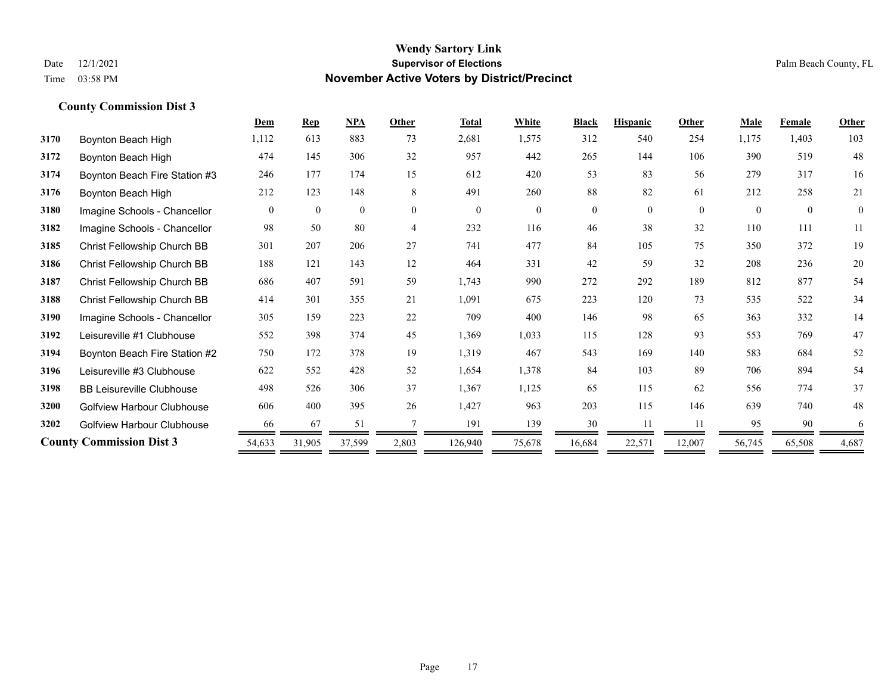|      |                                   | Dem      | <b>Rep</b>   | NPA      | Other    | <b>Total</b> | White          | <b>Black</b> | <b>Hispanic</b> | Other    | <b>Male</b> | Female   | Other        |
|------|-----------------------------------|----------|--------------|----------|----------|--------------|----------------|--------------|-----------------|----------|-------------|----------|--------------|
| 3170 | Boynton Beach High                | 1,112    | 613          | 883      | 73       | 2,681        | 1,575          | 312          | 540             | 254      | 1,175       | 1,403    | 103          |
| 3172 | Boynton Beach High                | 474      | 145          | 306      | 32       | 957          | 442            | 265          | 144             | 106      | 390         | 519      | 48           |
| 3174 | Boynton Beach Fire Station #3     | 246      | 177          | 174      | 15       | 612          | 420            | 53           | 83              | 56       | 279         | 317      | 16           |
| 3176 | Boynton Beach High                | 212      | 123          | 148      | 8        | 491          | 260            | 88           | 82              | 61       | 212         | 258      | 21           |
| 3180 | Imagine Schools - Chancellor      | $\theta$ | $\mathbf{0}$ | $\theta$ | $\theta$ | $\theta$     | $\overline{0}$ | $\mathbf{0}$ | $\theta$        | $\theta$ | $\Omega$    | $\theta$ | $\mathbf{0}$ |
| 3182 | Imagine Schools - Chancellor      | 98       | 50           | 80       | 4        | 232          | 116            | 46           | 38              | 32       | 110         | 111      | 11           |
| 3185 | Christ Fellowship Church BB       | 301      | 207          | 206      | 27       | 741          | 477            | 84           | 105             | 75       | 350         | 372      | 19           |
| 3186 | Christ Fellowship Church BB       | 188      | 121          | 143      | 12       | 464          | 331            | 42           | 59              | 32       | 208         | 236      | 20           |
| 3187 | Christ Fellowship Church BB       | 686      | 407          | 591      | 59       | 1,743        | 990            | 272          | 292             | 189      | 812         | 877      | 54           |
| 3188 | Christ Fellowship Church BB       | 414      | 301          | 355      | 21       | 1,091        | 675            | 223          | 120             | 73       | 535         | 522      | 34           |
| 3190 | Imagine Schools - Chancellor      | 305      | 159          | 223      | 22       | 709          | 400            | 146          | 98              | 65       | 363         | 332      | 14           |
| 3192 | Leisureville #1 Clubhouse         | 552      | 398          | 374      | 45       | 1,369        | 1,033          | 115          | 128             | 93       | 553         | 769      | 47           |
| 3194 | Boynton Beach Fire Station #2     | 750      | 172          | 378      | 19       | 1,319        | 467            | 543          | 169             | 140      | 583         | 684      | 52           |
| 3196 | Leisureville #3 Clubhouse         | 622      | 552          | 428      | 52       | 1,654        | 1,378          | 84           | 103             | 89       | 706         | 894      | 54           |
| 3198 | <b>BB Leisureville Clubhouse</b>  | 498      | 526          | 306      | 37       | 1,367        | 1,125          | 65           | 115             | 62       | 556         | 774      | 37           |
| 3200 | <b>Golfview Harbour Clubhouse</b> | 606      | 400          | 395      | 26       | 1,427        | 963            | 203          | 115             | 146      | 639         | 740      | 48           |
| 3202 | <b>Golfview Harbour Clubhouse</b> | 66       | 67           | 51       |          | 191          | 139            | 30           | 11              | 11       | 95          | 90       | 6            |
|      | <b>County Commission Dist 3</b>   | 54,633   | 31,905       | 37,599   | 2,803    | 126,940      | 75,678         | 16,684       | 22,571          | 12,007   | 56,745      | 65,508   | 4,687        |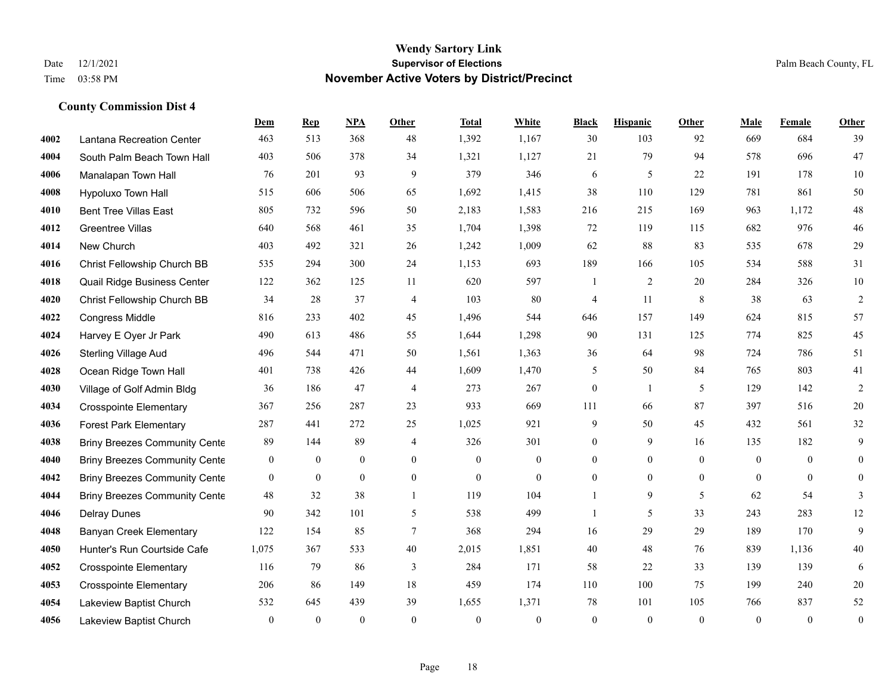|      |                                      | Dem          | <b>Rep</b>       | NPA              | <b>Other</b>     | <b>Total</b> | White            | <b>Black</b>     | <b>Hispanic</b> | <b>Other</b>   | <b>Male</b>    | <b>Female</b>  | <b>Other</b>     |
|------|--------------------------------------|--------------|------------------|------------------|------------------|--------------|------------------|------------------|-----------------|----------------|----------------|----------------|------------------|
| 4002 | Lantana Recreation Center            | 463          | 513              | 368              | 48               | 1,392        | 1,167            | 30               | 103             | 92             | 669            | 684            | 39               |
| 4004 | South Palm Beach Town Hall           | 403          | 506              | 378              | 34               | 1,321        | 1,127            | 21               | 79              | 94             | 578            | 696            | 47               |
| 4006 | Manalapan Town Hall                  | 76           | 201              | 93               | 9                | 379          | 346              | 6                | 5               | 22             | 191            | 178            | 10               |
| 4008 | Hypoluxo Town Hall                   | 515          | 606              | 506              | 65               | 1,692        | 1,415            | 38               | 110             | 129            | 781            | 861            | 50               |
| 4010 | <b>Bent Tree Villas East</b>         | 805          | 732              | 596              | 50               | 2,183        | 1,583            | 216              | 215             | 169            | 963            | 1.172          | 48               |
| 4012 | <b>Greentree Villas</b>              | 640          | 568              | 461              | 35               | 1,704        | 1,398            | 72               | 119             | 115            | 682            | 976            | 46               |
| 4014 | New Church                           | 403          | 492              | 321              | 26               | 1,242        | 1,009            | 62               | 88              | 83             | 535            | 678            | 29               |
| 4016 | Christ Fellowship Church BB          | 535          | 294              | 300              | 24               | 1,153        | 693              | 189              | 166             | 105            | 534            | 588            | 31               |
| 4018 | Quail Ridge Business Center          | 122          | 362              | 125              | 11               | 620          | 597              | -1               | $\overline{2}$  | 20             | 284            | 326            | 10               |
| 4020 | Christ Fellowship Church BB          | 34           | 28               | 37               | $\overline{4}$   | 103          | 80               | 4                | 11              | 8              | 38             | 63             | $\sqrt{2}$       |
| 4022 | Congress Middle                      | 816          | 233              | 402              | 45               | 1,496        | 544              | 646              | 157             | 149            | 624            | 815            | 57               |
| 4024 | Harvey E Oyer Jr Park                | 490          | 613              | 486              | 55               | 1,644        | 1,298            | 90               | 131             | 125            | 774            | 825            | 45               |
| 4026 | <b>Sterling Village Aud</b>          | 496          | 544              | 471              | 50               | 1,561        | 1,363            | 36               | 64              | 98             | 724            | 786            | 51               |
| 4028 | Ocean Ridge Town Hall                | 401          | 738              | 426              | 44               | 1,609        | 1,470            | 5                | 50              | 84             | 765            | 803            | 41               |
| 4030 | Village of Golf Admin Bldg           | 36           | 186              | 47               | $\overline{4}$   | 273          | 267              | $\boldsymbol{0}$ | $\mathbf{1}$    | 5              | 129            | 142            | $\sqrt{2}$       |
| 4034 | <b>Crosspointe Elementary</b>        | 367          | 256              | 287              | 23               | 933          | 669              | 111              | 66              | 87             | 397            | 516            | $20\,$           |
| 4036 | <b>Forest Park Elementary</b>        | 287          | 441              | 272              | 25               | 1,025        | 921              | 9                | 50              | 45             | 432            | 561            | 32               |
| 4038 | <b>Briny Breezes Community Cente</b> | 89           | 144              | 89               | 4                | 326          | 301              | $\boldsymbol{0}$ | 9               | 16             | 135            | 182            | 9                |
| 4040 | <b>Briny Breezes Community Cente</b> | $\mathbf{0}$ | $\bf{0}$         | $\mathbf{0}$     | $\overline{0}$   | $\mathbf{0}$ | $\boldsymbol{0}$ | $\overline{0}$   | $\overline{0}$  | $\overline{0}$ | $\overline{0}$ | $\overline{0}$ | $\mathbf{0}$     |
| 4042 | <b>Briny Breezes Community Cente</b> | $\mathbf{0}$ | $\boldsymbol{0}$ | $\boldsymbol{0}$ | $\boldsymbol{0}$ | $\mathbf{0}$ | $\boldsymbol{0}$ | $\boldsymbol{0}$ | $\overline{0}$  | $\overline{0}$ | $\overline{0}$ | $\mathbf{0}$   | $\boldsymbol{0}$ |
| 4044 | <b>Briny Breezes Community Cente</b> | 48           | 32               | 38               | $\mathbf{1}$     | 119          | 104              | $\mathbf{1}$     | 9               | 5              | 62             | 54             | 3                |
| 4046 | <b>Delray Dunes</b>                  | 90           | 342              | 101              | 5                | 538          | 499              | $\mathbf{1}$     | 5               | 33             | 243            | 283            | 12               |
| 4048 | <b>Banyan Creek Elementary</b>       | 122          | 154              | 85               | 7                | 368          | 294              | 16               | 29              | 29             | 189            | 170            | 9                |
| 4050 | Hunter's Run Courtside Cafe          | 1,075        | 367              | 533              | 40               | 2,015        | 1,851            | 40               | 48              | 76             | 839            | 1,136          | $40\,$           |
| 4052 | <b>Crosspointe Elementary</b>        | 116          | 79               | 86               | 3                | 284          | 171              | 58               | 22              | 33             | 139            | 139            | 6                |
| 4053 | <b>Crosspointe Elementary</b>        | 206          | 86               | 149              | 18               | 459          | 174              | 110              | 100             | 75             | 199            | 240            | $20\,$           |
| 4054 | Lakeview Baptist Church              | 532          | 645              | 439              | 39               | 1,655        | 1,371            | 78               | 101             | 105            | 766            | 837            | 52               |
| 4056 | Lakeview Baptist Church              | $\mathbf{0}$ | $\theta$         | $\mathbf{0}$     | $\theta$         | $\theta$     | $\mathbf{0}$     | $\mathbf{0}$     | $\theta$        | $\theta$       | $\theta$       | $\mathbf{0}$   | $\boldsymbol{0}$ |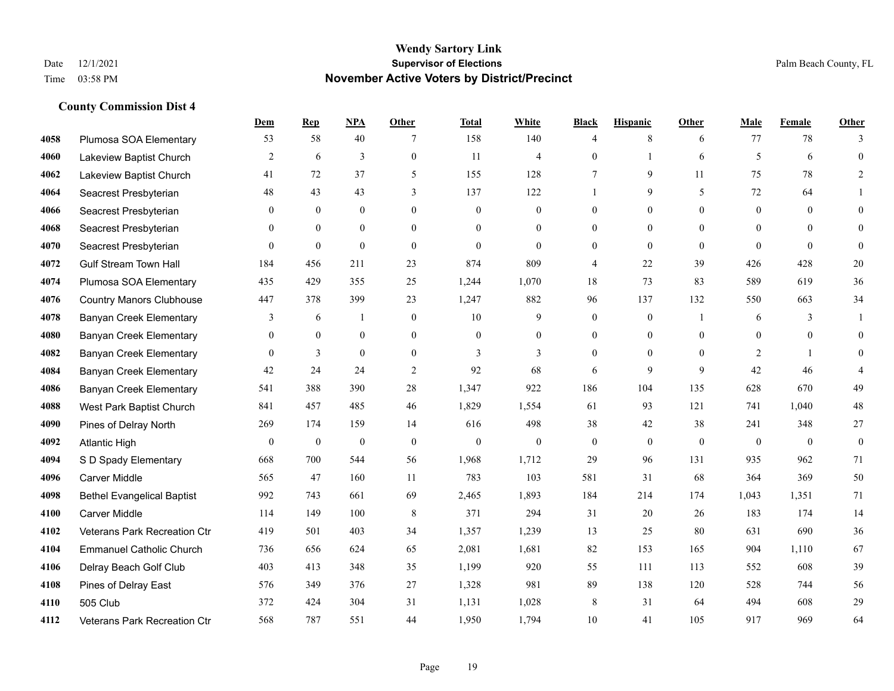|      |                                   | <b>Dem</b>     | <b>Rep</b>     | <u>NPA</u>       | <b>Other</b>   | <b>Total</b> | <b>White</b>     | <b>Black</b>     | <b>Hispanic</b> | <b>Other</b>   | <b>Male</b>    | Female       | <b>Other</b>     |
|------|-----------------------------------|----------------|----------------|------------------|----------------|--------------|------------------|------------------|-----------------|----------------|----------------|--------------|------------------|
| 4058 | Plumosa SOA Elementary            | 53             | 58             | 40               |                | 158          | 140              | $\overline{4}$   | 8               | 6              | 77             | 78           | 3                |
| 4060 | Lakeview Baptist Church           | $\overline{2}$ | 6              | 3                | $\mathbf{0}$   | 11           | $\overline{4}$   | $\mathbf{0}$     | 1               | 6              | 5              | 6            | $\theta$         |
| 4062 | Lakeview Baptist Church           | 41             | 72             | 37               | 5              | 155          | 128              | 7                | 9               | 11             | 75             | 78           | $\overline{2}$   |
| 4064 | Seacrest Presbyterian             | 48             | 43             | 43               | 3              | 137          | 122              |                  | 9               | 5              | 72             | 64           |                  |
| 4066 | Seacrest Presbyterian             | $\Omega$       | $\mathbf{0}$   | $\mathbf{0}$     | $\theta$       | $\Omega$     | $\mathbf{0}$     | $\theta$         | $\theta$        | $\Omega$       | $\theta$       | $\Omega$     | $\theta$         |
| 4068 | Seacrest Presbyterian             | 0              | $\mathbf{0}$   | $\bf{0}$         | $\overline{0}$ | $\theta$     | $\boldsymbol{0}$ | $\overline{0}$   | $\mathbf{0}$    | $\theta$       | $\overline{0}$ | $\theta$     | $\mathbf{0}$     |
| 4070 | Seacrest Presbyterian             | $\overline{0}$ | $\overline{0}$ | $\mathbf{0}$     | $\overline{0}$ | $\Omega$     | $\mathbf{0}$     | $\mathbf{0}$     | $\mathbf{0}$    | $\Omega$       | $\theta$       | $\theta$     | $\mathbf{0}$     |
| 4072 | <b>Gulf Stream Town Hall</b>      | 184            | 456            | 211              | 23             | 874          | 809              | $\overline{4}$   | 22              | 39             | 426            | 428          | 20               |
| 4074 | Plumosa SOA Elementary            | 435            | 429            | 355              | 25             | 1,244        | 1,070            | 18               | 73              | 83             | 589            | 619          | 36               |
| 4076 | <b>Country Manors Clubhouse</b>   | 447            | 378            | 399              | 23             | 1,247        | 882              | 96               | 137             | 132            | 550            | 663          | 34               |
| 4078 | <b>Banyan Creek Elementary</b>    | 3              | 6              | $\mathbf{1}$     | $\mathbf{0}$   | 10           | 9                | $\mathbf{0}$     | $\mathbf{0}$    | $\overline{1}$ | 6              | 3            | $\mathbf{1}$     |
| 4080 | <b>Banyan Creek Elementary</b>    | $\overline{0}$ | $\mathbf{0}$   | $\mathbf{0}$     | $\overline{0}$ | $\Omega$     | $\mathbf{0}$     | $\mathbf{0}$     | $\overline{0}$  | $\theta$       | $\theta$       | $\theta$     | $\theta$         |
| 4082 | <b>Banyan Creek Elementary</b>    | $\theta$       | 3              | $\mathbf{0}$     | $\overline{0}$ | 3            | 3                | $\theta$         | $\theta$        | $\Omega$       | 2              | $\mathbf{1}$ | $\theta$         |
| 4084 | <b>Banyan Creek Elementary</b>    | 42             | 24             | 24               | $\overline{2}$ | 92           | 68               | 6                | 9               | 9              | 42             | 46           |                  |
| 4086 | <b>Banyan Creek Elementary</b>    | 541            | 388            | 390              | 28             | 1,347        | 922              | 186              | 104             | 135            | 628            | 670          | 49               |
| 4088 | West Park Baptist Church          | 841            | 457            | 485              | 46             | 1,829        | 1,554            | 61               | 93              | 121            | 741            | 1,040        | 48               |
| 4090 | Pines of Delray North             | 269            | 174            | 159              | 14             | 616          | 498              | 38               | 42              | 38             | 241            | 348          | 27               |
| 4092 | <b>Atlantic High</b>              | $\overline{0}$ | $\mathbf{0}$   | $\boldsymbol{0}$ | $\mathbf{0}$   | $\theta$     | $\mathbf{0}$     | $\boldsymbol{0}$ | $\mathbf{0}$    | $\theta$       | $\mathbf{0}$   | $\theta$     | $\boldsymbol{0}$ |
| 4094 | S D Spady Elementary              | 668            | 700            | 544              | 56             | 1,968        | 1,712            | 29               | 96              | 131            | 935            | 962          | 71               |
| 4096 | <b>Carver Middle</b>              | 565            | 47             | 160              | 11             | 783          | 103              | 581              | 31              | 68             | 364            | 369          | 50               |
| 4098 | <b>Bethel Evangelical Baptist</b> | 992            | 743            | 661              | 69             | 2,465        | 1,893            | 184              | 214             | 174            | 1,043          | 1,351        | 71               |
| 4100 | <b>Carver Middle</b>              | 114            | 149            | 100              | 8              | 371          | 294              | 31               | 20              | 26             | 183            | 174          | 14               |
| 4102 | Veterans Park Recreation Ctr      | 419            | 501            | 403              | 34             | 1,357        | 1,239            | 13               | 25              | 80             | 631            | 690          | 36               |
| 4104 | <b>Emmanuel Catholic Church</b>   | 736            | 656            | 624              | 65             | 2,081        | 1,681            | 82               | 153             | 165            | 904            | 1,110        | 67               |
| 4106 | Delray Beach Golf Club            | 403            | 413            | 348              | 35             | 1,199        | 920              | 55               | 111             | 113            | 552            | 608          | 39               |
| 4108 | Pines of Delray East              | 576            | 349            | 376              | 27             | 1,328        | 981              | 89               | 138             | 120            | 528            | 744          | 56               |
| 4110 | 505 Club                          | 372            | 424            | 304              | 31             | 1,131        | 1,028            | 8                | 31              | 64             | 494            | 608          | 29               |
| 4112 | Veterans Park Recreation Ctr      | 568            | 787            | 551              | 44             | 1,950        | 1,794            | 10               | 41              | 105            | 917            | 969          | 64               |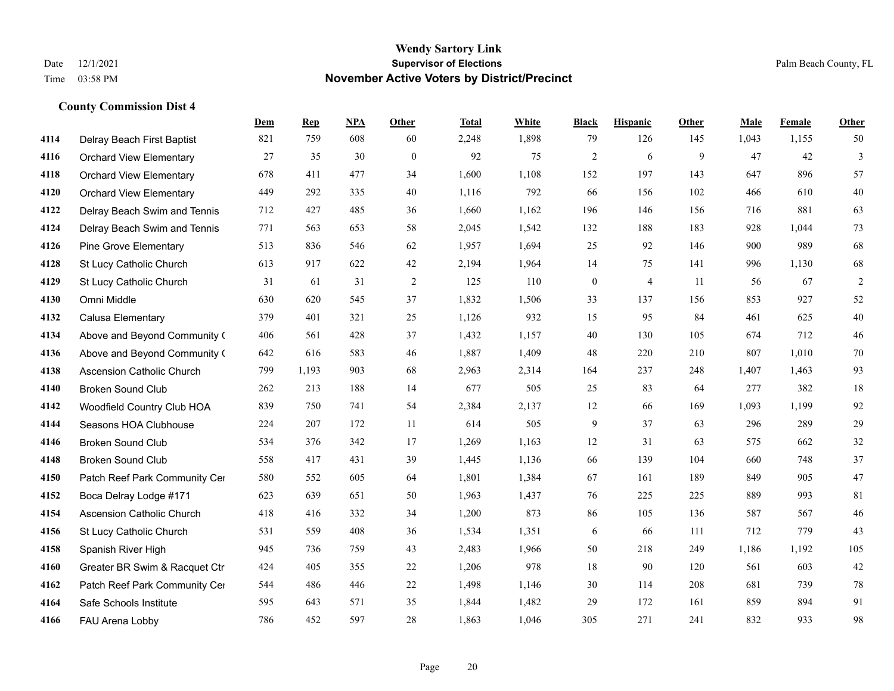|      |                                  | Dem | <b>Rep</b> | NPA | <b>Other</b> | <b>Total</b> | <b>White</b> | <b>Black</b>     | <b>Hispanic</b> | <b>Other</b> | <b>Male</b> | <b>Female</b> | <b>Other</b> |
|------|----------------------------------|-----|------------|-----|--------------|--------------|--------------|------------------|-----------------|--------------|-------------|---------------|--------------|
| 4114 | Delray Beach First Baptist       | 821 | 759        | 608 | 60           | 2,248        | 1,898        | 79               | 126             | 145          | 1,043       | 1,155         | 50           |
| 4116 | <b>Orchard View Elementary</b>   | 27  | 35         | 30  | $\mathbf{0}$ | 92           | 75           | $\overline{c}$   | 6               | 9            | 47          | 42            | 3            |
| 4118 | <b>Orchard View Elementary</b>   | 678 | 411        | 477 | 34           | 1,600        | 1,108        | 152              | 197             | 143          | 647         | 896           | 57           |
| 4120 | <b>Orchard View Elementary</b>   | 449 | 292        | 335 | 40           | 1,116        | 792          | 66               | 156             | 102          | 466         | 610           | $40\,$       |
| 4122 | Delray Beach Swim and Tennis     | 712 | 427        | 485 | 36           | 1,660        | 1,162        | 196              | 146             | 156          | 716         | 881           | 63           |
| 4124 | Delray Beach Swim and Tennis     | 771 | 563        | 653 | 58           | 2,045        | 1,542        | 132              | 188             | 183          | 928         | 1,044         | 73           |
| 4126 | <b>Pine Grove Elementary</b>     | 513 | 836        | 546 | 62           | 1,957        | 1,694        | 25               | 92              | 146          | 900         | 989           | 68           |
| 4128 | St Lucy Catholic Church          | 613 | 917        | 622 | 42           | 2,194        | 1,964        | 14               | 75              | 141          | 996         | 1,130         | 68           |
| 4129 | St Lucy Catholic Church          | 31  | 61         | 31  | 2            | 125          | 110          | $\boldsymbol{0}$ | $\overline{4}$  | 11           | 56          | 67            | $\sqrt{2}$   |
| 4130 | Omni Middle                      | 630 | 620        | 545 | 37           | 1,832        | 1,506        | 33               | 137             | 156          | 853         | 927           | 52           |
| 4132 | Calusa Elementary                | 379 | 401        | 321 | 25           | 1,126        | 932          | 15               | 95              | 84           | 461         | 625           | 40           |
| 4134 | Above and Beyond Community (     | 406 | 561        | 428 | 37           | 1,432        | 1,157        | 40               | 130             | 105          | 674         | 712           | 46           |
| 4136 | Above and Beyond Community (     | 642 | 616        | 583 | 46           | 1,887        | 1,409        | 48               | 220             | 210          | 807         | 1,010         | 70           |
| 4138 | <b>Ascension Catholic Church</b> | 799 | 1,193      | 903 | 68           | 2,963        | 2,314        | 164              | 237             | 248          | 1,407       | 1,463         | 93           |
| 4140 | <b>Broken Sound Club</b>         | 262 | 213        | 188 | 14           | 677          | 505          | 25               | 83              | 64           | 277         | 382           | 18           |
| 4142 | Woodfield Country Club HOA       | 839 | 750        | 741 | 54           | 2,384        | 2,137        | 12               | 66              | 169          | 1,093       | 1,199         | 92           |
| 4144 | Seasons HOA Clubhouse            | 224 | 207        | 172 | 11           | 614          | 505          | 9                | 37              | 63           | 296         | 289           | 29           |
| 4146 | <b>Broken Sound Club</b>         | 534 | 376        | 342 | 17           | 1,269        | 1,163        | 12               | 31              | 63           | 575         | 662           | 32           |
| 4148 | <b>Broken Sound Club</b>         | 558 | 417        | 431 | 39           | 1,445        | 1,136        | 66               | 139             | 104          | 660         | 748           | 37           |
| 4150 | Patch Reef Park Community Cer    | 580 | 552        | 605 | 64           | 1,801        | 1,384        | 67               | 161             | 189          | 849         | 905           | 47           |
| 4152 | Boca Delray Lodge #171           | 623 | 639        | 651 | 50           | 1,963        | 1,437        | 76               | 225             | 225          | 889         | 993           | 81           |
| 4154 | Ascension Catholic Church        | 418 | 416        | 332 | 34           | 1,200        | 873          | 86               | 105             | 136          | 587         | 567           | 46           |
| 4156 | St Lucy Catholic Church          | 531 | 559        | 408 | 36           | 1,534        | 1,351        | 6                | 66              | 111          | 712         | 779           | 43           |
| 4158 | Spanish River High               | 945 | 736        | 759 | 43           | 2,483        | 1,966        | 50               | 218             | 249          | 1,186       | 1,192         | 105          |
| 4160 | Greater BR Swim & Racquet Ctr    | 424 | 405        | 355 | 22           | 1,206        | 978          | 18               | 90              | 120          | 561         | 603           | $42\,$       |
| 4162 | Patch Reef Park Community Cer    | 544 | 486        | 446 | $22\,$       | 1,498        | 1,146        | 30               | 114             | 208          | 681         | 739           | 78           |
| 4164 | Safe Schools Institute           | 595 | 643        | 571 | 35           | 1,844        | 1,482        | 29               | 172             | 161          | 859         | 894           | 91           |
| 4166 | FAU Arena Lobby                  | 786 | 452        | 597 | 28           | 1,863        | 1,046        | 305              | 271             | 241          | 832         | 933           | 98           |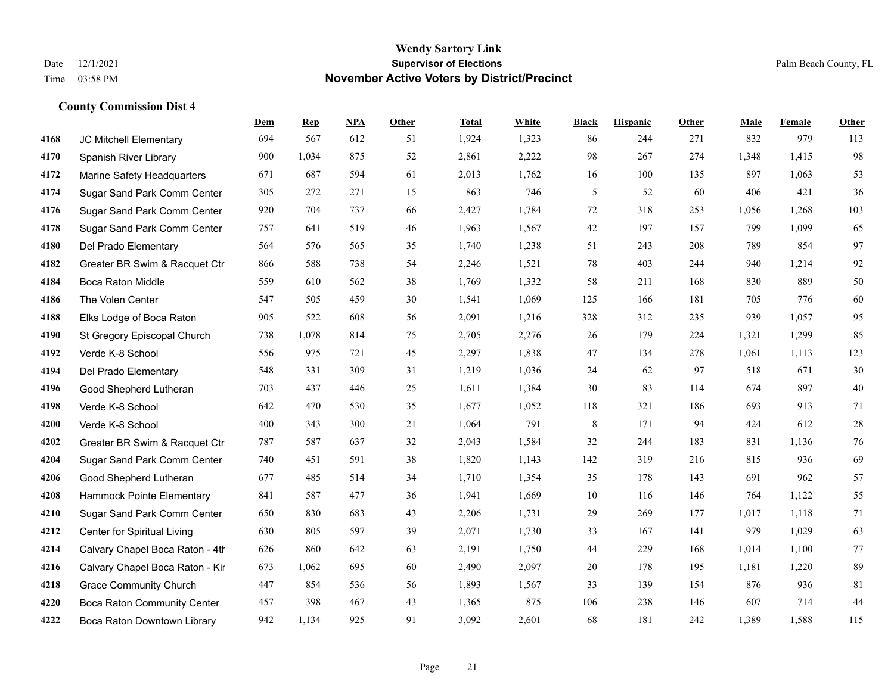|      |                                    | Dem | <b>Rep</b> | NPA | <b>Other</b> | <b>Total</b> | <b>White</b> | <b>Black</b> | <b>Hispanic</b> | <b>Other</b> | <b>Male</b> | <b>Female</b> | <b>Other</b> |
|------|------------------------------------|-----|------------|-----|--------------|--------------|--------------|--------------|-----------------|--------------|-------------|---------------|--------------|
| 4168 | JC Mitchell Elementary             | 694 | 567        | 612 | 51           | 1,924        | 1,323        | 86           | 244             | 271          | 832         | 979           | 113          |
| 4170 | Spanish River Library              | 900 | 1,034      | 875 | 52           | 2,861        | 2,222        | 98           | 267             | 274          | 1,348       | 1,415         | 98           |
| 4172 | Marine Safety Headquarters         | 671 | 687        | 594 | 61           | 2,013        | 1,762        | 16           | 100             | 135          | 897         | 1,063         | 53           |
| 4174 | Sugar Sand Park Comm Center        | 305 | 272        | 271 | 15           | 863          | 746          | 5            | 52              | 60           | 406         | 421           | 36           |
| 4176 | Sugar Sand Park Comm Center        | 920 | 704        | 737 | 66           | 2,427        | 1,784        | 72           | 318             | 253          | 1,056       | 1.268         | 103          |
| 4178 | Sugar Sand Park Comm Center        | 757 | 641        | 519 | 46           | 1,963        | 1,567        | 42           | 197             | 157          | 799         | 1,099         | 65           |
| 4180 | Del Prado Elementary               | 564 | 576        | 565 | 35           | 1,740        | 1,238        | 51           | 243             | 208          | 789         | 854           | 97           |
| 4182 | Greater BR Swim & Racquet Ctr      | 866 | 588        | 738 | 54           | 2,246        | 1,521        | 78           | 403             | 244          | 940         | 1,214         | 92           |
| 4184 | <b>Boca Raton Middle</b>           | 559 | 610        | 562 | 38           | 1,769        | 1,332        | 58           | 211             | 168          | 830         | 889           | $50\,$       |
| 4186 | The Volen Center                   | 547 | 505        | 459 | 30           | 1,541        | 1,069        | 125          | 166             | 181          | 705         | 776           | 60           |
| 4188 | Elks Lodge of Boca Raton           | 905 | 522        | 608 | 56           | 2,091        | 1,216        | 328          | 312             | 235          | 939         | 1,057         | 95           |
| 4190 | St Gregory Episcopal Church        | 738 | 1,078      | 814 | 75           | 2,705        | 2,276        | 26           | 179             | 224          | 1,321       | 1,299         | 85           |
| 4192 | Verde K-8 School                   | 556 | 975        | 721 | 45           | 2,297        | 1,838        | 47           | 134             | 278          | 1,061       | 1,113         | 123          |
| 4194 | Del Prado Elementary               | 548 | 331        | 309 | 31           | 1,219        | 1,036        | 24           | 62              | 97           | 518         | 671           | $30\,$       |
| 4196 | Good Shepherd Lutheran             | 703 | 437        | 446 | 25           | 1,611        | 1,384        | 30           | 83              | 114          | 674         | 897           | $40\,$       |
| 4198 | Verde K-8 School                   | 642 | 470        | 530 | 35           | 1,677        | 1,052        | 118          | 321             | 186          | 693         | 913           | 71           |
| 4200 | Verde K-8 School                   | 400 | 343        | 300 | 21           | 1,064        | 791          | $\,8\,$      | 171             | 94           | 424         | 612           | $28\,$       |
| 4202 | Greater BR Swim & Racquet Ctr      | 787 | 587        | 637 | 32           | 2,043        | 1,584        | 32           | 244             | 183          | 831         | 1,136         | 76           |
| 4204 | Sugar Sand Park Comm Center        | 740 | 451        | 591 | 38           | 1,820        | 1,143        | 142          | 319             | 216          | 815         | 936           | 69           |
| 4206 | Good Shepherd Lutheran             | 677 | 485        | 514 | 34           | 1,710        | 1,354        | 35           | 178             | 143          | 691         | 962           | 57           |
| 4208 | Hammock Pointe Elementary          | 841 | 587        | 477 | 36           | 1,941        | 1,669        | 10           | 116             | 146          | 764         | 1,122         | 55           |
| 4210 | Sugar Sand Park Comm Center        | 650 | 830        | 683 | 43           | 2,206        | 1,731        | 29           | 269             | 177          | 1,017       | 1,118         | 71           |
| 4212 | Center for Spiritual Living        | 630 | 805        | 597 | 39           | 2,071        | 1,730        | 33           | 167             | 141          | 979         | 1,029         | 63           |
| 4214 | Calvary Chapel Boca Raton - 4th    | 626 | 860        | 642 | 63           | 2,191        | 1,750        | 44           | 229             | 168          | 1,014       | 1,100         | 77           |
| 4216 | Calvary Chapel Boca Raton - Kir    | 673 | 1.062      | 695 | 60           | 2,490        | 2,097        | 20           | 178             | 195          | 1,181       | 1,220         | 89           |
| 4218 | <b>Grace Community Church</b>      | 447 | 854        | 536 | 56           | 1,893        | 1,567        | 33           | 139             | 154          | 876         | 936           | 81           |
| 4220 | <b>Boca Raton Community Center</b> | 457 | 398        | 467 | 43           | 1,365        | 875          | 106          | 238             | 146          | 607         | 714           | 44           |
| 4222 | Boca Raton Downtown Library        | 942 | 1,134      | 925 | 91           | 3,092        | 2,601        | 68           | 181             | 242          | 1,389       | 1,588         | 115          |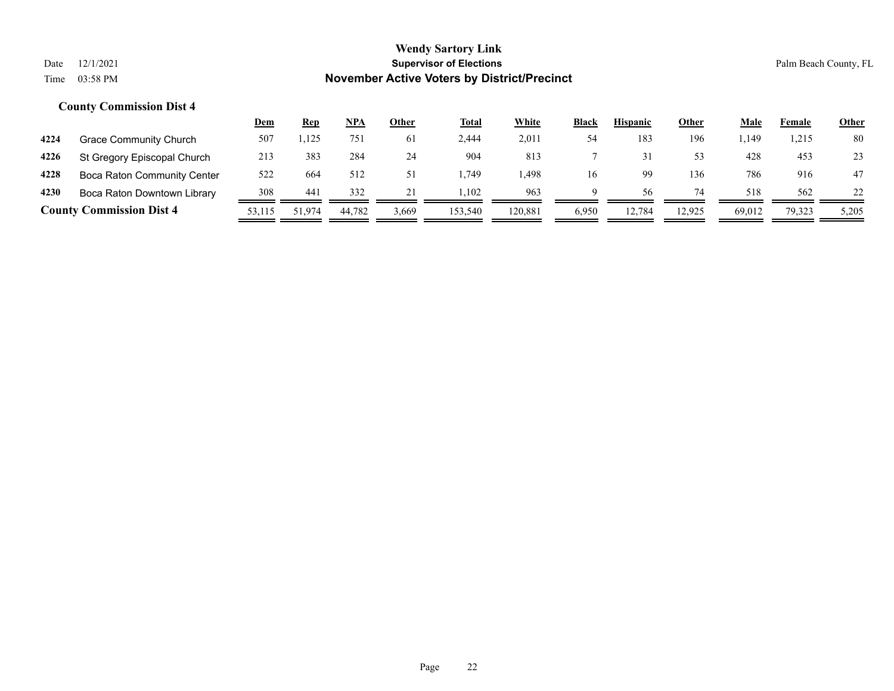|      |                                 | <u>Dem</u> | <b>Rep</b> | NPA    | Other | <b>Total</b> | White   | <b>Black</b> | <b>Hispanic</b> | Other  | Male   | Female | <u>Other</u> |
|------|---------------------------------|------------|------------|--------|-------|--------------|---------|--------------|-----------------|--------|--------|--------|--------------|
| 4224 | Grace Community Church          | 507        | 1,125      | 751    | 6 I   | 2,444        | 2,011   | 54           | 183             | 196    | . 149ء | 1,215  | 80           |
| 4226 | St Gregory Episcopal Church     | 213        | 383        | 284    | 24    | 904          | 813     |              |                 | 53     | 428    | 453    | 23           |
| 4228 | Boca Raton Community Center     | 522        | 664        | 512    |       | .749         | .498    | 16           | 99              | 136    | 786    | 916    | 47           |
| 4230 | Boca Raton Downtown Library     | 308        | 441        | 332    |       | .102         | 963     | Q            | 56              | 74     | 518    | 562    | 22           |
|      | <b>County Commission Dist 4</b> | 53.115     | 51.974     | 44.782 | 3,669 | 153,540      | 120.881 | 6,950        | 12.784          | 12.925 | 69,012 | 79,323 | 5,205        |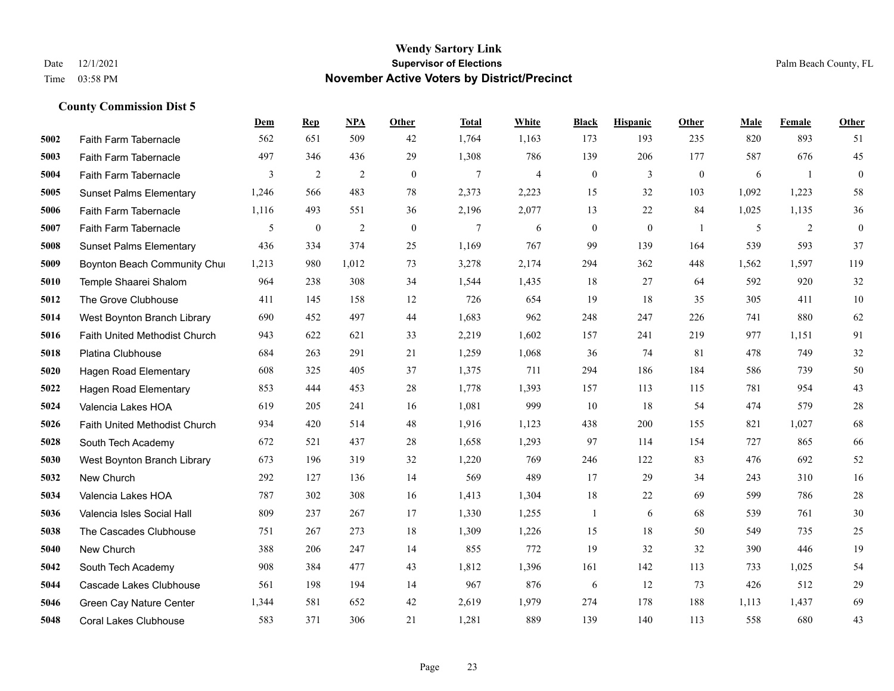|      |                                      | Dem   | <b>Rep</b>     | NPA        | <b>Other</b> | <b>Total</b> | White | <b>Black</b>     | <b>Hispanic</b>  | Other          | <b>Male</b> | Female | <b>Other</b>     |
|------|--------------------------------------|-------|----------------|------------|--------------|--------------|-------|------------------|------------------|----------------|-------------|--------|------------------|
| 5002 | Faith Farm Tabernacle                | 562   | 651            | 509        | 42           | 1,764        | 1,163 | 173              | 193              | 235            | 820         | 893    | 51               |
| 5003 | Faith Farm Tabernacle                | 497   | 346            | 436        | 29           | 1,308        | 786   | 139              | 206              | 177            | 587         | 676    | 45               |
| 5004 | Faith Farm Tabernacle                | 3     | $\overline{c}$ | $\sqrt{2}$ | $\mathbf{0}$ | 7            | 4     | $\boldsymbol{0}$ | 3                | $\overline{0}$ | 6           | -1     | $\boldsymbol{0}$ |
| 5005 | <b>Sunset Palms Elementary</b>       | 1,246 | 566            | 483        | 78           | 2,373        | 2,223 | 15               | 32               | 103            | 1,092       | 1,223  | 58               |
| 5006 | Faith Farm Tabernacle                | 1,116 | 493            | 551        | 36           | 2,196        | 2,077 | 13               | 22               | 84             | 1,025       | 1,135  | 36               |
| 5007 | Faith Farm Tabernacle                | 5     | $\bf{0}$       | 2          | $\mathbf{0}$ | 7            | 6     | $\boldsymbol{0}$ | $\boldsymbol{0}$ | -1             | 5           | 2      | $\boldsymbol{0}$ |
| 5008 | <b>Sunset Palms Elementary</b>       | 436   | 334            | 374        | 25           | 1,169        | 767   | 99               | 139              | 164            | 539         | 593    | 37               |
| 5009 | Boynton Beach Community Chur         | 1,213 | 980            | 1,012      | 73           | 3,278        | 2,174 | 294              | 362              | 448            | 1,562       | 1.597  | 119              |
| 5010 | Temple Shaarei Shalom                | 964   | 238            | 308        | 34           | 1,544        | 1,435 | 18               | 27               | 64             | 592         | 920    | 32               |
| 5012 | The Grove Clubhouse                  | 411   | 145            | 158        | 12           | 726          | 654   | 19               | 18               | 35             | 305         | 411    | $10\,$           |
| 5014 | West Boynton Branch Library          | 690   | 452            | 497        | 44           | 1,683        | 962   | 248              | 247              | 226            | 741         | 880    | 62               |
| 5016 | <b>Faith United Methodist Church</b> | 943   | 622            | 621        | 33           | 2,219        | 1,602 | 157              | 241              | 219            | 977         | 1,151  | 91               |
| 5018 | Platina Clubhouse                    | 684   | 263            | 291        | 21           | 1,259        | 1,068 | 36               | 74               | 81             | 478         | 749    | $32\,$           |
| 5020 | Hagen Road Elementary                | 608   | 325            | 405        | 37           | 1,375        | 711   | 294              | 186              | 184            | 586         | 739    | $50\,$           |
| 5022 | <b>Hagen Road Elementary</b>         | 853   | 444            | 453        | 28           | 1,778        | 1,393 | 157              | 113              | 115            | 781         | 954    | $43\,$           |
| 5024 | Valencia Lakes HOA                   | 619   | 205            | 241        | 16           | 1,081        | 999   | 10               | 18               | 54             | 474         | 579    | $28\,$           |
| 5026 | Faith United Methodist Church        | 934   | 420            | 514        | 48           | 1,916        | 1,123 | 438              | 200              | 155            | 821         | 1,027  | 68               |
| 5028 | South Tech Academy                   | 672   | 521            | 437        | 28           | 1,658        | 1,293 | 97               | 114              | 154            | 727         | 865    | 66               |
| 5030 | West Boynton Branch Library          | 673   | 196            | 319        | 32           | 1,220        | 769   | 246              | 122              | 83             | 476         | 692    | 52               |
| 5032 | New Church                           | 292   | 127            | 136        | 14           | 569          | 489   | 17               | 29               | 34             | 243         | 310    | 16               |
| 5034 | Valencia Lakes HOA                   | 787   | 302            | 308        | 16           | 1,413        | 1,304 | 18               | 22               | 69             | 599         | 786    | $28\,$           |
| 5036 | Valencia Isles Social Hall           | 809   | 237            | 267        | 17           | 1,330        | 1,255 | $\mathbf{1}$     | 6                | 68             | 539         | 761    | 30               |
| 5038 | The Cascades Clubhouse               | 751   | 267            | 273        | 18           | 1,309        | 1,226 | 15               | 18               | 50             | 549         | 735    | $25\,$           |
| 5040 | New Church                           | 388   | 206            | 247        | 14           | 855          | 772   | 19               | 32               | 32             | 390         | 446    | 19               |
| 5042 | South Tech Academy                   | 908   | 384            | 477        | 43           | 1,812        | 1,396 | 161              | 142              | 113            | 733         | 1.025  | 54               |
| 5044 | Cascade Lakes Clubhouse              | 561   | 198            | 194        | 14           | 967          | 876   | 6                | 12               | 73             | 426         | 512    | 29               |
| 5046 | Green Cay Nature Center              | 1,344 | 581            | 652        | 42           | 2,619        | 1,979 | 274              | 178              | 188            | 1,113       | 1,437  | 69               |
| 5048 | <b>Coral Lakes Clubhouse</b>         | 583   | 371            | 306        | 21           | 1,281        | 889   | 139              | 140              | 113            | 558         | 680    | 43               |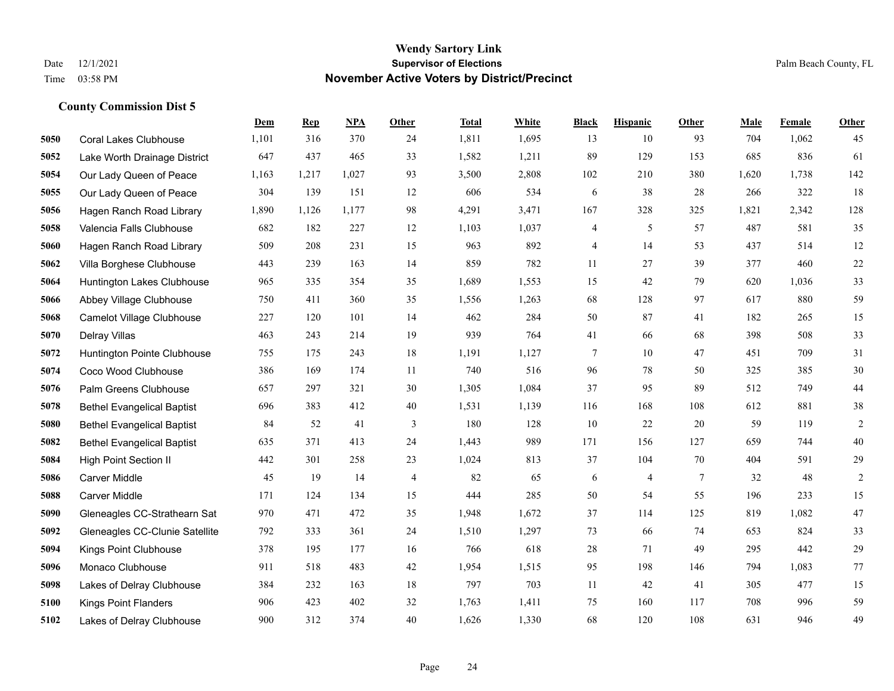|      |                                   | Dem   | <b>Rep</b> | NPA   | <b>Other</b> | <b>Total</b> | <b>White</b> | <b>Black</b> | <b>Hispanic</b> | <b>Other</b>   | <b>Male</b> | Female | <b>Other</b>   |
|------|-----------------------------------|-------|------------|-------|--------------|--------------|--------------|--------------|-----------------|----------------|-------------|--------|----------------|
| 5050 | <b>Coral Lakes Clubhouse</b>      | 1,101 | 316        | 370   | 24           | 1,811        | 1,695        | 13           | 10              | 93             | 704         | 1,062  | 45             |
| 5052 | Lake Worth Drainage District      | 647   | 437        | 465   | 33           | 1,582        | 1,211        | 89           | 129             | 153            | 685         | 836    | 61             |
| 5054 | Our Lady Queen of Peace           | 1,163 | 1,217      | 1,027 | 93           | 3,500        | 2,808        | 102          | 210             | 380            | 1,620       | 1,738  | 142            |
| 5055 | Our Lady Queen of Peace           | 304   | 139        | 151   | 12           | 606          | 534          | 6            | 38              | 28             | 266         | 322    | 18             |
| 5056 | Hagen Ranch Road Library          | 1,890 | 1,126      | 1.177 | 98           | 4,291        | 3,471        | 167          | 328             | 325            | 1,821       | 2,342  | 128            |
| 5058 | Valencia Falls Clubhouse          | 682   | 182        | 227   | 12           | 1,103        | 1,037        | 4            | 5               | 57             | 487         | 581    | 35             |
| 5060 | Hagen Ranch Road Library          | 509   | 208        | 231   | 15           | 963          | 892          | 4            | 14              | 53             | 437         | 514    | 12             |
| 5062 | Villa Borghese Clubhouse          | 443   | 239        | 163   | 14           | 859          | 782          | 11           | 27              | 39             | 377         | 460    | 22             |
| 5064 | Huntington Lakes Clubhouse        | 965   | 335        | 354   | 35           | 1,689        | 1,553        | 15           | 42              | 79             | 620         | 1,036  | 33             |
| 5066 | Abbey Village Clubhouse           | 750   | 411        | 360   | 35           | 1,556        | 1,263        | 68           | 128             | 97             | 617         | 880    | 59             |
| 5068 | <b>Camelot Village Clubhouse</b>  | 227   | 120        | 101   | 14           | 462          | 284          | 50           | 87              | 41             | 182         | 265    | 15             |
| 5070 | Delray Villas                     | 463   | 243        | 214   | 19           | 939          | 764          | 41           | 66              | 68             | 398         | 508    | 33             |
| 5072 | Huntington Pointe Clubhouse       | 755   | 175        | 243   | 18           | 1,191        | 1,127        | 7            | 10              | 47             | 451         | 709    | 31             |
| 5074 | Coco Wood Clubhouse               | 386   | 169        | 174   | 11           | 740          | 516          | 96           | 78              | 50             | 325         | 385    | $30\,$         |
| 5076 | Palm Greens Clubhouse             | 657   | 297        | 321   | 30           | 1,305        | 1,084        | 37           | 95              | 89             | 512         | 749    | 44             |
| 5078 | <b>Bethel Evangelical Baptist</b> | 696   | 383        | 412   | 40           | 1,531        | 1,139        | 116          | 168             | 108            | 612         | 881    | $38\,$         |
| 5080 | <b>Bethel Evangelical Baptist</b> | 84    | 52         | 41    | 3            | 180          | 128          | 10           | 22              | 20             | 59          | 119    | $\overline{c}$ |
| 5082 | <b>Bethel Evangelical Baptist</b> | 635   | 371        | 413   | 24           | 1,443        | 989          | 171          | 156             | 127            | 659         | 744    | 40             |
| 5084 | <b>High Point Section II</b>      | 442   | 301        | 258   | 23           | 1,024        | 813          | 37           | 104             | 70             | 404         | 591    | 29             |
| 5086 | Carver Middle                     | 45    | 19         | 14    | 4            | 82           | 65           | 6            | $\overline{4}$  | $\overline{7}$ | 32          | 48     | $\overline{2}$ |
| 5088 | <b>Carver Middle</b>              | 171   | 124        | 134   | 15           | 444          | 285          | 50           | 54              | 55             | 196         | 233    | 15             |
| 5090 | Gleneagles CC-Strathearn Sat      | 970   | 471        | 472   | 35           | 1,948        | 1,672        | 37           | 114             | 125            | 819         | 1,082  | 47             |
| 5092 | Gleneagles CC-Clunie Satellite    | 792   | 333        | 361   | 24           | 1,510        | 1,297        | 73           | 66              | 74             | 653         | 824    | 33             |
| 5094 | Kings Point Clubhouse             | 378   | 195        | 177   | 16           | 766          | 618          | 28           | 71              | 49             | 295         | 442    | 29             |
| 5096 | Monaco Clubhouse                  | 911   | 518        | 483   | 42           | 1,954        | 1,515        | 95           | 198             | 146            | 794         | 1,083  | 77             |
| 5098 | Lakes of Delray Clubhouse         | 384   | 232        | 163   | 18           | 797          | 703          | 11           | 42              | 41             | 305         | 477    | 15             |
| 5100 | <b>Kings Point Flanders</b>       | 906   | 423        | 402   | 32           | 1,763        | 1,411        | 75           | 160             | 117            | 708         | 996    | 59             |
| 5102 | Lakes of Delray Clubhouse         | 900   | 312        | 374   | 40           | 1,626        | 1,330        | 68           | 120             | 108            | 631         | 946    | 49             |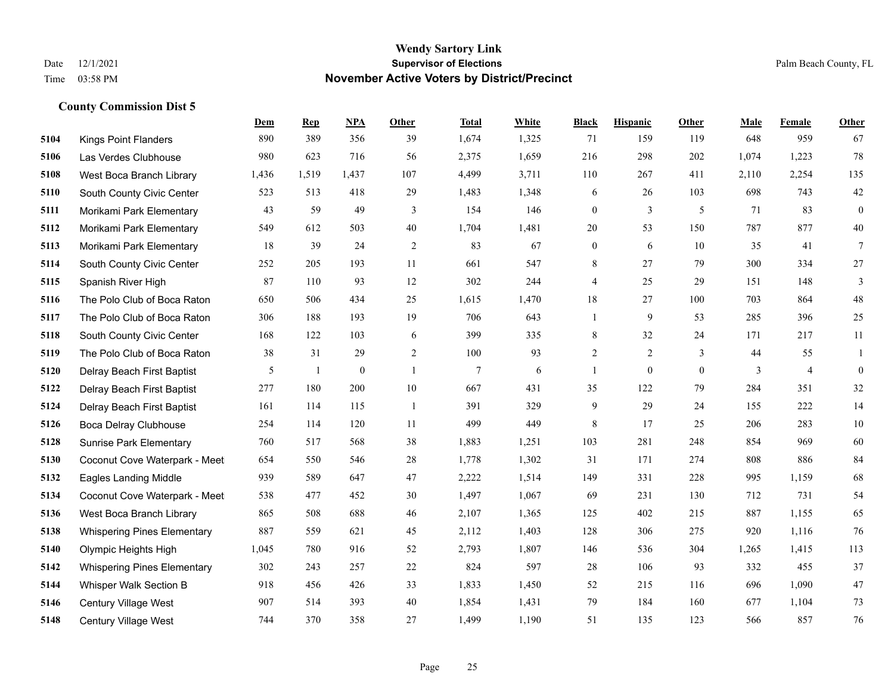|      |                                    | Dem   | <b>Rep</b> | NPA              | <b>Other</b>   | <b>Total</b> | White | <b>Black</b>     | <b>Hispanic</b> | <b>Other</b> | <b>Male</b> | <b>Female</b>  | <b>Other</b>     |
|------|------------------------------------|-------|------------|------------------|----------------|--------------|-------|------------------|-----------------|--------------|-------------|----------------|------------------|
| 5104 | <b>Kings Point Flanders</b>        | 890   | 389        | 356              | 39             | 1,674        | 1,325 | 71               | 159             | 119          | 648         | 959            | 67               |
| 5106 | Las Verdes Clubhouse               | 980   | 623        | 716              | 56             | 2,375        | 1,659 | 216              | 298             | 202          | 1,074       | 1,223          | 78               |
| 5108 | West Boca Branch Library           | 1,436 | 1,519      | 1,437            | 107            | 4,499        | 3,711 | 110              | 267             | 411          | 2,110       | 2,254          | 135              |
| 5110 | South County Civic Center          | 523   | 513        | 418              | 29             | 1,483        | 1,348 | 6                | 26              | 103          | 698         | 743            | $42\,$           |
| 5111 | Morikami Park Elementary           | 43    | 59         | 49               | 3              | 154          | 146   | $\mathbf{0}$     | 3               | 5            | 71          | 83             | $\boldsymbol{0}$ |
| 5112 | Morikami Park Elementary           | 549   | 612        | 503              | 40             | 1,704        | 1,481 | 20               | 53              | 150          | 787         | 877            | $40\,$           |
| 5113 | Morikami Park Elementary           | 18    | 39         | 24               | 2              | 83           | 67    | $\boldsymbol{0}$ | 6               | 10           | 35          | 41             | $\tau$           |
| 5114 | South County Civic Center          | 252   | 205        | 193              | 11             | 661          | 547   | 8                | 27              | 79           | 300         | 334            | 27               |
| 5115 | Spanish River High                 | 87    | 110        | 93               | 12             | 302          | 244   | 4                | 25              | 29           | 151         | 148            | 3                |
| 5116 | The Polo Club of Boca Raton        | 650   | 506        | 434              | 25             | 1,615        | 1,470 | 18               | 27              | 100          | 703         | 864            | $48\,$           |
| 5117 | The Polo Club of Boca Raton        | 306   | 188        | 193              | 19             | 706          | 643   | 1                | 9               | 53           | 285         | 396            | 25               |
| 5118 | South County Civic Center          | 168   | 122        | 103              | 6              | 399          | 335   | 8                | 32              | 24           | 171         | 217            | 11               |
| 5119 | The Polo Club of Boca Raton        | 38    | 31         | 29               | 2              | 100          | 93    | $\overline{c}$   | $\overline{2}$  | 3            | 44          | 55             | 1                |
| 5120 | Delray Beach First Baptist         | 5     | -1         | $\boldsymbol{0}$ | $\overline{1}$ | 7            | 6     | 1                | $\mathbf{0}$    | $\mathbf{0}$ | 3           | $\overline{4}$ | $\mathbf{0}$     |
| 5122 | Delray Beach First Baptist         | 277   | 180        | 200              | 10             | 667          | 431   | 35               | 122             | 79           | 284         | 351            | 32               |
| 5124 | Delray Beach First Baptist         | 161   | 114        | 115              | -1             | 391          | 329   | 9                | 29              | 24           | 155         | 222            | 14               |
| 5126 | Boca Delray Clubhouse              | 254   | 114        | 120              | 11             | 499          | 449   | $\,8\,$          | 17              | 25           | 206         | 283            | $10\,$           |
| 5128 | <b>Sunrise Park Elementary</b>     | 760   | 517        | 568              | 38             | 1,883        | 1,251 | 103              | 281             | 248          | 854         | 969            | 60               |
| 5130 | Coconut Cove Waterpark - Meet      | 654   | 550        | 546              | $28\,$         | 1,778        | 1,302 | 31               | 171             | 274          | 808         | 886            | 84               |
| 5132 | <b>Eagles Landing Middle</b>       | 939   | 589        | 647              | 47             | 2,222        | 1,514 | 149              | 331             | 228          | 995         | 1,159          | 68               |
| 5134 | Coconut Cove Waterpark - Meet      | 538   | 477        | 452              | 30             | 1,497        | 1,067 | 69               | 231             | 130          | 712         | 731            | 54               |
| 5136 | West Boca Branch Library           | 865   | 508        | 688              | 46             | 2,107        | 1,365 | 125              | 402             | 215          | 887         | 1,155          | 65               |
| 5138 | <b>Whispering Pines Elementary</b> | 887   | 559        | 621              | 45             | 2,112        | 1,403 | 128              | 306             | 275          | 920         | 1,116          | 76               |
| 5140 | Olympic Heights High               | 1,045 | 780        | 916              | 52             | 2,793        | 1,807 | 146              | 536             | 304          | 1,265       | 1,415          | 113              |
| 5142 | <b>Whispering Pines Elementary</b> | 302   | 243        | 257              | 22             | 824          | 597   | 28               | 106             | 93           | 332         | 455            | 37               |
| 5144 | Whisper Walk Section B             | 918   | 456        | 426              | 33             | 1,833        | 1,450 | 52               | 215             | 116          | 696         | 1,090          | 47               |
| 5146 | <b>Century Village West</b>        | 907   | 514        | 393              | 40             | 1,854        | 1,431 | 79               | 184             | 160          | 677         | 1,104          | 73               |
| 5148 | <b>Century Village West</b>        | 744   | 370        | 358              | 27             | 1,499        | 1,190 | 51               | 135             | 123          | 566         | 857            | 76               |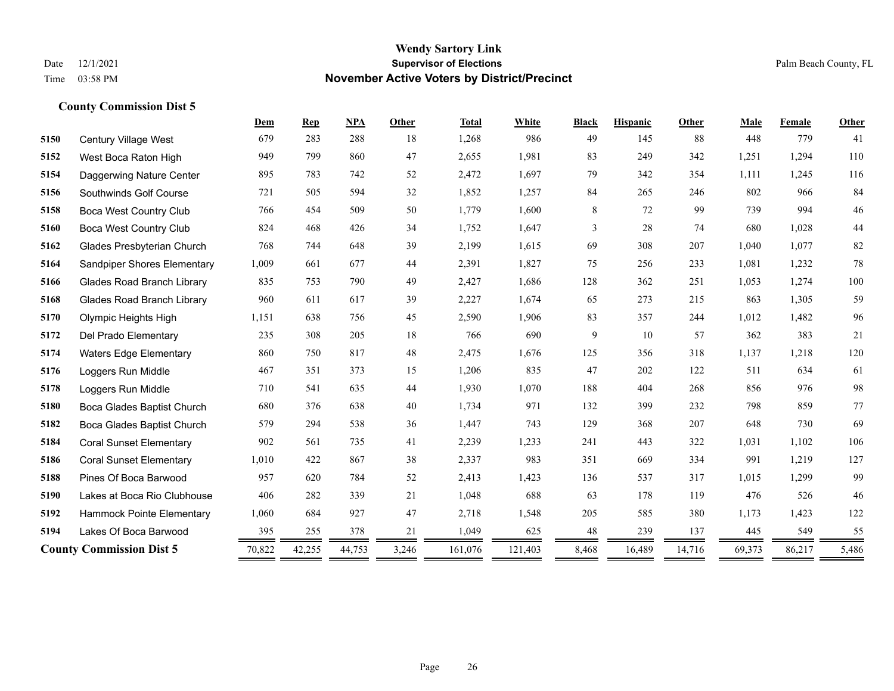|      |                                    | Dem    | <b>Rep</b> | <b>NPA</b> | Other | <b>Total</b> | White   | <b>Black</b> | <b>Hispanic</b> | Other  | Male   | Female | <b>Other</b> |
|------|------------------------------------|--------|------------|------------|-------|--------------|---------|--------------|-----------------|--------|--------|--------|--------------|
| 5150 | Century Village West               | 679    | 283        | 288        | 18    | 1,268        | 986     | 49           | 145             | 88     | 448    | 779    | 41           |
| 5152 | West Boca Raton High               | 949    | 799        | 860        | 47    | 2,655        | 1,981   | 83           | 249             | 342    | 1,251  | 1,294  | 110          |
| 5154 | Daggerwing Nature Center           | 895    | 783        | 742        | 52    | 2,472        | 1,697   | 79           | 342             | 354    | 1,111  | 1,245  | 116          |
| 5156 | Southwinds Golf Course             | 721    | 505        | 594        | 32    | 1,852        | 1,257   | 84           | 265             | 246    | 802    | 966    | 84           |
| 5158 | <b>Boca West Country Club</b>      | 766    | 454        | 509        | 50    | 1,779        | 1,600   | 8            | 72              | 99     | 739    | 994    | $46\,$       |
| 5160 | <b>Boca West Country Club</b>      | 824    | 468        | 426        | 34    | 1,752        | 1,647   | 3            | 28              | 74     | 680    | 1,028  | $44\,$       |
| 5162 | Glades Presbyterian Church         | 768    | 744        | 648        | 39    | 2,199        | 1,615   | 69           | 308             | 207    | 1,040  | 1,077  | $82\,$       |
| 5164 | <b>Sandpiper Shores Elementary</b> | 1,009  | 661        | 677        | 44    | 2,391        | 1,827   | 75           | 256             | 233    | 1.081  | 1,232  | 78           |
| 5166 | <b>Glades Road Branch Library</b>  | 835    | 753        | 790        | 49    | 2,427        | 1,686   | 128          | 362             | 251    | 1,053  | 1,274  | 100          |
| 5168 | <b>Glades Road Branch Library</b>  | 960    | 611        | 617        | 39    | 2,227        | 1,674   | 65           | 273             | 215    | 863    | 1,305  | 59           |
| 5170 | Olympic Heights High               | 1,151  | 638        | 756        | 45    | 2,590        | 1,906   | 83           | 357             | 244    | 1,012  | 1,482  | 96           |
| 5172 | Del Prado Elementary               | 235    | 308        | 205        | 18    | 766          | 690     | 9            | 10              | 57     | 362    | 383    | 21           |
| 5174 | <b>Waters Edge Elementary</b>      | 860    | 750        | 817        | 48    | 2,475        | 1,676   | 125          | 356             | 318    | 1,137  | 1,218  | 120          |
| 5176 | Loggers Run Middle                 | 467    | 351        | 373        | 15    | 1,206        | 835     | 47           | 202             | 122    | 511    | 634    | 61           |
| 5178 | Loggers Run Middle                 | 710    | 541        | 635        | 44    | 1,930        | 1,070   | 188          | 404             | 268    | 856    | 976    | 98           |
| 5180 | Boca Glades Baptist Church         | 680    | 376        | 638        | 40    | 1,734        | 971     | 132          | 399             | 232    | 798    | 859    | 77           |
| 5182 | Boca Glades Baptist Church         | 579    | 294        | 538        | 36    | 1,447        | 743     | 129          | 368             | 207    | 648    | 730    | 69           |
| 5184 | <b>Coral Sunset Elementary</b>     | 902    | 561        | 735        | 41    | 2,239        | 1,233   | 241          | 443             | 322    | 1,031  | 1,102  | 106          |
| 5186 | <b>Coral Sunset Elementary</b>     | 1,010  | 422        | 867        | 38    | 2,337        | 983     | 351          | 669             | 334    | 991    | 1,219  | 127          |
| 5188 | Pines Of Boca Barwood              | 957    | 620        | 784        | 52    | 2,413        | 1,423   | 136          | 537             | 317    | 1,015  | 1,299  | 99           |
| 5190 | Lakes at Boca Rio Clubhouse        | 406    | 282        | 339        | 21    | 1,048        | 688     | 63           | 178             | 119    | 476    | 526    | 46           |
| 5192 | Hammock Pointe Elementary          | 1,060  | 684        | 927        | 47    | 2,718        | 1,548   | 205          | 585             | 380    | 1,173  | 1,423  | 122          |
| 5194 | Lakes Of Boca Barwood              | 395    | 255        | 378        | 21    | 1,049        | 625     | 48           | 239             | 137    | 445    | 549    | 55           |
|      | <b>County Commission Dist 5</b>    | 70,822 | 42,255     | 44,753     | 3,246 | 161,076      | 121,403 | 8,468        | 16,489          | 14,716 | 69,373 | 86,217 | 5,486        |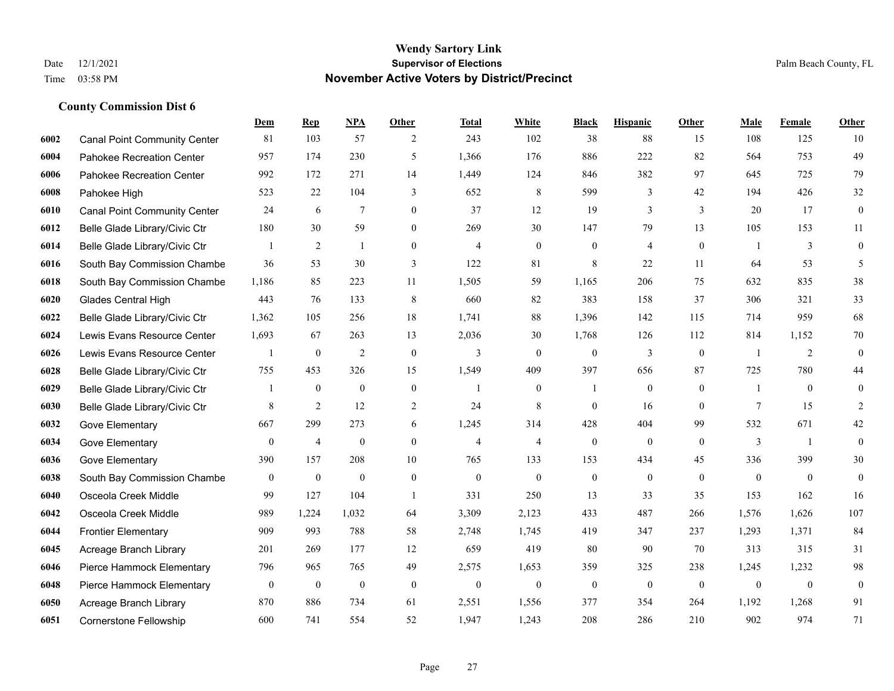**County Commission Dist 6**

#### **Wendy Sartory Link** Date 12/1/2021 **Supervisor of Elections** Palm Beach County, FL Time 03:58 PM **November Active Voters by District/Precinct**

# **Dem Rep NPA Other Total White Black Hispanic Other Male Female Other** Canal Point Community Center 81 103 57 2 243 102 38 88 15 108 125 10 Pahokee Recreation Center 957 174 230 5 1,366 176 886 222 82 564 753 49 Pahokee Recreation Center 992 172 271 14 1,449 124 846 382 97 645 725 79 Pahokee High 523 22 104 3 652 8 599 3 42 194 426 32 Canal Point Community Center 24 6 7 0 37 12 19 3 3 20 17 0 Belle Glade Library/Civic Ctr 180 30 59 0 269 30 147 79 13 105 153 11 Belle Glade Library/Civic Ctr  $\begin{array}{cccccccc} 1 & 2 & 1 & 0 & 4 & 0 & 0 & 4 & 0 & 1 & 3 & 0 \end{array}$  South Bay Commission Chambe 36 53 30 3 122 81 8 22 11 64 53 5 South Bay Commission Chambe 1,186 85 223 11 1,505 59 1,165 206 75 632 835 38 Glades Central High 443 76 133 8 660 82 383 158 37 306 321 33 Belle Glade Library/Civic Ctr 1,362 105 256 18 1,741 88 1,396 142 115 714 959 68 Lewis Evans Resource Center 1,693 67 263 13 2,036 30 1,768 126 112 814 1,152 70 Lewis Evans Resource Center  $\begin{array}{ccccccccccccc} & 1 & 0 & 2 & 0 & 3 & 0 & 0 & 3 & 0 & 1 & 2 & 0 \end{array}$  Belle Glade Library/Civic Ctr 755 453 326 15 1,549 409 397 656 87 725 780 44 Belle Glade Library/Civic Ctr 1 0 0 0 1 0 1 0 0 1 0 0 Belle Glade Library/Civic Ctr 8 2 12 2 24 8 0 16 0 7 15 2 Gove Elementary 667 299 273 6 1,245 314 428 404 99 532 671 42 Gove Elementary 0 4 0 4 4 0 0 0 3 1 0 Gove Elementary 390 157 208 10 765 133 153 434 45 336 399 30 South Bay Commission Chambers 0 0 0 0 0 0 0 0 0 0 0 0 Osceola Creek Middle 99 127 104 1 331 250 13 33 35 153 162 16 Osceola Creek Middle 989 1,224 1,032 64 3,309 2,123 433 487 266 1,576 1,626 107 Frontier Elementary 909 993 788 58 2,748 1,745 419 347 237 1,293 1,371 84 Acreage Branch Library 201 269 177 12 659 419 80 90 70 313 315 31 Pierce Hammock Elementary 796 965 765 49 2,575 1,653 359 325 238 1,245 1,232 98 Pierce Hammock Elementary 0 0 0 0 0 0 0 0 0 0 0 0 Acreage Branch Library 870 886 734 61 2,551 1,556 377 354 264 1,192 1,268 91 Cornerstone Fellowship 600 741 554 52 1,947 1,243 208 286 210 902 974 71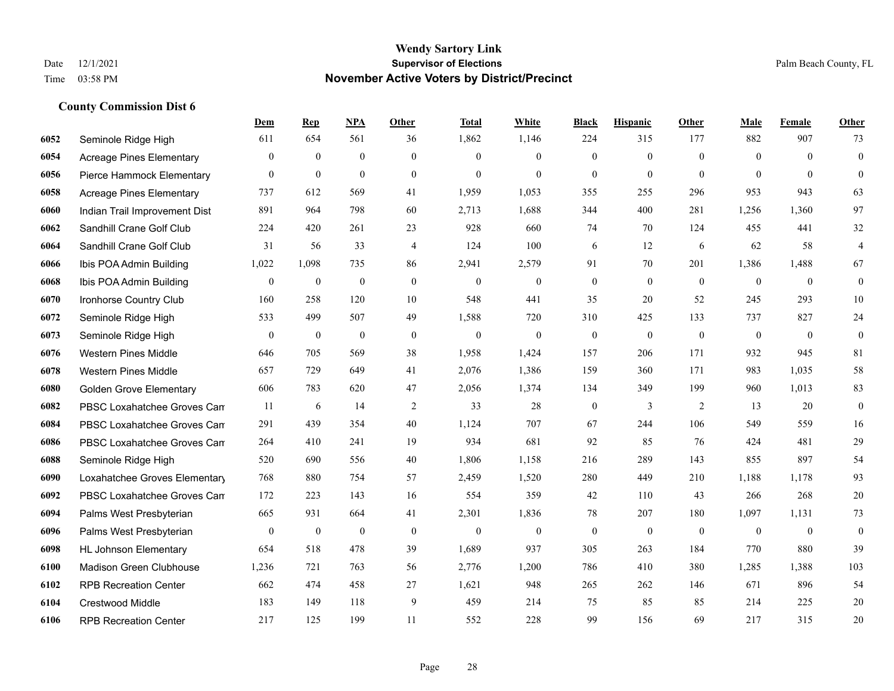|      |                                 | Dem              | <b>Rep</b>       | NPA              | Other            | <b>Total</b>     | <b>White</b>     | <b>Black</b>     | <b>Hispanic</b>  | <b>Other</b> | <b>Male</b>      | Female       | <b>Other</b>     |
|------|---------------------------------|------------------|------------------|------------------|------------------|------------------|------------------|------------------|------------------|--------------|------------------|--------------|------------------|
| 6052 | Seminole Ridge High             | 611              | 654              | 561              | 36               | 1,862            | 1,146            | 224              | 315              | 177          | 882              | 907          | 73               |
| 6054 | <b>Acreage Pines Elementary</b> | $\overline{0}$   | $\mathbf{0}$     | $\overline{0}$   | $\overline{0}$   | $\theta$         | $\mathbf{0}$     | $\mathbf{0}$     | $\overline{0}$   | $\theta$     | $\theta$         | $\theta$     | $\overline{0}$   |
| 6056 | Pierce Hammock Elementary       | $\overline{0}$   | $\mathbf{0}$     | $\mathbf{0}$     | $\theta$         | $\theta$         | $\theta$         | $\theta$         | $\overline{0}$   | $\Omega$     | $\Omega$         | $\Omega$     | $\theta$         |
| 6058 | <b>Acreage Pines Elementary</b> | 737              | 612              | 569              | 41               | 1,959            | 1,053            | 355              | 255              | 296          | 953              | 943          | 63               |
| 6060 | Indian Trail Improvement Dist   | 891              | 964              | 798              | 60               | 2,713            | 1,688            | 344              | 400              | 281          | 1,256            | 1,360        | 97               |
| 6062 | Sandhill Crane Golf Club        | 224              | 420              | 261              | 23               | 928              | 660              | 74               | 70               | 124          | 455              | 441          | 32               |
| 6064 | Sandhill Crane Golf Club        | 31               | 56               | 33               | 4                | 124              | 100              | 6                | 12               | 6            | 62               | 58           | $\overline{4}$   |
| 6066 | Ibis POA Admin Building         | 1,022            | 1,098            | 735              | 86               | 2,941            | 2,579            | 91               | 70               | 201          | 1,386            | 1,488        | 67               |
| 6068 | Ibis POA Admin Building         | $\boldsymbol{0}$ | $\mathbf{0}$     | $\mathbf{0}$     | $\boldsymbol{0}$ | $\mathbf{0}$     | $\boldsymbol{0}$ | $\mathbf{0}$     | $\mathbf{0}$     | $\mathbf{0}$ | $\mathbf{0}$     | $\mathbf{0}$ | $\boldsymbol{0}$ |
| 6070 | Ironhorse Country Club          | 160              | 258              | 120              | 10               | 548              | 441              | 35               | 20               | 52           | 245              | 293          | 10               |
| 6072 | Seminole Ridge High             | 533              | 499              | 507              | 49               | 1,588            | 720              | 310              | 425              | 133          | 737              | 827          | 24               |
| 6073 | Seminole Ridge High             | $\boldsymbol{0}$ | $\boldsymbol{0}$ | $\boldsymbol{0}$ | $\mathbf{0}$     | $\boldsymbol{0}$ | $\boldsymbol{0}$ | $\boldsymbol{0}$ | $\boldsymbol{0}$ | $\mathbf{0}$ | $\boldsymbol{0}$ | $\mathbf{0}$ | $\boldsymbol{0}$ |
| 6076 | <b>Western Pines Middle</b>     | 646              | 705              | 569              | 38               | 1,958            | 1,424            | 157              | 206              | 171          | 932              | 945          | 81               |
| 6078 | <b>Western Pines Middle</b>     | 657              | 729              | 649              | 41               | 2,076            | 1,386            | 159              | 360              | 171          | 983              | 1,035        | 58               |
| 6080 | <b>Golden Grove Elementary</b>  | 606              | 783              | 620              | 47               | 2,056            | 1,374            | 134              | 349              | 199          | 960              | 1,013        | 83               |
| 6082 | PBSC Loxahatchee Groves Can     | 11               | 6                | 14               | $\overline{c}$   | 33               | 28               | $\boldsymbol{0}$ | 3                | 2            | 13               | 20           | $\boldsymbol{0}$ |
| 6084 | PBSC Loxahatchee Groves Can     | 291              | 439              | 354              | 40               | 1,124            | 707              | 67               | 244              | 106          | 549              | 559          | 16               |
| 6086 | PBSC Loxahatchee Groves Can     | 264              | 410              | 241              | 19               | 934              | 681              | 92               | 85               | 76           | 424              | 481          | 29               |
| 6088 | Seminole Ridge High             | 520              | 690              | 556              | 40               | 1,806            | 1,158            | 216              | 289              | 143          | 855              | 897          | 54               |
| 6090 | Loxahatchee Groves Elementary   | 768              | 880              | 754              | 57               | 2,459            | 1,520            | 280              | 449              | 210          | 1,188            | 1.178        | 93               |
| 6092 | PBSC Loxahatchee Groves Can     | 172              | 223              | 143              | 16               | 554              | 359              | 42               | 110              | 43           | 266              | 268          | 20               |
| 6094 | Palms West Presbyterian         | 665              | 931              | 664              | 41               | 2,301            | 1,836            | 78               | 207              | 180          | 1,097            | 1,131        | 73               |
| 6096 | Palms West Presbyterian         | $\overline{0}$   | $\mathbf{0}$     | $\mathbf{0}$     | $\mathbf{0}$     | $\mathbf{0}$     | $\mathbf{0}$     | $\boldsymbol{0}$ | $\mathbf{0}$     | $\theta$     | $\overline{0}$   | $\mathbf{0}$ | $\boldsymbol{0}$ |
| 6098 | <b>HL Johnson Elementary</b>    | 654              | 518              | 478              | 39               | 1,689            | 937              | 305              | 263              | 184          | 770              | 880          | 39               |
| 6100 | <b>Madison Green Clubhouse</b>  | 1,236            | 721              | 763              | 56               | 2,776            | 1,200            | 786              | 410              | 380          | 1,285            | 1,388        | 103              |
| 6102 | <b>RPB Recreation Center</b>    | 662              | 474              | 458              | 27               | 1,621            | 948              | 265              | 262              | 146          | 671              | 896          | 54               |
| 6104 | Crestwood Middle                | 183              | 149              | 118              | 9                | 459              | 214              | 75               | 85               | 85           | 214              | 225          | 20               |
| 6106 | <b>RPB Recreation Center</b>    | 217              | 125              | 199              | 11               | 552              | 228              | 99               | 156              | 69           | 217              | 315          | 20               |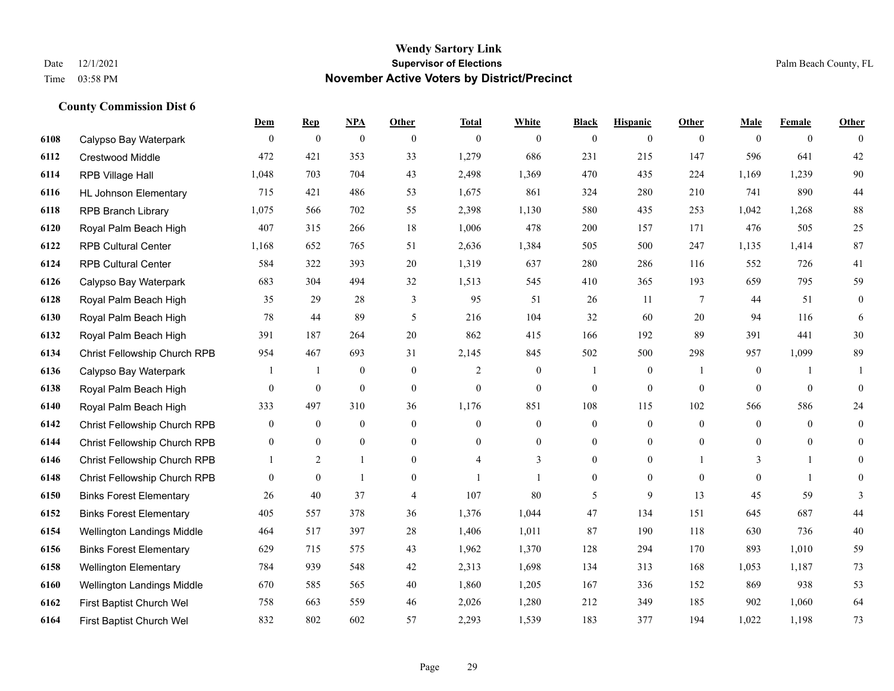**County Commission Dist 6**

## **Wendy Sartory Link** Date 12/1/2021 **Supervisor of Elections** Palm Beach County, FL Time 03:58 PM **November Active Voters by District/Precinct**

|      |                                | Dem            | <b>Rep</b>       | NPA              | <b>Other</b>     | <b>Total</b>     | White            | <b>Black</b>     | <b>Hispanic</b> | <b>Other</b>     | Male             | <b>Female</b>  | <b>Other</b>     |
|------|--------------------------------|----------------|------------------|------------------|------------------|------------------|------------------|------------------|-----------------|------------------|------------------|----------------|------------------|
| 6108 | Calypso Bay Waterpark          | $\mathbf{0}$   | $\boldsymbol{0}$ | $\boldsymbol{0}$ | $\theta$         | $\mathbf{0}$     | $\overline{0}$   | $\mathbf{0}$     | $\overline{0}$  | $\mathbf{0}$     | $\mathbf{0}$     | $\mathbf{0}$   | $\theta$         |
| 6112 | <b>Crestwood Middle</b>        | 472            | 421              | 353              | 33               | 1,279            | 686              | 231              | 215             | 147              | 596              | 641            | $42\,$           |
| 6114 | RPB Village Hall               | 1,048          | 703              | 704              | 43               | 2,498            | 1,369            | 470              | 435             | 224              | 1,169            | 1,239          | $90\,$           |
| 6116 | <b>HL Johnson Elementary</b>   | 715            | 421              | 486              | 53               | 1,675            | 861              | 324              | 280             | 210              | 741              | 890            | $44\,$           |
| 6118 | <b>RPB Branch Library</b>      | 1,075          | 566              | 702              | 55               | 2,398            | 1,130            | 580              | 435             | 253              | 1,042            | 1,268          | $88\,$           |
| 6120 | Royal Palm Beach High          | 407            | 315              | 266              | 18               | 1,006            | 478              | 200              | 157             | 171              | 476              | 505            | $25\,$           |
| 6122 | <b>RPB Cultural Center</b>     | 1,168          | 652              | 765              | 51               | 2,636            | 1,384            | 505              | 500             | 247              | 1,135            | 1,414          | 87               |
| 6124 | <b>RPB Cultural Center</b>     | 584            | 322              | 393              | 20               | 1,319            | 637              | 280              | 286             | 116              | 552              | 726            | 41               |
| 6126 | Calypso Bay Waterpark          | 683            | 304              | 494              | 32               | 1,513            | 545              | 410              | 365             | 193              | 659              | 795            | 59               |
| 6128 | Royal Palm Beach High          | 35             | 29               | 28               | 3                | 95               | 51               | 26               | 11              | 7                | 44               | 51             | $\boldsymbol{0}$ |
| 6130 | Royal Palm Beach High          | 78             | 44               | 89               | 5                | 216              | 104              | 32               | 60              | 20               | 94               | 116            | 6                |
| 6132 | Royal Palm Beach High          | 391            | 187              | 264              | 20               | 862              | 415              | 166              | 192             | 89               | 391              | 441            | 30               |
| 6134 | Christ Fellowship Church RPB   | 954            | 467              | 693              | 31               | 2,145            | 845              | 502              | 500             | 298              | 957              | 1,099          | 89               |
| 6136 | Calypso Bay Waterpark          | $\overline{1}$ | $\mathbf{1}$     | $\boldsymbol{0}$ | $\mathbf{0}$     | 2                | $\boldsymbol{0}$ | 1                | $\mathbf{0}$    | $\mathbf{1}$     | $\boldsymbol{0}$ | $\mathbf{1}$   | 1                |
| 6138 | Royal Palm Beach High          | $\overline{0}$ | $\boldsymbol{0}$ | $\boldsymbol{0}$ | $\boldsymbol{0}$ | $\boldsymbol{0}$ | $\overline{0}$   | $\boldsymbol{0}$ | $\overline{0}$  | $\boldsymbol{0}$ | $\mathbf{0}$     | $\mathbf{0}$   | $\mathbf{0}$     |
| 6140 | Royal Palm Beach High          | 333            | 497              | 310              | 36               | 1,176            | 851              | 108              | 115             | 102              | 566              | 586            | 24               |
| 6142 | Christ Fellowship Church RPB   | $\overline{0}$ | $\overline{0}$   | $\mathbf{0}$     | $\mathbf{0}$     | $\mathbf{0}$     | $\overline{0}$   | $\boldsymbol{0}$ | $\overline{0}$  | $\mathbf{0}$     | $\mathbf{0}$     | $\overline{0}$ | $\mathbf{0}$     |
| 6144 | Christ Fellowship Church RPB   | $\overline{0}$ | $\overline{0}$   | $\overline{0}$   | $\theta$         | $\theta$         | $\overline{0}$   | $\overline{0}$   | $\overline{0}$  | $\theta$         | $\mathbf{0}$     | $\Omega$       | $\mathbf{0}$     |
| 6146 | Christ Fellowship Church RPB   | $\mathbf{1}$   | $\overline{2}$   | 1                | $\mathbf{0}$     | 4                | 3                | $\overline{0}$   | $\overline{0}$  |                  | 3                |                | $\Omega$         |
| 6148 | Christ Fellowship Church RPB   | $\overline{0}$ | $\overline{0}$   | 1                | $\mathbf{0}$     | $\mathbf{1}$     |                  | $\boldsymbol{0}$ | $\overline{0}$  | $\mathbf{0}$     | $\mathbf{0}$     | -1             | $\mathbf{0}$     |
| 6150 | <b>Binks Forest Elementary</b> | 26             | 40               | 37               | $\overline{4}$   | 107              | 80               | 5                | 9               | 13               | 45               | 59             | 3                |
| 6152 | <b>Binks Forest Elementary</b> | 405            | 557              | 378              | 36               | 1,376            | 1,044            | 47               | 134             | 151              | 645              | 687            | $44\,$           |
| 6154 | Wellington Landings Middle     | 464            | 517              | 397              | 28               | 1,406            | 1,011            | 87               | 190             | 118              | 630              | 736            | 40               |
| 6156 | <b>Binks Forest Elementary</b> | 629            | 715              | 575              | 43               | 1,962            | 1,370            | 128              | 294             | 170              | 893              | 1,010          | 59               |
| 6158 | <b>Wellington Elementary</b>   | 784            | 939              | 548              | 42               | 2,313            | 1,698            | 134              | 313             | 168              | 1,053            | 1,187          | 73               |
| 6160 | Wellington Landings Middle     | 670            | 585              | 565              | 40               | 1,860            | 1,205            | 167              | 336             | 152              | 869              | 938            | 53               |
| 6162 | First Baptist Church Wel       | 758            | 663              | 559              | 46               | 2,026            | 1,280            | 212              | 349             | 185              | 902              | 1,060          | 64               |
| 6164 | First Baptist Church Wel       | 832            | 802              | 602              | 57               | 2,293            | 1,539            | 183              | 377             | 194              | 1,022            | 1.198          | 73               |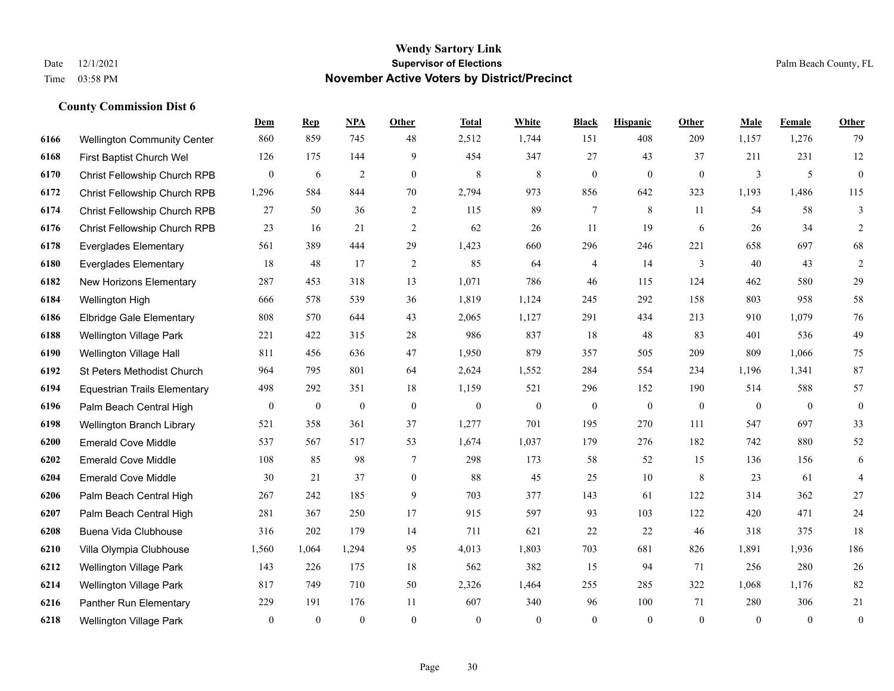**County Commission Dist 6**

## **Wendy Sartory Link** Date 12/1/2021 **Supervisor of Elections** Palm Beach County, FL Time 03:58 PM **November Active Voters by District/Precinct**

|      |                                     | Dem            | <b>Rep</b>       | <b>NPA</b>       | Other          | <b>Total</b> | White            | <b>Black</b>     | <b>Hispanic</b> | Other        | Male         | Female   | Other            |
|------|-------------------------------------|----------------|------------------|------------------|----------------|--------------|------------------|------------------|-----------------|--------------|--------------|----------|------------------|
| 6166 | <b>Wellington Community Center</b>  | 860            | 859              | 745              | 48             | 2,512        | 1,744            | 151              | 408             | 209          | 1,157        | 1,276    | 79               |
| 6168 | First Baptist Church Wel            | 126            | 175              | 144              | 9              | 454          | 347              | 27               | 43              | 37           | 211          | 231      | $12 \,$          |
| 6170 | Christ Fellowship Church RPB        | $\overline{0}$ | 6                | $\overline{c}$   | $\mathbf{0}$   | 8            | 8                | $\boldsymbol{0}$ | $\mathbf{0}$    | $\mathbf{0}$ | 3            | 5        | $\boldsymbol{0}$ |
| 6172 | Christ Fellowship Church RPB        | 1,296          | 584              | 844              | 70             | 2,794        | 973              | 856              | 642             | 323          | 1,193        | 1,486    | 115              |
| 6174 | Christ Fellowship Church RPB        | 27             | 50               | 36               | $\overline{2}$ | 115          | 89               | $\overline{7}$   | 8               | 11           | 54           | 58       | 3                |
| 6176 | Christ Fellowship Church RPB        | 23             | 16               | 21               | $\overline{2}$ | 62           | 26               | 11               | 19              | 6            | 26           | 34       | 2                |
| 6178 | <b>Everglades Elementary</b>        | 561            | 389              | 444              | 29             | 1,423        | 660              | 296              | 246             | 221          | 658          | 697      | 68               |
| 6180 | <b>Everglades Elementary</b>        | 18             | 48               | 17               | 2              | 85           | 64               | 4                | 14              | 3            | 40           | 43       | 2                |
| 6182 | New Horizons Elementary             | 287            | 453              | 318              | 13             | 1,071        | 786              | 46               | 115             | 124          | 462          | 580      | 29               |
| 6184 | Wellington High                     | 666            | 578              | 539              | 36             | 1,819        | 1,124            | 245              | 292             | 158          | 803          | 958      | 58               |
| 6186 | <b>Elbridge Gale Elementary</b>     | 808            | 570              | 644              | 43             | 2,065        | 1,127            | 291              | 434             | 213          | 910          | 1,079    | $76\,$           |
| 6188 | Wellington Village Park             | 221            | 422              | 315              | 28             | 986          | 837              | 18               | 48              | 83           | 401          | 536      | 49               |
| 6190 | Wellington Village Hall             | 811            | 456              | 636              | 47             | 1,950        | 879              | 357              | 505             | 209          | 809          | 1.066    | 75               |
| 6192 | St Peters Methodist Church          | 964            | 795              | 801              | 64             | 2,624        | 1,552            | 284              | 554             | 234          | 1,196        | 1,341    | 87               |
| 6194 | <b>Equestrian Trails Elementary</b> | 498            | 292              | 351              | 18             | 1,159        | 521              | 296              | 152             | 190          | 514          | 588      | 57               |
| 6196 | Palm Beach Central High             | $\mathbf{0}$   | $\boldsymbol{0}$ | $\boldsymbol{0}$ | $\mathbf{0}$   | $\mathbf{0}$ | $\boldsymbol{0}$ | $\boldsymbol{0}$ | $\mathbf{0}$    | $\mathbf{0}$ | $\mathbf{0}$ | $\Omega$ | $\boldsymbol{0}$ |
| 6198 | Wellington Branch Library           | 521            | 358              | 361              | 37             | 1,277        | 701              | 195              | 270             | 111          | 547          | 697      | 33               |
| 6200 | <b>Emerald Cove Middle</b>          | 537            | 567              | 517              | 53             | 1,674        | 1,037            | 179              | 276             | 182          | 742          | 880      | 52               |
| 6202 | <b>Emerald Cove Middle</b>          | 108            | 85               | 98               | $\tau$         | 298          | 173              | 58               | 52              | 15           | 136          | 156      | 6                |
| 6204 | <b>Emerald Cove Middle</b>          | 30             | 21               | 37               | $\mathbf{0}$   | 88           | 45               | 25               | 10              | 8            | 23           | 61       | $\overline{4}$   |
| 6206 | Palm Beach Central High             | 267            | 242              | 185              | 9              | 703          | 377              | 143              | 61              | 122          | 314          | 362      | $27\,$           |
| 6207 | Palm Beach Central High             | 281            | 367              | 250              | 17             | 915          | 597              | 93               | 103             | 122          | 420          | 471      | 24               |
| 6208 | Buena Vida Clubhouse                | 316            | 202              | 179              | 14             | 711          | 621              | 22               | 22              | 46           | 318          | 375      | 18               |
| 6210 | Villa Olympia Clubhouse             | 1,560          | 1,064            | 1,294            | 95             | 4,013        | 1,803            | 703              | 681             | 826          | 1,891        | 1,936    | 186              |
| 6212 | <b>Wellington Village Park</b>      | 143            | 226              | 175              | 18             | 562          | 382              | 15               | 94              | 71           | 256          | 280      | 26               |
| 6214 | Wellington Village Park             | 817            | 749              | 710              | 50             | 2,326        | 1,464            | 255              | 285             | 322          | 1,068        | 1,176    | 82               |
| 6216 | Panther Run Elementary              | 229            | 191              | 176              | 11             | 607          | 340              | 96               | 100             | 71           | 280          | 306      | 21               |
| 6218 | <b>Wellington Village Park</b>      | $\mathbf{0}$   | $\mathbf{0}$     | $\theta$         | $\theta$       | $\mathbf{0}$ | $\theta$         | $\theta$         | $\theta$        | $\theta$     | $\theta$     | $\Omega$ | $\overline{0}$   |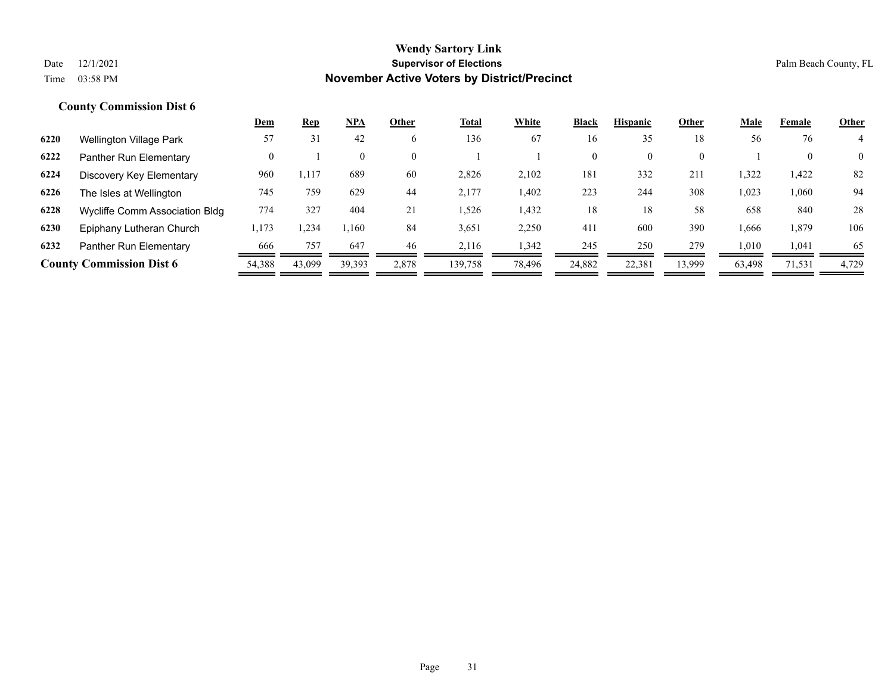|      |                                 | <u>Dem</u> | <u>Rep</u> | NPA      | Other    | <b>Total</b> | White  | <b>Black</b>   | <b>Hispanic</b> | Other    | <b>Male</b> | Female | <b>Other</b>   |
|------|---------------------------------|------------|------------|----------|----------|--------------|--------|----------------|-----------------|----------|-------------|--------|----------------|
| 6220 | <b>Wellington Village Park</b>  | 57         | 31         | 42       | 6        | 136          | 67     | 16             | 35              | 18       | 56          | 76     |                |
| 6222 | Panther Run Elementary          | 0          |            | $\theta$ | $\theta$ |              |        | $\overline{0}$ | $\theta$        | $\theta$ |             |        | $\overline{0}$ |
| 6224 | Discovery Key Elementary        | 960        | 1,117      | 689      | 60       | 2,826        | 2,102  | 181            | 332             | 211      | 1,322       | 1,422  | 82             |
| 6226 | The Isles at Wellington         | 745        | 759        | 629      | 44       | 2,177        | 1,402  | 223            | 244             | 308      | 1,023       | 1,060  | 94             |
| 6228 | Wycliffe Comm Association Bldg  | 774        | 327        | 404      | 21       | 1,526        | 1,432  | 18             | 18              | 58       | 658         | 840    | 28             |
| 6230 | Epiphany Lutheran Church        | 1,173      | .234       | 1,160    | 84       | 3,651        | 2,250  | 411            | 600             | 390      | 1,666       | 1,879  | 106            |
| 6232 | Panther Run Elementary          | 666        | 757        | 647      | 46       | 2.116        | 342،   | 245            | 250             | 279      | 1,010       | 1,041  | 65             |
|      | <b>County Commission Dist 6</b> | 54,388     | 43,099     | 39,393   | 2,878    | 139,758      | 78,496 | 24,882         | 22,381          | 13,999   | 63,498      | 71,531 | 4,729          |
|      |                                 |            |            |          |          |              |        |                |                 |          |             |        |                |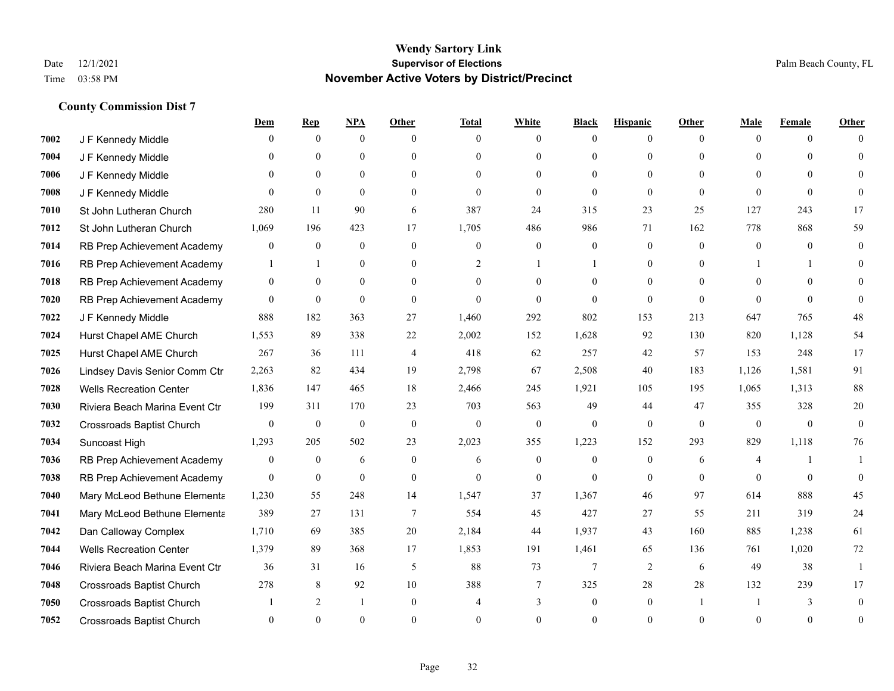|      |                                  | <u>Dem</u>     | <b>Rep</b>     | NPA              | Other          | <b>Total</b> | <b>White</b>     | <b>Black</b>     | <b>Hispanic</b> | <b>Other</b> | <b>Male</b>  | <b>Female</b> | <b>Other</b> |
|------|----------------------------------|----------------|----------------|------------------|----------------|--------------|------------------|------------------|-----------------|--------------|--------------|---------------|--------------|
| 7002 | J F Kennedy Middle               | 0              | $\overline{0}$ | $\overline{0}$   | $\Omega$       | $\theta$     | $\mathbf{0}$     | $\theta$         | $\overline{0}$  | $\theta$     | $\theta$     | $\theta$      | $\Omega$     |
| 7004 | J F Kennedy Middle               | 0              | $\theta$       | $\theta$         | $\Omega$       | $\Omega$     | $\mathbf{0}$     | $\theta$         | $\theta$        | $\Omega$     | $\theta$     | $\Omega$      | $\Omega$     |
| 7006 | J F Kennedy Middle               | 0              | $\Omega$       | $\theta$         | $\Omega$       | $\Omega$     | $\theta$         | $\Omega$         | $\theta$        | $\Omega$     | $\Omega$     | $\Omega$      | $\Omega$     |
| 7008 | J F Kennedy Middle               | $\theta$       | $\mathbf{0}$   | $\mathbf{0}$     | $\overline{0}$ | $\mathbf{0}$ | $\mathbf{0}$     | $\mathbf{0}$     | $\mathbf{0}$    | $\mathbf{0}$ | $\theta$     | $\theta$      | $\Omega$     |
| 7010 | St John Lutheran Church          | 280            | 11             | 90               | 6              | 387          | 24               | 315              | 23              | 25           | 127          | 243           | 17           |
| 7012 | St John Lutheran Church          | 1,069          | 196            | 423              | 17             | 1,705        | 486              | 986              | 71              | 162          | 778          | 868           | 59           |
| 7014 | RB Prep Achievement Academy      | 0              | $\mathbf{0}$   | $\boldsymbol{0}$ | $\overline{0}$ | $\mathbf{0}$ | $\boldsymbol{0}$ | $\boldsymbol{0}$ | $\overline{0}$  | $\mathbf{0}$ | $\mathbf{0}$ | $\theta$      | $\mathbf{0}$ |
| 7016 | RB Prep Achievement Academy      | 1              | $\mathbf{1}$   | $\mathbf{0}$     | $\theta$       | 2            | $\mathbf{1}$     |                  | $\theta$        | $\Omega$     |              | 1             | $\Omega$     |
| 7018 | RB Prep Achievement Academy      | $\overline{0}$ | $\mathbf{0}$   | $\overline{0}$   | $\overline{0}$ | $\theta$     | $\mathbf{0}$     | $\theta$         | $\mathbf{0}$    | $\theta$     | $\theta$     | $\Omega$      | $\Omega$     |
| 7020 | RB Prep Achievement Academy      | $\overline{0}$ | $\mathbf{0}$   | $\theta$         | $\Omega$       | $\Omega$     | $\theta$         | $\theta$         | $\theta$        | $\Omega$     | $\Omega$     | $\Omega$      | $\Omega$     |
| 7022 | J F Kennedy Middle               | 888            | 182            | 363              | 27             | 1,460        | 292              | 802              | 153             | 213          | 647          | 765           | 48           |
| 7024 | Hurst Chapel AME Church          | 1,553          | 89             | 338              | 22             | 2,002        | 152              | 1,628            | 92              | 130          | 820          | 1,128         | 54           |
| 7025 | Hurst Chapel AME Church          | 267            | 36             | 111              | $\overline{4}$ | 418          | 62               | 257              | 42              | 57           | 153          | 248           | 17           |
| 7026 | Lindsey Davis Senior Comm Ctr    | 2,263          | 82             | 434              | 19             | 2,798        | 67               | 2,508            | 40              | 183          | 1,126        | 1,581         | 91           |
| 7028 | <b>Wells Recreation Center</b>   | 1,836          | 147            | 465              | 18             | 2,466        | 245              | 1,921            | 105             | 195          | 1,065        | 1,313         | 88           |
| 7030 | Riviera Beach Marina Event Ctr   | 199            | 311            | 170              | 23             | 703          | 563              | 49               | 44              | 47           | 355          | 328           | 20           |
| 7032 | <b>Crossroads Baptist Church</b> | $\overline{0}$ | $\mathbf{0}$   | $\mathbf{0}$     | $\mathbf{0}$   | $\mathbf{0}$ | $\mathbf{0}$     | $\mathbf{0}$     | $\mathbf{0}$    | $\theta$     | $\mathbf{0}$ | $\theta$      | $\theta$     |
| 7034 | Suncoast High                    | 1,293          | 205            | 502              | 23             | 2,023        | 355              | 1,223            | 152             | 293          | 829          | 1,118         | 76           |
| 7036 | RB Prep Achievement Academy      | 0              | $\overline{0}$ | 6                | $\mathbf{0}$   | 6            | $\mathbf{0}$     | $\mathbf{0}$     | $\mathbf{0}$    | 6            | 4            | -1            |              |
| 7038 | RB Prep Achievement Academy      | $\theta$       | $\theta$       | $\mathbf{0}$     | $\overline{0}$ | $\theta$     | $\mathbf{0}$     | $\theta$         | $\theta$        | $\theta$     | $\theta$     | $\theta$      | $\Omega$     |
| 7040 | Mary McLeod Bethune Elementa     | 1,230          | 55             | 248              | 14             | 1,547        | 37               | 1,367            | 46              | 97           | 614          | 888           | 45           |
| 7041 | Mary McLeod Bethune Elementa     | 389            | 27             | 131              | 7              | 554          | 45               | 427              | 27              | 55           | 211          | 319           | 24           |
| 7042 | Dan Calloway Complex             | 1,710          | 69             | 385              | 20             | 2,184        | 44               | 1,937            | 43              | 160          | 885          | 1,238         | 61           |
| 7044 | <b>Wells Recreation Center</b>   | 1,379          | 89             | 368              | 17             | 1,853        | 191              | 1,461            | 65              | 136          | 761          | 1,020         | 72           |
| 7046 | Riviera Beach Marina Event Ctr   | 36             | 31             | 16               | 5              | 88           | 73               | $\tau$           | $\mathfrak{2}$  | 6            | 49           | 38            |              |
| 7048 | <b>Crossroads Baptist Church</b> | 278            | 8              | 92               | 10             | 388          | 7                | 325              | 28              | 28           | 132          | 239           | 17           |
| 7050 | <b>Crossroads Baptist Church</b> |                | $\overline{2}$ | $\mathbf{1}$     | $\Omega$       | 4            | 3                | $\mathbf{0}$     | $\mathbf{0}$    |              |              | 3             | $\Omega$     |
| 7052 | <b>Crossroads Baptist Church</b> | $\Omega$       | $\Omega$       | $\Omega$         | $\Omega$       | $\Omega$     | $\Omega$         | $\theta$         | $\Omega$        | $\Omega$     | $\Omega$     | $\theta$      | $\mathbf{0}$ |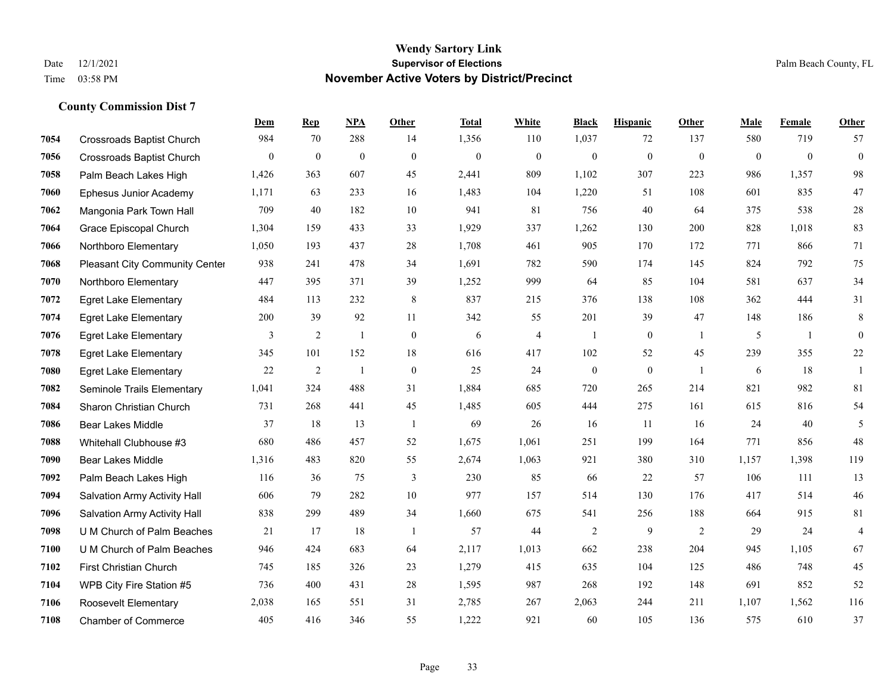**County Commission Dist 7**

## **Wendy Sartory Link** Date 12/1/2021 **Supervisor of Elections** Palm Beach County, FL Time 03:58 PM **November Active Voters by District/Precinct**

# **Dem Rep NPA Other Total White Black Hispanic Other Male Female Other** Crossroads Baptist Church 984 70 288 14 1,356 110 1,037 72 137 580 719 57 Crossroads Baptist Church 0 0 0 0 0 0 0 0 0 0 0 0 Palm Beach Lakes High 1,426 363 607 45 2,441 809 1,102 307 223 986 1,357 98 Ephesus Junior Academy 1,171 63 233 16 1,483 104 1,220 51 108 601 835 47 Mangonia Park Town Hall 709 40 182 10 941 81 756 40 64 375 538 28 Grace Episcopal Church 1,304 159 433 33 1,929 337 1,262 130 200 828 1,018 83 Northboro Elementary 1,050 193 437 28 1,708 461 905 170 172 771 866 71 Pleasant City Community Center 938 241 478 34 1,691 782 590 174 145 824 792 75 Northboro Elementary 447 395 371 39 1,252 999 64 85 104 581 637 34 Egret Lake Elementary 484 113 232 8 837 215 376 138 108 362 444 31 Egret Lake Elementary 200 39 92 11 342 55 201 39 47 148 186 8 Egret Lake Elementary 3 2 1 0 6 4 1 0 1 5 1 0 Egret Lake Elementary 345 101 152 18 616 417 102 52 45 239 355 22 Egret Lake Elementary 22 2 1 0 25 24 0 0 1 6 18 1 Seminole Trails Elementary 1,041 324 488 31 1,884 685 720 265 214 821 982 81 Sharon Christian Church 731 268 441 45 1,485 605 444 275 161 615 816 54 Bear Lakes Middle 37 18 13 1 69 26 16 11 16 24 40 5 Whitehall Clubhouse #3 680 486 457 52 1,675 1,061 251 199 164 771 856 48 Bear Lakes Middle 1,316 483 820 55 2,674 1,063 921 380 310 1,157 1,398 119 Palm Beach Lakes High 116 36 75 3 230 85 66 22 57 106 111 13 Salvation Army Activity Hall 606 79 282 10 977 157 514 130 176 417 514 46 Salvation Army Activity Hall 838 299 489 34 1,660 675 541 256 188 664 915 81 U M Church of Palm Beaches 21 17 18 1 57 44 2 9 2 29 24 4 U M Church of Palm Beaches 946 424 683 64 2,117 1,013 662 238 204 945 1,105 67 First Christian Church 745 185 326 23 1,279 415 635 104 125 486 748 45 WPB City Fire Station #5 736 400 431 28 1,595 987 268 192 148 691 852 52 Roosevelt Elementary 2,038 165 551 31 2,785 267 2,063 244 211 1,107 1,562 116 Chamber of Commerce 405 416 346 55 1,222 921 60 105 136 575 610 37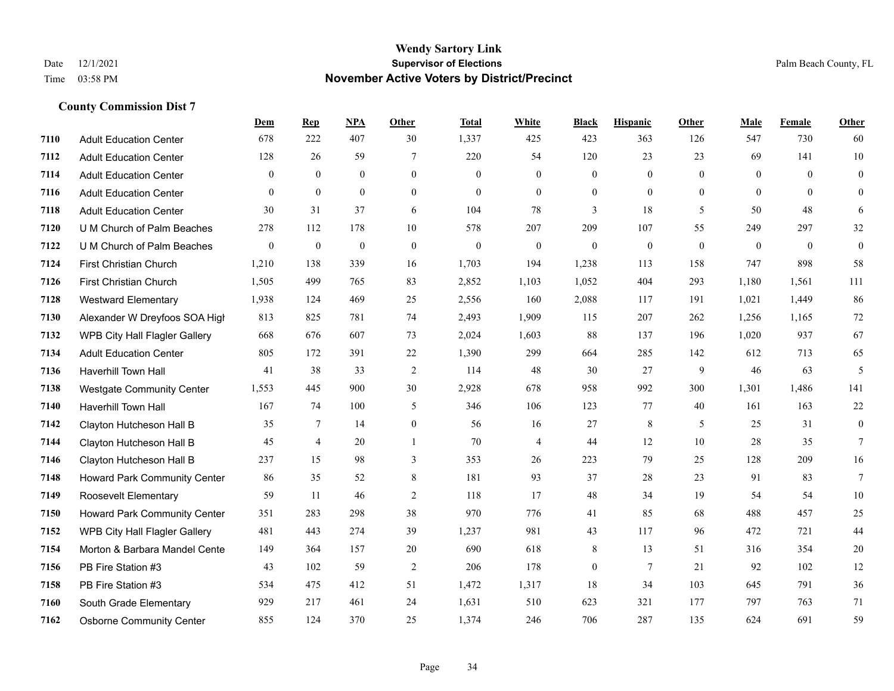|      |                                     | Dem              | <b>Rep</b>      | NPA              | <b>Other</b>     | <b>Total</b>     | <b>White</b>     | <b>Black</b>     | <b>Hispanic</b>  | <b>Other</b>   | <b>Male</b>    | Female       | <b>Other</b>     |
|------|-------------------------------------|------------------|-----------------|------------------|------------------|------------------|------------------|------------------|------------------|----------------|----------------|--------------|------------------|
| 7110 | <b>Adult Education Center</b>       | 678              | 222             | 407              | 30               | 1,337            | 425              | 423              | 363              | 126            | 547            | 730          | 60               |
| 7112 | <b>Adult Education Center</b>       | 128              | 26              | 59               | 7                | 220              | 54               | 120              | 23               | 23             | 69             | 141          | $10\,$           |
| 7114 | <b>Adult Education Center</b>       | $\Omega$         | $\theta$        | $\theta$         | $\Omega$         | $\Omega$         | $\theta$         | $\mathbf{0}$     | $\theta$         | $\Omega$       | $\theta$       | $\Omega$     | $\overline{0}$   |
| 7116 | <b>Adult Education Center</b>       | $\overline{0}$   | $\mathbf{0}$    | $\overline{0}$   | $\boldsymbol{0}$ | $\mathbf{0}$     | $\boldsymbol{0}$ | $\mathbf{0}$     | $\mathbf{0}$     | $\overline{0}$ | $\overline{0}$ | $\theta$     | $\overline{0}$   |
| 7118 | <b>Adult Education Center</b>       | 30               | 31              | 37               | 6                | 104              | 78               | 3                | 18               | 5              | 50             | 48           | 6                |
| 7120 | U M Church of Palm Beaches          | 278              | 112             | 178              | 10               | 578              | 207              | 209              | 107              | 55             | 249            | 297          | 32               |
| 7122 | U M Church of Palm Beaches          | $\boldsymbol{0}$ | $\mathbf{0}$    | $\boldsymbol{0}$ | $\boldsymbol{0}$ | $\boldsymbol{0}$ | $\boldsymbol{0}$ | $\boldsymbol{0}$ | $\boldsymbol{0}$ | $\mathbf{0}$   | $\mathbf{0}$   | $\mathbf{0}$ | $\boldsymbol{0}$ |
| 7124 | <b>First Christian Church</b>       | 1,210            | 138             | 339              | 16               | 1,703            | 194              | 1,238            | 113              | 158            | 747            | 898          | 58               |
| 7126 | First Christian Church              | 1,505            | 499             | 765              | 83               | 2,852            | 1,103            | 1,052            | 404              | 293            | 1,180          | 1,561        | 111              |
| 7128 | <b>Westward Elementary</b>          | 1,938            | 124             | 469              | 25               | 2,556            | 160              | 2,088            | 117              | 191            | 1,021          | 1,449        | 86               |
| 7130 | Alexander W Dreyfoos SOA High       | 813              | 825             | 781              | 74               | 2,493            | 1,909            | 115              | 207              | 262            | 1,256          | 1,165        | 72               |
| 7132 | WPB City Hall Flagler Gallery       | 668              | 676             | 607              | 73               | 2,024            | 1,603            | 88               | 137              | 196            | 1,020          | 937          | 67               |
| 7134 | <b>Adult Education Center</b>       | 805              | 172             | 391              | 22               | 1,390            | 299              | 664              | 285              | 142            | 612            | 713          | 65               |
| 7136 | Haverhill Town Hall                 | 41               | 38              | 33               | $\overline{2}$   | 114              | 48               | 30               | 27               | 9              | 46             | 63           | $\sqrt{5}$       |
| 7138 | <b>Westgate Community Center</b>    | 1,553            | 445             | 900              | 30               | 2,928            | 678              | 958              | 992              | 300            | 1,301          | 1,486        | 141              |
| 7140 | Haverhill Town Hall                 | 167              | 74              | 100              | 5                | 346              | 106              | 123              | 77               | 40             | 161            | 163          | 22               |
| 7142 | Clayton Hutcheson Hall B            | 35               | $7\phantom{.0}$ | 14               | $\boldsymbol{0}$ | 56               | 16               | 27               | 8                | 5              | 25             | 31           | $\overline{0}$   |
| 7144 | Clayton Hutcheson Hall B            | 45               | $\overline{4}$  | 20               |                  | 70               | $\overline{4}$   | 44               | 12               | 10             | 28             | 35           | 7                |
| 7146 | Clayton Hutcheson Hall B            | 237              | 15              | 98               | 3                | 353              | 26               | 223              | 79               | 25             | 128            | 209          | 16               |
| 7148 | Howard Park Community Center        | 86               | 35              | 52               | 8                | 181              | 93               | 37               | 28               | 23             | 91             | 83           | $\tau$           |
| 7149 | Roosevelt Elementary                | 59               | 11              | 46               | 2                | 118              | 17               | 48               | 34               | 19             | 54             | 54           | 10               |
| 7150 | <b>Howard Park Community Center</b> | 351              | 283             | 298              | 38               | 970              | 776              | 41               | 85               | 68             | 488            | 457          | 25               |
| 7152 | WPB City Hall Flagler Gallery       | 481              | 443             | 274              | 39               | 1,237            | 981              | 43               | 117              | 96             | 472            | 721          | 44               |
| 7154 | Morton & Barbara Mandel Cente       | 149              | 364             | 157              | 20               | 690              | 618              | 8                | 13               | 51             | 316            | 354          | 20               |
| 7156 | PB Fire Station #3                  | 43               | 102             | 59               | $\sqrt{2}$       | 206              | 178              | $\boldsymbol{0}$ | $\tau$           | 21             | 92             | 102          | 12               |
| 7158 | PB Fire Station #3                  | 534              | 475             | 412              | 51               | 1,472            | 1,317            | 18               | 34               | 103            | 645            | 791          | 36               |
| 7160 | South Grade Elementary              | 929              | 217             | 461              | 24               | 1,631            | 510              | 623              | 321              | 177            | 797            | 763          | 71               |
| 7162 | <b>Osborne Community Center</b>     | 855              | 124             | 370              | 25               | 1,374            | 246              | 706              | 287              | 135            | 624            | 691          | 59               |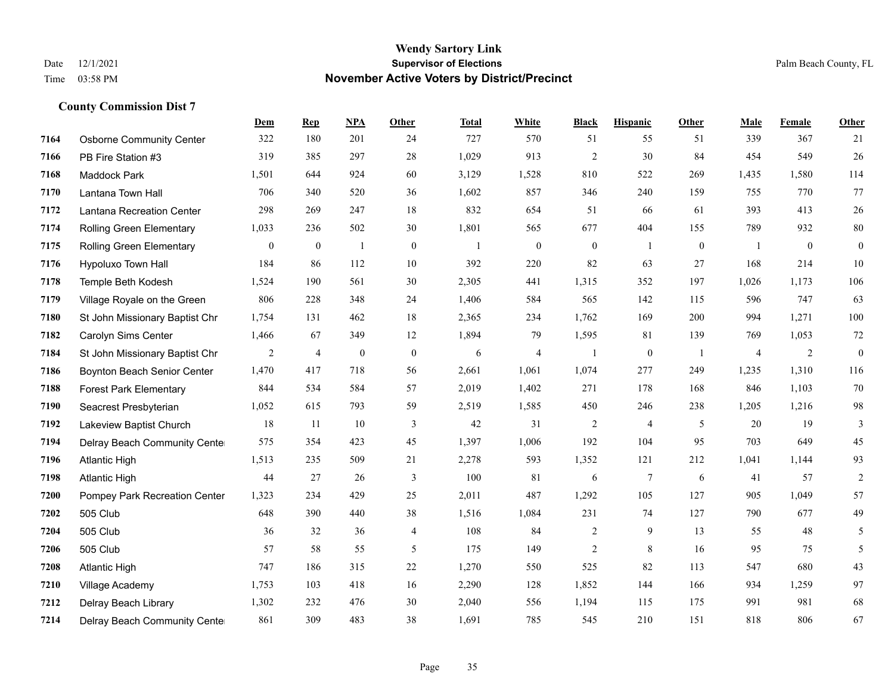|      |                                 | <b>Dem</b>       | <b>Rep</b>       | NPA              | Other            | <b>Total</b> | <b>White</b>     | <b>Black</b>     | <b>Hispanic</b>  | <b>Other</b>   | <b>Male</b> | Female       | <b>Other</b>     |
|------|---------------------------------|------------------|------------------|------------------|------------------|--------------|------------------|------------------|------------------|----------------|-------------|--------------|------------------|
| 7164 | <b>Osborne Community Center</b> | 322              | 180              | 201              | 24               | 727          | 570              | 51               | 55               | 51             | 339         | 367          | 21               |
| 7166 | PB Fire Station #3              | 319              | 385              | 297              | 28               | 1,029        | 913              | $\overline{2}$   | 30               | 84             | 454         | 549          | 26               |
| 7168 | Maddock Park                    | 1,501            | 644              | 924              | 60               | 3,129        | 1,528            | 810              | 522              | 269            | 1,435       | 1,580        | 114              |
| 7170 | Lantana Town Hall               | 706              | 340              | 520              | 36               | 1,602        | 857              | 346              | 240              | 159            | 755         | 770          | 77               |
| 7172 | Lantana Recreation Center       | 298              | 269              | 247              | 18               | 832          | 654              | 51               | 66               | 61             | 393         | 413          | $26\,$           |
| 7174 | Rolling Green Elementary        | 1,033            | 236              | 502              | 30               | 1,801        | 565              | 677              | 404              | 155            | 789         | 932          | $80\,$           |
| 7175 | Rolling Green Elementary        | $\boldsymbol{0}$ | $\boldsymbol{0}$ | $\mathbf{1}$     | $\boldsymbol{0}$ | -1           | $\boldsymbol{0}$ | $\boldsymbol{0}$ | $\mathbf{1}$     | $\overline{0}$ | -1          | $\mathbf{0}$ | $\boldsymbol{0}$ |
| 7176 | Hypoluxo Town Hall              | 184              | 86               | 112              | 10               | 392          | 220              | 82               | 63               | 27             | 168         | 214          | 10               |
| 7178 | Temple Beth Kodesh              | 1,524            | 190              | 561              | 30               | 2,305        | 441              | 1,315            | 352              | 197            | 1,026       | 1,173        | 106              |
| 7179 | Village Royale on the Green     | 806              | 228              | 348              | 24               | 1,406        | 584              | 565              | 142              | 115            | 596         | 747          | 63               |
| 7180 | St John Missionary Baptist Chr  | 1,754            | 131              | 462              | 18               | 2,365        | 234              | 1,762            | 169              | 200            | 994         | 1,271        | 100              |
| 7182 | Carolyn Sims Center             | 1,466            | 67               | 349              | 12               | 1,894        | 79               | 1,595            | 81               | 139            | 769         | 1,053        | 72               |
| 7184 | St John Missionary Baptist Chr  | 2                | $\overline{4}$   | $\boldsymbol{0}$ | $\boldsymbol{0}$ | 6            | $\overline{4}$   |                  | $\boldsymbol{0}$ | -1             | 4           | 2            | $\boldsymbol{0}$ |
| 7186 | Boynton Beach Senior Center     | 1,470            | 417              | 718              | 56               | 2,661        | 1,061            | 1,074            | 277              | 249            | 1,235       | 1,310        | 116              |
| 7188 | <b>Forest Park Elementary</b>   | 844              | 534              | 584              | 57               | 2,019        | 1,402            | 271              | 178              | 168            | 846         | 1,103        | 70               |
| 7190 | Seacrest Presbyterian           | 1,052            | 615              | 793              | 59               | 2,519        | 1,585            | 450              | 246              | 238            | 1,205       | 1,216        | 98               |
| 7192 | Lakeview Baptist Church         | 18               | 11               | 10               | 3                | 42           | 31               | $\overline{2}$   | $\overline{4}$   | 5              | 20          | 19           | 3                |
| 7194 | Delray Beach Community Cente    | 575              | 354              | 423              | 45               | 1,397        | 1,006            | 192              | 104              | 95             | 703         | 649          | 45               |
| 7196 | <b>Atlantic High</b>            | 1,513            | 235              | 509              | 21               | 2,278        | 593              | 1,352            | 121              | 212            | 1,041       | 1,144        | 93               |
| 7198 | <b>Atlantic High</b>            | 44               | 27               | 26               | 3                | 100          | 81               | 6                | 7                | 6              | 41          | 57           | 2                |
| 7200 | Pompey Park Recreation Center   | 1,323            | 234              | 429              | 25               | 2,011        | 487              | 1,292            | 105              | 127            | 905         | 1,049        | 57               |
| 7202 | 505 Club                        | 648              | 390              | 440              | 38               | 1,516        | 1,084            | 231              | 74               | 127            | 790         | 677          | 49               |
| 7204 | 505 Club                        | 36               | 32               | 36               | $\overline{4}$   | 108          | 84               | 2                | 9                | 13             | 55          | 48           | 5                |
| 7206 | 505 Club                        | 57               | 58               | 55               | 5                | 175          | 149              | $\overline{c}$   | 8                | 16             | 95          | 75           | 5                |
| 7208 | <b>Atlantic High</b>            | 747              | 186              | 315              | 22               | 1,270        | 550              | 525              | 82               | 113            | 547         | 680          | 43               |
| 7210 | Village Academy                 | 1,753            | 103              | 418              | 16               | 2,290        | 128              | 1,852            | 144              | 166            | 934         | 1,259        | 97               |
| 7212 | Delray Beach Library            | 1,302            | 232              | 476              | 30               | 2,040        | 556              | 1,194            | 115              | 175            | 991         | 981          | 68               |
| 7214 | Delray Beach Community Cente    | 861              | 309              | 483              | 38               | 1,691        | 785              | 545              | 210              | 151            | 818         | 806          | 67               |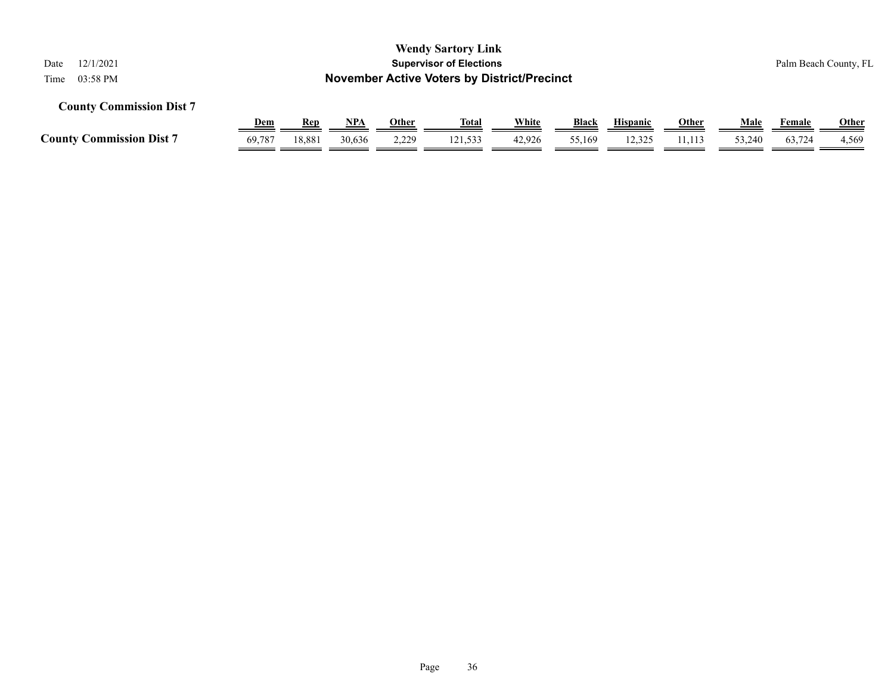| <b>Wendy Sartory Link</b><br><b>Supervisor of Elections</b><br>12/1/2021<br>Date<br><b>November Active Voters by District/Precinct</b><br>03:58 PM<br>Time |        |            |        |       |              |        |              |                 |              |        |        | Palm Beach County, FL |
|------------------------------------------------------------------------------------------------------------------------------------------------------------|--------|------------|--------|-------|--------------|--------|--------------|-----------------|--------------|--------|--------|-----------------------|
| <b>County Commission Dist 7</b>                                                                                                                            |        |            |        |       |              |        |              |                 |              |        |        |                       |
|                                                                                                                                                            | Dem    | <b>Rep</b> | NPA    | Other | <u>Total</u> | White  | <b>Black</b> | <b>Hispanic</b> | <u>Other</u> | Male   | Female | <b>Other</b>          |
| <b>County Commission Dist 7</b>                                                                                                                            | 69,787 | 18,881     | 30,636 | 2,229 | 121,533      | 42,926 | 55,169       | 12,325          | 11,113       | 53,240 | 63,724 | 4,569                 |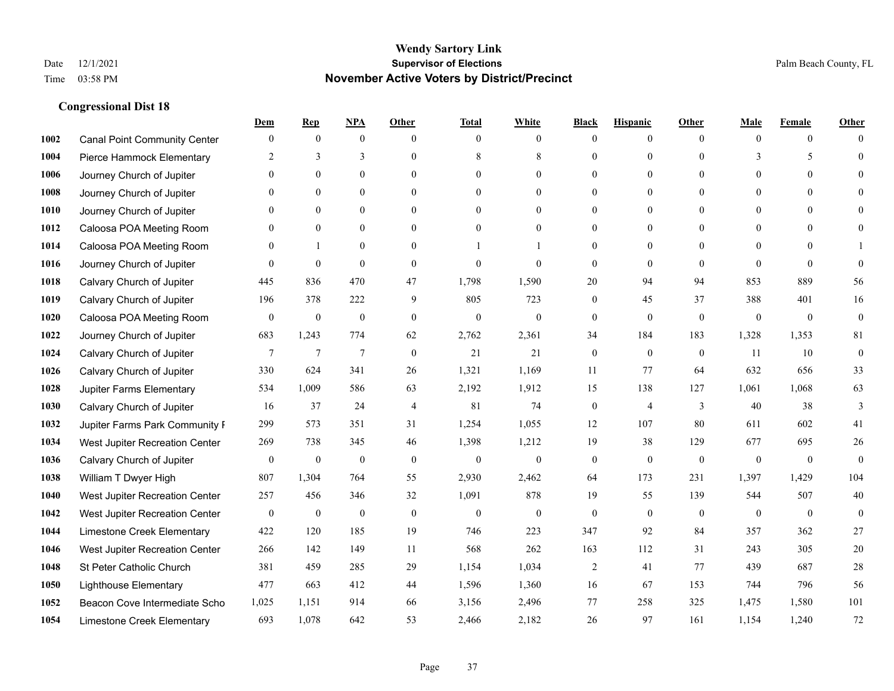|      |                                     | Dem              | <b>Rep</b>       | NPA              | <b>Other</b>   | <b>Total</b>     | <b>White</b>     | <b>Black</b>     | <b>Hispanic</b>  | <b>Other</b>   | <b>Male</b>  | <b>Female</b>  | <b>Other</b>     |
|------|-------------------------------------|------------------|------------------|------------------|----------------|------------------|------------------|------------------|------------------|----------------|--------------|----------------|------------------|
| 1002 | <b>Canal Point Community Center</b> | $\mathbf{0}$     | $\mathbf{0}$     | $\boldsymbol{0}$ | $\Omega$       | $\Omega$         | $\overline{0}$   | $\mathbf{0}$     | $\mathbf{0}$     | $\theta$       | $\theta$     | $\overline{0}$ | $\Omega$         |
| 1004 | Pierce Hammock Elementary           | 2                | 3                | 3                | $\theta$       | 8                | 8                | $\theta$         | $\mathbf{0}$     | $\Omega$       | 3            | 5              | $\theta$         |
| 1006 | Journey Church of Jupiter           | $\Omega$         | $\theta$         | $\theta$         | $\Omega$       | $\Omega$         | $\Omega$         | $\Omega$         | $\theta$         | $\Omega$       | $\Omega$     | $\Omega$       | $\Omega$         |
| 1008 | Journey Church of Jupiter           | $\theta$         | $\mathbf{0}$     | $\mathbf{0}$     | $\overline{0}$ | $\theta$         | $\overline{0}$   | $\overline{0}$   | $\mathbf{0}$     | $\theta$       | $\mathbf{0}$ | $\mathbf{0}$   |                  |
| 1010 | Journey Church of Jupiter           | 0                | $\mathbf{0}$     | $\mathbf{0}$     | $\theta$       | $\Omega$         | $\overline{0}$   | $\overline{0}$   | $\mathbf{0}$     | $\Omega$       | $\theta$     | $\theta$       | $\Omega$         |
| 1012 | Caloosa POA Meeting Room            | $\theta$         | $\mathbf{0}$     | $\mathbf{0}$     | $\theta$       | $\Omega$         | $\mathbf{0}$     | $\overline{0}$   | $\mathbf{0}$     | $\Omega$       | $\theta$     | $\theta$       | $\Omega$         |
| 1014 | Caloosa POA Meeting Room            | $\theta$         |                  | $\mathbf{0}$     | $\overline{0}$ |                  |                  | $\overline{0}$   | $\boldsymbol{0}$ | $\theta$       | $\theta$     | $\theta$       |                  |
| 1016 | Journey Church of Jupiter           | 0                | $\mathbf{0}$     | $\mathbf{0}$     | $\theta$       | $\Omega$         | $\theta$         | $\mathbf{0}$     | $\theta$         | $\theta$       | $\Omega$     | $\theta$       | $\theta$         |
| 1018 | Calvary Church of Jupiter           | 445              | 836              | 470              | 47             | 1,798            | 1,590            | 20               | 94               | 94             | 853          | 889            | 56               |
| 1019 | Calvary Church of Jupiter           | 196              | 378              | 222              | 9              | 805              | 723              | $\overline{0}$   | 45               | 37             | 388          | 401            | 16               |
| 1020 | Caloosa POA Meeting Room            | $\mathbf{0}$     | $\boldsymbol{0}$ | $\boldsymbol{0}$ | $\theta$       | $\mathbf{0}$     | $\mathbf{0}$     | $\boldsymbol{0}$ | $\mathbf{0}$     | $\mathbf{0}$   | $\mathbf{0}$ | $\mathbf{0}$   | $\mathbf{0}$     |
| 1022 | Journey Church of Jupiter           | 683              | 1,243            | 774              | 62             | 2,762            | 2,361            | 34               | 184              | 183            | 1,328        | 1,353          | 81               |
| 1024 | Calvary Church of Jupiter           | $\tau$           | $\overline{7}$   | $\overline{7}$   | $\theta$       | 21               | 21               | $\mathbf{0}$     | $\mathbf{0}$     | $\theta$       | 11           | 10             | $\boldsymbol{0}$ |
| 1026 | Calvary Church of Jupiter           | 330              | 624              | 341              | 26             | 1,321            | 1,169            | 11               | 77               | 64             | 632          | 656            | 33               |
| 1028 | Jupiter Farms Elementary            | 534              | 1,009            | 586              | 63             | 2,192            | 1,912            | 15               | 138              | 127            | 1,061        | 1,068          | 63               |
| 1030 | Calvary Church of Jupiter           | 16               | 37               | 24               | $\overline{4}$ | 81               | 74               | $\boldsymbol{0}$ | $\overline{4}$   | 3              | 40           | 38             | 3                |
| 1032 | Jupiter Farms Park Community I      | 299              | 573              | 351              | 31             | 1,254            | 1,055            | 12               | 107              | 80             | 611          | 602            | 41               |
| 1034 | West Jupiter Recreation Center      | 269              | 738              | 345              | 46             | 1,398            | 1,212            | 19               | 38               | 129            | 677          | 695            | $26\,$           |
| 1036 | Calvary Church of Jupiter           | $\boldsymbol{0}$ | $\boldsymbol{0}$ | $\boldsymbol{0}$ | $\mathbf{0}$   | $\boldsymbol{0}$ | $\boldsymbol{0}$ | $\boldsymbol{0}$ | $\mathbf{0}$     | $\mathbf{0}$   | $\mathbf{0}$ | $\mathbf{0}$   | $\mathbf{0}$     |
| 1038 | William T Dwyer High                | 807              | 1,304            | 764              | 55             | 2,930            | 2,462            | 64               | 173              | 231            | 1,397        | 1,429          | 104              |
| 1040 | West Jupiter Recreation Center      | 257              | 456              | 346              | 32             | 1,091            | 878              | 19               | 55               | 139            | 544          | 507            | 40               |
| 1042 | West Jupiter Recreation Center      | $\boldsymbol{0}$ | $\boldsymbol{0}$ | $\boldsymbol{0}$ | $\mathbf{0}$   | $\boldsymbol{0}$ | $\mathbf{0}$     | $\boldsymbol{0}$ | $\mathbf{0}$     | $\overline{0}$ | $\mathbf{0}$ | $\mathbf{0}$   | $\boldsymbol{0}$ |
| 1044 | Limestone Creek Elementary          | 422              | 120              | 185              | 19             | 746              | 223              | 347              | 92               | 84             | 357          | 362            | 27               |
| 1046 | West Jupiter Recreation Center      | 266              | 142              | 149              | 11             | 568              | 262              | 163              | 112              | 31             | 243          | 305            | $20\,$           |
| 1048 | St Peter Catholic Church            | 381              | 459              | 285              | 29             | 1,154            | 1,034            | $\overline{c}$   | 41               | 77             | 439          | 687            | 28               |
| 1050 | <b>Lighthouse Elementary</b>        | 477              | 663              | 412              | 44             | 1,596            | 1,360            | 16               | 67               | 153            | 744          | 796            | 56               |
| 1052 | Beacon Cove Intermediate Scho       | 1,025            | 1,151            | 914              | 66             | 3,156            | 2,496            | 77               | 258              | 325            | 1,475        | 1,580          | 101              |
| 1054 | Limestone Creek Elementary          | 693              | 1,078            | 642              | 53             | 2,466            | 2,182            | 26               | 97               | 161            | 1,154        | 1,240          | 72               |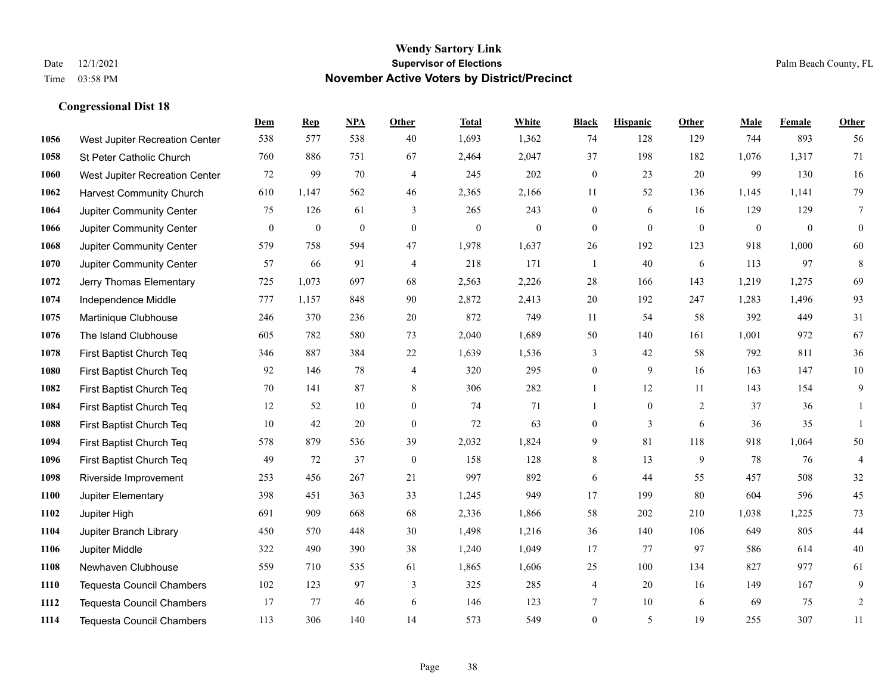|      |                                  | Dem          | <b>Rep</b>       | NPA              | <b>Other</b>     | <b>Total</b>     | <b>White</b> | <b>Black</b>     | <b>Hispanic</b> | <b>Other</b> | <b>Male</b>  | <b>Female</b> | <b>Other</b>     |
|------|----------------------------------|--------------|------------------|------------------|------------------|------------------|--------------|------------------|-----------------|--------------|--------------|---------------|------------------|
| 1056 | West Jupiter Recreation Center   | 538          | 577              | 538              | 40               | 1,693            | 1,362        | 74               | 128             | 129          | 744          | 893           | 56               |
| 1058 | St Peter Catholic Church         | 760          | 886              | 751              | 67               | 2,464            | 2,047        | 37               | 198             | 182          | 1,076        | 1,317         | 71               |
| 1060 | West Jupiter Recreation Center   | 72           | 99               | 70               | $\overline{4}$   | 245              | 202          | $\boldsymbol{0}$ | 23              | 20           | 99           | 130           | 16               |
| 1062 | <b>Harvest Community Church</b>  | 610          | 1,147            | 562              | 46               | 2,365            | 2,166        | 11               | 52              | 136          | 1,145        | 1,141         | 79               |
| 1064 | Jupiter Community Center         | 75           | 126              | 61               | 3                | 265              | 243          | $\mathbf{0}$     | 6               | 16           | 129          | 129           | $\overline{7}$   |
| 1066 | Jupiter Community Center         | $\mathbf{0}$ | $\boldsymbol{0}$ | $\boldsymbol{0}$ | $\mathbf{0}$     | $\boldsymbol{0}$ | $\mathbf{0}$ | $\mathbf{0}$     | $\mathbf{0}$    | $\mathbf{0}$ | $\mathbf{0}$ | $\mathbf{0}$  | $\boldsymbol{0}$ |
| 1068 | Jupiter Community Center         | 579          | 758              | 594              | 47               | 1,978            | 1,637        | 26               | 192             | 123          | 918          | 1,000         | 60               |
| 1070 | Jupiter Community Center         | 57           | 66               | 91               | $\overline{4}$   | 218              | 171          | $\mathbf{1}$     | 40              | 6            | 113          | 97            | $\,8\,$          |
| 1072 | Jerry Thomas Elementary          | 725          | 1,073            | 697              | 68               | 2,563            | 2,226        | 28               | 166             | 143          | 1,219        | 1,275         | 69               |
| 1074 | Independence Middle              | 777          | 1,157            | 848              | 90               | 2,872            | 2,413        | 20               | 192             | 247          | 1,283        | 1,496         | 93               |
| 1075 | Martinique Clubhouse             | 246          | 370              | 236              | 20               | 872              | 749          | 11               | 54              | 58           | 392          | 449           | 31               |
| 1076 | The Island Clubhouse             | 605          | 782              | 580              | 73               | 2,040            | 1,689        | 50               | 140             | 161          | 1,001        | 972           | 67               |
| 1078 | First Baptist Church Teq         | 346          | 887              | 384              | $22\,$           | 1,639            | 1,536        | 3                | 42              | 58           | 792          | 811           | 36               |
| 1080 | First Baptist Church Teq         | 92           | 146              | 78               | $\overline{4}$   | 320              | 295          | $\boldsymbol{0}$ | 9               | 16           | 163          | 147           | $10\,$           |
| 1082 | First Baptist Church Teq         | 70           | 141              | 87               | 8                | 306              | 282          | 1                | 12              | 11           | 143          | 154           | 9                |
| 1084 | First Baptist Church Teq         | 12           | 52               | 10               | $\overline{0}$   | 74               | 71           | $\mathbf{1}$     | $\mathbf{0}$    | 2            | 37           | 36            | 1                |
| 1088 | First Baptist Church Teq         | 10           | 42               | 20               | $\boldsymbol{0}$ | 72               | 63           | $\boldsymbol{0}$ | 3               | 6            | 36           | 35            | $\mathbf{1}$     |
| 1094 | First Baptist Church Teq         | 578          | 879              | 536              | 39               | 2,032            | 1,824        | 9                | 81              | 118          | 918          | 1,064         | 50               |
| 1096 | First Baptist Church Teq         | 49           | 72               | 37               | $\mathbf{0}$     | 158              | 128          | 8                | 13              | 9            | 78           | 76            | $\overline{4}$   |
| 1098 | Riverside Improvement            | 253          | 456              | 267              | 21               | 997              | 892          | 6                | 44              | 55           | 457          | 508           | 32               |
| 1100 | Jupiter Elementary               | 398          | 451              | 363              | 33               | 1,245            | 949          | 17               | 199             | 80           | 604          | 596           | 45               |
| 1102 | Jupiter High                     | 691          | 909              | 668              | 68               | 2,336            | 1,866        | 58               | 202             | 210          | 1,038        | 1,225         | 73               |
| 1104 | Jupiter Branch Library           | 450          | 570              | 448              | 30               | 1,498            | 1,216        | 36               | 140             | 106          | 649          | 805           | $44\,$           |
| 1106 | Jupiter Middle                   | 322          | 490              | 390              | 38               | 1,240            | 1,049        | 17               | 77              | 97           | 586          | 614           | $40\,$           |
| 1108 | Newhaven Clubhouse               | 559          | 710              | 535              | 61               | 1,865            | 1,606        | 25               | 100             | 134          | 827          | 977           | 61               |
| 1110 | Tequesta Council Chambers        | 102          | 123              | 97               | 3                | 325              | 285          | 4                | 20              | 16           | 149          | 167           | 9                |
| 1112 | <b>Tequesta Council Chambers</b> | 17           | 77               | 46               | 6                | 146              | 123          | 7                | 10              | 6            | 69           | 75            | $\sqrt{2}$       |
| 1114 | <b>Tequesta Council Chambers</b> | 113          | 306              | 140              | 14               | 573              | 549          | $\mathbf{0}$     | 5               | 19           | 255          | 307           | 11               |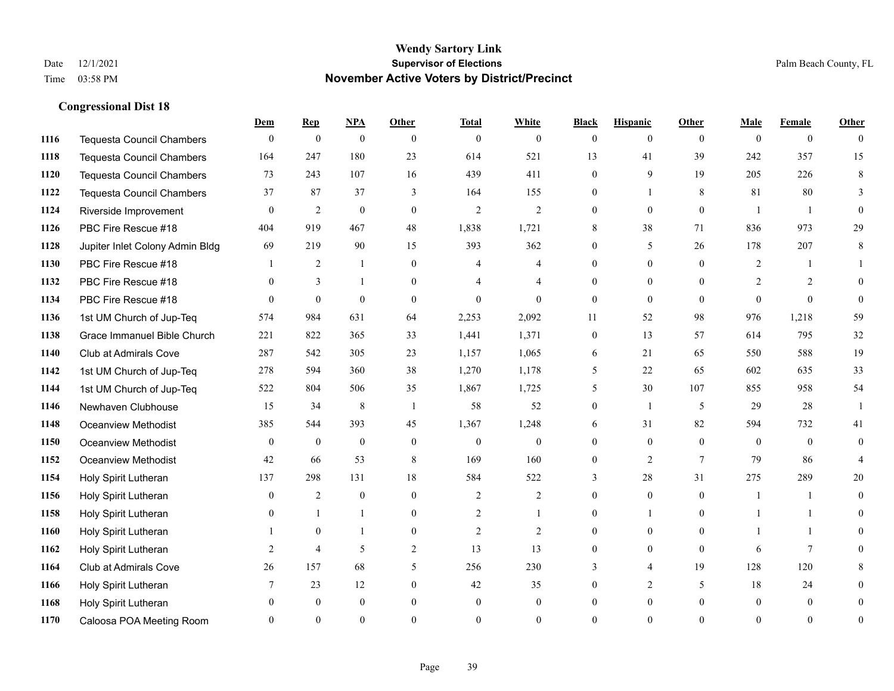**Congressional Dist 18**

#### **Wendy Sartory Link** Date 12/1/2021 **Supervisor of Elections** Palm Beach County, FL Time 03:58 PM **November Active Voters by District/Precinct**

## **Dem Rep NPA Other Total White Black Hispanic Other Male Female Other** Tequesta Council Chambers 0 0 0 0 0 0 0 0 0 0 0 0 Tequesta Council Chambers 164 247 180 23 614 521 13 41 39 242 357 15 Tequesta Council Chambers 73 243 107 16 439 411 0 9 19 205 226 8 Tequesta Council Chambers 37 87 37 3 164 155 0 1 8 81 80 3 Riverside Improvement 0 0 2 0 0 2 2 2 0 0 0 0 1 1 0 PBC Fire Rescue #18 **404** 919 467 48 1,838 1,721 8 38 71 836 973 29 Jupiter Inlet Colony Admin Bldg 69 219 90 15 393 362 0 5 26 178 207 8 PBC Fire Rescue #18 **1** 2 1 0 4 4 0 0 0 2 1 1 **1132 PBC Fire Rescue #18** 0 3 1 0 4 4 0 0 0 2 2 0 PBC Fire Rescue #18 0 0 0 0 0 0 0 0 0 0 0 0 1st UM Church of Jup-Teq 574 984 631 64 2,253 2,092 11 52 98 976 1,218 59 Grace Immanuel Bible Church 221 822 365 33 1,441 1,371 0 13 57 614 795 32 Club at Admirals Cove 287 542 305 23 1,157 1,065 6 21 65 550 588 19 1st UM Church of Jup-Teq 278 594 360 38 1,270 1,178 5 22 65 602 635 33 1st UM Church of Jup-Teq 522 804 506 35 1,867 1,725 5 30 107 855 958 54 Newhaven Clubhouse 15 34 8 1 58 52 0 1 5 29 28 1 Oceanview Methodist 385 544 393 45 1,367 1,248 6 31 82 594 732 41 Oceanview Methodist 0 0 0 0 0 0 0 0 0 0 0 0 Oceanview Methodist 42 66 53 8 169 160 0 2 7 79 86 4 Holy Spirit Lutheran 137 298 131 18 584 522 3 28 31 275 289 20 Holy Spirit Lutheran **0** 2 0 0 2 2 2 0 0 0 1 1 0 Holy Spirit Lutheran **0** 1 1 0 2 1 0 1 0 1 1 0 Holy Spirit Lutheran 1 0 1 0 2 2 0 0 0 1 1 0 Holy Spirit Lutheran **2** 4 5 2 13 13 0 0 0 6 7 0 Club at Admirals Cove 26 157 68 5 256 230 3 4 19 128 120 8 Holy Spirit Lutheran 7 23 12 0 42 35 0 2 5 18 24 0 Holy Spirit Lutheran 0 0 0 0 0 0 0 0 0 0 0 0 Caloosa POA Meeting Room 0 0 0 0 0 0 0 0 0 0 0 0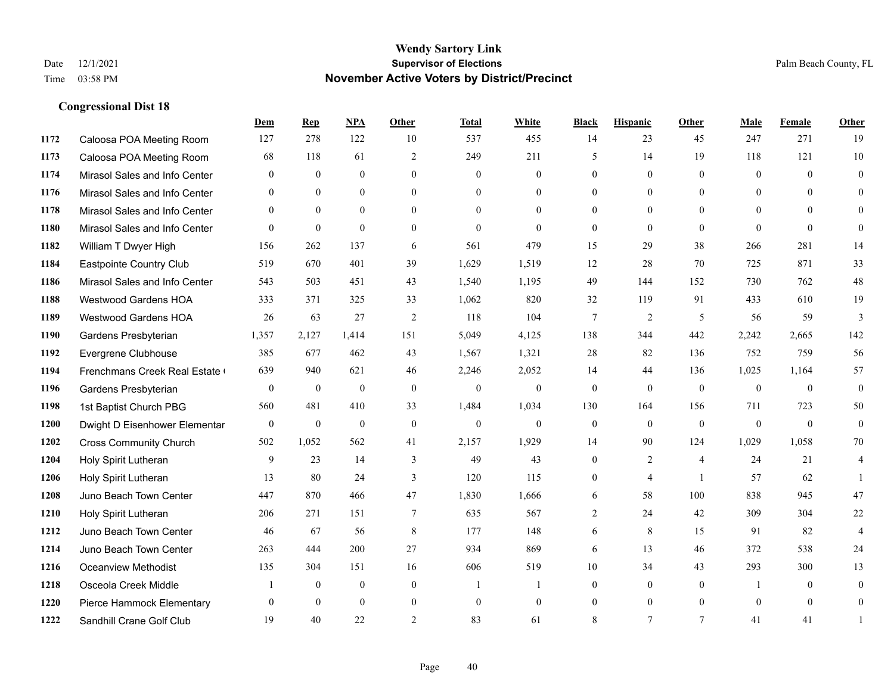|      |                               | Dem              | <b>Rep</b>     | NPA          | <b>Other</b>   | <b>Total</b> | <b>White</b>     | <b>Black</b>     | <b>Hispanic</b> | <b>Other</b>   | <b>Male</b>    | <b>Female</b> | <b>Other</b>     |
|------|-------------------------------|------------------|----------------|--------------|----------------|--------------|------------------|------------------|-----------------|----------------|----------------|---------------|------------------|
| 1172 | Caloosa POA Meeting Room      | 127              | 278            | 122          | 10             | 537          | 455              | 14               | 23              | 45             | 247            | 271           | 19               |
| 1173 | Caloosa POA Meeting Room      | 68               | 118            | 61           | $\overline{2}$ | 249          | 211              | 5                | 14              | 19             | 118            | 121           | 10               |
| 1174 | Mirasol Sales and Info Center | $\theta$         | $\theta$       | $\theta$     | $\Omega$       | $\Omega$     | $\Omega$         | $\theta$         | $\Omega$        | $\Omega$       | $\theta$       | $\Omega$      | $\theta$         |
| 1176 | Mirasol Sales and Info Center | $\overline{0}$   | $\mathbf{0}$   | $\mathbf{0}$ | $\overline{0}$ | $\mathbf{0}$ | $\overline{0}$   | $\mathbf{0}$     | $\mathbf{0}$    | $\overline{0}$ | $\overline{0}$ | $\mathbf{0}$  | $\Omega$         |
| 1178 | Mirasol Sales and Info Center | $\theta$         | $\theta$       | $\theta$     | $\Omega$       | $\theta$     | $\Omega$         | $\overline{0}$   | $\Omega$        | $\theta$       | $\theta$       | $\Omega$      | $\theta$         |
| 1180 | Mirasol Sales and Info Center | $\theta$         | $\mathbf{0}$   | $\mathbf{0}$ | $\Omega$       | $\theta$     | $\Omega$         | $\mathbf{0}$     | $\theta$        | $\theta$       | $\theta$       | $\theta$      | $\theta$         |
| 1182 | William T Dwyer High          | 156              | 262            | 137          | 6              | 561          | 479              | 15               | 29              | 38             | 266            | 281           | 14               |
| 1184 | Eastpointe Country Club       | 519              | 670            | 401          | 39             | 1,629        | 1,519            | 12               | 28              | 70             | 725            | 871           | 33               |
| 1186 | Mirasol Sales and Info Center | 543              | 503            | 451          | 43             | 1,540        | 1,195            | 49               | 144             | 152            | 730            | 762           | 48               |
| 1188 | <b>Westwood Gardens HOA</b>   | 333              | 371            | 325          | 33             | 1,062        | 820              | 32               | 119             | 91             | 433            | 610           | 19               |
| 1189 | Westwood Gardens HOA          | 26               | 63             | 27           | 2              | 118          | 104              | $7\phantom{.0}$  | 2               | 5              | 56             | 59            | 3                |
| 1190 | Gardens Presbyterian          | 1,357            | 2,127          | 1,414        | 151            | 5,049        | 4,125            | 138              | 344             | 442            | 2,242          | 2,665         | 142              |
| 1192 | Evergrene Clubhouse           | 385              | 677            | 462          | 43             | 1,567        | 1,321            | 28               | 82              | 136            | 752            | 759           | 56               |
| 1194 | Frenchmans Creek Real Estate  | 639              | 940            | 621          | 46             | 2,246        | 2,052            | 14               | 44              | 136            | 1,025          | 1,164         | 57               |
| 1196 | Gardens Presbyterian          | $\boldsymbol{0}$ | $\mathbf{0}$   | $\mathbf{0}$ | $\mathbf{0}$   | $\mathbf{0}$ | $\boldsymbol{0}$ | $\boldsymbol{0}$ | $\mathbf{0}$    | $\mathbf{0}$   | $\overline{0}$ | $\mathbf{0}$  | $\boldsymbol{0}$ |
| 1198 | 1st Baptist Church PBG        | 560              | 481            | 410          | 33             | 1,484        | 1,034            | 130              | 164             | 156            | 711            | 723           | 50               |
| 1200 | Dwight D Eisenhower Elementar | $\mathbf{0}$     | $\mathbf{0}$   | $\mathbf{0}$ | $\mathbf{0}$   | $\mathbf{0}$ | $\overline{0}$   | $\mathbf{0}$     | $\theta$        | $\theta$       | $\theta$       | $\mathbf{0}$  | $\mathbf{0}$     |
| 1202 | <b>Cross Community Church</b> | 502              | 1,052          | 562          | 41             | 2,157        | 1,929            | 14               | 90              | 124            | 1,029          | 1,058         | 70               |
| 1204 | Holy Spirit Lutheran          | 9                | 23             | 14           | 3              | 49           | 43               | $\mathbf{0}$     | $\overline{2}$  | $\overline{4}$ | 24             | 21            | 4                |
| 1206 | Holy Spirit Lutheran          | 13               | 80             | 24           | 3              | 120          | 115              | $\mathbf{0}$     | $\overline{4}$  | $\overline{1}$ | 57             | 62            |                  |
| 1208 | Juno Beach Town Center        | 447              | 870            | 466          | 47             | 1,830        | 1,666            | 6                | 58              | 100            | 838            | 945           | 47               |
| 1210 | Holy Spirit Lutheran          | 206              | 271            | 151          | $\tau$         | 635          | 567              | $\overline{2}$   | 24              | 42             | 309            | 304           | 22               |
| 1212 | Juno Beach Town Center        | 46               | 67             | 56           | 8              | 177          | 148              | 6                | 8               | 15             | 91             | 82            | 4                |
| 1214 | Juno Beach Town Center        | 263              | 444            | 200          | 27             | 934          | 869              | 6                | 13              | 46             | 372            | 538           | 24               |
| 1216 | <b>Oceanview Methodist</b>    | 135              | 304            | 151          | 16             | 606          | 519              | 10               | 34              | 43             | 293            | 300           | 13               |
| 1218 | Osceola Creek Middle          |                  | $\overline{0}$ | $\mathbf{0}$ | $\overline{0}$ | -1           | -1               | $\mathbf{0}$     | $\mathbf{0}$    | $\theta$       | 1              | $\theta$      | $\mathbf{0}$     |
| 1220 | Pierce Hammock Elementary     | $\theta$         | $\theta$       | $\theta$     | $\overline{0}$ | $\mathbf{0}$ | $\overline{0}$   | $\mathbf{0}$     | $\mathbf{0}$    | $\theta$       | $\theta$       | $\mathbf{0}$  | $\mathbf{0}$     |
| 1222 | Sandhill Crane Golf Club      | 19               | 40             | 22           | $\overline{2}$ | 83           | 61               | 8                | $\overline{7}$  | $\tau$         | 41             | 41            |                  |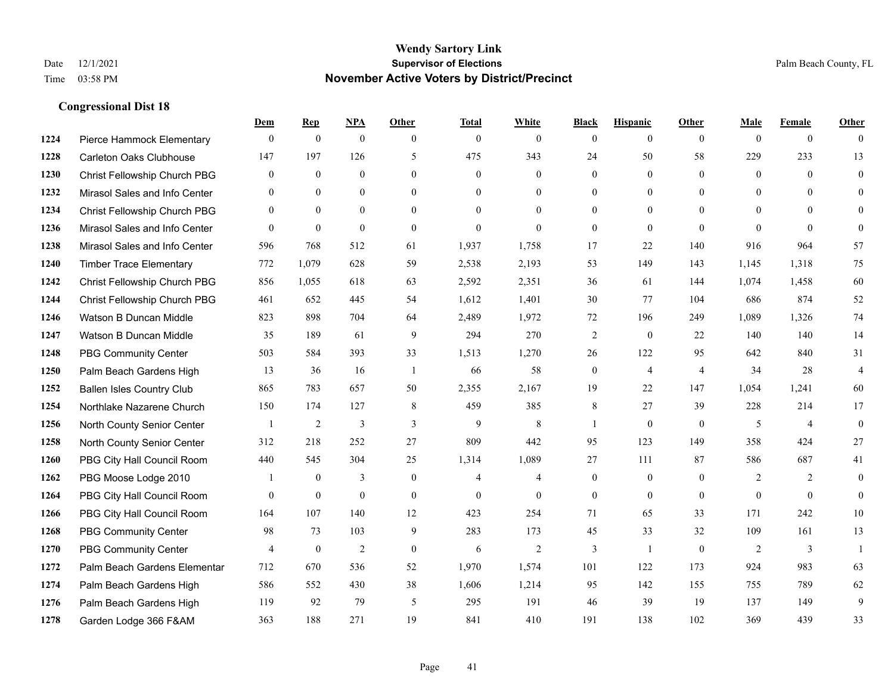|      |                                  | Dem            | <b>Rep</b>     | NPA              | <b>Other</b>   | <b>Total</b>   | <b>White</b>   | <b>Black</b>     | <b>Hispanic</b>  | <b>Other</b>   | <b>Male</b>    | <b>Female</b>  | <b>Other</b>            |
|------|----------------------------------|----------------|----------------|------------------|----------------|----------------|----------------|------------------|------------------|----------------|----------------|----------------|-------------------------|
| 1224 | Pierce Hammock Elementary        | $\mathbf{0}$   | $\theta$       | $\boldsymbol{0}$ | $\theta$       | $\mathbf{0}$   | $\overline{0}$ | $\mathbf{0}$     | $\mathbf{0}$     | $\theta$       | $\theta$       | $\overline{0}$ | $\Omega$                |
| 1228 | Carleton Oaks Clubhouse          | 147            | 197            | 126              | 5              | 475            | 343            | 24               | 50               | 58             | 229            | 233            | 13                      |
| 1230 | Christ Fellowship Church PBG     | $\theta$       | $\mathbf{0}$   | $\theta$         | $\Omega$       | $\theta$       | $\Omega$       | $\theta$         | $\theta$         | $\Omega$       | $\Omega$       | $\Omega$       | $\theta$                |
| 1232 | Mirasol Sales and Info Center    | $\mathbf{0}$   | $\mathbf{0}$   | $\mathbf{0}$     | $\overline{0}$ | $\mathbf{0}$   | $\overline{0}$ | $\boldsymbol{0}$ | $\boldsymbol{0}$ | $\overline{0}$ | $\mathbf{0}$   | $\Omega$       | $\Omega$                |
| 1234 | Christ Fellowship Church PBG     | $\theta$       | $\theta$       | $\Omega$         | $\theta$       | $\Omega$       | $\Omega$       | $\mathbf{0}$     | $\mathbf{0}$     | $\Omega$       | $\theta$       | $\theta$       | $\theta$                |
| 1236 | Mirasol Sales and Info Center    | $\theta$       | $\mathbf{0}$   | $\mathbf{0}$     | $\theta$       | $\mathbf{0}$   | $\Omega$       | $\mathbf{0}$     | $\mathbf{0}$     | $\Omega$       | $\Omega$       | $\theta$       | $\theta$                |
| 1238 | Mirasol Sales and Info Center    | 596            | 768            | 512              | 61             | 1,937          | 1,758          | 17               | 22               | 140            | 916            | 964            | 57                      |
| 1240 | <b>Timber Trace Elementary</b>   | 772            | 1,079          | 628              | 59             | 2,538          | 2,193          | 53               | 149              | 143            | 1,145          | 1,318          | 75                      |
| 1242 | Christ Fellowship Church PBG     | 856            | 1,055          | 618              | 63             | 2,592          | 2,351          | 36               | 61               | 144            | 1,074          | 1,458          | 60                      |
| 1244 | Christ Fellowship Church PBG     | 461            | 652            | 445              | 54             | 1,612          | 1,401          | 30               | 77               | 104            | 686            | 874            | 52                      |
| 1246 | Watson B Duncan Middle           | 823            | 898            | 704              | 64             | 2,489          | 1,972          | 72               | 196              | 249            | 1,089          | 1,326          | 74                      |
| 1247 | Watson B Duncan Middle           | 35             | 189            | 61               | 9              | 294            | 270            | $\overline{c}$   | $\mathbf{0}$     | 22             | 140            | 140            | 14                      |
| 1248 | <b>PBG Community Center</b>      | 503            | 584            | 393              | 33             | 1,513          | 1,270          | 26               | 122              | 95             | 642            | 840            | 31                      |
| 1250 | Palm Beach Gardens High          | 13             | 36             | 16               | -1             | 66             | 58             | $\boldsymbol{0}$ | $\overline{4}$   | $\overline{4}$ | 34             | 28             | $\overline{\mathbf{4}}$ |
| 1252 | <b>Ballen Isles Country Club</b> | 865            | 783            | 657              | 50             | 2,355          | 2,167          | 19               | 22               | 147            | 1,054          | 1,241          | 60                      |
| 1254 | Northlake Nazarene Church        | 150            | 174            | 127              | 8              | 459            | 385            | 8                | 27               | 39             | 228            | 214            | 17                      |
| 1256 | North County Senior Center       |                | $\overline{2}$ | 3                | 3              | 9              | 8              | 1                | $\theta$         | $\theta$       | 5              | $\overline{4}$ | $\theta$                |
| 1258 | North County Senior Center       | 312            | 218            | 252              | 27             | 809            | 442            | 95               | 123              | 149            | 358            | 424            | 27                      |
| 1260 | PBG City Hall Council Room       | 440            | 545            | 304              | 25             | 1,314          | 1,089          | 27               | 111              | 87             | 586            | 687            | 41                      |
| 1262 | PBG Moose Lodge 2010             |                | $\mathbf{0}$   | 3                | $\mathbf{0}$   | $\overline{4}$ | 4              | $\mathbf{0}$     | $\mathbf{0}$     | $\theta$       | $\overline{2}$ | 2              | $\mathbf{0}$            |
| 1264 | PBG City Hall Council Room       | $\Omega$       | $\mathbf{0}$   | $\theta$         | $\Omega$       | $\theta$       | $\theta$       | $\mathbf{0}$     | $\theta$         | $\theta$       | $\theta$       | $\Omega$       | $\theta$                |
| 1266 | PBG City Hall Council Room       | 164            | 107            | 140              | 12             | 423            | 254            | 71               | 65               | 33             | 171            | 242            | 10                      |
| 1268 | <b>PBG Community Center</b>      | 98             | 73             | 103              | 9              | 283            | 173            | 45               | 33               | 32             | 109            | 161            | 13                      |
| 1270 | <b>PBG Community Center</b>      | $\overline{4}$ | $\mathbf{0}$   | 2                | $\theta$       | 6              | $\overline{2}$ | $\overline{3}$   | $\mathbf{1}$     | $\theta$       | 2              | 3              | $\mathbf{1}$            |
| 1272 | Palm Beach Gardens Elementar     | 712            | 670            | 536              | 52             | 1,970          | 1,574          | 101              | 122              | 173            | 924            | 983            | 63                      |
| 1274 | Palm Beach Gardens High          | 586            | 552            | 430              | 38             | 1,606          | 1,214          | 95               | 142              | 155            | 755            | 789            | 62                      |
| 1276 | Palm Beach Gardens High          | 119            | 92             | 79               | 5              | 295            | 191            | 46               | 39               | 19             | 137            | 149            | 9                       |
| 1278 | Garden Lodge 366 F&AM            | 363            | 188            | 271              | 19             | 841            | 410            | 191              | 138              | 102            | 369            | 439            | 33                      |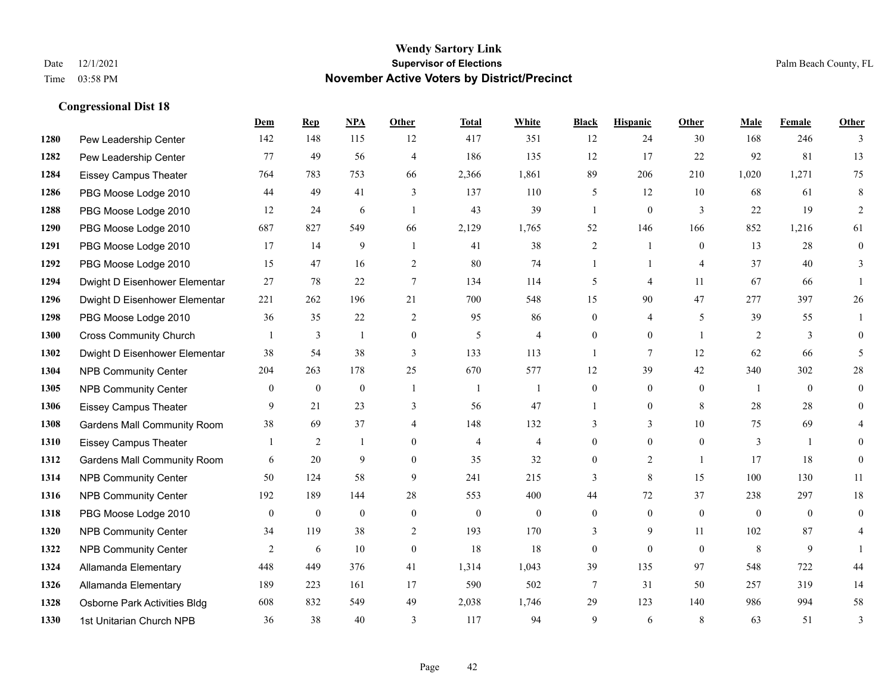|      |                                    | Dem          | <b>Rep</b>     | NPA          | Other          | <b>Total</b>   | <b>White</b>   | <b>Black</b>   | <b>Hispanic</b> | Other          | <b>Male</b>    | <b>Female</b> | <b>Other</b> |
|------|------------------------------------|--------------|----------------|--------------|----------------|----------------|----------------|----------------|-----------------|----------------|----------------|---------------|--------------|
| 1280 | Pew Leadership Center              | 142          | 148            | 115          | 12             | 417            | 351            | 12             | 24              | 30             | 168            | 246           | 3            |
| 1282 | Pew Leadership Center              | 77           | 49             | 56           | $\overline{4}$ | 186            | 135            | 12             | 17              | 22             | 92             | 81            | 13           |
| 1284 | <b>Eissey Campus Theater</b>       | 764          | 783            | 753          | 66             | 2,366          | 1,861          | 89             | 206             | 210            | 1,020          | 1,271         | 75           |
| 1286 | PBG Moose Lodge 2010               | 44           | 49             | 41           | 3              | 137            | 110            | 5              | 12              | 10             | 68             | 61            | 8            |
| 1288 | PBG Moose Lodge 2010               | 12           | 24             | 6            | $\overline{1}$ | 43             | 39             | $\mathbf{1}$   | $\mathbf{0}$    | 3              | 22             | 19            | 2            |
| 1290 | PBG Moose Lodge 2010               | 687          | 827            | 549          | 66             | 2,129          | 1,765          | 52             | 146             | 166            | 852            | 1,216         | 61           |
| 1291 | PBG Moose Lodge 2010               | 17           | 14             | 9            | $\overline{1}$ | 41             | 38             | $\overline{c}$ | 1               | $\Omega$       | 13             | 28            | $\mathbf{0}$ |
| 1292 | PBG Moose Lodge 2010               | 15           | 47             | 16           | 2              | 80             | 74             | $\mathbf{1}$   | $\mathbf{1}$    | $\overline{4}$ | 37             | 40            | 3            |
| 1294 | Dwight D Eisenhower Elementar      | 27           | 78             | $22\,$       | $\tau$         | 134            | 114            | 5              | 4               | 11             | 67             | 66            |              |
| 1296 | Dwight D Eisenhower Elementar      | 221          | 262            | 196          | 21             | 700            | 548            | 15             | 90              | 47             | 277            | 397           | 26           |
| 1298 | PBG Moose Lodge 2010               | 36           | 35             | 22           | 2              | 95             | 86             | $\overline{0}$ | 4               | 5              | 39             | 55            | 1            |
| 1300 | <b>Cross Community Church</b>      |              | 3              | $\mathbf{1}$ | $\mathbf{0}$   | 5              | $\overline{4}$ | $\overline{0}$ | $\overline{0}$  | $\overline{1}$ | 2              | 3             | $\theta$     |
| 1302 | Dwight D Eisenhower Elementar      | 38           | 54             | 38           | 3              | 133            | 113            | $\mathbf{1}$   | 7               | 12             | 62             | 66            | 5            |
| 1304 | <b>NPB Community Center</b>        | 204          | 263            | 178          | 25             | 670            | 577            | 12             | 39              | 42             | 340            | 302           | 28           |
| 1305 | <b>NPB Community Center</b>        | $\theta$     | $\mathbf{0}$   | $\mathbf{0}$ | $\overline{1}$ | -1             | $\overline{1}$ | $\overline{0}$ | $\overline{0}$  | $\theta$       | $\overline{1}$ | $\theta$      | $\mathbf{0}$ |
| 1306 | Eissey Campus Theater              | 9            | 21             | 23           | 3              | 56             | 47             | 1              | $\overline{0}$  | 8              | 28             | 28            | $\theta$     |
| 1308 | <b>Gardens Mall Community Room</b> | 38           | 69             | 37           | $\overline{4}$ | 148            | 132            | 3              | $\overline{3}$  | 10             | 75             | 69            | 4            |
| 1310 | <b>Eissey Campus Theater</b>       |              | $\overline{2}$ | -1           | $\theta$       | $\overline{4}$ | $\overline{4}$ | $\overline{0}$ | $\overline{0}$  | $\theta$       | 3              |               | $\Omega$     |
| 1312 | <b>Gardens Mall Community Room</b> | 6            | 20             | 9            | $\theta$       | 35             | 32             | $\overline{0}$ | $\overline{2}$  | $\overline{1}$ | 17             | 18            | $\theta$     |
| 1314 | <b>NPB Community Center</b>        | 50           | 124            | 58           | 9              | 241            | 215            | 3              | 8               | 15             | 100            | 130           | 11           |
| 1316 | <b>NPB Community Center</b>        | 192          | 189            | 144          | 28             | 553            | 400            | 44             | 72              | 37             | 238            | 297           | $18\,$       |
| 1318 | PBG Moose Lodge 2010               | $\mathbf{0}$ | $\mathbf{0}$   | $\mathbf{0}$ | $\mathbf{0}$   | $\mathbf{0}$   | $\overline{0}$ | $\overline{0}$ | $\overline{0}$  | $\theta$       | $\mathbf{0}$   | $\theta$      | $\theta$     |
| 1320 | <b>NPB Community Center</b>        | 34           | 119            | 38           | 2              | 193            | 170            | 3              | 9               | 11             | 102            | 87            | 4            |
| 1322 | <b>NPB Community Center</b>        | 2            | 6              | 10           | $\mathbf{0}$   | 18             | 18             | 0              | $\overline{0}$  | $\theta$       | 8              | 9             |              |
| 1324 | Allamanda Elementary               | 448          | 449            | 376          | 41             | 1,314          | 1,043          | 39             | 135             | 97             | 548            | 722           | 44           |
| 1326 | Allamanda Elementary               | 189          | 223            | 161          | 17             | 590            | 502            | 7              | 31              | 50             | 257            | 319           | 14           |
| 1328 | Osborne Park Activities Bldg       | 608          | 832            | 549          | 49             | 2,038          | 1,746          | 29             | 123             | 140            | 986            | 994           | 58           |
| 1330 | 1st Unitarian Church NPB           | 36           | 38             | 40           | 3              | 117            | 94             | 9              | 6               | 8              | 63             | 51            | 3            |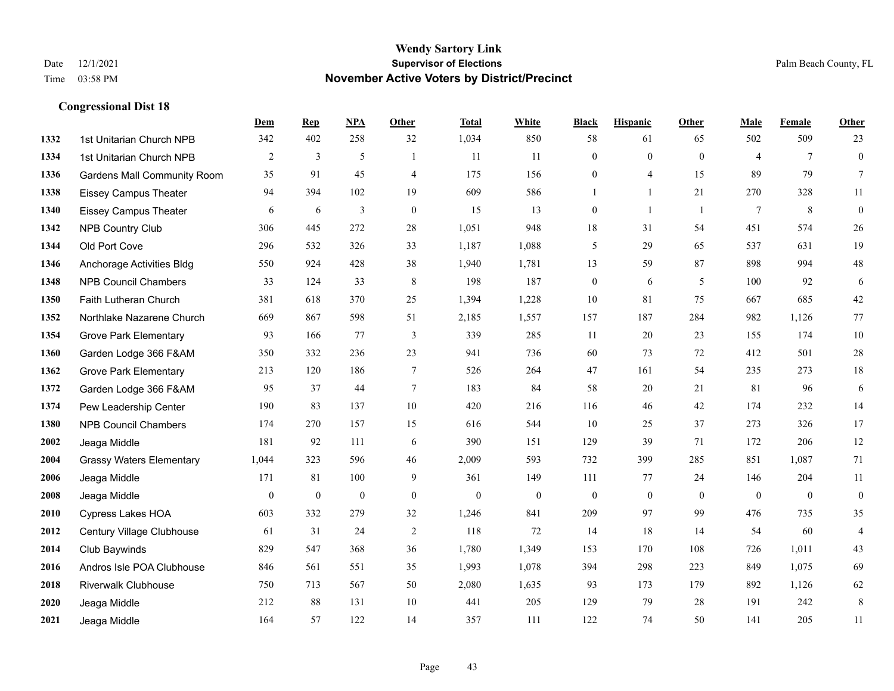|      |                                    | Dem            | <b>Rep</b>       | NPA              | <b>Other</b>   | <b>Total</b> | <b>White</b>     | <b>Black</b>     | <b>Hispanic</b> | <b>Other</b>   | <b>Male</b>    | <b>Female</b>   | <b>Other</b>     |
|------|------------------------------------|----------------|------------------|------------------|----------------|--------------|------------------|------------------|-----------------|----------------|----------------|-----------------|------------------|
| 1332 | 1st Unitarian Church NPB           | 342            | 402              | 258              | 32             | 1,034        | 850              | 58               | 61              | 65             | 502            | 509             | 23               |
| 1334 | 1st Unitarian Church NPB           | $\overline{2}$ | 3                | 5                | $\mathbf{1}$   | 11           | 11               | $\mathbf{0}$     | $\mathbf{0}$    | $\theta$       | $\overline{4}$ | $7\phantom{.0}$ | $\boldsymbol{0}$ |
| 1336 | <b>Gardens Mall Community Room</b> | 35             | 91               | 45               | $\overline{4}$ | 175          | 156              | $\mathbf{0}$     | 4               | 15             | 89             | 79              | $\tau$           |
| 1338 | <b>Eissey Campus Theater</b>       | 94             | 394              | 102              | 19             | 609          | 586              | $\mathbf{1}$     | 1               | 21             | 270            | 328             | 11               |
| 1340 | <b>Eissey Campus Theater</b>       | 6              | 6                | 3                | $\theta$       | 15           | 13               | $\mathbf{0}$     | $\mathbf{1}$    | $\overline{1}$ | $\tau$         | 8               | $\boldsymbol{0}$ |
| 1342 | <b>NPB Country Club</b>            | 306            | 445              | 272              | $28\,$         | 1,051        | 948              | 18               | 31              | 54             | 451            | 574             | $26\,$           |
| 1344 | Old Port Cove                      | 296            | 532              | 326              | 33             | 1,187        | 1,088            | 5                | 29              | 65             | 537            | 631             | 19               |
| 1346 | Anchorage Activities Bldg          | 550            | 924              | 428              | 38             | 1,940        | 1,781            | 13               | 59              | 87             | 898            | 994             | $48\,$           |
| 1348 | <b>NPB Council Chambers</b>        | 33             | 124              | 33               | 8              | 198          | 187              | $\boldsymbol{0}$ | 6               | 5              | 100            | 92              | 6                |
| 1350 | Faith Lutheran Church              | 381            | 618              | 370              | 25             | 1,394        | 1,228            | 10               | 81              | 75             | 667            | 685             | $42\,$           |
| 1352 | Northlake Nazarene Church          | 669            | 867              | 598              | 51             | 2,185        | 1,557            | 157              | 187             | 284            | 982            | 1,126           | 77               |
| 1354 | <b>Grove Park Elementary</b>       | 93             | 166              | 77               | 3              | 339          | 285              | 11               | 20              | 23             | 155            | 174             | $10\,$           |
| 1360 | Garden Lodge 366 F&AM              | 350            | 332              | 236              | 23             | 941          | 736              | 60               | 73              | 72             | 412            | 501             | $28\,$           |
| 1362 | <b>Grove Park Elementary</b>       | 213            | 120              | 186              | $\tau$         | 526          | 264              | $47\,$           | 161             | 54             | 235            | 273             | $18\,$           |
| 1372 | Garden Lodge 366 F&AM              | 95             | 37               | 44               | $\overline{7}$ | 183          | 84               | 58               | 20              | 21             | 81             | 96              | $\sqrt{6}$       |
| 1374 | Pew Leadership Center              | 190            | 83               | 137              | 10             | 420          | 216              | 116              | 46              | 42             | 174            | 232             | 14               |
| 1380 | <b>NPB Council Chambers</b>        | 174            | 270              | 157              | 15             | 616          | 544              | 10               | 25              | 37             | 273            | 326             | 17               |
| 2002 | Jeaga Middle                       | 181            | 92               | 111              | 6              | 390          | 151              | 129              | 39              | 71             | 172            | 206             | 12               |
| 2004 | <b>Grassy Waters Elementary</b>    | 1,044          | 323              | 596              | 46             | 2,009        | 593              | 732              | 399             | 285            | 851            | 1,087           | 71               |
| 2006 | Jeaga Middle                       | 171            | 81               | 100              | 9              | 361          | 149              | 111              | 77              | 24             | 146            | 204             | $11\,$           |
| 2008 | Jeaga Middle                       | $\overline{0}$ | $\boldsymbol{0}$ | $\boldsymbol{0}$ | $\mathbf{0}$   | $\mathbf{0}$ | $\boldsymbol{0}$ | $\mathbf{0}$     | $\mathbf{0}$    | $\overline{0}$ | $\mathbf{0}$   | $\mathbf{0}$    | $\boldsymbol{0}$ |
| 2010 | <b>Cypress Lakes HOA</b>           | 603            | 332              | 279              | 32             | 1,246        | 841              | 209              | 97              | 99             | 476            | 735             | 35               |
| 2012 | Century Village Clubhouse          | 61             | 31               | 24               | 2              | 118          | 72               | 14               | 18              | 14             | 54             | 60              | $\overline{4}$   |
| 2014 | Club Baywinds                      | 829            | 547              | 368              | 36             | 1,780        | 1,349            | 153              | 170             | 108            | 726            | 1,011           | 43               |
| 2016 | Andros Isle POA Clubhouse          | 846            | 561              | 551              | 35             | 1,993        | 1,078            | 394              | 298             | 223            | 849            | 1,075           | 69               |
| 2018 | <b>Riverwalk Clubhouse</b>         | 750            | 713              | 567              | 50             | 2,080        | 1,635            | 93               | 173             | 179            | 892            | 1,126           | 62               |
| 2020 | Jeaga Middle                       | 212            | 88               | 131              | 10             | 441          | 205              | 129              | 79              | 28             | 191            | 242             | $\,8\,$          |
| 2021 | Jeaga Middle                       | 164            | 57               | 122              | 14             | 357          | 111              | 122              | 74              | 50             | 141            | 205             | 11               |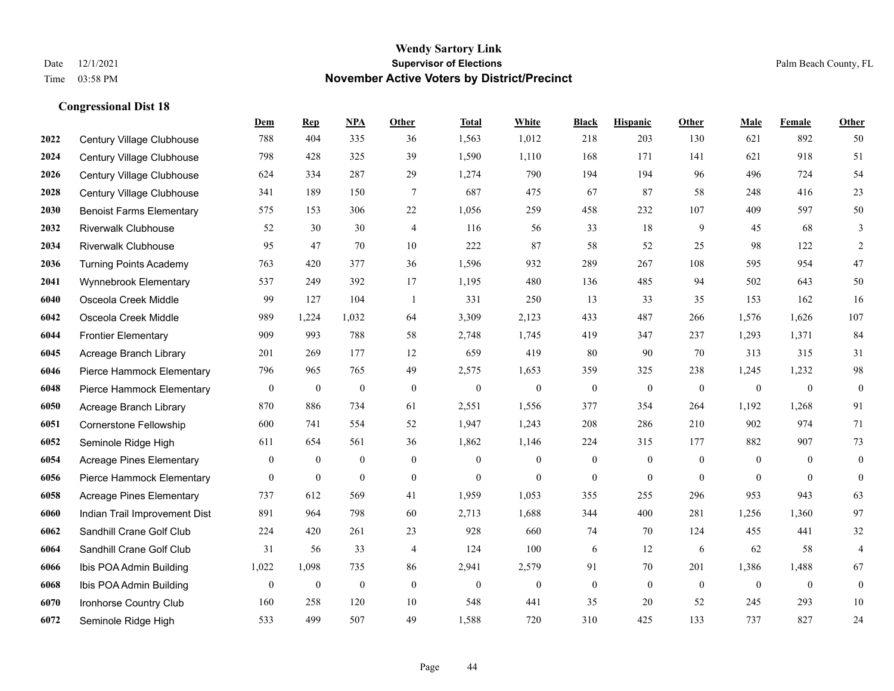|      |                                 | Dem            | <b>Rep</b>   | NPA              | <b>Other</b>     | <b>Total</b>     | <b>White</b>     | <b>Black</b>     | <b>Hispanic</b>  | <b>Other</b> | <b>Male</b>  | Female         | <b>Other</b>     |
|------|---------------------------------|----------------|--------------|------------------|------------------|------------------|------------------|------------------|------------------|--------------|--------------|----------------|------------------|
| 2022 | Century Village Clubhouse       | 788            | 404          | 335              | 36               | 1,563            | 1,012            | 218              | 203              | 130          | 621          | 892            | 50               |
| 2024 | Century Village Clubhouse       | 798            | 428          | 325              | 39               | 1,590            | 1,110            | 168              | 171              | 141          | 621          | 918            | 51               |
| 2026 | Century Village Clubhouse       | 624            | 334          | 287              | 29               | 1,274            | 790              | 194              | 194              | 96           | 496          | 724            | 54               |
| 2028 | Century Village Clubhouse       | 341            | 189          | 150              | $\tau$           | 687              | 475              | 67               | 87               | 58           | 248          | 416            | 23               |
| 2030 | <b>Benoist Farms Elementary</b> | 575            | 153          | 306              | 22               | 1,056            | 259              | 458              | 232              | 107          | 409          | 597            | 50               |
| 2032 | <b>Riverwalk Clubhouse</b>      | 52             | 30           | 30               | 4                | 116              | 56               | 33               | 18               | 9            | 45           | 68             | 3                |
| 2034 | <b>Riverwalk Clubhouse</b>      | 95             | 47           | 70               | 10               | 222              | 87               | 58               | 52               | 25           | 98           | 122            | $\overline{2}$   |
| 2036 | <b>Turning Points Academy</b>   | 763            | 420          | 377              | 36               | 1,596            | 932              | 289              | 267              | 108          | 595          | 954            | 47               |
| 2041 | Wynnebrook Elementary           | 537            | 249          | 392              | 17               | 1,195            | 480              | 136              | 485              | 94           | 502          | 643            | 50               |
| 6040 | Osceola Creek Middle            | 99             | 127          | 104              | $\overline{1}$   | 331              | 250              | 13               | 33               | 35           | 153          | 162            | 16               |
| 6042 | Osceola Creek Middle            | 989            | 1,224        | 1,032            | 64               | 3,309            | 2,123            | 433              | 487              | 266          | 1,576        | 1,626          | 107              |
| 6044 | <b>Frontier Elementary</b>      | 909            | 993          | 788              | 58               | 2,748            | 1,745            | 419              | 347              | 237          | 1,293        | 1,371          | 84               |
| 6045 | Acreage Branch Library          | 201            | 269          | 177              | 12               | 659              | 419              | 80               | 90               | 70           | 313          | 315            | 31               |
| 6046 | Pierce Hammock Elementary       | 796            | 965          | 765              | 49               | 2,575            | 1,653            | 359              | 325              | 238          | 1,245        | 1,232          | $\bf{98}$        |
| 6048 | Pierce Hammock Elementary       | $\mathbf{0}$   | $\mathbf{0}$ | $\boldsymbol{0}$ | $\boldsymbol{0}$ | $\boldsymbol{0}$ | $\boldsymbol{0}$ | $\boldsymbol{0}$ | $\boldsymbol{0}$ | $\mathbf{0}$ | $\mathbf{0}$ | $\mathbf{0}$   | $\boldsymbol{0}$ |
| 6050 | Acreage Branch Library          | 870            | 886          | 734              | 61               | 2,551            | 1,556            | 377              | 354              | 264          | 1,192        | 1,268          | 91               |
| 6051 | Cornerstone Fellowship          | 600            | 741          | 554              | 52               | 1,947            | 1,243            | 208              | 286              | 210          | 902          | 974            | 71               |
| 6052 | Seminole Ridge High             | 611            | 654          | 561              | 36               | 1,862            | 1,146            | 224              | 315              | 177          | 882          | 907            | 73               |
| 6054 | <b>Acreage Pines Elementary</b> | $\overline{0}$ | $\mathbf{0}$ | $\mathbf{0}$     | $\overline{0}$   | $\theta$         | $\boldsymbol{0}$ | $\boldsymbol{0}$ | $\overline{0}$   | $\mathbf{0}$ | $\mathbf{0}$ | $\overline{0}$ | $\boldsymbol{0}$ |
| 6056 | Pierce Hammock Elementary       | $\overline{0}$ | $\mathbf{0}$ | $\mathbf{0}$     | $\boldsymbol{0}$ | $\mathbf{0}$     | $\overline{0}$   | $\boldsymbol{0}$ | $\overline{0}$   | $\mathbf{0}$ | $\mathbf{0}$ | $\mathbf{0}$   | $\boldsymbol{0}$ |
| 6058 | <b>Acreage Pines Elementary</b> | 737            | 612          | 569              | 41               | 1,959            | 1,053            | 355              | 255              | 296          | 953          | 943            | 63               |
| 6060 | Indian Trail Improvement Dist   | 891            | 964          | 798              | 60               | 2,713            | 1,688            | 344              | 400              | 281          | 1,256        | 1,360          | 97               |
| 6062 | Sandhill Crane Golf Club        | 224            | 420          | 261              | 23               | 928              | 660              | 74               | 70               | 124          | 455          | 441            | $32\,$           |
| 6064 | Sandhill Crane Golf Club        | 31             | 56           | 33               | 4                | 124              | 100              | 6                | 12               | 6            | 62           | 58             | $\overline{4}$   |
| 6066 | Ibis POA Admin Building         | 1,022          | 1,098        | 735              | 86               | 2,941            | 2,579            | 91               | 70               | 201          | 1,386        | 1,488          | 67               |
| 6068 | Ibis POA Admin Building         | $\mathbf{0}$   | $\mathbf{0}$ | $\boldsymbol{0}$ | $\mathbf{0}$     | $\theta$         | $\boldsymbol{0}$ | $\mathbf{0}$     | $\overline{0}$   | $\mathbf{0}$ | $\mathbf{0}$ | $\mathbf{0}$   | $\boldsymbol{0}$ |
| 6070 | Ironhorse Country Club          | 160            | 258          | 120              | 10               | 548              | 441              | 35               | 20               | 52           | 245          | 293            | 10               |
| 6072 | Seminole Ridge High             | 533            | 499          | 507              | 49               | 1,588            | 720              | 310              | 425              | 133          | 737          | 827            | 24               |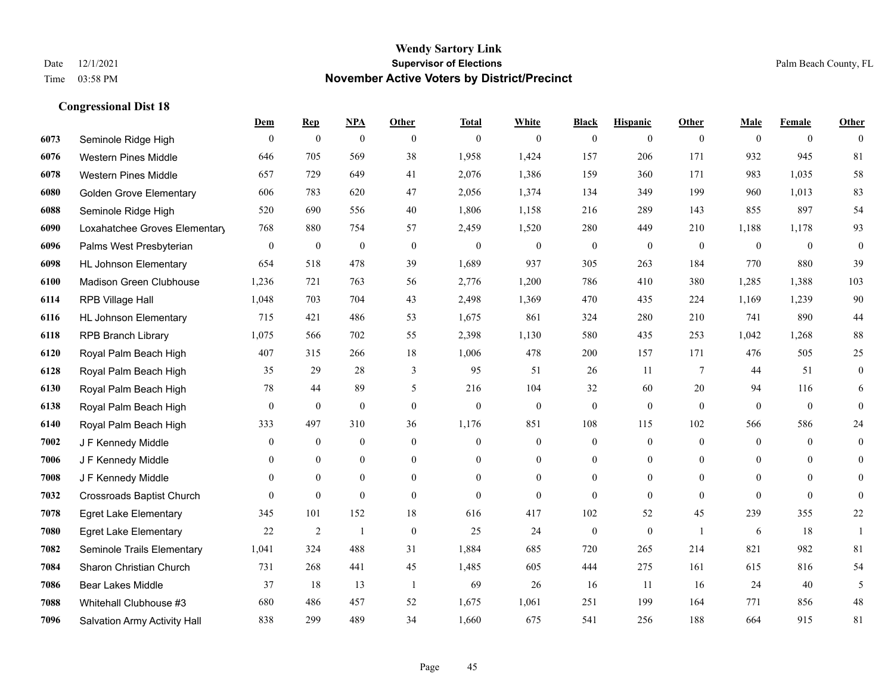|      |                                  | Dem              | <b>Rep</b>       | NPA              | <b>Other</b>   | <b>Total</b> | <b>White</b>     | <b>Black</b>     | <b>Hispanic</b>  | <b>Other</b>    | <b>Male</b>  | <b>Female</b>  | <b>Other</b>     |
|------|----------------------------------|------------------|------------------|------------------|----------------|--------------|------------------|------------------|------------------|-----------------|--------------|----------------|------------------|
| 6073 | Seminole Ridge High              | $\mathbf{0}$     | $\boldsymbol{0}$ | $\boldsymbol{0}$ | $\theta$       | $\theta$     | $\overline{0}$   | $\mathbf{0}$     | $\mathbf{0}$     | $\theta$        | $\mathbf{0}$ | $\overline{0}$ | $\theta$         |
| 6076 | <b>Western Pines Middle</b>      | 646              | 705              | 569              | 38             | 1,958        | 1,424            | 157              | 206              | 171             | 932          | 945            | 81               |
| 6078 | <b>Western Pines Middle</b>      | 657              | 729              | 649              | 41             | 2,076        | 1,386            | 159              | 360              | 171             | 983          | 1,035          | $58\,$           |
| 6080 | <b>Golden Grove Elementary</b>   | 606              | 783              | 620              | 47             | 2,056        | 1,374            | 134              | 349              | 199             | 960          | 1,013          | 83               |
| 6088 | Seminole Ridge High              | 520              | 690              | 556              | 40             | 1,806        | 1,158            | 216              | 289              | 143             | 855          | 897            | 54               |
| 6090 | Loxahatchee Groves Elementary    | 768              | 880              | 754              | 57             | 2,459        | 1,520            | 280              | 449              | 210             | 1,188        | 1,178          | 93               |
| 6096 | Palms West Presbyterian          | $\boldsymbol{0}$ | $\boldsymbol{0}$ | $\boldsymbol{0}$ | $\mathbf{0}$   | $\theta$     | $\mathbf{0}$     | $\boldsymbol{0}$ | $\mathbf{0}$     | $\mathbf{0}$    | $\mathbf{0}$ | $\mathbf{0}$   | $\boldsymbol{0}$ |
| 6098 | <b>HL Johnson Elementary</b>     | 654              | 518              | 478              | 39             | 1,689        | 937              | 305              | 263              | 184             | 770          | 880            | 39               |
| 6100 | Madison Green Clubhouse          | 1,236            | 721              | 763              | 56             | 2,776        | 1,200            | 786              | 410              | 380             | 1,285        | 1,388          | 103              |
| 6114 | RPB Village Hall                 | 1,048            | 703              | 704              | 43             | 2,498        | 1,369            | 470              | 435              | 224             | 1,169        | 1,239          | 90               |
| 6116 | <b>HL Johnson Elementary</b>     | 715              | 421              | 486              | 53             | 1,675        | 861              | 324              | 280              | 210             | 741          | 890            | $44\,$           |
| 6118 | <b>RPB Branch Library</b>        | 1,075            | 566              | 702              | 55             | 2,398        | 1,130            | 580              | 435              | 253             | 1,042        | 1,268          | $88\,$           |
| 6120 | Royal Palm Beach High            | 407              | 315              | 266              | 18             | 1,006        | 478              | 200              | 157              | 171             | 476          | 505            | 25               |
| 6128 | Royal Palm Beach High            | 35               | 29               | 28               | 3              | 95           | 51               | 26               | 11               | $7\phantom{.0}$ | 44           | 51             | $\boldsymbol{0}$ |
| 6130 | Royal Palm Beach High            | $78\,$           | 44               | 89               | 5              | 216          | 104              | 32               | 60               | 20              | 94           | 116            | 6                |
| 6138 | Royal Palm Beach High            | $\mathbf{0}$     | $\mathbf{0}$     | $\mathbf{0}$     | $\theta$       | $\mathbf{0}$ | $\overline{0}$   | $\mathbf{0}$     | $\mathbf{0}$     | $\theta$        | $\mathbf{0}$ | $\mathbf{0}$   | $\mathbf{0}$     |
| 6140 | Royal Palm Beach High            | 333              | 497              | 310              | 36             | 1,176        | 851              | 108              | 115              | 102             | 566          | 586            | $24\,$           |
| 7002 | J F Kennedy Middle               | $\mathbf{0}$     | $\overline{0}$   | $\mathbf{0}$     | $\theta$       | $\theta$     | $\overline{0}$   | $\overline{0}$   | $\mathbf{0}$     | $\theta$        | $\theta$     | $\theta$       | $\overline{0}$   |
| 7006 | J F Kennedy Middle               | $\mathbf{0}$     | $\mathbf{0}$     | $\mathbf{0}$     | $\overline{0}$ | $\theta$     | $\overline{0}$   | $\overline{0}$   | $\mathbf{0}$     | $\theta$        | $\mathbf{0}$ | $\theta$       | $\theta$         |
| 7008 | J F Kennedy Middle               | $\mathbf{0}$     | $\mathbf{0}$     | $\mathbf{0}$     | $\overline{0}$ | $\mathbf{0}$ | $\boldsymbol{0}$ | $\boldsymbol{0}$ | $\boldsymbol{0}$ | $\mathbf{0}$    | $\mathbf{0}$ | $\mathbf{0}$   | $\mathbf{0}$     |
| 7032 | <b>Crossroads Baptist Church</b> | $\theta$         | $\mathbf{0}$     | $\mathbf{0}$     | $\theta$       | $\Omega$     | $\overline{0}$   | $\mathbf{0}$     | $\theta$         | $\theta$        | $\theta$     | $\theta$       | $\theta$         |
| 7078 | <b>Egret Lake Elementary</b>     | 345              | 101              | 152              | 18             | 616          | 417              | 102              | 52               | 45              | 239          | 355            | $22\,$           |
| 7080 | <b>Egret Lake Elementary</b>     | 22               | $\overline{2}$   | -1               | $\mathbf{0}$   | 25           | 24               | $\boldsymbol{0}$ | $\mathbf{0}$     | $\overline{1}$  | 6            | 18             | -1               |
| 7082 | Seminole Trails Elementary       | 1,041            | 324              | 488              | 31             | 1,884        | 685              | 720              | 265              | 214             | 821          | 982            | 81               |
| 7084 | Sharon Christian Church          | 731              | 268              | 441              | 45             | 1,485        | 605              | 444              | 275              | 161             | 615          | 816            | 54               |
| 7086 | <b>Bear Lakes Middle</b>         | 37               | 18               | 13               | -1             | 69           | 26               | 16               | 11               | 16              | 24           | 40             | 5                |
| 7088 | Whitehall Clubhouse #3           | 680              | 486              | 457              | 52             | 1,675        | 1,061            | 251              | 199              | 164             | 771          | 856            | $48\,$           |
| 7096 | Salvation Army Activity Hall     | 838              | 299              | 489              | 34             | 1,660        | 675              | 541              | 256              | 188             | 664          | 915            | 81               |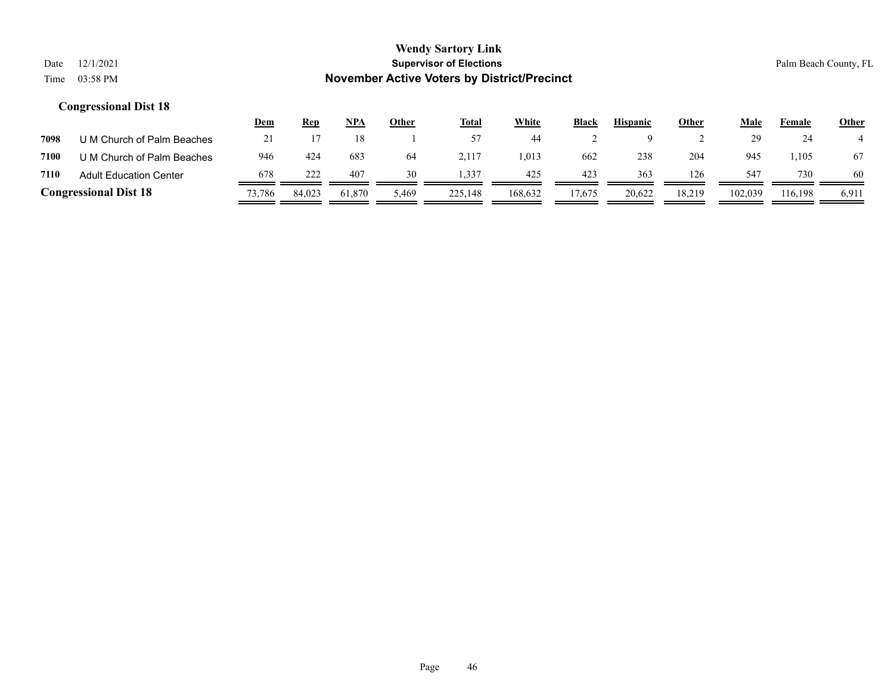|      |                               | <u>Dem</u> | <u>Rep</u> | NPA    | Other | <b>Total</b> | White   | <b>Black</b> | <b>Hispanic</b> | Other  | Male    | Female  | <b>Other</b> |
|------|-------------------------------|------------|------------|--------|-------|--------------|---------|--------------|-----------------|--------|---------|---------|--------------|
| 7098 | U M Church of Palm Beaches    | 21         |            |        |       |              | 44      |              |                 |        | 29      | 24      |              |
| 7100 | U M Church of Palm Beaches    | 946        | 424        | 683    | 64    | 2.117        | 1.013   | 662          | 238             | 204    | 945     | 1,105   | 67           |
| 7110 | <b>Adult Education Center</b> | 678        | 222        | 407    | 30    | 1.337        | 425     | 423          | 363             | 126    | 547     | 730     | 60           |
|      | <b>Congressional Dist 18</b>  | 73,786     | 84,023     | 61,870 | 5,469 | 225,148      | 168,632 | 17.675       | 20.622          | 18,219 | 102,039 | 116.198 | 6,911        |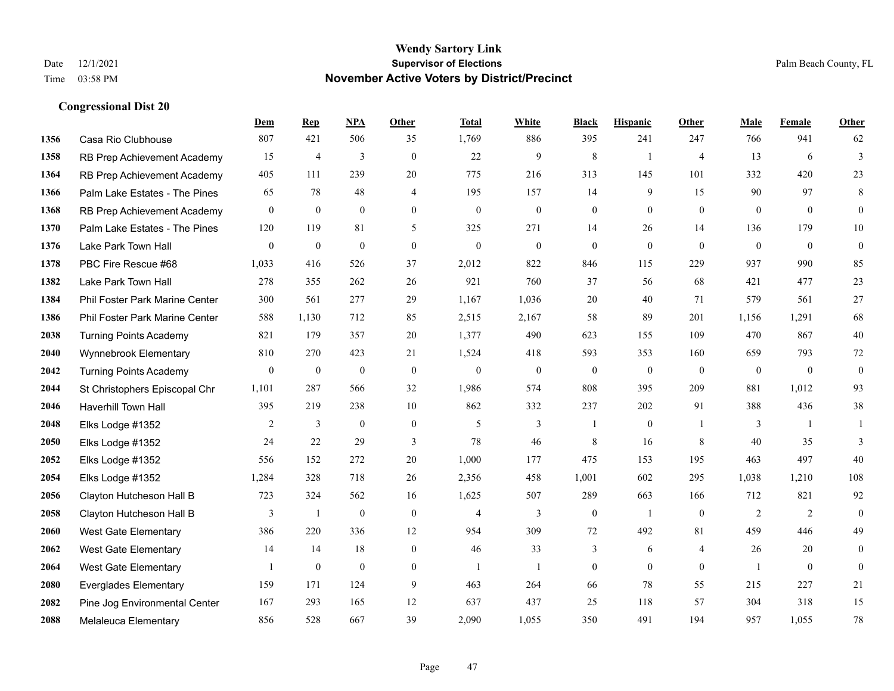**Congressional Dist 20**

#### **Wendy Sartory Link** Date 12/1/2021 **Supervisor of Elections** Palm Beach County, FL Time 03:58 PM **November Active Voters by District/Precinct**

## **Dem Rep NPA Other Total White Black Hispanic Other Male Female Other** Casa Rio Clubhouse 807 421 506 35 1,769 886 395 241 247 766 941 62 RB Prep Achievement Academy 15 4 3 0 22 9 8 1 4 13 6 3 RB Prep Achievement Academy 405 111 239 20 775 216 313 145 101 332 420 23 Palm Lake Estates - The Pines 65 78 48 4 195 157 14 9 15 90 97 8 RB Prep Achievement Academy 0 0 0 0 0 0 0 0 0 0 0 0 Palm Lake Estates - The Pines 120 119 81 5 325 271 14 26 14 136 179 10 Lake Park Town Hall 0 0 0 0 0 0 0 0 0 0 0 0 PBC Fire Rescue #68 1,033 416 526 37 2,012 822 846 115 229 937 990 85 Lake Park Town Hall 278 355 262 26 921 760 37 56 68 421 477 23 Phil Foster Park Marine Center 300 561 277 29 1,167 1,036 20 40 71 579 561 27 Phil Foster Park Marine Center 588 1,130 712 85 2,515 2,167 58 89 201 1,156 1,291 68 Turning Points Academy 821 179 357 20 1,377 490 623 155 109 470 867 40 Wynnebrook Elementary 810 270 423 21 1,524 418 593 353 160 659 793 72 Turning Points Academy 0 0 0 0 0 0 0 0 0 0 0 0 St Christophers Episcopal Chr 1,101 287 566 32 1,986 574 808 395 209 881 1,012 93 Haverhill Town Hall 395 219 238 10 862 332 237 202 91 388 436 38 Elks Lodge #1352 2 3 0 0 5 3 1 0 1 3 1 1 Elks Lodge #1352 24 22 29 3 78 46 8 16 8 40 35 3 Elks Lodge #1352 556 152 272 20 1,000 177 475 153 195 463 497 40 Elks Lodge #1352 1,284 328 718 26 2,356 458 1,001 602 295 1,038 1,210 108 Clayton Hutcheson Hall B 723 324 562 16 1,625 507 289 663 166 712 821 92 Clayton Hutcheson Hall B 3 1 0 0 4 3 0 1 0 2 2 0 West Gate Elementary 386 220 336 12 954 309 72 492 81 459 446 49 West Gate Elementary 14 14 18 0 46 33 3 6 4 26 20 0 West Gate Elementary 1 0 0 0 1 1 0 0 0 1 0 0 Everglades Elementary 159 171 124 9 463 264 66 78 55 215 227 21 Pine Jog Environmental Center 167 293 165 12 637 437 25 118 57 304 318 15 Melaleuca Elementary 856 528 667 39 2,090 1,055 350 491 194 957 1,055 78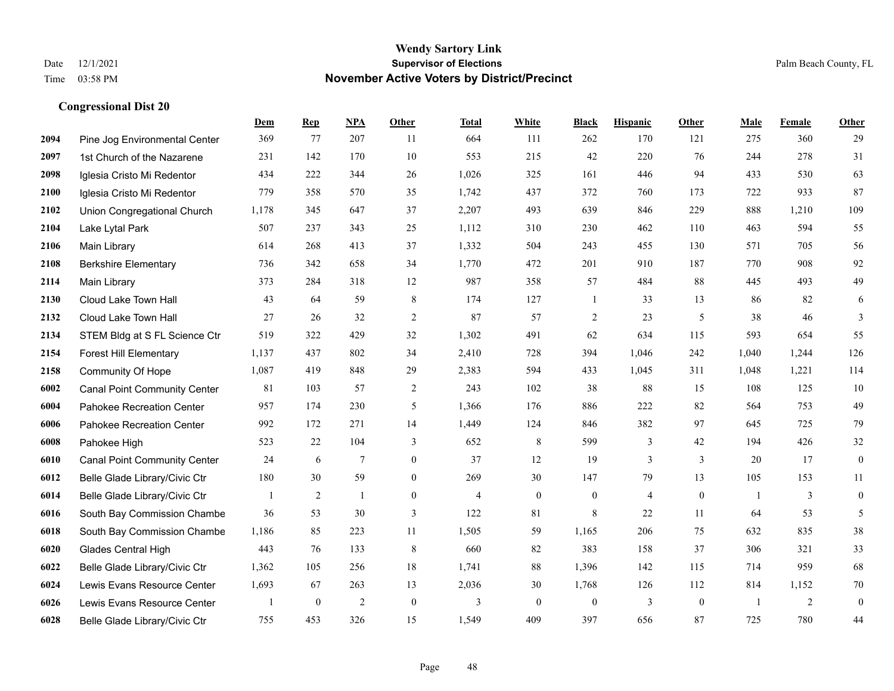|      |                                     | Dem   | <b>Rep</b>       | NPA             | <b>Other</b>   | <b>Total</b>   | <b>White</b>   | <b>Black</b>     | <b>Hispanic</b> | <b>Other</b>   | <b>Male</b>    | <b>Female</b> | Other            |
|------|-------------------------------------|-------|------------------|-----------------|----------------|----------------|----------------|------------------|-----------------|----------------|----------------|---------------|------------------|
| 2094 | Pine Jog Environmental Center       | 369   | 77               | 207             | 11             | 664            | 111            | 262              | 170             | 121            | 275            | 360           | 29               |
| 2097 | 1st Church of the Nazarene          | 231   | 142              | 170             | 10             | 553            | 215            | 42               | 220             | 76             | 244            | 278           | 31               |
| 2098 | Iglesia Cristo Mi Redentor          | 434   | 222              | 344             | 26             | 1,026          | 325            | 161              | 446             | 94             | 433            | 530           | 63               |
| 2100 | Iglesia Cristo Mi Redentor          | 779   | 358              | 570             | 35             | 1,742          | 437            | 372              | 760             | 173            | 722            | 933           | 87               |
| 2102 | Union Congregational Church         | 1,178 | 345              | 647             | 37             | 2,207          | 493            | 639              | 846             | 229            | 888            | 1,210         | 109              |
| 2104 | Lake Lytal Park                     | 507   | 237              | 343             | 25             | 1,112          | 310            | 230              | 462             | 110            | 463            | 594           | 55               |
| 2106 | Main Library                        | 614   | 268              | 413             | 37             | 1,332          | 504            | 243              | 455             | 130            | 571            | 705           | 56               |
| 2108 | <b>Berkshire Elementary</b>         | 736   | 342              | 658             | 34             | 1,770          | 472            | 201              | 910             | 187            | 770            | 908           | 92               |
| 2114 | Main Library                        | 373   | 284              | 318             | 12             | 987            | 358            | 57               | 484             | 88             | 445            | 493           | 49               |
| 2130 | Cloud Lake Town Hall                | 43    | 64               | 59              | 8              | 174            | 127            | $\mathbf{1}$     | 33              | 13             | 86             | 82            | 6                |
| 2132 | Cloud Lake Town Hall                | 27    | 26               | 32              | $\overline{2}$ | 87             | 57             | $\overline{2}$   | 23              | 5              | 38             | 46            | 3                |
| 2134 | STEM Bldg at S FL Science Ctr       | 519   | 322              | 429             | 32             | 1,302          | 491            | 62               | 634             | 115            | 593            | 654           | 55               |
| 2154 | <b>Forest Hill Elementary</b>       | 1,137 | 437              | 802             | 34             | 2,410          | 728            | 394              | 1,046           | 242            | 1,040          | 1,244         | 126              |
| 2158 | Community Of Hope                   | 1,087 | 419              | 848             | 29             | 2,383          | 594            | 433              | 1,045           | 311            | 1,048          | 1,221         | 114              |
| 6002 | <b>Canal Point Community Center</b> | 81    | 103              | 57              | 2              | 243            | 102            | 38               | 88              | 15             | 108            | 125           | 10               |
| 6004 | Pahokee Recreation Center           | 957   | 174              | 230             | 5              | 1,366          | 176            | 886              | 222             | 82             | 564            | 753           | 49               |
| 6006 | Pahokee Recreation Center           | 992   | 172              | 271             | 14             | 1,449          | 124            | 846              | 382             | 97             | 645            | 725           | 79               |
| 6008 | Pahokee High                        | 523   | 22               | 104             | 3              | 652            | 8              | 599              | 3               | 42             | 194            | 426           | 32               |
| 6010 | <b>Canal Point Community Center</b> | 24    | 6                | $7\phantom{.0}$ | $\overline{0}$ | 37             | 12             | 19               | 3               | 3              | 20             | 17            | $\boldsymbol{0}$ |
| 6012 | Belle Glade Library/Civic Ctr       | 180   | 30               | 59              | $\mathbf{0}$   | 269            | 30             | 147              | 79              | 13             | 105            | 153           | 11               |
| 6014 | Belle Glade Library/Civic Ctr       |       | 2                | $\mathbf{1}$    | $\overline{0}$ | $\overline{4}$ | $\overline{0}$ | $\overline{0}$   | 4               | $\theta$       | $\overline{1}$ | 3             | $\overline{0}$   |
| 6016 | South Bay Commission Chambe         | 36    | 53               | 30              | 3              | 122            | 81             | 8                | 22              | 11             | 64             | 53            | 5                |
| 6018 | South Bay Commission Chambe         | 1,186 | 85               | 223             | 11             | 1,505          | 59             | 1,165            | 206             | 75             | 632            | 835           | $38\,$           |
| 6020 | <b>Glades Central High</b>          | 443   | 76               | 133             | 8              | 660            | 82             | 383              | 158             | 37             | 306            | 321           | 33               |
| 6022 | Belle Glade Library/Civic Ctr       | 1,362 | 105              | 256             | 18             | 1,741          | 88             | 1,396            | 142             | 115            | 714            | 959           | 68               |
| 6024 | Lewis Evans Resource Center         | 1,693 | 67               | 263             | 13             | 2,036          | 30             | 1,768            | 126             | 112            | 814            | 1,152         | $70\,$           |
| 6026 | Lewis Evans Resource Center         |       | $\boldsymbol{0}$ | $\overline{2}$  | $\mathbf{0}$   | 3              | $\overline{0}$ | $\boldsymbol{0}$ | 3               | $\overline{0}$ | -1             | 2             | $\mathbf{0}$     |
| 6028 | Belle Glade Library/Civic Ctr       | 755   | 453              | 326             | 15             | 1,549          | 409            | 397              | 656             | 87             | 725            | 780           | 44               |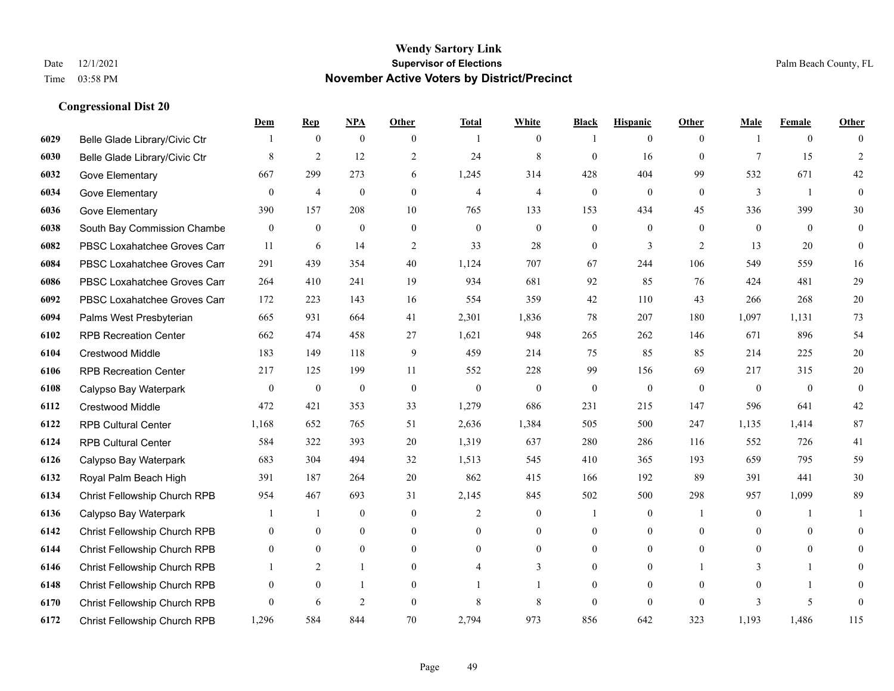|      |                               | Dem              | <b>Rep</b>       | NPA              | <b>Other</b>     | <b>Total</b>   | <b>White</b>     | <b>Black</b>     | <b>Hispanic</b>  | <b>Other</b>   | <b>Male</b>  | <b>Female</b>  | <b>Other</b>     |
|------|-------------------------------|------------------|------------------|------------------|------------------|----------------|------------------|------------------|------------------|----------------|--------------|----------------|------------------|
| 6029 | Belle Glade Library/Civic Ctr |                  | $\boldsymbol{0}$ | $\boldsymbol{0}$ | $\overline{0}$   | $\overline{1}$ | $\overline{0}$   |                  | $\mathbf{0}$     | $\theta$       |              | $\overline{0}$ | $\Omega$         |
| 6030 | Belle Glade Library/Civic Ctr | 8                | 2                | 12               | 2                | 24             | $\,$ 8 $\,$      | $\mathbf{0}$     | 16               | $\theta$       | $\tau$       | 15             | $\overline{2}$   |
| 6032 | Gove Elementary               | 667              | 299              | 273              | 6                | 1,245          | 314              | 428              | 404              | 99             | 532          | 671            | 42               |
| 6034 | Gove Elementary               | $\overline{0}$   | $\overline{4}$   | $\boldsymbol{0}$ | $\overline{0}$   | $\overline{4}$ | $\overline{4}$   | $\boldsymbol{0}$ | $\boldsymbol{0}$ | $\mathbf{0}$   | 3            | -1             | $\mathbf{0}$     |
| 6036 | Gove Elementary               | 390              | 157              | 208              | 10               | 765            | 133              | 153              | 434              | 45             | 336          | 399            | $30\,$           |
| 6038 | South Bay Commission Chambe   | $\overline{0}$   | $\mathbf{0}$     | $\mathbf{0}$     | $\overline{0}$   | $\mathbf{0}$   | $\overline{0}$   | $\boldsymbol{0}$ | $\mathbf{0}$     | $\theta$       | $\mathbf{0}$ | $\overline{0}$ | $\mathbf{0}$     |
| 6082 | PBSC Loxahatchee Groves Can   | 11               | 6                | 14               | $\sqrt{2}$       | 33             | 28               | $\boldsymbol{0}$ | 3                | 2              | 13           | 20             | $\boldsymbol{0}$ |
| 6084 | PBSC Loxahatchee Groves Can   | 291              | 439              | 354              | 40               | 1,124          | 707              | 67               | 244              | 106            | 549          | 559            | 16               |
| 6086 | PBSC Loxahatchee Groves Can   | 264              | 410              | 241              | 19               | 934            | 681              | 92               | 85               | 76             | 424          | 481            | 29               |
| 6092 | PBSC Loxahatchee Groves Can   | 172              | 223              | 143              | 16               | 554            | 359              | 42               | 110              | 43             | 266          | 268            | $20\,$           |
| 6094 | Palms West Presbyterian       | 665              | 931              | 664              | 41               | 2,301          | 1,836            | 78               | 207              | 180            | 1,097        | 1,131          | 73               |
| 6102 | <b>RPB Recreation Center</b>  | 662              | 474              | 458              | 27               | 1,621          | 948              | 265              | 262              | 146            | 671          | 896            | 54               |
| 6104 | <b>Crestwood Middle</b>       | 183              | 149              | 118              | 9                | 459            | 214              | 75               | 85               | 85             | 214          | 225            | $20\,$           |
| 6106 | <b>RPB Recreation Center</b>  | 217              | 125              | 199              | 11               | 552            | 228              | 99               | 156              | 69             | 217          | 315            | $20\,$           |
| 6108 | Calypso Bay Waterpark         | $\boldsymbol{0}$ | $\boldsymbol{0}$ | $\boldsymbol{0}$ | $\mathbf{0}$     | $\theta$       | $\boldsymbol{0}$ | $\boldsymbol{0}$ | $\boldsymbol{0}$ | $\overline{0}$ | $\mathbf{0}$ | $\overline{0}$ | $\boldsymbol{0}$ |
| 6112 | Crestwood Middle              | 472              | 421              | 353              | 33               | 1,279          | 686              | 231              | 215              | 147            | 596          | 641            | $42\,$           |
| 6122 | <b>RPB Cultural Center</b>    | 1,168            | 652              | 765              | 51               | 2,636          | 1,384            | 505              | 500              | 247            | 1,135        | 1,414          | 87               |
| 6124 | <b>RPB Cultural Center</b>    | 584              | 322              | 393              | 20               | 1,319          | 637              | 280              | 286              | 116            | 552          | 726            | 41               |
| 6126 | Calypso Bay Waterpark         | 683              | 304              | 494              | 32               | 1,513          | 545              | 410              | 365              | 193            | 659          | 795            | 59               |
| 6132 | Royal Palm Beach High         | 391              | 187              | 264              | 20               | 862            | 415              | 166              | 192              | 89             | 391          | 441            | $30\,$           |
| 6134 | Christ Fellowship Church RPB  | 954              | 467              | 693              | 31               | 2,145          | 845              | 502              | 500              | 298            | 957          | 1,099          | 89               |
| 6136 | Calypso Bay Waterpark         |                  | $\mathbf{1}$     | $\boldsymbol{0}$ | $\boldsymbol{0}$ | 2              | $\boldsymbol{0}$ |                  | $\boldsymbol{0}$ | -1             | $\mathbf{0}$ | 1              | 1                |
| 6142 | Christ Fellowship Church RPB  | 0                | $\overline{0}$   | $\mathbf{0}$     | $\overline{0}$   | $\theta$       | $\overline{0}$   | $\mathbf{0}$     | $\mathbf{0}$     | $\theta$       | $\theta$     | $\mathbf{0}$   | $\overline{0}$   |
| 6144 | Christ Fellowship Church RPB  | $\overline{0}$   | $\overline{0}$   | $\mathbf{0}$     | $\overline{0}$   | $\theta$       | $\overline{0}$   | $\mathbf{0}$     | $\mathbf{0}$     | $\theta$       | $\Omega$     | $\theta$       | $\Omega$         |
| 6146 | Christ Fellowship Church RPB  |                  | $\overline{2}$   | $\mathbf{1}$     | $\overline{0}$   |                | 3                | $\mathbf{0}$     | $\mathbf{0}$     |                | 3            |                | $\theta$         |
| 6148 | Christ Fellowship Church RPB  | 0                | $\overline{0}$   | $\overline{1}$   | $\theta$         |                |                  | $\mathbf{0}$     | $\mathbf{0}$     | $\theta$       | $\theta$     | $\mathbf{1}$   | 0                |
| 6170 | Christ Fellowship Church RPB  | $\Omega$         | 6                | 2                | $\Omega$         | 8              | 8                | $\mathbf{0}$     | $\theta$         | $\theta$       | $\mathbf{3}$ | 5              | $\theta$         |
| 6172 | Christ Fellowship Church RPB  | 1,296            | 584              | 844              | 70               | 2,794          | 973              | 856              | 642              | 323            | 1,193        | 1,486          | 115              |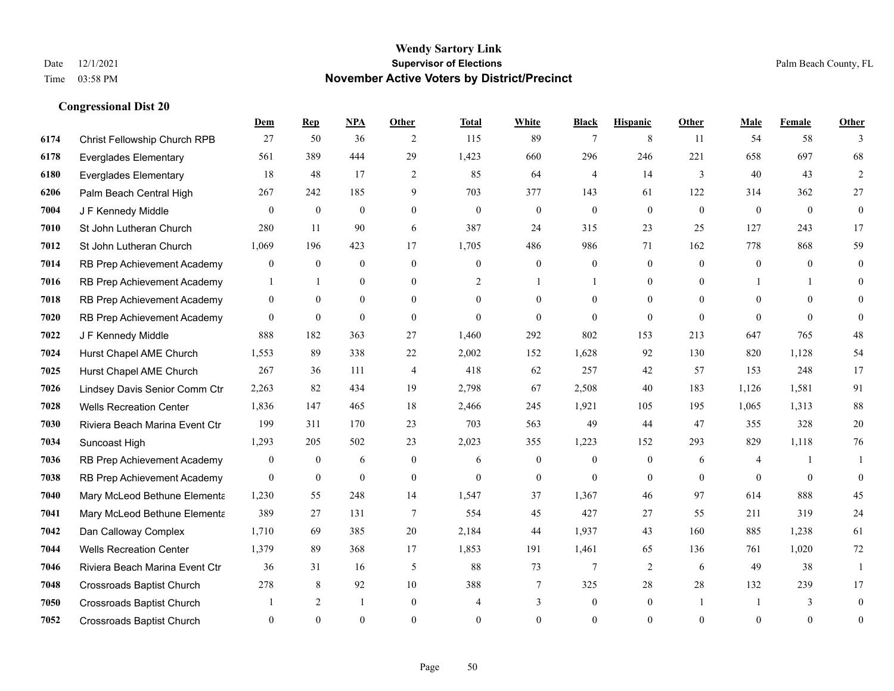**Congressional Dist 20**

#### **Wendy Sartory Link** Date 12/1/2021 **Supervisor of Elections** Palm Beach County, FL Time 03:58 PM **November Active Voters by District/Precinct**

**Dem Rep NPA Other Total White Black Hispanic Other Male Female Other**

## Christ Fellowship Church RPB 27 50 36 2 115 89 7 8 11 54 58 3 Everglades Elementary 561 389 444 29 1,423 660 296 246 221 658 697 68 Everglades Elementary 18 48 17 2 85 64 4 14 3 40 43 2 Palm Beach Central High 267 242 185 9 703 377 143 61 122 314 362 27 J F Kennedy Middle 0 0 0 0 0 0 0 0 0 0 0 0 St John Lutheran Church 280 11 90 6 387 24 315 23 25 127 243 17 St John Lutheran Church 1,069 196 423 17 1,705 486 986 71 162 778 868 59 RB Prep Achievement Academy 0 0 0 0 0 0 0 0 0 0 0 0 RB Prep Achievement Academy 1 1 0 0 0 2 1 1 0 1 0 0 1 1 0 RB Prep Achievement Academy 0 0 0 0 0 0 0 0 0 0 0 0 RB Prep Achievement Academy 0 0 0 0 0 0 0 0 0 0 0 0 J F Kennedy Middle 888 182 363 27 1,460 292 802 153 213 647 765 48 Hurst Chapel AME Church 1,553 89 338 22 2,002 152 1,628 92 130 820 1,128 54 Hurst Chapel AME Church 267 36 111 4 418 62 257 42 57 153 248 17 Lindsey Davis Senior Comm Ctr 2,263 82 434 19 2,798 67 2,508 40 183 1,126 1,581 91 Wells Recreation Center 1,836 147 465 18 2,466 245 1,921 105 195 1,065 1,313 88 Riviera Beach Marina Event Ctr 199 311 170 23 703 563 49 44 47 355 328 20 Suncoast High 1,293 205 502 23 2,023 355 1,223 152 293 829 1,118 76 RB Prep Achievement Academy 0 0 0 6 0 0 6 0 0 0 0 6 4 1 1 RB Prep Achievement Academy 0 0 0 0 0 0 0 0 0 0 0 0 Mary McLeod Bethune Elementary 1,230 55 248 14 1,547 37 1,367 46 97 614 888 45 **7041 Mary McLeod Bethune Elementa** 389 27 131 7 554 45 427 27 55 211 319 24 Dan Calloway Complex 1,710 69 385 20 2,184 44 1,937 43 160 885 1,238 61 Wells Recreation Center 1,379 89 368 17 1,853 191 1,461 65 136 761 1,020 72 Riviera Beach Marina Event Ctr 36 31 16 5 88 73 7 2 6 49 38 1

 Crossroads Baptist Church 278 8 92 10 388 7 325 28 28 132 239 17 Crossroads Baptist Church 1 2 1 0 4 3 0 1 1 3 0 Crossroads Baptist Church 0 0 0 0 0 0 0 0 0 0 0 0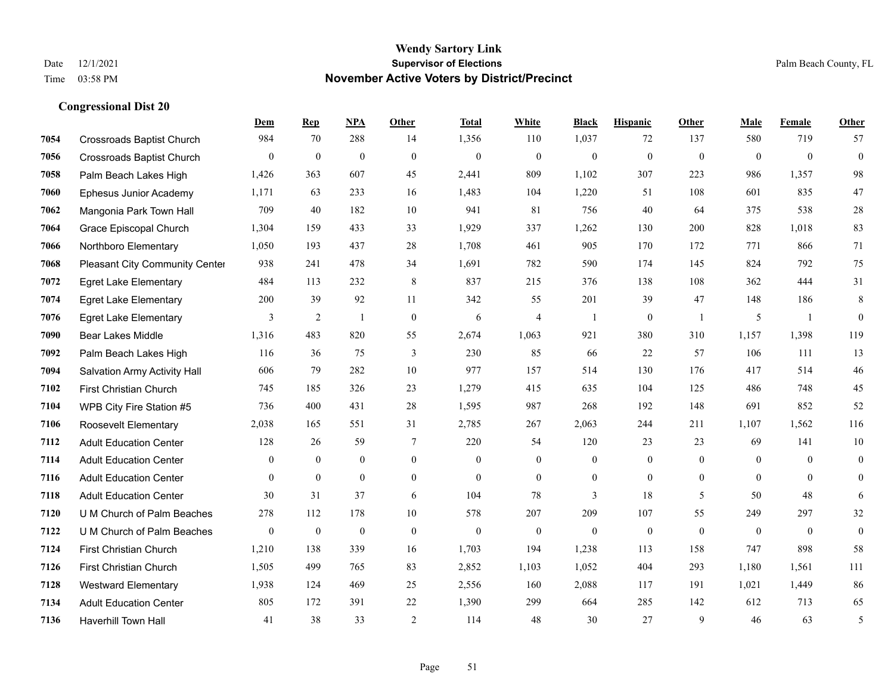|      |                                       | Dem              | <b>Rep</b>       | NPA              | <b>Other</b>   | <b>Total</b> | <b>White</b>     | <b>Black</b>     | <b>Hispanic</b>  | <b>Other</b>   | <b>Male</b>  | Female         | <b>Other</b>     |
|------|---------------------------------------|------------------|------------------|------------------|----------------|--------------|------------------|------------------|------------------|----------------|--------------|----------------|------------------|
| 7054 | <b>Crossroads Baptist Church</b>      | 984              | 70               | 288              | 14             | 1,356        | 110              | 1,037            | 72               | 137            | 580          | 719            | 57               |
| 7056 | <b>Crossroads Baptist Church</b>      | $\mathbf{0}$     | $\mathbf{0}$     | $\mathbf{0}$     | $\theta$       | $\mathbf{0}$ | $\mathbf{0}$     | $\mathbf{0}$     | $\mathbf{0}$     | $\theta$       | $\mathbf{0}$ | $\theta$       | $\mathbf{0}$     |
| 7058 | Palm Beach Lakes High                 | 1,426            | 363              | 607              | 45             | 2,441        | 809              | 1,102            | 307              | 223            | 986          | 1,357          | 98               |
| 7060 | Ephesus Junior Academy                | 1,171            | 63               | 233              | 16             | 1,483        | 104              | 1,220            | 51               | 108            | 601          | 835            | $47\,$           |
| 7062 | Mangonia Park Town Hall               | 709              | 40               | 182              | 10             | 941          | 81               | 756              | 40               | 64             | 375          | 538            | $28\,$           |
| 7064 | Grace Episcopal Church                | 1,304            | 159              | 433              | 33             | 1,929        | 337              | 1,262            | 130              | 200            | 828          | 1,018          | 83               |
| 7066 | Northboro Elementary                  | 1,050            | 193              | 437              | 28             | 1,708        | 461              | 905              | 170              | 172            | 771          | 866            | 71               |
| 7068 | <b>Pleasant City Community Center</b> | 938              | 241              | 478              | 34             | 1,691        | 782              | 590              | 174              | 145            | 824          | 792            | 75               |
| 7072 | <b>Egret Lake Elementary</b>          | 484              | 113              | 232              | 8              | 837          | 215              | 376              | 138              | 108            | 362          | 444            | 31               |
| 7074 | <b>Egret Lake Elementary</b>          | 200              | 39               | 92               | 11             | 342          | 55               | 201              | 39               | 47             | 148          | 186            | $\,8\,$          |
| 7076 | <b>Egret Lake Elementary</b>          | 3                | 2                | $\overline{1}$   | $\theta$       | 6            | $\overline{4}$   | $\mathbf{1}$     | $\mathbf{0}$     | $\overline{1}$ | 5            | $\overline{1}$ | $\mathbf{0}$     |
| 7090 | <b>Bear Lakes Middle</b>              | 1,316            | 483              | 820              | 55             | 2,674        | 1,063            | 921              | 380              | 310            | 1,157        | 1,398          | 119              |
| 7092 | Palm Beach Lakes High                 | 116              | 36               | 75               | 3              | 230          | 85               | 66               | 22               | 57             | 106          | 111            | 13               |
| 7094 | Salvation Army Activity Hall          | 606              | 79               | 282              | $10\,$         | 977          | 157              | 514              | 130              | 176            | 417          | 514            | $46\,$           |
| 7102 | First Christian Church                | 745              | 185              | 326              | 23             | 1,279        | 415              | 635              | 104              | 125            | 486          | 748            | 45               |
| 7104 | WPB City Fire Station #5              | 736              | 400              | 431              | 28             | 1,595        | 987              | 268              | 192              | 148            | 691          | 852            | 52               |
| 7106 | Roosevelt Elementary                  | 2,038            | 165              | 551              | 31             | 2,785        | 267              | 2,063            | 244              | 211            | 1,107        | 1,562          | 116              |
| 7112 | <b>Adult Education Center</b>         | 128              | 26               | 59               | 7              | 220          | 54               | 120              | 23               | 23             | 69           | 141            | 10               |
| 7114 | <b>Adult Education Center</b>         | $\overline{0}$   | $\mathbf{0}$     | $\mathbf{0}$     | $\overline{0}$ | $\mathbf{0}$ | $\overline{0}$   | $\mathbf{0}$     | $\mathbf{0}$     | $\mathbf{0}$   | $\mathbf{0}$ | $\overline{0}$ | $\mathbf{0}$     |
| 7116 | <b>Adult Education Center</b>         | $\mathbf{0}$     | $\mathbf{0}$     | $\mathbf{0}$     | $\overline{0}$ | $\mathbf{0}$ | $\boldsymbol{0}$ | $\boldsymbol{0}$ | $\mathbf{0}$     | $\mathbf{0}$   | $\mathbf{0}$ | $\mathbf{0}$   | $\boldsymbol{0}$ |
| 7118 | <b>Adult Education Center</b>         | 30               | 31               | 37               | 6              | 104          | 78               | 3                | 18               | 5              | 50           | 48             | 6                |
| 7120 | U M Church of Palm Beaches            | 278              | 112              | 178              | 10             | 578          | 207              | 209              | 107              | 55             | 249          | 297            | 32               |
| 7122 | U M Church of Palm Beaches            | $\boldsymbol{0}$ | $\boldsymbol{0}$ | $\boldsymbol{0}$ | $\overline{0}$ | $\theta$     | $\boldsymbol{0}$ | $\boldsymbol{0}$ | $\boldsymbol{0}$ | $\mathbf{0}$   | $\mathbf{0}$ | $\overline{0}$ | $\boldsymbol{0}$ |
| 7124 | First Christian Church                | 1,210            | 138              | 339              | 16             | 1,703        | 194              | 1,238            | 113              | 158            | 747          | 898            | 58               |
| 7126 | First Christian Church                | 1.505            | 499              | 765              | 83             | 2,852        | 1,103            | 1,052            | 404              | 293            | 1,180        | 1.561          | 111              |
| 7128 | <b>Westward Elementary</b>            | 1,938            | 124              | 469              | 25             | 2,556        | 160              | 2,088            | 117              | 191            | 1,021        | 1,449          | 86               |
| 7134 | <b>Adult Education Center</b>         | 805              | 172              | 391              | 22             | 1,390        | 299              | 664              | 285              | 142            | 612          | 713            | 65               |
| 7136 | <b>Haverhill Town Hall</b>            | 41               | 38               | 33               | $\overline{2}$ | 114          | 48               | 30               | 27               | 9              | 46           | 63             | 5                |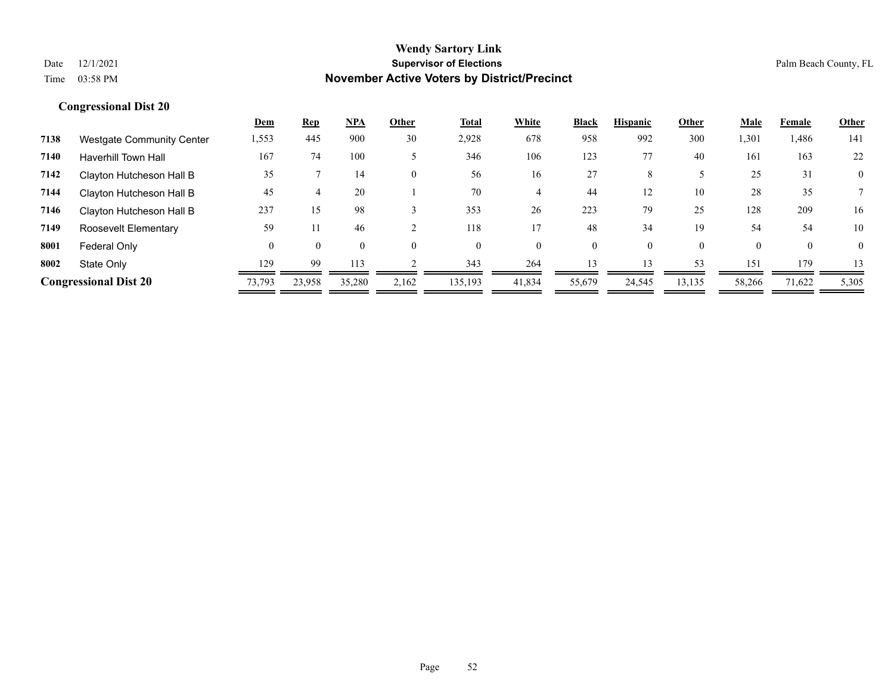|      |                                  | <u>Dem</u> | <b>Rep</b> | <b>NPA</b> | Other    | Total    | White    | <b>Black</b> | <b>Hispanic</b> | Other    | Male   | Female   | Other          |
|------|----------------------------------|------------|------------|------------|----------|----------|----------|--------------|-----------------|----------|--------|----------|----------------|
| 7138 | <b>Westgate Community Center</b> | 1,553      | 445        | 900        | 30       | 2,928    | 678      | 958          | 992             | 300      | 1,301  | 1,486    | 141            |
| 7140 | <b>Haverhill Town Hall</b>       | 167        | 74         | 100        |          | 346      | 106      | 123          | 77              | 40       | 161    | 163      | 22             |
| 7142 | Clayton Hutcheson Hall B         | 35         |            | 14         | $\theta$ | 56       | 16       | 27           | 8               |          | 25     | 31       | $\overline{0}$ |
| 7144 | Clayton Hutcheson Hall B         | 45         |            | 20         |          | 70       | 4        | 44           | 12              | 10       | 28     | 35       |                |
| 7146 | Clayton Hutcheson Hall B         | 237        | 15         | 98         |          | 353      | 26       | 223          | 79              | 25       | 128    | 209      | 16             |
| 7149 | Roosevelt Elementary             | 59         | 11         | 46         |          | 118      |          | 48           | 34              | 19       | 54     | 54       | 10             |
| 8001 | Federal Only                     | 0          | $\Omega$   | $\theta$   | $\Omega$ | $\Omega$ | $\theta$ | $\Omega$     | $\Omega$        | $\Omega$ |        | $\theta$ | $\overline{0}$ |
| 8002 | State Only                       | 129        | -99        | 113        |          | 343      | 264      | 13           | 13              | 53       | 151    | 179      | 13             |
|      | <b>Congressional Dist 20</b>     | 73,793     | 23.958     | 35,280     | 2,162    | 135,193  | 41,834   | 55,679       | 24,545          | 13,135   | 58,266 | 71,622   | 5,305          |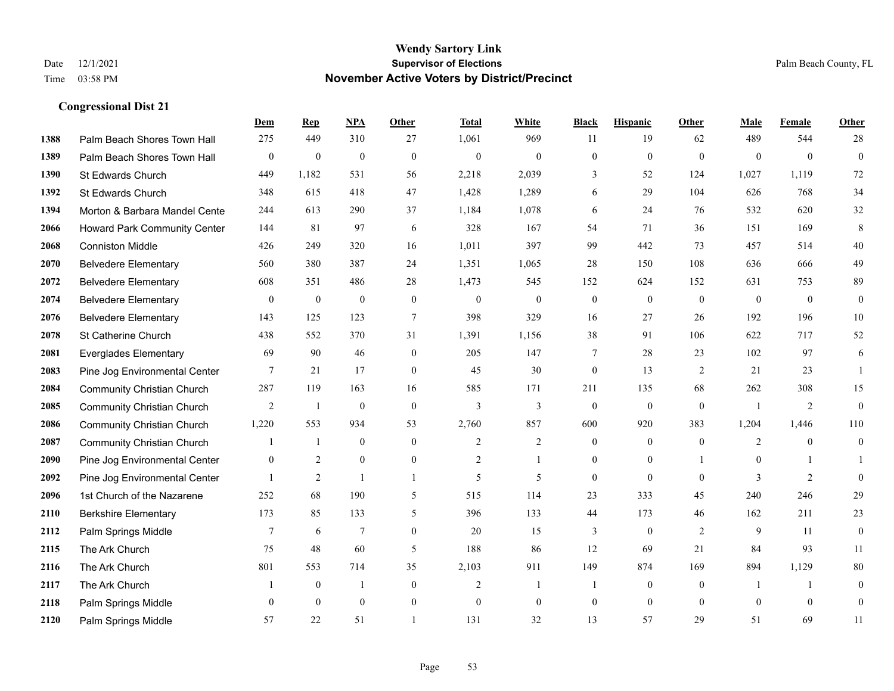|      |                                     | Dem              | <b>Rep</b>     | NPA            | <b>Other</b> | <b>Total</b>   | <b>White</b>   | <b>Black</b>     | <b>Hispanic</b>  | <b>Other</b>   | <b>Male</b>    | <b>Female</b>  | Other            |
|------|-------------------------------------|------------------|----------------|----------------|--------------|----------------|----------------|------------------|------------------|----------------|----------------|----------------|------------------|
| 1388 | Palm Beach Shores Town Hall         | 275              | 449            | 310            | 27           | 1,061          | 969            | 11               | 19               | 62             | 489            | 544            | 28               |
| 1389 | Palm Beach Shores Town Hall         | $\boldsymbol{0}$ | $\mathbf{0}$   | $\mathbf{0}$   | $\theta$     | $\mathbf{0}$   | $\mathbf{0}$   | $\mathbf{0}$     | $\mathbf{0}$     | $\mathbf{0}$   | $\mathbf{0}$   | $\theta$       | $\overline{0}$   |
| 1390 | St Edwards Church                   | 449              | 1,182          | 531            | 56           | 2,218          | 2,039          | 3                | 52               | 124            | 1,027          | 1,119          | 72               |
| 1392 | St Edwards Church                   | 348              | 615            | 418            | 47           | 1,428          | 1,289          | 6                | 29               | 104            | 626            | 768            | 34               |
| 1394 | Morton & Barbara Mandel Cente       | 244              | 613            | 290            | 37           | 1,184          | 1,078          | 6                | 24               | 76             | 532            | 620            | 32               |
| 2066 | <b>Howard Park Community Center</b> | 144              | 81             | 97             | 6            | 328            | 167            | 54               | 71               | 36             | 151            | 169            | 8                |
| 2068 | <b>Conniston Middle</b>             | 426              | 249            | 320            | 16           | 1,011          | 397            | 99               | 442              | 73             | 457            | 514            | $40\,$           |
| 2070 | <b>Belvedere Elementary</b>         | 560              | 380            | 387            | 24           | 1,351          | 1,065          | 28               | 150              | 108            | 636            | 666            | 49               |
| 2072 | <b>Belvedere Elementary</b>         | 608              | 351            | 486            | 28           | 1,473          | 545            | 152              | 624              | 152            | 631            | 753            | 89               |
| 2074 | <b>Belvedere Elementary</b>         | $\mathbf{0}$     | $\mathbf{0}$   | $\mathbf{0}$   | $\mathbf{0}$ | $\theta$       | $\mathbf{0}$   | $\overline{0}$   | $\overline{0}$   | $\theta$       | $\mathbf{0}$   | $\overline{0}$ | $\mathbf{0}$     |
| 2076 | <b>Belvedere Elementary</b>         | 143              | 125            | 123            | $\tau$       | 398            | 329            | 16               | 27               | 26             | 192            | 196            | 10               |
| 2078 | St Catherine Church                 | 438              | 552            | 370            | 31           | 1,391          | 1,156          | 38               | 91               | 106            | 622            | 717            | 52               |
| 2081 | <b>Everglades Elementary</b>        | 69               | 90             | 46             | $\mathbf{0}$ | 205            | 147            | 7                | 28               | 23             | 102            | 97             | 6                |
| 2083 | Pine Jog Environmental Center       | 7                | 21             | 17             | $\mathbf{0}$ | 45             | 30             | $\boldsymbol{0}$ | 13               | 2              | 21             | 23             | $\overline{1}$   |
| 2084 | <b>Community Christian Church</b>   | 287              | 119            | 163            | 16           | 585            | 171            | 211              | 135              | 68             | 262            | 308            | 15               |
| 2085 | <b>Community Christian Church</b>   | 2                | -1             | $\theta$       | $\mathbf{0}$ | $\overline{3}$ | 3              | $\overline{0}$   | $\overline{0}$   | $\theta$       | $\overline{1}$ | 2              | $\overline{0}$   |
| 2086 | <b>Community Christian Church</b>   | 1,220            | 553            | 934            | 53           | 2,760          | 857            | 600              | 920              | 383            | 1,204          | 1,446          | 110              |
| 2087 | <b>Community Christian Church</b>   |                  | 1              | $\mathbf{0}$   | $\mathbf{0}$ | $\overline{c}$ | $\overline{c}$ | $\overline{0}$   | $\overline{0}$   | $\overline{0}$ | 2              | $\theta$       | $\overline{0}$   |
| 2090 | Pine Jog Environmental Center       | $\mathbf{0}$     | $\overline{2}$ | $\mathbf{0}$   | $\mathbf{0}$ | $\overline{2}$ | 1              | $\overline{0}$   | $\overline{0}$   |                | $\mathbf{0}$   |                |                  |
| 2092 | Pine Jog Environmental Center       |                  | 2              | $\overline{1}$ | $\mathbf{1}$ | 5              | 5              | $\overline{0}$   | $\theta$         | $\theta$       | 3              | 2              | $\overline{0}$   |
| 2096 | 1st Church of the Nazarene          | 252              | 68             | 190            | 5            | 515            | 114            | 23               | 333              | 45             | 240            | 246            | 29               |
| 2110 | <b>Berkshire Elementary</b>         | 173              | 85             | 133            | 5            | 396            | 133            | 44               | 173              | 46             | 162            | 211            | 23               |
| 2112 | Palm Springs Middle                 | 7                | 6              | 7              | $\mathbf{0}$ | 20             | 15             | 3                | $\boldsymbol{0}$ | 2              | 9              | 11             | $\overline{0}$   |
| 2115 | The Ark Church                      | 75               | 48             | 60             | 5            | 188            | 86             | 12               | 69               | 21             | 84             | 93             | 11               |
| 2116 | The Ark Church                      | 801              | 553            | 714            | 35           | 2,103          | 911            | 149              | 874              | 169            | 894            | 1,129          | $80\,$           |
| 2117 | The Ark Church                      |                  | $\mathbf{0}$   |                | $\mathbf{0}$ | $\overline{2}$ | 1              | $\mathbf{1}$     | $\overline{0}$   | $\overline{0}$ | -1             | -1             | $\boldsymbol{0}$ |
| 2118 | Palm Springs Middle                 | $\mathbf{0}$     | $\theta$       | $\mathbf{0}$   | $\mathbf{0}$ | $\theta$       | $\mathbf{0}$   | $\overline{0}$   | $\overline{0}$   | $\mathbf{0}$   | $\theta$       | $\mathbf{0}$   | $\mathbf{0}$     |
| 2120 | Palm Springs Middle                 | 57               | 22             | 51             |              | 131            | 32             | 13               | 57               | 29             | 51             | 69             | 11               |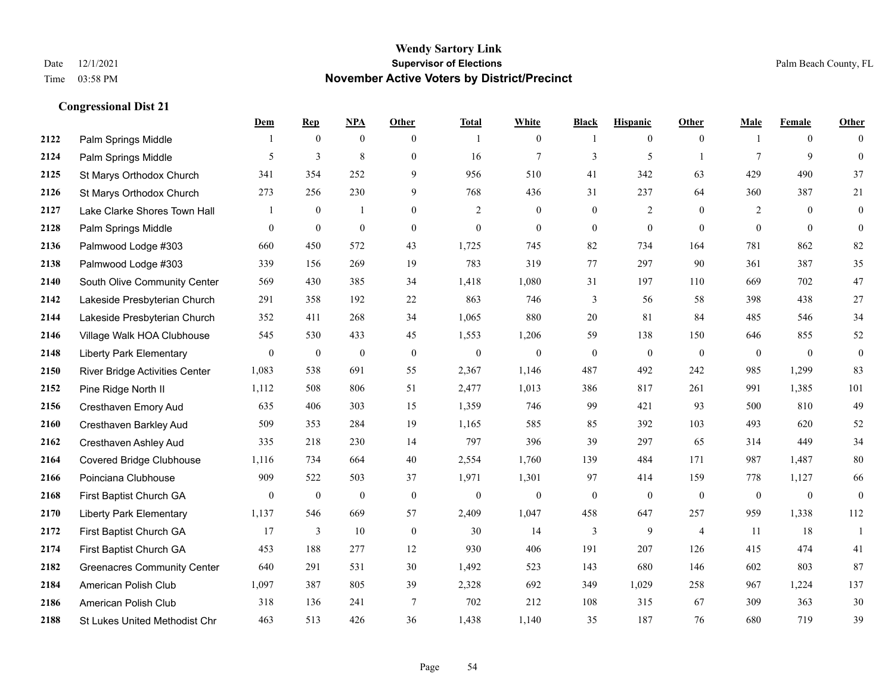**Congressional Dist 21**

#### **Wendy Sartory Link** Date 12/1/2021 **Supervisor of Elections** Palm Beach County, FL Time 03:58 PM **November Active Voters by District/Precinct**

|      |                                       | Dem            | <b>Rep</b>       | NPA              | Other          | <b>Total</b> | White            | <b>Black</b>     | <b>Hispanic</b>  | <b>Other</b>   | Male           | Female         | Other          |
|------|---------------------------------------|----------------|------------------|------------------|----------------|--------------|------------------|------------------|------------------|----------------|----------------|----------------|----------------|
| 2122 | Palm Springs Middle                   |                | $\mathbf{0}$     | $\mathbf{0}$     | $\theta$       | $\mathbf{1}$ | $\overline{0}$   | -1               | $\overline{0}$   | $\theta$       |                | $\overline{0}$ | $\theta$       |
| 2124 | Palm Springs Middle                   | 5              | 3                | $\,8\,$          | $\mathbf{0}$   | 16           | $\tau$           | 3                | 5                | $\overline{1}$ | $\tau$         | 9              | $\theta$       |
| 2125 | St Marys Orthodox Church              | 341            | 354              | 252              | 9              | 956          | 510              | 41               | 342              | 63             | 429            | 490            | 37             |
| 2126 | St Marys Orthodox Church              | 273            | 256              | 230              | 9              | 768          | 436              | 31               | 237              | 64             | 360            | 387            | 21             |
| 2127 | Lake Clarke Shores Town Hall          |                | $\boldsymbol{0}$ | 1                | $\overline{0}$ | 2            | $\overline{0}$   | $\mathbf{0}$     | $\overline{2}$   | $\theta$       | 2              | $\theta$       | $\overline{0}$ |
| 2128 | Palm Springs Middle                   | $\theta$       | $\boldsymbol{0}$ | $\boldsymbol{0}$ | $\theta$       | $\mathbf{0}$ | $\overline{0}$   | $\overline{0}$   | $\overline{0}$   | $\Omega$       | $\mathbf{0}$   | $\theta$       | $\overline{0}$ |
| 2136 | Palmwood Lodge #303                   | 660            | 450              | 572              | 43             | 1,725        | 745              | 82               | 734              | 164            | 781            | 862            | 82             |
| 2138 | Palmwood Lodge #303                   | 339            | 156              | 269              | 19             | 783          | 319              | 77               | 297              | 90             | 361            | 387            | 35             |
| 2140 | South Olive Community Center          | 569            | 430              | 385              | 34             | 1,418        | 1,080            | 31               | 197              | 110            | 669            | 702            | $47\,$         |
| 2142 | Lakeside Presbyterian Church          | 291            | 358              | 192              | 22             | 863          | 746              | 3                | 56               | 58             | 398            | 438            | $27\,$         |
| 2144 | Lakeside Presbyterian Church          | 352            | 411              | 268              | 34             | 1,065        | 880              | 20               | 81               | 84             | 485            | 546            | 34             |
| 2146 | Village Walk HOA Clubhouse            | 545            | 530              | 433              | 45             | 1,553        | 1,206            | 59               | 138              | 150            | 646            | 855            | 52             |
| 2148 | <b>Liberty Park Elementary</b>        | $\overline{0}$ | $\mathbf{0}$     | $\mathbf{0}$     | $\mathbf{0}$   | $\mathbf{0}$ | $\mathbf{0}$     | $\mathbf{0}$     | $\mathbf{0}$     | $\theta$       | $\overline{0}$ | $\theta$       | $\bf{0}$       |
| 2150 | <b>River Bridge Activities Center</b> | 1,083          | 538              | 691              | 55             | 2,367        | 1,146            | 487              | 492              | 242            | 985            | 1,299          | 83             |
| 2152 | Pine Ridge North II                   | 1,112          | 508              | 806              | 51             | 2,477        | 1,013            | 386              | 817              | 261            | 991            | 1,385          | 101            |
| 2156 | Cresthaven Emory Aud                  | 635            | 406              | 303              | 15             | 1,359        | 746              | 99               | 421              | 93             | 500            | 810            | 49             |
| 2160 | Cresthaven Barkley Aud                | 509            | 353              | 284              | 19             | 1,165        | 585              | 85               | 392              | 103            | 493            | 620            | 52             |
| 2162 | Cresthaven Ashley Aud                 | 335            | 218              | 230              | 14             | 797          | 396              | 39               | 297              | 65             | 314            | 449            | 34             |
| 2164 | <b>Covered Bridge Clubhouse</b>       | 1,116          | 734              | 664              | 40             | 2,554        | 1,760            | 139              | 484              | 171            | 987            | 1,487          | $80\,$         |
| 2166 | Poinciana Clubhouse                   | 909            | 522              | 503              | 37             | 1,971        | 1,301            | 97               | 414              | 159            | 778            | 1,127          | 66             |
| 2168 | First Baptist Church GA               | $\mathbf{0}$   | $\boldsymbol{0}$ | $\mathbf{0}$     | $\mathbf{0}$   | $\mathbf{0}$ | $\boldsymbol{0}$ | $\boldsymbol{0}$ | $\boldsymbol{0}$ | $\mathbf{0}$   | $\overline{0}$ | $\overline{0}$ | $\mathbf{0}$   |
| 2170 | <b>Liberty Park Elementary</b>        | 1,137          | 546              | 669              | 57             | 2,409        | 1,047            | 458              | 647              | 257            | 959            | 1,338          | 112            |
| 2172 | First Baptist Church GA               | 17             | 3                | 10               | $\mathbf{0}$   | 30           | 14               | 3                | 9                | $\overline{4}$ | 11             | 18             | $\overline{1}$ |
| 2174 | First Baptist Church GA               | 453            | 188              | 277              | 12             | 930          | 406              | 191              | 207              | 126            | 415            | 474            | 41             |
| 2182 | <b>Greenacres Community Center</b>    | 640            | 291              | 531              | 30             | 1,492        | 523              | 143              | 680              | 146            | 602            | 803            | 87             |
| 2184 | American Polish Club                  | 1,097          | 387              | 805              | 39             | 2,328        | 692              | 349              | 1,029            | 258            | 967            | 1,224          | 137            |
| 2186 | American Polish Club                  | 318            | 136              | 241              | $\tau$         | 702          | 212              | 108              | 315              | 67             | 309            | 363            | $30\,$         |
| 2188 | St Lukes United Methodist Chr         | 463            | 513              | 426              | 36             | 1.438        | 1.140            | 35               | 187              | 76             | 680            | 719            | 39             |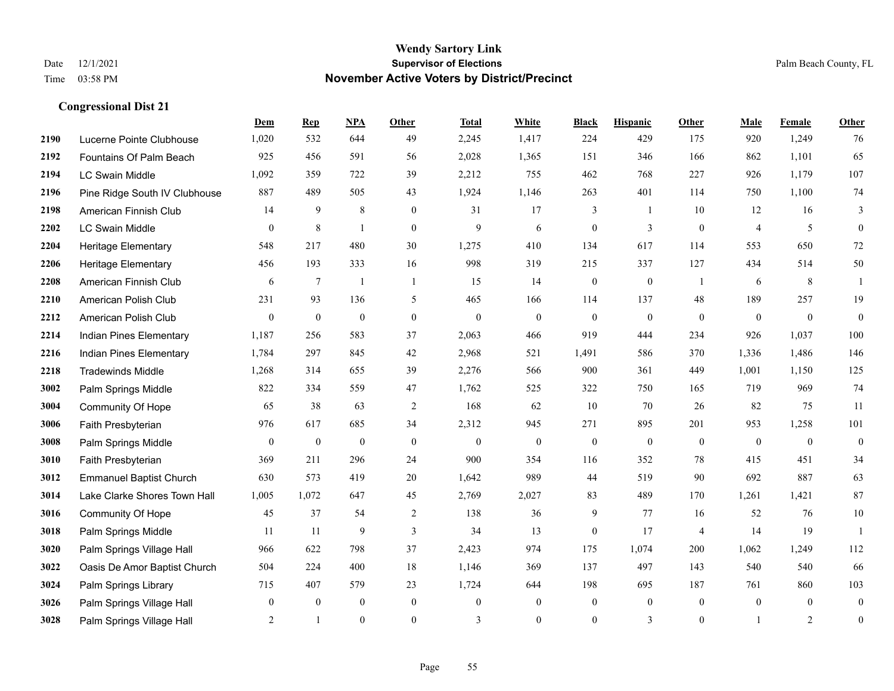**Dem Rep NPA Other Total White Black Hispanic Other Male Female Other**

| 2190 | Lucerne Pointe Clubhouse       | 1,020        | 532              | 644              | 49               | 2,245            | 1,417          | 224              | 429              | 175              | 920            | 1,249          | 76               |
|------|--------------------------------|--------------|------------------|------------------|------------------|------------------|----------------|------------------|------------------|------------------|----------------|----------------|------------------|
| 2192 | Fountains Of Palm Beach        | 925          | 456              | 591              | 56               | 2,028            | 1,365          | 151              | 346              | 166              | 862            | 1,101          | 65               |
| 2194 | LC Swain Middle                | 1,092        | 359              | 722              | 39               | 2,212            | 755            | 462              | 768              | 227              | 926            | 1,179          | 107              |
| 2196 | Pine Ridge South IV Clubhouse  | 887          | 489              | 505              | 43               | 1,924            | 1,146          | 263              | 401              | 114              | 750            | 1,100          | 74               |
| 2198 | American Finnish Club          | 14           | 9                | 8                | $\mathbf{0}$     | 31               | 17             | 3                | 1                | 10               | 12             | 16             | 3                |
| 2202 | LC Swain Middle                | $\mathbf{0}$ | $\,$ 8 $\,$      | $\mathbf{1}$     | $\mathbf{0}$     | 9                | 6              | $\mathbf{0}$     | 3                | $\boldsymbol{0}$ | $\overline{4}$ | 5              | $\overline{0}$   |
| 2204 | Heritage Elementary            | 548          | 217              | 480              | 30               | 1,275            | 410            | 134              | 617              | 114              | 553            | 650            | 72               |
| 2206 | <b>Heritage Elementary</b>     | 456          | 193              | 333              | 16               | 998              | 319            | 215              | 337              | 127              | 434            | 514            | 50               |
| 2208 | American Finnish Club          | 6            | 7                | $\overline{1}$   | -1               | 15               | 14             | $\boldsymbol{0}$ | $\boldsymbol{0}$ | -1               | 6              | 8              |                  |
| 2210 | American Polish Club           | 231          | 93               | 136              | 5                | 465              | 166            | 114              | 137              | 48               | 189            | 257            | 19               |
| 2212 | American Polish Club           | $\mathbf{0}$ | $\boldsymbol{0}$ | $\boldsymbol{0}$ | $\boldsymbol{0}$ | $\boldsymbol{0}$ | $\mathbf{0}$   | $\mathbf{0}$     | $\mathbf{0}$     | $\mathbf{0}$     | $\mathbf{0}$   | $\mathbf{0}$   | $\theta$         |
| 2214 | Indian Pines Elementary        | 1,187        | 256              | 583              | 37               | 2,063            | 466            | 919              | 444              | 234              | 926            | 1,037          | $100\,$          |
| 2216 | Indian Pines Elementary        | 1,784        | 297              | 845              | 42               | 2,968            | 521            | 1,491            | 586              | 370              | 1,336          | 1,486          | 146              |
| 2218 | <b>Tradewinds Middle</b>       | 1,268        | 314              | 655              | 39               | 2,276            | 566            | 900              | 361              | 449              | 1,001          | 1,150          | 125              |
| 3002 | Palm Springs Middle            | 822          | 334              | 559              | 47               | 1,762            | 525            | 322              | 750              | 165              | 719            | 969            | 74               |
| 3004 | Community Of Hope              | 65           | 38               | 63               | 2                | 168              | 62             | 10               | 70               | 26               | 82             | 75             | 11               |
| 3006 | Faith Presbyterian             | 976          | 617              | 685              | 34               | 2,312            | 945            | 271              | 895              | 201              | 953            | 1,258          | 101              |
| 3008 | Palm Springs Middle            | $\mathbf{0}$ | $\mathbf{0}$     | $\mathbf{0}$     | $\mathbf{0}$     | $\mathbf{0}$     | $\mathbf{0}$   | $\mathbf{0}$     | $\mathbf{0}$     | $\mathbf{0}$     | $\mathbf{0}$   | $\overline{0}$ | $\mathbf{0}$     |
| 3010 | Faith Presbyterian             | 369          | 211              | 296              | 24               | 900              | 354            | 116              | 352              | 78               | 415            | 451            | 34               |
| 3012 | <b>Emmanuel Baptist Church</b> | 630          | 573              | 419              | 20               | 1,642            | 989            | 44               | 519              | 90               | 692            | 887            | 63               |
| 3014 | Lake Clarke Shores Town Hall   | 1,005        | 1,072            | 647              | 45               | 2,769            | 2,027          | 83               | 489              | 170              | 1,261          | 1,421          | 87               |
| 3016 | Community Of Hope              | 45           | 37               | 54               | 2                | 138              | 36             | 9                | 77               | 16               | 52             | 76             | $10\,$           |
| 3018 | Palm Springs Middle            | 11           | 11               | 9                | $\mathfrak{Z}$   | 34               | 13             | $\boldsymbol{0}$ | 17               | $\overline{4}$   | 14             | 19             |                  |
| 3020 | Palm Springs Village Hall      | 966          | 622              | 798              | 37               | 2,423            | 974            | 175              | 1,074            | 200              | 1,062          | 1,249          | 112              |
| 3022 | Oasis De Amor Baptist Church   | 504          | 224              | 400              | 18               | 1,146            | 369            | 137              | 497              | 143              | 540            | 540            | 66               |
| 3024 | Palm Springs Library           | 715          | 407              | 579              | 23               | 1,724            | 644            | 198              | 695              | 187              | 761            | 860            | 103              |
| 3026 | Palm Springs Village Hall      | $\Omega$     | $\mathbf{0}$     | $\overline{0}$   | $\mathbf{0}$     | $\mathbf{0}$     | $\overline{0}$ | $\mathbf{0}$     | $\mathbf{0}$     | $\mathbf{0}$     | $\overline{0}$ | $\overline{0}$ | $\mathbf{0}$     |
| 3028 | Palm Springs Village Hall      | 2            | -1               | $\overline{0}$   | $\boldsymbol{0}$ | 3                | $\mathbf{0}$   | $\overline{0}$   | 3                | $\boldsymbol{0}$ | $\mathbf{1}$   | $\overline{2}$ | $\boldsymbol{0}$ |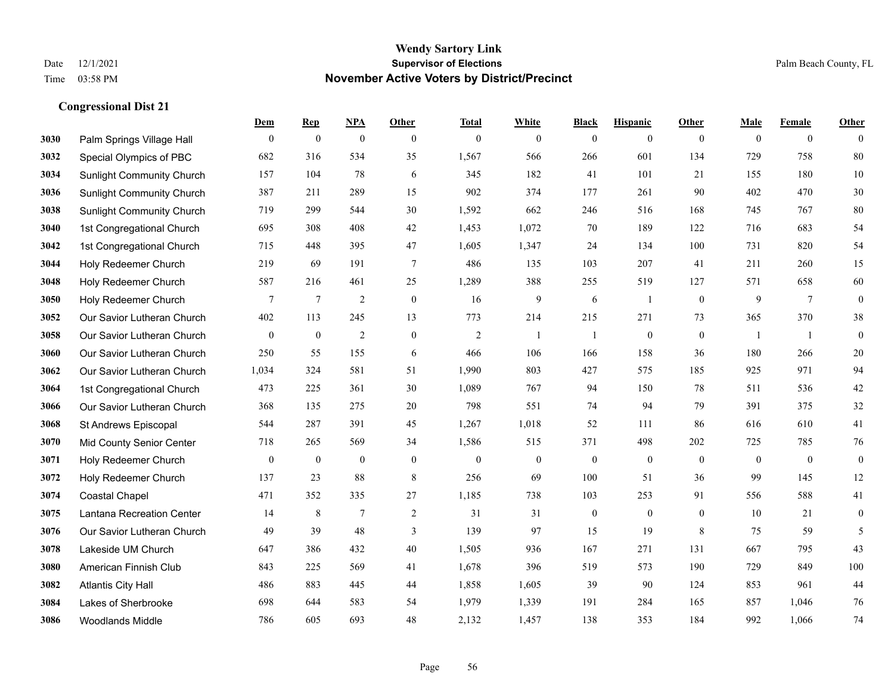|      |                                  | Dem              | <b>Rep</b>       | NPA              | <b>Other</b>   | <b>Total</b>     | <b>White</b>     | <b>Black</b>     | <b>Hispanic</b>  | <b>Other</b>     | <b>Male</b>  | <b>Female</b>   | <b>Other</b>     |
|------|----------------------------------|------------------|------------------|------------------|----------------|------------------|------------------|------------------|------------------|------------------|--------------|-----------------|------------------|
| 3030 | Palm Springs Village Hall        | $\mathbf{0}$     | $\boldsymbol{0}$ | $\boldsymbol{0}$ | $\mathbf{0}$   | $\mathbf{0}$     | $\overline{0}$   | $\boldsymbol{0}$ | $\boldsymbol{0}$ | $\overline{0}$   | $\mathbf{0}$ | $\overline{0}$  | $\theta$         |
| 3032 | Special Olympics of PBC          | 682              | 316              | 534              | 35             | 1,567            | 566              | 266              | 601              | 134              | 729          | 758             | 80               |
| 3034 | <b>Sunlight Community Church</b> | 157              | 104              | 78               | 6              | 345              | 182              | 41               | 101              | 21               | 155          | 180             | 10               |
| 3036 | <b>Sunlight Community Church</b> | 387              | 211              | 289              | 15             | 902              | 374              | 177              | 261              | 90               | 402          | 470             | 30               |
| 3038 | <b>Sunlight Community Church</b> | 719              | 299              | 544              | 30             | 1,592            | 662              | 246              | 516              | 168              | 745          | 767             | 80               |
| 3040 | 1st Congregational Church        | 695              | 308              | 408              | 42             | 1,453            | 1,072            | 70               | 189              | 122              | 716          | 683             | 54               |
| 3042 | 1st Congregational Church        | 715              | 448              | 395              | 47             | 1,605            | 1,347            | 24               | 134              | 100              | 731          | 820             | 54               |
| 3044 | Holy Redeemer Church             | 219              | 69               | 191              | $\tau$         | 486              | 135              | 103              | 207              | 41               | 211          | 260             | 15               |
| 3048 | Holy Redeemer Church             | 587              | 216              | 461              | 25             | 1,289            | 388              | 255              | 519              | 127              | 571          | 658             | 60               |
| 3050 | Holy Redeemer Church             | 7                | $\tau$           | $\overline{2}$   | $\mathbf{0}$   | 16               | 9                | 6                | 1                | $\overline{0}$   | 9            | $7\phantom{.0}$ | $\boldsymbol{0}$ |
| 3052 | Our Savior Lutheran Church       | 402              | 113              | 245              | 13             | 773              | 214              | 215              | 271              | 73               | 365          | 370             | 38               |
| 3058 | Our Savior Lutheran Church       | $\overline{0}$   | $\boldsymbol{0}$ | $\overline{2}$   | $\overline{0}$ | $\sqrt{2}$       | $\mathbf{1}$     | $\overline{1}$   | $\mathbf{0}$     | $\mathbf{0}$     | $\mathbf{1}$ | -1              | $\mathbf{0}$     |
| 3060 | Our Savior Lutheran Church       | 250              | 55               | 155              | 6              | 466              | 106              | 166              | 158              | 36               | 180          | 266             | $20\,$           |
| 3062 | Our Savior Lutheran Church       | 1,034            | 324              | 581              | 51             | 1,990            | 803              | 427              | 575              | 185              | 925          | 971             | 94               |
| 3064 | 1st Congregational Church        | 473              | 225              | 361              | 30             | 1,089            | 767              | 94               | 150              | 78               | 511          | 536             | $42\,$           |
| 3066 | Our Savior Lutheran Church       | 368              | 135              | 275              | 20             | 798              | 551              | 74               | 94               | 79               | 391          | 375             | 32               |
| 3068 | St Andrews Episcopal             | 544              | 287              | 391              | 45             | 1,267            | 1,018            | 52               | 111              | 86               | 616          | 610             | 41               |
| 3070 | Mid County Senior Center         | 718              | 265              | 569              | 34             | 1,586            | 515              | 371              | 498              | 202              | 725          | 785             | 76               |
| 3071 | Holy Redeemer Church             | $\boldsymbol{0}$ | $\boldsymbol{0}$ | $\boldsymbol{0}$ | $\mathbf{0}$   | $\boldsymbol{0}$ | $\boldsymbol{0}$ | $\boldsymbol{0}$ | $\boldsymbol{0}$ | $\mathbf{0}$     | $\mathbf{0}$ | $\mathbf{0}$    | $\boldsymbol{0}$ |
| 3072 | Holy Redeemer Church             | 137              | 23               | 88               | 8              | 256              | 69               | 100              | 51               | 36               | 99           | 145             | 12               |
| 3074 | <b>Coastal Chapel</b>            | 471              | 352              | 335              | 27             | 1,185            | 738              | 103              | 253              | 91               | 556          | 588             | 41               |
| 3075 | Lantana Recreation Center        | 14               | $\,$ 8 $\,$      | $\tau$           | $\sqrt{2}$     | 31               | 31               | $\boldsymbol{0}$ | $\boldsymbol{0}$ | $\boldsymbol{0}$ | 10           | 21              | $\boldsymbol{0}$ |
| 3076 | Our Savior Lutheran Church       | 49               | 39               | 48               | 3              | 139              | 97               | 15               | 19               | 8                | 75           | 59              | 5                |
| 3078 | Lakeside UM Church               | 647              | 386              | 432              | 40             | 1,505            | 936              | 167              | 271              | 131              | 667          | 795             | 43               |
| 3080 | American Finnish Club            | 843              | 225              | 569              | 41             | 1,678            | 396              | 519              | 573              | 190              | 729          | 849             | $100\,$          |
| 3082 | <b>Atlantis City Hall</b>        | 486              | 883              | 445              | 44             | 1,858            | 1,605            | 39               | 90               | 124              | 853          | 961             | 44               |
| 3084 | Lakes of Sherbrooke              | 698              | 644              | 583              | 54             | 1,979            | 1,339            | 191              | 284              | 165              | 857          | 1,046           | 76               |
| 3086 | <b>Woodlands Middle</b>          | 786              | 605              | 693              | 48             | 2,132            | 1,457            | 138              | 353              | 184              | 992          | 1,066           | 74               |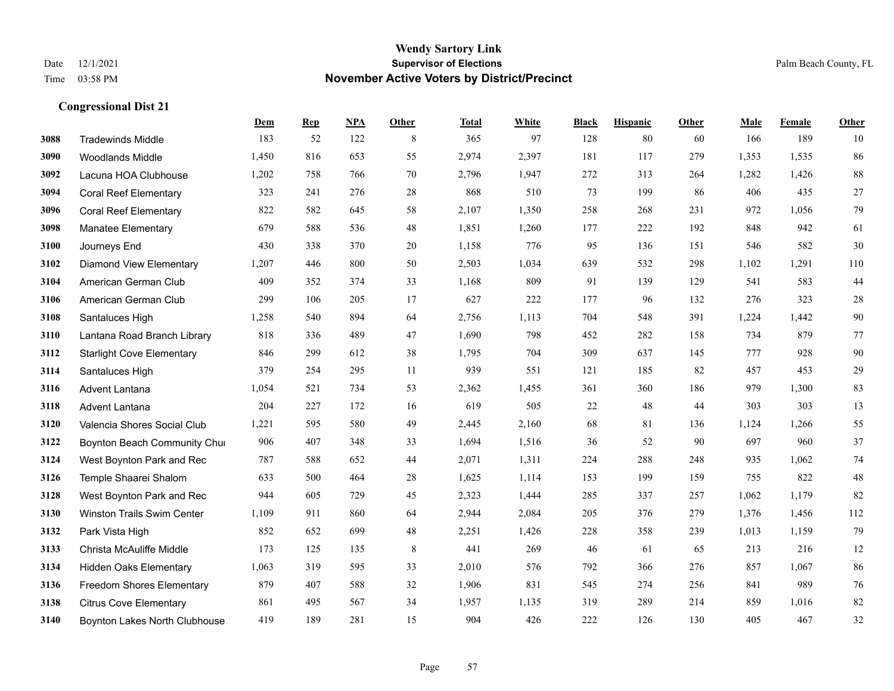|      |                                  | Dem   | <b>Rep</b> | NPA | <b>Other</b> | <b>Total</b> | <b>White</b> | <b>Black</b> | <b>Hispanic</b> | <b>Other</b> | <b>Male</b> | Female | <b>Other</b> |
|------|----------------------------------|-------|------------|-----|--------------|--------------|--------------|--------------|-----------------|--------------|-------------|--------|--------------|
| 3088 | <b>Tradewinds Middle</b>         | 183   | 52         | 122 | 8            | 365          | 97           | 128          | 80              | 60           | 166         | 189    | 10           |
| 3090 | <b>Woodlands Middle</b>          | 1,450 | 816        | 653 | 55           | 2,974        | 2,397        | 181          | 117             | 279          | 1,353       | 1.535  | 86           |
| 3092 | Lacuna HOA Clubhouse             | 1,202 | 758        | 766 | 70           | 2,796        | 1,947        | 272          | 313             | 264          | 1,282       | 1,426  | $88\,$       |
| 3094 | <b>Coral Reef Elementary</b>     | 323   | 241        | 276 | 28           | 868          | 510          | 73           | 199             | 86           | 406         | 435    | $27\,$       |
| 3096 | <b>Coral Reef Elementary</b>     | 822   | 582        | 645 | 58           | 2,107        | 1,350        | 258          | 268             | 231          | 972         | 1,056  | 79           |
| 3098 | <b>Manatee Elementary</b>        | 679   | 588        | 536 | 48           | 1,851        | 1,260        | 177          | 222             | 192          | 848         | 942    | 61           |
| 3100 | Journeys End                     | 430   | 338        | 370 | 20           | 1,158        | 776          | 95           | 136             | 151          | 546         | 582    | 30           |
| 3102 | <b>Diamond View Elementary</b>   | 1,207 | 446        | 800 | 50           | 2,503        | 1,034        | 639          | 532             | 298          | 1,102       | 1,291  | 110          |
| 3104 | American German Club             | 409   | 352        | 374 | 33           | 1,168        | 809          | 91           | 139             | 129          | 541         | 583    | 44           |
| 3106 | American German Club             | 299   | 106        | 205 | 17           | 627          | 222          | 177          | 96              | 132          | 276         | 323    | $28\,$       |
| 3108 | Santaluces High                  | 1,258 | 540        | 894 | 64           | 2,756        | 1,113        | 704          | 548             | 391          | 1,224       | 1,442  | $90\,$       |
| 3110 | Lantana Road Branch Library      | 818   | 336        | 489 | 47           | 1,690        | 798          | 452          | 282             | 158          | 734         | 879    | 77           |
| 3112 | <b>Starlight Cove Elementary</b> | 846   | 299        | 612 | 38           | 1,795        | 704          | 309          | 637             | 145          | 777         | 928    | 90           |
| 3114 | Santaluces High                  | 379   | 254        | 295 | 11           | 939          | 551          | 121          | 185             | 82           | 457         | 453    | 29           |
| 3116 | <b>Advent Lantana</b>            | 1,054 | 521        | 734 | 53           | 2,362        | 1,455        | 361          | 360             | 186          | 979         | 1.300  | 83           |
| 3118 | <b>Advent Lantana</b>            | 204   | 227        | 172 | 16           | 619          | 505          | 22           | 48              | 44           | 303         | 303    | 13           |
| 3120 | Valencia Shores Social Club      | 1,221 | 595        | 580 | 49           | 2,445        | 2,160        | 68           | 81              | 136          | 1,124       | 1,266  | 55           |
| 3122 | Boynton Beach Community Chur     | 906   | 407        | 348 | 33           | 1,694        | 1,516        | 36           | 52              | 90           | 697         | 960    | 37           |
| 3124 | West Boynton Park and Rec        | 787   | 588        | 652 | 44           | 2,071        | 1,311        | 224          | 288             | 248          | 935         | 1,062  | 74           |
| 3126 | Temple Shaarei Shalom            | 633   | 500        | 464 | 28           | 1,625        | 1,114        | 153          | 199             | 159          | 755         | 822    | 48           |
| 3128 | West Boynton Park and Rec        | 944   | 605        | 729 | 45           | 2,323        | 1,444        | 285          | 337             | 257          | 1,062       | 1,179  | 82           |
| 3130 | Winston Trails Swim Center       | 1,109 | 911        | 860 | 64           | 2,944        | 2,084        | 205          | 376             | 279          | 1,376       | 1,456  | 112          |
| 3132 | Park Vista High                  | 852   | 652        | 699 | 48           | 2,251        | 1,426        | 228          | 358             | 239          | 1,013       | 1,159  | 79           |
| 3133 | Christa McAuliffe Middle         | 173   | 125        | 135 | 8            | 441          | 269          | 46           | 61              | 65           | 213         | 216    | 12           |
| 3134 | <b>Hidden Oaks Elementary</b>    | 1,063 | 319        | 595 | 33           | 2,010        | 576          | 792          | 366             | 276          | 857         | 1,067  | 86           |
| 3136 | Freedom Shores Elementary        | 879   | 407        | 588 | 32           | 1,906        | 831          | 545          | 274             | 256          | 841         | 989    | 76           |
| 3138 | <b>Citrus Cove Elementary</b>    | 861   | 495        | 567 | 34           | 1,957        | 1,135        | 319          | 289             | 214          | 859         | 1,016  | 82           |
| 3140 | Boynton Lakes North Clubhouse    | 419   | 189        | 281 | 15           | 904          | 426          | 222          | 126             | 130          | 405         | 467    | 32           |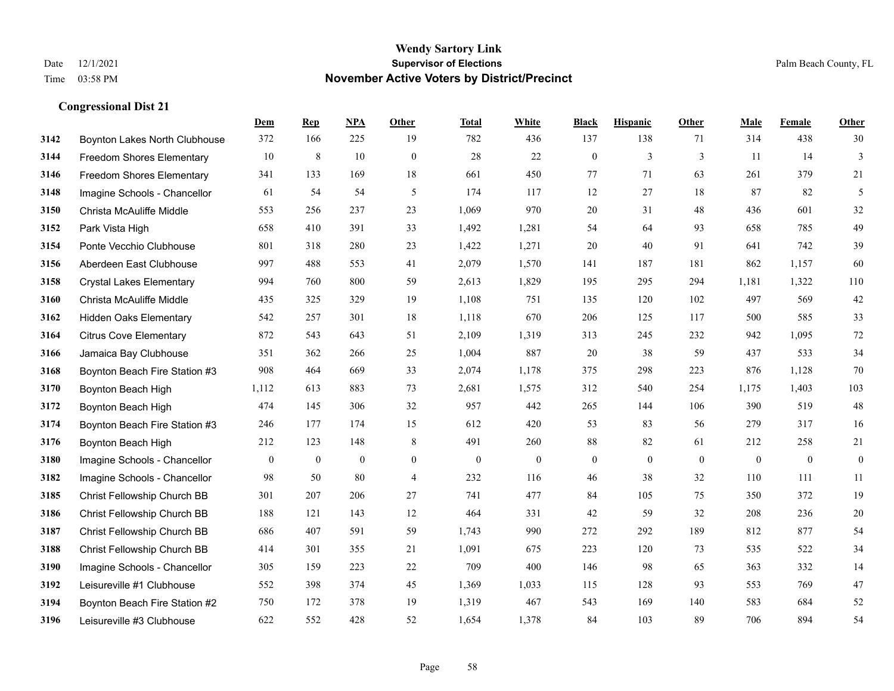|      |                                  | Dem          | <b>Rep</b>       | NPA              | <b>Other</b>   | <b>Total</b>     | White            | <b>Black</b>     | <b>Hispanic</b>  | <b>Other</b> | <b>Male</b>      | Female           | <b>Other</b>     |
|------|----------------------------------|--------------|------------------|------------------|----------------|------------------|------------------|------------------|------------------|--------------|------------------|------------------|------------------|
| 3142 | Boynton Lakes North Clubhouse    | 372          | 166              | 225              | 19             | 782              | 436              | 137              | 138              | 71           | 314              | 438              | 30               |
| 3144 | Freedom Shores Elementary        | 10           | $\,8\,$          | $10\,$           | $\mathbf{0}$   | 28               | 22               | $\boldsymbol{0}$ | 3                | $\mathbf{3}$ | 11               | 14               | 3                |
| 3146 | <b>Freedom Shores Elementary</b> | 341          | 133              | 169              | 18             | 661              | 450              | 77               | 71               | 63           | 261              | 379              | 21               |
| 3148 | Imagine Schools - Chancellor     | 61           | 54               | 54               | 5              | 174              | 117              | 12               | 27               | 18           | 87               | 82               | 5                |
| 3150 | Christa McAuliffe Middle         | 553          | 256              | 237              | 23             | 1,069            | 970              | 20               | 31               | 48           | 436              | 601              | $32\,$           |
| 3152 | Park Vista High                  | 658          | 410              | 391              | 33             | 1,492            | 1,281            | 54               | 64               | 93           | 658              | 785              | 49               |
| 3154 | Ponte Vecchio Clubhouse          | 801          | 318              | 280              | 23             | 1,422            | 1,271            | $20\,$           | 40               | 91           | 641              | 742              | 39               |
| 3156 | Aberdeen East Clubhouse          | 997          | 488              | 553              | 41             | 2,079            | 1,570            | 141              | 187              | 181          | 862              | 1,157            | 60               |
| 3158 | <b>Crystal Lakes Elementary</b>  | 994          | 760              | 800              | 59             | 2,613            | 1,829            | 195              | 295              | 294          | 1,181            | 1,322            | 110              |
| 3160 | Christa McAuliffe Middle         | 435          | 325              | 329              | 19             | 1,108            | 751              | 135              | 120              | 102          | 497              | 569              | $42\,$           |
| 3162 | <b>Hidden Oaks Elementary</b>    | 542          | 257              | 301              | 18             | 1,118            | 670              | 206              | 125              | 117          | 500              | 585              | 33               |
| 3164 | <b>Citrus Cove Elementary</b>    | 872          | 543              | 643              | 51             | 2,109            | 1,319            | 313              | 245              | 232          | 942              | 1,095            | $72\,$           |
| 3166 | Jamaica Bay Clubhouse            | 351          | 362              | 266              | 25             | 1,004            | 887              | 20               | 38               | 59           | 437              | 533              | 34               |
| 3168 | Boynton Beach Fire Station #3    | 908          | 464              | 669              | 33             | 2,074            | 1,178            | 375              | 298              | 223          | 876              | 1,128            | $70\,$           |
| 3170 | Boynton Beach High               | 1,112        | 613              | 883              | 73             | 2,681            | 1,575            | 312              | 540              | 254          | 1,175            | 1,403            | 103              |
| 3172 | Boynton Beach High               | 474          | 145              | 306              | 32             | 957              | 442              | 265              | 144              | 106          | 390              | 519              | $48\,$           |
| 3174 | Boynton Beach Fire Station #3    | 246          | 177              | 174              | 15             | 612              | 420              | 53               | 83               | 56           | 279              | 317              | 16               |
| 3176 | Boynton Beach High               | 212          | 123              | 148              | 8              | 491              | 260              | 88               | 82               | 61           | 212              | 258              | 21               |
| 3180 | Imagine Schools - Chancellor     | $\mathbf{0}$ | $\boldsymbol{0}$ | $\boldsymbol{0}$ | $\overline{0}$ | $\boldsymbol{0}$ | $\boldsymbol{0}$ | $\boldsymbol{0}$ | $\boldsymbol{0}$ | $\mathbf{0}$ | $\boldsymbol{0}$ | $\boldsymbol{0}$ | $\boldsymbol{0}$ |
| 3182 | Imagine Schools - Chancellor     | 98           | 50               | 80               | 4              | 232              | 116              | 46               | 38               | 32           | 110              | 111              | 11               |
| 3185 | Christ Fellowship Church BB      | 301          | 207              | 206              | 27             | 741              | 477              | 84               | 105              | 75           | 350              | 372              | 19               |
| 3186 | Christ Fellowship Church BB      | 188          | 121              | 143              | 12             | 464              | 331              | 42               | 59               | 32           | 208              | 236              | $20\,$           |
| 3187 | Christ Fellowship Church BB      | 686          | 407              | 591              | 59             | 1,743            | 990              | 272              | 292              | 189          | 812              | 877              | 54               |
| 3188 | Christ Fellowship Church BB      | 414          | 301              | 355              | 21             | 1,091            | 675              | 223              | 120              | 73           | 535              | 522              | 34               |
| 3190 | Imagine Schools - Chancellor     | 305          | 159              | 223              | 22             | 709              | 400              | 146              | 98               | 65           | 363              | 332              | 14               |
| 3192 | Leisureville #1 Clubhouse        | 552          | 398              | 374              | 45             | 1,369            | 1,033            | 115              | 128              | 93           | 553              | 769              | 47               |
| 3194 | Boynton Beach Fire Station #2    | 750          | 172              | 378              | 19             | 1,319            | 467              | 543              | 169              | 140          | 583              | 684              | 52               |
| 3196 | Leisureville #3 Clubhouse        | 622          | 552              | 428              | 52             | 1,654            | 1,378            | 84               | 103              | 89           | 706              | 894              | 54               |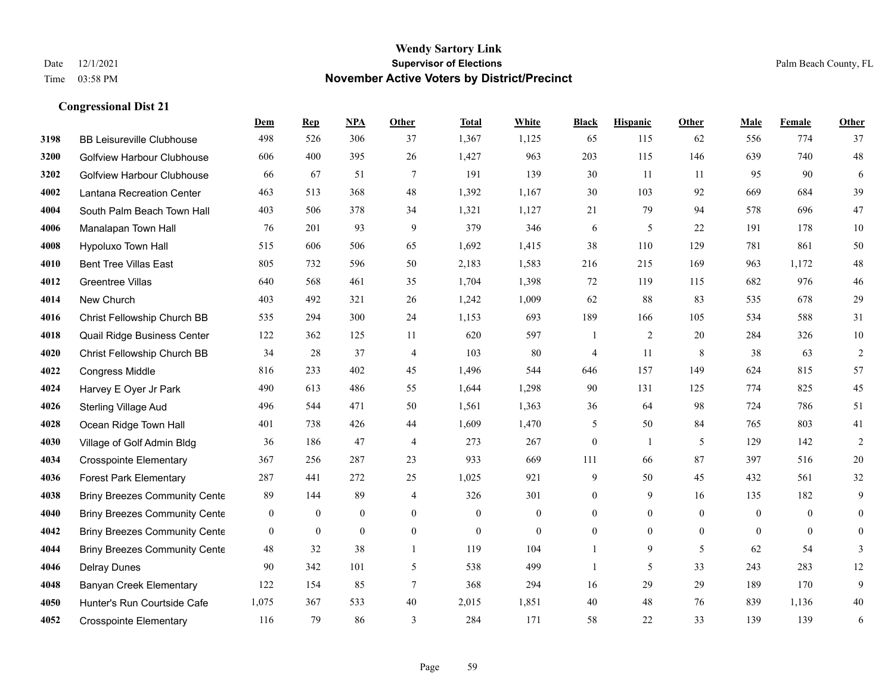|      |                                      | Dem              | <b>Rep</b>       | NPA              | <b>Other</b>   | <b>Total</b>     | <b>White</b>     | <b>Black</b>     | <b>Hispanic</b> | <b>Other</b> | <b>Male</b>  | <b>Female</b>  | <b>Other</b>   |
|------|--------------------------------------|------------------|------------------|------------------|----------------|------------------|------------------|------------------|-----------------|--------------|--------------|----------------|----------------|
| 3198 | <b>BB Leisureville Clubhouse</b>     | 498              | 526              | 306              | 37             | 1,367            | 1,125            | 65               | 115             | 62           | 556          | 774            | 37             |
| 3200 | <b>Golfview Harbour Clubhouse</b>    | 606              | 400              | 395              | 26             | 1,427            | 963              | 203              | 115             | 146          | 639          | 740            | $48\,$         |
| 3202 | <b>Golfview Harbour Clubhouse</b>    | 66               | 67               | 51               | $\tau$         | 191              | 139              | 30               | 11              | 11           | 95           | 90             | 6              |
| 4002 | Lantana Recreation Center            | 463              | 513              | 368              | 48             | 1,392            | 1,167            | 30               | 103             | 92           | 669          | 684            | 39             |
| 4004 | South Palm Beach Town Hall           | 403              | 506              | 378              | 34             | 1,321            | 1,127            | 21               | 79              | 94           | 578          | 696            | $47\,$         |
| 4006 | Manalapan Town Hall                  | 76               | 201              | 93               | 9              | 379              | 346              | 6                | 5               | 22           | 191          | 178            | $10\,$         |
| 4008 | Hypoluxo Town Hall                   | 515              | 606              | 506              | 65             | 1,692            | 1,415            | 38               | 110             | 129          | 781          | 861            | 50             |
| 4010 | <b>Bent Tree Villas East</b>         | 805              | 732              | 596              | 50             | 2,183            | 1,583            | 216              | 215             | 169          | 963          | 1,172          | $48\,$         |
| 4012 | Greentree Villas                     | 640              | 568              | 461              | 35             | 1,704            | 1,398            | $72\,$           | 119             | 115          | 682          | 976            | $46\,$         |
| 4014 | New Church                           | 403              | 492              | 321              | 26             | 1,242            | 1,009            | 62               | 88              | 83           | 535          | 678            | 29             |
| 4016 | Christ Fellowship Church BB          | 535              | 294              | 300              | 24             | 1,153            | 693              | 189              | 166             | 105          | 534          | 588            | 31             |
| 4018 | Quail Ridge Business Center          | 122              | 362              | 125              | 11             | 620              | 597              | $\overline{1}$   | $\overline{2}$  | 20           | 284          | 326            | $10\,$         |
| 4020 | Christ Fellowship Church BB          | 34               | 28               | 37               | $\overline{4}$ | 103              | 80               | 4                | 11              | 8            | 38           | 63             | $\overline{c}$ |
| 4022 | Congress Middle                      | 816              | 233              | 402              | 45             | 1,496            | 544              | 646              | 157             | 149          | 624          | 815            | 57             |
| 4024 | Harvey E Oyer Jr Park                | 490              | 613              | 486              | 55             | 1,644            | 1,298            | 90               | 131             | 125          | 774          | 825            | 45             |
| 4026 | <b>Sterling Village Aud</b>          | 496              | 544              | 471              | 50             | 1,561            | 1,363            | 36               | 64              | 98           | 724          | 786            | 51             |
| 4028 | Ocean Ridge Town Hall                | 401              | 738              | 426              | 44             | 1,609            | 1,470            | 5                | 50              | 84           | 765          | 803            | 41             |
| 4030 | Village of Golf Admin Bldg           | 36               | 186              | 47               | $\overline{4}$ | 273              | 267              | $\overline{0}$   | 1               | 5            | 129          | 142            | $\overline{2}$ |
| 4034 | <b>Crosspointe Elementary</b>        | 367              | 256              | 287              | 23             | 933              | 669              | 111              | 66              | 87           | 397          | 516            | $20\,$         |
| 4036 | <b>Forest Park Elementary</b>        | 287              | 441              | 272              | 25             | 1,025            | 921              | 9                | 50              | 45           | 432          | 561            | 32             |
| 4038 | <b>Briny Breezes Community Cente</b> | 89               | 144              | 89               | $\overline{4}$ | 326              | 301              | $\boldsymbol{0}$ | 9               | 16           | 135          | 182            | 9              |
| 4040 | <b>Briny Breezes Community Cente</b> | $\boldsymbol{0}$ | $\boldsymbol{0}$ | $\boldsymbol{0}$ | $\mathbf{0}$   | $\boldsymbol{0}$ | $\boldsymbol{0}$ | 0                | $\overline{0}$  | $\mathbf{0}$ | $\mathbf{0}$ | $\overline{0}$ | $\overline{0}$ |
| 4042 | <b>Briny Breezes Community Cente</b> | $\overline{0}$   | $\overline{0}$   | $\mathbf{0}$     | $\overline{0}$ | $\mathbf{0}$     | $\overline{0}$   | $\overline{0}$   | $\overline{0}$  | $\mathbf{0}$ | $\theta$     | $\overline{0}$ | $\mathbf{0}$   |
| 4044 | <b>Briny Breezes Community Cente</b> | 48               | 32               | 38               | $\mathbf{1}$   | 119              | 104              | $\mathbf{1}$     | 9               | 5            | 62           | 54             | 3              |
| 4046 | <b>Delray Dunes</b>                  | 90               | 342              | 101              | 5              | 538              | 499              | $\mathbf{1}$     | 5               | 33           | 243          | 283            | 12             |
| 4048 | <b>Banyan Creek Elementary</b>       | 122              | 154              | 85               | $\tau$         | 368              | 294              | 16               | 29              | 29           | 189          | 170            | 9              |
| 4050 | Hunter's Run Courtside Cafe          | 1,075            | 367              | 533              | 40             | 2,015            | 1,851            | 40               | 48              | 76           | 839          | 1,136          | $40\,$         |
| 4052 | <b>Crosspointe Elementary</b>        | 116              | 79               | 86               | 3              | 284              | 171              | 58               | 22              | 33           | 139          | 139            | 6              |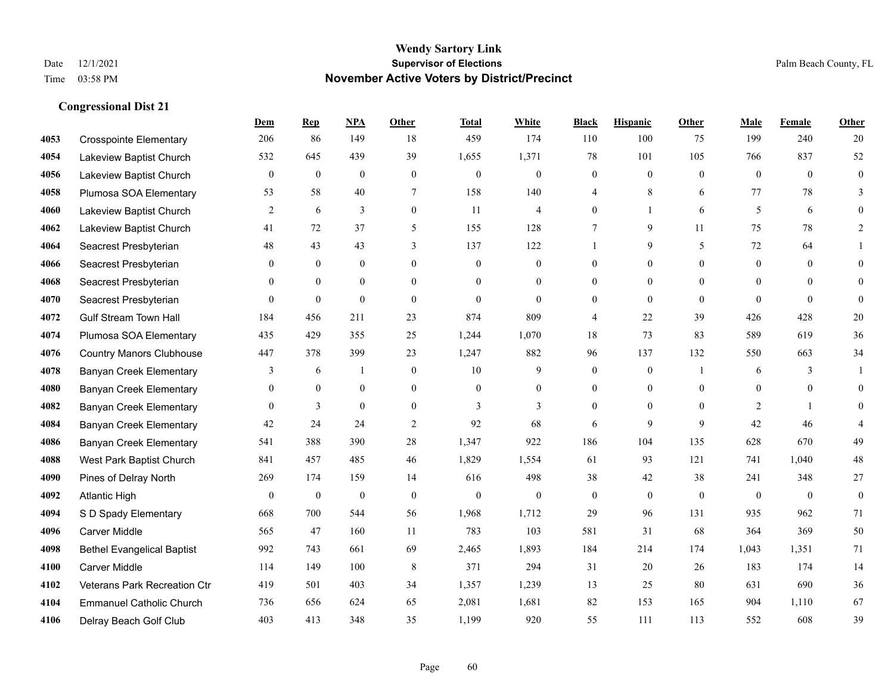**Congressional Dist 21**

#### **Wendy Sartory Link** Date 12/1/2021 **Supervisor of Elections** Palm Beach County, FL Time 03:58 PM **November Active Voters by District/Precinct**

## **Dem Rep NPA Other Total White Black Hispanic Other Male Female Other** Crosspointe Elementary 206 86 149 18 459 174 110 100 75 199 240 20 Lakeview Baptist Church 532 645 439 39 1,655 1,371 78 101 105 766 837 52 Lakeview Baptist Church 0 0 0 0 0 0 0 0 0 0 0 0 Plumosa SOA Elementary 53 58 40 7 158 140 4 8 6 77 78 3 Lakeview Baptist Church 2 6 3 0 11 4 0 1 6 5 6 0 Lakeview Baptist Church 41 72 37 5 155 128 7 9 11 75 78 2 Seacrest Presbyterian **48** 43 43 43 3 137 122 1 9 5 72 64 1 Seacrest Presbyterian 0 0 0 0 0 0 0 0 0 0 0 0 Seacrest Presbyterian 0 0 0 0 0 0 0 0 0 0 0 0 Seacrest Presbyterian 0 0 0 0 0 0 0 0 0 0 0 0 Gulf Stream Town Hall 184 456 211 23 874 809 4 22 39 426 428 20 Plumosa SOA Elementary 435 429 355 25 1,244 1,070 18 73 83 589 619 36 Country Manors Clubhouse 447 378 399 23 1,247 882 96 137 132 550 663 34 Banyan Creek Elementary 3 6 1 0 10 9 0 0 1 6 3 1 Banyan Creek Elementary 0 0 0 0 0 0 0 0 0 0 0 0 **4082 Banyan Creek Elementary 0 3 0 0 3 3 3 0 0 0 2 1 0 4084 Banyan Creek Elementary 42 24 24 2 92 68 6 9 9 42 46 4**  Banyan Creek Elementary 541 388 390 28 1,347 922 186 104 135 628 670 49 West Park Baptist Church 841 457 485 46 1,829 1,554 61 93 121 741 1,040 48 Pines of Delray North 269 174 159 14 616 498 38 42 38 241 348 27 Atlantic High 0 0 0 0 0 0 0 0 0 0 0 0 S D Spady Elementary 668 700 544 56 1,968 1,712 29 96 131 935 962 71 Carver Middle 565 47 160 11 783 103 581 31 68 364 369 50 Bethel Evangelical Baptist 992 743 661 69 2,465 1,893 184 214 174 1,043 1,351 71 Carver Middle 114 149 100 8 371 294 31 20 26 183 174 14 Veterans Park Recreation Ctr 419 501 403 34 1,357 1,239 13 25 80 631 690 36 Emmanuel Catholic Church 736 656 624 65 2,081 1,681 82 153 165 904 1,110 67 Delray Beach Golf Club 403 413 348 35 1,199 920 55 111 113 552 608 39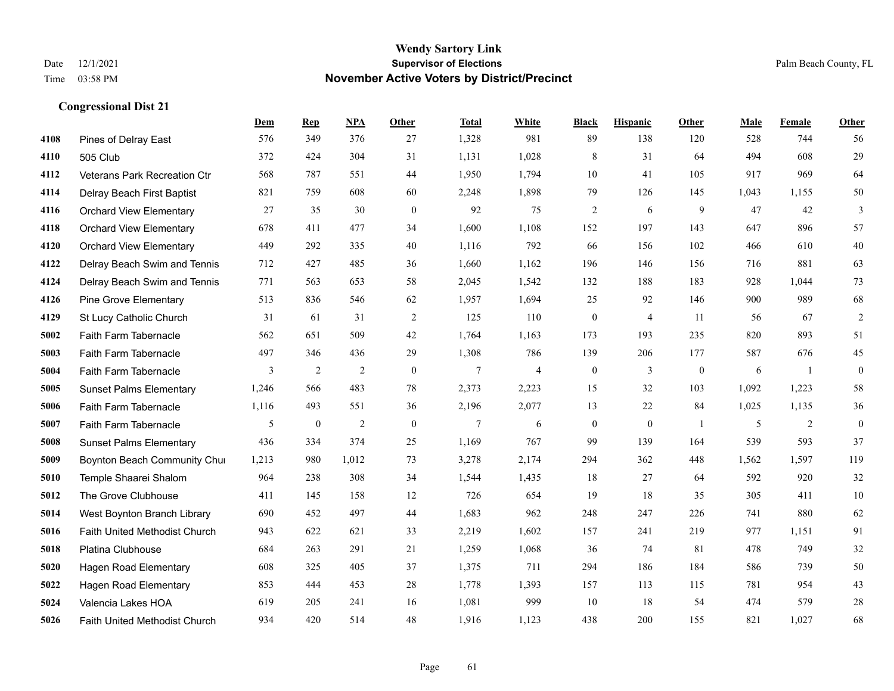|      |                                      | Dem   | <b>Rep</b>       | NPA            | <b>Other</b> | <b>Total</b>   | <b>White</b>   | <b>Black</b>     | <b>Hispanic</b> | Other          | <b>Male</b> | Female         | <b>Other</b>     |
|------|--------------------------------------|-------|------------------|----------------|--------------|----------------|----------------|------------------|-----------------|----------------|-------------|----------------|------------------|
| 4108 | Pines of Delray East                 | 576   | 349              | 376            | 27           | 1,328          | 981            | 89               | 138             | 120            | 528         | 744            | 56               |
| 4110 | 505 Club                             | 372   | 424              | 304            | 31           | 1,131          | 1,028          | $\,8\,$          | 31              | 64             | 494         | 608            | 29               |
| 4112 | Veterans Park Recreation Ctr         | 568   | 787              | 551            | 44           | 1,950          | 1,794          | 10               | 41              | 105            | 917         | 969            | 64               |
| 4114 | Delray Beach First Baptist           | 821   | 759              | 608            | 60           | 2,248          | 1,898          | 79               | 126             | 145            | 1,043       | 1,155          | 50               |
| 4116 | <b>Orchard View Elementary</b>       | 27    | 35               | 30             | $\theta$     | 92             | 75             | $\overline{2}$   | 6               | 9              | 47          | 42             | 3                |
| 4118 | <b>Orchard View Elementary</b>       | 678   | 411              | 477            | 34           | 1,600          | 1,108          | 152              | 197             | 143            | 647         | 896            | 57               |
| 4120 | <b>Orchard View Elementary</b>       | 449   | 292              | 335            | 40           | 1,116          | 792            | 66               | 156             | 102            | 466         | 610            | $40\,$           |
| 4122 | Delray Beach Swim and Tennis         | 712   | 427              | 485            | 36           | 1,660          | 1,162          | 196              | 146             | 156            | 716         | 881            | 63               |
| 4124 | Delray Beach Swim and Tennis         | 771   | 563              | 653            | 58           | 2,045          | 1,542          | 132              | 188             | 183            | 928         | 1,044          | 73               |
| 4126 | <b>Pine Grove Elementary</b>         | 513   | 836              | 546            | 62           | 1,957          | 1,694          | 25               | 92              | 146            | 900         | 989            | 68               |
| 4129 | St Lucy Catholic Church              | 31    | 61               | 31             | 2            | 125            | 110            | $\mathbf{0}$     | $\overline{4}$  | 11             | 56          | 67             | $\overline{2}$   |
| 5002 | Faith Farm Tabernacle                | 562   | 651              | 509            | 42           | 1,764          | 1,163          | 173              | 193             | 235            | 820         | 893            | 51               |
| 5003 | Faith Farm Tabernacle                | 497   | 346              | 436            | 29           | 1,308          | 786            | 139              | 206             | 177            | 587         | 676            | 45               |
| 5004 | Faith Farm Tabernacle                | 3     | $\overline{2}$   | $\overline{2}$ | $\mathbf{0}$ | 7              | $\overline{4}$ | $\boldsymbol{0}$ | 3               | $\mathbf{0}$   | 6           | -1             | $\boldsymbol{0}$ |
| 5005 | <b>Sunset Palms Elementary</b>       | 1,246 | 566              | 483            | 78           | 2,373          | 2,223          | 15               | 32              | 103            | 1,092       | 1,223          | 58               |
| 5006 | Faith Farm Tabernacle                | 1,116 | 493              | 551            | 36           | 2,196          | 2,077          | 13               | 22              | 84             | 1,025       | 1,135          | 36               |
| 5007 | Faith Farm Tabernacle                | 5     | $\boldsymbol{0}$ | $\overline{2}$ | $\mathbf{0}$ | $\overline{7}$ | 6              | $\boldsymbol{0}$ | $\mathbf{0}$    | $\overline{1}$ | 5           | $\overline{2}$ | $\boldsymbol{0}$ |
| 5008 | <b>Sunset Palms Elementary</b>       | 436   | 334              | 374            | 25           | 1,169          | 767            | 99               | 139             | 164            | 539         | 593            | 37               |
| 5009 | Boynton Beach Community Chur         | 1,213 | 980              | 1,012          | 73           | 3,278          | 2,174          | 294              | 362             | 448            | 1,562       | 1,597          | 119              |
| 5010 | Temple Shaarei Shalom                | 964   | 238              | 308            | 34           | 1,544          | 1,435          | 18               | 27              | 64             | 592         | 920            | 32               |
| 5012 | The Grove Clubhouse                  | 411   | 145              | 158            | 12           | 726            | 654            | 19               | 18              | 35             | 305         | 411            | 10               |
| 5014 | West Boynton Branch Library          | 690   | 452              | 497            | 44           | 1,683          | 962            | 248              | 247             | 226            | 741         | 880            | 62               |
| 5016 | Faith United Methodist Church        | 943   | 622              | 621            | 33           | 2,219          | 1,602          | 157              | 241             | 219            | 977         | 1,151          | 91               |
| 5018 | Platina Clubhouse                    | 684   | 263              | 291            | 21           | 1,259          | 1,068          | 36               | 74              | 81             | 478         | 749            | 32               |
| 5020 | <b>Hagen Road Elementary</b>         | 608   | 325              | 405            | 37           | 1,375          | 711            | 294              | 186             | 184            | 586         | 739            | 50               |
| 5022 | <b>Hagen Road Elementary</b>         | 853   | 444              | 453            | 28           | 1,778          | 1,393          | 157              | 113             | 115            | 781         | 954            | 43               |
| 5024 | Valencia Lakes HOA                   | 619   | 205              | 241            | 16           | 1,081          | 999            | 10               | 18              | 54             | 474         | 579            | 28               |
| 5026 | <b>Faith United Methodist Church</b> | 934   | 420              | 514            | 48           | 1,916          | 1,123          | 438              | 200             | 155            | 821         | 1,027          | 68               |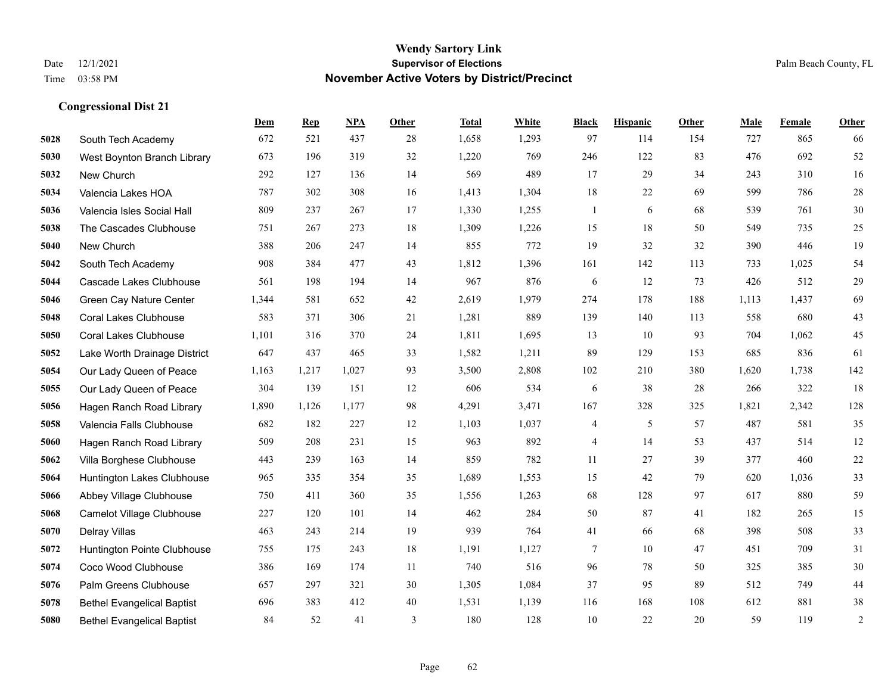|      |                                   | Dem   | <b>Rep</b> | NPA   | <b>Other</b> | <b>Total</b> | White | <b>Black</b>             | <b>Hispanic</b> | <b>Other</b> | <b>Male</b> | Female | <b>Other</b> |
|------|-----------------------------------|-------|------------|-------|--------------|--------------|-------|--------------------------|-----------------|--------------|-------------|--------|--------------|
| 5028 | South Tech Academy                | 672   | 521        | 437   | 28           | 1,658        | 1,293 | 97                       | 114             | 154          | 727         | 865    | 66           |
| 5030 | West Boynton Branch Library       | 673   | 196        | 319   | 32           | 1,220        | 769   | 246                      | 122             | 83           | 476         | 692    | 52           |
| 5032 | New Church                        | 292   | 127        | 136   | 14           | 569          | 489   | 17                       | 29              | 34           | 243         | 310    | 16           |
| 5034 | Valencia Lakes HOA                | 787   | 302        | 308   | 16           | 1,413        | 1,304 | 18                       | 22              | 69           | 599         | 786    | $28\,$       |
| 5036 | Valencia Isles Social Hall        | 809   | 237        | 267   | 17           | 1,330        | 1,255 | $\mathbf{1}$             | 6               | 68           | 539         | 761    | 30           |
| 5038 | The Cascades Clubhouse            | 751   | 267        | 273   | 18           | 1,309        | 1,226 | 15                       | 18              | 50           | 549         | 735    | $25\,$       |
| 5040 | New Church                        | 388   | 206        | 247   | 14           | 855          | 772   | 19                       | 32              | 32           | 390         | 446    | 19           |
| 5042 | South Tech Academy                | 908   | 384        | 477   | 43           | 1,812        | 1,396 | 161                      | 142             | 113          | 733         | 1,025  | 54           |
| 5044 | Cascade Lakes Clubhouse           | 561   | 198        | 194   | 14           | 967          | 876   | 6                        | 12              | 73           | 426         | 512    | $29\,$       |
| 5046 | Green Cay Nature Center           | 1,344 | 581        | 652   | 42           | 2,619        | 1,979 | 274                      | 178             | 188          | 1,113       | 1,437  | 69           |
| 5048 | <b>Coral Lakes Clubhouse</b>      | 583   | 371        | 306   | 21           | 1,281        | 889   | 139                      | 140             | 113          | 558         | 680    | $43\,$       |
| 5050 | <b>Coral Lakes Clubhouse</b>      | 1,101 | 316        | 370   | 24           | 1,811        | 1,695 | 13                       | 10              | 93           | 704         | 1,062  | 45           |
| 5052 | Lake Worth Drainage District      | 647   | 437        | 465   | 33           | 1,582        | 1,211 | 89                       | 129             | 153          | 685         | 836    | 61           |
| 5054 | Our Lady Queen of Peace           | 1,163 | 1,217      | 1,027 | 93           | 3,500        | 2,808 | 102                      | 210             | 380          | 1,620       | 1,738  | 142          |
| 5055 | Our Lady Queen of Peace           | 304   | 139        | 151   | 12           | 606          | 534   | 6                        | 38              | 28           | 266         | 322    | 18           |
| 5056 | Hagen Ranch Road Library          | 1,890 | 1,126      | 1,177 | 98           | 4,291        | 3,471 | 167                      | 328             | 325          | 1,821       | 2,342  | 128          |
| 5058 | Valencia Falls Clubhouse          | 682   | 182        | 227   | 12           | 1,103        | 1,037 | $\overline{\mathcal{A}}$ | 5               | 57           | 487         | 581    | 35           |
| 5060 | Hagen Ranch Road Library          | 509   | 208        | 231   | 15           | 963          | 892   | $\overline{\mathcal{A}}$ | 14              | 53           | 437         | 514    | $12\,$       |
| 5062 | Villa Borghese Clubhouse          | 443   | 239        | 163   | 14           | 859          | 782   | 11                       | 27              | 39           | 377         | 460    | $22\,$       |
| 5064 | Huntington Lakes Clubhouse        | 965   | 335        | 354   | 35           | 1,689        | 1,553 | 15                       | 42              | 79           | 620         | 1,036  | 33           |
| 5066 | Abbey Village Clubhouse           | 750   | 411        | 360   | 35           | 1,556        | 1,263 | 68                       | 128             | 97           | 617         | 880    | 59           |
| 5068 | <b>Camelot Village Clubhouse</b>  | 227   | 120        | 101   | 14           | 462          | 284   | 50                       | 87              | 41           | 182         | 265    | 15           |
| 5070 | Delray Villas                     | 463   | 243        | 214   | 19           | 939          | 764   | 41                       | 66              | 68           | 398         | 508    | 33           |
| 5072 | Huntington Pointe Clubhouse       | 755   | 175        | 243   | 18           | 1,191        | 1,127 | 7                        | 10              | 47           | 451         | 709    | 31           |
| 5074 | Coco Wood Clubhouse               | 386   | 169        | 174   | 11           | 740          | 516   | 96                       | 78              | 50           | 325         | 385    | $30\,$       |
| 5076 | Palm Greens Clubhouse             | 657   | 297        | 321   | 30           | 1,305        | 1,084 | 37                       | 95              | 89           | 512         | 749    | $44\,$       |
| 5078 | <b>Bethel Evangelical Baptist</b> | 696   | 383        | 412   | 40           | 1,531        | 1,139 | 116                      | 168             | 108          | 612         | 881    | 38           |
| 5080 | <b>Bethel Evangelical Baptist</b> | 84    | 52         | 41    | 3            | 180          | 128   | 10                       | 22              | 20           | 59          | 119    | $\sqrt{2}$   |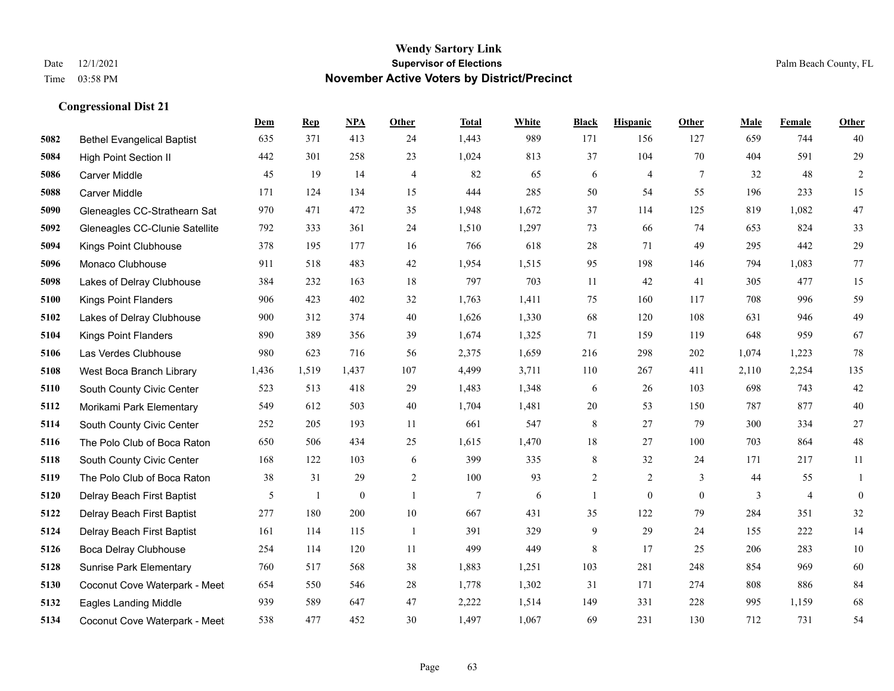|      |                                   | Dem   | <b>Rep</b> | NPA              | <b>Other</b>   | <b>Total</b>   | <b>White</b> | <b>Black</b> | <b>Hispanic</b> | <b>Other</b>   | <b>Male</b> | <b>Female</b>  | <b>Other</b>     |
|------|-----------------------------------|-------|------------|------------------|----------------|----------------|--------------|--------------|-----------------|----------------|-------------|----------------|------------------|
| 5082 | <b>Bethel Evangelical Baptist</b> | 635   | 371        | 413              | 24             | 1,443          | 989          | 171          | 156             | 127            | 659         | 744            | 40               |
| 5084 | <b>High Point Section II</b>      | 442   | 301        | 258              | 23             | 1,024          | 813          | 37           | 104             | 70             | 404         | 591            | 29               |
| 5086 | Carver Middle                     | 45    | 19         | 14               | 4              | 82             | 65           | 6            | 4               | 7              | 32          | 48             | $\overline{c}$   |
| 5088 | <b>Carver Middle</b>              | 171   | 124        | 134              | 15             | 444            | 285          | 50           | 54              | 55             | 196         | 233            | 15               |
| 5090 | Gleneagles CC-Strathearn Sat      | 970   | 471        | 472              | 35             | 1.948          | 1,672        | 37           | 114             | 125            | 819         | 1.082          | $47\,$           |
| 5092 | Gleneagles CC-Clunie Satellite    | 792   | 333        | 361              | 24             | 1,510          | 1,297        | 73           | 66              | 74             | 653         | 824            | 33               |
| 5094 | Kings Point Clubhouse             | 378   | 195        | 177              | 16             | 766            | 618          | 28           | 71              | 49             | 295         | 442            | 29               |
| 5096 | Monaco Clubhouse                  | 911   | 518        | 483              | 42             | 1,954          | 1,515        | 95           | 198             | 146            | 794         | 1.083          | 77               |
| 5098 | Lakes of Delray Clubhouse         | 384   | 232        | 163              | 18             | 797            | 703          | 11           | 42              | 41             | 305         | 477            | 15               |
| 5100 | <b>Kings Point Flanders</b>       | 906   | 423        | 402              | 32             | 1,763          | 1,411        | 75           | 160             | 117            | 708         | 996            | 59               |
| 5102 | Lakes of Delray Clubhouse         | 900   | 312        | 374              | 40             | 1,626          | 1,330        | 68           | 120             | 108            | 631         | 946            | 49               |
| 5104 | <b>Kings Point Flanders</b>       | 890   | 389        | 356              | 39             | 1,674          | 1,325        | 71           | 159             | 119            | 648         | 959            | 67               |
| 5106 | Las Verdes Clubhouse              | 980   | 623        | 716              | 56             | 2,375          | 1,659        | 216          | 298             | 202            | 1,074       | 1,223          | $78\,$           |
| 5108 | West Boca Branch Library          | 1,436 | 1,519      | 1,437            | 107            | 4,499          | 3,711        | 110          | 267             | 411            | 2,110       | 2,254          | 135              |
| 5110 | South County Civic Center         | 523   | 513        | 418              | 29             | 1,483          | 1,348        | 6            | 26              | 103            | 698         | 743            | $42\,$           |
| 5112 | Morikami Park Elementary          | 549   | 612        | 503              | 40             | 1,704          | 1,481        | 20           | 53              | 150            | 787         | 877            | $40\,$           |
| 5114 | South County Civic Center         | 252   | 205        | 193              | 11             | 661            | 547          | $8\,$        | 27              | 79             | 300         | 334            | $27\,$           |
| 5116 | The Polo Club of Boca Raton       | 650   | 506        | 434              | 25             | 1,615          | 1,470        | 18           | 27              | 100            | 703         | 864            | $48\,$           |
| 5118 | South County Civic Center         | 168   | 122        | 103              | 6              | 399            | 335          | 8            | 32              | 24             | 171         | 217            | 11               |
| 5119 | The Polo Club of Boca Raton       | 38    | 31         | 29               | $\sqrt{2}$     | 100            | 93           | $\sqrt{2}$   | $\overline{c}$  | 3              | 44          | 55             | $\mathbf{1}$     |
| 5120 | Delray Beach First Baptist        | 5     | 1          | $\boldsymbol{0}$ | $\overline{1}$ | $\overline{7}$ | 6            | $\mathbf{1}$ | $\mathbf{0}$    | $\overline{0}$ | 3           | $\overline{4}$ | $\boldsymbol{0}$ |
| 5122 | Delray Beach First Baptist        | 277   | 180        | 200              | $10\,$         | 667            | 431          | 35           | 122             | 79             | 284         | 351            | 32               |
| 5124 | Delray Beach First Baptist        | 161   | 114        | 115              | -1             | 391            | 329          | 9            | 29              | 24             | 155         | 222            | 14               |
| 5126 | Boca Delray Clubhouse             | 254   | 114        | 120              | 11             | 499            | 449          | 8            | 17              | 25             | 206         | 283            | $10\,$           |
| 5128 | <b>Sunrise Park Elementary</b>    | 760   | 517        | 568              | 38             | 1,883          | 1,251        | 103          | 281             | 248            | 854         | 969            | 60               |
| 5130 | Coconut Cove Waterpark - Meet     | 654   | 550        | 546              | 28             | 1,778          | 1,302        | 31           | 171             | 274            | 808         | 886            | 84               |
| 5132 | <b>Eagles Landing Middle</b>      | 939   | 589        | 647              | 47             | 2,222          | 1,514        | 149          | 331             | 228            | 995         | 1,159          | 68               |
| 5134 | Coconut Cove Waterpark - Meet     | 538   | 477        | 452              | 30             | 1,497          | 1,067        | 69           | 231             | 130            | 712         | 731            | 54               |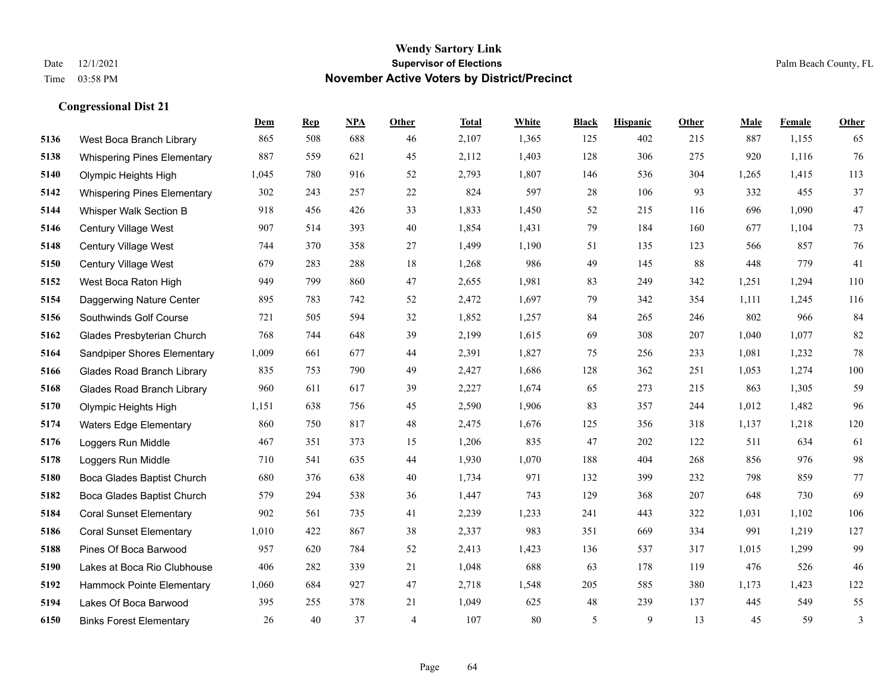|      |                                    | Dem   | <b>Rep</b> | NPA | <b>Other</b>   | <b>Total</b> | <b>White</b> | <b>Black</b> | <b>Hispanic</b> | <b>Other</b> | <b>Male</b> | Female | <b>Other</b>   |
|------|------------------------------------|-------|------------|-----|----------------|--------------|--------------|--------------|-----------------|--------------|-------------|--------|----------------|
| 5136 | West Boca Branch Library           | 865   | 508        | 688 | 46             | 2,107        | 1,365        | 125          | 402             | 215          | 887         | 1,155  | 65             |
| 5138 | <b>Whispering Pines Elementary</b> | 887   | 559        | 621 | 45             | 2,112        | 1,403        | 128          | 306             | 275          | 920         | 1,116  | 76             |
| 5140 | Olympic Heights High               | 1,045 | 780        | 916 | 52             | 2,793        | 1,807        | 146          | 536             | 304          | 1,265       | 1,415  | 113            |
| 5142 | <b>Whispering Pines Elementary</b> | 302   | 243        | 257 | 22             | 824          | 597          | 28           | 106             | 93           | 332         | 455    | 37             |
| 5144 | Whisper Walk Section B             | 918   | 456        | 426 | 33             | 1,833        | 1,450        | 52           | 215             | 116          | 696         | 1,090  | 47             |
| 5146 | Century Village West               | 907   | 514        | 393 | 40             | 1,854        | 1,431        | 79           | 184             | 160          | 677         | 1,104  | 73             |
| 5148 | Century Village West               | 744   | 370        | 358 | 27             | 1,499        | 1,190        | 51           | 135             | 123          | 566         | 857    | 76             |
| 5150 | <b>Century Village West</b>        | 679   | 283        | 288 | 18             | 1,268        | 986          | 49           | 145             | 88           | 448         | 779    | 41             |
| 5152 | West Boca Raton High               | 949   | 799        | 860 | 47             | 2,655        | 1,981        | 83           | 249             | 342          | 1,251       | 1,294  | 110            |
| 5154 | Daggerwing Nature Center           | 895   | 783        | 742 | 52             | 2,472        | 1,697        | 79           | 342             | 354          | 1,111       | 1,245  | 116            |
| 5156 | Southwinds Golf Course             | 721   | 505        | 594 | 32             | 1,852        | 1,257        | 84           | 265             | 246          | 802         | 966    | 84             |
| 5162 | Glades Presbyterian Church         | 768   | 744        | 648 | 39             | 2,199        | 1,615        | 69           | 308             | 207          | 1.040       | 1,077  | 82             |
| 5164 | Sandpiper Shores Elementary        | 1,009 | 661        | 677 | 44             | 2,391        | 1,827        | 75           | 256             | 233          | 1,081       | 1,232  | $78\,$         |
| 5166 | <b>Glades Road Branch Library</b>  | 835   | 753        | 790 | 49             | 2,427        | 1,686        | 128          | 362             | 251          | 1,053       | 1,274  | 100            |
| 5168 | <b>Glades Road Branch Library</b>  | 960   | 611        | 617 | 39             | 2,227        | 1,674        | 65           | 273             | 215          | 863         | 1,305  | 59             |
| 5170 | Olympic Heights High               | 1,151 | 638        | 756 | 45             | 2,590        | 1,906        | 83           | 357             | 244          | 1,012       | 1,482  | 96             |
| 5174 | <b>Waters Edge Elementary</b>      | 860   | 750        | 817 | 48             | 2,475        | 1,676        | 125          | 356             | 318          | 1,137       | 1,218  | 120            |
| 5176 | Loggers Run Middle                 | 467   | 351        | 373 | 15             | 1,206        | 835          | 47           | 202             | 122          | 511         | 634    | 61             |
| 5178 | Loggers Run Middle                 | 710   | 541        | 635 | 44             | 1,930        | 1,070        | 188          | 404             | 268          | 856         | 976    | 98             |
| 5180 | Boca Glades Baptist Church         | 680   | 376        | 638 | 40             | 1,734        | 971          | 132          | 399             | 232          | 798         | 859    | 77             |
| 5182 | Boca Glades Baptist Church         | 579   | 294        | 538 | 36             | 1,447        | 743          | 129          | 368             | 207          | 648         | 730    | 69             |
| 5184 | <b>Coral Sunset Elementary</b>     | 902   | 561        | 735 | 41             | 2,239        | 1,233        | 241          | 443             | 322          | 1,031       | 1,102  | 106            |
| 5186 | <b>Coral Sunset Elementary</b>     | 1,010 | 422        | 867 | 38             | 2,337        | 983          | 351          | 669             | 334          | 991         | 1,219  | 127            |
| 5188 | Pines Of Boca Barwood              | 957   | 620        | 784 | 52             | 2,413        | 1,423        | 136          | 537             | 317          | 1,015       | 1,299  | 99             |
| 5190 | Lakes at Boca Rio Clubhouse        | 406   | 282        | 339 | 21             | 1,048        | 688          | 63           | 178             | 119          | 476         | 526    | 46             |
| 5192 | Hammock Pointe Elementary          | 1,060 | 684        | 927 | 47             | 2,718        | 1,548        | 205          | 585             | 380          | 1,173       | 1,423  | 122            |
| 5194 | Lakes Of Boca Barwood              | 395   | 255        | 378 | 21             | 1,049        | 625          | 48           | 239             | 137          | 445         | 549    | 55             |
| 6150 | <b>Binks Forest Elementary</b>     | 26    | 40         | 37  | $\overline{4}$ | 107          | 80           | 5            | 9               | 13           | 45          | 59     | $\mathfrak{Z}$ |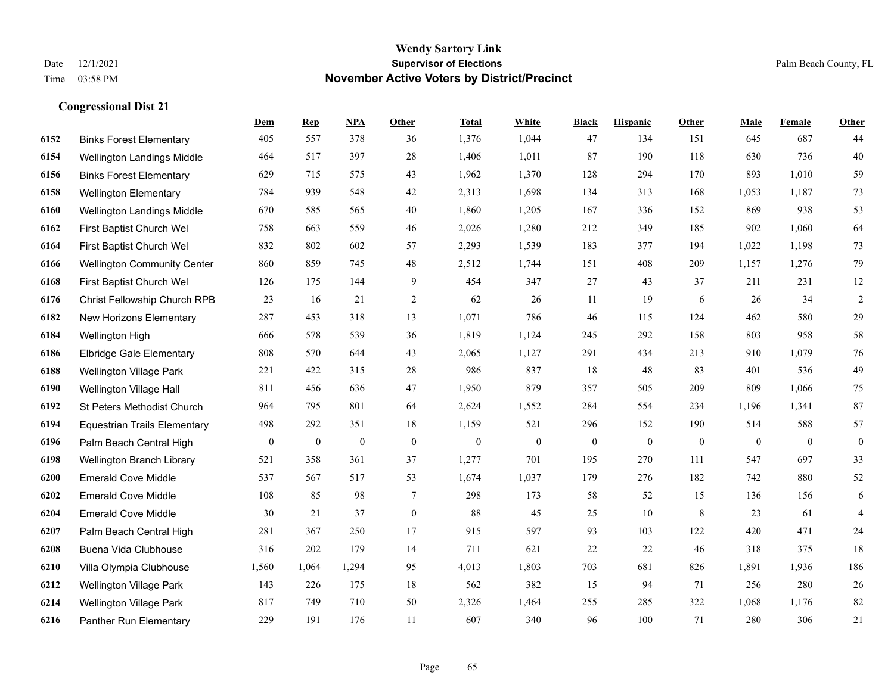|      |                                     | Dem              | <b>Rep</b>       | NPA              | <b>Other</b>     | <b>Total</b>     | <b>White</b>     | <b>Black</b>     | <b>Hispanic</b>  | <b>Other</b> | <b>Male</b>  | <b>Female</b> | <b>Other</b>     |
|------|-------------------------------------|------------------|------------------|------------------|------------------|------------------|------------------|------------------|------------------|--------------|--------------|---------------|------------------|
| 6152 | <b>Binks Forest Elementary</b>      | 405              | 557              | 378              | 36               | 1,376            | 1,044            | 47               | 134              | 151          | 645          | 687           | 44               |
| 6154 | Wellington Landings Middle          | 464              | 517              | 397              | 28               | 1,406            | 1,011            | 87               | 190              | 118          | 630          | 736           | 40               |
| 6156 | <b>Binks Forest Elementary</b>      | 629              | 715              | 575              | 43               | 1,962            | 1,370            | 128              | 294              | 170          | 893          | 1,010         | 59               |
| 6158 | <b>Wellington Elementary</b>        | 784              | 939              | 548              | 42               | 2,313            | 1,698            | 134              | 313              | 168          | 1,053        | 1,187         | 73               |
| 6160 | Wellington Landings Middle          | 670              | 585              | 565              | 40               | 1,860            | 1,205            | 167              | 336              | 152          | 869          | 938           | 53               |
| 6162 | First Baptist Church Wel            | 758              | 663              | 559              | 46               | 2,026            | 1,280            | 212              | 349              | 185          | 902          | 1,060         | 64               |
| 6164 | First Baptist Church Wel            | 832              | 802              | 602              | 57               | 2,293            | 1,539            | 183              | 377              | 194          | 1,022        | 1,198         | 73               |
| 6166 | <b>Wellington Community Center</b>  | 860              | 859              | 745              | 48               | 2,512            | 1,744            | 151              | 408              | 209          | 1,157        | 1,276         | 79               |
| 6168 | First Baptist Church Wel            | 126              | 175              | 144              | 9                | 454              | 347              | 27               | 43               | 37           | 211          | 231           | 12               |
| 6176 | Christ Fellowship Church RPB        | 23               | 16               | 21               | $\overline{c}$   | 62               | 26               | 11               | 19               | 6            | 26           | 34            | $\sqrt{2}$       |
| 6182 | New Horizons Elementary             | 287              | 453              | 318              | 13               | 1,071            | 786              | 46               | 115              | 124          | 462          | 580           | 29               |
| 6184 | Wellington High                     | 666              | 578              | 539              | 36               | 1,819            | 1,124            | 245              | 292              | 158          | 803          | 958           | 58               |
| 6186 | Elbridge Gale Elementary            | 808              | 570              | 644              | 43               | 2,065            | 1,127            | 291              | 434              | 213          | 910          | 1,079         | $76\,$           |
| 6188 | <b>Wellington Village Park</b>      | 221              | 422              | 315              | 28               | 986              | 837              | 18               | 48               | 83           | 401          | 536           | 49               |
| 6190 | Wellington Village Hall             | 811              | 456              | 636              | 47               | 1,950            | 879              | 357              | 505              | 209          | 809          | 1.066         | 75               |
| 6192 | St Peters Methodist Church          | 964              | 795              | 801              | 64               | 2,624            | 1,552            | 284              | 554              | 234          | 1,196        | 1,341         | $87\,$           |
| 6194 | <b>Equestrian Trails Elementary</b> | 498              | 292              | 351              | 18               | 1,159            | 521              | 296              | 152              | 190          | 514          | 588           | 57               |
| 6196 | Palm Beach Central High             | $\boldsymbol{0}$ | $\boldsymbol{0}$ | $\boldsymbol{0}$ | $\mathbf{0}$     | $\boldsymbol{0}$ | $\boldsymbol{0}$ | $\boldsymbol{0}$ | $\boldsymbol{0}$ | $\mathbf{0}$ | $\mathbf{0}$ | $\mathbf{0}$  | $\boldsymbol{0}$ |
| 6198 | Wellington Branch Library           | 521              | 358              | 361              | 37               | 1,277            | 701              | 195              | 270              | 111          | 547          | 697           | 33               |
| 6200 | <b>Emerald Cove Middle</b>          | 537              | 567              | 517              | 53               | 1,674            | 1,037            | 179              | 276              | 182          | 742          | 880           | 52               |
| 6202 | <b>Emerald Cove Middle</b>          | 108              | 85               | 98               | $\tau$           | 298              | 173              | 58               | 52               | 15           | 136          | 156           | 6                |
| 6204 | <b>Emerald Cove Middle</b>          | 30               | 21               | 37               | $\boldsymbol{0}$ | 88               | 45               | 25               | 10               | 8            | 23           | 61            | $\overline{4}$   |
| 6207 | Palm Beach Central High             | 281              | 367              | 250              | 17               | 915              | 597              | 93               | 103              | 122          | 420          | 471           | 24               |
| 6208 | Buena Vida Clubhouse                | 316              | 202              | 179              | 14               | 711              | 621              | 22               | 22               | 46           | 318          | 375           | 18               |
| 6210 | Villa Olympia Clubhouse             | 1,560            | 1,064            | 1,294            | 95               | 4,013            | 1,803            | 703              | 681              | 826          | 1,891        | 1,936         | 186              |
| 6212 | Wellington Village Park             | 143              | 226              | 175              | 18               | 562              | 382              | 15               | 94               | 71           | 256          | 280           | 26               |
| 6214 | <b>Wellington Village Park</b>      | 817              | 749              | 710              | 50               | 2,326            | 1,464            | 255              | 285              | 322          | 1,068        | 1,176         | 82               |
| 6216 | Panther Run Elementary              | 229              | 191              | 176              | 11               | 607              | 340              | 96               | 100              | 71           | 280          | 306           | $21\,$           |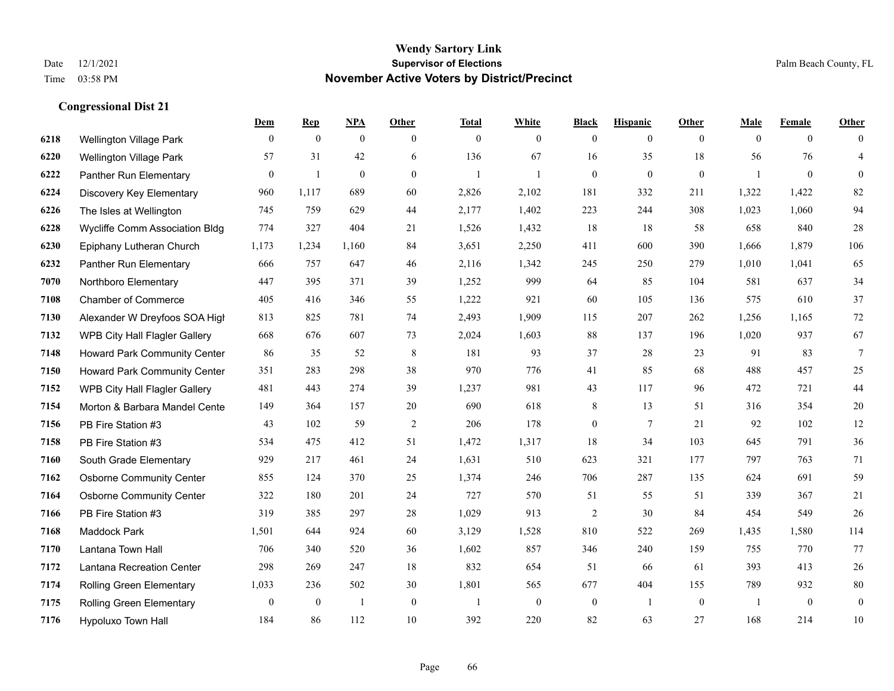|      |                                 | Dem              | <b>Rep</b>       | NPA              | <b>Other</b>   | <b>Total</b> | <b>White</b>   | <b>Black</b>     | <b>Hispanic</b>  | <b>Other</b>   | <b>Male</b>  | <b>Female</b>  | <b>Other</b>     |
|------|---------------------------------|------------------|------------------|------------------|----------------|--------------|----------------|------------------|------------------|----------------|--------------|----------------|------------------|
| 6218 | Wellington Village Park         | $\overline{0}$   | $\mathbf{0}$     | $\mathbf{0}$     | $\overline{0}$ | $\mathbf{0}$ | $\overline{0}$ | $\mathbf{0}$     | $\mathbf{0}$     | $\overline{0}$ | $\mathbf{0}$ | $\overline{0}$ | $\theta$         |
| 6220 | <b>Wellington Village Park</b>  | 57               | 31               | 42               | 6              | 136          | 67             | 16               | 35               | 18             | 56           | 76             | $\overline{4}$   |
| 6222 | Panther Run Elementary          | $\boldsymbol{0}$ | $\mathbf{1}$     | $\boldsymbol{0}$ | $\overline{0}$ | -1           | $\mathbf{1}$   | $\boldsymbol{0}$ | $\boldsymbol{0}$ | $\overline{0}$ | 1            | $\overline{0}$ | $\mathbf{0}$     |
| 6224 | Discovery Key Elementary        | 960              | 1,117            | 689              | 60             | 2,826        | 2,102          | 181              | 332              | 211            | 1,322        | 1,422          | 82               |
| 6226 | The Isles at Wellington         | 745              | 759              | 629              | 44             | 2,177        | 1,402          | 223              | 244              | 308            | 1,023        | 1,060          | 94               |
| 6228 | Wycliffe Comm Association Bldg  | 774              | 327              | 404              | 21             | 1,526        | 1,432          | 18               | 18               | 58             | 658          | 840            | $28\,$           |
| 6230 | Epiphany Lutheran Church        | 1,173            | 1,234            | 1,160            | 84             | 3,651        | 2,250          | 411              | 600              | 390            | 1,666        | 1,879          | 106              |
| 6232 | Panther Run Elementary          | 666              | 757              | 647              | 46             | 2,116        | 1,342          | 245              | 250              | 279            | 1,010        | 1,041          | 65               |
| 7070 | Northboro Elementary            | 447              | 395              | 371              | 39             | 1,252        | 999            | 64               | 85               | 104            | 581          | 637            | 34               |
| 7108 | <b>Chamber of Commerce</b>      | 405              | 416              | 346              | 55             | 1,222        | 921            | 60               | 105              | 136            | 575          | 610            | 37               |
| 7130 | Alexander W Dreyfoos SOA High   | 813              | 825              | 781              | 74             | 2,493        | 1,909          | 115              | 207              | 262            | 1,256        | 1,165          | $72\,$           |
| 7132 | WPB City Hall Flagler Gallery   | 668              | 676              | 607              | 73             | 2,024        | 1,603          | 88               | 137              | 196            | 1,020        | 937            | 67               |
| 7148 | Howard Park Community Center    | 86               | 35               | 52               | 8              | 181          | 93             | 37               | 28               | 23             | 91           | 83             | 7                |
| 7150 | Howard Park Community Center    | 351              | 283              | 298              | 38             | 970          | 776            | 41               | 85               | 68             | 488          | 457            | $25\,$           |
| 7152 | WPB City Hall Flagler Gallery   | 481              | 443              | 274              | 39             | 1,237        | 981            | 43               | 117              | 96             | 472          | 721            | $44\,$           |
| 7154 | Morton & Barbara Mandel Cente   | 149              | 364              | 157              | 20             | 690          | 618            | 8                | 13               | 51             | 316          | 354            | $20\,$           |
| 7156 | PB Fire Station #3              | 43               | 102              | 59               | 2              | 206          | 178            | $\boldsymbol{0}$ | $\tau$           | 21             | 92           | 102            | $12\,$           |
| 7158 | PB Fire Station #3              | 534              | 475              | 412              | 51             | 1,472        | 1,317          | 18               | 34               | 103            | 645          | 791            | $36\,$           |
| 7160 | South Grade Elementary          | 929              | 217              | 461              | 24             | 1,631        | 510            | 623              | 321              | 177            | 797          | 763            | 71               |
| 7162 | <b>Osborne Community Center</b> | 855              | 124              | 370              | 25             | 1,374        | 246            | 706              | 287              | 135            | 624          | 691            | 59               |
| 7164 | <b>Osborne Community Center</b> | 322              | 180              | 201              | 24             | 727          | 570            | 51               | 55               | 51             | 339          | 367            | 21               |
| 7166 | PB Fire Station #3              | 319              | 385              | 297              | 28             | 1,029        | 913            | $\overline{2}$   | 30               | 84             | 454          | 549            | $26\,$           |
| 7168 | <b>Maddock Park</b>             | 1,501            | 644              | 924              | 60             | 3,129        | 1,528          | 810              | 522              | 269            | 1,435        | 1,580          | 114              |
| 7170 | Lantana Town Hall               | 706              | 340              | 520              | 36             | 1,602        | 857            | 346              | 240              | 159            | 755          | 770            | 77               |
| 7172 | Lantana Recreation Center       | 298              | 269              | 247              | 18             | 832          | 654            | 51               | 66               | 61             | 393          | 413            | $26\,$           |
| 7174 | <b>Rolling Green Elementary</b> | 1,033            | 236              | 502              | 30             | 1,801        | 565            | 677              | 404              | 155            | 789          | 932            | $80\,$           |
| 7175 | <b>Rolling Green Elementary</b> | $\mathbf{0}$     | $\boldsymbol{0}$ | $\overline{1}$   | $\mathbf{0}$   |              | $\mathbf{0}$   | $\boldsymbol{0}$ | -1               | $\mathbf{0}$   |              | $\mathbf{0}$   | $\boldsymbol{0}$ |
| 7176 | Hypoluxo Town Hall              | 184              | 86               | 112              | 10             | 392          | 220            | 82               | 63               | 27             | 168          | 214            | 10               |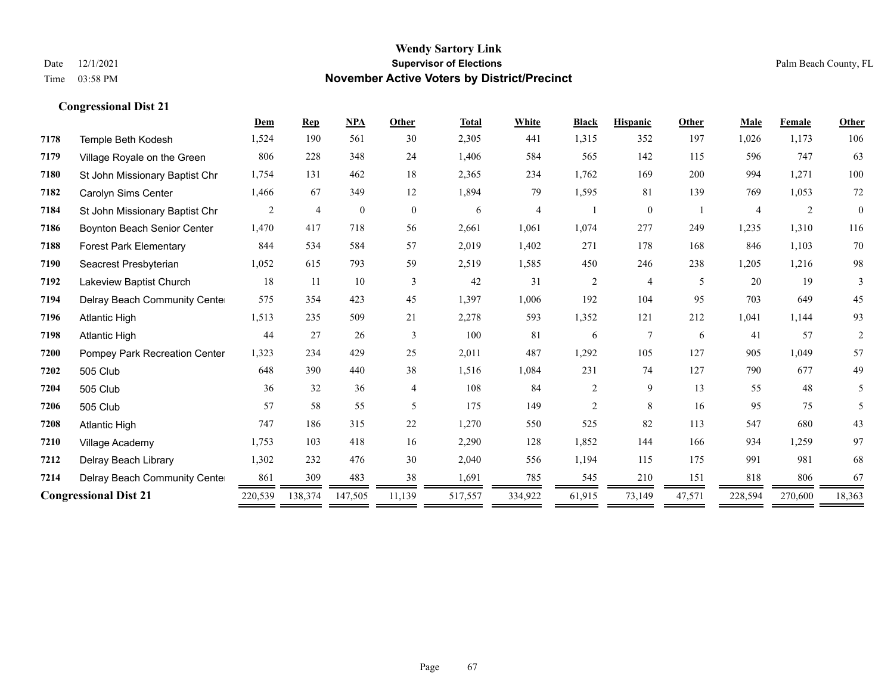|      |                                | Dem     | <b>Rep</b>     | <b>NPA</b>   | Other          | <b>Total</b> | White   | <b>Black</b>   | <b>Hispanic</b> | Other  | <b>Male</b> | Female  | Other        |
|------|--------------------------------|---------|----------------|--------------|----------------|--------------|---------|----------------|-----------------|--------|-------------|---------|--------------|
| 7178 | Temple Beth Kodesh             | 1,524   | 190            | 561          | 30             | 2,305        | 441     | 1,315          | 352             | 197    | 1,026       | 1,173   | 106          |
| 7179 | Village Royale on the Green    | 806     | 228            | 348          | 24             | 1,406        | 584     | 565            | 142             | 115    | 596         | 747     | 63           |
| 7180 | St John Missionary Baptist Chr | 1,754   | 131            | 462          | 18             | 2,365        | 234     | 1,762          | 169             | 200    | 994         | 1,271   | 100          |
| 7182 | Carolyn Sims Center            | 1,466   | 67             | 349          | 12             | 1,894        | 79      | 1,595          | 81              | 139    | 769         | 1,053   | 72           |
| 7184 | St John Missionary Baptist Chr | 2       | $\overline{4}$ | $\mathbf{0}$ | $\overline{0}$ | 6            | 4       |                | $\mathbf{0}$    |        |             | 2       | $\mathbf{0}$ |
| 7186 | Boynton Beach Senior Center    | 1,470   | 417            | 718          | 56             | 2,661        | 1,061   | 1,074          | 277             | 249    | 1,235       | 1,310   | 116          |
| 7188 | <b>Forest Park Elementary</b>  | 844     | 534            | 584          | 57             | 2,019        | 1,402   | 271            | 178             | 168    | 846         | 1,103   | 70           |
| 7190 | Seacrest Presbyterian          | 1,052   | 615            | 793          | 59             | 2,519        | 1,585   | 450            | 246             | 238    | 1,205       | 1,216   | 98           |
| 7192 | Lakeview Baptist Church        | 18      | 11             | 10           | 3              | 42           | 31      | $\overline{c}$ | 4               | 5      | 20          | 19      | 3            |
| 7194 | Delray Beach Community Cente   | 575     | 354            | 423          | 45             | 1,397        | 1,006   | 192            | 104             | 95     | 703         | 649     | 45           |
| 7196 | <b>Atlantic High</b>           | 1,513   | 235            | 509          | 21             | 2,278        | 593     | 1,352          | 121             | 212    | 1,041       | 1,144   | 93           |
| 7198 | <b>Atlantic High</b>           | 44      | 27             | 26           | 3              | 100          | 81      | 6              | $\tau$          | 6      | 41          | 57      | 2            |
| 7200 | Pompey Park Recreation Center  | 1,323   | 234            | 429          | 25             | 2,011        | 487     | 1,292          | 105             | 127    | 905         | 1,049   | 57           |
| 7202 | 505 Club                       | 648     | 390            | 440          | 38             | 1,516        | 1,084   | 231            | 74              | 127    | 790         | 677     | 49           |
| 7204 | 505 Club                       | 36      | 32             | 36           | $\overline{4}$ | 108          | 84      | $\overline{c}$ | 9               | 13     | 55          | 48      | 5            |
| 7206 | 505 Club                       | 57      | 58             | 55           | 5              | 175          | 149     | $\overline{c}$ | 8               | 16     | 95          | 75      | 5            |
| 7208 | <b>Atlantic High</b>           | 747     | 186            | 315          | 22             | 1,270        | 550     | 525            | 82              | 113    | 547         | 680     | 43           |
| 7210 | Village Academy                | 1,753   | 103            | 418          | 16             | 2,290        | 128     | 1,852          | 144             | 166    | 934         | 1,259   | 97           |
| 7212 | Delray Beach Library           | 1,302   | 232            | 476          | 30             | 2,040        | 556     | 1,194          | 115             | 175    | 991         | 981     | 68           |
| 7214 | Delray Beach Community Cente   | 861     | 309            | 483          | 38             | 1,691        | 785     | 545            | 210             | 151    | 818         | 806     | 67           |
|      | <b>Congressional Dist 21</b>   | 220,539 | 138,374        | 147,505      | 11,139         | 517,557      | 334,922 | 61,915         | 73,149          | 47,571 | 228,594     | 270,600 | 18,363       |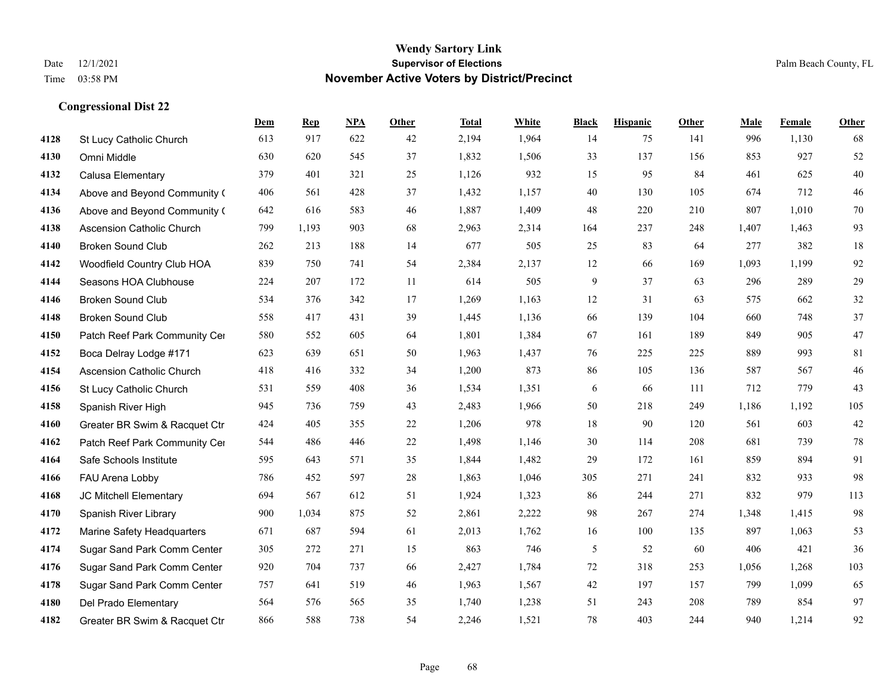|      |                                  | Dem | <b>Rep</b> | NPA | <b>Other</b> | <b>Total</b> | White | <b>Black</b> | <b>Hispanic</b> | <b>Other</b> | <b>Male</b> | Female | <b>Other</b> |
|------|----------------------------------|-----|------------|-----|--------------|--------------|-------|--------------|-----------------|--------------|-------------|--------|--------------|
| 4128 | St Lucy Catholic Church          | 613 | 917        | 622 | 42           | 2,194        | 1,964 | 14           | 75              | 141          | 996         | 1,130  | 68           |
| 4130 | Omni Middle                      | 630 | 620        | 545 | 37           | 1,832        | 1,506 | 33           | 137             | 156          | 853         | 927    | 52           |
| 4132 | Calusa Elementary                | 379 | 401        | 321 | 25           | 1,126        | 932   | 15           | 95              | 84           | 461         | 625    | $40\,$       |
| 4134 | Above and Beyond Community (     | 406 | 561        | 428 | 37           | 1,432        | 1,157 | 40           | 130             | 105          | 674         | 712    | 46           |
| 4136 | Above and Beyond Community (     | 642 | 616        | 583 | 46           | 1,887        | 1,409 | 48           | 220             | 210          | 807         | 1.010  | $70\,$       |
| 4138 | <b>Ascension Catholic Church</b> | 799 | 1,193      | 903 | 68           | 2,963        | 2,314 | 164          | 237             | 248          | 1,407       | 1,463  | 93           |
| 4140 | <b>Broken Sound Club</b>         | 262 | 213        | 188 | 14           | 677          | 505   | 25           | 83              | 64           | 277         | 382    | 18           |
| 4142 | Woodfield Country Club HOA       | 839 | 750        | 741 | 54           | 2,384        | 2,137 | 12           | 66              | 169          | 1,093       | 1.199  | 92           |
| 4144 | Seasons HOA Clubhouse            | 224 | 207        | 172 | 11           | 614          | 505   | 9            | 37              | 63           | 296         | 289    | 29           |
| 4146 | <b>Broken Sound Club</b>         | 534 | 376        | 342 | 17           | 1,269        | 1,163 | 12           | 31              | 63           | 575         | 662    | 32           |
| 4148 | <b>Broken Sound Club</b>         | 558 | 417        | 431 | 39           | 1,445        | 1,136 | 66           | 139             | 104          | 660         | 748    | 37           |
| 4150 | Patch Reef Park Community Cer    | 580 | 552        | 605 | 64           | 1,801        | 1,384 | 67           | 161             | 189          | 849         | 905    | 47           |
| 4152 | Boca Delray Lodge #171           | 623 | 639        | 651 | 50           | 1,963        | 1,437 | 76           | 225             | 225          | 889         | 993    | 81           |
| 4154 | Ascension Catholic Church        | 418 | 416        | 332 | 34           | 1,200        | 873   | 86           | 105             | 136          | 587         | 567    | 46           |
| 4156 | St Lucy Catholic Church          | 531 | 559        | 408 | 36           | 1,534        | 1,351 | 6            | 66              | 111          | 712         | 779    | 43           |
| 4158 | Spanish River High               | 945 | 736        | 759 | 43           | 2,483        | 1,966 | 50           | 218             | 249          | 1,186       | 1,192  | 105          |
| 4160 | Greater BR Swim & Racquet Ctr    | 424 | 405        | 355 | $22\,$       | 1,206        | 978   | $18\,$       | 90              | 120          | 561         | 603    | $42\,$       |
| 4162 | Patch Reef Park Community Cer    | 544 | 486        | 446 | 22           | 1,498        | 1,146 | 30           | 114             | 208          | 681         | 739    | 78           |
| 4164 | Safe Schools Institute           | 595 | 643        | 571 | 35           | 1,844        | 1,482 | 29           | 172             | 161          | 859         | 894    | 91           |
| 4166 | FAU Arena Lobby                  | 786 | 452        | 597 | 28           | 1,863        | 1,046 | 305          | 271             | 241          | 832         | 933    | 98           |
| 4168 | JC Mitchell Elementary           | 694 | 567        | 612 | 51           | 1,924        | 1,323 | 86           | 244             | 271          | 832         | 979    | 113          |
| 4170 | Spanish River Library            | 900 | 1,034      | 875 | 52           | 2,861        | 2,222 | 98           | 267             | 274          | 1,348       | 1,415  | 98           |
| 4172 | Marine Safety Headquarters       | 671 | 687        | 594 | 61           | 2,013        | 1,762 | 16           | 100             | 135          | 897         | 1,063  | 53           |
| 4174 | Sugar Sand Park Comm Center      | 305 | 272        | 271 | 15           | 863          | 746   | 5            | 52              | 60           | 406         | 421    | 36           |
| 4176 | Sugar Sand Park Comm Center      | 920 | 704        | 737 | 66           | 2,427        | 1,784 | 72           | 318             | 253          | 1,056       | 1,268  | 103          |
| 4178 | Sugar Sand Park Comm Center      | 757 | 641        | 519 | 46           | 1,963        | 1,567 | 42           | 197             | 157          | 799         | 1,099  | 65           |
| 4180 | Del Prado Elementary             | 564 | 576        | 565 | 35           | 1,740        | 1,238 | 51           | 243             | 208          | 789         | 854    | 97           |
| 4182 | Greater BR Swim & Racquet Ctr    | 866 | 588        | 738 | 54           | 2,246        | 1,521 | 78           | 403             | 244          | 940         | 1,214  | 92           |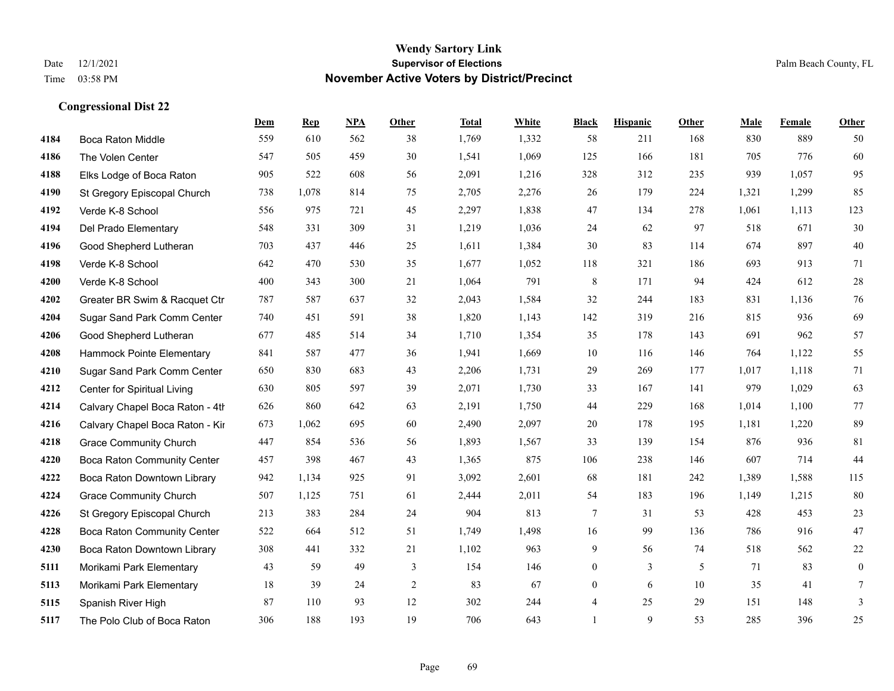|      |                                    | Dem | <b>Rep</b> | NPA | <b>Other</b>   | <b>Total</b> | <b>White</b> | <b>Black</b>   | <b>Hispanic</b> | <b>Other</b> | <b>Male</b> | <b>Female</b> | <b>Other</b> |
|------|------------------------------------|-----|------------|-----|----------------|--------------|--------------|----------------|-----------------|--------------|-------------|---------------|--------------|
| 4184 | Boca Raton Middle                  | 559 | 610        | 562 | 38             | 1,769        | 1,332        | 58             | 211             | 168          | 830         | 889           | 50           |
| 4186 | The Volen Center                   | 547 | 505        | 459 | 30             | 1,541        | 1,069        | 125            | 166             | 181          | 705         | 776           | 60           |
| 4188 | Elks Lodge of Boca Raton           | 905 | 522        | 608 | 56             | 2,091        | 1,216        | 328            | 312             | 235          | 939         | 1,057         | 95           |
| 4190 | St Gregory Episcopal Church        | 738 | 1,078      | 814 | 75             | 2,705        | 2,276        | 26             | 179             | 224          | 1,321       | 1,299         | 85           |
| 4192 | Verde K-8 School                   | 556 | 975        | 721 | 45             | 2,297        | 1,838        | 47             | 134             | 278          | 1,061       | 1,113         | 123          |
| 4194 | Del Prado Elementary               | 548 | 331        | 309 | 31             | 1,219        | 1,036        | 24             | 62              | 97           | 518         | 671           | 30           |
| 4196 | Good Shepherd Lutheran             | 703 | 437        | 446 | 25             | 1,611        | 1,384        | 30             | 83              | 114          | 674         | 897           | $40\,$       |
| 4198 | Verde K-8 School                   | 642 | 470        | 530 | 35             | 1,677        | 1,052        | 118            | 321             | 186          | 693         | 913           | 71           |
| 4200 | Verde K-8 School                   | 400 | 343        | 300 | 21             | 1,064        | 791          | $\,$ 8 $\,$    | 171             | 94           | 424         | 612           | 28           |
| 4202 | Greater BR Swim & Racquet Ctr      | 787 | 587        | 637 | 32             | 2,043        | 1,584        | 32             | 244             | 183          | 831         | 1,136         | 76           |
| 4204 | Sugar Sand Park Comm Center        | 740 | 451        | 591 | 38             | 1,820        | 1,143        | 142            | 319             | 216          | 815         | 936           | 69           |
| 4206 | Good Shepherd Lutheran             | 677 | 485        | 514 | 34             | 1,710        | 1,354        | 35             | 178             | 143          | 691         | 962           | 57           |
| 4208 | Hammock Pointe Elementary          | 841 | 587        | 477 | 36             | 1,941        | 1,669        | 10             | 116             | 146          | 764         | 1,122         | 55           |
| 4210 | Sugar Sand Park Comm Center        | 650 | 830        | 683 | 43             | 2,206        | 1,731        | 29             | 269             | 177          | 1,017       | 1,118         | 71           |
| 4212 | Center for Spiritual Living        | 630 | 805        | 597 | 39             | 2,071        | 1,730        | 33             | 167             | 141          | 979         | 1,029         | 63           |
| 4214 | Calvary Chapel Boca Raton - 4th    | 626 | 860        | 642 | 63             | 2,191        | 1,750        | 44             | 229             | 168          | 1,014       | 1,100         | 77           |
| 4216 | Calvary Chapel Boca Raton - Kir    | 673 | 1,062      | 695 | 60             | 2,490        | 2,097        | 20             | 178             | 195          | 1,181       | 1,220         | 89           |
| 4218 | <b>Grace Community Church</b>      | 447 | 854        | 536 | 56             | 1,893        | 1,567        | 33             | 139             | 154          | 876         | 936           | 81           |
| 4220 | <b>Boca Raton Community Center</b> | 457 | 398        | 467 | 43             | 1,365        | 875          | 106            | 238             | 146          | 607         | 714           | 44           |
| 4222 | Boca Raton Downtown Library        | 942 | 1,134      | 925 | 91             | 3,092        | 2,601        | 68             | 181             | 242          | 1,389       | 1,588         | 115          |
| 4224 | <b>Grace Community Church</b>      | 507 | 1,125      | 751 | 61             | 2,444        | 2,011        | 54             | 183             | 196          | 1,149       | 1,215         | 80           |
| 4226 | St Gregory Episcopal Church        | 213 | 383        | 284 | 24             | 904          | 813          | $\tau$         | 31              | 53           | 428         | 453           | $23\,$       |
| 4228 | Boca Raton Community Center        | 522 | 664        | 512 | 51             | 1,749        | 1,498        | 16             | 99              | 136          | 786         | 916           | 47           |
| 4230 | Boca Raton Downtown Library        | 308 | 441        | 332 | 21             | 1,102        | 963          | 9              | 56              | 74           | 518         | 562           | $22\,$       |
| 5111 | Morikami Park Elementary           | 43  | 59         | 49  | 3              | 154          | 146          | $\overline{0}$ | $\overline{3}$  | 5            | 71          | 83            | $\mathbf{0}$ |
| 5113 | Morikami Park Elementary           | 18  | 39         | 24  | $\overline{c}$ | 83           | 67           | $\overline{0}$ | 6               | 10           | 35          | 41            | 7            |
| 5115 | Spanish River High                 | 87  | 110        | 93  | 12             | 302          | 244          | 4              | 25              | 29           | 151         | 148           | 3            |
| 5117 | The Polo Club of Boca Raton        | 306 | 188        | 193 | 19             | 706          | 643          | $\mathbf{1}$   | 9               | 53           | 285         | 396           | 25           |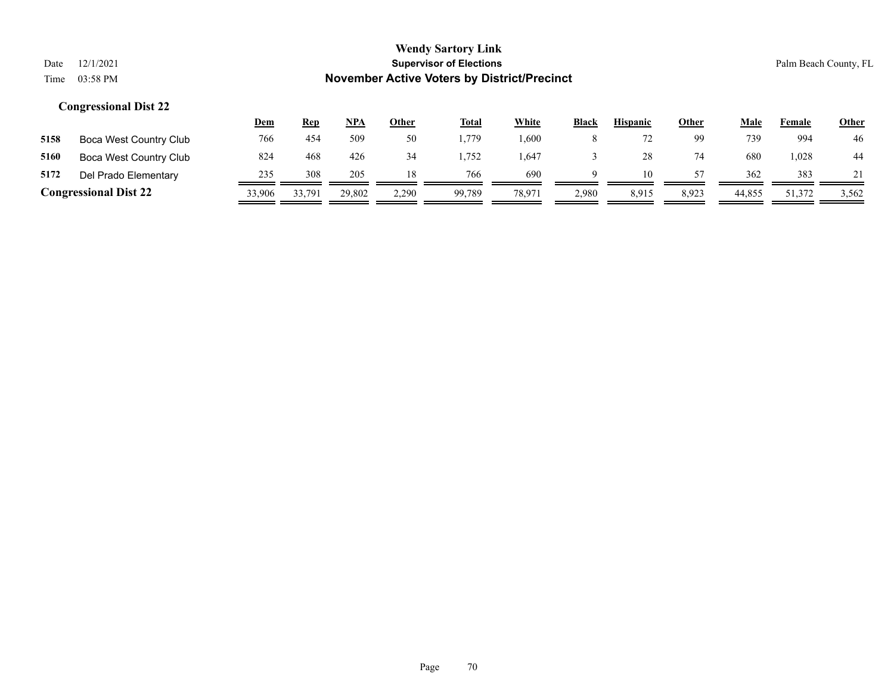|      |                                                                      |            |            |            |              | <b>WEILLY SALTOLY LITTK</b> |       |              |                 |       |      |        |              |
|------|----------------------------------------------------------------------|------------|------------|------------|--------------|-----------------------------|-------|--------------|-----------------|-------|------|--------|--------------|
| Date | 12/1/2021<br><b>Supervisor of Elections</b><br>Palm Beach County, FL |            |            |            |              |                             |       |              |                 |       |      |        |              |
| Time | <b>November Active Voters by District/Precinct</b><br>03:58 PM       |            |            |            |              |                             |       |              |                 |       |      |        |              |
|      | <b>Congressional Dist 22</b>                                         |            |            |            |              |                             |       |              |                 |       |      |        |              |
|      |                                                                      | <u>Dem</u> | <b>Rep</b> | <u>NPA</u> | <b>Other</b> | <b>Total</b>                | White | <b>Black</b> | <b>Hispanic</b> | Other | Male | Female | <b>Other</b> |
| 5158 | Boca West Country Club                                               | 766        | 454        | 509        | 50           | 1,779                       | 1,600 | 8            | 72              | 99    | 739  | 994    | 46           |

| 5172 | Del Prado Elementary         | 234    | 308    | 205    |       | 766    | 690   |       | ш     | $ -$           | 362    | 383   |       |
|------|------------------------------|--------|--------|--------|-------|--------|-------|-------|-------|----------------|--------|-------|-------|
|      | <b>Congressional Dist 22</b> | 33.906 | 33.791 | 29,802 | 2.290 | 99.789 | 78.97 | 2.980 | 8.915 | $8,92^{\circ}$ | 44,855 | 1.372 | 3,562 |

# **5160** Boca West Country Club 824 468 426 34 1,752 1,647 3 28 74 680 1,028 44

# **Wendy Sartory Link**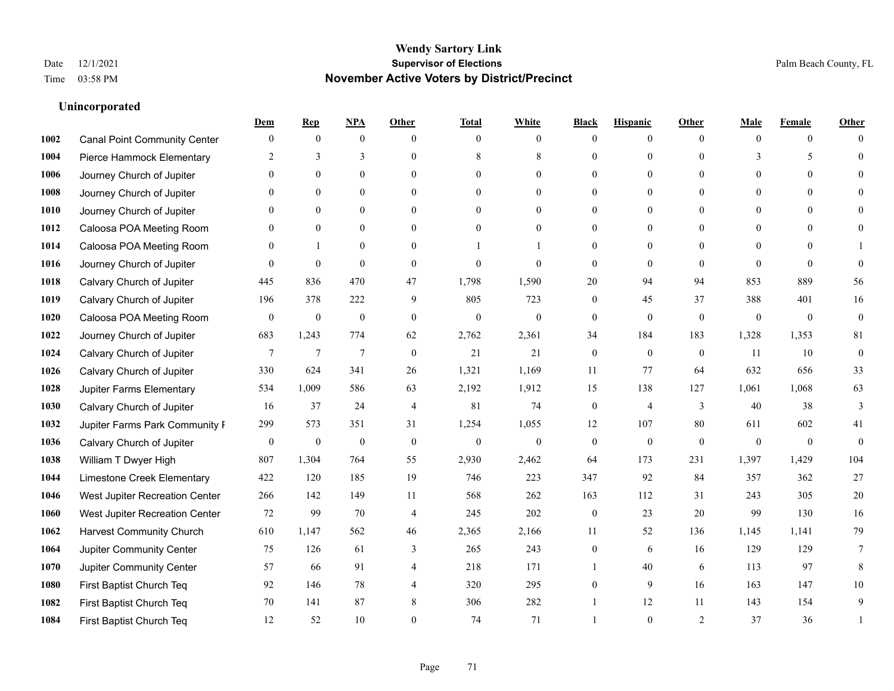#### **Unincorporated**

|      |                                     | Dem              | <b>Rep</b>       | NPA            | <b>Other</b>   | <b>Total</b> | <b>White</b>     | <b>Black</b>     | <b>Hispanic</b>  | <b>Other</b> | <b>Male</b>    | <b>Female</b>  | <b>Other</b>     |
|------|-------------------------------------|------------------|------------------|----------------|----------------|--------------|------------------|------------------|------------------|--------------|----------------|----------------|------------------|
| 1002 | <b>Canal Point Community Center</b> | $\mathbf{0}$     | $\mathbf{0}$     | $\mathbf{0}$   | $\theta$       | $\theta$     | $\overline{0}$   | $\Omega$         | $\overline{0}$   | $\theta$     | $\theta$       | $\overline{0}$ | $\Omega$         |
| 1004 | Pierce Hammock Elementary           | 2                | 3                | 3              | $\theta$       | 8            | 8                | $\theta$         | $\overline{0}$   | $\Omega$     | 3              | 5              | $\theta$         |
| 1006 | Journey Church of Jupiter           | $\Omega$         | $\theta$         | $\theta$       | $\Omega$       | $\Omega$     | $\theta$         | $\Omega$         | $\Omega$         | $\Omega$     | $\theta$       | $\Omega$       | $\Omega$         |
| 1008 | Journey Church of Jupiter           |                  | $\mathbf{0}$     | $\overline{0}$ | $\mathbf{0}$   | $\mathbf{0}$ | $\overline{0}$   | $\theta$         | $\boldsymbol{0}$ | $\theta$     | $\overline{0}$ | $\overline{0}$ |                  |
| 1010 | Journey Church of Jupiter           | $\Omega$         | $\mathbf{0}$     | $\mathbf{0}$   | $\theta$       | $\theta$     | $\overline{0}$   | 0                | $\overline{0}$   | $\theta$     | $\theta$       | $\theta$       | $\Omega$         |
| 1012 | Caloosa POA Meeting Room            | 0                | $\mathbf{0}$     | $\mathbf{0}$   | $\theta$       | $\theta$     | $\overline{0}$   | $\theta$         | $\overline{0}$   | $\Omega$     | $\mathbf{0}$   | $\theta$       |                  |
| 1014 | Caloosa POA Meeting Room            | $\Omega$         | $\mathbf{1}$     | $\mathbf{0}$   | $\theta$       |              |                  | $\theta$         | $\overline{0}$   | $\Omega$     | $\Omega$       | $\Omega$       |                  |
| 1016 | Journey Church of Jupiter           | $\Omega$         | $\mathbf{0}$     | $\mathbf{0}$   | $\theta$       | $\mathbf{0}$ | $\theta$         | $\mathbf{0}$     | $\mathbf{0}$     | $\theta$     | $\theta$       | $\Omega$       | $\theta$         |
| 1018 | Calvary Church of Jupiter           | 445              | 836              | 470            | 47             | 1,798        | 1,590            | 20               | 94               | 94           | 853            | 889            | 56               |
| 1019 | Calvary Church of Jupiter           | 196              | 378              | 222            | 9              | 805          | 723              | $\mathbf{0}$     | 45               | 37           | 388            | 401            | 16               |
| 1020 | Caloosa POA Meeting Room            | $\mathbf{0}$     | $\boldsymbol{0}$ | $\mathbf{0}$   | $\theta$       | $\mathbf{0}$ | $\overline{0}$   | $\mathbf{0}$     | $\mathbf{0}$     | $\theta$     | $\theta$       | $\theta$       | $\mathbf{0}$     |
| 1022 | Journey Church of Jupiter           | 683              | 1,243            | 774            | 62             | 2,762        | 2,361            | 34               | 184              | 183          | 1,328          | 1,353          | $81\,$           |
| 1024 | Calvary Church of Jupiter           | 7                | $\overline{7}$   | $\overline{7}$ | $\mathbf{0}$   | 21           | 21               | $\boldsymbol{0}$ | $\overline{0}$   | $\mathbf{0}$ | 11             | 10             | $\boldsymbol{0}$ |
| 1026 | Calvary Church of Jupiter           | 330              | 624              | 341            | 26             | 1,321        | 1,169            | 11               | 77               | 64           | 632            | 656            | 33               |
| 1028 | <b>Jupiter Farms Elementary</b>     | 534              | 1,009            | 586            | 63             | 2,192        | 1,912            | 15               | 138              | 127          | 1,061          | 1,068          | 63               |
| 1030 | Calvary Church of Jupiter           | 16               | 37               | 24             | $\overline{4}$ | 81           | 74               | $\boldsymbol{0}$ | 4                | 3            | 40             | 38             | 3                |
| 1032 | Jupiter Farms Park Community I      | 299              | 573              | 351            | 31             | 1,254        | 1,055            | 12               | 107              | 80           | 611            | 602            | 41               |
| 1036 | Calvary Church of Jupiter           | $\boldsymbol{0}$ | $\boldsymbol{0}$ | $\mathbf{0}$   | $\theta$       | $\mathbf{0}$ | $\boldsymbol{0}$ | $\boldsymbol{0}$ | $\boldsymbol{0}$ | $\mathbf{0}$ | $\theta$       | $\mathbf{0}$   | $\mathbf{0}$     |
| 1038 | William T Dwyer High                | 807              | 1,304            | 764            | 55             | 2,930        | 2,462            | 64               | 173              | 231          | 1,397          | 1,429          | 104              |
| 1044 | Limestone Creek Elementary          | 422              | 120              | 185            | 19             | 746          | 223              | 347              | 92               | 84           | 357            | 362            | 27               |
| 1046 | West Jupiter Recreation Center      | 266              | 142              | 149            | 11             | 568          | 262              | 163              | 112              | 31           | 243            | 305            | $20\,$           |
| 1060 | West Jupiter Recreation Center      | 72               | 99               | 70             | $\overline{4}$ | 245          | 202              | $\boldsymbol{0}$ | 23               | 20           | 99             | 130            | 16               |
| 1062 | <b>Harvest Community Church</b>     | 610              | 1,147            | 562            | 46             | 2,365        | 2,166            | 11               | 52               | 136          | 1,145          | 1,141          | 79               |
| 1064 | Jupiter Community Center            | 75               | 126              | 61             | 3              | 265          | 243              | $\overline{0}$   | 6                | 16           | 129            | 129            | $\tau$           |
| 1070 | Jupiter Community Center            | 57               | 66               | 91             | $\overline{4}$ | 218          | 171              | 1                | 40               | 6            | 113            | 97             | 8                |
| 1080 | First Baptist Church Teq            | 92               | 146              | 78             | $\overline{4}$ | 320          | 295              | $\overline{0}$   | 9                | 16           | 163            | 147            | 10               |
| 1082 | First Baptist Church Teq            | 70               | 141              | 87             | 8              | 306          | 282              |                  | 12               | 11           | 143            | 154            | 9                |
| 1084 | First Baptist Church Teq            | 12               | 52               | 10             | $\Omega$       | 74           | 71               |                  | $\theta$         | 2            | 37             | 36             | 1                |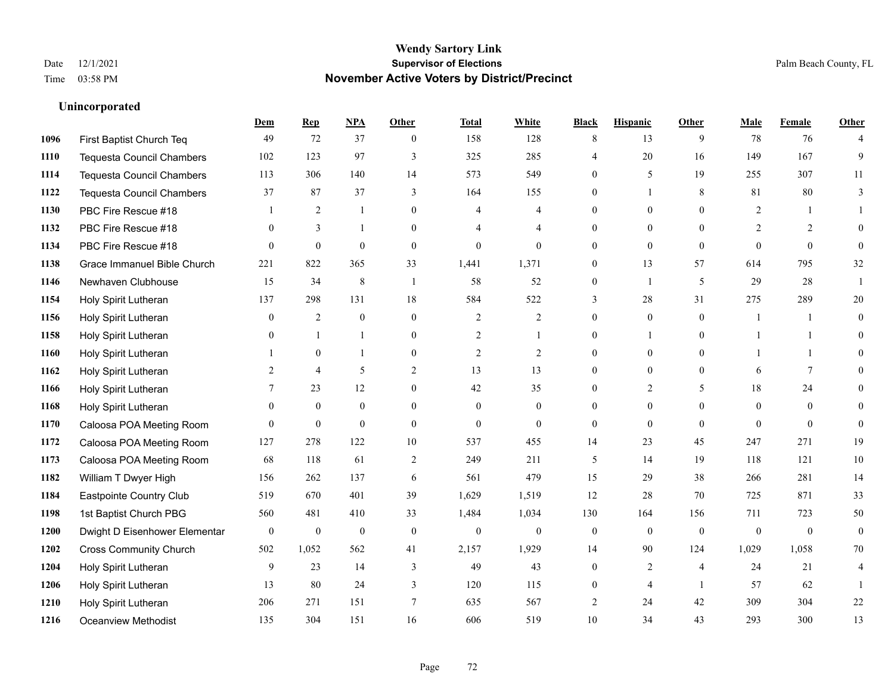#### **Unincorporated**

|      |                                  | Dem              | <b>Rep</b>       | NPA              | <b>Other</b>   | <b>Total</b>   | <b>White</b>     | <b>Black</b>     | <b>Hispanic</b> | <b>Other</b>   | <b>Male</b>    | <b>Female</b> | <b>Other</b>     |
|------|----------------------------------|------------------|------------------|------------------|----------------|----------------|------------------|------------------|-----------------|----------------|----------------|---------------|------------------|
| 1096 | First Baptist Church Teq         | 49               | 72               | 37               | $\theta$       | 158            | 128              | 8                | 13              | 9              | 78             | 76            | 4                |
| 1110 | <b>Tequesta Council Chambers</b> | 102              | 123              | 97               | 3              | 325            | 285              | 4                | 20              | 16             | 149            | 167           | 9                |
| 1114 | <b>Tequesta Council Chambers</b> | 113              | 306              | 140              | 14             | 573            | 549              | $\theta$         | 5               | 19             | 255            | 307           | 11               |
| 1122 | Tequesta Council Chambers        | 37               | 87               | 37               | 3              | 164            | 155              | 0                | 1               | 8              | 81             | 80            | 3                |
| 1130 | PBC Fire Rescue #18              |                  | 2                | 1                | $\theta$       | $\overline{4}$ | $\overline{4}$   | $\overline{0}$   | $\theta$        | $\theta$       | 2              |               |                  |
| 1132 | PBC Fire Rescue #18              | $\mathbf{0}$     | 3                | $\mathbf{1}$     | $\Omega$       | $\overline{4}$ | $\overline{4}$   | $\overline{0}$   | $\theta$        | $\Omega$       | 2              | 2             | $\theta$         |
| 1134 | PBC Fire Rescue #18              | $\theta$         | $\boldsymbol{0}$ | $\mathbf{0}$     | $\overline{0}$ | $\mathbf{0}$   | $\overline{0}$   | $\boldsymbol{0}$ | $\mathbf{0}$    | $\mathbf{0}$   | $\overline{0}$ | $\mathbf{0}$  | $\mathbf{0}$     |
| 1138 | Grace Immanuel Bible Church      | 221              | 822              | 365              | 33             | 1,441          | 1,371            | $\mathbf{0}$     | 13              | 57             | 614            | 795           | 32               |
| 1146 | Newhaven Clubhouse               | 15               | 34               | $\,$ 8 $\,$      | -1             | 58             | 52               | $\boldsymbol{0}$ | 1               | 5              | 29             | 28            |                  |
| 1154 | Holy Spirit Lutheran             | 137              | 298              | 131              | 18             | 584            | 522              | 3                | 28              | 31             | 275            | 289           | 20               |
| 1156 | Holy Spirit Lutheran             | $\overline{0}$   | 2                | $\mathbf{0}$     | $\theta$       | 2              | $\overline{c}$   | $\mathbf{0}$     | $\mathbf{0}$    | $\theta$       | $\mathbf{1}$   | 1             | $\mathbf{0}$     |
| 1158 | Holy Spirit Lutheran             | $\theta$         | $\mathbf{1}$     | $\mathbf{1}$     | $\overline{0}$ | $\overline{2}$ | 1                | $\theta$         | $\mathbf{1}$    | $\theta$       | 1              | $\mathbf{1}$  | $\theta$         |
| 1160 | Holy Spirit Lutheran             |                  | $\mathbf{0}$     | 1                | $\theta$       | $\overline{2}$ | $\overline{2}$   | $\Omega$         | $\mathbf{0}$    | $\Omega$       |                | 1             | $\theta$         |
| 1162 | Holy Spirit Lutheran             | 2                | $\overline{4}$   | 5                | $\overline{c}$ | 13             | 13               | $\boldsymbol{0}$ | $\mathbf{0}$    | $\mathbf{0}$   | 6              | 7             | $\theta$         |
| 1166 | Holy Spirit Lutheran             | 7                | 23               | 12               | $\overline{0}$ | 42             | 35               | $\overline{0}$   | 2               | 5              | 18             | 24            | $\overline{0}$   |
| 1168 | Holy Spirit Lutheran             | $\theta$         | $\mathbf{0}$     | $\mathbf{0}$     | $\Omega$       | $\Omega$       | $\overline{0}$   | $\theta$         | $\mathbf{0}$    | $\Omega$       | $\theta$       | $\theta$      | $\theta$         |
| 1170 | Caloosa POA Meeting Room         | $\theta$         | $\mathbf{0}$     | $\mathbf{0}$     | $\theta$       | $\theta$       | $\theta$         | $\mathbf{0}$     | $\theta$        | $\theta$       | $\theta$       | $\theta$      | $\theta$         |
| 1172 | Caloosa POA Meeting Room         | 127              | 278              | 122              | 10             | 537            | 455              | 14               | 23              | 45             | 247            | 271           | 19               |
| 1173 | Caloosa POA Meeting Room         | 68               | 118              | 61               | $\overline{2}$ | 249            | 211              | 5                | 14              | 19             | 118            | 121           | $10\,$           |
| 1182 | William T Dwyer High             | 156              | 262              | 137              | 6              | 561            | 479              | 15               | 29              | 38             | 266            | 281           | 14               |
| 1184 | Eastpointe Country Club          | 519              | 670              | 401              | 39             | 1,629          | 1,519            | 12               | 28              | 70             | 725            | 871           | 33               |
| 1198 | 1st Baptist Church PBG           | 560              | 481              | 410              | 33             | 1,484          | 1,034            | 130              | 164             | 156            | 711            | 723           | 50               |
| 1200 | Dwight D Eisenhower Elementar    | $\boldsymbol{0}$ | $\boldsymbol{0}$ | $\boldsymbol{0}$ | $\mathbf{0}$   | $\theta$       | $\boldsymbol{0}$ | $\boldsymbol{0}$ | $\mathbf{0}$    | $\overline{0}$ | $\mathbf{0}$   | $\mathbf{0}$  | $\boldsymbol{0}$ |
| 1202 | <b>Cross Community Church</b>    | 502              | 1,052            | 562              | 41             | 2,157          | 1,929            | 14               | 90              | 124            | 1,029          | 1,058         | 70               |
| 1204 | Holy Spirit Lutheran             | 9                | 23               | 14               | 3              | 49             | 43               | $\boldsymbol{0}$ | $\sqrt{2}$      | $\overline{4}$ | 24             | 21            | 4                |
| 1206 | Holy Spirit Lutheran             | 13               | 80               | 24               | 3              | 120            | 115              | $\mathbf{0}$     | $\overline{4}$  | $\overline{1}$ | 57             | 62            | 1                |
| 1210 | Holy Spirit Lutheran             | 206              | 271              | 151              | 7              | 635            | 567              | 2                | 24              | 42             | 309            | 304           | $22\,$           |
| 1216 | Oceanview Methodist              | 135              | 304              | 151              | 16             | 606            | 519              | 10               | 34              | 43             | 293            | 300           | 13               |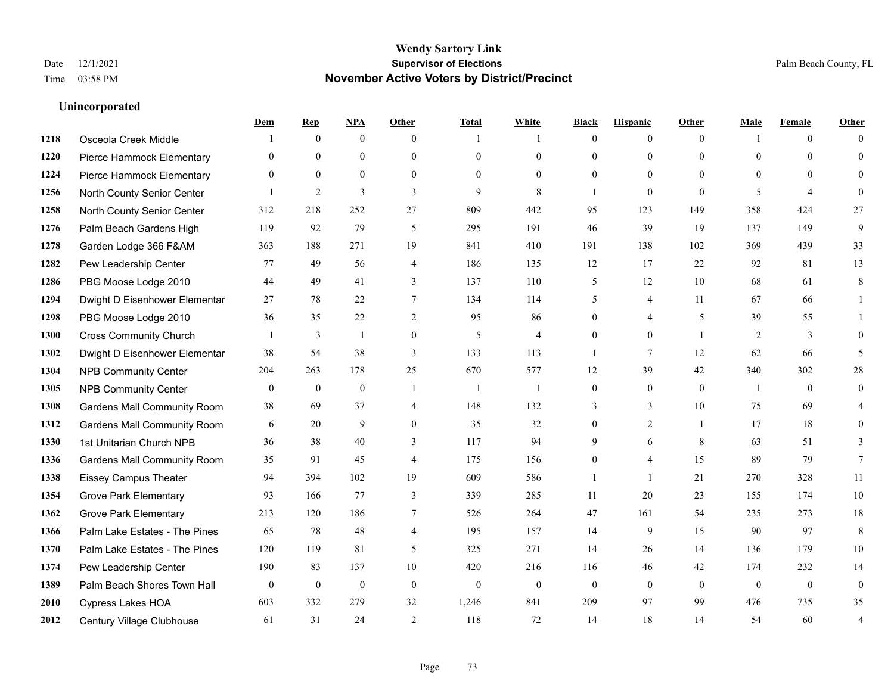|      |                                    | Dem          | <b>Rep</b>       | NPA              | <b>Other</b>     | <b>Total</b>   | <b>White</b>   | <b>Black</b>     | <b>Hispanic</b> | <b>Other</b>   | <b>Male</b>    | <b>Female</b>  | <b>Other</b>     |
|------|------------------------------------|--------------|------------------|------------------|------------------|----------------|----------------|------------------|-----------------|----------------|----------------|----------------|------------------|
| 1218 | Osceola Creek Middle               |              | $\mathbf{0}$     | $\boldsymbol{0}$ | $\theta$         | 1              | 1              | $\mathbf{0}$     | $\overline{0}$  | $\theta$       | $\mathbf{1}$   | $\overline{0}$ | $\Omega$         |
| 1220 | Pierce Hammock Elementary          | $\theta$     | $\mathbf{0}$     | $\mathbf{0}$     | $\theta$         | $\theta$       | $\overline{0}$ | $\theta$         | $\mathbf{0}$    | $\Omega$       | $\theta$       | $\theta$       | $\theta$         |
| 1224 | Pierce Hammock Elementary          | $\Omega$     | $\theta$         | $\theta$         | $\theta$         | $\Omega$       | $\Omega$       | $\Omega$         | $\theta$        | $\Omega$       | $\Omega$       | $\Omega$       | $\Omega$         |
| 1256 | North County Senior Center         |              | $\overline{2}$   | 3                | 3                | 9              | 8              | $\mathbf{1}$     | $\mathbf{0}$    | $\theta$       | 5              | $\overline{4}$ | $\theta$         |
| 1258 | North County Senior Center         | 312          | 218              | 252              | 27               | 809            | 442            | 95               | 123             | 149            | 358            | 424            | 27               |
| 1276 | Palm Beach Gardens High            | 119          | 92               | 79               | 5                | 295            | 191            | 46               | 39              | 19             | 137            | 149            | 9                |
| 1278 | Garden Lodge 366 F&AM              | 363          | 188              | 271              | 19               | 841            | 410            | 191              | 138             | 102            | 369            | 439            | 33               |
| 1282 | Pew Leadership Center              | 77           | 49               | 56               | $\overline{4}$   | 186            | 135            | 12               | 17              | 22             | 92             | 81             | 13               |
| 1286 | PBG Moose Lodge 2010               | 44           | 49               | 41               | 3                | 137            | 110            | 5                | 12              | 10             | 68             | 61             | 8                |
| 1294 | Dwight D Eisenhower Elementar      | 27           | 78               | 22               | $\tau$           | 134            | 114            | 5                | 4               | 11             | 67             | 66             | 1                |
| 1298 | PBG Moose Lodge 2010               | 36           | 35               | 22               | 2                | 95             | 86             | $\theta$         | $\overline{4}$  | 5              | 39             | 55             | 1                |
| 1300 | <b>Cross Community Church</b>      |              | 3                | $\mathbf{1}$     | $\boldsymbol{0}$ | $\mathfrak{H}$ | $\overline{4}$ | $\mathbf{0}$     | $\mathbf{0}$    | $\overline{1}$ | $\overline{2}$ | $\mathfrak{Z}$ | $\theta$         |
| 1302 | Dwight D Eisenhower Elementar      | 38           | 54               | 38               | 3                | 133            | 113            | $\mathbf{1}$     | $\tau$          | 12             | 62             | 66             | 5                |
| 1304 | <b>NPB Community Center</b>        | 204          | 263              | 178              | 25               | 670            | 577            | 12               | 39              | 42             | 340            | 302            | $28\,$           |
| 1305 | <b>NPB Community Center</b>        | $\mathbf{0}$ | $\mathbf{0}$     | $\mathbf{0}$     | $\mathbf{1}$     | -1             | $\mathbf{1}$   | $\mathbf{0}$     | $\mathbf{0}$    | $\theta$       | -1             | $\theta$       | $\mathbf{0}$     |
| 1308 | <b>Gardens Mall Community Room</b> | 38           | 69               | 37               | $\overline{4}$   | 148            | 132            | 3                | 3               | 10             | 75             | 69             | 4                |
| 1312 | <b>Gardens Mall Community Room</b> | 6            | 20               | 9                | $\overline{0}$   | 35             | 32             | $\boldsymbol{0}$ | $\overline{2}$  | $\overline{1}$ | 17             | 18             | $\theta$         |
| 1330 | 1st Unitarian Church NPB           | 36           | 38               | 40               | 3                | 117            | 94             | 9                | 6               | 8              | 63             | 51             | 3                |
| 1336 | <b>Gardens Mall Community Room</b> | 35           | 91               | 45               | $\overline{4}$   | 175            | 156            | $\mathbf{0}$     | 4               | 15             | 89             | 79             | $7\phantom{.0}$  |
| 1338 | <b>Eissey Campus Theater</b>       | 94           | 394              | 102              | 19               | 609            | 586            | $\mathbf{1}$     | $\mathbf{1}$    | 21             | 270            | 328            | 11               |
| 1354 | <b>Grove Park Elementary</b>       | 93           | 166              | 77               | 3                | 339            | 285            | 11               | 20              | 23             | 155            | 174            | $10\,$           |
| 1362 | <b>Grove Park Elementary</b>       | 213          | 120              | 186              | 7                | 526            | 264            | 47               | 161             | 54             | 235            | 273            | 18               |
| 1366 | Palm Lake Estates - The Pines      | 65           | 78               | 48               | $\overline{4}$   | 195            | 157            | 14               | 9               | 15             | 90             | 97             | 8                |
| 1370 | Palm Lake Estates - The Pines      | 120          | 119              | 81               | 5                | 325            | 271            | 14               | 26              | 14             | 136            | 179            | 10               |
| 1374 | Pew Leadership Center              | 190          | 83               | 137              | 10               | 420            | 216            | 116              | 46              | 42             | 174            | 232            | 14               |
| 1389 | Palm Beach Shores Town Hall        | $\mathbf{0}$ | $\boldsymbol{0}$ | $\mathbf{0}$     | $\mathbf{0}$     | $\mathbf{0}$   | $\mathbf{0}$   | $\mathbf{0}$     | $\mathbf{0}$    | $\theta$       | $\mathbf{0}$   | $\overline{0}$ | $\boldsymbol{0}$ |
| 2010 | Cypress Lakes HOA                  | 603          | 332              | 279              | 32               | 1,246          | 841            | 209              | 97              | 99             | 476            | 735            | 35               |
| 2012 | Century Village Clubhouse          | 61           | 31               | 24               | $\overline{2}$   | 118            | 72             | 14               | 18              | 14             | 54             | 60             | $\overline{4}$   |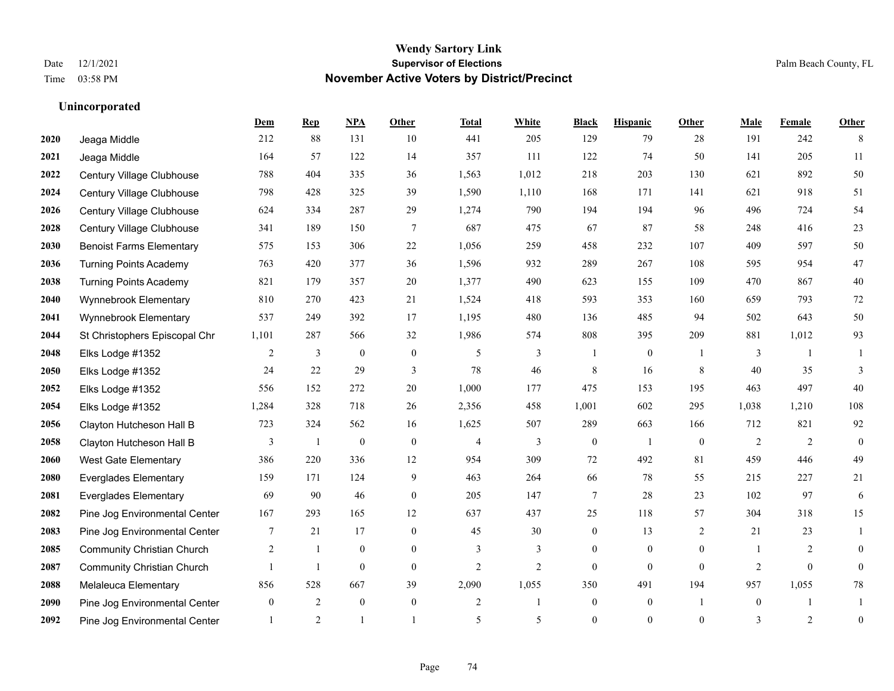|      |                                   | Dem          | <b>Rep</b>   | NPA              | <b>Other</b>   | <b>Total</b>   | <b>White</b>   | <b>Black</b>     | <b>Hispanic</b>  | <b>Other</b>   | <b>Male</b>    | <b>Female</b> | <b>Other</b>     |
|------|-----------------------------------|--------------|--------------|------------------|----------------|----------------|----------------|------------------|------------------|----------------|----------------|---------------|------------------|
| 2020 | Jeaga Middle                      | 212          | 88           | 131              | 10             | 441            | 205            | 129              | 79               | 28             | 191            | 242           | 8                |
| 2021 | Jeaga Middle                      | 164          | 57           | 122              | 14             | 357            | 111            | 122              | 74               | 50             | 141            | 205           | 11               |
| 2022 | Century Village Clubhouse         | 788          | 404          | 335              | 36             | 1,563          | 1,012          | 218              | 203              | 130            | 621            | 892           | 50               |
| 2024 | Century Village Clubhouse         | 798          | 428          | 325              | 39             | 1,590          | 1,110          | 168              | 171              | 141            | 621            | 918           | 51               |
| 2026 | Century Village Clubhouse         | 624          | 334          | 287              | 29             | 1,274          | 790            | 194              | 194              | 96             | 496            | 724           | 54               |
| 2028 | Century Village Clubhouse         | 341          | 189          | 150              | $\tau$         | 687            | 475            | 67               | 87               | 58             | 248            | 416           | $23\,$           |
| 2030 | <b>Benoist Farms Elementary</b>   | 575          | 153          | 306              | 22             | 1,056          | 259            | 458              | 232              | 107            | 409            | 597           | 50               |
| 2036 | <b>Turning Points Academy</b>     | 763          | 420          | 377              | 36             | 1,596          | 932            | 289              | 267              | 108            | 595            | 954           | $47\,$           |
| 2038 | <b>Turning Points Academy</b>     | 821          | 179          | 357              | 20             | 1,377          | 490            | 623              | 155              | 109            | 470            | 867           | $40\,$           |
| 2040 | Wynnebrook Elementary             | 810          | 270          | 423              | 21             | 1,524          | 418            | 593              | 353              | 160            | 659            | 793           | $72\,$           |
| 2041 | Wynnebrook Elementary             | 537          | 249          | 392              | 17             | 1,195          | 480            | 136              | 485              | 94             | 502            | 643           | 50               |
| 2044 | St Christophers Episcopal Chr     | 1,101        | 287          | 566              | 32             | 1,986          | 574            | 808              | 395              | 209            | 881            | 1,012         | 93               |
| 2048 | Elks Lodge #1352                  | 2            | 3            | $\boldsymbol{0}$ | $\mathbf{0}$   | 5              | 3              |                  | $\boldsymbol{0}$ |                | 3              |               |                  |
| 2050 | Elks Lodge #1352                  | 24           | 22           | 29               | 3              | 78             | 46             | 8                | 16               | 8              | 40             | 35            | 3                |
| 2052 | Elks Lodge #1352                  | 556          | 152          | 272              | 20             | 1,000          | 177            | 475              | 153              | 195            | 463            | 497           | 40               |
| 2054 | Elks Lodge #1352                  | 1,284        | 328          | 718              | 26             | 2,356          | 458            | 1,001            | 602              | 295            | 1,038          | 1,210         | 108              |
| 2056 | Clayton Hutcheson Hall B          | 723          | 324          | 562              | 16             | 1,625          | 507            | 289              | 663              | 166            | 712            | 821           | 92               |
| 2058 | Clayton Hutcheson Hall B          | 3            | 1            | $\boldsymbol{0}$ | $\theta$       | $\overline{4}$ | 3              | $\mathbf{0}$     | $\mathbf{1}$     | $\theta$       | 2              | 2             | $\mathbf{0}$     |
| 2060 | <b>West Gate Elementary</b>       | 386          | 220          | 336              | 12             | 954            | 309            | $72\,$           | 492              | 81             | 459            | 446           | 49               |
| 2080 | <b>Everglades Elementary</b>      | 159          | 171          | 124              | 9              | 463            | 264            | 66               | 78               | 55             | 215            | 227           | 21               |
| 2081 | <b>Everglades Elementary</b>      | 69           | 90           | 46               | $\theta$       | 205            | 147            | $\tau$           | 28               | 23             | 102            | 97            | 6                |
| 2082 | Pine Jog Environmental Center     | 167          | 293          | 165              | 12             | 637            | 437            | 25               | 118              | 57             | 304            | 318           | 15               |
| 2083 | Pine Jog Environmental Center     | 7            | 21           | 17               | $\mathbf{0}$   | 45             | 30             | $\boldsymbol{0}$ | 13               | 2              | 21             | 23            | 1                |
| 2085 | <b>Community Christian Church</b> | 2            | 1            | $\mathbf{0}$     | $\overline{0}$ | 3              | 3              | $\overline{0}$   | $\overline{0}$   | $\mathbf{0}$   | $\overline{1}$ | 2             | $\theta$         |
| 2087 | <b>Community Christian Church</b> |              | $\mathbf{1}$ | $\theta$         | $\theta$       | $\overline{2}$ | $\overline{2}$ | $\Omega$         | $\Omega$         | $\theta$       | $\overline{2}$ | $\Omega$      | $\theta$         |
| 2088 | Melaleuca Elementary              | 856          | 528          | 667              | 39             | 2,090          | 1,055          | 350              | 491              | 194            | 957            | 1,055         | $78\,$           |
| 2090 | Pine Jog Environmental Center     | $\mathbf{0}$ | 2            | $\mathbf{0}$     | $\mathbf{0}$   | $\overline{c}$ | 1              | $\boldsymbol{0}$ | $\boldsymbol{0}$ | $\overline{1}$ | $\overline{0}$ |               | -1               |
| 2092 | Pine Jog Environmental Center     |              | 2            |                  |                | 5              | 5              | $\mathbf{0}$     | $\overline{0}$   | $\mathbf{0}$   | 3              | 2             | $\boldsymbol{0}$ |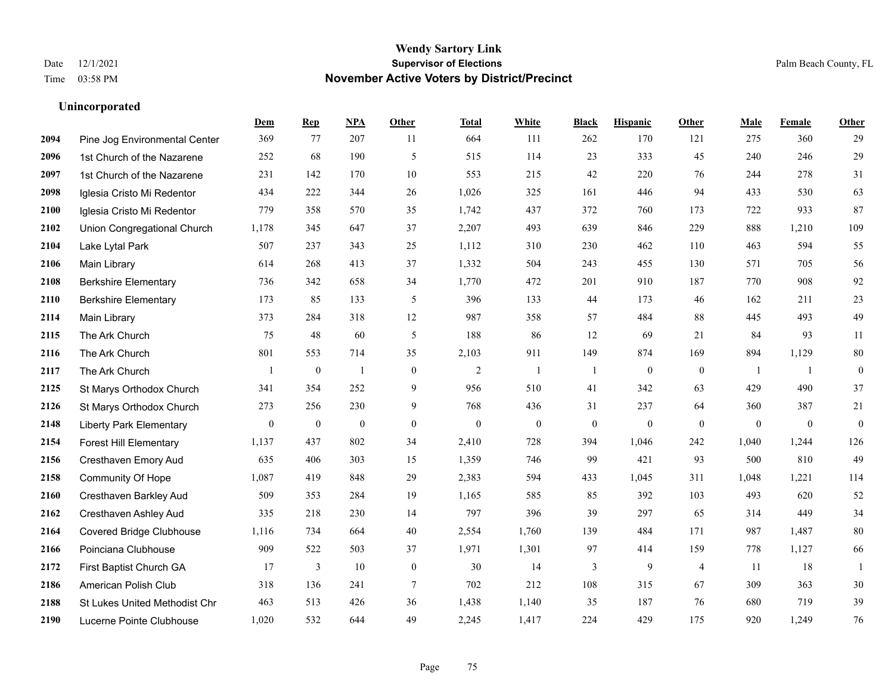|      |                                 | Dem              | <b>Rep</b>       | NPA              | <b>Other</b>     | <b>Total</b>     | <b>White</b>     | <b>Black</b>     | <b>Hispanic</b>  | <b>Other</b>   | <b>Male</b>  | Female           | <b>Other</b>     |
|------|---------------------------------|------------------|------------------|------------------|------------------|------------------|------------------|------------------|------------------|----------------|--------------|------------------|------------------|
| 2094 | Pine Jog Environmental Center   | 369              | 77               | 207              | 11               | 664              | 111              | 262              | 170              | 121            | 275          | 360              | 29               |
| 2096 | 1st Church of the Nazarene      | 252              | 68               | 190              | 5                | 515              | 114              | 23               | 333              | 45             | 240          | 246              | 29               |
| 2097 | 1st Church of the Nazarene      | 231              | 142              | 170              | 10               | 553              | 215              | 42               | 220              | 76             | 244          | 278              | 31               |
| 2098 | Iglesia Cristo Mi Redentor      | 434              | 222              | 344              | 26               | 1,026            | 325              | 161              | 446              | 94             | 433          | 530              | 63               |
| 2100 | Iglesia Cristo Mi Redentor      | 779              | 358              | 570              | 35               | 1.742            | 437              | 372              | 760              | 173            | 722          | 933              | 87               |
| 2102 | Union Congregational Church     | 1,178            | 345              | 647              | 37               | 2,207            | 493              | 639              | 846              | 229            | 888          | 1,210            | 109              |
| 2104 | Lake Lytal Park                 | 507              | 237              | 343              | 25               | 1,112            | 310              | 230              | 462              | 110            | 463          | 594              | 55               |
| 2106 | Main Library                    | 614              | 268              | 413              | 37               | 1,332            | 504              | 243              | 455              | 130            | 571          | 705              | 56               |
| 2108 | <b>Berkshire Elementary</b>     | 736              | 342              | 658              | 34               | 1,770            | 472              | 201              | 910              | 187            | 770          | 908              | 92               |
| 2110 | <b>Berkshire Elementary</b>     | 173              | 85               | 133              | 5                | 396              | 133              | 44               | 173              | 46             | 162          | 211              | 23               |
| 2114 | Main Library                    | 373              | 284              | 318              | 12               | 987              | 358              | 57               | 484              | 88             | 445          | 493              | 49               |
| 2115 | The Ark Church                  | 75               | 48               | 60               | 5                | 188              | 86               | 12               | 69               | 21             | 84           | 93               | 11               |
| 2116 | The Ark Church                  | 801              | 553              | 714              | 35               | 2,103            | 911              | 149              | 874              | 169            | 894          | 1,129            | $80\,$           |
| 2117 | The Ark Church                  | $\overline{1}$   | $\boldsymbol{0}$ | $\mathbf{1}$     | $\boldsymbol{0}$ | $\overline{c}$   | $\overline{1}$   | $\mathbf{1}$     | $\boldsymbol{0}$ | $\mathbf{0}$   | -1           | -1               | $\boldsymbol{0}$ |
| 2125 | St Marys Orthodox Church        | 341              | 354              | 252              | 9                | 956              | 510              | 41               | 342              | 63             | 429          | 490              | 37               |
| 2126 | St Marys Orthodox Church        | 273              | 256              | 230              | 9                | 768              | 436              | 31               | 237              | 64             | 360          | 387              | 21               |
| 2148 | <b>Liberty Park Elementary</b>  | $\boldsymbol{0}$ | $\boldsymbol{0}$ | $\boldsymbol{0}$ | $\boldsymbol{0}$ | $\boldsymbol{0}$ | $\boldsymbol{0}$ | $\boldsymbol{0}$ | $\boldsymbol{0}$ | $\mathbf{0}$   | $\mathbf{0}$ | $\boldsymbol{0}$ | $\boldsymbol{0}$ |
| 2154 | <b>Forest Hill Elementary</b>   | 1,137            | 437              | 802              | 34               | 2,410            | 728              | 394              | 1,046            | 242            | 1,040        | 1,244            | 126              |
| 2156 | Cresthaven Emory Aud            | 635              | 406              | 303              | 15               | 1,359            | 746              | 99               | 421              | 93             | 500          | 810              | 49               |
| 2158 | Community Of Hope               | 1,087            | 419              | 848              | 29               | 2,383            | 594              | 433              | 1,045            | 311            | 1,048        | 1,221            | 114              |
| 2160 | Cresthaven Barkley Aud          | 509              | 353              | 284              | 19               | 1,165            | 585              | 85               | 392              | 103            | 493          | 620              | 52               |
| 2162 | Cresthaven Ashley Aud           | 335              | 218              | 230              | 14               | 797              | 396              | 39               | 297              | 65             | 314          | 449              | 34               |
| 2164 | <b>Covered Bridge Clubhouse</b> | 1,116            | 734              | 664              | 40               | 2,554            | 1,760            | 139              | 484              | 171            | 987          | 1,487            | $80\,$           |
| 2166 | Poinciana Clubhouse             | 909              | 522              | 503              | 37               | 1,971            | 1,301            | 97               | 414              | 159            | 778          | 1,127            | 66               |
| 2172 | First Baptist Church GA         | 17               | 3                | 10               | $\mathbf{0}$     | 30               | 14               | 3                | 9                | $\overline{4}$ | 11           | 18               | 1                |
| 2186 | American Polish Club            | 318              | 136              | 241              | 7                | 702              | 212              | 108              | 315              | 67             | 309          | 363              | $30\,$           |
| 2188 | St Lukes United Methodist Chr   | 463              | 513              | 426              | 36               | 1,438            | 1,140            | 35               | 187              | 76             | 680          | 719              | 39               |
| 2190 | Lucerne Pointe Clubhouse        | 1,020            | 532              | 644              | 49               | 2,245            | 1,417            | 224              | 429              | 175            | 920          | 1,249            | 76               |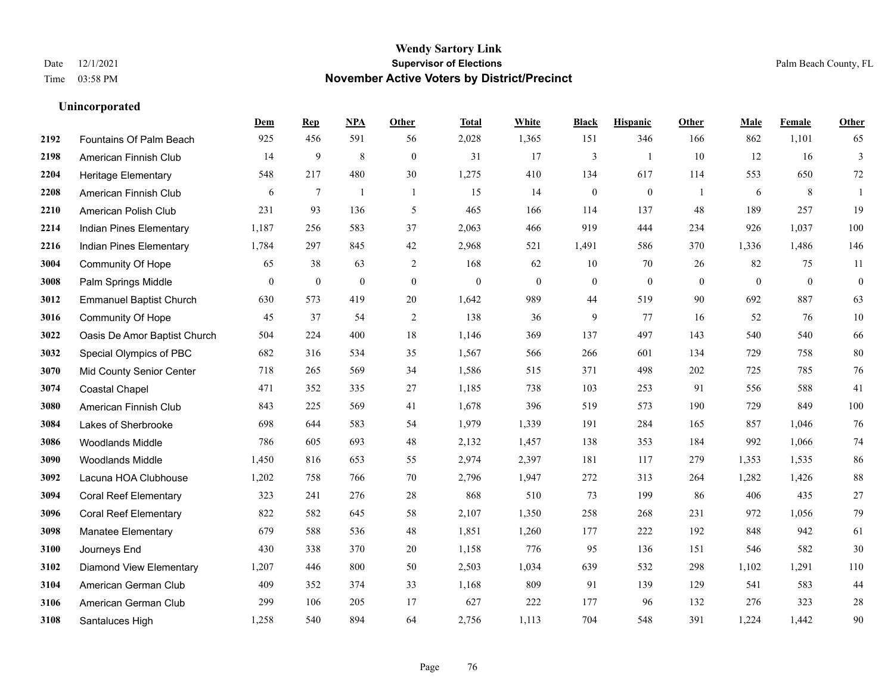|      |                                | Dem            | <b>Rep</b>       | NPA              | <b>Other</b>   | <b>Total</b>     | <b>White</b> | <b>Black</b>     | <b>Hispanic</b>  | Other        | <b>Male</b>  | Female       | <b>Other</b>     |
|------|--------------------------------|----------------|------------------|------------------|----------------|------------------|--------------|------------------|------------------|--------------|--------------|--------------|------------------|
| 2192 | Fountains Of Palm Beach        | 925            | 456              | 591              | 56             | 2,028            | 1,365        | 151              | 346              | 166          | 862          | 1,101        | 65               |
| 2198 | American Finnish Club          | 14             | 9                | 8                | $\mathbf{0}$   | 31               | 17           | 3                | $\mathbf{1}$     | 10           | 12           | 16           | 3                |
| 2204 | <b>Heritage Elementary</b>     | 548            | 217              | 480              | 30             | 1,275            | 410          | 134              | 617              | 114          | 553          | 650          | 72               |
| 2208 | American Finnish Club          | 6              | $\overline{7}$   | $\overline{1}$   | $\overline{1}$ | 15               | 14           | $\boldsymbol{0}$ | $\boldsymbol{0}$ | -1           | 6            | 8            | 1                |
| 2210 | American Polish Club           | 231            | 93               | 136              | 5              | 465              | 166          | 114              | 137              | 48           | 189          | 257          | 19               |
| 2214 | Indian Pines Elementary        | 1,187          | 256              | 583              | 37             | 2,063            | 466          | 919              | 444              | 234          | 926          | 1,037        | 100              |
| 2216 | Indian Pines Elementary        | 1,784          | 297              | 845              | 42             | 2,968            | 521          | 1,491            | 586              | 370          | 1,336        | 1,486        | 146              |
| 3004 | <b>Community Of Hope</b>       | 65             | 38               | 63               | 2              | 168              | 62           | 10               | 70               | 26           | 82           | 75           | 11               |
| 3008 | Palm Springs Middle            | $\overline{0}$ | $\boldsymbol{0}$ | $\boldsymbol{0}$ | $\mathbf{0}$   | $\boldsymbol{0}$ | $\mathbf{0}$ | $\boldsymbol{0}$ | $\boldsymbol{0}$ | $\mathbf{0}$ | $\mathbf{0}$ | $\mathbf{0}$ | $\boldsymbol{0}$ |
| 3012 | <b>Emmanuel Baptist Church</b> | 630            | 573              | 419              | 20             | 1,642            | 989          | 44               | 519              | 90           | 692          | 887          | 63               |
| 3016 | <b>Community Of Hope</b>       | 45             | 37               | 54               | $\mathfrak{2}$ | 138              | 36           | 9                | 77               | 16           | 52           | 76           | 10               |
| 3022 | Oasis De Amor Baptist Church   | 504            | 224              | 400              | 18             | 1,146            | 369          | 137              | 497              | 143          | 540          | 540          | 66               |
| 3032 | Special Olympics of PBC        | 682            | 316              | 534              | 35             | 1,567            | 566          | 266              | 601              | 134          | 729          | 758          | 80               |
| 3070 | Mid County Senior Center       | 718            | 265              | 569              | 34             | 1,586            | 515          | 371              | 498              | 202          | 725          | 785          | 76               |
| 3074 | <b>Coastal Chapel</b>          | 471            | 352              | 335              | 27             | 1,185            | 738          | 103              | 253              | 91           | 556          | 588          | 41               |
| 3080 | American Finnish Club          | 843            | 225              | 569              | 41             | 1,678            | 396          | 519              | 573              | 190          | 729          | 849          | 100              |
| 3084 | Lakes of Sherbrooke            | 698            | 644              | 583              | 54             | 1,979            | 1,339        | 191              | 284              | 165          | 857          | 1,046        | 76               |
| 3086 | Woodlands Middle               | 786            | 605              | 693              | 48             | 2,132            | 1,457        | 138              | 353              | 184          | 992          | 1,066        | $74\,$           |
| 3090 | <b>Woodlands Middle</b>        | 1,450          | 816              | 653              | 55             | 2,974            | 2,397        | 181              | 117              | 279          | 1,353        | 1,535        | 86               |
| 3092 | Lacuna HOA Clubhouse           | 1,202          | 758              | 766              | 70             | 2,796            | 1,947        | 272              | 313              | 264          | 1,282        | 1,426        | $88\,$           |
| 3094 | <b>Coral Reef Elementary</b>   | 323            | 241              | 276              | 28             | 868              | 510          | 73               | 199              | 86           | 406          | 435          | $27\,$           |
| 3096 | <b>Coral Reef Elementary</b>   | 822            | 582              | 645              | 58             | 2,107            | 1,350        | 258              | 268              | 231          | 972          | 1,056        | 79               |
| 3098 | <b>Manatee Elementary</b>      | 679            | 588              | 536              | 48             | 1,851            | 1,260        | 177              | 222              | 192          | 848          | 942          | 61               |
| 3100 | Journeys End                   | 430            | 338              | 370              | 20             | 1,158            | 776          | 95               | 136              | 151          | 546          | 582          | $30\,$           |
| 3102 | <b>Diamond View Elementary</b> | 1,207          | 446              | 800              | 50             | 2,503            | 1,034        | 639              | 532              | 298          | 1,102        | 1,291        | 110              |
| 3104 | American German Club           | 409            | 352              | 374              | 33             | 1,168            | 809          | 91               | 139              | 129          | 541          | 583          | 44               |
| 3106 | American German Club           | 299            | 106              | 205              | 17             | 627              | 222          | 177              | 96               | 132          | 276          | 323          | $28\,$           |
| 3108 | Santaluces High                | 1,258          | 540              | 894              | 64             | 2,756            | 1,113        | 704              | 548              | 391          | 1,224        | 1,442        | 90               |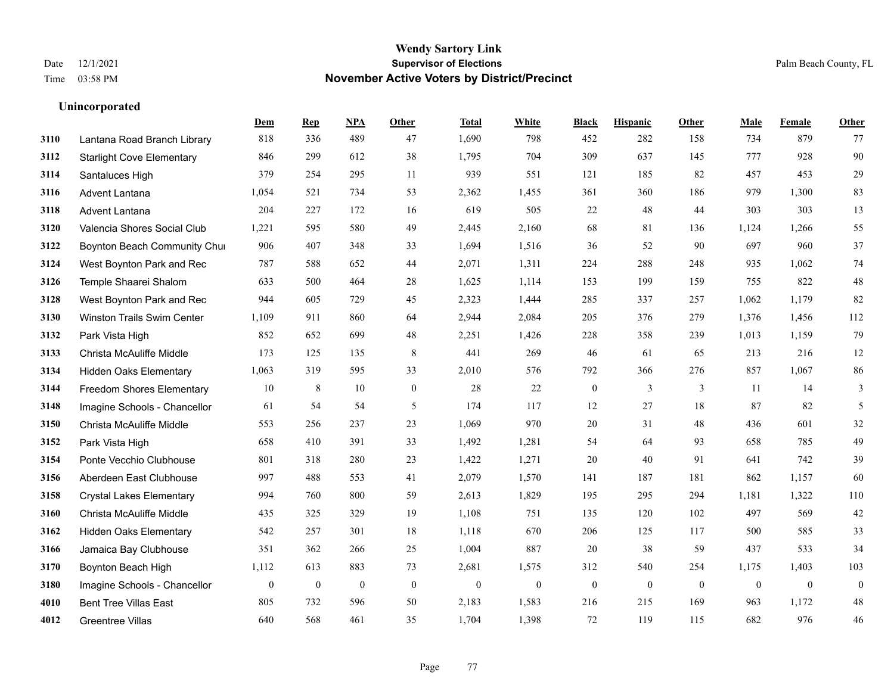|      |                                   | Dem              | <b>Rep</b>       | NPA              | <b>Other</b>     | <b>Total</b> | <b>White</b>     | <b>Black</b>     | <b>Hispanic</b>  | <b>Other</b> | <b>Male</b>  | Female       | <b>Other</b>     |
|------|-----------------------------------|------------------|------------------|------------------|------------------|--------------|------------------|------------------|------------------|--------------|--------------|--------------|------------------|
| 3110 | Lantana Road Branch Library       | 818              | 336              | 489              | 47               | 1,690        | 798              | 452              | 282              | 158          | 734          | 879          | 77               |
| 3112 | <b>Starlight Cove Elementary</b>  | 846              | 299              | 612              | 38               | 1,795        | 704              | 309              | 637              | 145          | 777          | 928          | 90               |
| 3114 | Santaluces High                   | 379              | 254              | 295              | 11               | 939          | 551              | 121              | 185              | 82           | 457          | 453          | 29               |
| 3116 | <b>Advent Lantana</b>             | 1,054            | 521              | 734              | 53               | 2,362        | 1,455            | 361              | 360              | 186          | 979          | 1,300        | 83               |
| 3118 | Advent Lantana                    | 204              | 227              | 172              | 16               | 619          | 505              | 22               | 48               | 44           | 303          | 303          | 13               |
| 3120 | Valencia Shores Social Club       | 1,221            | 595              | 580              | 49               | 2,445        | 2,160            | 68               | 81               | 136          | 1,124        | 1,266        | 55               |
| 3122 | Boynton Beach Community Chu       | 906              | 407              | 348              | 33               | 1,694        | 1,516            | 36               | 52               | 90           | 697          | 960          | 37               |
| 3124 | West Boynton Park and Rec         | 787              | 588              | 652              | 44               | 2,071        | 1,311            | 224              | 288              | 248          | 935          | 1,062        | 74               |
| 3126 | Temple Shaarei Shalom             | 633              | 500              | 464              | 28               | 1,625        | 1,114            | 153              | 199              | 159          | 755          | 822          | $48\,$           |
| 3128 | West Boynton Park and Rec         | 944              | 605              | 729              | 45               | 2,323        | 1,444            | 285              | 337              | 257          | 1,062        | 1,179        | 82               |
| 3130 | <b>Winston Trails Swim Center</b> | 1,109            | 911              | 860              | 64               | 2,944        | 2,084            | 205              | 376              | 279          | 1,376        | 1,456        | 112              |
| 3132 | Park Vista High                   | 852              | 652              | 699              | 48               | 2,251        | 1,426            | 228              | 358              | 239          | 1,013        | 1,159        | 79               |
| 3133 | Christa McAuliffe Middle          | 173              | 125              | 135              | 8                | 441          | 269              | 46               | 61               | 65           | 213          | 216          | $12\,$           |
| 3134 | <b>Hidden Oaks Elementary</b>     | 1,063            | 319              | 595              | 33               | 2,010        | 576              | 792              | 366              | 276          | 857          | 1,067        | 86               |
| 3144 | <b>Freedom Shores Elementary</b>  | 10               | 8                | 10               | $\mathbf{0}$     | 28           | 22               | $\boldsymbol{0}$ | 3                | 3            | 11           | 14           | 3                |
| 3148 | Imagine Schools - Chancellor      | 61               | 54               | 54               | 5                | 174          | 117              | 12               | 27               | 18           | 87           | 82           | 5                |
| 3150 | Christa McAuliffe Middle          | 553              | 256              | 237              | 23               | 1,069        | 970              | 20               | 31               | 48           | 436          | 601          | $32\,$           |
| 3152 | Park Vista High                   | 658              | 410              | 391              | 33               | 1,492        | 1,281            | 54               | 64               | 93           | 658          | 785          | 49               |
| 3154 | Ponte Vecchio Clubhouse           | 801              | 318              | 280              | 23               | 1,422        | 1,271            | 20               | 40               | 91           | 641          | 742          | 39               |
| 3156 | Aberdeen East Clubhouse           | 997              | 488              | 553              | 41               | 2,079        | 1,570            | 141              | 187              | 181          | 862          | 1,157        | 60               |
| 3158 | <b>Crystal Lakes Elementary</b>   | 994              | 760              | 800              | 59               | 2,613        | 1,829            | 195              | 295              | 294          | 1,181        | 1,322        | 110              |
| 3160 | Christa McAuliffe Middle          | 435              | 325              | 329              | 19               | 1,108        | 751              | 135              | 120              | 102          | 497          | 569          | 42               |
| 3162 | <b>Hidden Oaks Elementary</b>     | 542              | 257              | 301              | 18               | 1,118        | 670              | 206              | 125              | 117          | 500          | 585          | 33               |
| 3166 | Jamaica Bay Clubhouse             | 351              | 362              | 266              | 25               | 1,004        | 887              | 20               | 38               | 59           | 437          | 533          | 34               |
| 3170 | Boynton Beach High                | 1,112            | 613              | 883              | 73               | 2,681        | 1,575            | 312              | 540              | 254          | 1,175        | 1,403        | 103              |
| 3180 | Imagine Schools - Chancellor      | $\boldsymbol{0}$ | $\boldsymbol{0}$ | $\boldsymbol{0}$ | $\boldsymbol{0}$ | $\mathbf{0}$ | $\boldsymbol{0}$ | $\boldsymbol{0}$ | $\boldsymbol{0}$ | $\mathbf{0}$ | $\mathbf{0}$ | $\mathbf{0}$ | $\boldsymbol{0}$ |
| 4010 | <b>Bent Tree Villas East</b>      | 805              | 732              | 596              | 50               | 2,183        | 1,583            | 216              | 215              | 169          | 963          | 1,172        | $48\,$           |
| 4012 | <b>Greentree Villas</b>           | 640              | 568              | 461              | 35               | 1,704        | 1,398            | 72               | 119              | 115          | 682          | 976          | 46               |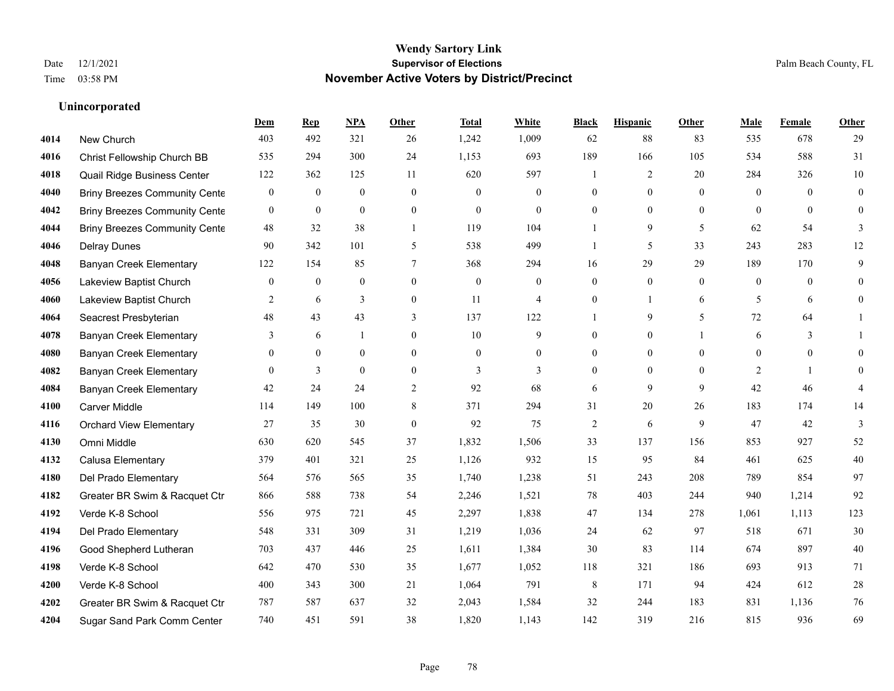**Unincorporated**

### **Wendy Sartory Link** Date 12/1/2021 **Supervisor of Elections** Palm Beach County, FL Time 03:58 PM **November Active Voters by District/Precinct**

**Dem Rep NPA Other Total White Black Hispanic Other Male Female Other**

### New Church 403 492 321 26 1,242 1,009 62 88 83 535 678 29 Christ Fellowship Church BB 535 294 300 24 1,153 693 189 166 105 534 588 31 Quail Ridge Business Center 122 362 125 11 620 597 1 2 20 284 326 10 Briny Breezes Community Center 0 0 0 0 0 0 0 0 0 0 0 0 Briny Breezes Community Center 0 0 0 0 0 0 0 0 0 0 0 0 Briny Breezes Community Cente 48 32 38 1 119 104 1 9 5 62 54 3 Delray Dunes 90 342 101 5 538 499 1 5 33 243 283 12 Banyan Creek Elementary 122 154 85 7 368 294 16 29 29 189 170 9 Lakeview Baptist Church 0 0 0 0 0 0 0 0 0 0 0 0 Lakeview Baptist Church 2 6 3 0 11 4 0 1 6 5 6 0 Seacrest Presbyterian **48** 43 43 43 3 137 122 1 9 5 72 64 1 Banyan Creek Elementary 3 6 1 0 10 9 0 0 1 6 3 1 Banyan Creek Elementary 0 0 0 0 0 0 0 0 0 0 0 0 **4082 Banyan Creek Elementary 0 3 0 0 3 3 3 0 0 0 2 1 0 4084 Banyan Creek Elementary 42 24 24 2 92 68 6 9 9 42 46 4**  Carver Middle 114 149 100 8 371 294 31 20 26 183 174 14 Orchard View Elementary 27 35 30 0 92 75 2 6 9 47 42 3 Omni Middle 630 620 545 37 1,832 1,506 33 137 156 853 927 52 Calusa Elementary 379 401 321 25 1,126 932 15 95 84 461 625 40 Del Prado Elementary 564 576 565 35 1,740 1,238 51 243 208 789 854 97 Greater BR Swim & Racquet Ctr 866 588 738 54 2,246 1,521 78 403 244 940 1,214 92 Verde K-8 School 556 975 721 45 2,297 1,838 47 134 278 1,061 1,113 123 Del Prado Elementary 548 331 309 31 1,219 1,036 24 62 97 518 671 30 Good Shepherd Lutheran 703 437 446 25 1,611 1,384 30 83 114 674 897 40 Verde K-8 School 642 470 530 35 1,677 1,052 118 321 186 693 913 71 Verde K-8 School 400 343 300 21 1,064 791 8 171 94 424 612 28 Greater BR Swim & Racquet Ctr 787 587 637 32 2,043 1,584 32 244 183 831 1,136 76

Sugar Sand Park Comm Center 740 451 591 38 1,820 1,143 142 319 216 815 936 69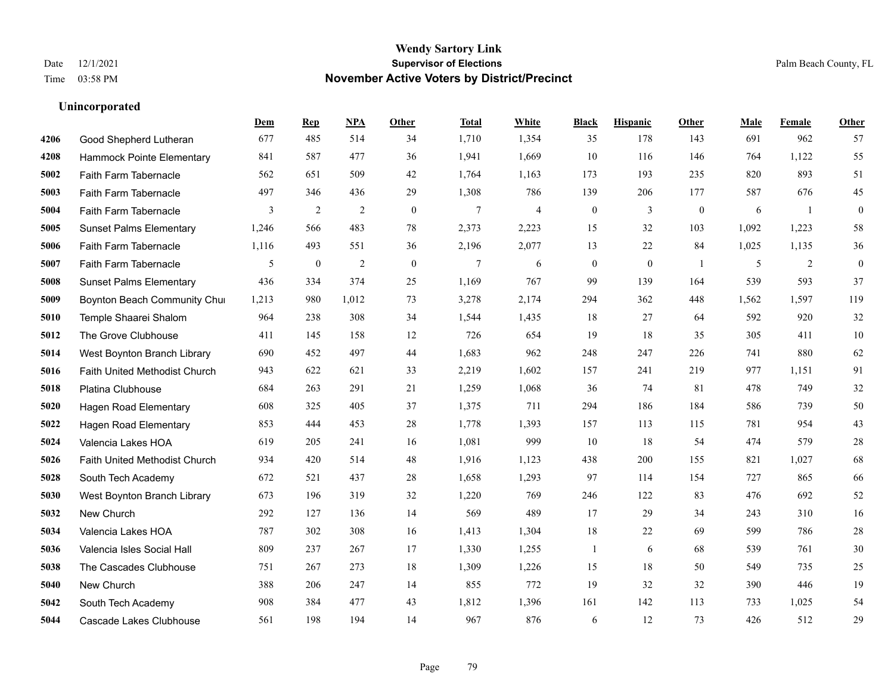|      |                                | Dem   | <b>Rep</b>   | NPA   | <b>Other</b> | <b>Total</b>   | White          | <b>Black</b>     | <b>Hispanic</b> | Other          | <b>Male</b> | Female         | <b>Other</b>     |
|------|--------------------------------|-------|--------------|-------|--------------|----------------|----------------|------------------|-----------------|----------------|-------------|----------------|------------------|
| 4206 | Good Shepherd Lutheran         | 677   | 485          | 514   | 34           | 1,710          | 1,354          | 35               | 178             | 143            | 691         | 962            | 57               |
| 4208 | Hammock Pointe Elementary      | 841   | 587          | 477   | 36           | 1,941          | 1,669          | 10               | 116             | 146            | 764         | 1.122          | 55               |
| 5002 | Faith Farm Tabernacle          | 562   | 651          | 509   | 42           | 1,764          | 1,163          | 173              | 193             | 235            | 820         | 893            | 51               |
| 5003 | Faith Farm Tabernacle          | 497   | 346          | 436   | 29           | 1,308          | 786            | 139              | 206             | 177            | 587         | 676            | 45               |
| 5004 | Faith Farm Tabernacle          | 3     | 2            | 2     | $\theta$     | $\overline{7}$ | $\overline{4}$ | $\boldsymbol{0}$ | 3               | $\mathbf{0}$   | 6           | $\overline{1}$ | $\mathbf{0}$     |
| 5005 | <b>Sunset Palms Elementary</b> | 1,246 | 566          | 483   | 78           | 2,373          | 2,223          | 15               | 32              | 103            | 1,092       | 1,223          | 58               |
| 5006 | Faith Farm Tabernacle          | 1,116 | 493          | 551   | 36           | 2,196          | 2,077          | 13               | 22              | 84             | 1,025       | 1,135          | 36               |
| 5007 | <b>Faith Farm Tabernacle</b>   | 5     | $\mathbf{0}$ | 2     | $\theta$     | $\tau$         | 6              | $\mathbf{0}$     | $\theta$        | $\overline{1}$ | 5           | 2              | $\boldsymbol{0}$ |
| 5008 | <b>Sunset Palms Elementary</b> | 436   | 334          | 374   | 25           | 1,169          | 767            | 99               | 139             | 164            | 539         | 593            | 37               |
| 5009 | Boynton Beach Community Chur   | 1,213 | 980          | 1,012 | 73           | 3,278          | 2,174          | 294              | 362             | 448            | 1,562       | 1,597          | 119              |
| 5010 | Temple Shaarei Shalom          | 964   | 238          | 308   | 34           | 1,544          | 1,435          | 18               | 27              | 64             | 592         | 920            | 32               |
| 5012 | The Grove Clubhouse            | 411   | 145          | 158   | 12           | 726            | 654            | 19               | 18              | 35             | 305         | 411            | $10\,$           |
| 5014 | West Boynton Branch Library    | 690   | 452          | 497   | 44           | 1,683          | 962            | 248              | 247             | 226            | 741         | 880            | 62               |
| 5016 | Faith United Methodist Church  | 943   | 622          | 621   | 33           | 2,219          | 1,602          | 157              | 241             | 219            | 977         | 1,151          | 91               |
| 5018 | Platina Clubhouse              | 684   | 263          | 291   | 21           | 1,259          | 1,068          | 36               | 74              | 81             | 478         | 749            | $32\,$           |
| 5020 | <b>Hagen Road Elementary</b>   | 608   | 325          | 405   | 37           | 1,375          | 711            | 294              | 186             | 184            | 586         | 739            | 50               |
| 5022 | <b>Hagen Road Elementary</b>   | 853   | 444          | 453   | 28           | 1,778          | 1,393          | 157              | 113             | 115            | 781         | 954            | 43               |
| 5024 | Valencia Lakes HOA             | 619   | 205          | 241   | 16           | 1,081          | 999            | 10               | 18              | 54             | 474         | 579            | $28\,$           |
| 5026 | Faith United Methodist Church  | 934   | 420          | 514   | 48           | 1,916          | 1,123          | 438              | 200             | 155            | 821         | 1,027          | 68               |
| 5028 | South Tech Academy             | 672   | 521          | 437   | 28           | 1,658          | 1,293          | 97               | 114             | 154            | 727         | 865            | 66               |
| 5030 | West Boynton Branch Library    | 673   | 196          | 319   | 32           | 1,220          | 769            | 246              | 122             | 83             | 476         | 692            | $52\,$           |
| 5032 | New Church                     | 292   | 127          | 136   | 14           | 569            | 489            | 17               | 29              | 34             | 243         | 310            | 16               |
| 5034 | Valencia Lakes HOA             | 787   | 302          | 308   | 16           | 1,413          | 1,304          | 18               | 22              | 69             | 599         | 786            | $28\,$           |
| 5036 | Valencia Isles Social Hall     | 809   | 237          | 267   | 17           | 1,330          | 1,255          | 1                | 6               | 68             | 539         | 761            | $30\,$           |
| 5038 | The Cascades Clubhouse         | 751   | 267          | 273   | 18           | 1,309          | 1,226          | 15               | 18              | 50             | 549         | 735            | 25               |
| 5040 | New Church                     | 388   | 206          | 247   | 14           | 855            | 772            | 19               | 32              | 32             | 390         | 446            | 19               |
| 5042 | South Tech Academy             | 908   | 384          | 477   | 43           | 1,812          | 1,396          | 161              | 142             | 113            | 733         | 1,025          | 54               |
| 5044 | Cascade Lakes Clubhouse        | 561   | 198          | 194   | 14           | 967            | 876            | 6                | 12              | 73             | 426         | 512            | 29               |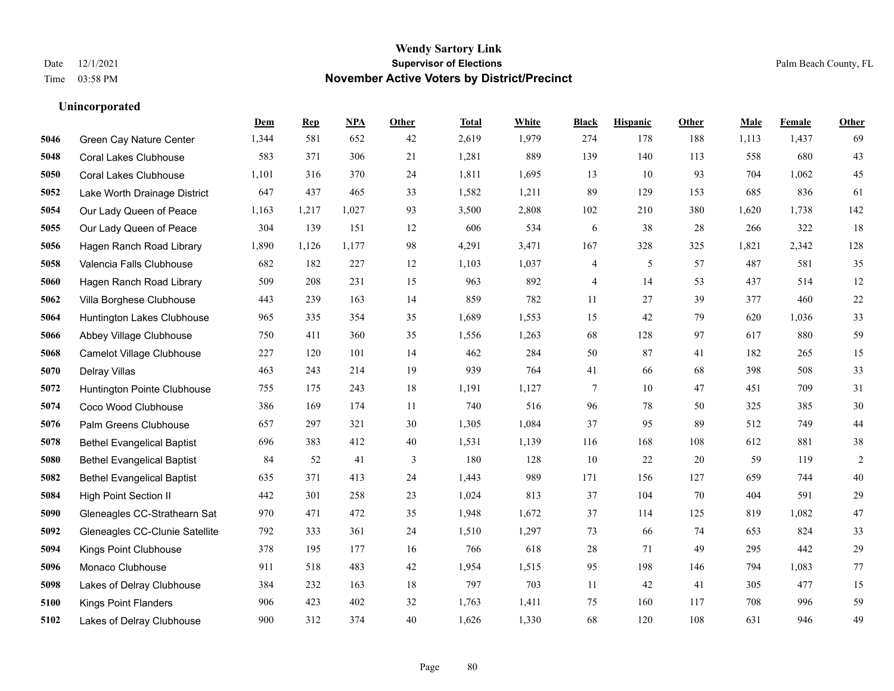**Unincorporated**

### **Wendy Sartory Link** Date 12/1/2021 **Supervisor of Elections** Palm Beach County, FL Time 03:58 PM **November Active Voters by District/Precinct**

**Dem Rep NPA Other Total White Black Hispanic Other Male Female Other**

## Green Cay Nature Center 1,344 581 652 42 2,619 1,979 274 178 188 1,113 1,437 69 Coral Lakes Clubhouse 583 371 306 21 1,281 889 139 140 113 558 680 43

| 5050 | <b>Coral Lakes Clubhouse</b>      | 1,101 | 316   | 370   | 24 | 1,811 | 1,695 | 13             | 10  | 93  | 704   | 1,062 | 45     |
|------|-----------------------------------|-------|-------|-------|----|-------|-------|----------------|-----|-----|-------|-------|--------|
| 5052 | Lake Worth Drainage District      | 647   | 437   | 465   | 33 | 1,582 | 1,211 | 89             | 129 | 153 | 685   | 836   | 61     |
| 5054 | Our Lady Queen of Peace           | 1,163 | 1,217 | 1,027 | 93 | 3,500 | 2,808 | 102            | 210 | 380 | 1,620 | 1,738 | 142    |
| 5055 | Our Lady Queen of Peace           | 304   | 139   | 151   | 12 | 606   | 534   | 6              | 38  | 28  | 266   | 322   | 18     |
| 5056 | Hagen Ranch Road Library          | 1,890 | 1,126 | 1,177 | 98 | 4,291 | 3,471 | 167            | 328 | 325 | 1,821 | 2,342 | 128    |
| 5058 | Valencia Falls Clubhouse          | 682   | 182   | 227   | 12 | 1,103 | 1,037 | $\overline{4}$ | 5   | 57  | 487   | 581   | 35     |
| 5060 | Hagen Ranch Road Library          | 509   | 208   | 231   | 15 | 963   | 892   | 4              | 14  | 53  | 437   | 514   | 12     |
| 5062 | Villa Borghese Clubhouse          | 443   | 239   | 163   | 14 | 859   | 782   | 11             | 27  | 39  | 377   | 460   | $22\,$ |
| 5064 | Huntington Lakes Clubhouse        | 965   | 335   | 354   | 35 | 1,689 | 1,553 | 15             | 42  | 79  | 620   | 1,036 | 33     |
| 5066 | Abbey Village Clubhouse           | 750   | 411   | 360   | 35 | 1,556 | 1,263 | 68             | 128 | 97  | 617   | 880   | 59     |
| 5068 | Camelot Village Clubhouse         | 227   | 120   | 101   | 14 | 462   | 284   | 50             | 87  | 41  | 182   | 265   | 15     |
| 5070 | Delray Villas                     | 463   | 243   | 214   | 19 | 939   | 764   | 41             | 66  | 68  | 398   | 508   | 33     |
| 5072 | Huntington Pointe Clubhouse       | 755   | 175   | 243   | 18 | 1,191 | 1,127 | 7              | 10  | 47  | 451   | 709   | 31     |
| 5074 | Coco Wood Clubhouse               | 386   | 169   | 174   | 11 | 740   | 516   | 96             | 78  | 50  | 325   | 385   | 30     |
| 5076 | Palm Greens Clubhouse             | 657   | 297   | 321   | 30 | 1,305 | 1,084 | 37             | 95  | 89  | 512   | 749   | $44\,$ |
| 5078 | <b>Bethel Evangelical Baptist</b> | 696   | 383   | 412   | 40 | 1,531 | 1,139 | 116            | 168 | 108 | 612   | 881   | 38     |
| 5080 | <b>Bethel Evangelical Baptist</b> | 84    | 52    | 41    | 3  | 180   | 128   | 10             | 22  | 20  | 59    | 119   | 2      |
| 5082 | <b>Bethel Evangelical Baptist</b> | 635   | 371   | 413   | 24 | 1,443 | 989   | 171            | 156 | 127 | 659   | 744   | 40     |
| 5084 | <b>High Point Section II</b>      | 442   | 301   | 258   | 23 | 1,024 | 813   | 37             | 104 | 70  | 404   | 591   | 29     |
| 5090 | Gleneagles CC-Strathearn Sat      | 970   | 471   | 472   | 35 | 1,948 | 1,672 | 37             | 114 | 125 | 819   | 1,082 | $47\,$ |
| 5092 | Gleneagles CC-Clunie Satellite    | 792   | 333   | 361   | 24 | 1,510 | 1,297 | 73             | 66  | 74  | 653   | 824   | 33     |
| 5094 | Kings Point Clubhouse             | 378   | 195   | 177   | 16 | 766   | 618   | 28             | 71  | 49  | 295   | 442   | $29\,$ |
| 5096 | Monaco Clubhouse                  | 911   | 518   | 483   | 42 | 1,954 | 1,515 | 95             | 198 | 146 | 794   | 1.083 | 77     |
| 5098 | Lakes of Delray Clubhouse         | 384   | 232   | 163   | 18 | 797   | 703   | 11             | 42  | 41  | 305   | 477   | 15     |
| 5100 | <b>Kings Point Flanders</b>       | 906   | 423   | 402   | 32 | 1,763 | 1,411 | 75             | 160 | 117 | 708   | 996   | 59     |
| 5102 | Lakes of Delray Clubhouse         | 900   | 312   | 374   | 40 | 1,626 | 1,330 | 68             | 120 | 108 | 631   | 946   | 49     |
|      |                                   |       |       |       |    |       |       |                |     |     |       |       |        |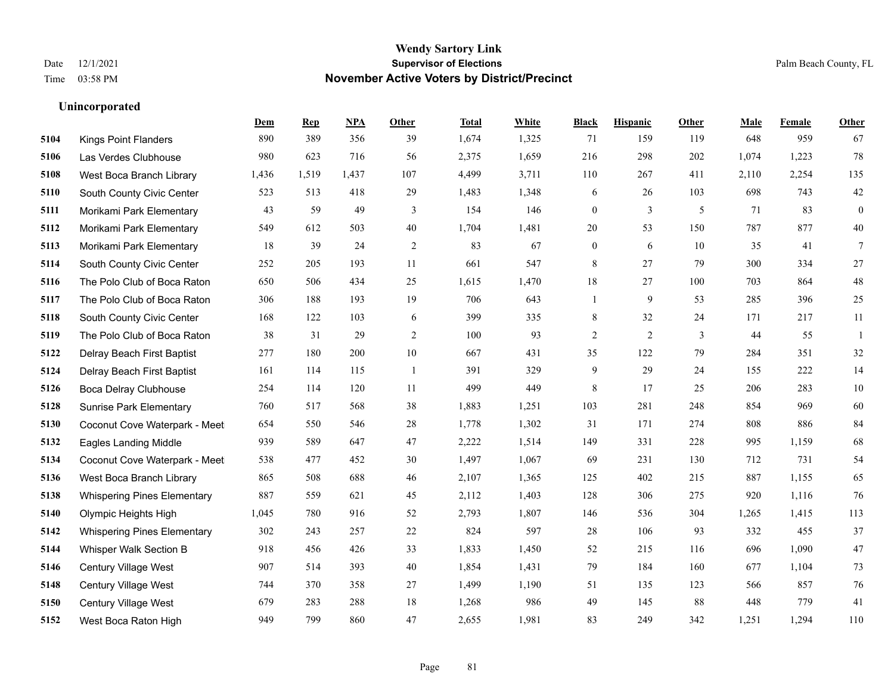|      |                                    | Dem   | <b>Rep</b> | NPA   | <b>Other</b>   | <b>Total</b> | White | <b>Black</b>     | <b>Hispanic</b> | <b>Other</b> | <b>Male</b> | <b>Female</b> | <b>Other</b>     |
|------|------------------------------------|-------|------------|-------|----------------|--------------|-------|------------------|-----------------|--------------|-------------|---------------|------------------|
| 5104 | <b>Kings Point Flanders</b>        | 890   | 389        | 356   | 39             | 1,674        | 1,325 | 71               | 159             | 119          | 648         | 959           | 67               |
| 5106 | Las Verdes Clubhouse               | 980   | 623        | 716   | 56             | 2,375        | 1,659 | 216              | 298             | 202          | 1,074       | 1,223         | 78               |
| 5108 | West Boca Branch Library           | 1,436 | 1,519      | 1,437 | 107            | 4,499        | 3,711 | 110              | 267             | 411          | 2,110       | 2,254         | 135              |
| 5110 | South County Civic Center          | 523   | 513        | 418   | 29             | 1,483        | 1,348 | 6                | 26              | 103          | 698         | 743           | $42\,$           |
| 5111 | Morikami Park Elementary           | 43    | 59         | 49    | 3              | 154          | 146   | $\mathbf{0}$     | 3               | 5            | 71          | 83            | $\boldsymbol{0}$ |
| 5112 | Morikami Park Elementary           | 549   | 612        | 503   | 40             | 1,704        | 1,481 | 20               | 53              | 150          | 787         | 877           | 40               |
| 5113 | Morikami Park Elementary           | 18    | 39         | 24    | $\overline{c}$ | 83           | 67    | $\boldsymbol{0}$ | 6               | 10           | 35          | 41            | $7\phantom{.0}$  |
| 5114 | South County Civic Center          | 252   | 205        | 193   | 11             | 661          | 547   | 8                | 27              | 79           | 300         | 334           | 27               |
| 5116 | The Polo Club of Boca Raton        | 650   | 506        | 434   | 25             | 1,615        | 1,470 | 18               | 27              | 100          | 703         | 864           | $48\,$           |
| 5117 | The Polo Club of Boca Raton        | 306   | 188        | 193   | 19             | 706          | 643   | 1                | 9               | 53           | 285         | 396           | 25               |
| 5118 | South County Civic Center          | 168   | 122        | 103   | 6              | 399          | 335   | 8                | 32              | 24           | 171         | 217           | 11               |
| 5119 | The Polo Club of Boca Raton        | 38    | 31         | 29    | $\overline{2}$ | 100          | 93    | $\overline{c}$   | $\overline{2}$  | 3            | 44          | 55            | 1                |
| 5122 | Delray Beach First Baptist         | 277   | 180        | 200   | 10             | 667          | 431   | 35               | 122             | 79           | 284         | 351           | 32               |
| 5124 | Delray Beach First Baptist         | 161   | 114        | 115   | $\overline{1}$ | 391          | 329   | 9                | 29              | 24           | 155         | 222           | 14               |
| 5126 | <b>Boca Delray Clubhouse</b>       | 254   | 114        | 120   | 11             | 499          | 449   | 8                | 17              | 25           | 206         | 283           | $10\,$           |
| 5128 | <b>Sunrise Park Elementary</b>     | 760   | 517        | 568   | 38             | 1,883        | 1,251 | 103              | 281             | 248          | 854         | 969           | 60               |
| 5130 | Coconut Cove Waterpark - Meet      | 654   | 550        | 546   | 28             | 1,778        | 1,302 | 31               | 171             | 274          | 808         | 886           | 84               |
| 5132 | <b>Eagles Landing Middle</b>       | 939   | 589        | 647   | 47             | 2,222        | 1,514 | 149              | 331             | 228          | 995         | 1,159         | 68               |
| 5134 | Coconut Cove Waterpark - Meet      | 538   | 477        | 452   | 30             | 1,497        | 1,067 | 69               | 231             | 130          | 712         | 731           | 54               |
| 5136 | West Boca Branch Library           | 865   | 508        | 688   | 46             | 2,107        | 1,365 | 125              | 402             | 215          | 887         | 1,155         | 65               |
| 5138 | <b>Whispering Pines Elementary</b> | 887   | 559        | 621   | 45             | 2,112        | 1,403 | 128              | 306             | 275          | 920         | 1,116         | 76               |
| 5140 | Olympic Heights High               | 1,045 | 780        | 916   | 52             | 2,793        | 1,807 | 146              | 536             | 304          | 1,265       | 1,415         | 113              |
| 5142 | <b>Whispering Pines Elementary</b> | 302   | 243        | 257   | 22             | 824          | 597   | 28               | 106             | 93           | 332         | 455           | 37               |
| 5144 | Whisper Walk Section B             | 918   | 456        | 426   | 33             | 1,833        | 1,450 | 52               | 215             | 116          | 696         | 1,090         | 47               |
| 5146 | <b>Century Village West</b>        | 907   | 514        | 393   | 40             | 1,854        | 1,431 | 79               | 184             | 160          | 677         | 1.104         | 73               |
| 5148 | Century Village West               | 744   | 370        | 358   | 27             | 1,499        | 1,190 | 51               | 135             | 123          | 566         | 857           | 76               |
| 5150 | <b>Century Village West</b>        | 679   | 283        | 288   | 18             | 1,268        | 986   | 49               | 145             | 88           | 448         | 779           | 41               |
| 5152 | West Boca Raton High               | 949   | 799        | 860   | 47             | 2,655        | 1,981 | 83               | 249             | 342          | 1,251       | 1,294         | 110              |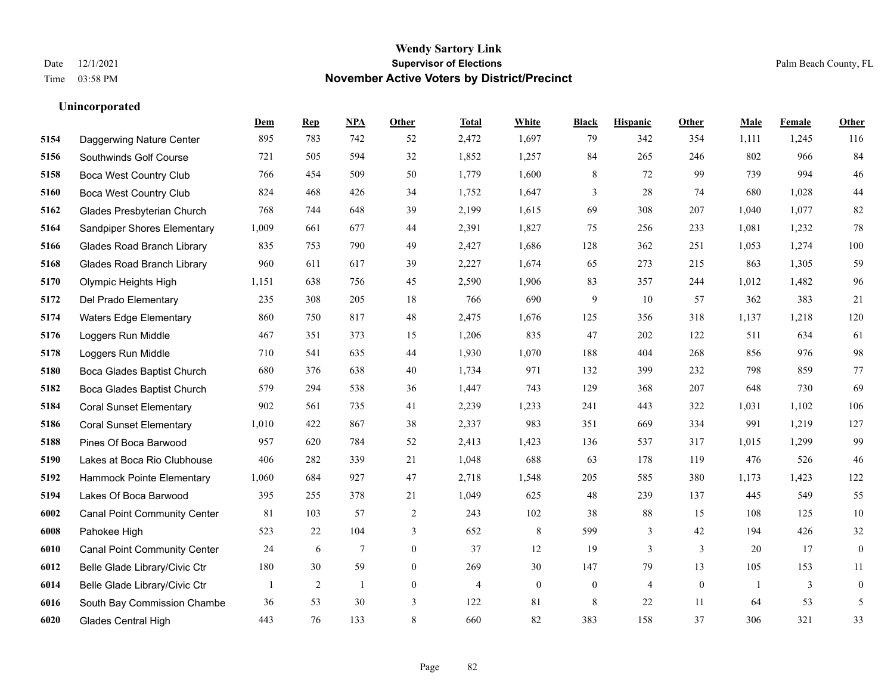|      |                                     | Dem   | <b>Rep</b> | NPA | <b>Other</b>   | <b>Total</b> | <b>White</b>     | <b>Black</b>     | <b>Hispanic</b> | Other          | <b>Male</b>  | Female | <b>Other</b>     |
|------|-------------------------------------|-------|------------|-----|----------------|--------------|------------------|------------------|-----------------|----------------|--------------|--------|------------------|
| 5154 | Daggerwing Nature Center            | 895   | 783        | 742 | 52             | 2,472        | 1,697            | 79               | 342             | 354            | 1,111        | 1,245  | 116              |
| 5156 | Southwinds Golf Course              | 721   | 505        | 594 | 32             | 1,852        | 1,257            | 84               | 265             | 246            | 802          | 966    | 84               |
| 5158 | <b>Boca West Country Club</b>       | 766   | 454        | 509 | 50             | 1,779        | 1,600            | 8                | 72              | 99             | 739          | 994    | $46\,$           |
| 5160 | Boca West Country Club              | 824   | 468        | 426 | 34             | 1,752        | 1,647            | 3                | 28              | 74             | 680          | 1,028  | $44\,$           |
| 5162 | Glades Presbyterian Church          | 768   | 744        | 648 | 39             | 2,199        | 1,615            | 69               | 308             | 207            | 1.040        | 1,077  | $82\,$           |
| 5164 | Sandpiper Shores Elementary         | 1,009 | 661        | 677 | 44             | 2,391        | 1,827            | 75               | 256             | 233            | 1,081        | 1,232  | $78\,$           |
| 5166 | <b>Glades Road Branch Library</b>   | 835   | 753        | 790 | 49             | 2,427        | 1,686            | 128              | 362             | 251            | 1,053        | 1,274  | 100              |
| 5168 | <b>Glades Road Branch Library</b>   | 960   | 611        | 617 | 39             | 2,227        | 1,674            | 65               | 273             | 215            | 863          | 1,305  | 59               |
| 5170 | Olympic Heights High                | 1,151 | 638        | 756 | 45             | 2,590        | 1,906            | 83               | 357             | 244            | 1,012        | 1,482  | 96               |
| 5172 | Del Prado Elementary                | 235   | 308        | 205 | 18             | 766          | 690              | 9                | 10              | 57             | 362          | 383    | 21               |
| 5174 | Waters Edge Elementary              | 860   | 750        | 817 | 48             | 2,475        | 1,676            | 125              | 356             | 318            | 1,137        | 1,218  | 120              |
| 5176 | Loggers Run Middle                  | 467   | 351        | 373 | 15             | 1,206        | 835              | 47               | 202             | 122            | 511          | 634    | 61               |
| 5178 | Loggers Run Middle                  | 710   | 541        | 635 | 44             | 1,930        | 1,070            | 188              | 404             | 268            | 856          | 976    | 98               |
| 5180 | Boca Glades Baptist Church          | 680   | 376        | 638 | 40             | 1,734        | 971              | 132              | 399             | 232            | 798          | 859    | 77               |
| 5182 | Boca Glades Baptist Church          | 579   | 294        | 538 | 36             | 1,447        | 743              | 129              | 368             | 207            | 648          | 730    | 69               |
| 5184 | <b>Coral Sunset Elementary</b>      | 902   | 561        | 735 | 41             | 2,239        | 1,233            | 241              | 443             | 322            | 1,031        | 1,102  | 106              |
| 5186 | <b>Coral Sunset Elementary</b>      | 1,010 | 422        | 867 | 38             | 2,337        | 983              | 351              | 669             | 334            | 991          | 1,219  | 127              |
| 5188 | Pines Of Boca Barwood               | 957   | 620        | 784 | 52             | 2,413        | 1,423            | 136              | 537             | 317            | 1,015        | 1,299  | 99               |
| 5190 | Lakes at Boca Rio Clubhouse         | 406   | 282        | 339 | 21             | 1,048        | 688              | 63               | 178             | 119            | 476          | 526    | 46               |
| 5192 | Hammock Pointe Elementary           | 1,060 | 684        | 927 | 47             | 2,718        | 1,548            | 205              | 585             | 380            | 1,173        | 1,423  | 122              |
| 5194 | Lakes Of Boca Barwood               | 395   | 255        | 378 | 21             | 1,049        | 625              | 48               | 239             | 137            | 445          | 549    | 55               |
| 6002 | <b>Canal Point Community Center</b> | 81    | 103        | 57  | 2              | 243          | 102              | 38               | 88              | 15             | 108          | 125    | $10\,$           |
| 6008 | Pahokee High                        | 523   | 22         | 104 | 3              | 652          | 8                | 599              | 3               | 42             | 194          | 426    | 32               |
| 6010 | <b>Canal Point Community Center</b> | 24    | 6          | 7   | $\overline{0}$ | 37           | 12               | 19               | 3               | 3              | 20           | 17     | $\boldsymbol{0}$ |
| 6012 | Belle Glade Library/Civic Ctr       | 180   | 30         | 59  | $\overline{0}$ | 269          | 30               | 147              | 79              | 13             | 105          | 153    | 11               |
| 6014 | Belle Glade Library/Civic Ctr       |       | 2          | 1   | $\overline{0}$ | 4            | $\boldsymbol{0}$ | $\boldsymbol{0}$ | $\overline{4}$  | $\overline{0}$ | $\mathbf{1}$ | 3      | $\boldsymbol{0}$ |
| 6016 | South Bay Commission Chambe         | 36    | 53         | 30  | 3              | 122          | 81               | 8                | 22              | 11             | 64           | 53     | 5                |
| 6020 | <b>Glades Central High</b>          | 443   | 76         | 133 | 8              | 660          | 82               | 383              | 158             | 37             | 306          | 321    | 33               |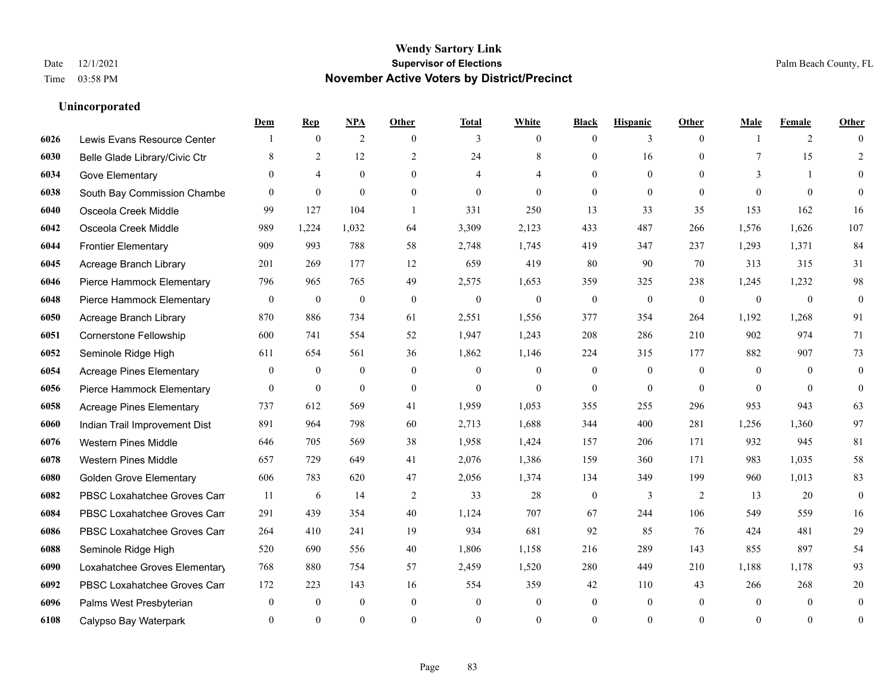|      |                                 | Dem          | <b>Rep</b>       | NPA              | <b>Other</b>     | <b>Total</b> | <b>White</b>     | <b>Black</b>     | <b>Hispanic</b>  | <b>Other</b>   | <b>Male</b>    | <b>Female</b> | <b>Other</b>     |
|------|---------------------------------|--------------|------------------|------------------|------------------|--------------|------------------|------------------|------------------|----------------|----------------|---------------|------------------|
| 6026 | Lewis Evans Resource Center     |              | $\mathbf{0}$     | 2                | $\theta$         | 3            | $\overline{0}$   | $\mathbf{0}$     | 3                | $\theta$       |                | 2             | $\Omega$         |
| 6030 | Belle Glade Library/Civic Ctr   | 8            | 2                | 12               | 2                | 24           | 8                | $\mathbf{0}$     | 16               | $\theta$       | 7              | 15            | $\overline{2}$   |
| 6034 | Gove Elementary                 | $\theta$     | $\overline{4}$   | $\overline{0}$   | $\Omega$         | 4            | 4                | $\mathbf{0}$     | $\mathbf{0}$     | $\theta$       | 3              | $\mathbf{1}$  | $\Omega$         |
| 6038 | South Bay Commission Chambe     | $\theta$     | $\mathbf{0}$     | $\mathbf{0}$     | $\overline{0}$   | $\mathbf{0}$ | $\Omega$         | $\mathbf{0}$     | $\theta$         | $\theta$       | $\theta$       | $\mathbf{0}$  | $\Omega$         |
| 6040 | Osceola Creek Middle            | 99           | 127              | 104              | $\overline{1}$   | 331          | 250              | 13               | 33               | 35             | 153            | 162           | 16               |
| 6042 | Osceola Creek Middle            | 989          | 1,224            | 1,032            | 64               | 3,309        | 2,123            | 433              | 487              | 266            | 1,576          | 1,626         | 107              |
| 6044 | <b>Frontier Elementary</b>      | 909          | 993              | 788              | 58               | 2,748        | 1,745            | 419              | 347              | 237            | 1,293          | 1,371         | 84               |
| 6045 | Acreage Branch Library          | 201          | 269              | 177              | 12               | 659          | 419              | 80               | 90               | 70             | 313            | 315           | 31               |
| 6046 | Pierce Hammock Elementary       | 796          | 965              | 765              | 49               | 2,575        | 1,653            | 359              | 325              | 238            | 1,245          | 1,232         | 98               |
| 6048 | Pierce Hammock Elementary       | $\mathbf{0}$ | $\boldsymbol{0}$ | $\mathbf{0}$     | $\theta$         | $\mathbf{0}$ | $\overline{0}$   | $\boldsymbol{0}$ | $\mathbf{0}$     | $\theta$       | $\overline{0}$ | $\mathbf{0}$  | $\mathbf{0}$     |
| 6050 | Acreage Branch Library          | 870          | 886              | 734              | 61               | 2,551        | 1,556            | 377              | 354              | 264            | 1,192          | 1,268         | 91               |
| 6051 | Cornerstone Fellowship          | 600          | 741              | 554              | 52               | 1,947        | 1,243            | 208              | 286              | 210            | 902            | 974           | 71               |
| 6052 | Seminole Ridge High             | 611          | 654              | 561              | 36               | 1,862        | 1,146            | 224              | 315              | 177            | 882            | 907           | 73               |
| 6054 | <b>Acreage Pines Elementary</b> | $\mathbf{0}$ | $\boldsymbol{0}$ | $\boldsymbol{0}$ | $\boldsymbol{0}$ | $\mathbf{0}$ | $\boldsymbol{0}$ | $\boldsymbol{0}$ | $\boldsymbol{0}$ | $\mathbf{0}$   | $\mathbf{0}$   | $\mathbf{0}$  | $\mathbf{0}$     |
| 6056 | Pierce Hammock Elementary       | $\mathbf{0}$ | $\boldsymbol{0}$ | $\mathbf{0}$     | $\overline{0}$   | $\theta$     | $\overline{0}$   | $\mathbf{0}$     | $\mathbf{0}$     | $\theta$       | $\Omega$       | $\theta$      | $\mathbf{0}$     |
| 6058 | <b>Acreage Pines Elementary</b> | 737          | 612              | 569              | 41               | 1,959        | 1,053            | 355              | 255              | 296            | 953            | 943           | 63               |
| 6060 | Indian Trail Improvement Dist   | 891          | 964              | 798              | 60               | 2,713        | 1,688            | 344              | 400              | 281            | 1,256          | 1,360         | 97               |
| 6076 | <b>Western Pines Middle</b>     | 646          | 705              | 569              | 38               | 1,958        | 1,424            | 157              | 206              | 171            | 932            | 945           | 81               |
| 6078 | <b>Western Pines Middle</b>     | 657          | 729              | 649              | 41               | 2,076        | 1,386            | 159              | 360              | 171            | 983            | 1,035         | 58               |
| 6080 | <b>Golden Grove Elementary</b>  | 606          | 783              | 620              | 47               | 2,056        | 1,374            | 134              | 349              | 199            | 960            | 1,013         | 83               |
| 6082 | PBSC Loxahatchee Groves Can     | 11           | 6                | 14               | 2                | 33           | 28               | $\boldsymbol{0}$ | 3                | 2              | 13             | 20            | $\mathbf{0}$     |
| 6084 | PBSC Loxahatchee Groves Can     | 291          | 439              | 354              | 40               | 1,124        | 707              | 67               | 244              | 106            | 549            | 559           | 16               |
| 6086 | PBSC Loxahatchee Groves Can     | 264          | 410              | 241              | 19               | 934          | 681              | 92               | 85               | 76             | 424            | 481           | 29               |
| 6088 | Seminole Ridge High             | 520          | 690              | 556              | 40               | 1,806        | 1,158            | 216              | 289              | 143            | 855            | 897           | 54               |
| 6090 | Loxahatchee Groves Elementary   | 768          | 880              | 754              | 57               | 2,459        | 1,520            | 280              | 449              | 210            | 1,188          | 1.178         | 93               |
| 6092 | PBSC Loxahatchee Groves Can     | 172          | 223              | 143              | 16               | 554          | 359              | 42               | 110              | 43             | 266            | 268           | 20               |
| 6096 | Palms West Presbyterian         | $\mathbf{0}$ | $\mathbf{0}$     | $\mathbf{0}$     | $\overline{0}$   | $\mathbf{0}$ | $\overline{0}$   | $\boldsymbol{0}$ | $\mathbf{0}$     | $\overline{0}$ | $\mathbf{0}$   | $\mathbf{0}$  | $\boldsymbol{0}$ |
| 6108 | Calypso Bay Waterpark           | $\theta$     | $\Omega$         | $\theta$         | $\Omega$         | $\theta$     | $\Omega$         | $\theta$         | $\theta$         | $\theta$       | $\Omega$       | $\theta$      | $\boldsymbol{0}$ |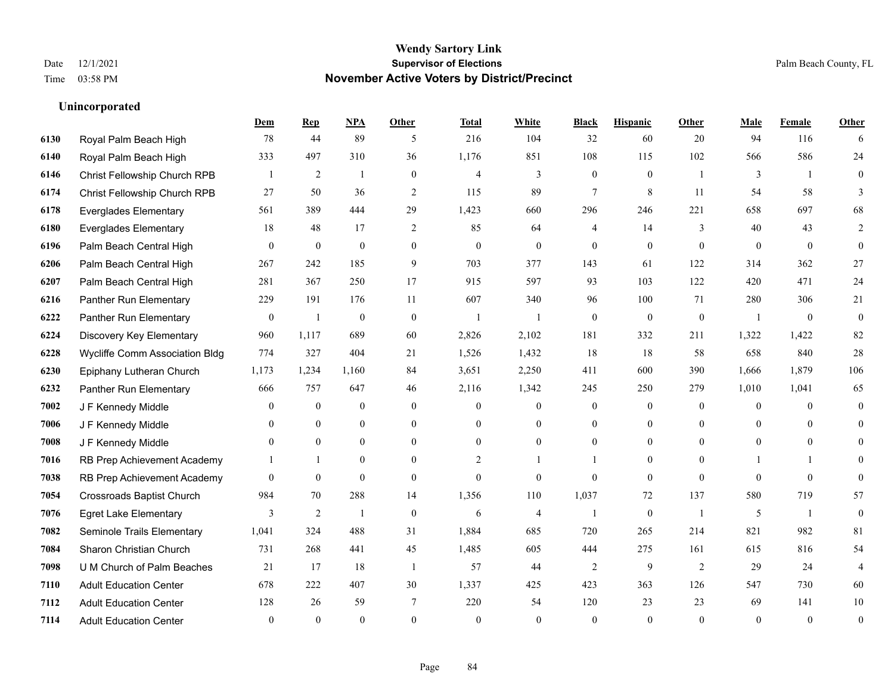**Unincorporated**

### **Wendy Sartory Link** Date 12/1/2021 **Supervisor of Elections** Palm Beach County, FL Time 03:58 PM **November Active Voters by District/Precinct**

### **Dem Rep NPA Other Total White Black Hispanic Other Male Female Other** Royal Palm Beach High 78 44 89 5 216 104 32 60 20 94 116 6 Royal Palm Beach High 333 497 310 36 1,176 851 108 115 102 566 586 24 Christ Fellowship Church RPB 1 2 1 0 4 3 0 0 1 3 1 0 Christ Fellowship Church RPB 27 50 36 2 115 89 7 8 11 54 58 3 Everglades Elementary 561 389 444 29 1,423 660 296 246 221 658 697 68 Everglades Elementary 18 48 17 2 85 64 4 14 3 40 43 2 Palm Beach Central High 0 0 0 0 0 0 0 0 0 0 0 0 Palm Beach Central High 267 242 185 9 703 377 143 61 122 314 362 27 Palm Beach Central High 281 367 250 17 915 597 93 103 122 420 471 24 Panther Run Elementary 229 191 176 11 607 340 96 100 71 280 306 21 Panther Run Elementary 0 1 0 0 1 1 0 0 0 1 0 0 Discovery Key Elementary 960 1,117 689 60 2,826 2,102 181 332 211 1,322 1,422 82 Wycliffe Comm Association Bldg 774 327 404 21 1,526 1,432 18 18 58 658 840 28 Epiphany Lutheran Church 1,173 1,234 1,160 84 3,651 2,250 411 600 390 1,666 1,879 106 Panther Run Elementary 666 757 647 46 2,116 1,342 245 250 279 1,010 1,041 65 J F Kennedy Middle 0 0 0 0 0 0 0 0 0 0 J F Kennedy Middle 0 0 0 0 0 0 0 0 0 0 J F Kennedy Middle 0 0 0 0 0 0 0 0 0 0 RB Prep Achievement Academy 1 1 0 0 0 2 1 1 0 1 0 0 1 1 0 RB Prep Achievement Academy 0 0 0 0 0 0 0 0 0 0 0 0 Crossroads Baptist Church 984 70 288 14 1,356 110 1,037 72 137 580 719 57 Egret Lake Elementary 3 2 1 0 6 4 1 0 1 5 1 0 Seminole Trails Elementary 1,041 324 488 31 1,884 685 720 265 214 821 982 81 Sharon Christian Church 731 268 441 45 1,485 605 444 275 161 615 816 54 **7098 U M Church of Palm Beaches 21 17 18 1 57 44 2 9 2 29 24 4**  Adult Education Center 678 222 407 30 1,337 425 423 363 126 547 730 60 Adult Education Center 128 26 59 7 220 54 120 23 23 69 141 10

Adult Education Center 0 0 0 0 0 0 0 0 0 0 0 0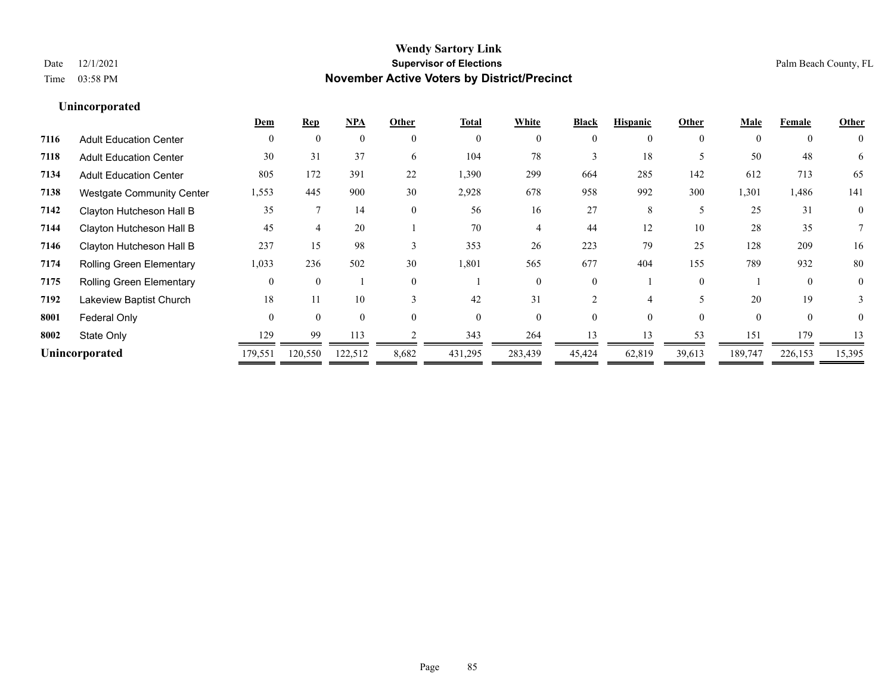|      |                                  | Dem      | <b>Rep</b>     | <b>NPA</b> | Other    | <b>Total</b> | White    | <b>Black</b> | <b>Hispanic</b> | Other    | Male     | Female         | Other          |
|------|----------------------------------|----------|----------------|------------|----------|--------------|----------|--------------|-----------------|----------|----------|----------------|----------------|
| 7116 | <b>Adult Education Center</b>    | $\theta$ | $\overline{0}$ | $\theta$   | $\theta$ | $\theta$     | $\Omega$ | $\theta$     | $\theta$        | $\theta$ |          | $\overline{0}$ | $\overline{0}$ |
| 7118 | <b>Adult Education Center</b>    | 30       | 31             | 37         | 6        | 104          | 78       |              | 18              |          | 50       | 48             | 6              |
| 7134 | <b>Adult Education Center</b>    | 805      | 172            | 391        | 22       | 1,390        | 299      | 664          | 285             | 142      | 612      | 713            | 65             |
| 7138 | <b>Westgate Community Center</b> | 1,553    | 445            | 900        | 30       | 2,928        | 678      | 958          | 992             | 300      | 1,301    | 1,486          | 141            |
| 7142 | Clayton Hutcheson Hall B         | 35       |                | 14         | $\theta$ | 56           | 16       | 27           | 8               | 5        | 25       | 31             | $\mathbf{0}$   |
| 7144 | Clayton Hutcheson Hall B         | 45       |                | 20         |          | 70           |          | 44           | 12              | 10       | 28       | 35             |                |
| 7146 | Clayton Hutcheson Hall B         | 237      | 15             | 98         |          | 353          | 26       | 223          | 79              | 25       | 128      | 209            | 16             |
| 7174 | Rolling Green Elementary         | 1,033    | 236            | 502        | 30       | 1,801        | 565      | 677          | 404             | 155      | 789      | 932            | 80             |
| 7175 | Rolling Green Elementary         | $\theta$ | $\theta$       |            | $\theta$ |              | 0        | $\theta$     |                 | $\theta$ |          | $\theta$       | $\mathbf{0}$   |
| 7192 | Lakeview Baptist Church          | 18       |                | 10         |          | 42           | 31       |              |                 |          | 20       | 19             | 3              |
| 8001 | Federal Only                     | $\Omega$ | $\Omega$       | $\Omega$   | 0        | $\Omega$     | $\Omega$ | 0            | $\Omega$        | $\Omega$ | $\Omega$ | $\theta$       | $\theta$       |
| 8002 | State Only                       | 129      | 99             | 113        |          | 343          | 264      | 13           |                 | 53       | 151      | 179            | 13             |
|      | Unincorporated                   | 179,551  | 120,550        | 122,512    | 8,682    | 431,295      | 283,439  | 45,424       | 62,819          | 39,613   | 189,747  | 226,153        | 15,395         |
|      |                                  |          |                |            |          |              |          |              |                 |          |          |                |                |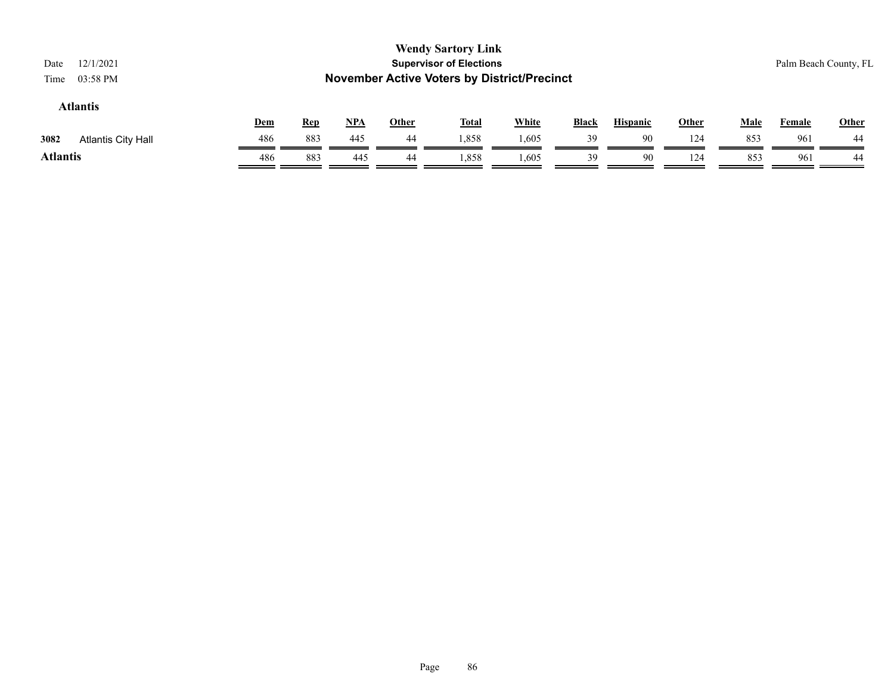| 12/1/2021<br>Date<br>03:58 PM<br>Time |            |            |            |              | <b>Wendy Sartory Link</b><br><b>Supervisor of Elections</b><br><b>November Active Voters by District/Precinct</b> |              |              |                 |              |      |               | Palm Beach County, FL |
|---------------------------------------|------------|------------|------------|--------------|-------------------------------------------------------------------------------------------------------------------|--------------|--------------|-----------------|--------------|------|---------------|-----------------------|
| <b>Atlantis</b>                       | <u>Dem</u> | <b>Rep</b> | <u>NPA</u> | <u>Other</u> | <u>Total</u>                                                                                                      | <b>White</b> | <b>Black</b> | <b>Hispanic</b> | <b>Other</b> | Male | <b>Female</b> | <b>Other</b>          |
| 3082<br><b>Atlantis City Hall</b>     | 486        | 883        | 445        | 44           | 1,858                                                                                                             | 1,605        | 39           | 90              | 124          | 853  | 961           | 44                    |
| <b>Atlantis</b>                       | 486        | 883        | 445        | 44           | 1,858                                                                                                             | 1,605        | 39           | 90              | 124          | 853  | 961           | 44                    |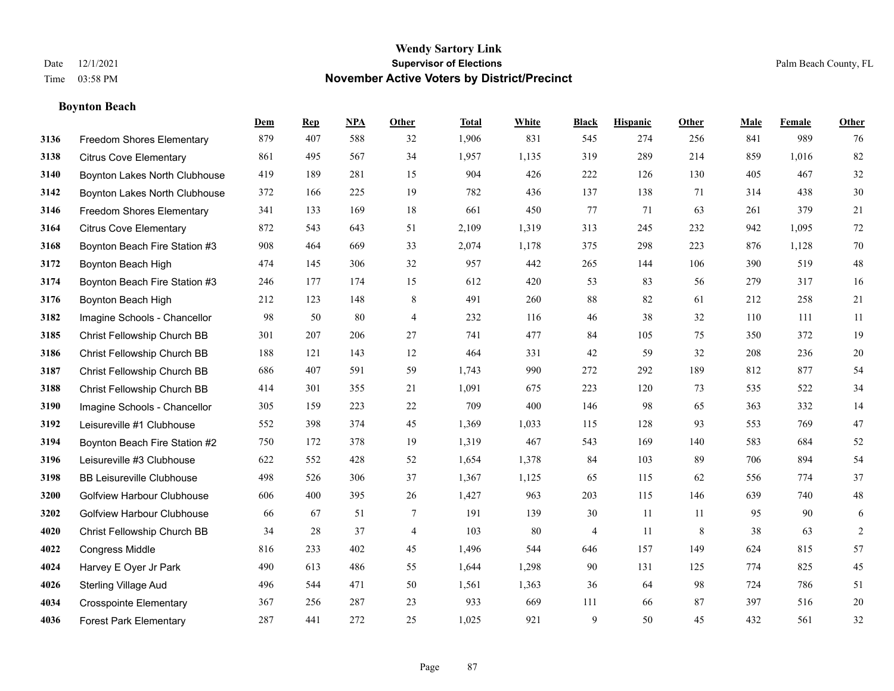### **Boynton Beach**

|      |                                   | Dem | <b>Rep</b> | NPA | <b>Other</b>   | <b>Total</b> | <b>White</b> | <b>Black</b> | <b>Hispanic</b> | <b>Other</b> | <b>Male</b> | <b>Female</b> | <b>Other</b>   |
|------|-----------------------------------|-----|------------|-----|----------------|--------------|--------------|--------------|-----------------|--------------|-------------|---------------|----------------|
| 3136 | Freedom Shores Elementary         | 879 | 407        | 588 | 32             | 1,906        | 831          | 545          | 274             | 256          | 841         | 989           | 76             |
| 3138 | <b>Citrus Cove Elementary</b>     | 861 | 495        | 567 | 34             | 1,957        | 1,135        | 319          | 289             | 214          | 859         | 1,016         | 82             |
| 3140 | Boynton Lakes North Clubhouse     | 419 | 189        | 281 | 15             | 904          | 426          | 222          | 126             | 130          | 405         | 467           | $32\,$         |
| 3142 | Boynton Lakes North Clubhouse     | 372 | 166        | 225 | 19             | 782          | 436          | 137          | 138             | 71           | 314         | 438           | $30\,$         |
| 3146 | <b>Freedom Shores Elementary</b>  | 341 | 133        | 169 | 18             | 661          | 450          | 77           | 71              | 63           | 261         | 379           | 21             |
| 3164 | <b>Citrus Cove Elementary</b>     | 872 | 543        | 643 | 51             | 2,109        | 1,319        | 313          | 245             | 232          | 942         | 1,095         | $72\,$         |
| 3168 | Boynton Beach Fire Station #3     | 908 | 464        | 669 | 33             | 2,074        | 1,178        | 375          | 298             | 223          | 876         | 1,128         | $70\,$         |
| 3172 | Boynton Beach High                | 474 | 145        | 306 | 32             | 957          | 442          | 265          | 144             | 106          | 390         | 519           | $48\,$         |
| 3174 | Boynton Beach Fire Station #3     | 246 | 177        | 174 | 15             | 612          | 420          | 53           | 83              | 56           | 279         | 317           | 16             |
| 3176 | Boynton Beach High                | 212 | 123        | 148 | 8              | 491          | 260          | 88           | 82              | 61           | 212         | 258           | 21             |
| 3182 | Imagine Schools - Chancellor      | 98  | 50         | 80  | $\overline{4}$ | 232          | 116          | 46           | 38              | 32           | 110         | 111           | 11             |
| 3185 | Christ Fellowship Church BB       | 301 | 207        | 206 | 27             | 741          | 477          | 84           | 105             | 75           | 350         | 372           | 19             |
| 3186 | Christ Fellowship Church BB       | 188 | 121        | 143 | 12             | 464          | 331          | 42           | 59              | 32           | 208         | 236           | $20\,$         |
| 3187 | Christ Fellowship Church BB       | 686 | 407        | 591 | 59             | 1,743        | 990          | 272          | 292             | 189          | 812         | 877           | 54             |
| 3188 | Christ Fellowship Church BB       | 414 | 301        | 355 | 21             | 1,091        | 675          | 223          | 120             | 73           | 535         | 522           | 34             |
| 3190 | Imagine Schools - Chancellor      | 305 | 159        | 223 | 22             | 709          | 400          | 146          | 98              | 65           | 363         | 332           | 14             |
| 3192 | Leisureville #1 Clubhouse         | 552 | 398        | 374 | 45             | 1,369        | 1,033        | 115          | 128             | 93           | 553         | 769           | $47\,$         |
| 3194 | Boynton Beach Fire Station #2     | 750 | 172        | 378 | 19             | 1,319        | 467          | 543          | 169             | 140          | 583         | 684           | $52\,$         |
| 3196 | Leisureville #3 Clubhouse         | 622 | 552        | 428 | 52             | 1,654        | 1,378        | 84           | 103             | 89           | 706         | 894           | 54             |
| 3198 | <b>BB Leisureville Clubhouse</b>  | 498 | 526        | 306 | 37             | 1,367        | 1,125        | 65           | 115             | 62           | 556         | 774           | 37             |
| 3200 | <b>Golfview Harbour Clubhouse</b> | 606 | 400        | 395 | 26             | 1,427        | 963          | 203          | 115             | 146          | 639         | 740           | $48\,$         |
| 3202 | <b>Golfview Harbour Clubhouse</b> | 66  | 67         | 51  | $\tau$         | 191          | 139          | 30           | 11              | 11           | 95          | 90            | $\sqrt{6}$     |
| 4020 | Christ Fellowship Church BB       | 34  | 28         | 37  | 4              | 103          | 80           | 4            | 11              | 8            | 38          | 63            | $\overline{c}$ |
| 4022 | <b>Congress Middle</b>            | 816 | 233        | 402 | 45             | 1,496        | 544          | 646          | 157             | 149          | 624         | 815           | 57             |
| 4024 | Harvey E Oyer Jr Park             | 490 | 613        | 486 | 55             | 1,644        | 1,298        | 90           | 131             | 125          | 774         | 825           | 45             |
| 4026 | <b>Sterling Village Aud</b>       | 496 | 544        | 471 | 50             | 1,561        | 1,363        | 36           | 64              | 98           | 724         | 786           | 51             |
| 4034 | <b>Crosspointe Elementary</b>     | 367 | 256        | 287 | 23             | 933          | 669          | 111          | 66              | 87           | 397         | 516           | $20\,$         |
| 4036 | <b>Forest Park Elementary</b>     | 287 | 441        | 272 | 25             | 1,025        | 921          | 9            | 50              | 45           | 432         | 561           | 32             |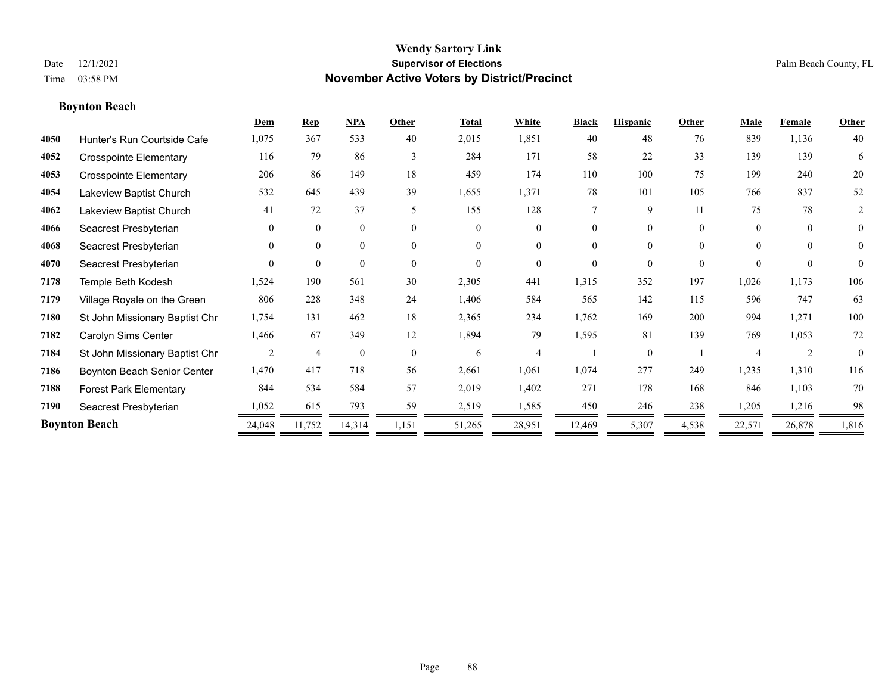### **Boynton Beach**

|      |                                | Dem            | <b>Rep</b>     | NPA          | Other    | <b>Total</b> | White          | <b>Black</b> | <b>Hispanic</b> | Other    | <b>Male</b> | <b>Female</b>  | Other          |
|------|--------------------------------|----------------|----------------|--------------|----------|--------------|----------------|--------------|-----------------|----------|-------------|----------------|----------------|
| 4050 | Hunter's Run Courtside Cafe    | 1,075          | 367            | 533          | 40       | 2,015        | 1,851          | 40           | 48              | 76       | 839         | 1,136          | 40             |
| 4052 | <b>Crosspointe Elementary</b>  | 116            | 79             | 86           | 3        | 284          | 171            | 58           | 22              | 33       | 139         | 139            | 6              |
| 4053 | <b>Crosspointe Elementary</b>  | 206            | 86             | 149          | 18       | 459          | 174            | 110          | 100             | 75       | 199         | 240            | $20\,$         |
| 4054 | Lakeview Baptist Church        | 532            | 645            | 439          | 39       | 1,655        | 1,371          | $78\,$       | 101             | 105      | 766         | 837            | 52             |
| 4062 | Lakeview Baptist Church        | 41             | 72             | 37           | 5        | 155          | 128            | 7            | 9               | 11       | 75          | 78             | 2              |
| 4066 | Seacrest Presbyterian          | $\overline{0}$ | $\overline{0}$ | $\mathbf{0}$ | $\theta$ | $\theta$     | $\overline{0}$ | 0            | $\overline{0}$  | $\theta$ | $\Omega$    | $\theta$       | $\overline{0}$ |
| 4068 | Seacrest Presbyterian          | $\theta$       | $\overline{0}$ | $\mathbf{0}$ | $\theta$ | $\Omega$     | $\overline{0}$ | 0            | $\theta$        | $\Omega$ | $\theta$    | $\theta$       | $\overline{0}$ |
| 4070 | Seacrest Presbyterian          | $\Omega$       | $\overline{0}$ | $\theta$     | $\Omega$ | $\theta$     | $\Omega$       | $\Omega$     | $\Omega$        | $\theta$ | $\Omega$    | $\theta$       | $\theta$       |
| 7178 | Temple Beth Kodesh             | 1,524          | 190            | 561          | 30       | 2,305        | 441            | 1,315        | 352             | 197      | 1,026       | 1,173          | 106            |
| 7179 | Village Royale on the Green    | 806            | 228            | 348          | 24       | 1,406        | 584            | 565          | 142             | 115      | 596         | 747            | 63             |
| 7180 | St John Missionary Baptist Chr | 1,754          | 131            | 462          | 18       | 2,365        | 234            | 1,762        | 169             | 200      | 994         | 1,271          | 100            |
| 7182 | Carolyn Sims Center            | 1,466          | 67             | 349          | 12       | 1,894        | 79             | 1,595        | 81              | 139      | 769         | 1,053          | $72\,$         |
| 7184 | St John Missionary Baptist Chr | 2              | $\overline{4}$ | $\theta$     | $\theta$ | 6            | 4              |              | $\Omega$        |          | 4           | $\overline{2}$ | $\theta$       |
| 7186 | Boynton Beach Senior Center    | 1,470          | 417            | 718          | 56       | 2,661        | 1,061          | 1,074        | 277             | 249      | 1,235       | 1,310          | 116            |
| 7188 | <b>Forest Park Elementary</b>  | 844            | 534            | 584          | 57       | 2,019        | 1,402          | 271          | 178             | 168      | 846         | 1,103          | 70             |
| 7190 | Seacrest Presbyterian          | 1,052          | 615            | 793          | 59       | 2,519        | 1,585          | 450          | 246             | 238      | 1,205       | 1,216          | 98             |
|      | <b>Boynton Beach</b>           | 24,048         | 11,752         | 14,314       | 1,151    | 51,265       | 28,951         | 12,469       | 5,307           | 4,538    | 22,571      | 26,878         | 1,816          |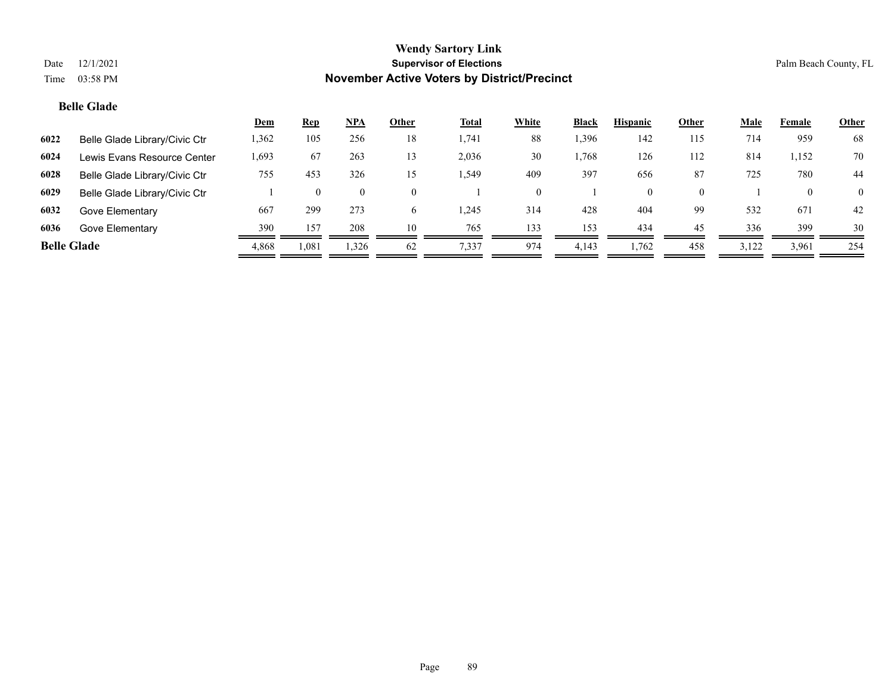### **Belle Glade**

|                    |                               | <u>Dem</u> | Rep      | $NPA$          | Other    | <b>Total</b> | White    | <b>Black</b> | <b>Hispanic</b> | Other    | <b>Male</b> | Female   | <b>Other</b>   |
|--------------------|-------------------------------|------------|----------|----------------|----------|--------------|----------|--------------|-----------------|----------|-------------|----------|----------------|
| 6022               | Belle Glade Library/Civic Ctr | ,362       | 105      | 256            | 18       | 1,741        | 88       | .396         | 142             | 115      | 714         | 959      | 68             |
| 6024               | Lewis Evans Resource Center   | 1,693      | 67       | 263            | 13       | 2,036        | 30       | .768         | 126             | 112      | 814         | 1,152    | 70             |
| 6028               | Belle Glade Library/Civic Ctr | 755        | 453      | 326            | 15       | 549.،        | 409      | 397          | 656             | 87       | 725         | 780      | 44             |
| 6029               | Belle Glade Library/Civic Ctr |            | $\Omega$ | $\overline{0}$ | $\theta$ |              | $\Omega$ |              | 0               | $\Omega$ |             | $\Omega$ | $\overline{0}$ |
| 6032               | Gove Elementary               | 667        | 299      | 273            | 6        | 245.         | 314      | 428          | 404             | 99       | 532         | 671      | 42             |
| 6036               | Gove Elementary               | 390        | 157      | 208            | 10       | 765          | 133      | 153          | 434             | 45       | 336         | 399      | 30             |
| <b>Belle Glade</b> |                               | 4,868      | 1,081    | 1,326          | 62       | 7,337        | 974      | 4,143        | 1.762           | 458      | 3,122       | 3,961    | 254            |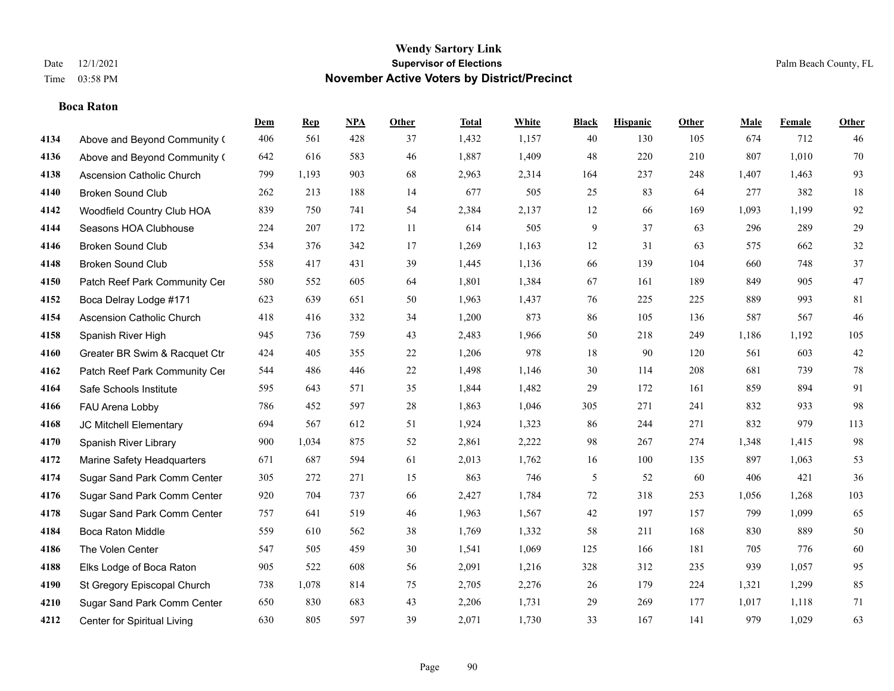### **Boca Raton**

|      |                                  | Dem | <b>Rep</b> | NPA | <b>Other</b> | <b>Total</b> | White | <b>Black</b> | <b>Hispanic</b> | <b>Other</b> | <b>Male</b> | <b>Female</b> | <b>Other</b> |
|------|----------------------------------|-----|------------|-----|--------------|--------------|-------|--------------|-----------------|--------------|-------------|---------------|--------------|
| 4134 | Above and Beyond Community (     | 406 | 561        | 428 | 37           | 1,432        | 1,157 | 40           | 130             | 105          | 674         | 712           | 46           |
| 4136 | Above and Beyond Community (     | 642 | 616        | 583 | 46           | 1,887        | 1,409 | 48           | 220             | 210          | 807         | 1,010         | $70\,$       |
| 4138 | Ascension Catholic Church        | 799 | 1,193      | 903 | 68           | 2,963        | 2,314 | 164          | 237             | 248          | 1,407       | 1,463         | 93           |
| 4140 | <b>Broken Sound Club</b>         | 262 | 213        | 188 | 14           | 677          | 505   | 25           | 83              | 64           | 277         | 382           | 18           |
| 4142 | Woodfield Country Club HOA       | 839 | 750        | 741 | 54           | 2,384        | 2,137 | 12           | 66              | 169          | 1,093       | 1,199         | 92           |
| 4144 | Seasons HOA Clubhouse            | 224 | 207        | 172 | 11           | 614          | 505   | 9            | 37              | 63           | 296         | 289           | $29\,$       |
| 4146 | <b>Broken Sound Club</b>         | 534 | 376        | 342 | 17           | 1,269        | 1,163 | $12\,$       | 31              | 63           | 575         | 662           | $32\,$       |
| 4148 | <b>Broken Sound Club</b>         | 558 | 417        | 431 | 39           | 1,445        | 1,136 | 66           | 139             | 104          | 660         | 748           | 37           |
| 4150 | Patch Reef Park Community Cer    | 580 | 552        | 605 | 64           | 1,801        | 1,384 | 67           | 161             | 189          | 849         | 905           | 47           |
| 4152 | Boca Delray Lodge #171           | 623 | 639        | 651 | 50           | 1,963        | 1,437 | 76           | 225             | 225          | 889         | 993           | 81           |
| 4154 | <b>Ascension Catholic Church</b> | 418 | 416        | 332 | 34           | 1,200        | 873   | 86           | 105             | 136          | 587         | 567           | 46           |
| 4158 | Spanish River High               | 945 | 736        | 759 | 43           | 2,483        | 1,966 | 50           | 218             | 249          | 1,186       | 1,192         | 105          |
| 4160 | Greater BR Swim & Racquet Ctr    | 424 | 405        | 355 | 22           | 1,206        | 978   | 18           | 90              | 120          | 561         | 603           | $42\,$       |
| 4162 | Patch Reef Park Community Cer    | 544 | 486        | 446 | $22\,$       | 1,498        | 1,146 | $30\,$       | 114             | 208          | 681         | 739           | $78\,$       |
| 4164 | Safe Schools Institute           | 595 | 643        | 571 | 35           | 1,844        | 1,482 | 29           | 172             | 161          | 859         | 894           | 91           |
| 4166 | FAU Arena Lobby                  | 786 | 452        | 597 | 28           | 1,863        | 1,046 | 305          | 271             | 241          | 832         | 933           | 98           |
| 4168 | JC Mitchell Elementary           | 694 | 567        | 612 | 51           | 1,924        | 1,323 | 86           | 244             | 271          | 832         | 979           | 113          |
| 4170 | Spanish River Library            | 900 | 1,034      | 875 | 52           | 2,861        | 2,222 | 98           | 267             | 274          | 1,348       | 1,415         | 98           |
| 4172 | Marine Safety Headquarters       | 671 | 687        | 594 | 61           | 2,013        | 1,762 | 16           | 100             | 135          | 897         | 1,063         | 53           |
| 4174 | Sugar Sand Park Comm Center      | 305 | 272        | 271 | 15           | 863          | 746   | 5            | 52              | 60           | 406         | 421           | 36           |
| 4176 | Sugar Sand Park Comm Center      | 920 | 704        | 737 | 66           | 2,427        | 1,784 | 72           | 318             | 253          | 1,056       | 1,268         | 103          |
| 4178 | Sugar Sand Park Comm Center      | 757 | 641        | 519 | 46           | 1,963        | 1,567 | 42           | 197             | 157          | 799         | 1,099         | 65           |
| 4184 | <b>Boca Raton Middle</b>         | 559 | 610        | 562 | 38           | 1,769        | 1,332 | 58           | 211             | 168          | 830         | 889           | 50           |
| 4186 | The Volen Center                 | 547 | 505        | 459 | 30           | 1,541        | 1,069 | 125          | 166             | 181          | 705         | 776           | 60           |
| 4188 | Elks Lodge of Boca Raton         | 905 | 522        | 608 | 56           | 2,091        | 1,216 | 328          | 312             | 235          | 939         | 1,057         | 95           |
| 4190 | St Gregory Episcopal Church      | 738 | 1,078      | 814 | 75           | 2,705        | 2,276 | 26           | 179             | 224          | 1,321       | 1,299         | 85           |
| 4210 | Sugar Sand Park Comm Center      | 650 | 830        | 683 | 43           | 2,206        | 1,731 | 29           | 269             | 177          | 1,017       | 1,118         | 71           |
| 4212 | Center for Spiritual Living      | 630 | 805        | 597 | 39           | 2,071        | 1,730 | 33           | 167             | 141          | 979         | 1,029         | 63           |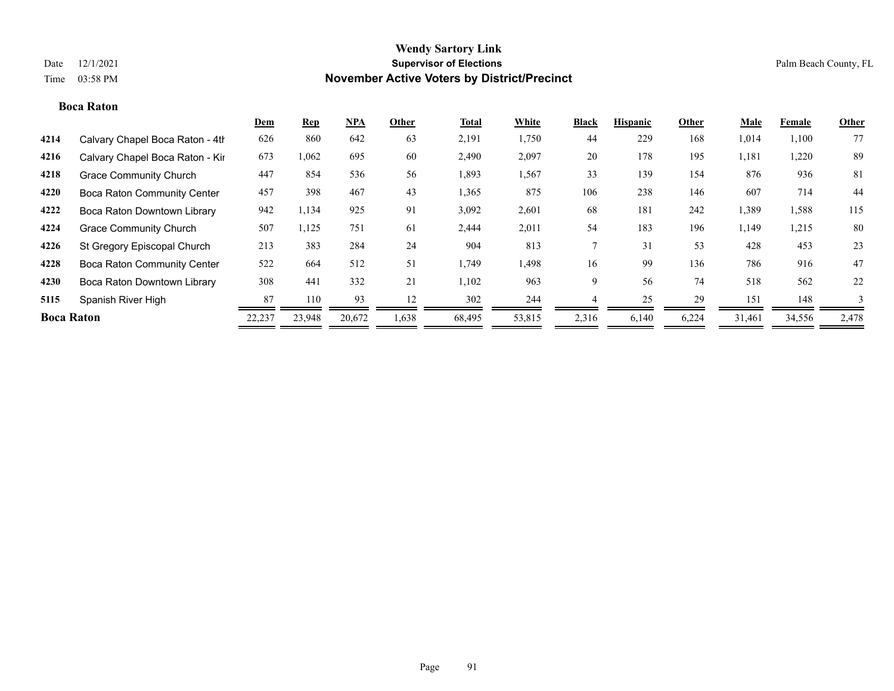### **Boca Raton**

|                   |                                    | <b>Dem</b> | <u>Rep</u> | $NPA$  | Other | Total  | White  | <b>Black</b> | <b>Hispanic</b> | Other | <b>Male</b> | Female | Other |
|-------------------|------------------------------------|------------|------------|--------|-------|--------|--------|--------------|-----------------|-------|-------------|--------|-------|
| 4214              | Calvary Chapel Boca Raton - 4th    | 626        | 860        | 642    | 63    | 2,191  | 1,750  | 44           | 229             | 168   | 1,014       | 1,100  | 77    |
| 4216              | Calvary Chapel Boca Raton - Kir    | 673        | 1,062      | 695    | 60    | 2,490  | 2,097  | 20           | 178             | 195   | 1,181       | 1,220  | 89    |
| 4218              | <b>Grace Community Church</b>      | 447        | 854        | 536    | 56    | 1,893  | 1,567  | 33           | 139             | 154   | 876         | 936    | 81    |
| 4220              | <b>Boca Raton Community Center</b> | 457        | 398        | 467    | 43    | 1,365  | 875    | 106          | 238             | 146   | 607         | 714    | 44    |
| 4222              | Boca Raton Downtown Library        | 942        | 1,134      | 925    | 91    | 3,092  | 2,601  | 68           | 181             | 242   | 1,389       | 1,588  | 115   |
| 4224              | <b>Grace Community Church</b>      | 507        | 1,125      | 751    | 61    | 2,444  | 2,011  | 54           | 183             | 196   | 1,149       | 1,215  | 80    |
| 4226              | St Gregory Episcopal Church        | 213        | 383        | 284    | 24    | 904    | 813    |              | 31              | 53    | 428         | 453    | 23    |
| 4228              | <b>Boca Raton Community Center</b> | 522        | 664        | 512    | 51    | 1,749  | 1,498  | 16           | 99              | 136   | 786         | 916    | 47    |
| 4230              | Boca Raton Downtown Library        | 308        | 441        | 332    | 21    | 1,102  | 963    | 9            | 56              | 74    | 518         | 562    | 22    |
| 5115              | Spanish River High                 | 87         | 110        | 93     | 12    | 302    | 244    |              | 25              | 29    | 151         | 148    | 3     |
| <b>Boca Raton</b> |                                    | 22,237     | 23,948     | 20,672 | 1,638 | 68,495 | 53,815 | 2,316        | 6,140           | 6,224 | 31.461      | 34,556 | 2,478 |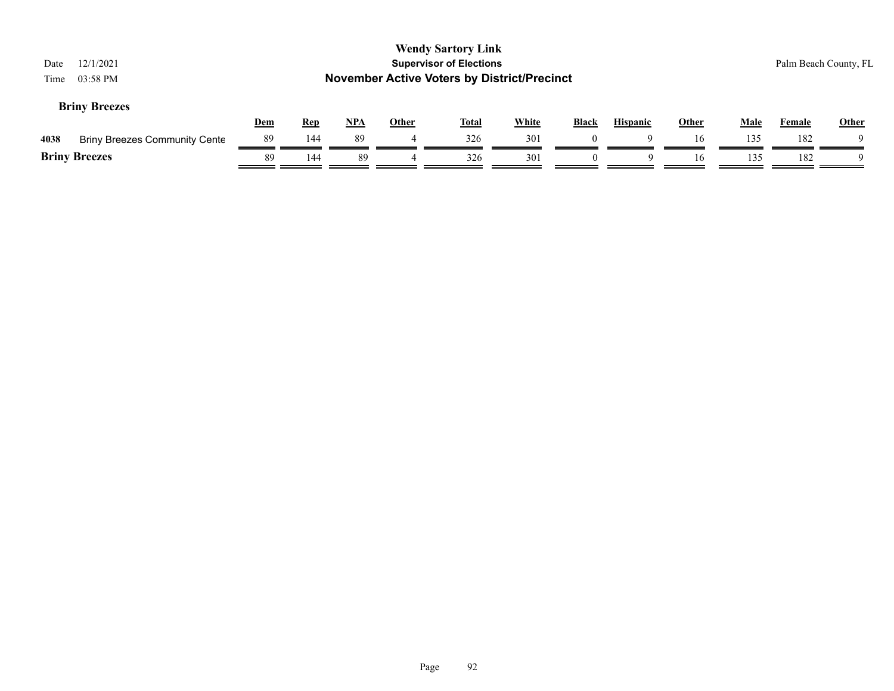| Date<br>Time | 12/1/2021<br>03:58 PM                |            |            |     |              | <b>Wendy Sartory Link</b><br><b>Supervisor of Elections</b><br><b>November Active Voters by District/Precinct</b> |              |              |                 |              |             |        | Palm Beach County, FL |
|--------------|--------------------------------------|------------|------------|-----|--------------|-------------------------------------------------------------------------------------------------------------------|--------------|--------------|-----------------|--------------|-------------|--------|-----------------------|
|              | <b>Briny Breezes</b>                 | <u>Dem</u> | <u>Rep</u> | NPA | <b>Other</b> | <b>Total</b>                                                                                                      | <b>White</b> | <b>Black</b> | <b>Hispanic</b> | <b>Other</b> | <b>Male</b> | Female | <b>Other</b>          |
| 4038         | <b>Briny Breezes Community Cente</b> | 89         | 144        | 89  | 4            | 326                                                                                                               | 301          | $\Omega$     | Q               | 16           | 135         | 182    |                       |
|              | <b>Briny Breezes</b>                 | 89         | 144        | 89  |              | 326                                                                                                               | 301          |              | $\Omega$        | 16           | 135         | 182    |                       |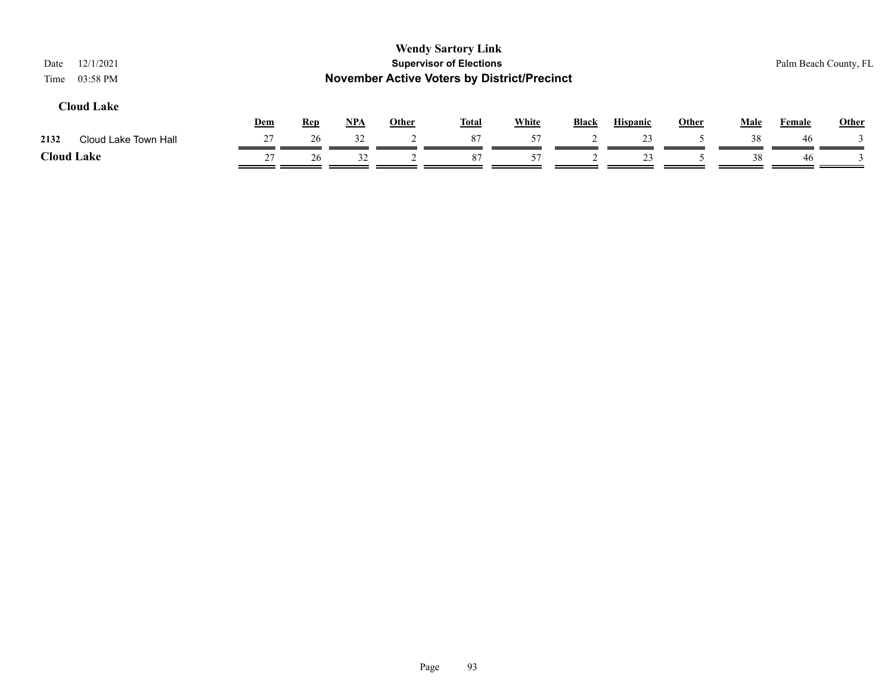| 12/1/2021<br>Date<br>03:58 PM<br>Time |     |            |       |              | <b>Wendy Sartory Link</b><br><b>Supervisor of Elections</b><br><b>November Active Voters by District/Precinct</b> |              |              |                 |       |             | Palm Beach County, FL |              |
|---------------------------------------|-----|------------|-------|--------------|-------------------------------------------------------------------------------------------------------------------|--------------|--------------|-----------------|-------|-------------|-----------------------|--------------|
| <b>Cloud Lake</b>                     | Dem | <b>Rep</b> | $NPA$ | <b>Other</b> | <b>Total</b>                                                                                                      | <b>White</b> | <b>Black</b> | <b>Hispanic</b> | Other | <b>Male</b> | Female                | <b>Other</b> |
| Cloud Lake Town Hall<br>2132          | 27  | 26         | 32    |              | 87                                                                                                                | 57           |              | 23              |       | 38          | 46                    |              |
| <b>Cloud Lake</b>                     | 27  | 26         | 32    |              | 87                                                                                                                | 57           |              | 23              |       | 38          | 46                    |              |

### Page 93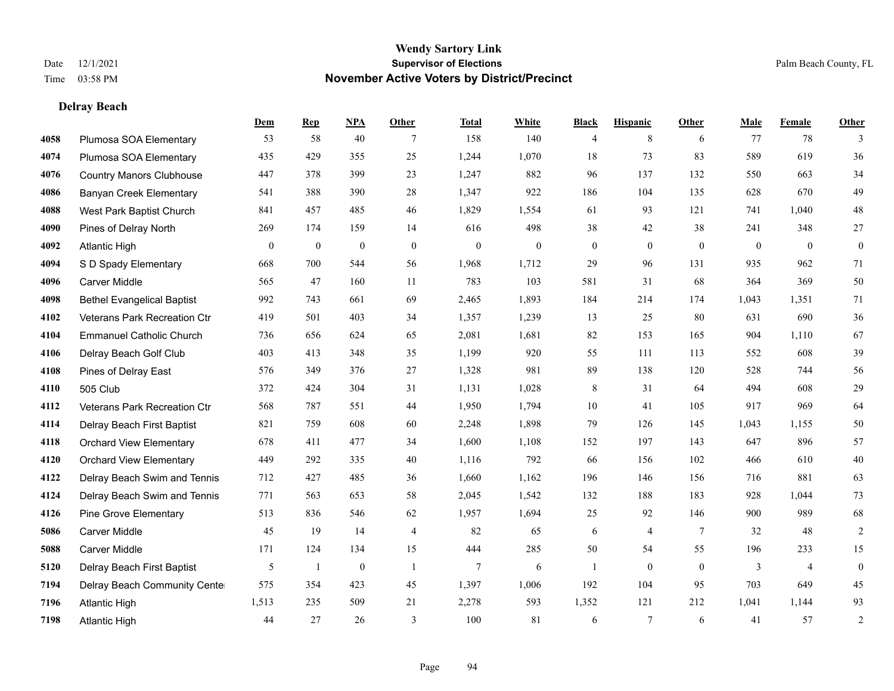**Delray Beach**

### **Wendy Sartory Link** Date 12/1/2021 **Supervisor of Elections** Palm Beach County, FL Time 03:58 PM **November Active Voters by District/Precinct**

# **Dem Rep NPA Other Total White Black Hispanic Other Male Female Other**

| 4058 | Plumosa SOA Elementary            | 53           | 58               | 40               | 7                | 158              | 140              | $\overline{4}$ | 8              | 6            | 77             | 78               | 3                |
|------|-----------------------------------|--------------|------------------|------------------|------------------|------------------|------------------|----------------|----------------|--------------|----------------|------------------|------------------|
| 4074 | Plumosa SOA Elementary            | 435          | 429              | 355              | 25               | 1,244            | 1,070            | 18             | 73             | 83           | 589            | 619              | $36\,$           |
| 4076 | <b>Country Manors Clubhouse</b>   | 447          | 378              | 399              | 23               | 1,247            | 882              | 96             | 137            | 132          | 550            | 663              | 34               |
| 4086 | <b>Banyan Creek Elementary</b>    | 541          | 388              | 390              | 28               | 1,347            | 922              | 186            | 104            | 135          | 628            | 670              | 49               |
| 4088 | West Park Baptist Church          | 841          | 457              | 485              | 46               | 1,829            | 1,554            | 61             | 93             | 121          | 741            | 1,040            | 48               |
| 4090 | Pines of Delray North             | 269          | 174              | 159              | 14               | 616              | 498              | 38             | 42             | 38           | 241            | 348              | $27\,$           |
| 4092 | <b>Atlantic High</b>              | $\mathbf{0}$ | $\boldsymbol{0}$ | $\boldsymbol{0}$ | $\boldsymbol{0}$ | $\boldsymbol{0}$ | $\boldsymbol{0}$ | $\overline{0}$ | $\mathbf{0}$   | $\mathbf{0}$ | $\overline{0}$ | $\boldsymbol{0}$ | $\boldsymbol{0}$ |
| 4094 | S D Spady Elementary              | 668          | 700              | 544              | 56               | 1,968            | 1,712            | 29             | 96             | 131          | 935            | 962              | 71               |
| 4096 | Carver Middle                     | 565          | 47               | 160              | 11               | 783              | 103              | 581            | 31             | 68           | 364            | 369              | $50\,$           |
| 4098 | <b>Bethel Evangelical Baptist</b> | 992          | 743              | 661              | 69               | 2,465            | 1,893            | 184            | 214            | 174          | 1,043          | 1,351            | 71               |
| 4102 | Veterans Park Recreation Ctr      | 419          | 501              | 403              | 34               | 1,357            | 1,239            | 13             | 25             | 80           | 631            | 690              | $36\,$           |
| 4104 | <b>Emmanuel Catholic Church</b>   | 736          | 656              | 624              | 65               | 2,081            | 1,681            | 82             | 153            | 165          | 904            | 1,110            | 67               |
| 4106 | Delray Beach Golf Club            | 403          | 413              | 348              | 35               | 1,199            | 920              | 55             | 111            | 113          | 552            | 608              | 39               |
| 4108 | Pines of Delray East              | 576          | 349              | 376              | 27               | 1,328            | 981              | 89             | 138            | 120          | 528            | 744              | 56               |
| 4110 | 505 Club                          | 372          | 424              | 304              | 31               | 1,131            | 1,028            | 8              | 31             | 64           | 494            | 608              | 29               |
| 4112 | Veterans Park Recreation Ctr      | 568          | 787              | 551              | 44               | 1,950            | 1,794            | $10\,$         | 41             | 105          | 917            | 969              | 64               |
| 4114 | Delray Beach First Baptist        | 821          | 759              | 608              | 60               | 2,248            | 1,898            | 79             | 126            | 145          | 1,043          | 1,155            | $50\,$           |
| 4118 | <b>Orchard View Elementary</b>    | 678          | 411              | 477              | 34               | 1,600            | 1,108            | 152            | 197            | 143          | 647            | 896              | 57               |
| 4120 | <b>Orchard View Elementary</b>    | 449          | 292              | 335              | 40               | 1,116            | 792              | 66             | 156            | 102          | 466            | 610              | $40\,$           |
| 4122 | Delray Beach Swim and Tennis      | 712          | 427              | 485              | 36               | 1,660            | 1,162            | 196            | 146            | 156          | 716            | 881              | 63               |
| 4124 | Delray Beach Swim and Tennis      | 771          | 563              | 653              | 58               | 2,045            | 1,542            | 132            | 188            | 183          | 928            | 1,044            | 73               |
| 4126 | <b>Pine Grove Elementary</b>      | 513          | 836              | 546              | 62               | 1,957            | 1,694            | 25             | 92             | 146          | 900            | 989              | 68               |
| 5086 | <b>Carver Middle</b>              | 45           | 19               | 14               | $\overline{4}$   | 82               | 65               | 6              | $\overline{4}$ | 7            | 32             | 48               | $\sqrt{2}$       |
| 5088 | <b>Carver Middle</b>              | 171          | 124              | 134              | 15               | 444              | 285              | 50             | 54             | 55           | 196            | 233              | 15               |
| 5120 | Delray Beach First Baptist        | 5            | 1                | $\boldsymbol{0}$ | -1               | $\tau$           | 6                |                | $\overline{0}$ | $\mathbf{0}$ | 3              | $\overline{4}$   | $\boldsymbol{0}$ |
| 7194 | Delray Beach Community Cente      | 575          | 354              | 423              | 45               | 1,397            | 1,006            | 192            | 104            | 95           | 703            | 649              | 45               |
| 7196 | <b>Atlantic High</b>              | 1,513        | 235              | 509              | 21               | 2,278            | 593              | 1,352          | 121            | 212          | 1,041          | 1,144            | 93               |
| 7198 | <b>Atlantic High</b>              | 44           | 27               | 26               | 3                | 100              | 81               | 6              | $\overline{7}$ | 6            | 41             | 57               | $\sqrt{2}$       |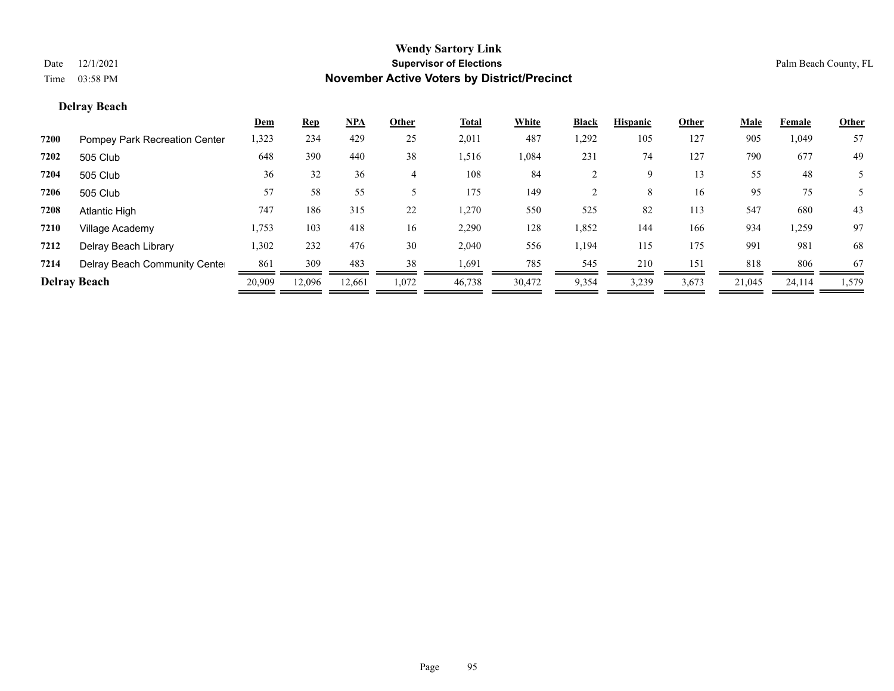### **Delray Beach**

|      |                               | Dem    | <b>Rep</b> | <u>NPA</u> | Other | Total  | White  | <b>Black</b> | <b>Hispanic</b> | Other | <b>Male</b> | Female | <b>Other</b> |
|------|-------------------------------|--------|------------|------------|-------|--------|--------|--------------|-----------------|-------|-------------|--------|--------------|
| 7200 | Pompey Park Recreation Center | 1,323  | 234        | 429        | 25    | 2,011  | 487    | 1,292        | 105             | 127   | 905         | 1,049  | 57           |
| 7202 | 505 Club                      | 648    | 390        | 440        | 38    | 1,516  | 1,084  | 231          | 74              | 127   | 790         | 677    | 49           |
| 7204 | 505 Club                      | 36     | 32         | 36         |       | 108    | 84     |              | 9               | 13    | 55          | 48     |              |
| 7206 | 505 Club                      | 57     | 58         | 55         |       | 175    | 149    |              | 8               | 16    | 95          | 75     | 5            |
| 7208 | Atlantic High                 | 747    | 186        | 315        | 22    | 1,270  | 550    | 525          | 82              | 113   | 547         | 680    | 43           |
| 7210 | Village Academy               | 1,753  | 103        | 418        | 16    | 2,290  | 128    | 1,852        | 144             | 166   | 934         | 1,259  | 97           |
| 7212 | Delray Beach Library          | 1,302  | 232        | 476        | 30    | 2,040  | 556    | 1,194        | 115             | 175   | 991         | 981    | 68           |
| 7214 | Delray Beach Community Cente  | 861    | 309        | 483        | 38    | 1,691  | 785    | 545          | 210             | 151   | 818         | 806    | 67           |
|      | <b>Delray Beach</b>           | 20,909 | 12.096     | 12,661     | 1,072 | 46,738 | 30,472 | 9,354        | 3,239           | 3,673 | 21,045      | 24,114 | 1,579        |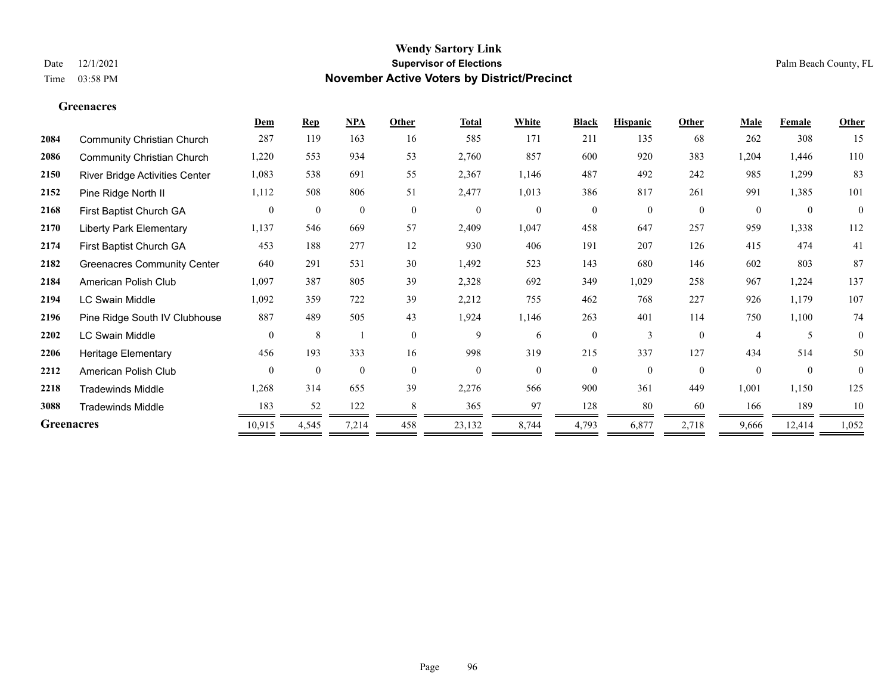**Greenacres**

### **Wendy Sartory Link** Date 12/1/2021 **Supervisor of Elections** Palm Beach County, FL Time 03:58 PM **November Active Voters by District/Precinct**

### **Dem Rep NPA Other Total White Black Hispanic Other Male Female Other** Community Christian Church 287 119 163 16 585 171 211 135 68 262 308 15 Community Christian Church 1,220 553 934 53 2,760 857 600 920 383 1,204 1,446 110 River Bridge Activities Center 1,083 538 691 55 2,367 1,146 487 492 242 985 1,299 83 Pine Ridge North II 1,112 508 806 51 2,477 1,013 386 817 261 991 1,385 101 First Baptist Church GA 0 0 0 0 0 0 0 0 0 0 0 0 Liberty Park Elementary 1,137 546 669 57 2,409 1,047 458 647 257 959 1,338 112 First Baptist Church GA 453 188 277 12 930 406 191 207 126 415 474 41 Greenacres Community Center 640 291 531 30 1,492 523 143 680 146 602 803 87 American Polish Club 1,097 387 805 39 2,328 692 349 1,029 258 967 1,224 137 LC Swain Middle 1,092 359 722 39 2,212 755 462 768 227 926 1,179 107 Pine Ridge South IV Clubhouse 887 489 505 43 1,924 1,146 263 401 114 750 1,100 74 LC Swain Middle 0 8 1 0 9 6 0 3 0 4 5 0 Heritage Elementary 456 193 333 16 998 319 215 337 127 434 514 50 American Polish Club 0 0 0 0 0 0 0 0 0 0 0 0 Tradewinds Middle 1,268 314 655 39 2,276 566 900 361 449 1,001 1,150 125 Tradewinds Middle 183 52 122 8 365 97 128 80 60 166 189 10 **Greenacres** 10,915 4,545 7,214 458 23,132 8,744 4,793 6,877 2,718 9,666 12,414 1,052

—

-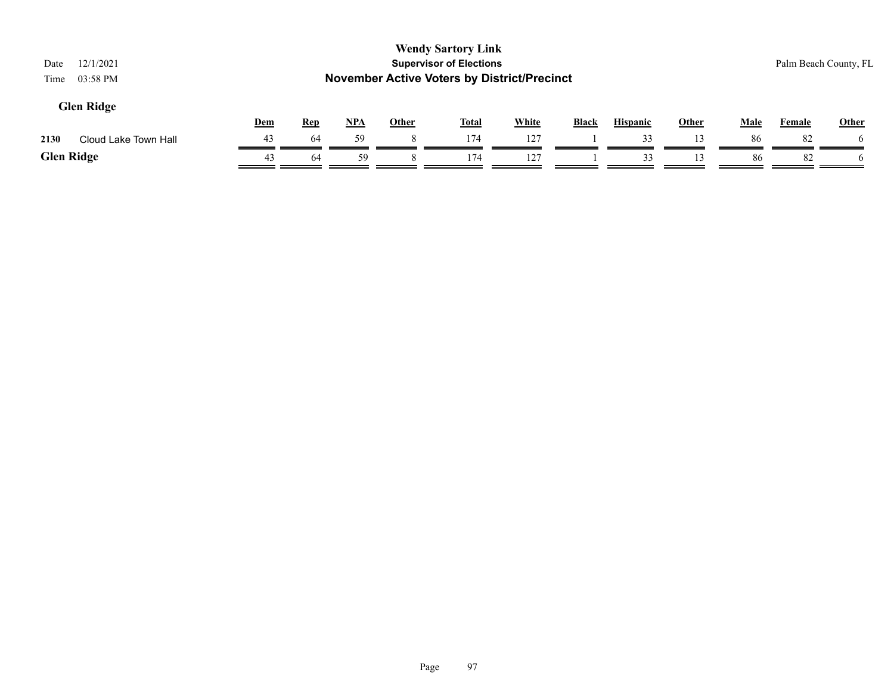| 12/1/2021<br>Date<br>03:58 PM<br>Time |     |            |            |              | <b>Wendy Sartory Link</b><br><b>Supervisor of Elections</b><br><b>November Active Voters by District/Precinct</b> |              |              |                 |              |             | Palm Beach County, FL |              |
|---------------------------------------|-----|------------|------------|--------------|-------------------------------------------------------------------------------------------------------------------|--------------|--------------|-----------------|--------------|-------------|-----------------------|--------------|
| <b>Glen Ridge</b>                     | Dem | <b>Rep</b> | <u>NPA</u> | <b>Other</b> | <b>Total</b>                                                                                                      | <b>White</b> | <b>Black</b> | <b>Hispanic</b> | <b>Other</b> | <b>Male</b> | Female                | <b>Other</b> |
| Cloud Lake Town Hall<br>2130          | 43  | 64         | 59         |              | 174                                                                                                               | 127          |              | 33              | 13           | 86          | 82                    | <sub>0</sub> |
| <b>Glen Ridge</b>                     | 43  | 64         | 59         |              | 174                                                                                                               | 127          |              | 33              | 13           | 86          | 82                    |              |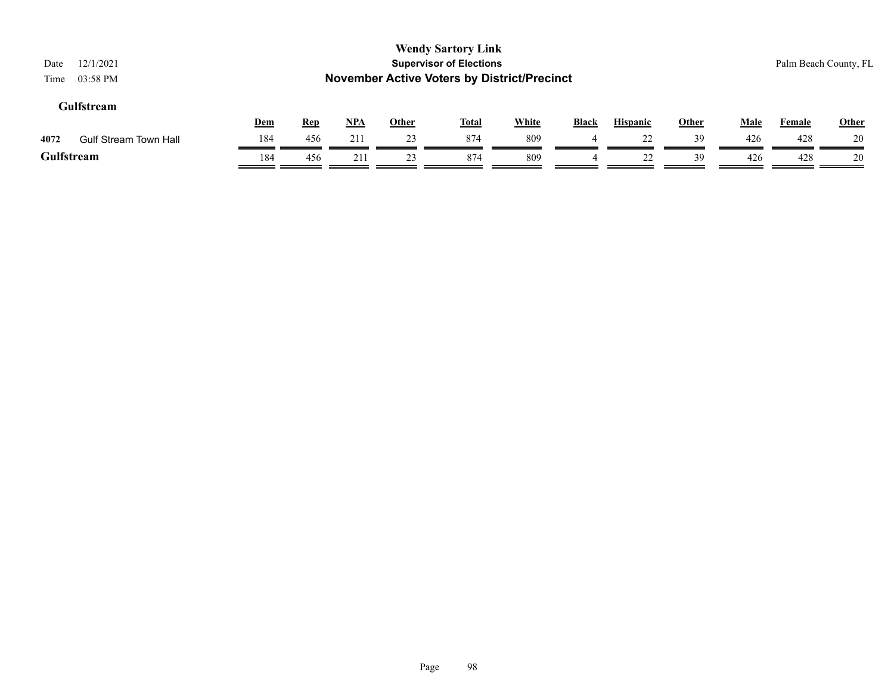| 12/1/2021<br>Date<br>03:58 PM<br>Time |     |            |            |              | <b>Wendy Sartory Link</b><br><b>Supervisor of Elections</b><br><b>November Active Voters by District/Precinct</b> |              |       |                 |       |             | Palm Beach County, FL |              |
|---------------------------------------|-----|------------|------------|--------------|-------------------------------------------------------------------------------------------------------------------|--------------|-------|-----------------|-------|-------------|-----------------------|--------------|
| Gulfstream                            | Dem | <u>Rep</u> | <u>NPA</u> | <b>Other</b> | <b>Total</b>                                                                                                      | <b>White</b> | Black | <b>Hispanic</b> | Other | <b>Male</b> | <b>Female</b>         | <b>Other</b> |
| 4072<br><b>Gulf Stream Town Hall</b>  | 184 | 456        | 211        | 23           | 874                                                                                                               | 809          | 4     | 22              | 39    | 426         | 428                   | 20           |
| Gulfstream                            | 184 | 456        | 211        | 23           | 874                                                                                                               | 809          |       | 22              | 39    | 426         | 428                   | 20           |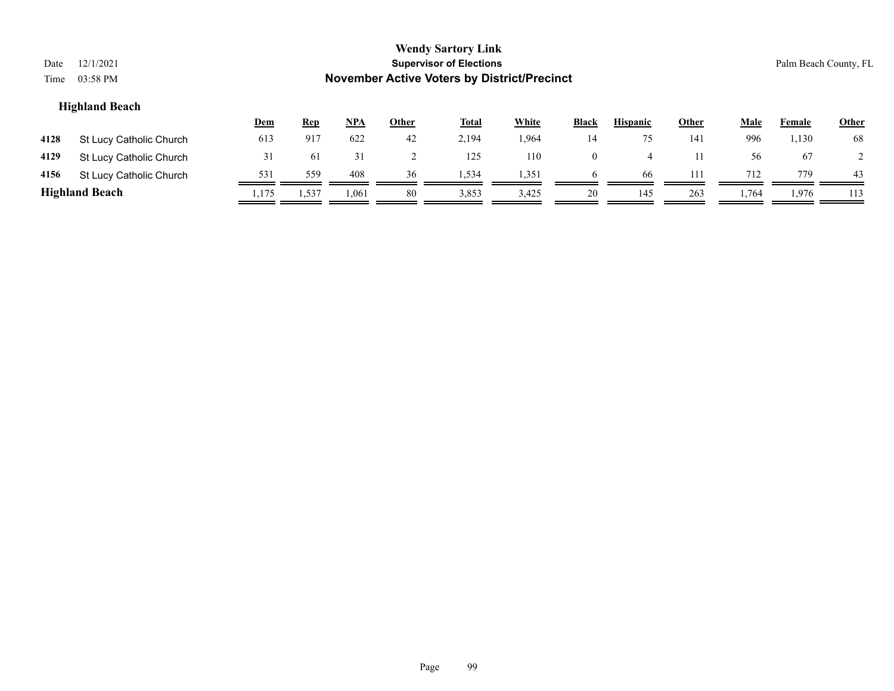| Date<br>Time | 12/1/2021<br>03:58 PM   |       |            |            |       | <b>Wendy Sartory Link</b><br><b>Supervisor of Elections</b><br><b>November Active Voters by District/Precinct</b> |              |                |                 |              |             | Palm Beach County, FL |       |
|--------------|-------------------------|-------|------------|------------|-------|-------------------------------------------------------------------------------------------------------------------|--------------|----------------|-----------------|--------------|-------------|-----------------------|-------|
|              | <b>Highland Beach</b>   | Dem   | <b>Rep</b> | <u>NPA</u> | Other | <b>Total</b>                                                                                                      | <b>White</b> | <b>Black</b>   | <b>Hispanic</b> | <b>Other</b> | <b>Male</b> | Female                | Other |
| 4128         | St Lucy Catholic Church | 613   | 917        | 622        | 42    | 2,194                                                                                                             | 1,964        | 14             | 75              | 141          | 996         | 1,130                 | 68    |
| 4129         | St Lucy Catholic Church | 31    | 61         | 31         |       | 125                                                                                                               | 110          | $\overline{0}$ | $\overline{4}$  | 11           | 56          | 67                    |       |
| 4156         | St Lucy Catholic Church | 531   | 559        | 408        | 36    | 1,534                                                                                                             | 1,351        | <sub>t</sub>   | -66             | 111          | 712         | 779                   | 43    |
|              | <b>Highland Beach</b>   | 1,175 | 1,537      | 1,061      | 80    | 3,853                                                                                                             | 3,425        | 20             | 145             | 263          | 1,764       | 1,976                 | 113   |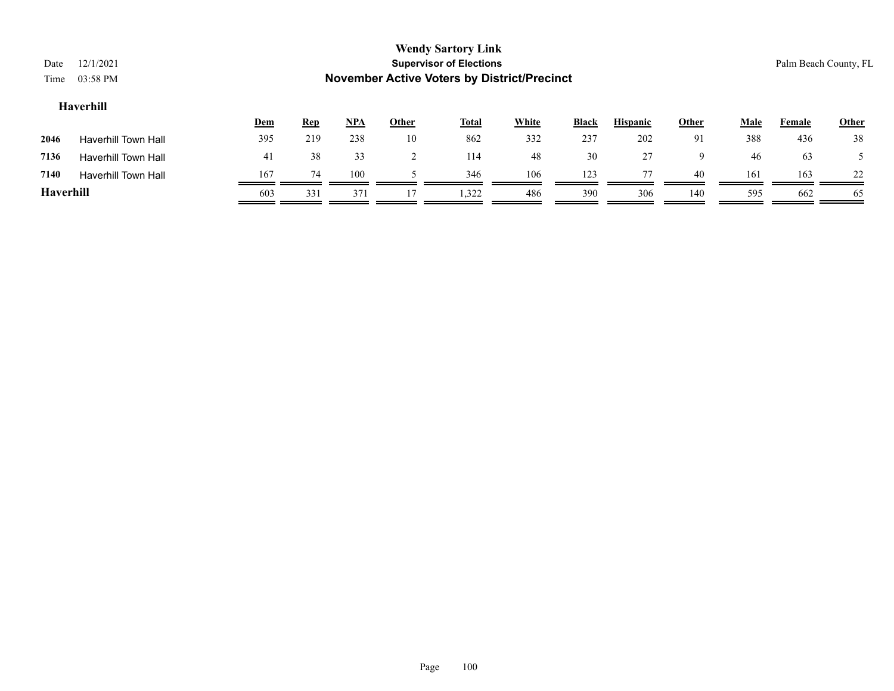| Date      | 12/1/2021                  |     |            |       |              | <b>Wendy Sartory Link</b><br><b>Supervisor of Elections</b> |              |              |                 |       |             | Palm Beach County, FL |              |
|-----------|----------------------------|-----|------------|-------|--------------|-------------------------------------------------------------|--------------|--------------|-----------------|-------|-------------|-----------------------|--------------|
| Time      | 03:58 PM                   |     |            |       |              | <b>November Active Voters by District/Precinct</b>          |              |              |                 |       |             |                       |              |
|           | Haverhill                  |     |            |       |              |                                                             |              |              |                 |       |             |                       |              |
|           |                            | Dem | <b>Rep</b> | $NPA$ | <b>Other</b> | <b>Total</b>                                                | <b>White</b> | <b>Black</b> | <b>Hispanic</b> | Other | <b>Male</b> | Female                | <b>Other</b> |
| 2046      | Haverhill Town Hall        | 395 | 219        | 238   | 10           | 862                                                         | 332          | 237          | 202             | 91    | 388         | 436                   | 38           |
| 7136      | <b>Haverhill Town Hall</b> | 41  | 38         | 33    |              | 114                                                         | 48           | 30           | 27              | 9     | 46          | 63                    |              |
| 7140      | <b>Haverhill Town Hall</b> | 167 | 74         | 100   |              | 346                                                         | 106          | 123          | 77              | 40    | 161         | 163                   | 22           |
| Haverhill |                            | 603 | 331        | 371   |              | 1,322                                                       | 486          | 390          | 306             | 140   | 595         | 662                   | -65          |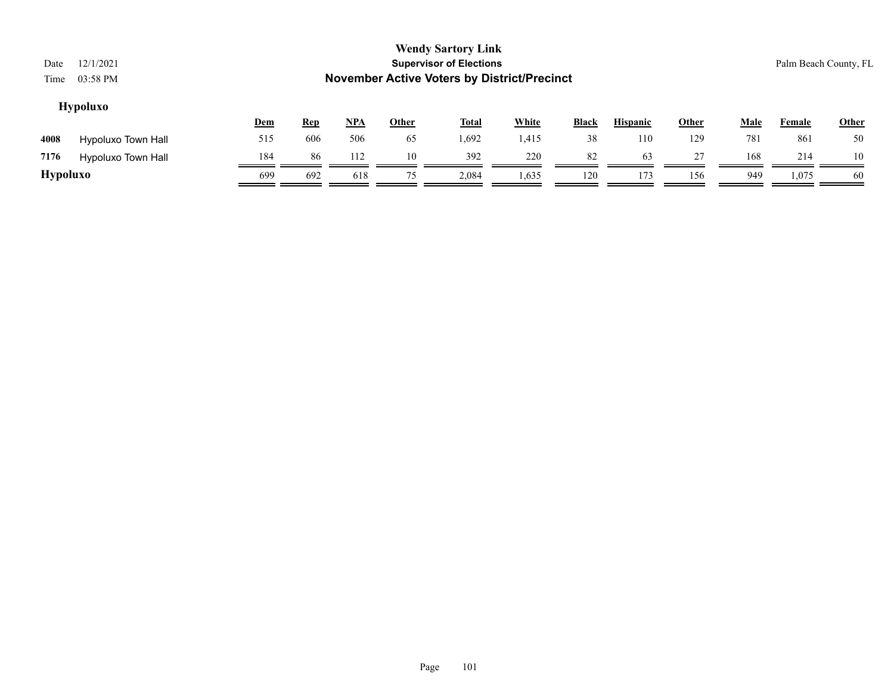| Date            | 12/1/2021          |     |                                                    |            |              | <b>Wendy Sartory Link</b><br><b>Supervisor of Elections</b> |              |              |                 |              |             | Palm Beach County, FL |              |  |
|-----------------|--------------------|-----|----------------------------------------------------|------------|--------------|-------------------------------------------------------------|--------------|--------------|-----------------|--------------|-------------|-----------------------|--------------|--|
| Time            | 03:58 PM           |     | <b>November Active Voters by District/Precinct</b> |            |              |                                                             |              |              |                 |              |             |                       |              |  |
|                 | <b>Hypoluxo</b>    |     |                                                    |            |              |                                                             |              |              |                 |              |             |                       |              |  |
|                 |                    | Dem | <u>Rep</u>                                         | <u>NPA</u> | <b>Other</b> | <b>Total</b>                                                | <b>White</b> | <b>Black</b> | <b>Hispanic</b> | <b>Other</b> | <b>Male</b> | <b>Female</b>         | <b>Other</b> |  |
| 4008            | Hypoluxo Town Hall | 515 | 606                                                | 506        | 65           | 1,692                                                       | 1,415        | 38           | 110             | 129          | 781         | 861                   | 50           |  |
| 7176            | Hypoluxo Town Hall | 184 | 86                                                 | 112        | 10           | 392                                                         | 220          | 82           | 63              | 27           | 168         | 214                   | 10           |  |
| <b>Hypoluxo</b> |                    | 699 | 692                                                | 618        | 75           | 2.084                                                       | 1,635        | 120          | 173             | 156          | 949         | 1,075                 | -60          |  |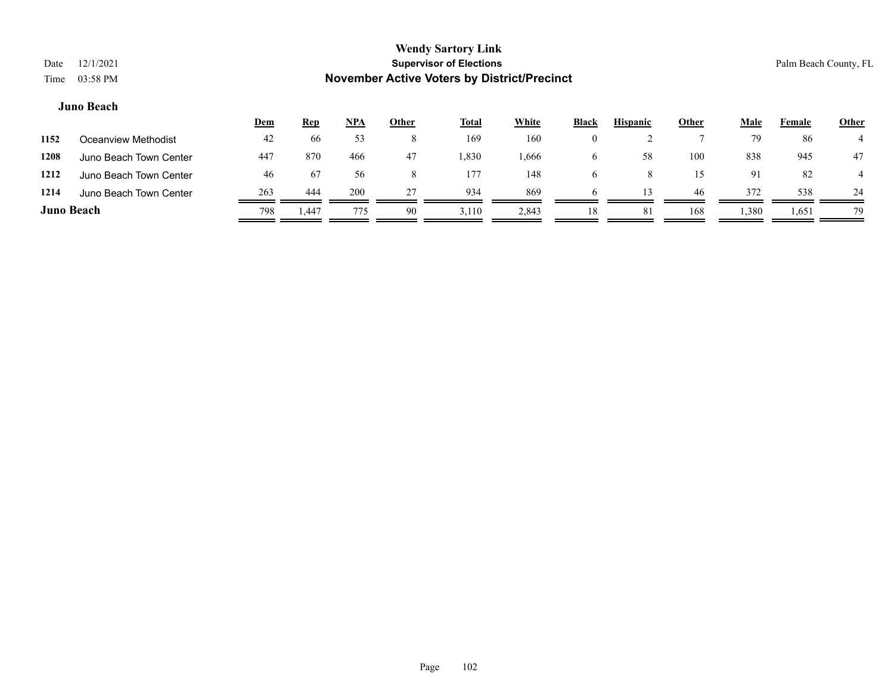|                   |                        | <u>Dem</u> | <u>Rep</u>        | <u>NPA</u> | <u>Other</u> | <b>Total</b> | White | <b>Black</b> | <b>Hispanic</b> | Other | <u>Male</u> | Female | Other |
|-------------------|------------------------|------------|-------------------|------------|--------------|--------------|-------|--------------|-----------------|-------|-------------|--------|-------|
| 1152              | Oceanview Methodist    | 42         | 66                | 52         |              | 169          | 160   |              |                 |       | 79          | 86     |       |
| 1208              | Juno Beach Town Center | 447        | 870               | 466        | 47           | .330         | 1,666 |              | 58              | 100   | 838         | 945    | 47    |
| 1212              | Juno Beach Town Center | 46         | 67                | 56         |              | 177          | 148   |              |                 |       | 91          | 82     |       |
| 1214              | Juno Beach Town Center | 263        | 444               | 200        | 27           | 934          | 869   |              |                 | -46   | 372         | 538    | 24    |
| <b>Juno Beach</b> |                        | 798        | <sub>1</sub> .447 | 775        | 90           | 3,110        | 2,843 |              | 8               | 168   | 1,380       | 1,651  | 79    |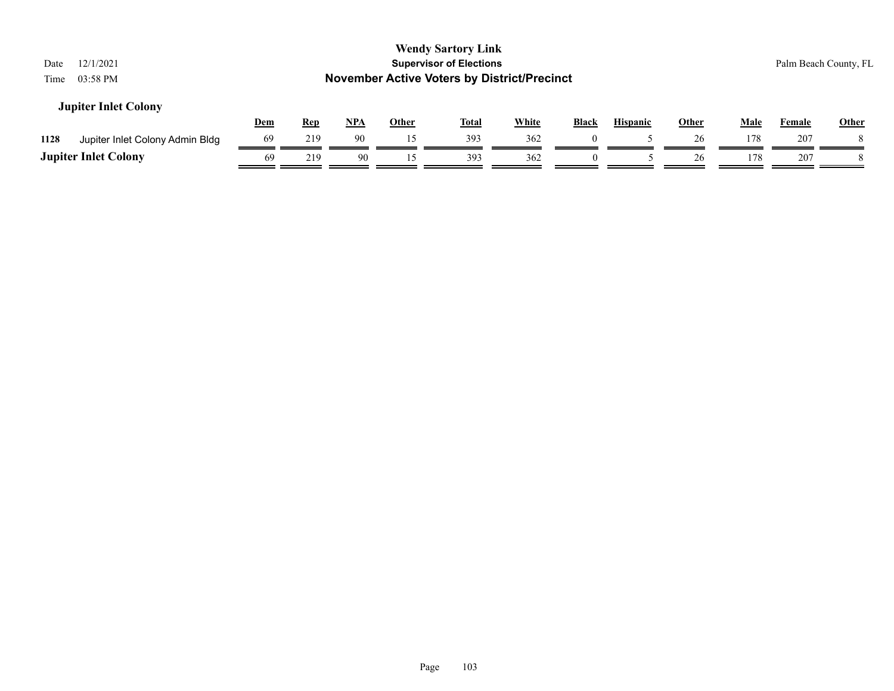| 12/1/2021<br>Date<br>03:58 PM<br>Time   |            |            |            |              | <b>Wendy Sartory Link</b><br><b>Supervisor of Elections</b><br><b>November Active Voters by District/Precinct</b> |              |          |                 |              |             | Palm Beach County, FL |              |
|-----------------------------------------|------------|------------|------------|--------------|-------------------------------------------------------------------------------------------------------------------|--------------|----------|-----------------|--------------|-------------|-----------------------|--------------|
| <b>Jupiter Inlet Colony</b>             | <b>Dem</b> | <b>Rep</b> | <u>NPA</u> | <b>Other</b> | <u>Total</u>                                                                                                      | <b>White</b> | Black    | <b>Hispanic</b> | <b>Other</b> | <b>Male</b> | Female                | <b>Other</b> |
| 1128<br>Jupiter Inlet Colony Admin Bldg | 69         | 219        | 90         | 15           | 393                                                                                                               | 362          |          |                 | 26           | 178         | 207                   |              |
| <b>Jupiter Inlet Colony</b>             | 69         | 219        | 90         | 15           | 393                                                                                                               | 362          | $\theta$ |                 | 26           | 178         | 207                   |              |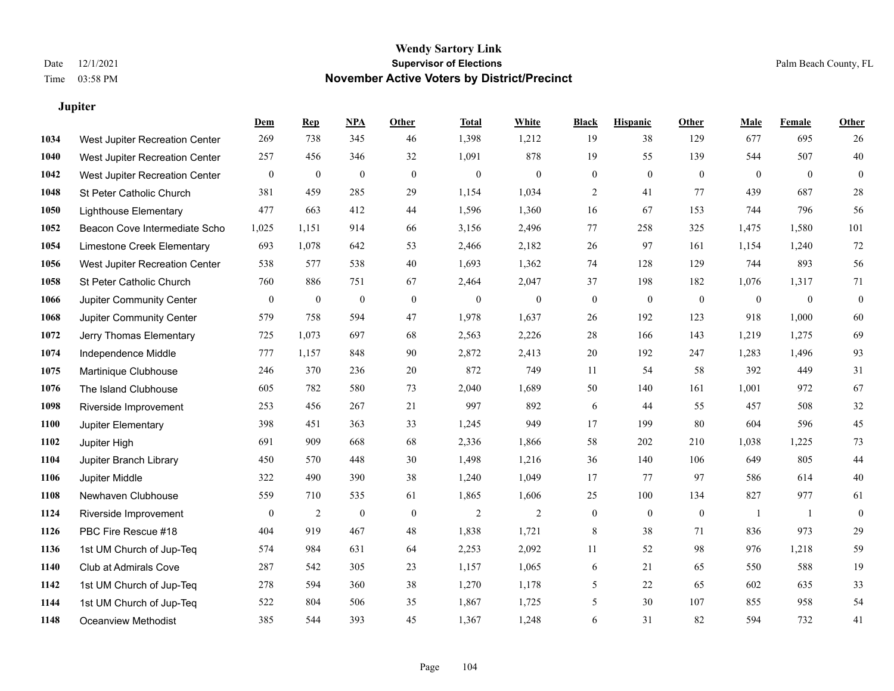**Jupiter**

### **Wendy Sartory Link** Date 12/1/2021 **Supervisor of Elections** Palm Beach County, FL Time 03:58 PM **November Active Voters by District/Precinct**

**Dem Rep NPA Other Total White Black Hispanic Other Male Female Other**

## West Jupiter Recreation Center 269 738 345 46 1,398 1,212 19 38 129 677 695 26 West Jupiter Recreation Center 257 456 346 32 1,091 878 19 55 139 544 507 40 West Jupiter Recreation Center 0 0 0 0 0 0 0 0 0 0 0 0 St Peter Catholic Church 381 459 285 29 1,154 1,034 2 41 77 439 687 28 Lighthouse Elementary 477 663 412 44 1,596 1,360 16 67 153 744 796 56 Beacon Cove Intermediate School 1,025 1,151 914 66 3,156 2,496 77 258 325 1,475 1,580 101 Limestone Creek Elementary 693 1,078 642 53 2,466 2,182 26 97 161 1,154 1,240 72 West Jupiter Recreation Center 538 577 538 40 1,693 1,362 74 128 129 744 893 56 St Peter Catholic Church 760 886 751 67 2,464 2,047 37 198 182 1,076 1,317 71 Jupiter Community Center 0 0 0 0 0 0 0 0 0 0 0 0 Jupiter Community Center 579 758 594 47 1,978 1,637 26 192 123 918 1,000 60 Jerry Thomas Elementary 725 1,073 697 68 2,563 2,226 28 166 143 1,219 1,275 69 Independence Middle 777 1,157 848 90 2,872 2,413 20 192 247 1,283 1,496 93 Martinique Clubhouse 246 370 236 20 872 749 11 54 58 392 449 31 The Island Clubhouse 605 782 580 73 2,040 1,689 50 140 161 1,001 972 67 Riverside Improvement 253 456 267 21 997 892 6 44 55 457 508 32 Jupiter Elementary 398 451 363 33 1,245 949 17 199 80 604 596 45 Jupiter High 691 909 668 68 2,336 1,866 58 202 210 1,038 1,225 73 Jupiter Branch Library 450 570 448 30 1,498 1,216 36 140 106 649 805 44 Jupiter Middle 322 490 390 38 1,240 1,049 17 77 97 586 614 40

| 1108 | Newhaven Clubhouse       | 559          | 710 | 535 | 61 | 1,865 | 1,606 | 25           | 100 | 134      | 827 | 977   | -61            |
|------|--------------------------|--------------|-----|-----|----|-------|-------|--------------|-----|----------|-----|-------|----------------|
| 1124 | Riverside Improvement    | $\mathbf{0}$ |     |     | 0  | ∠     |       |              |     | $\bf{0}$ |     |       | $\overline{0}$ |
| 1126 | PBC Fire Rescue #18      | 404          | 919 | 467 | 48 | 1,838 | 1,721 | 8            | 38  | 71       | 836 | 973   | 29             |
| 1136 | 1st UM Church of Jup-Teq | 574          | 984 | 631 | 64 | 2,253 | 2,092 |              | 52  | 98       | 976 | 1,218 | 59             |
| 1140 | Club at Admirals Cove    | 287          | 542 | 305 | 23 | 1,157 | 1,065 | <sub>0</sub> | 21  | 65       | 550 | 588   | 19             |
| 1142 | 1st UM Church of Jup-Teq | 278          | 594 | 360 | 38 | 1,270 | 1,178 |              | 22  | 65       | 602 | 635   | 33             |
| 1144 | 1st UM Church of Jup-Teq | 522          | 804 | 506 | 35 | 1,867 | 1,725 |              | 30  | 107      | 855 | 958   | 54             |
| 1148 | Oceanview Methodist      | 385          | 544 | 393 | 45 | 1,367 | 1,248 | b.           | 31  | 82       | 594 | 732   | 41             |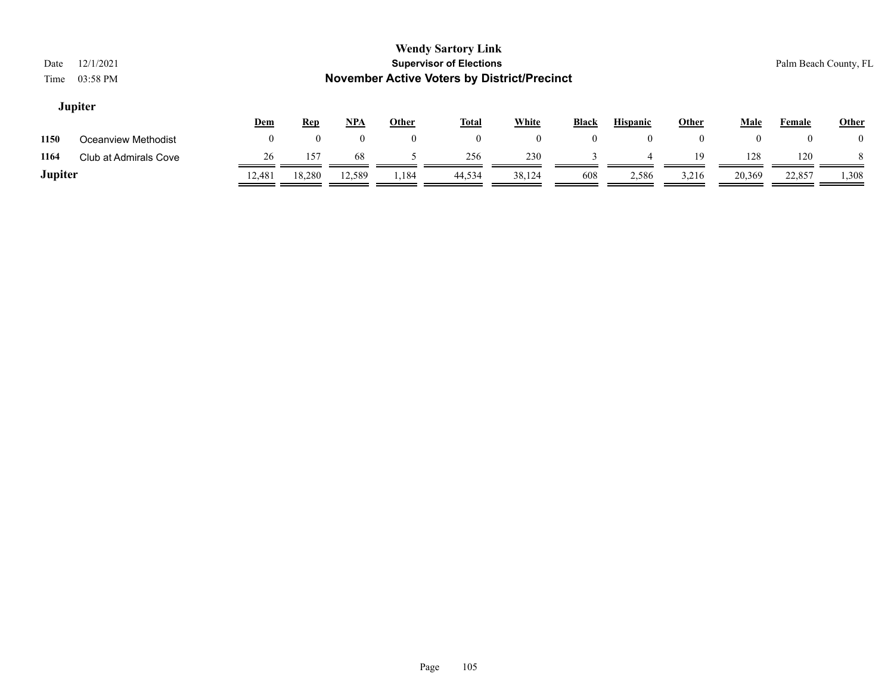| Date<br>Time   | 12/1/2021<br>03:58 PM |            |            |            |              | <b>Wendy Sartory Link</b><br><b>Supervisor of Elections</b><br><b>November Active Voters by District/Precinct</b> |          |                |                 |                |        |        | Palm Beach County, FL |
|----------------|-----------------------|------------|------------|------------|--------------|-------------------------------------------------------------------------------------------------------------------|----------|----------------|-----------------|----------------|--------|--------|-----------------------|
|                | <b>Jupiter</b>        | <u>Dem</u> | <b>Rep</b> | <u>NPA</u> | <b>Other</b> | <u>Total</u>                                                                                                      | White    | <b>Black</b>   | <b>Hispanic</b> | <b>Other</b>   | Male   | Female | Other                 |
| 1150           | Oceanview Methodist   | $\theta$   | $\theta$   | $\theta$   | $\theta$     | $\overline{0}$                                                                                                    | $\theta$ | $\overline{0}$ | $\theta$        | $\overline{0}$ | 0      |        | $\bf{0}$              |
| 1164           | Club at Admirals Cove | 26         | 157        | -68        |              | 256                                                                                                               | 230      |                |                 | 19             | 128    | 120    |                       |
| <b>Jupiter</b> |                       | 12,481     | 18,280     | 12,589     | 1,184        | 44,534                                                                                                            | 38,124   | 608            | 2,586           | 3,216          | 20,369 | 22,857 | 1,308                 |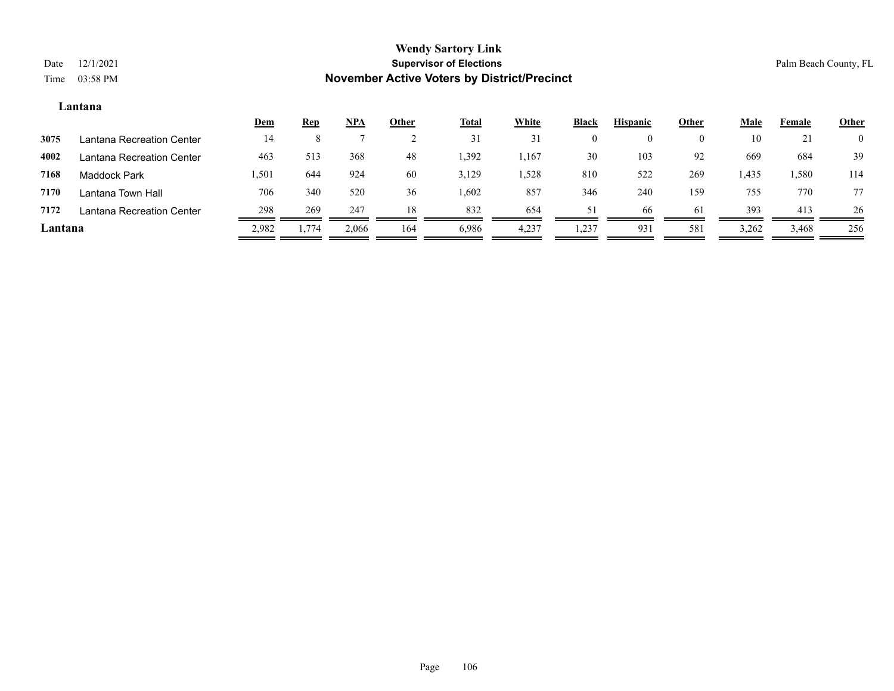### **Lantana**

|         |                           | <u>Dem</u> | <u>Rep</u> | <u>NPA</u> | Other | <b>Total</b> | White | <b>Black</b> | <b>Hispanic</b> | Other    | Male  | Female   | <b>Other</b>   |
|---------|---------------------------|------------|------------|------------|-------|--------------|-------|--------------|-----------------|----------|-------|----------|----------------|
| 3075    | Lantana Recreation Center | 14         |            |            |       | 31           | 31    |              |                 | $\theta$ | 10    | $\sim$ 1 | $\overline{0}$ |
| 4002    | Lantana Recreation Center | 463        | 513        | 368        | 48    | .392         | 1,167 | 30           | 103             | 92       | 669   | 684      | 39             |
| 7168    | <b>Maddock Park</b>       | 1,501      | 644        | 924        | 60    | 3,129        | .,528 | 810          | 522             | 269      | 1,435 | 1,580    | 114            |
| 7170    | Lantana Town Hall         | 706        | 340        | 520        | 36    | .602         | 857   | 346          | 240             | 159      | 755   | 770      | 77             |
| 7172    | Lantana Recreation Center | 298        | 269        | 247        | 18    | 832          | 654   | 51           | -66             | 61       | 393   | 413      | 26             |
| Lantana |                           | 2,982      | 1,774      | 2,066      | 164   | 6,986        | 4,237 | 1,237        | 931             | 581      | 3,262 | 3,468    | 256            |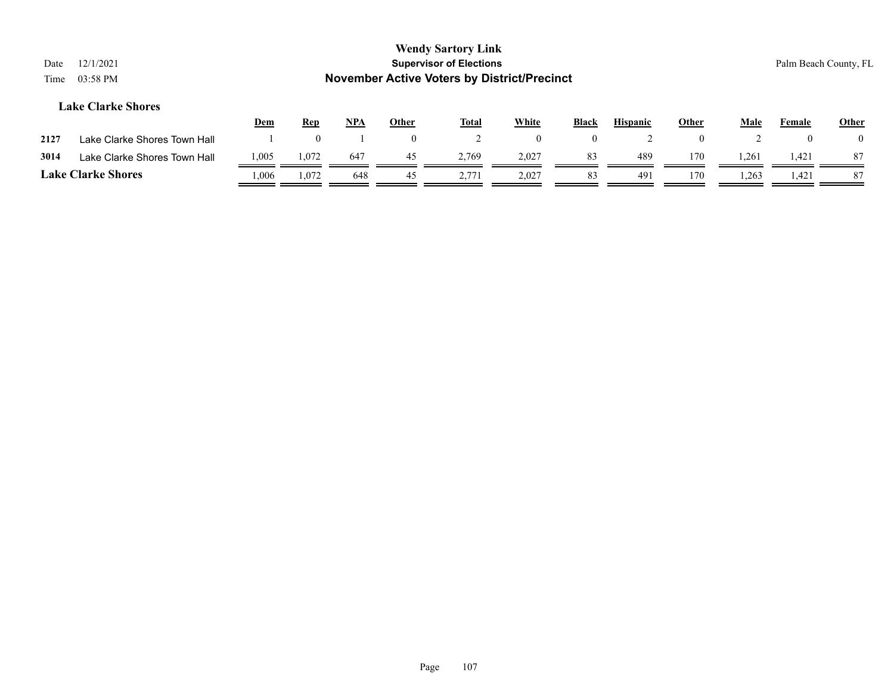| Date<br>Time | 12/1/2021<br>03:58 PM        |       |            |            |              | <b>Wendy Sartory Link</b><br><b>Supervisor of Elections</b><br><b>November Active Voters by District/Precinct</b> |              |          |                 |              |       |        | Palm Beach County, FL |
|--------------|------------------------------|-------|------------|------------|--------------|-------------------------------------------------------------------------------------------------------------------|--------------|----------|-----------------|--------------|-------|--------|-----------------------|
|              | <b>Lake Clarke Shores</b>    | Dem   | <u>Rep</u> | <b>NPA</b> | <b>Other</b> | <b>Total</b>                                                                                                      | <b>White</b> | Black    | <b>Hispanic</b> | <b>Other</b> | Male  | Female | <b>Other</b>          |
| 2127         | Lake Clarke Shores Town Hall |       |            |            | $\mathbf{0}$ | 2                                                                                                                 | $\mathbf{0}$ | $\theta$ |                 | $\mathbf{0}$ |       |        |                       |
| 3014         | Lake Clarke Shores Town Hall | 1,005 | 1.072      | 647        | 45           | 2.769                                                                                                             | 2,027        | 83       | 489             | 170          | 1,261 | 1,421  | 87                    |
|              | <b>Lake Clarke Shores</b>    | 0.006 | 1,072      | 648        | 45           | 2,771                                                                                                             | 2,027        | 83       | 491             | 170          | 1,263 | 1,421  | 87                    |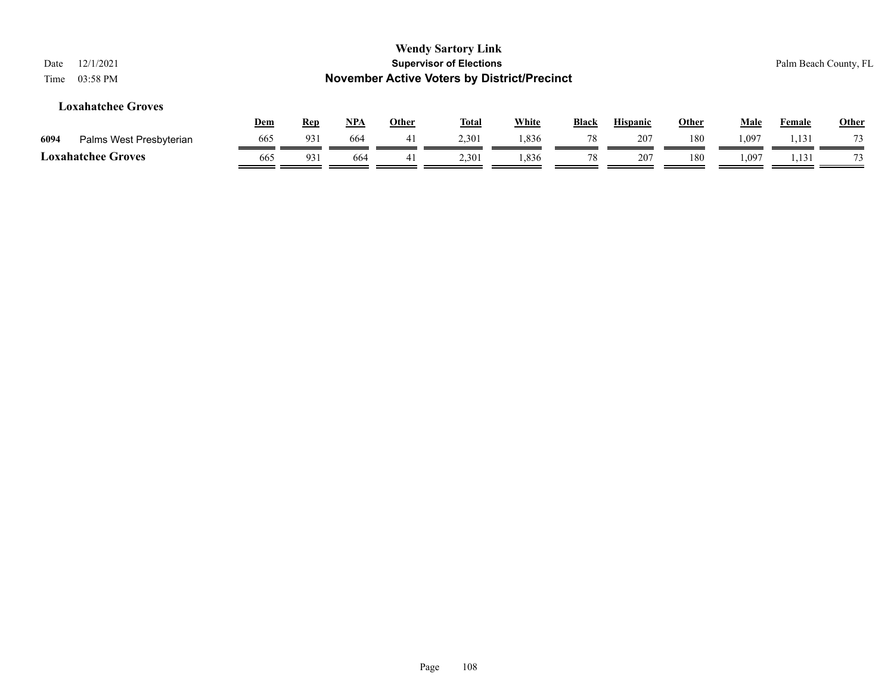| <b>Wendy Sartory Link</b><br><b>Supervisor of Elections</b><br>12/1/2021<br>Date<br><b>November Active Voters by District/Precinct</b><br>03:58 PM<br>Time |     |            |            |              |              |              |              |                 |              |             |               | Palm Beach County, FL |
|------------------------------------------------------------------------------------------------------------------------------------------------------------|-----|------------|------------|--------------|--------------|--------------|--------------|-----------------|--------------|-------------|---------------|-----------------------|
| <b>Loxahatchee Groves</b>                                                                                                                                  | Dem | <b>Rep</b> | <u>NPA</u> | <b>Other</b> | <b>Total</b> | <b>White</b> | <b>Black</b> | <b>Hispanic</b> | <b>Other</b> | <b>Male</b> | <b>Female</b> | <b>Other</b>          |
| 6094<br>Palms West Presbyterian                                                                                                                            | 665 | 931        | 664        | 41           | 2,301        | 1,836        | 78           | 207             | 180          | 1,097       | 1,131         |                       |
| <b>Loxahatchee Groves</b>                                                                                                                                  | 665 | 931        | 664        | 41           | 2,301        | 1,836        | 78           | 207             | 180          | 1,097       | 1,131         | 73                    |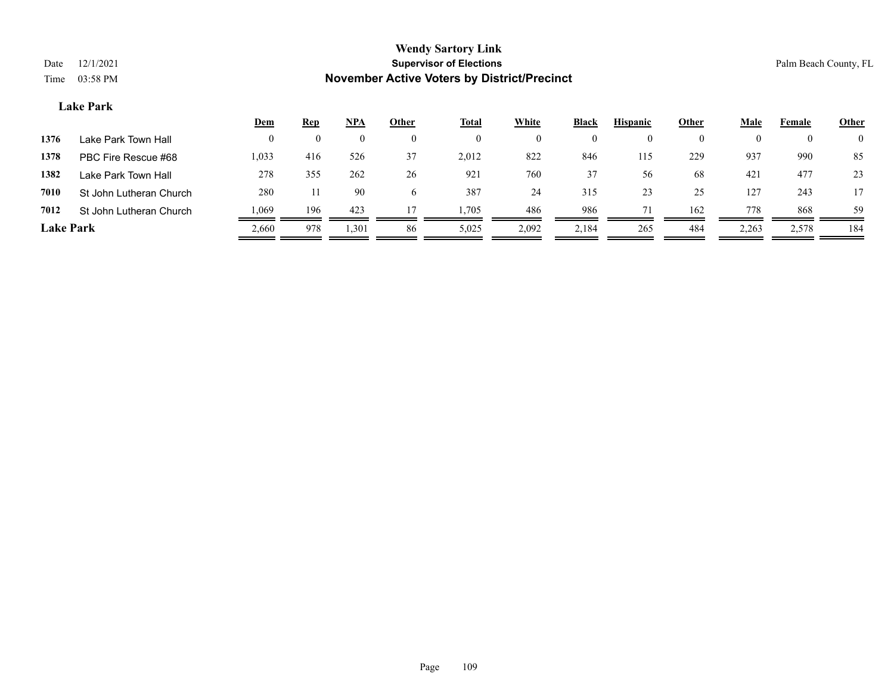#### **Lake Park**

|                  |                         | <u>Dem</u> | <b>Rep</b> | <u>NPA</u> | Other        | <u>Total</u> | <b>White</b> | <b>Black</b>       | <b>Hispanic</b> | Other | Male  | Female   | <b>Other</b>   |
|------------------|-------------------------|------------|------------|------------|--------------|--------------|--------------|--------------------|-----------------|-------|-------|----------|----------------|
| 1376             | Lake Park Town Hall     | $\theta$   | $\theta$   | $\theta$   | $_{0}$       | $\bf{0}$     |              | $\left( 0 \right)$ | $\theta$        |       |       | $\theta$ | $\overline{0}$ |
| 1378             | PBC Fire Rescue #68     | 1,033      | 416        | 526        | 37           | 2,012        | 822          | 846                | 115             | 229   | 937   | 990      | 85             |
| 1382             | Lake Park Town Hall     | 278        | 355        | 262        | 26           | 921          | 760          | 37                 | 56              | 68    | 421   | 477      | 23             |
| 7010             | St John Lutheran Church | 280        |            | 90         | <sub>(</sub> | 387          | 24           | 315                | 23              | 25    | 127   | 243      |                |
| 7012             | St John Lutheran Church | .069       | 196        | 423        | 17           | 1,705        | 486          | 986                |                 | 162   | 778   | 868      | 59             |
| <b>Lake Park</b> |                         | 2,660      | 978        | 1,301      | 86           | 5,025        | 2,092        | 2,184              | 265             | 484   | 2,263 | 2,578    | 184            |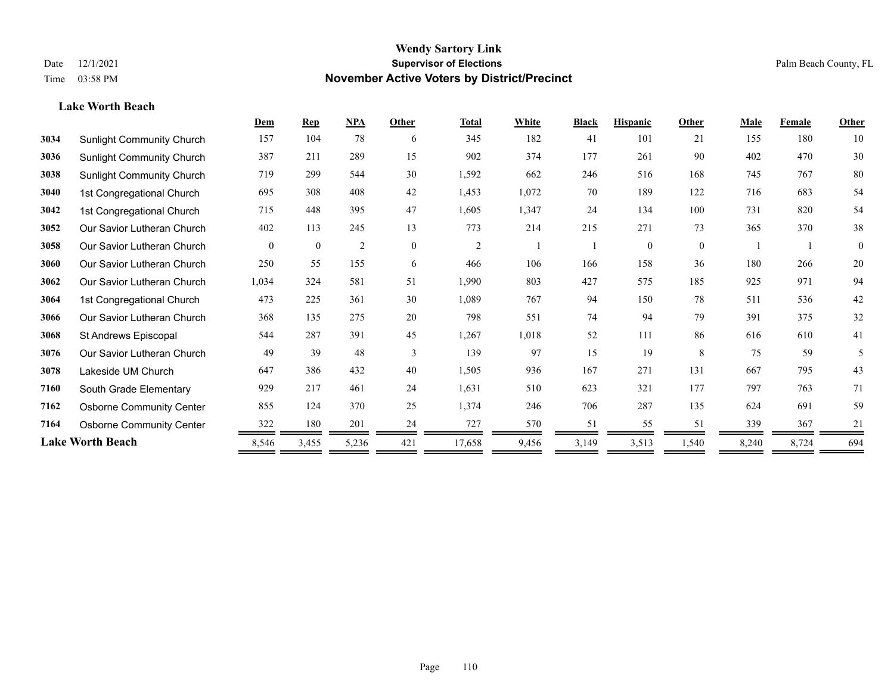**Lake Worth Beach**

#### **Wendy Sartory Link** Date 12/1/2021 **Supervisor of Elections** Palm Beach County, FL Time 03:58 PM **November Active Voters by District/Precinct**

# **Dem Rep NPA Other Total White Black Hispanic Other Male Female Other** Sunlight Community Church 157 104 78 6 345 182 41 101 21 155 180 10

| ບ∪ບ⊤ | odiniğin odinmanlıy onardır      | $\sim$   | 101            |       |                |                | 104   |       | 101      |          | $\sim$ | 1 V V |              |
|------|----------------------------------|----------|----------------|-------|----------------|----------------|-------|-------|----------|----------|--------|-------|--------------|
| 3036 | Sunlight Community Church        | 387      | 211            | 289   | 15             | 902            | 374   | 177   | 261      | 90       | 402    | 470   | $30\,$       |
| 3038 | <b>Sunlight Community Church</b> | 719      | 299            | 544   | 30             | 1,592          | 662   | 246   | 516      | 168      | 745    | 767   | 80           |
| 3040 | 1st Congregational Church        | 695      | 308            | 408   | 42             | 1,453          | 1,072 | 70    | 189      | 122      | 716    | 683   | 54           |
| 3042 | 1st Congregational Church        | 715      | 448            | 395   | 47             | 1,605          | 1,347 | 24    | 134      | 100      | 731    | 820   | 54           |
| 3052 | Our Savior Lutheran Church       | 402      | 113            | 245   | 13             | 773            | 214   | 215   | 271      | 73       | 365    | 370   | 38           |
| 3058 | Our Savior Lutheran Church       | $\theta$ | $\overline{0}$ | 2     | $\overline{0}$ | $\overline{2}$ |       |       | $\theta$ | $\theta$ |        |       | $\mathbf{0}$ |
| 3060 | Our Savior Lutheran Church       | 250      | 55             | 155   | 6              | 466            | 106   | 166   | 158      | 36       | 180    | 266   | $20\,$       |
| 3062 | Our Savior Lutheran Church       | 1,034    | 324            | 581   | 51             | 1,990          | 803   | 427   | 575      | 185      | 925    | 971   | 94           |
| 3064 | 1st Congregational Church        | 473      | 225            | 361   | 30             | 1,089          | 767   | 94    | 150      | 78       | 511    | 536   | 42           |
| 3066 | Our Savior Lutheran Church       | 368      | 135            | 275   | 20             | 798            | 551   | 74    | 94       | 79       | 391    | 375   | 32           |
| 3068 | St Andrews Episcopal             | 544      | 287            | 391   | 45             | 1,267          | 1,018 | 52    | 111      | 86       | 616    | 610   | 41           |
| 3076 | Our Savior Lutheran Church       | 49       | 39             | 48    | 3              | 139            | 97    | 15    | 19       | 8        | 75     | 59    | 5            |
| 3078 | Lakeside UM Church               | 647      | 386            | 432   | 40             | 1,505          | 936   | 167   | 271      | 131      | 667    | 795   | 43           |
| 7160 | South Grade Elementary           | 929      | 217            | 461   | 24             | 1,631          | 510   | 623   | 321      | 177      | 797    | 763   | 71           |
| 7162 | <b>Osborne Community Center</b>  | 855      | 124            | 370   | 25             | 1,374          | 246   | 706   | 287      | 135      | 624    | 691   | 59           |
| 7164 | <b>Osborne Community Center</b>  | 322      | 180            | 201   | 24             | 727            | 570   | 51    | 55       | 51       | 339    | 367   | 21           |
|      | <b>Lake Worth Beach</b>          | 8,546    | 3,455          | 5,236 | 421            | 17,658         | 9,456 | 3,149 | 3,513    | 1,540    | 8,240  | 8,724 | 694          |
|      |                                  |          |                |       |                |                |       |       |          |          |        |       |              |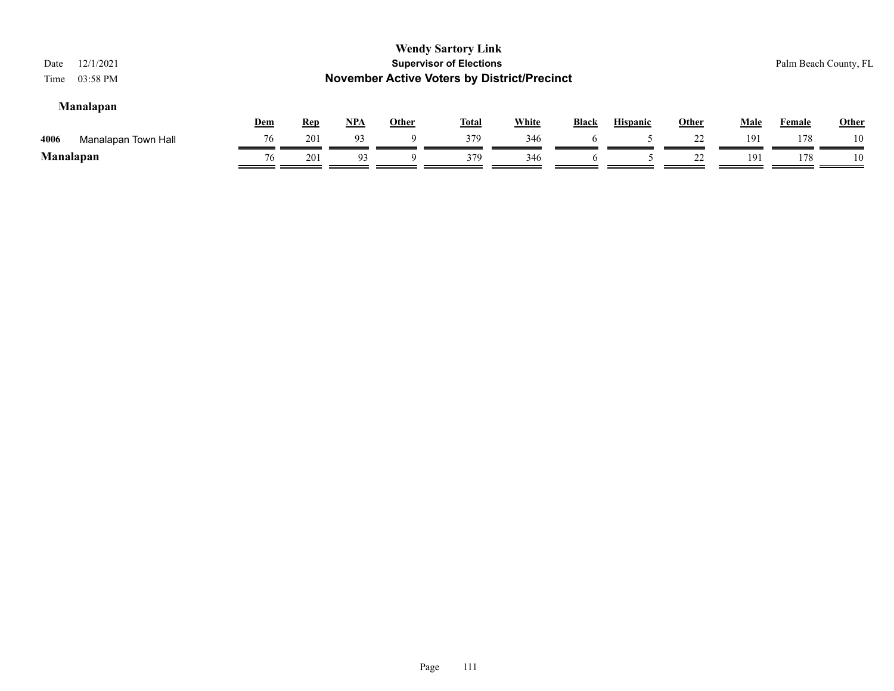| 12/1/2021<br>Date<br>03:58 PM<br>Time |     |            |            |              | <b>Wendy Sartory Link</b><br><b>Supervisor of Elections</b><br><b>November Active Voters by District/Precinct</b> |              |              |                 |              |             |        | Palm Beach County, FL |
|---------------------------------------|-----|------------|------------|--------------|-------------------------------------------------------------------------------------------------------------------|--------------|--------------|-----------------|--------------|-------------|--------|-----------------------|
| Manalapan                             | Dem | <u>Rep</u> | <u>NPA</u> | <u>Other</u> | <u>Total</u>                                                                                                      | <b>White</b> | <b>Black</b> | <b>Hispanic</b> | <b>Other</b> | <b>Male</b> | Female | <b>Other</b>          |
| 4006<br>Manalapan Town Hall           | 76  | 201        | 93         | Q            | 379                                                                                                               | 346          |              |                 | 22           | 191         | 178    | 10                    |
| Manalapan                             | 76  | 201        | 93         | Q            | 379                                                                                                               | 346          |              |                 | 22           | 191         | 178    | 10                    |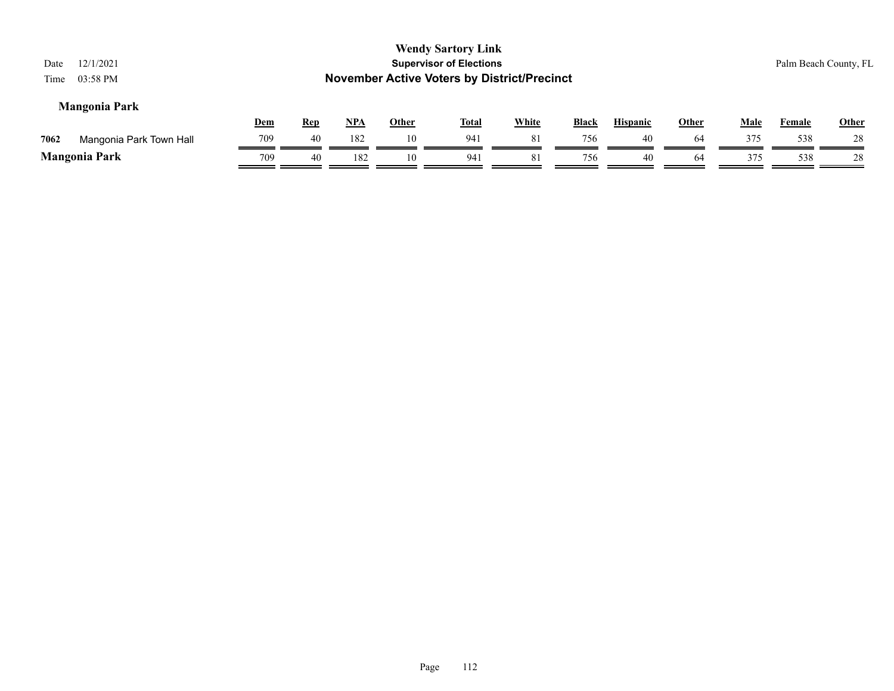| 12/1/2021<br>Date<br>03:58 PM<br>Time |            |            |            |              | <b>Wendy Sartory Link</b><br><b>Supervisor of Elections</b><br><b>November Active Voters by District/Precinct</b> |              |              |                 |              |             | Palm Beach County, FL |              |
|---------------------------------------|------------|------------|------------|--------------|-------------------------------------------------------------------------------------------------------------------|--------------|--------------|-----------------|--------------|-------------|-----------------------|--------------|
| <b>Mangonia Park</b>                  | <u>Dem</u> | <b>Rep</b> | <u>NPA</u> | <b>Other</b> | <b>Total</b>                                                                                                      | <b>White</b> | <b>Black</b> | <b>Hispanic</b> | <b>Other</b> | <b>Male</b> | <b>Female</b>         | <b>Other</b> |
| 7062<br>Mangonia Park Town Hall       | 709        | 40         | 182        | 10           | 941                                                                                                               | 81           | 756          | 40              | 64           | 375         | 538                   | 28           |
| <b>Mangonia Park</b>                  | 709        | 40         | 182        | 10           | 941                                                                                                               | 81           | 756          | 40              | 64           | 375         | 538                   | 28           |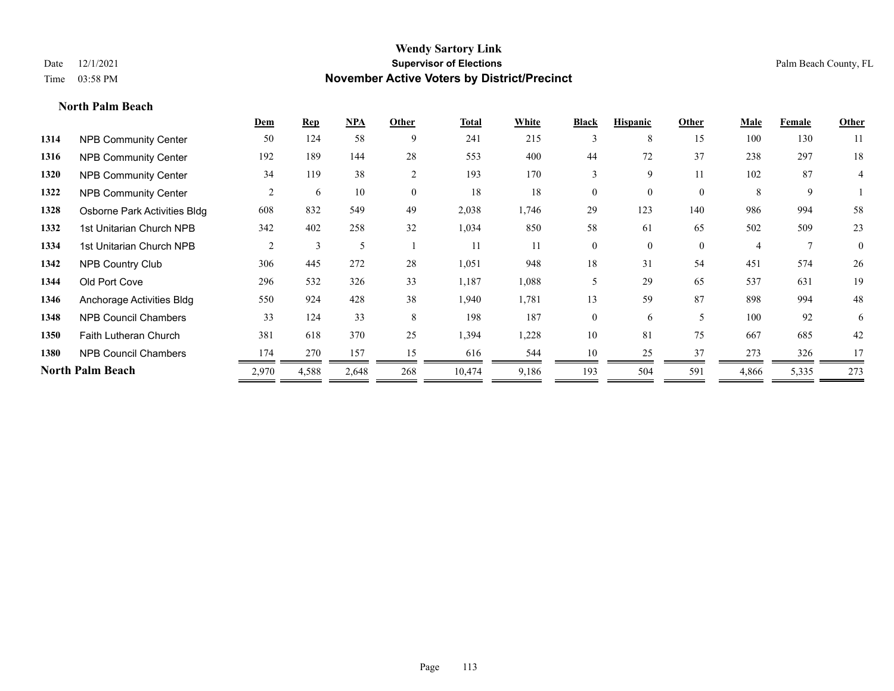**North Palm Beach**

#### **Wendy Sartory Link** Date 12/1/2021 **Supervisor of Elections** Palm Beach County, FL Time 03:58 PM **November Active Voters by District/Precinct**

|                              | Dem            | $\mathbf{Rep}$ | NPA   | Other          | <b>Total</b> | White | <b>Black</b>   | <b>Hispanic</b> | Other                    | Male  | Female       | Other        |
|------------------------------|----------------|----------------|-------|----------------|--------------|-------|----------------|-----------------|--------------------------|-------|--------------|--------------|
| <b>NPB Community Center</b>  | 50             | 124            | 58    | 9              | 241          | 215   | 3              | 8               | 15                       | 100   | 130          | 11           |
| <b>NPB Community Center</b>  | 192            | 189            | 144   | 28             | 553          | 400   | 44             | 72              | 37                       | 238   | 297          | 18           |
| <b>NPB Community Center</b>  | 34             | 119            | 38    | $\overline{2}$ | 193          | 170   | 3              | 9               | 11                       | 102   | 87           | 4            |
| <b>NPB Community Center</b>  | 2              | 6              | 10    | $\overline{0}$ | 18           | 18    | $\overline{0}$ | $\overline{0}$  | $\mathbf{0}$             | 8     | 9            |              |
| Osborne Park Activities Bldg | 608            | 832            | 549   | 49             | 2,038        | 1,746 | 29             | 123             | 140                      | 986   | 994          | 58           |
| 1st Unitarian Church NPB     | 342            | 402            | 258   | 32             | 1,034        | 850   | 58             | 61              | 65                       | 502   | 509          | 23           |
| 1st Unitarian Church NPB     | $\overline{2}$ | 3              | 5     |                | 11           | 11    | $\theta$       | $\theta$        | $\theta$                 | 4     | $\mathbf{7}$ | $\mathbf{0}$ |
| <b>NPB Country Club</b>      | 306            | 445            | 272   | 28             | 1,051        | 948   | 18             | 31              | 54                       | 451   | 574          | 26           |
| Old Port Cove                | 296            | 532            | 326   | 33             | 1,187        | 1,088 | 5              | 29              | 65                       | 537   | 631          | 19           |
| Anchorage Activities Bldg    | 550            | 924            | 428   | 38             | 1,940        | 1,781 | 13             | 59              | 87                       | 898   | 994          | 48           |
| <b>NPB Council Chambers</b>  | 33             | 124            | 33    | 8              | 198          | 187   | $\Omega$       | 6               | $\overline{\phantom{0}}$ | 100   | 92           | 6            |
| Faith Lutheran Church        | 381            | 618            | 370   | 25             | 1,394        | 1,228 | 10             | 81              | 75                       | 667   | 685          | 42           |
| <b>NPB Council Chambers</b>  | 174            | 270            | 157   | 15             | 616          | 544   | 10             | 25              | 37                       | 273   | 326          | 17           |
| <b>North Palm Beach</b>      | 2,970          | 4,588          | 2,648 | 268            | 10,474       | 9,186 | 193            | 504             | 591                      | 4,866 | 5,335        | 273          |
|                              |                |                |       |                |              |       |                |                 |                          |       |              |              |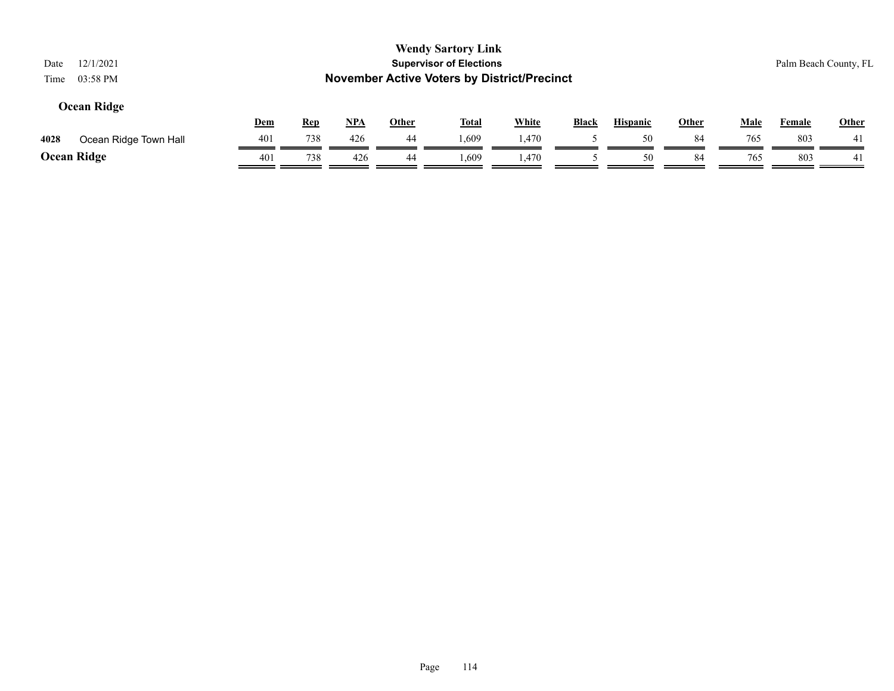| 12/1/2021<br>Date<br>03:58 PM<br>Time |     |            |            |              | <b>Wendy Sartory Link</b><br><b>Supervisor of Elections</b><br><b>November Active Voters by District/Precinct</b> |              |              |                 |              |             | Palm Beach County, FL |              |
|---------------------------------------|-----|------------|------------|--------------|-------------------------------------------------------------------------------------------------------------------|--------------|--------------|-----------------|--------------|-------------|-----------------------|--------------|
| Ocean Ridge                           | Dem | <b>Rep</b> | <u>NPA</u> | <b>Other</b> | <u>Total</u>                                                                                                      | <b>White</b> | <b>Black</b> | <b>Hispanic</b> | <b>Other</b> | <b>Male</b> | Female                | <b>Other</b> |
| 4028<br>Ocean Ridge Town Hall         | 401 | 738        | 426        | 44           | 1,609                                                                                                             | l.470        |              | 50              | 84           | 765         | 803                   | 41           |
| Ocean Ridge                           | 401 | 738        | 426        | 44           | 1.609                                                                                                             | 1,470        |              | 50              | 84           | 765         | 803                   | 41           |

# Page 114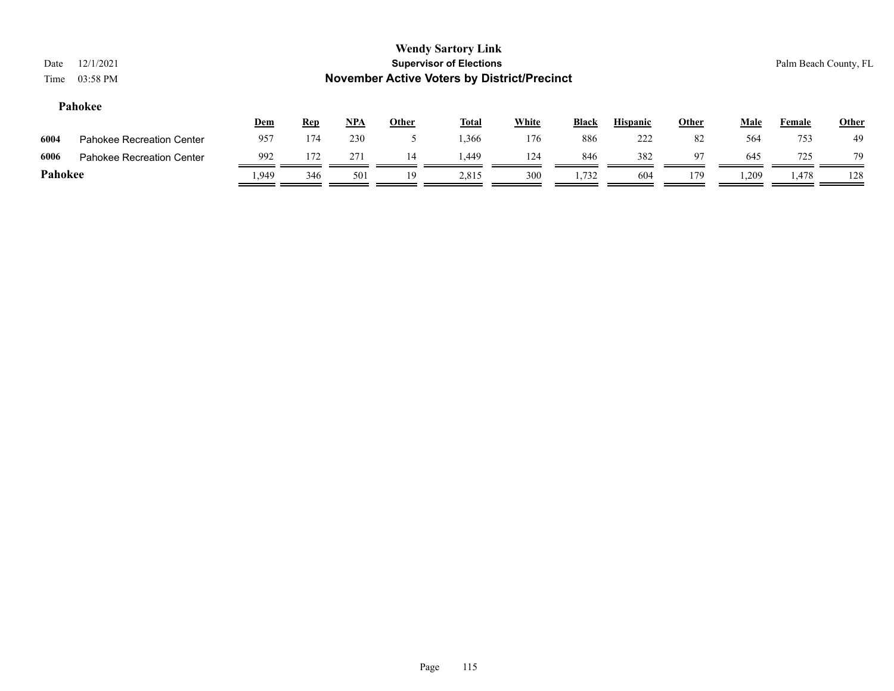| Date<br>Time                                                                                                                                                           | 12/1/2021<br>03:58 PM            |      |     |     |    | <b>Wendy Sartory Link</b><br><b>Supervisor of Elections</b><br><b>November Active Voters by District/Precinct</b> |     |       |     |     |       | Palm Beach County, FL |             |
|------------------------------------------------------------------------------------------------------------------------------------------------------------------------|----------------------------------|------|-----|-----|----|-------------------------------------------------------------------------------------------------------------------|-----|-------|-----|-----|-------|-----------------------|-------------|
| Pahokee<br><b>White</b><br><b>Hispanic</b><br><u>NPA</u><br><b>Other</b><br><b>Black</b><br><b>Other</b><br><b>Male</b><br>Dem<br><b>Rep</b><br><u>Total</u><br>Female |                                  |      |     |     |    |                                                                                                                   |     |       |     |     |       |                       |             |
| 6004                                                                                                                                                                   | <b>Pahokee Recreation Center</b> | 957  | 174 | 230 |    | 1,366                                                                                                             | 176 | 886   | 222 | 82  | 564   | 753                   | Other<br>49 |
| 6006                                                                                                                                                                   | <b>Pahokee Recreation Center</b> | 992  | 172 | 271 | 14 | 1,449                                                                                                             | 124 | 846   | 382 | 97  | 645   | 725                   | 79          |
| Pahokee                                                                                                                                                                |                                  | .949 | 346 | 501 | 19 | 2,815                                                                                                             | 300 | 1,732 | 604 | 179 | 1,209 | 1,478                 | 128         |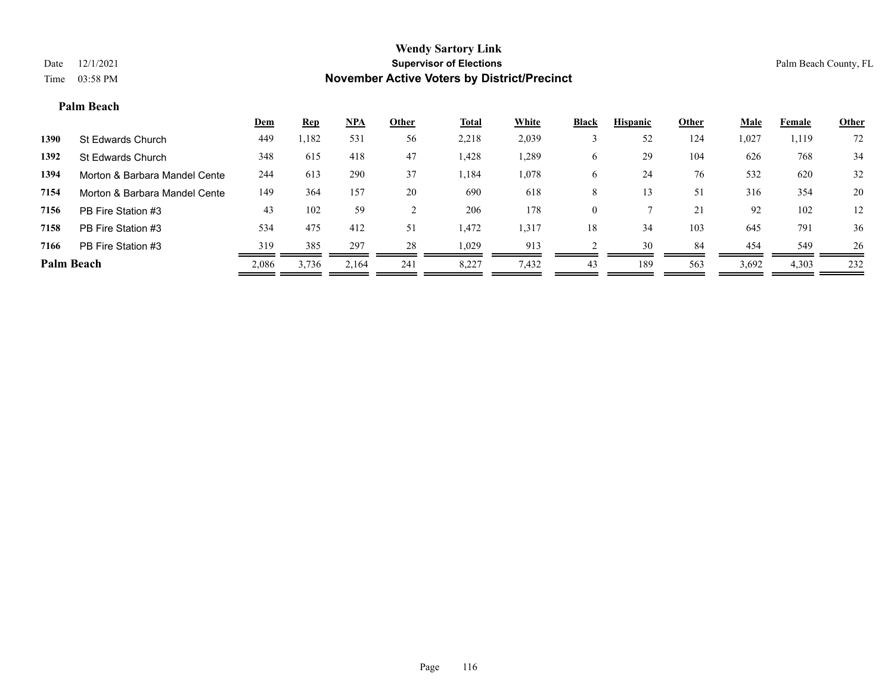#### **Palm Beach**

|                   |                               | <b>Dem</b> | <b>Rep</b> | NPA   | Other | <b>Total</b> | White | <b>Black</b> | <b>Hispanic</b> | Other | Male  | Female | <b>Other</b> |
|-------------------|-------------------------------|------------|------------|-------|-------|--------------|-------|--------------|-----------------|-------|-------|--------|--------------|
| 1390              | St Edwards Church             | 449        | 1,182      | 531   | 56    | 2,218        | 2,039 |              | 52              | 124   | 1,027 | 1,119  | 72           |
| 1392              | St Edwards Church             | 348        | 615        | 418   | 47    | 1,428        | .289  | O            | 29              | 104   | 626   | 768    | 34           |
| 1394              | Morton & Barbara Mandel Cente | 244        | 613        | 290   | 37    | 1,184        | 1,078 | O            | 24              | 76    | 532   | 620    | 32           |
| 7154              | Morton & Barbara Mandel Cente | 149        | 364        | 157   | 20    | 690          | 618   | 8            | 13              | 51    | 316   | 354    | 20           |
| 7156              | PB Fire Station #3            | 43         | 102        | 59    |       | 206          | 178   |              |                 | 21    | 92    | 102    | 12           |
| 7158              | PB Fire Station #3            | 534        | 475        | 412   | 51    | 1,472        | 1,317 | 18           | 34              | 103   | 645   | 791    | 36           |
| 7166              | PB Fire Station #3            | 319        | 385        | 297   | 28    | 1,029        | 913   |              | 30              | 84    | 454   | 549    | 26           |
| <b>Palm Beach</b> |                               | 2,086      | 3,736      | 2,164 | 241   | 8,227        | 7,432 | 43           | 189             | 563   | 3,692 | 4,303  | 232          |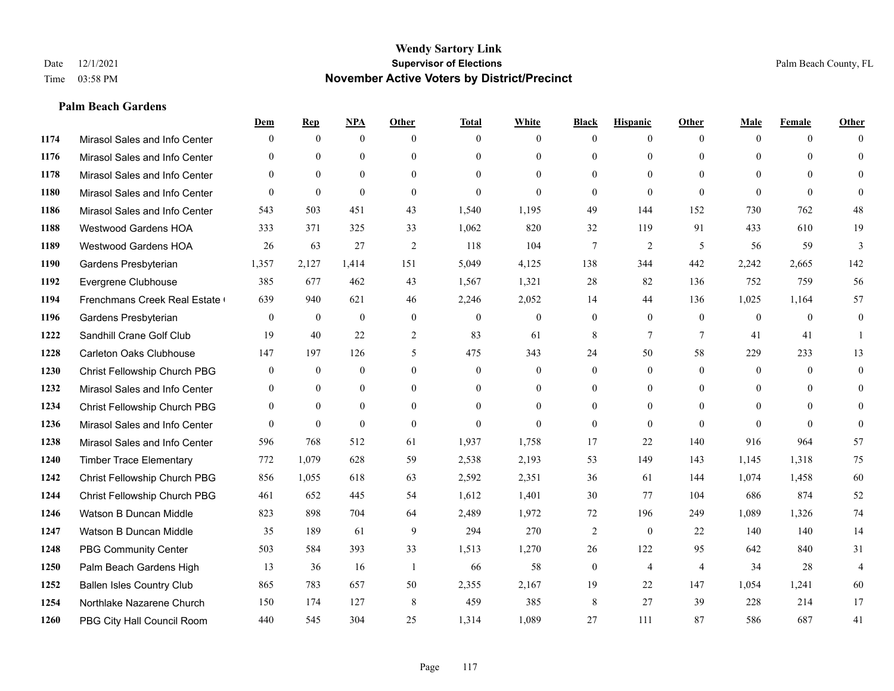#### **Palm Beach Gardens**

|      |                                  | Dem              | <b>Rep</b>       | NPA              | <b>Other</b>   | <b>Total</b>     | <b>White</b>     | <b>Black</b>     | <b>Hispanic</b> | <b>Other</b>    | <b>Male</b>    | <b>Female</b> | <b>Other</b>   |
|------|----------------------------------|------------------|------------------|------------------|----------------|------------------|------------------|------------------|-----------------|-----------------|----------------|---------------|----------------|
| 1174 | Mirasol Sales and Info Center    | $\Omega$         | $\mathbf{0}$     | $\mathbf{0}$     | $\Omega$       | $\Omega$         | $\overline{0}$   | $\mathbf{0}$     | $\mathbf{0}$    | $\theta$        | $\theta$       | $\theta$      | $\Omega$       |
| 1176 | Mirasol Sales and Info Center    | $\theta$         | $\theta$         | $\theta$         | $\theta$       | $\Omega$         | $\overline{0}$   | $\theta$         | $\mathbf{0}$    | $\Omega$        | $\theta$       | $\Omega$      | $\theta$       |
| 1178 | Mirasol Sales and Info Center    | $\Omega$         | $\theta$         | $\theta$         | $\Omega$       | $\Omega$         | $\Omega$         | $\Omega$         | $\Omega$        | $\Omega$        | $\Omega$       | $\Omega$      | $\Omega$       |
| 1180 | Mirasol Sales and Info Center    | $\mathbf{0}$     | $\mathbf{0}$     | $\mathbf{0}$     | $\mathbf{0}$   | $\theta$         | $\overline{0}$   | $\mathbf{0}$     | $\mathbf{0}$    | $\theta$        | $\theta$       | $\theta$      | $\Omega$       |
| 1186 | Mirasol Sales and Info Center    | 543              | 503              | 451              | 43             | 1,540            | 1,195            | 49               | 144             | 152             | 730            | 762           | 48             |
| 1188 | <b>Westwood Gardens HOA</b>      | 333              | 371              | 325              | 33             | 1,062            | 820              | 32               | 119             | 91              | 433            | 610           | 19             |
| 1189 | Westwood Gardens HOA             | 26               | 63               | 27               | $\overline{2}$ | 118              | 104              | $\tau$           | $\overline{2}$  | 5               | 56             | 59            | 3              |
| 1190 | Gardens Presbyterian             | 1,357            | 2,127            | 1,414            | 151            | 5,049            | 4,125            | 138              | 344             | 442             | 2,242          | 2,665         | 142            |
| 1192 | Evergrene Clubhouse              | 385              | 677              | 462              | 43             | 1,567            | 1,321            | 28               | 82              | 136             | 752            | 759           | 56             |
| 1194 | Frenchmans Creek Real Estate     | 639              | 940              | 621              | 46             | 2,246            | 2,052            | 14               | 44              | 136             | 1,025          | 1,164         | 57             |
| 1196 | Gardens Presbyterian             | $\overline{0}$   | $\mathbf{0}$     | $\mathbf{0}$     | $\mathbf{0}$   | $\mathbf{0}$     | $\overline{0}$   | $\mathbf{0}$     | $\mathbf{0}$    | $\overline{0}$  | $\overline{0}$ | $\theta$      | $\mathbf{0}$   |
| 1222 | Sandhill Crane Golf Club         | 19               | 40               | 22               | 2              | 83               | 61               | 8                | $7\phantom{.0}$ | $7\phantom{.0}$ | 41             | 41            | -1             |
| 1228 | <b>Carleton Oaks Clubhouse</b>   | 147              | 197              | 126              | 5              | 475              | 343              | 24               | 50              | 58              | 229            | 233           | 13             |
| 1230 | Christ Fellowship Church PBG     | $\boldsymbol{0}$ | $\boldsymbol{0}$ | $\boldsymbol{0}$ | $\mathbf{0}$   | $\boldsymbol{0}$ | $\boldsymbol{0}$ | $\boldsymbol{0}$ | $\overline{0}$  | $\overline{0}$  | $\mathbf{0}$   | $\mathbf{0}$  | $\mathbf{0}$   |
| 1232 | Mirasol Sales and Info Center    | $\mathbf{0}$     | $\mathbf{0}$     | $\mathbf{0}$     | $\theta$       | $\Omega$         | $\overline{0}$   | $\mathbf{0}$     | $\mathbf{0}$    | $\theta$        | $\theta$       | $\theta$      | $\mathbf{0}$   |
| 1234 | Christ Fellowship Church PBG     | $\theta$         | $\theta$         | $\theta$         | $\Omega$       | $\Omega$         | $\theta$         | $\theta$         | $\theta$        | $\Omega$        | $\theta$       | $\Omega$      | $\theta$       |
| 1236 | Mirasol Sales and Info Center    | $\theta$         | $\mathbf{0}$     | $\theta$         | $\theta$       | $\theta$         | $\Omega$         | $\mathbf{0}$     | $\theta$        | $\theta$        | $\Omega$       | $\theta$      | $\theta$       |
| 1238 | Mirasol Sales and Info Center    | 596              | 768              | 512              | 61             | 1,937            | 1,758            | 17               | 22              | 140             | 916            | 964           | 57             |
| 1240 | <b>Timber Trace Elementary</b>   | 772              | 1,079            | 628              | 59             | 2,538            | 2,193            | 53               | 149             | 143             | 1,145          | 1,318         | 75             |
| 1242 | Christ Fellowship Church PBG     | 856              | 1,055            | 618              | 63             | 2,592            | 2,351            | 36               | 61              | 144             | 1,074          | 1,458         | 60             |
| 1244 | Christ Fellowship Church PBG     | 461              | 652              | 445              | 54             | 1,612            | 1,401            | 30               | 77              | 104             | 686            | 874           | 52             |
| 1246 | Watson B Duncan Middle           | 823              | 898              | 704              | 64             | 2,489            | 1,972            | 72               | 196             | 249             | 1,089          | 1,326         | 74             |
| 1247 | Watson B Duncan Middle           | 35               | 189              | 61               | 9              | 294              | 270              | 2                | $\mathbf{0}$    | 22              | 140            | 140           | 14             |
| 1248 | <b>PBG Community Center</b>      | 503              | 584              | 393              | 33             | 1,513            | 1,270            | 26               | 122             | 95              | 642            | 840           | 31             |
| 1250 | Palm Beach Gardens High          | 13               | 36               | 16               | -1             | 66               | 58               | $\boldsymbol{0}$ | $\overline{4}$  | $\overline{4}$  | 34             | 28            | $\overline{4}$ |
| 1252 | <b>Ballen Isles Country Club</b> | 865              | 783              | 657              | 50             | 2,355            | 2,167            | 19               | 22              | 147             | 1,054          | 1,241         | 60             |
| 1254 | Northlake Nazarene Church        | 150              | 174              | 127              | 8              | 459              | 385              | 8                | 27              | 39              | 228            | 214           | 17             |
| 1260 | PBG City Hall Council Room       | 440              | 545              | 304              | 25             | 1,314            | 1,089            | 27               | 111             | 87              | 586            | 687           | 41             |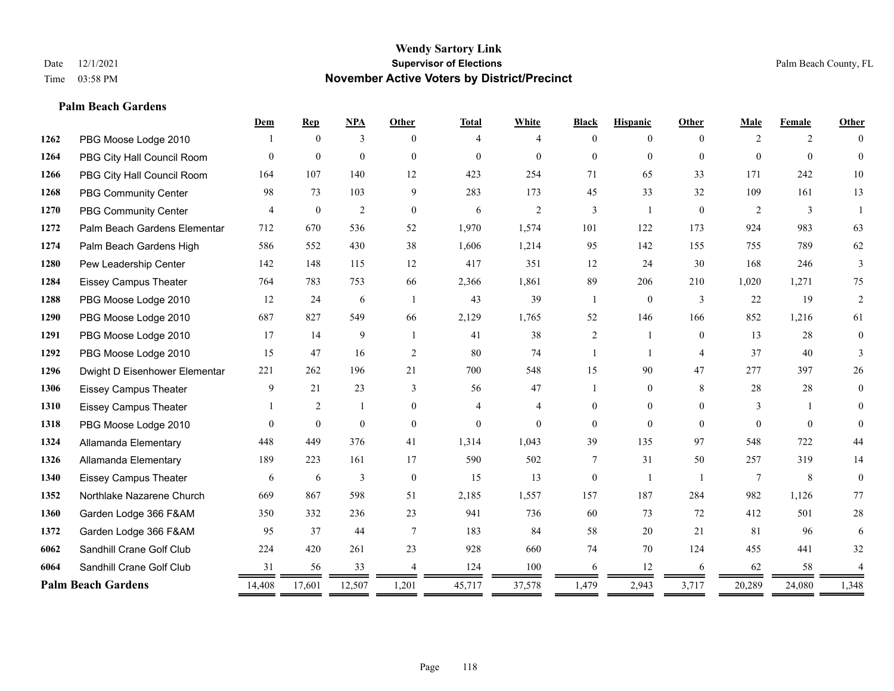#### **Palm Beach Gardens**

|      |                               | Dem            | <b>Rep</b>     | NPA            | <b>Other</b>             | <b>Total</b>   | White          | <b>Black</b>   | <b>Hispanic</b> | Other          | Male           | Female       | <b>Other</b>   |
|------|-------------------------------|----------------|----------------|----------------|--------------------------|----------------|----------------|----------------|-----------------|----------------|----------------|--------------|----------------|
| 1262 | PBG Moose Lodge 2010          |                | $\theta$       | 3              | $\Omega$                 | 4              | 4              | $\Omega$       | $\theta$        | $\Omega$       | $\overline{2}$ | 2            |                |
| 1264 | PBG City Hall Council Room    | $\Omega$       | $\mathbf{0}$   | $\mathbf{0}$   | $\theta$                 | $\Omega$       | $\theta$       | $\theta$       | $\Omega$        | $\theta$       | $\Omega$       | $\theta$     | $\Omega$       |
| 1266 | PBG City Hall Council Room    | 164            | 107            | 140            | 12                       | 423            | 254            | 71             | 65              | 33             | 171            | 242          | $10\,$         |
| 1268 | <b>PBG Community Center</b>   | 98             | 73             | 103            | 9                        | 283            | 173            | 45             | 33              | 32             | 109            | 161          | 13             |
| 1270 | <b>PBG Community Center</b>   | $\overline{4}$ | $\mathbf{0}$   | $\overline{2}$ | $\theta$                 | 6              | $\mathfrak{2}$ | 3              | 1               | $\theta$       | 2              | 3            |                |
| 1272 | Palm Beach Gardens Elementar  | 712            | 670            | 536            | 52                       | 1,970          | 1,574          | 101            | 122             | 173            | 924            | 983          | 63             |
| 1274 | Palm Beach Gardens High       | 586            | 552            | 430            | 38                       | 1,606          | 1,214          | 95             | 142             | 155            | 755            | 789          | 62             |
| 1280 | Pew Leadership Center         | 142            | 148            | 115            | 12                       | 417            | 351            | 12             | 24              | 30             | 168            | 246          | 3              |
| 1284 | <b>Eissey Campus Theater</b>  | 764            | 783            | 753            | 66                       | 2,366          | 1,861          | 89             | 206             | 210            | 1,020          | 1,271        | 75             |
| 1288 | PBG Moose Lodge 2010          | 12             | 24             | 6              | $\overline{1}$           | 43             | 39             | 1              | $\overline{0}$  | 3              | 22             | 19           | 2              |
| 1290 | PBG Moose Lodge 2010          | 687            | 827            | 549            | 66                       | 2,129          | 1,765          | 52             | 146             | 166            | 852            | 1,216        | 61             |
| 1291 | PBG Moose Lodge 2010          | 17             | 14             | 9              |                          | 41             | 38             | $\overline{2}$ |                 | $\overline{0}$ | 13             | 28           | $\mathbf{0}$   |
| 1292 | PBG Moose Lodge 2010          | 15             | 47             | 16             | 2                        | 80             | 74             | 1              | $\mathbf{1}$    | $\overline{4}$ | 37             | 40           | 3              |
| 1296 | Dwight D Eisenhower Elementar | 221            | 262            | 196            | 21                       | 700            | 548            | 15             | 90              | 47             | 277            | 397          | 26             |
| 1306 | <b>Eissey Campus Theater</b>  | 9              | 21             | 23             | 3                        | 56             | 47             |                | $\overline{0}$  | 8              | 28             | 28           | $\overline{0}$ |
| 1310 | <b>Eissey Campus Theater</b>  |                | $\overline{c}$ | 1              | $\overline{0}$           | 4              | $\overline{4}$ | $\mathbf{0}$   | $\overline{0}$  | $\theta$       | 3              | $\mathbf{1}$ | $\Omega$       |
| 1318 | PBG Moose Lodge 2010          | $\Omega$       | $\mathbf{0}$   | $\theta$       | $\theta$                 | $\overline{0}$ | $\Omega$       | $\theta$       | $\Omega$        | $\Omega$       | $\Omega$       | $\Omega$     | $\Omega$       |
| 1324 | Allamanda Elementary          | 448            | 449            | 376            | 41                       | 1,314          | 1,043          | 39             | 135             | 97             | 548            | 722          | 44             |
| 1326 | Allamanda Elementary          | 189            | 223            | 161            | 17                       | 590            | 502            | 7              | 31              | 50             | 257            | 319          | 14             |
| 1340 | <b>Eissey Campus Theater</b>  | 6              | 6              | 3              | $\mathbf{0}$             | 15             | 13             | $\overline{0}$ | -1              |                | $\tau$         | 8            | $\overline{0}$ |
| 1352 | Northlake Nazarene Church     | 669            | 867            | 598            | 51                       | 2,185          | 1,557          | 157            | 187             | 284            | 982            | 1,126        | 77             |
| 1360 | Garden Lodge 366 F&AM         | 350            | 332            | 236            | 23                       | 941            | 736            | 60             | 73              | 72             | 412            | 501          | $28\,$         |
| 1372 | Garden Lodge 366 F&AM         | 95             | 37             | 44             | $\tau$                   | 183            | 84             | 58             | 20              | 21             | 81             | 96           | 6              |
| 6062 | Sandhill Crane Golf Club      | 224            | 420            | 261            | 23                       | 928            | 660            | 74             | 70              | 124            | 455            | 441          | 32             |
| 6064 | Sandhill Crane Golf Club      | 31             | 56             | 33             | $\boldsymbol{\varDelta}$ | 124            | 100            | 6              | 12              | 6              | 62             | 58           |                |
|      | <b>Palm Beach Gardens</b>     | 14,408         | 17,601         | 12,507         | 1,201                    | 45,717         | 37,578         | 1,479          | 2,943           | 3,717          | 20,289         | 24,080       | 1,348          |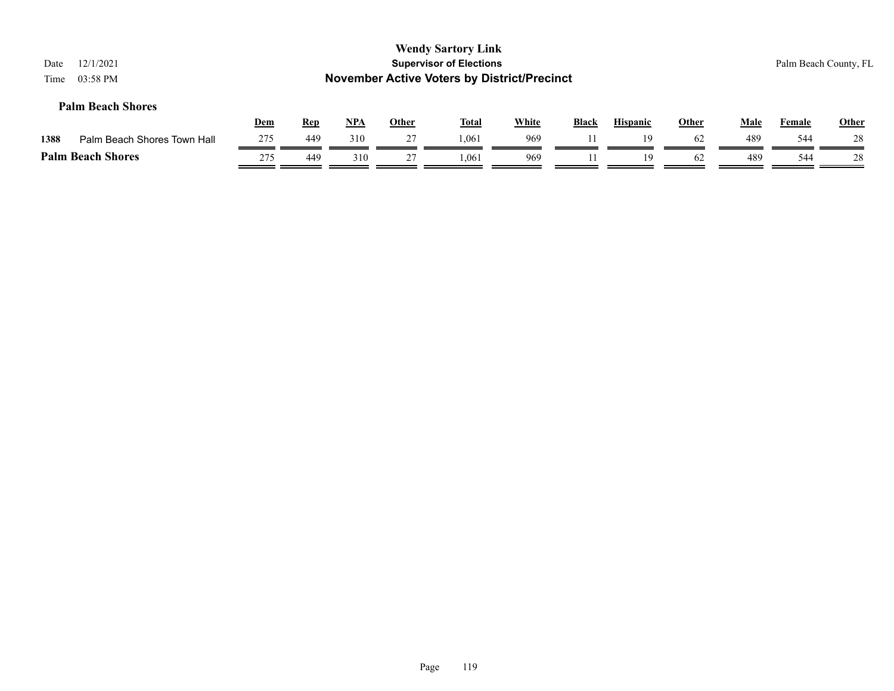| 12/1/2021<br>Date<br>03:58 PM<br>Time |            |            |            |              | <b>Wendy Sartory Link</b><br><b>Supervisor of Elections</b><br><b>November Active Voters by District/Precinct</b> |              |              |                 |              |             | Palm Beach County, FL |              |
|---------------------------------------|------------|------------|------------|--------------|-------------------------------------------------------------------------------------------------------------------|--------------|--------------|-----------------|--------------|-------------|-----------------------|--------------|
| <b>Palm Beach Shores</b>              | <u>Dem</u> | <b>Rep</b> | <b>NPA</b> | <b>Other</b> | <b>Total</b>                                                                                                      | <b>White</b> | <b>Black</b> | <b>Hispanic</b> | <b>Other</b> | <b>Male</b> | Female                | <b>Other</b> |
| 1388<br>Palm Beach Shores Town Hall   | 275        | 449        | 310        | 27           | 1.061                                                                                                             | 969          |              | 19              | 62           | 489         | 544                   | 28           |
| <b>Palm Beach Shores</b>              | 275        | 449        | 310        | 27           | 1.061                                                                                                             | 969          |              | 19              | 62           | 489         | 544                   | 28           |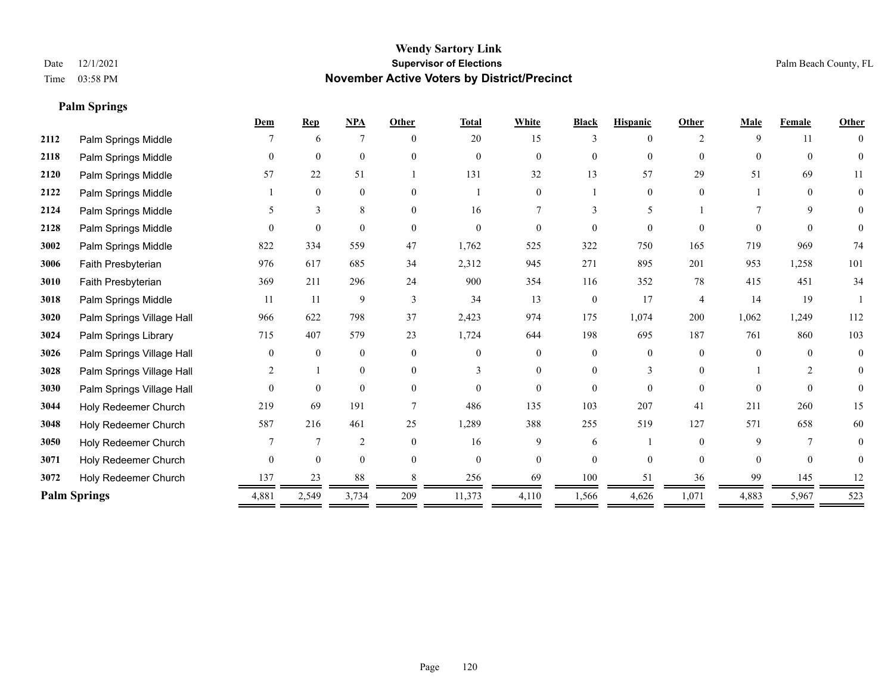**Palm Springs**

#### **Wendy Sartory Link** Date 12/1/2021 **Supervisor of Elections Supervisor of Elections** Palm Beach County, FL Time 03:58 PM **November Active Voters by District/Precinct**

|      |                           | Dem      | <b>Rep</b>   | NPA            | Other    | <b>Total</b> | White          | <b>Black</b>     | <b>Hispanic</b> | Other                       | Male     | Female   | <b>Other</b>   |
|------|---------------------------|----------|--------------|----------------|----------|--------------|----------------|------------------|-----------------|-----------------------------|----------|----------|----------------|
| 2112 | Palm Springs Middle       |          | 6            | 7              | $\theta$ | 20           | 15             | 3                | 0               | $\mathcal{D}_{\mathcal{L}}$ | 9        | 11       | $\theta$       |
| 2118 | Palm Springs Middle       | $\theta$ | $\mathbf{0}$ | $\mathbf{0}$   | $\theta$ | $\Omega$     | $\Omega$       | $\theta$         | $\mathbf{0}$    | $\Omega$                    | $\theta$ | $\theta$ | $\Omega$       |
| 2120 | Palm Springs Middle       | 57       | 22           | 51             |          | 131          | 32             | 13               | 57              | 29                          | 51       | 69       | 11             |
| 2122 | Palm Springs Middle       |          | $\mathbf{0}$ | $\mathbf{0}$   | $\theta$ |              | $\overline{0}$ |                  | $\mathbf{0}$    | $\Omega$                    |          | $\theta$ | $\mathbf{0}$   |
| 2124 | Palm Springs Middle       | 5        | 3            | 8              | $\Omega$ | 16           | 7              | 3                | 5               |                             |          | 9        | $\Omega$       |
| 2128 | Palm Springs Middle       | $\Omega$ | $\theta$     | $\theta$       | $\Omega$ | $\Omega$     | 0              | $\theta$         | $\Omega$        | 0                           | $\Omega$ | $\Omega$ | $\theta$       |
| 3002 | Palm Springs Middle       | 822      | 334          | 559            | 47       | 1,762        | 525            | 322              | 750             | 165                         | 719      | 969      | 74             |
| 3006 | Faith Presbyterian        | 976      | 617          | 685            | 34       | 2,312        | 945            | 271              | 895             | 201                         | 953      | 1,258    | 101            |
| 3010 | Faith Presbyterian        | 369      | 211          | 296            | 24       | 900          | 354            | 116              | 352             | 78                          | 415      | 451      | 34             |
| 3018 | Palm Springs Middle       | 11       | 11           | 9              | 3        | 34           | 13             | $\boldsymbol{0}$ | 17              | $\overline{4}$              | 14       | 19       |                |
| 3020 | Palm Springs Village Hall | 966      | 622          | 798            | 37       | 2,423        | 974            | 175              | 1,074           | 200                         | 1,062    | 1,249    | 112            |
| 3024 | Palm Springs Library      | 715      | 407          | 579            | 23       | 1,724        | 644            | 198              | 695             | 187                         | 761      | 860      | 103            |
| 3026 | Palm Springs Village Hall | $\theta$ | $\mathbf{0}$ | $\mathbf{0}$   | $\Omega$ | $\Omega$     | $\theta$       | $\theta$         | $\theta$        | $\Omega$                    | $\Omega$ | $\Omega$ | $\overline{0}$ |
| 3028 | Palm Springs Village Hall | 2        |              | $\mathbf{0}$   | $\theta$ | 3            | $\overline{0}$ | $\overline{0}$   | 3               | $\Omega$                    |          | 2        | $\overline{0}$ |
| 3030 | Palm Springs Village Hall | $\theta$ | $\mathbf{0}$ | $\mathbf{0}$   | $\Omega$ | $\Omega$     | $\theta$       | $\theta$         | $\theta$        | $\theta$                    | $\Omega$ | $\Omega$ | $\Omega$       |
| 3044 | Holy Redeemer Church      | 219      | 69           | 191            |          | 486          | 135            | 103              | 207             | 41                          | 211      | 260      | 15             |
| 3048 | Holy Redeemer Church      | 587      | 216          | 461            | 25       | 1,289        | 388            | 255              | 519             | 127                         | 571      | 658      | 60             |
| 3050 | Holy Redeemer Church      |          | 7            | $\overline{2}$ | $\theta$ | 16           | 9              | 6                |                 | $\Omega$                    | 9        | 7        | $\overline{0}$ |
| 3071 | Holy Redeemer Church      | $\theta$ | $\theta$     | $\mathbf{0}$   | $\theta$ | $\Omega$     | $\theta$       | $\theta$         | $\theta$        | $\Omega$                    | $\Omega$ | $\theta$ | $\Omega$       |
| 3072 | Holy Redeemer Church      | 137      | 23           | 88             |          | 256          | 69             | 100              | 51              | 36                          | 99       | 145      | 12             |
|      | <b>Palm Springs</b>       | 4,881    | 2,549        | 3,734          | 209      | 11,373       | 4,110          | 1,566            | 4,626           | 1,071                       | 4,883    | 5,967    | 523            |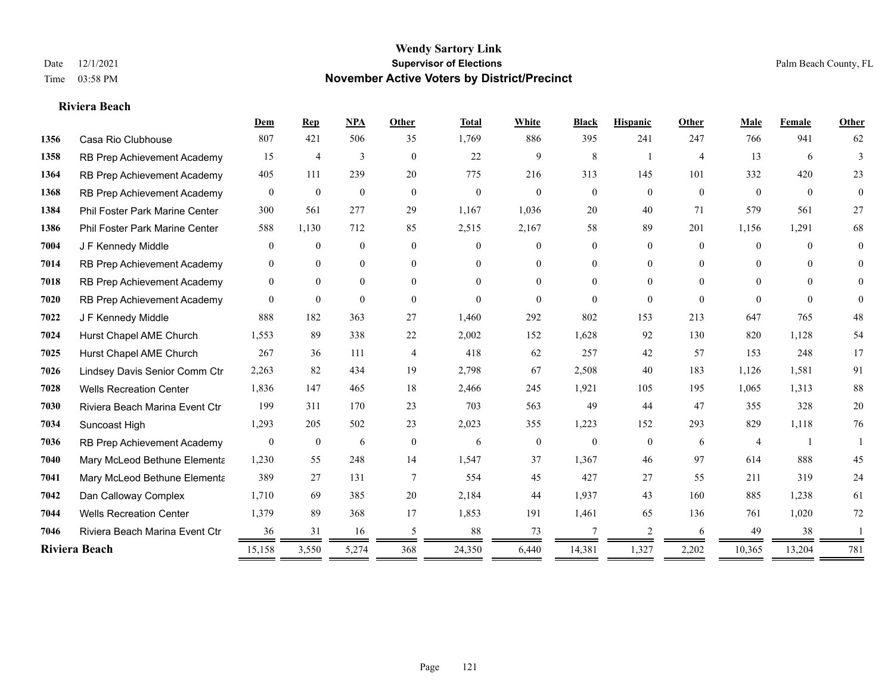#### **Riviera Beach**

|      |                                | Dem              | <b>Rep</b>     | <b>NPA</b>     | Other          | <b>Total</b> | White            | <b>Black</b>   | <b>Hispanic</b> | Other          | Male           | Female         | Other          |
|------|--------------------------------|------------------|----------------|----------------|----------------|--------------|------------------|----------------|-----------------|----------------|----------------|----------------|----------------|
| 1356 | Casa Rio Clubhouse             | 807              | 421            | 506            | 35             | 1,769        | 886              | 395            | 241             | 247            | 766            | 941            | 62             |
| 1358 | RB Prep Achievement Academy    | 15               | $\overline{4}$ | 3              | $\overline{0}$ | 22           | 9                | 8              | -1              | $\overline{4}$ | 13             | 6              | 3              |
| 1364 | RB Prep Achievement Academy    | 405              | 111            | 239            | 20             | 775          | 216              | 313            | 145             | 101            | 332            | 420            | 23             |
| 1368 | RB Prep Achievement Academy    | $\overline{0}$   | $\mathbf{0}$   | $\mathbf{0}$   | $\overline{0}$ | $\mathbf{0}$ | $\overline{0}$   | $\overline{0}$ | $\overline{0}$  | $\mathbf{0}$   | $\overline{0}$ | $\overline{0}$ | $\overline{0}$ |
| 1384 | Phil Foster Park Marine Center | 300              | 561            | 277            | 29             | 1,167        | 1,036            | 20             | 40              | 71             | 579            | 561            | 27             |
| 1386 | Phil Foster Park Marine Center | 588              | 1,130          | 712            | 85             | 2,515        | 2,167            | 58             | 89              | 201            | 1,156          | 1,291          | 68             |
| 7004 | J F Kennedy Middle             | $\overline{0}$   | $\mathbf{0}$   | $\mathbf{0}$   | $\overline{0}$ | $\Omega$     | $\overline{0}$   | $\overline{0}$ | $\overline{0}$  | $\Omega$       | $\overline{0}$ | $\theta$       | $\mathbf{0}$   |
| 7014 | RB Prep Achievement Academy    | $\theta$         | $\mathbf{0}$   | $\mathbf{0}$   | $\theta$       | $\Omega$     | $\overline{0}$   | $\theta$       | $\overline{0}$  | $\Omega$       | $\theta$       | $\Omega$       | $\theta$       |
| 7018 | RB Prep Achievement Academy    | $\mathbf{0}$     | $\mathbf{0}$   | $\overline{0}$ | $\theta$       | $\Omega$     | $\overline{0}$   | $\Omega$       | $\overline{0}$  | $\Omega$       | $\theta$       | $\Omega$       | $\Omega$       |
| 7020 | RB Prep Achievement Academy    | $\Omega$         | $\mathbf{0}$   | $\theta$       | $\theta$       | $\theta$     | $\Omega$         | $\theta$       | $\Omega$        | $\theta$       | $\theta$       | $\theta$       | $\theta$       |
| 7022 | J F Kennedy Middle             | 888              | 182            | 363            | 27             | 1,460        | 292              | 802            | 153             | 213            | 647            | 765            | 48             |
| 7024 | Hurst Chapel AME Church        | 1,553            | 89             | 338            | 22             | 2,002        | 152              | 1,628          | 92              | 130            | 820            | 1,128          | 54             |
| 7025 | Hurst Chapel AME Church        | 267              | 36             | 111            | $\overline{4}$ | 418          | 62               | 257            | 42              | 57             | 153            | 248            | 17             |
| 7026 | Lindsey Davis Senior Comm Ctr  | 2,263            | 82             | 434            | 19             | 2,798        | 67               | 2,508          | 40              | 183            | 1,126          | 1,581          | 91             |
| 7028 | <b>Wells Recreation Center</b> | 1,836            | 147            | 465            | 18             | 2,466        | 245              | 1,921          | 105             | 195            | 1,065          | 1,313          | $88\,$         |
| 7030 | Riviera Beach Marina Event Ctr | 199              | 311            | 170            | 23             | 703          | 563              | 49             | 44              | 47             | 355            | 328            | $20\,$         |
| 7034 | Suncoast High                  | 1,293            | 205            | 502            | 23             | 2,023        | 355              | 1,223          | 152             | 293            | 829            | 1,118          | 76             |
| 7036 | RB Prep Achievement Academy    | $\boldsymbol{0}$ | $\mathbf{0}$   | 6              | $\mathbf{0}$   | 6            | $\boldsymbol{0}$ | $\mathbf{0}$   | $\mathbf{0}$    | 6              | $\overline{4}$ |                |                |
| 7040 | Mary McLeod Bethune Elementa   | 1,230            | 55             | 248            | 14             | 1,547        | 37               | 1,367          | 46              | 97             | 614            | 888            | 45             |
| 7041 | Mary McLeod Bethune Elementa   | 389              | 27             | 131            | 7              | 554          | 45               | 427            | 27              | 55             | 211            | 319            | 24             |
| 7042 | Dan Calloway Complex           | 1,710            | 69             | 385            | 20             | 2,184        | 44               | 1,937          | 43              | 160            | 885            | 1,238          | 61             |
| 7044 | <b>Wells Recreation Center</b> | 1,379            | 89             | 368            | 17             | 1,853        | 191              | 1,461          | 65              | 136            | 761            | 1,020          | 72             |
| 7046 | Riviera Beach Marina Event Ctr | 36               | 31             | 16             | 5              | 88           | 73               | 7              | 2               | 6              | 49             | 38             |                |
|      | Riviera Beach                  | 15,158           | 3,550          | 5,274          | 368            | 24,350       | 6,440            | 14,381         | 1,327           | 2,202          | 10,365         | 13,204         | 781            |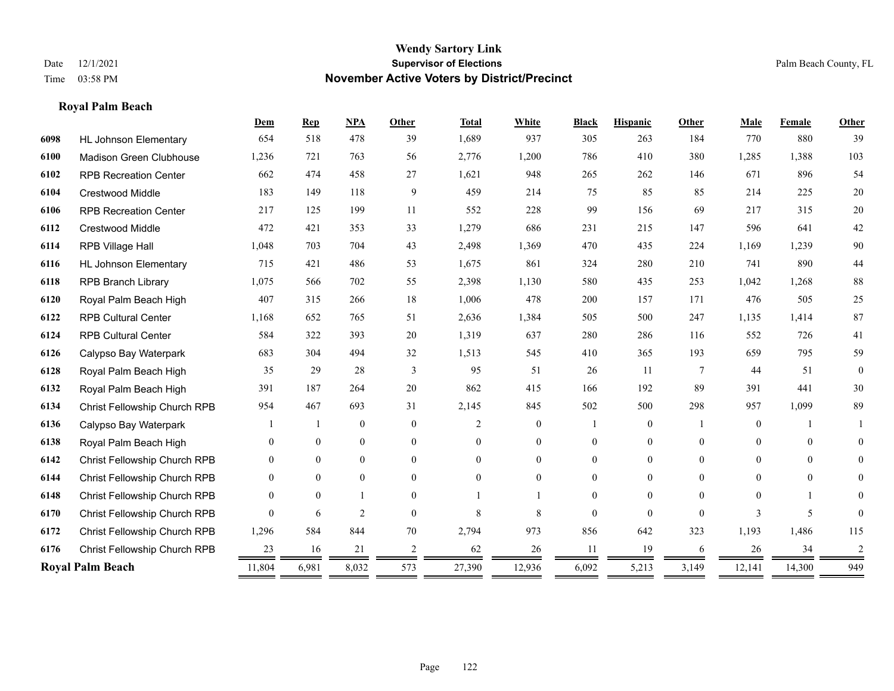#### **Royal Palm Beach**

|      |                              | Dem          | <b>Rep</b>     | NPA              | <b>Other</b>   | <b>Total</b>   | White          | <b>Black</b>   | <b>Hispanic</b> | <b>Other</b>    | Male           | Female   | Other          |
|------|------------------------------|--------------|----------------|------------------|----------------|----------------|----------------|----------------|-----------------|-----------------|----------------|----------|----------------|
| 6098 | <b>HL Johnson Elementary</b> | 654          | 518            | 478              | 39             | 1,689          | 937            | 305            | 263             | 184             | 770            | 880      | 39             |
| 6100 | Madison Green Clubhouse      | 1,236        | 721            | 763              | 56             | 2,776          | 1,200          | 786            | 410             | 380             | 1,285          | 1,388    | 103            |
| 6102 | <b>RPB Recreation Center</b> | 662          | 474            | 458              | 27             | 1,621          | 948            | 265            | 262             | 146             | 671            | 896      | 54             |
| 6104 | <b>Crestwood Middle</b>      | 183          | 149            | 118              | 9              | 459            | 214            | 75             | 85              | 85              | 214            | 225      | $20\,$         |
| 6106 | <b>RPB Recreation Center</b> | 217          | 125            | 199              | 11             | 552            | 228            | 99             | 156             | 69              | 217            | 315      | 20             |
| 6112 | Crestwood Middle             | 472          | 421            | 353              | 33             | 1,279          | 686            | 231            | 215             | 147             | 596            | 641      | $42\,$         |
| 6114 | RPB Village Hall             | 1,048        | 703            | 704              | 43             | 2,498          | 1,369          | 470            | 435             | 224             | 1,169          | 1,239    | 90             |
| 6116 | <b>HL Johnson Elementary</b> | 715          | 421            | 486              | 53             | 1,675          | 861            | 324            | 280             | 210             | 741            | 890      | 44             |
| 6118 | <b>RPB Branch Library</b>    | 1,075        | 566            | 702              | 55             | 2,398          | 1,130          | 580            | 435             | 253             | 1,042          | 1,268    | $88\,$         |
| 6120 | Royal Palm Beach High        | 407          | 315            | 266              | 18             | 1,006          | 478            | 200            | 157             | 171             | 476            | 505      | 25             |
| 6122 | <b>RPB Cultural Center</b>   | 1,168        | 652            | 765              | 51             | 2,636          | 1,384          | 505            | 500             | 247             | 1,135          | 1,414    | $87\,$         |
| 6124 | <b>RPB Cultural Center</b>   | 584          | 322            | 393              | 20             | 1,319          | 637            | 280            | 286             | 116             | 552            | 726      | 41             |
| 6126 | Calypso Bay Waterpark        | 683          | 304            | 494              | 32             | 1,513          | 545            | 410            | 365             | 193             | 659            | 795      | 59             |
| 6128 | Royal Palm Beach High        | 35           | 29             | 28               | 3              | 95             | 51             | 26             | 11              | $7\phantom{.0}$ | 44             | 51       | $\theta$       |
| 6132 | Royal Palm Beach High        | 391          | 187            | 264              | 20             | 862            | 415            | 166            | 192             | 89              | 391            | 441      | 30             |
| 6134 | Christ Fellowship Church RPB | 954          | 467            | 693              | 31             | 2,145          | 845            | 502            | 500             | 298             | 957            | 1,099    | 89             |
| 6136 | Calypso Bay Waterpark        |              |                | $\mathbf{0}$     | $\theta$       | $\overline{2}$ | $\overline{0}$ |                | $\overline{0}$  |                 | $\overline{0}$ |          |                |
| 6138 | Royal Palm Beach High        | $\theta$     | $\overline{0}$ | $\boldsymbol{0}$ | $\overline{0}$ | $\Omega$       | 0              | $\mathbf{0}$   | $\overline{0}$  | $\theta$        | $\mathbf{0}$   | $\theta$ | $\overline{0}$ |
| 6142 | Christ Fellowship Church RPB | $\theta$     | $\overline{0}$ | $\mathbf{0}$     | $\theta$       | $\Omega$       | $\overline{0}$ | $\overline{0}$ | $\overline{0}$  | $\theta$        | $\Omega$       | $\theta$ | $\overline{0}$ |
| 6144 | Christ Fellowship Church RPB | $\theta$     | $\theta$       | $\theta$         | $\theta$       | $\theta$       | $\Omega$       | 0              | $\Omega$        | $\Omega$        | $\theta$       | $\theta$ | 0              |
| 6148 | Christ Fellowship Church RPB | $\Omega$     | $\theta$       |                  | $\Omega$       |                |                | 0              | $\Omega$        | $\Omega$        | $\Omega$       |          | 0              |
| 6170 | Christ Fellowship Church RPB | $\Omega$     | 6              | $\overline{2}$   | $\Omega$       | 8              | 8              | $\theta$       | $\Omega$        | $\Omega$        | 3              | 5        |                |
| 6172 | Christ Fellowship Church RPB | 1,296        | 584            | 844              | 70             | 2,794          | 973            | 856            | 642             | 323             | 1,193          | 1,486    | 115            |
| 6176 | Christ Fellowship Church RPB | 23           | 16             | 21               | 2              | 62             | 26             | 11             | 19              | 6               | 26             | 34       | 2              |
|      | <b>Royal Palm Beach</b>      | 11,804<br>== | 6,981          | 8,032            | 573            | 27,390         | 12,936         | 6,092          | 5,213           | 3,149           | 12,141         | 14,300   | 949            |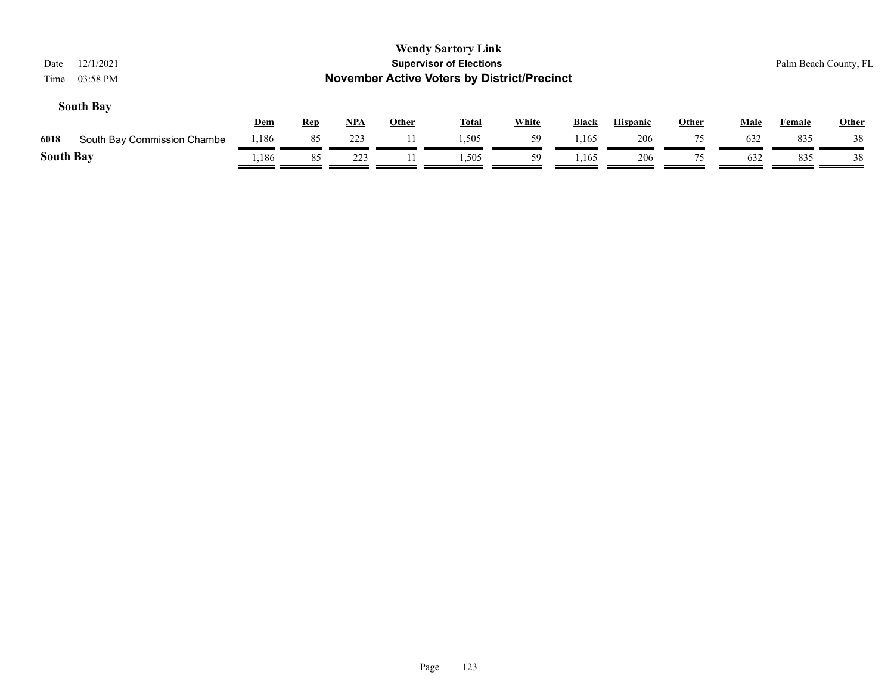| <b>Wendy Sartory Link</b><br><b>Supervisor of Elections</b><br>12/1/2021<br>Date<br><b>November Active Voters by District/Precinct</b><br>03:58 PM<br>Time |                             |            |            |            |              |              |              |              |                 |              |             |        | Palm Beach County, FL |
|------------------------------------------------------------------------------------------------------------------------------------------------------------|-----------------------------|------------|------------|------------|--------------|--------------|--------------|--------------|-----------------|--------------|-------------|--------|-----------------------|
|                                                                                                                                                            | <b>South Bay</b>            | <u>Dem</u> | <b>Rep</b> | <u>NPA</u> | <u>Other</u> | <b>Total</b> | <b>White</b> | <b>Black</b> | <b>Hispanic</b> | <b>Other</b> | <b>Male</b> | Female | <b>Other</b>          |
| 6018                                                                                                                                                       | South Bay Commission Chambe | 1,186      | 85         | 223        |              | 1,505        | 59           | 1,165        | 206             | 75           | 632         | 835    | 38                    |
| <b>South Bay</b>                                                                                                                                           |                             | 1,186      | 85         | 223        |              | 1,505        | 59           | 1,165        | 206             | 75           | 632         | 835    | 38                    |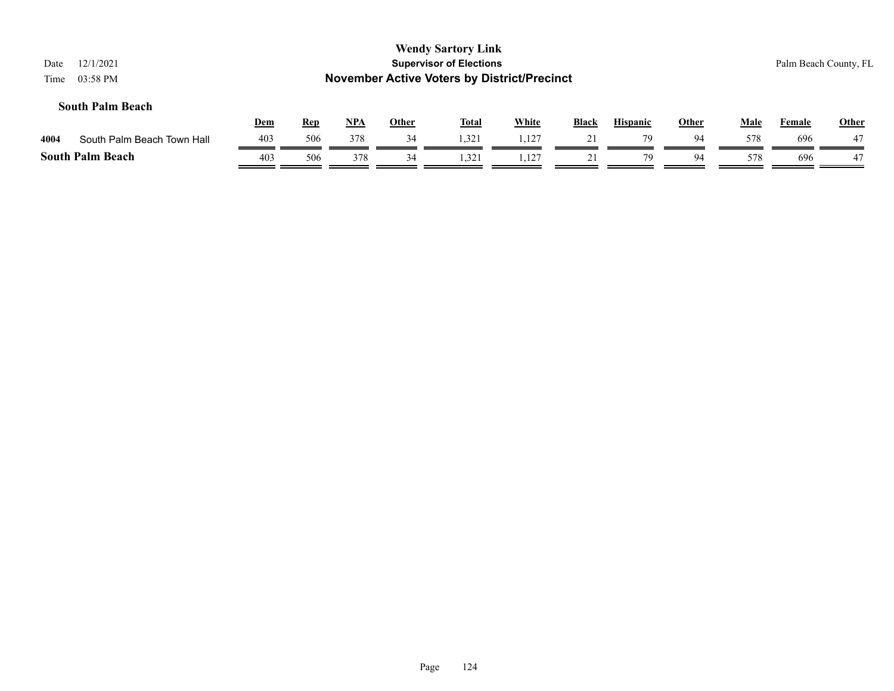| Date | <b>Wendy Sartory Link</b><br><b>Supervisor of Elections</b><br>12/1/2021<br>Palm Beach County, FL<br><b>November Active Voters by District/Precinct</b><br>03:58 PM<br>Time |            |            |            |              |              |              |              |                 |              |             |        |              |
|------|-----------------------------------------------------------------------------------------------------------------------------------------------------------------------------|------------|------------|------------|--------------|--------------|--------------|--------------|-----------------|--------------|-------------|--------|--------------|
|      | <b>South Palm Beach</b>                                                                                                                                                     | <u>Dem</u> | <u>Rep</u> | <u>NPA</u> | <u>Other</u> | <b>Total</b> | <b>White</b> | <b>Black</b> | <b>Hispanic</b> | <b>Other</b> | <b>Male</b> | Female | <b>Other</b> |
| 4004 | South Palm Beach Town Hall                                                                                                                                                  | 403        | 506        | 378        | 34           | 1,321        | 1.127        | 21           | 79              | 94           | 578         | 696    | 47           |
|      | <b>South Palm Beach</b>                                                                                                                                                     | 403        | 506        | 378        | 34           | 1,321        | 1,127        | 21           | 79              | 94           | 578         | 696    | 47           |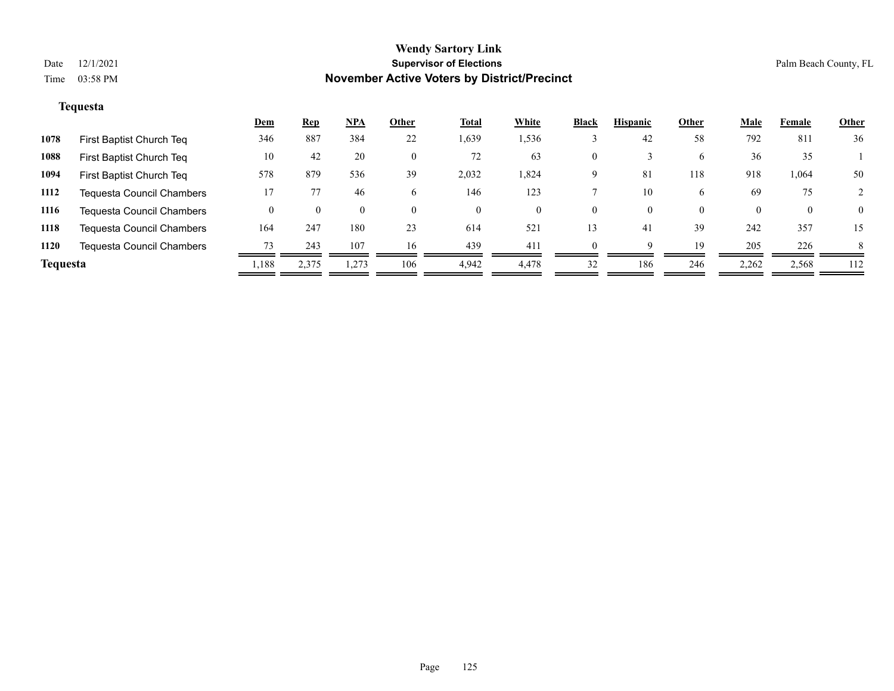#### **Tequesta**

| 36<br>792<br>811                          |
|-------------------------------------------|
|                                           |
| 35                                        |
| 50<br>1,064                               |
| 75                                        |
| $\overline{0}$<br>$\bf{0}$                |
| 357<br>15                                 |
| 226<br>8                                  |
| 2,262<br>2,568<br>112                     |
| 36<br>918<br>69<br>$\theta$<br>242<br>205 |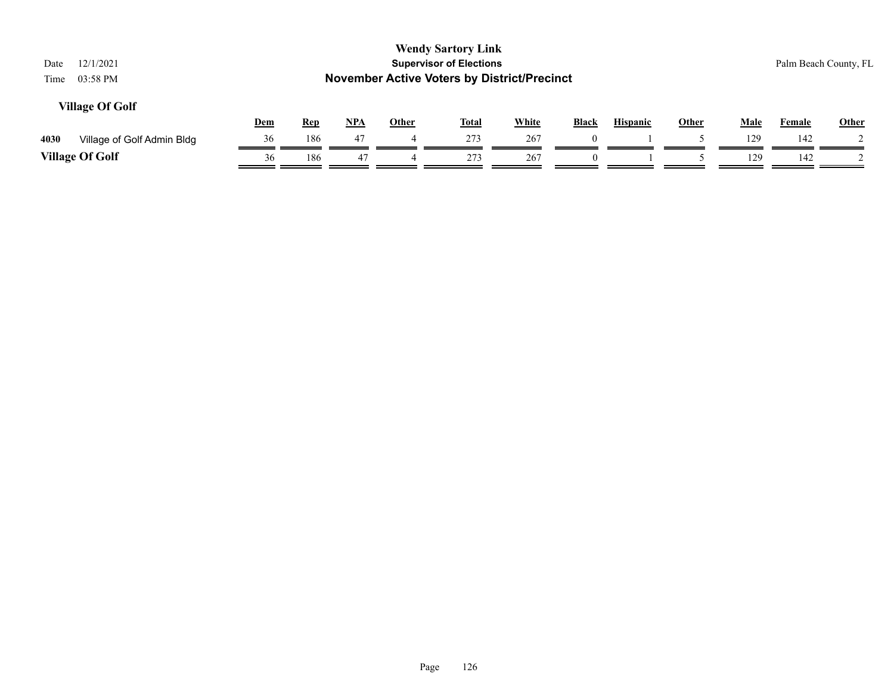| <b>Wendy Sartory Link</b><br><b>Supervisor of Elections</b><br>12/1/2021<br>Palm Beach County, FL<br>Date<br><b>November Active Voters by District/Precinct</b><br>03:58 PM<br>Time |     |            |       |              |              |              |              |                 |              |             |               |              |
|-------------------------------------------------------------------------------------------------------------------------------------------------------------------------------------|-----|------------|-------|--------------|--------------|--------------|--------------|-----------------|--------------|-------------|---------------|--------------|
| <b>Village Of Golf</b>                                                                                                                                                              | Dem | <b>Rep</b> | $NPA$ | <b>Other</b> | <b>Total</b> | <b>White</b> | <b>Black</b> | <b>Hispanic</b> | <b>Other</b> | <b>Male</b> | <b>Female</b> | <b>Other</b> |
| 4030<br>Village of Golf Admin Bldg                                                                                                                                                  | 36  | 186        | 47    | 4            | 273          | 267          | $\theta$     |                 |              | 129         | 142           |              |
| <b>Village Of Golf</b>                                                                                                                                                              | 36  | 186        | 47    |              | 273          | 267          |              |                 |              | 129         | 142           |              |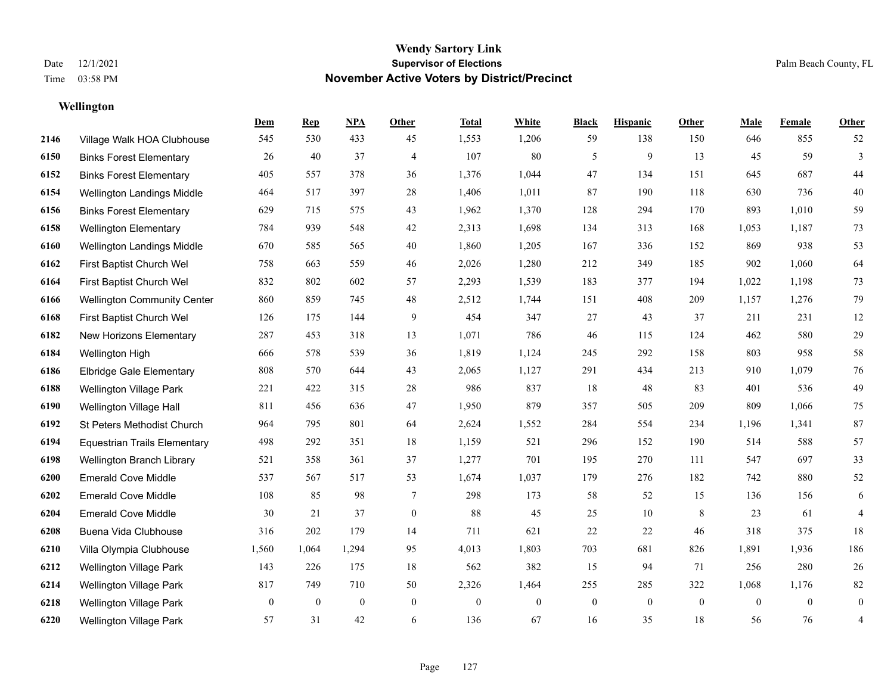**Wellington**

#### **Wendy Sartory Link** Date 12/1/2021 **Supervisor of Elections** Palm Beach County, FL Time 03:58 PM **November Active Voters by District/Precinct**

# **Dem Rep NPA Other Total White Black Hispanic Other Male Female Other** Village Walk HOA Clubhouse 545 530 433 45 1,553 1,206 59 138 150 646 855 52 Binks Forest Elementary 26 40 37 4 107 80 5 9 13 45 59 3 Binks Forest Elementary 405 557 378 36 1,376 1,044 47 134 151 645 687 44 Wellington Landings Middle 464 517 397 28 1,406 1,011 87 190 118 630 736 40 Binks Forest Elementary 629 715 575 43 1,962 1,370 128 294 170 893 1,010 59 Wellington Elementary 784 939 548 42 2,313 1,698 134 313 168 1,053 1,187 73 Wellington Landings Middle 670 585 565 40 1,860 1,205 167 336 152 869 938 53 First Baptist Church Wel 758 663 559 46 2,026 1,280 212 349 185 902 1,060 64 First Baptist Church Wel 832 802 602 57 2,293 1,539 183 377 194 1,022 1,198 73 Wellington Community Center 860 859 745 48 2,512 1,744 151 408 209 1,157 1,276 79 First Baptist Church Wel 126 175 144 9 454 347 27 43 37 211 231 12 New Horizons Elementary 287 453 318 13 1,071 786 46 115 124 462 580 29 Wellington High 666 578 539 36 1,819 1,124 245 292 158 803 958 58 Elbridge Gale Elementary 808 570 644 43 2,065 1,127 291 434 213 910 1,079 76 Wellington Village Park 221 422 315 28 986 837 18 48 83 401 536 49 Wellington Village Hall 811 456 636 47 1,950 879 357 505 209 809 1,066 75 St Peters Methodist Church 964 795 801 64 2,624 1,552 284 554 234 1,196 1,341 87 Equestrian Trails Elementary 498 292 351 18 1,159 521 296 152 190 514 588 57 Wellington Branch Library 521 358 361 37 1,277 701 195 270 111 547 697 33 Emerald Cove Middle 537 567 517 53 1,674 1,037 179 276 182 742 880 52 Emerald Cove Middle 108 85 98 7 298 173 58 52 15 136 156 6 Emerald Cove Middle 30 21 37 0 88 45 25 10 8 23 61 4 Buena Vida Clubhouse 316 202 179 14 711 621 22 22 46 318 375 18 Villa Olympia Clubhouse 1,560 1,064 1,294 95 4,013 1,803 703 681 826 1,891 1,936 186 Wellington Village Park 143 226 175 18 562 382 15 94 71 256 280 26 Wellington Village Park 817 749 710 50 2,326 1,464 255 285 322 1,068 1,176 82 Wellington Village Park 0 0 0 0 0 0 0 0 0 0 0 0 Wellington Village Park 57 31 42 6 136 67 16 35 18 56 76 4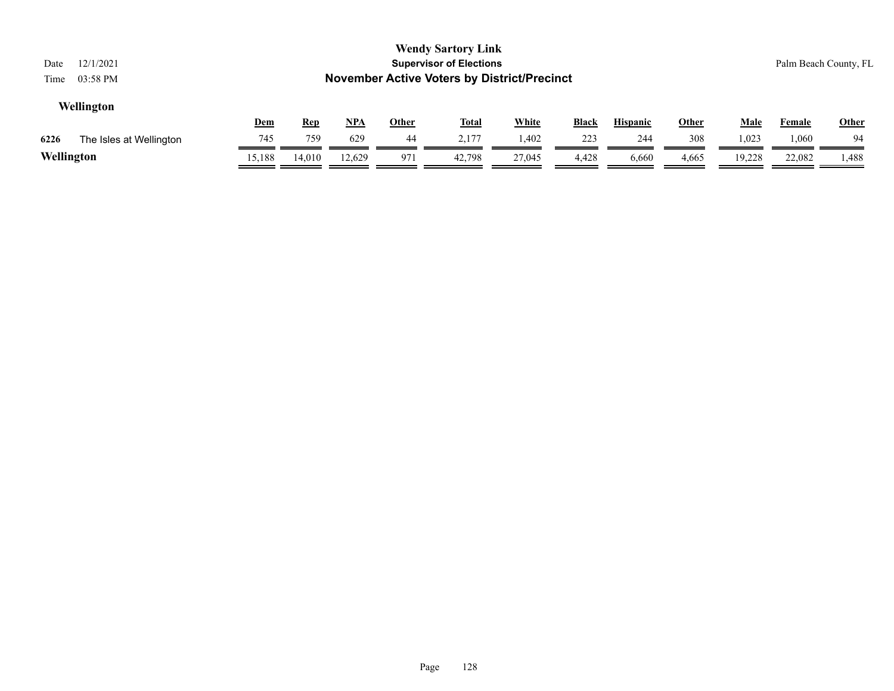| <b>Wendy Sartory Link</b><br><b>Supervisor of Elections</b><br>12/1/2021<br>Date<br><b>November Active Voters by District/Precinct</b><br>03:58 PM<br>Time |        |        |        |     |        |        |       |       |       |             |        | Palm Beach County, FL |
|------------------------------------------------------------------------------------------------------------------------------------------------------------|--------|--------|--------|-----|--------|--------|-------|-------|-------|-------------|--------|-----------------------|
| Wellington<br><u>NPA</u><br><b>White</b><br><b>Other</b><br><u>Total</u><br><b>Black</b><br><b>Hispanic</b><br><b>Other</b><br><u>Dem</u><br><u>Rep</u>    |        |        |        |     |        |        |       |       |       | <b>Male</b> | Female | <b>Other</b>          |
| 6226<br>The Isles at Wellington                                                                                                                            | 745    | 759    | 629    | 44  | 2,177  | 1,402  | 223   | 244   | 308   | 1,023       | 1,060  | 94                    |
| Wellington                                                                                                                                                 | 15,188 | 14,010 | 12.629 | 971 | 42.798 | 27,045 | 4,428 | 6,660 | 4,665 | 19,228      | 22,082 | 1,488                 |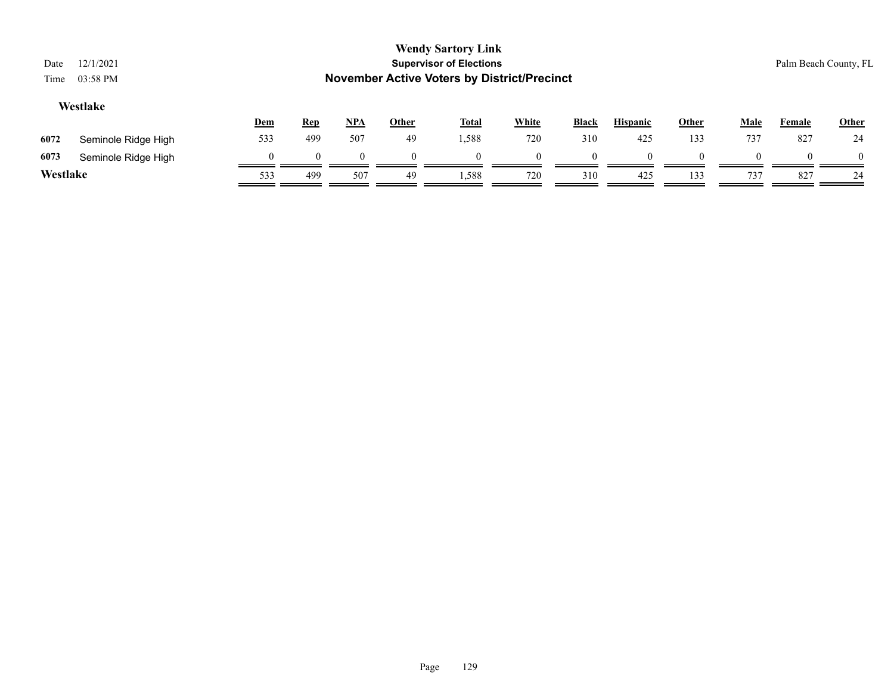| Date<br>Time | <b>Wendy Sartory Link</b><br>12/1/2021<br><b>Supervisor of Elections</b><br>Palm Beach County, FL<br><b>November Active Voters by District/Precinct</b><br>03:58 PM |     |            |            |              |              |              |              |                 |              |             |        |          |
|--------------|---------------------------------------------------------------------------------------------------------------------------------------------------------------------|-----|------------|------------|--------------|--------------|--------------|--------------|-----------------|--------------|-------------|--------|----------|
|              | Westlake                                                                                                                                                            | Dem | <b>Rep</b> | <u>NPA</u> | <b>Other</b> | <b>Total</b> | <b>White</b> | <b>Black</b> | <b>Hispanic</b> | <b>Other</b> | <b>Male</b> | Female | Other    |
| 6072         | Seminole Ridge High                                                                                                                                                 | 533 | 499        | 507        | 49           | 1,588        | 720          | 310          | 425             | 133          | 737         | 827    | 24       |
| 6073         | Seminole Ridge High                                                                                                                                                 |     | $\Omega$   | $\Omega$   | $\Omega$     | $\Omega$     |              | $\Omega$     |                 |              |             |        | $\theta$ |
| Westlake     |                                                                                                                                                                     | 533 | 499        | 507        | 49           | 1,588        | 720          | 310          | 425             | 133          | 737         | 827    | 24       |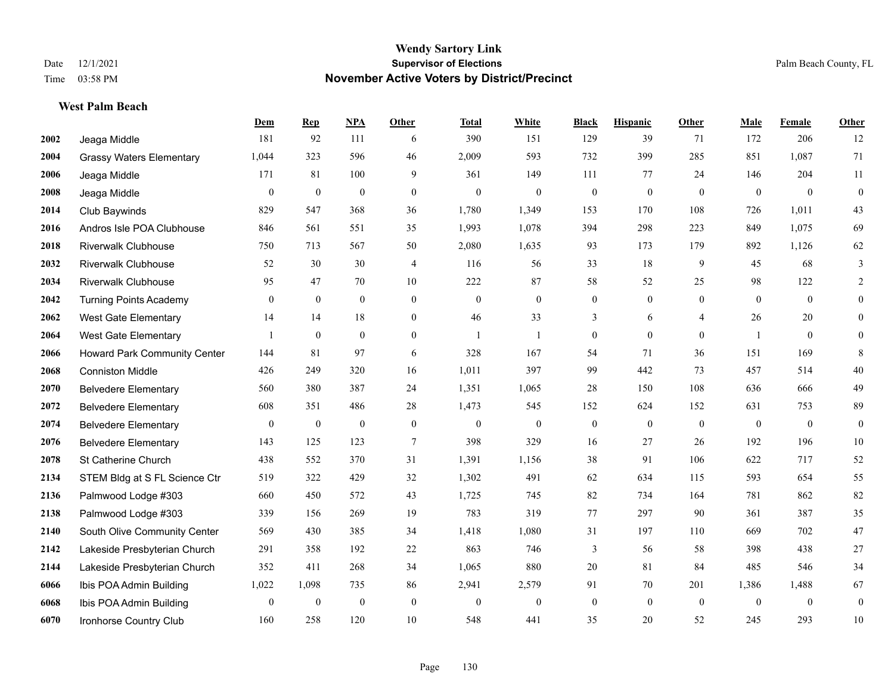#### **West Palm Beach**

|      |                                 | Dem              | <b>Rep</b>       | NPA          | <b>Other</b>     | <b>Total</b> | <b>White</b>     | <b>Black</b>     | <b>Hispanic</b> | <b>Other</b>   | <b>Male</b>    | Female         | <b>Other</b>     |
|------|---------------------------------|------------------|------------------|--------------|------------------|--------------|------------------|------------------|-----------------|----------------|----------------|----------------|------------------|
| 2002 | Jeaga Middle                    | 181              | 92               | 111          | 6                | 390          | 151              | 129              | 39              | 71             | 172            | 206            | 12               |
| 2004 | <b>Grassy Waters Elementary</b> | 1,044            | 323              | 596          | 46               | 2,009        | 593              | 732              | 399             | 285            | 851            | 1,087          | 71               |
| 2006 | Jeaga Middle                    | 171              | 81               | 100          | 9                | 361          | 149              | 111              | 77              | 24             | 146            | 204            | 11               |
| 2008 | Jeaga Middle                    | $\mathbf{0}$     | $\mathbf{0}$     | $\mathbf{0}$ | $\mathbf{0}$     | $\mathbf{0}$ | $\mathbf{0}$     | $\boldsymbol{0}$ | $\mathbf{0}$    | $\mathbf{0}$   | $\overline{0}$ | $\mathbf{0}$   | $\overline{0}$   |
| 2014 | Club Baywinds                   | 829              | 547              | 368          | 36               | 1,780        | 1,349            | 153              | 170             | 108            | 726            | 1,011          | 43               |
| 2016 | Andros Isle POA Clubhouse       | 846              | 561              | 551          | 35               | 1,993        | 1,078            | 394              | 298             | 223            | 849            | 1,075          | 69               |
| 2018 | <b>Riverwalk Clubhouse</b>      | 750              | 713              | 567          | 50               | 2,080        | 1,635            | 93               | 173             | 179            | 892            | 1,126          | 62               |
| 2032 | <b>Riverwalk Clubhouse</b>      | 52               | 30               | 30           | $\overline{4}$   | 116          | 56               | 33               | 18              | 9              | 45             | 68             | 3                |
| 2034 | <b>Riverwalk Clubhouse</b>      | 95               | 47               | 70           | 10               | 222          | 87               | 58               | 52              | 25             | 98             | 122            | $\overline{2}$   |
| 2042 | <b>Turning Points Academy</b>   | $\overline{0}$   | $\mathbf{0}$     | $\mathbf{0}$ | $\mathbf{0}$     | $\mathbf{0}$ | $\mathbf{0}$     | $\boldsymbol{0}$ | $\overline{0}$  | $\overline{0}$ | $\overline{0}$ | $\overline{0}$ | $\boldsymbol{0}$ |
| 2062 | <b>West Gate Elementary</b>     | 14               | 14               | 18           | $\overline{0}$   | 46           | 33               | 3                | 6               | $\overline{4}$ | 26             | 20             | $\overline{0}$   |
| 2064 | <b>West Gate Elementary</b>     |                  | $\mathbf{0}$     | $\mathbf{0}$ | $\overline{0}$   | $\mathbf{1}$ | 1                | $\boldsymbol{0}$ | $\overline{0}$  | $\mathbf{0}$   | $\mathbf{1}$   | $\overline{0}$ | $\overline{0}$   |
| 2066 | Howard Park Community Center    | 144              | 81               | 97           | 6                | 328          | 167              | 54               | 71              | 36             | 151            | 169            | 8                |
| 2068 | <b>Conniston Middle</b>         | 426              | 249              | 320          | 16               | 1,011        | 397              | 99               | 442             | 73             | 457            | 514            | $40\,$           |
| 2070 | <b>Belvedere Elementary</b>     | 560              | 380              | 387          | 24               | 1,351        | 1,065            | 28               | 150             | 108            | 636            | 666            | 49               |
| 2072 | <b>Belvedere Elementary</b>     | 608              | 351              | 486          | 28               | 1,473        | 545              | 152              | 624             | 152            | 631            | 753            | 89               |
| 2074 | <b>Belvedere Elementary</b>     | $\mathbf{0}$     | $\boldsymbol{0}$ | $\theta$     | $\boldsymbol{0}$ | $\mathbf{0}$ | $\mathbf{0}$     | $\boldsymbol{0}$ | $\overline{0}$  | $\theta$       | $\mathbf{0}$   | $\theta$       | $\boldsymbol{0}$ |
| 2076 | <b>Belvedere Elementary</b>     | 143              | 125              | 123          | $\tau$           | 398          | 329              | 16               | 27              | 26             | 192            | 196            | $10\,$           |
| 2078 | St Catherine Church             | 438              | 552              | 370          | 31               | 1,391        | 1,156            | 38               | 91              | 106            | 622            | 717            | 52               |
| 2134 | STEM Bldg at S FL Science Ctr   | 519              | 322              | 429          | 32               | 1,302        | 491              | 62               | 634             | 115            | 593            | 654            | 55               |
| 2136 | Palmwood Lodge #303             | 660              | 450              | 572          | 43               | 1,725        | 745              | 82               | 734             | 164            | 781            | 862            | 82               |
| 2138 | Palmwood Lodge #303             | 339              | 156              | 269          | 19               | 783          | 319              | 77               | 297             | 90             | 361            | 387            | 35               |
| 2140 | South Olive Community Center    | 569              | 430              | 385          | 34               | 1,418        | 1,080            | 31               | 197             | 110            | 669            | 702            | 47               |
| 2142 | Lakeside Presbyterian Church    | 291              | 358              | 192          | 22               | 863          | 746              | 3                | 56              | 58             | 398            | 438            | $27\,$           |
| 2144 | Lakeside Presbyterian Church    | 352              | 411              | 268          | 34               | 1,065        | 880              | 20               | 81              | 84             | 485            | 546            | 34               |
| 6066 | Ibis POA Admin Building         | 1,022            | 1,098            | 735          | 86               | 2,941        | 2,579            | 91               | 70              | 201            | 1,386          | 1,488          | 67               |
| 6068 | Ibis POA Admin Building         | $\boldsymbol{0}$ | $\mathbf{0}$     | $\theta$     | $\mathbf{0}$     | $\mathbf{0}$ | $\boldsymbol{0}$ | $\boldsymbol{0}$ | $\overline{0}$  | $\theta$       | $\overline{0}$ | $\overline{0}$ | $\overline{0}$   |
| 6070 | Ironhorse Country Club          | 160              | 258              | 120          | 10               | 548          | 441              | 35               | 20              | 52             | 245            | 293            | $10\,$           |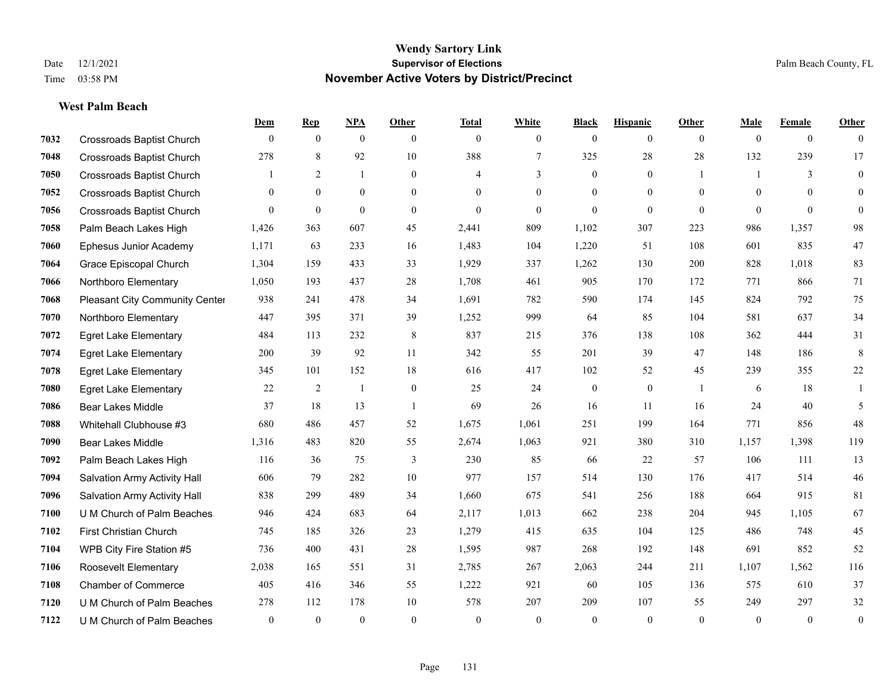#### **West Palm Beach**

|      |                                  | Dem          | <b>Rep</b>   | NPA            | <b>Other</b>   | <b>Total</b> | <b>White</b>   | <b>Black</b>     | <b>Hispanic</b> | <b>Other</b>   | <b>Male</b>  | Female         | <b>Other</b>     |
|------|----------------------------------|--------------|--------------|----------------|----------------|--------------|----------------|------------------|-----------------|----------------|--------------|----------------|------------------|
| 7032 | <b>Crossroads Baptist Church</b> | $\mathbf{0}$ | $\mathbf{0}$ | $\mathbf{0}$   | $\theta$       | $\theta$     | $\overline{0}$ | $\mathbf{0}$     | $\mathbf{0}$    | $\overline{0}$ | $\mathbf{0}$ | $\overline{0}$ | $\theta$         |
| 7048 | <b>Crossroads Baptist Church</b> | 278          | 8            | 92             | 10             | 388          | $\tau$         | 325              | 28              | 28             | 132          | 239            | 17               |
| 7050 | <b>Crossroads Baptist Church</b> |              | 2            | $\mathbf{1}$   | $\overline{0}$ | 4            | 3              | $\mathbf{0}$     | $\mathbf{0}$    | $\overline{1}$ | $\mathbf{1}$ | 3              | $\mathbf{0}$     |
| 7052 | <b>Crossroads Baptist Church</b> | $\mathbf{0}$ | $\mathbf{0}$ | $\mathbf{0}$   | $\overline{0}$ | $\theta$     | $\overline{0}$ | $\boldsymbol{0}$ | $\mathbf{0}$    | $\mathbf{0}$   | $\Omega$     | $\theta$       | $\mathbf{0}$     |
| 7056 | <b>Crossroads Baptist Church</b> | $\theta$     | $\mathbf{0}$ | $\theta$       | $\theta$       | $\theta$     | $\theta$       | $\theta$         | $\theta$        | $\theta$       | $\Omega$     | $\theta$       | $\mathbf{0}$     |
| 7058 | Palm Beach Lakes High            | 1,426        | 363          | 607            | 45             | 2,441        | 809            | 1,102            | 307             | 223            | 986          | 1,357          | 98               |
| 7060 | Ephesus Junior Academy           | 1,171        | 63           | 233            | 16             | 1,483        | 104            | 1,220            | 51              | 108            | 601          | 835            | 47               |
| 7064 | Grace Episcopal Church           | 1,304        | 159          | 433            | 33             | 1,929        | 337            | 1,262            | 130             | 200            | 828          | 1.018          | 83               |
| 7066 | Northboro Elementary             | 1,050        | 193          | 437            | 28             | 1,708        | 461            | 905              | 170             | 172            | 771          | 866            | 71               |
| 7068 | Pleasant City Community Center   | 938          | 241          | 478            | 34             | 1,691        | 782            | 590              | 174             | 145            | 824          | 792            | 75               |
| 7070 | Northboro Elementary             | 447          | 395          | 371            | 39             | 1,252        | 999            | 64               | 85              | 104            | 581          | 637            | 34               |
| 7072 | <b>Egret Lake Elementary</b>     | 484          | 113          | 232            | 8              | 837          | 215            | 376              | 138             | 108            | 362          | 444            | 31               |
| 7074 | <b>Egret Lake Elementary</b>     | 200          | 39           | 92             | 11             | 342          | 55             | 201              | 39              | 47             | 148          | 186            | $\,8\,$          |
| 7078 | <b>Egret Lake Elementary</b>     | 345          | 101          | 152            | 18             | 616          | 417            | 102              | 52              | 45             | 239          | 355            | $22\,$           |
| 7080 | <b>Egret Lake Elementary</b>     | 22           | 2            | $\overline{1}$ | $\mathbf{0}$   | 25           | 24             | $\boldsymbol{0}$ | $\mathbf{0}$    | $\overline{1}$ | 6            | 18             | 1                |
| 7086 | <b>Bear Lakes Middle</b>         | 37           | 18           | 13             | $\overline{1}$ | 69           | 26             | 16               | 11              | 16             | 24           | 40             | 5                |
| 7088 | Whitehall Clubhouse #3           | 680          | 486          | 457            | 52             | 1,675        | 1,061          | 251              | 199             | 164            | 771          | 856            | $48\,$           |
| 7090 | <b>Bear Lakes Middle</b>         | 1,316        | 483          | 820            | 55             | 2,674        | 1,063          | 921              | 380             | 310            | 1,157        | 1,398          | 119              |
| 7092 | Palm Beach Lakes High            | 116          | 36           | 75             | 3              | 230          | 85             | 66               | 22              | 57             | 106          | 111            | 13               |
| 7094 | Salvation Army Activity Hall     | 606          | 79           | 282            | $10\,$         | 977          | 157            | 514              | 130             | 176            | 417          | 514            | $46\,$           |
| 7096 | Salvation Army Activity Hall     | 838          | 299          | 489            | 34             | 1,660        | 675            | 541              | 256             | 188            | 664          | 915            | 81               |
| 7100 | U M Church of Palm Beaches       | 946          | 424          | 683            | 64             | 2,117        | 1,013          | 662              | 238             | 204            | 945          | 1,105          | 67               |
| 7102 | First Christian Church           | 745          | 185          | 326            | 23             | 1,279        | 415            | 635              | 104             | 125            | 486          | 748            | 45               |
| 7104 | WPB City Fire Station #5         | 736          | 400          | 431            | 28             | 1,595        | 987            | 268              | 192             | 148            | 691          | 852            | 52               |
| 7106 | Roosevelt Elementary             | 2,038        | 165          | 551            | 31             | 2,785        | 267            | 2,063            | 244             | 211            | 1,107        | 1.562          | 116              |
| 7108 | <b>Chamber of Commerce</b>       | 405          | 416          | 346            | 55             | 1,222        | 921            | 60               | 105             | 136            | 575          | 610            | 37               |
| 7120 | U M Church of Palm Beaches       | 278          | 112          | 178            | 10             | 578          | 207            | 209              | 107             | 55             | 249          | 297            | $32\,$           |
| 7122 | U M Church of Palm Beaches       | $\mathbf{0}$ | $\mathbf{0}$ | $\mathbf{0}$   | $\theta$       | $\theta$     | $\mathbf{0}$   | $\theta$         | $\theta$        | $\theta$       | $\theta$     | $\overline{0}$ | $\boldsymbol{0}$ |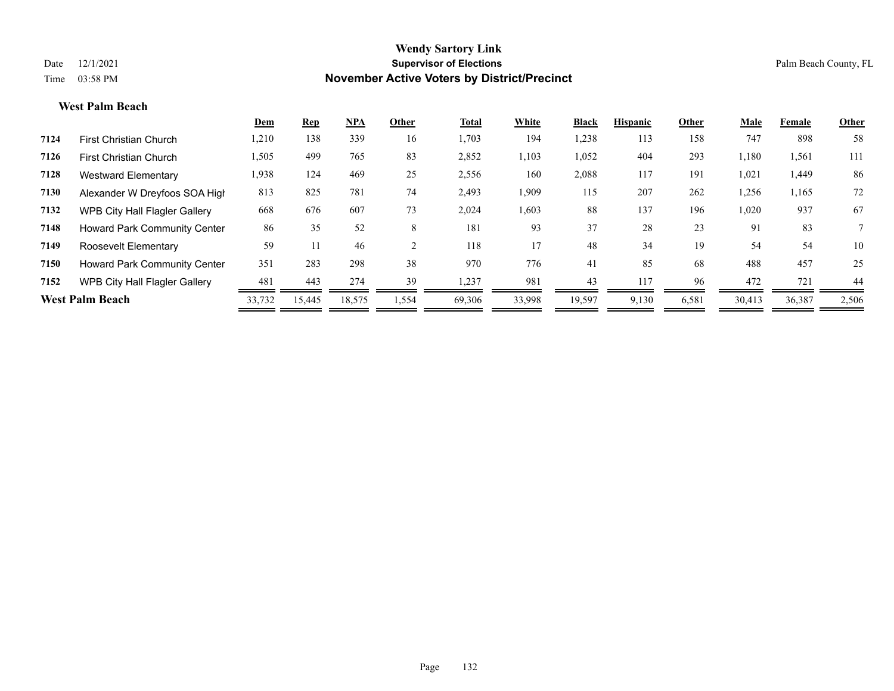#### **West Palm Beach**

|      |                                      | Dem    | <b>Rep</b> | <u>NPA</u> | Other | Total  | White  | <b>Black</b> | <b>Hispanic</b> | Other | Male   | Female | Other |
|------|--------------------------------------|--------|------------|------------|-------|--------|--------|--------------|-----------------|-------|--------|--------|-------|
| 7124 | <b>First Christian Church</b>        | 1,210  | 138        | 339        | 16    | 1,703  | 194    | 1,238        | 113             | 158   | 747    | 898    | 58    |
| 7126 | <b>First Christian Church</b>        | 1,505  | 499        | 765        | 83    | 2,852  | 1,103  | 1,052        | 404             | 293   | 1,180  | 1,561  | 111   |
| 7128 | Westward Elementary                  | 1,938  | 124        | 469        | 25    | 2,556  | 160    | 2,088        | 117             | 191   | 1,021  | 1,449  | 86    |
| 7130 | Alexander W Dreyfoos SOA High        | 813    | 825        | 781        | 74    | 2,493  | 1,909  | 115          | 207             | 262   | 1,256  | 1,165  | 72    |
| 7132 | <b>WPB City Hall Flagler Gallery</b> | 668    | 676        | 607        | 73    | 2,024  | 1,603  | 88           | 137             | 196   | 1,020  | 937    | 67    |
| 7148 | <b>Howard Park Community Center</b>  | 86     | 35         | 52         | 8     | 181    | 93     | 37           | 28              | 23    | 91     | 83     |       |
| 7149 | Roosevelt Elementary                 | 59     |            | 46         |       | 118    | 17     | 48           | 34              | 19    | 54     | 54     | 10    |
| 7150 | <b>Howard Park Community Center</b>  | 351    | 283        | 298        | 38    | 970    | 776    | 41           | 85              | 68    | 488    | 457    | 25    |
| 7152 | WPB City Hall Flagler Gallery        | 481    | 443        | 274        | 39    | 1,237  | 981    | 43           | 117             | 96    | 472    | 721    | 44    |
|      | <b>West Palm Beach</b>               | 33,732 | 15,445     | 18,575     | .554  | 69,306 | 33,998 | 19,597       | 9,130           | 6,581 | 30,413 | 36,387 | 2,506 |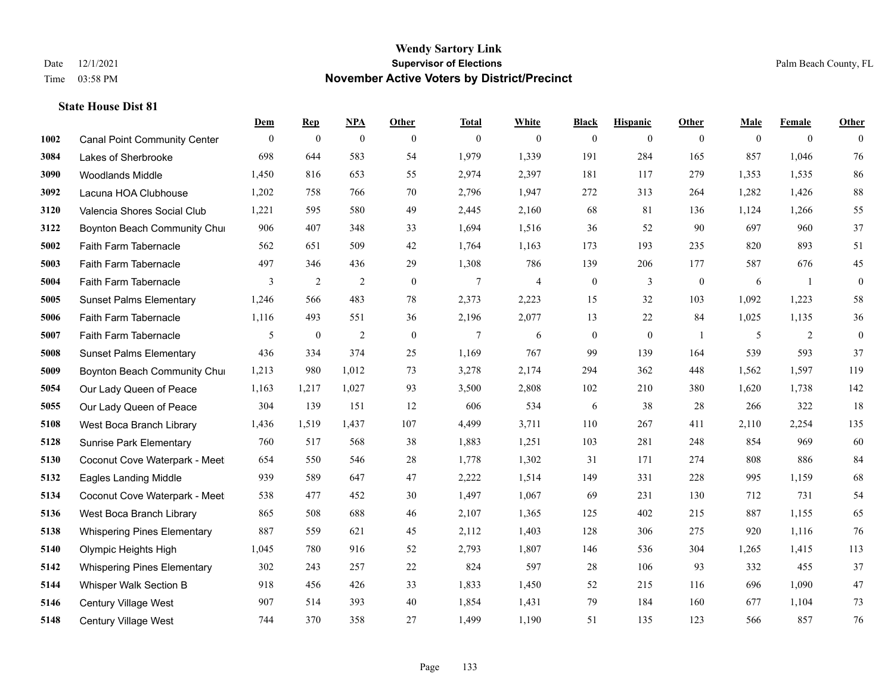|      |                                     | Dem            | <b>Rep</b>       | NPA              | <b>Other</b> | <b>Total</b> | <b>White</b>   | <b>Black</b>     | <b>Hispanic</b> | <b>Other</b>     | <b>Male</b> | <b>Female</b>  | <b>Other</b> |
|------|-------------------------------------|----------------|------------------|------------------|--------------|--------------|----------------|------------------|-----------------|------------------|-------------|----------------|--------------|
| 1002 | <b>Canal Point Community Center</b> | $\overline{0}$ | $\boldsymbol{0}$ | $\boldsymbol{0}$ | $\mathbf{0}$ | $\mathbf{0}$ | $\overline{0}$ | $\overline{0}$   | $\overline{0}$  | $\overline{0}$   | $\theta$    | $\overline{0}$ | $\theta$     |
| 3084 | Lakes of Sherbrooke                 | 698            | 644              | 583              | 54           | 1,979        | 1,339          | 191              | 284             | 165              | 857         | 1,046          | 76           |
| 3090 | <b>Woodlands Middle</b>             | 1,450          | 816              | 653              | 55           | 2,974        | 2,397          | 181              | 117             | 279              | 1,353       | 1,535          | 86           |
| 3092 | Lacuna HOA Clubhouse                | 1,202          | 758              | 766              | 70           | 2,796        | 1,947          | 272              | 313             | 264              | 1,282       | 1,426          | $88\,$       |
| 3120 | Valencia Shores Social Club         | 1,221          | 595              | 580              | 49           | 2,445        | 2,160          | 68               | 81              | 136              | 1,124       | 1,266          | 55           |
| 3122 | Boynton Beach Community Chur        | 906            | 407              | 348              | 33           | 1,694        | 1,516          | 36               | 52              | 90               | 697         | 960            | 37           |
| 5002 | Faith Farm Tabernacle               | 562            | 651              | 509              | 42           | 1,764        | 1,163          | 173              | 193             | 235              | 820         | 893            | 51           |
| 5003 | Faith Farm Tabernacle               | 497            | 346              | 436              | 29           | 1,308        | 786            | 139              | 206             | 177              | 587         | 676            | 45           |
| 5004 | Faith Farm Tabernacle               | 3              | $\sqrt{2}$       | $\overline{2}$   | $\mathbf{0}$ | $\tau$       | $\overline{4}$ | $\boldsymbol{0}$ | 3               | $\boldsymbol{0}$ | 6           | -1             | $\mathbf{0}$ |
| 5005 | <b>Sunset Palms Elementary</b>      | 1,246          | 566              | 483              | 78           | 2,373        | 2,223          | 15               | 32              | 103              | 1,092       | 1,223          | 58           |
| 5006 | Faith Farm Tabernacle               | 1,116          | 493              | 551              | 36           | 2,196        | 2,077          | 13               | 22              | 84               | 1,025       | 1,135          | 36           |
| 5007 | Faith Farm Tabernacle               | 5              | $\boldsymbol{0}$ | $\overline{2}$   | $\mathbf{0}$ | $\tau$       | 6              | $\boldsymbol{0}$ | $\mathbf{0}$    | -1               | 5           | 2              | $\mathbf{0}$ |
| 5008 | <b>Sunset Palms Elementary</b>      | 436            | 334              | 374              | 25           | 1,169        | 767            | 99               | 139             | 164              | 539         | 593            | 37           |
| 5009 | Boynton Beach Community Chur        | 1,213          | 980              | 1,012            | 73           | 3,278        | 2,174          | 294              | 362             | 448              | 1,562       | 1,597          | 119          |
| 5054 | Our Lady Queen of Peace             | 1,163          | 1,217            | 1,027            | 93           | 3,500        | 2,808          | 102              | 210             | 380              | 1,620       | 1,738          | 142          |
| 5055 | Our Lady Queen of Peace             | 304            | 139              | 151              | 12           | 606          | 534            | 6                | 38              | 28               | 266         | 322            | 18           |
| 5108 | West Boca Branch Library            | 1,436          | 1,519            | 1,437            | 107          | 4,499        | 3,711          | 110              | 267             | 411              | 2,110       | 2,254          | 135          |
| 5128 | <b>Sunrise Park Elementary</b>      | 760            | 517              | 568              | 38           | 1,883        | 1,251          | 103              | 281             | 248              | 854         | 969            | 60           |
| 5130 | Coconut Cove Waterpark - Meet       | 654            | 550              | 546              | $28\,$       | 1,778        | 1,302          | 31               | 171             | 274              | 808         | 886            | 84           |
| 5132 | <b>Eagles Landing Middle</b>        | 939            | 589              | 647              | 47           | 2,222        | 1,514          | 149              | 331             | 228              | 995         | 1,159          | 68           |
| 5134 | Coconut Cove Waterpark - Meet       | 538            | 477              | 452              | 30           | 1,497        | 1,067          | 69               | 231             | 130              | 712         | 731            | 54           |
| 5136 | West Boca Branch Library            | 865            | 508              | 688              | 46           | 2,107        | 1,365          | 125              | 402             | 215              | 887         | 1,155          | 65           |
| 5138 | <b>Whispering Pines Elementary</b>  | 887            | 559              | 621              | 45           | 2,112        | 1,403          | 128              | 306             | 275              | 920         | 1,116          | 76           |
| 5140 | Olympic Heights High                | 1,045          | 780              | 916              | 52           | 2,793        | 1,807          | 146              | 536             | 304              | 1,265       | 1,415          | 113          |
| 5142 | <b>Whispering Pines Elementary</b>  | 302            | 243              | 257              | $22\,$       | 824          | 597            | $28\,$           | 106             | 93               | 332         | 455            | 37           |
| 5144 | Whisper Walk Section B              | 918            | 456              | 426              | 33           | 1,833        | 1,450          | 52               | 215             | 116              | 696         | 1,090          | $47\,$       |
| 5146 | Century Village West                | 907            | 514              | 393              | 40           | 1,854        | 1,431          | 79               | 184             | 160              | 677         | 1,104          | 73           |
| 5148 | Century Village West                | 744            | 370              | 358              | 27           | 1,499        | 1,190          | 51               | 135             | 123              | 566         | 857            | 76           |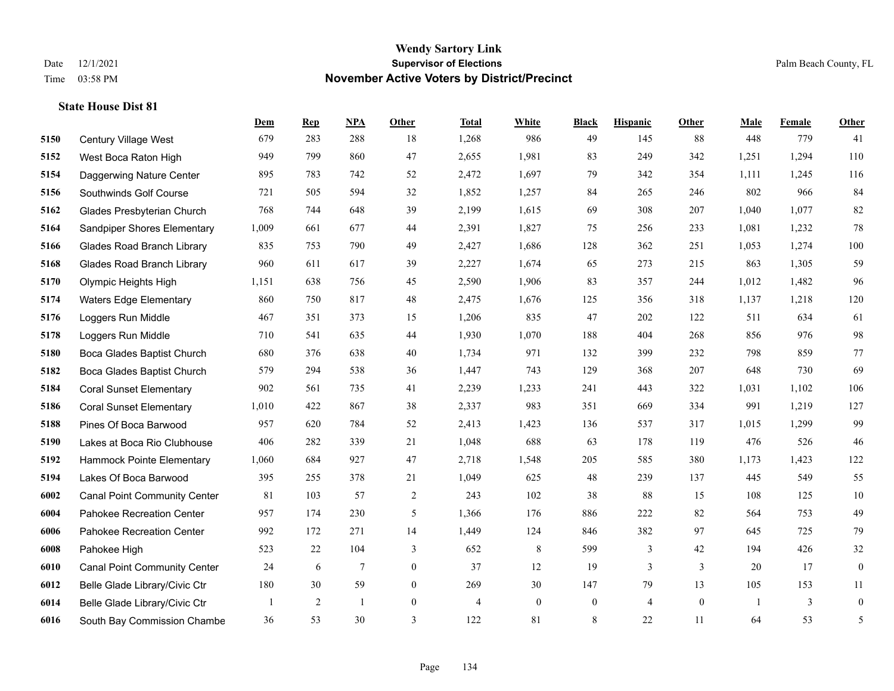|      |                                     | Dem   | <b>Rep</b>     | NPA             | <b>Other</b>   | <b>Total</b>   | <b>White</b>   | <b>Black</b>     | <b>Hispanic</b> | <b>Other</b> | <b>Male</b> | <b>Female</b> | <b>Other</b>     |
|------|-------------------------------------|-------|----------------|-----------------|----------------|----------------|----------------|------------------|-----------------|--------------|-------------|---------------|------------------|
| 5150 | Century Village West                | 679   | 283            | 288             | 18             | 1,268          | 986            | 49               | 145             | 88           | 448         | 779           | 41               |
| 5152 | West Boca Raton High                | 949   | 799            | 860             | 47             | 2,655          | 1,981          | 83               | 249             | 342          | 1,251       | 1,294         | 110              |
| 5154 | Daggerwing Nature Center            | 895   | 783            | 742             | 52             | 2,472          | 1,697          | 79               | 342             | 354          | 1,111       | 1,245         | 116              |
| 5156 | Southwinds Golf Course              | 721   | 505            | 594             | 32             | 1,852          | 1,257          | 84               | 265             | 246          | 802         | 966           | 84               |
| 5162 | Glades Presbyterian Church          | 768   | 744            | 648             | 39             | 2,199          | 1,615          | 69               | 308             | 207          | 1.040       | 1,077         | 82               |
| 5164 | Sandpiper Shores Elementary         | 1,009 | 661            | 677             | 44             | 2,391          | 1,827          | 75               | 256             | 233          | 1,081       | 1,232         | $78\,$           |
| 5166 | <b>Glades Road Branch Library</b>   | 835   | 753            | 790             | 49             | 2,427          | 1,686          | 128              | 362             | 251          | 1,053       | 1,274         | 100              |
| 5168 | <b>Glades Road Branch Library</b>   | 960   | 611            | 617             | 39             | 2,227          | 1,674          | 65               | 273             | 215          | 863         | 1,305         | 59               |
| 5170 | Olympic Heights High                | 1,151 | 638            | 756             | 45             | 2,590          | 1,906          | 83               | 357             | 244          | 1,012       | 1,482         | 96               |
| 5174 | <b>Waters Edge Elementary</b>       | 860   | 750            | 817             | 48             | 2,475          | 1,676          | 125              | 356             | 318          | 1,137       | 1,218         | 120              |
| 5176 | Loggers Run Middle                  | 467   | 351            | 373             | 15             | 1,206          | 835            | 47               | 202             | 122          | 511         | 634           | 61               |
| 5178 | Loggers Run Middle                  | 710   | 541            | 635             | 44             | 1,930          | 1,070          | 188              | 404             | 268          | 856         | 976           | 98               |
| 5180 | Boca Glades Baptist Church          | 680   | 376            | 638             | 40             | 1,734          | 971            | 132              | 399             | 232          | 798         | 859           | $77\,$           |
| 5182 | Boca Glades Baptist Church          | 579   | 294            | 538             | 36             | 1,447          | 743            | 129              | 368             | 207          | 648         | 730           | 69               |
| 5184 | <b>Coral Sunset Elementary</b>      | 902   | 561            | 735             | 41             | 2,239          | 1,233          | 241              | 443             | 322          | 1,031       | 1,102         | 106              |
| 5186 | <b>Coral Sunset Elementary</b>      | 1,010 | 422            | 867             | 38             | 2,337          | 983            | 351              | 669             | 334          | 991         | 1,219         | 127              |
| 5188 | Pines Of Boca Barwood               | 957   | 620            | 784             | 52             | 2,413          | 1,423          | 136              | 537             | 317          | 1,015       | 1,299         | 99               |
| 5190 | Lakes at Boca Rio Clubhouse         | 406   | 282            | 339             | 21             | 1,048          | 688            | 63               | 178             | 119          | 476         | 526           | $46\,$           |
| 5192 | Hammock Pointe Elementary           | 1,060 | 684            | 927             | 47             | 2,718          | 1,548          | 205              | 585             | 380          | 1,173       | 1,423         | 122              |
| 5194 | Lakes Of Boca Barwood               | 395   | 255            | 378             | 21             | 1,049          | 625            | 48               | 239             | 137          | 445         | 549           | 55               |
| 6002 | <b>Canal Point Community Center</b> | 81    | 103            | 57              | 2              | 243            | 102            | 38               | 88              | 15           | 108         | 125           | $10\,$           |
| 6004 | Pahokee Recreation Center           | 957   | 174            | 230             | 5              | 1,366          | 176            | 886              | 222             | 82           | 564         | 753           | 49               |
| 6006 | Pahokee Recreation Center           | 992   | 172            | 271             | 14             | 1,449          | 124            | 846              | 382             | 97           | 645         | 725           | 79               |
| 6008 | Pahokee High                        | 523   | 22             | 104             | 3              | 652            | 8              | 599              | 3               | 42           | 194         | 426           | $32\,$           |
| 6010 | <b>Canal Point Community Center</b> | 24    | 6              | $7\phantom{.0}$ | $\overline{0}$ | 37             | 12             | 19               | $\overline{3}$  | 3            | 20          | 17            | $\mathbf{0}$     |
| 6012 | Belle Glade Library/Civic Ctr       | 180   | 30             | 59              | $\overline{0}$ | 269            | 30             | 147              | 79              | 13           | 105         | 153           | 11               |
| 6014 | Belle Glade Library/Civic Ctr       |       | $\overline{2}$ | -1              | $\overline{0}$ | $\overline{4}$ | $\overline{0}$ | $\boldsymbol{0}$ | $\overline{4}$  | $\mathbf{0}$ |             | 3             | $\boldsymbol{0}$ |
| 6016 | South Bay Commission Chambe         | 36    | 53             | 30              | 3              | 122            | 81             | 8                | 22              | 11           | 64          | 53            | 5                |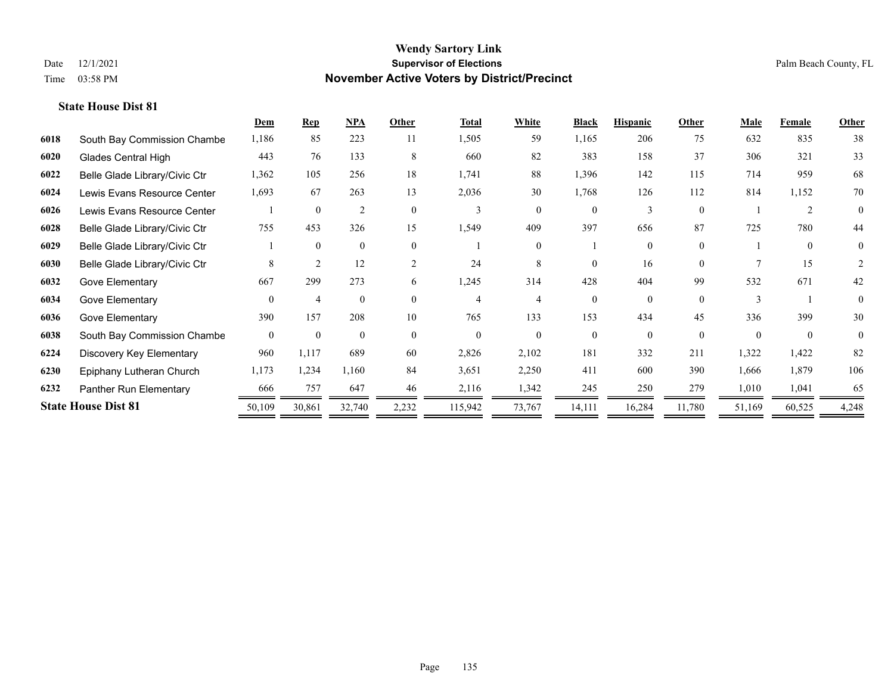|      |                               | Dem            | <b>Rep</b>     | NPA            | Other          | <b>Total</b> | <b>White</b> | <b>Black</b> | <b>Hispanic</b> | Other    | <b>Male</b> | Female   | <b>Other</b> |
|------|-------------------------------|----------------|----------------|----------------|----------------|--------------|--------------|--------------|-----------------|----------|-------------|----------|--------------|
| 6018 | South Bay Commission Chambe   | 1,186          | 85             | 223            | 11             | 1,505        | 59           | 1,165        | 206             | 75       | 632         | 835      | 38           |
| 6020 | <b>Glades Central High</b>    | 443            | 76             | 133            | 8              | 660          | 82           | 383          | 158             | 37       | 306         | 321      | 33           |
| 6022 | Belle Glade Library/Civic Ctr | 1,362          | 105            | 256            | 18             | 1,741        | 88           | 1,396        | 142             | 115      | 714         | 959      | 68           |
| 6024 | Lewis Evans Resource Center   | 1,693          | 67             | 263            | 13             | 2,036        | 30           | 1,768        | 126             | 112      | 814         | 1,152    | 70           |
| 6026 | Lewis Evans Resource Center   |                | $\theta$       | $\overline{2}$ | $\Omega$       | 3            | $\theta$     | $\Omega$     | 3               | $\theta$ |             | 2        | $\theta$     |
| 6028 | Belle Glade Library/Civic Ctr | 755            | 453            | 326            | 15             | 1,549        | 409          | 397          | 656             | 87       | 725         | 780      | 44           |
| 6029 | Belle Glade Library/Civic Ctr |                | $\theta$       | $\mathbf{0}$   | $\theta$       |              | $\Omega$     |              | $\Omega$        | $\theta$ |             | $\theta$ | 0            |
| 6030 | Belle Glade Library/Civic Ctr | 8              | $\overline{2}$ | 12             | $\overline{2}$ | 24           | 8            | $\Omega$     | 16              | $\Omega$ |             | 15       | 2            |
| 6032 | Gove Elementary               | 667            | 299            | 273            | 6              | 1,245        | 314          | 428          | 404             | 99       | 532         | 671      | 42           |
| 6034 | Gove Elementary               | $\Omega$       | $\overline{4}$ | $\theta$       | $\Omega$       | 4            |              | $\Omega$     | $\Omega$        | $\Omega$ |             |          | $\theta$     |
| 6036 | Gove Elementary               | 390            | 157            | 208            | 10             | 765          | 133          | 153          | 434             | 45       | 336         | 399      | 30           |
| 6038 | South Bay Commission Chambe   | $\overline{0}$ | $\mathbf{0}$   | $\mathbf{0}$   | $\Omega$       | $\theta$     | $\theta$     | $\Omega$     | $\Omega$        | $\theta$ | $\Omega$    | $\theta$ | $\theta$     |
| 6224 | Discovery Key Elementary      | 960            | 1,117          | 689            | 60             | 2,826        | 2,102        | 181          | 332             | 211      | 1,322       | 1,422    | 82           |
| 6230 | Epiphany Lutheran Church      | 1,173          | 1,234          | 1,160          | 84             | 3,651        | 2,250        | 411          | 600             | 390      | 1,666       | 1,879    | 106          |
| 6232 | Panther Run Elementary        | 666            | 757            | 647            | 46             | 2,116        | 1,342        | 245          | 250             | 279      | 1,010       | 1,041    | 65           |
|      | <b>State House Dist 81</b>    | 50,109         | 30,861         | 32,740         | 2,232          | 115,942      | 73,767       | 14,111       | 16,284          | 11,780   | 51,169      | 60,525   | 4,248        |
|      |                               |                |                |                |                |              |              |              |                 |          |             |          |              |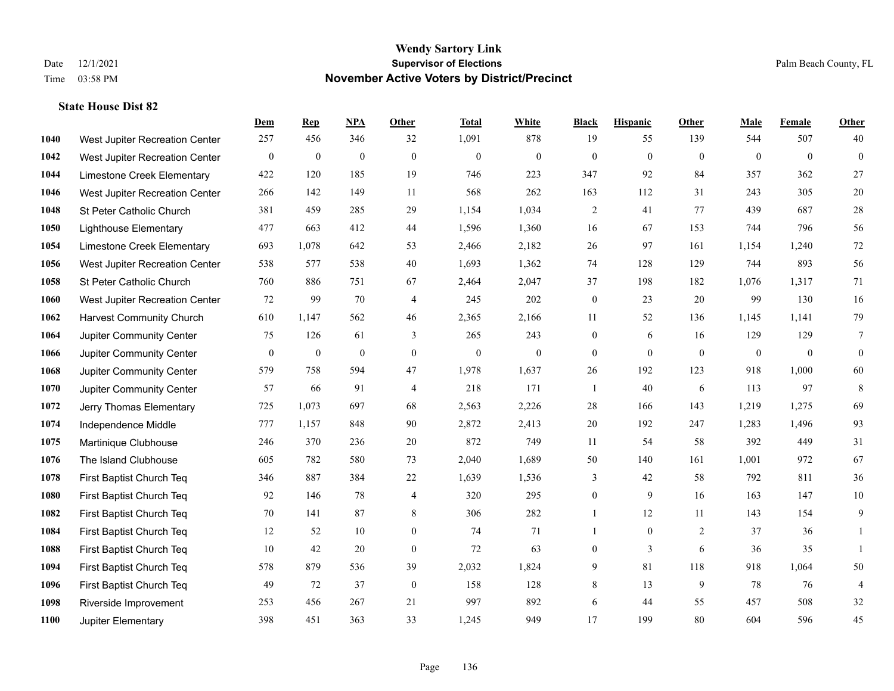|      |                                 | Dem              | <b>Rep</b>       | NPA              | <b>Other</b>   | <b>Total</b>     | <b>White</b>     | <b>Black</b>     | <b>Hispanic</b> | <b>Other</b>   | <b>Male</b>  | <b>Female</b> | <b>Other</b>     |
|------|---------------------------------|------------------|------------------|------------------|----------------|------------------|------------------|------------------|-----------------|----------------|--------------|---------------|------------------|
| 1040 | West Jupiter Recreation Center  | 257              | 456              | 346              | 32             | 1,091            | 878              | 19               | 55              | 139            | 544          | 507           | 40               |
| 1042 | West Jupiter Recreation Center  | $\mathbf{0}$     | $\mathbf{0}$     | $\mathbf{0}$     | $\theta$       | $\mathbf{0}$     | $\mathbf{0}$     | $\mathbf{0}$     | $\mathbf{0}$    | $\theta$       | $\mathbf{0}$ | $\mathbf{0}$  | $\mathbf{0}$     |
| 1044 | Limestone Creek Elementary      | 422              | 120              | 185              | 19             | 746              | 223              | 347              | 92              | 84             | 357          | 362           | $27\,$           |
| 1046 | West Jupiter Recreation Center  | 266              | 142              | 149              | 11             | 568              | 262              | 163              | 112             | 31             | 243          | 305           | $20\,$           |
| 1048 | St Peter Catholic Church        | 381              | 459              | 285              | 29             | 1,154            | 1,034            | 2                | 41              | 77             | 439          | 687           | $28\,$           |
| 1050 | <b>Lighthouse Elementary</b>    | 477              | 663              | 412              | $44\,$         | 1,596            | 1,360            | 16               | 67              | 153            | 744          | 796           | 56               |
| 1054 | Limestone Creek Elementary      | 693              | 1,078            | 642              | 53             | 2,466            | 2,182            | 26               | 97              | 161            | 1,154        | 1,240         | $72\,$           |
| 1056 | West Jupiter Recreation Center  | 538              | 577              | 538              | 40             | 1,693            | 1,362            | 74               | 128             | 129            | 744          | 893           | 56               |
| 1058 | St Peter Catholic Church        | 760              | 886              | 751              | 67             | 2,464            | 2,047            | 37               | 198             | 182            | 1,076        | 1,317         | 71               |
| 1060 | West Jupiter Recreation Center  | 72               | 99               | 70               | $\overline{4}$ | 245              | 202              | $\boldsymbol{0}$ | 23              | 20             | 99           | 130           | 16               |
| 1062 | <b>Harvest Community Church</b> | 610              | 1,147            | 562              | 46             | 2,365            | 2,166            | 11               | 52              | 136            | 1,145        | 1,141         | 79               |
| 1064 | Jupiter Community Center        | 75               | 126              | 61               | 3              | 265              | 243              | $\mathbf{0}$     | 6               | 16             | 129          | 129           | $\overline{7}$   |
| 1066 | Jupiter Community Center        | $\boldsymbol{0}$ | $\boldsymbol{0}$ | $\boldsymbol{0}$ | $\mathbf{0}$   | $\boldsymbol{0}$ | $\boldsymbol{0}$ | $\boldsymbol{0}$ | $\mathbf{0}$    | $\overline{0}$ | $\mathbf{0}$ | $\mathbf{0}$  | $\boldsymbol{0}$ |
| 1068 | Jupiter Community Center        | 579              | 758              | 594              | 47             | 1,978            | 1,637            | 26               | 192             | 123            | 918          | 1,000         | 60               |
| 1070 | Jupiter Community Center        | 57               | 66               | 91               | $\overline{4}$ | 218              | 171              | $\mathbf{1}$     | 40              | 6              | 113          | 97            | 8                |
| 1072 | Jerry Thomas Elementary         | 725              | 1,073            | 697              | 68             | 2,563            | 2,226            | 28               | 166             | 143            | 1,219        | 1,275         | 69               |
| 1074 | Independence Middle             | 777              | 1,157            | 848              | 90             | 2,872            | 2,413            | $20\,$           | 192             | 247            | 1,283        | 1,496         | 93               |
| 1075 | Martinique Clubhouse            | 246              | 370              | 236              | 20             | 872              | 749              | 11               | 54              | 58             | 392          | 449           | 31               |
| 1076 | The Island Clubhouse            | 605              | 782              | 580              | 73             | 2,040            | 1,689            | 50               | 140             | 161            | 1,001        | 972           | 67               |
| 1078 | First Baptist Church Teq        | 346              | 887              | 384              | 22             | 1,639            | 1,536            | 3                | 42              | 58             | 792          | 811           | 36               |
| 1080 | First Baptist Church Teq        | 92               | 146              | 78               | $\overline{4}$ | 320              | 295              | $\mathbf{0}$     | 9               | 16             | 163          | 147           | $10\,$           |
| 1082 | First Baptist Church Teq        | 70               | 141              | 87               | $8\,$          | 306              | 282              | $\mathbf{1}$     | 12              | 11             | 143          | 154           | $\mathbf{9}$     |
| 1084 | First Baptist Church Teq        | 12               | 52               | 10               | $\overline{0}$ | 74               | 71               | $\mathbf{1}$     | $\overline{0}$  | 2              | 37           | 36            | 1                |
| 1088 | First Baptist Church Teq        | 10               | 42               | 20               | $\mathbf{0}$   | 72               | 63               | $\boldsymbol{0}$ | $\overline{3}$  | 6              | 36           | 35            | $\mathbf{1}$     |
| 1094 | First Baptist Church Teq        | 578              | 879              | 536              | 39             | 2,032            | 1,824            | 9                | 81              | 118            | 918          | 1,064         | 50               |
| 1096 | First Baptist Church Teq        | 49               | 72               | 37               | $\mathbf{0}$   | 158              | 128              | 8                | 13              | 9              | 78           | 76            | $\overline{4}$   |
| 1098 | Riverside Improvement           | 253              | 456              | 267              | 21             | 997              | 892              | 6                | 44              | 55             | 457          | 508           | $32\,$           |
| 1100 | Jupiter Elementary              | 398              | 451              | 363              | 33             | 1,245            | 949              | 17               | 199             | 80             | 604          | 596           | 45               |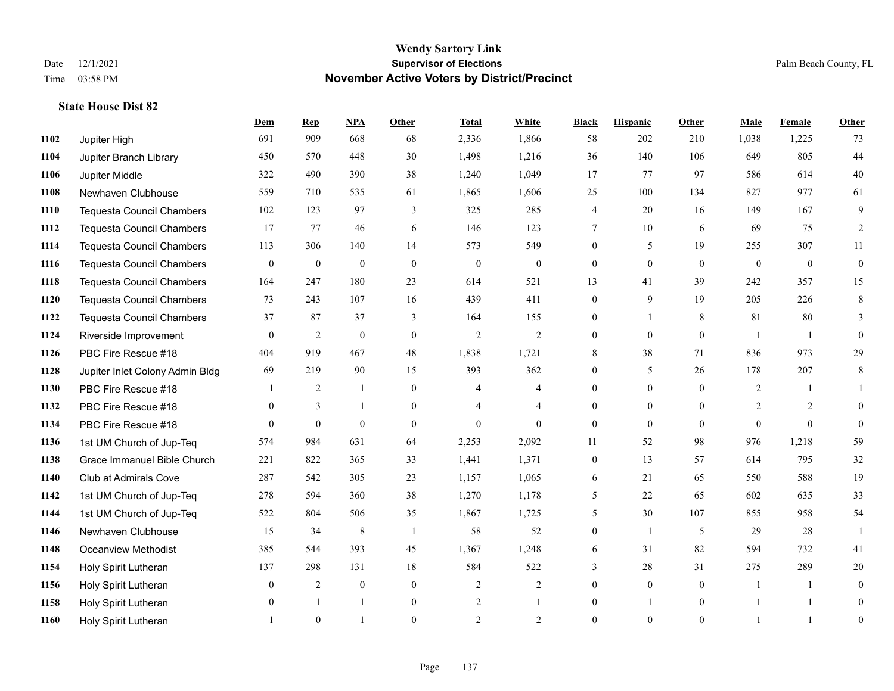|      |                                  | Dem            | <b>Rep</b>       | NPA          | <b>Other</b>   | <b>Total</b>   | <b>White</b>   | <b>Black</b>     | <b>Hispanic</b> | <b>Other</b> | <b>Male</b>  | <b>Female</b> | <b>Other</b>   |
|------|----------------------------------|----------------|------------------|--------------|----------------|----------------|----------------|------------------|-----------------|--------------|--------------|---------------|----------------|
| 1102 | Jupiter High                     | 691            | 909              | 668          | 68             | 2,336          | 1,866          | 58               | 202             | 210          | 1,038        | 1,225         | 73             |
| 1104 | Jupiter Branch Library           | 450            | 570              | 448          | 30             | 1,498          | 1,216          | 36               | 140             | 106          | 649          | 805           | 44             |
| 1106 | Jupiter Middle                   | 322            | 490              | 390          | 38             | 1,240          | 1,049          | 17               | 77              | 97           | 586          | 614           | 40             |
| 1108 | Newhaven Clubhouse               | 559            | 710              | 535          | 61             | 1,865          | 1,606          | 25               | 100             | 134          | 827          | 977           | 61             |
| 1110 | <b>Tequesta Council Chambers</b> | 102            | 123              | 97           | 3              | 325            | 285            | 4                | 20              | 16           | 149          | 167           | 9              |
| 1112 | <b>Tequesta Council Chambers</b> | 17             | 77               | 46           | 6              | 146            | 123            | 7                | 10              | 6            | 69           | 75            | 2              |
| 1114 | <b>Tequesta Council Chambers</b> | 113            | 306              | 140          | 14             | 573            | 549            | $\overline{0}$   | 5               | 19           | 255          | 307           | 11             |
| 1116 | <b>Tequesta Council Chambers</b> | $\theta$       | $\mathbf{0}$     | $\theta$     | $\Omega$       | $\theta$       | $\theta$       | $\Omega$         | $\theta$        | $\Omega$     | $\theta$     | $\theta$      | $\overline{0}$ |
| 1118 | <b>Tequesta Council Chambers</b> | 164            | 247              | 180          | 23             | 614            | 521            | 13               | 41              | 39           | 242          | 357           | 15             |
| 1120 | <b>Tequesta Council Chambers</b> | 73             | 243              | 107          | 16             | 439            | 411            | $\overline{0}$   | 9               | 19           | 205          | 226           | 8              |
| 1122 | Tequesta Council Chambers        | 37             | 87               | 37           | 3              | 164            | 155            | $\overline{0}$   | $\mathbf{1}$    | 8            | 81           | 80            | 3              |
| 1124 | Riverside Improvement            | $\theta$       | $\overline{2}$   | $\theta$     | $\mathbf{0}$   | $\overline{2}$ | $\overline{2}$ | $\overline{0}$   | $\Omega$        | $\theta$     | $\mathbf{1}$ | $\mathbf{1}$  | $\Omega$       |
| 1126 | PBC Fire Rescue #18              | 404            | 919              | 467          | 48             | 1,838          | 1,721          | 8                | 38              | 71           | 836          | 973           | 29             |
| 1128 | Jupiter Inlet Colony Admin Bldg  | 69             | 219              | 90           | 15             | 393            | 362            | $\boldsymbol{0}$ | 5               | 26           | 178          | 207           | 8              |
| 1130 | PBC Fire Rescue #18              |                | 2                | -1           | $\mathbf{0}$   | 4              | $\overline{4}$ | $\overline{0}$   | $\overline{0}$  | $\Omega$     | 2            | -1            |                |
| 1132 | PBC Fire Rescue #18              | $\theta$       | 3                | $\mathbf{1}$ | $\theta$       | 4              | $\overline{4}$ | $\Omega$         | $\Omega$        | $\Omega$     | 2            | 2             | $\Omega$       |
| 1134 | PBC Fire Rescue #18              | $\overline{0}$ | $\boldsymbol{0}$ | $\mathbf{0}$ | $\mathbf{0}$   | $\mathbf{0}$   | $\overline{0}$ | $\mathbf{0}$     | $\mathbf{0}$    | $\theta$     | $\theta$     | $\theta$      | $\Omega$       |
| 1136 | 1st UM Church of Jup-Teq         | 574            | 984              | 631          | 64             | 2,253          | 2,092          | 11               | 52              | 98           | 976          | 1,218         | 59             |
| 1138 | Grace Immanuel Bible Church      | 221            | 822              | 365          | 33             | 1,441          | 1,371          | $\boldsymbol{0}$ | 13              | 57           | 614          | 795           | 32             |
| 1140 | Club at Admirals Cove            | 287            | 542              | 305          | 23             | 1,157          | 1,065          | 6                | 21              | 65           | 550          | 588           | 19             |
| 1142 | 1st UM Church of Jup-Teq         | 278            | 594              | 360          | 38             | 1,270          | 1,178          | 5                | 22              | 65           | 602          | 635           | 33             |
| 1144 | 1st UM Church of Jup-Teq         | 522            | 804              | 506          | 35             | 1,867          | 1,725          | 5                | 30              | 107          | 855          | 958           | 54             |
| 1146 | Newhaven Clubhouse               | 15             | 34               | $\,$ 8 $\,$  | -1             | 58             | 52             | $\mathbf{0}$     | 1               | 5            | 29           | 28            | -1             |
| 1148 | Oceanview Methodist              | 385            | 544              | 393          | 45             | 1,367          | 1,248          | 6                | 31              | 82           | 594          | 732           | 41             |
| 1154 | Holy Spirit Lutheran             | 137            | 298              | 131          | 18             | 584            | 522            | 3                | 28              | 31           | 275          | 289           | 20             |
| 1156 | Holy Spirit Lutheran             | $\overline{0}$ | 2                | $\mathbf{0}$ | $\mathbf{0}$   | 2              | $\overline{c}$ | $\overline{0}$   | $\overline{0}$  | $\theta$     | -1           | $\mathbf{1}$  | $\mathbf{0}$   |
| 1158 | Holy Spirit Lutheran             | $\mathbf{0}$   | -1               |              | $\overline{0}$ | $\overline{2}$ |                | $\overline{0}$   | $\mathbf{1}$    | $\mathbf{0}$ |              | $\mathbf{1}$  | $\theta$       |
| 1160 | Holy Spirit Lutheran             |                | $\theta$         |              | $\theta$       | $\overline{2}$ | $\overline{2}$ | $\theta$         | $\Omega$        | $\theta$     |              | $\mathbf{1}$  | $\mathbf{0}$   |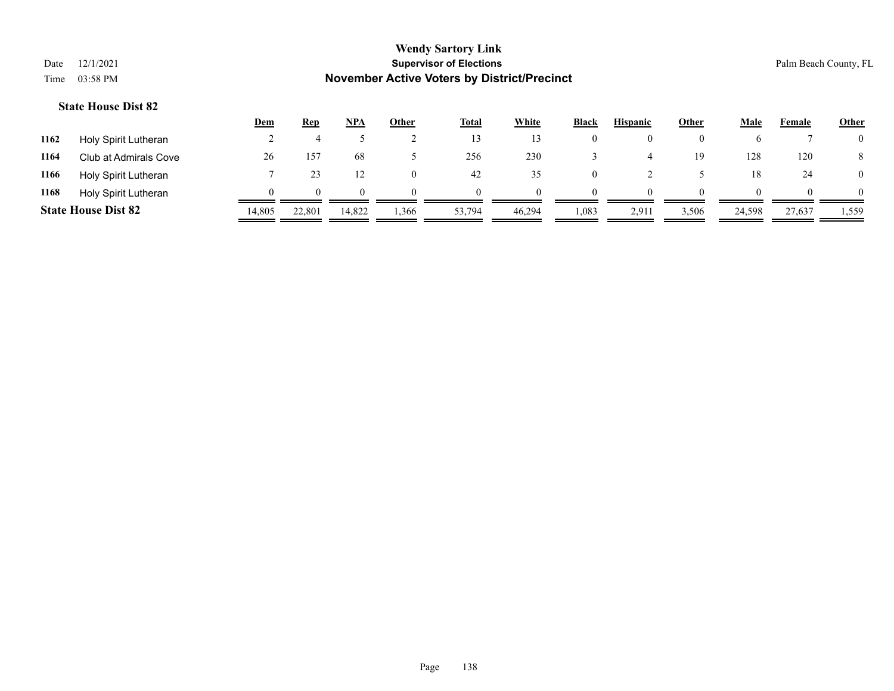|      |                            | <b>Dem</b> | Rep          | <b>NPA</b> | Other    | <b>Total</b> | White  | <b>Black</b> | <b>Hispanic</b> | Other | Male   | Female | <b>Other</b>   |
|------|----------------------------|------------|--------------|------------|----------|--------------|--------|--------------|-----------------|-------|--------|--------|----------------|
| 1162 | Holy Spirit Lutheran       |            |              |            |          | 13           |        | $\theta$     |                 |       |        |        | $\overline{0}$ |
| 1164 | Club at Admirals Cove      | 26         | $15^{2}$     | 68         |          | 256          | 230    |              |                 | 19    | 128    | 120    | 8              |
| 1166 | Holy Spirit Lutheran       |            |              |            | $\theta$ | 42           | 35     | 0            |                 |       | 18     | 24     | $\overline{0}$ |
| 1168 | Holy Spirit Lutheran       |            | $\mathbf{U}$ | 0          |          | $\theta$     |        | $\Omega$     | $\Omega$        |       |        |        | $\Omega$       |
|      | <b>State House Dist 82</b> | 14,805     | 22,801       | 14,822     | .366     | 53,794       | 46.294 | 1,083        | 2,911           | 3,506 | 24,598 | 27,637 | 1,559          |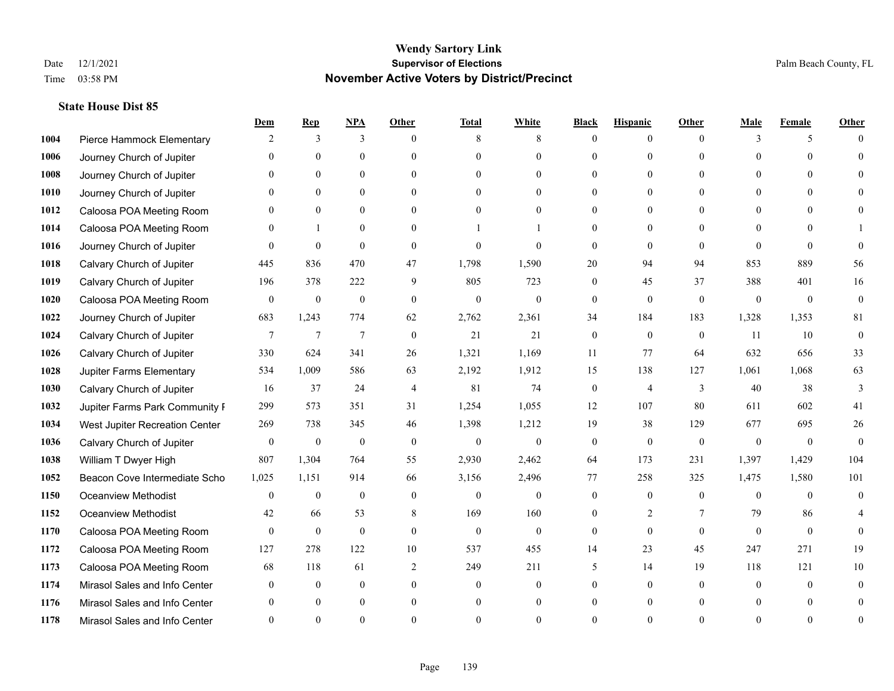|      |                                | Dem            | <b>Rep</b>       | NPA            | <b>Other</b>   | <b>Total</b> | <b>White</b>     | <b>Black</b>     | <b>Hispanic</b>  | <b>Other</b> | <b>Male</b>  | <b>Female</b>  | <b>Other</b>   |
|------|--------------------------------|----------------|------------------|----------------|----------------|--------------|------------------|------------------|------------------|--------------|--------------|----------------|----------------|
| 1004 | Pierce Hammock Elementary      | 2              | 3                | 3              | $\Omega$       | 8            | 8                | $\mathbf{0}$     | $\mathbf{0}$     | $\theta$     | 3            | 5              | $\Omega$       |
| 1006 | Journey Church of Jupiter      | $\Omega$       | $\theta$         | $\mathbf{0}$   | $\Omega$       | $\Omega$     | $\overline{0}$   | $\theta$         | $\mathbf{0}$     | $\Omega$     | $\Omega$     | $\Omega$       | $\Omega$       |
| 1008 | Journey Church of Jupiter      | $\Omega$       | $\theta$         | $\theta$       | $\Omega$       | $\Omega$     | $\Omega$         | $\Omega$         | $\theta$         | $\Omega$     | $\Omega$     | $\Omega$       |                |
| 1010 | Journey Church of Jupiter      |                | $\mathbf{0}$     | $\mathbf{0}$   | $\mathbf{0}$   | $\theta$     | $\overline{0}$   | $\overline{0}$   | $\mathbf{0}$     | $\Omega$     | $\mathbf{0}$ | $\theta$       |                |
| 1012 | Caloosa POA Meeting Room       | $\Omega$       | $\theta$         | $\mathbf{0}$   | $\Omega$       | $\Omega$     | $\theta$         | $\theta$         | $\theta$         | $\Omega$     | $\theta$     | $\Omega$       | $\Omega$       |
| 1014 | Caloosa POA Meeting Room       | $\Omega$       | -1               | $\mathbf{0}$   | $\Omega$       |              |                  | $\theta$         | $\mathbf{0}$     | $\Omega$     | $\theta$     | 0              |                |
| 1016 | Journey Church of Jupiter      | $\Omega$       | $\theta$         | $\theta$       | $\theta$       | $\Omega$     | $\theta$         | $\theta$         | $\theta$         | $\theta$     | $\Omega$     | $\Omega$       | $\Omega$       |
| 1018 | Calvary Church of Jupiter      | 445            | 836              | 470            | 47             | 1,798        | 1,590            | 20               | 94               | 94           | 853          | 889            | 56             |
| 1019 | Calvary Church of Jupiter      | 196            | 378              | 222            | 9              | 805          | 723              | $\boldsymbol{0}$ | 45               | 37           | 388          | 401            | 16             |
| 1020 | Caloosa POA Meeting Room       | $\mathbf{0}$   | $\mathbf{0}$     | $\mathbf{0}$   | $\mathbf{0}$   | $\mathbf{0}$ | $\boldsymbol{0}$ | $\mathbf{0}$     | $\mathbf{0}$     | $\mathbf{0}$ | $\mathbf{0}$ | $\mathbf{0}$   | $\mathbf{0}$   |
| 1022 | Journey Church of Jupiter      | 683            | 1,243            | 774            | 62             | 2,762        | 2,361            | 34               | 184              | 183          | 1,328        | 1,353          | 81             |
| 1024 | Calvary Church of Jupiter      | $\overline{7}$ | $\tau$           | $\overline{7}$ | $\mathbf{0}$   | 21           | 21               | $\boldsymbol{0}$ | $\boldsymbol{0}$ | $\mathbf{0}$ | 11           | 10             | $\mathbf{0}$   |
| 1026 | Calvary Church of Jupiter      | 330            | 624              | 341            | 26             | 1,321        | 1,169            | 11               | 77               | 64           | 632          | 656            | 33             |
| 1028 | Jupiter Farms Elementary       | 534            | 1,009            | 586            | 63             | 2,192        | 1,912            | 15               | 138              | 127          | 1,061        | 1,068          | 63             |
| 1030 | Calvary Church of Jupiter      | 16             | 37               | 24             | $\overline{4}$ | 81           | 74               | $\boldsymbol{0}$ | $\overline{4}$   | 3            | 40           | 38             | 3              |
| 1032 | Jupiter Farms Park Community I | 299            | 573              | 351            | 31             | 1,254        | 1,055            | 12               | 107              | 80           | 611          | 602            | 41             |
| 1034 | West Jupiter Recreation Center | 269            | 738              | 345            | 46             | 1,398        | 1,212            | 19               | 38               | 129          | 677          | 695            | 26             |
| 1036 | Calvary Church of Jupiter      | $\mathbf{0}$   | $\boldsymbol{0}$ | $\mathbf{0}$   | $\theta$       | $\mathbf{0}$ | $\mathbf{0}$     | $\overline{0}$   | $\mathbf{0}$     | $\mathbf{0}$ | $\theta$     | $\overline{0}$ | $\theta$       |
| 1038 | William T Dwyer High           | 807            | 1,304            | 764            | 55             | 2,930        | 2,462            | 64               | 173              | 231          | 1,397        | 1,429          | 104            |
| 1052 | Beacon Cove Intermediate Scho  | 1,025          | 1,151            | 914            | 66             | 3,156        | 2,496            | 77               | 258              | 325          | 1,475        | 1,580          | 101            |
| 1150 | <b>Oceanview Methodist</b>     | $\overline{0}$ | $\boldsymbol{0}$ | $\mathbf{0}$   | $\theta$       | $\mathbf{0}$ | $\mathbf{0}$     | $\overline{0}$   | $\mathbf{0}$     | $\theta$     | $\theta$     | $\theta$       | $\mathbf{0}$   |
| 1152 | <b>Oceanview Methodist</b>     | 42             | 66               | 53             | 8              | 169          | 160              | $\overline{0}$   | $\overline{c}$   | $\tau$       | 79           | 86             |                |
| 1170 | Caloosa POA Meeting Room       | $\mathbf{0}$   | $\mathbf{0}$     | $\mathbf{0}$   | $\theta$       | $\mathbf{0}$ | $\mathbf{0}$     | $\mathbf{0}$     | $\theta$         | $\theta$     | $\theta$     | $\theta$       | $\theta$       |
| 1172 | Caloosa POA Meeting Room       | 127            | 278              | 122            | 10             | 537          | 455              | 14               | 23               | 45           | 247          | 271            | 19             |
| 1173 | Caloosa POA Meeting Room       | 68             | 118              | 61             | 2              | 249          | 211              | 5                | 14               | 19           | 118          | 121            | 10             |
| 1174 | Mirasol Sales and Info Center  | $\Omega$       | $\overline{0}$   | $\mathbf{0}$   | $\theta$       | $\theta$     | $\overline{0}$   | $\theta$         | $\overline{0}$   | $\Omega$     | $\theta$     | $\theta$       | $\overline{0}$ |
| 1176 | Mirasol Sales and Info Center  |                | $\theta$         | $\theta$       | $\theta$       | $\theta$     | $\overline{0}$   | $\theta$         | $\theta$         | $\Omega$     |              | $\Omega$       |                |
| 1178 | Mirasol Sales and Info Center  |                | $\Omega$         | $\Omega$       | $\Omega$       |              | $\Omega$         | $\Omega$         | $\Omega$         | $\Omega$     |              | $\Omega$       | $\theta$       |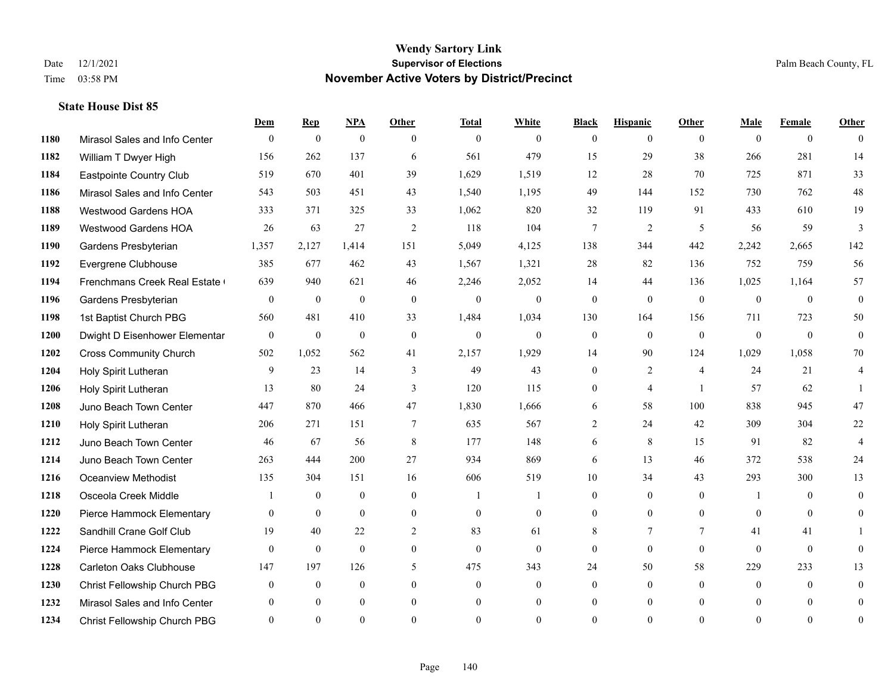|      |                               | Dem          | <b>Rep</b>       | $NPA$        | <b>Other</b>   | <b>Total</b>   | <b>White</b>   | <b>Black</b>   | <b>Hispanic</b> | Other          | <b>Male</b>    | <b>Female</b>  | <b>Other</b>     |
|------|-------------------------------|--------------|------------------|--------------|----------------|----------------|----------------|----------------|-----------------|----------------|----------------|----------------|------------------|
| 1180 | Mirasol Sales and Info Center | $\mathbf{0}$ | $\mathbf{0}$     | $\mathbf{0}$ | $\theta$       | $\overline{0}$ | $\overline{0}$ | $\Omega$       | $\overline{0}$  | $\theta$       | $\theta$       | $\overline{0}$ | $\theta$         |
| 1182 | William T Dwyer High          | 156          | 262              | 137          | 6              | 561            | 479            | 15             | 29              | 38             | 266            | 281            | 14               |
| 1184 | Eastpointe Country Club       | 519          | 670              | 401          | 39             | 1,629          | 1,519          | 12             | 28              | 70             | 725            | 871            | 33               |
| 1186 | Mirasol Sales and Info Center | 543          | 503              | 451          | 43             | 1,540          | 1,195          | 49             | 144             | 152            | 730            | 762            | $48\,$           |
| 1188 | <b>Westwood Gardens HOA</b>   | 333          | 371              | 325          | 33             | 1,062          | 820            | 32             | 119             | 91             | 433            | 610            | 19               |
| 1189 | <b>Westwood Gardens HOA</b>   | 26           | 63               | 27           | 2              | 118            | 104            | 7              | 2               | 5              | 56             | 59             | 3                |
| 1190 | Gardens Presbyterian          | 1,357        | 2,127            | 1,414        | 151            | 5,049          | 4,125          | 138            | 344             | 442            | 2,242          | 2,665          | 142              |
| 1192 | Evergrene Clubhouse           | 385          | 677              | 462          | 43             | 1,567          | 1,321          | 28             | 82              | 136            | 752            | 759            | 56               |
| 1194 | Frenchmans Creek Real Estate  | 639          | 940              | 621          | 46             | 2,246          | 2,052          | 14             | 44              | 136            | 1,025          | 1,164          | 57               |
| 1196 | Gardens Presbyterian          | $\mathbf{0}$ | $\mathbf{0}$     | $\mathbf{0}$ | $\mathbf{0}$   | $\overline{0}$ | $\overline{0}$ | $\mathbf{0}$   | $\mathbf{0}$    | $\theta$       | $\overline{0}$ | $\theta$       | $\overline{0}$   |
| 1198 | 1st Baptist Church PBG        | 560          | 481              | 410          | 33             | 1,484          | 1,034          | 130            | 164             | 156            | 711            | 723            | 50               |
| 1200 | Dwight D Eisenhower Elementar | $\mathbf{0}$ | $\boldsymbol{0}$ | $\mathbf{0}$ | $\mathbf{0}$   | $\overline{0}$ | $\overline{0}$ | $\mathbf{0}$   | $\overline{0}$  | $\theta$       | $\overline{0}$ | $\theta$       | $\mathbf{0}$     |
| 1202 | <b>Cross Community Church</b> | 502          | 1,052            | 562          | 41             | 2,157          | 1,929          | 14             | 90              | 124            | 1,029          | 1,058          | 70               |
| 1204 | Holy Spirit Lutheran          | 9            | 23               | 14           | $\overline{3}$ | 49             | 43             | 0              | $\overline{2}$  | $\overline{4}$ | 24             | 21             | $\overline{4}$   |
| 1206 | Holy Spirit Lutheran          | 13           | 80               | 24           | 3              | 120            | 115            | 0              | 4               | $\overline{1}$ | 57             | 62             |                  |
| 1208 | Juno Beach Town Center        | 447          | 870              | 466          | 47             | 1,830          | 1,666          | 6              | 58              | 100            | 838            | 945            | 47               |
| 1210 | Holy Spirit Lutheran          | 206          | 271              | 151          | $\tau$         | 635            | 567            | $\overline{2}$ | 24              | 42             | 309            | 304            | $22\,$           |
| 1212 | Juno Beach Town Center        | 46           | 67               | 56           | 8              | 177            | 148            | 6              | 8               | 15             | 91             | 82             | $\overline{4}$   |
| 1214 | Juno Beach Town Center        | 263          | 444              | 200          | 27             | 934            | 869            | 6              | 13              | 46             | 372            | 538            | 24               |
| 1216 | Oceanview Methodist           | 135          | 304              | 151          | 16             | 606            | 519            | $10\,$         | 34              | 43             | 293            | 300            | 13               |
| 1218 | Osceola Creek Middle          |              | $\mathbf{0}$     | $\mathbf{0}$ | $\theta$       | $\mathbf{1}$   |                | $\overline{0}$ | $\overline{0}$  | $\theta$       | $\overline{1}$ | $\theta$       | $\theta$         |
| 1220 | Pierce Hammock Elementary     | $\theta$     | $\mathbf{0}$     | $\mathbf{0}$ | $\mathbf{0}$   | $\mathbf{0}$   | $\overline{0}$ | $\overline{0}$ | $\overline{0}$  | $\theta$       | $\theta$       | $\theta$       | $\theta$         |
| 1222 | Sandhill Crane Golf Club      | 19           | 40               | 22           | 2              | 83             | 61             | 8              | 7               | 7              | 41             | 41             |                  |
| 1224 | Pierce Hammock Elementary     | $\mathbf{0}$ | $\mathbf{0}$     | $\mathbf{0}$ | $\mathbf{0}$   | $\mathbf{0}$   | $\overline{0}$ | 0              | $\mathbf{0}$    | $\mathbf{0}$   | $\theta$       | $\mathbf{0}$   | $\theta$         |
| 1228 | Carleton Oaks Clubhouse       | 147          | 197              | 126          | 5              | 475            | 343            | 24             | 50              | 58             | 229            | 233            | 13               |
| 1230 | Christ Fellowship Church PBG  | $\theta$     | $\mathbf{0}$     | $\mathbf{0}$ | $\theta$       | $\mathbf{0}$   | $\overline{0}$ | $\overline{0}$ | $\overline{0}$  | $\Omega$       | $\theta$       | $\theta$       | $\theta$         |
| 1232 | Mirasol Sales and Info Center |              | $\mathbf{0}$     | $\mathbf{0}$ | $\mathbf{0}$   | $\mathbf{0}$   | $\overline{0}$ | $\overline{0}$ | $\overline{0}$  | $\Omega$       | $\theta$       | $\mathbf{0}$   | $\overline{0}$   |
| 1234 | Christ Fellowship Church PBG  | $\theta$     | $\Omega$         | $\Omega$     | $\Omega$       | $\Omega$       | $\Omega$       | $\theta$       | $\theta$        | $\Omega$       | $\Omega$       | $\Omega$       | $\boldsymbol{0}$ |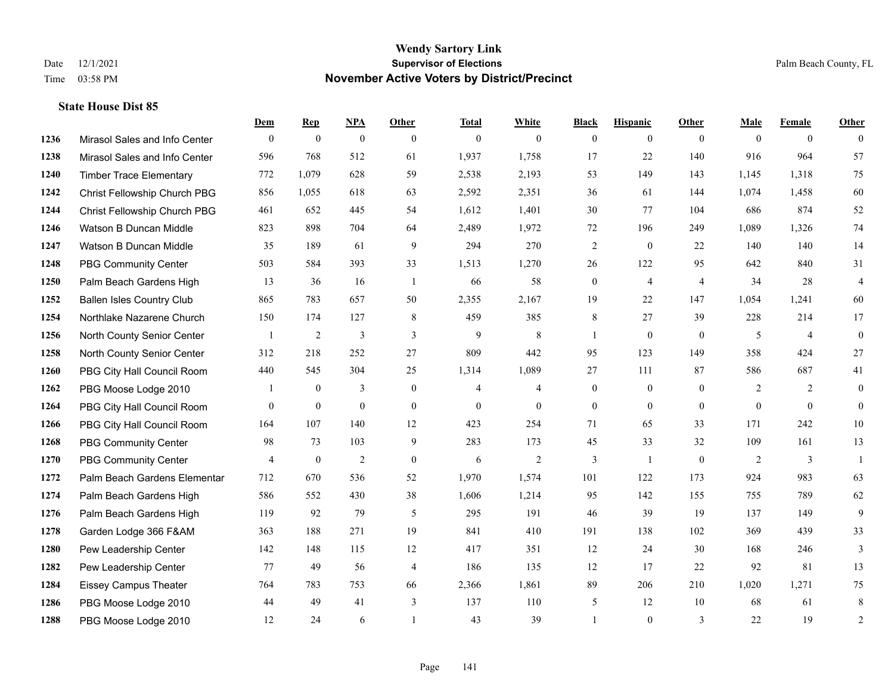|      |                                  | Dem          | <b>Rep</b>       | NPA              | <b>Other</b>   | <b>Total</b>   | <b>White</b>   | <b>Black</b>     | <b>Hispanic</b>  | <b>Other</b>   | <b>Male</b> | <b>Female</b>  | Other          |
|------|----------------------------------|--------------|------------------|------------------|----------------|----------------|----------------|------------------|------------------|----------------|-------------|----------------|----------------|
| 1236 | Mirasol Sales and Info Center    | $\mathbf{0}$ | $\mathbf{0}$     | $\boldsymbol{0}$ | $\theta$       | $\mathbf{0}$   | $\overline{0}$ | $\overline{0}$   | $\overline{0}$   | $\theta$       | $\theta$    | $\overline{0}$ | $\Omega$       |
| 1238 | Mirasol Sales and Info Center    | 596          | 768              | 512              | 61             | 1,937          | 1,758          | 17               | 22               | 140            | 916         | 964            | 57             |
| 1240 | <b>Timber Trace Elementary</b>   | 772          | 1,079            | 628              | 59             | 2,538          | 2,193          | 53               | 149              | 143            | 1,145       | 1,318          | 75             |
| 1242 | Christ Fellowship Church PBG     | 856          | 1,055            | 618              | 63             | 2,592          | 2,351          | 36               | 61               | 144            | 1,074       | 1,458          | 60             |
| 1244 | Christ Fellowship Church PBG     | 461          | 652              | 445              | 54             | 1,612          | 1,401          | 30               | 77               | 104            | 686         | 874            | 52             |
| 1246 | Watson B Duncan Middle           | 823          | 898              | 704              | 64             | 2,489          | 1,972          | 72               | 196              | 249            | 1,089       | 1,326          | 74             |
| 1247 | Watson B Duncan Middle           | 35           | 189              | 61               | $\overline{9}$ | 294            | 270            | $\overline{c}$   | $\boldsymbol{0}$ | 22             | 140         | 140            | 14             |
| 1248 | <b>PBG Community Center</b>      | 503          | 584              | 393              | 33             | 1,513          | 1,270          | 26               | 122              | 95             | 642         | 840            | 31             |
| 1250 | Palm Beach Gardens High          | 13           | 36               | 16               | -1             | 66             | 58             | $\boldsymbol{0}$ | $\overline{4}$   | $\overline{4}$ | 34          | 28             | 4              |
| 1252 | <b>Ballen Isles Country Club</b> | 865          | 783              | 657              | 50             | 2,355          | 2,167          | 19               | 22               | 147            | 1,054       | 1,241          | 60             |
| 1254 | Northlake Nazarene Church        | 150          | 174              | 127              | 8              | 459            | 385            | 8                | 27               | 39             | 228         | 214            | 17             |
| 1256 | North County Senior Center       |              | $\overline{2}$   | 3                | 3              | 9              | 8              | $\mathbf{1}$     | $\overline{0}$   | $\mathbf{0}$   | 5           | $\overline{4}$ | $\overline{0}$ |
| 1258 | North County Senior Center       | 312          | 218              | 252              | 27             | 809            | 442            | 95               | 123              | 149            | 358         | 424            | 27             |
| 1260 | PBG City Hall Council Room       | 440          | 545              | 304              | 25             | 1,314          | 1,089          | 27               | 111              | 87             | 586         | 687            | 41             |
| 1262 | PBG Moose Lodge 2010             |              | $\mathbf{0}$     | 3                | $\mathbf{0}$   | $\overline{4}$ | $\overline{4}$ | $\boldsymbol{0}$ | $\boldsymbol{0}$ | $\overline{0}$ | 2           | 2              | $\overline{0}$ |
| 1264 | PBG City Hall Council Room       | $\theta$     | $\boldsymbol{0}$ | $\mathbf{0}$     | $\theta$       | $\mathbf{0}$   | $\mathbf{0}$   | $\overline{0}$   | $\overline{0}$   | $\theta$       | $\theta$    | $\theta$       | $\overline{0}$ |
| 1266 | PBG City Hall Council Room       | 164          | 107              | 140              | 12             | 423            | 254            | 71               | 65               | 33             | 171         | 242            | $10\,$         |
| 1268 | <b>PBG Community Center</b>      | 98           | 73               | 103              | 9              | 283            | 173            | 45               | 33               | 32             | 109         | 161            | 13             |
| 1270 | <b>PBG Community Center</b>      | 4            | $\boldsymbol{0}$ | $\overline{2}$   | $\mathbf{0}$   | 6              | $\overline{2}$ | 3                | $\overline{1}$   | $\mathbf{0}$   | 2           | 3              | $\overline{1}$ |
| 1272 | Palm Beach Gardens Elementar     | 712          | 670              | 536              | 52             | 1,970          | 1,574          | 101              | 122              | 173            | 924         | 983            | 63             |
| 1274 | Palm Beach Gardens High          | 586          | 552              | 430              | 38             | 1,606          | 1,214          | 95               | 142              | 155            | 755         | 789            | 62             |
| 1276 | Palm Beach Gardens High          | 119          | 92               | 79               | 5              | 295            | 191            | 46               | 39               | 19             | 137         | 149            | 9              |
| 1278 | Garden Lodge 366 F&AM            | 363          | 188              | 271              | 19             | 841            | 410            | 191              | 138              | 102            | 369         | 439            | 33             |
| 1280 | Pew Leadership Center            | 142          | 148              | 115              | 12             | 417            | 351            | 12               | 24               | 30             | 168         | 246            | 3              |
| 1282 | Pew Leadership Center            | 77           | 49               | 56               | $\overline{4}$ | 186            | 135            | 12               | 17               | 22             | 92          | 81             | 13             |
| 1284 | <b>Eissey Campus Theater</b>     | 764          | 783              | 753              | 66             | 2,366          | 1,861          | 89               | 206              | 210            | 1,020       | 1,271          | 75             |
| 1286 | PBG Moose Lodge 2010             | 44           | 49               | 41               | 3              | 137            | 110            | 5                | 12               | 10             | 68          | 61             | 8              |
| 1288 | PBG Moose Lodge 2010             | 12           | 24               | 6                |                | 43             | 39             | 1                | $\theta$         | 3              | 22          | 19             | $\sqrt{2}$     |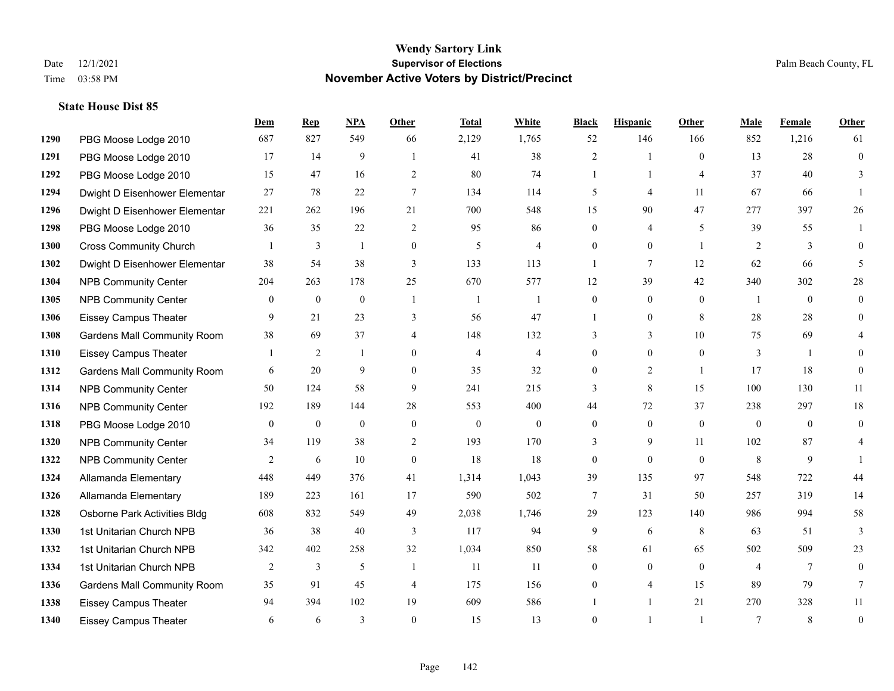|      |                                    | Dem          | <b>Rep</b>     | NPA          | Other          | <b>Total</b>   | <b>White</b>   | <b>Black</b>   | <b>Hispanic</b> | Other          | <b>Male</b>    | <b>Female</b>  | <b>Other</b>     |
|------|------------------------------------|--------------|----------------|--------------|----------------|----------------|----------------|----------------|-----------------|----------------|----------------|----------------|------------------|
| 1290 | PBG Moose Lodge 2010               | 687          | 827            | 549          | 66             | 2,129          | 1,765          | 52             | 146             | 166            | 852            | 1,216          | 61               |
| 1291 | PBG Moose Lodge 2010               | 17           | 14             | 9            | $\overline{1}$ | 41             | 38             | $\overline{2}$ | 1               | $\theta$       | 13             | 28             | $\mathbf{0}$     |
| 1292 | PBG Moose Lodge 2010               | 15           | 47             | 16           | 2              | 80             | 74             | $\mathbf{1}$   | $\mathbf{1}$    | $\overline{4}$ | 37             | 40             | 3                |
| 1294 | Dwight D Eisenhower Elementar      | 27           | 78             | 22           | $\tau$         | 134            | 114            | 5              | 4               | 11             | 67             | 66             |                  |
| 1296 | Dwight D Eisenhower Elementar      | 221          | 262            | 196          | 21             | 700            | 548            | 15             | 90              | 47             | 277            | 397            | 26               |
| 1298 | PBG Moose Lodge 2010               | 36           | 35             | 22           | 2              | 95             | 86             | $\overline{0}$ | 4               | 5              | 39             | 55             |                  |
| 1300 | <b>Cross Community Church</b>      |              | 3              | $\mathbf{1}$ | $\mathbf{0}$   | 5              | $\overline{4}$ | $\overline{0}$ | $\mathbf{0}$    | $\overline{1}$ | 2              | 3              | $\theta$         |
| 1302 | Dwight D Eisenhower Elementar      | 38           | 54             | 38           | 3              | 133            | 113            | $\mathbf{1}$   | $\tau$          | 12             | 62             | 66             | 5                |
| 1304 | <b>NPB Community Center</b>        | 204          | 263            | 178          | 25             | 670            | 577            | 12             | 39              | 42             | 340            | 302            | 28               |
| 1305 | <b>NPB Community Center</b>        | $\theta$     | $\mathbf{0}$   | $\mathbf{0}$ | $\overline{1}$ | $\overline{1}$ | $\mathbf{1}$   | $\overline{0}$ | $\overline{0}$  | $\Omega$       | $\overline{1}$ | $\theta$       | $\theta$         |
| 1306 | <b>Eissey Campus Theater</b>       | 9            | 21             | 23           | 3              | 56             | 47             | 1              | $\overline{0}$  | 8              | 28             | 28             | $\theta$         |
| 1308 | <b>Gardens Mall Community Room</b> | 38           | 69             | 37           | $\overline{4}$ | 148            | 132            | 3              | 3               | 10             | 75             | 69             |                  |
| 1310 | <b>Eissey Campus Theater</b>       |              | $\overline{c}$ | $\mathbf{1}$ | $\theta$       | $\overline{4}$ | $\overline{4}$ | $\overline{0}$ | $\overline{0}$  | $\theta$       | 3              | $\overline{1}$ | $\Omega$         |
| 1312 | <b>Gardens Mall Community Room</b> | 6            | 20             | 9            | $\mathbf{0}$   | 35             | 32             | $\overline{0}$ | $\overline{c}$  | $\overline{1}$ | 17             | 18             | $\theta$         |
| 1314 | <b>NPB Community Center</b>        | 50           | 124            | 58           | 9              | 241            | 215            | 3              | 8               | 15             | 100            | 130            | 11               |
| 1316 | <b>NPB Community Center</b>        | 192          | 189            | 144          | 28             | 553            | 400            | 44             | 72              | 37             | 238            | 297            | 18               |
| 1318 | PBG Moose Lodge 2010               | $\mathbf{0}$ | $\mathbf{0}$   | $\mathbf{0}$ | $\mathbf{0}$   | $\theta$       | $\mathbf{0}$   | $\overline{0}$ | $\mathbf{0}$    | $\theta$       | $\overline{0}$ | $\theta$       | $\theta$         |
| 1320 | <b>NPB Community Center</b>        | 34           | 119            | 38           | $\mathbf{2}$   | 193            | 170            | 3              | 9               | 11             | 102            | 87             | 4                |
| 1322 | <b>NPB Community Center</b>        | 2            | 6              | 10           | $\mathbf{0}$   | 18             | 18             | 0              | $\overline{0}$  | $\theta$       | 8              | 9              |                  |
| 1324 | Allamanda Elementary               | 448          | 449            | 376          | 41             | 1,314          | 1,043          | 39             | 135             | 97             | 548            | 722            | 44               |
| 1326 | Allamanda Elementary               | 189          | 223            | 161          | 17             | 590            | 502            | 7              | 31              | 50             | 257            | 319            | 14               |
| 1328 | Osborne Park Activities Bldg       | 608          | 832            | 549          | 49             | 2,038          | 1,746          | 29             | 123             | 140            | 986            | 994            | 58               |
| 1330 | 1st Unitarian Church NPB           | 36           | 38             | 40           | $\overline{3}$ | 117            | 94             | 9              | 6               | 8              | 63             | 51             | $\overline{3}$   |
| 1332 | 1st Unitarian Church NPB           | 342          | 402            | 258          | 32             | 1,034          | 850            | 58             | 61              | 65             | 502            | 509            | 23               |
| 1334 | 1st Unitarian Church NPB           | 2            | 3              | 5            | $\overline{1}$ | 11             | 11             | $\overline{0}$ | $\mathbf{0}$    | $\theta$       | 4              | $\tau$         | $\theta$         |
| 1336 | <b>Gardens Mall Community Room</b> | 35           | 91             | 45           | $\overline{4}$ | 175            | 156            | $\overline{0}$ | 4               | 15             | 89             | 79             | 7                |
| 1338 | <b>Eissey Campus Theater</b>       | 94           | 394            | 102          | 19             | 609            | 586            |                | 1               | 21             | 270            | 328            | 11               |
| 1340 | <b>Eissey Campus Theater</b>       | 6            | 6              | 3            | $\Omega$       | 15             | 13             | $\Omega$       |                 |                | 7              | 8              | $\boldsymbol{0}$ |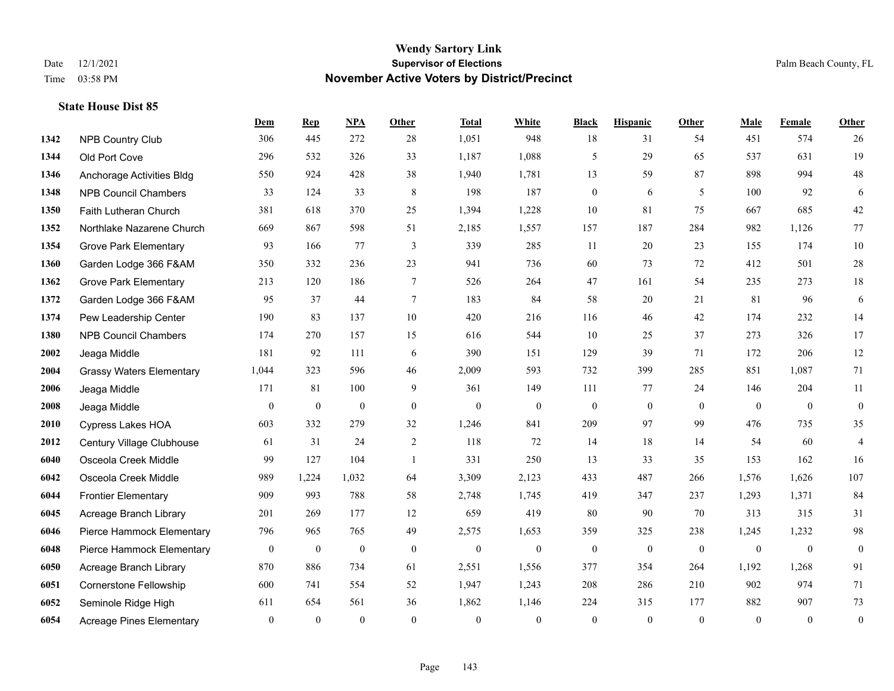|      |                                 | Dem              | <b>Rep</b>       | NPA              | <b>Other</b>   | <b>Total</b>     | <b>White</b>     | <b>Black</b>     | <b>Hispanic</b> | <b>Other</b>   | <b>Male</b>  | Female       | <b>Other</b>     |
|------|---------------------------------|------------------|------------------|------------------|----------------|------------------|------------------|------------------|-----------------|----------------|--------------|--------------|------------------|
| 1342 | <b>NPB Country Club</b>         | 306              | 445              | 272              | 28             | 1,051            | 948              | 18               | 31              | 54             | 451          | 574          | 26               |
| 1344 | Old Port Cove                   | 296              | 532              | 326              | 33             | 1,187            | 1,088            | 5                | 29              | 65             | 537          | 631          | 19               |
| 1346 | Anchorage Activities Bldg       | 550              | 924              | 428              | 38             | 1,940            | 1,781            | 13               | 59              | 87             | 898          | 994          | $48\,$           |
| 1348 | <b>NPB Council Chambers</b>     | 33               | 124              | 33               | $\,8\,$        | 198              | 187              | $\boldsymbol{0}$ | 6               | 5              | 100          | 92           | 6                |
| 1350 | Faith Lutheran Church           | 381              | 618              | 370              | 25             | 1,394            | 1,228            | 10               | 81              | 75             | 667          | 685          | $42\,$           |
| 1352 | Northlake Nazarene Church       | 669              | 867              | 598              | 51             | 2,185            | 1,557            | 157              | 187             | 284            | 982          | 1,126        | 77               |
| 1354 | <b>Grove Park Elementary</b>    | 93               | 166              | 77               | $\mathfrak{Z}$ | 339              | 285              | 11               | 20              | 23             | 155          | 174          | $10\,$           |
| 1360 | Garden Lodge 366 F&AM           | 350              | 332              | 236              | 23             | 941              | 736              | 60               | 73              | 72             | 412          | 501          | $28\,$           |
| 1362 | <b>Grove Park Elementary</b>    | 213              | 120              | 186              | $\tau$         | 526              | 264              | 47               | 161             | 54             | 235          | 273          | 18               |
| 1372 | Garden Lodge 366 F&AM           | 95               | 37               | 44               | $\tau$         | 183              | 84               | 58               | 20              | 21             | 81           | 96           | $\sqrt{6}$       |
| 1374 | Pew Leadership Center           | 190              | 83               | 137              | 10             | 420              | 216              | 116              | 46              | 42             | 174          | 232          | 14               |
| 1380 | <b>NPB Council Chambers</b>     | 174              | 270              | 157              | 15             | 616              | 544              | 10               | 25              | 37             | 273          | 326          | 17               |
| 2002 | Jeaga Middle                    | 181              | 92               | 111              | 6              | 390              | 151              | 129              | 39              | 71             | 172          | 206          | 12               |
| 2004 | <b>Grassy Waters Elementary</b> | 1,044            | 323              | 596              | 46             | 2,009            | 593              | 732              | 399             | 285            | 851          | 1,087        | 71               |
| 2006 | Jeaga Middle                    | 171              | 81               | 100              | 9              | 361              | 149              | 111              | 77              | 24             | 146          | 204          | 11               |
| 2008 | Jeaga Middle                    | $\mathbf{0}$     | $\mathbf{0}$     | $\mathbf{0}$     | $\mathbf{0}$   | $\mathbf{0}$     | $\boldsymbol{0}$ | $\boldsymbol{0}$ | $\overline{0}$  | $\overline{0}$ | $\mathbf{0}$ | $\mathbf{0}$ | $\boldsymbol{0}$ |
| 2010 | <b>Cypress Lakes HOA</b>        | 603              | 332              | 279              | 32             | 1,246            | 841              | 209              | 97              | 99             | 476          | 735          | 35               |
| 2012 | Century Village Clubhouse       | 61               | 31               | 24               | 2              | 118              | 72               | 14               | 18              | 14             | 54           | 60           | $\overline{4}$   |
| 6040 | Osceola Creek Middle            | 99               | 127              | 104              | -1             | 331              | 250              | 13               | 33              | 35             | 153          | 162          | 16               |
| 6042 | Osceola Creek Middle            | 989              | 1,224            | 1,032            | 64             | 3,309            | 2,123            | 433              | 487             | 266            | 1,576        | 1,626        | 107              |
| 6044 | <b>Frontier Elementary</b>      | 909              | 993              | 788              | 58             | 2,748            | 1,745            | 419              | 347             | 237            | 1,293        | 1,371        | 84               |
| 6045 | Acreage Branch Library          | 201              | 269              | 177              | 12             | 659              | 419              | 80               | 90              | 70             | 313          | 315          | 31               |
| 6046 | Pierce Hammock Elementary       | 796              | 965              | 765              | 49             | 2,575            | 1,653            | 359              | 325             | 238            | 1,245        | 1,232        | 98               |
| 6048 | Pierce Hammock Elementary       | $\mathbf{0}$     | $\boldsymbol{0}$ | $\boldsymbol{0}$ | $\mathbf{0}$   | $\boldsymbol{0}$ | $\boldsymbol{0}$ | $\bf{0}$         | $\bf{0}$        | $\mathbf{0}$   | $\mathbf{0}$ | $\mathbf{0}$ | $\boldsymbol{0}$ |
| 6050 | Acreage Branch Library          | 870              | 886              | 734              | 61             | 2,551            | 1,556            | 377              | 354             | 264            | 1,192        | 1,268        | 91               |
| 6051 | Cornerstone Fellowship          | 600              | 741              | 554              | 52             | 1,947            | 1,243            | 208              | 286             | 210            | 902          | 974          | 71               |
| 6052 | Seminole Ridge High             | 611              | 654              | 561              | 36             | 1,862            | 1,146            | 224              | 315             | 177            | 882          | 907          | 73               |
| 6054 | <b>Acreage Pines Elementary</b> | $\boldsymbol{0}$ | $\mathbf{0}$     | $\mathbf{0}$     | $\theta$       | $\theta$         | $\mathbf{0}$     | $\mathbf{0}$     | $\mathbf{0}$    | $\mathbf{0}$   | $\theta$     | $\mathbf{0}$ | $\boldsymbol{0}$ |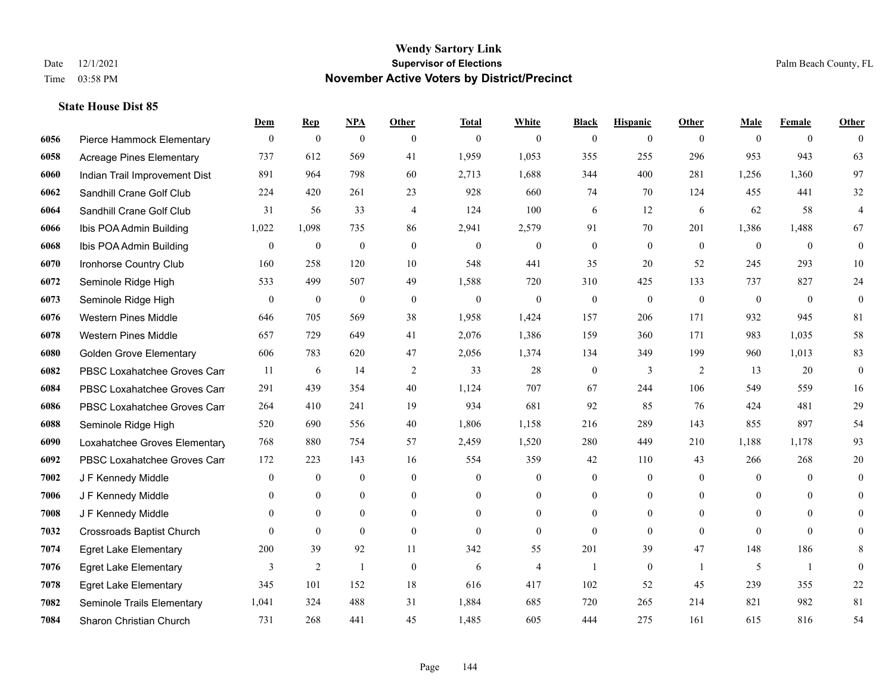|      |                                  | Dem            | <b>Rep</b>       | NPA              | <b>Other</b>   | <b>Total</b> | <b>White</b>     | <b>Black</b>     | <b>Hispanic</b>  | <b>Other</b> | <b>Male</b>    | <b>Female</b>  | <b>Other</b>     |
|------|----------------------------------|----------------|------------------|------------------|----------------|--------------|------------------|------------------|------------------|--------------|----------------|----------------|------------------|
| 6056 | Pierce Hammock Elementary        | $\mathbf{0}$   | $\bf{0}$         | $\boldsymbol{0}$ | $\overline{0}$ | $\mathbf{0}$ | $\overline{0}$   | $\mathbf{0}$     | $\mathbf{0}$     | $\theta$     | $\theta$       | $\overline{0}$ | $\theta$         |
| 6058 | <b>Acreage Pines Elementary</b>  | 737            | 612              | 569              | 41             | 1,959        | 1,053            | 355              | 255              | 296          | 953            | 943            | 63               |
| 6060 | Indian Trail Improvement Dist    | 891            | 964              | 798              | 60             | 2,713        | 1,688            | 344              | 400              | 281          | 1,256          | 1.360          | 97               |
| 6062 | Sandhill Crane Golf Club         | 224            | 420              | 261              | 23             | 928          | 660              | 74               | 70               | 124          | 455            | 441            | $32\,$           |
| 6064 | Sandhill Crane Golf Club         | 31             | 56               | 33               | $\overline{4}$ | 124          | 100              | 6                | 12               | 6            | 62             | 58             | $\overline{4}$   |
| 6066 | Ibis POA Admin Building          | 1,022          | 1,098            | 735              | 86             | 2,941        | 2,579            | 91               | 70               | 201          | 1,386          | 1,488          | 67               |
| 6068 | Ibis POA Admin Building          | $\mathbf{0}$   | $\boldsymbol{0}$ | $\overline{0}$   | $\mathbf{0}$   | $\mathbf{0}$ | $\mathbf{0}$     | $\boldsymbol{0}$ | $\mathbf{0}$     | $\theta$     | $\mathbf{0}$   | $\theta$       | $\mathbf{0}$     |
| 6070 | Ironhorse Country Club           | 160            | 258              | 120              | 10             | 548          | 441              | 35               | 20               | 52           | 245            | 293            | $10\,$           |
| 6072 | Seminole Ridge High              | 533            | 499              | 507              | 49             | 1,588        | 720              | 310              | 425              | 133          | 737            | 827            | 24               |
| 6073 | Seminole Ridge High              | $\overline{0}$ | $\boldsymbol{0}$ | $\boldsymbol{0}$ | $\theta$       | $\mathbf{0}$ | $\boldsymbol{0}$ | $\boldsymbol{0}$ | $\mathbf{0}$     | $\mathbf{0}$ | $\mathbf{0}$   | $\overline{0}$ | $\boldsymbol{0}$ |
| 6076 | <b>Western Pines Middle</b>      | 646            | 705              | 569              | 38             | 1,958        | 1,424            | 157              | 206              | 171          | 932            | 945            | 81               |
| 6078 | <b>Western Pines Middle</b>      | 657            | 729              | 649              | 41             | 2,076        | 1,386            | 159              | 360              | 171          | 983            | 1,035          | 58               |
| 6080 | <b>Golden Grove Elementary</b>   | 606            | 783              | 620              | 47             | 2,056        | 1,374            | 134              | 349              | 199          | 960            | 1,013          | 83               |
| 6082 | PBSC Loxahatchee Groves Can      | 11             | 6                | 14               | $\overline{2}$ | 33           | 28               | $\boldsymbol{0}$ | 3                | 2            | 13             | 20             | $\boldsymbol{0}$ |
| 6084 | PBSC Loxahatchee Groves Can      | 291            | 439              | 354              | 40             | 1,124        | 707              | 67               | 244              | 106          | 549            | 559            | 16               |
| 6086 | PBSC Loxahatchee Groves Can      | 264            | 410              | 241              | 19             | 934          | 681              | 92               | 85               | 76           | 424            | 481            | $29\,$           |
| 6088 | Seminole Ridge High              | 520            | 690              | 556              | 40             | 1,806        | 1,158            | 216              | 289              | 143          | 855            | 897            | 54               |
| 6090 | Loxahatchee Groves Elementary    | 768            | 880              | 754              | 57             | 2,459        | 1,520            | 280              | 449              | 210          | 1,188          | 1,178          | 93               |
| 6092 | PBSC Loxahatchee Groves Can      | 172            | 223              | 143              | 16             | 554          | 359              | 42               | 110              | 43           | 266            | 268            | 20               |
| 7002 | J F Kennedy Middle               | $\overline{0}$ | $\mathbf{0}$     | $\mathbf{0}$     | $\overline{0}$ | $\theta$     | $\mathbf{0}$     | $\mathbf{0}$     | $\mathbf{0}$     | $\theta$     | $\theta$       | $\theta$       | $\theta$         |
| 7006 | J F Kennedy Middle               | $\Omega$       | $\mathbf{0}$     | $\overline{0}$   | $\overline{0}$ | $\theta$     | $\overline{0}$   | $\boldsymbol{0}$ | $\mathbf{0}$     | $\theta$     | $\theta$       | $\theta$       | $\overline{0}$   |
| 7008 | J F Kennedy Middle               | $\mathbf{0}$   | $\mathbf{0}$     | $\overline{0}$   | $\overline{0}$ | $\theta$     | $\overline{0}$   | $\mathbf{0}$     | $\mathbf{0}$     | $\theta$     | $\overline{0}$ | $\Omega$       | $\Omega$         |
| 7032 | <b>Crossroads Baptist Church</b> | $\theta$       | $\mathbf{0}$     | $\overline{0}$   | $\Omega$       | $\theta$     | $\overline{0}$   | $\mathbf{0}$     | $\mathbf{0}$     | $\theta$     | $\Omega$       | $\theta$       | $\Omega$         |
| 7074 | <b>Egret Lake Elementary</b>     | 200            | 39               | 92               | 11             | 342          | 55               | 201              | 39               | 47           | 148            | 186            | 8                |
| 7076 | <b>Egret Lake Elementary</b>     | 3              | $\overline{2}$   | $\overline{1}$   | $\overline{0}$ | 6            | 4                | $\overline{1}$   | $\boldsymbol{0}$ | $\mathbf{1}$ | 5              | -1             | $\mathbf{0}$     |
| 7078 | <b>Egret Lake Elementary</b>     | 345            | 101              | 152              | 18             | 616          | 417              | 102              | 52               | 45           | 239            | 355            | $22\,$           |
| 7082 | Seminole Trails Elementary       | 1,041          | 324              | 488              | 31             | 1,884        | 685              | 720              | 265              | 214          | 821            | 982            | 81               |
| 7084 | Sharon Christian Church          | 731            | 268              | 441              | 45             | 1,485        | 605              | 444              | 275              | 161          | 615            | 816            | 54               |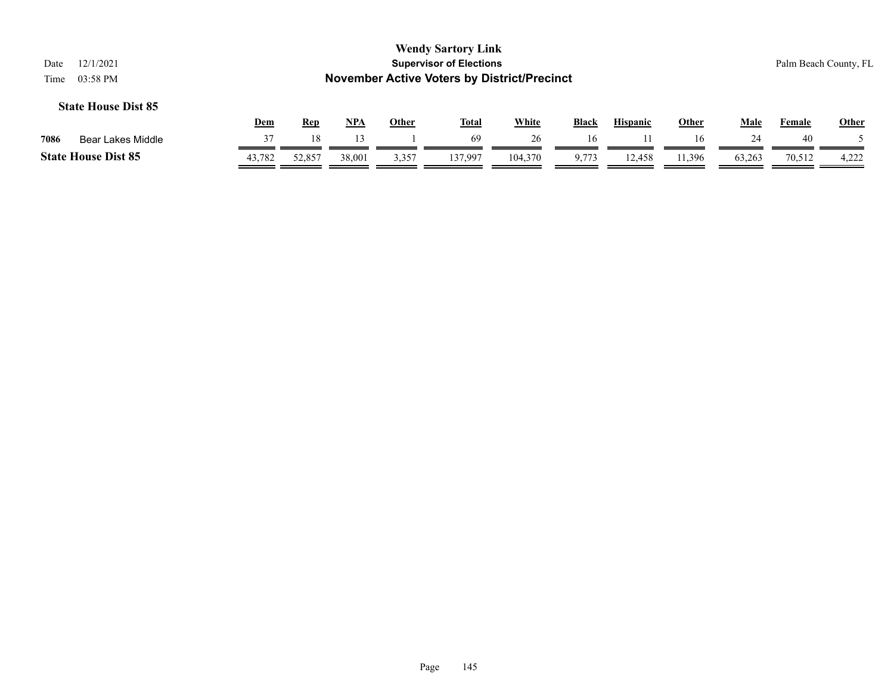|                            |            |            |            |              | <b>Wendy Sartory Link</b>                          |              |              |                 |              |        |                       |              |
|----------------------------|------------|------------|------------|--------------|----------------------------------------------------|--------------|--------------|-----------------|--------------|--------|-----------------------|--------------|
| 12/1/2021<br>Date          |            |            |            |              | <b>Supervisor of Elections</b>                     |              |              |                 |              |        | Palm Beach County, FL |              |
| Time<br>03:58 PM           |            |            |            |              | <b>November Active Voters by District/Precinct</b> |              |              |                 |              |        |                       |              |
| <b>State House Dist 85</b> |            |            |            |              |                                                    |              |              |                 |              |        |                       |              |
|                            | <u>Dem</u> | <b>Rep</b> | <u>NPA</u> | <b>Other</b> | <u>Total</u>                                       | <b>White</b> | <b>Black</b> | <b>Hispanic</b> | <u>Other</u> | Male   | Female                | <b>Other</b> |
| 7086<br>Bear Lakes Middle  | 37         | 18         | 13         |              | 69                                                 | 26           | 16           |                 | 16           | 24     | 40                    |              |
| <b>State House Dist 85</b> | 43,782     | 52,857     | 38,001     | 3,357        | 137.997                                            | 104,370      | 9.773        | 12,458          | 1.396        | 63,263 | 70,512                | 4.222        |

=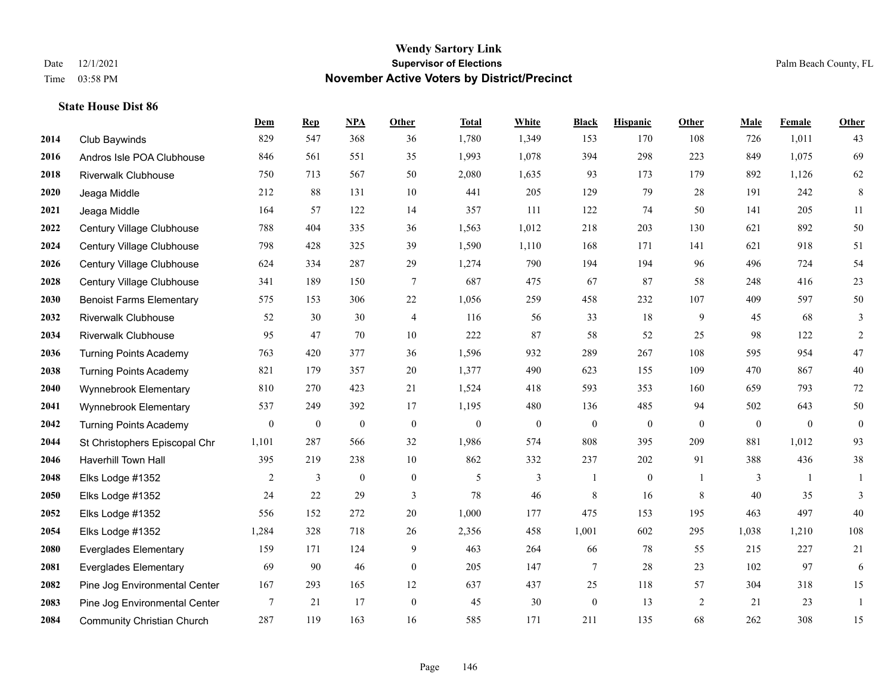|      |                                   | Dem              | <b>Rep</b>       | NPA              | Other            | <b>Total</b>     | <b>White</b>     | <b>Black</b>     | <b>Hispanic</b>  | <b>Other</b> | <b>Male</b>      | <b>Female</b> | <b>Other</b>     |
|------|-----------------------------------|------------------|------------------|------------------|------------------|------------------|------------------|------------------|------------------|--------------|------------------|---------------|------------------|
| 2014 | Club Baywinds                     | 829              | 547              | 368              | 36               | 1,780            | 1,349            | 153              | 170              | 108          | 726              | 1,011         | 43               |
| 2016 | Andros Isle POA Clubhouse         | 846              | 561              | 551              | 35               | 1,993            | 1,078            | 394              | 298              | 223          | 849              | 1,075         | 69               |
| 2018 | <b>Riverwalk Clubhouse</b>        | 750              | 713              | 567              | 50               | 2,080            | 1,635            | 93               | 173              | 179          | 892              | 1,126         | 62               |
| 2020 | Jeaga Middle                      | 212              | 88               | 131              | $10\,$           | 441              | 205              | 129              | 79               | 28           | 191              | 242           | $\,8\,$          |
| 2021 | Jeaga Middle                      | 164              | 57               | 122              | 14               | 357              | 111              | 122              | 74               | 50           | 141              | 205           | 11               |
| 2022 | Century Village Clubhouse         | 788              | 404              | 335              | 36               | 1,563            | 1,012            | 218              | 203              | 130          | 621              | 892           | 50               |
| 2024 | Century Village Clubhouse         | 798              | 428              | 325              | 39               | 1,590            | 1,110            | 168              | 171              | 141          | 621              | 918           | 51               |
| 2026 | Century Village Clubhouse         | 624              | 334              | 287              | 29               | 1,274            | 790              | 194              | 194              | 96           | 496              | 724           | 54               |
| 2028 | Century Village Clubhouse         | 341              | 189              | 150              | $\tau$           | 687              | 475              | 67               | 87               | 58           | 248              | 416           | $23\,$           |
| 2030 | <b>Benoist Farms Elementary</b>   | 575              | 153              | 306              | 22               | 1,056            | 259              | 458              | 232              | 107          | 409              | 597           | $50\,$           |
| 2032 | <b>Riverwalk Clubhouse</b>        | 52               | 30               | 30               | $\overline{4}$   | 116              | 56               | 33               | 18               | 9            | 45               | 68            | 3                |
| 2034 | <b>Riverwalk Clubhouse</b>        | 95               | 47               | 70               | 10               | 222              | 87               | 58               | 52               | 25           | 98               | 122           | $\overline{c}$   |
| 2036 | <b>Turning Points Academy</b>     | 763              | 420              | 377              | 36               | 1,596            | 932              | 289              | 267              | 108          | 595              | 954           | $47\,$           |
| 2038 | <b>Turning Points Academy</b>     | 821              | 179              | 357              | 20               | 1,377            | 490              | 623              | 155              | 109          | 470              | 867           | $40\,$           |
| 2040 | Wynnebrook Elementary             | 810              | 270              | 423              | 21               | 1,524            | 418              | 593              | 353              | 160          | 659              | 793           | $72\,$           |
| 2041 | Wynnebrook Elementary             | 537              | 249              | 392              | 17               | 1,195            | 480              | 136              | 485              | 94           | 502              | 643           | 50               |
| 2042 | <b>Turning Points Academy</b>     | $\boldsymbol{0}$ | $\boldsymbol{0}$ | $\boldsymbol{0}$ | $\boldsymbol{0}$ | $\boldsymbol{0}$ | $\boldsymbol{0}$ | $\boldsymbol{0}$ | $\boldsymbol{0}$ | $\mathbf{0}$ | $\boldsymbol{0}$ | $\mathbf{0}$  | $\boldsymbol{0}$ |
| 2044 | St Christophers Episcopal Chr     | 1,101            | 287              | 566              | 32               | 1,986            | 574              | 808              | 395              | 209          | 881              | 1,012         | 93               |
| 2046 | <b>Haverhill Town Hall</b>        | 395              | 219              | 238              | 10               | 862              | 332              | 237              | 202              | 91           | 388              | 436           | 38               |
| 2048 | Elks Lodge #1352                  | 2                | $\mathfrak{Z}$   | $\boldsymbol{0}$ | $\boldsymbol{0}$ | 5                | 3                |                  | $\boldsymbol{0}$ | -1           | 3                | -1            | 1                |
| 2050 | Elks Lodge #1352                  | 24               | 22               | 29               | 3                | 78               | 46               | 8                | 16               | 8            | 40               | 35            | 3                |
| 2052 | Elks Lodge #1352                  | 556              | 152              | 272              | 20               | 1,000            | 177              | 475              | 153              | 195          | 463              | 497           | 40               |
| 2054 | Elks Lodge #1352                  | 1,284            | 328              | 718              | 26               | 2,356            | 458              | 1,001            | 602              | 295          | 1,038            | 1,210         | 108              |
| 2080 | <b>Everglades Elementary</b>      | 159              | 171              | 124              | 9                | 463              | 264              | 66               | 78               | 55           | 215              | 227           | 21               |
| 2081 | <b>Everglades Elementary</b>      | 69               | 90               | 46               | $\boldsymbol{0}$ | 205              | 147              | 7                | 28               | 23           | 102              | 97            | 6                |
| 2082 | Pine Jog Environmental Center     | 167              | 293              | 165              | 12               | 637              | 437              | 25               | 118              | 57           | 304              | 318           | 15               |
| 2083 | Pine Jog Environmental Center     | 7                | 21               | 17               | $\boldsymbol{0}$ | 45               | 30               | $\boldsymbol{0}$ | 13               | 2            | 21               | 23            | $\mathbf{1}$     |
| 2084 | <b>Community Christian Church</b> | 287              | 119              | 163              | 16               | 585              | 171              | 211              | 135              | 68           | 262              | 308           | 15               |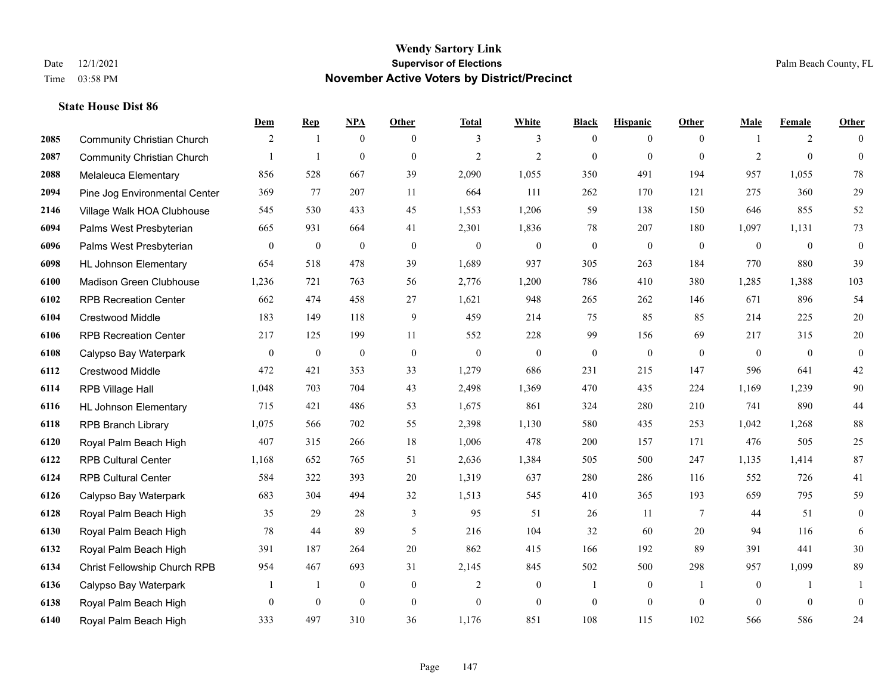|      |                                   | Dem              | <b>Rep</b>       | NPA              | <b>Other</b>     | <b>Total</b>   | <b>White</b>     | <b>Black</b>     | <b>Hispanic</b>  | <b>Other</b>    | <b>Male</b>    | <b>Female</b> | <b>Other</b>     |
|------|-----------------------------------|------------------|------------------|------------------|------------------|----------------|------------------|------------------|------------------|-----------------|----------------|---------------|------------------|
| 2085 | <b>Community Christian Church</b> | 2                | $\overline{1}$   | $\mathbf{0}$     | $\mathbf{0}$     | 3              | 3                | $\mathbf{0}$     | $\boldsymbol{0}$ | $\theta$        | $\mathbf{1}$   | 2             | $\Omega$         |
| 2087 | <b>Community Christian Church</b> |                  | $\overline{1}$   | $\mathbf{0}$     | $\mathbf{0}$     | $\overline{2}$ | $\overline{2}$   | $\mathbf{0}$     | $\mathbf{0}$     | $\theta$        | 2              | $\mathbf{0}$  | $\mathbf{0}$     |
| 2088 | Melaleuca Elementary              | 856              | 528              | 667              | 39               | 2,090          | 1,055            | 350              | 491              | 194             | 957            | 1,055         | 78               |
| 2094 | Pine Jog Environmental Center     | 369              | 77               | 207              | 11               | 664            | 111              | 262              | 170              | 121             | 275            | 360           | 29               |
| 2146 | Village Walk HOA Clubhouse        | 545              | 530              | 433              | 45               | 1.553          | 1,206            | 59               | 138              | 150             | 646            | 855           | 52               |
| 6094 | Palms West Presbyterian           | 665              | 931              | 664              | 41               | 2,301          | 1,836            | 78               | 207              | 180             | 1,097          | 1,131         | 73               |
| 6096 | Palms West Presbyterian           | $\mathbf{0}$     | $\boldsymbol{0}$ | $\overline{0}$   | $\boldsymbol{0}$ | $\theta$       | $\boldsymbol{0}$ | $\boldsymbol{0}$ | $\theta$         | $\overline{0}$  | $\overline{0}$ | $\mathbf{0}$  | $\boldsymbol{0}$ |
| 6098 | <b>HL Johnson Elementary</b>      | 654              | 518              | 478              | 39               | 1,689          | 937              | 305              | 263              | 184             | 770            | 880           | 39               |
| 6100 | Madison Green Clubhouse           | 1,236            | 721              | 763              | 56               | 2,776          | 1,200            | 786              | 410              | 380             | 1,285          | 1,388         | 103              |
| 6102 | <b>RPB Recreation Center</b>      | 662              | 474              | 458              | 27               | 1,621          | 948              | 265              | 262              | 146             | 671            | 896           | 54               |
| 6104 | Crestwood Middle                  | 183              | 149              | 118              | 9                | 459            | 214              | 75               | 85               | 85              | 214            | 225           | 20               |
| 6106 | <b>RPB Recreation Center</b>      | 217              | 125              | 199              | 11               | 552            | 228              | 99               | 156              | 69              | 217            | 315           | $20\,$           |
| 6108 | Calypso Bay Waterpark             | $\boldsymbol{0}$ | $\bf{0}$         | $\boldsymbol{0}$ | $\mathbf{0}$     | $\overline{0}$ | $\mathbf{0}$     | $\mathbf{0}$     | $\mathbf{0}$     | $\theta$        | $\overline{0}$ | $\mathbf{0}$  | $\mathbf{0}$     |
| 6112 | Crestwood Middle                  | 472              | 421              | 353              | 33               | 1,279          | 686              | 231              | 215              | 147             | 596            | 641           | $42\,$           |
| 6114 | RPB Village Hall                  | 1,048            | 703              | 704              | 43               | 2,498          | 1,369            | 470              | 435              | 224             | 1,169          | 1,239         | 90               |
| 6116 | <b>HL Johnson Elementary</b>      | 715              | 421              | 486              | 53               | 1,675          | 861              | 324              | 280              | 210             | 741            | 890           | $44$             |
| 6118 | <b>RPB Branch Library</b>         | 1,075            | 566              | 702              | 55               | 2,398          | 1,130            | 580              | 435              | 253             | 1,042          | 1,268         | 88               |
| 6120 | Royal Palm Beach High             | 407              | 315              | 266              | 18               | 1,006          | 478              | 200              | 157              | 171             | 476            | 505           | $25\,$           |
| 6122 | <b>RPB Cultural Center</b>        | 1,168            | 652              | 765              | 51               | 2,636          | 1,384            | 505              | 500              | 247             | 1,135          | 1,414         | 87               |
| 6124 | <b>RPB Cultural Center</b>        | 584              | 322              | 393              | 20               | 1,319          | 637              | 280              | 286              | 116             | 552            | 726           | 41               |
| 6126 | Calypso Bay Waterpark             | 683              | 304              | 494              | 32               | 1,513          | 545              | 410              | 365              | 193             | 659            | 795           | 59               |
| 6128 | Royal Palm Beach High             | 35               | 29               | 28               | 3                | 95             | 51               | 26               | 11               | $7\phantom{.0}$ | 44             | 51            | $\mathbf{0}$     |
| 6130 | Royal Palm Beach High             | 78               | 44               | 89               | 5                | 216            | 104              | 32               | 60               | 20              | 94             | 116           | 6                |
| 6132 | Royal Palm Beach High             | 391              | 187              | 264              | 20               | 862            | 415              | 166              | 192              | 89              | 391            | 441           | 30               |
| 6134 | Christ Fellowship Church RPB      | 954              | 467              | 693              | 31               | 2,145          | 845              | 502              | 500              | 298             | 957            | 1,099         | 89               |
| 6136 | Calypso Bay Waterpark             |                  | -1               | $\boldsymbol{0}$ | $\mathbf{0}$     | $\overline{2}$ | $\boldsymbol{0}$ | $\mathbf{1}$     | $\mathbf{0}$     | $\overline{1}$  | $\overline{0}$ | -1            |                  |
| 6138 | Royal Palm Beach High             | $\overline{0}$   | $\mathbf{0}$     | $\mathbf{0}$     | $\boldsymbol{0}$ | $\mathbf{0}$   | $\mathbf{0}$     | $\boldsymbol{0}$ | $\mathbf{0}$     | $\mathbf{0}$    | $\theta$       | $\mathbf{0}$  | $\boldsymbol{0}$ |
| 6140 | Royal Palm Beach High             | 333              | 497              | 310              | 36               | 1,176          | 851              | 108              | 115              | 102             | 566            | 586           | 24               |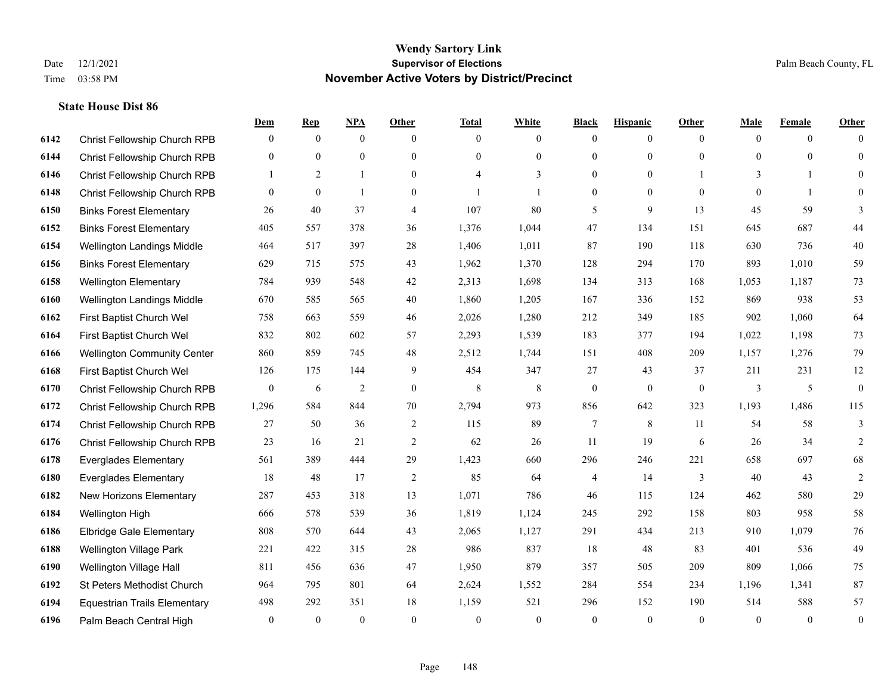|      |                                     | Dem              | <b>Rep</b>     | NPA            | <b>Other</b>     | <b>Total</b>             | <b>White</b>   | <b>Black</b>     | <b>Hispanic</b> | <b>Other</b>   | <b>Male</b>  | Female         | <b>Other</b>     |
|------|-------------------------------------|------------------|----------------|----------------|------------------|--------------------------|----------------|------------------|-----------------|----------------|--------------|----------------|------------------|
| 6142 | Christ Fellowship Church RPB        | $\overline{0}$   | $\overline{0}$ | $\mathbf{0}$   | $\mathbf{0}$     | $\theta$                 | $\mathbf{0}$   | $\mathbf{0}$     | $\mathbf{0}$    | $\overline{0}$ | $\theta$     | $\overline{0}$ | $\Omega$         |
| 6144 | Christ Fellowship Church RPB        | $\overline{0}$   | $\mathbf{0}$   | $\mathbf{0}$   | $\mathbf{0}$     | $\theta$                 | $\mathbf{0}$   | $\mathbf{0}$     | $\overline{0}$  | $\Omega$       | $\theta$     | $\theta$       | $\mathbf{0}$     |
| 6146 | Christ Fellowship Church RPB        | $\mathbf{1}$     | 2              | $\mathbf{1}$   | $\theta$         | $\boldsymbol{\varDelta}$ | 3              | $\theta$         | $\theta$        |                | 3            | $\mathbf{1}$   | $\theta$         |
| 6148 | Christ Fellowship Church RPB        | $\overline{0}$   | $\mathbf{0}$   | $\mathbf{1}$   | $\boldsymbol{0}$ |                          | 1              | $\boldsymbol{0}$ | $\mathbf{0}$    | $\overline{0}$ | $\mathbf{0}$ | $\mathbf{1}$   | $\overline{0}$   |
| 6150 | <b>Binks Forest Elementary</b>      | 26               | 40             | 37             | $\overline{4}$   | 107                      | 80             | 5                | 9               | 13             | 45           | 59             | 3                |
| 6152 | <b>Binks Forest Elementary</b>      | 405              | 557            | 378            | 36               | 1,376                    | 1,044          | 47               | 134             | 151            | 645          | 687            | 44               |
| 6154 | Wellington Landings Middle          | 464              | 517            | 397            | 28               | 1,406                    | 1,011          | 87               | 190             | 118            | 630          | 736            | 40               |
| 6156 | <b>Binks Forest Elementary</b>      | 629              | 715            | 575            | 43               | 1,962                    | 1,370          | 128              | 294             | 170            | 893          | 1,010          | 59               |
| 6158 | <b>Wellington Elementary</b>        | 784              | 939            | 548            | 42               | 2,313                    | 1,698          | 134              | 313             | 168            | 1,053        | 1,187          | 73               |
| 6160 | Wellington Landings Middle          | 670              | 585            | 565            | 40               | 1,860                    | 1,205          | 167              | 336             | 152            | 869          | 938            | 53               |
| 6162 | First Baptist Church Wel            | 758              | 663            | 559            | 46               | 2,026                    | 1,280          | 212              | 349             | 185            | 902          | 1,060          | 64               |
| 6164 | First Baptist Church Wel            | 832              | 802            | 602            | 57               | 2,293                    | 1,539          | 183              | 377             | 194            | 1,022        | 1,198          | 73               |
| 6166 | <b>Wellington Community Center</b>  | 860              | 859            | 745            | 48               | 2,512                    | 1,744          | 151              | 408             | 209            | 1,157        | 1,276          | 79               |
| 6168 | First Baptist Church Wel            | 126              | 175            | 144            | 9                | 454                      | 347            | 27               | 43              | 37             | 211          | 231            | $12\,$           |
| 6170 | Christ Fellowship Church RPB        | $\boldsymbol{0}$ | 6              | $\overline{2}$ | $\boldsymbol{0}$ | 8                        | 8              | $\boldsymbol{0}$ | $\mathbf{0}$    | $\mathbf{0}$   | 3            | 5              | $\boldsymbol{0}$ |
| 6172 | Christ Fellowship Church RPB        | 1,296            | 584            | 844            | 70               | 2,794                    | 973            | 856              | 642             | 323            | 1,193        | 1,486          | 115              |
| 6174 | Christ Fellowship Church RPB        | 27               | 50             | 36             | $\sqrt{2}$       | 115                      | 89             | $\tau$           | 8               | 11             | 54           | 58             | 3                |
| 6176 | Christ Fellowship Church RPB        | 23               | 16             | 21             | 2                | 62                       | 26             | 11               | 19              | 6              | 26           | 34             | $\overline{2}$   |
| 6178 | <b>Everglades Elementary</b>        | 561              | 389            | 444            | 29               | 1,423                    | 660            | 296              | 246             | 221            | 658          | 697            | 68               |
| 6180 | <b>Everglades Elementary</b>        | 18               | 48             | 17             | $\overline{2}$   | 85                       | 64             | $\overline{4}$   | 14              | 3              | 40           | 43             | $\mathfrak{2}$   |
| 6182 | New Horizons Elementary             | 287              | 453            | 318            | 13               | 1,071                    | 786            | 46               | 115             | 124            | 462          | 580            | 29               |
| 6184 | Wellington High                     | 666              | 578            | 539            | 36               | 1,819                    | 1,124          | 245              | 292             | 158            | 803          | 958            | 58               |
| 6186 | <b>Elbridge Gale Elementary</b>     | 808              | 570            | 644            | 43               | 2,065                    | 1,127          | 291              | 434             | 213            | 910          | 1,079          | 76               |
| 6188 | <b>Wellington Village Park</b>      | 221              | 422            | 315            | 28               | 986                      | 837            | 18               | 48              | 83             | 401          | 536            | 49               |
| 6190 | Wellington Village Hall             | 811              | 456            | 636            | 47               | 1,950                    | 879            | 357              | 505             | 209            | 809          | 1,066          | $75\,$           |
| 6192 | St Peters Methodist Church          | 964              | 795            | 801            | 64               | 2,624                    | 1,552          | 284              | 554             | 234            | 1,196        | 1,341          | 87               |
| 6194 | <b>Equestrian Trails Elementary</b> | 498              | 292            | 351            | 18               | 1,159                    | 521            | 296              | 152             | 190            | 514          | 588            | 57               |
| 6196 | Palm Beach Central High             | $\overline{0}$   | $\mathbf{0}$   | $\mathbf{0}$   | $\theta$         | $\theta$                 | $\overline{0}$ | $\theta$         | $\theta$        | $\theta$       | $\theta$     | $\mathbf{0}$   | $\boldsymbol{0}$ |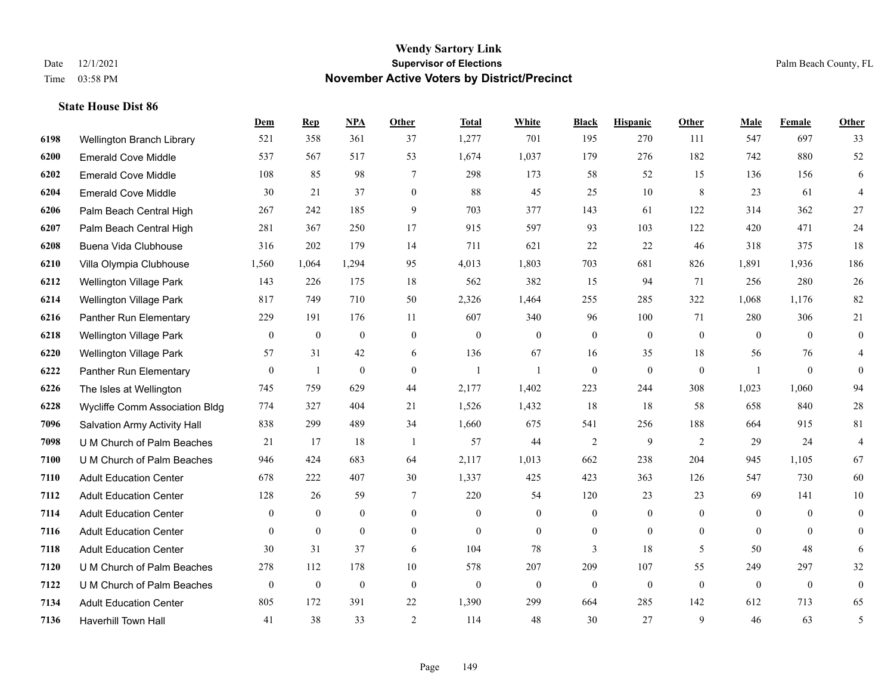|      |                                | Dem              | <b>Rep</b>       | NPA              | <b>Other</b>   | <b>Total</b> | <b>White</b>   | <b>Black</b>     | <b>Hispanic</b> | Other          | <b>Male</b>    | <b>Female</b>  | <b>Other</b>     |
|------|--------------------------------|------------------|------------------|------------------|----------------|--------------|----------------|------------------|-----------------|----------------|----------------|----------------|------------------|
| 6198 | Wellington Branch Library      | 521              | 358              | 361              | 37             | 1,277        | 701            | 195              | 270             | 111            | 547            | 697            | 33               |
| 6200 | <b>Emerald Cove Middle</b>     | 537              | 567              | 517              | 53             | 1,674        | 1,037          | 179              | 276             | 182            | 742            | 880            | 52               |
| 6202 | <b>Emerald Cove Middle</b>     | 108              | 85               | 98               | $\tau$         | 298          | 173            | 58               | 52              | 15             | 136            | 156            | 6                |
| 6204 | <b>Emerald Cove Middle</b>     | 30               | 21               | 37               | $\mathbf{0}$   | 88           | 45             | 25               | 10              | 8              | 23             | 61             | $\overline{4}$   |
| 6206 | Palm Beach Central High        | 267              | 242              | 185              | 9              | 703          | 377            | 143              | 61              | 122            | 314            | 362            | 27               |
| 6207 | Palm Beach Central High        | 281              | 367              | 250              | 17             | 915          | 597            | 93               | 103             | 122            | 420            | 471            | $24\,$           |
| 6208 | Buena Vida Clubhouse           | 316              | 202              | 179              | 14             | 711          | 621            | 22               | 22              | 46             | 318            | 375            | 18               |
| 6210 | Villa Olympia Clubhouse        | 1,560            | 1,064            | 1,294            | 95             | 4,013        | 1,803          | 703              | 681             | 826            | 1,891          | 1,936          | 186              |
| 6212 | Wellington Village Park        | 143              | 226              | 175              | 18             | 562          | 382            | 15               | 94              | 71             | 256            | 280            | $26\,$           |
| 6214 | <b>Wellington Village Park</b> | 817              | 749              | 710              | 50             | 2,326        | 1,464          | 255              | 285             | 322            | 1,068          | 1,176          | 82               |
| 6216 | Panther Run Elementary         | 229              | 191              | 176              | 11             | 607          | 340            | 96               | 100             | 71             | 280            | 306            | 21               |
| 6218 | Wellington Village Park        | $\mathbf{0}$     | $\boldsymbol{0}$ | $\mathbf{0}$     | $\mathbf{0}$   | $\mathbf{0}$ | $\mathbf{0}$   | $\boldsymbol{0}$ | $\overline{0}$  | $\mathbf{0}$   | $\mathbf{0}$   | $\theta$       | $\mathbf{0}$     |
| 6220 | <b>Wellington Village Park</b> | 57               | 31               | 42               | 6              | 136          | 67             | 16               | 35              | 18             | 56             | 76             | 4                |
| 6222 | Panther Run Elementary         | $\boldsymbol{0}$ | 1                | $\boldsymbol{0}$ | $\overline{0}$ | $\mathbf{1}$ |                | $\overline{0}$   | $\overline{0}$  | $\mathbf{0}$   | $\overline{1}$ | $\mathbf{0}$   | $\theta$         |
| 6226 | The Isles at Wellington        | 745              | 759              | 629              | 44             | 2,177        | 1,402          | 223              | 244             | 308            | 1,023          | 1,060          | 94               |
| 6228 | Wycliffe Comm Association Bldg | 774              | 327              | 404              | 21             | 1,526        | 1,432          | 18               | 18              | 58             | 658            | 840            | $28\,$           |
| 7096 | Salvation Army Activity Hall   | 838              | 299              | 489              | 34             | 1,660        | 675            | 541              | 256             | 188            | 664            | 915            | 81               |
| 7098 | U M Church of Palm Beaches     | 21               | 17               | 18               | -1             | 57           | 44             | 2                | 9               | 2              | 29             | 24             | 4                |
| 7100 | U M Church of Palm Beaches     | 946              | 424              | 683              | 64             | 2,117        | 1,013          | 662              | 238             | 204            | 945            | 1,105          | 67               |
| 7110 | <b>Adult Education Center</b>  | 678              | 222              | 407              | 30             | 1,337        | 425            | 423              | 363             | 126            | 547            | 730            | 60               |
| 7112 | <b>Adult Education Center</b>  | 128              | 26               | 59               | 7              | 220          | 54             | 120              | 23              | 23             | 69             | 141            | 10               |
| 7114 | <b>Adult Education Center</b>  | $\mathbf{0}$     | $\boldsymbol{0}$ | $\boldsymbol{0}$ | $\mathbf{0}$   | $\mathbf{0}$ | $\mathbf{0}$   | $\mathbf{0}$     | $\overline{0}$  | $\overline{0}$ | $\mathbf{0}$   | $\overline{0}$ | $\overline{0}$   |
| 7116 | <b>Adult Education Center</b>  | $\theta$         | $\overline{0}$   | $\mathbf{0}$     | $\overline{0}$ | $\mathbf{0}$ | $\overline{0}$ | $\mathbf{0}$     | $\overline{0}$  | $\theta$       | $\theta$       | $\theta$       | $\overline{0}$   |
| 7118 | <b>Adult Education Center</b>  | 30               | 31               | 37               | 6              | 104          | 78             | $\overline{3}$   | 18              | 5              | 50             | 48             | 6                |
| 7120 | U M Church of Palm Beaches     | 278              | 112              | 178              | 10             | 578          | 207            | 209              | 107             | 55             | 249            | 297            | 32               |
| 7122 | U M Church of Palm Beaches     | $\boldsymbol{0}$ | $\boldsymbol{0}$ | $\boldsymbol{0}$ | $\mathbf{0}$   | $\theta$     | $\overline{0}$ | $\mathbf{0}$     | $\mathbf{0}$    | $\theta$       | $\mathbf{0}$   | $\mathbf{0}$   | $\boldsymbol{0}$ |
| 7134 | <b>Adult Education Center</b>  | 805              | 172              | 391              | 22             | 1,390        | 299            | 664              | 285             | 142            | 612            | 713            | 65               |
| 7136 | Haverhill Town Hall            | 41               | 38               | 33               | $\overline{2}$ | 114          | 48             | 30               | 27              | $\mathbf{Q}$   | 46             | 63             | 5                |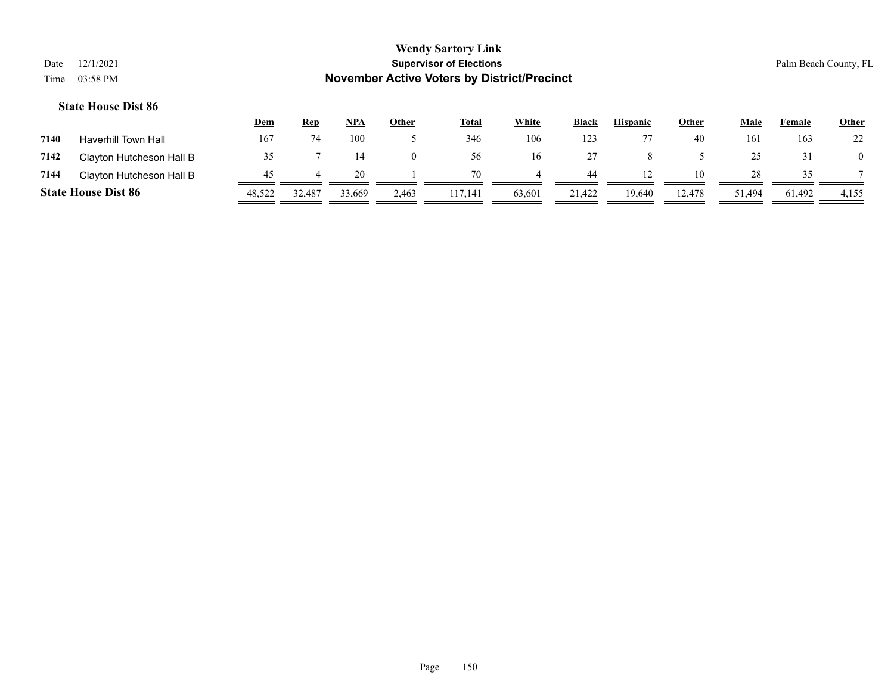|                            |        |            |        |              | <b>Wendy Sartory Link</b>                          |              |              |                 |              |                      |        |                       |
|----------------------------|--------|------------|--------|--------------|----------------------------------------------------|--------------|--------------|-----------------|--------------|----------------------|--------|-----------------------|
| 12/1/2021<br>Date          |        |            |        |              | <b>Supervisor of Elections</b>                     |              |              |                 |              |                      |        | Palm Beach County, FL |
| 03:58 PM<br>Time           |        |            |        |              | <b>November Active Voters by District/Precinct</b> |              |              |                 |              |                      |        |                       |
| <b>State House Dist 86</b> |        |            |        |              |                                                    |              |              |                 |              |                      |        |                       |
|                            | Dem    | <b>Rep</b> | NPA    | <b>Other</b> | <b>Total</b>                                       | <b>White</b> | <b>Black</b> | <b>Hispanic</b> | <b>Other</b> | Male                 | Female | <b>Other</b>          |
| $-1$<br>.                  | $\sim$ | $-1$       | $\sim$ |              | $\sim$ $\sim$                                      | $\sim$       | $\sim$       | $- -$           | $\sim$       | $\sim$ $\sim$ $\sim$ | $\sim$ | $\sim$                |

| 7140 | Haverhill Town Hall        | 16′    |        | 100    |       | 346     | 106    | 123    |        | 40     | 101    | 163    | 22    |
|------|----------------------------|--------|--------|--------|-------|---------|--------|--------|--------|--------|--------|--------|-------|
| 7142 | Clayton Hutcheson Hall B   |        |        | 14     |       | 56      | 16     |        |        |        |        |        |       |
| 7144 | Clayton Hutcheson Hall B   |        |        | 20     |       |         |        | 44     |        | 10     | 28     |        |       |
|      | <b>State House Dist 86</b> | 48,522 | 32,487 | 33,669 | 2,463 | 117,141 | 63,601 | 21,422 | 19,640 | 12,478 | 51,494 | 61,492 | 4,155 |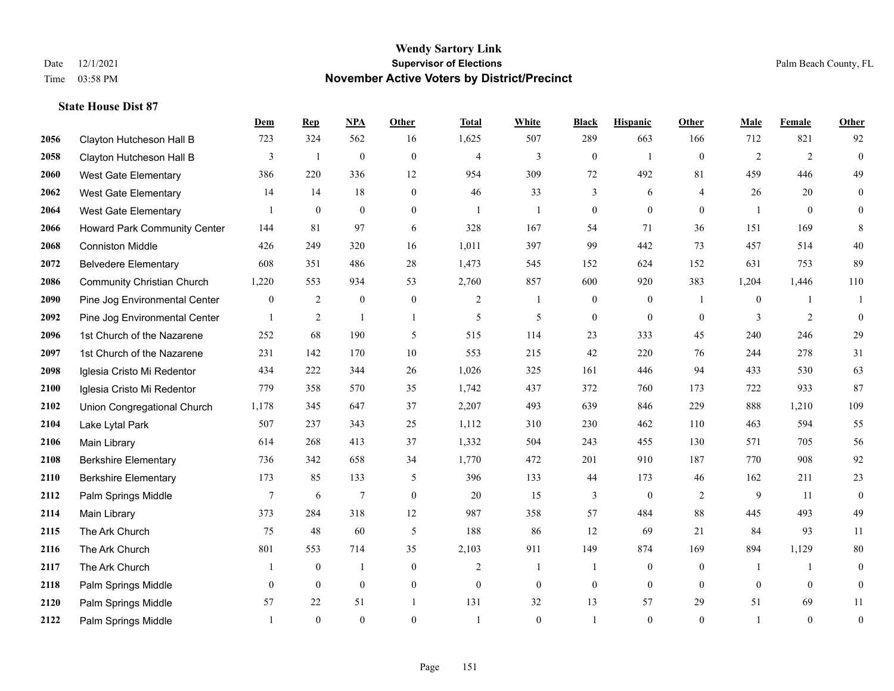|      |                                     | Dem              | <b>Rep</b>   | NPA              | <b>Other</b>   | <b>Total</b>   | <b>White</b>   | <b>Black</b>     | <b>Hispanic</b>  | <b>Other</b>   | <b>Male</b>    | <b>Female</b>  | <b>Other</b>     |
|------|-------------------------------------|------------------|--------------|------------------|----------------|----------------|----------------|------------------|------------------|----------------|----------------|----------------|------------------|
| 2056 | Clayton Hutcheson Hall B            | 723              | 324          | 562              | 16             | 1,625          | 507            | 289              | 663              | 166            | 712            | 821            | 92               |
| 2058 | Clayton Hutcheson Hall B            | 3                | $\mathbf{1}$ | $\mathbf{0}$     | $\mathbf{0}$   | $\overline{4}$ | $\overline{3}$ | $\boldsymbol{0}$ | $\mathbf{1}$     | $\theta$       | 2              | 2              | $\mathbf{0}$     |
| 2060 | West Gate Elementary                | 386              | 220          | 336              | 12             | 954            | 309            | 72               | 492              | 81             | 459            | 446            | 49               |
| 2062 | <b>West Gate Elementary</b>         | 14               | 14           | 18               | $\mathbf{0}$   | 46             | 33             | 3                | 6                | $\overline{4}$ | 26             | 20             | $\boldsymbol{0}$ |
| 2064 | West Gate Elementary                |                  | $\mathbf{0}$ | $\theta$         | $\overline{0}$ | $\overline{1}$ | $\mathbf{1}$   | $\overline{0}$   | $\overline{0}$   | $\theta$       |                | $\theta$       | $\overline{0}$   |
| 2066 | <b>Howard Park Community Center</b> | 144              | 81           | 97               | 6              | 328            | 167            | 54               | 71               | 36             | 151            | 169            | $\,8\,$          |
| 2068 | <b>Conniston Middle</b>             | 426              | 249          | 320              | 16             | 1,011          | 397            | 99               | 442              | 73             | 457            | 514            | 40               |
| 2072 | <b>Belvedere Elementary</b>         | 608              | 351          | 486              | 28             | 1,473          | 545            | 152              | 624              | 152            | 631            | 753            | 89               |
| 2086 | <b>Community Christian Church</b>   | 1,220            | 553          | 934              | 53             | 2,760          | 857            | 600              | 920              | 383            | 1,204          | 1,446          | 110              |
| 2090 | Pine Jog Environmental Center       | $\boldsymbol{0}$ | 2            | $\boldsymbol{0}$ | $\mathbf{0}$   | $\overline{2}$ | 1              | $\boldsymbol{0}$ | $\boldsymbol{0}$ | -1             | $\overline{0}$ | -1             | 1                |
| 2092 | Pine Jog Environmental Center       | 1                | 2            | $\mathbf{1}$     | $\mathbf{1}$   | 5              | 5              | $\boldsymbol{0}$ | $\mathbf{0}$     | $\theta$       | 3              | 2              | $\mathbf{0}$     |
| 2096 | 1st Church of the Nazarene          | 252              | 68           | 190              | 5              | 515            | 114            | 23               | 333              | 45             | 240            | 246            | 29               |
| 2097 | 1st Church of the Nazarene          | 231              | 142          | 170              | 10             | 553            | 215            | 42               | 220              | 76             | 244            | 278            | 31               |
| 2098 | Iglesia Cristo Mi Redentor          | 434              | 222          | 344              | 26             | 1,026          | 325            | 161              | 446              | 94             | 433            | 530            | 63               |
| 2100 | Iglesia Cristo Mi Redentor          | 779              | 358          | 570              | 35             | 1,742          | 437            | 372              | 760              | 173            | 722            | 933            | 87               |
| 2102 | Union Congregational Church         | 1,178            | 345          | 647              | 37             | 2,207          | 493            | 639              | 846              | 229            | 888            | 1,210          | 109              |
| 2104 | Lake Lytal Park                     | 507              | 237          | 343              | 25             | 1,112          | 310            | 230              | 462              | 110            | 463            | 594            | 55               |
| 2106 | Main Library                        | 614              | 268          | 413              | 37             | 1,332          | 504            | 243              | 455              | 130            | 571            | 705            | 56               |
| 2108 | <b>Berkshire Elementary</b>         | 736              | 342          | 658              | 34             | 1,770          | 472            | 201              | 910              | 187            | 770            | 908            | 92               |
| 2110 | <b>Berkshire Elementary</b>         | 173              | 85           | 133              | 5              | 396            | 133            | 44               | 173              | 46             | 162            | 211            | 23               |
| 2112 | Palm Springs Middle                 | 7                | 6            | $\tau$           | $\theta$       | 20             | 15             | 3                | $\mathbf{0}$     | 2              | 9              | 11             | $\mathbf{0}$     |
| 2114 | Main Library                        | 373              | 284          | 318              | $12\,$         | 987            | 358            | 57               | 484              | 88             | 445            | 493            | 49               |
| 2115 | The Ark Church                      | 75               | 48           | 60               | 5              | 188            | 86             | 12               | 69               | 21             | 84             | 93             | 11               |
| 2116 | The Ark Church                      | 801              | 553          | 714              | 35             | 2,103          | 911            | 149              | 874              | 169            | 894            | 1,129          | $80\,$           |
| 2117 | The Ark Church                      |                  | $\mathbf{0}$ | $\mathbf{1}$     | $\Omega$       | $\overline{2}$ | $\mathbf{1}$   | 1                | $\mathbf{0}$     | $\theta$       |                | $\mathbf{1}$   | $\mathbf{0}$     |
| 2118 | Palm Springs Middle                 | $\overline{0}$   | $\mathbf{0}$ | $\mathbf{0}$     | $\overline{0}$ | $\theta$       | $\overline{0}$ | $\boldsymbol{0}$ | $\mathbf{0}$     | $\theta$       | $\theta$       | $\overline{0}$ | $\boldsymbol{0}$ |
| 2120 | Palm Springs Middle                 | 57               | 22           | 51               | $\mathbf{1}$   | 131            | 32             | 13               | 57               | 29             | 51             | 69             | 11               |
| 2122 | Palm Springs Middle                 | 1                | $\theta$     | $\theta$         | $\Omega$       | $\overline{1}$ | $\Omega$       | -1               | $\theta$         | $\theta$       |                | $\theta$       | $\boldsymbol{0}$ |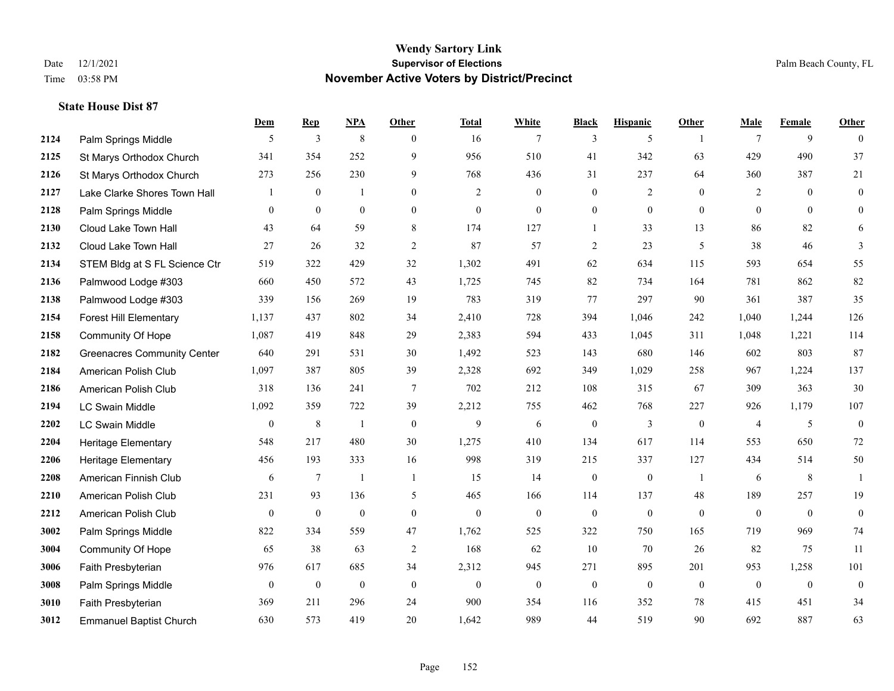**State House Dist 87**

## **Wendy Sartory Link** Date 12/1/2021 **Supervisor of Elections Supervisor of Elections** Palm Beach County, FL Time 03:58 PM **November Active Voters by District/Precinct**

|      |                                    | Dem      | <b>Rep</b>       | <b>NPA</b>       | Other           | <b>Total</b> | White            | <b>Black</b>     | <b>Hispanic</b>  | Other          | Male           | Female       | Other            |
|------|------------------------------------|----------|------------------|------------------|-----------------|--------------|------------------|------------------|------------------|----------------|----------------|--------------|------------------|
| 2124 | Palm Springs Middle                | 5        | 3                | $\,8\,$          | $\Omega$        | 16           | 7                | 3                | 5                | $\overline{1}$ | $\tau$         | 9            | $\theta$         |
| 2125 | St Marys Orthodox Church           | 341      | 354              | 252              | 9               | 956          | 510              | 41               | 342              | 63             | 429            | 490          | 37               |
| 2126 | St Marys Orthodox Church           | 273      | 256              | 230              | 9               | 768          | 436              | 31               | 237              | 64             | 360            | 387          | $21\,$           |
| 2127 | Lake Clarke Shores Town Hall       |          | $\mathbf{0}$     | -1               | $\theta$        | 2            | $\overline{0}$   | $\mathbf{0}$     | 2                | $\theta$       | 2              | $\theta$     | $\mathbf{0}$     |
| 2128 | Palm Springs Middle                | $\theta$ | $\mathbf{0}$     | $\mathbf{0}$     | $\mathbf{0}$    | $\mathbf{0}$ | $\overline{0}$   | $\boldsymbol{0}$ | $\mathbf{0}$     | $\theta$       | $\theta$       | $\Omega$     | $\overline{0}$   |
| 2130 | Cloud Lake Town Hall               | 43       | 64               | 59               | 8               | 174          | 127              | $\mathbf{1}$     | 33               | 13             | 86             | 82           | 6                |
| 2132 | Cloud Lake Town Hall               | 27       | 26               | 32               | 2               | 87           | 57               | $\overline{2}$   | 23               | 5              | 38             | 46           | 3                |
| 2134 | STEM Bldg at S FL Science Ctr      | 519      | 322              | 429              | 32              | 1,302        | 491              | 62               | 634              | 115            | 593            | 654          | 55               |
| 2136 | Palmwood Lodge #303                | 660      | 450              | 572              | 43              | 1,725        | 745              | 82               | 734              | 164            | 781            | 862          | 82               |
| 2138 | Palmwood Lodge #303                | 339      | 156              | 269              | 19              | 783          | 319              | 77               | 297              | 90             | 361            | 387          | 35               |
| 2154 | <b>Forest Hill Elementary</b>      | 1,137    | 437              | 802              | 34              | 2,410        | 728              | 394              | 1,046            | 242            | 1,040          | 1,244        | 126              |
| 2158 | Community Of Hope                  | 1,087    | 419              | 848              | 29              | 2,383        | 594              | 433              | 1,045            | 311            | 1,048          | 1,221        | 114              |
| 2182 | <b>Greenacres Community Center</b> | 640      | 291              | 531              | 30              | 1,492        | 523              | 143              | 680              | 146            | 602            | 803          | 87               |
| 2184 | American Polish Club               | 1,097    | 387              | 805              | 39              | 2,328        | 692              | 349              | 1,029            | 258            | 967            | 1,224        | 137              |
| 2186 | American Polish Club               | 318      | 136              | 241              | $7\phantom{.0}$ | 702          | 212              | 108              | 315              | 67             | 309            | 363          | 30               |
| 2194 | <b>LC Swain Middle</b>             | 1,092    | 359              | 722              | 39              | 2,212        | 755              | 462              | 768              | 227            | 926            | 1,179        | 107              |
| 2202 | <b>LC Swain Middle</b>             | $\theta$ | $\,8\,$          | 1                | $\mathbf{0}$    | 9            | 6                | $\mathbf{0}$     | 3                | $\theta$       | $\overline{4}$ | 5            | $\mathbf{0}$     |
| 2204 | Heritage Elementary                | 548      | 217              | 480              | 30              | 1,275        | 410              | 134              | 617              | 114            | 553            | 650          | 72               |
| 2206 | Heritage Elementary                | 456      | 193              | 333              | 16              | 998          | 319              | 215              | 337              | 127            | 434            | 514          | 50               |
| 2208 | American Finnish Club              | 6        | 7                | $\overline{1}$   | -1              | 15           | 14               | $\boldsymbol{0}$ | $\boldsymbol{0}$ | $\overline{1}$ | 6              | 8            | $\mathbf{1}$     |
| 2210 | American Polish Club               | 231      | 93               | 136              | 5               | 465          | 166              | 114              | 137              | 48             | 189            | 257          | 19               |
| 2212 | American Polish Club               | $\theta$ | $\boldsymbol{0}$ | $\boldsymbol{0}$ | $\mathbf{0}$    | $\mathbf{0}$ | $\boldsymbol{0}$ | $\boldsymbol{0}$ | $\boldsymbol{0}$ | $\mathbf{0}$   | $\mathbf{0}$   | $\mathbf{0}$ | $\boldsymbol{0}$ |
| 3002 | Palm Springs Middle                | 822      | 334              | 559              | 47              | 1,762        | 525              | 322              | 750              | 165            | 719            | 969          | 74               |
| 3004 | Community Of Hope                  | 65       | 38               | 63               | 2               | 168          | 62               | 10               | 70               | 26             | 82             | 75           | 11               |
| 3006 | Faith Presbyterian                 | 976      | 617              | 685              | 34              | 2,312        | 945              | 271              | 895              | 201            | 953            | 1,258        | 101              |
| 3008 | Palm Springs Middle                | $\theta$ | $\boldsymbol{0}$ | $\boldsymbol{0}$ | $\mathbf{0}$    | $\theta$     | $\boldsymbol{0}$ | $\boldsymbol{0}$ | $\mathbf{0}$     | $\mathbf{0}$   | $\overline{0}$ | $\mathbf{0}$ | $\boldsymbol{0}$ |
| 3010 | Faith Presbyterian                 | 369      | 211              | 296              | 24              | 900          | 354              | 116              | 352              | 78             | 415            | 451          | 34               |
| 3012 | <b>Emmanuel Baptist Church</b>     | 630      | 573              | 419              | 20              | 1,642        | 989              | 44               | 519              | 90             | 692            | 887          | 63               |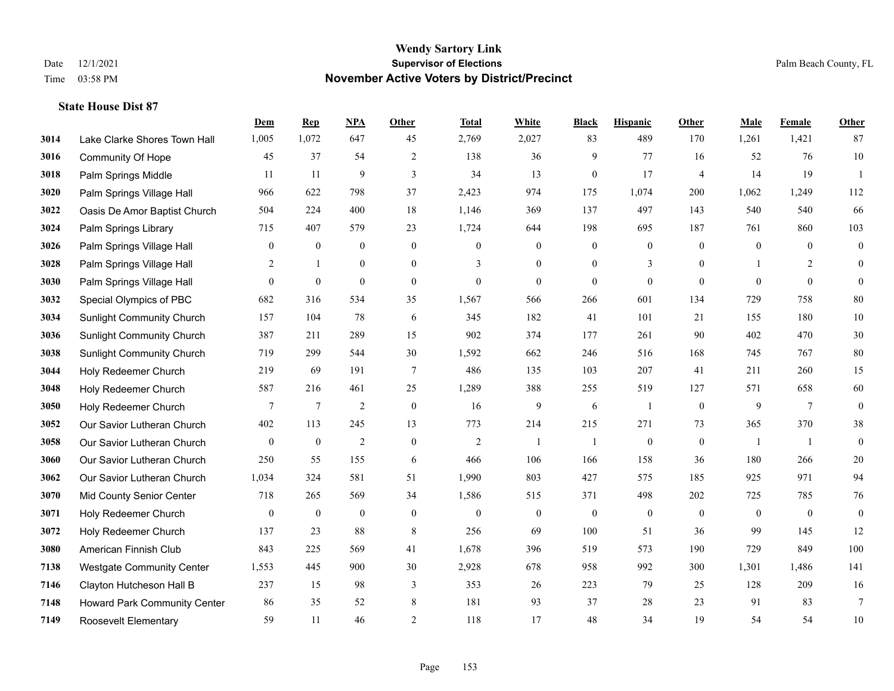|      |                                  | Dem            | <b>Rep</b>       | NPA              | <b>Other</b>   | <b>Total</b>     | <b>White</b>     | <b>Black</b>     | <b>Hispanic</b>  | <b>Other</b>     | <b>Male</b>      | <b>Female</b>  | Other            |
|------|----------------------------------|----------------|------------------|------------------|----------------|------------------|------------------|------------------|------------------|------------------|------------------|----------------|------------------|
| 3014 | Lake Clarke Shores Town Hall     | 1,005          | 1,072            | 647              | 45             | 2,769            | 2,027            | 83               | 489              | 170              | 1,261            | 1,421          | 87               |
| 3016 | <b>Community Of Hope</b>         | 45             | 37               | 54               | 2              | 138              | 36               | 9                | 77               | 16               | 52               | 76             | $10\,$           |
| 3018 | Palm Springs Middle              | 11             | 11               | 9                | 3              | 34               | 13               | $\overline{0}$   | 17               | $\overline{4}$   | 14               | 19             | $\overline{1}$   |
| 3020 | Palm Springs Village Hall        | 966            | 622              | 798              | 37             | 2,423            | 974              | 175              | 1,074            | 200              | 1,062            | 1,249          | 112              |
| 3022 | Oasis De Amor Baptist Church     | 504            | 224              | 400              | 18             | 1,146            | 369              | 137              | 497              | 143              | 540              | 540            | 66               |
| 3024 | Palm Springs Library             | 715            | 407              | 579              | 23             | 1,724            | 644              | 198              | 695              | 187              | 761              | 860            | 103              |
| 3026 | Palm Springs Village Hall        | $\bf{0}$       | $\boldsymbol{0}$ | $\boldsymbol{0}$ | $\mathbf{0}$   | $\overline{0}$   | $\boldsymbol{0}$ | $\boldsymbol{0}$ | $\boldsymbol{0}$ | $\mathbf{0}$     | $\boldsymbol{0}$ | $\overline{0}$ | $\boldsymbol{0}$ |
| 3028 | Palm Springs Village Hall        | 2              | $\mathbf{1}$     | $\mathbf{0}$     | $\theta$       | 3                | $\overline{0}$   | $\overline{0}$   | 3                | $\theta$         | $\mathbf{1}$     | 2              | $\overline{0}$   |
| 3030 | Palm Springs Village Hall        | $\overline{0}$ | $\boldsymbol{0}$ | $\mathbf{0}$     | $\mathbf{0}$   | $\theta$         | $\overline{0}$   | $\overline{0}$   | $\mathbf{0}$     | $\mathbf{0}$     | $\theta$         | $\mathbf{0}$   | $\overline{0}$   |
| 3032 | Special Olympics of PBC          | 682            | 316              | 534              | 35             | 1,567            | 566              | 266              | 601              | 134              | 729              | 758            | 80               |
| 3034 | <b>Sunlight Community Church</b> | 157            | 104              | 78               | 6              | 345              | 182              | 41               | 101              | 21               | 155              | 180            | $10\,$           |
| 3036 | <b>Sunlight Community Church</b> | 387            | 211              | 289              | 15             | 902              | 374              | 177              | 261              | 90               | 402              | 470            | 30               |
| 3038 | <b>Sunlight Community Church</b> | 719            | 299              | 544              | 30             | 1,592            | 662              | 246              | 516              | 168              | 745              | 767            | 80               |
| 3044 | Holy Redeemer Church             | 219            | 69               | 191              | $\overline{7}$ | 486              | 135              | 103              | 207              | 41               | 211              | 260            | 15               |
| 3048 | Holy Redeemer Church             | 587            | 216              | 461              | 25             | 1,289            | 388              | 255              | 519              | 127              | 571              | 658            | 60               |
| 3050 | Holy Redeemer Church             | 7              | 7                | $\overline{c}$   | $\mathbf{0}$   | 16               | 9                | 6                | -1               | $\mathbf{0}$     | 9                | $\tau$         | $\overline{0}$   |
| 3052 | Our Savior Lutheran Church       | 402            | 113              | 245              | 13             | 773              | 214              | 215              | 271              | 73               | 365              | 370            | 38               |
| 3058 | Our Savior Lutheran Church       | $\overline{0}$ | $\mathbf{0}$     | $\overline{c}$   | $\overline{0}$ | $\overline{2}$   |                  |                  | $\boldsymbol{0}$ | $\mathbf{0}$     | -1               | $\overline{1}$ | $\overline{0}$   |
| 3060 | Our Savior Lutheran Church       | 250            | 55               | 155              | 6              | 466              | 106              | 166              | 158              | 36               | 180              | 266            | $20\,$           |
| 3062 | Our Savior Lutheran Church       | 1,034          | 324              | 581              | 51             | 1,990            | 803              | 427              | 575              | 185              | 925              | 971            | 94               |
| 3070 | Mid County Senior Center         | 718            | 265              | 569              | 34             | 1,586            | 515              | 371              | 498              | 202              | 725              | 785            | 76               |
| 3071 | Holy Redeemer Church             | $\bf{0}$       | $\boldsymbol{0}$ | $\boldsymbol{0}$ | $\mathbf{0}$   | $\boldsymbol{0}$ | $\boldsymbol{0}$ | $\boldsymbol{0}$ | $\boldsymbol{0}$ | $\boldsymbol{0}$ | $\boldsymbol{0}$ | $\mathbf{0}$   | $\mathbf{0}$     |
| 3072 | Holy Redeemer Church             | 137            | 23               | 88               | 8              | 256              | 69               | 100              | 51               | 36               | 99               | 145            | 12               |
| 3080 | American Finnish Club            | 843            | 225              | 569              | 41             | 1,678            | 396              | 519              | 573              | 190              | 729              | 849            | 100              |
| 7138 | <b>Westgate Community Center</b> | 1,553          | 445              | 900              | 30             | 2,928            | 678              | 958              | 992              | 300              | 1,301            | 1,486          | 141              |
| 7146 | Clayton Hutcheson Hall B         | 237            | 15               | 98               | 3              | 353              | 26               | 223              | 79               | 25               | 128              | 209            | 16               |
| 7148 | Howard Park Community Center     | 86             | 35               | 52               | 8              | 181              | 93               | 37               | 28               | 23               | 91               | 83             | $\tau$           |
| 7149 | Roosevelt Elementary             | 59             | 11               | 46               | $\overline{2}$ | 118              | 17               | 48               | 34               | 19               | 54               | 54             | $10\,$           |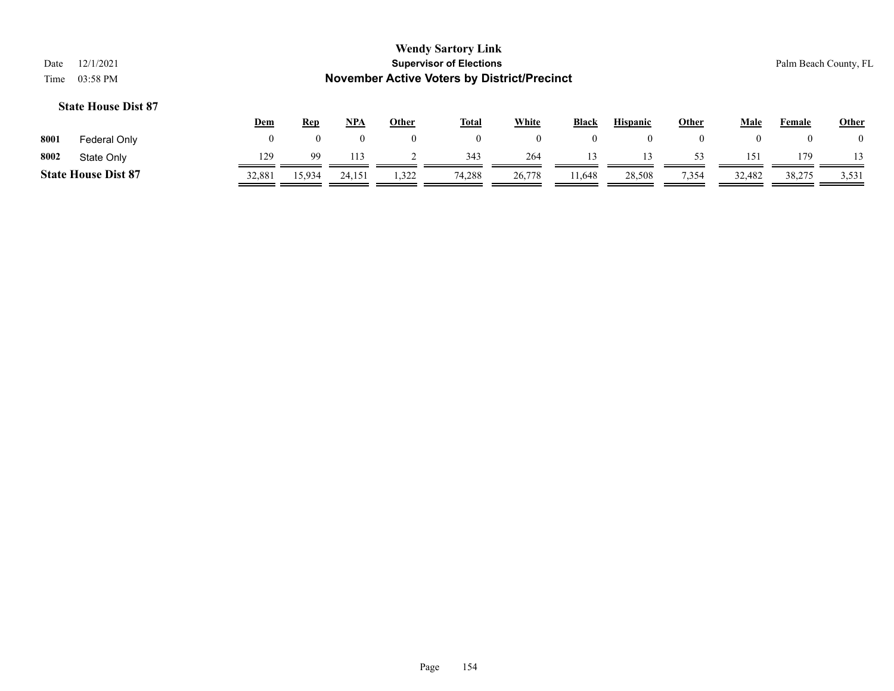| Date<br>Time | 12/1/2021<br>03:58 PM      |                |            |            |       | <b>Wendy Sartory Link</b><br><b>Supervisor of Elections</b><br><b>November Active Voters by District/Precinct</b> |              |                |                 |                |          |        | Palm Beach County, FL |
|--------------|----------------------------|----------------|------------|------------|-------|-------------------------------------------------------------------------------------------------------------------|--------------|----------------|-----------------|----------------|----------|--------|-----------------------|
|              | <b>State House Dist 87</b> | <u>Dem</u>     | <b>Rep</b> | <u>NPA</u> | Other | <u>Total</u>                                                                                                      | <b>White</b> | <b>Black</b>   | <b>Hispanic</b> | Other          | Male     | Female | <b>Other</b>          |
| 8001         | Federal Only               | $\overline{0}$ | 0          | 0          | 0     | $\mathbf{0}$                                                                                                      | $\mathbf{0}$ | $\overline{0}$ | $\overline{0}$  | $\overline{0}$ | $\bf{0}$ |        | $\left($              |
| 8002         | State Only                 | 129            | 99         | 113        |       | 343                                                                                                               | 264          | 13             | 13              | 53             | 151      | 179    |                       |
|              | <b>State House Dist 87</b> | 32,881         | 15,934     | 24.151     | 1,322 | 74,288                                                                                                            | 26,778       | 11,648         | 28,508          | 7,354          | 32,482   | 38,275 | 3,531                 |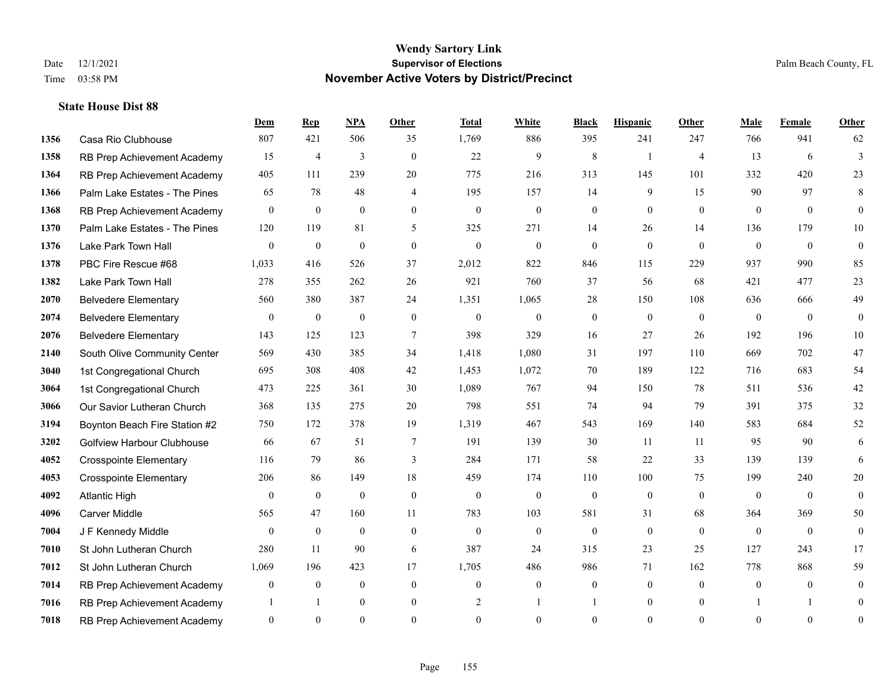|      |                                   | Dem            | <b>Rep</b>     | NPA              | <b>Other</b>   | <b>Total</b> | <b>White</b>   | <b>Black</b>     | <b>Hispanic</b> | Other          | <b>Male</b>    | Female         | <b>Other</b>     |
|------|-----------------------------------|----------------|----------------|------------------|----------------|--------------|----------------|------------------|-----------------|----------------|----------------|----------------|------------------|
| 1356 | Casa Rio Clubhouse                | 807            | 421            | 506              | 35             | 1,769        | 886            | 395              | 241             | 247            | 766            | 941            | 62               |
| 1358 | RB Prep Achievement Academy       | 15             | $\overline{4}$ | $\overline{3}$   | $\theta$       | 22           | 9              | 8                | $\mathbf{1}$    | $\overline{4}$ | 13             | 6              | $\overline{3}$   |
| 1364 | RB Prep Achievement Academy       | 405            | 111            | 239              | 20             | 775          | 216            | 313              | 145             | 101            | 332            | 420            | 23               |
| 1366 | Palm Lake Estates - The Pines     | 65             | 78             | 48               | $\overline{4}$ | 195          | 157            | 14               | 9               | 15             | 90             | 97             | 8                |
| 1368 | RB Prep Achievement Academy       | $\overline{0}$ | $\mathbf{0}$   | $\theta$         | $\Omega$       | $\mathbf{0}$ | $\mathbf{0}$   | $\mathbf{0}$     | $\mathbf{0}$    | $\theta$       | $\theta$       | $\theta$       | $\overline{0}$   |
| 1370 | Palm Lake Estates - The Pines     | 120            | 119            | 81               | 5              | 325          | 271            | 14               | 26              | 14             | 136            | 179            | $10\,$           |
| 1376 | Lake Park Town Hall               | $\overline{0}$ | $\mathbf{0}$   | $\mathbf{0}$     | $\overline{0}$ | $\mathbf{0}$ | $\overline{0}$ | $\mathbf{0}$     | $\mathbf{0}$    | $\theta$       | $\mathbf{0}$   | $\mathbf{0}$   | $\boldsymbol{0}$ |
| 1378 | PBC Fire Rescue #68               | 1,033          | 416            | 526              | 37             | 2,012        | 822            | 846              | 115             | 229            | 937            | 990            | 85               |
| 1382 | Lake Park Town Hall               | 278            | 355            | 262              | 26             | 921          | 760            | 37               | 56              | 68             | 421            | 477            | 23               |
| 2070 | <b>Belvedere Elementary</b>       | 560            | 380            | 387              | 24             | 1,351        | 1,065          | 28               | 150             | 108            | 636            | 666            | 49               |
| 2074 | <b>Belvedere Elementary</b>       | $\mathbf{0}$   | $\bf{0}$       | $\mathbf{0}$     | $\theta$       | $\theta$     | $\overline{0}$ | $\mathbf{0}$     | $\mathbf{0}$    | $\theta$       | $\theta$       | $\theta$       | $\mathbf{0}$     |
| 2076 | <b>Belvedere Elementary</b>       | 143            | 125            | 123              | $\overline{7}$ | 398          | 329            | 16               | 27              | 26             | 192            | 196            | 10               |
| 2140 | South Olive Community Center      | 569            | 430            | 385              | 34             | 1,418        | 1,080          | 31               | 197             | 110            | 669            | 702            | $47\,$           |
| 3040 | 1st Congregational Church         | 695            | 308            | 408              | 42             | 1,453        | 1,072          | 70               | 189             | 122            | 716            | 683            | 54               |
| 3064 | 1st Congregational Church         | 473            | 225            | 361              | 30             | 1,089        | 767            | 94               | 150             | 78             | 511            | 536            | 42               |
| 3066 | Our Savior Lutheran Church        | 368            | 135            | 275              | 20             | 798          | 551            | 74               | 94              | 79             | 391            | 375            | 32               |
| 3194 | Boynton Beach Fire Station #2     | 750            | 172            | 378              | 19             | 1,319        | 467            | 543              | 169             | 140            | 583            | 684            | 52               |
| 3202 | <b>Golfview Harbour Clubhouse</b> | 66             | 67             | 51               | 7              | 191          | 139            | 30               | 11              | 11             | 95             | 90             | 6                |
| 4052 | <b>Crosspointe Elementary</b>     | 116            | 79             | 86               | 3              | 284          | 171            | 58               | $22\,$          | 33             | 139            | 139            | 6                |
| 4053 | <b>Crosspointe Elementary</b>     | 206            | 86             | 149              | 18             | 459          | 174            | 110              | 100             | 75             | 199            | 240            | 20               |
| 4092 | <b>Atlantic High</b>              | $\theta$       | $\overline{0}$ | $\mathbf{0}$     | $\theta$       | $\theta$     | $\mathbf{0}$   | $\mathbf{0}$     | $\mathbf{0}$    | $\theta$       | $\theta$       | $\theta$       | $\theta$         |
| 4096 | <b>Carver Middle</b>              | 565            | 47             | 160              | 11             | 783          | 103            | 581              | 31              | 68             | 364            | 369            | 50               |
| 7004 | J F Kennedy Middle                | $\mathbf{0}$   | $\overline{0}$ | $\mathbf{0}$     | $\overline{0}$ | $\mathbf{0}$ | $\overline{0}$ | $\boldsymbol{0}$ | $\mathbf{0}$    | $\theta$       | $\overline{0}$ | $\theta$       | $\boldsymbol{0}$ |
| 7010 | St John Lutheran Church           | 280            | 11             | 90               | 6              | 387          | 24             | 315              | 23              | 25             | 127            | 243            | 17               |
| 7012 | St John Lutheran Church           | 1,069          | 196            | 423              | 17             | 1,705        | 486            | 986              | 71              | 162            | 778            | 868            | 59               |
| 7014 | RB Prep Achievement Academy       | $\mathbf{0}$   | $\bf{0}$       | $\boldsymbol{0}$ | $\overline{0}$ | $\mathbf{0}$ | $\mathbf{0}$   | $\boldsymbol{0}$ | $\mathbf{0}$    | $\theta$       | $\theta$       | $\overline{0}$ | 0                |
| 7016 | RB Prep Achievement Academy       | 1              | -1             | $\mathbf{0}$     | $\overline{0}$ | 2            | -1             | 1                | $\mathbf{0}$    | $\overline{0}$ |                | -1             | $\mathbf{0}$     |
| 7018 | RB Prep Achievement Academy       | $\overline{0}$ | $\Omega$       | $\theta$         | $\Omega$       | $\Omega$     | $\Omega$       | $\theta$         | $\theta$        | $\Omega$       | $\Omega$       | $\theta$       | $\boldsymbol{0}$ |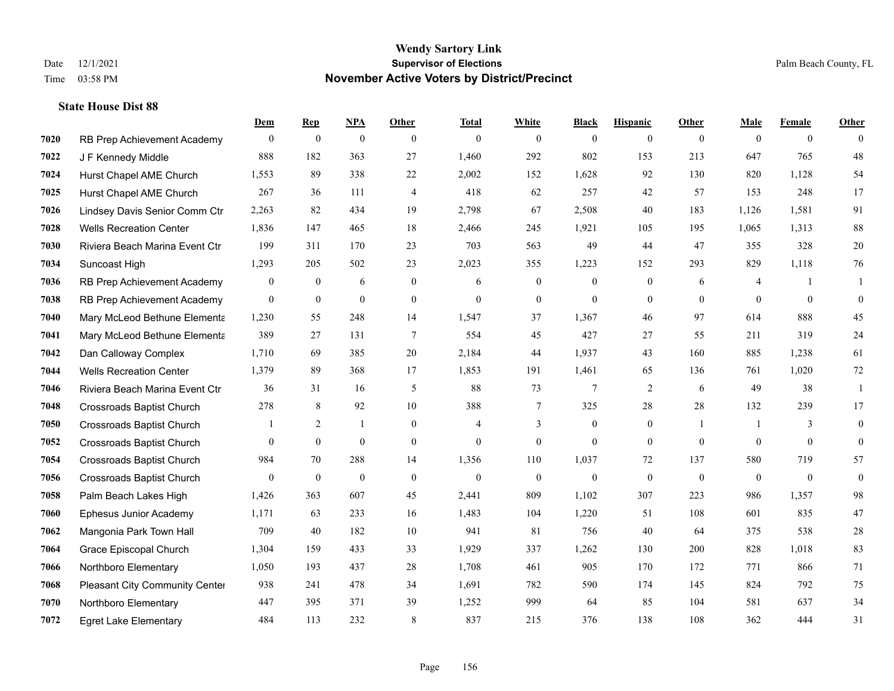|      |                                  | Dem          | <b>Rep</b>       | NPA              | <b>Other</b>   | <b>Total</b>   | <b>White</b>     | <b>Black</b>   | <b>Hispanic</b> | <b>Other</b>   | <b>Male</b>  | <b>Female</b>  | <b>Other</b>     |
|------|----------------------------------|--------------|------------------|------------------|----------------|----------------|------------------|----------------|-----------------|----------------|--------------|----------------|------------------|
| 7020 | RB Prep Achievement Academy      | $\mathbf{0}$ | $\boldsymbol{0}$ | $\boldsymbol{0}$ | $\theta$       | $\mathbf{0}$   | $\overline{0}$   | $\overline{0}$ | $\overline{0}$  | $\theta$       | $\theta$     | $\overline{0}$ | $\Omega$         |
| 7022 | J F Kennedy Middle               | 888          | 182              | 363              | 27             | 1,460          | 292              | 802            | 153             | 213            | 647          | 765            | 48               |
| 7024 | Hurst Chapel AME Church          | 1,553        | 89               | 338              | 22             | 2,002          | 152              | 1,628          | 92              | 130            | 820          | 1.128          | 54               |
| 7025 | Hurst Chapel AME Church          | 267          | 36               | 111              | $\overline{4}$ | 418            | 62               | 257            | 42              | 57             | 153          | 248            | 17               |
| 7026 | Lindsey Davis Senior Comm Ctr    | 2,263        | 82               | 434              | 19             | 2,798          | 67               | 2,508          | 40              | 183            | 1,126        | 1,581          | 91               |
| 7028 | <b>Wells Recreation Center</b>   | 1,836        | 147              | 465              | 18             | 2,466          | 245              | 1,921          | 105             | 195            | 1,065        | 1,313          | 88               |
| 7030 | Riviera Beach Marina Event Ctr   | 199          | 311              | 170              | 23             | 703            | 563              | 49             | 44              | 47             | 355          | 328            | $20\,$           |
| 7034 | Suncoast High                    | 1,293        | 205              | 502              | 23             | 2,023          | 355              | 1,223          | 152             | 293            | 829          | 1,118          | 76               |
| 7036 | RB Prep Achievement Academy      | $\bf{0}$     | $\boldsymbol{0}$ | 6                | $\mathbf{0}$   | 6              | $\boldsymbol{0}$ | $\overline{0}$ | $\overline{0}$  | 6              | 4            | $\mathbf{1}$   | -1               |
| 7038 | RB Prep Achievement Academy      | $\mathbf{0}$ | $\mathbf{0}$     | $\mathbf{0}$     | $\mathbf{0}$   | $\mathbf{0}$   | $\overline{0}$   | $\overline{0}$ | $\overline{0}$  | $\theta$       | $\theta$     | $\overline{0}$ | $\mathbf{0}$     |
| 7040 | Mary McLeod Bethune Elementa     | 1,230        | 55               | 248              | 14             | 1,547          | 37               | 1,367          | 46              | 97             | 614          | 888            | 45               |
| 7041 | Mary McLeod Bethune Elementa     | 389          | 27               | 131              | $\tau$         | 554            | 45               | 427            | 27              | 55             | 211          | 319            | 24               |
| 7042 | Dan Calloway Complex             | 1,710        | 69               | 385              | 20             | 2,184          | 44               | 1,937          | 43              | 160            | 885          | 1,238          | 61               |
| 7044 | <b>Wells Recreation Center</b>   | 1,379        | 89               | 368              | 17             | 1,853          | 191              | 1,461          | 65              | 136            | 761          | 1,020          | $72\,$           |
| 7046 | Riviera Beach Marina Event Ctr   | 36           | 31               | 16               | 5              | 88             | 73               | 7              | 2               | 6              | 49           | 38             | -1               |
| 7048 | <b>Crossroads Baptist Church</b> | 278          | 8                | 92               | 10             | 388            | 7                | 325            | 28              | 28             | 132          | 239            | 17               |
| 7050 | <b>Crossroads Baptist Church</b> |              | 2                |                  | $\mathbf{0}$   | 4              | 3                | $\mathbf{0}$   | $\mathbf{0}$    | $\mathbf{1}$   | -1           | 3              | $\overline{0}$   |
| 7052 | <b>Crossroads Baptist Church</b> | $\theta$     | $\mathbf{0}$     | $\boldsymbol{0}$ | $\mathbf{0}$   | $\overline{0}$ | $\mathbf{0}$     | $\overline{0}$ | $\overline{0}$  | $\overline{0}$ | $\theta$     | $\overline{0}$ | $\overline{0}$   |
| 7054 | <b>Crossroads Baptist Church</b> | 984          | 70               | 288              | 14             | 1,356          | 110              | 1,037          | 72              | 137            | 580          | 719            | 57               |
| 7056 | <b>Crossroads Baptist Church</b> | $\theta$     | $\mathbf{0}$     | $\theta$         | $\mathbf{0}$   | $\theta$       | $\mathbf{0}$     | $\mathbf{0}$   | $\Omega$        | $\theta$       | $\mathbf{0}$ | $\theta$       | $\boldsymbol{0}$ |
| 7058 | Palm Beach Lakes High            | 1,426        | 363              | 607              | 45             | 2,441          | 809              | 1,102          | 307             | 223            | 986          | 1,357          | 98               |
| 7060 | Ephesus Junior Academy           | 1,171        | 63               | 233              | 16             | 1,483          | 104              | 1,220          | 51              | 108            | 601          | 835            | 47               |
| 7062 | Mangonia Park Town Hall          | 709          | 40               | 182              | 10             | 941            | 81               | 756            | 40              | 64             | 375          | 538            | $28\,$           |
| 7064 | Grace Episcopal Church           | 1,304        | 159              | 433              | 33             | 1,929          | 337              | 1,262          | 130             | 200            | 828          | 1,018          | 83               |
| 7066 | Northboro Elementary             | 1,050        | 193              | 437              | 28             | 1,708          | 461              | 905            | 170             | 172            | 771          | 866            | 71               |
| 7068 | Pleasant City Community Center   | 938          | 241              | 478              | 34             | 1,691          | 782              | 590            | 174             | 145            | 824          | 792            | 75               |
| 7070 | Northboro Elementary             | 447          | 395              | 371              | 39             | 1,252          | 999              | 64             | 85              | 104            | 581          | 637            | 34               |
| 7072 | <b>Egret Lake Elementary</b>     | 484          | 113              | 232              | 8              | 837            | 215              | 376            | 138             | 108            | 362          | 444            | 31               |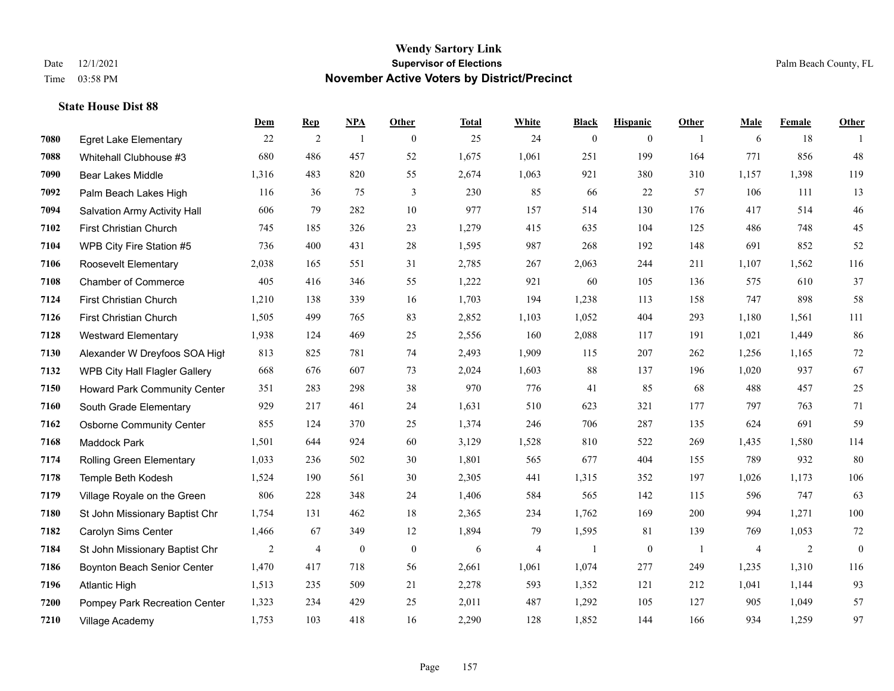|      |                                     | Dem   | <b>Rep</b>     | NPA              | <b>Other</b>   | <b>Total</b> | <b>White</b> | <b>Black</b>     | <b>Hispanic</b>  | <b>Other</b>   | <b>Male</b> | Female | <b>Other</b>     |
|------|-------------------------------------|-------|----------------|------------------|----------------|--------------|--------------|------------------|------------------|----------------|-------------|--------|------------------|
| 7080 | <b>Egret Lake Elementary</b>        | 22    | 2              | $\overline{1}$   | $\overline{0}$ | 25           | 24           | $\boldsymbol{0}$ | $\mathbf{0}$     | $\overline{1}$ | 6           | 18     | -1               |
| 7088 | Whitehall Clubhouse #3              | 680   | 486            | 457              | 52             | 1,675        | 1,061        | 251              | 199              | 164            | 771         | 856    | 48               |
| 7090 | <b>Bear Lakes Middle</b>            | 1,316 | 483            | 820              | 55             | 2,674        | 1,063        | 921              | 380              | 310            | 1,157       | 1,398  | 119              |
| 7092 | Palm Beach Lakes High               | 116   | 36             | 75               | 3              | 230          | 85           | 66               | 22               | 57             | 106         | 111    | 13               |
| 7094 | Salvation Army Activity Hall        | 606   | 79             | 282              | 10             | 977          | 157          | 514              | 130              | 176            | 417         | 514    | $46\,$           |
| 7102 | First Christian Church              | 745   | 185            | 326              | 23             | 1,279        | 415          | 635              | 104              | 125            | 486         | 748    | 45               |
| 7104 | WPB City Fire Station #5            | 736   | 400            | 431              | 28             | 1,595        | 987          | 268              | 192              | 148            | 691         | 852    | 52               |
| 7106 | Roosevelt Elementary                | 2,038 | 165            | 551              | 31             | 2,785        | 267          | 2,063            | 244              | 211            | 1,107       | 1,562  | 116              |
| 7108 | <b>Chamber of Commerce</b>          | 405   | 416            | 346              | 55             | 1,222        | 921          | 60               | 105              | 136            | 575         | 610    | 37               |
| 7124 | <b>First Christian Church</b>       | 1,210 | 138            | 339              | 16             | 1,703        | 194          | 1,238            | 113              | 158            | 747         | 898    | 58               |
| 7126 | First Christian Church              | 1,505 | 499            | 765              | 83             | 2,852        | 1,103        | 1,052            | 404              | 293            | 1,180       | 1,561  | 111              |
| 7128 | <b>Westward Elementary</b>          | 1,938 | 124            | 469              | 25             | 2,556        | 160          | 2,088            | 117              | 191            | 1,021       | 1,449  | 86               |
| 7130 | Alexander W Dreyfoos SOA High       | 813   | 825            | 781              | 74             | 2,493        | 1,909        | 115              | 207              | 262            | 1,256       | 1,165  | $72\,$           |
| 7132 | WPB City Hall Flagler Gallery       | 668   | 676            | 607              | 73             | 2,024        | 1,603        | 88               | 137              | 196            | 1,020       | 937    | 67               |
| 7150 | <b>Howard Park Community Center</b> | 351   | 283            | 298              | 38             | 970          | 776          | 41               | 85               | 68             | 488         | 457    | 25               |
| 7160 | South Grade Elementary              | 929   | 217            | 461              | 24             | 1,631        | 510          | 623              | 321              | 177            | 797         | 763    | 71               |
| 7162 | <b>Osborne Community Center</b>     | 855   | 124            | 370              | 25             | 1,374        | 246          | 706              | 287              | 135            | 624         | 691    | 59               |
| 7168 | Maddock Park                        | 1,501 | 644            | 924              | 60             | 3,129        | 1,528        | 810              | 522              | 269            | 1,435       | 1,580  | 114              |
| 7174 | Rolling Green Elementary            | 1,033 | 236            | 502              | 30             | 1,801        | 565          | 677              | 404              | 155            | 789         | 932    | 80               |
| 7178 | Temple Beth Kodesh                  | 1,524 | 190            | 561              | 30             | 2,305        | 441          | 1,315            | 352              | 197            | 1,026       | 1,173  | 106              |
| 7179 | Village Royale on the Green         | 806   | 228            | 348              | 24             | 1,406        | 584          | 565              | 142              | 115            | 596         | 747    | 63               |
| 7180 | St John Missionary Baptist Chr      | 1,754 | 131            | 462              | 18             | 2,365        | 234          | 1,762            | 169              | 200            | 994         | 1,271  | 100              |
| 7182 | Carolyn Sims Center                 | 1,466 | 67             | 349              | 12             | 1,894        | 79           | 1,595            | 81               | 139            | 769         | 1,053  | 72               |
| 7184 | St John Missionary Baptist Chr      | 2     | $\overline{4}$ | $\boldsymbol{0}$ | $\mathbf{0}$   | 6            | 4            | 1                | $\boldsymbol{0}$ | -1             | 4           | 2      | $\boldsymbol{0}$ |
| 7186 | Boynton Beach Senior Center         | 1,470 | 417            | 718              | 56             | 2,661        | 1,061        | 1,074            | 277              | 249            | 1,235       | 1,310  | 116              |
| 7196 | <b>Atlantic High</b>                | 1,513 | 235            | 509              | 21             | 2,278        | 593          | 1,352            | 121              | 212            | 1,041       | 1,144  | 93               |
| 7200 | Pompey Park Recreation Center       | 1,323 | 234            | 429              | 25             | 2,011        | 487          | 1,292            | 105              | 127            | 905         | 1,049  | 57               |
| 7210 | Village Academy                     | 1,753 | 103            | 418              | 16             | 2,290        | 128          | 1,852            | 144              | 166            | 934         | 1,259  | 97               |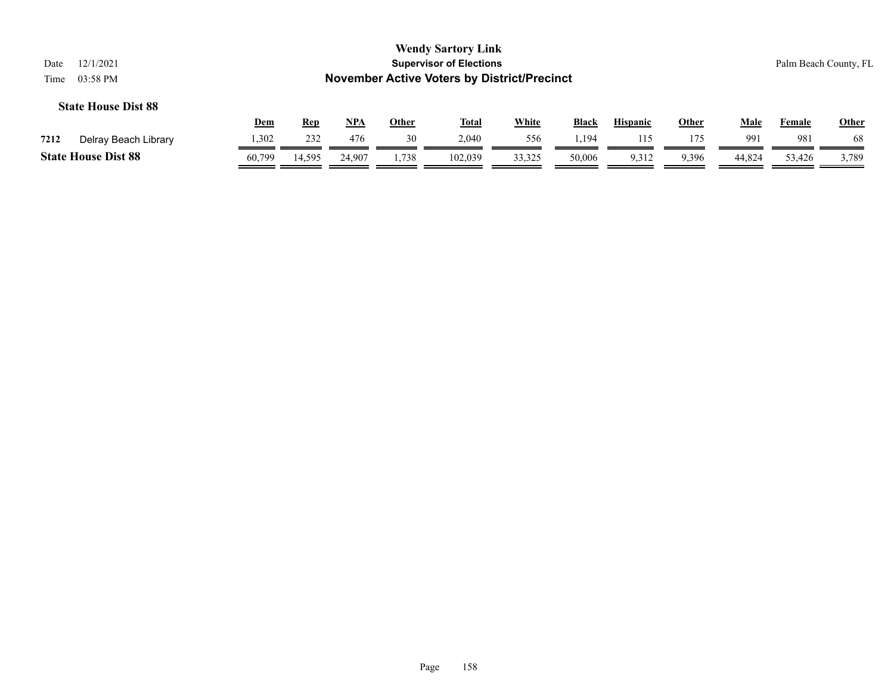| 12/1/2021<br>Date<br>03:58 PM<br>Time                                                                                                                                           |        |        |        |       | <b>Wendy Sartory Link</b><br><b>Supervisor of Elections</b><br><b>November Active Voters by District/Precinct</b> |        |        |       |       |        |        | Palm Beach County, FL |
|---------------------------------------------------------------------------------------------------------------------------------------------------------------------------------|--------|--------|--------|-------|-------------------------------------------------------------------------------------------------------------------|--------|--------|-------|-------|--------|--------|-----------------------|
| <b>State House Dist 88</b><br><b>White</b><br><u>NPA</u><br><b>Black</b><br><u>Male</u><br><u>Other</u><br><u>Total</u><br><b>Hispanic</b><br><b>Other</b><br>Dem<br><b>Rep</b> |        |        |        |       |                                                                                                                   |        |        |       |       |        |        | <b>Other</b>          |
| Delray Beach Library<br>7212                                                                                                                                                    | 1,302  | 232    | 476    | 30    | 2,040                                                                                                             | 556    | 1,194  | 115   | 175   | 991    | 981    | 68                    |
| <b>State House Dist 88</b>                                                                                                                                                      | 60,799 | 14,595 | 24,907 | 1,738 | 102,039                                                                                                           | 33,325 | 50,006 | 9,312 | 9,396 | 44,824 | 53,426 | 3,789                 |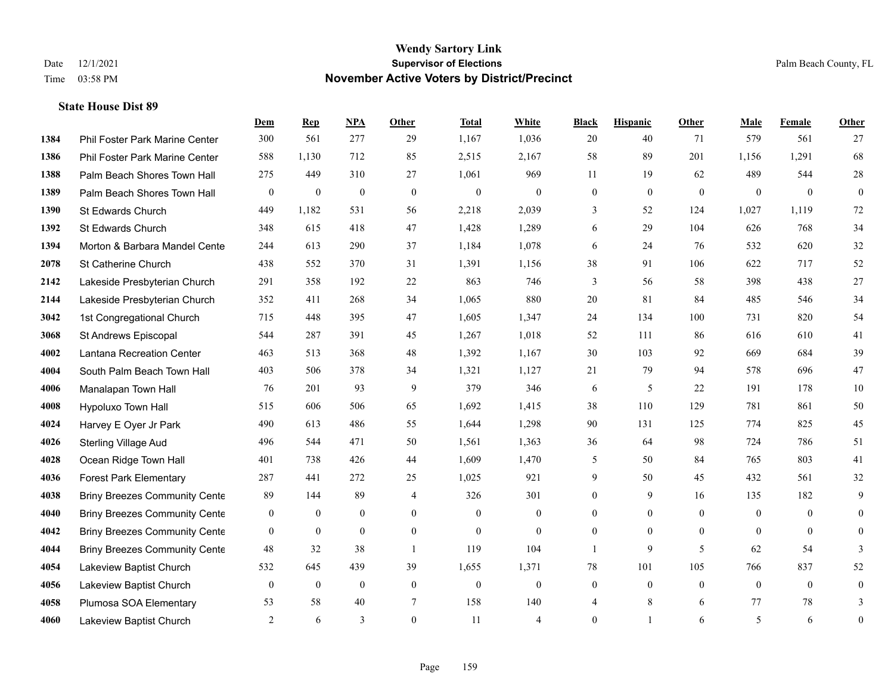|      |                                      | Dem              | <b>Rep</b>       | NPA              | <b>Other</b>   | <b>Total</b>     | White            | <b>Black</b>     | <b>Hispanic</b>  | <b>Other</b> | <b>Male</b>    | Female         | Other            |
|------|--------------------------------------|------------------|------------------|------------------|----------------|------------------|------------------|------------------|------------------|--------------|----------------|----------------|------------------|
| 1384 | Phil Foster Park Marine Center       | 300              | 561              | 277              | 29             | 1,167            | 1,036            | 20               | 40               | 71           | 579            | 561            | 27               |
| 1386 | Phil Foster Park Marine Center       | 588              | 1,130            | 712              | 85             | 2,515            | 2,167            | 58               | 89               | 201          | 1,156          | 1,291          | 68               |
| 1388 | Palm Beach Shores Town Hall          | 275              | 449              | 310              | 27             | 1,061            | 969              | 11               | 19               | 62           | 489            | 544            | $28\,$           |
| 1389 | Palm Beach Shores Town Hall          | $\boldsymbol{0}$ | $\boldsymbol{0}$ | $\mathbf{0}$     | $\mathbf{0}$   | $\mathbf{0}$     | $\mathbf{0}$     | $\boldsymbol{0}$ | $\mathbf{0}$     | $\mathbf{0}$ | $\mathbf{0}$   | $\overline{0}$ | $\overline{0}$   |
| 1390 | St Edwards Church                    | 449              | 1,182            | 531              | 56             | 2,218            | 2,039            | 3                | 52               | 124          | 1,027          | 1,119          | 72               |
| 1392 | St Edwards Church                    | 348              | 615              | 418              | 47             | 1,428            | 1,289            | 6                | 29               | 104          | 626            | 768            | 34               |
| 1394 | Morton & Barbara Mandel Cente        | 244              | 613              | 290              | 37             | 1,184            | 1,078            | 6                | 24               | 76           | 532            | 620            | 32               |
| 2078 | St Catherine Church                  | 438              | 552              | 370              | 31             | 1,391            | 1,156            | 38               | 91               | 106          | 622            | 717            | 52               |
| 2142 | Lakeside Presbyterian Church         | 291              | 358              | 192              | 22             | 863              | 746              | 3                | 56               | 58           | 398            | 438            | 27               |
| 2144 | Lakeside Presbyterian Church         | 352              | 411              | 268              | 34             | 1,065            | 880              | 20               | 81               | 84           | 485            | 546            | 34               |
| 3042 | 1st Congregational Church            | 715              | 448              | 395              | 47             | 1,605            | 1,347            | 24               | 134              | 100          | 731            | 820            | 54               |
| 3068 | St Andrews Episcopal                 | 544              | 287              | 391              | 45             | 1,267            | 1,018            | 52               | 111              | 86           | 616            | 610            | 41               |
| 4002 | Lantana Recreation Center            | 463              | 513              | 368              | 48             | 1,392            | 1,167            | 30               | 103              | 92           | 669            | 684            | 39               |
| 4004 | South Palm Beach Town Hall           | 403              | 506              | 378              | 34             | 1,321            | 1,127            | 21               | 79               | 94           | 578            | 696            | 47               |
| 4006 | Manalapan Town Hall                  | 76               | 201              | 93               | 9              | 379              | 346              | 6                | 5                | 22           | 191            | 178            | 10               |
| 4008 | Hypoluxo Town Hall                   | 515              | 606              | 506              | 65             | 1,692            | 1,415            | 38               | 110              | 129          | 781            | 861            | 50               |
| 4024 | Harvey E Oyer Jr Park                | 490              | 613              | 486              | 55             | 1,644            | 1,298            | 90               | 131              | 125          | 774            | 825            | 45               |
| 4026 | <b>Sterling Village Aud</b>          | 496              | 544              | 471              | 50             | 1,561            | 1,363            | 36               | 64               | 98           | 724            | 786            | 51               |
| 4028 | Ocean Ridge Town Hall                | 401              | 738              | 426              | 44             | 1,609            | 1,470            | 5                | 50               | 84           | 765            | 803            | 41               |
| 4036 | <b>Forest Park Elementary</b>        | 287              | 441              | 272              | 25             | 1,025            | 921              | 9                | 50               | 45           | 432            | 561            | 32               |
| 4038 | <b>Briny Breezes Community Cente</b> | 89               | 144              | 89               | $\overline{4}$ | 326              | 301              | $\overline{0}$   | 9                | 16           | 135            | 182            | 9                |
| 4040 | <b>Briny Breezes Community Cente</b> | $\mathbf{0}$     | $\mathbf{0}$     | $\mathbf{0}$     | $\overline{0}$ | $\mathbf{0}$     | $\boldsymbol{0}$ | $\overline{0}$   | $\overline{0}$   | $\theta$     | $\overline{0}$ | $\theta$       | $\overline{0}$   |
| 4042 | <b>Briny Breezes Community Cente</b> | $\mathbf{0}$     | $\mathbf{0}$     | $\mathbf{0}$     | $\theta$       | $\theta$         | $\mathbf{0}$     | $\overline{0}$   | $\overline{0}$   | $\theta$     | $\theta$       | $\theta$       | $\overline{0}$   |
| 4044 | <b>Briny Breezes Community Cente</b> | 48               | 32               | 38               | -1             | 119              | 104              | 1                | 9                | 5            | 62             | 54             | 3                |
| 4054 | Lakeview Baptist Church              | 532              | 645              | 439              | 39             | 1,655            | 1,371            | 78               | 101              | 105          | 766            | 837            | 52               |
| 4056 | Lakeview Baptist Church              | $\boldsymbol{0}$ | $\boldsymbol{0}$ | $\boldsymbol{0}$ | $\mathbf{0}$   | $\boldsymbol{0}$ | $\boldsymbol{0}$ | $\boldsymbol{0}$ | $\boldsymbol{0}$ | $\mathbf{0}$ | $\mathbf{0}$   | $\overline{0}$ | $\boldsymbol{0}$ |
| 4058 | Plumosa SOA Elementary               | 53               | 58               | 40               | 7              | 158              | 140              | 4                | 8                | 6            | 77             | 78             | 3                |
| 4060 | Lakeview Baptist Church              | 2                | 6                | 3                | $\Omega$       | 11               | $\overline{4}$   | $\mathbf{0}$     | 1                | 6            | 5              | 6              | $\boldsymbol{0}$ |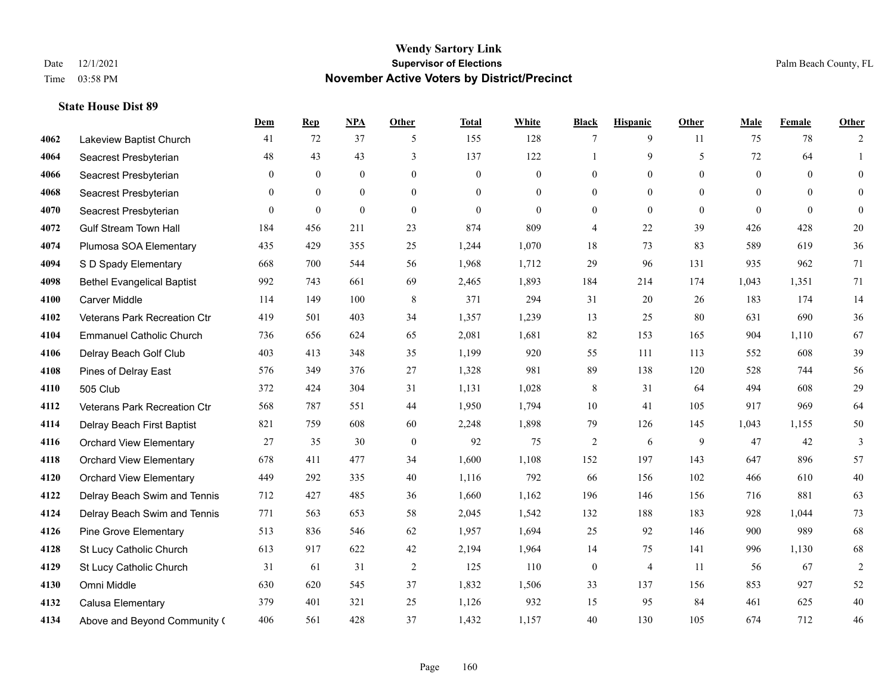|      |                                   | <b>Dem</b>     | <b>Rep</b>     | NPA          | <b>Other</b>   | <b>Total</b> | <b>White</b>     | <b>Black</b>     | <b>Hispanic</b> | <b>Other</b>   | <b>Male</b>    | Female   | <b>Other</b>   |
|------|-----------------------------------|----------------|----------------|--------------|----------------|--------------|------------------|------------------|-----------------|----------------|----------------|----------|----------------|
| 4062 | Lakeview Baptist Church           | 41             | 72             | 37           | 5              | 155          | 128              | 7                | 9               | 11             | 75             | 78       | 2              |
| 4064 | Seacrest Presbyterian             | 48             | 43             | 43           | 3              | 137          | 122              | 1                | 9               | 5              | 72             | 64       | 1              |
| 4066 | Seacrest Presbyterian             | $\overline{0}$ | $\mathbf{0}$   | $\mathbf{0}$ | $\overline{0}$ | $\mathbf{0}$ | $\boldsymbol{0}$ | $\mathbf{0}$     | $\overline{0}$  | $\Omega$       | $\overline{0}$ | $\theta$ | $\overline{0}$ |
| 4068 | Seacrest Presbyterian             | $\overline{0}$ | $\mathbf{0}$   | $\mathbf{0}$ | $\mathbf{0}$   | $\theta$     | $\boldsymbol{0}$ | $\boldsymbol{0}$ | $\mathbf{0}$    | $\overline{0}$ | $\mathbf{0}$   | $\theta$ | $\mathbf{0}$   |
| 4070 | Seacrest Presbyterian             | $\overline{0}$ | $\overline{0}$ | $\mathbf{0}$ | $\theta$       | $\theta$     | $\theta$         | $\mathbf{0}$     | $\overline{0}$  | $\Omega$       | $\theta$       | $\theta$ | $\overline{0}$ |
| 4072 | <b>Gulf Stream Town Hall</b>      | 184            | 456            | 211          | 23             | 874          | 809              | $\overline{4}$   | 22              | 39             | 426            | 428      | 20             |
| 4074 | Plumosa SOA Elementary            | 435            | 429            | 355          | 25             | 1,244        | 1,070            | 18               | 73              | 83             | 589            | 619      | 36             |
| 4094 | S D Spady Elementary              | 668            | 700            | 544          | 56             | 1,968        | 1,712            | 29               | 96              | 131            | 935            | 962      | 71             |
| 4098 | <b>Bethel Evangelical Baptist</b> | 992            | 743            | 661          | 69             | 2,465        | 1,893            | 184              | 214             | 174            | 1,043          | 1,351    | 71             |
| 4100 | <b>Carver Middle</b>              | 114            | 149            | 100          | 8              | 371          | 294              | 31               | 20              | 26             | 183            | 174      | 14             |
| 4102 | Veterans Park Recreation Ctr      | 419            | 501            | 403          | 34             | 1,357        | 1,239            | 13               | 25              | 80             | 631            | 690      | 36             |
| 4104 | <b>Emmanuel Catholic Church</b>   | 736            | 656            | 624          | 65             | 2,081        | 1,681            | 82               | 153             | 165            | 904            | 1.110    | 67             |
| 4106 | Delray Beach Golf Club            | 403            | 413            | 348          | 35             | 1,199        | 920              | 55               | 111             | 113            | 552            | 608      | 39             |
| 4108 | Pines of Delray East              | 576            | 349            | 376          | 27             | 1,328        | 981              | 89               | 138             | 120            | 528            | 744      | 56             |
| 4110 | 505 Club                          | 372            | 424            | 304          | 31             | 1,131        | 1,028            | 8                | 31              | 64             | 494            | 608      | 29             |
| 4112 | Veterans Park Recreation Ctr      | 568            | 787            | 551          | 44             | 1,950        | 1,794            | 10               | 41              | 105            | 917            | 969      | 64             |
| 4114 | Delray Beach First Baptist        | 821            | 759            | 608          | 60             | 2,248        | 1,898            | 79               | 126             | 145            | 1,043          | 1,155    | 50             |
| 4116 | <b>Orchard View Elementary</b>    | 27             | 35             | 30           | $\mathbf{0}$   | 92           | 75               | 2                | 6               | 9              | 47             | 42       | 3              |
| 4118 | <b>Orchard View Elementary</b>    | 678            | 411            | 477          | 34             | 1,600        | 1,108            | 152              | 197             | 143            | 647            | 896      | 57             |
| 4120 | <b>Orchard View Elementary</b>    | 449            | 292            | 335          | 40             | 1,116        | 792              | 66               | 156             | 102            | 466            | 610      | 40             |
| 4122 | Delray Beach Swim and Tennis      | 712            | 427            | 485          | 36             | 1,660        | 1,162            | 196              | 146             | 156            | 716            | 881      | 63             |
| 4124 | Delray Beach Swim and Tennis      | 771            | 563            | 653          | 58             | 2,045        | 1,542            | 132              | 188             | 183            | 928            | 1,044    | 73             |
| 4126 | <b>Pine Grove Elementary</b>      | 513            | 836            | 546          | 62             | 1,957        | 1,694            | 25               | 92              | 146            | 900            | 989      | 68             |
| 4128 | St Lucy Catholic Church           | 613            | 917            | 622          | 42             | 2,194        | 1,964            | 14               | 75              | 141            | 996            | 1,130    | 68             |
| 4129 | St Lucy Catholic Church           | 31             | 61             | 31           | 2              | 125          | 110              | $\boldsymbol{0}$ | $\overline{4}$  | 11             | 56             | 67       | $\overline{2}$ |
| 4130 | Omni Middle                       | 630            | 620            | 545          | 37             | 1,832        | 1,506            | 33               | 137             | 156            | 853            | 927      | 52             |
| 4132 | Calusa Elementary                 | 379            | 401            | 321          | 25             | 1,126        | 932              | 15               | 95              | 84             | 461            | 625      | $40\,$         |
| 4134 | Above and Beyond Community (      | 406            | 561            | 428          | 37             | 1,432        | 1,157            | 40               | 130             | 105            | 674            | 712      | 46             |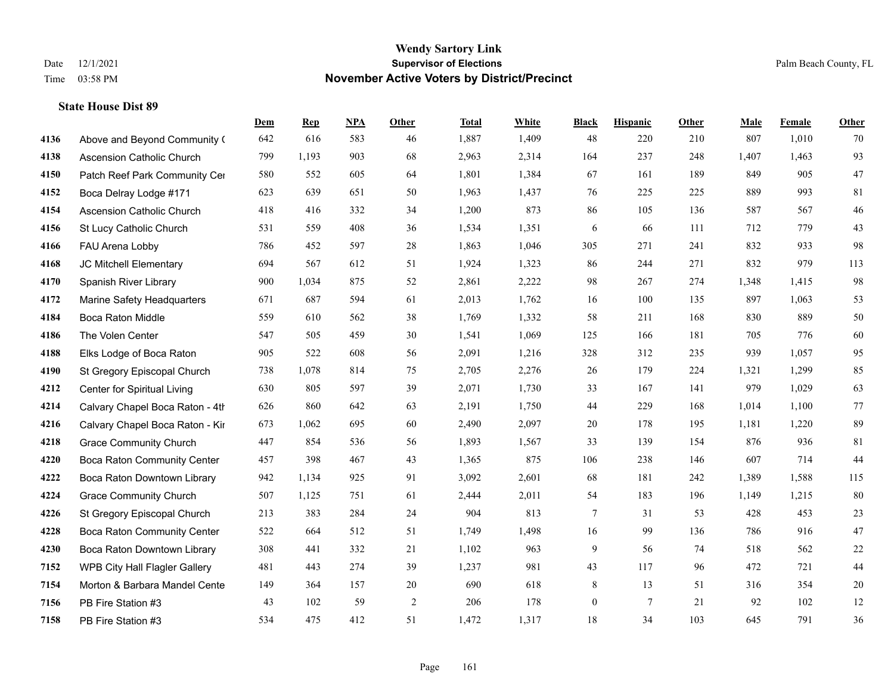|      |                                    | Dem | <b>Rep</b> | NPA | <b>Other</b>   | <b>Total</b> | <b>White</b> | <b>Black</b>     | <b>Hispanic</b> | <b>Other</b> | <b>Male</b> | <b>Female</b> | <b>Other</b> |
|------|------------------------------------|-----|------------|-----|----------------|--------------|--------------|------------------|-----------------|--------------|-------------|---------------|--------------|
| 4136 | Above and Beyond Community (       | 642 | 616        | 583 | 46             | 1,887        | 1,409        | 48               | 220             | 210          | 807         | 1,010         | 70           |
| 4138 | <b>Ascension Catholic Church</b>   | 799 | 1,193      | 903 | 68             | 2,963        | 2,314        | 164              | 237             | 248          | 1,407       | 1,463         | 93           |
| 4150 | Patch Reef Park Community Cer      | 580 | 552        | 605 | 64             | 1,801        | 1,384        | 67               | 161             | 189          | 849         | 905           | 47           |
| 4152 | Boca Delray Lodge #171             | 623 | 639        | 651 | 50             | 1,963        | 1,437        | 76               | 225             | 225          | 889         | 993           | 81           |
| 4154 | <b>Ascension Catholic Church</b>   | 418 | 416        | 332 | 34             | 1,200        | 873          | 86               | 105             | 136          | 587         | 567           | $46\,$       |
| 4156 | St Lucy Catholic Church            | 531 | 559        | 408 | 36             | 1,534        | 1,351        | 6                | 66              | 111          | 712         | 779           | 43           |
| 4166 | FAU Arena Lobby                    | 786 | 452        | 597 | 28             | 1,863        | 1,046        | 305              | 271             | 241          | 832         | 933           | 98           |
| 4168 | JC Mitchell Elementary             | 694 | 567        | 612 | 51             | 1,924        | 1,323        | 86               | 244             | 271          | 832         | 979           | 113          |
| 4170 | Spanish River Library              | 900 | 1,034      | 875 | 52             | 2,861        | 2,222        | 98               | 267             | 274          | 1,348       | 1,415         | 98           |
| 4172 | Marine Safety Headquarters         | 671 | 687        | 594 | 61             | 2,013        | 1,762        | 16               | 100             | 135          | 897         | 1,063         | 53           |
| 4184 | Boca Raton Middle                  | 559 | 610        | 562 | 38             | 1,769        | 1,332        | 58               | 211             | 168          | 830         | 889           | $50\,$       |
| 4186 | The Volen Center                   | 547 | 505        | 459 | 30             | 1,541        | 1,069        | 125              | 166             | 181          | 705         | 776           | 60           |
| 4188 | Elks Lodge of Boca Raton           | 905 | 522        | 608 | 56             | 2,091        | 1,216        | 328              | 312             | 235          | 939         | 1,057         | 95           |
| 4190 | St Gregory Episcopal Church        | 738 | 1,078      | 814 | 75             | 2,705        | 2,276        | 26               | 179             | 224          | 1,321       | 1,299         | 85           |
| 4212 | Center for Spiritual Living        | 630 | 805        | 597 | 39             | 2,071        | 1,730        | 33               | 167             | 141          | 979         | 1,029         | 63           |
| 4214 | Calvary Chapel Boca Raton - 4th    | 626 | 860        | 642 | 63             | 2,191        | 1,750        | 44               | 229             | 168          | 1,014       | 1,100         | 77           |
| 4216 | Calvary Chapel Boca Raton - Kir    | 673 | 1,062      | 695 | 60             | 2,490        | 2,097        | 20               | 178             | 195          | 1,181       | 1,220         | 89           |
| 4218 | <b>Grace Community Church</b>      | 447 | 854        | 536 | 56             | 1,893        | 1,567        | 33               | 139             | 154          | 876         | 936           | 81           |
| 4220 | <b>Boca Raton Community Center</b> | 457 | 398        | 467 | 43             | 1,365        | 875          | 106              | 238             | 146          | 607         | 714           | 44           |
| 4222 | Boca Raton Downtown Library        | 942 | 1,134      | 925 | 91             | 3,092        | 2,601        | 68               | 181             | 242          | 1,389       | 1,588         | 115          |
| 4224 | <b>Grace Community Church</b>      | 507 | 1,125      | 751 | 61             | 2,444        | 2,011        | 54               | 183             | 196          | 1,149       | 1,215         | 80           |
| 4226 | St Gregory Episcopal Church        | 213 | 383        | 284 | 24             | 904          | 813          | $\tau$           | 31              | 53           | 428         | 453           | 23           |
| 4228 | Boca Raton Community Center        | 522 | 664        | 512 | 51             | 1,749        | 1,498        | 16               | 99              | 136          | 786         | 916           | $47\,$       |
| 4230 | Boca Raton Downtown Library        | 308 | 441        | 332 | 21             | 1,102        | 963          | 9                | 56              | 74           | 518         | 562           | $22\,$       |
| 7152 | WPB City Hall Flagler Gallery      | 481 | 443        | 274 | 39             | 1,237        | 981          | 43               | 117             | 96           | 472         | 721           | $44\,$       |
| 7154 | Morton & Barbara Mandel Cente      | 149 | 364        | 157 | 20             | 690          | 618          | 8                | 13              | 51           | 316         | 354           | $20\,$       |
| 7156 | PB Fire Station #3                 | 43  | 102        | 59  | $\overline{2}$ | 206          | 178          | $\boldsymbol{0}$ | $\overline{7}$  | 21           | 92          | 102           | $12\,$       |
| 7158 | PB Fire Station #3                 | 534 | 475        | 412 | 51             | 1,472        | 1,317        | 18               | 34              | 103          | 645         | 791           | 36           |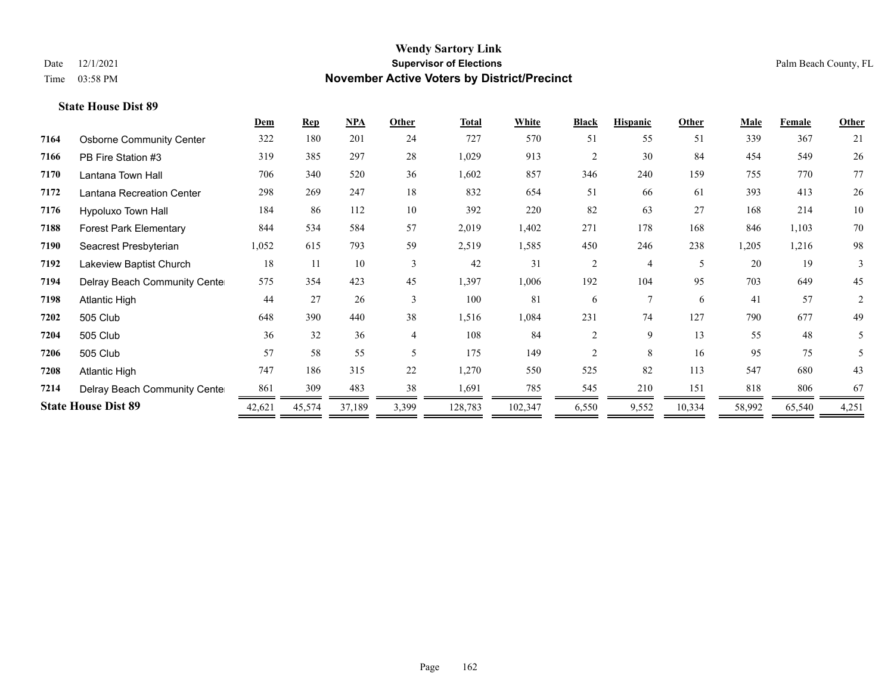|      |                                 | <u>Dem</u> | <b>Rep</b> | NPA    | Other | <b>Total</b> | <b>White</b> | <b>Black</b>   | <b>Hispanic</b> | Other  | <b>Male</b> | Female | <b>Other</b> |
|------|---------------------------------|------------|------------|--------|-------|--------------|--------------|----------------|-----------------|--------|-------------|--------|--------------|
| 7164 | <b>Osborne Community Center</b> | 322        | 180        | 201    | 24    | 727          | 570          | 51             | 55              | 51     | 339         | 367    | 21           |
| 7166 | PB Fire Station #3              | 319        | 385        | 297    | 28    | 1,029        | 913          | $\overline{c}$ | 30              | 84     | 454         | 549    | 26           |
| 7170 | Lantana Town Hall               | 706        | 340        | 520    | 36    | 1,602        | 857          | 346            | 240             | 159    | 755         | 770    | 77           |
| 7172 | Lantana Recreation Center       | 298        | 269        | 247    | 18    | 832          | 654          | 51             | 66              | 61     | 393         | 413    | 26           |
| 7176 | Hypoluxo Town Hall              | 184        | 86         | 112    | 10    | 392          | 220          | 82             | 63              | 27     | 168         | 214    | 10           |
| 7188 | <b>Forest Park Elementary</b>   | 844        | 534        | 584    | 57    | 2,019        | 1,402        | 271            | 178             | 168    | 846         | 1,103  | 70           |
| 7190 | Seacrest Presbyterian           | 1,052      | 615        | 793    | 59    | 2,519        | 1,585        | 450            | 246             | 238    | 1,205       | 1,216  | 98           |
| 7192 | Lakeview Baptist Church         | 18         | 11         | 10     | 3     | 42           | 31           | $\overline{2}$ | 4               | 5      | 20          | 19     | 3            |
| 7194 | Delray Beach Community Cente    | 575        | 354        | 423    | 45    | 1,397        | 1,006        | 192            | 104             | 95     | 703         | 649    | 45           |
| 7198 | <b>Atlantic High</b>            | 44         | 27         | 26     | 3     | 100          | 81           | 6              | 7               | 6      | 41          | 57     | 2            |
| 7202 | 505 Club                        | 648        | 390        | 440    | 38    | 1,516        | 1,084        | 231            | 74              | 127    | 790         | 677    | 49           |
| 7204 | 505 Club                        | 36         | 32         | 36     | 4     | 108          | 84           | $\overline{2}$ | 9               | 13     | 55          | 48     | 5            |
| 7206 | 505 Club                        | 57         | 58         | 55     | 5     | 175          | 149          | 2              | 8               | 16     | 95          | 75     | 5            |
| 7208 | <b>Atlantic High</b>            | 747        | 186        | 315    | 22    | 1,270        | 550          | 525            | 82              | 113    | 547         | 680    | 43           |
| 7214 | Delray Beach Community Cente    | 861        | 309        | 483    | 38    | 1,691        | 785          | 545            | 210             | 151    | 818         | 806    | 67           |
|      | <b>State House Dist 89</b>      | 42,621     | 45,574     | 37,189 | 3,399 | 128,783      | 102,347      | 6,550          | 9,552           | 10,334 | 58,992      | 65,540 | 4,251        |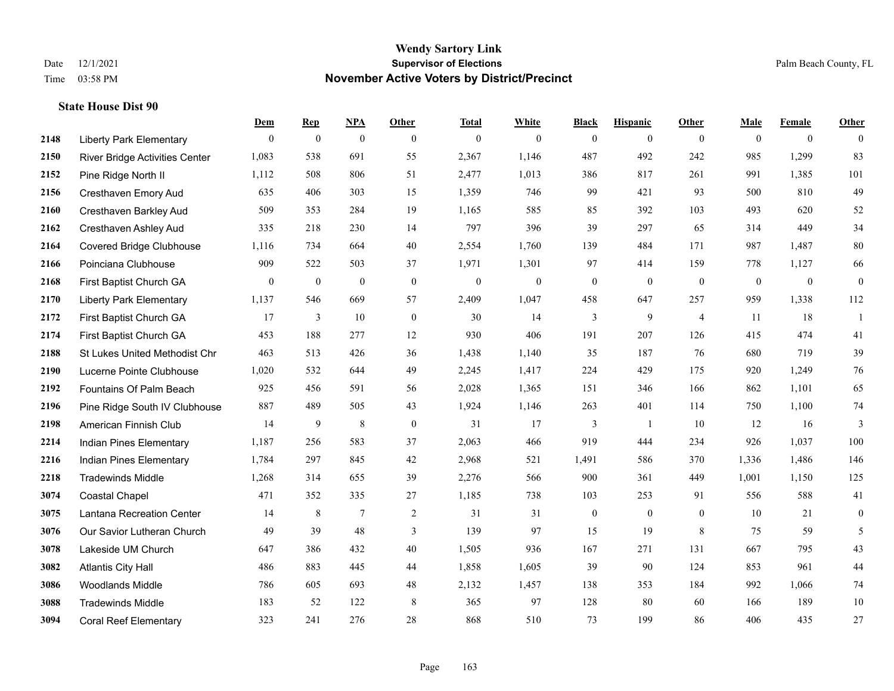|      |                                 | Dem          | <b>Rep</b>       | NPA              | <b>Other</b>     | <b>Total</b>     | <b>White</b>     | <b>Black</b>     | <b>Hispanic</b>  | <b>Other</b>   | <b>Male</b>  | <b>Female</b>  | <b>Other</b>     |
|------|---------------------------------|--------------|------------------|------------------|------------------|------------------|------------------|------------------|------------------|----------------|--------------|----------------|------------------|
| 2148 | <b>Liberty Park Elementary</b>  | $\mathbf{0}$ | $\boldsymbol{0}$ | $\boldsymbol{0}$ | $\overline{0}$   | $\mathbf{0}$     | $\overline{0}$   | $\mathbf{0}$     | $\mathbf{0}$     | $\overline{0}$ | $\mathbf{0}$ | $\overline{0}$ | $\theta$         |
| 2150 | River Bridge Activities Center  | 1,083        | 538              | 691              | 55               | 2,367            | 1,146            | 487              | 492              | 242            | 985          | 1,299          | 83               |
| 2152 | Pine Ridge North II             | 1,112        | 508              | 806              | 51               | 2,477            | 1,013            | 386              | 817              | 261            | 991          | 1,385          | 101              |
| 2156 | Cresthaven Emory Aud            | 635          | 406              | 303              | 15               | 1,359            | 746              | 99               | 421              | 93             | 500          | 810            | 49               |
| 2160 | <b>Cresthaven Barkley Aud</b>   | 509          | 353              | 284              | 19               | 1,165            | 585              | 85               | 392              | 103            | 493          | 620            | 52               |
| 2162 | Cresthaven Ashley Aud           | 335          | 218              | 230              | 14               | 797              | 396              | 39               | 297              | 65             | 314          | 449            | 34               |
| 2164 | <b>Covered Bridge Clubhouse</b> | 1,116        | 734              | 664              | 40               | 2,554            | 1,760            | 139              | 484              | 171            | 987          | 1,487          | $80\,$           |
| 2166 | Poinciana Clubhouse             | 909          | 522              | 503              | 37               | 1,971            | 1,301            | 97               | 414              | 159            | 778          | 1,127          | 66               |
| 2168 | First Baptist Church GA         | $\mathbf{0}$ | $\boldsymbol{0}$ | $\boldsymbol{0}$ | $\boldsymbol{0}$ | $\boldsymbol{0}$ | $\boldsymbol{0}$ | $\boldsymbol{0}$ | $\boldsymbol{0}$ | $\mathbf{0}$   | $\mathbf{0}$ | $\mathbf{0}$   | $\boldsymbol{0}$ |
| 2170 | <b>Liberty Park Elementary</b>  | 1,137        | 546              | 669              | 57               | 2,409            | 1,047            | 458              | 647              | 257            | 959          | 1,338          | 112              |
| 2172 | First Baptist Church GA         | 17           | 3                | 10               | $\mathbf{0}$     | 30               | 14               | 3                | 9                | $\overline{4}$ | 11           | 18             | $\mathbf{1}$     |
| 2174 | First Baptist Church GA         | 453          | 188              | 277              | 12               | 930              | 406              | 191              | 207              | 126            | 415          | 474            | 41               |
| 2188 | St Lukes United Methodist Chr   | 463          | 513              | 426              | 36               | 1,438            | 1,140            | 35               | 187              | 76             | 680          | 719            | 39               |
| 2190 | Lucerne Pointe Clubhouse        | 1,020        | 532              | 644              | 49               | 2,245            | 1,417            | 224              | 429              | 175            | 920          | 1,249          | 76               |
| 2192 | Fountains Of Palm Beach         | 925          | 456              | 591              | 56               | 2,028            | 1,365            | 151              | 346              | 166            | 862          | 1,101          | 65               |
| 2196 | Pine Ridge South IV Clubhouse   | 887          | 489              | 505              | 43               | 1,924            | 1,146            | 263              | 401              | 114            | 750          | 1,100          | 74               |
| 2198 | American Finnish Club           | 14           | 9                | 8                | $\boldsymbol{0}$ | 31               | 17               | 3                | 1                | 10             | 12           | 16             | 3                |
| 2214 | Indian Pines Elementary         | 1,187        | 256              | 583              | 37               | 2,063            | 466              | 919              | 444              | 234            | 926          | 1,037          | 100              |
| 2216 | Indian Pines Elementary         | 1,784        | 297              | 845              | 42               | 2,968            | 521              | 1,491            | 586              | 370            | 1,336        | 1,486          | 146              |
| 2218 | <b>Tradewinds Middle</b>        | 1,268        | 314              | 655              | 39               | 2,276            | 566              | 900              | 361              | 449            | 1,001        | 1,150          | 125              |
| 3074 | <b>Coastal Chapel</b>           | 471          | 352              | 335              | 27               | 1,185            | 738              | 103              | 253              | 91             | 556          | 588            | 41               |
| 3075 | Lantana Recreation Center       | 14           | $\,8\,$          | $\tau$           | 2                | 31               | 31               | $\boldsymbol{0}$ | $\mathbf{0}$     | $\mathbf{0}$   | 10           | 21             | $\boldsymbol{0}$ |
| 3076 | Our Savior Lutheran Church      | 49           | 39               | 48               | 3                | 139              | 97               | 15               | 19               | 8              | 75           | 59             | 5                |
| 3078 | Lakeside UM Church              | 647          | 386              | 432              | 40               | 1,505            | 936              | 167              | 271              | 131            | 667          | 795            | 43               |
| 3082 | <b>Atlantis City Hall</b>       | 486          | 883              | 445              | 44               | 1,858            | 1,605            | 39               | 90               | 124            | 853          | 961            | $44\,$           |
| 3086 | <b>Woodlands Middle</b>         | 786          | 605              | 693              | 48               | 2,132            | 1,457            | 138              | 353              | 184            | 992          | 1,066          | 74               |
| 3088 | <b>Tradewinds Middle</b>        | 183          | 52               | 122              | 8                | 365              | 97               | 128              | 80               | 60             | 166          | 189            | $10\,$           |
| 3094 | <b>Coral Reef Elementary</b>    | 323          | 241              | 276              | 28               | 868              | 510              | 73               | 199              | 86             | 406          | 435            | 27               |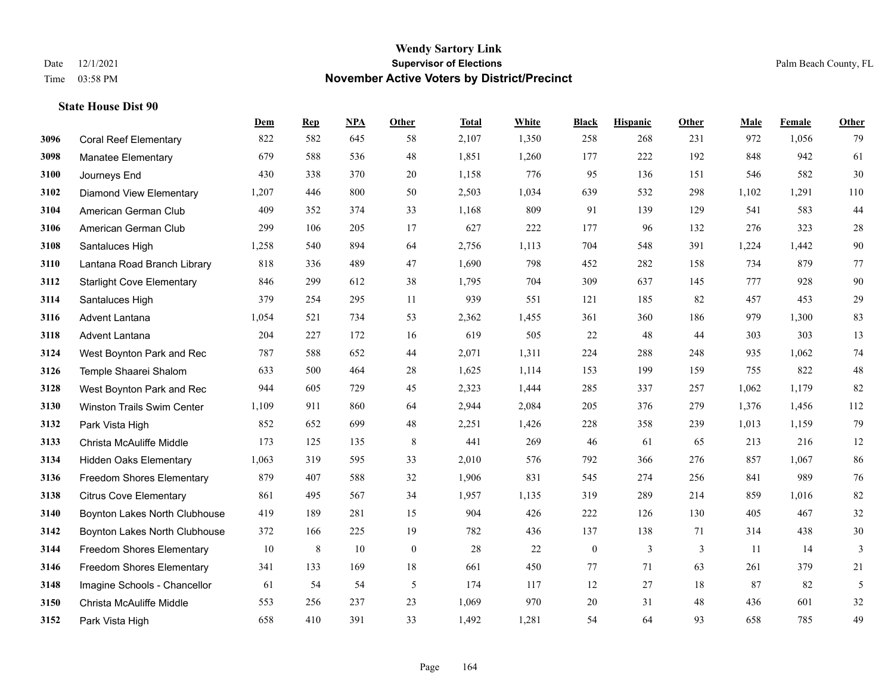|      |                                   | Dem   | <b>Rep</b> | NPA    | <b>Other</b> | <b>Total</b> | White | <b>Black</b>     | <b>Hispanic</b> | Other | <b>Male</b> | Female | <b>Other</b> |
|------|-----------------------------------|-------|------------|--------|--------------|--------------|-------|------------------|-----------------|-------|-------------|--------|--------------|
| 3096 | <b>Coral Reef Elementary</b>      | 822   | 582        | 645    | 58           | 2,107        | 1,350 | 258              | 268             | 231   | 972         | 1,056  | 79           |
| 3098 | <b>Manatee Elementary</b>         | 679   | 588        | 536    | 48           | 1,851        | 1,260 | 177              | 222             | 192   | 848         | 942    | 61           |
| 3100 | Journeys End                      | 430   | 338        | 370    | 20           | 1,158        | 776   | 95               | 136             | 151   | 546         | 582    | $30\,$       |
| 3102 | <b>Diamond View Elementary</b>    | 1,207 | 446        | 800    | 50           | 2,503        | 1,034 | 639              | 532             | 298   | 1,102       | 1,291  | 110          |
| 3104 | American German Club              | 409   | 352        | 374    | 33           | 1,168        | 809   | 91               | 139             | 129   | 541         | 583    | $44\,$       |
| 3106 | American German Club              | 299   | 106        | 205    | 17           | 627          | 222   | 177              | 96              | 132   | 276         | 323    | $28\,$       |
| 3108 | Santaluces High                   | 1,258 | 540        | 894    | 64           | 2,756        | 1,113 | 704              | 548             | 391   | 1,224       | 1,442  | $90\,$       |
| 3110 | Lantana Road Branch Library       | 818   | 336        | 489    | 47           | 1,690        | 798   | 452              | 282             | 158   | 734         | 879    | 77           |
| 3112 | <b>Starlight Cove Elementary</b>  | 846   | 299        | 612    | 38           | 1,795        | 704   | 309              | 637             | 145   | 777         | 928    | 90           |
| 3114 | Santaluces High                   | 379   | 254        | 295    | 11           | 939          | 551   | 121              | 185             | 82    | 457         | 453    | $29\,$       |
| 3116 | Advent Lantana                    | 1,054 | 521        | 734    | 53           | 2,362        | 1,455 | 361              | 360             | 186   | 979         | 1,300  | 83           |
| 3118 | Advent Lantana                    | 204   | 227        | 172    | 16           | 619          | 505   | 22               | 48              | 44    | 303         | 303    | 13           |
| 3124 | West Boynton Park and Rec         | 787   | 588        | 652    | 44           | 2,071        | 1,311 | 224              | 288             | 248   | 935         | 1,062  | $74\,$       |
| 3126 | Temple Shaarei Shalom             | 633   | 500        | 464    | 28           | 1,625        | 1,114 | 153              | 199             | 159   | 755         | 822    | $48\,$       |
| 3128 | West Boynton Park and Rec         | 944   | 605        | 729    | 45           | 2,323        | 1,444 | 285              | 337             | 257   | 1,062       | 1,179  | 82           |
| 3130 | <b>Winston Trails Swim Center</b> | 1,109 | 911        | 860    | 64           | 2,944        | 2,084 | 205              | 376             | 279   | 1,376       | 1,456  | 112          |
| 3132 | Park Vista High                   | 852   | 652        | 699    | 48           | 2,251        | 1,426 | 228              | 358             | 239   | 1,013       | 1,159  | 79           |
| 3133 | Christa McAuliffe Middle          | 173   | 125        | 135    | 8            | 441          | 269   | 46               | 61              | 65    | 213         | 216    | 12           |
| 3134 | <b>Hidden Oaks Elementary</b>     | 1,063 | 319        | 595    | 33           | 2,010        | 576   | 792              | 366             | 276   | 857         | 1,067  | 86           |
| 3136 | <b>Freedom Shores Elementary</b>  | 879   | 407        | 588    | 32           | 1,906        | 831   | 545              | 274             | 256   | 841         | 989    | 76           |
| 3138 | <b>Citrus Cove Elementary</b>     | 861   | 495        | 567    | 34           | 1,957        | 1,135 | 319              | 289             | 214   | 859         | 1.016  | 82           |
| 3140 | Boynton Lakes North Clubhouse     | 419   | 189        | 281    | 15           | 904          | 426   | 222              | 126             | 130   | 405         | 467    | $32\,$       |
| 3142 | Boynton Lakes North Clubhouse     | 372   | 166        | 225    | 19           | 782          | 436   | 137              | 138             | 71    | 314         | 438    | $30\,$       |
| 3144 | Freedom Shores Elementary         | 10    | 8          | $10\,$ | $\mathbf{0}$ | 28           | 22    | $\boldsymbol{0}$ | 3               | 3     | 11          | 14     | 3            |
| 3146 | <b>Freedom Shores Elementary</b>  | 341   | 133        | 169    | 18           | 661          | 450   | 77               | 71              | 63    | 261         | 379    | 21           |
| 3148 | Imagine Schools - Chancellor      | 61    | 54         | 54     | 5            | 174          | 117   | 12               | 27              | 18    | 87          | 82     | 5            |
| 3150 | Christa McAuliffe Middle          | 553   | 256        | 237    | 23           | 1,069        | 970   | 20               | 31              | 48    | 436         | 601    | $32\,$       |
| 3152 | Park Vista High                   | 658   | 410        | 391    | 33           | 1,492        | 1,281 | 54               | 64              | 93    | 658         | 785    | 49           |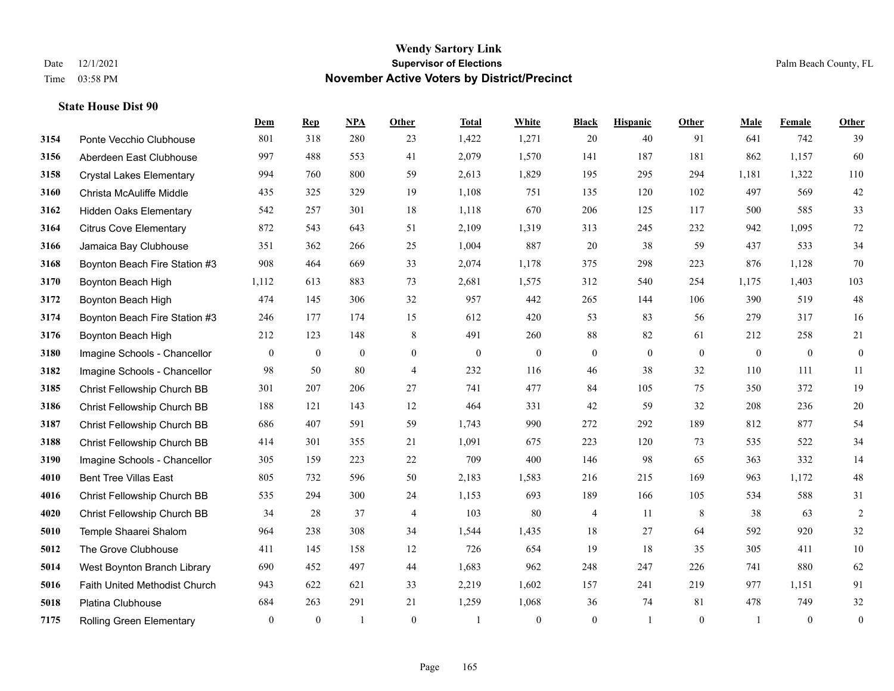|      |                                 | Dem            | <b>Rep</b>       | NPA            | <b>Other</b>   | <b>Total</b> | White          | <b>Black</b>     | <b>Hispanic</b> | <b>Other</b> | <b>Male</b>  | Female       | <b>Other</b>     |
|------|---------------------------------|----------------|------------------|----------------|----------------|--------------|----------------|------------------|-----------------|--------------|--------------|--------------|------------------|
| 3154 | Ponte Vecchio Clubhouse         | 801            | 318              | 280            | 23             | 1,422        | 1,271          | 20               | 40              | 91           | 641          | 742          | 39               |
| 3156 | Aberdeen East Clubhouse         | 997            | 488              | 553            | 41             | 2,079        | 1,570          | 141              | 187             | 181          | 862          | 1,157        | 60               |
| 3158 | <b>Crystal Lakes Elementary</b> | 994            | 760              | 800            | 59             | 2,613        | 1,829          | 195              | 295             | 294          | 1,181        | 1,322        | 110              |
| 3160 | Christa McAuliffe Middle        | 435            | 325              | 329            | 19             | 1,108        | 751            | 135              | 120             | 102          | 497          | 569          | $42\,$           |
| 3162 | <b>Hidden Oaks Elementary</b>   | 542            | 257              | 301            | 18             | 1,118        | 670            | 206              | 125             | 117          | 500          | 585          | 33               |
| 3164 | <b>Citrus Cove Elementary</b>   | 872            | 543              | 643            | 51             | 2,109        | 1,319          | 313              | 245             | 232          | 942          | 1,095        | $72\,$           |
| 3166 | Jamaica Bay Clubhouse           | 351            | 362              | 266            | 25             | 1,004        | 887            | 20               | 38              | 59           | 437          | 533          | 34               |
| 3168 | Boynton Beach Fire Station #3   | 908            | 464              | 669            | 33             | 2,074        | 1,178          | 375              | 298             | 223          | 876          | 1,128        | 70               |
| 3170 | Boynton Beach High              | 1,112          | 613              | 883            | 73             | 2,681        | 1,575          | 312              | 540             | 254          | 1,175        | 1,403        | 103              |
| 3172 | Boynton Beach High              | 474            | 145              | 306            | 32             | 957          | 442            | 265              | 144             | 106          | 390          | 519          | $48\,$           |
| 3174 | Boynton Beach Fire Station #3   | 246            | 177              | 174            | 15             | 612          | 420            | 53               | 83              | 56           | 279          | 317          | 16               |
| 3176 | Boynton Beach High              | 212            | 123              | 148            | 8              | 491          | 260            | 88               | 82              | 61           | 212          | 258          | 21               |
| 3180 | Imagine Schools - Chancellor    | $\overline{0}$ | $\boldsymbol{0}$ | $\overline{0}$ | $\overline{0}$ | $\mathbf{0}$ | $\overline{0}$ | $\boldsymbol{0}$ | $\mathbf{0}$    | $\theta$     | $\mathbf{0}$ | $\mathbf{0}$ | $\boldsymbol{0}$ |
| 3182 | Imagine Schools - Chancellor    | 98             | 50               | 80             | $\overline{4}$ | 232          | 116            | 46               | 38              | 32           | 110          | 111          | 11               |
| 3185 | Christ Fellowship Church BB     | 301            | 207              | 206            | 27             | 741          | 477            | 84               | 105             | 75           | 350          | 372          | 19               |
| 3186 | Christ Fellowship Church BB     | 188            | 121              | 143            | 12             | 464          | 331            | 42               | 59              | 32           | 208          | 236          | $20\,$           |
| 3187 | Christ Fellowship Church BB     | 686            | 407              | 591            | 59             | 1,743        | 990            | 272              | 292             | 189          | 812          | 877          | 54               |
| 3188 | Christ Fellowship Church BB     | 414            | 301              | 355            | 21             | 1,091        | 675            | 223              | 120             | 73           | 535          | 522          | 34               |
| 3190 | Imagine Schools - Chancellor    | 305            | 159              | 223            | 22             | 709          | 400            | 146              | 98              | 65           | 363          | 332          | 14               |
| 4010 | <b>Bent Tree Villas East</b>    | 805            | 732              | 596            | 50             | 2,183        | 1,583          | 216              | 215             | 169          | 963          | 1,172        | $48\,$           |
| 4016 | Christ Fellowship Church BB     | 535            | 294              | 300            | 24             | 1,153        | 693            | 189              | 166             | 105          | 534          | 588          | 31               |
| 4020 | Christ Fellowship Church BB     | 34             | 28               | 37             | 4              | 103          | 80             | 4                | 11              | 8            | 38           | 63           | $\sqrt{2}$       |
| 5010 | Temple Shaarei Shalom           | 964            | 238              | 308            | 34             | 1,544        | 1,435          | 18               | 27              | 64           | 592          | 920          | 32               |
| 5012 | The Grove Clubhouse             | 411            | 145              | 158            | 12             | 726          | 654            | 19               | 18              | 35           | 305          | 411          | $10\,$           |
| 5014 | West Boynton Branch Library     | 690            | 452              | 497            | 44             | 1,683        | 962            | 248              | 247             | 226          | 741          | 880          | 62               |
| 5016 | Faith United Methodist Church   | 943            | 622              | 621            | 33             | 2,219        | 1,602          | 157              | 241             | 219          | 977          | 1,151        | 91               |
| 5018 | Platina Clubhouse               | 684            | 263              | 291            | 21             | 1,259        | 1,068          | 36               | 74              | 81           | 478          | 749          | $32\,$           |
| 7175 | <b>Rolling Green Elementary</b> | $\mathbf{0}$   | $\mathbf{0}$     | $\overline{1}$ | $\theta$       |              | $\overline{0}$ | $\boldsymbol{0}$ | $\mathbf{1}$    | $\theta$     |              | $\mathbf{0}$ | $\boldsymbol{0}$ |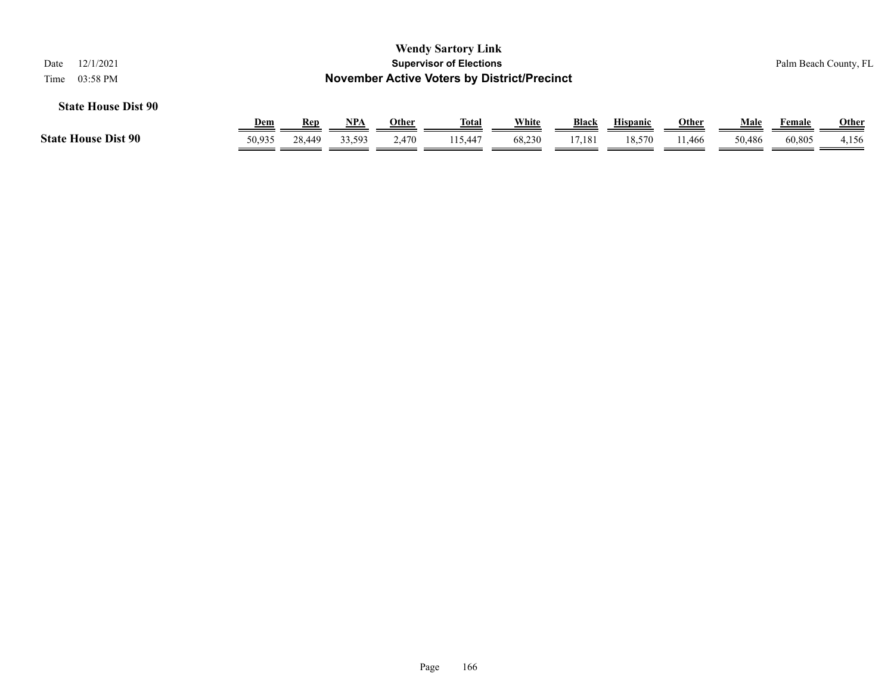| 12/1/2021<br>Date          |                                                    |        |        |       | <b>Wendy Sartory Link</b><br><b>Supervisor of Elections</b> |        |              |                 |              |        |        | Palm Beach County, FL |  |
|----------------------------|----------------------------------------------------|--------|--------|-------|-------------------------------------------------------------|--------|--------------|-----------------|--------------|--------|--------|-----------------------|--|
| 03:58 PM<br>Time           | <b>November Active Voters by District/Precinct</b> |        |        |       |                                                             |        |              |                 |              |        |        |                       |  |
| <b>State House Dist 90</b> |                                                    |        |        |       |                                                             |        |              |                 |              |        |        |                       |  |
|                            | <u>Dem</u>                                         | Rep    | NPA    | Other | Total                                                       | White  | <b>Black</b> | <b>Hispanic</b> | <u>Other</u> | Male   | Female | <b>Other</b>          |  |
| <b>State House Dist 90</b> | 50,935                                             | 28,449 | 33,593 | 2.470 | 115,447                                                     | 68,230 | 17,181       | 18.570          | 11.466       | 50.486 | 60.805 | 4,156                 |  |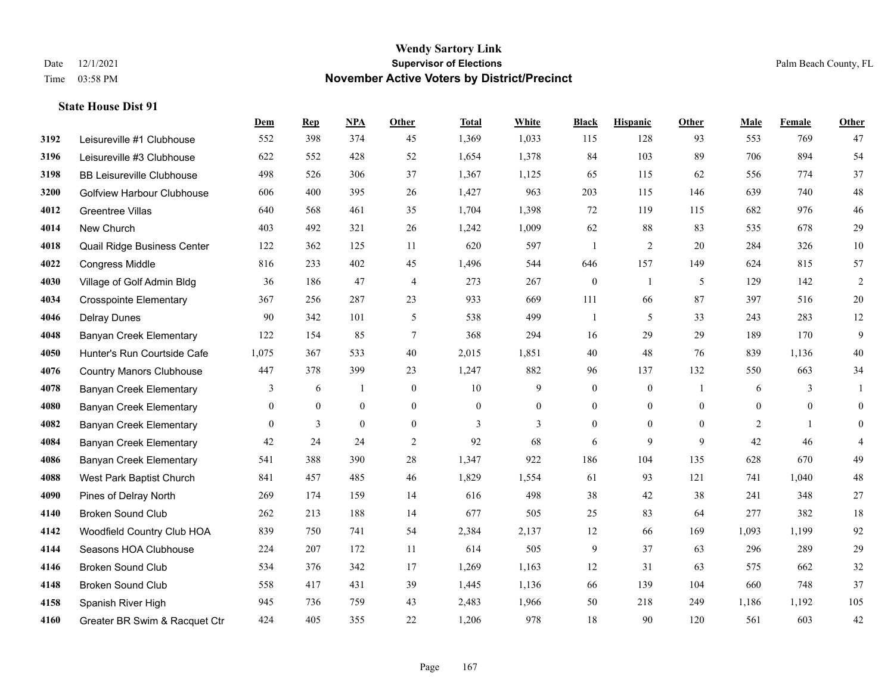|      |                                   | Dem            | <b>Rep</b>   | NPA          | <b>Other</b>   | <b>Total</b> | White        | <b>Black</b>     | <b>Hispanic</b> | <b>Other</b>   | <b>Male</b>    | Female       | <b>Other</b>   |
|------|-----------------------------------|----------------|--------------|--------------|----------------|--------------|--------------|------------------|-----------------|----------------|----------------|--------------|----------------|
| 3192 | Leisureville #1 Clubhouse         | 552            | 398          | 374          | 45             | 1,369        | 1,033        | 115              | 128             | 93             | 553            | 769          | 47             |
| 3196 | Leisureville #3 Clubhouse         | 622            | 552          | 428          | 52             | 1,654        | 1,378        | 84               | 103             | 89             | 706            | 894          | 54             |
| 3198 | <b>BB Leisureville Clubhouse</b>  | 498            | 526          | 306          | 37             | 1,367        | 1,125        | 65               | 115             | 62             | 556            | 774          | 37             |
| 3200 | <b>Golfview Harbour Clubhouse</b> | 606            | 400          | 395          | 26             | 1,427        | 963          | 203              | 115             | 146            | 639            | 740          | $48\,$         |
| 4012 | <b>Greentree Villas</b>           | 640            | 568          | 461          | 35             | 1,704        | 1,398        | 72               | 119             | 115            | 682            | 976          | $46\,$         |
| 4014 | New Church                        | 403            | 492          | 321          | 26             | 1,242        | 1,009        | 62               | 88              | 83             | 535            | 678          | $29\,$         |
| 4018 | Quail Ridge Business Center       | 122            | 362          | 125          | 11             | 620          | 597          | $\overline{1}$   | $\overline{2}$  | 20             | 284            | 326          | $10\,$         |
| 4022 | <b>Congress Middle</b>            | 816            | 233          | 402          | 45             | 1,496        | 544          | 646              | 157             | 149            | 624            | 815          | 57             |
| 4030 | Village of Golf Admin Bldg        | 36             | 186          | 47           | $\overline{4}$ | 273          | 267          | $\boldsymbol{0}$ | 1               | 5              | 129            | 142          | $\overline{c}$ |
| 4034 | <b>Crosspointe Elementary</b>     | 367            | 256          | 287          | 23             | 933          | 669          | 111              | 66              | 87             | 397            | 516          | $20\,$         |
| 4046 | <b>Delray Dunes</b>               | 90             | 342          | 101          | 5              | 538          | 499          | $\mathbf{1}$     | 5               | 33             | 243            | 283          | $12\,$         |
| 4048 | Banyan Creek Elementary           | 122            | 154          | 85           | $\tau$         | 368          | 294          | 16               | 29              | 29             | 189            | 170          | 9              |
| 4050 | Hunter's Run Courtside Cafe       | 1,075          | 367          | 533          | 40             | 2,015        | 1,851        | 40               | 48              | 76             | 839            | 1,136        | $40\,$         |
| 4076 | <b>Country Manors Clubhouse</b>   | 447            | 378          | 399          | 23             | 1,247        | 882          | 96               | 137             | 132            | 550            | 663          | 34             |
| 4078 | <b>Banyan Creek Elementary</b>    | 3              | 6            | -1           | $\mathbf{0}$   | 10           | 9            | $\boldsymbol{0}$ | $\mathbf{0}$    |                | 6              | 3            | 1              |
| 4080 | <b>Banyan Creek Elementary</b>    | $\overline{0}$ | $\mathbf{0}$ | $\mathbf{0}$ | $\theta$       | $\mathbf{0}$ | $\mathbf{0}$ | $\mathbf{0}$     | $\mathbf{0}$    | $\theta$       | $\mathbf{0}$   | $\theta$     | $\mathbf{0}$   |
| 4082 | <b>Banyan Creek Elementary</b>    | $\mathbf{0}$   | 3            | $\mathbf{0}$ | $\mathbf{0}$   | 3            | 3            | $\boldsymbol{0}$ | $\mathbf{0}$    | $\overline{0}$ | $\overline{2}$ | $\mathbf{1}$ | $\overline{0}$ |
| 4084 | <b>Banyan Creek Elementary</b>    | 42             | 24           | 24           | 2              | 92           | 68           | 6                | 9               | 9              | 42             | 46           | 4              |
| 4086 | <b>Banyan Creek Elementary</b>    | 541            | 388          | 390          | 28             | 1,347        | 922          | 186              | 104             | 135            | 628            | 670          | 49             |
| 4088 | West Park Baptist Church          | 841            | 457          | 485          | 46             | 1,829        | 1,554        | 61               | 93              | 121            | 741            | 1,040        | $48\,$         |
| 4090 | Pines of Delray North             | 269            | 174          | 159          | 14             | 616          | 498          | 38               | 42              | 38             | 241            | 348          | 27             |
| 4140 | <b>Broken Sound Club</b>          | 262            | 213          | 188          | 14             | 677          | 505          | 25               | 83              | 64             | 277            | 382          | 18             |
| 4142 | Woodfield Country Club HOA        | 839            | 750          | 741          | 54             | 2,384        | 2,137        | 12               | 66              | 169            | 1,093          | 1,199        | 92             |
| 4144 | Seasons HOA Clubhouse             | 224            | 207          | 172          | 11             | 614          | 505          | 9                | 37              | 63             | 296            | 289          | 29             |
| 4146 | <b>Broken Sound Club</b>          | 534            | 376          | 342          | 17             | 1,269        | 1,163        | 12               | 31              | 63             | 575            | 662          | 32             |
| 4148 | <b>Broken Sound Club</b>          | 558            | 417          | 431          | 39             | 1,445        | 1,136        | 66               | 139             | 104            | 660            | 748          | 37             |
| 4158 | Spanish River High                | 945            | 736          | 759          | 43             | 2,483        | 1,966        | 50               | 218             | 249            | 1,186          | 1,192        | 105            |
| 4160 | Greater BR Swim & Racquet Ctr     | 424            | 405          | 355          | 22             | 1,206        | 978          | 18               | 90              | 120            | 561            | 603          | 42             |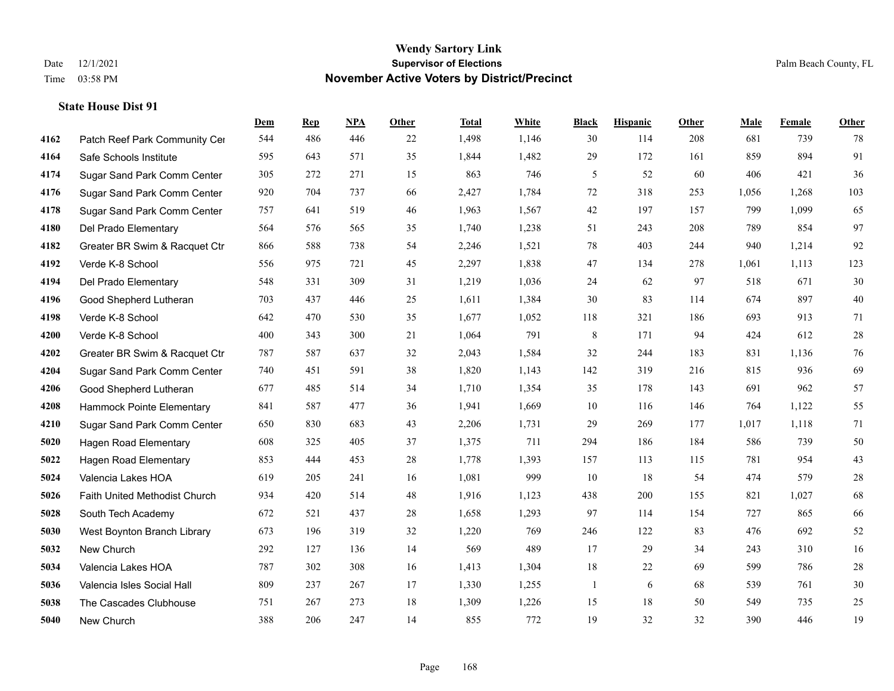|      |                               | Dem | <b>Rep</b> | NPA | <b>Other</b> | <b>Total</b> | White | <b>Black</b> | <b>Hispanic</b> | Other | <b>Male</b> | Female | <b>Other</b> |
|------|-------------------------------|-----|------------|-----|--------------|--------------|-------|--------------|-----------------|-------|-------------|--------|--------------|
| 4162 | Patch Reef Park Community Cer | 544 | 486        | 446 | 22           | 1,498        | 1,146 | 30           | 114             | 208   | 681         | 739    | 78           |
| 4164 | Safe Schools Institute        | 595 | 643        | 571 | 35           | 1,844        | 1,482 | 29           | 172             | 161   | 859         | 894    | 91           |
| 4174 | Sugar Sand Park Comm Center   | 305 | 272        | 271 | 15           | 863          | 746   | 5            | 52              | 60    | 406         | 421    | 36           |
| 4176 | Sugar Sand Park Comm Center   | 920 | 704        | 737 | 66           | 2,427        | 1,784 | 72           | 318             | 253   | 1,056       | 1,268  | 103          |
| 4178 | Sugar Sand Park Comm Center   | 757 | 641        | 519 | 46           | 1,963        | 1,567 | $42\,$       | 197             | 157   | 799         | 1,099  | 65           |
| 4180 | Del Prado Elementary          | 564 | 576        | 565 | 35           | 1,740        | 1,238 | 51           | 243             | 208   | 789         | 854    | 97           |
| 4182 | Greater BR Swim & Racquet Ctr | 866 | 588        | 738 | 54           | 2,246        | 1,521 | 78           | 403             | 244   | 940         | 1,214  | 92           |
| 4192 | Verde K-8 School              | 556 | 975        | 721 | 45           | 2,297        | 1,838 | 47           | 134             | 278   | 1,061       | 1,113  | 123          |
| 4194 | Del Prado Elementary          | 548 | 331        | 309 | 31           | 1,219        | 1,036 | 24           | 62              | 97    | 518         | 671    | $30\,$       |
| 4196 | Good Shepherd Lutheran        | 703 | 437        | 446 | 25           | 1,611        | 1,384 | 30           | 83              | 114   | 674         | 897    | $40\,$       |
| 4198 | Verde K-8 School              | 642 | 470        | 530 | 35           | 1,677        | 1,052 | 118          | 321             | 186   | 693         | 913    | 71           |
| 4200 | Verde K-8 School              | 400 | 343        | 300 | 21           | 1,064        | 791   | 8            | 171             | 94    | 424         | 612    | $28\,$       |
| 4202 | Greater BR Swim & Racquet Ctr | 787 | 587        | 637 | 32           | 2,043        | 1,584 | 32           | 244             | 183   | 831         | 1,136  | $76\,$       |
| 4204 | Sugar Sand Park Comm Center   | 740 | 451        | 591 | 38           | 1,820        | 1,143 | 142          | 319             | 216   | 815         | 936    | 69           |
| 4206 | Good Shepherd Lutheran        | 677 | 485        | 514 | 34           | 1,710        | 1,354 | 35           | 178             | 143   | 691         | 962    | 57           |
| 4208 | Hammock Pointe Elementary     | 841 | 587        | 477 | 36           | 1,941        | 1,669 | 10           | 116             | 146   | 764         | 1,122  | 55           |
| 4210 | Sugar Sand Park Comm Center   | 650 | 830        | 683 | 43           | 2,206        | 1,731 | 29           | 269             | 177   | 1,017       | 1,118  | 71           |
| 5020 | <b>Hagen Road Elementary</b>  | 608 | 325        | 405 | 37           | 1,375        | 711   | 294          | 186             | 184   | 586         | 739    | $50\,$       |
| 5022 | Hagen Road Elementary         | 853 | 444        | 453 | 28           | 1,778        | 1,393 | 157          | 113             | 115   | 781         | 954    | 43           |
| 5024 | Valencia Lakes HOA            | 619 | 205        | 241 | 16           | 1,081        | 999   | 10           | 18              | 54    | 474         | 579    | $28\,$       |
| 5026 | Faith United Methodist Church | 934 | 420        | 514 | 48           | 1,916        | 1,123 | 438          | 200             | 155   | 821         | 1,027  | 68           |
| 5028 | South Tech Academy            | 672 | 521        | 437 | 28           | 1,658        | 1,293 | 97           | 114             | 154   | 727         | 865    | 66           |
| 5030 | West Boynton Branch Library   | 673 | 196        | 319 | 32           | 1,220        | 769   | 246          | 122             | 83    | 476         | 692    | 52           |
| 5032 | New Church                    | 292 | 127        | 136 | 14           | 569          | 489   | 17           | 29              | 34    | 243         | 310    | 16           |
| 5034 | Valencia Lakes HOA            | 787 | 302        | 308 | 16           | 1,413        | 1,304 | 18           | 22              | 69    | 599         | 786    | $28\,$       |
| 5036 | Valencia Isles Social Hall    | 809 | 237        | 267 | 17           | 1,330        | 1,255 | $\mathbf{1}$ | 6               | 68    | 539         | 761    | $30\,$       |
| 5038 | The Cascades Clubhouse        | 751 | 267        | 273 | 18           | 1,309        | 1,226 | 15           | 18              | 50    | 549         | 735    | 25           |
| 5040 | New Church                    | 388 | 206        | 247 | 14           | 855          | 772   | 19           | 32              | 32    | 390         | 446    | 19           |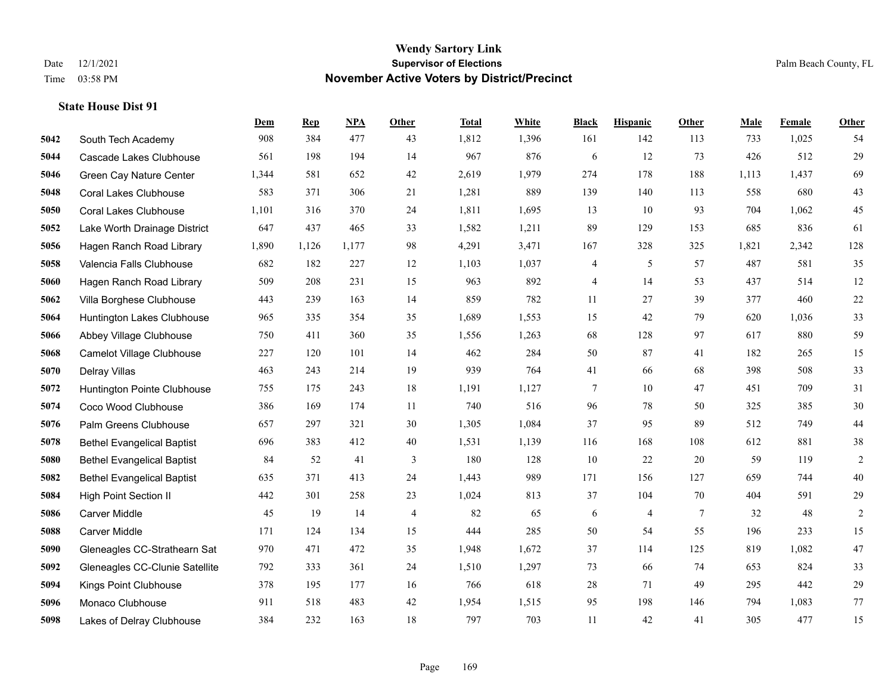|      |                                   | Dem   | <b>Rep</b> | NPA   | <b>Other</b>   | <b>Total</b> | White | <b>Black</b> | <b>Hispanic</b> | <b>Other</b>   | <b>Male</b> | Female | <b>Other</b> |
|------|-----------------------------------|-------|------------|-------|----------------|--------------|-------|--------------|-----------------|----------------|-------------|--------|--------------|
| 5042 | South Tech Academy                | 908   | 384        | 477   | 43             | 1,812        | 1,396 | 161          | 142             | 113            | 733         | 1,025  | 54           |
| 5044 | Cascade Lakes Clubhouse           | 561   | 198        | 194   | 14             | 967          | 876   | 6            | 12              | 73             | 426         | 512    | 29           |
| 5046 | Green Cay Nature Center           | 1,344 | 581        | 652   | 42             | 2,619        | 1,979 | 274          | 178             | 188            | 1,113       | 1,437  | 69           |
| 5048 | <b>Coral Lakes Clubhouse</b>      | 583   | 371        | 306   | 21             | 1,281        | 889   | 139          | 140             | 113            | 558         | 680    | 43           |
| 5050 | <b>Coral Lakes Clubhouse</b>      | 1,101 | 316        | 370   | 24             | 1,811        | 1,695 | 13           | 10              | 93             | 704         | 1.062  | 45           |
| 5052 | Lake Worth Drainage District      | 647   | 437        | 465   | 33             | 1,582        | 1,211 | 89           | 129             | 153            | 685         | 836    | 61           |
| 5056 | Hagen Ranch Road Library          | 1,890 | 1,126      | 1,177 | 98             | 4,291        | 3,471 | 167          | 328             | 325            | 1,821       | 2,342  | 128          |
| 5058 | Valencia Falls Clubhouse          | 682   | 182        | 227   | 12             | 1,103        | 1,037 | 4            | 5               | 57             | 487         | 581    | 35           |
| 5060 | Hagen Ranch Road Library          | 509   | 208        | 231   | 15             | 963          | 892   | 4            | 14              | 53             | 437         | 514    | 12           |
| 5062 | Villa Borghese Clubhouse          | 443   | 239        | 163   | 14             | 859          | 782   | 11           | 27              | 39             | 377         | 460    | $22\,$       |
| 5064 | Huntington Lakes Clubhouse        | 965   | 335        | 354   | 35             | 1,689        | 1,553 | 15           | 42              | 79             | 620         | 1.036  | 33           |
| 5066 | Abbey Village Clubhouse           | 750   | 411        | 360   | 35             | 1,556        | 1,263 | 68           | 128             | 97             | 617         | 880    | 59           |
| 5068 | Camelot Village Clubhouse         | 227   | 120        | 101   | 14             | 462          | 284   | 50           | 87              | 41             | 182         | 265    | 15           |
| 5070 | Delray Villas                     | 463   | 243        | 214   | 19             | 939          | 764   | 41           | 66              | 68             | 398         | 508    | 33           |
| 5072 | Huntington Pointe Clubhouse       | 755   | 175        | 243   | 18             | 1,191        | 1,127 | 7            | 10              | 47             | 451         | 709    | 31           |
| 5074 | Coco Wood Clubhouse               | 386   | 169        | 174   | 11             | 740          | 516   | 96           | 78              | 50             | 325         | 385    | 30           |
| 5076 | Palm Greens Clubhouse             | 657   | 297        | 321   | 30             | 1,305        | 1,084 | 37           | 95              | 89             | 512         | 749    | 44           |
| 5078 | <b>Bethel Evangelical Baptist</b> | 696   | 383        | 412   | 40             | 1,531        | 1,139 | 116          | 168             | 108            | 612         | 881    | $38\,$       |
| 5080 | <b>Bethel Evangelical Baptist</b> | 84    | 52         | 41    | 3              | 180          | 128   | 10           | 22              | 20             | 59          | 119    | $\sqrt{2}$   |
| 5082 | <b>Bethel Evangelical Baptist</b> | 635   | 371        | 413   | 24             | 1,443        | 989   | 171          | 156             | 127            | 659         | 744    | $40\,$       |
| 5084 | <b>High Point Section II</b>      | 442   | 301        | 258   | 23             | 1,024        | 813   | 37           | 104             | 70             | 404         | 591    | 29           |
| 5086 | <b>Carver Middle</b>              | 45    | 19         | 14    | $\overline{4}$ | 82           | 65    | 6            | $\overline{4}$  | $\overline{7}$ | 32          | 48     | $\sqrt{2}$   |
| 5088 | <b>Carver Middle</b>              | 171   | 124        | 134   | 15             | 444          | 285   | 50           | 54              | 55             | 196         | 233    | 15           |
| 5090 | Gleneagles CC-Strathearn Sat      | 970   | 471        | 472   | 35             | 1,948        | 1,672 | 37           | 114             | 125            | 819         | 1,082  | 47           |
| 5092 | Gleneagles CC-Clunie Satellite    | 792   | 333        | 361   | 24             | 1,510        | 1,297 | 73           | 66              | 74             | 653         | 824    | 33           |
| 5094 | Kings Point Clubhouse             | 378   | 195        | 177   | 16             | 766          | 618   | 28           | 71              | 49             | 295         | 442    | 29           |
| 5096 | Monaco Clubhouse                  | 911   | 518        | 483   | 42             | 1,954        | 1,515 | 95           | 198             | 146            | 794         | 1.083  | 77           |
| 5098 | Lakes of Delray Clubhouse         | 384   | 232        | 163   | 18             | 797          | 703   | 11           | 42              | 41             | 305         | 477    | 15           |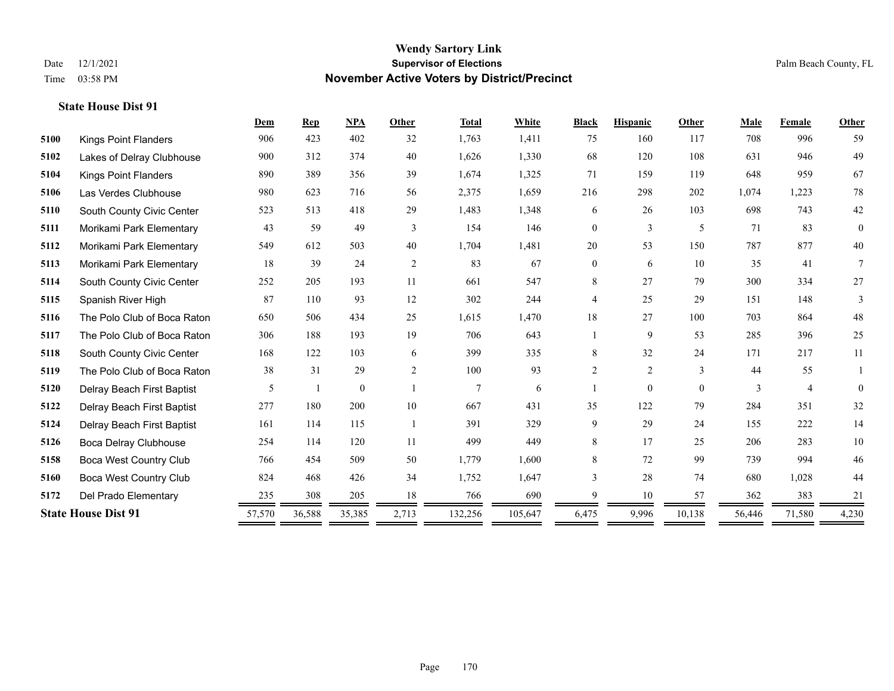| 996<br>59<br>49<br>946<br>67<br>959<br>78<br>1,223 |
|----------------------------------------------------|
|                                                    |
|                                                    |
|                                                    |
|                                                    |
| 42<br>743                                          |
| 83<br>$\overline{0}$                               |
| 40<br>877                                          |
| 41<br>$7\phantom{.0}$                              |
| $27\,$<br>334                                      |
| 148<br>3                                           |
| 48<br>864                                          |
| 25<br>396                                          |
| 11<br>217                                          |
| 55                                                 |
| $\overline{4}$<br>$\Omega$                         |
| 32<br>351                                          |
| 14<br>222                                          |
| $10\,$<br>283                                      |
| 994<br>46                                          |
| 1,028<br>44                                        |
| 383<br>21                                          |
| 71,580<br>4,230                                    |
|                                                    |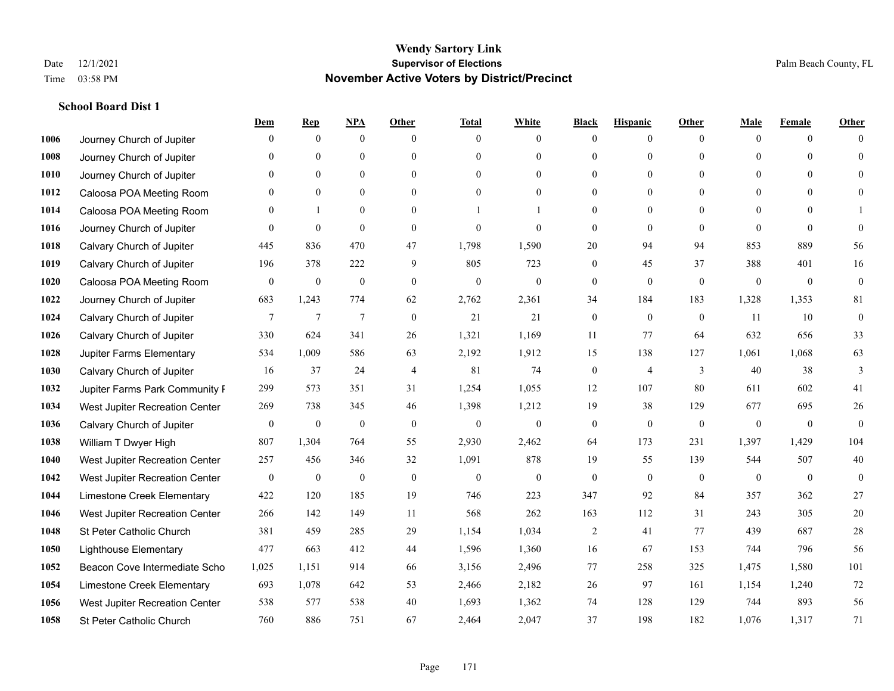|      |                                | Dem              | <b>Rep</b>       | NPA              | <b>Other</b>   | <b>Total</b>     | <b>White</b>     | <b>Black</b>     | <b>Hispanic</b> | <b>Other</b>   | <b>Male</b>  | <b>Female</b> | <b>Other</b> |
|------|--------------------------------|------------------|------------------|------------------|----------------|------------------|------------------|------------------|-----------------|----------------|--------------|---------------|--------------|
| 1006 | Journey Church of Jupiter      | $\theta$         | $\mathbf{0}$     | $\boldsymbol{0}$ | $\Omega$       | $\Omega$         | $\overline{0}$   | $\mathbf{0}$     | $\mathbf{0}$    | $\theta$       | $\theta$     | $\theta$      | $\Omega$     |
| 1008 | Journey Church of Jupiter      | $\theta$         | $\theta$         | $\mathbf{0}$     | $\Omega$       | $\Omega$         | $\overline{0}$   | $\theta$         | $\mathbf{0}$    | $\Omega$       | $\theta$     | $\Omega$      | $\theta$     |
| 1010 | Journey Church of Jupiter      | 0                | $\theta$         | $\theta$         | $\Omega$       | $\Omega$         | $\Omega$         | $\Omega$         | $\theta$        | $\Omega$       | $\Omega$     | $\Omega$      | $\Omega$     |
| 1012 | Caloosa POA Meeting Room       | 0                | $\mathbf{0}$     | $\mathbf{0}$     | $\overline{0}$ | $\theta$         | $\overline{0}$   | $\overline{0}$   | $\mathbf{0}$    | $\theta$       | $\mathbf{0}$ | $\mathbf{0}$  | $\Omega$     |
| 1014 | Caloosa POA Meeting Room       | 0                |                  | $\mathbf{0}$     | $\theta$       |                  |                  | $\overline{0}$   | $\overline{0}$  | $\Omega$       | $\theta$     | $\Omega$      |              |
| 1016 | Journey Church of Jupiter      | $\theta$         | $\mathbf{0}$     | $\mathbf{0}$     | $\theta$       | $\theta$         | $\theta$         | $\mathbf{0}$     | $\mathbf{0}$    | $\theta$       | $\theta$     | $\theta$      | $\theta$     |
| 1018 | Calvary Church of Jupiter      | 445              | 836              | 470              | 47             | 1,798            | 1,590            | $20\,$           | 94              | 94             | 853          | 889           | 56           |
| 1019 | Calvary Church of Jupiter      | 196              | 378              | 222              | 9              | 805              | 723              | $\overline{0}$   | 45              | 37             | 388          | 401           | 16           |
| 1020 | Caloosa POA Meeting Room       | $\boldsymbol{0}$ | $\boldsymbol{0}$ | $\boldsymbol{0}$ | $\mathbf{0}$   | $\boldsymbol{0}$ | $\boldsymbol{0}$ | $\boldsymbol{0}$ | $\mathbf{0}$    | $\mathbf{0}$   | $\mathbf{0}$ | $\mathbf{0}$  | $\mathbf{0}$ |
| 1022 | Journey Church of Jupiter      | 683              | 1,243            | 774              | 62             | 2,762            | 2,361            | 34               | 184             | 183            | 1,328        | 1,353         | 81           |
| 1024 | Calvary Church of Jupiter      | 7                | 7                | $\tau$           | $\mathbf{0}$   | 21               | 21               | $\boldsymbol{0}$ | $\mathbf{0}$    | $\overline{0}$ | 11           | 10            | $\mathbf{0}$ |
| 1026 | Calvary Church of Jupiter      | 330              | 624              | 341              | 26             | 1,321            | 1,169            | 11               | 77              | 64             | 632          | 656           | 33           |
| 1028 | Jupiter Farms Elementary       | 534              | 1,009            | 586              | 63             | 2,192            | 1,912            | 15               | 138             | 127            | 1,061        | 1,068         | 63           |
| 1030 | Calvary Church of Jupiter      | 16               | 37               | 24               | $\overline{4}$ | 81               | 74               | $\boldsymbol{0}$ | 4               | 3              | 40           | 38            | 3            |
| 1032 | Jupiter Farms Park Community F | 299              | 573              | 351              | 31             | 1,254            | 1,055            | 12               | 107             | 80             | 611          | 602           | 41           |
| 1034 | West Jupiter Recreation Center | 269              | 738              | 345              | 46             | 1,398            | 1,212            | 19               | 38              | 129            | 677          | 695           | $26\,$       |
| 1036 | Calvary Church of Jupiter      | $\overline{0}$   | $\mathbf{0}$     | $\mathbf{0}$     | $\mathbf{0}$   | $\mathbf{0}$     | $\overline{0}$   | $\boldsymbol{0}$ | $\mathbf{0}$    | $\theta$       | $\mathbf{0}$ | $\mathbf{0}$  | $\theta$     |
| 1038 | William T Dwyer High           | 807              | 1,304            | 764              | 55             | 2,930            | 2,462            | 64               | 173             | 231            | 1,397        | 1,429         | 104          |
| 1040 | West Jupiter Recreation Center | 257              | 456              | 346              | 32             | 1,091            | 878              | 19               | 55              | 139            | 544          | 507           | 40           |
| 1042 | West Jupiter Recreation Center | $\mathbf{0}$     | $\theta$         | $\mathbf{0}$     | $\mathbf{0}$   | $\theta$         | $\mathbf{0}$     | $\mathbf{0}$     | $\mathbf{0}$    | $\theta$       | $\theta$     | $\theta$      | $\mathbf{0}$ |
| 1044 | Limestone Creek Elementary     | 422              | 120              | 185              | 19             | 746              | 223              | 347              | 92              | 84             | 357          | 362           | 27           |
| 1046 | West Jupiter Recreation Center | 266              | 142              | 149              | 11             | 568              | 262              | 163              | 112             | 31             | 243          | 305           | 20           |
| 1048 | St Peter Catholic Church       | 381              | 459              | 285              | 29             | 1,154            | 1,034            | 2                | 41              | 77             | 439          | 687           | $28\,$       |
| 1050 | <b>Lighthouse Elementary</b>   | 477              | 663              | 412              | 44             | 1,596            | 1,360            | 16               | 67              | 153            | 744          | 796           | 56           |
| 1052 | Beacon Cove Intermediate Scho  | 1,025            | 1,151            | 914              | 66             | 3,156            | 2,496            | 77               | 258             | 325            | 1,475        | 1,580         | 101          |
| 1054 | Limestone Creek Elementary     | 693              | 1,078            | 642              | 53             | 2,466            | 2,182            | 26               | 97              | 161            | 1,154        | 1,240         | 72           |
| 1056 | West Jupiter Recreation Center | 538              | 577              | 538              | 40             | 1,693            | 1,362            | 74               | 128             | 129            | 744          | 893           | 56           |
| 1058 | St Peter Catholic Church       | 760              | 886              | 751              | 67             | 2,464            | 2,047            | 37               | 198             | 182            | 1,076        | 1,317         | 71           |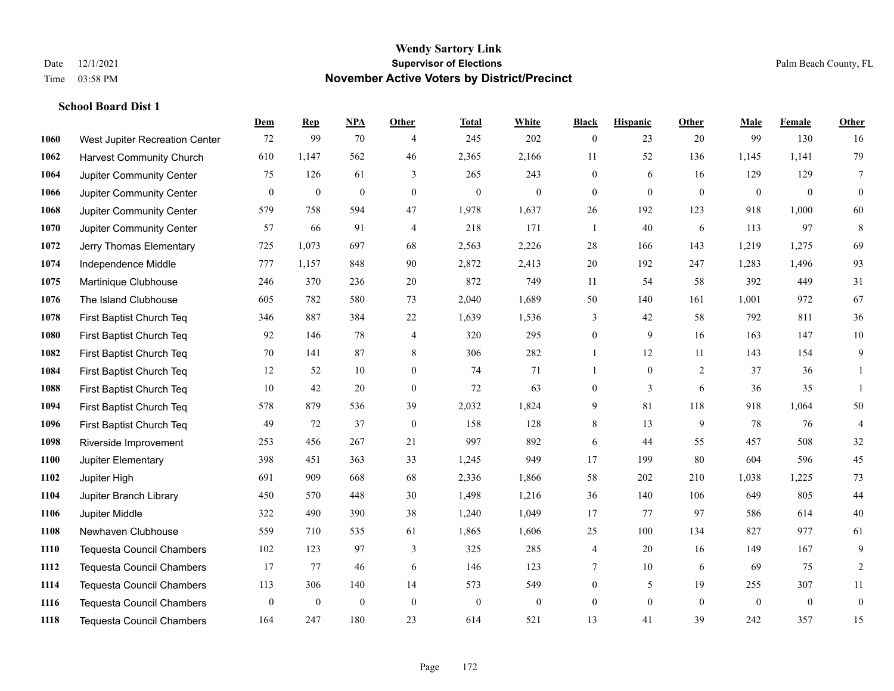|      |                                  | Dem          | <b>Rep</b>       | NPA              | <b>Other</b>     | <b>Total</b>     | <b>White</b>     | <b>Black</b>     | <b>Hispanic</b>  | Other        | <b>Male</b>      | <b>Female</b>    | <b>Other</b>   |
|------|----------------------------------|--------------|------------------|------------------|------------------|------------------|------------------|------------------|------------------|--------------|------------------|------------------|----------------|
| 1060 | West Jupiter Recreation Center   | 72           | 99               | 70               | $\overline{4}$   | 245              | 202              | $\overline{0}$   | 23               | 20           | 99               | 130              | 16             |
| 1062 | <b>Harvest Community Church</b>  | 610          | 1.147            | 562              | 46               | 2,365            | 2,166            | 11               | 52               | 136          | 1,145            | 1,141            | 79             |
| 1064 | Jupiter Community Center         | 75           | 126              | 61               | 3                | 265              | 243              | 0                | 6                | 16           | 129              | 129              | 7              |
| 1066 | Jupiter Community Center         | $\mathbf{0}$ | $\boldsymbol{0}$ | $\boldsymbol{0}$ | $\boldsymbol{0}$ | $\boldsymbol{0}$ | $\boldsymbol{0}$ | $\mathbf{0}$     | $\mathbf{0}$     | $\mathbf{0}$ | $\boldsymbol{0}$ | $\boldsymbol{0}$ | $\mathbf{0}$   |
| 1068 | Jupiter Community Center         | 579          | 758              | 594              | 47               | 1,978            | 1,637            | 26               | 192              | 123          | 918              | 1,000            | 60             |
| 1070 | Jupiter Community Center         | 57           | 66               | 91               | $\overline{4}$   | 218              | 171              | 1                | 40               | 6            | 113              | 97               | 8              |
| 1072 | Jerry Thomas Elementary          | 725          | 1,073            | 697              | 68               | 2,563            | 2,226            | 28               | 166              | 143          | 1,219            | 1,275            | 69             |
| 1074 | Independence Middle              | 777          | 1,157            | 848              | 90               | 2,872            | 2,413            | 20               | 192              | 247          | 1,283            | 1,496            | 93             |
| 1075 | Martinique Clubhouse             | 246          | 370              | 236              | 20               | 872              | 749              | 11               | 54               | 58           | 392              | 449              | 31             |
| 1076 | The Island Clubhouse             | 605          | 782              | 580              | 73               | 2,040            | 1,689            | 50               | 140              | 161          | 1,001            | 972              | 67             |
| 1078 | First Baptist Church Teq         | 346          | 887              | 384              | 22               | 1,639            | 1,536            | 3                | 42               | 58           | 792              | 811              | 36             |
| 1080 | First Baptist Church Teq         | 92           | 146              | 78               | $\overline{4}$   | 320              | 295              | 0                | 9                | 16           | 163              | 147              | $10\,$         |
| 1082 | First Baptist Church Teq         | 70           | 141              | 87               | 8                | 306              | 282              | $\mathbf{1}$     | 12               | 11           | 143              | 154              | 9              |
| 1084 | First Baptist Church Teq         | 12           | 52               | 10               | $\boldsymbol{0}$ | 74               | 71               | 1                | $\boldsymbol{0}$ | 2            | 37               | 36               | 1              |
| 1088 | First Baptist Church Teq         | 10           | 42               | 20               | $\overline{0}$   | 72               | 63               | 0                | 3                | 6            | 36               | 35               | $\mathbf{1}$   |
| 1094 | First Baptist Church Teq         | 578          | 879              | 536              | 39               | 2,032            | 1,824            | 9                | 81               | 118          | 918              | 1,064            | 50             |
| 1096 | First Baptist Church Teq         | 49           | 72               | 37               | $\boldsymbol{0}$ | 158              | 128              | 8                | 13               | 9            | 78               | 76               | $\overline{4}$ |
| 1098 | Riverside Improvement            | 253          | 456              | 267              | 21               | 997              | 892              | 6                | 44               | 55           | 457              | 508              | $32\,$         |
| 1100 | Jupiter Elementary               | 398          | 451              | 363              | 33               | 1,245            | 949              | 17               | 199              | 80           | 604              | 596              | 45             |
| 1102 | Jupiter High                     | 691          | 909              | 668              | 68               | 2,336            | 1,866            | 58               | 202              | 210          | 1,038            | 1,225            | 73             |
| 1104 | Jupiter Branch Library           | 450          | 570              | 448              | 30               | 1,498            | 1,216            | 36               | 140              | 106          | 649              | 805              | 44             |
| 1106 | Jupiter Middle                   | 322          | 490              | 390              | 38               | 1,240            | 1,049            | 17               | 77               | 97           | 586              | 614              | $40\,$         |
| 1108 | Newhaven Clubhouse               | 559          | 710              | 535              | 61               | 1,865            | 1,606            | 25               | 100              | 134          | 827              | 977              | 61             |
| 1110 | <b>Tequesta Council Chambers</b> | 102          | 123              | 97               | 3                | 325              | 285              | 4                | 20               | 16           | 149              | 167              | 9              |
| 1112 | <b>Tequesta Council Chambers</b> | 17           | 77               | 46               | 6                | 146              | 123              | 7                | 10               | 6            | 69               | 75               | $\overline{2}$ |
| 1114 | <b>Tequesta Council Chambers</b> | 113          | 306              | 140              | 14               | 573              | 549              | 0                | 5                | 19           | 255              | 307              | 11             |
| 1116 | <b>Tequesta Council Chambers</b> | $\mathbf{0}$ | $\boldsymbol{0}$ | $\mathbf{0}$     | $\boldsymbol{0}$ | $\boldsymbol{0}$ | $\boldsymbol{0}$ | $\boldsymbol{0}$ | $\overline{0}$   | $\mathbf{0}$ | $\overline{0}$   | $\mathbf{0}$     | $\mathbf{0}$   |
| 1118 | <b>Tequesta Council Chambers</b> | 164          | 247              | 180              | 23               | 614              | 521              | 13               | 41               | 39           | 242              | 357              | 15             |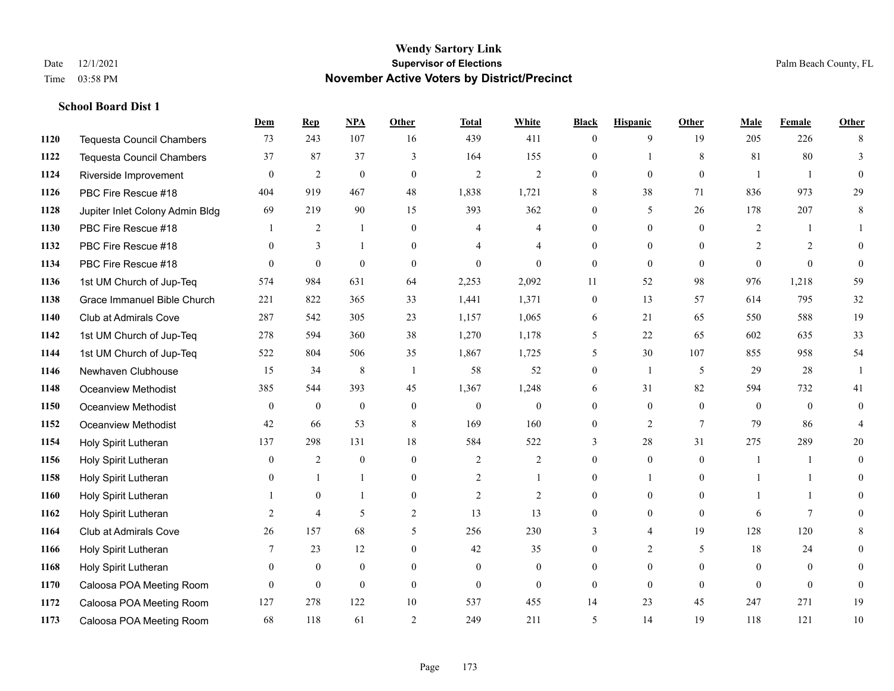**School Board Dist 1**

#### **Wendy Sartory Link** Date 12/1/2021 **Supervisor of Elections** Palm Beach County, FL Time 03:58 PM **November Active Voters by District/Precinct**

**Dem Rep NPA Other Total White Black Hispanic Other Male Female Other**

# Tequesta Council Chambers 73 243 107 16 439 411 0 9 19 205 226 8 Tequesta Council Chambers 37 87 37 3 164 155 0 1 8 81 80 3 Riverside Improvement 0 0 2 0 0 2 2 2 0 0 0 0 1 1 0 PBC Fire Rescue #18 404 919 467 48 1,838 1,721 8 38 71 836 973 29 Jupiter Inlet Colony Admin Bldg 69 219 90 15 393 362 0 5 26 178 207 8 PBC Fire Rescue #18 **1** 2 1 0 4 4 0 0 0 2 1 1 PBC Fire Rescue #18 0 3 1 0 4 4 0 0 0 2 2 0 PBC Fire Rescue #18 0 0 0 0 0 0 0 0 0 0 0 0 1st UM Church of Jup-Teq 574 984 631 64 2,253 2,092 11 52 98 976 1,218 59 Grace Immanuel Bible Church 221 822 365 33 1,441 1,371 0 13 57 614 795 32 Club at Admirals Cove 287 542 305 23 1,157 1,065 6 21 65 550 588 19 1st UM Church of Jup-Teq 278 594 360 38 1,270 1,178 5 22 65 602 635 33 1st UM Church of Jup-Teq 522 804 506 35 1,867 1,725 5 30 107 855 958 54 Newhaven Clubhouse 15 34 8 1 58 52 0 1 5 29 28 1 Oceanview Methodist 385 544 393 45 1,367 1,248 6 31 82 594 732 41 Oceanview Methodist 0 0 0 0 0 0 0 0 0 0 0 0 Oceanview Methodist 42 66 53 8 169 160 0 2 7 79 86 4 Holy Spirit Lutheran 137 298 131 18 584 522 3 28 31 275 289 20 Holy Spirit Lutheran 0 2 0 0 2 2 0 0 0 1 1 0 Holy Spirit Lutheran 0 1 1 0 2 1 0 1 0 1 1 0 Holy Spirit Lutheran 1 0 1 0 2 2 0 0 0 1 1 0 Holy Spirit Lutheran **2** 4 5 2 13 13 0 0 0 6 7 0 Club at Admirals Cove 26 157 68 5 256 230 3 4 19 128 120 8 Holy Spirit Lutheran 7 23 12 0 42 35 0 2 5 18 24 0 Holy Spirit Lutheran 0 0 0 0 0 0 0 0 0 0 0 0 Caloosa POA Meeting Room 0 0 0 0 0 0 0 0 0 0 0 0

 Caloosa POA Meeting Room 127 278 122 10 537 455 14 23 45 247 271 19 Caloosa POA Meeting Room 68 118 61 2 249 211 5 14 19 118 121 10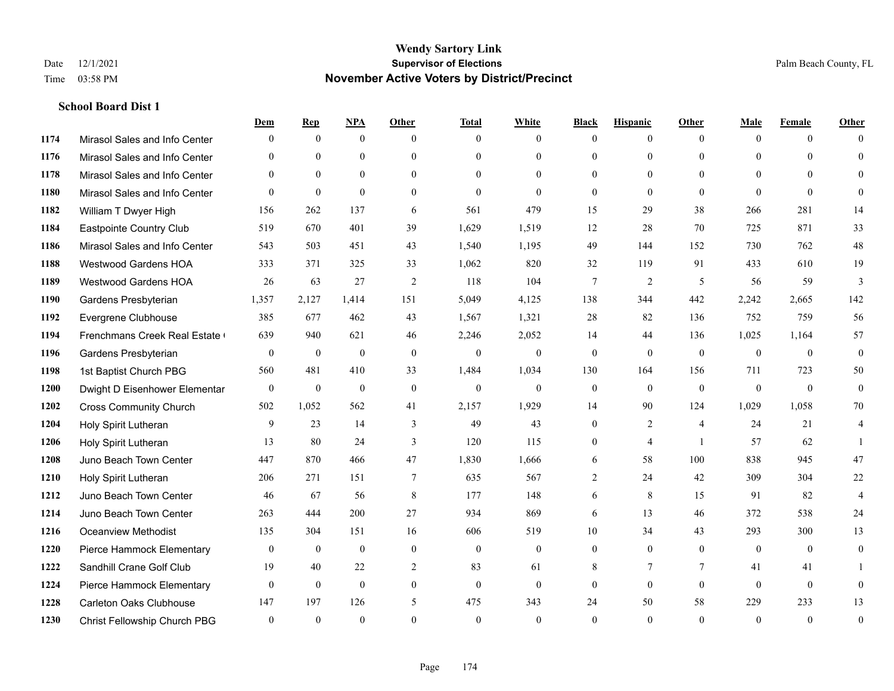|      |                                | Dem              | <b>Rep</b>       | NPA          | <b>Other</b>    | <b>Total</b> | <b>White</b>   | <b>Black</b> | <b>Hispanic</b> | <b>Other</b>   | <b>Male</b>  | <b>Female</b> | <b>Other</b>   |
|------|--------------------------------|------------------|------------------|--------------|-----------------|--------------|----------------|--------------|-----------------|----------------|--------------|---------------|----------------|
| 1174 | Mirasol Sales and Info Center  | $\Omega$         | $\mathbf{0}$     | $\mathbf{0}$ | $\Omega$        | $\Omega$     | $\overline{0}$ | $\mathbf{0}$ | $\overline{0}$  | $\theta$       | $\theta$     | $\theta$      | $\Omega$       |
| 1176 | Mirasol Sales and Info Center  | $\Omega$         | $\theta$         | $\theta$     | $\Omega$        | $\Omega$     | $\overline{0}$ | $\theta$     | $\theta$        | $\Omega$       | $\theta$     | $\Omega$      | $\theta$       |
| 1178 | Mirasol Sales and Info Center  | $\Omega$         | $\theta$         | $\theta$     | $\Omega$        | $\Omega$     | $\Omega$       | $\Omega$     | $\Omega$        | $\Omega$       | $\Omega$     | $\Omega$      | $\Omega$       |
| 1180 | Mirasol Sales and Info Center  | $\theta$         | $\mathbf{0}$     | $\theta$     | $\overline{0}$  | $\theta$     | $\mathbf{0}$   | $\mathbf{0}$ | $\mathbf{0}$    | $\theta$       | $\theta$     | $\theta$      | $\Omega$       |
| 1182 | William T Dwyer High           | 156              | 262              | 137          | 6               | 561          | 479            | 15           | 29              | 38             | 266          | 281           | 14             |
| 1184 | Eastpointe Country Club        | 519              | 670              | 401          | 39              | 1,629        | 1,519          | 12           | 28              | 70             | 725          | 871           | 33             |
| 1186 | Mirasol Sales and Info Center  | 543              | 503              | 451          | 43              | 1,540        | 1,195          | 49           | 144             | 152            | 730          | 762           | 48             |
| 1188 | <b>Westwood Gardens HOA</b>    | 333              | 371              | 325          | 33              | 1,062        | 820            | 32           | 119             | 91             | 433          | 610           | 19             |
| 1189 | <b>Westwood Gardens HOA</b>    | 26               | 63               | 27           | 2               | 118          | 104            | 7            | $\overline{2}$  | 5              | 56           | 59            | 3              |
| 1190 | Gardens Presbyterian           | 1,357            | 2,127            | 1,414        | 151             | 5,049        | 4,125          | 138          | 344             | 442            | 2,242        | 2,665         | 142            |
| 1192 | Evergrene Clubhouse            | 385              | 677              | 462          | 43              | 1,567        | 1,321          | 28           | 82              | 136            | 752          | 759           | 56             |
| 1194 | Frenchmans Creek Real Estate   | 639              | 940              | 621          | 46              | 2,246        | 2,052          | 14           | 44              | 136            | 1,025        | 1,164         | 57             |
| 1196 | Gardens Presbyterian           | $\mathbf{0}$     | $\mathbf{0}$     | $\mathbf{0}$ | $\theta$        | $\mathbf{0}$ | $\mathbf{0}$   | $\mathbf{0}$ | $\mathbf{0}$    | $\theta$       | $\theta$     | $\theta$      | $\mathbf{0}$   |
| 1198 | 1st Baptist Church PBG         | 560              | 481              | 410          | 33              | 1,484        | 1,034          | 130          | 164             | 156            | 711          | 723           | 50             |
| 1200 | Dwight D Eisenhower Elementar  | $\boldsymbol{0}$ | $\boldsymbol{0}$ | $\mathbf{0}$ | $\mathbf{0}$    | $\mathbf{0}$ | $\mathbf{0}$   | $\mathbf{0}$ | $\mathbf{0}$    | $\mathbf{0}$   | $\mathbf{0}$ | $\theta$      | $\mathbf{0}$   |
| 1202 | <b>Cross Community Church</b>  | 502              | 1,052            | 562          | 41              | 2,157        | 1,929          | 14           | 90              | 124            | 1,029        | 1,058         | 70             |
| 1204 | Holy Spirit Lutheran           | 9                | 23               | 14           | 3               | 49           | 43             | $\mathbf{0}$ | $\overline{2}$  | $\overline{4}$ | 24           | 21            | 4              |
| 1206 | Holy Spirit Lutheran           | 13               | 80               | 24           | 3               | 120          | 115            | $\mathbf{0}$ | $\overline{4}$  | $\overline{1}$ | 57           | 62            |                |
| 1208 | Juno Beach Town Center         | 447              | 870              | 466          | 47              | 1,830        | 1,666          | 6            | 58              | 100            | 838          | 945           | 47             |
| 1210 | Holy Spirit Lutheran           | 206              | 271              | 151          | $7\phantom{.0}$ | 635          | 567            | 2            | 24              | 42             | 309          | 304           | $22\,$         |
| 1212 | Juno Beach Town Center         | 46               | 67               | 56           | 8               | 177          | 148            | 6            | 8               | 15             | 91           | 82            | $\overline{4}$ |
| 1214 | Juno Beach Town Center         | 263              | 444              | 200          | 27              | 934          | 869            | 6            | 13              | 46             | 372          | 538           | $24\,$         |
| 1216 | <b>Oceanview Methodist</b>     | 135              | 304              | 151          | 16              | 606          | 519            | 10           | 34              | 43             | 293          | 300           | 13             |
| 1220 | Pierce Hammock Elementary      | $\mathbf{0}$     | $\mathbf{0}$     | $\mathbf{0}$ | $\theta$        | $\mathbf{0}$ | $\mathbf{0}$   | $\theta$     | $\mathbf{0}$    | $\theta$       | $\theta$     | $\theta$      | $\mathbf{0}$   |
| 1222 | Sandhill Crane Golf Club       | 19               | 40               | 22           | $\mathbf{2}$    | 83           | 61             | 8            | $\overline{7}$  | $\tau$         | 41           | 41            |                |
| 1224 | Pierce Hammock Elementary      | $\theta$         | $\mathbf{0}$     | $\mathbf{0}$ | $\theta$        | $\theta$     | $\mathbf{0}$   | $\theta$     | $\theta$        | $\theta$       | $\theta$     | $\theta$      | $\overline{0}$ |
| 1228 | <b>Carleton Oaks Clubhouse</b> | 147              | 197              | 126          | 5               | 475          | 343            | 24           | 50              | 58             | 229          | 233           | 13             |
| 1230 | Christ Fellowship Church PBG   | $\theta$         | $\theta$         | $\theta$     | $\Omega$        | $\theta$     | $\theta$       | $\theta$     | $\Omega$        | $\Omega$       | $\Omega$     | $\theta$      | $\mathbf{0}$   |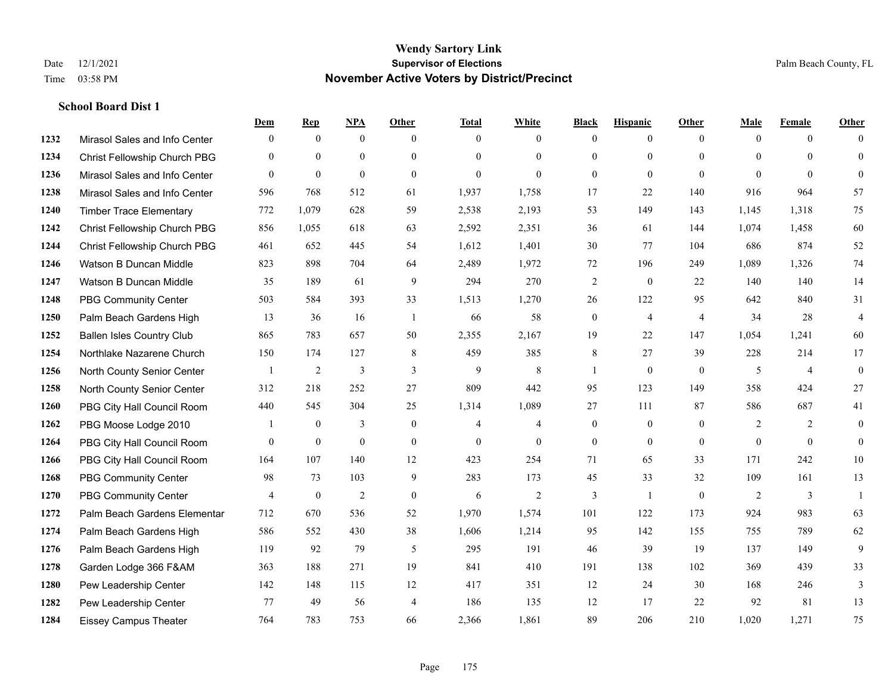|      |                                  | Dem            | <b>Rep</b>       | NPA              | <b>Other</b>   | <b>Total</b>   | <b>White</b>   | <b>Black</b>     | <b>Hispanic</b>  | <b>Other</b>   | <b>Male</b>    | <b>Female</b>  | <b>Other</b>     |
|------|----------------------------------|----------------|------------------|------------------|----------------|----------------|----------------|------------------|------------------|----------------|----------------|----------------|------------------|
| 1232 | Mirasol Sales and Info Center    | $\mathbf{0}$   | $\mathbf{0}$     | $\mathbf{0}$     | $\theta$       | $\Omega$       | $\overline{0}$ | $\mathbf{0}$     | $\mathbf{0}$     | $\theta$       | $\mathbf{0}$   | $\overline{0}$ | $\Omega$         |
| 1234 | Christ Fellowship Church PBG     | $\theta$       | $\mathbf{0}$     | $\mathbf{0}$     | $\theta$       | $\Omega$       | $\overline{0}$ | $\theta$         | $\mathbf{0}$     | $\Omega$       | $\theta$       | $\Omega$       | $\mathbf{0}$     |
| 1236 | Mirasol Sales and Info Center    | $\Omega$       | $\mathbf{0}$     | $\theta$         | $\Omega$       | $\theta$       | $\Omega$       | $\theta$         | $\theta$         | $\Omega$       | $\Omega$       | $\Omega$       | $\Omega$         |
| 1238 | Mirasol Sales and Info Center    | 596            | 768              | 512              | 61             | 1,937          | 1,758          | 17               | 22               | 140            | 916            | 964            | 57               |
| 1240 | <b>Timber Trace Elementary</b>   | 772            | 1,079            | 628              | 59             | 2,538          | 2,193          | 53               | 149              | 143            | 1,145          | 1,318          | 75               |
| 1242 | Christ Fellowship Church PBG     | 856            | 1,055            | 618              | 63             | 2,592          | 2,351          | 36               | 61               | 144            | 1,074          | 1,458          | 60               |
| 1244 | Christ Fellowship Church PBG     | 461            | 652              | 445              | 54             | 1,612          | 1,401          | 30               | 77               | 104            | 686            | 874            | 52               |
| 1246 | Watson B Duncan Middle           | 823            | 898              | 704              | 64             | 2,489          | 1,972          | 72               | 196              | 249            | 1,089          | 1,326          | $74\,$           |
| 1247 | Watson B Duncan Middle           | 35             | 189              | 61               | 9              | 294            | 270            | 2                | $\mathbf{0}$     | 22             | 140            | 140            | 14               |
| 1248 | <b>PBG Community Center</b>      | 503            | 584              | 393              | 33             | 1,513          | 1,270          | 26               | 122              | 95             | 642            | 840            | 31               |
| 1250 | Palm Beach Gardens High          | 13             | 36               | 16               | -1             | 66             | 58             | $\boldsymbol{0}$ | $\overline{4}$   | $\overline{4}$ | 34             | 28             | $\overline{4}$   |
| 1252 | <b>Ballen Isles Country Club</b> | 865            | 783              | 657              | 50             | 2,355          | 2,167          | 19               | 22               | 147            | 1,054          | 1,241          | 60               |
| 1254 | Northlake Nazarene Church        | 150            | 174              | 127              | 8              | 459            | 385            | 8                | 27               | 39             | 228            | 214            | 17               |
| 1256 | North County Senior Center       | $\mathbf{1}$   | $\overline{c}$   | $\mathfrak{Z}$   | 3              | 9              | $8\,$          | 1                | $\boldsymbol{0}$ | $\overline{0}$ | 5              | $\overline{4}$ | $\boldsymbol{0}$ |
| 1258 | North County Senior Center       | 312            | 218              | 252              | 27             | 809            | 442            | 95               | 123              | 149            | 358            | 424            | 27               |
| 1260 | PBG City Hall Council Room       | 440            | 545              | 304              | 25             | 1,314          | 1,089          | 27               | 111              | 87             | 586            | 687            | 41               |
| 1262 | PBG Moose Lodge 2010             |                | $\mathbf{0}$     | 3                | $\mathbf{0}$   | $\overline{4}$ | $\overline{4}$ | $\boldsymbol{0}$ | $\mathbf{0}$     | $\overline{0}$ | $\overline{2}$ | 2              | $\mathbf{0}$     |
| 1264 | PBG City Hall Council Room       | $\theta$       | $\boldsymbol{0}$ | $\boldsymbol{0}$ | $\mathbf{0}$   | $\mathbf{0}$   | $\overline{0}$ | $\mathbf{0}$     | $\overline{0}$   | $\overline{0}$ | $\overline{0}$ | $\theta$       | $\boldsymbol{0}$ |
| 1266 | PBG City Hall Council Room       | 164            | 107              | 140              | 12             | 423            | 254            | 71               | 65               | 33             | 171            | 242            | 10               |
| 1268 | <b>PBG Community Center</b>      | 98             | 73               | 103              | 9              | 283            | 173            | 45               | 33               | 32             | 109            | 161            | 13               |
| 1270 | <b>PBG Community Center</b>      | $\overline{4}$ | $\mathbf{0}$     | $\overline{2}$   | $\theta$       | 6              | $\overline{2}$ | 3                | $\mathbf{1}$     | $\Omega$       | 2              | 3              | $\mathbf{1}$     |
| 1272 | Palm Beach Gardens Elementar     | 712            | 670              | 536              | 52             | 1,970          | 1,574          | 101              | 122              | 173            | 924            | 983            | 63               |
| 1274 | Palm Beach Gardens High          | 586            | 552              | 430              | 38             | 1,606          | 1,214          | 95               | 142              | 155            | 755            | 789            | 62               |
| 1276 | Palm Beach Gardens High          | 119            | 92               | 79               | 5              | 295            | 191            | 46               | 39               | 19             | 137            | 149            | 9                |
| 1278 | Garden Lodge 366 F&AM            | 363            | 188              | 271              | 19             | 841            | 410            | 191              | 138              | 102            | 369            | 439            | 33               |
| 1280 | Pew Leadership Center            | 142            | 148              | 115              | 12             | 417            | 351            | 12               | 24               | 30             | 168            | 246            | 3                |
| 1282 | Pew Leadership Center            | 77             | 49               | 56               | $\overline{4}$ | 186            | 135            | 12               | 17               | 22             | 92             | 81             | 13               |
| 1284 | <b>Eissey Campus Theater</b>     | 764            | 783              | 753              | 66             | 2,366          | 1,861          | 89               | 206              | 210            | 1,020          | 1,271          | 75               |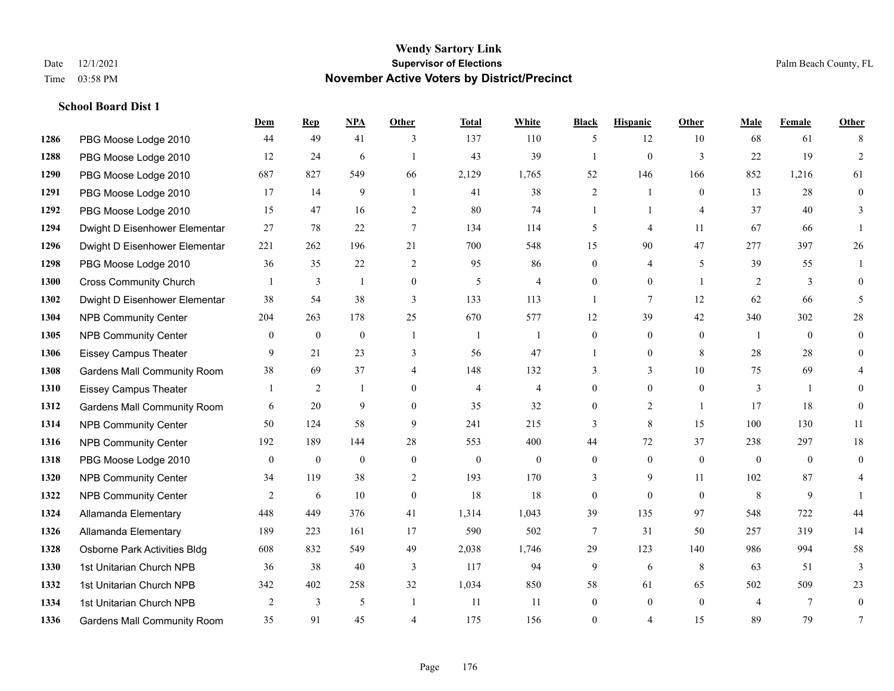|      |                                    | Dem            | <b>Rep</b>       | NPA          | <b>Other</b>   | <b>Total</b>   | <b>White</b>     | <b>Black</b>     | <b>Hispanic</b> | <b>Other</b>   | <b>Male</b>    | <b>Female</b>  | <b>Other</b>   |
|------|------------------------------------|----------------|------------------|--------------|----------------|----------------|------------------|------------------|-----------------|----------------|----------------|----------------|----------------|
| 1286 | PBG Moose Lodge 2010               | 44             | 49               | 41           | 3              | 137            | 110              | 5                | 12              | 10             | 68             | 61             | 8              |
| 1288 | PBG Moose Lodge 2010               | 12             | 24               | 6            |                | 43             | 39               |                  | $\mathbf{0}$    | 3              | 22             | 19             | 2              |
| 1290 | PBG Moose Lodge 2010               | 687            | 827              | 549          | 66             | 2,129          | 1,765            | 52               | 146             | 166            | 852            | 1,216          | 61             |
| 1291 | PBG Moose Lodge 2010               | 17             | 14               | 9            | -1             | 41             | 38               | $\overline{c}$   | $\mathbf{1}$    | $\mathbf{0}$   | 13             | 28             | $\overline{0}$ |
| 1292 | PBG Moose Lodge 2010               | 15             | 47               | 16           | 2              | 80             | 74               | 1                | 1               | $\overline{A}$ | 37             | 40             | 3              |
| 1294 | Dwight D Eisenhower Elementar      | 27             | 78               | 22           | 7              | 134            | 114              | 5                | 4               | 11             | 67             | 66             |                |
| 1296 | Dwight D Eisenhower Elementar      | 221            | 262              | 196          | 21             | 700            | 548              | 15               | 90              | 47             | 277            | 397            | 26             |
| 1298 | PBG Moose Lodge 2010               | 36             | 35               | 22           | 2              | 95             | 86               | $\Omega$         | $\overline{4}$  | 5              | 39             | 55             |                |
| 1300 | <b>Cross Community Church</b>      |                | 3                |              | $\mathbf{0}$   | 5              | $\overline{4}$   | $\boldsymbol{0}$ | $\overline{0}$  | $\overline{1}$ | 2              | 3              | $\overline{0}$ |
| 1302 | Dwight D Eisenhower Elementar      | 38             | 54               | 38           | 3              | 133            | 113              | 1                | $\tau$          | 12             | 62             | 66             | 5              |
| 1304 | NPB Community Center               | 204            | 263              | 178          | 25             | 670            | 577              | 12               | 39              | 42             | 340            | 302            | 28             |
| 1305 | <b>NPB Community Center</b>        | $\overline{0}$ | $\mathbf{0}$     | $\theta$     | $\overline{1}$ | 1              | 1                | $\overline{0}$   | $\overline{0}$  | $\theta$       | -1             | $\theta$       | $\overline{0}$ |
| 1306 | <b>Eissey Campus Theater</b>       | 9              | 21               | 23           | 3              | 56             | 47               | 1                | $\overline{0}$  | 8              | 28             | 28             | $\overline{0}$ |
| 1308 | <b>Gardens Mall Community Room</b> | 38             | 69               | 37           | $\overline{4}$ | 148            | 132              | 3                | 3               | $10\,$         | 75             | 69             |                |
| 1310 | <b>Eissey Campus Theater</b>       |                | 2                | -1           | $\theta$       | $\overline{4}$ | $\overline{4}$   | $\overline{0}$   | $\overline{0}$  | $\theta$       | 3              | $\overline{1}$ | $\theta$       |
| 1312 | <b>Gardens Mall Community Room</b> | 6              | 20               | 9            | $\theta$       | 35             | 32               | $\theta$         | $\overline{2}$  | $\mathbf{1}$   | 17             | 18             | $\overline{0}$ |
| 1314 | <b>NPB Community Center</b>        | 50             | 124              | 58           | 9              | 241            | 215              | 3                | 8               | 15             | 100            | 130            | 11             |
| 1316 | <b>NPB Community Center</b>        | 192            | 189              | 144          | 28             | 553            | 400              | 44               | 72              | 37             | 238            | 297            | $18\,$         |
| 1318 | PBG Moose Lodge 2010               | $\mathbf{0}$   | $\boldsymbol{0}$ | $\mathbf{0}$ | $\mathbf{0}$   | $\mathbf{0}$   | $\boldsymbol{0}$ | $\overline{0}$   | $\overline{0}$  | $\theta$       | $\mathbf{0}$   | $\overline{0}$ | $\overline{0}$ |
| 1320 | NPB Community Center               | 34             | 119              | 38           | $\overline{2}$ | 193            | 170              | 3                | 9               | 11             | 102            | 87             | 4              |
| 1322 | <b>NPB Community Center</b>        | 2              | 6                | 10           | $\theta$       | 18             | 18               | $\overline{0}$   | $\overline{0}$  | $\theta$       | 8              | 9              |                |
| 1324 | Allamanda Elementary               | 448            | 449              | 376          | 41             | 1,314          | 1,043            | 39               | 135             | 97             | 548            | 722            | 44             |
| 1326 | Allamanda Elementary               | 189            | 223              | 161          | 17             | 590            | 502              | 7                | 31              | 50             | 257            | 319            | 14             |
| 1328 | Osborne Park Activities Bldg       | 608            | 832              | 549          | 49             | 2,038          | 1,746            | 29               | 123             | 140            | 986            | 994            | 58             |
| 1330 | 1st Unitarian Church NPB           | 36             | 38               | 40           | 3              | 117            | 94               | 9                | 6               | 8              | 63             | 51             | 3              |
| 1332 | 1st Unitarian Church NPB           | 342            | 402              | 258          | 32             | 1,034          | 850              | 58               | 61              | 65             | 502            | 509            | 23             |
| 1334 | 1st Unitarian Church NPB           | $\overline{2}$ | 3                | 5            | $\overline{1}$ | 11             | 11               | $\overline{0}$   | $\overline{0}$  | $\mathbf{0}$   | $\overline{4}$ | $\tau$         | $\overline{0}$ |
| 1336 | <b>Gardens Mall Community Room</b> | 35             | 91               | 45           | $\overline{4}$ | 175            | 156              | $\theta$         | 4               | 15             | 89             | 79             | 7              |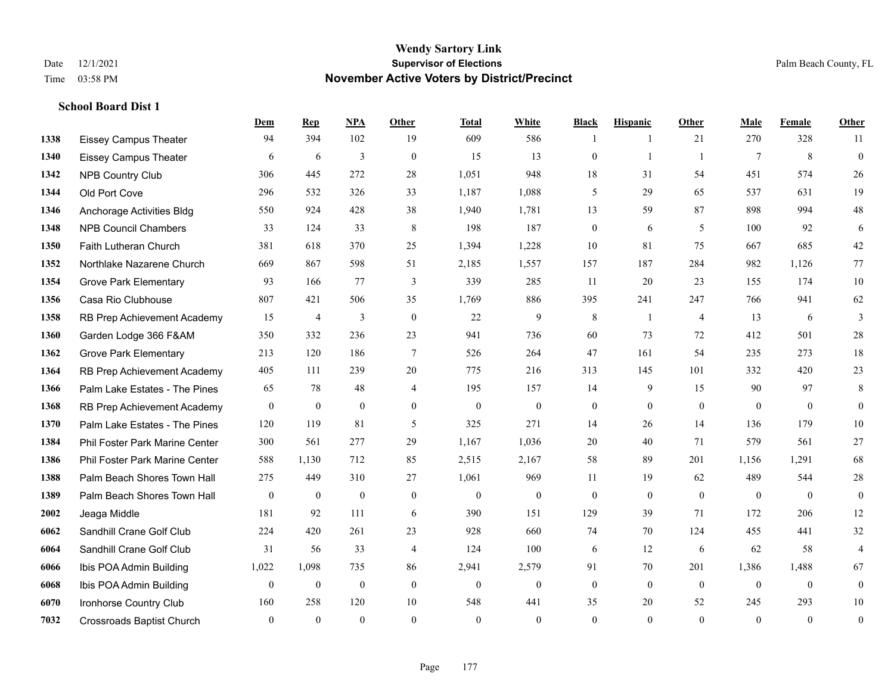**School Board Dist 1**

## **Wendy Sartory Link** Date 12/1/2021 **Supervisor of Elections** Palm Beach County, FL Time 03:58 PM **November Active Voters by District/Precinct**

# **Dem Rep NPA Other Total White Black Hispanic Other Male Female Other** Eissey Campus Theater 94 394 102 19 609 586 1 1 21 270 328 11 Eissey Campus Theater 6 6 6 3 0 15 13 0 1 1 7 8 0 NPB Country Club 306 445 272 28 1,051 948 18 31 54 451 574 26 Old Port Cove 296 532 326 33 1,187 1,088 5 29 65 537 631 19 Anchorage Activities Bldg 550 924 428 38 1,940 1,781 13 59 87 898 994 48 NPB Council Chambers 33 124 33 8 198 187 0 6 5 100 92 6 Faith Lutheran Church 381 618 370 25 1,394 1,228 10 81 75 667 685 42 Northlake Nazarene Church 669 867 598 51 2,185 1,557 157 187 284 982 1,126 77 Grove Park Elementary 93 166 77 3 339 285 11 20 23 155 174 10 Casa Rio Clubhouse 807 421 506 35 1,769 886 395 241 247 766 941 62 RB Prep Achievement Academy 15 4 3 0 22 9 8 1 4 13 6 3 Garden Lodge 366 F&AM 350 332 236 23 941 736 60 73 72 412 501 28 Grove Park Elementary 213 120 186 7 526 264 47 161 54 235 273 18 RB Prep Achievement Academy 405 111 239 20 775 216 313 145 101 332 420 23 Palm Lake Estates - The Pines 65 78 48 4 195 157 14 9 15 90 97 8 RB Prep Achievement Academy 0 0 0 0 0 0 0 0 0 0 0 0 Palm Lake Estates - The Pines 120 119 81 5 325 271 14 26 14 136 179 10 Phil Foster Park Marine Center 300 561 277 29 1,167 1,036 20 40 71 579 561 27 Phil Foster Park Marine Center 588 1,130 712 85 2,515 2,167 58 89 201 1,156 1,291 68 1388 Palm Beach Shores Town Hall 275 449 310 27 1,061 969 11 19 62 489 544 28 Palm Beach Shores Town Hall 0 0 0 0 0 0 0 0 0 0 0 0 Jeaga Middle 181 92 111 6 390 151 129 39 71 172 206 12 Sandhill Crane Golf Club 224 420 261 23 928 660 74 70 124 455 441 32 Sandhill Crane Golf Club 31 56 33 4 124 100 6 12 6 62 58 4 Ibis POA Admin Building 1,022 1,098 735 86 2,941 2,579 91 70 201 1,386 1,488 67 Ibis POA Admin Building 0 0 0 0 0 0 0 0 0 0 0 0

 Ironhorse Country Club 160 258 120 10 548 441 35 20 52 245 293 10 Crossroads Baptist Church 0 0 0 0 0 0 0 0 0 0 0 0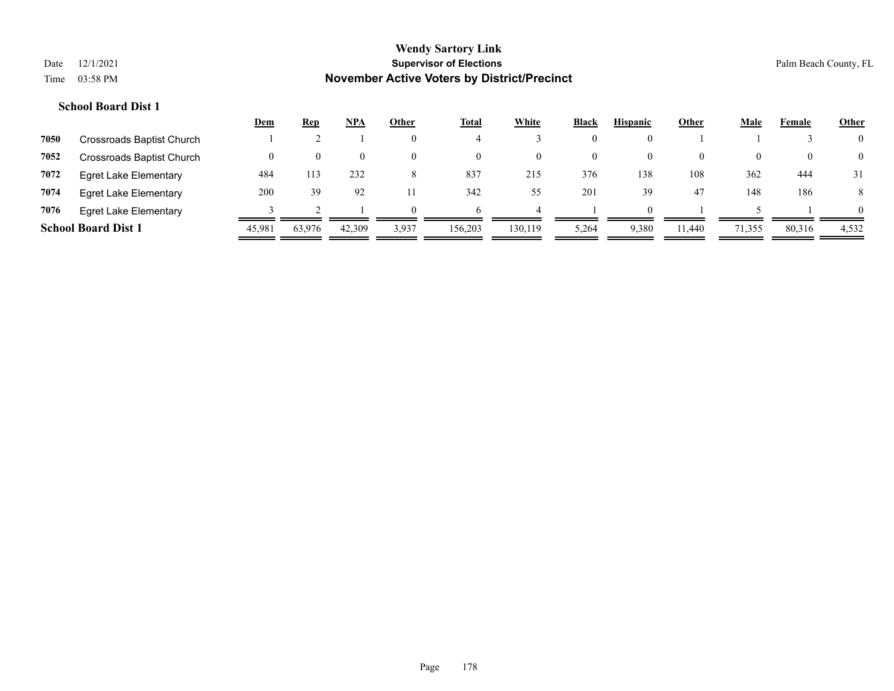|      |                              | <b>Dem</b> | <u>Rep</u> | <b>NPA</b> | Other    | <b>Total</b> | White    | <b>Black</b> | <b>Hispanic</b> | Other    | Male   | Female | <b>Other</b>   |
|------|------------------------------|------------|------------|------------|----------|--------------|----------|--------------|-----------------|----------|--------|--------|----------------|
| 7050 | Crossroads Baptist Church    |            |            |            | $\theta$ |              |          | $\theta$     |                 |          |        |        | $\overline{0}$ |
| 7052 | Crossroads Baptist Church    | $\theta$   | $\theta$   | $\Omega$   | $\theta$ | $\left($     | $\theta$ | 0            | $\theta$        | $\theta$ | 0      |        | $\overline{0}$ |
| 7072 | <b>Egret Lake Elementary</b> | 484        |            | 232        | 8        | 837          | 215      | 376          | 138             | 108      | 362    | 444    | 31             |
| 7074 | Egret Lake Elementary        | 200        | 39         | 92         |          | 342          | 55       | 201          | 39              | 47       | 148    | 186    | 8              |
| 7076 | <b>Egret Lake Elementary</b> |            |            |            | $\Omega$ |              |          |              | $\Omega$        |          |        |        | $\Omega$       |
|      | <b>School Board Dist 1</b>   | 45,981     | 63.976     | 42,309     | 3,937    | 156,203      | 130,119  | 5,264        | 9,380           | 11.440   | 71,355 | 80,316 | 4,532          |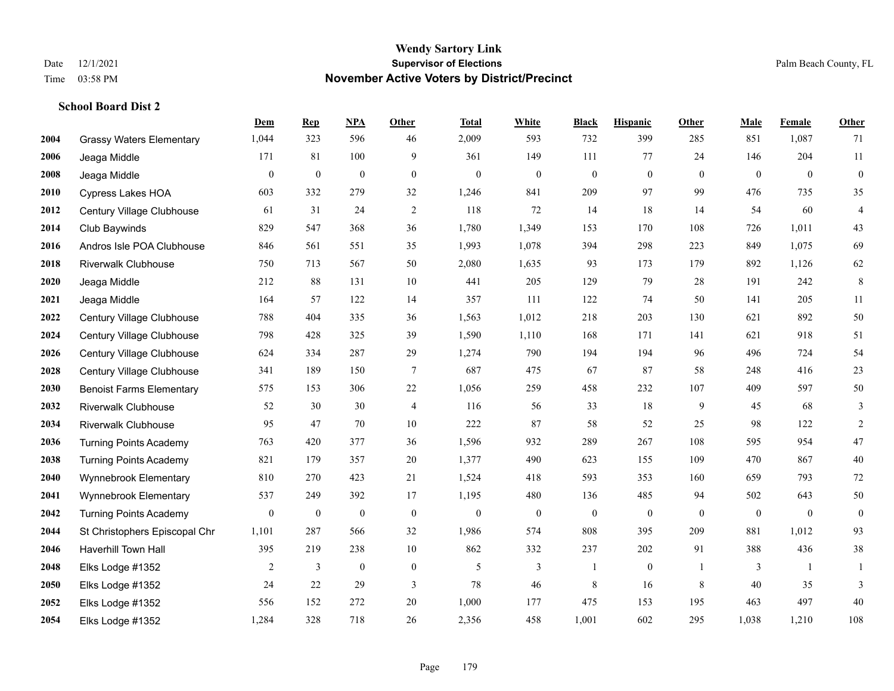|      |                                 | Dem              | <b>Rep</b>       | NPA              | <b>Other</b>   | <b>Total</b>     | <b>White</b>     | <b>Black</b>     | <b>Hispanic</b>  | <b>Other</b> | <b>Male</b>    | <b>Female</b>  | <b>Other</b>     |
|------|---------------------------------|------------------|------------------|------------------|----------------|------------------|------------------|------------------|------------------|--------------|----------------|----------------|------------------|
| 2004 | <b>Grassy Waters Elementary</b> | 1,044            | 323              | 596              | 46             | 2,009            | 593              | 732              | 399              | 285          | 851            | 1,087          | 71               |
| 2006 | Jeaga Middle                    | 171              | 81               | 100              | 9              | 361              | 149              | 111              | 77               | 24           | 146            | 204            | 11               |
| 2008 | Jeaga Middle                    | $\boldsymbol{0}$ | $\boldsymbol{0}$ | $\boldsymbol{0}$ | $\mathbf{0}$   | $\boldsymbol{0}$ | $\boldsymbol{0}$ | $\boldsymbol{0}$ | $\boldsymbol{0}$ | $\mathbf{0}$ | $\overline{0}$ | $\overline{0}$ | $\boldsymbol{0}$ |
| 2010 | <b>Cypress Lakes HOA</b>        | 603              | 332              | 279              | 32             | 1,246            | 841              | 209              | 97               | 99           | 476            | 735            | 35               |
| 2012 | Century Village Clubhouse       | 61               | 31               | 24               | 2              | 118              | 72               | 14               | 18               | 14           | 54             | 60             | $\overline{4}$   |
| 2014 | Club Baywinds                   | 829              | 547              | 368              | 36             | 1,780            | 1,349            | 153              | 170              | 108          | 726            | 1,011          | $43$             |
| 2016 | Andros Isle POA Clubhouse       | 846              | 561              | 551              | 35             | 1,993            | 1,078            | 394              | 298              | 223          | 849            | 1,075          | 69               |
| 2018 | <b>Riverwalk Clubhouse</b>      | 750              | 713              | 567              | 50             | 2,080            | 1,635            | 93               | 173              | 179          | 892            | 1,126          | 62               |
| 2020 | Jeaga Middle                    | 212              | 88               | 131              | 10             | 441              | 205              | 129              | 79               | 28           | 191            | 242            | 8                |
| 2021 | Jeaga Middle                    | 164              | 57               | 122              | 14             | 357              | 111              | 122              | 74               | 50           | 141            | 205            | 11               |
| 2022 | Century Village Clubhouse       | 788              | 404              | 335              | 36             | 1,563            | 1,012            | 218              | 203              | 130          | 621            | 892            | $50\,$           |
| 2024 | Century Village Clubhouse       | 798              | 428              | 325              | 39             | 1,590            | 1,110            | 168              | 171              | 141          | 621            | 918            | 51               |
| 2026 | Century Village Clubhouse       | 624              | 334              | 287              | 29             | 1,274            | 790              | 194              | 194              | 96           | 496            | 724            | 54               |
| 2028 | Century Village Clubhouse       | 341              | 189              | 150              | $\tau$         | 687              | 475              | 67               | 87               | 58           | 248            | 416            | 23               |
| 2030 | <b>Benoist Farms Elementary</b> | 575              | 153              | 306              | $22\,$         | 1,056            | 259              | 458              | 232              | 107          | 409            | 597            | $50\,$           |
| 2032 | <b>Riverwalk Clubhouse</b>      | 52               | 30               | 30               | $\overline{4}$ | 116              | 56               | 33               | 18               | 9            | 45             | 68             | 3                |
| 2034 | <b>Riverwalk Clubhouse</b>      | 95               | 47               | 70               | 10             | 222              | 87               | 58               | 52               | 25           | 98             | 122            | $\sqrt{2}$       |
| 2036 | <b>Turning Points Academy</b>   | 763              | 420              | 377              | 36             | 1,596            | 932              | 289              | 267              | 108          | 595            | 954            | 47               |
| 2038 | <b>Turning Points Academy</b>   | 821              | 179              | 357              | 20             | 1,377            | 490              | 623              | 155              | 109          | 470            | 867            | $40\,$           |
| 2040 | Wynnebrook Elementary           | 810              | 270              | 423              | 21             | 1,524            | 418              | 593              | 353              | 160          | 659            | 793            | $72\,$           |
| 2041 | Wynnebrook Elementary           | 537              | 249              | 392              | 17             | 1,195            | 480              | 136              | 485              | 94           | 502            | 643            | $50\,$           |
| 2042 | <b>Turning Points Academy</b>   | $\boldsymbol{0}$ | $\boldsymbol{0}$ | $\boldsymbol{0}$ | $\mathbf{0}$   | $\boldsymbol{0}$ | $\boldsymbol{0}$ | $\boldsymbol{0}$ | $\boldsymbol{0}$ | $\mathbf{0}$ | $\overline{0}$ | $\overline{0}$ | $\mathbf{0}$     |
| 2044 | St Christophers Episcopal Chr   | 1,101            | 287              | 566              | 32             | 1,986            | 574              | 808              | 395              | 209          | 881            | 1,012          | 93               |
| 2046 | <b>Haverhill Town Hall</b>      | 395              | 219              | 238              | 10             | 862              | 332              | 237              | 202              | 91           | 388            | 436            | $38\,$           |
| 2048 | Elks Lodge #1352                | 2                | 3                | $\theta$         | $\mathbf{0}$   | 5                | 3                | $\mathbf{1}$     | $\mathbf{0}$     | $\mathbf{1}$ | 3              | $\mathbf{1}$   | $\mathbf{1}$     |
| 2050 | Elks Lodge #1352                | 24               | 22               | 29               | 3              | 78               | 46               | 8                | 16               | 8            | 40             | 35             | 3                |
| 2052 | Elks Lodge #1352                | 556              | 152              | 272              | 20             | 1,000            | 177              | 475              | 153              | 195          | 463            | 497            | $40\,$           |
| 2054 | Elks Lodge #1352                | 1,284            | 328              | 718              | 26             | 2,356            | 458              | 1,001            | 602              | 295          | 1,038          | 1,210          | 108              |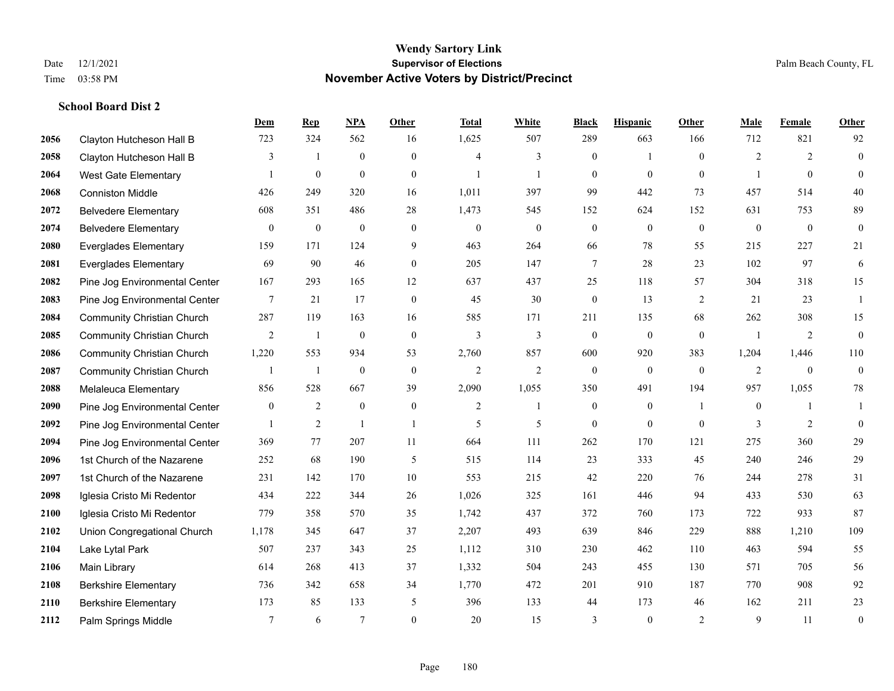|      |                                   | Dem             | <b>Rep</b>       | NPA              | <b>Other</b>   | <b>Total</b>   | <b>White</b>     | <b>Black</b>     | <b>Hispanic</b>  | Other          | <b>Male</b>    | Female       | <b>Other</b>     |
|------|-----------------------------------|-----------------|------------------|------------------|----------------|----------------|------------------|------------------|------------------|----------------|----------------|--------------|------------------|
| 2056 | Clayton Hutcheson Hall B          | 723             | 324              | 562              | 16             | 1,625          | 507              | 289              | 663              | 166            | 712            | 821          | 92               |
| 2058 | Clayton Hutcheson Hall B          | 3               | $\overline{1}$   | $\boldsymbol{0}$ | $\overline{0}$ | $\overline{4}$ | 3                | $\boldsymbol{0}$ | $\mathbf{1}$     | $\theta$       | $\overline{2}$ | 2            | $\boldsymbol{0}$ |
| 2064 | West Gate Elementary              | -1              | $\boldsymbol{0}$ | $\mathbf{0}$     | $\overline{0}$ | $\mathbf{1}$   | $\mathbf{1}$     | $\mathbf{0}$     | $\mathbf{0}$     | $\theta$       | 1              | $\theta$     | $\mathbf{0}$     |
| 2068 | <b>Conniston Middle</b>           | 426             | 249              | 320              | 16             | 1,011          | 397              | 99               | 442              | 73             | 457            | 514          | 40               |
| 2072 | <b>Belvedere Elementary</b>       | 608             | 351              | 486              | 28             | 1,473          | 545              | 152              | 624              | 152            | 631            | 753          | 89               |
| 2074 | <b>Belvedere Elementary</b>       | $\mathbf{0}$    | $\bf{0}$         | $\boldsymbol{0}$ | $\overline{0}$ | $\mathbf{0}$   | $\boldsymbol{0}$ | $\boldsymbol{0}$ | $\mathbf{0}$     | $\mathbf{0}$   | $\mathbf{0}$   | $\mathbf{0}$ | $\mathbf{0}$     |
| 2080 | <b>Everglades Elementary</b>      | 159             | 171              | 124              | 9              | 463            | 264              | 66               | 78               | 55             | 215            | 227          | 21               |
| 2081 | <b>Everglades Elementary</b>      | 69              | 90               | 46               | $\Omega$       | 205            | 147              | $\tau$           | 28               | 23             | 102            | 97           | 6                |
| 2082 | Pine Jog Environmental Center     | 167             | 293              | 165              | 12             | 637            | 437              | 25               | 118              | 57             | 304            | 318          | 15               |
| 2083 | Pine Jog Environmental Center     | 7               | 21               | 17               | $\mathbf{0}$   | 45             | 30               | $\boldsymbol{0}$ | 13               | 2              | 21             | 23           | 1                |
| 2084 | <b>Community Christian Church</b> | 287             | 119              | 163              | 16             | 585            | 171              | 211              | 135              | 68             | 262            | 308          | 15               |
| 2085 | <b>Community Christian Church</b> | 2               | 1                | $\boldsymbol{0}$ | $\mathbf{0}$   | 3              | 3                | $\boldsymbol{0}$ | $\mathbf{0}$     | $\overline{0}$ | $\overline{1}$ | 2            | $\boldsymbol{0}$ |
| 2086 | <b>Community Christian Church</b> | 1,220           | 553              | 934              | 53             | 2,760          | 857              | 600              | 920              | 383            | 1,204          | 1,446        | 110              |
| 2087 | <b>Community Christian Church</b> | 1               | $\mathbf{1}$     | $\boldsymbol{0}$ | $\mathbf{0}$   | $\mathfrak{2}$ | $\overline{2}$   | $\boldsymbol{0}$ | $\boldsymbol{0}$ | $\mathbf{0}$   | 2              | $\mathbf{0}$ | $\boldsymbol{0}$ |
| 2088 | Melaleuca Elementary              | 856             | 528              | 667              | 39             | 2,090          | 1,055            | 350              | 491              | 194            | 957            | 1,055        | 78               |
| 2090 | Pine Jog Environmental Center     | $\overline{0}$  | $\overline{2}$   | $\mathbf{0}$     | $\mathbf{0}$   | $\overline{2}$ | $\mathbf{1}$     | $\boldsymbol{0}$ | $\mathbf{0}$     | $\overline{1}$ | $\overline{0}$ | $\mathbf{1}$ | -1               |
| 2092 | Pine Jog Environmental Center     | $\mathbf{1}$    | $\overline{2}$   | $\overline{1}$   | $\overline{1}$ | 5              | 5                | $\mathbf{0}$     | $\mathbf{0}$     | $\theta$       | 3              | 2            | $\mathbf{0}$     |
| 2094 | Pine Jog Environmental Center     | 369             | 77               | 207              | 11             | 664            | 111              | 262              | 170              | 121            | 275            | 360          | 29               |
| 2096 | 1st Church of the Nazarene        | 252             | 68               | 190              | 5              | 515            | 114              | 23               | 333              | 45             | 240            | 246          | $29\,$           |
| 2097 | 1st Church of the Nazarene        | 231             | 142              | 170              | 10             | 553            | 215              | 42               | 220              | 76             | 244            | 278          | 31               |
| 2098 | Iglesia Cristo Mi Redentor        | 434             | 222              | 344              | 26             | 1,026          | 325              | 161              | 446              | 94             | 433            | 530          | 63               |
| 2100 | Iglesia Cristo Mi Redentor        | 779             | 358              | 570              | 35             | 1,742          | 437              | 372              | 760              | 173            | 722            | 933          | 87               |
| 2102 | Union Congregational Church       | 1,178           | 345              | 647              | 37             | 2,207          | 493              | 639              | 846              | 229            | 888            | 1,210        | 109              |
| 2104 | Lake Lytal Park                   | 507             | 237              | 343              | 25             | 1,112          | 310              | 230              | 462              | 110            | 463            | 594          | 55               |
| 2106 | Main Library                      | 614             | 268              | 413              | 37             | 1,332          | 504              | 243              | 455              | 130            | 571            | 705          | 56               |
| 2108 | <b>Berkshire Elementary</b>       | 736             | 342              | 658              | 34             | 1,770          | 472              | 201              | 910              | 187            | 770            | 908          | 92               |
| 2110 | <b>Berkshire Elementary</b>       | 173             | 85               | 133              | 5              | 396            | 133              | 44               | 173              | 46             | 162            | 211          | 23               |
| 2112 | Palm Springs Middle               | $7\phantom{.0}$ | 6                | $7\phantom{.0}$  | $\theta$       | 20             | 15               | 3                | $\mathbf{0}$     | 2              | 9              | 11           | $\boldsymbol{0}$ |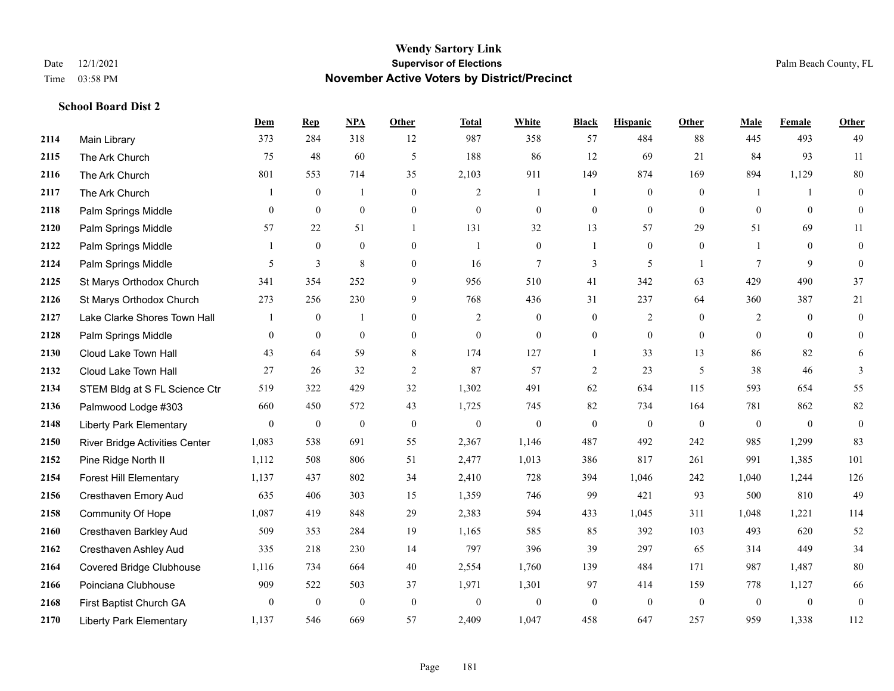**School Board Dist 2**

#### **Wendy Sartory Link** Date 12/1/2021 **Supervisor of Elections** Palm Beach County, FL Time 03:58 PM **November Active Voters by District/Precinct**

**Dem Rep NPA Other Total White Black Hispanic Other Male Female Other**

# Main Library 373 284 318 12 987 358 57 484 88 445 493 49 The Ark Church 75 48 60 5 188 86 12 69 21 84 93 11 The Ark Church 801 553 714 35 2,103 911 149 874 169 894 1,129 80 The Ark Church 1 0 1 0 2 1 1 0 0 1 1 0 Palm Springs Middle 0 0 0 0 0 0 0 0 0 0 0 0 Palm Springs Middle 57 22 51 1 131 32 13 57 29 51 69 11 Palm Springs Middle 1 0 0 0 1 0 1 0 0 1 0 0 Palm Springs Middle 5 3 8 0 16 7 3 5 1 7 9 0 St Marys Orthodox Church 341 354 252 9 956 510 41 342 63 429 490 37 St Marys Orthodox Church 273 256 230 9 768 436 31 237 64 360 387 21 Lake Clarke Shores Town Hall  $\begin{array}{ccccccccc} 1 & 0 & 1 & 0 & 2 & 0 & 0 & 2 & 0 & 2 & 0 & 0 \end{array}$  Palm Springs Middle 0 0 0 0 0 0 0 0 0 0 0 0 Cloud Lake Town Hall 43 64 59 8 174 127 1 33 13 86 82 6 Cloud Lake Town Hall 27 26 32 2 87 57 2 23 5 38 46 3 STEM Bldg at S FL Science Ctr 519 322 429 32 1,302 491 62 634 115 593 654 55 Palmwood Lodge #303 660 450 572 43 1,725 745 82 734 164 781 862 82 Liberty Park Elementary 0 0 0 0 0 0 0 0 0 0 0 0 River Bridge Activities Center 1,083 538 691 55 2,367 1,146 487 492 242 985 1,299 83 Pine Ridge North II 1,112 508 806 51 2,477 1,013 386 817 261 991 1,385 101 Forest Hill Elementary 1,137 437 802 34 2,410 728 394 1,046 242 1,040 1,244 126 Cresthaven Emory Aud 635 406 303 15 1,359 746 99 421 93 500 810 49 Community Of Hope 1,087 419 848 29 2,383 594 433 1,045 311 1,048 1,221 114 Cresthaven Barkley Aud 509 353 284 19 1,165 585 85 392 103 493 620 52 Cresthaven Ashley Aud 335 218 230 14 797 396 39 297 65 314 449 34 Covered Bridge Clubhouse 1,116 734 664 40 2,554 1,760 139 484 171 987 1,487 80 Poinciana Clubhouse 909 522 503 37 1,971 1,301 97 414 159 778 1,127 66 First Baptist Church GA 0 0 0 0 0 0 0 0 0 0 0 0

Liberty Park Elementary 1,137 546 669 57 2,409 1,047 458 647 257 959 1,338 112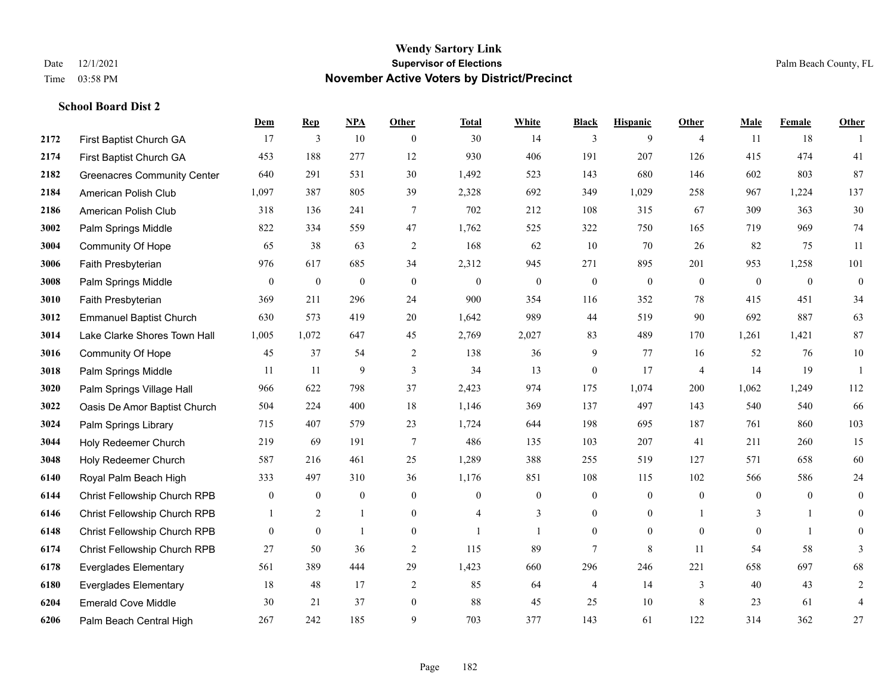**School Board Dist 2**

## **Wendy Sartory Link** Date 12/1/2021 **Supervisor of Elections** Palm Beach County, FL Time 03:58 PM **November Active Voters by District/Precinct**

# **Dem Rep NPA Other Total White Black Hispanic Other Male Female Other** First Baptist Church GA 17 3 10 0 30 14 3 9 4 11 18 1 First Baptist Church GA 453 188 277 12 930 406 191 207 126 415 474 41 Greenacres Community Center 640 291 531 30 1,492 523 143 680 146 602 803 87 American Polish Club 1,097 387 805 39 2,328 692 349 1,029 258 967 1,224 137 American Polish Club 318 136 241 7 702 212 108 315 67 309 363 30 Palm Springs Middle 822 334 559 47 1,762 525 322 750 165 719 969 74 Community Of Hope 65 38 63 2 168 62 10 70 26 82 75 11 Faith Presbyterian 976 617 685 34 2,312 945 271 895 201 953 1,258 101 Palm Springs Middle 0 0 0 0 0 0 0 0 0 0 0 0 Faith Presbyterian 369 211 296 24 900 354 116 352 78 415 451 34 Emmanuel Baptist Church 630 573 419 20 1,642 989 44 519 90 692 887 63 Lake Clarke Shores Town Hall 1,005 1,072 647 45 2,769 2,027 83 489 170 1,261 1,421 87 Community Of Hope 45 37 54 2 138 36 9 77 16 52 76 10 Palm Springs Middle 1 11 11 9 3 34 13 0 17 4 14 19 1 Palm Springs Village Hall 966 622 798 37 2,423 974 175 1,074 200 1,062 1,249 112 Oasis De Amor Baptist Church 504 224 400 18 1,146 369 137 497 143 540 540 66 Palm Springs Library 715 407 579 23 1,724 644 198 695 187 761 860 103 Holy Redeemer Church 219 69 191 7 486 135 103 207 41 211 260 15 Holy Redeemer Church 587 216 461 25 1,289 388 255 519 127 571 658 60 Royal Palm Beach High 333 497 310 36 1,176 851 108 115 102 566 586 24 Christ Fellowship Church RPB 0 0 0 0 0 0 0 0 0 0 0 0 Christ Fellowship Church RPB 1 2 1 0 4 3 0 0 1 3 1 0 Christ Fellowship Church RPB 0 0 1 0 1 1 0 0 0 0 1 0 Christ Fellowship Church RPB 27 50 36 2 115 89 7 8 11 54 58 3 Everglades Elementary 561 389 444 29 1,423 660 296 246 221 658 697 68 Everglades Elementary 18 48 17 2 85 64 4 14 3 40 43 2 Emerald Cove Middle 30 21 37 0 88 45 25 10 8 23 61 4 Palm Beach Central High 267 242 185 9 703 377 143 61 122 314 362 27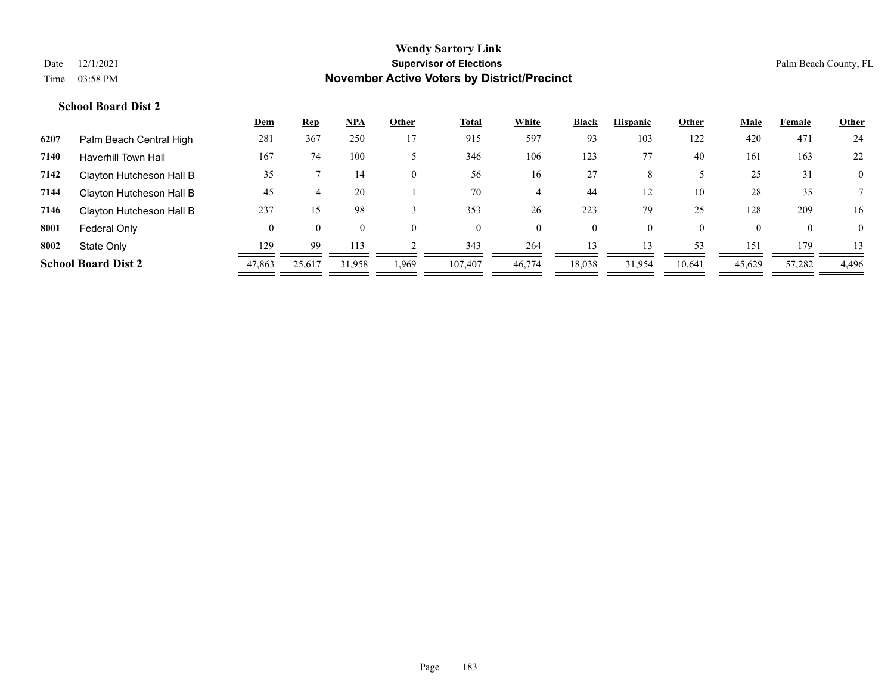|      |                            | <u>Dem</u> | <b>Rep</b> | <u>NPA</u> | Other          | <u>Total</u> | <b>White</b> | Black    | <b>Hispanic</b> | Other    | <u>Male</u> | Female       | <b>Other</b>   |
|------|----------------------------|------------|------------|------------|----------------|--------------|--------------|----------|-----------------|----------|-------------|--------------|----------------|
| 6207 | Palm Beach Central High    | 281        | 367        | 250        | 17             | 915          | 597          | 93       | 103             | 122      | 420         | 471          | 24             |
| 7140 | <b>Haverhill Town Hall</b> | 167        | 74         | 100        |                | 346          | 106          | 123      | 77              | 40       | 161         | 163          | 22             |
| 7142 | Clayton Hutcheson Hall B   | 35         |            | 14         | $\overline{0}$ | 56           | 16           | 27       | 8               |          | 25          | 31           | $\overline{0}$ |
| 7144 | Clayton Hutcheson Hall B   | 45         |            | 20         |                | 70           |              | 44       | 12              | 10       | 28          | 35           |                |
| 7146 | Clayton Hutcheson Hall B   | 237        | 15         | 98         |                | 353          | 26           | 223      | 79              | 25       | 128         | 209          | 16             |
| 8001 | Federal Only               | $\theta$   | $\theta$   |            | $\Omega$       | $\theta$     | $\theta$     | $\Omega$ | $\Omega$        | $\theta$ |             | $\mathbf{0}$ | $\theta$       |
| 8002 | State Only                 | 129        | 99         | 113        |                | 343          | 264          | 13       | 13              | 53       | 151         | 179          | 13             |
|      | <b>School Board Dist 2</b> | 47,863     | 25,617     | 31,958     | 1,969          | 107.407      | 46,774       | 18,038   | 31,954          | 10,641   | 45,629      | 57,282       | 4,496          |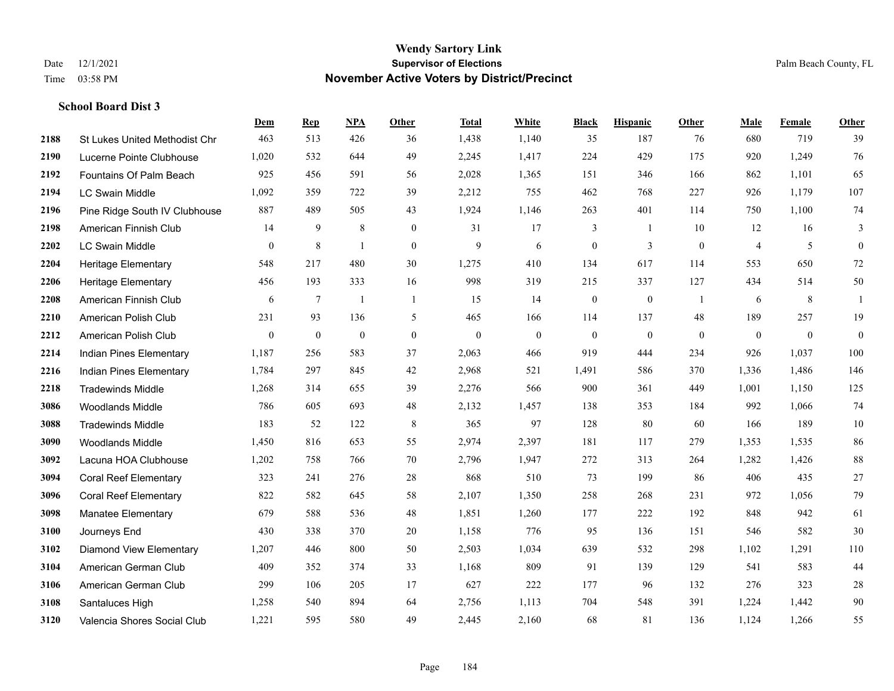|      |                                | Dem          | <b>Rep</b>       | <b>NPA</b>       | <b>Other</b>   | <b>Total</b>     | White            | <b>Black</b>     | <b>Hispanic</b>  | Other        | Male             | Female       | Other        |
|------|--------------------------------|--------------|------------------|------------------|----------------|------------------|------------------|------------------|------------------|--------------|------------------|--------------|--------------|
| 2188 | St Lukes United Methodist Chr  | 463          | 513              | 426              | 36             | 1,438            | 1,140            | 35               | 187              | 76           | 680              | 719          | 39           |
| 2190 | Lucerne Pointe Clubhouse       | 1,020        | 532              | 644              | 49             | 2,245            | 1,417            | 224              | 429              | 175          | 920              | 1,249        | 76           |
| 2192 | Fountains Of Palm Beach        | 925          | 456              | 591              | 56             | 2,028            | 1,365            | 151              | 346              | 166          | 862              | 1,101        | 65           |
| 2194 | <b>LC Swain Middle</b>         | 1,092        | 359              | 722              | 39             | 2,212            | 755              | 462              | 768              | 227          | 926              | 1,179        | 107          |
| 2196 | Pine Ridge South IV Clubhouse  | 887          | 489              | 505              | 43             | 1,924            | 1,146            | 263              | 401              | 114          | 750              | 1,100        | 74           |
| 2198 | American Finnish Club          | 14           | 9                | $\,$ 8 $\,$      | $\overline{0}$ | 31               | 17               | 3                | 1                | 10           | 12               | 16           | 3            |
| 2202 | LC Swain Middle                | $\mathbf{0}$ | $\,8\,$          | -1               | $\overline{0}$ | 9                | 6                | $\boldsymbol{0}$ | 3                | $\mathbf{0}$ | $\overline{4}$   | 5            | $\mathbf{0}$ |
| 2204 | <b>Heritage Elementary</b>     | 548          | 217              | 480              | 30             | 1,275            | 410              | 134              | 617              | 114          | 553              | 650          | $72\,$       |
| 2206 | <b>Heritage Elementary</b>     | 456          | 193              | 333              | 16             | 998              | 319              | 215              | 337              | 127          | 434              | 514          | 50           |
| 2208 | American Finnish Club          | 6            | $\overline{7}$   | $\mathbf{1}$     | $\overline{1}$ | 15               | 14               | $\boldsymbol{0}$ | $\boldsymbol{0}$ | -1           | 6                | 8            | $\mathbf{1}$ |
| 2210 | American Polish Club           | 231          | 93               | 136              | 5              | 465              | 166              | 114              | 137              | 48           | 189              | 257          | 19           |
| 2212 | American Polish Club           | $\mathbf{0}$ | $\boldsymbol{0}$ | $\boldsymbol{0}$ | $\mathbf{0}$   | $\boldsymbol{0}$ | $\boldsymbol{0}$ | $\boldsymbol{0}$ | $\boldsymbol{0}$ | $\mathbf{0}$ | $\boldsymbol{0}$ | $\mathbf{0}$ | $\mathbf{0}$ |
| 2214 | Indian Pines Elementary        | 1,187        | 256              | 583              | 37             | 2,063            | 466              | 919              | 444              | 234          | 926              | 1,037        | 100          |
| 2216 | <b>Indian Pines Elementary</b> | 1,784        | 297              | 845              | 42             | 2,968            | 521              | 1,491            | 586              | 370          | 1,336            | 1,486        | 146          |
| 2218 | <b>Tradewinds Middle</b>       | 1,268        | 314              | 655              | 39             | 2,276            | 566              | 900              | 361              | 449          | 1,001            | 1,150        | 125          |
| 3086 | <b>Woodlands Middle</b>        | 786          | 605              | 693              | 48             | 2,132            | 1,457            | 138              | 353              | 184          | 992              | 1,066        | 74           |
| 3088 | <b>Tradewinds Middle</b>       | 183          | 52               | 122              | 8              | 365              | 97               | 128              | 80               | 60           | 166              | 189          | 10           |
| 3090 | <b>Woodlands Middle</b>        | 1,450        | 816              | 653              | 55             | 2,974            | 2,397            | 181              | 117              | 279          | 1,353            | 1.535        | 86           |
| 3092 | Lacuna HOA Clubhouse           | 1,202        | 758              | 766              | 70             | 2,796            | 1,947            | 272              | 313              | 264          | 1,282            | 1,426        | $88\,$       |
| 3094 | <b>Coral Reef Elementary</b>   | 323          | 241              | 276              | $28\,$         | 868              | 510              | 73               | 199              | 86           | 406              | 435          | $27\,$       |
| 3096 | <b>Coral Reef Elementary</b>   | 822          | 582              | 645              | 58             | 2,107            | 1,350            | 258              | 268              | 231          | 972              | 1,056        | 79           |
| 3098 | Manatee Elementary             | 679          | 588              | 536              | 48             | 1,851            | 1,260            | 177              | 222              | 192          | 848              | 942          | 61           |
| 3100 | Journeys End                   | 430          | 338              | 370              | 20             | 1,158            | 776              | 95               | 136              | 151          | 546              | 582          | 30           |
| 3102 | Diamond View Elementary        | 1,207        | 446              | 800              | 50             | 2,503            | 1,034            | 639              | 532              | 298          | 1,102            | 1,291        | 110          |
| 3104 | American German Club           | 409          | 352              | 374              | 33             | 1,168            | 809              | 91               | 139              | 129          | 541              | 583          | $44$         |
| 3106 | American German Club           | 299          | 106              | 205              | 17             | 627              | 222              | 177              | 96               | 132          | 276              | 323          | $28\,$       |
| 3108 | Santaluces High                | 1,258        | 540              | 894              | 64             | 2,756            | 1,113            | 704              | 548              | 391          | 1,224            | 1,442        | $90\,$       |
| 3120 | Valencia Shores Social Club    | 1,221        | 595              | 580              | 49             | 2,445            | 2,160            | 68               | 81               | 136          | 1,124            | 1,266        | 55           |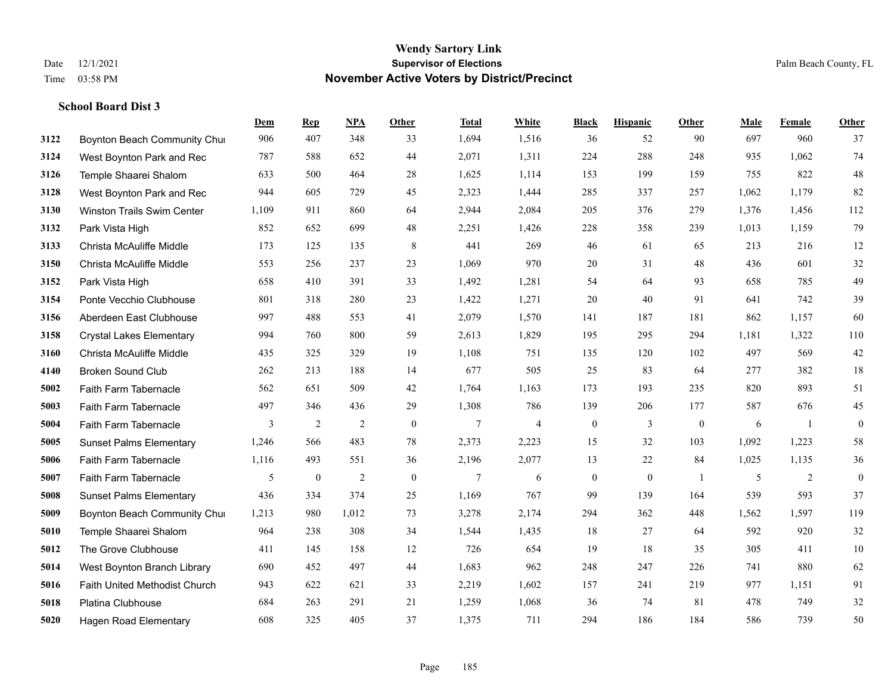|      |                                 | Dem            | <b>Rep</b>   | NPA            | <b>Other</b> | <b>Total</b> | <b>White</b>   | <b>Black</b>     | <b>Hispanic</b> | <b>Other</b>   | <b>Male</b> | Female | <b>Other</b> |
|------|---------------------------------|----------------|--------------|----------------|--------------|--------------|----------------|------------------|-----------------|----------------|-------------|--------|--------------|
| 3122 | Boynton Beach Community Chur    | 906            | 407          | 348            | 33           | 1,694        | 1,516          | 36               | 52              | 90             | 697         | 960    | 37           |
| 3124 | West Boynton Park and Rec       | 787            | 588          | 652            | 44           | 2,071        | 1,311          | 224              | 288             | 248            | 935         | 1.062  | 74           |
| 3126 | Temple Shaarei Shalom           | 633            | 500          | 464            | 28           | 1,625        | 1,114          | 153              | 199             | 159            | 755         | 822    | $48\,$       |
| 3128 | West Boynton Park and Rec       | 944            | 605          | 729            | 45           | 2,323        | 1,444          | 285              | 337             | 257            | 1,062       | 1,179  | 82           |
| 3130 | Winston Trails Swim Center      | 1,109          | 911          | 860            | 64           | 2,944        | 2,084          | 205              | 376             | 279            | 1,376       | 1,456  | 112          |
| 3132 | Park Vista High                 | 852            | 652          | 699            | 48           | 2,251        | 1,426          | 228              | 358             | 239            | 1,013       | 1,159  | 79           |
| 3133 | Christa McAuliffe Middle        | 173            | 125          | 135            | $\,8\,$      | 441          | 269            | 46               | 61              | 65             | 213         | 216    | 12           |
| 3150 | Christa McAuliffe Middle        | 553            | 256          | 237            | 23           | 1,069        | 970            | 20               | 31              | 48             | 436         | 601    | $32\,$       |
| 3152 | Park Vista High                 | 658            | 410          | 391            | 33           | 1,492        | 1,281          | 54               | 64              | 93             | 658         | 785    | 49           |
| 3154 | Ponte Vecchio Clubhouse         | 801            | 318          | 280            | 23           | 1,422        | 1,271          | 20               | 40              | 91             | 641         | 742    | 39           |
| 3156 | Aberdeen East Clubhouse         | 997            | 488          | 553            | 41           | 2,079        | 1,570          | 141              | 187             | 181            | 862         | 1,157  | 60           |
| 3158 | <b>Crystal Lakes Elementary</b> | 994            | 760          | 800            | 59           | 2,613        | 1,829          | 195              | 295             | 294            | 1,181       | 1,322  | 110          |
| 3160 | Christa McAuliffe Middle        | 435            | 325          | 329            | 19           | 1,108        | 751            | 135              | 120             | 102            | 497         | 569    | 42           |
| 4140 | <b>Broken Sound Club</b>        | 262            | 213          | 188            | 14           | 677          | 505            | 25               | 83              | 64             | 277         | 382    | $18\,$       |
| 5002 | Faith Farm Tabernacle           | 562            | 651          | 509            | 42           | 1,764        | 1,163          | 173              | 193             | 235            | 820         | 893    | 51           |
| 5003 | Faith Farm Tabernacle           | 497            | 346          | 436            | 29           | 1,308        | 786            | 139              | 206             | 177            | 587         | 676    | 45           |
| 5004 | Faith Farm Tabernacle           | $\overline{3}$ | 2            | $\overline{2}$ | $\mathbf{0}$ | 7            | $\overline{4}$ | $\boldsymbol{0}$ | $\overline{3}$  | $\mathbf{0}$   | 6           | -1     | $\mathbf{0}$ |
| 5005 | <b>Sunset Palms Elementary</b>  | 1,246          | 566          | 483            | 78           | 2,373        | 2,223          | 15               | 32              | 103            | 1,092       | 1,223  | 58           |
| 5006 | Faith Farm Tabernacle           | 1,116          | 493          | 551            | 36           | 2,196        | 2,077          | 13               | 22              | 84             | 1,025       | 1,135  | $36\,$       |
| 5007 | Faith Farm Tabernacle           | 5              | $\mathbf{0}$ | 2              | $\mathbf{0}$ | $\tau$       | 6              | $\boldsymbol{0}$ | $\mathbf{0}$    | $\overline{1}$ | 5           | 2      | $\mathbf{0}$ |
| 5008 | <b>Sunset Palms Elementary</b>  | 436            | 334          | 374            | 25           | 1,169        | 767            | 99               | 139             | 164            | 539         | 593    | 37           |
| 5009 | Boynton Beach Community Chur    | 1,213          | 980          | 1,012          | 73           | 3,278        | 2,174          | 294              | 362             | 448            | 1,562       | 1,597  | 119          |
| 5010 | Temple Shaarei Shalom           | 964            | 238          | 308            | 34           | 1,544        | 1,435          | 18               | 27              | 64             | 592         | 920    | $32\,$       |
| 5012 | The Grove Clubhouse             | 411            | 145          | 158            | 12           | 726          | 654            | 19               | 18              | 35             | 305         | 411    | 10           |
| 5014 | West Boynton Branch Library     | 690            | 452          | 497            | 44           | 1,683        | 962            | 248              | 247             | 226            | 741         | 880    | 62           |
| 5016 | Faith United Methodist Church   | 943            | 622          | 621            | 33           | 2,219        | 1,602          | 157              | 241             | 219            | 977         | 1,151  | 91           |
| 5018 | Platina Clubhouse               | 684            | 263          | 291            | 21           | 1,259        | 1,068          | 36               | 74              | 81             | 478         | 749    | $32\,$       |
| 5020 | <b>Hagen Road Elementary</b>    | 608            | 325          | 405            | 37           | 1,375        | 711            | 294              | 186             | 184            | 586         | 739    | 50           |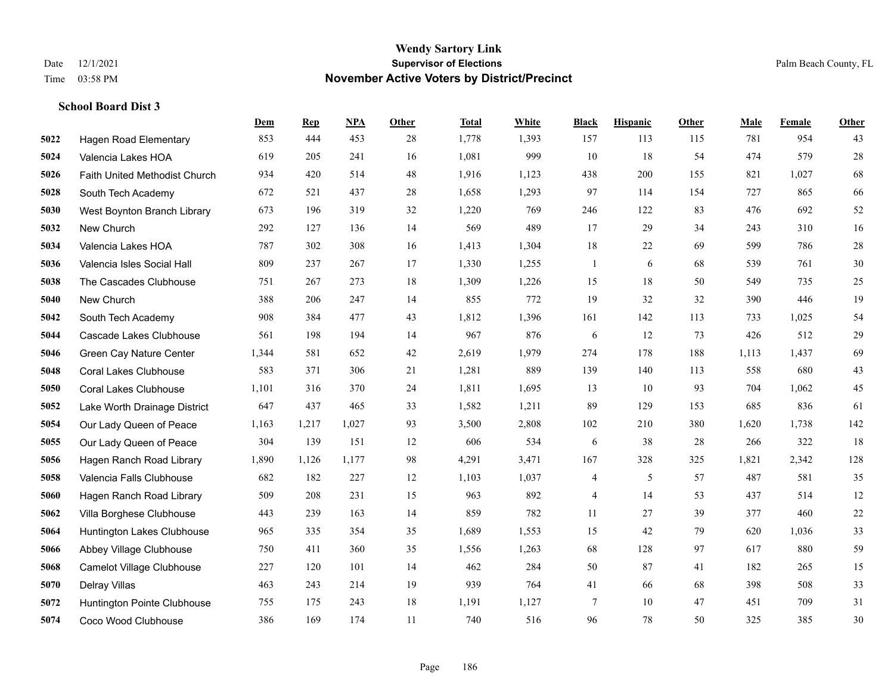|      |                               | Dem   | <b>Rep</b> | NPA   | <b>Other</b> | <b>Total</b> | White | <b>Black</b>             | <b>Hispanic</b> | <b>Other</b> | <b>Male</b> | Female | <b>Other</b> |
|------|-------------------------------|-------|------------|-------|--------------|--------------|-------|--------------------------|-----------------|--------------|-------------|--------|--------------|
| 5022 | <b>Hagen Road Elementary</b>  | 853   | 444        | 453   | 28           | 1,778        | 1,393 | 157                      | 113             | 115          | 781         | 954    | 43           |
| 5024 | Valencia Lakes HOA            | 619   | 205        | 241   | 16           | 1,081        | 999   | 10                       | 18              | 54           | 474         | 579    | $28\,$       |
| 5026 | Faith United Methodist Church | 934   | 420        | 514   | 48           | 1,916        | 1,123 | 438                      | 200             | 155          | 821         | 1,027  | 68           |
| 5028 | South Tech Academy            | 672   | 521        | 437   | 28           | 1,658        | 1,293 | 97                       | 114             | 154          | 727         | 865    | 66           |
| 5030 | West Boynton Branch Library   | 673   | 196        | 319   | 32           | 1,220        | 769   | 246                      | 122             | 83           | 476         | 692    | 52           |
| 5032 | New Church                    | 292   | 127        | 136   | 14           | 569          | 489   | 17                       | 29              | 34           | 243         | 310    | 16           |
| 5034 | Valencia Lakes HOA            | 787   | 302        | 308   | 16           | 1,413        | 1,304 | 18                       | 22              | 69           | 599         | 786    | $28\,$       |
| 5036 | Valencia Isles Social Hall    | 809   | 237        | 267   | 17           | 1,330        | 1,255 | $\mathbf{1}$             | 6               | 68           | 539         | 761    | 30           |
| 5038 | The Cascades Clubhouse        | 751   | 267        | 273   | 18           | 1,309        | 1,226 | 15                       | 18              | 50           | 549         | 735    | $25\,$       |
| 5040 | New Church                    | 388   | 206        | 247   | 14           | 855          | 772   | 19                       | 32              | 32           | 390         | 446    | 19           |
| 5042 | South Tech Academy            | 908   | 384        | 477   | 43           | 1,812        | 1,396 | 161                      | 142             | 113          | 733         | 1,025  | 54           |
| 5044 | Cascade Lakes Clubhouse       | 561   | 198        | 194   | 14           | 967          | 876   | 6                        | 12              | 73           | 426         | 512    | $29\,$       |
| 5046 | Green Cay Nature Center       | 1,344 | 581        | 652   | 42           | 2,619        | 1,979 | 274                      | 178             | 188          | 1,113       | 1,437  | 69           |
| 5048 | <b>Coral Lakes Clubhouse</b>  | 583   | 371        | 306   | 21           | 1,281        | 889   | 139                      | 140             | 113          | 558         | 680    | 43           |
| 5050 | <b>Coral Lakes Clubhouse</b>  | 1,101 | 316        | 370   | 24           | 1,811        | 1,695 | 13                       | 10              | 93           | 704         | 1,062  | 45           |
| 5052 | Lake Worth Drainage District  | 647   | 437        | 465   | 33           | 1,582        | 1,211 | 89                       | 129             | 153          | 685         | 836    | 61           |
| 5054 | Our Lady Queen of Peace       | 1,163 | 1,217      | 1,027 | 93           | 3,500        | 2,808 | 102                      | 210             | 380          | 1,620       | 1,738  | 142          |
| 5055 | Our Lady Queen of Peace       | 304   | 139        | 151   | 12           | 606          | 534   | 6                        | 38              | 28           | 266         | 322    | 18           |
| 5056 | Hagen Ranch Road Library      | 1,890 | 1,126      | 1,177 | 98           | 4,291        | 3,471 | 167                      | 328             | 325          | 1,821       | 2,342  | 128          |
| 5058 | Valencia Falls Clubhouse      | 682   | 182        | 227   | 12           | 1,103        | 1,037 | $\overline{\mathcal{A}}$ | 5               | 57           | 487         | 581    | 35           |
| 5060 | Hagen Ranch Road Library      | 509   | 208        | 231   | 15           | 963          | 892   | 4                        | 14              | 53           | 437         | 514    | 12           |
| 5062 | Villa Borghese Clubhouse      | 443   | 239        | 163   | 14           | 859          | 782   | 11                       | 27              | 39           | 377         | 460    | $22\,$       |
| 5064 | Huntington Lakes Clubhouse    | 965   | 335        | 354   | 35           | 1,689        | 1,553 | 15                       | 42              | 79           | 620         | 1,036  | 33           |
| 5066 | Abbey Village Clubhouse       | 750   | 411        | 360   | 35           | 1,556        | 1,263 | 68                       | 128             | 97           | 617         | 880    | 59           |
| 5068 | Camelot Village Clubhouse     | 227   | 120        | 101   | 14           | 462          | 284   | 50                       | 87              | 41           | 182         | 265    | 15           |
| 5070 | Delray Villas                 | 463   | 243        | 214   | 19           | 939          | 764   | 41                       | 66              | 68           | 398         | 508    | 33           |
| 5072 | Huntington Pointe Clubhouse   | 755   | 175        | 243   | 18           | 1,191        | 1,127 | $\overline{7}$           | 10              | 47           | 451         | 709    | 31           |
| 5074 | Coco Wood Clubhouse           | 386   | 169        | 174   | 11           | 740          | 516   | 96                       | 78              | 50           | 325         | 385    | 30           |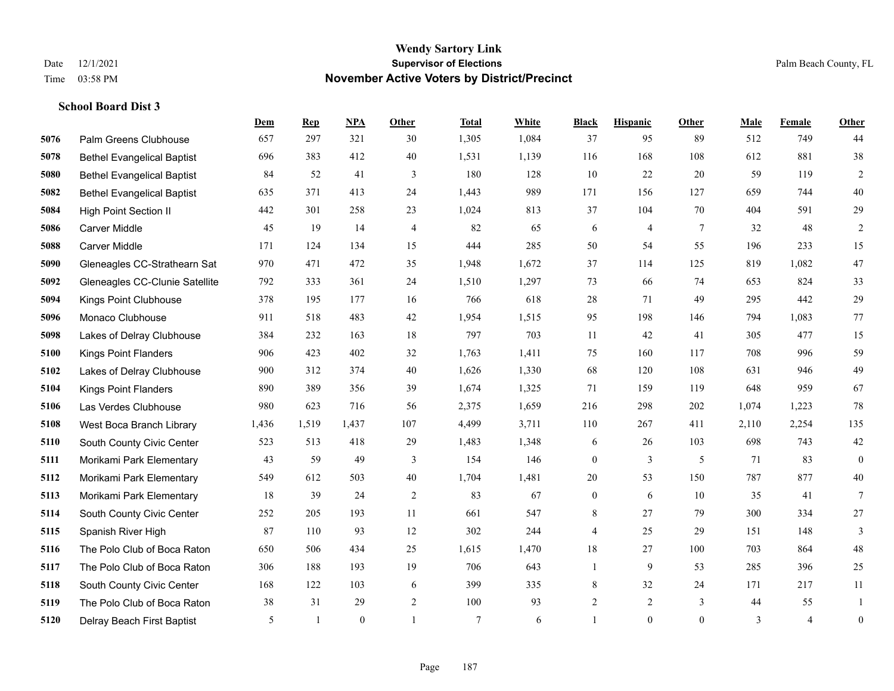|      |                                   | Dem   | <b>Rep</b>   | NPA          | <b>Other</b> | <b>Total</b>   | White | <b>Black</b>     | <b>Hispanic</b> | <b>Other</b> | <b>Male</b> | Female         | <b>Other</b>     |
|------|-----------------------------------|-------|--------------|--------------|--------------|----------------|-------|------------------|-----------------|--------------|-------------|----------------|------------------|
| 5076 | Palm Greens Clubhouse             | 657   | 297          | 321          | 30           | 1,305          | 1,084 | 37               | 95              | 89           | 512         | 749            | 44               |
| 5078 | <b>Bethel Evangelical Baptist</b> | 696   | 383          | 412          | 40           | 1,531          | 1,139 | 116              | 168             | 108          | 612         | 881            | 38               |
| 5080 | <b>Bethel Evangelical Baptist</b> | 84    | 52           | 41           | 3            | 180            | 128   | 10               | 22              | 20           | 59          | 119            | $\overline{c}$   |
| 5082 | <b>Bethel Evangelical Baptist</b> | 635   | 371          | 413          | 24           | 1,443          | 989   | 171              | 156             | 127          | 659         | 744            | $40\,$           |
| 5084 | <b>High Point Section II</b>      | 442   | 301          | 258          | 23           | 1,024          | 813   | 37               | 104             | 70           | 404         | 591            | 29               |
| 5086 | <b>Carver Middle</b>              | 45    | 19           | 14           | 4            | 82             | 65    | 6                | $\overline{4}$  | 7            | 32          | 48             | $\overline{c}$   |
| 5088 | Carver Middle                     | 171   | 124          | 134          | 15           | 444            | 285   | 50               | 54              | 55           | 196         | 233            | 15               |
| 5090 | Gleneagles CC-Strathearn Sat      | 970   | 471          | 472          | 35           | 1,948          | 1,672 | 37               | 114             | 125          | 819         | 1.082          | 47               |
| 5092 | Gleneagles CC-Clunie Satellite    | 792   | 333          | 361          | 24           | 1,510          | 1,297 | 73               | 66              | 74           | 653         | 824            | 33               |
| 5094 | Kings Point Clubhouse             | 378   | 195          | 177          | 16           | 766            | 618   | 28               | 71              | 49           | 295         | 442            | 29               |
| 5096 | Monaco Clubhouse                  | 911   | 518          | 483          | 42           | 1,954          | 1,515 | 95               | 198             | 146          | 794         | 1.083          | 77               |
| 5098 | Lakes of Delray Clubhouse         | 384   | 232          | 163          | 18           | 797            | 703   | 11               | 42              | 41           | 305         | 477            | 15               |
| 5100 | <b>Kings Point Flanders</b>       | 906   | 423          | 402          | 32           | 1,763          | 1,411 | 75               | 160             | 117          | 708         | 996            | 59               |
| 5102 | Lakes of Delray Clubhouse         | 900   | 312          | 374          | 40           | 1,626          | 1,330 | 68               | 120             | 108          | 631         | 946            | 49               |
| 5104 | <b>Kings Point Flanders</b>       | 890   | 389          | 356          | 39           | 1,674          | 1,325 | 71               | 159             | 119          | 648         | 959            | 67               |
| 5106 | Las Verdes Clubhouse              | 980   | 623          | 716          | 56           | 2,375          | 1,659 | 216              | 298             | 202          | 1,074       | 1,223          | $78\,$           |
| 5108 | West Boca Branch Library          | 1,436 | 1,519        | 1,437        | 107          | 4,499          | 3,711 | 110              | 267             | 411          | 2,110       | 2,254          | 135              |
| 5110 | South County Civic Center         | 523   | 513          | 418          | 29           | 1,483          | 1,348 | 6                | 26              | 103          | 698         | 743            | $42\,$           |
| 5111 | Morikami Park Elementary          | 43    | 59           | 49           | 3            | 154            | 146   | $\boldsymbol{0}$ | 3               | 5            | 71          | 83             | $\mathbf{0}$     |
| 5112 | Morikami Park Elementary          | 549   | 612          | 503          | $40\,$       | 1,704          | 1,481 | $20\,$           | 53              | 150          | 787         | 877            | $40\,$           |
| 5113 | Morikami Park Elementary          | 18    | 39           | 24           | 2            | 83             | 67    | $\boldsymbol{0}$ | 6               | 10           | 35          | 41             | $\tau$           |
| 5114 | South County Civic Center         | 252   | 205          | 193          | 11           | 661            | 547   | 8                | 27              | 79           | 300         | 334            | 27               |
| 5115 | Spanish River High                | 87    | 110          | 93           | 12           | 302            | 244   | 4                | 25              | 29           | 151         | 148            | 3                |
| 5116 | The Polo Club of Boca Raton       | 650   | 506          | 434          | 25           | 1,615          | 1,470 | 18               | 27              | 100          | 703         | 864            | $48\,$           |
| 5117 | The Polo Club of Boca Raton       | 306   | 188          | 193          | 19           | 706            | 643   | $\mathbf{1}$     | 9               | 53           | 285         | 396            | 25               |
| 5118 | South County Civic Center         | 168   | 122          | 103          | 6            | 399            | 335   | 8                | 32              | 24           | 171         | 217            | 11               |
| 5119 | The Polo Club of Boca Raton       | 38    | 31           | 29           | $\sqrt{2}$   | 100            | 93    | $\overline{c}$   | $\overline{c}$  | 3            | 44          | 55             | 1                |
| 5120 | Delray Beach First Baptist        | 5     | $\mathbf{1}$ | $\mathbf{0}$ |              | $\overline{7}$ | 6     | $\mathbf{1}$     | $\theta$        | $\mathbf{0}$ | 3           | $\overline{4}$ | $\boldsymbol{0}$ |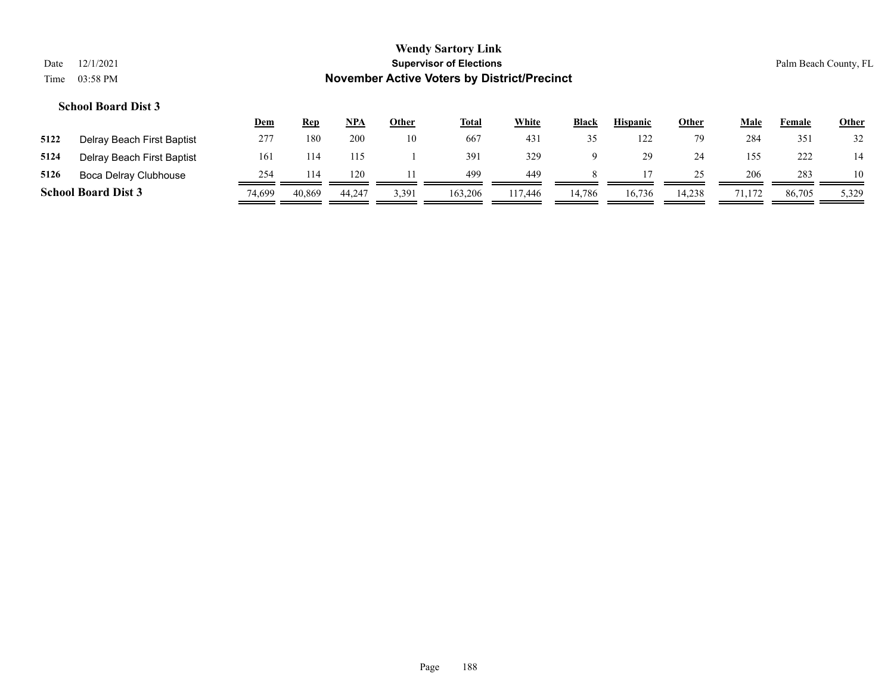|                                                                        |                            |     |            |            |              | <b>Wendy Sartory Link</b>      |              |       |                 |              |      |        |                       |
|------------------------------------------------------------------------|----------------------------|-----|------------|------------|--------------|--------------------------------|--------------|-------|-----------------|--------------|------|--------|-----------------------|
| Date                                                                   | 12/1/2021                  |     |            |            |              | <b>Supervisor of Elections</b> |              |       |                 |              |      |        | Palm Beach County, FL |
| <b>November Active Voters by District/Precinct</b><br>03:58 PM<br>Time |                            |     |            |            |              |                                |              |       |                 |              |      |        |                       |
|                                                                        | <b>School Board Dist 3</b> |     |            |            |              |                                |              |       |                 |              |      |        |                       |
|                                                                        |                            | Dem | <u>Rep</u> | <u>NPA</u> | <b>Other</b> | <u>Total</u>                   | <b>White</b> | Black | <b>Hispanic</b> | <b>Other</b> | Male | Female | Other                 |
| 5122                                                                   | Delray Beach First Baptist | 277 | 180        | 200        | 10           | 667                            | 431          | 35    | 122             | 79           | 284  | 351    | 32                    |

| 5124 | Delray Beach First Baptist | 16     |        |        |       | 391     |         |        | 29.    |        |     | 222    |       |
|------|----------------------------|--------|--------|--------|-------|---------|---------|--------|--------|--------|-----|--------|-------|
| 5126 | Boca Delray Clubhouse      | 754    |        | 120    |       | 499     | 449     |        |        |        | 206 | 283    | 10    |
|      | <b>School Board Dist 3</b> | 74.699 | 40,869 | 44.247 | 3,391 | 163,206 | 117.446 | 14,786 | 16,736 | 14.238 |     | 86,705 | 5,329 |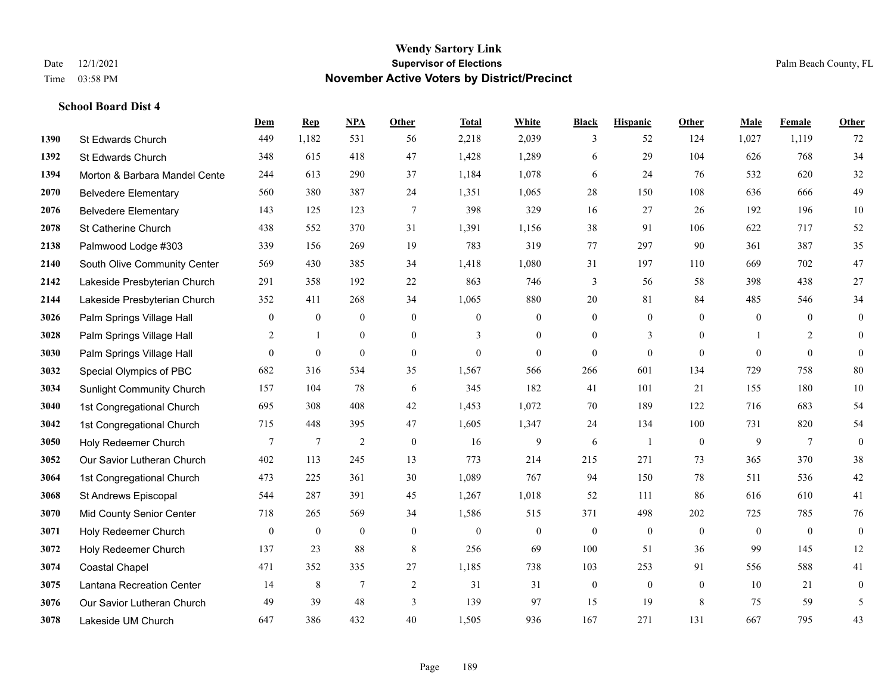**School Board Dist 4**

#### **Wendy Sartory Link** Date 12/1/2021 **Supervisor of Elections** Palm Beach County, FL Time 03:58 PM **November Active Voters by District/Precinct**

# **Dem Rep NPA Other Total White Black Hispanic Other Male Female Other** St Edwards Church 449 1,182 531 56 2,218 2,039 3 52 124 1,027 1,119 72 St Edwards Church 348 615 418 47 1,428 1,289 6 29 104 626 768 34 **1394 Morton & Barbara Mandel Cente** 244 613 290 37 1,184 1,078 6 24 76 532 620 32 Belvedere Elementary 560 380 387 24 1,351 1,065 28 150 108 636 666 49 Belvedere Elementary 143 125 123 7 398 329 16 27 26 192 196 10 St Catherine Church 438 552 370 31 1,391 1,156 38 91 106 622 717 52 Palmwood Lodge #303 339 156 269 19 783 319 77 297 90 361 387 35 South Olive Community Center 569 430 385 34 1,418 1,080 31 197 110 669 702 47 Lakeside Presbyterian Church 291 358 192 22 863 746 3 56 58 398 438 27 Lakeside Presbyterian Church 352 411 268 34 1,065 880 20 81 84 485 546 34 **3026** Palm Springs Village Hall  $\begin{pmatrix} 0 & 0 & 0 & 0 \\ 0 & 0 & 0 & 0 \\ 0 & 0 & 0 & 0 \end{pmatrix}$  Palm Springs Village Hall 2 1 0 0 3 0 0 3 0 1 2 0 **3030** Palm Springs Village Hall  $\begin{pmatrix} 0 & 0 & 0 & 0 \\ 0 & 0 & 0 & 0 \\ 0 & 0 & 0 & 0 \end{pmatrix}$  Special Olympics of PBC 682 316 534 35 1,567 566 266 601 134 729 758 80 Sunlight Community Church 157 104 78 6 345 182 41 101 21 155 180 10 1st Congregational Church 695 308 408 42 1,453 1,072 70 189 122 716 683 54 1st Congregational Church 715 448 395 47 1,605 1,347 24 134 100 731 820 54 Holy Redeemer Church **7** 7 7 2 0 16 9 6 1 0 9 7 0 Our Savior Lutheran Church 402 113 245 13 773 214 215 271 73 365 370 38 1st Congregational Church 473 225 361 30 1,089 767 94 150 78 511 536 42 St Andrews Episcopal 544 287 391 45 1,267 1,018 52 111 86 616 610 41 Mid County Senior Center 718 265 569 34 1,586 515 371 498 202 725 785 76 Holy Redeemer Church 0 0 0 0 0 0 0 0 0 0 0 0 Holy Redeemer Church 137 23 88 8 256 69 100 51 36 99 145 12 Coastal Chapel 471 352 335 27 1,185 738 103 253 91 556 588 41 Lantana Recreation Center 14 8 7 2 31 31 0 0 0 10 21 0 Our Savior Lutheran Church 49 39 48 3 139 97 15 19 8 75 59 5 Lakeside UM Church 647 386 432 40 1,505 936 167 271 131 667 795 43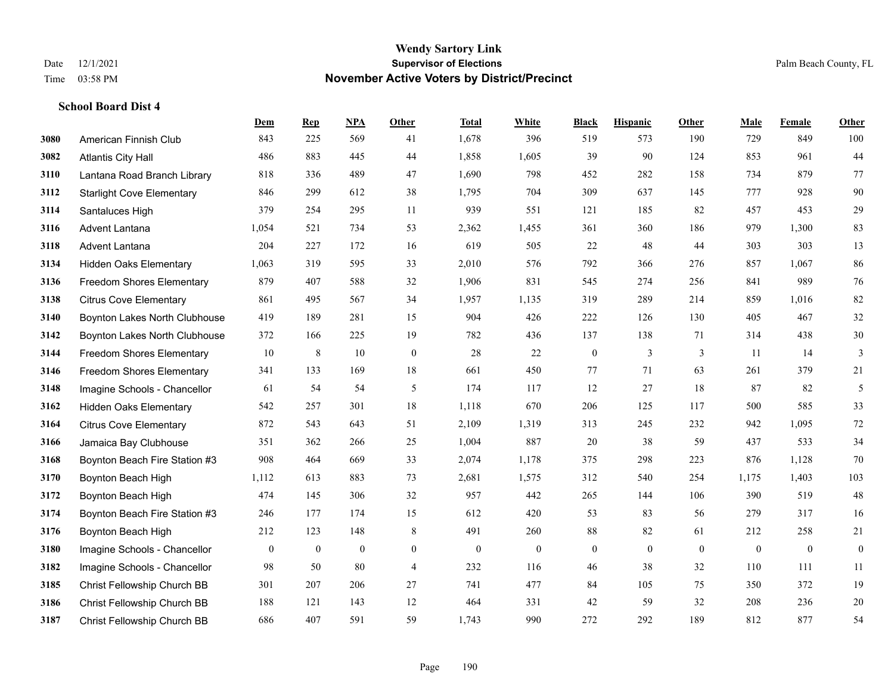|      |                                  | Dem          | <b>Rep</b>     | NPA            | <b>Other</b>   | <b>Total</b> | <b>White</b> | <b>Black</b>     | <b>Hispanic</b> | <b>Other</b> | <b>Male</b>  | <b>Female</b> | <b>Other</b>     |
|------|----------------------------------|--------------|----------------|----------------|----------------|--------------|--------------|------------------|-----------------|--------------|--------------|---------------|------------------|
| 3080 | American Finnish Club            | 843          | 225            | 569            | 41             | 1,678        | 396          | 519              | 573             | 190          | 729          | 849           | 100              |
| 3082 | <b>Atlantis City Hall</b>        | 486          | 883            | 445            | 44             | 1,858        | 1,605        | 39               | 90              | 124          | 853          | 961           | 44               |
| 3110 | Lantana Road Branch Library      | 818          | 336            | 489            | 47             | 1,690        | 798          | 452              | 282             | 158          | 734          | 879           | 77               |
| 3112 | <b>Starlight Cove Elementary</b> | 846          | 299            | 612            | 38             | 1,795        | 704          | 309              | 637             | 145          | 777          | 928           | 90               |
| 3114 | Santaluces High                  | 379          | 254            | 295            | 11             | 939          | 551          | 121              | 185             | 82           | 457          | 453           | 29               |
| 3116 | Advent Lantana                   | 1,054        | 521            | 734            | 53             | 2,362        | 1,455        | 361              | 360             | 186          | 979          | 1,300         | 83               |
| 3118 | Advent Lantana                   | 204          | 227            | 172            | 16             | 619          | 505          | 22               | 48              | 44           | 303          | 303           | 13               |
| 3134 | <b>Hidden Oaks Elementary</b>    | 1,063        | 319            | 595            | 33             | 2,010        | 576          | 792              | 366             | 276          | 857          | 1,067         | 86               |
| 3136 | <b>Freedom Shores Elementary</b> | 879          | 407            | 588            | 32             | 1,906        | 831          | 545              | 274             | 256          | 841          | 989           | 76               |
| 3138 | <b>Citrus Cove Elementary</b>    | 861          | 495            | 567            | 34             | 1,957        | 1,135        | 319              | 289             | 214          | 859          | 1.016         | 82               |
| 3140 | Boynton Lakes North Clubhouse    | 419          | 189            | 281            | 15             | 904          | 426          | 222              | 126             | 130          | 405          | 467           | $32\,$           |
| 3142 | Boynton Lakes North Clubhouse    | 372          | 166            | 225            | 19             | 782          | 436          | 137              | 138             | 71           | 314          | 438           | $30\,$           |
| 3144 | Freedom Shores Elementary        | 10           | $\,8\,$        | 10             | $\mathbf{0}$   | 28           | 22           | $\boldsymbol{0}$ | 3               | 3            | 11           | 14            | 3                |
| 3146 | Freedom Shores Elementary        | 341          | 133            | 169            | 18             | 661          | 450          | 77               | 71              | 63           | 261          | 379           | 21               |
| 3148 | Imagine Schools - Chancellor     | 61           | 54             | 54             | 5              | 174          | 117          | 12               | 27              | 18           | 87           | 82            | 5                |
| 3162 | <b>Hidden Oaks Elementary</b>    | 542          | 257            | 301            | 18             | 1,118        | 670          | 206              | 125             | 117          | 500          | 585           | 33               |
| 3164 | <b>Citrus Cove Elementary</b>    | 872          | 543            | 643            | 51             | 2,109        | 1,319        | 313              | 245             | 232          | 942          | 1.095         | $72\,$           |
| 3166 | Jamaica Bay Clubhouse            | 351          | 362            | 266            | 25             | 1,004        | 887          | 20               | 38              | 59           | 437          | 533           | 34               |
| 3168 | Boynton Beach Fire Station #3    | 908          | 464            | 669            | 33             | 2,074        | 1,178        | 375              | 298             | 223          | 876          | 1,128         | $70\,$           |
| 3170 | Boynton Beach High               | 1,112        | 613            | 883            | 73             | 2,681        | 1,575        | 312              | 540             | 254          | 1,175        | 1,403         | 103              |
| 3172 | Boynton Beach High               | 474          | 145            | 306            | 32             | 957          | 442          | 265              | 144             | 106          | 390          | 519           | $48\,$           |
| 3174 | Boynton Beach Fire Station #3    | 246          | 177            | 174            | 15             | 612          | 420          | 53               | 83              | 56           | 279          | 317           | 16               |
| 3176 | Boynton Beach High               | 212          | 123            | 148            | 8              | 491          | 260          | 88               | 82              | 61           | 212          | 258           | 21               |
| 3180 | Imagine Schools - Chancellor     | $\mathbf{0}$ | $\overline{0}$ | $\overline{0}$ | $\overline{0}$ | $\mathbf{0}$ | $\mathbf{0}$ | $\boldsymbol{0}$ | $\mathbf{0}$    | $\theta$     | $\mathbf{0}$ | $\mathbf{0}$  | $\boldsymbol{0}$ |
| 3182 | Imagine Schools - Chancellor     | 98           | 50             | 80             | $\overline{4}$ | 232          | 116          | 46               | 38              | 32           | 110          | 111           | $11\,$           |
| 3185 | Christ Fellowship Church BB      | 301          | 207            | 206            | 27             | 741          | 477          | 84               | 105             | 75           | 350          | 372           | 19               |
| 3186 | Christ Fellowship Church BB      | 188          | 121            | 143            | 12             | 464          | 331          | 42               | 59              | 32           | 208          | 236           | $20\,$           |
| 3187 | Christ Fellowship Church BB      | 686          | 407            | 591            | 59             | 1,743        | 990          | 272              | 292             | 189          | 812          | 877           | 54               |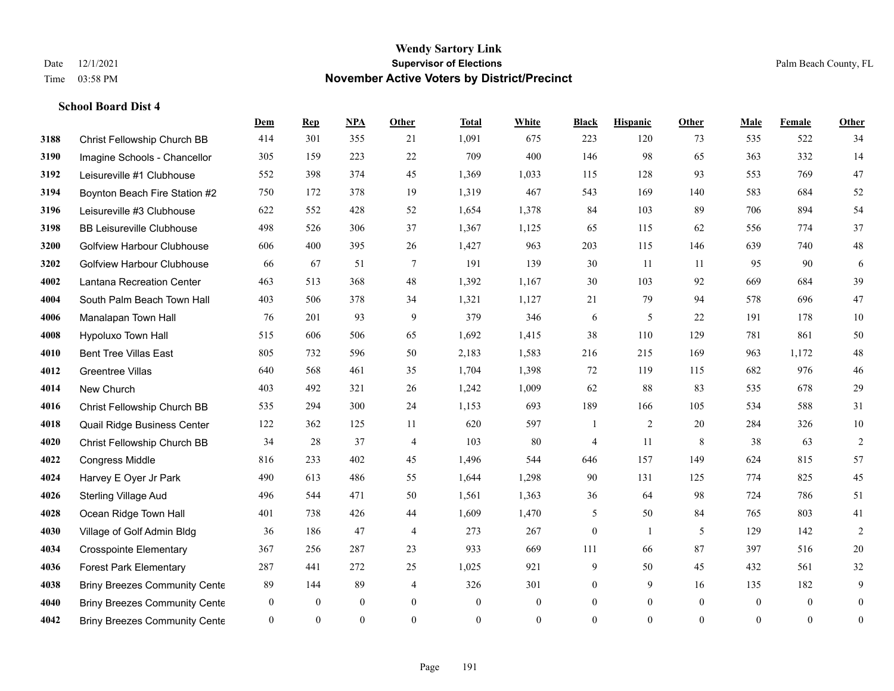**School Board Dist 4**

#### **Wendy Sartory Link** Date 12/1/2021 **Supervisor of Elections** Palm Beach County, FL Time 03:58 PM **November Active Voters by District/Precinct**

**Dem Rep NPA Other Total White Black Hispanic Other Male Female Other**

# Christ Fellowship Church BB 414 301 355 21 1,091 675 223 120 73 535 522 34 Imagine Schools - Chancellor 305 159 223 22 709 400 146 98 65 363 332 14 Leisureville #1 Clubhouse 552 398 374 45 1,369 1,033 115 128 93 553 769 47 Boynton Beach Fire Station #2 750 172 378 19 1,319 467 543 169 140 583 684 52 Leisureville #3 Clubhouse 622 552 428 52 1,654 1,378 84 103 89 706 894 54 BB Leisureville Clubhouse 498 526 306 37 1,367 1,125 65 115 62 556 774 37 Golfview Harbour Clubhouse 606 400 395 26 1,427 963 203 115 146 639 740 48 Golfview Harbour Clubhouse 66 67 51 7 191 139 30 11 11 95 90 6 Lantana Recreation Center 463 513 368 48 1,392 1,167 30 103 92 669 684 39 South Palm Beach Town Hall 403 506 378 34 1,321 1,127 21 79 94 578 696 47 Manalapan Town Hall 76 201 93 9 379 346 6 5 22 191 178 10 Hypoluxo Town Hall 515 606 506 65 1,692 1,415 38 110 129 781 861 50 Bent Tree Villas East 805 732 596 50 2,183 1,583 216 215 169 963 1,172 48 Greentree Villas 640 568 461 35 1,704 1,398 72 119 115 682 976 46 New Church 403 492 321 26 1,242 1,009 62 88 83 535 678 29 Christ Fellowship Church BB 535 294 300 24 1,153 693 189 166 105 534 588 31 Quail Ridge Business Center 122 362 125 11 620 597 1 2 20 284 326 10 Christ Fellowship Church BB 34 28 37 4 103 80 4 11 8 38 63 2 Congress Middle 816 233 402 45 1,496 544 646 157 149 624 815 57 Harvey E Oyer Jr Park 490 613 486 55 1,644 1,298 90 131 125 774 825 45 Sterling Village Aud 496 544 471 50 1,561 1,363 36 64 98 724 786 51 Ocean Ridge Town Hall 401 738 426 44 1,609 1,470 5 50 84 765 803 41 Village of Golf Admin Bldg 36 186 47 4 273 267 0 1 5 129 142 2 Crosspointe Elementary 367 256 287 23 933 669 111 66 87 397 516 20

 Forest Park Elementary 287 441 272 25 1,025 921 9 50 45 432 561 32 **4038 Briny Breezes Community Cente** 89 144 89 4 326 301 0 9 16 135 182 9 Briny Breezes Community Center 0 0 0 0 0 0 0 0 0 0 0 0 Briny Breezes Community Center 0 0 0 0 0 0 0 0 0 0 0 0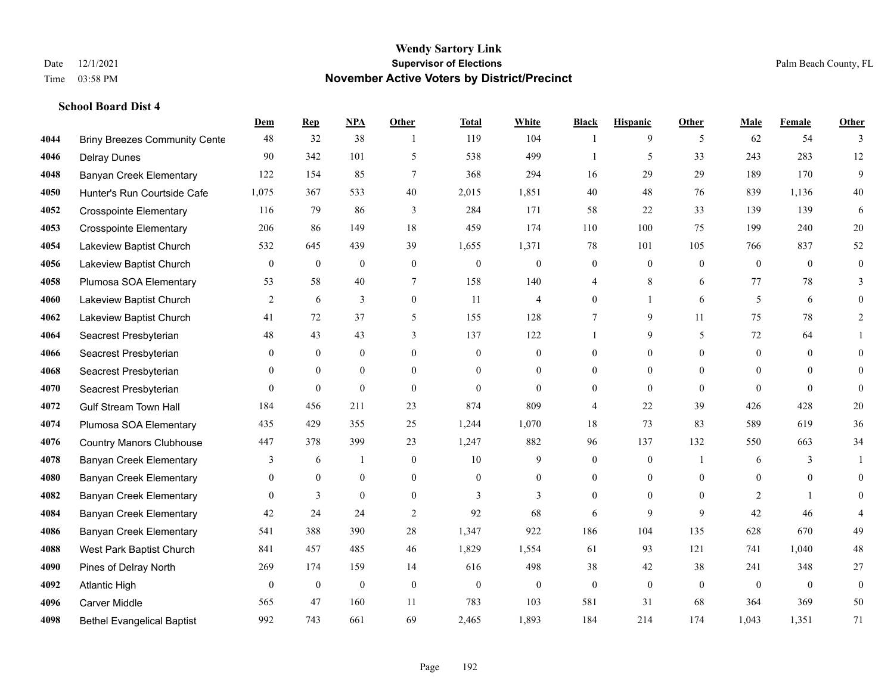|      |                                      | Dem            | <b>Rep</b>   | NPA              | <b>Other</b>   | <b>Total</b> | <b>White</b>     | <b>Black</b>     | <b>Hispanic</b>  | <b>Other</b>   | <b>Male</b>    | <b>Female</b>  | <b>Other</b>     |
|------|--------------------------------------|----------------|--------------|------------------|----------------|--------------|------------------|------------------|------------------|----------------|----------------|----------------|------------------|
| 4044 | <b>Briny Breezes Community Cente</b> | 48             | 32           | 38               | $\overline{1}$ | 119          | 104              | 1                | 9                | 5              | 62             | 54             | 3                |
| 4046 | <b>Delray Dunes</b>                  | 90             | 342          | 101              | 5              | 538          | 499              |                  | 5                | 33             | 243            | 283            | 12               |
| 4048 | <b>Banyan Creek Elementary</b>       | 122            | 154          | 85               | $\tau$         | 368          | 294              | 16               | 29               | 29             | 189            | 170            | 9                |
| 4050 | Hunter's Run Courtside Cafe          | 1,075          | 367          | 533              | 40             | 2,015        | 1,851            | 40               | 48               | 76             | 839            | 1,136          | 40               |
| 4052 | <b>Crosspointe Elementary</b>        | 116            | 79           | 86               | 3              | 284          | 171              | 58               | 22               | 33             | 139            | 139            | 6                |
| 4053 | <b>Crosspointe Elementary</b>        | 206            | 86           | 149              | 18             | 459          | 174              | 110              | 100              | 75             | 199            | 240            | $20\,$           |
| 4054 | Lakeview Baptist Church              | 532            | 645          | 439              | 39             | 1,655        | 1,371            | 78               | 101              | 105            | 766            | 837            | 52               |
| 4056 | Lakeview Baptist Church              | $\Omega$       | $\mathbf{0}$ | $\mathbf{0}$     | $\Omega$       | $\theta$     | $\mathbf{0}$     | $\mathbf{0}$     | $\mathbf{0}$     | $\theta$       | $\theta$       | $\theta$       | $\theta$         |
| 4058 | Plumosa SOA Elementary               | 53             | 58           | 40               | $\tau$         | 158          | 140              | 4                | 8                | 6              | 77             | 78             | 3                |
| 4060 | Lakeview Baptist Church              | 2              | 6            | 3                | $\overline{0}$ | 11           | $\overline{4}$   | $\mathbf{0}$     | $\mathbf{1}$     | 6              | 5              | 6              | $\Omega$         |
| 4062 | Lakeview Baptist Church              | 41             | 72           | 37               | 5              | 155          | 128              | 7                | 9                | 11             | 75             | 78             | $\overline{2}$   |
| 4064 | Seacrest Presbyterian                | 48             | 43           | 43               | 3              | 137          | 122              | 1                | 9                | 5              | 72             | 64             |                  |
| 4066 | Seacrest Presbyterian                | $\mathbf{0}$   | $\mathbf{0}$ | $\overline{0}$   | $\Omega$       | $\theta$     | $\mathbf{0}$     | $\mathbf{0}$     | $\mathbf{0}$     | $\Omega$       | $\Omega$       | $\theta$       | $\Omega$         |
| 4068 | Seacrest Presbyterian                | $\mathbf{0}$   | $\mathbf{0}$ | $\boldsymbol{0}$ | $\overline{0}$ | $\mathbf{0}$ | $\boldsymbol{0}$ | $\boldsymbol{0}$ | $\mathbf{0}$     | $\mathbf{0}$   | $\overline{0}$ | $\mathbf{0}$   | $\Omega$         |
| 4070 | Seacrest Presbyterian                | $\overline{0}$ | $\mathbf{0}$ | $\mathbf{0}$     | $\theta$       | $\theta$     | $\overline{0}$   | $\mathbf{0}$     | $\mathbf{0}$     | $\theta$       | $\theta$       | $\theta$       | $\theta$         |
| 4072 | <b>Gulf Stream Town Hall</b>         | 184            | 456          | 211              | 23             | 874          | 809              | 4                | 22               | 39             | 426            | 428            | 20               |
| 4074 | Plumosa SOA Elementary               | 435            | 429          | 355              | 25             | 1,244        | 1,070            | 18               | 73               | 83             | 589            | 619            | 36               |
| 4076 | <b>Country Manors Clubhouse</b>      | 447            | 378          | 399              | 23             | 1,247        | 882              | 96               | 137              | 132            | 550            | 663            | 34               |
| 4078 | <b>Banyan Creek Elementary</b>       | 3              | 6            | $\mathbf{1}$     | $\overline{0}$ | 10           | 9                | $\mathbf{0}$     | $\mathbf{0}$     | $\overline{1}$ | 6              | 3              |                  |
| 4080 | <b>Banyan Creek Elementary</b>       | $\mathbf{0}$   | $\mathbf{0}$ | $\boldsymbol{0}$ | $\overline{0}$ | $\mathbf{0}$ | $\boldsymbol{0}$ | $\boldsymbol{0}$ | $\boldsymbol{0}$ | $\theta$       | $\mathbf{0}$   | $\mathbf{0}$   | $\overline{0}$   |
| 4082 | <b>Banyan Creek Elementary</b>       | $\theta$       | 3            | $\theta$         | $\Omega$       | 3            | 3                | $\mathbf{0}$     | $\theta$         | $\theta$       | 2              | $\mathbf{1}$   | $\Omega$         |
| 4084 | <b>Banyan Creek Elementary</b>       | 42             | 24           | 24               | $\overline{2}$ | 92           | 68               | 6                | 9                | 9              | 42             | 46             |                  |
| 4086 | <b>Banyan Creek Elementary</b>       | 541            | 388          | 390              | 28             | 1,347        | 922              | 186              | 104              | 135            | 628            | 670            | 49               |
| 4088 | West Park Baptist Church             | 841            | 457          | 485              | 46             | 1,829        | 1,554            | 61               | 93               | 121            | 741            | 1,040          | $48\,$           |
| 4090 | Pines of Delray North                | 269            | 174          | 159              | 14             | 616          | 498              | 38               | 42               | 38             | 241            | 348            | 27               |
| 4092 | <b>Atlantic High</b>                 | $\mathbf{0}$   | $\bf{0}$     | $\boldsymbol{0}$ | $\overline{0}$ | $\mathbf{0}$ | $\boldsymbol{0}$ | $\mathbf{0}$     | $\mathbf{0}$     | $\theta$       | $\theta$       | $\overline{0}$ | $\boldsymbol{0}$ |
| 4096 | Carver Middle                        | 565            | 47           | 160              | 11             | 783          | 103              | 581              | 31               | 68             | 364            | 369            | 50               |
| 4098 | <b>Bethel Evangelical Baptist</b>    | 992            | 743          | 661              | 69             | 2,465        | 1,893            | 184              | 214              | 174            | 1,043          | 1,351          | 71               |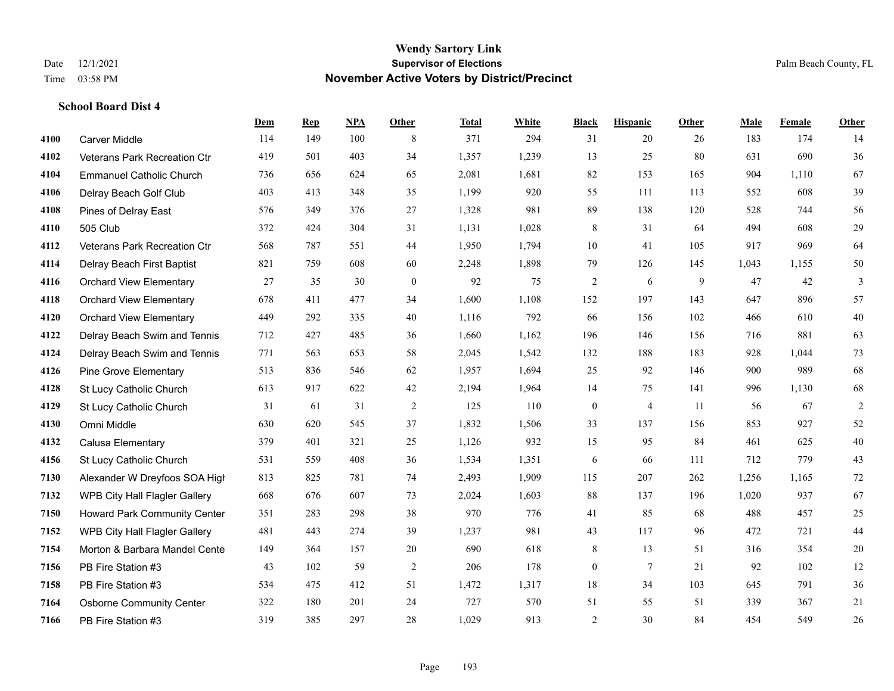|      |                                     | <b>Dem</b> | <b>Rep</b> | NPA | Other            | <b>Total</b> | <b>White</b> | <b>Black</b>     | <b>Hispanic</b> | Other | <b>Male</b> | <b>Female</b> | <b>Other</b> |
|------|-------------------------------------|------------|------------|-----|------------------|--------------|--------------|------------------|-----------------|-------|-------------|---------------|--------------|
| 4100 | <b>Carver Middle</b>                | 114        | 149        | 100 | 8                | 371          | 294          | 31               | 20              | 26    | 183         | 174           | 14           |
| 4102 | Veterans Park Recreation Ctr        | 419        | 501        | 403 | 34               | 1,357        | 1,239        | 13               | 25              | 80    | 631         | 690           | 36           |
| 4104 | <b>Emmanuel Catholic Church</b>     | 736        | 656        | 624 | 65               | 2,081        | 1,681        | 82               | 153             | 165   | 904         | 1.110         | 67           |
| 4106 | Delray Beach Golf Club              | 403        | 413        | 348 | 35               | 1,199        | 920          | 55               | 111             | 113   | 552         | 608           | 39           |
| 4108 | Pines of Delray East                | 576        | 349        | 376 | 27               | 1,328        | 981          | 89               | 138             | 120   | 528         | 744           | 56           |
| 4110 | 505 Club                            | 372        | 424        | 304 | 31               | 1,131        | 1,028        | $\,$ 8 $\,$      | 31              | 64    | 494         | 608           | 29           |
| 4112 | Veterans Park Recreation Ctr        | 568        | 787        | 551 | 44               | 1,950        | 1,794        | 10               | 41              | 105   | 917         | 969           | 64           |
| 4114 | Delray Beach First Baptist          | 821        | 759        | 608 | 60               | 2,248        | 1,898        | 79               | 126             | 145   | 1,043       | 1.155         | 50           |
| 4116 | <b>Orchard View Elementary</b>      | 27         | 35         | 30  | $\boldsymbol{0}$ | 92           | 75           | $\overline{c}$   | 6               | 9     | 47          | 42            | 3            |
| 4118 | <b>Orchard View Elementary</b>      | 678        | 411        | 477 | 34               | 1,600        | 1,108        | 152              | 197             | 143   | 647         | 896           | 57           |
| 4120 | <b>Orchard View Elementary</b>      | 449        | 292        | 335 | 40               | 1,116        | 792          | 66               | 156             | 102   | 466         | 610           | $40\,$       |
| 4122 | Delray Beach Swim and Tennis        | 712        | 427        | 485 | 36               | 1,660        | 1,162        | 196              | 146             | 156   | 716         | 881           | 63           |
| 4124 | Delray Beach Swim and Tennis        | 771        | 563        | 653 | 58               | 2,045        | 1,542        | 132              | 188             | 183   | 928         | 1,044         | 73           |
| 4126 | <b>Pine Grove Elementary</b>        | 513        | 836        | 546 | 62               | 1,957        | 1,694        | 25               | 92              | 146   | 900         | 989           | 68           |
| 4128 | St Lucy Catholic Church             | 613        | 917        | 622 | 42               | 2,194        | 1,964        | 14               | 75              | 141   | 996         | 1.130         | 68           |
| 4129 | St Lucy Catholic Church             | 31         | 61         | 31  | $\overline{2}$   | 125          | 110          | $\boldsymbol{0}$ | $\overline{4}$  | 11    | 56          | 67            | $\sqrt{2}$   |
| 4130 | Omni Middle                         | 630        | 620        | 545 | 37               | 1,832        | 1,506        | 33               | 137             | 156   | 853         | 927           | 52           |
| 4132 | Calusa Elementary                   | 379        | 401        | 321 | 25               | 1,126        | 932          | 15               | 95              | 84    | 461         | 625           | $40\,$       |
| 4156 | St Lucy Catholic Church             | 531        | 559        | 408 | 36               | 1,534        | 1,351        | 6                | 66              | 111   | 712         | 779           | 43           |
| 7130 | Alexander W Dreyfoos SOA High       | 813        | 825        | 781 | 74               | 2,493        | 1,909        | 115              | 207             | 262   | 1,256       | 1,165         | 72           |
| 7132 | WPB City Hall Flagler Gallery       | 668        | 676        | 607 | 73               | 2,024        | 1,603        | 88               | 137             | 196   | 1,020       | 937           | 67           |
| 7150 | <b>Howard Park Community Center</b> | 351        | 283        | 298 | 38               | 970          | 776          | 41               | 85              | 68    | 488         | 457           | $25\,$       |
| 7152 | WPB City Hall Flagler Gallery       | 481        | 443        | 274 | 39               | 1,237        | 981          | 43               | 117             | 96    | 472         | 721           | 44           |
| 7154 | Morton & Barbara Mandel Cente       | 149        | 364        | 157 | $20\,$           | 690          | 618          | $\,$ $\,$        | 13              | 51    | 316         | 354           | $20\,$       |
| 7156 | PB Fire Station #3                  | 43         | 102        | 59  | $\overline{2}$   | 206          | 178          | $\boldsymbol{0}$ | 7               | 21    | 92          | 102           | 12           |
| 7158 | PB Fire Station #3                  | 534        | 475        | 412 | 51               | 1,472        | 1,317        | 18               | 34              | 103   | 645         | 791           | 36           |
| 7164 | <b>Osborne Community Center</b>     | 322        | 180        | 201 | 24               | 727          | 570          | 51               | 55              | 51    | 339         | 367           | 21           |
| 7166 | PB Fire Station #3                  | 319        | 385        | 297 | 28               | 1,029        | 913          | $\overline{2}$   | 30              | 84    | 454         | 549           | 26           |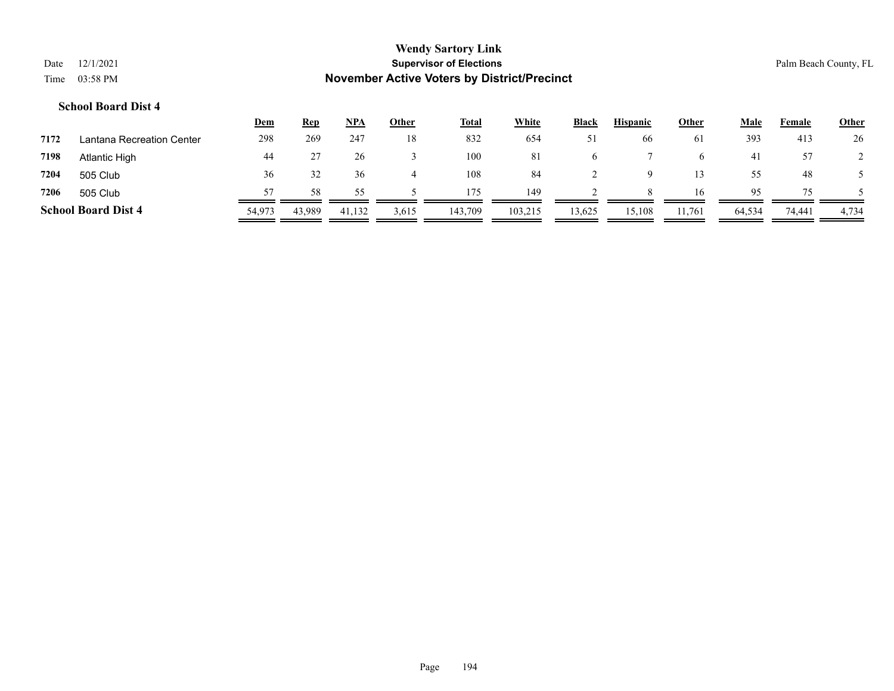|      |           | <b>Wendy Sartory Link</b>                          |
|------|-----------|----------------------------------------------------|
| Date | 12/1/2021 | <b>Supervisor of Elections</b>                     |
| Time | 03:58 PM  | <b>November Active Voters by District/Precinct</b> |

Palm Beach County, FL

|      |                            | <u>Dem</u> | <u>Rep</u> | <b>NPA</b> | Other | <b>Total</b> | White   | <b>Black</b> | <b>Hispanic</b> | <b>Other</b>  | Male   | Female | <b>Other</b> |
|------|----------------------------|------------|------------|------------|-------|--------------|---------|--------------|-----------------|---------------|--------|--------|--------------|
| 7172 | Lantana Recreation Center  | 298        | 269        | 247        | 18    | 832          | 654     | 51           | 66              | <sup>61</sup> | 393    | 413    | 26           |
| 7198 | Atlantic High              | 44         |            | 26         |       | 100          | 81      | -6           |                 | <sub>n</sub>  | 41     | 57     |              |
| 7204 | 505 Club                   | 36         | 32         | 36         |       | 108          | 84      |              |                 |               | 55.    | 48     |              |
| 7206 | 505 Club                   | 57         | 58         | 55.        |       | 175          | 149     |              | 8               | 16            | 95     | 75     |              |
|      | <b>School Board Dist 4</b> | 54,973     | 43,989     | 41,132     | 3,615 | 143,709      | 103,215 | 13,625       | 15,108          | 11,761        | 64,534 | 74,441 | 4,734        |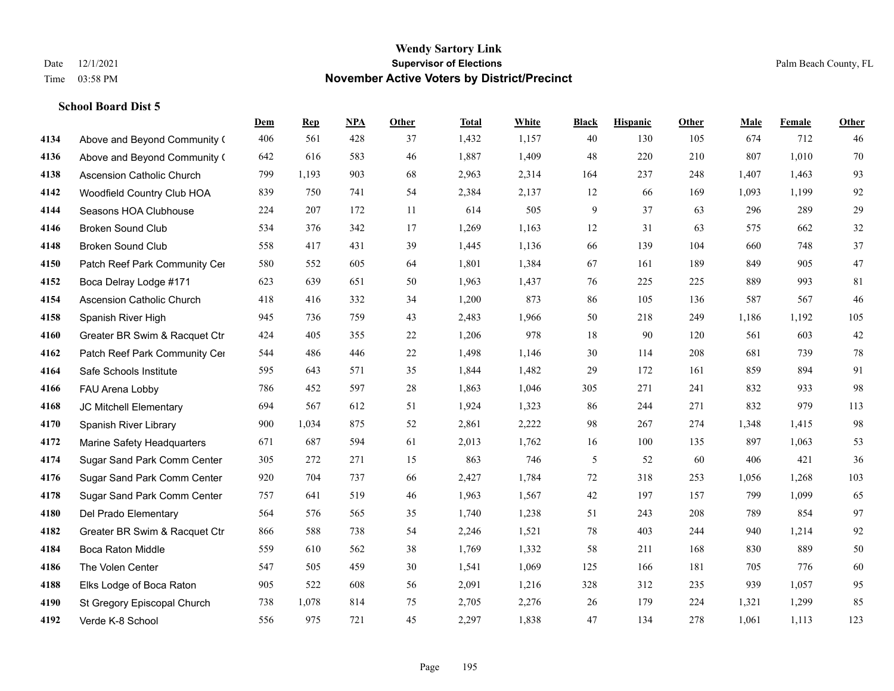|      |                                   | Dem | <b>Rep</b> | NPA | <b>Other</b> | <b>Total</b> | <b>White</b> | <b>Black</b>  | <b>Hispanic</b> | <b>Other</b> | <b>Male</b> | <b>Female</b> | <b>Other</b> |
|------|-----------------------------------|-----|------------|-----|--------------|--------------|--------------|---------------|-----------------|--------------|-------------|---------------|--------------|
| 4134 | Above and Beyond Community (      | 406 | 561        | 428 | 37           | 1,432        | 1,157        | 40            | 130             | 105          | 674         | 712           | 46           |
| 4136 | Above and Beyond Community (      | 642 | 616        | 583 | 46           | 1,887        | 1,409        | 48            | 220             | 210          | 807         | 1,010         | 70           |
| 4138 | Ascension Catholic Church         | 799 | 1,193      | 903 | 68           | 2,963        | 2,314        | 164           | 237             | 248          | 1,407       | 1,463         | 93           |
| 4142 | Woodfield Country Club HOA        | 839 | 750        | 741 | 54           | 2,384        | 2,137        | 12            | 66              | 169          | 1,093       | 1,199         | 92           |
| 4144 | Seasons HOA Clubhouse             | 224 | 207        | 172 | 11           | 614          | 505          | 9             | 37              | 63           | 296         | 289           | 29           |
| 4146 | <b>Broken Sound Club</b>          | 534 | 376        | 342 | 17           | 1,269        | 1,163        | 12            | 31              | 63           | 575         | 662           | $32\,$       |
| 4148 | <b>Broken Sound Club</b>          | 558 | 417        | 431 | 39           | 1,445        | 1,136        | 66            | 139             | 104          | 660         | 748           | 37           |
| 4150 | Patch Reef Park Community Cer     | 580 | 552        | 605 | 64           | 1,801        | 1,384        | 67            | 161             | 189          | 849         | 905           | 47           |
| 4152 | Boca Delray Lodge #171            | 623 | 639        | 651 | 50           | 1,963        | 1,437        | 76            | 225             | 225          | 889         | 993           | 81           |
| 4154 | <b>Ascension Catholic Church</b>  | 418 | 416        | 332 | 34           | 1,200        | 873          | 86            | 105             | 136          | 587         | 567           | 46           |
| 4158 | Spanish River High                | 945 | 736        | 759 | 43           | 2,483        | 1,966        | 50            | 218             | 249          | 1,186       | 1,192         | 105          |
| 4160 | Greater BR Swim & Racquet Ctr     | 424 | 405        | 355 | 22           | 1,206        | 978          | 18            | 90              | 120          | 561         | 603           | $42\,$       |
| 4162 | Patch Reef Park Community Cer     | 544 | 486        | 446 | 22           | 1,498        | 1,146        | 30            | 114             | 208          | 681         | 739           | $78\,$       |
| 4164 | Safe Schools Institute            | 595 | 643        | 571 | 35           | 1,844        | 1,482        | 29            | 172             | 161          | 859         | 894           | 91           |
| 4166 | FAU Arena Lobby                   | 786 | 452        | 597 | 28           | 1,863        | 1,046        | 305           | 271             | 241          | 832         | 933           | 98           |
| 4168 | JC Mitchell Elementary            | 694 | 567        | 612 | 51           | 1,924        | 1,323        | 86            | 244             | 271          | 832         | 979           | 113          |
| 4170 | Spanish River Library             | 900 | 1,034      | 875 | 52           | 2,861        | 2,222        | 98            | 267             | 274          | 1,348       | 1,415         | 98           |
| 4172 | <b>Marine Safety Headquarters</b> | 671 | 687        | 594 | 61           | 2,013        | 1,762        | 16            | 100             | 135          | 897         | 1,063         | 53           |
| 4174 | Sugar Sand Park Comm Center       | 305 | 272        | 271 | 15           | 863          | 746          | $\mathfrak s$ | 52              | 60           | 406         | 421           | 36           |
| 4176 | Sugar Sand Park Comm Center       | 920 | 704        | 737 | 66           | 2,427        | 1,784        | 72            | 318             | 253          | 1,056       | 1,268         | 103          |
| 4178 | Sugar Sand Park Comm Center       | 757 | 641        | 519 | 46           | 1,963        | 1,567        | 42            | 197             | 157          | 799         | 1,099         | 65           |
| 4180 | Del Prado Elementary              | 564 | 576        | 565 | 35           | 1,740        | 1,238        | 51            | 243             | 208          | 789         | 854           | 97           |
| 4182 | Greater BR Swim & Racquet Ctr     | 866 | 588        | 738 | 54           | 2,246        | 1,521        | 78            | 403             | 244          | 940         | 1,214         | 92           |
| 4184 | <b>Boca Raton Middle</b>          | 559 | 610        | 562 | 38           | 1,769        | 1,332        | 58            | 211             | 168          | 830         | 889           | 50           |
| 4186 | The Volen Center                  | 547 | 505        | 459 | 30           | 1,541        | 1,069        | 125           | 166             | 181          | 705         | 776           | 60           |
| 4188 | Elks Lodge of Boca Raton          | 905 | 522        | 608 | 56           | 2,091        | 1,216        | 328           | 312             | 235          | 939         | 1,057         | 95           |
| 4190 | St Gregory Episcopal Church       | 738 | 1,078      | 814 | 75           | 2,705        | 2,276        | 26            | 179             | 224          | 1,321       | 1,299         | 85           |
| 4192 | Verde K-8 School                  | 556 | 975        | 721 | 45           | 2,297        | 1,838        | 47            | 134             | 278          | 1,061       | 1,113         | 123          |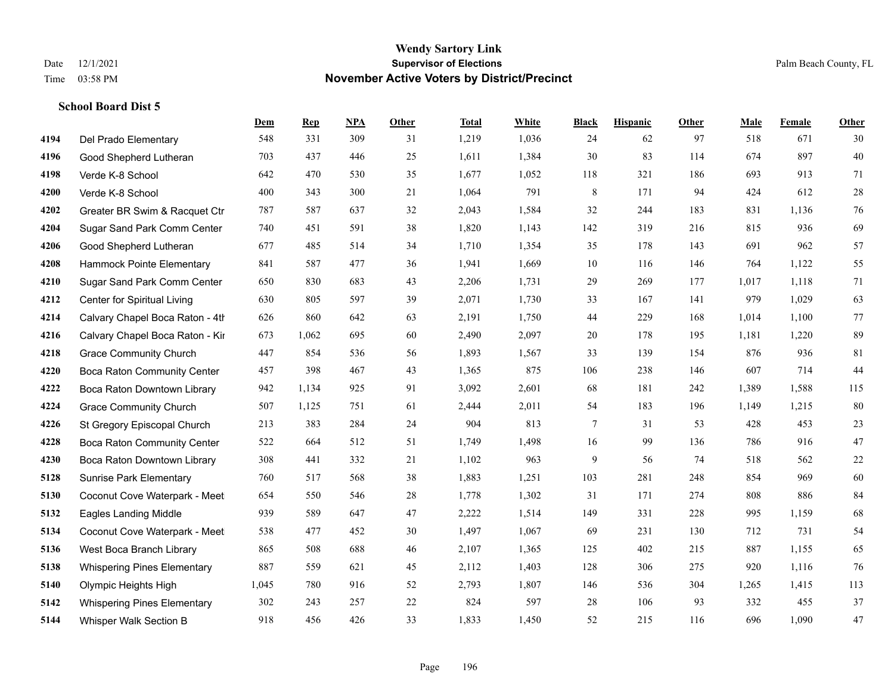|      |                                    | Dem   | <b>Rep</b> | NPA | <b>Other</b> | <b>Total</b> | <b>White</b> | <b>Black</b> | <b>Hispanic</b> | <b>Other</b> | <b>Male</b> | <b>Female</b> | <b>Other</b> |
|------|------------------------------------|-------|------------|-----|--------------|--------------|--------------|--------------|-----------------|--------------|-------------|---------------|--------------|
| 4194 | Del Prado Elementary               | 548   | 331        | 309 | 31           | 1,219        | 1,036        | 24           | 62              | 97           | 518         | 671           | 30           |
| 4196 | Good Shepherd Lutheran             | 703   | 437        | 446 | 25           | 1,611        | 1,384        | 30           | 83              | 114          | 674         | 897           | 40           |
| 4198 | Verde K-8 School                   | 642   | 470        | 530 | 35           | 1,677        | 1,052        | 118          | 321             | 186          | 693         | 913           | 71           |
| 4200 | Verde K-8 School                   | 400   | 343        | 300 | 21           | 1,064        | 791          | $\,$ 8 $\,$  | 171             | 94           | 424         | 612           | $28\,$       |
| 4202 | Greater BR Swim & Racquet Ctr      | 787   | 587        | 637 | 32           | 2,043        | 1,584        | 32           | 244             | 183          | 831         | 1,136         | $76\,$       |
| 4204 | Sugar Sand Park Comm Center        | 740   | 451        | 591 | 38           | 1,820        | 1,143        | 142          | 319             | 216          | 815         | 936           | 69           |
| 4206 | Good Shepherd Lutheran             | 677   | 485        | 514 | 34           | 1,710        | 1,354        | 35           | 178             | 143          | 691         | 962           | 57           |
| 4208 | Hammock Pointe Elementary          | 841   | 587        | 477 | 36           | 1,941        | 1,669        | 10           | 116             | 146          | 764         | 1,122         | 55           |
| 4210 | Sugar Sand Park Comm Center        | 650   | 830        | 683 | 43           | 2,206        | 1,731        | 29           | 269             | 177          | 1,017       | 1,118         | 71           |
| 4212 | Center for Spiritual Living        | 630   | 805        | 597 | 39           | 2,071        | 1,730        | 33           | 167             | 141          | 979         | 1,029         | 63           |
| 4214 | Calvary Chapel Boca Raton - 4th    | 626   | 860        | 642 | 63           | 2,191        | 1,750        | 44           | 229             | 168          | 1,014       | 1,100         | 77           |
| 4216 | Calvary Chapel Boca Raton - Kir    | 673   | 1,062      | 695 | 60           | 2,490        | 2,097        | 20           | 178             | 195          | 1,181       | 1,220         | 89           |
| 4218 | <b>Grace Community Church</b>      | 447   | 854        | 536 | 56           | 1,893        | 1,567        | 33           | 139             | 154          | 876         | 936           | 81           |
| 4220 | Boca Raton Community Center        | 457   | 398        | 467 | 43           | 1,365        | 875          | 106          | 238             | 146          | 607         | 714           | 44           |
| 4222 | Boca Raton Downtown Library        | 942   | 1,134      | 925 | 91           | 3,092        | 2,601        | 68           | 181             | 242          | 1,389       | 1,588         | 115          |
| 4224 | <b>Grace Community Church</b>      | 507   | 1,125      | 751 | 61           | 2,444        | 2,011        | 54           | 183             | 196          | 1,149       | 1,215         | $80\,$       |
| 4226 | St Gregory Episcopal Church        | 213   | 383        | 284 | 24           | 904          | 813          | $\tau$       | 31              | 53           | 428         | 453           | $23\,$       |
| 4228 | <b>Boca Raton Community Center</b> | 522   | 664        | 512 | 51           | 1,749        | 1,498        | 16           | 99              | 136          | 786         | 916           | $47\,$       |
| 4230 | Boca Raton Downtown Library        | 308   | 441        | 332 | 21           | 1,102        | 963          | 9            | 56              | 74           | 518         | 562           | $22\,$       |
| 5128 | <b>Sunrise Park Elementary</b>     | 760   | 517        | 568 | 38           | 1,883        | 1,251        | 103          | 281             | 248          | 854         | 969           | 60           |
| 5130 | Coconut Cove Waterpark - Meet      | 654   | 550        | 546 | 28           | 1,778        | 1,302        | 31           | 171             | 274          | 808         | 886           | 84           |
| 5132 | <b>Eagles Landing Middle</b>       | 939   | 589        | 647 | 47           | 2,222        | 1,514        | 149          | 331             | 228          | 995         | 1,159         | 68           |
| 5134 | Coconut Cove Waterpark - Meet      | 538   | 477        | 452 | 30           | 1,497        | 1,067        | 69           | 231             | 130          | 712         | 731           | 54           |
| 5136 | West Boca Branch Library           | 865   | 508        | 688 | 46           | 2,107        | 1,365        | 125          | 402             | 215          | 887         | 1,155         | 65           |
| 5138 | <b>Whispering Pines Elementary</b> | 887   | 559        | 621 | 45           | 2,112        | 1,403        | 128          | 306             | 275          | 920         | 1,116         | 76           |
| 5140 | Olympic Heights High               | 1,045 | 780        | 916 | 52           | 2,793        | 1,807        | 146          | 536             | 304          | 1,265       | 1,415         | 113          |
| 5142 | <b>Whispering Pines Elementary</b> | 302   | 243        | 257 | 22           | 824          | 597          | 28           | 106             | 93           | 332         | 455           | 37           |
| 5144 | Whisper Walk Section B             | 918   | 456        | 426 | 33           | 1,833        | 1,450        | 52           | 215             | 116          | 696         | 1,090         | 47           |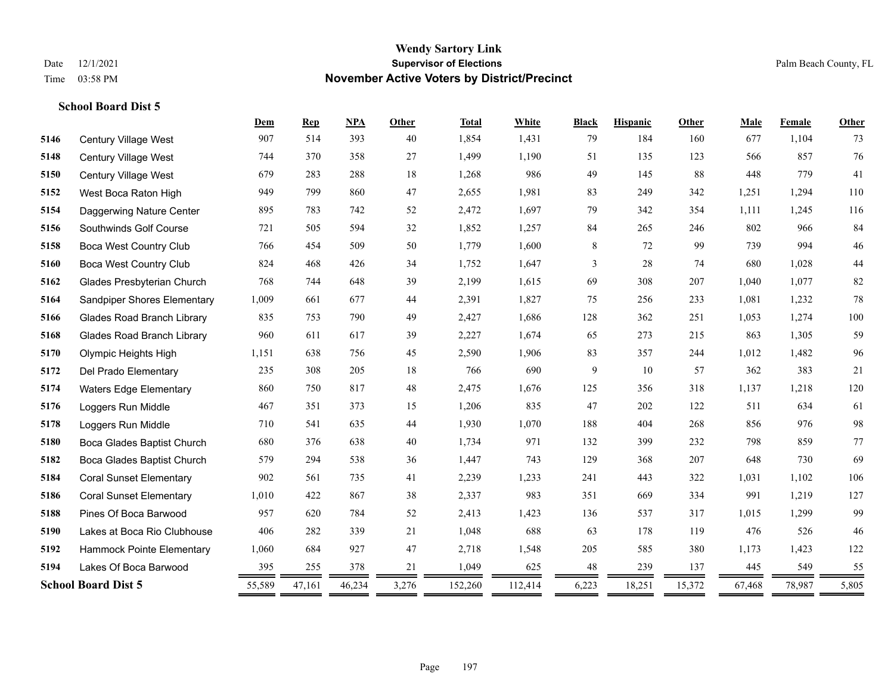|      |                                   | Dem    | <b>Rep</b> | <b>NPA</b> | Other | <b>Total</b> | White   | <b>Black</b> | <b>Hispanic</b> | Other  | Male   | Female | <b>Other</b> |
|------|-----------------------------------|--------|------------|------------|-------|--------------|---------|--------------|-----------------|--------|--------|--------|--------------|
| 5146 | <b>Century Village West</b>       | 907    | 514        | 393        | 40    | 1,854        | 1,431   | 79           | 184             | 160    | 677    | 1,104  | 73           |
| 5148 | Century Village West              | 744    | 370        | 358        | 27    | 1,499        | 1,190   | 51           | 135             | 123    | 566    | 857    | 76           |
| 5150 | Century Village West              | 679    | 283        | 288        | 18    | 1,268        | 986     | 49           | 145             | 88     | 448    | 779    | 41           |
| 5152 | West Boca Raton High              | 949    | 799        | 860        | 47    | 2,655        | 1,981   | 83           | 249             | 342    | 1,251  | 1,294  | 110          |
| 5154 | Daggerwing Nature Center          | 895    | 783        | 742        | 52    | 2,472        | 1,697   | 79           | 342             | 354    | 1,111  | 1,245  | 116          |
| 5156 | Southwinds Golf Course            | 721    | 505        | 594        | 32    | 1,852        | 1,257   | 84           | 265             | 246    | 802    | 966    | 84           |
| 5158 | <b>Boca West Country Club</b>     | 766    | 454        | 509        | 50    | 1,779        | 1,600   | 8            | 72              | 99     | 739    | 994    | $46\,$       |
| 5160 | Boca West Country Club            | 824    | 468        | 426        | 34    | 1,752        | 1,647   | 3            | 28              | 74     | 680    | 1,028  | $44\,$       |
| 5162 | Glades Presbyterian Church        | 768    | 744        | 648        | 39    | 2,199        | 1,615   | 69           | 308             | 207    | 1,040  | 1,077  | 82           |
| 5164 | Sandpiper Shores Elementary       | 1,009  | 661        | 677        | 44    | 2,391        | 1,827   | 75           | 256             | 233    | 1,081  | 1,232  | 78           |
| 5166 | <b>Glades Road Branch Library</b> | 835    | 753        | 790        | 49    | 2,427        | 1,686   | 128          | 362             | 251    | 1,053  | 1,274  | 100          |
| 5168 | <b>Glades Road Branch Library</b> | 960    | 611        | 617        | 39    | 2,227        | 1,674   | 65           | 273             | 215    | 863    | 1,305  | 59           |
| 5170 | Olympic Heights High              | 1,151  | 638        | 756        | 45    | 2,590        | 1,906   | 83           | 357             | 244    | 1,012  | 1,482  | 96           |
| 5172 | Del Prado Elementary              | 235    | 308        | 205        | 18    | 766          | 690     | 9            | 10              | 57     | 362    | 383    | 21           |
| 5174 | <b>Waters Edge Elementary</b>     | 860    | 750        | 817        | 48    | 2,475        | 1,676   | 125          | 356             | 318    | 1,137  | 1,218  | 120          |
| 5176 | Loggers Run Middle                | 467    | 351        | 373        | 15    | 1,206        | 835     | 47           | 202             | 122    | 511    | 634    | 61           |
| 5178 | Loggers Run Middle                | 710    | 541        | 635        | 44    | 1,930        | 1,070   | 188          | 404             | 268    | 856    | 976    | 98           |
| 5180 | Boca Glades Baptist Church        | 680    | 376        | 638        | 40    | 1,734        | 971     | 132          | 399             | 232    | 798    | 859    | 77           |
| 5182 | Boca Glades Baptist Church        | 579    | 294        | 538        | 36    | 1,447        | 743     | 129          | 368             | 207    | 648    | 730    | 69           |
| 5184 | <b>Coral Sunset Elementary</b>    | 902    | 561        | 735        | 41    | 2,239        | 1,233   | 241          | 443             | 322    | 1,031  | 1,102  | 106          |
| 5186 | <b>Coral Sunset Elementary</b>    | 1,010  | 422        | 867        | 38    | 2,337        | 983     | 351          | 669             | 334    | 991    | 1,219  | 127          |
| 5188 | Pines Of Boca Barwood             | 957    | 620        | 784        | 52    | 2,413        | 1,423   | 136          | 537             | 317    | 1,015  | 1,299  | 99           |
| 5190 | Lakes at Boca Rio Clubhouse       | 406    | 282        | 339        | 21    | 1,048        | 688     | 63           | 178             | 119    | 476    | 526    | 46           |
| 5192 | Hammock Pointe Elementary         | 1,060  | 684        | 927        | 47    | 2,718        | 1,548   | 205          | 585             | 380    | 1,173  | 1,423  | 122          |
| 5194 | Lakes Of Boca Barwood             | 395    | 255        | 378        | 21    | 1,049        | 625     | 48           | 239             | 137    | 445    | 549    | 55           |
|      | <b>School Board Dist 5</b>        | 55,589 | 47,161     | 46,234     | 3,276 | 152,260      | 112,414 | 6,223        | 18,251          | 15,372 | 67,468 | 78,987 | 5,805        |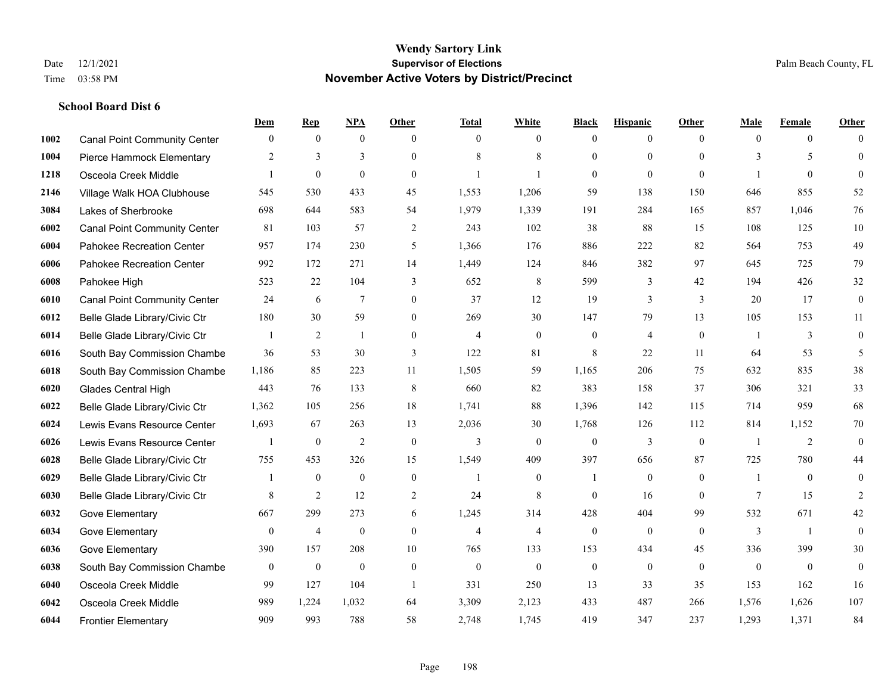|      |                                     | Dem          | <b>Rep</b>       | NPA              | <b>Other</b>     | <b>Total</b>     | <b>White</b>     | <b>Black</b>     | <b>Hispanic</b> | <b>Other</b>   | <b>Male</b>    | <b>Female</b>    | <b>Other</b>     |
|------|-------------------------------------|--------------|------------------|------------------|------------------|------------------|------------------|------------------|-----------------|----------------|----------------|------------------|------------------|
| 1002 | <b>Canal Point Community Center</b> | $\mathbf{0}$ | $\mathbf{0}$     | $\mathbf{0}$     | $\theta$         | $\theta$         | $\overline{0}$   | $\mathbf{0}$     | $\overline{0}$  | $\theta$       | $\theta$       | $\overline{0}$   | $\Omega$         |
| 1004 | Pierce Hammock Elementary           | 2            | 3                | 3                | $\Omega$         | 8                | 8                | $\mathbf{0}$     | $\mathbf{0}$    | $\theta$       | 3              | 5                | $\mathbf{0}$     |
| 1218 | Osceola Creek Middle                | $\mathbf{1}$ | $\mathbf{0}$     | $\theta$         | $\Omega$         |                  | $\mathbf{1}$     | $\theta$         | $\theta$        | $\Omega$       | 1              | $\theta$         | $\theta$         |
| 2146 | Village Walk HOA Clubhouse          | 545          | 530              | 433              | 45               | 1,553            | 1,206            | 59               | 138             | 150            | 646            | 855              | 52               |
| 3084 | Lakes of Sherbrooke                 | 698          | 644              | 583              | 54               | 1,979            | 1,339            | 191              | 284             | 165            | 857            | 1.046            | 76               |
| 6002 | <b>Canal Point Community Center</b> | 81           | 103              | 57               | $\overline{2}$   | 243              | 102              | 38               | 88              | 15             | 108            | 125              | 10               |
| 6004 | Pahokee Recreation Center           | 957          | 174              | 230              | 5                | 1,366            | 176              | 886              | 222             | 82             | 564            | 753              | 49               |
| 6006 | Pahokee Recreation Center           | 992          | 172              | 271              | 14               | 1,449            | 124              | 846              | 382             | 97             | 645            | 725              | 79               |
| 6008 | Pahokee High                        | 523          | 22               | 104              | 3                | 652              | $\,$ 8 $\,$      | 599              | 3               | 42             | 194            | 426              | 32               |
| 6010 | <b>Canal Point Community Center</b> | 24           | 6                | 7                | $\overline{0}$   | 37               | 12               | 19               | 3               | 3              | 20             | 17               | $\boldsymbol{0}$ |
| 6012 | Belle Glade Library/Civic Ctr       | 180          | 30               | 59               | $\overline{0}$   | 269              | 30               | 147              | 79              | 13             | 105            | 153              | 11               |
| 6014 | Belle Glade Library/Civic Ctr       |              | $\overline{2}$   | 1                | $\overline{0}$   | $\overline{4}$   | $\overline{0}$   | $\mathbf{0}$     | $\overline{4}$  | $\mathbf{0}$   |                | 3                | $\mathbf{0}$     |
| 6016 | South Bay Commission Chambe         | 36           | 53               | 30               | 3                | 122              | 81               | 8                | 22              | 11             | 64             | 53               | 5                |
| 6018 | South Bay Commission Chambe         | 1,186        | 85               | 223              | 11               | 1,505            | 59               | 1,165            | 206             | 75             | 632            | 835              | 38               |
| 6020 | Glades Central High                 | 443          | 76               | 133              | 8                | 660              | 82               | 383              | 158             | 37             | 306            | 321              | 33               |
| 6022 | Belle Glade Library/Civic Ctr       | 1,362        | 105              | 256              | 18               | 1,741            | 88               | 1,396            | 142             | 115            | 714            | 959              | 68               |
| 6024 | Lewis Evans Resource Center         | 1,693        | 67               | 263              | 13               | 2,036            | 30               | 1,768            | 126             | 112            | 814            | 1,152            | 70               |
| 6026 | Lewis Evans Resource Center         |              | $\bf{0}$         | $\overline{2}$   | $\mathbf{0}$     | 3                | $\overline{0}$   | $\mathbf{0}$     | 3               | $\overline{0}$ | -1             | 2                | $\boldsymbol{0}$ |
| 6028 | Belle Glade Library/Civic Ctr       | 755          | 453              | 326              | 15               | 1,549            | 409              | 397              | 656             | 87             | 725            | 780              | 44               |
| 6029 | Belle Glade Library/Civic Ctr       |              | $\mathbf{0}$     | $\mathbf{0}$     | $\mathbf{0}$     | $\mathbf{1}$     | $\overline{0}$   | $\mathbf{1}$     | $\mathbf{0}$    | $\theta$       | -1             | $\theta$         | $\mathbf{0}$     |
| 6030 | Belle Glade Library/Civic Ctr       | 8            | 2                | 12               | 2                | 24               | 8                | $\theta$         | 16              | $\Omega$       | $\tau$         | 15               | $\overline{2}$   |
| 6032 | Gove Elementary                     | 667          | 299              | 273              | 6                | 1,245            | 314              | 428              | 404             | 99             | 532            | 671              | 42               |
| 6034 | Gove Elementary                     | $\mathbf{0}$ | $\overline{4}$   | $\mathbf{0}$     | $\overline{0}$   | $\overline{4}$   | $\overline{4}$   | $\mathbf{0}$     | $\mathbf{0}$    | $\theta$       | 3              | -1               | $\mathbf{0}$     |
| 6036 | Gove Elementary                     | 390          | 157              | 208              | 10               | 765              | 133              | 153              | 434             | 45             | 336            | 399              | 30               |
| 6038 | South Bay Commission Chambe         | $\mathbf{0}$ | $\boldsymbol{0}$ | $\boldsymbol{0}$ | $\boldsymbol{0}$ | $\boldsymbol{0}$ | $\boldsymbol{0}$ | $\boldsymbol{0}$ | $\mathbf{0}$    | $\mathbf{0}$   | $\overline{0}$ | $\boldsymbol{0}$ | $\mathbf{0}$     |
| 6040 | Osceola Creek Middle                | 99           | 127              | 104              | $\overline{1}$   | 331              | 250              | 13               | 33              | 35             | 153            | 162              | 16               |
| 6042 | Osceola Creek Middle                | 989          | 1,224            | 1,032            | 64               | 3,309            | 2,123            | 433              | 487             | 266            | 1,576          | 1,626            | 107              |
| 6044 | <b>Frontier Elementary</b>          | 909          | 993              | 788              | 58               | 2,748            | 1,745            | 419              | 347             | 237            | 1,293          | 1,371            | 84               |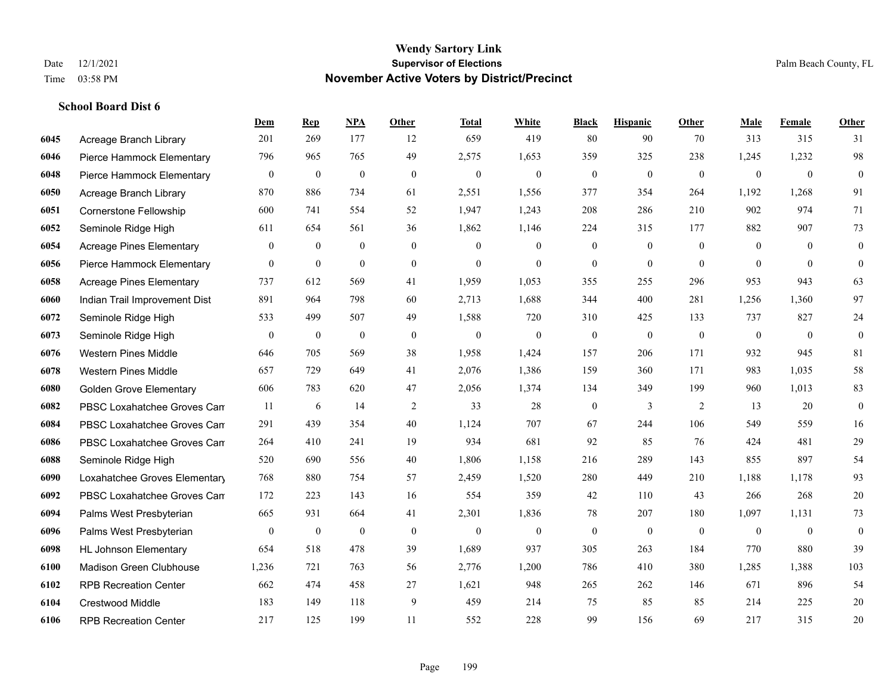**School Board Dist 6**

#### **Wendy Sartory Link** Date 12/1/2021 **Supervisor of Elections** Palm Beach County, FL Time 03:58 PM **November Active Voters by District/Precinct**

# **Dem Rep NPA Other Total White Black Hispanic Other Male Female Other** Acreage Branch Library 201 269 177 12 659 419 80 90 70 313 315 31 Pierce Hammock Elementary 796 965 765 49 2,575 1,653 359 325 238 1,245 1,232 98 Pierce Hammock Elementary 0 0 0 0 0 0 0 0 0 0 0 0 Acreage Branch Library 870 886 734 61 2,551 1,556 377 354 264 1,192 1,268 91 Cornerstone Fellowship 600 741 554 52 1,947 1,243 208 286 210 902 974 71 Seminole Ridge High 611 654 561 36 1,862 1,146 224 315 177 882 907 73 Acreage Pines Elementary 0 0 0 0 0 0 0 0 0 0 0 0 Pierce Hammock Elementary 0 0 0 0 0 0 0 0 0 0 0 0 Acreage Pines Elementary 737 612 569 41 1,959 1,053 355 255 296 953 943 63 Indian Trail Improvement Dist 891 964 798 60 2,713 1,688 344 400 281 1,256 1,360 97 Seminole Ridge High 533 499 507 49 1,588 720 310 425 133 737 827 24 Seminole Ridge High 0 0 0 0 0 0 0 0 0 0 0 0 Western Pines Middle 646 705 569 38 1,958 1,424 157 206 171 932 945 81 Western Pines Middle 657 729 649 41 2,076 1,386 159 360 171 983 1,035 58 Golden Grove Elementary 606 783 620 47 2,056 1,374 134 349 199 960 1,013 83 PBSC Loxahatchee Groves Can  $11$  6  $14$  2  $33$  28 0  $3$  2  $13$  20 0 PBSC Loxahatchee Groves Campus 291 439 354 40 1,124 707 67 244 106 549 559 16 PBSC Loxahatchee Groves Campus 264 410 241 19 934 681 92 85 76 424 481 29 Seminole Ridge High 520 690 556 40 1,806 1,158 216 289 143 855 897 54 Loxahatchee Groves Elementary 768 880 754 57 2,459 1,520 280 449 210 1,188 1,178 93 PBSC Loxahatchee Groves Campus 172 223 143 16 554 359 42 110 43 266 268 20 Palms West Presbyterian 665 931 664 41 2,301 1,836 78 207 180 1,097 1,131 73 Palms West Presbyterian 0 0 0 0 0 0 0 0 0 0 0 0 HL Johnson Elementary 654 518 478 39 1,689 937 305 263 184 770 880 39 Madison Green Clubhouse 1,236 721 763 56 2,776 1,200 786 410 380 1,285 1,388 103 RPB Recreation Center 662 474 458 27 1,621 948 265 262 146 671 896 54 Crestwood Middle 183 149 118 9 459 214 75 85 85 214 225 20 RPB Recreation Center 217 125 199 11 552 228 99 156 69 217 315 20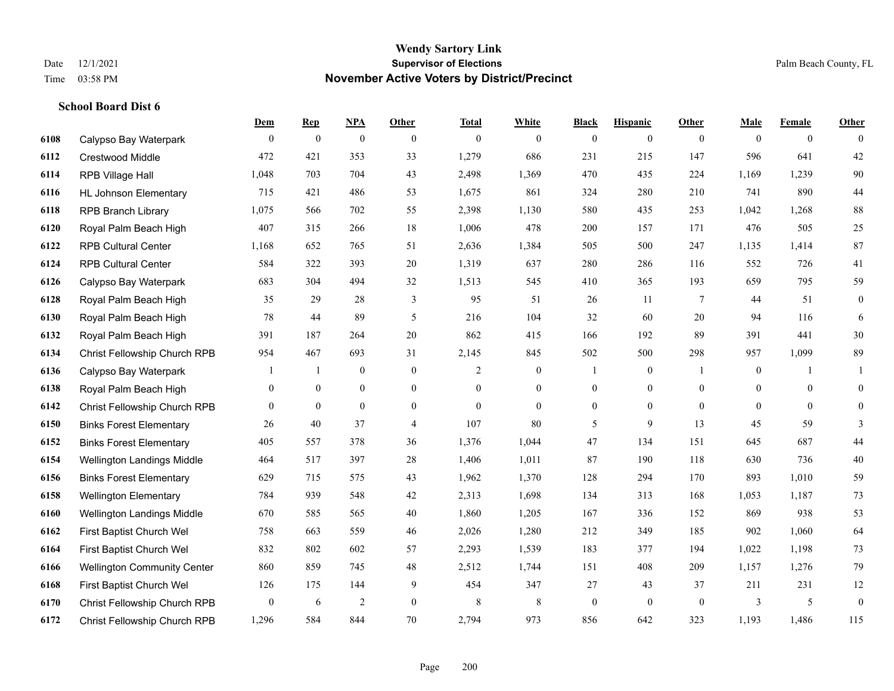|      |                                    | Dem            | <b>Rep</b>     | NPA              | <b>Other</b>     | <b>Total</b> | <b>White</b>     | <b>Black</b>     | <b>Hispanic</b>  | <b>Other</b> | <b>Male</b>      | <b>Female</b>  | <b>Other</b>     |
|------|------------------------------------|----------------|----------------|------------------|------------------|--------------|------------------|------------------|------------------|--------------|------------------|----------------|------------------|
| 6108 | Calypso Bay Waterpark              | $\overline{0}$ | $\overline{0}$ | $\boldsymbol{0}$ | $\mathbf{0}$     | $\theta$     | $\overline{0}$   | $\boldsymbol{0}$ | $\bf{0}$         | $\theta$     | $\mathbf{0}$     | $\overline{0}$ | $\theta$         |
| 6112 | Crestwood Middle                   | 472            | 421            | 353              | 33               | 1,279        | 686              | 231              | 215              | 147          | 596              | 641            | $42\,$           |
| 6114 | RPB Village Hall                   | 1,048          | 703            | 704              | 43               | 2,498        | 1,369            | 470              | 435              | 224          | 1,169            | 1,239          | $90\,$           |
| 6116 | <b>HL Johnson Elementary</b>       | 715            | 421            | 486              | 53               | 1,675        | 861              | 324              | 280              | 210          | 741              | 890            | $44\,$           |
| 6118 | <b>RPB Branch Library</b>          | 1,075          | 566            | 702              | 55               | 2,398        | 1,130            | 580              | 435              | 253          | 1,042            | 1,268          | $88\,$           |
| 6120 | Royal Palm Beach High              | 407            | 315            | 266              | $18\,$           | 1,006        | 478              | 200              | 157              | 171          | 476              | 505            | $25\,$           |
| 6122 | <b>RPB Cultural Center</b>         | 1,168          | 652            | 765              | 51               | 2,636        | 1,384            | 505              | 500              | 247          | 1,135            | 1,414          | 87               |
| 6124 | <b>RPB Cultural Center</b>         | 584            | 322            | 393              | 20               | 1,319        | 637              | 280              | 286              | 116          | 552              | 726            | 41               |
| 6126 | Calypso Bay Waterpark              | 683            | 304            | 494              | 32               | 1,513        | 545              | 410              | 365              | 193          | 659              | 795            | 59               |
| 6128 | Royal Palm Beach High              | 35             | 29             | 28               | 3                | 95           | 51               | 26               | 11               | 7            | 44               | 51             | $\mathbf{0}$     |
| 6130 | Royal Palm Beach High              | 78             | 44             | 89               | 5                | 216          | 104              | 32               | 60               | 20           | 94               | 116            | 6                |
| 6132 | Royal Palm Beach High              | 391            | 187            | 264              | 20               | 862          | 415              | 166              | 192              | 89           | 391              | 441            | 30               |
| 6134 | Christ Fellowship Church RPB       | 954            | 467            | 693              | 31               | 2,145        | 845              | 502              | 500              | 298          | 957              | 1,099          | 89               |
| 6136 | Calypso Bay Waterpark              | 1              | -1             | $\boldsymbol{0}$ | $\boldsymbol{0}$ | 2            | $\boldsymbol{0}$ |                  | $\boldsymbol{0}$ | -1           | $\boldsymbol{0}$ | -1             | 1                |
| 6138 | Royal Palm Beach High              | $\overline{0}$ | $\mathbf{0}$   | $\overline{0}$   | $\overline{0}$   | $\theta$     | $\mathbf{0}$     | $\mathbf{0}$     | $\overline{0}$   | $\theta$     | $\Omega$         | $\theta$       | $\mathbf{0}$     |
| 6142 | Christ Fellowship Church RPB       | 0              | $\overline{0}$ | $\mathbf{0}$     | $\mathbf{0}$     | $\theta$     | $\mathbf{0}$     | $\boldsymbol{0}$ | $\overline{0}$   | $\theta$     | $\mathbf{0}$     | $\theta$       | $\overline{0}$   |
| 6150 | <b>Binks Forest Elementary</b>     | 26             | 40             | 37               | $\overline{4}$   | 107          | 80               | 5                | 9                | 13           | 45               | 59             | 3                |
| 6152 | <b>Binks Forest Elementary</b>     | 405            | 557            | 378              | 36               | 1,376        | 1,044            | 47               | 134              | 151          | 645              | 687            | $44\,$           |
| 6154 | Wellington Landings Middle         | 464            | 517            | 397              | $28\,$           | 1,406        | 1,011            | 87               | 190              | 118          | 630              | 736            | $40\,$           |
| 6156 | <b>Binks Forest Elementary</b>     | 629            | 715            | 575              | 43               | 1,962        | 1,370            | 128              | 294              | 170          | 893              | 1,010          | 59               |
| 6158 | <b>Wellington Elementary</b>       | 784            | 939            | 548              | 42               | 2,313        | 1,698            | 134              | 313              | 168          | 1,053            | 1,187          | 73               |
| 6160 | Wellington Landings Middle         | 670            | 585            | 565              | $40\,$           | 1,860        | 1,205            | 167              | 336              | 152          | 869              | 938            | 53               |
| 6162 | First Baptist Church Wel           | 758            | 663            | 559              | 46               | 2,026        | 1,280            | 212              | 349              | 185          | 902              | 1,060          | 64               |
| 6164 | First Baptist Church Wel           | 832            | 802            | 602              | 57               | 2,293        | 1,539            | 183              | 377              | 194          | 1,022            | 1,198          | 73               |
| 6166 | <b>Wellington Community Center</b> | 860            | 859            | 745              | 48               | 2,512        | 1,744            | 151              | 408              | 209          | 1,157            | 1,276          | 79               |
| 6168 | First Baptist Church Wel           | 126            | 175            | 144              | 9                | 454          | 347              | 27               | 43               | 37           | 211              | 231            | 12               |
| 6170 | Christ Fellowship Church RPB       | 0              | 6              | $\overline{2}$   | $\boldsymbol{0}$ | 8            | $\,8\,$          | $\boldsymbol{0}$ | $\mathbf{0}$     | $\mathbf{0}$ | 3                | 5              | $\boldsymbol{0}$ |
| 6172 | Christ Fellowship Church RPB       | 1,296          | 584            | 844              | 70               | 2,794        | 973              | 856              | 642              | 323          | 1,193            | 1,486          | 115              |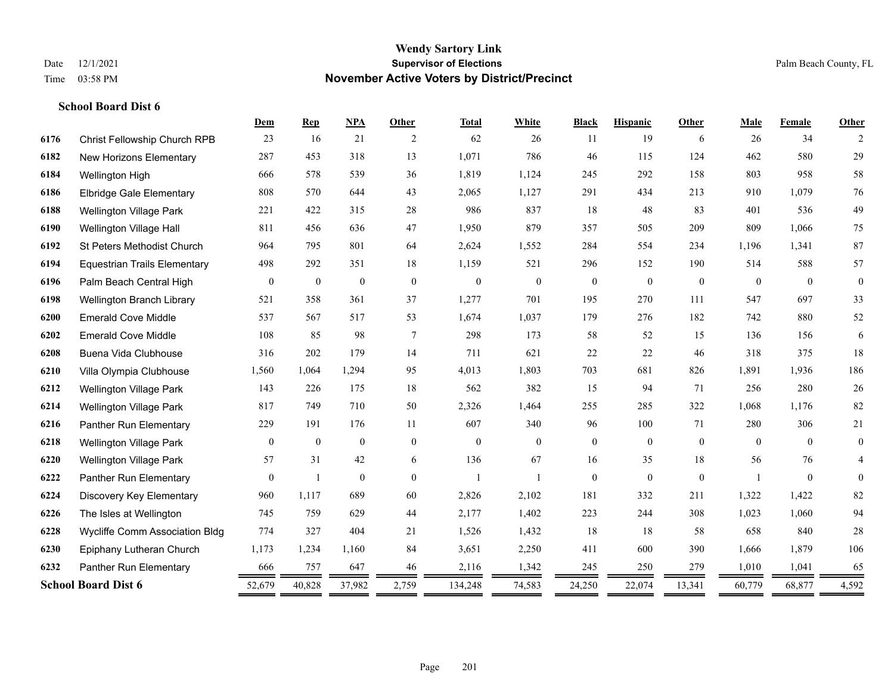|      |                                     | Dem          | <b>Rep</b>       | <b>NPA</b>       | <b>Other</b>   | <b>Total</b>   | White            | <b>Black</b>     | <b>Hispanic</b> | Other        | Male     | Female   | Other          |
|------|-------------------------------------|--------------|------------------|------------------|----------------|----------------|------------------|------------------|-----------------|--------------|----------|----------|----------------|
| 6176 | Christ Fellowship Church RPB        | 23           | 16               | 21               | 2              | 62             | 26               | 11               | 19              | 6            | 26       | 34       | 2              |
| 6182 | New Horizons Elementary             | 287          | 453              | 318              | 13             | 1,071          | 786              | 46               | 115             | 124          | 462      | 580      | 29             |
| 6184 | Wellington High                     | 666          | 578              | 539              | 36             | 1,819          | 1,124            | 245              | 292             | 158          | 803      | 958      | 58             |
| 6186 | <b>Elbridge Gale Elementary</b>     | 808          | 570              | 644              | 43             | 2,065          | 1,127            | 291              | 434             | 213          | 910      | 1.079    | 76             |
| 6188 | <b>Wellington Village Park</b>      | 221          | 422              | 315              | 28             | 986            | 837              | 18               | 48              | 83           | 401      | 536      | 49             |
| 6190 | Wellington Village Hall             | 811          | 456              | 636              | 47             | 1,950          | 879              | 357              | 505             | 209          | 809      | 1,066    | 75             |
| 6192 | St Peters Methodist Church          | 964          | 795              | 801              | 64             | 2,624          | 1,552            | 284              | 554             | 234          | 1,196    | 1,341    | $87\,$         |
| 6194 | <b>Equestrian Trails Elementary</b> | 498          | 292              | 351              | 18             | 1,159          | 521              | 296              | 152             | 190          | 514      | 588      | 57             |
| 6196 | Palm Beach Central High             | $\mathbf{0}$ | $\boldsymbol{0}$ | $\boldsymbol{0}$ | $\overline{0}$ | $\theta$       | $\boldsymbol{0}$ | $\boldsymbol{0}$ | $\mathbf{0}$    | $\mathbf{0}$ | $\theta$ | $\theta$ | $\mathbf{0}$   |
| 6198 | Wellington Branch Library           | 521          | 358              | 361              | 37             | 1,277          | 701              | 195              | 270             | 111          | 547      | 697      | 33             |
| 6200 | <b>Emerald Cove Middle</b>          | 537          | 567              | 517              | 53             | 1,674          | 1,037            | 179              | 276             | 182          | 742      | 880      | 52             |
| 6202 | <b>Emerald Cove Middle</b>          | 108          | 85               | 98               | 7              | 298            | 173              | 58               | 52              | 15           | 136      | 156      | 6              |
| 6208 | Buena Vida Clubhouse                | 316          | 202              | 179              | 14             | 711            | 621              | 22               | 22              | 46           | 318      | 375      | 18             |
| 6210 | Villa Olympia Clubhouse             | 1,560        | 1,064            | 1,294            | 95             | 4,013          | 1,803            | 703              | 681             | 826          | 1,891    | 1.936    | 186            |
| 6212 | Wellington Village Park             | 143          | 226              | 175              | 18             | 562            | 382              | 15               | 94              | 71           | 256      | 280      | $26\,$         |
| 6214 | Wellington Village Park             | 817          | 749              | 710              | 50             | 2,326          | 1,464            | 255              | 285             | 322          | 1,068    | 1,176    | $82\,$         |
| 6216 | Panther Run Elementary              | 229          | 191              | 176              | 11             | 607            | 340              | 96               | 100             | 71           | 280      | 306      | 21             |
| 6218 | <b>Wellington Village Park</b>      | $\mathbf{0}$ | $\boldsymbol{0}$ | $\mathbf{0}$     | $\overline{0}$ | $\theta$       | $\overline{0}$   | $\boldsymbol{0}$ | $\mathbf{0}$    | $\mathbf{0}$ | $\theta$ | $\theta$ | $\overline{0}$ |
| 6220 | <b>Wellington Village Park</b>      | 57           | 31               | 42               | 6              | 136            | 67               | 16               | 35              | 18           | 56       | 76       | 4              |
| 6222 | Panther Run Elementary              | $\mathbf{0}$ | $\overline{1}$   | $\mathbf{0}$     | $\theta$       | $\overline{1}$ |                  | $\mathbf{0}$     | $\mathbf{0}$    | $\theta$     |          | $\theta$ | $\mathbf{0}$   |
| 6224 | Discovery Key Elementary            | 960          | 1,117            | 689              | 60             | 2,826          | 2,102            | 181              | 332             | 211          | 1,322    | 1,422    | 82             |
| 6226 | The Isles at Wellington             | 745          | 759              | 629              | 44             | 2,177          | 1,402            | 223              | 244             | 308          | 1,023    | 1,060    | 94             |
| 6228 | Wycliffe Comm Association Bldg      | 774          | 327              | 404              | 21             | 1,526          | 1,432            | 18               | 18              | 58           | 658      | 840      | $28\,$         |
| 6230 | Epiphany Lutheran Church            | 1,173        | 1,234            | 1,160            | 84             | 3,651          | 2,250            | 411              | 600             | 390          | 1,666    | 1,879    | 106            |
| 6232 | Panther Run Elementary              | 666          | 757              | 647              | 46             | 2,116          | 1,342            | 245              | 250             | 279          | 1,010    | 1,041    | 65             |
|      | <b>School Board Dist 6</b>          | 52,679       | 40,828           | 37,982           | 2,759          | 134,248        | 74,583           | 24,250           | 22,074          | 13,341       | 60,779   | 68,877   | 4,592          |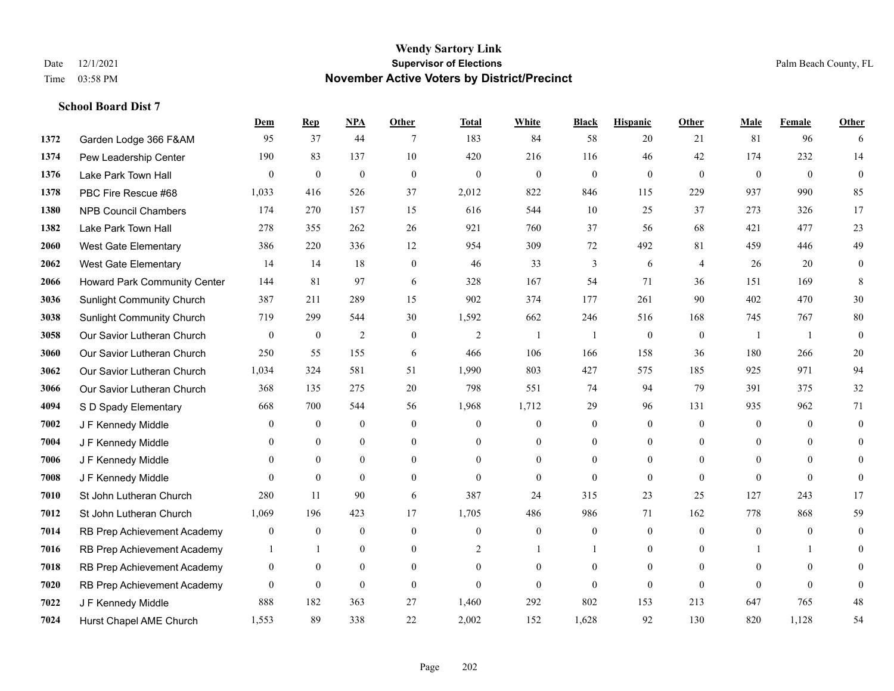|      |                                     | Dem              | <b>Rep</b>       | NPA              | <b>Other</b>   | <b>Total</b>   | <b>White</b>     | <b>Black</b>     | <b>Hispanic</b>  | <b>Other</b>   | <b>Male</b>    | <b>Female</b>  | <b>Other</b>   |
|------|-------------------------------------|------------------|------------------|------------------|----------------|----------------|------------------|------------------|------------------|----------------|----------------|----------------|----------------|
| 1372 | Garden Lodge 366 F&AM               | 95               | 37               | 44               | 7              | 183            | 84               | 58               | 20               | 21             | 81             | 96             | 6              |
| 1374 | Pew Leadership Center               | 190              | 83               | 137              | 10             | 420            | 216              | 116              | 46               | 42             | 174            | 232            | 14             |
| 1376 | Lake Park Town Hall                 | $\theta$         | $\mathbf{0}$     | $\mathbf{0}$     | $\mathbf{0}$   | $\mathbf{0}$   | $\mathbf{0}$     | $\mathbf{0}$     | $\overline{0}$   | $\theta$       | $\mathbf{0}$   | $\theta$       | $\theta$       |
| 1378 | PBC Fire Rescue #68                 | 1,033            | 416              | 526              | 37             | 2,012          | 822              | 846              | 115              | 229            | 937            | 990            | 85             |
| 1380 | <b>NPB Council Chambers</b>         | 174              | 270              | 157              | 15             | 616            | 544              | 10               | 25               | 37             | 273            | 326            | 17             |
| 1382 | Lake Park Town Hall                 | 278              | 355              | 262              | 26             | 921            | 760              | 37               | 56               | 68             | 421            | 477            | 23             |
| 2060 | <b>West Gate Elementary</b>         | 386              | 220              | 336              | 12             | 954            | 309              | $72\,$           | 492              | 81             | 459            | 446            | 49             |
| 2062 | <b>West Gate Elementary</b>         | 14               | 14               | 18               | $\mathbf{0}$   | 46             | 33               | 3                | 6                | $\overline{4}$ | 26             | 20             | $\mathbf{0}$   |
| 2066 | <b>Howard Park Community Center</b> | 144              | 81               | 97               | 6              | 328            | 167              | 54               | 71               | 36             | 151            | 169            | 8              |
| 3036 | <b>Sunlight Community Church</b>    | 387              | 211              | 289              | 15             | 902            | 374              | 177              | 261              | 90             | 402            | 470            | $30\,$         |
| 3038 | <b>Sunlight Community Church</b>    | 719              | 299              | 544              | 30             | 1,592          | 662              | 246              | 516              | 168            | 745            | 767            | $80\,$         |
| 3058 | Our Savior Lutheran Church          | $\mathbf{0}$     | $\boldsymbol{0}$ | $\overline{2}$   | $\mathbf{0}$   | $\overline{2}$ | 1                |                  | $\boldsymbol{0}$ | $\mathbf{0}$   | -1             | $\overline{1}$ | $\theta$       |
| 3060 | Our Savior Lutheran Church          | 250              | 55               | 155              | 6              | 466            | 106              | 166              | 158              | 36             | 180            | 266            | $20\,$         |
| 3062 | Our Savior Lutheran Church          | 1,034            | 324              | 581              | 51             | 1,990          | 803              | 427              | 575              | 185            | 925            | 971            | 94             |
| 3066 | Our Savior Lutheran Church          | 368              | 135              | 275              | 20             | 798            | 551              | 74               | 94               | 79             | 391            | 375            | $32\,$         |
| 4094 | S D Spady Elementary                | 668              | 700              | 544              | 56             | 1,968          | 1,712            | 29               | 96               | 131            | 935            | 962            | 71             |
| 7002 | J F Kennedy Middle                  | $\mathbf{0}$     | $\boldsymbol{0}$ | $\boldsymbol{0}$ | $\mathbf{0}$   | $\theta$       | $\boldsymbol{0}$ | $\boldsymbol{0}$ | $\overline{0}$   | $\mathbf{0}$   | $\mathbf{0}$   | $\mathbf{0}$   | $\overline{0}$ |
| 7004 | J F Kennedy Middle                  | $\overline{0}$   | $\overline{0}$   | $\mathbf{0}$     | $\mathbf{0}$   | $\Omega$       | 0                | $\overline{0}$   | $\overline{0}$   | $\theta$       | $\overline{0}$ | $\theta$       | $\mathbf{0}$   |
| 7006 | J F Kennedy Middle                  | $\mathbf{0}$     | $\mathbf{0}$     | $\mathbf{0}$     | $\overline{0}$ | $\theta$       | $\overline{0}$   | $\overline{0}$   | $\overline{0}$   | $\theta$       | $\theta$       | $\theta$       | 0              |
| 7008 | J F Kennedy Middle                  | $\Omega$         | $\theta$         | $\theta$         | $\theta$       | $\theta$       | $\overline{0}$   | $\theta$         | $\Omega$         | $\theta$       | $\Omega$       | $\theta$       | $\theta$       |
| 7010 | St John Lutheran Church             | 280              | 11               | 90               | 6              | 387            | 24               | 315              | 23               | 25             | 127            | 243            | 17             |
| 7012 | St John Lutheran Church             | 1,069            | 196              | 423              | 17             | 1,705          | 486              | 986              | 71               | 162            | 778            | 868            | 59             |
| 7014 | RB Prep Achievement Academy         | $\mathbf{0}$     | $\boldsymbol{0}$ | $\mathbf{0}$     | $\mathbf{0}$   | $\theta$       | $\mathbf{0}$     | $\boldsymbol{0}$ | $\boldsymbol{0}$ | $\theta$       | $\overline{0}$ | $\theta$       | $\mathbf{0}$   |
| 7016 | RB Prep Achievement Academy         |                  | $\overline{1}$   | $\mathbf{0}$     | $\Omega$       | $\overline{c}$ | 1                |                  | $\overline{0}$   | $\theta$       |                |                | $\Omega$       |
| 7018 | RB Prep Achievement Academy         | $\boldsymbol{0}$ | $\boldsymbol{0}$ | $\mathbf{0}$     | $\mathbf{0}$   | $\theta$       | $\overline{0}$   | $\overline{0}$   | $\boldsymbol{0}$ | $\theta$       | $\mathbf{0}$   | $\theta$       | $\theta$       |
| 7020 | RB Prep Achievement Academy         | $\mathbf{0}$     | $\mathbf{0}$     | $\mathbf{0}$     | $\theta$       | $\theta$       | $\overline{0}$   | $\Omega$         | $\overline{0}$   | $\theta$       | $\Omega$       | $\theta$       | $\mathbf{0}$   |
| 7022 | J F Kennedy Middle                  | 888              | 182              | 363              | 27             | 1,460          | 292              | 802              | 153              | 213            | 647            | 765            | 48             |
| 7024 | Hurst Chapel AME Church             | 1,553            | 89               | 338              | 22             | 2,002          | 152              | 1,628            | 92               | 130            | 820            | 1,128          | 54             |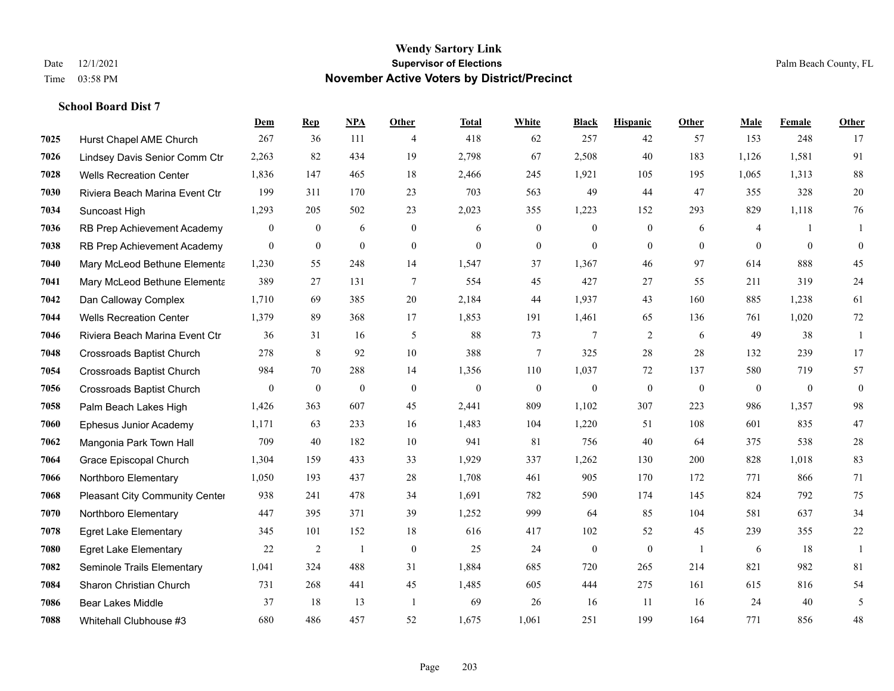|      |                                  | Dem              | <b>Rep</b>       | NPA            | <b>Other</b>   | <b>Total</b> | <b>White</b>     | <b>Black</b>     | <b>Hispanic</b> | <b>Other</b>   | <b>Male</b>  | Female         | <b>Other</b>     |
|------|----------------------------------|------------------|------------------|----------------|----------------|--------------|------------------|------------------|-----------------|----------------|--------------|----------------|------------------|
| 7025 | Hurst Chapel AME Church          | 267              | 36               | 111            | 4              | 418          | 62               | 257              | 42              | 57             | 153          | 248            | 17               |
| 7026 | Lindsey Davis Senior Comm Ctr    | 2,263            | 82               | 434            | 19             | 2,798        | 67               | 2,508            | 40              | 183            | 1,126        | 1,581          | 91               |
| 7028 | <b>Wells Recreation Center</b>   | 1,836            | 147              | 465            | 18             | 2,466        | 245              | 1,921            | 105             | 195            | 1,065        | 1,313          | $88\,$           |
| 7030 | Riviera Beach Marina Event Ctr   | 199              | 311              | 170            | 23             | 703          | 563              | 49               | 44              | 47             | 355          | 328            | $20\,$           |
| 7034 | Suncoast High                    | 1,293            | 205              | 502            | 23             | 2,023        | 355              | 1.223            | 152             | 293            | 829          | 1,118          | 76               |
| 7036 | RB Prep Achievement Academy      | $\boldsymbol{0}$ | $\boldsymbol{0}$ | 6              | $\overline{0}$ | 6            | $\boldsymbol{0}$ | $\mathbf{0}$     | $\mathbf{0}$    | 6              | 4            | -1             | 1                |
| 7038 | RB Prep Achievement Academy      | $\mathbf{0}$     | $\mathbf{0}$     | $\mathbf{0}$   | $\overline{0}$ | $\mathbf{0}$ | $\mathbf{0}$     | $\mathbf{0}$     | $\mathbf{0}$    | $\theta$       | $\theta$     | $\mathbf{0}$   | $\boldsymbol{0}$ |
| 7040 | Mary McLeod Bethune Elementa     | 1,230            | 55               | 248            | 14             | 1,547        | 37               | 1,367            | 46              | 97             | 614          | 888            | 45               |
| 7041 | Mary McLeod Bethune Elementa     | 389              | 27               | 131            | $\tau$         | 554          | 45               | 427              | 27              | 55             | 211          | 319            | 24               |
| 7042 | Dan Calloway Complex             | 1,710            | 69               | 385            | 20             | 2,184        | 44               | 1,937            | 43              | 160            | 885          | 1,238          | 61               |
| 7044 | <b>Wells Recreation Center</b>   | 1.379            | 89               | 368            | 17             | 1,853        | 191              | 1,461            | 65              | 136            | 761          | 1.020          | $72\,$           |
| 7046 | Riviera Beach Marina Event Ctr   | 36               | 31               | 16             | 5              | 88           | 73               | 7                | $\overline{2}$  | 6              | 49           | 38             | 1                |
| 7048 | <b>Crossroads Baptist Church</b> | 278              | 8                | 92             | 10             | 388          | 7                | 325              | 28              | 28             | 132          | 239            | 17               |
| 7054 | <b>Crossroads Baptist Church</b> | 984              | 70               | 288            | 14             | 1,356        | 110              | 1,037            | 72              | 137            | 580          | 719            | 57               |
| 7056 | <b>Crossroads Baptist Church</b> | $\mathbf{0}$     | $\bf{0}$         | $\mathbf{0}$   | $\theta$       | $\theta$     | $\boldsymbol{0}$ | $\boldsymbol{0}$ | $\mathbf{0}$    | $\overline{0}$ | $\mathbf{0}$ | $\overline{0}$ | $\boldsymbol{0}$ |
| 7058 | Palm Beach Lakes High            | 1,426            | 363              | 607            | 45             | 2,441        | 809              | 1,102            | 307             | 223            | 986          | 1,357          | 98               |
| 7060 | Ephesus Junior Academy           | 1,171            | 63               | 233            | 16             | 1,483        | 104              | 1,220            | 51              | 108            | 601          | 835            | 47               |
| 7062 | Mangonia Park Town Hall          | 709              | 40               | 182            | 10             | 941          | 81               | 756              | 40              | 64             | 375          | 538            | $28\,$           |
| 7064 | Grace Episcopal Church           | 1,304            | 159              | 433            | 33             | 1,929        | 337              | 1,262            | 130             | 200            | 828          | 1,018          | 83               |
| 7066 | Northboro Elementary             | 1,050            | 193              | 437            | 28             | 1,708        | 461              | 905              | 170             | 172            | 771          | 866            | 71               |
| 7068 | Pleasant City Community Center   | 938              | 241              | 478            | 34             | 1,691        | 782              | 590              | 174             | 145            | 824          | 792            | 75               |
| 7070 | Northboro Elementary             | 447              | 395              | 371            | 39             | 1,252        | 999              | 64               | 85              | 104            | 581          | 637            | 34               |
| 7078 | <b>Egret Lake Elementary</b>     | 345              | 101              | 152            | 18             | 616          | 417              | 102              | 52              | 45             | 239          | 355            | $22\,$           |
| 7080 | <b>Egret Lake Elementary</b>     | 22               | 2                | $\overline{1}$ | $\mathbf{0}$   | 25           | 24               | $\boldsymbol{0}$ | $\mathbf{0}$    | $\overline{1}$ | 6            | 18             | $\mathbf{1}$     |
| 7082 | Seminole Trails Elementary       | 1,041            | 324              | 488            | 31             | 1,884        | 685              | 720              | 265             | 214            | 821          | 982            | 81               |
| 7084 | Sharon Christian Church          | 731              | 268              | 441            | 45             | 1,485        | 605              | 444              | 275             | 161            | 615          | 816            | 54               |
| 7086 | <b>Bear Lakes Middle</b>         | 37               | 18               | 13             | -1             | 69           | 26               | 16               | 11              | 16             | 24           | 40             | 5                |
| 7088 | Whitehall Clubhouse #3           | 680              | 486              | 457            | 52             | 1,675        | 1,061            | 251              | 199             | 164            | 771          | 856            | 48               |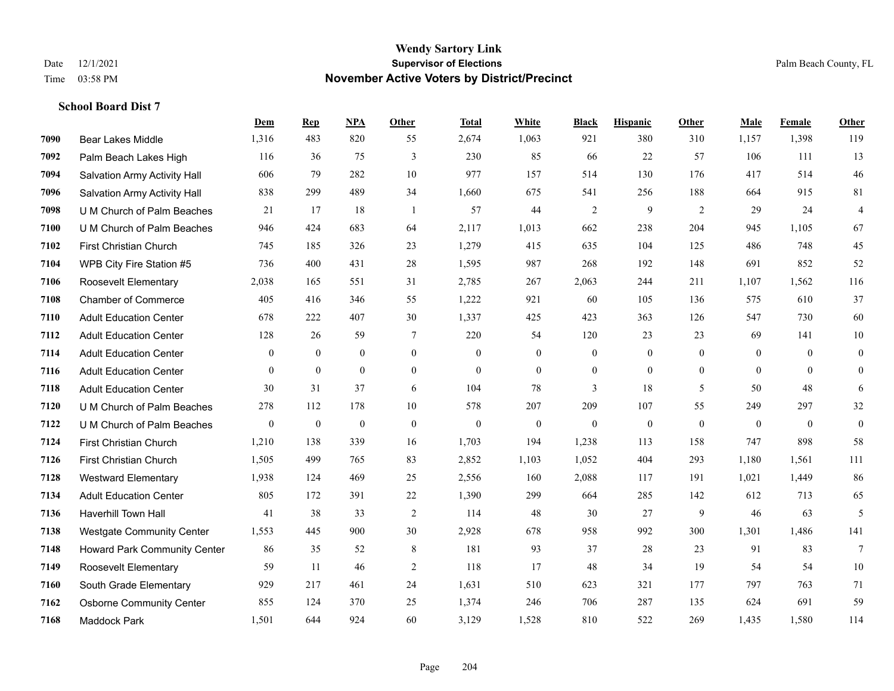|      |                                  | Dem              | <b>Rep</b>       | NPA              | <b>Other</b>     | <b>Total</b>     | White            | <b>Black</b>     | <b>Hispanic</b>  | Other            | <b>Male</b>  | Female       | <b>Other</b>     |
|------|----------------------------------|------------------|------------------|------------------|------------------|------------------|------------------|------------------|------------------|------------------|--------------|--------------|------------------|
| 7090 | <b>Bear Lakes Middle</b>         | 1,316            | 483              | 820              | 55               | 2,674            | 1,063            | 921              | 380              | 310              | 1,157        | 1,398        | 119              |
| 7092 | Palm Beach Lakes High            | 116              | 36               | 75               | 3                | 230              | 85               | 66               | 22               | 57               | 106          | 111          | 13               |
| 7094 | Salvation Army Activity Hall     | 606              | 79               | 282              | 10               | 977              | 157              | 514              | 130              | 176              | 417          | 514          | $46\,$           |
| 7096 | Salvation Army Activity Hall     | 838              | 299              | 489              | 34               | 1,660            | 675              | 541              | 256              | 188              | 664          | 915          | 81               |
| 7098 | U M Church of Palm Beaches       | 21               | 17               | 18               | $\overline{1}$   | 57               | 44               | $\overline{2}$   | 9                | 2                | 29           | 24           | $\overline{4}$   |
| 7100 | U M Church of Palm Beaches       | 946              | 424              | 683              | 64               | 2,117            | 1,013            | 662              | 238              | 204              | 945          | 1,105        | 67               |
| 7102 | First Christian Church           | 745              | 185              | 326              | 23               | 1,279            | 415              | 635              | 104              | 125              | 486          | 748          | 45               |
| 7104 | WPB City Fire Station #5         | 736              | 400              | 431              | 28               | 1,595            | 987              | 268              | 192              | 148              | 691          | 852          | 52               |
| 7106 | <b>Roosevelt Elementary</b>      | 2,038            | 165              | 551              | 31               | 2,785            | 267              | 2,063            | 244              | 211              | 1,107        | 1,562        | 116              |
| 7108 | <b>Chamber of Commerce</b>       | 405              | 416              | 346              | 55               | 1,222            | 921              | 60               | 105              | 136              | 575          | 610          | 37               |
| 7110 | <b>Adult Education Center</b>    | 678              | 222              | 407              | 30               | 1,337            | 425              | 423              | 363              | 126              | 547          | 730          | 60               |
| 7112 | <b>Adult Education Center</b>    | 128              | 26               | 59               | 7                | 220              | 54               | 120              | 23               | 23               | 69           | 141          | 10               |
| 7114 | <b>Adult Education Center</b>    | $\mathbf{0}$     | $\mathbf{0}$     | $\overline{0}$   | $\overline{0}$   | $\theta$         | $\overline{0}$   | $\mathbf{0}$     | $\mathbf{0}$     | $\theta$         | $\theta$     | $\theta$     | $\boldsymbol{0}$ |
| 7116 | <b>Adult Education Center</b>    | $\mathbf{0}$     | $\overline{0}$   | $\overline{0}$   | $\boldsymbol{0}$ | $\boldsymbol{0}$ | $\boldsymbol{0}$ | $\boldsymbol{0}$ | $\boldsymbol{0}$ | $\boldsymbol{0}$ | $\mathbf{0}$ | $\mathbf{0}$ | $\boldsymbol{0}$ |
| 7118 | <b>Adult Education Center</b>    | 30               | 31               | 37               | 6                | 104              | 78               | 3                | 18               | 5                | 50           | 48           | 6                |
| 7120 | U M Church of Palm Beaches       | 278              | 112              | 178              | 10               | 578              | 207              | 209              | 107              | 55               | 249          | 297          | 32               |
| 7122 | U M Church of Palm Beaches       | $\boldsymbol{0}$ | $\boldsymbol{0}$ | $\boldsymbol{0}$ | $\boldsymbol{0}$ | $\boldsymbol{0}$ | $\boldsymbol{0}$ | $\mathbf{0}$     | $\mathbf{0}$     | $\mathbf{0}$     | $\mathbf{0}$ | $\mathbf{0}$ | $\boldsymbol{0}$ |
| 7124 | <b>First Christian Church</b>    | 1,210            | 138              | 339              | 16               | 1,703            | 194              | 1,238            | 113              | 158              | 747          | 898          | 58               |
| 7126 | First Christian Church           | 1,505            | 499              | 765              | 83               | 2,852            | 1,103            | 1,052            | 404              | 293              | 1,180        | 1,561        | 111              |
| 7128 | <b>Westward Elementary</b>       | 1,938            | 124              | 469              | 25               | 2,556            | 160              | 2,088            | 117              | 191              | 1,021        | 1,449        | 86               |
| 7134 | <b>Adult Education Center</b>    | 805              | 172              | 391              | 22               | 1,390            | 299              | 664              | 285              | 142              | 612          | 713          | 65               |
| 7136 | <b>Haverhill Town Hall</b>       | 41               | 38               | 33               | 2                | 114              | 48               | 30               | 27               | 9                | 46           | 63           | 5                |
| 7138 | <b>Westgate Community Center</b> | 1,553            | 445              | 900              | $30\,$           | 2,928            | 678              | 958              | 992              | 300              | 1,301        | 1,486        | 141              |
| 7148 | Howard Park Community Center     | 86               | 35               | 52               | 8                | 181              | 93               | 37               | 28               | 23               | 91           | 83           | 7                |
| 7149 | Roosevelt Elementary             | 59               | 11               | 46               | 2                | 118              | 17               | 48               | 34               | 19               | 54           | 54           | 10               |
| 7160 | South Grade Elementary           | 929              | 217              | 461              | 24               | 1,631            | 510              | 623              | 321              | 177              | 797          | 763          | 71               |
| 7162 | <b>Osborne Community Center</b>  | 855              | 124              | 370              | 25               | 1,374            | 246              | 706              | 287              | 135              | 624          | 691          | 59               |
| 7168 | <b>Maddock Park</b>              | 1,501            | 644              | 924              | 60               | 3,129            | 1,528            | 810              | 522              | 269              | 1,435        | 1,580        | 114              |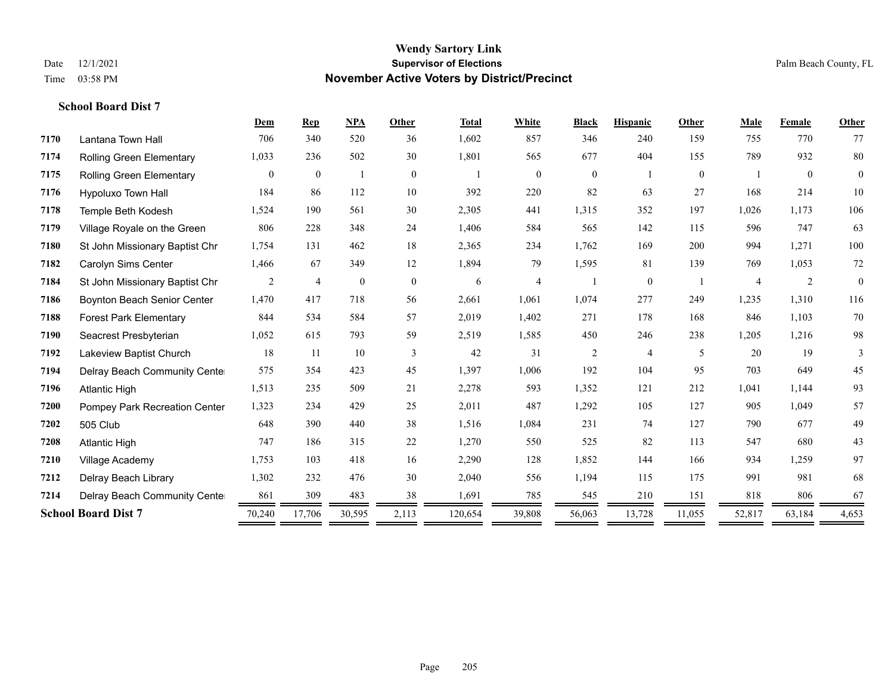|      |                                    | Dem          | <b>Rep</b>     | <b>NPA</b>   | Other          | <b>Total</b> | White          | <b>Black</b>   | <b>Hispanic</b> | Other          | Male           | Female         | Other          |
|------|------------------------------------|--------------|----------------|--------------|----------------|--------------|----------------|----------------|-----------------|----------------|----------------|----------------|----------------|
| 7170 | Lantana Town Hall                  | 706          | 340            | 520          | 36             | 1,602        | 857            | 346            | 240             | 159            | 755            | 770            | 77             |
| 7174 | Rolling Green Elementary           | 1,033        | 236            | 502          | 30             | 1,801        | 565            | 677            | 404             | 155            | 789            | 932            | 80             |
| 7175 | <b>Rolling Green Elementary</b>    | $\mathbf{0}$ | $\mathbf{0}$   |              | $\overline{0}$ |              | $\mathbf{0}$   | $\overline{0}$ |                 | $\overline{0}$ |                | $\overline{0}$ | $\overline{0}$ |
| 7176 | Hypoluxo Town Hall                 | 184          | 86             | 112          | 10             | 392          | 220            | 82             | 63              | 27             | 168            | 214            | 10             |
| 7178 | Temple Beth Kodesh                 | 1,524        | 190            | 561          | 30             | 2,305        | 441            | 1,315          | 352             | 197            | 1,026          | 1,173          | 106            |
| 7179 | Village Royale on the Green        | 806          | 228            | 348          | 24             | 1,406        | 584            | 565            | 142             | 115            | 596            | 747            | 63             |
| 7180 | St John Missionary Baptist Chr     | 1,754        | 131            | 462          | 18             | 2,365        | 234            | 1,762          | 169             | 200            | 994            | 1,271          | 100            |
| 7182 | Carolyn Sims Center                | 1,466        | 67             | 349          | 12             | 1,894        | 79             | 1,595          | 81              | 139            | 769            | 1,053          | $72\,$         |
| 7184 | St John Missionary Baptist Chr     | 2            | $\overline{4}$ | $\mathbf{0}$ | $\overline{0}$ | 6            | $\overline{4}$ |                | $\overline{0}$  |                | $\overline{4}$ | 2              | $\theta$       |
| 7186 | <b>Boynton Beach Senior Center</b> | 1,470        | 417            | 718          | 56             | 2,661        | 1,061          | 1,074          | 277             | 249            | 1,235          | 1,310          | 116            |
| 7188 | <b>Forest Park Elementary</b>      | 844          | 534            | 584          | 57             | 2,019        | 1,402          | 271            | 178             | 168            | 846            | 1,103          | 70             |
| 7190 | Seacrest Presbyterian              | 1,052        | 615            | 793          | 59             | 2,519        | 1,585          | 450            | 246             | 238            | 1,205          | 1,216          | 98             |
| 7192 | Lakeview Baptist Church            | 18           | 11             | 10           | 3              | 42           | 31             | $\overline{c}$ | 4               | 5              | 20             | 19             | 3              |
| 7194 | Delray Beach Community Cente       | 575          | 354            | 423          | 45             | 1,397        | 1,006          | 192            | 104             | 95             | 703            | 649            | 45             |
| 7196 | <b>Atlantic High</b>               | 1,513        | 235            | 509          | 21             | 2,278        | 593            | 1,352          | 121             | 212            | 1,041          | 1,144          | 93             |
| 7200 | Pompey Park Recreation Center      | 1,323        | 234            | 429          | 25             | 2,011        | 487            | 1,292          | 105             | 127            | 905            | 1,049          | 57             |
| 7202 | 505 Club                           | 648          | 390            | 440          | 38             | 1,516        | 1,084          | 231            | 74              | 127            | 790            | 677            | 49             |
| 7208 | <b>Atlantic High</b>               | 747          | 186            | 315          | $22\,$         | 1,270        | 550            | 525            | 82              | 113            | 547            | 680            | 43             |
| 7210 | Village Academy                    | 1,753        | 103            | 418          | 16             | 2,290        | 128            | 1,852          | 144             | 166            | 934            | 1,259          | 97             |
| 7212 | Delray Beach Library               | 1,302        | 232            | 476          | 30             | 2,040        | 556            | 1,194          | 115             | 175            | 991            | 981            | 68             |
| 7214 | Delray Beach Community Cente       | 861          | 309            | 483          | 38             | 1,691        | 785            | 545            | 210             | 151            | 818            | 806            | 67             |
|      | <b>School Board Dist 7</b>         | 70,240       | 17,706         | 30,595       | 2,113          | 120,654      | 39,808         | 56,063         | 13,728          | 11,055         | 52,817         | 63,184         | 4,653          |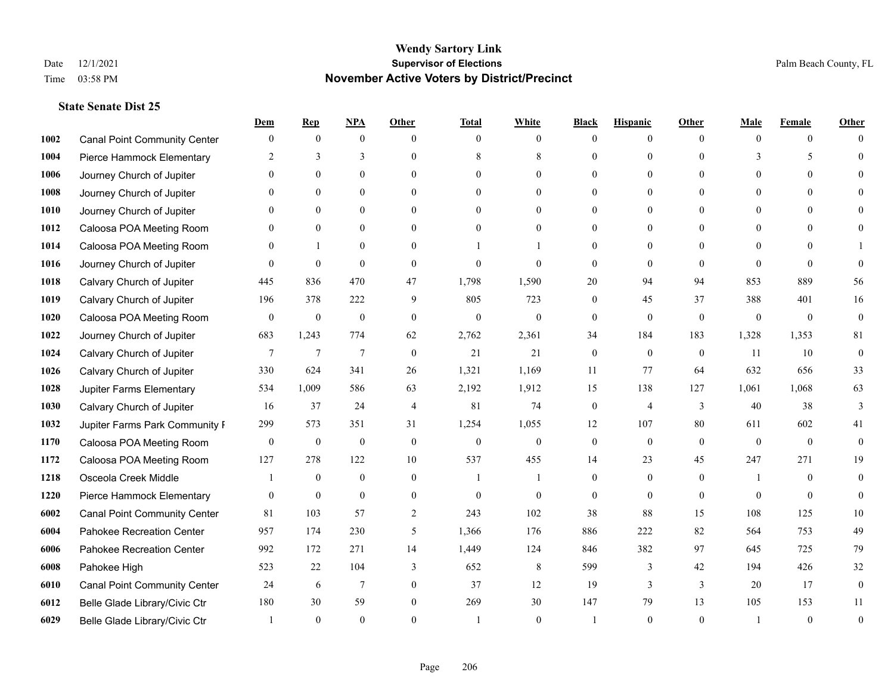|      |                                     | Dem              | <b>Rep</b>       | NPA              | <b>Other</b>   | <b>Total</b>     | <b>White</b>     | <b>Black</b>     | <b>Hispanic</b> | <b>Other</b> | <b>Male</b>  | <b>Female</b>  | <b>Other</b>     |
|------|-------------------------------------|------------------|------------------|------------------|----------------|------------------|------------------|------------------|-----------------|--------------|--------------|----------------|------------------|
| 1002 | <b>Canal Point Community Center</b> | $\mathbf{0}$     | $\mathbf{0}$     | $\mathbf{0}$     | $\Omega$       | $\Omega$         | $\theta$         | $\theta$         | $\mathbf{0}$    | $\Omega$     | $\theta$     | $\theta$       | $\Omega$         |
| 1004 | Pierce Hammock Elementary           | 2                | 3                | 3                | $\Omega$       | 8                | 8                | $\theta$         | $\mathbf{0}$    | $\Omega$     | 3            | 5              | $\Omega$         |
| 1006 | Journey Church of Jupiter           | $\Omega$         | $\theta$         | $\theta$         | $\Omega$       | $\Omega$         | $\Omega$         | $\Omega$         | $\theta$        | $\Omega$     | $\Omega$     | $\Omega$       |                  |
| 1008 | Journey Church of Jupiter           |                  | $\mathbf{0}$     | $\mathbf{0}$     | $\mathbf{0}$   | $\theta$         | $\mathbf{0}$     | $\overline{0}$   | $\mathbf{0}$    | $\Omega$     | $\mathbf{0}$ | $\theta$       |                  |
| 1010 | Journey Church of Jupiter           | 0                | $\theta$         | $\mathbf{0}$     | $\Omega$       | $\Omega$         | $\overline{0}$   | $\theta$         | $\theta$        | $\Omega$     | $\theta$     | $\Omega$       | $\Omega$         |
| 1012 | Caloosa POA Meeting Room            |                  | $\mathbf{0}$     | $\mathbf{0}$     | $\Omega$       | $\theta$         | $\mathbf{0}$     | $\theta$         | $\mathbf{0}$    | $\Omega$     | $\theta$     | $\Omega$       |                  |
| 1014 | Caloosa POA Meeting Room            | $\Omega$         | $\mathbf{1}$     | $\mathbf{0}$     | $\theta$       |                  |                  | $\overline{0}$   | $\mathbf{0}$    | $\theta$     | $\theta$     | $\theta$       |                  |
| 1016 | Journey Church of Jupiter           | $\Omega$         | $\mathbf{0}$     | $\theta$         | $\Omega$       | $\theta$         | $\theta$         | $\theta$         | $\theta$        | $\Omega$     | $\Omega$     | $\Omega$       | $\Omega$         |
| 1018 | Calvary Church of Jupiter           | 445              | 836              | 470              | 47             | 1,798            | 1,590            | 20               | 94              | 94           | 853          | 889            | 56               |
| 1019 | Calvary Church of Jupiter           | 196              | 378              | 222              | 9              | 805              | 723              | $\mathbf{0}$     | 45              | 37           | 388          | 401            | 16               |
| 1020 | Caloosa POA Meeting Room            | $\mathbf{0}$     | $\boldsymbol{0}$ | $\boldsymbol{0}$ | $\theta$       | $\mathbf{0}$     | $\mathbf{0}$     | $\mathbf{0}$     | $\mathbf{0}$    | $\theta$     | $\mathbf{0}$ | $\overline{0}$ | $\mathbf{0}$     |
| 1022 | Journey Church of Jupiter           | 683              | 1,243            | 774              | 62             | 2,762            | 2,361            | 34               | 184             | 183          | 1,328        | 1,353          | 81               |
| 1024 | Calvary Church of Jupiter           | 7                | $\overline{7}$   | $\overline{7}$   | $\theta$       | 21               | 21               | $\mathbf{0}$     | $\theta$        | $\theta$     | 11           | 10             | $\mathbf{0}$     |
| 1026 | Calvary Church of Jupiter           | 330              | 624              | 341              | 26             | 1,321            | 1,169            | 11               | 77              | 64           | 632          | 656            | 33               |
| 1028 | Jupiter Farms Elementary            | 534              | 1,009            | 586              | 63             | 2,192            | 1,912            | 15               | 138             | 127          | 1,061        | 1,068          | 63               |
| 1030 | Calvary Church of Jupiter           | 16               | 37               | 24               | $\overline{4}$ | 81               | 74               | $\mathbf{0}$     | $\overline{4}$  | 3            | 40           | 38             | 3                |
| 1032 | Jupiter Farms Park Community I      | 299              | 573              | 351              | 31             | 1,254            | 1,055            | 12               | 107             | 80           | 611          | 602            | 41               |
| 1170 | Caloosa POA Meeting Room            | $\boldsymbol{0}$ | $\boldsymbol{0}$ | $\boldsymbol{0}$ | $\mathbf{0}$   | $\boldsymbol{0}$ | $\boldsymbol{0}$ | $\boldsymbol{0}$ | $\mathbf{0}$    | $\theta$     | $\theta$     | $\theta$       | $\mathbf{0}$     |
| 1172 | Caloosa POA Meeting Room            | 127              | 278              | 122              | 10             | 537              | 455              | 14               | 23              | 45           | 247          | 271            | 19               |
| 1218 | Osceola Creek Middle                |                  | $\mathbf{0}$     | $\mathbf{0}$     | $\theta$       | $\mathbf{1}$     | 1                | $\mathbf{0}$     | $\mathbf{0}$    | $\theta$     | -1           | $\theta$       | $\theta$         |
| 1220 | Pierce Hammock Elementary           | $\theta$         | $\mathbf{0}$     | $\theta$         | $\Omega$       | $\theta$         | $\theta$         | $\theta$         | $\theta$        | $\Omega$     | $\Omega$     | $\Omega$       | $\theta$         |
| 6002 | <b>Canal Point Community Center</b> | 81               | 103              | 57               | $\overline{2}$ | 243              | 102              | 38               | 88              | 15           | 108          | 125            | 10               |
| 6004 | Pahokee Recreation Center           | 957              | 174              | 230              | 5              | 1,366            | 176              | 886              | 222             | 82           | 564          | 753            | 49               |
| 6006 | Pahokee Recreation Center           | 992              | 172              | 271              | 14             | 1,449            | 124              | 846              | 382             | 97           | 645          | 725            | 79               |
| 6008 | Pahokee High                        | 523              | 22               | 104              | 3              | 652              | $\,$ 8 $\,$      | 599              | $\mathfrak{Z}$  | 42           | 194          | 426            | $32\,$           |
| 6010 | <b>Canal Point Community Center</b> | 24               | 6                | $7\phantom{.0}$  | $\mathbf{0}$   | 37               | 12               | 19               | 3               | 3            | 20           | 17             | $\boldsymbol{0}$ |
| 6012 | Belle Glade Library/Civic Ctr       | 180              | 30               | 59               | $\theta$       | 269              | 30               | 147              | 79              | 13           | 105          | 153            | 11               |
| 6029 | Belle Glade Library/Civic Ctr       |                  | $\Omega$         | $\theta$         | $\Omega$       |                  | $\theta$         |                  | $\Omega$        | $\Omega$     |              | $\theta$       | $\theta$         |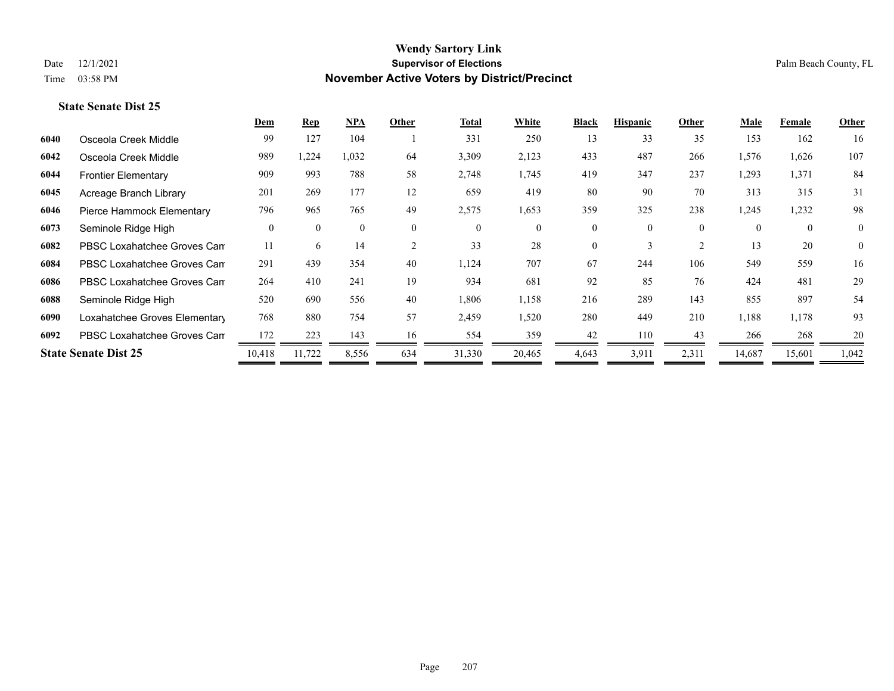|      |                               | Dem      | <b>Rep</b>     | NPA      | Other          | <b>Total</b> | White        | <b>Black</b>   | <b>Hispanic</b> | Other          | Male     | <b>Female</b>  | Other        |
|------|-------------------------------|----------|----------------|----------|----------------|--------------|--------------|----------------|-----------------|----------------|----------|----------------|--------------|
| 6040 | Osceola Creek Middle          | 99       | 127            | 104      |                | 331          | 250          | 13             | 33              | 35             | 153      | 162            | 16           |
| 6042 | Osceola Creek Middle          | 989      | 1,224          | 1,032    | 64             | 3,309        | 2,123        | 433            | 487             | 266            | 1,576    | 1,626          | 107          |
| 6044 | <b>Frontier Elementary</b>    | 909      | 993            | 788      | 58             | 2,748        | 1,745        | 419            | 347             | 237            | 1,293    | 1,371          | 84           |
| 6045 | Acreage Branch Library        | 201      | 269            | 177      | 12             | 659          | 419          | 80             | 90              | 70             | 313      | 315            | 31           |
| 6046 | Pierce Hammock Elementary     | 796      | 965            | 765      | 49             | 2,575        | 1,653        | 359            | 325             | 238            | 1,245    | 1,232          | 98           |
| 6073 | Seminole Ridge High           | $\theta$ | $\overline{0}$ | $\theta$ | $\overline{0}$ | $\theta$     | $\mathbf{0}$ | $\overline{0}$ | $\theta$        | $\overline{0}$ | $\Omega$ | $\overline{0}$ | $\mathbf{0}$ |
| 6082 | PBSC Loxahatchee Groves Can   | 11       | 6              | 14       | 2              | 33           | 28           | $\theta$       | 3               | 2              | 13       | 20             | $\mathbf{0}$ |
| 6084 | PBSC Loxahatchee Groves Can   | 291      | 439            | 354      | 40             | 1,124        | 707          | 67             | 244             | 106            | 549      | 559            | 16           |
| 6086 | PBSC Loxahatchee Groves Can   | 264      | 410            | 241      | 19             | 934          | 681          | 92             | 85              | 76             | 424      | 481            | 29           |
| 6088 | Seminole Ridge High           | 520      | 690            | 556      | 40             | 1,806        | 1,158        | 216            | 289             | 143            | 855      | 897            | 54           |
| 6090 | Loxahatchee Groves Elementary | 768      | 880            | 754      | 57             | 2,459        | 1,520        | 280            | 449             | 210            | 1,188    | 1,178          | 93           |
| 6092 | PBSC Loxahatchee Groves Can   | 172      | 223            | 143      | 16             | 554          | 359          | 42             | 110             | 43             | 266      | 268            | 20           |
|      | <b>State Senate Dist 25</b>   | 10,418   | 11,722         | 8,556    | 634            | 31,330       | 20,465       | 4,643          | 3,911           | 2,311          | 14,687   | 15,601         | 1,042        |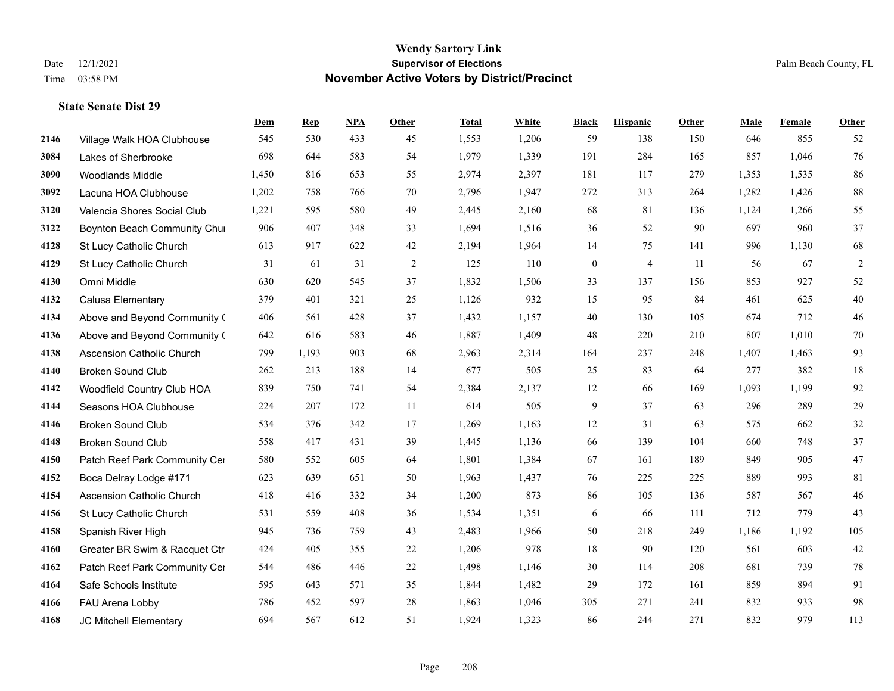|      |                                  | Dem   | <b>Rep</b> | NPA | <b>Other</b> | <b>Total</b> | <b>White</b> | <b>Black</b>     | <b>Hispanic</b> | <b>Other</b> | <b>Male</b> | <b>Female</b> | <b>Other</b> |
|------|----------------------------------|-------|------------|-----|--------------|--------------|--------------|------------------|-----------------|--------------|-------------|---------------|--------------|
| 2146 | Village Walk HOA Clubhouse       | 545   | 530        | 433 | 45           | 1,553        | 1,206        | 59               | 138             | 150          | 646         | 855           | 52           |
| 3084 | Lakes of Sherbrooke              | 698   | 644        | 583 | 54           | 1,979        | 1,339        | 191              | 284             | 165          | 857         | 1,046         | 76           |
| 3090 | <b>Woodlands Middle</b>          | 1,450 | 816        | 653 | 55           | 2,974        | 2,397        | 181              | 117             | 279          | 1,353       | 1,535         | 86           |
| 3092 | Lacuna HOA Clubhouse             | 1,202 | 758        | 766 | 70           | 2,796        | 1,947        | 272              | 313             | 264          | 1,282       | 1,426         | $88\,$       |
| 3120 | Valencia Shores Social Club      | 1,221 | 595        | 580 | 49           | 2,445        | 2,160        | 68               | 81              | 136          | 1,124       | 1,266         | 55           |
| 3122 | Boynton Beach Community Chur     | 906   | 407        | 348 | 33           | 1,694        | 1,516        | 36               | 52              | 90           | 697         | 960           | 37           |
| 4128 | St Lucy Catholic Church          | 613   | 917        | 622 | 42           | 2,194        | 1,964        | 14               | 75              | 141          | 996         | 1,130         | 68           |
| 4129 | St Lucy Catholic Church          | 31    | 61         | 31  | 2            | 125          | 110          | $\boldsymbol{0}$ | $\overline{4}$  | 11           | 56          | 67            | $\sqrt{2}$   |
| 4130 | Omni Middle                      | 630   | 620        | 545 | 37           | 1,832        | 1,506        | 33               | 137             | 156          | 853         | 927           | 52           |
| 4132 | Calusa Elementary                | 379   | 401        | 321 | 25           | 1,126        | 932          | 15               | 95              | 84           | 461         | 625           | $40\,$       |
| 4134 | Above and Beyond Community (     | 406   | 561        | 428 | 37           | 1,432        | 1,157        | 40               | 130             | 105          | 674         | 712           | $46\,$       |
| 4136 | Above and Beyond Community (     | 642   | 616        | 583 | 46           | 1,887        | 1,409        | 48               | 220             | 210          | 807         | 1,010         | $70\,$       |
| 4138 | Ascension Catholic Church        | 799   | 1,193      | 903 | 68           | 2,963        | 2,314        | 164              | 237             | 248          | 1,407       | 1,463         | 93           |
| 4140 | <b>Broken Sound Club</b>         | 262   | 213        | 188 | 14           | 677          | 505          | 25               | 83              | 64           | 277         | 382           | $18\,$       |
| 4142 | Woodfield Country Club HOA       | 839   | 750        | 741 | 54           | 2,384        | 2,137        | 12               | 66              | 169          | 1,093       | 1,199         | 92           |
| 4144 | Seasons HOA Clubhouse            | 224   | 207        | 172 | 11           | 614          | 505          | 9                | 37              | 63           | 296         | 289           | 29           |
| 4146 | <b>Broken Sound Club</b>         | 534   | 376        | 342 | 17           | 1,269        | 1,163        | 12               | 31              | 63           | 575         | 662           | 32           |
| 4148 | <b>Broken Sound Club</b>         | 558   | 417        | 431 | 39           | 1,445        | 1,136        | 66               | 139             | 104          | 660         | 748           | 37           |
| 4150 | Patch Reef Park Community Cer    | 580   | 552        | 605 | 64           | 1,801        | 1,384        | 67               | 161             | 189          | 849         | 905           | $47\,$       |
| 4152 | Boca Delray Lodge #171           | 623   | 639        | 651 | 50           | 1,963        | 1,437        | 76               | 225             | 225          | 889         | 993           | 81           |
| 4154 | <b>Ascension Catholic Church</b> | 418   | 416        | 332 | 34           | 1,200        | 873          | 86               | 105             | 136          | 587         | 567           | $46\,$       |
| 4156 | St Lucy Catholic Church          | 531   | 559        | 408 | 36           | 1,534        | 1,351        | 6                | 66              | 111          | 712         | 779           | 43           |
| 4158 | Spanish River High               | 945   | 736        | 759 | 43           | 2,483        | 1,966        | 50               | 218             | 249          | 1,186       | 1,192         | 105          |
| 4160 | Greater BR Swim & Racquet Ctr    | 424   | 405        | 355 | 22           | 1,206        | 978          | 18               | 90              | 120          | 561         | 603           | $42\,$       |
| 4162 | Patch Reef Park Community Cer    | 544   | 486        | 446 | 22           | 1,498        | 1,146        | 30               | 114             | 208          | 681         | 739           | $78\,$       |
| 4164 | Safe Schools Institute           | 595   | 643        | 571 | 35           | 1,844        | 1,482        | 29               | 172             | 161          | 859         | 894           | 91           |
| 4166 | FAU Arena Lobby                  | 786   | 452        | 597 | 28           | 1,863        | 1,046        | 305              | 271             | 241          | 832         | 933           | 98           |
| 4168 | JC Mitchell Elementary           | 694   | 567        | 612 | 51           | 1,924        | 1,323        | 86               | 244             | 271          | 832         | 979           | 113          |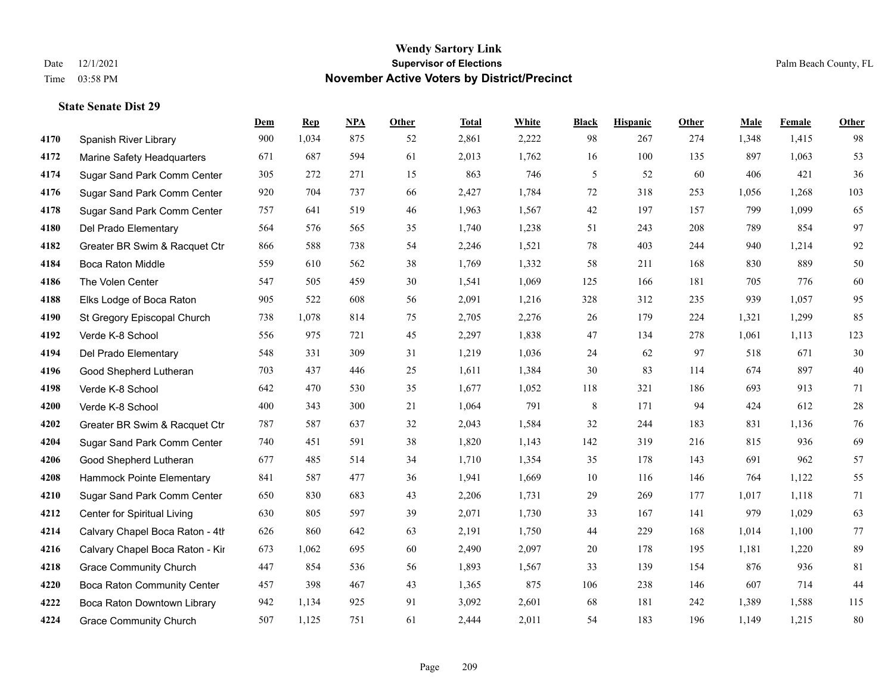**State Senate Dist 29**

#### **Wendy Sartory Link** Date 12/1/2021 **Supervisor of Elections** Palm Beach County, FL Time 03:58 PM **November Active Voters by District/Precinct**

# **Dem Rep NPA Other Total White Black Hispanic Other Male Female Other** Spanish River Library 900 1,034 875 52 2,861 2,222 98 267 274 1,348 1,415 98 Marine Safety Headquarters 671 687 594 61 2,013 1,762 16 100 135 897 1,063 53 Sugar Sand Park Comm Center 305 272 271 15 863 746 5 52 60 406 421 36 Sugar Sand Park Comm Center 920 704 737 66 2,427 1,784 72 318 253 1,056 1,268 103 Sugar Sand Park Comm Center 757 641 519 46 1,963 1,567 42 197 157 799 1,099 65 Del Prado Elementary 564 576 565 35 1,740 1,238 51 243 208 789 854 97 Greater BR Swim & Racquet Ctr 866 588 738 54 2,246 1,521 78 403 244 940 1,214 92 Boca Raton Middle 559 610 562 38 1,769 1,332 58 211 168 830 889 50 The Volen Center 547 505 459 30 1,541 1,069 125 166 181 705 776 60 Elks Lodge of Boca Raton 905 522 608 56 2,091 1,216 328 312 235 939 1,057 95 St Gregory Episcopal Church 738 1,078 814 75 2,705 2,276 26 179 224 1,321 1,299 85 Verde K-8 School 556 975 721 45 2,297 1,838 47 134 278 1,061 1,113 123 Del Prado Elementary 548 331 309 31 1,219 1,036 24 62 97 518 671 30 Good Shepherd Lutheran 703 437 446 25 1,611 1,384 30 83 114 674 897 40 Verde K-8 School 642 470 530 35 1,677 1,052 118 321 186 693 913 71 Verde K-8 School 400 343 300 21 1,064 791 8 171 94 424 612 28 Greater BR Swim & Racquet Ctr 787 587 637 32 2,043 1,584 32 244 183 831 1,136 76 Sugar Sand Park Comm Center 740 451 591 38 1,820 1,143 142 319 216 815 936 69 Good Shepherd Lutheran 677 485 514 34 1,710 1,354 35 178 143 691 962 57 Hammock Pointe Elementary 841 587 477 36 1,941 1,669 10 116 146 764 1,122 55 Sugar Sand Park Comm Center 650 830 683 43 2,206 1,731 29 269 177 1,017 1,118 71 Center for Spiritual Living 630 805 597 39 2,071 1,730 33 167 141 979 1,029 63 4214 Calvary Chapel Boca Raton - 4th $626$   $860$   $642$   $63$   $2,191$   $1,750$   $44$   $229$   $168$   $1,014$   $1,100$  77 4216 Calvary Chapel Boca Raton - Kir 673 1,062 695 60 2,490 2,097 20 178 195 1,181 1,220 89 Grace Community Church 447 854 536 56 1,893 1,567 33 139 154 876 936 81 Boca Raton Community Center 457 398 467 43 1,365 875 106 238 146 607 714 44 Boca Raton Downtown Library 942 1,134 925 91 3,092 2,601 68 181 242 1,389 1,588 115 Grace Community Church 507 1,125 751 61 2,444 2,011 54 183 196 1,149 1,215 80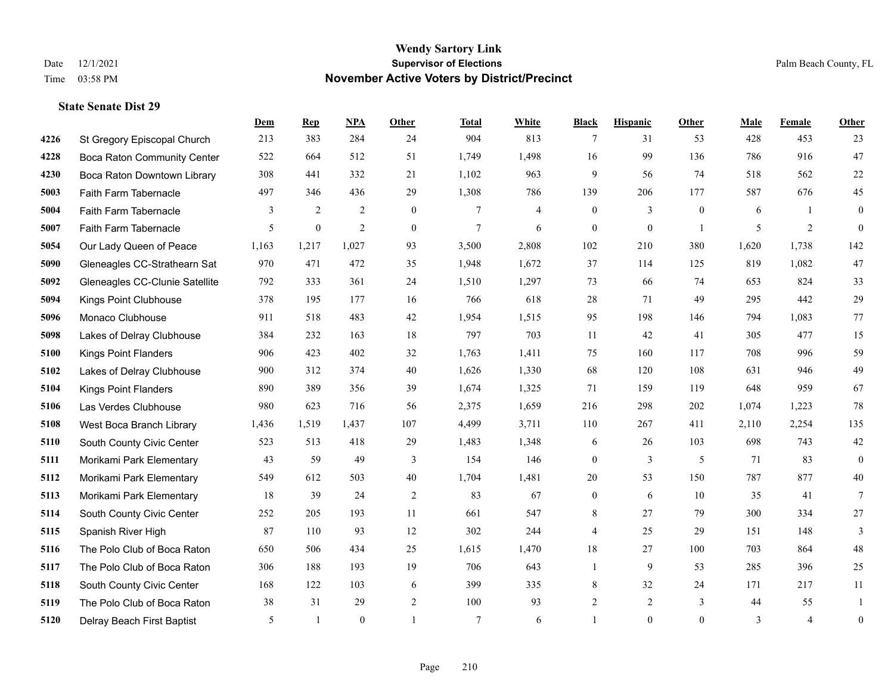**State Senate Dist 29**

#### **Wendy Sartory Link** Date 12/1/2021 **Supervisor of Elections** Palm Beach County, FL Time 03:58 PM **November Active Voters by District/Precinct**

# **Dem Rep NPA Other Total White Black Hispanic Other Male Female Other** St Gregory Episcopal Church 213 383 284 24 904 813 7 31 53 428 453 23 Boca Raton Community Center 522 664 512 51 1,749 1,498 16 99 136 786 916 47 Boca Raton Downtown Library 308 441 332 21 1,102 963 9 56 74 518 562 22 Faith Farm Tabernacle 497 346 436 29 1,308 786 139 206 177 587 676 45 Faith Farm Tabernacle 3 2 2 0 7 4 0 3 0 6 1 0 Faith Farm Tabernacle 5 0 2 0 7 6 0 0 1 5 2 0 Our Lady Queen of Peace 1,163 1,217 1,027 93 3,500 2,808 102 210 380 1,620 1,738 142 Gleneagles CC-Strathearn Sat 970 471 472 35 1,948 1,672 37 114 125 819 1,082 47 Gleneagles CC-Clunie Satellite 792 333 361 24 1,510 1,297 73 66 74 653 824 33 Kings Point Clubhouse 378 195 177 16 766 618 28 71 49 295 442 29 Monaco Clubhouse 911 518 483 42 1,954 1,515 95 198 146 794 1,083 77 Lakes of Delray Clubhouse 384 232 163 18 797 703 11 42 41 305 477 15 Kings Point Flanders 906 423 402 32 1,763 1,411 75 160 117 708 996 59 Lakes of Delray Clubhouse 900 312 374 40 1,626 1,330 68 120 108 631 946 49 Kings Point Flanders 890 389 356 39 1,674 1,325 71 159 119 648 959 67 Las Verdes Clubhouse 980 623 716 56 2,375 1,659 216 298 202 1,074 1,223 78 West Boca Branch Library 1,436 1,519 1,437 107 4,499 3,711 110 267 411 2,110 2,254 135 South County Civic Center 523 513 418 29 1,483 1,348 6 26 103 698 743 42 Morikami Park Elementary 43 59 49 3 154 146 0 3 5 71 83 0 Morikami Park Elementary 549 612 503 40 1,704 1,481 20 53 150 787 877 40 Morikami Park Elementary 18 39 24 2 83 67 0 6 10 35 41 7 South County Civic Center 252 205 193 11 661 547 8 27 79 300 334 27 Spanish River High 87 110 93 12 302 244 4 25 29 151 148 3 The Polo Club of Boca Raton 650 506 434 25 1,615 1,470 18 27 100 703 864 48 The Polo Club of Boca Raton 306 188 193 19 706 643 1 9 53 285 396 25 South County Civic Center 168 122 103 6 399 335 8 32 24 171 217 11 The Polo Club of Boca Raton 38 31 29 2 100 93 2 2 3 44 55 1

Delray Beach First Baptist 5 1 0 1 7 6 1 0 0 3 4 0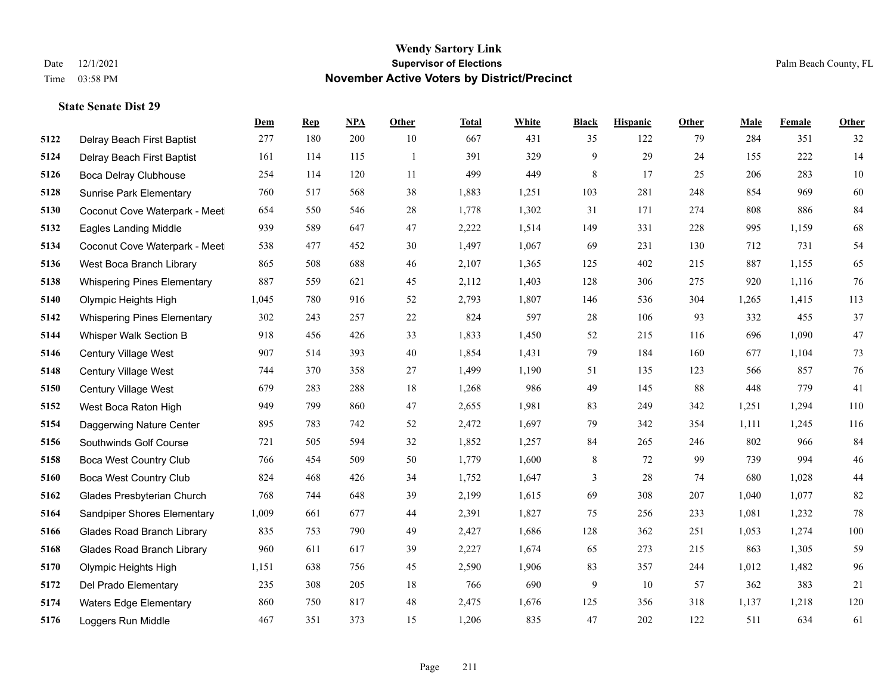|      |                                    | Dem   | <b>Rep</b> | NPA | <b>Other</b> | <b>Total</b> | <b>White</b> | <b>Black</b> | <b>Hispanic</b> | <b>Other</b> | <b>Male</b> | Female | <b>Other</b> |
|------|------------------------------------|-------|------------|-----|--------------|--------------|--------------|--------------|-----------------|--------------|-------------|--------|--------------|
| 5122 | Delray Beach First Baptist         | 277   | 180        | 200 | 10           | 667          | 431          | 35           | 122             | 79           | 284         | 351    | 32           |
| 5124 | Delray Beach First Baptist         | 161   | 114        | 115 | -1           | 391          | 329          | 9            | 29              | 24           | 155         | 222    | 14           |
| 5126 | Boca Delray Clubhouse              | 254   | 114        | 120 | 11           | 499          | 449          | 8            | 17              | 25           | 206         | 283    | 10           |
| 5128 | <b>Sunrise Park Elementary</b>     | 760   | 517        | 568 | 38           | 1,883        | 1,251        | 103          | 281             | 248          | 854         | 969    | 60           |
| 5130 | Coconut Cove Waterpark - Meet      | 654   | 550        | 546 | 28           | 1,778        | 1,302        | 31           | 171             | 274          | 808         | 886    | 84           |
| 5132 | <b>Eagles Landing Middle</b>       | 939   | 589        | 647 | 47           | 2,222        | 1,514        | 149          | 331             | 228          | 995         | 1,159  | 68           |
| 5134 | Coconut Cove Waterpark - Meet      | 538   | 477        | 452 | 30           | 1,497        | 1,067        | 69           | 231             | 130          | 712         | 731    | 54           |
| 5136 | West Boca Branch Library           | 865   | 508        | 688 | 46           | 2,107        | 1,365        | 125          | 402             | 215          | 887         | 1,155  | 65           |
| 5138 | <b>Whispering Pines Elementary</b> | 887   | 559        | 621 | 45           | 2,112        | 1,403        | 128          | 306             | 275          | 920         | 1,116  | 76           |
| 5140 | Olympic Heights High               | 1,045 | 780        | 916 | 52           | 2,793        | 1,807        | 146          | 536             | 304          | 1,265       | 1,415  | 113          |
| 5142 | <b>Whispering Pines Elementary</b> | 302   | 243        | 257 | 22           | 824          | 597          | 28           | 106             | 93           | 332         | 455    | 37           |
| 5144 | Whisper Walk Section B             | 918   | 456        | 426 | 33           | 1,833        | 1,450        | 52           | 215             | 116          | 696         | 1,090  | 47           |
| 5146 | Century Village West               | 907   | 514        | 393 | 40           | 1,854        | 1,431        | 79           | 184             | 160          | 677         | 1,104  | $73\,$       |
| 5148 | Century Village West               | 744   | 370        | 358 | 27           | 1,499        | 1,190        | 51           | 135             | 123          | 566         | 857    | $76\,$       |
| 5150 | Century Village West               | 679   | 283        | 288 | 18           | 1,268        | 986          | 49           | 145             | 88           | 448         | 779    | 41           |
| 5152 | West Boca Raton High               | 949   | 799        | 860 | 47           | 2,655        | 1,981        | 83           | 249             | 342          | 1,251       | 1,294  | 110          |
| 5154 | Daggerwing Nature Center           | 895   | 783        | 742 | 52           | 2,472        | 1,697        | 79           | 342             | 354          | 1,111       | 1,245  | 116          |
| 5156 | Southwinds Golf Course             | 721   | 505        | 594 | 32           | 1,852        | 1,257        | 84           | 265             | 246          | 802         | 966    | 84           |
| 5158 | <b>Boca West Country Club</b>      | 766   | 454        | 509 | 50           | 1,779        | 1,600        | $\,$ 8 $\,$  | 72              | 99           | 739         | 994    | $46\,$       |
| 5160 | <b>Boca West Country Club</b>      | 824   | 468        | 426 | 34           | 1,752        | 1,647        | 3            | 28              | 74           | 680         | 1,028  | $44\,$       |
| 5162 | Glades Presbyterian Church         | 768   | 744        | 648 | 39           | 2,199        | 1,615        | 69           | 308             | 207          | 1,040       | 1,077  | 82           |
| 5164 | Sandpiper Shores Elementary        | 1,009 | 661        | 677 | 44           | 2,391        | 1,827        | 75           | 256             | 233          | 1,081       | 1,232  | $78\,$       |
| 5166 | <b>Glades Road Branch Library</b>  | 835   | 753        | 790 | 49           | 2,427        | 1,686        | 128          | 362             | 251          | 1,053       | 1,274  | 100          |
| 5168 | <b>Glades Road Branch Library</b>  | 960   | 611        | 617 | 39           | 2,227        | 1,674        | 65           | 273             | 215          | 863         | 1,305  | 59           |
| 5170 | Olympic Heights High               | 1,151 | 638        | 756 | 45           | 2,590        | 1,906        | 83           | 357             | 244          | 1,012       | 1,482  | 96           |
| 5172 | Del Prado Elementary               | 235   | 308        | 205 | 18           | 766          | 690          | 9            | 10              | 57           | 362         | 383    | 21           |
| 5174 | <b>Waters Edge Elementary</b>      | 860   | 750        | 817 | 48           | 2,475        | 1,676        | 125          | 356             | 318          | 1,137       | 1,218  | 120          |
| 5176 | Loggers Run Middle                 | 467   | 351        | 373 | 15           | 1,206        | 835          | 47           | 202             | 122          | 511         | 634    | 61           |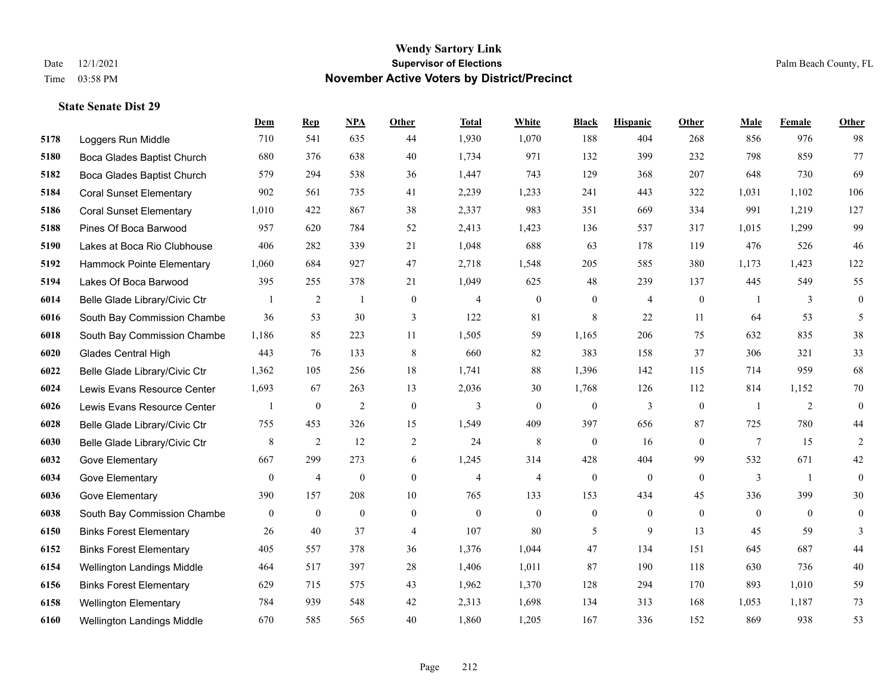|      |                                | <b>Dem</b>       | <b>Rep</b>     | NPA              | <b>Other</b>     | <b>Total</b>   | White                    | <b>Black</b>     | <b>Hispanic</b> | Other          | <b>Male</b>    | Female         | <b>Other</b>     |
|------|--------------------------------|------------------|----------------|------------------|------------------|----------------|--------------------------|------------------|-----------------|----------------|----------------|----------------|------------------|
| 5178 | Loggers Run Middle             | 710              | 541            | 635              | 44               | 1,930          | 1,070                    | 188              | 404             | 268            | 856            | 976            | 98               |
| 5180 | Boca Glades Baptist Church     | 680              | 376            | 638              | 40               | 1,734          | 971                      | 132              | 399             | 232            | 798            | 859            | 77               |
| 5182 | Boca Glades Baptist Church     | 579              | 294            | 538              | 36               | 1,447          | 743                      | 129              | 368             | 207            | 648            | 730            | 69               |
| 5184 | <b>Coral Sunset Elementary</b> | 902              | 561            | 735              | 41               | 2,239          | 1,233                    | 241              | 443             | 322            | 1,031          | 1,102          | 106              |
| 5186 | <b>Coral Sunset Elementary</b> | 1,010            | 422            | 867              | 38               | 2,337          | 983                      | 351              | 669             | 334            | 991            | 1,219          | 127              |
| 5188 | Pines Of Boca Barwood          | 957              | 620            | 784              | 52               | 2,413          | 1,423                    | 136              | 537             | 317            | 1,015          | 1,299          | 99               |
| 5190 | Lakes at Boca Rio Clubhouse    | 406              | 282            | 339              | 21               | 1,048          | 688                      | 63               | 178             | 119            | 476            | 526            | 46               |
| 5192 | Hammock Pointe Elementary      | 1,060            | 684            | 927              | 47               | 2,718          | 1,548                    | 205              | 585             | 380            | 1,173          | 1,423          | 122              |
| 5194 | Lakes Of Boca Barwood          | 395              | 255            | 378              | 21               | 1,049          | 625                      | 48               | 239             | 137            | 445            | 549            | 55               |
| 6014 | Belle Glade Library/Civic Ctr  | -1               | 2              | -1               | $\mathbf{0}$     | $\overline{4}$ | $\mathbf{0}$             | $\mathbf{0}$     | $\overline{4}$  | $\overline{0}$ | -1             | 3              | $\boldsymbol{0}$ |
| 6016 | South Bay Commission Chambe    | 36               | 53             | 30               | 3                | 122            | 81                       | 8                | 22              | 11             | 64             | 53             | 5                |
| 6018 | South Bay Commission Chambe    | 1,186            | 85             | 223              | 11               | 1,505          | 59                       | 1,165            | 206             | 75             | 632            | 835            | 38               |
| 6020 | Glades Central High            | 443              | 76             | 133              | $\,8\,$          | 660            | 82                       | 383              | 158             | 37             | 306            | 321            | 33               |
| 6022 | Belle Glade Library/Civic Ctr  | 1,362            | 105            | 256              | $18\,$           | 1,741          | 88                       | 1,396            | 142             | 115            | 714            | 959            | 68               |
| 6024 | Lewis Evans Resource Center    | 1,693            | 67             | 263              | 13               | 2,036          | 30                       | 1,768            | 126             | 112            | 814            | 1,152          | 70               |
| 6026 | Lewis Evans Resource Center    |                  | $\mathbf{0}$   | $\overline{2}$   | $\mathbf{0}$     | 3              | $\mathbf{0}$             | $\mathbf{0}$     | 3               | $\theta$       | $\overline{1}$ | $\overline{2}$ | $\mathbf{0}$     |
| 6028 | Belle Glade Library/Civic Ctr  | 755              | 453            | 326              | 15               | 1,549          | 409                      | 397              | 656             | 87             | 725            | 780            | $44$             |
| 6030 | Belle Glade Library/Civic Ctr  | 8                | 2              | 12               | $\overline{c}$   | 24             | 8                        | $\mathbf{0}$     | 16              | $\theta$       | $\tau$         | 15             | $\overline{c}$   |
| 6032 | Gove Elementary                | 667              | 299            | 273              | 6                | 1,245          | 314                      | 428              | 404             | 99             | 532            | 671            | 42               |
| 6034 | Gove Elementary                | $\boldsymbol{0}$ | $\overline{4}$ | $\boldsymbol{0}$ | $\boldsymbol{0}$ | $\overline{4}$ | $\overline{\mathcal{L}}$ | $\boldsymbol{0}$ | $\mathbf{0}$    | $\mathbf{0}$   | 3              | -1             | $\boldsymbol{0}$ |
| 6036 | Gove Elementary                | 390              | 157            | 208              | 10               | 765            | 133                      | 153              | 434             | 45             | 336            | 399            | 30               |
| 6038 | South Bay Commission Chambe    | $\mathbf{0}$     | $\mathbf{0}$   | $\mathbf{0}$     | $\mathbf{0}$     | $\mathbf{0}$   | $\mathbf{0}$             | $\mathbf{0}$     | $\mathbf{0}$    | $\mathbf{0}$   | $\overline{0}$ | $\theta$       | $\theta$         |
| 6150 | <b>Binks Forest Elementary</b> | 26               | 40             | 37               | $\overline{4}$   | 107            | 80                       | 5                | 9               | 13             | 45             | 59             | 3                |
| 6152 | <b>Binks Forest Elementary</b> | 405              | 557            | 378              | 36               | 1,376          | 1,044                    | 47               | 134             | 151            | 645            | 687            | 44               |
| 6154 | Wellington Landings Middle     | 464              | 517            | 397              | 28               | 1,406          | 1,011                    | 87               | 190             | 118            | 630            | 736            | 40               |
| 6156 | <b>Binks Forest Elementary</b> | 629              | 715            | 575              | 43               | 1,962          | 1,370                    | 128              | 294             | 170            | 893            | 1,010          | 59               |
| 6158 | <b>Wellington Elementary</b>   | 784              | 939            | 548              | 42               | 2,313          | 1,698                    | 134              | 313             | 168            | 1,053          | 1,187          | 73               |
| 6160 | Wellington Landings Middle     | 670              | 585            | 565              | 40               | 1,860          | 1,205                    | 167              | 336             | 152            | 869            | 938            | 53               |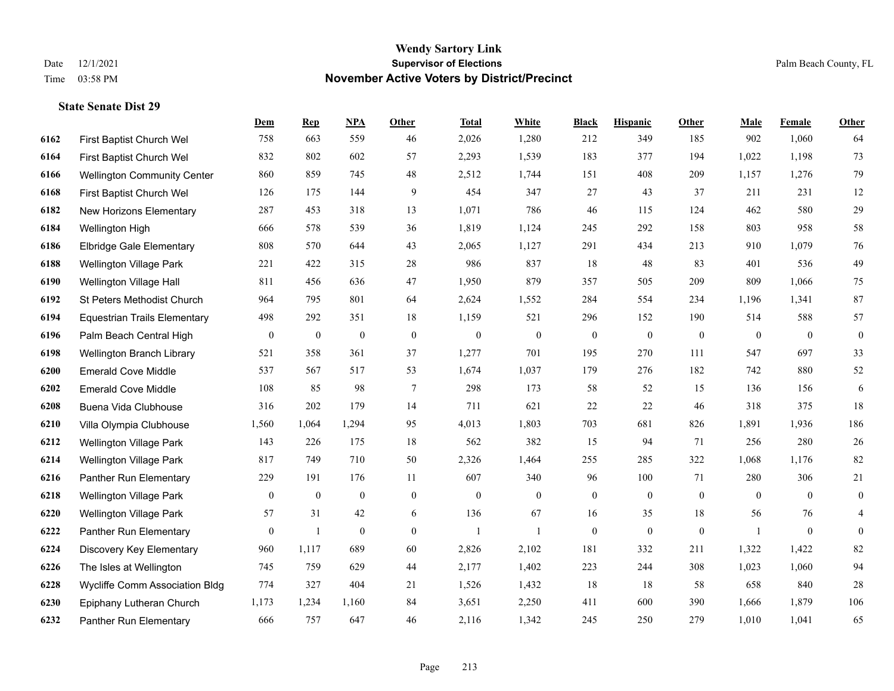|      |                                     | Dem            | <b>Rep</b>       | NPA              | <b>Other</b>     | <b>Total</b> | <b>White</b> | <b>Black</b>     | <b>Hispanic</b>  | <b>Other</b> | <b>Male</b>  | <b>Female</b>  | <b>Other</b>     |
|------|-------------------------------------|----------------|------------------|------------------|------------------|--------------|--------------|------------------|------------------|--------------|--------------|----------------|------------------|
| 6162 | First Baptist Church Wel            | 758            | 663              | 559              | 46               | 2,026        | 1,280        | 212              | 349              | 185          | 902          | 1,060          | 64               |
| 6164 | First Baptist Church Wel            | 832            | 802              | 602              | 57               | 2,293        | 1,539        | 183              | 377              | 194          | 1,022        | 1,198          | 73               |
| 6166 | <b>Wellington Community Center</b>  | 860            | 859              | 745              | 48               | 2,512        | 1,744        | 151              | 408              | 209          | 1,157        | 1,276          | 79               |
| 6168 | First Baptist Church Wel            | 126            | 175              | 144              | 9                | 454          | 347          | 27               | 43               | 37           | 211          | 231            | 12               |
| 6182 | New Horizons Elementary             | 287            | 453              | 318              | 13               | 1,071        | 786          | 46               | 115              | 124          | 462          | 580            | $29\,$           |
| 6184 | Wellington High                     | 666            | 578              | 539              | 36               | 1,819        | 1,124        | 245              | 292              | 158          | 803          | 958            | 58               |
| 6186 | <b>Elbridge Gale Elementary</b>     | 808            | 570              | 644              | 43               | 2,065        | 1,127        | 291              | 434              | 213          | 910          | 1,079          | $76\,$           |
| 6188 | <b>Wellington Village Park</b>      | 221            | 422              | 315              | 28               | 986          | 837          | 18               | 48               | 83           | 401          | 536            | 49               |
| 6190 | Wellington Village Hall             | 811            | 456              | 636              | 47               | 1,950        | 879          | 357              | 505              | 209          | 809          | 1,066          | 75               |
| 6192 | St Peters Methodist Church          | 964            | 795              | 801              | 64               | 2,624        | 1,552        | 284              | 554              | 234          | 1,196        | 1,341          | 87               |
| 6194 | <b>Equestrian Trails Elementary</b> | 498            | 292              | 351              | 18               | 1,159        | 521          | 296              | 152              | 190          | 514          | 588            | 57               |
| 6196 | Palm Beach Central High             | $\mathbf{0}$   | $\boldsymbol{0}$ | $\boldsymbol{0}$ | $\boldsymbol{0}$ | $\mathbf{0}$ | $\mathbf{0}$ | $\boldsymbol{0}$ | $\boldsymbol{0}$ | $\mathbf{0}$ | $\mathbf{0}$ | $\mathbf{0}$   | $\boldsymbol{0}$ |
| 6198 | Wellington Branch Library           | 521            | 358              | 361              | 37               | 1,277        | 701          | 195              | 270              | 111          | 547          | 697            | 33               |
| 6200 | <b>Emerald Cove Middle</b>          | 537            | 567              | 517              | 53               | 1,674        | 1,037        | 179              | 276              | 182          | 742          | 880            | $52\,$           |
| 6202 | <b>Emerald Cove Middle</b>          | 108            | 85               | 98               | $\tau$           | 298          | 173          | 58               | 52               | 15           | 136          | 156            | 6                |
| 6208 | Buena Vida Clubhouse                | 316            | 202              | 179              | 14               | 711          | 621          | 22               | 22               | 46           | 318          | 375            | 18               |
| 6210 | Villa Olympia Clubhouse             | 1,560          | 1,064            | 1,294            | 95               | 4,013        | 1,803        | 703              | 681              | 826          | 1,891        | 1,936          | 186              |
| 6212 | Wellington Village Park             | 143            | 226              | 175              | 18               | 562          | 382          | 15               | 94               | 71           | 256          | 280            | $26\,$           |
| 6214 | Wellington Village Park             | 817            | 749              | 710              | 50               | 2,326        | 1,464        | 255              | 285              | 322          | 1,068        | 1,176          | 82               |
| 6216 | Panther Run Elementary              | 229            | 191              | 176              | 11               | 607          | 340          | 96               | 100              | 71           | 280          | 306            | 21               |
| 6218 | Wellington Village Park             | $\mathbf{0}$   | $\mathbf{0}$     | $\overline{0}$   | $\overline{0}$   | $\theta$     | $\mathbf{0}$ | $\boldsymbol{0}$ | $\mathbf{0}$     | $\theta$     | $\theta$     | $\theta$       | $\mathbf{0}$     |
| 6220 | Wellington Village Park             | 57             | 31               | 42               | 6                | 136          | 67           | 16               | 35               | 18           | 56           | 76             | $\overline{4}$   |
| 6222 | Panther Run Elementary              | $\overline{0}$ | $\mathbf{1}$     | $\boldsymbol{0}$ | $\overline{0}$   | -1           | $\mathbf{1}$ | $\boldsymbol{0}$ | $\mathbf{0}$     | $\mathbf{0}$ | -1           | $\overline{0}$ | $\boldsymbol{0}$ |
| 6224 | Discovery Key Elementary            | 960            | 1,117            | 689              | 60               | 2,826        | 2,102        | 181              | 332              | 211          | 1,322        | 1,422          | 82               |
| 6226 | The Isles at Wellington             | 745            | 759              | 629              | 44               | 2,177        | 1,402        | 223              | 244              | 308          | 1,023        | 1,060          | 94               |
| 6228 | Wycliffe Comm Association Bldg      | 774            | 327              | 404              | 21               | 1,526        | 1,432        | 18               | 18               | 58           | 658          | 840            | $28\,$           |
| 6230 | Epiphany Lutheran Church            | 1,173          | 1,234            | 1,160            | 84               | 3,651        | 2,250        | 411              | 600              | 390          | 1,666        | 1,879          | 106              |
| 6232 | Panther Run Elementary              | 666            | 757              | 647              | 46               | 2,116        | 1,342        | 245              | 250              | 279          | 1,010        | 1,041          | 65               |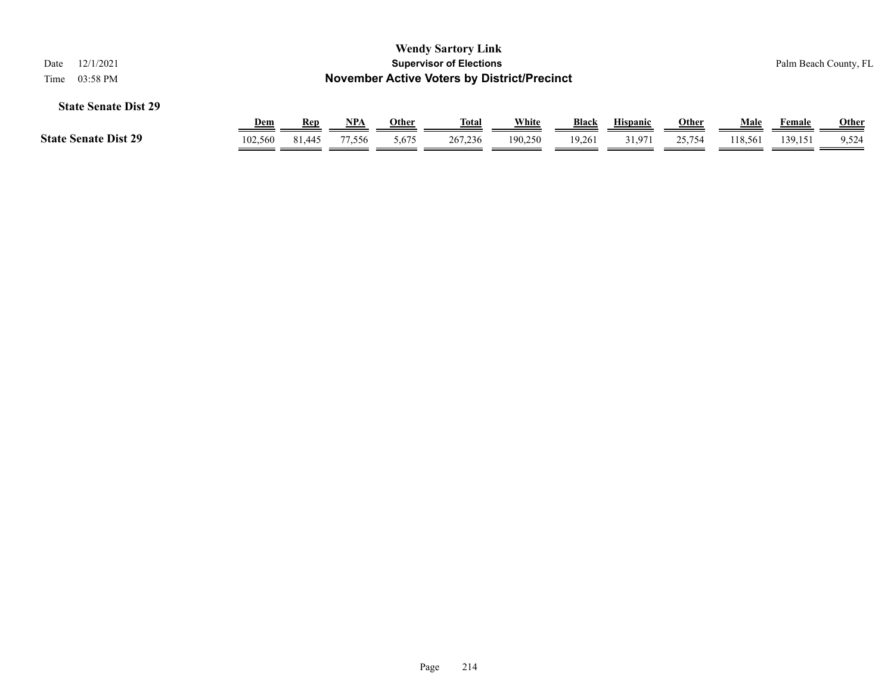| <b>Wendy Sartory Link</b><br><b>Supervisor of Elections</b><br>12/1/2021<br>Date<br><b>November Active Voters by District/Precinct</b><br>03:58 PM<br>Time |            |        |        |       |         |         |              |                 |              | Palm Beach County, FL |         |       |
|------------------------------------------------------------------------------------------------------------------------------------------------------------|------------|--------|--------|-------|---------|---------|--------------|-----------------|--------------|-----------------------|---------|-------|
| <b>State Senate Dist 29</b>                                                                                                                                |            |        |        |       |         |         |              |                 |              |                       |         |       |
|                                                                                                                                                            | <u>Dem</u> | Rep    | NPA    | Other | Total   | White   | <b>Black</b> | <b>Hispanic</b> | <b>Other</b> | Male                  | Female  | Other |
| <b>State Senate Dist 29</b>                                                                                                                                | 102,560    | 81.445 | 77,556 | 5,675 | 267,236 | 190,250 | 19,261       | 31,971          | 25,754       | 118,561               | 139,151 | 9,524 |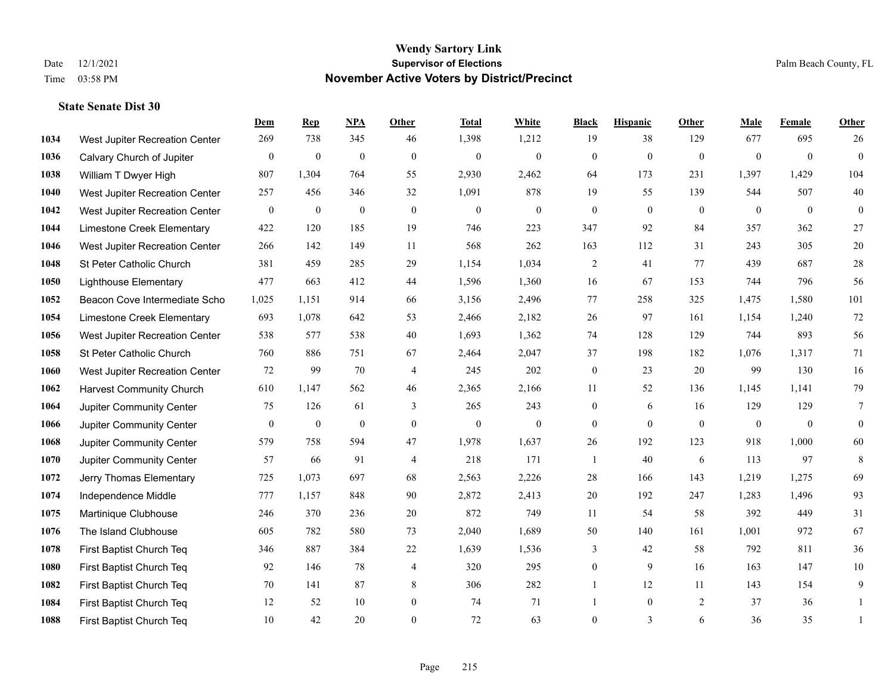|      |                                 | Dem            | <b>Rep</b>       | NPA          | <b>Other</b>     | <b>Total</b>     | <b>White</b>   | <b>Black</b>     | <b>Hispanic</b> | Other        | <b>Male</b>    | Female         | <b>Other</b>     |
|------|---------------------------------|----------------|------------------|--------------|------------------|------------------|----------------|------------------|-----------------|--------------|----------------|----------------|------------------|
| 1034 | West Jupiter Recreation Center  | 269            | 738              | 345          | 46               | 1,398            | 1,212          | 19               | 38              | 129          | 677            | 695            | 26               |
| 1036 | Calvary Church of Jupiter       | $\mathbf{0}$   | $\mathbf{0}$     | $\mathbf{0}$ | $\mathbf{0}$     | $\mathbf{0}$     | $\overline{0}$ | $\mathbf{0}$     | $\mathbf{0}$    | $\mathbf{0}$ | $\mathbf{0}$   | $\overline{0}$ | $\overline{0}$   |
| 1038 | William T Dwyer High            | 807            | 1,304            | 764          | 55               | 2,930            | 2,462          | 64               | 173             | 231          | 1,397          | 1,429          | 104              |
| 1040 | West Jupiter Recreation Center  | 257            | 456              | 346          | 32               | 1,091            | 878            | 19               | 55              | 139          | 544            | 507            | $40\,$           |
| 1042 | West Jupiter Recreation Center  | $\mathbf{0}$   | $\mathbf{0}$     | $\mathbf{0}$ | $\theta$         | $\overline{0}$   | $\overline{0}$ | $\overline{0}$   | $\mathbf{0}$    | $\theta$     | $\theta$       | $\theta$       | $\boldsymbol{0}$ |
| 1044 | Limestone Creek Elementary      | 422            | 120              | 185          | 19               | 746              | 223            | 347              | 92              | 84           | 357            | 362            | $27\,$           |
| 1046 | West Jupiter Recreation Center  | 266            | 142              | 149          | 11               | 568              | 262            | 163              | 112             | 31           | 243            | 305            | $20\,$           |
| 1048 | St Peter Catholic Church        | 381            | 459              | 285          | 29               | 1,154            | 1,034          | $\overline{2}$   | 41              | 77           | 439            | 687            | $28\,$           |
| 1050 | <b>Lighthouse Elementary</b>    | 477            | 663              | 412          | 44               | 1,596            | 1,360          | 16               | 67              | 153          | 744            | 796            | 56               |
| 1052 | Beacon Cove Intermediate Scho   | 1,025          | 1,151            | 914          | 66               | 3,156            | 2,496          | 77               | 258             | 325          | 1,475          | 1,580          | 101              |
| 1054 | Limestone Creek Elementary      | 693            | 1,078            | 642          | 53               | 2,466            | 2,182          | 26               | 97              | 161          | 1,154          | 1,240          | $72\,$           |
| 1056 | West Jupiter Recreation Center  | 538            | 577              | 538          | 40               | 1,693            | 1,362          | 74               | 128             | 129          | 744            | 893            | 56               |
| 1058 | St Peter Catholic Church        | 760            | 886              | 751          | 67               | 2,464            | 2,047          | 37               | 198             | 182          | 1,076          | 1,317          | 71               |
| 1060 | West Jupiter Recreation Center  | 72             | 99               | 70           | $\overline{4}$   | 245              | 202            | $\boldsymbol{0}$ | 23              | 20           | 99             | 130            | 16               |
| 1062 | <b>Harvest Community Church</b> | 610            | 1,147            | 562          | 46               | 2,365            | 2,166          | 11               | 52              | 136          | 1,145          | 1,141          | 79               |
| 1064 | Jupiter Community Center        | 75             | 126              | 61           | 3                | 265              | 243            | $\boldsymbol{0}$ | 6               | 16           | 129            | 129            | 7                |
| 1066 | Jupiter Community Center        | $\overline{0}$ | $\boldsymbol{0}$ | $\mathbf{0}$ | $\mathbf{0}$     | $\boldsymbol{0}$ | $\mathbf{0}$   | $\overline{0}$   | $\overline{0}$  | $\mathbf{0}$ | $\overline{0}$ | $\mathbf{0}$   | $\boldsymbol{0}$ |
| 1068 | Jupiter Community Center        | 579            | 758              | 594          | 47               | 1,978            | 1,637          | 26               | 192             | 123          | 918            | 1,000          | 60               |
| 1070 | Jupiter Community Center        | 57             | 66               | 91           | $\overline{4}$   | 218              | 171            | 1                | 40              | 6            | 113            | 97             | 8                |
| 1072 | Jerry Thomas Elementary         | 725            | 1,073            | 697          | 68               | 2,563            | 2,226          | 28               | 166             | 143          | 1,219          | 1,275          | 69               |
| 1074 | Independence Middle             | 777            | 1,157            | 848          | 90               | 2,872            | 2,413          | 20               | 192             | 247          | 1,283          | 1,496          | 93               |
| 1075 | Martinique Clubhouse            | 246            | 370              | 236          | $20\,$           | 872              | 749            | $11\,$           | 54              | 58           | 392            | 449            | $31\,$           |
| 1076 | The Island Clubhouse            | 605            | 782              | 580          | 73               | 2,040            | 1,689          | 50               | 140             | 161          | 1,001          | 972            | 67               |
| 1078 | First Baptist Church Teq        | 346            | 887              | 384          | $22\,$           | 1,639            | 1,536          | 3                | 42              | 58           | 792            | 811            | 36               |
| 1080 | First Baptist Church Teq        | 92             | 146              | 78           | $\overline{4}$   | 320              | 295            | $\overline{0}$   | 9               | 16           | 163            | 147            | $10\,$           |
| 1082 | First Baptist Church Teq        | 70             | 141              | 87           | 8                | 306              | 282            | 1                | 12              | 11           | 143            | 154            | 9                |
| 1084 | First Baptist Church Teq        | 12             | 52               | 10           | $\boldsymbol{0}$ | 74               | 71             | 1                | $\overline{0}$  | 2            | 37             | 36             | -1               |
| 1088 | First Baptist Church Teq        | 10             | 42               | 20           | $\theta$         | 72               | 63             | $\overline{0}$   | $\overline{3}$  | 6            | 36             | 35             | $\mathbf{1}$     |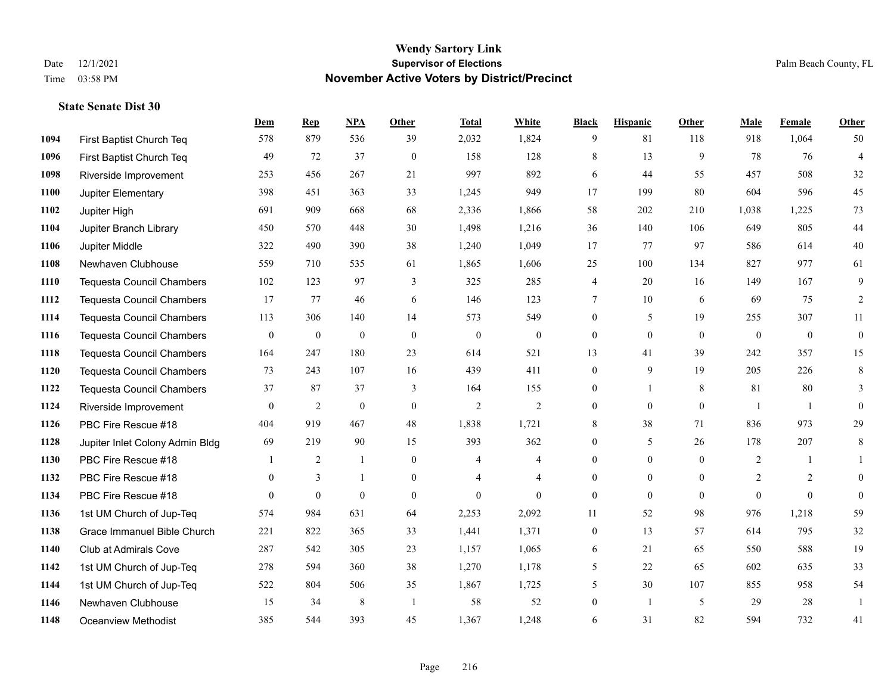**State Senate Dist 30**

#### **Wendy Sartory Link** Date 12/1/2021 **Supervisor of Elections** Palm Beach County, FL Time 03:58 PM **November Active Voters by District/Precinct**

# **Dem Rep NPA Other Total White Black Hispanic Other Male Female Other** First Baptist Church Teq 578 879 536 39 2,032 1,824 9 81 118 918 1,064 50 First Baptist Church Teq 49 72 37 0 158 128 8 13 9 78 76 4 Riverside Improvement 253 456 267 21 997 892 6 44 55 457 508 32 Jupiter Elementary 398 451 363 33 1,245 949 17 199 80 604 596 45 Jupiter High 691 909 668 68 2,336 1,866 58 202 210 1,038 1,225 73 Jupiter Branch Library 450 570 448 30 1,498 1,216 36 140 106 649 805 44 Jupiter Middle 322 490 390 38 1,240 1,049 17 77 97 586 614 40 Newhaven Clubhouse 559 710 535 61 1,865 1,606 25 100 134 827 977 61 Tequesta Council Chambers 102 123 97 3 325 285 4 20 16 149 167 9 Tequesta Council Chambers 17 77 46 6 146 123 7 10 6 69 75 2 Tequesta Council Chambers 113 306 140 14 573 549 0 5 19 255 307 11 Tequesta Council Chambers 0 0 0 0 0 0 0 0 0 0 0 0 Tequesta Council Chambers 164 247 180 23 614 521 13 41 39 242 357 15 Tequesta Council Chambers 73 243 107 16 439 411 0 9 19 205 226 8 Tequesta Council Chambers 37 87 37 3 164 155 0 1 8 81 80 3 Riverside Improvement 0 0 2 0 0 2 2 2 0 0 0 0 1 1 0 PBC Fire Rescue #18 404 919 467 48 1,838 1,721 8 38 71 836 973 29 Jupiter Inlet Colony Admin Bldg 69 219 90 15 393 362 0 5 26 178 207 8 PBC Fire Rescue #18 **1** 1 2 1 0 4 4 0 0 0 2 1 1 **1132 PBC Fire Rescue #18** 0 3 1 0 4 4 0 0 0 2 2 0 PBC Fire Rescue #18 0 0 0 0 0 0 0 0 0 0 0 0 1st UM Church of Jup-Teq 574 984 631 64 2,253 2,092 11 52 98 976 1,218 59 Grace Immanuel Bible Church 221 822 365 33 1,441 1,371 0 13 57 614 795 32 Club at Admirals Cove 287 542 305 23 1,157 1,065 6 21 65 550 588 19 1st UM Church of Jup-Teq 278 594 360 38 1,270 1,178 5 22 65 602 635 33 1st UM Church of Jup-Teq 522 804 506 35 1,867 1,725 5 30 107 855 958 54 Newhaven Clubhouse 15 34 8 1 58 52 0 1 5 29 28 1

Oceanview Methodist 385 544 393 45 1,367 1,248 6 31 82 594 732 41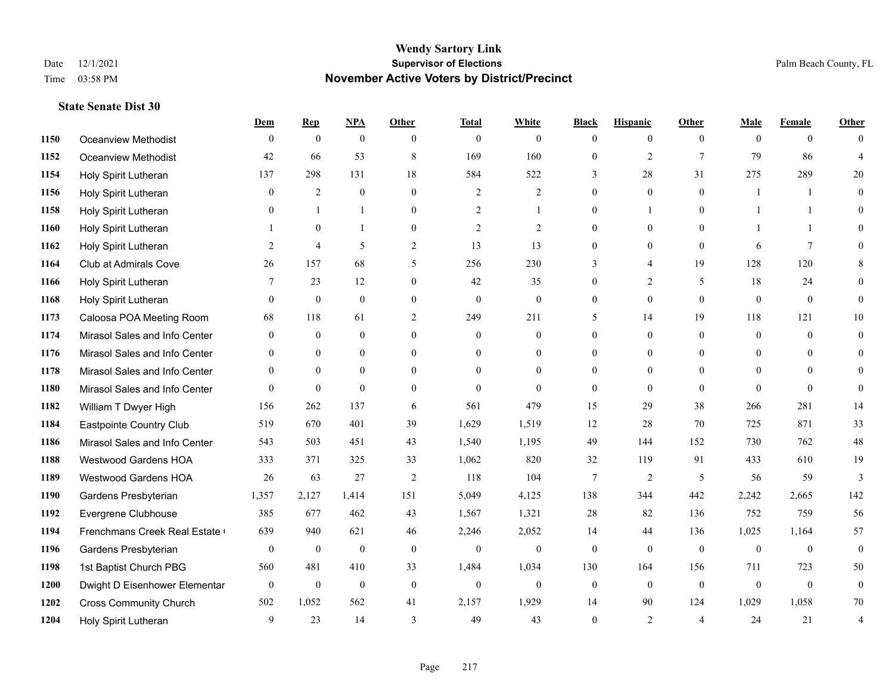|      |                               | Dem            | <b>Rep</b>       | NPA              | <b>Other</b>   | <b>Total</b>     | <b>White</b>     | <b>Black</b>     | <b>Hispanic</b> | <b>Other</b>   | <b>Male</b>  | <b>Female</b> | <b>Other</b>   |
|------|-------------------------------|----------------|------------------|------------------|----------------|------------------|------------------|------------------|-----------------|----------------|--------------|---------------|----------------|
| 1150 | Oceanview Methodist           | $\mathbf{0}$   | $\mathbf{0}$     | $\mathbf{0}$     | $\theta$       | $\theta$         | $\overline{0}$   | $\mathbf{0}$     | $\overline{0}$  | $\theta$       | $\theta$     | $\theta$      | $\Omega$       |
| 1152 | Oceanview Methodist           | 42             | 66               | 53               | 8              | 169              | 160              | $\mathbf{0}$     | $\overline{2}$  | $\tau$         | 79           | 86            | $\overline{4}$ |
| 1154 | Holy Spirit Lutheran          | 137            | 298              | 131              | 18             | 584              | 522              | 3                | 28              | 31             | 275          | 289           | 20             |
| 1156 | Holy Spirit Lutheran          | $\overline{0}$ | $\overline{2}$   | $\mathbf{0}$     | $\overline{0}$ | $\overline{2}$   | $\overline{2}$   | $\mathbf{0}$     | $\mathbf{0}$    | $\mathbf{0}$   |              | -1            | $\theta$       |
| 1158 | Holy Spirit Lutheran          | $\Omega$       | $\mathbf{1}$     | $\mathbf{1}$     | $\overline{0}$ | 2                |                  | $\mathbf{0}$     | $\mathbf{1}$    | $\theta$       |              | -1            | $\Omega$       |
| 1160 | Holy Spirit Lutheran          |                | $\mathbf{0}$     | $\mathbf{1}$     | $\overline{0}$ | $\overline{2}$   | 2                | $\mathbf{0}$     | $\mathbf{0}$    | $\theta$       |              | -1            | $\Omega$       |
| 1162 | Holy Spirit Lutheran          | 2              | $\overline{4}$   | 5                | $\overline{2}$ | 13               | 13               | $\mathbf{0}$     | $\mathbf{0}$    | $\theta$       | 6            | $\tau$        | $\Omega$       |
| 1164 | Club at Admirals Cove         | 26             | 157              | 68               | 5              | 256              | 230              | 3                | 4               | 19             | 128          | 120           | 8              |
| 1166 | Holy Spirit Lutheran          | $\tau$         | 23               | 12               | $\overline{0}$ | 42               | 35               | $\mathbf{0}$     | $\overline{2}$  | 5              | 18           | 24            | $\Omega$       |
| 1168 | Holy Spirit Lutheran          | $\theta$       | $\theta$         | $\theta$         | $\Omega$       | $\theta$         | $\mathbf{0}$     | $\overline{0}$   | $\theta$        | $\Omega$       | $\theta$     | $\theta$      | $\theta$       |
| 1173 | Caloosa POA Meeting Room      | 68             | 118              | 61               | 2              | 249              | 211              | 5                | 14              | 19             | 118          | 121           | 10             |
| 1174 | Mirasol Sales and Info Center | $\overline{0}$ | $\theta$         | $\theta$         | $\Omega$       | $\theta$         | $\overline{0}$   | $\mathbf{0}$     | $\theta$        | $\theta$       | $\Omega$     | $\Omega$      | $\theta$       |
| 1176 | Mirasol Sales and Info Center | $\Omega$       | $\mathbf{0}$     | $\overline{0}$   | $\Omega$       | $\Omega$         | $\overline{0}$   | $\theta$         | $\mathbf{0}$    | $\theta$       | $\Omega$     | $\Omega$      | $\theta$       |
| 1178 | Mirasol Sales and Info Center | $\Omega$       | $\overline{0}$   | $\mathbf{0}$     | $\overline{0}$ | $\theta$         | $\overline{0}$   | $\mathbf{0}$     | $\mathbf{0}$    | $\theta$       | $\mathbf{0}$ | $\theta$      | $\Omega$       |
| 1180 | Mirasol Sales and Info Center | $\Omega$       | $\theta$         | $\theta$         | $\Omega$       | $\Omega$         | $\Omega$         | $\theta$         | $\theta$        | $\theta$       | $\Omega$     | $\Omega$      | $\Omega$       |
| 1182 | William T Dwyer High          | 156            | 262              | 137              | 6              | 561              | 479              | 15               | 29              | 38             | 266          | 281           | 14             |
| 1184 | Eastpointe Country Club       | 519            | 670              | 401              | 39             | 1,629            | 1,519            | 12               | 28              | 70             | 725          | 871           | 33             |
| 1186 | Mirasol Sales and Info Center | 543            | 503              | 451              | 43             | 1,540            | 1,195            | 49               | 144             | 152            | 730          | 762           | $48\,$         |
| 1188 | Westwood Gardens HOA          | 333            | 371              | 325              | 33             | 1,062            | 820              | 32               | 119             | 91             | 433          | 610           | 19             |
| 1189 | <b>Westwood Gardens HOA</b>   | 26             | 63               | 27               | 2              | 118              | 104              | $7\phantom{.0}$  | 2               | -5             | 56           | 59            | 3              |
| 1190 | Gardens Presbyterian          | 1,357          | 2,127            | 1,414            | 151            | 5,049            | 4,125            | 138              | 344             | 442            | 2,242        | 2,665         | 142            |
| 1192 | Evergrene Clubhouse           | 385            | 677              | 462              | 43             | 1,567            | 1,321            | 28               | 82              | 136            | 752          | 759           | 56             |
| 1194 | Frenchmans Creek Real Estate  | 639            | 940              | 621              | 46             | 2,246            | 2,052            | 14               | 44              | 136            | 1,025        | 1,164         | 57             |
| 1196 | Gardens Presbyterian          | $\overline{0}$ | $\bf{0}$         | $\boldsymbol{0}$ | $\mathbf{0}$   | $\boldsymbol{0}$ | $\boldsymbol{0}$ | $\boldsymbol{0}$ | $\mathbf{0}$    | $\mathbf{0}$   | $\mathbf{0}$ | $\mathbf{0}$  | $\mathbf{0}$   |
| 1198 | 1st Baptist Church PBG        | 560            | 481              | 410              | 33             | 1,484            | 1,034            | 130              | 164             | 156            | 711          | 723           | 50             |
| 1200 | Dwight D Eisenhower Elementar | $\mathbf{0}$   | $\boldsymbol{0}$ | $\boldsymbol{0}$ | $\mathbf{0}$   | $\mathbf{0}$     | $\boldsymbol{0}$ | $\boldsymbol{0}$ | $\mathbf{0}$    | $\theta$       | $\mathbf{0}$ | $\mathbf{0}$  | $\mathbf{0}$   |
| 1202 | <b>Cross Community Church</b> | 502            | 1,052            | 562              | 41             | 2,157            | 1,929            | 14               | 90              | 124            | 1,029        | 1,058         | 70             |
| 1204 | Holy Spirit Lutheran          | 9              | 23               | 14               | $\mathcal{E}$  | 49               | 43               | $\theta$         | $\overline{2}$  | $\overline{4}$ | 24           | 21            | 4              |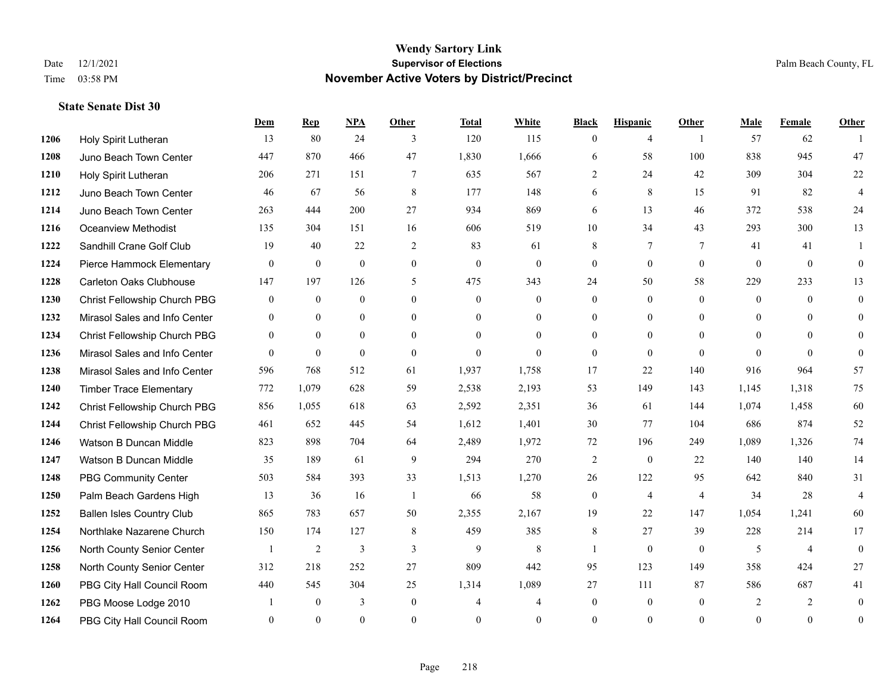|      |                                  | Dem            | <b>Rep</b>     | <b>NPA</b>     | Other          | <b>Total</b>   | White          | <b>Black</b>     | <b>Hispanic</b>  | Other          | Male           | Female   | Other            |
|------|----------------------------------|----------------|----------------|----------------|----------------|----------------|----------------|------------------|------------------|----------------|----------------|----------|------------------|
| 1206 | Holy Spirit Lutheran             | 13             | 80             | 24             | 3              | 120            | 115            | $\mathbf{0}$     | $\overline{4}$   | $\overline{1}$ | 57             | 62       |                  |
| 1208 | Juno Beach Town Center           | 447            | 870            | 466            | 47             | 1,830          | 1,666          | 6                | 58               | 100            | 838            | 945      | 47               |
| 1210 | Holy Spirit Lutheran             | 206            | 271            | 151            | $\overline{7}$ | 635            | 567            | $\overline{2}$   | 24               | 42             | 309            | 304      | 22               |
| 1212 | Juno Beach Town Center           | 46             | 67             | 56             | 8              | 177            | 148            | 6                | 8                | 15             | 91             | 82       | $\overline{4}$   |
| 1214 | Juno Beach Town Center           | 263            | 444            | 200            | 27             | 934            | 869            | 6                | 13               | 46             | 372            | 538      | 24               |
| 1216 | <b>Oceanview Methodist</b>       | 135            | 304            | 151            | 16             | 606            | 519            | 10               | 34               | 43             | 293            | 300      | 13               |
| 1222 | Sandhill Crane Golf Club         | 19             | 40             | 22             | 2              | 83             | 61             | 8                | $7\phantom{.0}$  | 7              | 41             | 41       | -1               |
| 1224 | Pierce Hammock Elementary        | $\mathbf{0}$   | $\mathbf{0}$   | $\mathbf{0}$   | $\overline{0}$ | $\mathbf{0}$   | $\overline{0}$ | $\mathbf{0}$     | $\mathbf{0}$     | $\overline{0}$ | $\theta$       | $\theta$ | $\mathbf{0}$     |
| 1228 | <b>Carleton Oaks Clubhouse</b>   | 147            | 197            | 126            | 5              | 475            | 343            | 24               | 50               | 58             | 229            | 233      | 13               |
| 1230 | Christ Fellowship Church PBG     | $\mathbf{0}$   | $\mathbf{0}$   | $\mathbf{0}$   | $\overline{0}$ | $\theta$       | $\mathbf{0}$   | $\mathbf{0}$     | $\theta$         | $\theta$       | $\mathbf{0}$   | $\theta$ | $\theta$         |
| 1232 | Mirasol Sales and Info Center    | $\overline{0}$ | $\overline{0}$ | $\overline{0}$ | $\Omega$       | $\theta$       | $\mathbf{0}$   | $\mathbf{0}$     | $\overline{0}$   | $\Omega$       | $\Omega$       | $\theta$ | $\mathbf{0}$     |
| 1234 | Christ Fellowship Church PBG     | $\overline{0}$ | $\overline{0}$ | $\overline{0}$ | $\Omega$       | $\Omega$       | $\Omega$       | $\mathbf{0}$     | $\mathbf{0}$     | $\theta$       | $\Omega$       | $\Omega$ | $\theta$         |
| 1236 | Mirasol Sales and Info Center    | $\theta$       | $\mathbf{0}$   | $\mathbf{0}$   | $\theta$       | $\theta$       | $\Omega$       | $\overline{0}$   | $\theta$         | $\theta$       | $\Omega$       | $\theta$ | $\theta$         |
| 1238 | Mirasol Sales and Info Center    | 596            | 768            | 512            | 61             | 1,937          | 1,758          | 17               | 22               | 140            | 916            | 964      | 57               |
| 1240 | <b>Timber Trace Elementary</b>   | 772            | 1,079          | 628            | 59             | 2,538          | 2,193          | 53               | 149              | 143            | 1.145          | 1,318    | 75               |
| 1242 | Christ Fellowship Church PBG     | 856            | 1,055          | 618            | 63             | 2,592          | 2,351          | 36               | 61               | 144            | 1,074          | 1,458    | 60               |
| 1244 | Christ Fellowship Church PBG     | 461            | 652            | 445            | 54             | 1,612          | 1,401          | 30               | 77               | 104            | 686            | 874      | 52               |
| 1246 | Watson B Duncan Middle           | 823            | 898            | 704            | 64             | 2,489          | 1,972          | 72               | 196              | 249            | 1,089          | 1,326    | 74               |
| 1247 | Watson B Duncan Middle           | 35             | 189            | 61             | 9              | 294            | 270            | $\overline{c}$   | $\mathbf{0}$     | 22             | 140            | 140      | 14               |
| 1248 | <b>PBG Community Center</b>      | 503            | 584            | 393            | 33             | 1,513          | 1,270          | 26               | 122              | 95             | 642            | 840      | 31               |
| 1250 | Palm Beach Gardens High          | 13             | 36             | 16             | $\overline{1}$ | 66             | 58             | $\mathbf{0}$     | 4                | $\overline{4}$ | 34             | 28       | $\overline{4}$   |
| 1252 | <b>Ballen Isles Country Club</b> | 865            | 783            | 657            | 50             | 2,355          | 2,167          | 19               | 22               | 147            | 1,054          | 1,241    | 60               |
| 1254 | Northlake Nazarene Church        | 150            | 174            | 127            | 8              | 459            | 385            | 8                | 27               | 39             | 228            | 214      | 17               |
| 1256 | North County Senior Center       | $\mathbf{1}$   | 2              | 3              | 3              | 9              | 8              | 1                | $\mathbf{0}$     | $\overline{0}$ | 5              | 4        | $\mathbf{0}$     |
| 1258 | North County Senior Center       | 312            | 218            | 252            | 27             | 809            | 442            | 95               | 123              | 149            | 358            | 424      | 27               |
| 1260 | PBG City Hall Council Room       | 440            | 545            | 304            | 25             | 1,314          | 1,089          | 27               | 111              | 87             | 586            | 687      | 41               |
| 1262 | PBG Moose Lodge 2010             |                | $\mathbf{0}$   | 3              | $\mathbf{0}$   | $\overline{4}$ | 4              | $\boldsymbol{0}$ | $\boldsymbol{0}$ | $\mathbf{0}$   | $\overline{2}$ | 2        | $\mathbf{0}$     |
| 1264 | PBG City Hall Council Room       | $\Omega$       | $\theta$       | $\theta$       | $\Omega$       | $\theta$       | $\Omega$       | $\mathbf{0}$     | $\theta$         | $\theta$       | $\theta$       | $\theta$ | $\boldsymbol{0}$ |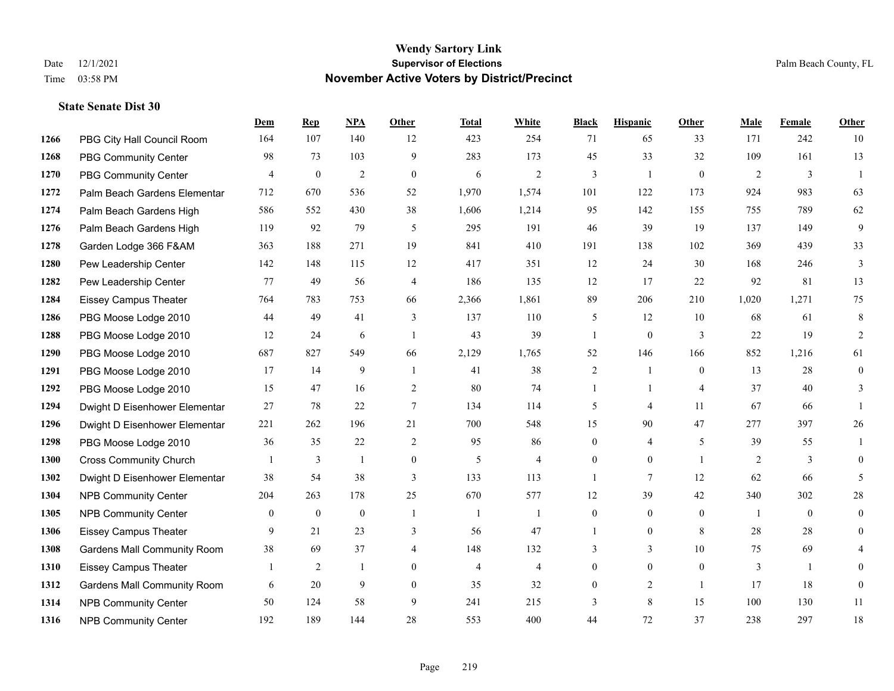|      |                                    | Dem              | <b>Rep</b>       | NPA              | <b>Other</b>     | <b>Total</b>   | <b>White</b>   | <b>Black</b>     | <b>Hispanic</b>  | Other            | <b>Male</b>    | <b>Female</b>  | <b>Other</b>   |
|------|------------------------------------|------------------|------------------|------------------|------------------|----------------|----------------|------------------|------------------|------------------|----------------|----------------|----------------|
| 1266 | PBG City Hall Council Room         | 164              | 107              | 140              | 12               | 423            | 254            | 71               | 65               | 33               | 171            | 242            | 10             |
| 1268 | <b>PBG Community Center</b>        | 98               | 73               | 103              | 9                | 283            | 173            | 45               | 33               | 32               | 109            | 161            | 13             |
| 1270 | <b>PBG Community Center</b>        | $\overline{4}$   | $\boldsymbol{0}$ | $\mathfrak{2}$   | $\mathbf{0}$     | 6              | $\overline{2}$ | 3                | $\mathbf{1}$     | $\overline{0}$   | 2              | $\mathfrak{Z}$ | $\overline{1}$ |
| 1272 | Palm Beach Gardens Elementar       | 712              | 670              | 536              | 52               | 1,970          | 1,574          | 101              | 122              | 173              | 924            | 983            | 63             |
| 1274 | Palm Beach Gardens High            | 586              | 552              | 430              | 38               | 1,606          | 1,214          | 95               | 142              | 155              | 755            | 789            | 62             |
| 1276 | Palm Beach Gardens High            | 119              | 92               | 79               | 5                | 295            | 191            | 46               | 39               | 19               | 137            | 149            | 9              |
| 1278 | Garden Lodge 366 F&AM              | 363              | 188              | 271              | 19               | 841            | 410            | 191              | 138              | 102              | 369            | 439            | 33             |
| 1280 | Pew Leadership Center              | 142              | 148              | 115              | 12               | 417            | 351            | 12               | 24               | 30               | 168            | 246            | 3              |
| 1282 | Pew Leadership Center              | 77               | 49               | 56               | $\overline{4}$   | 186            | 135            | 12               | 17               | 22               | 92             | 81             | 13             |
| 1284 | <b>Eissey Campus Theater</b>       | 764              | 783              | 753              | 66               | 2,366          | 1,861          | 89               | 206              | 210              | 1,020          | 1,271          | 75             |
| 1286 | PBG Moose Lodge 2010               | 44               | 49               | 41               | 3                | 137            | 110            | 5                | 12               | 10               | 68             | 61             | 8              |
| 1288 | PBG Moose Lodge 2010               | 12               | 24               | 6                | $\overline{1}$   | 43             | 39             | 1                | $\mathbf{0}$     | 3                | 22             | 19             | 2              |
| 1290 | PBG Moose Lodge 2010               | 687              | 827              | 549              | 66               | 2,129          | 1,765          | 52               | 146              | 166              | 852            | 1,216          | 61             |
| 1291 | PBG Moose Lodge 2010               | 17               | 14               | 9                | $\overline{1}$   | 41             | 38             | 2                | -1               | $\mathbf{0}$     | 13             | 28             | $\overline{0}$ |
| 1292 | PBG Moose Lodge 2010               | 15               | 47               | 16               | 2                | 80             | 74             | 1                | 1                | $\overline{4}$   | 37             | 40             | 3              |
| 1294 | Dwight D Eisenhower Elementar      | 27               | 78               | 22               | $\tau$           | 134            | 114            | 5                | 4                | 11               | 67             | 66             | 1              |
| 1296 | Dwight D Eisenhower Elementar      | 221              | 262              | 196              | 21               | 700            | 548            | 15               | 90               | 47               | 277            | 397            | 26             |
| 1298 | PBG Moose Lodge 2010               | 36               | 35               | 22               | 2                | 95             | 86             | $\overline{0}$   | 4                | 5                | 39             | 55             |                |
| 1300 | <b>Cross Community Church</b>      |                  | 3                | $\mathbf{1}$     | $\boldsymbol{0}$ | 5              | $\overline{4}$ | 0                | $\boldsymbol{0}$ | $\overline{1}$   | $\overline{2}$ | $\mathfrak{Z}$ | $\overline{0}$ |
| 1302 | Dwight D Eisenhower Elementar      | 38               | 54               | 38               | 3                | 133            | 113            | $\mathbf{1}$     | $\tau$           | 12               | 62             | 66             | 5              |
| 1304 | <b>NPB Community Center</b>        | 204              | 263              | 178              | 25               | 670            | 577            | 12               | 39               | 42               | 340            | 302            | $28\,$         |
| 1305 | <b>NPB Community Center</b>        | $\boldsymbol{0}$ | $\boldsymbol{0}$ | $\boldsymbol{0}$ | $\mathbf{1}$     | $\mathbf{1}$   | $\overline{1}$ | $\boldsymbol{0}$ | $\boldsymbol{0}$ | $\boldsymbol{0}$ | -1             | $\mathbf{0}$   | $\overline{0}$ |
| 1306 | <b>Eissey Campus Theater</b>       | 9                | 21               | 23               | 3                | 56             | 47             | 1                | $\overline{0}$   | 8                | 28             | 28             | $\overline{0}$ |
| 1308 | <b>Gardens Mall Community Room</b> | 38               | 69               | 37               | $\overline{4}$   | 148            | 132            | 3                | $\overline{3}$   | 10               | 75             | 69             | 4              |
| 1310 | <b>Eissey Campus Theater</b>       |                  | $\overline{2}$   | $\mathbf{1}$     | $\theta$         | $\overline{4}$ | $\overline{4}$ | $\overline{0}$   | $\theta$         | $\theta$         | 3              | $\mathbf{1}$   | $\Omega$       |
| 1312 | <b>Gardens Mall Community Room</b> | 6                | 20               | 9                | $\theta$         | 35             | 32             | $\overline{0}$   | $\overline{c}$   | $\overline{1}$   | 17             | 18             | $\mathbf{0}$   |
| 1314 | <b>NPB Community Center</b>        | 50               | 124              | 58               | 9                | 241            | 215            | 3                | 8                | 15               | 100            | 130            | 11             |
| 1316 | <b>NPB Community Center</b>        | 192              | 189              | 144              | 28               | 553            | 400            | 44               | 72               | 37               | 238            | 297            | $18\,$         |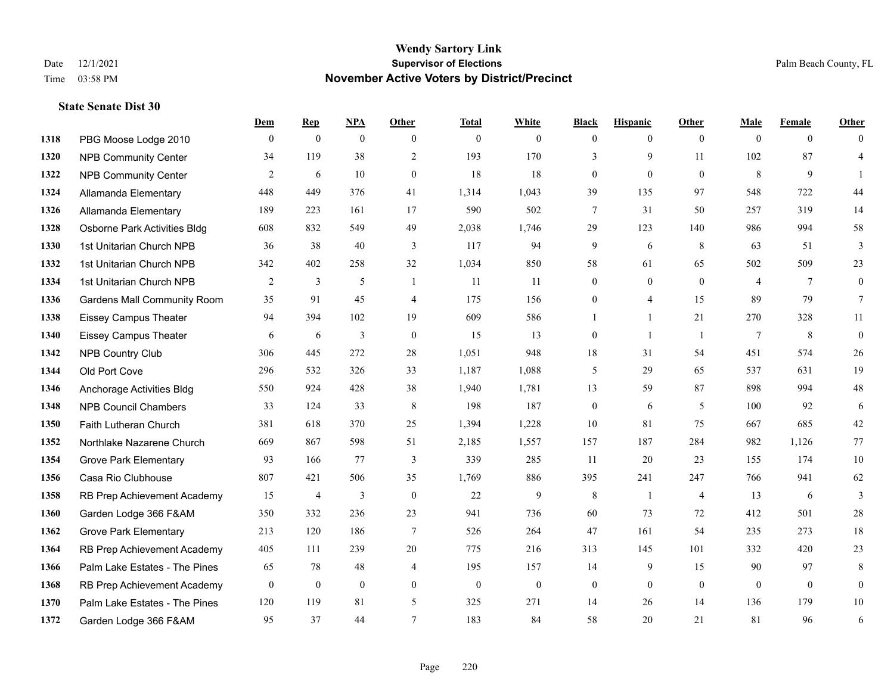|      |                                    | Dem            | <b>Rep</b>       | NPA              | <b>Other</b>   | <b>Total</b> | <b>White</b>     | <b>Black</b>     | <b>Hispanic</b>  | <b>Other</b>   | <b>Male</b>    | <b>Female</b>  | <b>Other</b>     |
|------|------------------------------------|----------------|------------------|------------------|----------------|--------------|------------------|------------------|------------------|----------------|----------------|----------------|------------------|
| 1318 | PBG Moose Lodge 2010               | $\overline{0}$ | $\boldsymbol{0}$ | $\overline{0}$   | $\overline{0}$ | $\mathbf{0}$ | $\overline{0}$   | $\mathbf{0}$     | $\overline{0}$   | $\overline{0}$ | $\mathbf{0}$   | $\overline{0}$ | $\Omega$         |
| 1320 | <b>NPB Community Center</b>        | 34             | 119              | 38               | $\overline{2}$ | 193          | 170              | 3                | 9                | 11             | 102            | 87             | $\overline{4}$   |
| 1322 | <b>NPB Community Center</b>        | 2              | 6                | 10               | $\overline{0}$ | 18           | 18               | $\mathbf{0}$     | $\mathbf{0}$     | $\theta$       | 8              | 9              | $\mathbf{1}$     |
| 1324 | Allamanda Elementary               | 448            | 449              | 376              | 41             | 1,314        | 1,043            | 39               | 135              | 97             | 548            | 722            | 44               |
| 1326 | Allamanda Elementary               | 189            | 223              | 161              | 17             | 590          | 502              | $7\phantom{.0}$  | 31               | 50             | 257            | 319            | 14               |
| 1328 | Osborne Park Activities Bldg       | 608            | 832              | 549              | 49             | 2,038        | 1,746            | 29               | 123              | 140            | 986            | 994            | $58\,$           |
| 1330 | 1st Unitarian Church NPB           | 36             | 38               | 40               | 3              | 117          | 94               | 9                | 6                | 8              | 63             | 51             | 3                |
| 1332 | 1st Unitarian Church NPB           | 342            | 402              | 258              | 32             | 1,034        | 850              | 58               | 61               | 65             | 502            | 509            | 23               |
| 1334 | 1st Unitarian Church NPB           | $\overline{c}$ | 3                | 5                | -1             | 11           | 11               | $\boldsymbol{0}$ | $\boldsymbol{0}$ | $\mathbf{0}$   | 4              | 7              | $\boldsymbol{0}$ |
| 1336 | <b>Gardens Mall Community Room</b> | 35             | 91               | 45               | $\overline{4}$ | 175          | 156              | $\overline{0}$   | $\overline{4}$   | 15             | 89             | 79             | 7                |
| 1338 | <b>Eissey Campus Theater</b>       | 94             | 394              | 102              | 19             | 609          | 586              | 1                | $\mathbf{1}$     | 21             | 270            | 328            | 11               |
| 1340 | <b>Eissey Campus Theater</b>       | 6              | 6                | 3                | $\mathbf{0}$   | 15           | 13               | $\boldsymbol{0}$ | $\mathbf{1}$     | -1             | $\tau$         | 8              | $\mathbf{0}$     |
| 1342 | <b>NPB Country Club</b>            | 306            | 445              | 272              | 28             | 1,051        | 948              | 18               | 31               | 54             | 451            | 574            | $26\,$           |
| 1344 | Old Port Cove                      | 296            | 532              | 326              | 33             | 1,187        | 1,088            | 5                | 29               | 65             | 537            | 631            | 19               |
| 1346 | Anchorage Activities Bldg          | 550            | 924              | 428              | 38             | 1,940        | 1,781            | 13               | 59               | 87             | 898            | 994            | $48\,$           |
| 1348 | <b>NPB Council Chambers</b>        | 33             | 124              | 33               | 8              | 198          | 187              | $\boldsymbol{0}$ | 6                | 5              | 100            | 92             | 6                |
| 1350 | Faith Lutheran Church              | 381            | 618              | 370              | 25             | 1,394        | 1,228            | 10               | 81               | 75             | 667            | 685            | $42\,$           |
| 1352 | Northlake Nazarene Church          | 669            | 867              | 598              | 51             | 2,185        | 1,557            | 157              | 187              | 284            | 982            | 1,126          | $77\,$           |
| 1354 | <b>Grove Park Elementary</b>       | 93             | 166              | 77               | 3              | 339          | 285              | 11               | 20               | 23             | 155            | 174            | 10               |
| 1356 | Casa Rio Clubhouse                 | 807            | 421              | 506              | 35             | 1,769        | 886              | 395              | 241              | 247            | 766            | 941            | 62               |
| 1358 | RB Prep Achievement Academy        | 15             | $\overline{4}$   | 3                | $\theta$       | 22           | 9                | 8                | $\mathbf{1}$     | $\overline{4}$ | 13             | 6              | $\overline{3}$   |
| 1360 | Garden Lodge 366 F&AM              | 350            | 332              | 236              | 23             | 941          | 736              | 60               | 73               | 72             | 412            | 501            | $28\,$           |
| 1362 | <b>Grove Park Elementary</b>       | 213            | 120              | 186              | $\tau$         | 526          | 264              | 47               | 161              | 54             | 235            | 273            | $18\,$           |
| 1364 | RB Prep Achievement Academy        | 405            | 111              | 239              | 20             | 775          | 216              | 313              | 145              | 101            | 332            | 420            | 23               |
| 1366 | Palm Lake Estates - The Pines      | 65             | 78               | 48               | $\overline{4}$ | 195          | 157              | 14               | 9                | 15             | 90             | 97             | 8                |
| 1368 | RB Prep Achievement Academy        | $\overline{0}$ | $\boldsymbol{0}$ | $\boldsymbol{0}$ | $\overline{0}$ | $\mathbf{0}$ | $\boldsymbol{0}$ | $\boldsymbol{0}$ | $\mathbf{0}$     | $\theta$       | $\overline{0}$ | $\overline{0}$ | $\boldsymbol{0}$ |
| 1370 | Palm Lake Estates - The Pines      | 120            | 119              | 81               | 5              | 325          | 271              | 14               | 26               | 14             | 136            | 179            | $10\,$           |
| 1372 | Garden Lodge 366 F&AM              | 95             | 37               | 44               | 7              | 183          | 84               | 58               | 20               | 21             | 81             | 96             | 6                |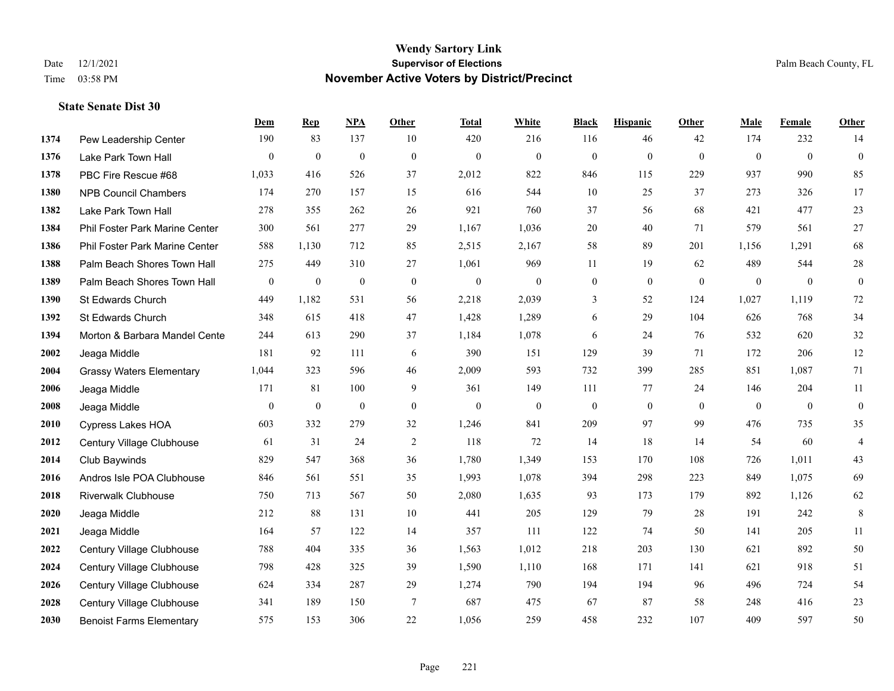|      |                                 | Dem            | <b>Rep</b>       | NPA              | <b>Other</b>     | <b>Total</b>     | <b>White</b>     | <b>Black</b>     | <b>Hispanic</b>  | <b>Other</b> | <b>Male</b>  | Female       | <b>Other</b>     |
|------|---------------------------------|----------------|------------------|------------------|------------------|------------------|------------------|------------------|------------------|--------------|--------------|--------------|------------------|
| 1374 | Pew Leadership Center           | 190            | 83               | 137              | 10               | 420              | 216              | 116              | 46               | 42           | 174          | 232          | 14               |
| 1376 | Lake Park Town Hall             | $\overline{0}$ | $\mathbf{0}$     | $\mathbf{0}$     | $\mathbf{0}$     | $\mathbf{0}$     | $\overline{0}$   | $\mathbf{0}$     | $\mathbf{0}$     | $\theta$     | $\mathbf{0}$ | $\theta$     | $\boldsymbol{0}$ |
| 1378 | PBC Fire Rescue #68             | 1,033          | 416              | 526              | 37               | 2,012            | 822              | 846              | 115              | 229          | 937          | 990          | 85               |
| 1380 | <b>NPB Council Chambers</b>     | 174            | 270              | 157              | 15               | 616              | 544              | 10               | 25               | 37           | 273          | 326          | 17               |
| 1382 | Lake Park Town Hall             | 278            | 355              | 262              | 26               | 921              | 760              | 37               | 56               | 68           | 421          | 477          | 23               |
| 1384 | Phil Foster Park Marine Center  | 300            | 561              | 277              | 29               | 1,167            | 1,036            | 20               | 40               | 71           | 579          | 561          | $27\,$           |
| 1386 | Phil Foster Park Marine Center  | 588            | 1,130            | 712              | 85               | 2,515            | 2,167            | 58               | 89               | 201          | 1,156        | 1,291        | 68               |
| 1388 | Palm Beach Shores Town Hall     | 275            | 449              | 310              | 27               | 1,061            | 969              | 11               | 19               | 62           | 489          | 544          | $28\,$           |
| 1389 | Palm Beach Shores Town Hall     | $\mathbf{0}$   | $\boldsymbol{0}$ | $\boldsymbol{0}$ | $\boldsymbol{0}$ | $\boldsymbol{0}$ | $\boldsymbol{0}$ | $\boldsymbol{0}$ | $\boldsymbol{0}$ | $\mathbf{0}$ | $\mathbf{0}$ | $\mathbf{0}$ | $\boldsymbol{0}$ |
| 1390 | St Edwards Church               | 449            | 1,182            | 531              | 56               | 2,218            | 2,039            | 3                | 52               | 124          | 1,027        | 1,119        | 72               |
| 1392 | St Edwards Church               | 348            | 615              | 418              | 47               | 1,428            | 1,289            | 6                | 29               | 104          | 626          | 768          | 34               |
| 1394 | Morton & Barbara Mandel Cente   | 244            | 613              | 290              | 37               | 1,184            | 1,078            | 6                | 24               | 76           | 532          | 620          | $32\,$           |
| 2002 | Jeaga Middle                    | 181            | 92               | 111              | 6                | 390              | 151              | 129              | 39               | 71           | 172          | 206          | $12\,$           |
| 2004 | <b>Grassy Waters Elementary</b> | 1,044          | 323              | 596              | 46               | 2,009            | 593              | 732              | 399              | 285          | 851          | 1,087        | 71               |
| 2006 | Jeaga Middle                    | 171            | 81               | 100              | 9                | 361              | 149              | 111              | 77               | 24           | 146          | 204          | 11               |
| 2008 | Jeaga Middle                    | $\mathbf{0}$   | $\boldsymbol{0}$ | $\boldsymbol{0}$ | $\mathbf{0}$     | $\mathbf{0}$     | $\mathbf{0}$     | $\boldsymbol{0}$ | $\mathbf{0}$     | $\theta$     | $\mathbf{0}$ | $\mathbf{0}$ | $\boldsymbol{0}$ |
| 2010 | Cypress Lakes HOA               | 603            | 332              | 279              | 32               | 1,246            | 841              | 209              | 97               | 99           | 476          | 735          | 35               |
| 2012 | Century Village Clubhouse       | 61             | 31               | 24               | $\overline{2}$   | 118              | 72               | 14               | 18               | 14           | 54           | 60           | $\overline{4}$   |
| 2014 | Club Baywinds                   | 829            | 547              | 368              | 36               | 1,780            | 1,349            | 153              | 170              | 108          | 726          | 1,011        | 43               |
| 2016 | Andros Isle POA Clubhouse       | 846            | 561              | 551              | 35               | 1,993            | 1,078            | 394              | 298              | 223          | 849          | 1,075        | 69               |
| 2018 | <b>Riverwalk Clubhouse</b>      | 750            | 713              | 567              | 50               | 2,080            | 1,635            | 93               | 173              | 179          | 892          | 1,126        | 62               |
| 2020 | Jeaga Middle                    | 212            | 88               | 131              | 10               | 441              | 205              | 129              | 79               | 28           | 191          | 242          | $8\,$            |
| 2021 | Jeaga Middle                    | 164            | 57               | 122              | 14               | 357              | 111              | 122              | 74               | 50           | 141          | 205          | $11\,$           |
| 2022 | Century Village Clubhouse       | 788            | 404              | 335              | 36               | 1,563            | 1,012            | 218              | 203              | 130          | 621          | 892          | 50               |
| 2024 | Century Village Clubhouse       | 798            | 428              | 325              | 39               | 1,590            | 1,110            | 168              | 171              | 141          | 621          | 918          | 51               |
| 2026 | Century Village Clubhouse       | 624            | 334              | 287              | 29               | 1,274            | 790              | 194              | 194              | 96           | 496          | 724          | 54               |
| 2028 | Century Village Clubhouse       | 341            | 189              | 150              | $\overline{7}$   | 687              | 475              | 67               | 87               | 58           | 248          | 416          | $23\,$           |
| 2030 | <b>Benoist Farms Elementary</b> | 575            | 153              | 306              | 22               | 1,056            | 259              | 458              | 232              | 107          | 409          | 597          | 50               |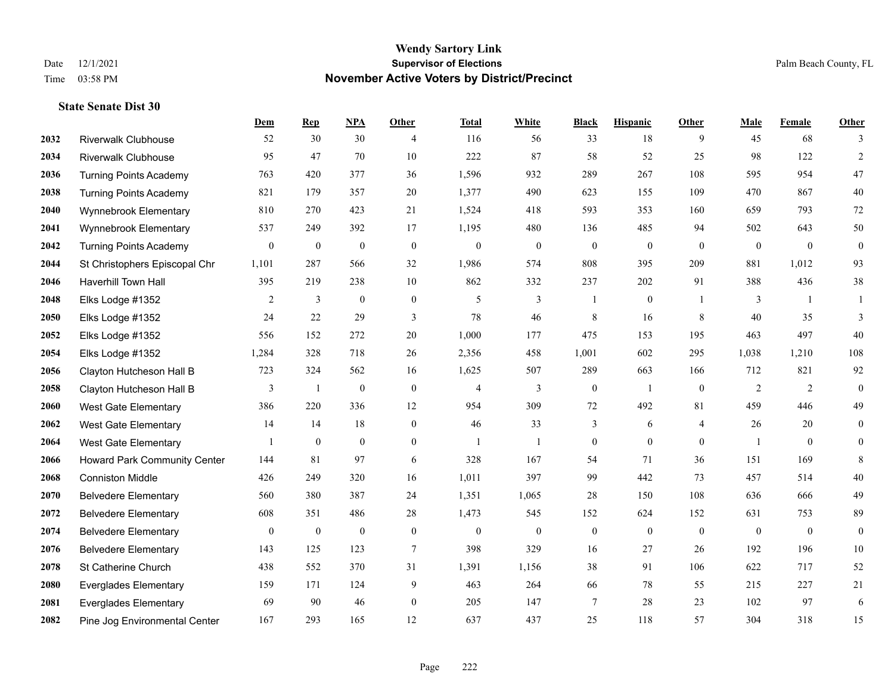|      |                               | Dem              | <b>Rep</b>       | NPA              | <b>Other</b>     | <b>Total</b> | <b>White</b> | <b>Black</b>     | <b>Hispanic</b>  | <b>Other</b>   | <b>Male</b>  | <b>Female</b>  | <b>Other</b>     |
|------|-------------------------------|------------------|------------------|------------------|------------------|--------------|--------------|------------------|------------------|----------------|--------------|----------------|------------------|
| 2032 | <b>Riverwalk Clubhouse</b>    | 52               | 30               | 30               | $\overline{4}$   | 116          | 56           | 33               | 18               | 9              | 45           | 68             | 3                |
| 2034 | <b>Riverwalk Clubhouse</b>    | 95               | 47               | 70               | 10               | 222          | 87           | 58               | 52               | 25             | 98           | 122            | $\overline{2}$   |
| 2036 | <b>Turning Points Academy</b> | 763              | 420              | 377              | 36               | 1,596        | 932          | 289              | 267              | 108            | 595          | 954            | $47\,$           |
| 2038 | <b>Turning Points Academy</b> | 821              | 179              | 357              | 20               | 1,377        | 490          | 623              | 155              | 109            | 470          | 867            | $40\,$           |
| 2040 | Wynnebrook Elementary         | 810              | 270              | 423              | 21               | 1,524        | 418          | 593              | 353              | 160            | 659          | 793            | $72\,$           |
| 2041 | Wynnebrook Elementary         | 537              | 249              | 392              | 17               | 1,195        | 480          | 136              | 485              | 94             | 502          | 643            | $50\,$           |
| 2042 | <b>Turning Points Academy</b> | $\mathbf{0}$     | $\boldsymbol{0}$ | $\boldsymbol{0}$ | $\boldsymbol{0}$ | $\mathbf{0}$ | $\mathbf{0}$ | $\boldsymbol{0}$ | $\boldsymbol{0}$ | $\mathbf{0}$   | $\mathbf{0}$ | $\mathbf{0}$   | $\boldsymbol{0}$ |
| 2044 | St Christophers Episcopal Chr | 1,101            | 287              | 566              | 32               | 1,986        | 574          | 808              | 395              | 209            | 881          | 1,012          | 93               |
| 2046 | Haverhill Town Hall           | 395              | 219              | 238              | 10               | 862          | 332          | 237              | 202              | 91             | 388          | 436            | $38\,$           |
| 2048 | Elks Lodge #1352              | 2                | 3                | $\mathbf{0}$     | $\mathbf{0}$     | 5            | 3            | 1                | $\mathbf{0}$     | -1             | 3            | $\overline{1}$ | 1                |
| 2050 | Elks Lodge #1352              | 24               | 22               | 29               | 3                | 78           | 46           | $\,$ 8 $\,$      | 16               | 8              | 40           | 35             | 3                |
| 2052 | Elks Lodge #1352              | 556              | 152              | 272              | 20               | 1,000        | 177          | 475              | 153              | 195            | 463          | 497            | 40               |
| 2054 | Elks Lodge #1352              | 1,284            | 328              | 718              | 26               | 2,356        | 458          | 1,001            | 602              | 295            | 1,038        | 1,210          | 108              |
| 2056 | Clayton Hutcheson Hall B      | 723              | 324              | 562              | 16               | 1,625        | 507          | 289              | 663              | 166            | 712          | 821            | 92               |
| 2058 | Clayton Hutcheson Hall B      | 3                | 1                | $\boldsymbol{0}$ | $\overline{0}$   | 4            | 3            | $\boldsymbol{0}$ | $\mathbf{1}$     | $\overline{0}$ | 2            | 2              | $\mathbf{0}$     |
| 2060 | West Gate Elementary          | 386              | 220              | 336              | 12               | 954          | 309          | 72               | 492              | 81             | 459          | 446            | 49               |
| 2062 | West Gate Elementary          | 14               | 14               | 18               | $\boldsymbol{0}$ | 46           | 33           | 3                | 6                | $\overline{4}$ | 26           | 20             | $\boldsymbol{0}$ |
| 2064 | West Gate Elementary          |                  | $\mathbf{0}$     | $\overline{0}$   | $\overline{0}$   |              | $\mathbf{1}$ | $\boldsymbol{0}$ | $\mathbf{0}$     | $\theta$       |              | $\theta$       | $\mathbf{0}$     |
| 2066 | Howard Park Community Center  | 144              | 81               | 97               | 6                | 328          | 167          | 54               | 71               | 36             | 151          | 169            | 8                |
| 2068 | <b>Conniston Middle</b>       | 426              | 249              | 320              | 16               | 1,011        | 397          | 99               | 442              | 73             | 457          | 514            | $40\,$           |
| 2070 | <b>Belvedere Elementary</b>   | 560              | 380              | 387              | 24               | 1,351        | 1,065        | 28               | 150              | 108            | 636          | 666            | 49               |
| 2072 | <b>Belvedere Elementary</b>   | 608              | 351              | 486              | 28               | 1,473        | 545          | 152              | 624              | 152            | 631          | 753            | 89               |
| 2074 | <b>Belvedere Elementary</b>   | $\boldsymbol{0}$ | $\boldsymbol{0}$ | $\boldsymbol{0}$ | $\mathbf{0}$     | $\mathbf{0}$ | $\mathbf{0}$ | $\boldsymbol{0}$ | $\boldsymbol{0}$ | $\overline{0}$ | $\mathbf{0}$ | $\overline{0}$ | $\boldsymbol{0}$ |
| 2076 | <b>Belvedere Elementary</b>   | 143              | 125              | 123              | 7                | 398          | 329          | 16               | 27               | 26             | 192          | 196            | $10\,$           |
| 2078 | St Catherine Church           | 438              | 552              | 370              | 31               | 1,391        | 1,156        | 38               | 91               | 106            | 622          | 717            | 52               |
| 2080 | <b>Everglades Elementary</b>  | 159              | 171              | 124              | 9                | 463          | 264          | 66               | 78               | 55             | 215          | 227            | 21               |
| 2081 | <b>Everglades Elementary</b>  | 69               | 90               | 46               | $\overline{0}$   | 205          | 147          | $\overline{7}$   | 28               | 23             | 102          | 97             | 6                |
| 2082 | Pine Jog Environmental Center | 167              | 293              | 165              | 12               | 637          | 437          | 25               | 118              | 57             | 304          | 318            | 15               |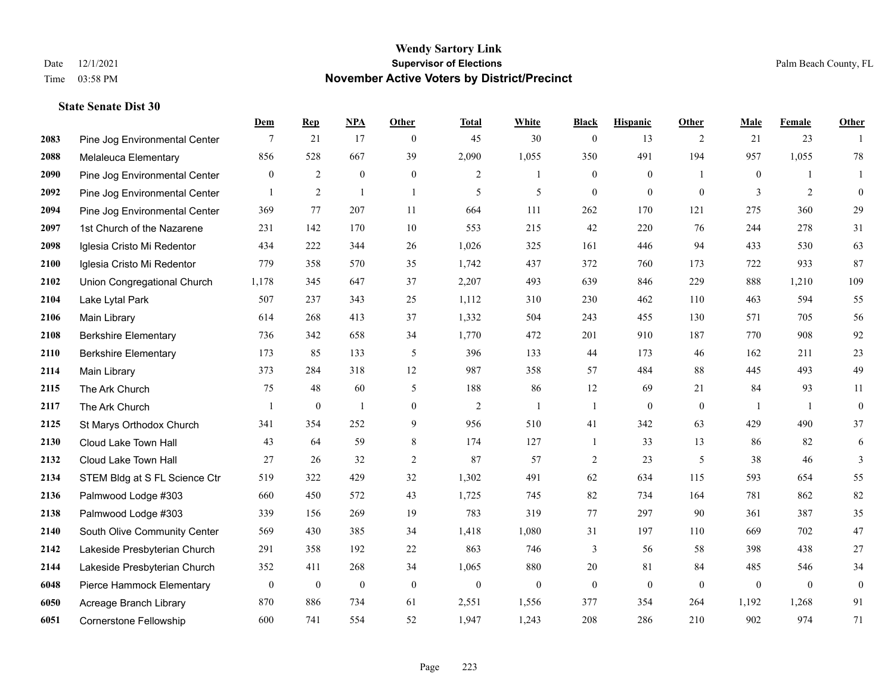**Dem Rep NPA Other Total White Black Hispanic Other Male Female Other**

| 2083 | Pine Jog Environmental Center | 7                | 21               | 17               | $\mathbf{0}$     | 45               | 30               | $\mathbf{0}$     | 13               | 2              | 21               | 23             |                  |
|------|-------------------------------|------------------|------------------|------------------|------------------|------------------|------------------|------------------|------------------|----------------|------------------|----------------|------------------|
| 2088 | Melaleuca Elementary          | 856              | 528              | 667              | 39               | 2,090            | 1,055            | 350              | 491              | 194            | 957              | 1,055          | $78\,$           |
| 2090 | Pine Jog Environmental Center | $\mathbf{0}$     | $\overline{2}$   | $\boldsymbol{0}$ | $\mathbf{0}$     | $\overline{c}$   | 1                | $\mathbf{0}$     | $\mathbf{0}$     | $\overline{1}$ | $\boldsymbol{0}$ | 1              |                  |
| 2092 | Pine Jog Environmental Center | $\mathbf{1}$     | 2                | $\mathbf{1}$     | -1               | 5                | 5                | $\mathbf{0}$     | $\mathbf{0}$     | $\mathbf{0}$   | 3                | $\overline{2}$ | $\mathbf{0}$     |
| 2094 | Pine Jog Environmental Center | 369              | 77               | 207              | 11               | 664              | 111              | 262              | 170              | 121            | 275              | 360            | 29               |
| 2097 | 1st Church of the Nazarene    | 231              | 142              | 170              | 10               | 553              | 215              | 42               | 220              | 76             | 244              | 278            | 31               |
| 2098 | Iglesia Cristo Mi Redentor    | 434              | 222              | 344              | 26               | 1,026            | 325              | 161              | 446              | 94             | 433              | 530            | 63               |
| 2100 | Iglesia Cristo Mi Redentor    | 779              | 358              | 570              | 35               | 1,742            | 437              | 372              | 760              | 173            | 722              | 933            | 87               |
| 2102 | Union Congregational Church   | 1,178            | 345              | 647              | 37               | 2,207            | 493              | 639              | 846              | 229            | 888              | 1,210          | 109              |
| 2104 | Lake Lytal Park               | 507              | 237              | 343              | 25               | 1,112            | 310              | 230              | 462              | 110            | 463              | 594            | 55               |
| 2106 | Main Library                  | 614              | 268              | 413              | 37               | 1,332            | 504              | 243              | 455              | 130            | 571              | 705            | 56               |
| 2108 | <b>Berkshire Elementary</b>   | 736              | 342              | 658              | 34               | 1,770            | 472              | 201              | 910              | 187            | 770              | 908            | 92               |
| 2110 | <b>Berkshire Elementary</b>   | 173              | 85               | 133              | 5                | 396              | 133              | 44               | 173              | 46             | 162              | 211            | 23               |
| 2114 | Main Library                  | 373              | 284              | 318              | 12               | 987              | 358              | 57               | 484              | 88             | 445              | 493            | 49               |
| 2115 | The Ark Church                | 75               | 48               | 60               | 5                | 188              | 86               | 12               | 69               | 21             | 84               | 93             | 11               |
| 2117 | The Ark Church                |                  | $\mathbf{0}$     | $\mathbf{1}$     | $\mathbf{0}$     | 2                | 1                | $\mathbf{1}$     | $\mathbf{0}$     | $\overline{0}$ | $\overline{1}$   | $\overline{1}$ | $\mathbf{0}$     |
| 2125 | St Marys Orthodox Church      | 341              | 354              | 252              | 9                | 956              | 510              | 41               | 342              | 63             | 429              | 490            | 37               |
| 2130 | Cloud Lake Town Hall          | 43               | 64               | 59               | 8                | 174              | 127              | 1                | 33               | 13             | 86               | 82             | 6                |
| 2132 | Cloud Lake Town Hall          | 27               | 26               | 32               | $\overline{2}$   | 87               | 57               | $\overline{c}$   | 23               | 5              | 38               | 46             | 3                |
| 2134 | STEM Bldg at S FL Science Ctr | 519              | 322              | 429              | 32               | 1,302            | 491              | 62               | 634              | 115            | 593              | 654            | 55               |
| 2136 | Palmwood Lodge #303           | 660              | 450              | 572              | 43               | 1,725            | 745              | 82               | 734              | 164            | 781              | 862            | 82               |
| 2138 | Palmwood Lodge #303           | 339              | 156              | 269              | 19               | 783              | 319              | 77               | 297              | 90             | 361              | 387            | 35               |
| 2140 | South Olive Community Center  | 569              | 430              | 385              | 34               | 1,418            | 1,080            | 31               | 197              | 110            | 669              | 702            | $47\,$           |
| 2142 | Lakeside Presbyterian Church  | 291              | 358              | 192              | $22\,$           | 863              | 746              | 3                | 56               | 58             | 398              | 438            | $27\,$           |
| 2144 | Lakeside Presbyterian Church  | 352              | 411              | 268              | 34               | 1,065            | 880              | $20\,$           | 81               | 84             | 485              | 546            | 34               |
| 6048 | Pierce Hammock Elementary     | $\boldsymbol{0}$ | $\boldsymbol{0}$ | $\boldsymbol{0}$ | $\boldsymbol{0}$ | $\boldsymbol{0}$ | $\boldsymbol{0}$ | $\boldsymbol{0}$ | $\boldsymbol{0}$ | $\overline{0}$ | $\boldsymbol{0}$ | $\mathbf{0}$   | $\boldsymbol{0}$ |
| 6050 | Acreage Branch Library        | 870              | 886              | 734              | 61               | 2,551            | 1,556            | 377              | 354              | 264            | 1,192            | 1,268          | 91               |
| 6051 | <b>Cornerstone Fellowship</b> | 600              | 741              | 554              | 52               | 1,947            | 1,243            | 208              | 286              | 210            | 902              | 974            | 71               |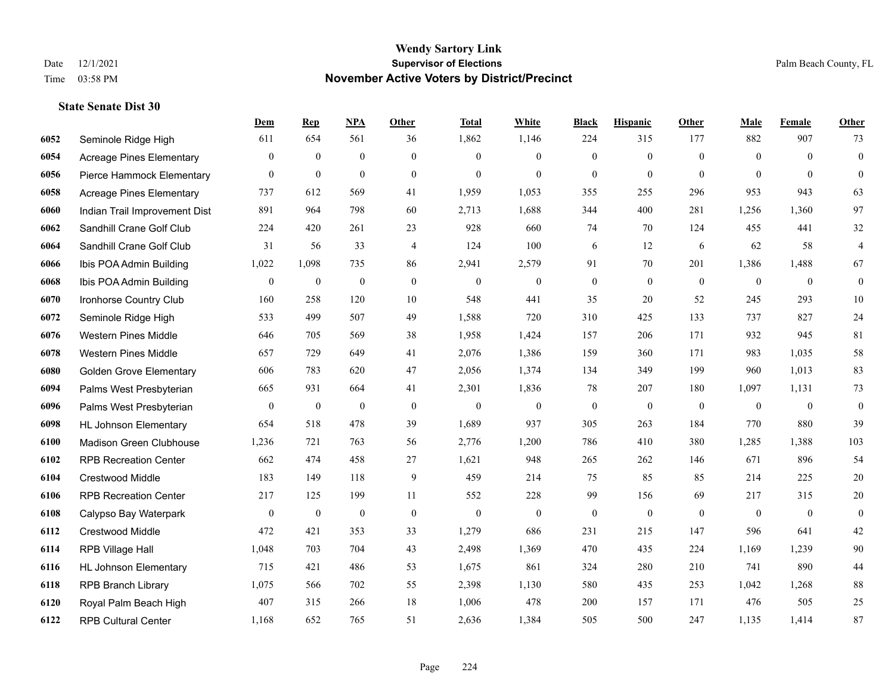|      |                                 | Dem              | <b>Rep</b>       | NPA              | <b>Other</b>     | <b>Total</b>     | <b>White</b>     | <b>Black</b>     | <b>Hispanic</b>  | <b>Other</b> | <b>Male</b>    | Female       | <b>Other</b>     |
|------|---------------------------------|------------------|------------------|------------------|------------------|------------------|------------------|------------------|------------------|--------------|----------------|--------------|------------------|
| 6052 | Seminole Ridge High             | 611              | 654              | 561              | 36               | 1,862            | 1,146            | 224              | 315              | 177          | 882            | 907          | 73               |
| 6054 | <b>Acreage Pines Elementary</b> | $\overline{0}$   | $\mathbf{0}$     | $\mathbf{0}$     | $\mathbf{0}$     | $\theta$         | $\mathbf{0}$     | $\overline{0}$   | $\overline{0}$   | $\theta$     | $\theta$       | $\theta$     | $\boldsymbol{0}$ |
| 6056 | Pierce Hammock Elementary       | $\overline{0}$   | $\mathbf{0}$     | $\mathbf{0}$     | $\theta$         | $\theta$         | $\theta$         | $\theta$         | $\overline{0}$   | $\Omega$     | $\Omega$       | $\Omega$     | $\theta$         |
| 6058 | <b>Acreage Pines Elementary</b> | 737              | 612              | 569              | 41               | 1,959            | 1,053            | 355              | 255              | 296          | 953            | 943          | 63               |
| 6060 | Indian Trail Improvement Dist   | 891              | 964              | 798              | 60               | 2,713            | 1,688            | 344              | 400              | 281          | 1,256          | 1.360        | 97               |
| 6062 | Sandhill Crane Golf Club        | 224              | 420              | 261              | 23               | 928              | 660              | 74               | 70               | 124          | 455            | 441          | $32\,$           |
| 6064 | Sandhill Crane Golf Club        | 31               | 56               | 33               | $\overline{4}$   | 124              | 100              | 6                | 12               | 6            | 62             | 58           | $\overline{4}$   |
| 6066 | Ibis POA Admin Building         | 1,022            | 1,098            | 735              | 86               | 2,941            | 2,579            | 91               | 70               | 201          | 1,386          | 1,488        | 67               |
| 6068 | Ibis POA Admin Building         | $\boldsymbol{0}$ | $\boldsymbol{0}$ | $\boldsymbol{0}$ | $\boldsymbol{0}$ | $\boldsymbol{0}$ | $\boldsymbol{0}$ | $\boldsymbol{0}$ | $\overline{0}$   | $\mathbf{0}$ | $\mathbf{0}$   | $\mathbf{0}$ | $\boldsymbol{0}$ |
| 6070 | Ironhorse Country Club          | 160              | 258              | 120              | 10               | 548              | 441              | 35               | 20               | 52           | 245            | 293          | 10               |
| 6072 | Seminole Ridge High             | 533              | 499              | 507              | 49               | 1,588            | 720              | 310              | 425              | 133          | 737            | 827          | 24               |
| 6076 | <b>Western Pines Middle</b>     | 646              | 705              | 569              | 38               | 1,958            | 1,424            | 157              | 206              | 171          | 932            | 945          | 81               |
| 6078 | <b>Western Pines Middle</b>     | 657              | 729              | 649              | 41               | 2,076            | 1,386            | 159              | 360              | 171          | 983            | 1,035        | 58               |
| 6080 | <b>Golden Grove Elementary</b>  | 606              | 783              | 620              | 47               | 2,056            | 1,374            | 134              | 349              | 199          | 960            | 1,013        | 83               |
| 6094 | Palms West Presbyterian         | 665              | 931              | 664              | 41               | 2,301            | 1,836            | 78               | 207              | 180          | 1,097          | 1,131        | 73               |
| 6096 | Palms West Presbyterian         | $\overline{0}$   | $\mathbf{0}$     | $\mathbf{0}$     | $\mathbf{0}$     | $\mathbf{0}$     | $\boldsymbol{0}$ | $\boldsymbol{0}$ | $\boldsymbol{0}$ | $\theta$     | $\overline{0}$ | $\mathbf{0}$ | $\boldsymbol{0}$ |
| 6098 | <b>HL Johnson Elementary</b>    | 654              | 518              | 478              | 39               | 1,689            | 937              | 305              | 263              | 184          | 770            | 880          | 39               |
| 6100 | Madison Green Clubhouse         | 1,236            | 721              | 763              | 56               | 2,776            | 1,200            | 786              | 410              | 380          | 1,285          | 1,388        | 103              |
| 6102 | <b>RPB Recreation Center</b>    | 662              | 474              | 458              | 27               | 1,621            | 948              | 265              | 262              | 146          | 671            | 896          | 54               |
| 6104 | <b>Crestwood Middle</b>         | 183              | 149              | 118              | 9                | 459              | 214              | 75               | 85               | 85           | 214            | 225          | 20               |
| 6106 | <b>RPB Recreation Center</b>    | 217              | 125              | 199              | 11               | 552              | 228              | 99               | 156              | 69           | 217            | 315          | $20\,$           |
| 6108 | Calypso Bay Waterpark           | $\boldsymbol{0}$ | $\mathbf{0}$     | $\mathbf{0}$     | $\boldsymbol{0}$ | $\mathbf{0}$     | $\boldsymbol{0}$ | $\boldsymbol{0}$ | $\boldsymbol{0}$ | $\mathbf{0}$ | $\overline{0}$ | $\mathbf{0}$ | $\boldsymbol{0}$ |
| 6112 | Crestwood Middle                | 472              | 421              | 353              | 33               | 1,279            | 686              | 231              | 215              | 147          | 596            | 641          | $42\,$           |
| 6114 | RPB Village Hall                | 1,048            | 703              | 704              | 43               | 2,498            | 1,369            | 470              | 435              | 224          | 1,169          | 1,239        | 90               |
| 6116 | <b>HL Johnson Elementary</b>    | 715              | 421              | 486              | 53               | 1,675            | 861              | 324              | 280              | 210          | 741            | 890          | 44               |
| 6118 | <b>RPB Branch Library</b>       | 1,075            | 566              | 702              | 55               | 2,398            | 1,130            | 580              | 435              | 253          | 1,042          | 1,268        | 88               |
| 6120 | Royal Palm Beach High           | 407              | 315              | 266              | 18               | 1,006            | 478              | 200              | 157              | 171          | 476            | 505          | 25               |
| 6122 | <b>RPB Cultural Center</b>      | 1,168            | 652              | 765              | 51               | 2,636            | 1,384            | 505              | 500              | 247          | 1,135          | 1,414        | 87               |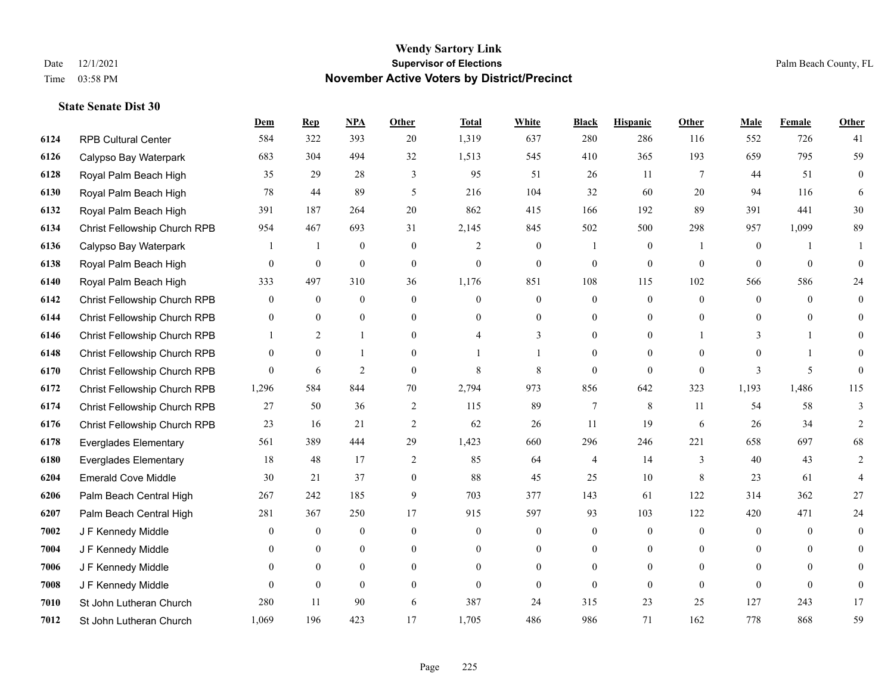|      |                              | Dem            | <b>Rep</b>     | NPA              | <b>Other</b>     | <b>Total</b>   | <b>White</b>     | <b>Black</b>     | <b>Hispanic</b>  | <b>Other</b>   | <b>Male</b>  | <b>Female</b> | <b>Other</b>   |
|------|------------------------------|----------------|----------------|------------------|------------------|----------------|------------------|------------------|------------------|----------------|--------------|---------------|----------------|
| 6124 | <b>RPB Cultural Center</b>   | 584            | 322            | 393              | 20               | 1,319          | 637              | 280              | 286              | 116            | 552          | 726           | 41             |
| 6126 | Calypso Bay Waterpark        | 683            | 304            | 494              | 32               | 1,513          | 545              | 410              | 365              | 193            | 659          | 795           | 59             |
| 6128 | Royal Palm Beach High        | 35             | 29             | 28               | 3                | 95             | 51               | 26               | 11               | 7              | 44           | 51            | $\overline{0}$ |
| 6130 | Royal Palm Beach High        | 78             | 44             | 89               | 5                | 216            | 104              | 32               | 60               | 20             | 94           | 116           | 6              |
| 6132 | Royal Palm Beach High        | 391            | 187            | 264              | 20               | 862            | 415              | 166              | 192              | 89             | 391          | 441           | 30             |
| 6134 | Christ Fellowship Church RPB | 954            | 467            | 693              | 31               | 2,145          | 845              | 502              | 500              | 298            | 957          | 1,099         | 89             |
| 6136 | Calypso Bay Waterpark        | 1              | -1             | $\mathbf{0}$     | $\mathbf{0}$     | $\overline{2}$ | $\boldsymbol{0}$ |                  | $\mathbf{0}$     | $\mathbf{1}$   | $\mathbf{0}$ | -1            | 1              |
| 6138 | Royal Palm Beach High        | $\overline{0}$ | $\mathbf{0}$   | $\theta$         | $\theta$         | $\Omega$       | $\theta$         | $\theta$         | $\theta$         | $\Omega$       | $\Omega$     | $\theta$      | $\Omega$       |
| 6140 | Royal Palm Beach High        | 333            | 497            | 310              | 36               | 1,176          | 851              | 108              | 115              | 102            | 566          | 586           | 24             |
| 6142 | Christ Fellowship Church RPB | $\overline{0}$ | $\overline{0}$ | $\mathbf{0}$     | $\mathbf{0}$     | $\theta$       | $\mathbf{0}$     | $\mathbf{0}$     | $\mathbf{0}$     | $\theta$       | $\theta$     | $\theta$      | $\overline{0}$ |
| 6144 | Christ Fellowship Church RPB | $\overline{0}$ | $\theta$       | $\theta$         | $\mathbf{0}$     | $\theta$       | $\mathbf{0}$     | $\mathbf{0}$     | $\theta$         | $\Omega$       | $\theta$     | $\theta$      | $\Omega$       |
| 6146 | Christ Fellowship Church RPB |                | 2              | $\mathbf{1}$     | $\overline{0}$   |                | 3                | $\mathbf{0}$     | $\mathbf{0}$     |                | 3            |               | $\Omega$       |
| 6148 | Christ Fellowship Church RPB | $\overline{0}$ | $\theta$       | $\mathbf{1}$     | $\theta$         |                | 1                | $\Omega$         | $\theta$         | $\Omega$       | $\Omega$     |               | 0              |
| 6170 | Christ Fellowship Church RPB | $\overline{0}$ | 6              | $\overline{2}$   | $\mathbf{0}$     | 8              | 8                | $\boldsymbol{0}$ | $\mathbf{0}$     | $\mathbf{0}$   | 3            | 5             | $\mathbf{0}$   |
| 6172 | Christ Fellowship Church RPB | 1,296          | 584            | 844              | 70               | 2,794          | 973              | 856              | 642              | 323            | 1,193        | 1,486         | 115            |
| 6174 | Christ Fellowship Church RPB | 27             | 50             | 36               | 2                | 115            | 89               | $7\phantom{.0}$  | 8                | 11             | 54           | 58            | 3              |
| 6176 | Christ Fellowship Church RPB | 23             | 16             | 21               | $\overline{2}$   | 62             | 26               | 11               | 19               | 6              | 26           | 34            | 2              |
| 6178 | <b>Everglades Elementary</b> | 561            | 389            | 444              | 29               | 1,423          | 660              | 296              | 246              | 221            | 658          | 697           | 68             |
| 6180 | <b>Everglades Elementary</b> | 18             | 48             | 17               | $\overline{c}$   | 85             | 64               | 4                | 14               | 3              | 40           | 43            | $\overline{2}$ |
| 6204 | <b>Emerald Cove Middle</b>   | 30             | 21             | 37               | $\boldsymbol{0}$ | 88             | 45               | 25               | 10               | $\,8\,$        | 23           | 61            | 4              |
| 6206 | Palm Beach Central High      | 267            | 242            | 185              | 9                | 703            | 377              | 143              | 61               | 122            | 314          | 362           | 27             |
| 6207 | Palm Beach Central High      | 281            | 367            | 250              | 17               | 915            | 597              | 93               | 103              | 122            | 420          | 471           | 24             |
| 7002 | J F Kennedy Middle           | 0              | $\overline{0}$ | $\boldsymbol{0}$ | $\boldsymbol{0}$ | $\overline{0}$ | $\boldsymbol{0}$ | $\boldsymbol{0}$ | $\boldsymbol{0}$ | $\theta$       | $\mathbf{0}$ | $\theta$      | 0              |
| 7004 | J F Kennedy Middle           | 0              | $\overline{0}$ | $\overline{0}$   | $\boldsymbol{0}$ | $\theta$       | $\mathbf{0}$     | $\mathbf{0}$     | $\mathbf{0}$     | $\overline{0}$ | $\mathbf{0}$ | $\mathbf{0}$  | $\Omega$       |
| 7006 | J F Kennedy Middle           | $\Omega$       | $\theta$       | $\theta$         | $\overline{0}$   | $\theta$       | $\mathbf{0}$     | $\mathbf{0}$     | $\mathbf{0}$     | $\Omega$       | $\Omega$     | $\Omega$      | $\Omega$       |
| 7008 | J F Kennedy Middle           | $\theta$       | $\mathbf{0}$   | $\mathbf{0}$     | $\theta$         | $\Omega$       | $\mathbf{0}$     | $\Omega$         | $\mathbf{0}$     | $\theta$       | $\theta$     | $\theta$      | $\theta$       |
| 7010 | St John Lutheran Church      | 280            | 11             | 90               | 6                | 387            | 24               | 315              | 23               | 25             | 127          | 243           | 17             |
| 7012 | St John Lutheran Church      | 1,069          | 196            | 423              | 17               | 1,705          | 486              | 986              | 71               | 162            | 778          | 868           | 59             |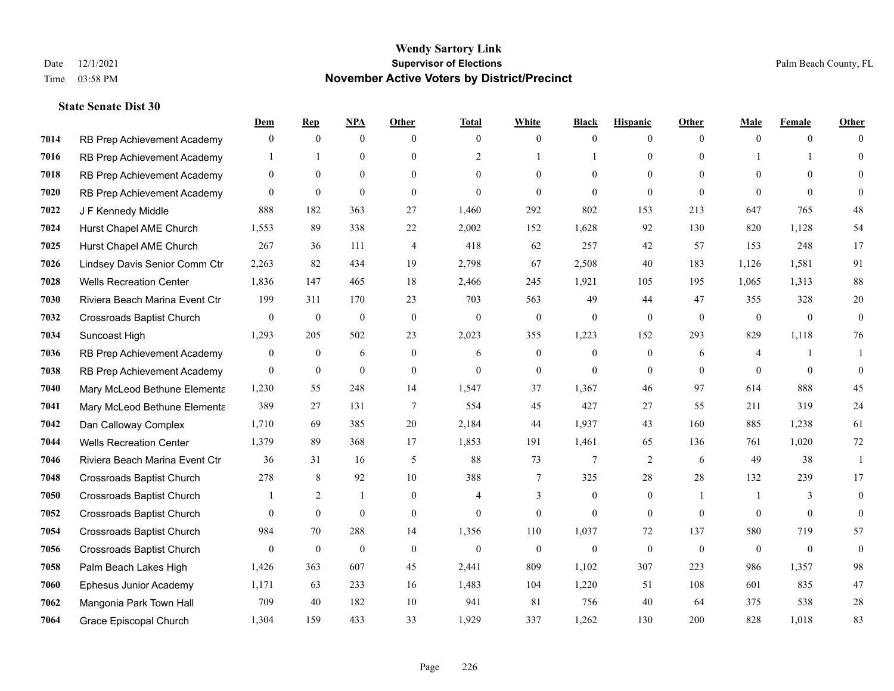|      |                                  | Dem            | <b>Rep</b>       | NPA              | <b>Other</b>   | <b>Total</b>   | <b>White</b>     | <b>Black</b> | <b>Hispanic</b>  | <b>Other</b> | <b>Male</b>    | <b>Female</b> | <b>Other</b> |
|------|----------------------------------|----------------|------------------|------------------|----------------|----------------|------------------|--------------|------------------|--------------|----------------|---------------|--------------|
| 7014 | RB Prep Achievement Academy      | $\mathbf{0}$   | $\mathbf{0}$     | $\mathbf{0}$     | $\theta$       | $\theta$       | $\overline{0}$   | $\mathbf{0}$ | $\boldsymbol{0}$ | $\theta$     | $\theta$       | $\theta$      | $\Omega$     |
| 7016 | RB Prep Achievement Academy      |                |                  | $\mathbf{0}$     | $\theta$       | $\overline{2}$ |                  |              | $\mathbf{0}$     | $\theta$     |                |               | $\Omega$     |
| 7018 | RB Prep Achievement Academy      | $\theta$       | $\theta$         | $\theta$         | $\Omega$       | $\Omega$       | $\Omega$         | $\Omega$     | $\theta$         | $\Omega$     | $\Omega$       | $\Omega$      |              |
| 7020 | RB Prep Achievement Academy      | $\mathbf{0}$   | $\mathbf{0}$     | $\mathbf{0}$     | $\overline{0}$ | $\mathbf{0}$   | $\overline{0}$   | $\mathbf{0}$ | $\theta$         | $\theta$     | $\theta$       | $\mathbf{0}$  | $\Omega$     |
| 7022 | J F Kennedy Middle               | 888            | 182              | 363              | 27             | 1,460          | 292              | 802          | 153              | 213          | 647            | 765           | 48           |
| 7024 | Hurst Chapel AME Church          | 1,553          | 89               | 338              | 22             | 2,002          | 152              | 1,628        | 92               | 130          | 820            | 1,128         | 54           |
| 7025 | Hurst Chapel AME Church          | 267            | 36               | 111              | 4              | 418            | 62               | 257          | 42               | 57           | 153            | 248           | 17           |
| 7026 | Lindsey Davis Senior Comm Ctr    | 2,263          | 82               | 434              | 19             | 2,798          | 67               | 2,508        | 40               | 183          | 1,126          | 1,581         | 91           |
| 7028 | <b>Wells Recreation Center</b>   | 1,836          | 147              | 465              | 18             | 2,466          | 245              | 1,921        | 105              | 195          | 1,065          | 1,313         | 88           |
| 7030 | Riviera Beach Marina Event Ctr   | 199            | 311              | 170              | 23             | 703            | 563              | 49           | 44               | 47           | 355            | 328           | 20           |
| 7032 | <b>Crossroads Baptist Church</b> | $\mathbf{0}$   | $\boldsymbol{0}$ | $\boldsymbol{0}$ | $\mathbf{0}$   | $\mathbf{0}$   | $\boldsymbol{0}$ | $\mathbf{0}$ | $\mathbf{0}$     | $\theta$     | $\overline{0}$ | $\mathbf{0}$  | $\mathbf{0}$ |
| 7034 | Suncoast High                    | 1,293          | 205              | 502              | 23             | 2,023          | 355              | 1,223        | 152              | 293          | 829            | 1,118         | 76           |
| 7036 | RB Prep Achievement Academy      | $\mathbf{0}$   | $\mathbf{0}$     | 6                | $\overline{0}$ | 6              | $\overline{0}$   | $\mathbf{0}$ | $\mathbf{0}$     | 6            | $\overline{4}$ |               |              |
| 7038 | RB Prep Achievement Academy      | $\mathbf{0}$   | $\boldsymbol{0}$ | $\mathbf{0}$     | $\overline{0}$ | $\mathbf{0}$   | $\boldsymbol{0}$ | $\mathbf{0}$ | $\mathbf{0}$     | $\theta$     | $\mathbf{0}$   | $\mathbf{0}$  | $\theta$     |
| 7040 | Mary McLeod Bethune Elementa     | 1,230          | 55               | 248              | 14             | 1,547          | 37               | 1,367        | 46               | 97           | 614            | 888           | 45           |
| 7041 | Mary McLeod Bethune Elementa     | 389            | 27               | 131              | $\tau$         | 554            | 45               | 427          | 27               | 55           | 211            | 319           | 24           |
| 7042 | Dan Calloway Complex             | 1,710          | 69               | 385              | 20             | 2,184          | 44               | 1,937        | 43               | 160          | 885            | 1,238         | 61           |
| 7044 | <b>Wells Recreation Center</b>   | 1,379          | 89               | 368              | 17             | 1,853          | 191              | 1,461        | 65               | 136          | 761            | 1,020         | 72           |
| 7046 | Riviera Beach Marina Event Ctr   | 36             | 31               | 16               | 5              | 88             | 73               | 7            | $\overline{2}$   | 6            | 49             | 38            | $\mathbf{1}$ |
| 7048 | <b>Crossroads Baptist Church</b> | 278            | 8                | 92               | 10             | 388            | $\overline{7}$   | 325          | 28               | 28           | 132            | 239           | 17           |
| 7050 | <b>Crossroads Baptist Church</b> |                | 2                | $\mathbf{1}$     | $\Omega$       | 4              | 3                | $\theta$     | $\Omega$         | $\mathbf{1}$ | 1              | 3             | $\Omega$     |
| 7052 | <b>Crossroads Baptist Church</b> | $\overline{0}$ | $\boldsymbol{0}$ | $\mathbf{0}$     | $\overline{0}$ | $\mathbf{0}$   | $\overline{0}$   | $\mathbf{0}$ | $\mathbf{0}$     | $\mathbf{0}$ | $\mathbf{0}$   | $\mathbf{0}$  | $\Omega$     |
| 7054 | <b>Crossroads Baptist Church</b> | 984            | 70               | 288              | 14             | 1,356          | 110              | 1,037        | 72               | 137          | 580            | 719           | 57           |
| 7056 | <b>Crossroads Baptist Church</b> | $\mathbf{0}$   | $\mathbf{0}$     | $\mathbf{0}$     | $\theta$       | $\theta$       | $\overline{0}$   | $\theta$     | $\theta$         | $\theta$     | $\overline{0}$ | $\mathbf{0}$  | $\theta$     |
| 7058 | Palm Beach Lakes High            | 1,426          | 363              | 607              | 45             | 2,441          | 809              | 1,102        | 307              | 223          | 986            | 1,357         | 98           |
| 7060 | Ephesus Junior Academy           | 1,171          | 63               | 233              | 16             | 1,483          | 104              | 1,220        | 51               | 108          | 601            | 835           | 47           |
| 7062 | Mangonia Park Town Hall          | 709            | 40               | 182              | 10             | 941            | 81               | 756          | 40               | 64           | 375            | 538           | 28           |
| 7064 | Grace Episcopal Church           | 1,304          | 159              | 433              | 33             | 1,929          | 337              | 1,262        | 130              | 200          | 828            | 1,018         | 83           |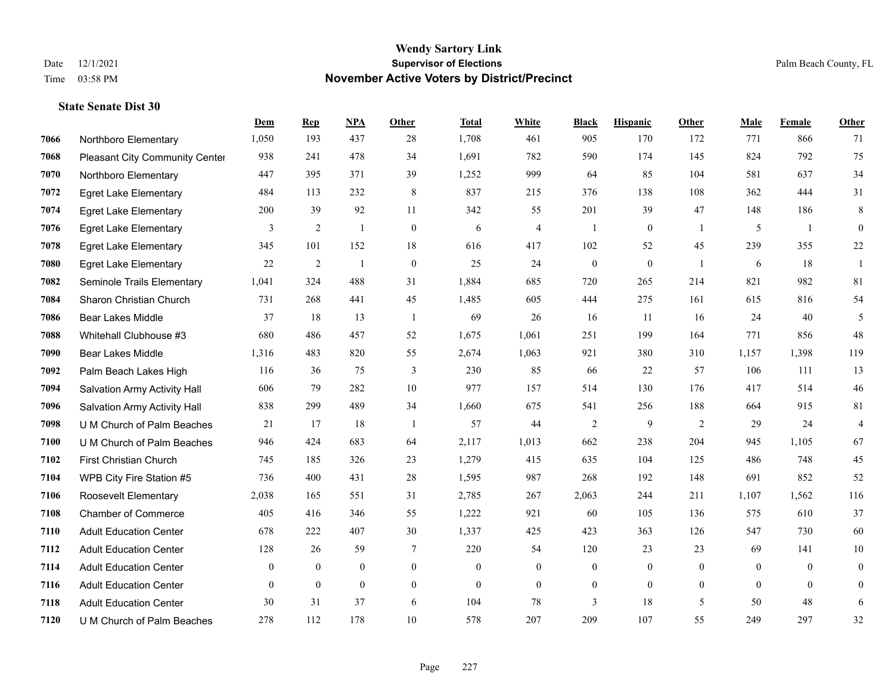|      |                                       | Dem            | <b>Rep</b>   | NPA          | Other          | <b>Total</b> | <b>White</b>   | <b>Black</b>     | <b>Hispanic</b>  | <b>Other</b>   | <b>Male</b> | Female   | <b>Other</b>   |
|------|---------------------------------------|----------------|--------------|--------------|----------------|--------------|----------------|------------------|------------------|----------------|-------------|----------|----------------|
| 7066 | Northboro Elementary                  | 1,050          | 193          | 437          | 28             | 1,708        | 461            | 905              | 170              | 172            | 771         | 866      | 71             |
| 7068 | <b>Pleasant City Community Center</b> | 938            | 241          | 478          | 34             | 1,691        | 782            | 590              | 174              | 145            | 824         | 792      | 75             |
| 7070 | Northboro Elementary                  | 447            | 395          | 371          | 39             | 1,252        | 999            | 64               | 85               | 104            | 581         | 637      | 34             |
| 7072 | <b>Egret Lake Elementary</b>          | 484            | 113          | 232          | 8              | 837          | 215            | 376              | 138              | 108            | 362         | 444      | 31             |
| 7074 | <b>Egret Lake Elementary</b>          | 200            | 39           | 92           | 11             | 342          | 55             | 201              | 39               | 47             | 148         | 186      | 8              |
| 7076 | <b>Egret Lake Elementary</b>          | 3              | 2            | 1            | $\mathbf{0}$   | 6            | $\overline{4}$ | -1               | $\boldsymbol{0}$ | -1             | 5           | -1       | $\mathbf{0}$   |
| 7078 | <b>Egret Lake Elementary</b>          | 345            | 101          | 152          | 18             | 616          | 417            | 102              | 52               | 45             | 239         | 355      | $22\,$         |
| 7080 | <b>Egret Lake Elementary</b>          | 22             | 2            | $\mathbf{1}$ | $\theta$       | 25           | 24             | $\mathbf{0}$     | $\theta$         | $\overline{1}$ | 6           | 18       | $\mathbf{1}$   |
| 7082 | Seminole Trails Elementary            | 1,041          | 324          | 488          | 31             | 1,884        | 685            | 720              | 265              | 214            | 821         | 982      | 81             |
| 7084 | Sharon Christian Church               | 731            | 268          | 441          | 45             | 1,485        | 605            | 444              | 275              | 161            | 615         | 816      | 54             |
| 7086 | <b>Bear Lakes Middle</b>              | 37             | 18           | 13           | $\overline{1}$ | 69           | 26             | 16               | 11               | 16             | 24          | 40       | 5              |
| 7088 | Whitehall Clubhouse #3                | 680            | 486          | 457          | 52             | 1,675        | 1,061          | 251              | 199              | 164            | 771         | 856      | 48             |
| 7090 | <b>Bear Lakes Middle</b>              | 1,316          | 483          | 820          | 55             | 2,674        | 1,063          | 921              | 380              | 310            | 1,157       | 1,398    | 119            |
| 7092 | Palm Beach Lakes High                 | 116            | 36           | 75           | 3              | 230          | 85             | 66               | 22               | 57             | 106         | 111      | 13             |
| 7094 | Salvation Army Activity Hall          | 606            | 79           | 282          | 10             | 977          | 157            | 514              | 130              | 176            | 417         | 514      | $46\,$         |
| 7096 | Salvation Army Activity Hall          | 838            | 299          | 489          | 34             | 1,660        | 675            | 541              | 256              | 188            | 664         | 915      | 81             |
| 7098 | U M Church of Palm Beaches            | 21             | 17           | 18           | -1             | 57           | 44             | $\overline{2}$   | $\overline{9}$   | 2              | 29          | 24       | $\overline{4}$ |
| 7100 | U M Church of Palm Beaches            | 946            | 424          | 683          | 64             | 2,117        | 1,013          | 662              | 238              | 204            | 945         | 1,105    | 67             |
| 7102 | <b>First Christian Church</b>         | 745            | 185          | 326          | 23             | 1,279        | 415            | 635              | 104              | 125            | 486         | 748      | 45             |
| 7104 | WPB City Fire Station #5              | 736            | 400          | 431          | 28             | 1,595        | 987            | 268              | 192              | 148            | 691         | 852      | 52             |
| 7106 | Roosevelt Elementary                  | 2,038          | 165          | 551          | 31             | 2,785        | 267            | 2,063            | 244              | 211            | 1,107       | 1,562    | 116            |
| 7108 | <b>Chamber of Commerce</b>            | 405            | 416          | 346          | 55             | 1,222        | 921            | 60               | 105              | 136            | 575         | 610      | 37             |
| 7110 | <b>Adult Education Center</b>         | 678            | 222          | 407          | 30             | 1,337        | 425            | 423              | 363              | 126            | 547         | 730      | 60             |
| 7112 | <b>Adult Education Center</b>         | 128            | 26           | 59           | 7              | 220          | 54             | 120              | 23               | 23             | 69          | 141      | 10             |
| 7114 | <b>Adult Education Center</b>         | $\overline{0}$ | $\mathbf{0}$ | $\mathbf{0}$ | $\overline{0}$ | $\theta$     | $\overline{0}$ | $\mathbf{0}$     | $\mathbf{0}$     | $\theta$       | $\theta$    | $\theta$ | $\mathbf{0}$   |
| 7116 | <b>Adult Education Center</b>         | $\overline{0}$ | $\mathbf{0}$ | $\mathbf{0}$ | $\overline{0}$ | $\theta$     | $\overline{0}$ | $\boldsymbol{0}$ | $\mathbf{0}$     | $\theta$       | $\theta$    | $\theta$ | $\mathbf{0}$   |
| 7118 | <b>Adult Education Center</b>         | 30             | 31           | 37           | 6              | 104          | 78             | 3                | 18               | 5              | 50          | 48       | 6              |
| 7120 | U M Church of Palm Beaches            | 278            | 112          | 178          | 10             | 578          | 207            | 209              | 107              | 55             | 249         | 297      | 32             |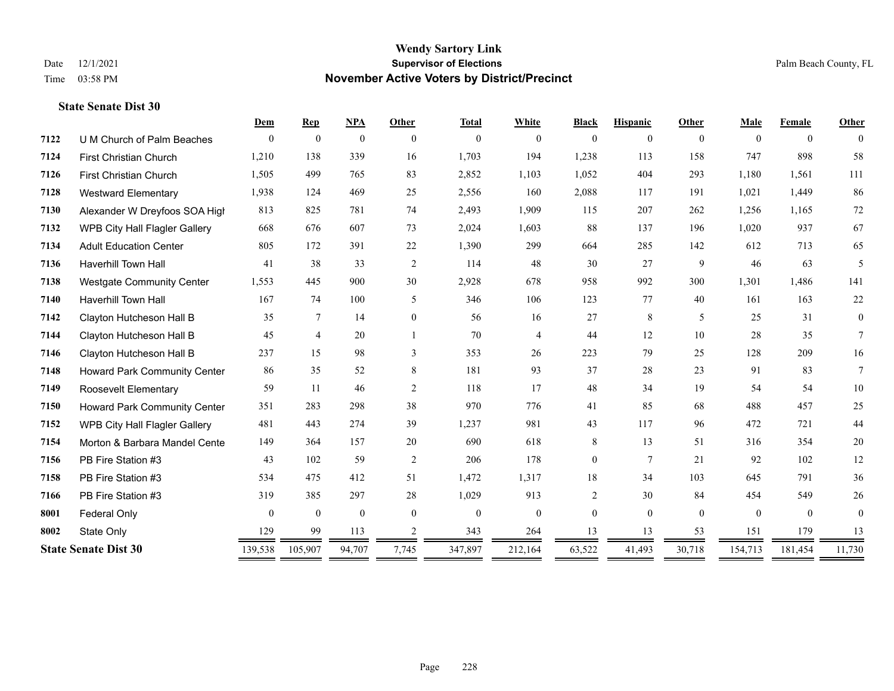|      |                                     | Dem          | <b>Rep</b>     | <b>NPA</b>   | <b>Other</b>   | <b>Total</b> | White          | <b>Black</b>   | <b>Hispanic</b> | Other        | Male     | Female       | Other    |
|------|-------------------------------------|--------------|----------------|--------------|----------------|--------------|----------------|----------------|-----------------|--------------|----------|--------------|----------|
| 7122 | U M Church of Palm Beaches          | $\theta$     | $\theta$       | $\mathbf{0}$ | $\Omega$       | $\theta$     | $\overline{0}$ | $\mathbf{0}$   | $\Omega$        | $\theta$     | $\Omega$ | $\theta$     | $\theta$ |
| 7124 | First Christian Church              | 1,210        | 138            | 339          | 16             | 1,703        | 194            | 1,238          | 113             | 158          | 747      | 898          | 58       |
| 7126 | <b>First Christian Church</b>       | 1,505        | 499            | 765          | 83             | 2,852        | 1,103          | 1,052          | 404             | 293          | 1,180    | 1,561        | 111      |
| 7128 | <b>Westward Elementary</b>          | 1,938        | 124            | 469          | 25             | 2,556        | 160            | 2,088          | 117             | 191          | 1,021    | 1,449        | 86       |
| 7130 | Alexander W Dreyfoos SOA High       | 813          | 825            | 781          | 74             | 2,493        | 1,909          | 115            | 207             | 262          | 1,256    | 1,165        | 72       |
| 7132 | WPB City Hall Flagler Gallery       | 668          | 676            | 607          | 73             | 2,024        | 1,603          | 88             | 137             | 196          | 1,020    | 937          | 67       |
| 7134 | <b>Adult Education Center</b>       | 805          | 172            | 391          | 22             | 1,390        | 299            | 664            | 285             | 142          | 612      | 713          | 65       |
| 7136 | Haverhill Town Hall                 | 41           | 38             | 33           | 2              | 114          | 48             | 30             | 27              | 9            | 46       | 63           | 5        |
| 7138 | <b>Westgate Community Center</b>    | 1,553        | 445            | 900          | 30             | 2,928        | 678            | 958            | 992             | 300          | 1,301    | 1,486        | 141      |
| 7140 | <b>Haverhill Town Hall</b>          | 167          | 74             | 100          | 5              | 346          | 106            | 123            | 77              | 40           | 161      | 163          | $22\,$   |
| 7142 | Clayton Hutcheson Hall B            | 35           | $\tau$         | 14           | $\overline{0}$ | 56           | 16             | 27             | 8               | 5            | 25       | 31           | $\theta$ |
| 7144 | Clayton Hutcheson Hall B            | 45           | $\overline{4}$ | 20           |                | 70           | 4              | 44             | 12              | 10           | 28       | 35           | $\tau$   |
| 7146 | Clayton Hutcheson Hall B            | 237          | 15             | 98           | 3              | 353          | 26             | 223            | 79              | 25           | 128      | 209          | 16       |
| 7148 | Howard Park Community Center        | 86           | 35             | 52           | 8              | 181          | 93             | 37             | 28              | 23           | 91       | 83           | $\tau$   |
| 7149 | <b>Roosevelt Elementary</b>         | 59           | 11             | 46           | $\overline{2}$ | 118          | 17             | 48             | 34              | 19           | 54       | 54           | 10       |
| 7150 | <b>Howard Park Community Center</b> | 351          | 283            | 298          | 38             | 970          | 776            | 41             | 85              | 68           | 488      | 457          | 25       |
| 7152 | WPB City Hall Flagler Gallery       | 481          | 443            | 274          | 39             | 1,237        | 981            | 43             | 117             | 96           | 472      | 721          | 44       |
| 7154 | Morton & Barbara Mandel Cente       | 149          | 364            | 157          | 20             | 690          | 618            | 8              | 13              | 51           | 316      | 354          | 20       |
| 7156 | PB Fire Station #3                  | 43           | 102            | 59           | 2              | 206          | 178            | $\overline{0}$ | $7\phantom{.0}$ | 21           | 92       | 102          | 12       |
| 7158 | PB Fire Station #3                  | 534          | 475            | 412          | 51             | 1,472        | 1,317          | 18             | 34              | 103          | 645      | 791          | 36       |
| 7166 | PB Fire Station #3                  | 319          | 385            | 297          | 28             | 1,029        | 913            | $\overline{c}$ | 30              | 84           | 454      | 549          | 26       |
| 8001 | <b>Federal Only</b>                 | $\mathbf{0}$ | $\mathbf{0}$   | $\mathbf{0}$ | $\theta$       | $\theta$     | $\overline{0}$ | $\overline{0}$ | $\overline{0}$  | $\mathbf{0}$ | $\theta$ | $\mathbf{0}$ | $\theta$ |
| 8002 | State Only                          | 129          | 99             | 113          | 2              | 343          | 264            | 13             | 13              | 53           | 151      | 179          | 13       |
|      | <b>State Senate Dist 30</b>         | 139,538      | 105,907        | 94,707       | 7,745          | 347,897      | 212,164        | 63,522         | 41,493          | 30,718       | 154,713  | 181,454      | 11,730   |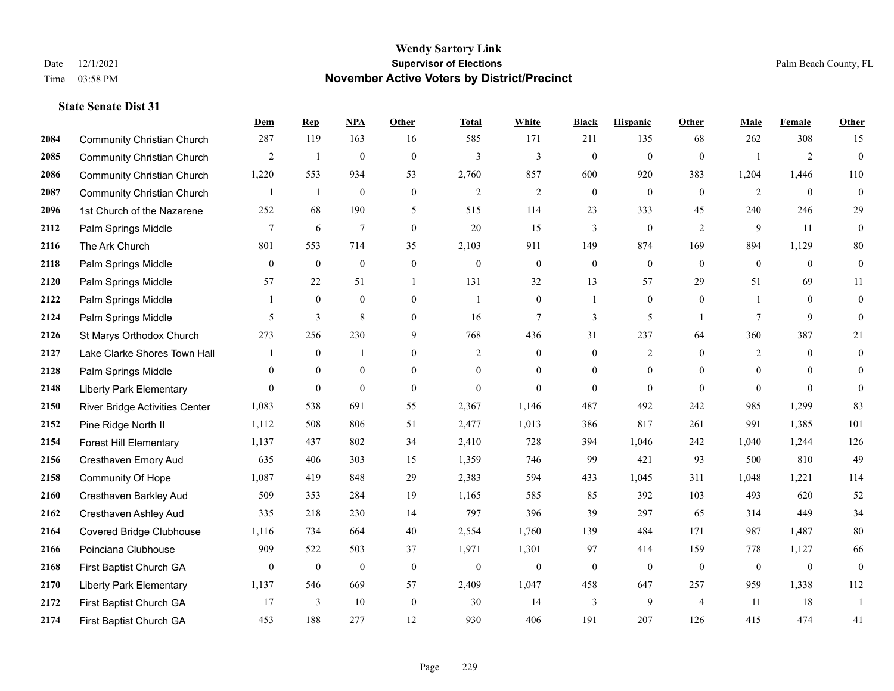|      |                                   | Dem            | <b>Rep</b>   | NPA              | <b>Other</b>     | <b>Total</b>   | <b>White</b>     | <b>Black</b>     | <b>Hispanic</b>  | <b>Other</b>   | <b>Male</b>    | <b>Female</b>  | <b>Other</b>     |
|------|-----------------------------------|----------------|--------------|------------------|------------------|----------------|------------------|------------------|------------------|----------------|----------------|----------------|------------------|
| 2084 | <b>Community Christian Church</b> | 287            | 119          | 163              | 16               | 585            | 171              | 211              | 135              | 68             | 262            | 308            | 15               |
| 2085 | <b>Community Christian Church</b> | $\overline{c}$ | -1           | $\mathbf{0}$     | $\mathbf{0}$     | $\overline{3}$ | $\overline{3}$   | $\mathbf{0}$     | $\mathbf{0}$     | $\theta$       |                | $\overline{2}$ | $\mathbf{0}$     |
| 2086 | <b>Community Christian Church</b> | 1,220          | 553          | 934              | 53               | 2,760          | 857              | 600              | 920              | 383            | 1,204          | 1,446          | 110              |
| 2087 | <b>Community Christian Church</b> | 1              | -1           | $\boldsymbol{0}$ | $\boldsymbol{0}$ | $\overline{2}$ | $\mathbf{2}$     | $\boldsymbol{0}$ | $\mathbf{0}$     | $\mathbf{0}$   | $\overline{2}$ | $\mathbf{0}$   | $\boldsymbol{0}$ |
| 2096 | 1st Church of the Nazarene        | 252            | 68           | 190              | 5                | 515            | 114              | 23               | 333              | 45             | 240            | 246            | 29               |
| 2112 | Palm Springs Middle               | 7              | 6            | $\overline{7}$   | $\boldsymbol{0}$ | 20             | 15               | 3                | $\boldsymbol{0}$ | 2              | 9              | 11             | $\boldsymbol{0}$ |
| 2116 | The Ark Church                    | 801            | 553          | 714              | 35               | 2,103          | 911              | 149              | 874              | 169            | 894            | 1,129          | $80\,$           |
| 2118 | Palm Springs Middle               | $\mathbf{0}$   | $\mathbf{0}$ | $\mathbf{0}$     | $\theta$         | $\theta$       | $\mathbf{0}$     | $\mathbf{0}$     | $\theta$         | $\theta$       | $\theta$       | $\theta$       | $\boldsymbol{0}$ |
| 2120 | Palm Springs Middle               | 57             | 22           | 51               |                  | 131            | 32               | 13               | 57               | 29             | 51             | 69             | 11               |
| 2122 | Palm Springs Middle               |                | $\mathbf{0}$ | $\mathbf{0}$     | $\overline{0}$   | $\mathbf{1}$   | $\mathbf{0}$     |                  | $\mathbf{0}$     | $\overline{0}$ |                | $\theta$       | $\mathbf{0}$     |
| 2124 | Palm Springs Middle               | 5              | 3            | 8                | $\overline{0}$   | 16             | $\tau$           | 3                | 5                | $\overline{1}$ | 7              | 9              | $\theta$         |
| 2126 | St Marys Orthodox Church          | 273            | 256          | 230              | 9                | 768            | 436              | 31               | 237              | 64             | 360            | 387            | 21               |
| 2127 | Lake Clarke Shores Town Hall      |                | $\mathbf{0}$ | $\mathbf{1}$     | $\overline{0}$   | 2              | $\mathbf{0}$     | $\mathbf{0}$     | $\overline{2}$   | $\theta$       | $\overline{2}$ | $\theta$       | $\mathbf{0}$     |
| 2128 | Palm Springs Middle               | $\overline{0}$ | $\mathbf{0}$ | $\boldsymbol{0}$ | $\boldsymbol{0}$ | $\theta$       | $\boldsymbol{0}$ | $\boldsymbol{0}$ | $\boldsymbol{0}$ | $\mathbf{0}$   | $\mathbf{0}$   | $\overline{0}$ | $\mathbf{0}$     |
| 2148 | <b>Liberty Park Elementary</b>    | $\overline{0}$ | $\bf{0}$     | $\mathbf{0}$     | $\mathbf{0}$     | $\theta$       | $\mathbf{0}$     | $\mathbf{0}$     | $\mathbf{0}$     | $\theta$       | $\theta$       | $\theta$       | $\theta$         |
| 2150 | River Bridge Activities Center    | 1,083          | 538          | 691              | 55               | 2,367          | 1,146            | 487              | 492              | 242            | 985            | 1,299          | 83               |
| 2152 | Pine Ridge North II               | 1,112          | 508          | 806              | 51               | 2,477          | 1,013            | 386              | 817              | 261            | 991            | 1,385          | 101              |
| 2154 | <b>Forest Hill Elementary</b>     | 1,137          | 437          | 802              | 34               | 2,410          | 728              | 394              | 1,046            | 242            | 1,040          | 1,244          | 126              |
| 2156 | Cresthaven Emory Aud              | 635            | 406          | 303              | 15               | 1,359          | 746              | 99               | 421              | 93             | 500            | 810            | 49               |
| 2158 | Community Of Hope                 | 1,087          | 419          | 848              | 29               | 2,383          | 594              | 433              | 1,045            | 311            | 1,048          | 1,221          | 114              |
| 2160 | Cresthaven Barkley Aud            | 509            | 353          | 284              | 19               | 1,165          | 585              | 85               | 392              | 103            | 493            | 620            | 52               |
| 2162 | Cresthaven Ashley Aud             | 335            | 218          | 230              | 14               | 797            | 396              | 39               | 297              | 65             | 314            | 449            | 34               |
| 2164 | <b>Covered Bridge Clubhouse</b>   | 1,116          | 734          | 664              | 40               | 2,554          | 1,760            | 139              | 484              | 171            | 987            | 1,487          | $80\,$           |
| 2166 | Poinciana Clubhouse               | 909            | 522          | 503              | 37               | 1,971          | 1,301            | 97               | 414              | 159            | 778            | 1,127          | 66               |
| 2168 | First Baptist Church GA           | $\overline{0}$ | $\mathbf{0}$ | $\overline{0}$   | $\boldsymbol{0}$ | $\overline{0}$ | $\boldsymbol{0}$ | $\boldsymbol{0}$ | $\mathbf{0}$     | $\mathbf{0}$   | $\mathbf{0}$   | $\mathbf{0}$   | $\mathbf{0}$     |
| 2170 | <b>Liberty Park Elementary</b>    | 1,137          | 546          | 669              | 57               | 2,409          | 1,047            | 458              | 647              | 257            | 959            | 1,338          | 112              |
| 2172 | First Baptist Church GA           | 17             | 3            | 10               | $\boldsymbol{0}$ | 30             | 14               | 3                | 9                | $\overline{4}$ | 11             | 18             | $\overline{1}$   |
| 2174 | First Baptist Church GA           | 453            | 188          | 277              | 12               | 930            | 406              | 191              | 207              | 126            | 415            | 474            | 41               |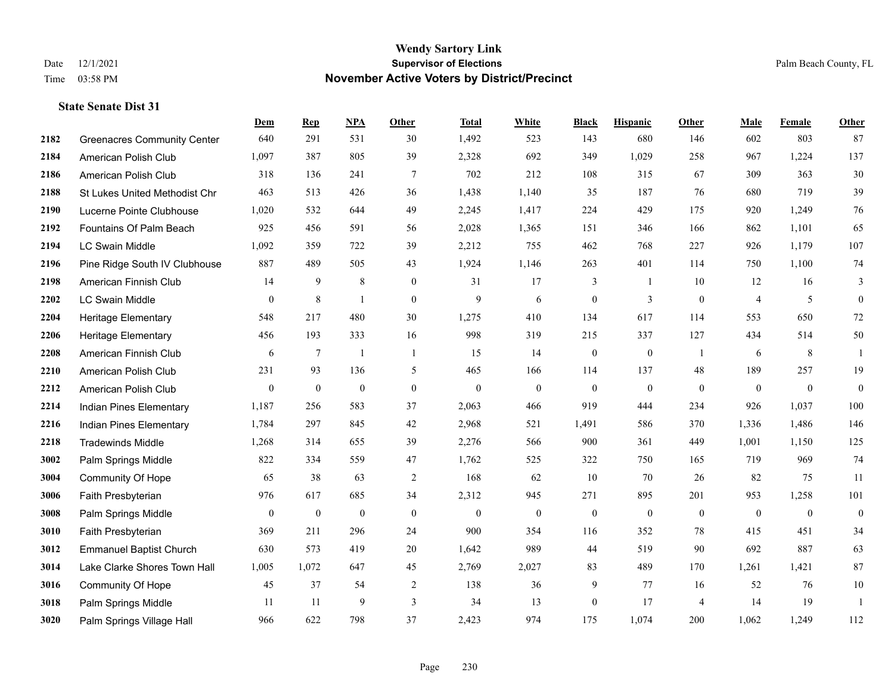**State Senate Dist 31**

#### **Wendy Sartory Link** Date 12/1/2021 **Supervisor of Elections** Palm Beach County, FL Time 03:58 PM **November Active Voters by District/Precinct**

# **Dem Rep NPA Other Total White Black Hispanic Other Male Female Other** Greenacres Community Center 640 291 531 30 1,492 523 143 680 146 602 803 87 American Polish Club 1,097 387 805 39 2,328 692 349 1,029 258 967 1,224 137 American Polish Club 318 136 241 7 702 212 108 315 67 309 363 30 St Lukes United Methodist Chr 463 513 426 36 1,438 1,140 35 187 76 680 719 39 Lucerne Pointe Clubhouse 1,020 532 644 49 2,245 1,417 224 429 175 920 1,249 76 Fountains Of Palm Beach 925 456 591 56 2,028 1,365 151 346 166 862 1,101 65 LC Swain Middle 1,092 359 722 39 2,212 755 462 768 227 926 1,179 107 Pine Ridge South IV Clubhouse 887 489 505 43 1,924 1,146 263 401 114 750 1,100 74 American Finnish Club 14 9 8 0 31 17 3 1 10 12 16 3 LC Swain Middle 0 8 1 0 9 6 0 3 0 4 5 0 Heritage Elementary 548 217 480 30 1,275 410 134 617 114 553 650 72 Heritage Elementary 456 193 333 16 998 319 215 337 127 434 514 50 American Finnish Club 6 7 1 1 1 15 14 0 0 1 6 8 1 American Polish Club 231 93 136 5 465 166 114 137 48 189 257 19 American Polish Club 0 0 0 0 0 0 0 0 0 0 0 0 Indian Pines Elementary 1,187 256 583 37 2,063 466 919 444 234 926 1,037 100 Indian Pines Elementary 1,784 297 845 42 2,968 521 1,491 586 370 1,336 1,486 146 Tradewinds Middle 1,268 314 655 39 2,276 566 900 361 449 1,001 1,150 125 Palm Springs Middle 822 334 559 47 1,762 525 322 750 165 719 969 74 Community Of Hope 65 38 63 2 168 62 10 70 26 82 75 11 Faith Presbyterian 976 617 685 34 2,312 945 271 895 201 953 1,258 101 Palm Springs Middle 0 0 0 0 0 0 0 0 0 0 0 0 Faith Presbyterian 369 211 296 24 900 354 116 352 78 415 451 34 Emmanuel Baptist Church 630 573 419 20 1,642 989 44 519 90 692 887 63 Lake Clarke Shores Town Hall 1,005 1,072 647 45 2,769 2,027 83 489 170 1,261 1,421 87 Community Of Hope 45 37 54 2 138 36 9 77 16 52 76 10 Palm Springs Middle 1 1 11 11 9 3 34 13 0 17 4 14 19 1 Palm Springs Village Hall 966 622 798 37 2,423 974 175 1,074 200 1,062 1,249 112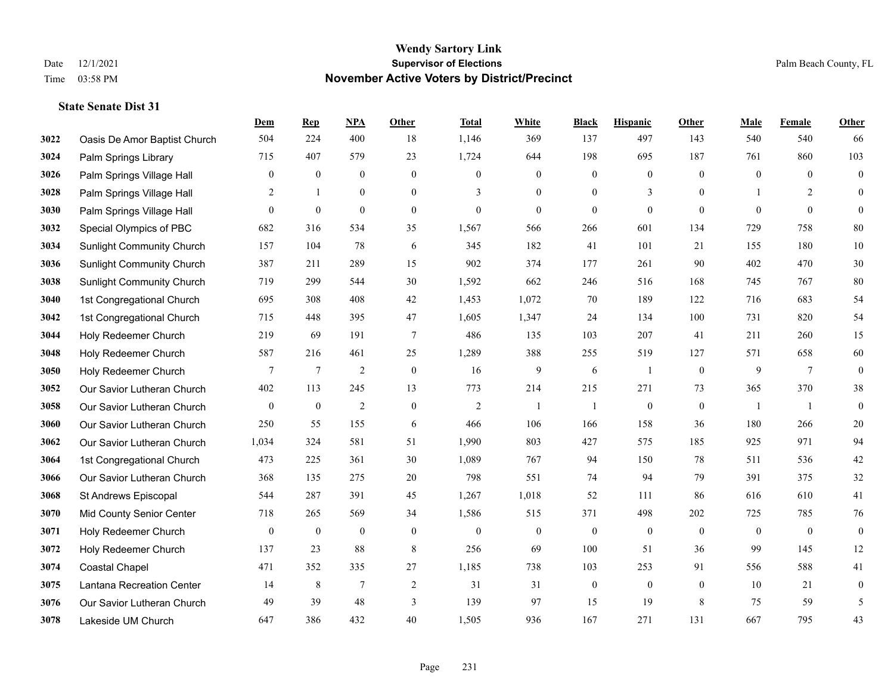|      |                                  | Dem            | <b>Rep</b>       | NPA              | <b>Other</b>     | <b>Total</b>   | <b>White</b>     | <b>Black</b>     | <b>Hispanic</b>  | <b>Other</b>   | <b>Male</b>    | <b>Female</b>  | <b>Other</b>     |
|------|----------------------------------|----------------|------------------|------------------|------------------|----------------|------------------|------------------|------------------|----------------|----------------|----------------|------------------|
| 3022 | Oasis De Amor Baptist Church     | 504            | 224              | 400              | 18               | 1,146          | 369              | 137              | 497              | 143            | 540            | 540            | 66               |
| 3024 | Palm Springs Library             | 715            | 407              | 579              | 23               | 1,724          | 644              | 198              | 695              | 187            | 761            | 860            | 103              |
| 3026 | Palm Springs Village Hall        | $\overline{0}$ | $\mathbf{0}$     | $\mathbf{0}$     | $\mathbf{0}$     | $\Omega$       | $\mathbf{0}$     | $\mathbf{0}$     | $\theta$         | $\theta$       | $\theta$       | $\theta$       | $\mathbf{0}$     |
| 3028 | Palm Springs Village Hall        | 2              | -1               | $\boldsymbol{0}$ | $\boldsymbol{0}$ | 3              | $\boldsymbol{0}$ | $\boldsymbol{0}$ | 3                | $\overline{0}$ |                | $\overline{c}$ | $\mathbf{0}$     |
| 3030 | Palm Springs Village Hall        | $\overline{0}$ | $\mathbf{0}$     | $\mathbf{0}$     | $\mathbf{0}$     | $\mathbf{0}$   | $\mathbf{0}$     | $\mathbf{0}$     | $\mathbf{0}$     | $\theta$       | $\theta$       | $\theta$       | $\mathbf{0}$     |
| 3032 | Special Olympics of PBC          | 682            | 316              | 534              | 35               | 1,567          | 566              | 266              | 601              | 134            | 729            | 758            | 80               |
| 3034 | Sunlight Community Church        | 157            | 104              | 78               | 6                | 345            | 182              | 41               | 101              | 21             | 155            | 180            | 10               |
| 3036 | <b>Sunlight Community Church</b> | 387            | 211              | 289              | 15               | 902            | 374              | 177              | 261              | 90             | 402            | 470            | 30               |
| 3038 | <b>Sunlight Community Church</b> | 719            | 299              | 544              | 30               | 1,592          | 662              | 246              | 516              | 168            | 745            | 767            | 80               |
| 3040 | 1st Congregational Church        | 695            | 308              | 408              | 42               | 1,453          | 1,072            | 70               | 189              | 122            | 716            | 683            | 54               |
| 3042 | 1st Congregational Church        | 715            | 448              | 395              | 47               | 1,605          | 1,347            | 24               | 134              | 100            | 731            | 820            | 54               |
| 3044 | Holy Redeemer Church             | 219            | 69               | 191              | $\overline{7}$   | 486            | 135              | 103              | 207              | 41             | 211            | 260            | 15               |
| 3048 | Holy Redeemer Church             | 587            | 216              | 461              | 25               | 1,289          | 388              | 255              | 519              | 127            | 571            | 658            | 60               |
| 3050 | Holy Redeemer Church             | 7              | $\overline{7}$   | $\sqrt{2}$       | $\boldsymbol{0}$ | 16             | $\overline{9}$   | 6                | -1               | $\mathbf{0}$   | 9              | $\overline{7}$ | $\boldsymbol{0}$ |
| 3052 | Our Savior Lutheran Church       | 402            | 113              | 245              | 13               | 773            | 214              | 215              | 271              | 73             | 365            | 370            | 38               |
| 3058 | Our Savior Lutheran Church       | $\mathbf{0}$   | $\boldsymbol{0}$ | $\overline{2}$   | $\boldsymbol{0}$ | $\overline{2}$ | 1                | $\overline{1}$   | $\boldsymbol{0}$ | $\mathbf{0}$   | -1             | -1             | $\mathbf{0}$     |
| 3060 | Our Savior Lutheran Church       | 250            | 55               | 155              | 6                | 466            | 106              | 166              | 158              | 36             | 180            | 266            | $20\,$           |
| 3062 | Our Savior Lutheran Church       | 1,034          | 324              | 581              | 51               | 1,990          | 803              | 427              | 575              | 185            | 925            | 971            | 94               |
| 3064 | 1st Congregational Church        | 473            | 225              | 361              | 30               | 1,089          | 767              | 94               | 150              | 78             | 511            | 536            | $42\,$           |
| 3066 | Our Savior Lutheran Church       | 368            | 135              | 275              | 20               | 798            | 551              | 74               | 94               | 79             | 391            | 375            | 32               |
| 3068 | St Andrews Episcopal             | 544            | 287              | 391              | 45               | 1,267          | 1,018            | 52               | 111              | 86             | 616            | 610            | 41               |
| 3070 | Mid County Senior Center         | 718            | 265              | 569              | 34               | 1,586          | 515              | 371              | 498              | 202            | 725            | 785            | 76               |
| 3071 | Holy Redeemer Church             | $\mathbf{0}$   | $\bf{0}$         | $\boldsymbol{0}$ | $\boldsymbol{0}$ | $\theta$       | $\boldsymbol{0}$ | $\boldsymbol{0}$ | $\mathbf{0}$     | $\mathbf{0}$   | $\overline{0}$ | $\mathbf{0}$   | $\boldsymbol{0}$ |
| 3072 | Holy Redeemer Church             | 137            | 23               | 88               | $\,8\,$          | 256            | 69               | 100              | 51               | 36             | 99             | 145            | 12               |
| 3074 | Coastal Chapel                   | 471            | 352              | 335              | $27\,$           | 1,185          | 738              | 103              | 253              | 91             | 556            | 588            | 41               |
| 3075 | Lantana Recreation Center        | 14             | 8                | $\overline{7}$   | $\overline{2}$   | 31             | 31               | $\boldsymbol{0}$ | $\boldsymbol{0}$ | $\mathbf{0}$   | 10             | 21             | $\boldsymbol{0}$ |
| 3076 | Our Savior Lutheran Church       | 49             | 39               | 48               | 3                | 139            | 97               | 15               | 19               | 8              | 75             | 59             | 5                |
| 3078 | Lakeside UM Church               | 647            | 386              | 432              | 40               | 1,505          | 936              | 167              | 271              | 131            | 667            | 795            | 43               |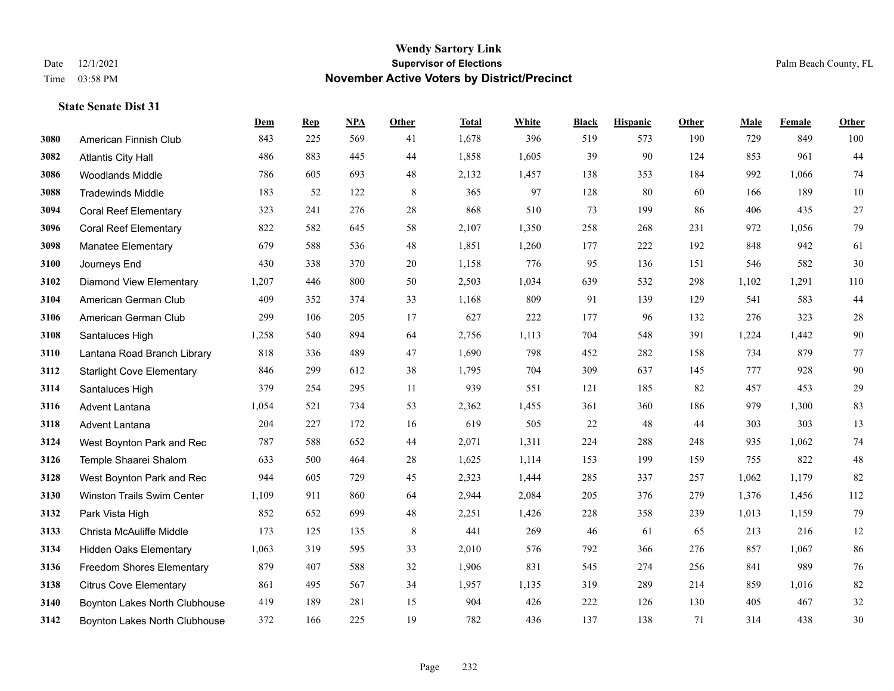|      |                                  | Dem   | <b>Rep</b> | NPA | <b>Other</b> | <b>Total</b> | <b>White</b> | <b>Black</b> | <b>Hispanic</b> | Other | <b>Male</b> | <b>Female</b> | <b>Other</b> |
|------|----------------------------------|-------|------------|-----|--------------|--------------|--------------|--------------|-----------------|-------|-------------|---------------|--------------|
| 3080 | American Finnish Club            | 843   | 225        | 569 | 41           | 1,678        | 396          | 519          | 573             | 190   | 729         | 849           | 100          |
| 3082 | <b>Atlantis City Hall</b>        | 486   | 883        | 445 | 44           | 1,858        | 1,605        | 39           | 90              | 124   | 853         | 961           | 44           |
| 3086 | <b>Woodlands Middle</b>          | 786   | 605        | 693 | 48           | 2,132        | 1,457        | 138          | 353             | 184   | 992         | 1,066         | 74           |
| 3088 | <b>Tradewinds Middle</b>         | 183   | 52         | 122 | $\,8\,$      | 365          | 97           | 128          | 80              | 60    | 166         | 189           | 10           |
| 3094 | <b>Coral Reef Elementary</b>     | 323   | 241        | 276 | 28           | 868          | 510          | 73           | 199             | 86    | 406         | 435           | 27           |
| 3096 | <b>Coral Reef Elementary</b>     | 822   | 582        | 645 | 58           | 2,107        | 1,350        | 258          | 268             | 231   | 972         | 1,056         | 79           |
| 3098 | <b>Manatee Elementary</b>        | 679   | 588        | 536 | 48           | 1,851        | 1,260        | 177          | 222             | 192   | 848         | 942           | 61           |
| 3100 | Journeys End                     | 430   | 338        | 370 | 20           | 1,158        | 776          | 95           | 136             | 151   | 546         | 582           | 30           |
| 3102 | <b>Diamond View Elementary</b>   | 1,207 | 446        | 800 | 50           | 2,503        | 1,034        | 639          | 532             | 298   | 1,102       | 1,291         | 110          |
| 3104 | American German Club             | 409   | 352        | 374 | 33           | 1,168        | 809          | 91           | 139             | 129   | 541         | 583           | $44$         |
| 3106 | American German Club             | 299   | 106        | 205 | 17           | 627          | 222          | 177          | 96              | 132   | 276         | 323           | $28\,$       |
| 3108 | Santaluces High                  | 1,258 | 540        | 894 | 64           | 2,756        | 1,113        | 704          | 548             | 391   | 1,224       | 1,442         | $90\,$       |
| 3110 | Lantana Road Branch Library      | 818   | 336        | 489 | 47           | 1,690        | 798          | 452          | 282             | 158   | 734         | 879           | $77\,$       |
| 3112 | <b>Starlight Cove Elementary</b> | 846   | 299        | 612 | 38           | 1,795        | 704          | 309          | 637             | 145   | 777         | 928           | $90\,$       |
| 3114 | Santaluces High                  | 379   | 254        | 295 | 11           | 939          | 551          | 121          | 185             | 82    | 457         | 453           | $29\,$       |
| 3116 | Advent Lantana                   | 1,054 | 521        | 734 | 53           | 2,362        | 1,455        | 361          | 360             | 186   | 979         | 1,300         | 83           |
| 3118 | <b>Advent Lantana</b>            | 204   | 227        | 172 | 16           | 619          | 505          | 22           | 48              | 44    | 303         | 303           | 13           |
| 3124 | West Boynton Park and Rec        | 787   | 588        | 652 | 44           | 2,071        | 1,311        | 224          | 288             | 248   | 935         | 1,062         | $74\,$       |
| 3126 | Temple Shaarei Shalom            | 633   | 500        | 464 | 28           | 1,625        | 1,114        | 153          | 199             | 159   | 755         | 822           | $48\,$       |
| 3128 | West Boynton Park and Rec        | 944   | 605        | 729 | 45           | 2,323        | 1,444        | 285          | 337             | 257   | 1,062       | 1,179         | 82           |
| 3130 | Winston Trails Swim Center       | 1,109 | 911        | 860 | 64           | 2,944        | 2,084        | 205          | 376             | 279   | 1,376       | 1,456         | 112          |
| 3132 | Park Vista High                  | 852   | 652        | 699 | 48           | 2,251        | 1,426        | 228          | 358             | 239   | 1,013       | 1,159         | 79           |
| 3133 | Christa McAuliffe Middle         | 173   | 125        | 135 | 8            | 441          | 269          | 46           | 61              | 65    | 213         | 216           | 12           |
| 3134 | <b>Hidden Oaks Elementary</b>    | 1,063 | 319        | 595 | 33           | 2,010        | 576          | 792          | 366             | 276   | 857         | 1,067         | 86           |
| 3136 | <b>Freedom Shores Elementary</b> | 879   | 407        | 588 | 32           | 1,906        | 831          | 545          | 274             | 256   | 841         | 989           | 76           |
| 3138 | <b>Citrus Cove Elementary</b>    | 861   | 495        | 567 | 34           | 1,957        | 1,135        | 319          | 289             | 214   | 859         | 1,016         | $82\,$       |
| 3140 | Boynton Lakes North Clubhouse    | 419   | 189        | 281 | 15           | 904          | 426          | 222          | 126             | 130   | 405         | 467           | $32\,$       |
| 3142 | Boynton Lakes North Clubhouse    | 372   | 166        | 225 | 19           | 782          | 436          | 137          | 138             | 71    | 314         | 438           | $30\,$       |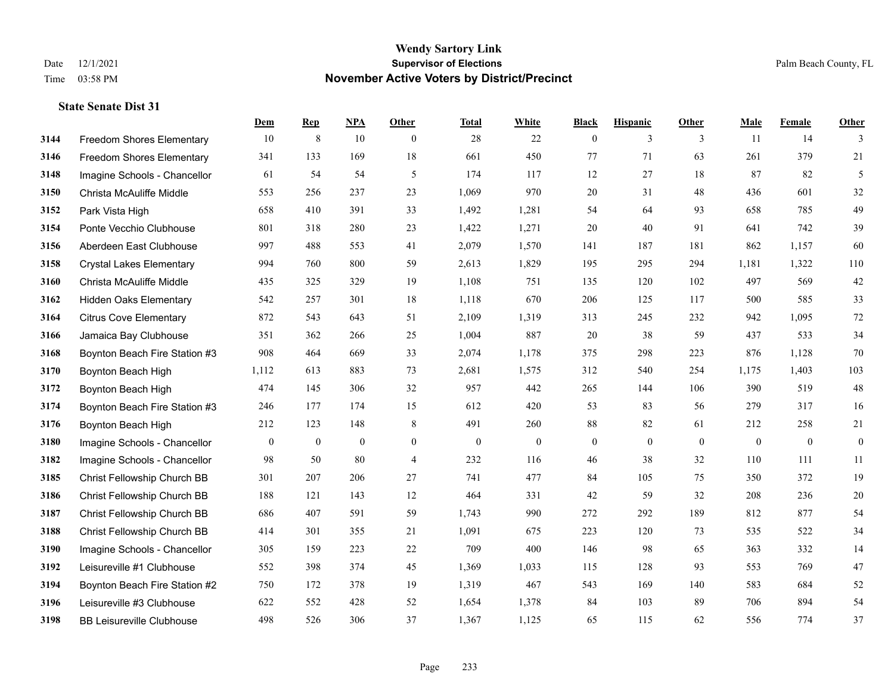|      |                                  | Dem            | <b>Rep</b>       | NPA            | <b>Other</b>   | <b>Total</b> | <b>White</b>   | <b>Black</b>     | <b>Hispanic</b> | <b>Other</b> | <b>Male</b>  | Female       | <b>Other</b>     |
|------|----------------------------------|----------------|------------------|----------------|----------------|--------------|----------------|------------------|-----------------|--------------|--------------|--------------|------------------|
| 3144 | Freedom Shores Elementary        | 10             | $\,8\,$          | 10             | $\overline{0}$ | 28           | 22             | $\boldsymbol{0}$ | 3               | 3            | 11           | 14           | 3                |
| 3146 | <b>Freedom Shores Elementary</b> | 341            | 133              | 169            | 18             | 661          | 450            | 77               | 71              | 63           | 261          | 379          | 21               |
| 3148 | Imagine Schools - Chancellor     | 61             | 54               | 54             | 5              | 174          | 117            | 12               | 27              | 18           | 87           | 82           | 5                |
| 3150 | Christa McAuliffe Middle         | 553            | 256              | 237            | 23             | 1,069        | 970            | 20               | 31              | 48           | 436          | 601          | 32               |
| 3152 | Park Vista High                  | 658            | 410              | 391            | 33             | 1,492        | 1,281          | 54               | 64              | 93           | 658          | 785          | 49               |
| 3154 | Ponte Vecchio Clubhouse          | 801            | 318              | 280            | 23             | 1,422        | 1,271          | 20               | 40              | 91           | 641          | 742          | 39               |
| 3156 | Aberdeen East Clubhouse          | 997            | 488              | 553            | 41             | 2,079        | 1,570          | 141              | 187             | 181          | 862          | 1,157        | 60               |
| 3158 | <b>Crystal Lakes Elementary</b>  | 994            | 760              | 800            | 59             | 2,613        | 1,829          | 195              | 295             | 294          | 1,181        | 1,322        | 110              |
| 3160 | Christa McAuliffe Middle         | 435            | 325              | 329            | 19             | 1,108        | 751            | 135              | 120             | 102          | 497          | 569          | 42               |
| 3162 | <b>Hidden Oaks Elementary</b>    | 542            | 257              | 301            | 18             | 1,118        | 670            | 206              | 125             | 117          | 500          | 585          | 33               |
| 3164 | <b>Citrus Cove Elementary</b>    | 872            | 543              | 643            | 51             | 2,109        | 1,319          | 313              | 245             | 232          | 942          | 1.095        | $72\,$           |
| 3166 | Jamaica Bay Clubhouse            | 351            | 362              | 266            | 25             | 1,004        | 887            | 20               | 38              | 59           | 437          | 533          | 34               |
| 3168 | Boynton Beach Fire Station #3    | 908            | 464              | 669            | 33             | 2,074        | 1,178          | 375              | 298             | 223          | 876          | 1,128        | $70\,$           |
| 3170 | Boynton Beach High               | 1,112          | 613              | 883            | 73             | 2,681        | 1,575          | 312              | 540             | 254          | 1,175        | 1,403        | 103              |
| 3172 | Boynton Beach High               | 474            | 145              | 306            | 32             | 957          | 442            | 265              | 144             | 106          | 390          | 519          | $48\,$           |
| 3174 | Boynton Beach Fire Station #3    | 246            | 177              | 174            | 15             | 612          | 420            | 53               | 83              | 56           | 279          | 317          | 16               |
| 3176 | Boynton Beach High               | 212            | 123              | 148            | $\,8\,$        | 491          | 260            | 88               | 82              | 61           | 212          | 258          | 21               |
| 3180 | Imagine Schools - Chancellor     | $\overline{0}$ | $\boldsymbol{0}$ | $\overline{0}$ | $\overline{0}$ | $\mathbf{0}$ | $\overline{0}$ | $\boldsymbol{0}$ | $\mathbf{0}$    | $\theta$     | $\mathbf{0}$ | $\mathbf{0}$ | $\boldsymbol{0}$ |
| 3182 | Imagine Schools - Chancellor     | 98             | 50               | 80             | $\overline{4}$ | 232          | 116            | 46               | 38              | 32           | 110          | 111          | 11               |
| 3185 | Christ Fellowship Church BB      | 301            | 207              | 206            | 27             | 741          | 477            | 84               | 105             | 75           | 350          | 372          | 19               |
| 3186 | Christ Fellowship Church BB      | 188            | 121              | 143            | 12             | 464          | 331            | 42               | 59              | 32           | 208          | 236          | $20\,$           |
| 3187 | Christ Fellowship Church BB      | 686            | 407              | 591            | 59             | 1,743        | 990            | 272              | 292             | 189          | 812          | 877          | 54               |
| 3188 | Christ Fellowship Church BB      | 414            | 301              | 355            | 21             | 1,091        | 675            | 223              | 120             | 73           | 535          | 522          | 34               |
| 3190 | Imagine Schools - Chancellor     | 305            | 159              | 223            | 22             | 709          | 400            | 146              | 98              | 65           | 363          | 332          | 14               |
| 3192 | Leisureville #1 Clubhouse        | 552            | 398              | 374            | 45             | 1,369        | 1,033          | 115              | 128             | 93           | 553          | 769          | 47               |
| 3194 | Boynton Beach Fire Station #2    | 750            | 172              | 378            | 19             | 1,319        | 467            | 543              | 169             | 140          | 583          | 684          | $52\,$           |
| 3196 | Leisureville #3 Clubhouse        | 622            | 552              | 428            | 52             | 1,654        | 1,378          | 84               | 103             | 89           | 706          | 894          | 54               |
| 3198 | <b>BB Leisureville Clubhouse</b> | 498            | 526              | 306            | 37             | 1,367        | 1,125          | 65               | 115             | 62           | 556          | 774          | 37               |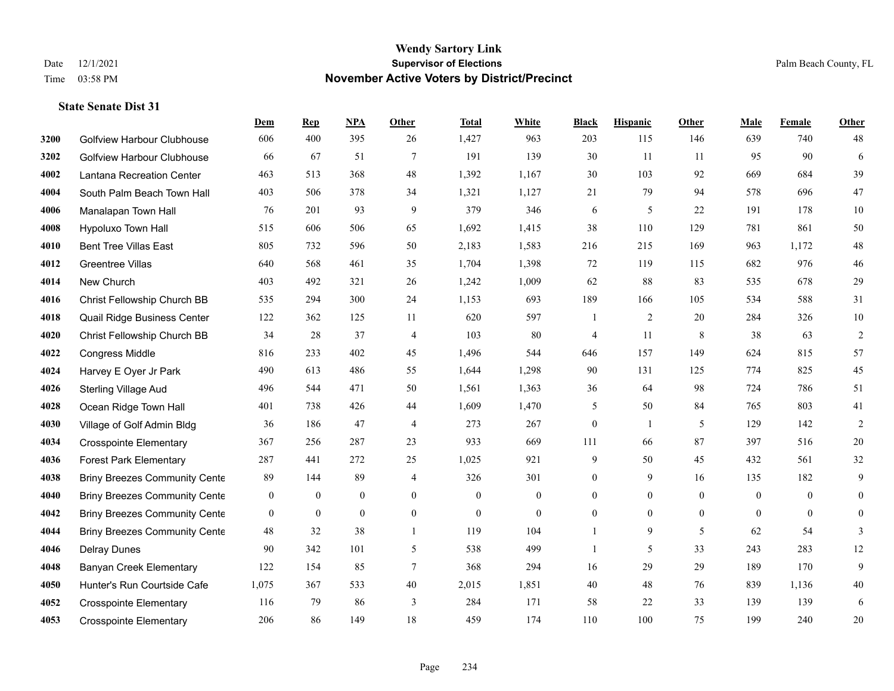|      |                                      | Dem          | <b>Rep</b>       | NPA              | <b>Other</b>   | <b>Total</b>     | <b>White</b> | <b>Black</b>     | <b>Hispanic</b>  | <b>Other</b>   | <b>Male</b>    | <b>Female</b>  | Other          |
|------|--------------------------------------|--------------|------------------|------------------|----------------|------------------|--------------|------------------|------------------|----------------|----------------|----------------|----------------|
| 3200 | Golfview Harbour Clubhouse           | 606          | 400              | 395              | 26             | 1,427            | 963          | 203              | 115              | 146            | 639            | 740            | 48             |
| 3202 | <b>Golfview Harbour Clubhouse</b>    | 66           | 67               | 51               | $\tau$         | 191              | 139          | 30               | 11               | 11             | 95             | 90             | 6              |
| 4002 | Lantana Recreation Center            | 463          | 513              | 368              | 48             | 1,392            | 1,167        | 30               | 103              | 92             | 669            | 684            | 39             |
| 4004 | South Palm Beach Town Hall           | 403          | 506              | 378              | 34             | 1,321            | 1,127        | 21               | 79               | 94             | 578            | 696            | 47             |
| 4006 | Manalapan Town Hall                  | 76           | 201              | 93               | 9              | 379              | 346          | 6                | 5                | 22             | 191            | 178            | $10\,$         |
| 4008 | Hypoluxo Town Hall                   | 515          | 606              | 506              | 65             | 1,692            | 1,415        | 38               | 110              | 129            | 781            | 861            | 50             |
| 4010 | <b>Bent Tree Villas East</b>         | 805          | 732              | 596              | 50             | 2,183            | 1,583        | 216              | 215              | 169            | 963            | 1.172          | 48             |
| 4012 | <b>Greentree Villas</b>              | 640          | 568              | 461              | 35             | 1,704            | 1,398        | $72\,$           | 119              | 115            | 682            | 976            | $46\,$         |
| 4014 | New Church                           | 403          | 492              | 321              | $26\,$         | 1,242            | 1,009        | 62               | 88               | 83             | 535            | 678            | 29             |
| 4016 | Christ Fellowship Church BB          | 535          | 294              | 300              | 24             | 1,153            | 693          | 189              | 166              | 105            | 534            | 588            | 31             |
| 4018 | Quail Ridge Business Center          | 122          | 362              | 125              | 11             | 620              | 597          | $\mathbf{1}$     | $\overline{2}$   | 20             | 284            | 326            | $10\,$         |
| 4020 | Christ Fellowship Church BB          | 34           | 28               | 37               | $\overline{4}$ | 103              | $80\,$       | 4                | 11               | 8              | 38             | 63             | $\sqrt{2}$     |
| 4022 | <b>Congress Middle</b>               | 816          | 233              | 402              | 45             | 1,496            | 544          | 646              | 157              | 149            | 624            | 815            | 57             |
| 4024 | Harvey E Oyer Jr Park                | 490          | 613              | 486              | 55             | 1,644            | 1,298        | 90               | 131              | 125            | 774            | 825            | 45             |
| 4026 | Sterling Village Aud                 | 496          | 544              | 471              | 50             | 1,561            | 1,363        | 36               | 64               | 98             | 724            | 786            | 51             |
| 4028 | Ocean Ridge Town Hall                | 401          | 738              | 426              | 44             | 1,609            | 1,470        | 5                | 50               | 84             | 765            | 803            | 41             |
| 4030 | Village of Golf Admin Bldg           | 36           | 186              | 47               | $\overline{4}$ | 273              | 267          | $\boldsymbol{0}$ | -1               | 5              | 129            | 142            | $\overline{2}$ |
| 4034 | <b>Crosspointe Elementary</b>        | 367          | 256              | 287              | 23             | 933              | 669          | 111              | 66               | 87             | 397            | 516            | $20\,$         |
| 4036 | <b>Forest Park Elementary</b>        | 287          | 441              | 272              | 25             | 1,025            | 921          | 9                | 50               | 45             | 432            | 561            | 32             |
| 4038 | <b>Briny Breezes Community Cente</b> | 89           | 144              | 89               | $\overline{4}$ | 326              | 301          | $\overline{0}$   | 9                | 16             | 135            | 182            | 9              |
| 4040 | <b>Briny Breezes Community Cente</b> | $\mathbf{0}$ | $\mathbf{0}$     | $\mathbf{0}$     | $\overline{0}$ | $\mathbf{0}$     | $\mathbf{0}$ | $\boldsymbol{0}$ | $\boldsymbol{0}$ | $\overline{0}$ | $\overline{0}$ | $\overline{0}$ | $\overline{0}$ |
| 4042 | <b>Briny Breezes Community Cente</b> | $\bf{0}$     | $\boldsymbol{0}$ | $\boldsymbol{0}$ | $\mathbf{0}$   | $\boldsymbol{0}$ | $\mathbf{0}$ | $\boldsymbol{0}$ | $\mathbf{0}$     | $\overline{0}$ | $\mathbf{0}$   | $\mathbf{0}$   | $\overline{0}$ |
| 4044 | <b>Briny Breezes Community Cente</b> | 48           | 32               | 38               | $\mathbf{1}$   | 119              | 104          | $\mathbf{1}$     | 9                | 5              | 62             | 54             | 3              |
| 4046 | <b>Delray Dunes</b>                  | 90           | 342              | 101              | 5              | 538              | 499          | $\mathbf{1}$     | 5                | 33             | 243            | 283            | $12\,$         |
| 4048 | <b>Banyan Creek Elementary</b>       | 122          | 154              | 85               | $\tau$         | 368              | 294          | 16               | 29               | 29             | 189            | 170            | 9              |
| 4050 | Hunter's Run Courtside Cafe          | 1,075        | 367              | 533              | 40             | 2,015            | 1,851        | 40               | 48               | 76             | 839            | 1,136          | 40             |
| 4052 | <b>Crosspointe Elementary</b>        | 116          | 79               | 86               | 3              | 284              | 171          | 58               | 22               | 33             | 139            | 139            | 6              |
| 4053 | <b>Crosspointe Elementary</b>        | 206          | 86               | 149              | 18             | 459              | 174          | 110              | 100              | 75             | 199            | 240            | 20             |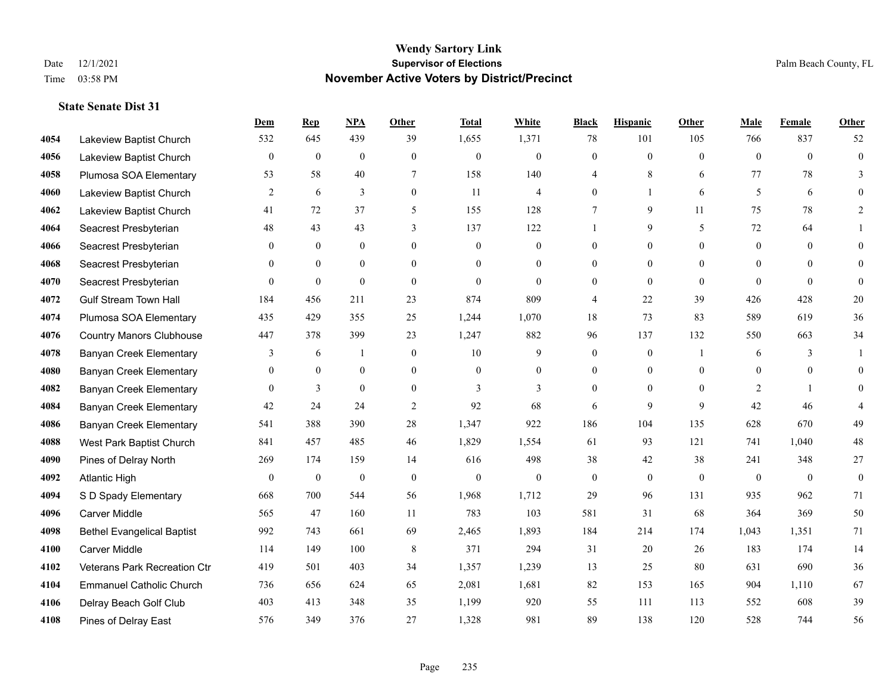|      |                                   | Dem              | <b>Rep</b>       | NPA              | <b>Other</b>   | <b>Total</b>     | <b>White</b>     | <b>Black</b>     | <b>Hispanic</b>  | <b>Other</b>   | <b>Male</b>      | <b>Female</b>    | <b>Other</b>     |
|------|-----------------------------------|------------------|------------------|------------------|----------------|------------------|------------------|------------------|------------------|----------------|------------------|------------------|------------------|
| 4054 | Lakeview Baptist Church           | 532              | 645              | 439              | 39             | 1,655            | 1,371            | 78               | 101              | 105            | 766              | 837              | 52               |
| 4056 | Lakeview Baptist Church           | $\overline{0}$   | $\mathbf{0}$     | $\mathbf{0}$     | $\overline{0}$ | $\theta$         | $\overline{0}$   | $\mathbf{0}$     | $\mathbf{0}$     | $\theta$       | $\theta$         | $\theta$         | $\mathbf{0}$     |
| 4058 | Plumosa SOA Elementary            | 53               | 58               | 40               | 7              | 158              | 140              | 4                | 8                | 6              | 77               | 78               | 3                |
| 4060 | Lakeview Baptist Church           | 2                | 6                | 3                | $\overline{0}$ | 11               | $\overline{4}$   | $\boldsymbol{0}$ | $\mathbf{1}$     | 6              | 5                | 6                | $\theta$         |
| 4062 | Lakeview Baptist Church           | 41               | 72               | 37               | 5              | 155              | 128              | 7                | 9                | 11             | 75               | 78               | $\overline{2}$   |
| 4064 | Seacrest Presbyterian             | $48\,$           | 43               | 43               | 3              | 137              | 122              | -1               | 9                | 5              | 72               | 64               |                  |
| 4066 | Seacrest Presbyterian             | $\mathbf{0}$     | $\mathbf{0}$     | $\mathbf{0}$     | $\overline{0}$ | $\mathbf{0}$     | $\boldsymbol{0}$ | $\mathbf{0}$     | $\mathbf{0}$     | $\theta$       | $\mathbf{0}$     | $\theta$         | $\overline{0}$   |
| 4068 | Seacrest Presbyterian             | $\Omega$         | $\theta$         | $\theta$         | $\Omega$       | $\Omega$         | $\Omega$         | $\theta$         | $\theta$         | $\Omega$       | $\Omega$         | $\Omega$         | $\theta$         |
| 4070 | Seacrest Presbyterian             | $\mathbf{0}$     | $\boldsymbol{0}$ | $\mathbf{0}$     | $\overline{0}$ | $\mathbf{0}$     | $\mathbf{0}$     | $\boldsymbol{0}$ | $\mathbf{0}$     | $\theta$       | $\theta$         | $\theta$         | $\theta$         |
| 4072 | <b>Gulf Stream Town Hall</b>      | 184              | 456              | 211              | 23             | 874              | 809              | 4                | 22               | 39             | 426              | 428              | $20\,$           |
| 4074 | Plumosa SOA Elementary            | 435              | 429              | 355              | 25             | 1,244            | 1,070            | 18               | 73               | 83             | 589              | 619              | 36               |
| 4076 | <b>Country Manors Clubhouse</b>   | 447              | 378              | 399              | 23             | 1,247            | 882              | 96               | 137              | 132            | 550              | 663              | 34               |
| 4078 | <b>Banyan Creek Elementary</b>    | 3                | 6                | 1                | $\overline{0}$ | 10               | 9                | $\mathbf{0}$     | $\mathbf{0}$     | $\overline{1}$ | 6                | 3                | 1                |
| 4080 | <b>Banyan Creek Elementary</b>    | $\mathbf{0}$     | $\boldsymbol{0}$ | $\boldsymbol{0}$ | $\mathbf{0}$   | $\boldsymbol{0}$ | $\boldsymbol{0}$ | $\boldsymbol{0}$ | $\boldsymbol{0}$ | $\mathbf{0}$   | $\boldsymbol{0}$ | $\boldsymbol{0}$ | $\overline{0}$   |
| 4082 | <b>Banyan Creek Elementary</b>    | $\theta$         | 3                | $\overline{0}$   | $\overline{0}$ | 3                | 3                | $\mathbf{0}$     | $\mathbf{0}$     | $\theta$       | 2                |                  | $\overline{0}$   |
| 4084 | <b>Banyan Creek Elementary</b>    | 42               | 24               | 24               | 2              | 92               | 68               | 6                | 9                | 9              | 42               | 46               | 4                |
| 4086 | <b>Banyan Creek Elementary</b>    | 541              | 388              | 390              | 28             | 1,347            | 922              | 186              | 104              | 135            | 628              | 670              | 49               |
| 4088 | West Park Baptist Church          | 841              | 457              | 485              | 46             | 1,829            | 1,554            | 61               | 93               | 121            | 741              | 1,040            | $48\,$           |
| 4090 | Pines of Delray North             | 269              | 174              | 159              | 14             | 616              | 498              | 38               | 42               | 38             | 241              | 348              | 27               |
| 4092 | <b>Atlantic High</b>              | $\boldsymbol{0}$ | $\boldsymbol{0}$ | $\boldsymbol{0}$ | $\mathbf{0}$   | $\mathbf{0}$     | $\boldsymbol{0}$ | $\boldsymbol{0}$ | $\boldsymbol{0}$ | $\mathbf{0}$   | $\mathbf{0}$     | $\mathbf{0}$     | $\boldsymbol{0}$ |
| 4094 | S D Spady Elementary              | 668              | 700              | 544              | 56             | 1,968            | 1,712            | 29               | 96               | 131            | 935              | 962              | 71               |
| 4096 | <b>Carver Middle</b>              | 565              | 47               | 160              | 11             | 783              | 103              | 581              | 31               | 68             | 364              | 369              | 50               |
| 4098 | <b>Bethel Evangelical Baptist</b> | 992              | 743              | 661              | 69             | 2,465            | 1,893            | 184              | 214              | 174            | 1,043            | 1,351            | 71               |
| 4100 | <b>Carver Middle</b>              | 114              | 149              | 100              | 8              | 371              | 294              | 31               | 20               | 26             | 183              | 174              | 14               |
| 4102 | Veterans Park Recreation Ctr      | 419              | 501              | 403              | 34             | 1,357            | 1,239            | 13               | 25               | 80             | 631              | 690              | 36               |
| 4104 | <b>Emmanuel Catholic Church</b>   | 736              | 656              | 624              | 65             | 2,081            | 1,681            | 82               | 153              | 165            | 904              | 1,110            | 67               |
| 4106 | Delray Beach Golf Club            | 403              | 413              | 348              | 35             | 1,199            | 920              | 55               | 111              | 113            | 552              | 608              | 39               |
| 4108 | Pines of Delray East              | 576              | 349              | 376              | 27             | 1,328            | 981              | 89               | 138              | 120            | 528              | 744              | 56               |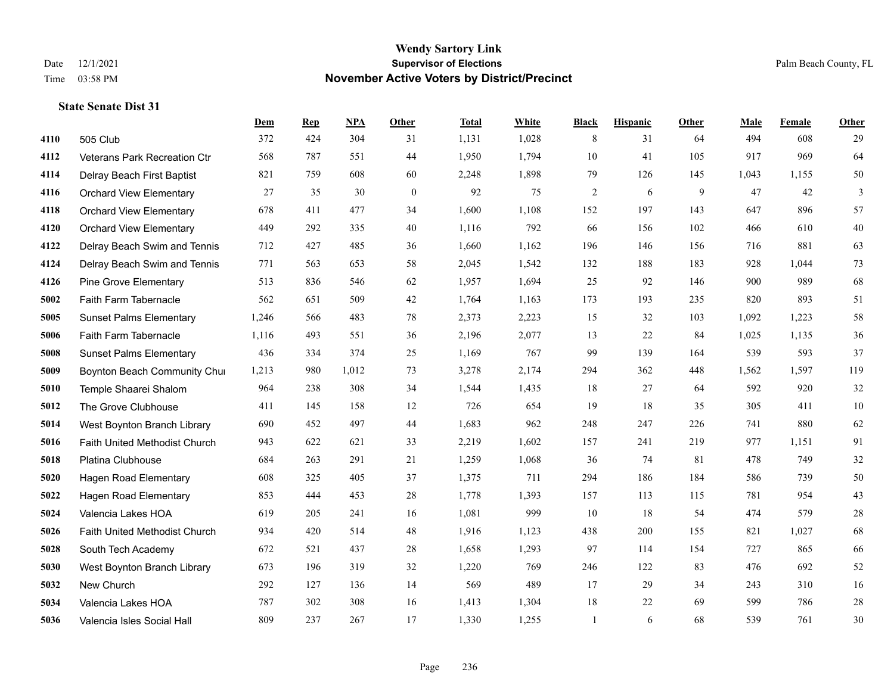|      |                                | Dem   | <b>Rep</b> | NPA   | <b>Other</b> | <b>Total</b> | White | <b>Black</b>   | <b>Hispanic</b> | Other | <b>Male</b> | Female | <b>Other</b> |
|------|--------------------------------|-------|------------|-------|--------------|--------------|-------|----------------|-----------------|-------|-------------|--------|--------------|
| 4110 | 505 Club                       | 372   | 424        | 304   | 31           | 1,131        | 1,028 | 8              | 31              | 64    | 494         | 608    | 29           |
| 4112 | Veterans Park Recreation Ctr   | 568   | 787        | 551   | 44           | 1,950        | 1,794 | 10             | 41              | 105   | 917         | 969    | 64           |
| 4114 | Delray Beach First Baptist     | 821   | 759        | 608   | 60           | 2,248        | 1,898 | 79             | 126             | 145   | 1,043       | 1,155  | $50\,$       |
| 4116 | <b>Orchard View Elementary</b> | 27    | 35         | 30    | $\mathbf{0}$ | 92           | 75    | $\overline{c}$ | 6               | 9     | 47          | 42     | 3            |
| 4118 | <b>Orchard View Elementary</b> | 678   | 411        | 477   | 34           | 1,600        | 1,108 | 152            | 197             | 143   | 647         | 896    | 57           |
| 4120 | <b>Orchard View Elementary</b> | 449   | 292        | 335   | 40           | 1,116        | 792   | 66             | 156             | 102   | 466         | 610    | $40\,$       |
| 4122 | Delray Beach Swim and Tennis   | 712   | 427        | 485   | 36           | 1,660        | 1,162 | 196            | 146             | 156   | 716         | 881    | 63           |
| 4124 | Delray Beach Swim and Tennis   | 771   | 563        | 653   | 58           | 2,045        | 1,542 | 132            | 188             | 183   | 928         | 1.044  | 73           |
| 4126 | <b>Pine Grove Elementary</b>   | 513   | 836        | 546   | 62           | 1,957        | 1,694 | 25             | 92              | 146   | 900         | 989    | 68           |
| 5002 | Faith Farm Tabernacle          | 562   | 651        | 509   | 42           | 1,764        | 1,163 | 173            | 193             | 235   | 820         | 893    | 51           |
| 5005 | <b>Sunset Palms Elementary</b> | 1,246 | 566        | 483   | 78           | 2,373        | 2,223 | 15             | 32              | 103   | 1,092       | 1,223  | 58           |
| 5006 | Faith Farm Tabernacle          | 1,116 | 493        | 551   | 36           | 2,196        | 2,077 | 13             | 22              | 84    | 1,025       | 1,135  | $36\,$       |
| 5008 | <b>Sunset Palms Elementary</b> | 436   | 334        | 374   | 25           | 1,169        | 767   | 99             | 139             | 164   | 539         | 593    | 37           |
| 5009 | Boynton Beach Community Chur   | 1,213 | 980        | 1,012 | 73           | 3,278        | 2,174 | 294            | 362             | 448   | 1,562       | 1,597  | 119          |
| 5010 | Temple Shaarei Shalom          | 964   | 238        | 308   | 34           | 1,544        | 1,435 | 18             | 27              | 64    | 592         | 920    | $32\,$       |
| 5012 | The Grove Clubhouse            | 411   | 145        | 158   | 12           | 726          | 654   | 19             | 18              | 35    | 305         | 411    | 10           |
| 5014 | West Boynton Branch Library    | 690   | 452        | 497   | 44           | 1,683        | 962   | 248            | 247             | 226   | 741         | 880    | 62           |
| 5016 | Faith United Methodist Church  | 943   | 622        | 621   | 33           | 2,219        | 1,602 | 157            | 241             | 219   | 977         | 1,151  | 91           |
| 5018 | Platina Clubhouse              | 684   | 263        | 291   | 21           | 1,259        | 1,068 | 36             | 74              | 81    | 478         | 749    | 32           |
| 5020 | <b>Hagen Road Elementary</b>   | 608   | 325        | 405   | 37           | 1,375        | 711   | 294            | 186             | 184   | 586         | 739    | 50           |
| 5022 | <b>Hagen Road Elementary</b>   | 853   | 444        | 453   | 28           | 1,778        | 1,393 | 157            | 113             | 115   | 781         | 954    | 43           |
| 5024 | Valencia Lakes HOA             | 619   | 205        | 241   | 16           | 1,081        | 999   | 10             | 18              | 54    | 474         | 579    | $28\,$       |
| 5026 | Faith United Methodist Church  | 934   | 420        | 514   | 48           | 1,916        | 1,123 | 438            | 200             | 155   | 821         | 1,027  | 68           |
| 5028 | South Tech Academy             | 672   | 521        | 437   | 28           | 1,658        | 1,293 | 97             | 114             | 154   | 727         | 865    | 66           |
| 5030 | West Boynton Branch Library    | 673   | 196        | 319   | 32           | 1,220        | 769   | 246            | 122             | 83    | 476         | 692    | 52           |
| 5032 | New Church                     | 292   | 127        | 136   | 14           | 569          | 489   | 17             | 29              | 34    | 243         | 310    | 16           |
| 5034 | Valencia Lakes HOA             | 787   | 302        | 308   | 16           | 1,413        | 1,304 | 18             | 22              | 69    | 599         | 786    | $28\,$       |
| 5036 | Valencia Isles Social Hall     | 809   | 237        | 267   | 17           | 1,330        | 1,255 | 1              | 6               | 68    | 539         | 761    | 30           |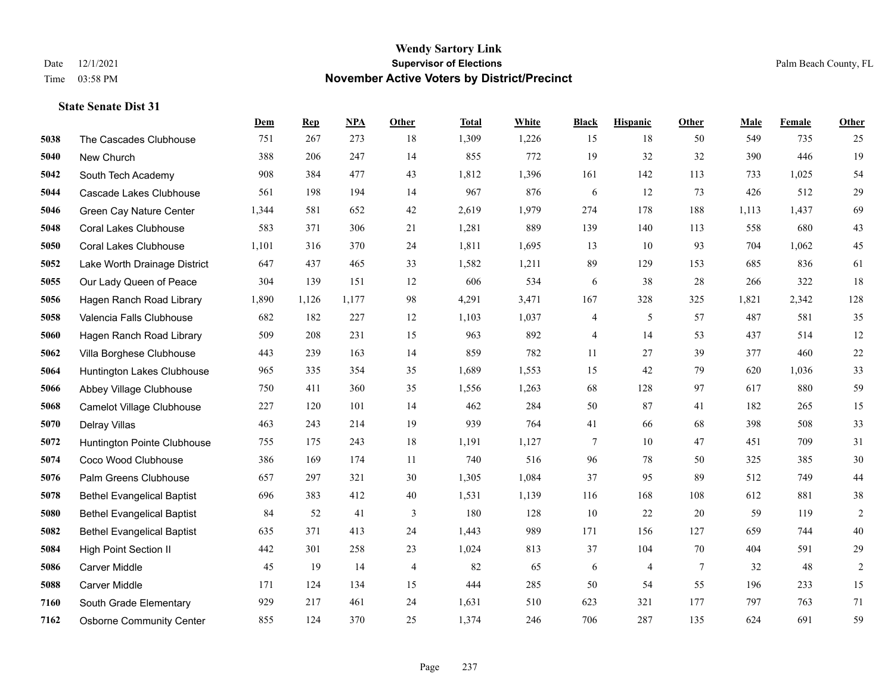|      |                                   | Dem   | <b>Rep</b> | NPA   | <b>Other</b>   | <b>Total</b> | White | <b>Black</b> | <b>Hispanic</b> | <b>Other</b>   | <b>Male</b> | <b>Female</b> | <b>Other</b>   |
|------|-----------------------------------|-------|------------|-------|----------------|--------------|-------|--------------|-----------------|----------------|-------------|---------------|----------------|
| 5038 | The Cascades Clubhouse            | 751   | 267        | 273   | 18             | 1,309        | 1,226 | 15           | 18              | 50             | 549         | 735           | 25             |
| 5040 | New Church                        | 388   | 206        | 247   | 14             | 855          | 772   | 19           | 32              | 32             | 390         | 446           | 19             |
| 5042 | South Tech Academy                | 908   | 384        | 477   | 43             | 1,812        | 1,396 | 161          | 142             | 113            | 733         | 1,025         | 54             |
| 5044 | Cascade Lakes Clubhouse           | 561   | 198        | 194   | 14             | 967          | 876   | 6            | 12              | 73             | 426         | 512           | 29             |
| 5046 | Green Cay Nature Center           | 1,344 | 581        | 652   | 42             | 2,619        | 1,979 | 274          | 178             | 188            | 1,113       | 1.437         | 69             |
| 5048 | <b>Coral Lakes Clubhouse</b>      | 583   | 371        | 306   | $21\,$         | 1,281        | 889   | 139          | 140             | 113            | 558         | 680           | $43\,$         |
| 5050 | <b>Coral Lakes Clubhouse</b>      | 1,101 | 316        | 370   | 24             | 1,811        | 1,695 | 13           | 10              | 93             | 704         | 1,062         | 45             |
| 5052 | Lake Worth Drainage District      | 647   | 437        | 465   | 33             | 1,582        | 1,211 | 89           | 129             | 153            | 685         | 836           | 61             |
| 5055 | Our Lady Queen of Peace           | 304   | 139        | 151   | 12             | 606          | 534   | 6            | 38              | 28             | 266         | 322           | 18             |
| 5056 | Hagen Ranch Road Library          | 1,890 | 1,126      | 1,177 | 98             | 4,291        | 3,471 | 167          | 328             | 325            | 1,821       | 2,342         | 128            |
| 5058 | Valencia Falls Clubhouse          | 682   | 182        | 227   | 12             | 1,103        | 1,037 | 4            | 5               | 57             | 487         | 581           | 35             |
| 5060 | Hagen Ranch Road Library          | 509   | 208        | 231   | 15             | 963          | 892   | 4            | 14              | 53             | 437         | 514           | 12             |
| 5062 | Villa Borghese Clubhouse          | 443   | 239        | 163   | 14             | 859          | 782   | 11           | 27              | 39             | 377         | 460           | $22\,$         |
| 5064 | Huntington Lakes Clubhouse        | 965   | 335        | 354   | 35             | 1,689        | 1,553 | 15           | 42              | 79             | 620         | 1,036         | 33             |
| 5066 | Abbey Village Clubhouse           | 750   | 411        | 360   | 35             | 1,556        | 1,263 | 68           | 128             | 97             | 617         | 880           | 59             |
| 5068 | Camelot Village Clubhouse         | 227   | 120        | 101   | 14             | 462          | 284   | 50           | 87              | 41             | 182         | 265           | 15             |
| 5070 | Delray Villas                     | 463   | 243        | 214   | 19             | 939          | 764   | 41           | 66              | 68             | 398         | 508           | 33             |
| 5072 | Huntington Pointe Clubhouse       | 755   | 175        | 243   | 18             | 1,191        | 1,127 | 7            | 10              | 47             | 451         | 709           | 31             |
| 5074 | Coco Wood Clubhouse               | 386   | 169        | 174   | 11             | 740          | 516   | 96           | 78              | 50             | 325         | 385           | $30\,$         |
| 5076 | Palm Greens Clubhouse             | 657   | 297        | 321   | 30             | 1,305        | 1,084 | 37           | 95              | 89             | 512         | 749           | $44\,$         |
| 5078 | <b>Bethel Evangelical Baptist</b> | 696   | 383        | 412   | 40             | 1,531        | 1,139 | 116          | 168             | 108            | 612         | 881           | $38\,$         |
| 5080 | <b>Bethel Evangelical Baptist</b> | 84    | 52         | 41    | 3              | 180          | 128   | 10           | $22\,$          | 20             | 59          | 119           | $\sqrt{2}$     |
| 5082 | <b>Bethel Evangelical Baptist</b> | 635   | 371        | 413   | 24             | 1,443        | 989   | 171          | 156             | 127            | 659         | 744           | $40\,$         |
| 5084 | <b>High Point Section II</b>      | 442   | 301        | 258   | 23             | 1,024        | 813   | 37           | 104             | 70             | 404         | 591           | 29             |
| 5086 | <b>Carver Middle</b>              | 45    | 19         | 14    | $\overline{4}$ | 82           | 65    | 6            | $\overline{4}$  | $\overline{7}$ | 32          | 48            | $\overline{2}$ |
| 5088 | Carver Middle                     | 171   | 124        | 134   | 15             | 444          | 285   | 50           | 54              | 55             | 196         | 233           | 15             |
| 7160 | South Grade Elementary            | 929   | 217        | 461   | 24             | 1,631        | 510   | 623          | 321             | 177            | 797         | 763           | 71             |
| 7162 | <b>Osborne Community Center</b>   | 855   | 124        | 370   | 25             | 1,374        | 246   | 706          | 287             | 135            | 624         | 691           | 59             |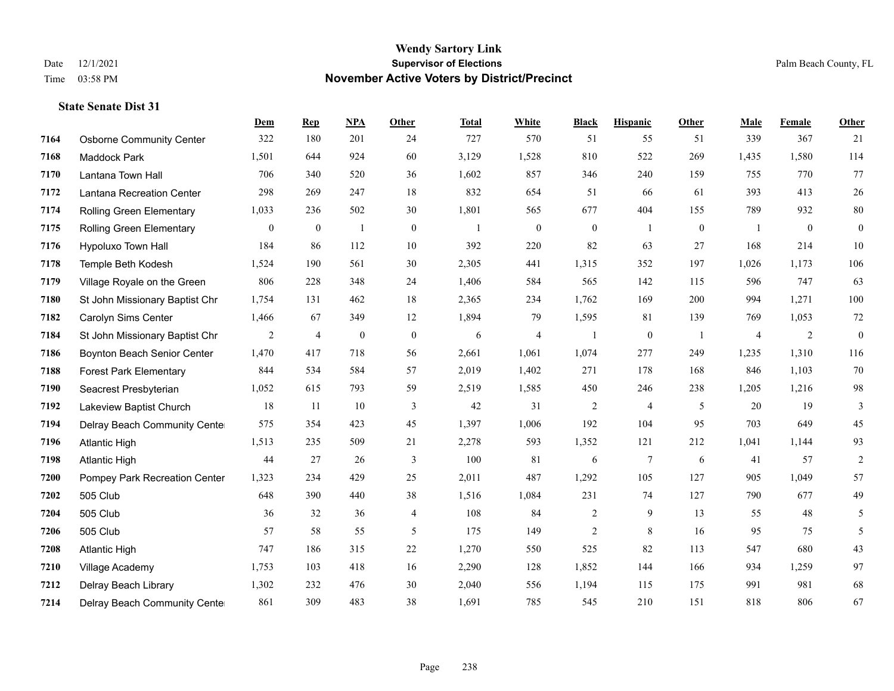|      |                                 | Dem              | <b>Rep</b>       | NPA            | <b>Other</b>     | <b>Total</b>   | <b>White</b>     | <b>Black</b>     | <b>Hispanic</b>  | <b>Other</b> | <b>Male</b>    | Female       | <b>Other</b>     |
|------|---------------------------------|------------------|------------------|----------------|------------------|----------------|------------------|------------------|------------------|--------------|----------------|--------------|------------------|
| 7164 | <b>Osborne Community Center</b> | 322              | 180              | 201            | 24               | 727            | 570              | 51               | 55               | 51           | 339            | 367          | 21               |
| 7168 | Maddock Park                    | 1,501            | 644              | 924            | 60               | 3,129          | 1,528            | 810              | 522              | 269          | 1,435          | 1,580        | 114              |
| 7170 | Lantana Town Hall               | 706              | 340              | 520            | 36               | 1,602          | 857              | 346              | 240              | 159          | 755            | 770          | 77               |
| 7172 | Lantana Recreation Center       | 298              | 269              | 247            | 18               | 832            | 654              | 51               | 66               | 61           | 393            | 413          | 26               |
| 7174 | Rolling Green Elementary        | 1,033            | 236              | 502            | 30               | 1,801          | 565              | 677              | 404              | 155          | 789            | 932          | $80\,$           |
| 7175 | Rolling Green Elementary        | $\boldsymbol{0}$ | $\boldsymbol{0}$ | -1             | $\boldsymbol{0}$ | $\overline{1}$ | $\boldsymbol{0}$ | $\boldsymbol{0}$ | 1                | $\mathbf{0}$ | -1             | $\mathbf{0}$ | $\boldsymbol{0}$ |
| 7176 | <b>Hypoluxo Town Hall</b>       | 184              | 86               | 112            | 10               | 392            | 220              | 82               | 63               | 27           | 168            | 214          | 10               |
| 7178 | Temple Beth Kodesh              | 1,524            | 190              | 561            | 30               | 2,305          | 441              | 1,315            | 352              | 197          | 1,026          | 1,173        | 106              |
| 7179 | Village Royale on the Green     | 806              | 228              | 348            | 24               | 1,406          | 584              | 565              | 142              | 115          | 596            | 747          | 63               |
| 7180 | St John Missionary Baptist Chr  | 1,754            | 131              | 462            | 18               | 2,365          | 234              | 1.762            | 169              | 200          | 994            | 1,271        | 100              |
| 7182 | Carolyn Sims Center             | 1,466            | 67               | 349            | 12               | 1,894          | 79               | 1,595            | 81               | 139          | 769            | 1,053        | 72               |
| 7184 | St John Missionary Baptist Chr  | 2                | 4                | $\overline{0}$ | $\mathbf{0}$     | 6              | $\overline{4}$   |                  | $\boldsymbol{0}$ | -1           | $\overline{4}$ | 2            | $\boldsymbol{0}$ |
| 7186 | Boynton Beach Senior Center     | 1,470            | 417              | 718            | 56               | 2,661          | 1,061            | 1,074            | 277              | 249          | 1,235          | 1,310        | 116              |
| 7188 | <b>Forest Park Elementary</b>   | 844              | 534              | 584            | 57               | 2,019          | 1,402            | 271              | 178              | 168          | 846            | 1,103        | 70               |
| 7190 | Seacrest Presbyterian           | 1,052            | 615              | 793            | 59               | 2,519          | 1,585            | 450              | 246              | 238          | 1,205          | 1,216        | 98               |
| 7192 | Lakeview Baptist Church         | 18               | 11               | 10             | 3                | 42             | 31               | $\overline{2}$   | $\overline{4}$   | 5            | 20             | 19           | 3                |
| 7194 | Delray Beach Community Cente    | 575              | 354              | 423            | 45               | 1,397          | 1,006            | 192              | 104              | 95           | 703            | 649          | 45               |
| 7196 | <b>Atlantic High</b>            | 1,513            | 235              | 509            | 21               | 2,278          | 593              | 1,352            | 121              | 212          | 1,041          | 1,144        | 93               |
| 7198 | <b>Atlantic High</b>            | 44               | 27               | 26             | 3                | 100            | 81               | 6                | $\overline{7}$   | 6            | 41             | 57           | $\overline{2}$   |
| 7200 | Pompey Park Recreation Center   | 1,323            | 234              | 429            | 25               | 2,011          | 487              | 1,292            | 105              | 127          | 905            | 1,049        | 57               |
| 7202 | 505 Club                        | 648              | 390              | 440            | 38               | 1,516          | 1,084            | 231              | 74               | 127          | 790            | 677          | 49               |
| 7204 | 505 Club                        | 36               | 32               | 36             | $\overline{4}$   | 108            | 84               | $\overline{2}$   | 9                | 13           | 55             | 48           | 5                |
| 7206 | 505 Club                        | 57               | 58               | 55             | 5                | 175            | 149              | 2                | 8                | 16           | 95             | 75           | 5                |
| 7208 | <b>Atlantic High</b>            | 747              | 186              | 315            | 22               | 1,270          | 550              | 525              | 82               | 113          | 547            | 680          | 43               |
| 7210 | Village Academy                 | 1,753            | 103              | 418            | 16               | 2,290          | 128              | 1,852            | 144              | 166          | 934            | 1,259        | 97               |
| 7212 | Delray Beach Library            | 1,302            | 232              | 476            | 30               | 2,040          | 556              | 1,194            | 115              | 175          | 991            | 981          | 68               |
| 7214 | Delray Beach Community Cente    | 861              | 309              | 483            | 38               | 1,691          | 785              | 545              | 210              | 151          | 818            | 806          | 67               |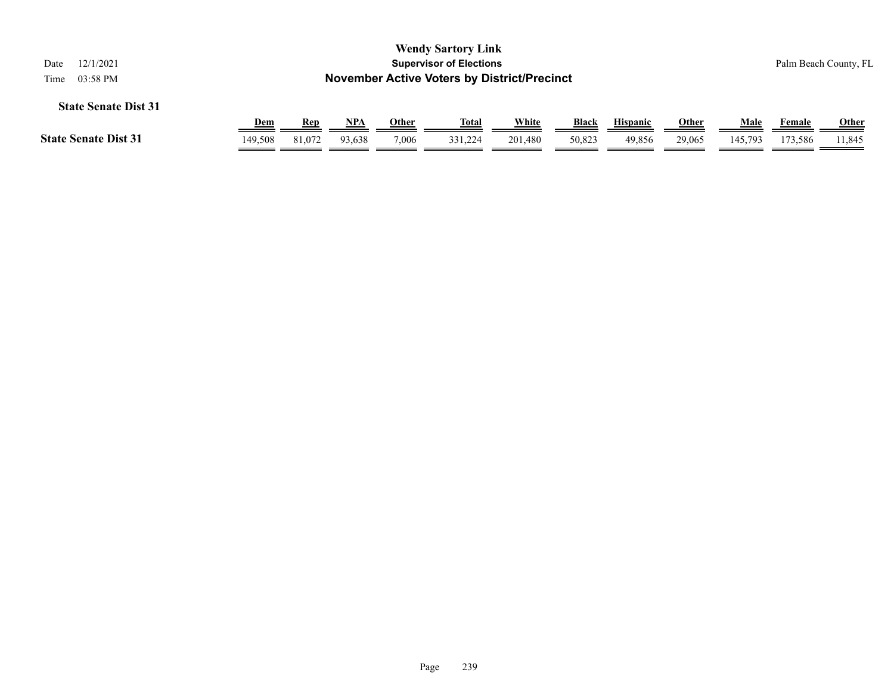| 12/1/2021<br>Date<br>03:58 PM<br>Time |            |        |        |       | <b>Wendy Sartory Link</b><br><b>Supervisor of Elections</b><br><b>November Active Voters by District/Precinct</b> |         |              |                 |              |         |         | Palm Beach County, FL |
|---------------------------------------|------------|--------|--------|-------|-------------------------------------------------------------------------------------------------------------------|---------|--------------|-----------------|--------------|---------|---------|-----------------------|
| <b>State Senate Dist 31</b>           |            |        |        |       |                                                                                                                   |         |              |                 |              |         |         |                       |
|                                       | <b>Dem</b> | Rep    | NPA    | Other | Total                                                                                                             | White   | <b>Black</b> | <b>Hispanic</b> | <b>Other</b> | Male    | Female  | Other                 |
| <b>State Senate Dist 31</b>           | 149,508    | 81,072 | 93,638 | 7,006 | 331.224                                                                                                           | 201,480 | 50,823       | 49,856          | 29,065       | 145,793 | 173,586 | 11,845                |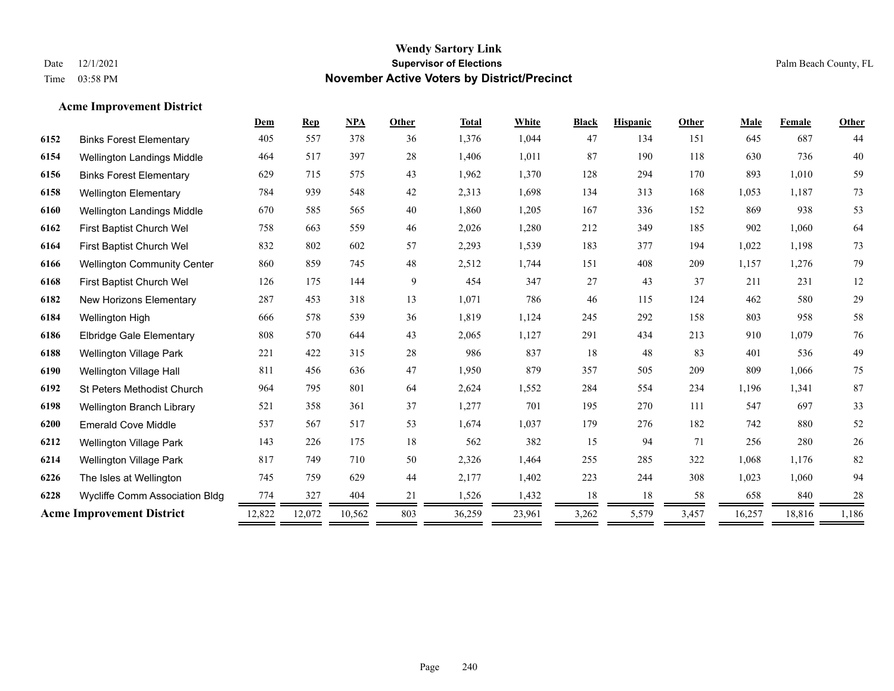#### **Acme Improvement District**

| 378<br>1,376<br>47<br>645<br>687<br>405<br>557<br>1,044<br>134<br>151<br>36<br>6152<br><b>Binks Forest Elementary</b><br>397<br>28<br>1,406<br>1,011<br>87<br>190<br>118<br>6154<br>464<br>517<br>630<br>736<br><b>Wellington Landings Middle</b><br>43<br>1,962<br>128<br>294<br>893<br>1,010<br><b>Binks Forest Elementary</b><br>629<br>715<br>575<br>1,370<br>170<br>6156<br>784<br>939<br>548<br>42<br>2,313<br>1,698<br>134<br>313<br>168<br>1,053<br>1,187<br>6158<br><b>Wellington Elementary</b> | 44<br>40<br>59<br>73<br>53<br>64<br>73 |
|-----------------------------------------------------------------------------------------------------------------------------------------------------------------------------------------------------------------------------------------------------------------------------------------------------------------------------------------------------------------------------------------------------------------------------------------------------------------------------------------------------------|----------------------------------------|
|                                                                                                                                                                                                                                                                                                                                                                                                                                                                                                           |                                        |
|                                                                                                                                                                                                                                                                                                                                                                                                                                                                                                           |                                        |
|                                                                                                                                                                                                                                                                                                                                                                                                                                                                                                           |                                        |
|                                                                                                                                                                                                                                                                                                                                                                                                                                                                                                           |                                        |
| 40<br>1,860<br>167<br>938<br>670<br>585<br>565<br>1,205<br>336<br>152<br>869<br>6160<br>Wellington Landings Middle                                                                                                                                                                                                                                                                                                                                                                                        |                                        |
| 212<br>185<br>902<br>First Baptist Church Wel<br>758<br>663<br>559<br>46<br>2,026<br>1,280<br>349<br>1,060<br>6162                                                                                                                                                                                                                                                                                                                                                                                        |                                        |
| 602<br>1,022<br>6164<br>832<br>802<br>57<br>2,293<br>1,539<br>183<br>377<br>194<br>1,198<br>First Baptist Church Wel                                                                                                                                                                                                                                                                                                                                                                                      |                                        |
| 48<br>860<br>859<br>745<br>2,512<br>1,744<br>151<br>408<br>209<br>1,157<br>1,276<br>6166<br><b>Wellington Community Center</b>                                                                                                                                                                                                                                                                                                                                                                            | 79                                     |
| 144<br>9<br>27<br>37<br>126<br>175<br>454<br>347<br>43<br>211<br>231<br>First Baptist Church Wel<br>6168                                                                                                                                                                                                                                                                                                                                                                                                  | 12                                     |
| 786<br>46<br>6182<br>287<br>453<br>318<br>13<br>1,071<br>115<br>124<br>462<br>580<br><b>New Horizons Elementary</b>                                                                                                                                                                                                                                                                                                                                                                                       | 29                                     |
| 6184<br>578<br>539<br>1,819<br>1,124<br>245<br>292<br>158<br>803<br>958<br>666<br>36<br>Wellington High                                                                                                                                                                                                                                                                                                                                                                                                   | 58                                     |
| 213<br>910<br>808<br>644<br>43<br>2,065<br>1,127<br>291<br>434<br>1,079<br>6186<br>570<br><b>Elbridge Gale Elementary</b>                                                                                                                                                                                                                                                                                                                                                                                 | 76                                     |
| 221<br>422<br>315<br>28<br>986<br>837<br>18<br>48<br>83<br>401<br>6188<br>536<br><b>Wellington Village Park</b>                                                                                                                                                                                                                                                                                                                                                                                           | 49                                     |
| 811<br>636<br>47<br>1,950<br>879<br>357<br>505<br>209<br>809<br>1,066<br>6190<br>Wellington Village Hall<br>456                                                                                                                                                                                                                                                                                                                                                                                           | 75                                     |
| 6192<br>964<br>801<br>64<br>2,624<br>1,552<br>284<br>234<br>1,196<br>795<br>554<br>1,341<br><b>St Peters Methodist Church</b>                                                                                                                                                                                                                                                                                                                                                                             | 87                                     |
| 521<br>358<br>361<br>37<br>1,277<br>701<br>195<br>270<br>111<br>547<br>697<br>6198<br>Wellington Branch Library                                                                                                                                                                                                                                                                                                                                                                                           | 33                                     |
| 53<br>1,674<br>1,037<br>179<br>182<br>742<br>880<br>537<br>567<br>517<br>276<br>6200<br><b>Emerald Cove Middle</b>                                                                                                                                                                                                                                                                                                                                                                                        | 52                                     |
| 18<br>562<br>382<br>6212<br>143<br>175<br>15<br>94<br>71<br>256<br>280<br><b>Wellington Village Park</b><br>226                                                                                                                                                                                                                                                                                                                                                                                           | 26                                     |
| 2,326<br>1.068<br>817<br>749<br>710<br>50<br>1,464<br>255<br>285<br>322<br>6214<br><b>Wellington Village Park</b><br>1,176                                                                                                                                                                                                                                                                                                                                                                                | 82                                     |
| 629<br>1,402<br>223<br>244<br>1,023<br>745<br>759<br>44<br>2,177<br>308<br>1,060<br>6226<br>The Isles at Wellington                                                                                                                                                                                                                                                                                                                                                                                       | 94                                     |
| 404<br>1,432<br>18<br>18<br>658<br>6228<br>774<br>327<br>21<br>1,526<br>58<br>840<br>Wycliffe Comm Association Bldg                                                                                                                                                                                                                                                                                                                                                                                       | $28\,$                                 |
| <b>Acme Improvement District</b><br>12,072<br>803<br>3,262<br>18,816<br>12,822<br>10,562<br>36,259<br>23,961<br>5,579<br>3,457<br>16,257                                                                                                                                                                                                                                                                                                                                                                  | 1,186                                  |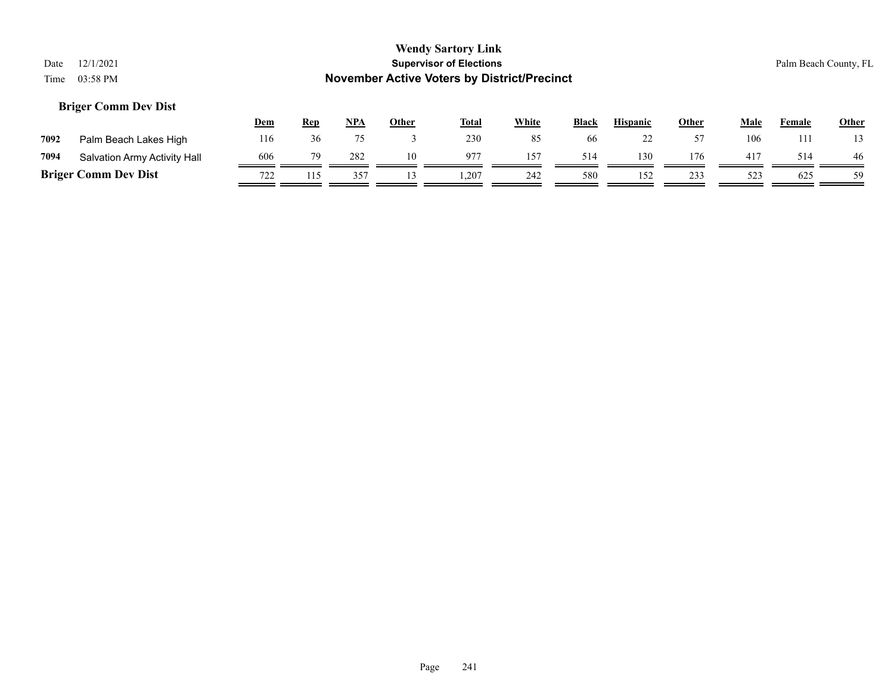# **Wendy Sartory Link** Date 12/1/2021 **Supervisor of Elections** Palm Beach County, FL Time 03:58 PM **November Active Voters by District/Precinct Dem Rep NPA Other Total White Black Hispanic Other Male Female Other Briger Comm Dev Dist**

| 7092 | Palm Beach Lakes High        | .16 |     |    | 230   |     | 66  | --  | $ -$       | 106 | Ш   | 13 |
|------|------------------------------|-----|-----|----|-------|-----|-----|-----|------------|-----|-----|----|
| 7094 | Salvation Army Activity Hall | 606 | 282 | 10 | 977   |     |     | 130 | 176        |     | 514 | 46 |
|      | <b>Briger Comm Dev Dist</b>  | 722 |     |    | 0.207 | 242 | 580 | 152 | ววว<br>۔ ب |     | 625 | 59 |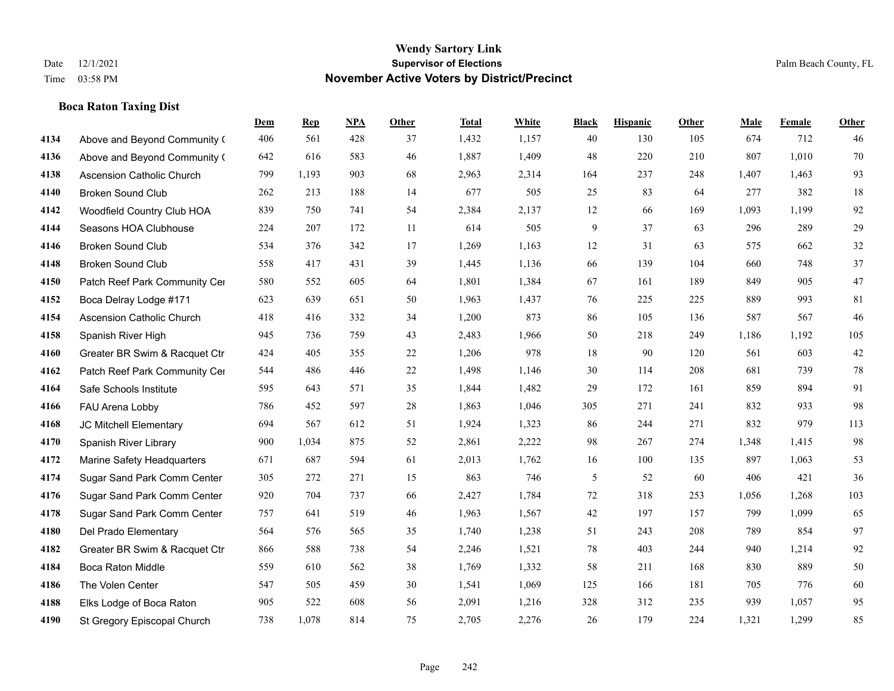**Boca Raton Taxing Dist**

#### **Wendy Sartory Link** Date 12/1/2021 **Supervisor of Elections** Palm Beach County, FL Time 03:58 PM **November Active Voters by District/Precinct**

# **Dem Rep NPA Other Total White Black Hispanic Other Male Female Other** Above and Beyond Community Church 406 561 428 37 1,432 1,157 40 130 105 674 712 46 Above and Beyond Community Church 642 616 583 46 1,887 1,409 48 220 210 807 1,010 70 Ascension Catholic Church 799 1,193 903 68 2,963 2,314 164 237 248 1,407 1,463 93 Broken Sound Club 262 213 188 14 677 505 25 83 64 277 382 18 Woodfield Country Club HOA 839 750 741 54 2,384 2,137 12 66 169 1,093 1,199 92 Seasons HOA Clubhouse 224 207 172 11 614 505 9 37 63 296 289 29 Broken Sound Club 534 376 342 17 1,269 1,163 12 31 63 575 662 32 Broken Sound Club 558 417 431 39 1,445 1,136 66 139 104 660 748 37 4150 Patch Reef Park Community Center 580 552 605 64 1,801 1,384 67 161 189 849 905 47 Boca Delray Lodge #171 623 639 651 50 1,963 1,437 76 225 225 889 993 81 Ascension Catholic Church 418 416 332 34 1,200 873 86 105 136 587 567 46 Spanish River High 945 736 759 43 2,483 1,966 50 218 249 1,186 1,192 105 Greater BR Swim & Racquet Ctr 424 405 355 22 1,206 978 18 90 120 561 603 42 4162 Patch Reef Park Community Center 544 486 446 22 1,498 1,146 30 114 208 681 739 78 Safe Schools Institute 595 643 571 35 1,844 1,482 29 172 161 859 894 91 FAU Arena Lobby 786 452 597 28 1,863 1,046 305 271 241 832 933 98 JC Mitchell Elementary 694 567 612 51 1,924 1,323 86 244 271 832 979 113 Spanish River Library 900 1,034 875 52 2,861 2,222 98 267 274 1,348 1,415 98 Marine Safety Headquarters 671 687 594 61 2,013 1,762 16 100 135 897 1,063 53 Sugar Sand Park Comm Center 305 272 271 15 863 746 5 52 60 406 421 36 Sugar Sand Park Comm Center 920 704 737 66 2,427 1,784 72 318 253 1,056 1,268 103 Sugar Sand Park Comm Center 757 641 519 46 1,963 1,567 42 197 157 799 1,099 65 Del Prado Elementary 564 576 565 35 1,740 1,238 51 243 208 789 854 97 Greater BR Swim & Racquet Ctr 866 588 738 54 2,246 1,521 78 403 244 940 1,214 92 Boca Raton Middle 559 610 562 38 1,769 1,332 58 211 168 830 889 50 The Volen Center 547 505 459 30 1,541 1,069 125 166 181 705 776 60 Elks Lodge of Boca Raton 905 522 608 56 2,091 1,216 328 312 235 939 1,057 95

St Gregory Episcopal Church 738 1,078 814 75 2,705 2,276 26 179 224 1,321 1,299 85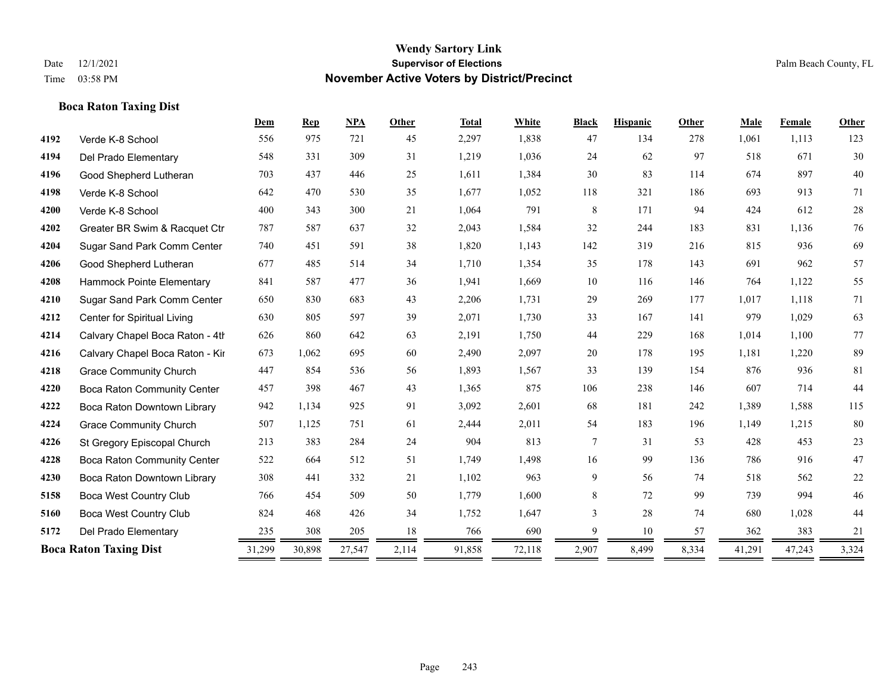#### **Boca Raton Taxing Dist**

|      |                                 | Dem    | <b>Rep</b> | <b>NPA</b> | Other | <b>Total</b> | White  | <b>Black</b> | <b>Hispanic</b> | Other | Male   | Female | Other  |
|------|---------------------------------|--------|------------|------------|-------|--------------|--------|--------------|-----------------|-------|--------|--------|--------|
| 4192 | Verde K-8 School                | 556    | 975        | 721        | 45    | 2,297        | 1,838  | 47           | 134             | 278   | 1,061  | 1,113  | 123    |
| 4194 | Del Prado Elementary            | 548    | 331        | 309        | 31    | 1,219        | 1,036  | 24           | 62              | 97    | 518    | 671    | 30     |
| 4196 | Good Shepherd Lutheran          | 703    | 437        | 446        | 25    | 1,611        | 1,384  | 30           | 83              | 114   | 674    | 897    | 40     |
| 4198 | Verde K-8 School                | 642    | 470        | 530        | 35    | 1,677        | 1,052  | 118          | 321             | 186   | 693    | 913    | 71     |
| 4200 | Verde K-8 School                | 400    | 343        | 300        | 21    | 1,064        | 791    | 8            | 171             | 94    | 424    | 612    | $28\,$ |
| 4202 | Greater BR Swim & Racquet Ctr   | 787    | 587        | 637        | 32    | 2,043        | 1,584  | 32           | 244             | 183   | 831    | 1,136  | 76     |
| 4204 | Sugar Sand Park Comm Center     | 740    | 451        | 591        | 38    | 1,820        | 1,143  | 142          | 319             | 216   | 815    | 936    | 69     |
| 4206 | Good Shepherd Lutheran          | 677    | 485        | 514        | 34    | 1,710        | 1,354  | 35           | 178             | 143   | 691    | 962    | 57     |
| 4208 | Hammock Pointe Elementary       | 841    | 587        | 477        | 36    | 1,941        | 1,669  | 10           | 116             | 146   | 764    | 1,122  | 55     |
| 4210 | Sugar Sand Park Comm Center     | 650    | 830        | 683        | 43    | 2,206        | 1,731  | 29           | 269             | 177   | 1,017  | 1,118  | 71     |
| 4212 | Center for Spiritual Living     | 630    | 805        | 597        | 39    | 2,071        | 1,730  | 33           | 167             | 141   | 979    | 1,029  | 63     |
| 4214 | Calvary Chapel Boca Raton - 4th | 626    | 860        | 642        | 63    | 2,191        | 1,750  | 44           | 229             | 168   | 1,014  | 1,100  | 77     |
| 4216 | Calvary Chapel Boca Raton - Kir | 673    | 1,062      | 695        | 60    | 2,490        | 2,097  | 20           | 178             | 195   | 1,181  | 1,220  | 89     |
| 4218 | <b>Grace Community Church</b>   | 447    | 854        | 536        | 56    | 1,893        | 1,567  | 33           | 139             | 154   | 876    | 936    | 81     |
| 4220 | Boca Raton Community Center     | 457    | 398        | 467        | 43    | 1,365        | 875    | 106          | 238             | 146   | 607    | 714    | 44     |
| 4222 | Boca Raton Downtown Library     | 942    | 1,134      | 925        | 91    | 3,092        | 2,601  | 68           | 181             | 242   | 1,389  | 1,588  | 115    |
| 4224 | <b>Grace Community Church</b>   | 507    | 1,125      | 751        | 61    | 2,444        | 2,011  | 54           | 183             | 196   | 1,149  | 1,215  | 80     |
| 4226 | St Gregory Episcopal Church     | 213    | 383        | 284        | 24    | 904          | 813    | 7            | 31              | 53    | 428    | 453    | 23     |
| 4228 | Boca Raton Community Center     | 522    | 664        | 512        | 51    | 1,749        | 1,498  | 16           | 99              | 136   | 786    | 916    | 47     |
| 4230 | Boca Raton Downtown Library     | 308    | 441        | 332        | 21    | 1,102        | 963    | 9            | 56              | 74    | 518    | 562    | 22     |
| 5158 | Boca West Country Club          | 766    | 454        | 509        | 50    | 1,779        | 1,600  | 8            | 72              | 99    | 739    | 994    | 46     |
| 5160 | Boca West Country Club          | 824    | 468        | 426        | 34    | 1,752        | 1,647  | 3            | 28              | 74    | 680    | 1,028  | 44     |
| 5172 | Del Prado Elementary            | 235    | 308        | 205        | 18    | 766          | 690    | 9            | 10              | 57    | 362    | 383    | 21     |
|      | <b>Boca Raton Taxing Dist</b>   | 31,299 | 30,898     | 27,547     | 2,114 | 91,858       | 72,118 | 2,907        | 8,499           | 8,334 | 41,291 | 47,243 | 3,324  |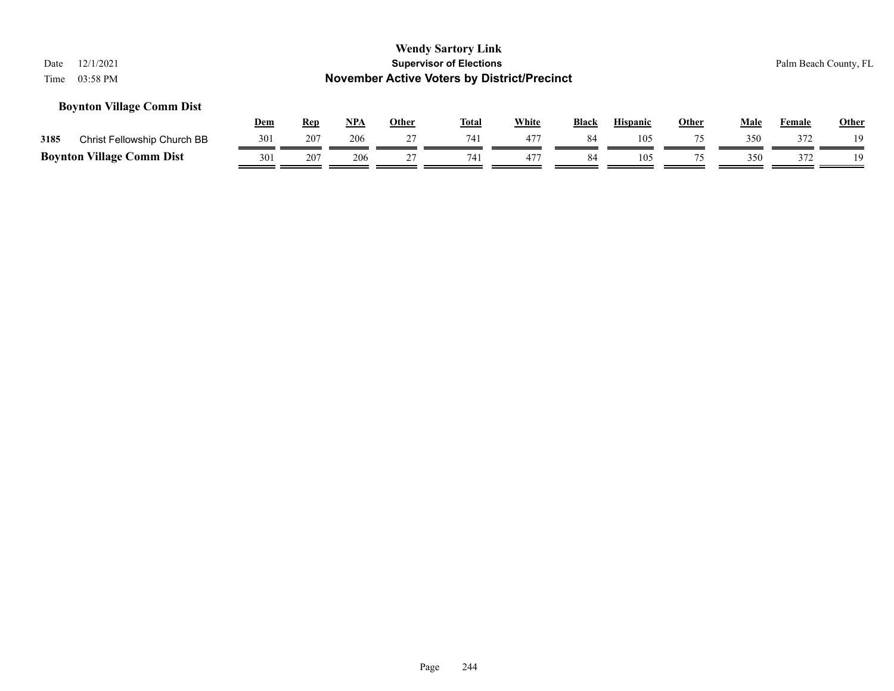#### **Boynton Village Comm Dist**

|      |                                  | <u>Dem</u> | Rep | <b>NPA</b> | Other | <b>Total</b> | White           | <b>Black</b> | <b>Hispanic</b> | <b>Other</b> | Male | Female | <u>Other</u> |
|------|----------------------------------|------------|-----|------------|-------|--------------|-----------------|--------------|-----------------|--------------|------|--------|--------------|
| 3185 | Christ Fellowship Church BB      | 301        | 207 | 206        |       | 741          | 471             | 84           | 105             |              | 350  | 372    | 19           |
|      | <b>Boynton Village Comm Dist</b> | 301        | 207 | 206        |       | 741          | 47 <sup>7</sup> | 84           | 105             |              | 350  | 372    | 19           |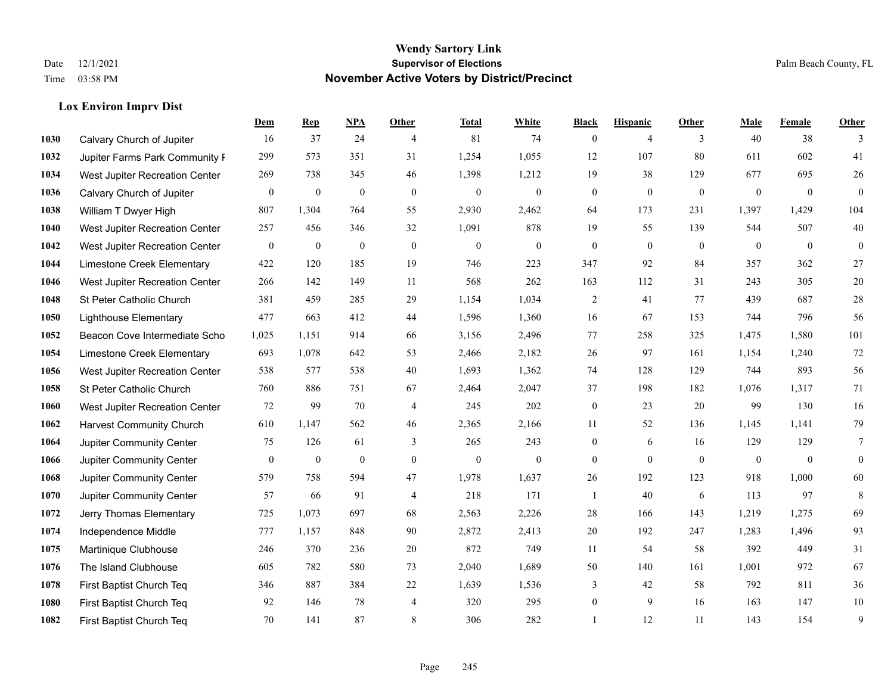#### **Lox Environ Imprv Dist**

|      |                                 | Dem              | <b>Rep</b>       | NPA              | <b>Other</b>   | <b>Total</b>     | <b>White</b>     | <b>Black</b>     | <b>Hispanic</b> | <b>Other</b> | <b>Male</b>    | <b>Female</b> | <b>Other</b>     |
|------|---------------------------------|------------------|------------------|------------------|----------------|------------------|------------------|------------------|-----------------|--------------|----------------|---------------|------------------|
| 1030 | Calvary Church of Jupiter       | 16               | 37               | 24               | $\overline{4}$ | 81               | 74               | $\boldsymbol{0}$ | $\overline{4}$  | 3            | 40             | 38            | 3                |
| 1032 | Jupiter Farms Park Community I  | 299              | 573              | 351              | 31             | 1,254            | 1,055            | 12               | 107             | 80           | 611            | 602           | 41               |
| 1034 | West Jupiter Recreation Center  | 269              | 738              | 345              | 46             | 1,398            | 1,212            | 19               | 38              | 129          | 677            | 695           | $26\,$           |
| 1036 | Calvary Church of Jupiter       | $\boldsymbol{0}$ | $\boldsymbol{0}$ | $\boldsymbol{0}$ | $\mathbf{0}$   | $\boldsymbol{0}$ | $\boldsymbol{0}$ | $\boldsymbol{0}$ | $\mathbf{0}$    | $\mathbf{0}$ | $\mathbf{0}$   | $\mathbf{0}$  | $\mathbf{0}$     |
| 1038 | William T Dwyer High            | 807              | 1,304            | 764              | 55             | 2,930            | 2,462            | 64               | 173             | 231          | 1,397          | 1,429         | 104              |
| 1040 | West Jupiter Recreation Center  | 257              | 456              | 346              | 32             | 1,091            | 878              | 19               | 55              | 139          | 544            | 507           | $40\,$           |
| 1042 | West Jupiter Recreation Center  | $\mathbf{0}$     | $\mathbf{0}$     | $\mathbf{0}$     | $\mathbf{0}$   | $\theta$         | $\boldsymbol{0}$ | $\boldsymbol{0}$ | $\mathbf{0}$    | $\theta$     | $\mathbf{0}$   | $\mathbf{0}$  | $\boldsymbol{0}$ |
| 1044 | Limestone Creek Elementary      | 422              | 120              | 185              | 19             | 746              | 223              | 347              | 92              | 84           | 357            | 362           | 27               |
| 1046 | West Jupiter Recreation Center  | 266              | 142              | 149              | 11             | 568              | 262              | 163              | 112             | 31           | 243            | 305           | $20\,$           |
| 1048 | St Peter Catholic Church        | 381              | 459              | 285              | 29             | 1,154            | 1,034            | 2                | 41              | 77           | 439            | 687           | $28\,$           |
| 1050 | <b>Lighthouse Elementary</b>    | 477              | 663              | 412              | 44             | 1,596            | 1,360            | 16               | 67              | 153          | 744            | 796           | 56               |
| 1052 | Beacon Cove Intermediate Scho   | 1,025            | 1,151            | 914              | 66             | 3,156            | 2,496            | 77               | 258             | 325          | 1,475          | 1,580         | 101              |
| 1054 | Limestone Creek Elementary      | 693              | 1,078            | 642              | 53             | 2,466            | 2,182            | 26               | 97              | 161          | 1,154          | 1,240         | $72\,$           |
| 1056 | West Jupiter Recreation Center  | 538              | 577              | 538              | 40             | 1,693            | 1,362            | 74               | 128             | 129          | 744            | 893           | 56               |
| 1058 | St Peter Catholic Church        | 760              | 886              | 751              | 67             | 2,464            | 2,047            | 37               | 198             | 182          | 1,076          | 1,317         | 71               |
| 1060 | West Jupiter Recreation Center  | 72               | 99               | 70               | $\overline{4}$ | 245              | 202              | $\boldsymbol{0}$ | 23              | 20           | 99             | 130           | 16               |
| 1062 | <b>Harvest Community Church</b> | 610              | 1,147            | 562              | 46             | 2,365            | 2,166            | 11               | 52              | 136          | 1,145          | 1,141         | 79               |
| 1064 | Jupiter Community Center        | 75               | 126              | 61               | 3              | 265              | 243              | $\boldsymbol{0}$ | 6               | 16           | 129            | 129           | 7                |
| 1066 | Jupiter Community Center        | $\mathbf{0}$     | $\boldsymbol{0}$ | $\boldsymbol{0}$ | $\mathbf{0}$   | $\boldsymbol{0}$ | $\mathbf{0}$     | $\boldsymbol{0}$ | $\mathbf{0}$    | $\mathbf{0}$ | $\overline{0}$ | $\mathbf{0}$  | $\mathbf{0}$     |
| 1068 | Jupiter Community Center        | 579              | 758              | 594              | 47             | 1,978            | 1,637            | 26               | 192             | 123          | 918            | 1,000         | 60               |
| 1070 | Jupiter Community Center        | 57               | 66               | 91               | $\overline{4}$ | 218              | 171              | 1                | 40              | 6            | 113            | 97            | 8                |
| 1072 | Jerry Thomas Elementary         | 725              | 1,073            | 697              | 68             | 2,563            | 2,226            | $28\,$           | 166             | 143          | 1,219          | 1,275         | 69               |
| 1074 | Independence Middle             | 777              | 1,157            | 848              | 90             | 2,872            | 2,413            | $20\,$           | 192             | 247          | 1,283          | 1,496         | 93               |
| 1075 | Martinique Clubhouse            | 246              | 370              | 236              | 20             | 872              | 749              | 11               | 54              | 58           | 392            | 449           | 31               |
| 1076 | The Island Clubhouse            | 605              | 782              | 580              | 73             | 2,040            | 1,689            | 50               | 140             | 161          | 1,001          | 972           | 67               |
| 1078 | First Baptist Church Teq        | 346              | 887              | 384              | 22             | 1,639            | 1,536            | 3                | 42              | 58           | 792            | 811           | 36               |
| 1080 | First Baptist Church Teq        | 92               | 146              | 78               | $\overline{4}$ | 320              | 295              | $\boldsymbol{0}$ | 9               | 16           | 163            | 147           | 10               |
| 1082 | First Baptist Church Teq        | 70               | 141              | 87               | 8              | 306              | 282              | 1                | 12              | 11           | 143            | 154           | 9                |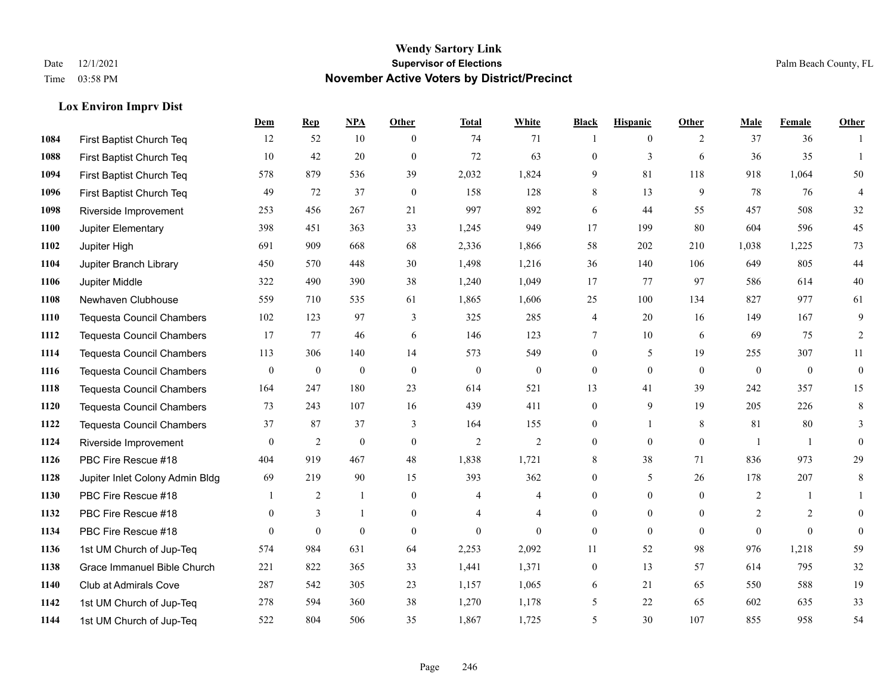#### **Lox Environ Imprv Dist**

|      |                                  | Dem              | <b>Rep</b>       | NPA              | <b>Other</b>     | <b>Total</b>     | <b>White</b>     | <b>Black</b>     | <b>Hispanic</b> | <b>Other</b> | <b>Male</b>      | <b>Female</b>    | <b>Other</b>     |
|------|----------------------------------|------------------|------------------|------------------|------------------|------------------|------------------|------------------|-----------------|--------------|------------------|------------------|------------------|
| 1084 | First Baptist Church Teq         | 12               | 52               | 10               | $\theta$         | 74               | 71               | 1                | $\mathbf{0}$    | 2            | 37               | 36               | $\mathbf{1}$     |
| 1088 | First Baptist Church Teq         | 10               | 42               | 20               | $\overline{0}$   | 72               | 63               | $\boldsymbol{0}$ | 3               | 6            | 36               | 35               | $\mathbf{1}$     |
| 1094 | First Baptist Church Teq         | 578              | 879              | 536              | 39               | 2,032            | 1,824            | 9                | 81              | 118          | 918              | 1,064            | 50               |
| 1096 | First Baptist Church Teq         | 49               | 72               | 37               | $\mathbf{0}$     | 158              | 128              | 8                | 13              | 9            | 78               | 76               | $\overline{4}$   |
| 1098 | Riverside Improvement            | 253              | 456              | 267              | 21               | 997              | 892              | 6                | 44              | 55           | 457              | 508              | $32\,$           |
| 1100 | Jupiter Elementary               | 398              | 451              | 363              | 33               | 1,245            | 949              | 17               | 199             | 80           | 604              | 596              | 45               |
| 1102 | Jupiter High                     | 691              | 909              | 668              | 68               | 2,336            | 1,866            | 58               | 202             | 210          | 1,038            | 1,225            | $73\,$           |
| 1104 | Jupiter Branch Library           | 450              | 570              | 448              | 30               | 1,498            | 1,216            | 36               | 140             | 106          | 649              | 805              | $44\,$           |
| 1106 | Jupiter Middle                   | 322              | 490              | 390              | 38               | 1,240            | 1,049            | 17               | 77              | 97           | 586              | 614              | $40\,$           |
| 1108 | Newhaven Clubhouse               | 559              | 710              | 535              | 61               | 1,865            | 1,606            | 25               | 100             | 134          | 827              | 977              | 61               |
| 1110 | <b>Tequesta Council Chambers</b> | 102              | 123              | 97               | 3                | 325              | 285              | 4                | 20              | 16           | 149              | 167              | 9                |
| 1112 | <b>Tequesta Council Chambers</b> | 17               | 77               | 46               | 6                | 146              | 123              | $\tau$           | 10              | 6            | 69               | 75               | 2                |
| 1114 | Tequesta Council Chambers        | 113              | 306              | 140              | 14               | 573              | 549              | $\mathbf{0}$     | 5               | 19           | 255              | 307              | 11               |
| 1116 | Tequesta Council Chambers        | $\boldsymbol{0}$ | $\boldsymbol{0}$ | $\boldsymbol{0}$ | $\boldsymbol{0}$ | $\boldsymbol{0}$ | $\boldsymbol{0}$ | $\boldsymbol{0}$ | $\mathbf{0}$    | $\mathbf{0}$ | $\boldsymbol{0}$ | $\boldsymbol{0}$ | $\boldsymbol{0}$ |
| 1118 | Tequesta Council Chambers        | 164              | 247              | 180              | 23               | 614              | 521              | 13               | 41              | 39           | 242              | 357              | 15               |
| 1120 | <b>Tequesta Council Chambers</b> | 73               | 243              | 107              | 16               | 439              | 411              | $\boldsymbol{0}$ | 9               | 19           | 205              | 226              | 8                |
| 1122 | <b>Tequesta Council Chambers</b> | 37               | 87               | 37               | 3                | 164              | 155              | $\boldsymbol{0}$ | 1               | 8            | 81               | 80               | 3                |
| 1124 | Riverside Improvement            | $\mathbf{0}$     | $\overline{2}$   | $\mathbf{0}$     | $\Omega$         | $\overline{2}$   | $\overline{2}$   | $\mathbf{0}$     | $\mathbf{0}$    | $\theta$     |                  | $\overline{1}$   | $\mathbf{0}$     |
| 1126 | PBC Fire Rescue #18              | 404              | 919              | 467              | 48               | 1,838            | 1,721            | $8\,$            | 38              | 71           | 836              | 973              | 29               |
| 1128 | Jupiter Inlet Colony Admin Bldg  | 69               | 219              | 90               | 15               | 393              | 362              | $\boldsymbol{0}$ | 5               | 26           | 178              | 207              | 8                |
| 1130 | PBC Fire Rescue #18              |                  | 2                | $\mathbf{1}$     | $\Omega$         | $\overline{4}$   | $\overline{4}$   | $\mathbf{0}$     | $\theta$        | $\theta$     | 2                | $\mathbf{1}$     | $\mathbf{1}$     |
| 1132 | PBC Fire Rescue #18              | $\overline{0}$   | 3                | $\mathbf{1}$     | $\overline{0}$   | 4                | $\overline{4}$   | $\boldsymbol{0}$ | $\mathbf{0}$    | $\theta$     | $\overline{2}$   | 2                | $\mathbf{0}$     |
| 1134 | PBC Fire Rescue #18              | $\Omega$         | $\mathbf{0}$     | $\mathbf{0}$     | $\Omega$         | $\theta$         | $\Omega$         | $\mathbf{0}$     | $\theta$        | $\Omega$     | $\Omega$         | $\theta$         | $\mathbf{0}$     |
| 1136 | 1st UM Church of Jup-Teq         | 574              | 984              | 631              | 64               | 2,253            | 2,092            | 11               | 52              | 98           | 976              | 1,218            | 59               |
| 1138 | Grace Immanuel Bible Church      | 221              | 822              | 365              | 33               | 1,441            | 1,371            | $\boldsymbol{0}$ | 13              | 57           | 614              | 795              | 32               |
| 1140 | Club at Admirals Cove            | 287              | 542              | 305              | 23               | 1,157            | 1,065            | 6                | 21              | 65           | 550              | 588              | 19               |
| 1142 | 1st UM Church of Jup-Teq         | 278              | 594              | 360              | 38               | 1,270            | 1,178            | 5                | 22              | 65           | 602              | 635              | 33               |
| 1144 | 1st UM Church of Jup-Teq         | 522              | 804              | 506              | 35               | 1,867            | 1,725            | 5                | 30              | 107          | 855              | 958              | 54               |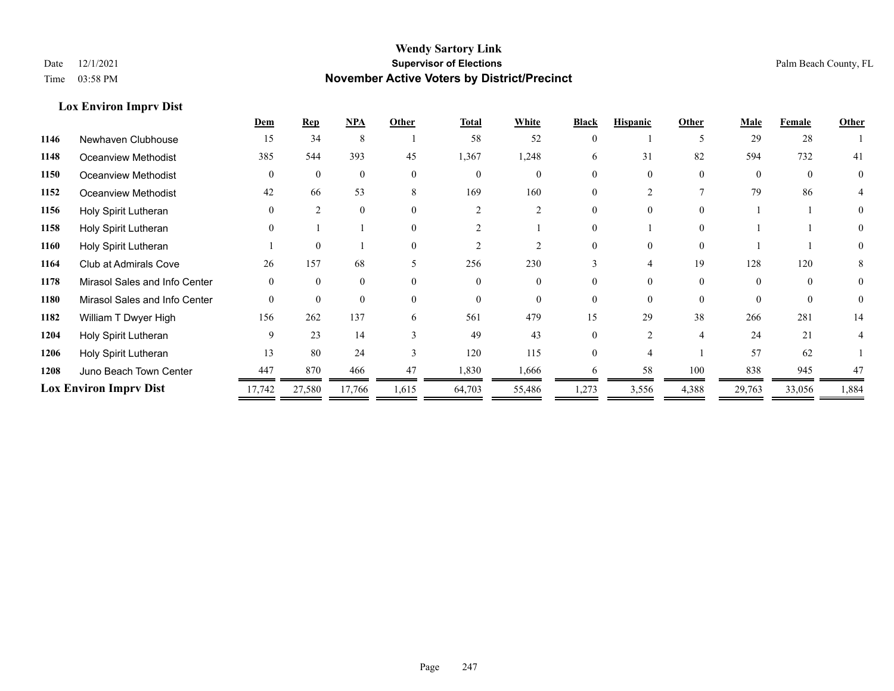#### **Lox Environ Imprv Dist**

|      |                               | Dem      | <b>Rep</b>     | NPA      | Other    | <b>Total</b>   | White    | <b>Black</b> | <b>Hispanic</b> | Other          | <b>Male</b> | Female   | <b>Other</b> |
|------|-------------------------------|----------|----------------|----------|----------|----------------|----------|--------------|-----------------|----------------|-------------|----------|--------------|
| 1146 | Newhaven Clubhouse            | 15       | 34             | 8        |          | 58             | 52       |              |                 |                | 29          | 28       |              |
| 1148 | Oceanview Methodist           | 385      | 544            | 393      | 45       | 1,367          | 1,248    | 6            | 31              | 82             | 594         | 732      | 41           |
| 1150 | Oceanview Methodist           | $\Omega$ | $\Omega$       | $\theta$ | $\theta$ | $\Omega$       | $\Omega$ |              | $\Omega$        | $\Omega$       | $\Omega$    | $\Omega$ | $\theta$     |
| 1152 | <b>Oceanview Methodist</b>    | 42       | 66             | 53       | 8        | 169            | 160      |              |                 |                | 79          | 86       |              |
| 1156 | Holy Spirit Lutheran          |          | $\mathfrak{D}$ | $\theta$ | $\Omega$ |                |          | 0            | $\Omega$        | $\Omega$       |             |          | $\Omega$     |
| 1158 | Holy Spirit Lutheran          |          |                |          | $\theta$ |                |          |              |                 | $\Omega$       |             |          |              |
| 1160 | Holy Spirit Lutheran          |          | $\theta$       |          | $\theta$ |                |          |              |                 | $\Omega$       |             |          |              |
| 1164 | Club at Admirals Cove         | 26       | 157            | 68       | 5        | 256            | 230      |              | 4               | 19             | 128         | 120      | 8            |
| 1178 | Mirasol Sales and Info Center |          | $\Omega$       | $\Omega$ | $\Omega$ | $\Omega$       | $\Omega$ |              | $\Omega$        | $\Omega$       | $\Omega$    | $\Omega$ |              |
| 1180 | Mirasol Sales and Info Center | $\theta$ | $\Omega$       | $\theta$ | $\theta$ | $\overline{0}$ | $\theta$ |              | $\Omega$        | $\Omega$       | $\Omega$    | $\Omega$ | $\theta$     |
| 1182 | William T Dwyer High          | 156      | 262            | 137      | 6        | 561            | 479      | 15           | 29              | 38             | 266         | 281      | 14           |
| 1204 | Holy Spirit Lutheran          | 9        | 23             | 14       |          | 49             | 43       | 0            | $\mathcal{D}$   | $\overline{4}$ | 24          | 21       |              |
| 1206 | Holy Spirit Lutheran          | 13       | 80             | 24       |          | 120            | 115      |              |                 |                | 57          | 62       |              |
| 1208 | Juno Beach Town Center        | 447      | 870            | 466      | 47       | 1,830          | 1,666    | 6.           | 58              | 100            | 838         | 945      | 47           |
|      | <b>Lox Environ Imprv Dist</b> | 17,742   | 27,580         | 17,766   | 1,615    | 64,703         | 55,486   | 1,273        | 3,556           | 4,388          | 29,763      | 33,056   | 1,884        |
|      |                               |          |                |          |          |                |          |              |                 |                |             |          |              |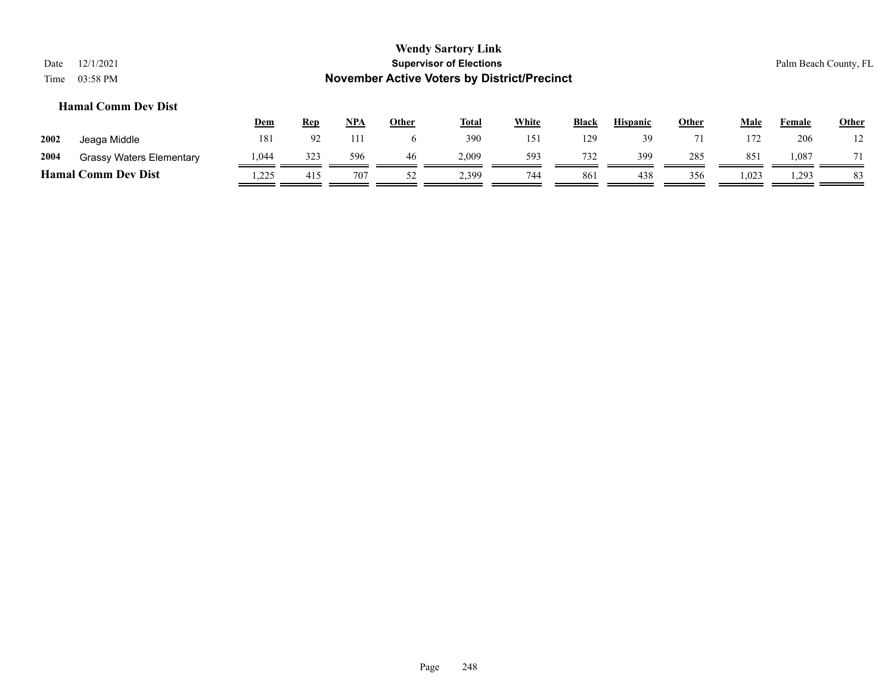### **Wendy Sartory Link** Date 12/1/2021 **Supervisor of Elections** Palm Beach County, FL Time 03:58 PM **November Active Voters by District/Precinct Dem Rep NPA Other Total White Black Hispanic Other Male Female Other Hamal Comm Dev Dist**

|      |                                 | $ -$  | ---- | .   | $\sim$ | $-0.0$ | .   | ------ | ------------ | $\sim$ | .               | - ------- | $rac{1}{2}$   |
|------|---------------------------------|-------|------|-----|--------|--------|-----|--------|--------------|--------|-----------------|-----------|---------------|
| 2002 | Jeaga Middle                    | 181   | 92   | 111 |        | 390    | 151 | 129    | 39           |        | 172             | 206       | $\frac{1}{2}$ |
| 2004 | <b>Grassy Waters Elementary</b> | 1.044 | 323  | 596 | 46     | 2.009  | 593 | 732    | 399          | 285    | 85 <sup>2</sup> | .087      | $-11$         |
|      | <b>Hamal Comm Dev Dist</b>      | .225  | 415  | 707 | ے ر    | 2,399  | 744 | 861    | 438          | 356    | 1,023           | 1,293     | 83            |

Page 248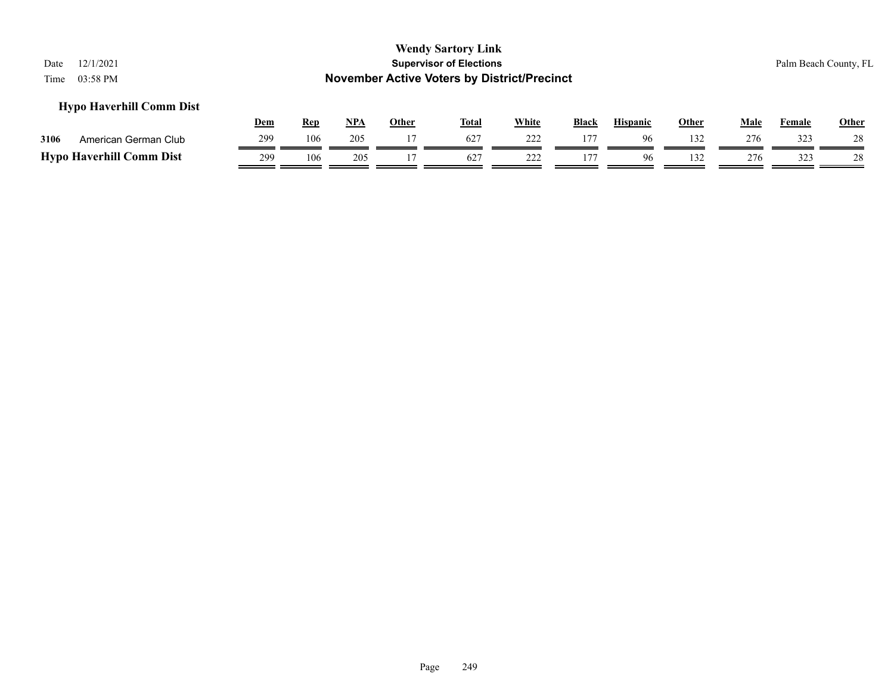#### **Hypo Haverhill Comm Dist**

|      |                                 | <u>Dem</u> | Rep | <b>NPA</b> | Other | <b>Total</b> | White | <b>Black</b> | <b>Hispanic</b> | Other | Male | Female | <u>Other</u> |
|------|---------------------------------|------------|-----|------------|-------|--------------|-------|--------------|-----------------|-------|------|--------|--------------|
| 3106 | American German Club            | 299        | 106 | 205        |       | 627          | າາາ   |              | 96              | 132   | 276  | 323    | 28           |
|      | <b>Hypo Haverhill Comm Dist</b> | 299        | 106 | 205        |       | 627          | 222   |              |                 | 132   | 276  | 323    | 28           |

#### Page 249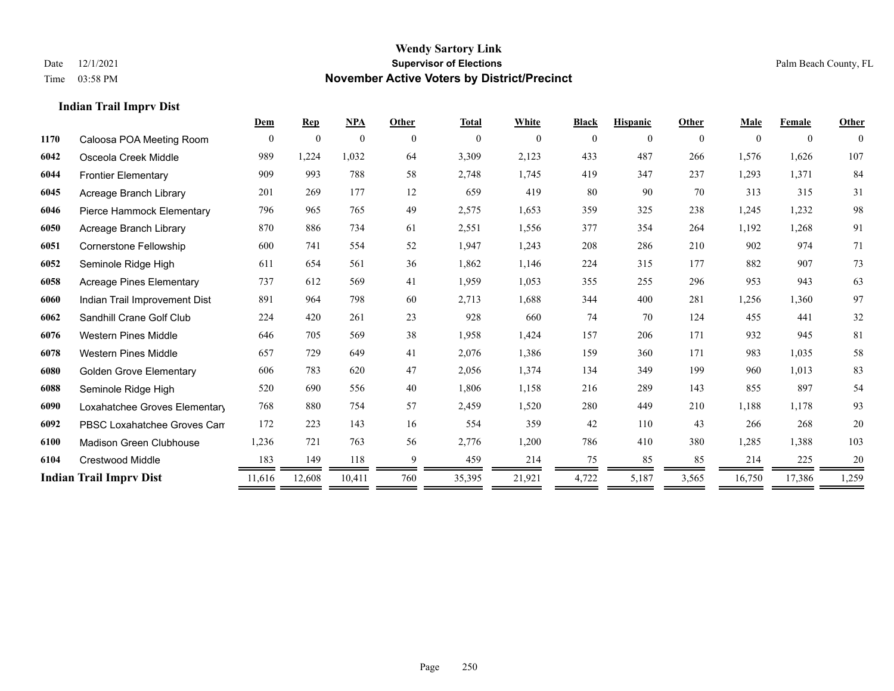**Indian Trail Imprv Dist**

#### **Wendy Sartory Link** Date 12/1/2021 **Supervisor of Elections** Palm Beach County, FL Time 03:58 PM **November Active Voters by District/Precinct**

|      |                                 | Dem      | <b>Rep</b>     | <b>NPA</b>     | Other       | <b>Total</b> | White    | <b>Black</b> | <b>Hispanic</b> | Other    | <b>Male</b> | Female         | Other        |
|------|---------------------------------|----------|----------------|----------------|-------------|--------------|----------|--------------|-----------------|----------|-------------|----------------|--------------|
| 1170 | Caloosa POA Meeting Room        | $\theta$ | $\overline{0}$ | $\overline{0}$ | $\theta$    | $\mathbf{0}$ | $\theta$ | $\Omega$     | $\theta$        | $\theta$ | $\theta$    | $\overline{0}$ | $\mathbf{0}$ |
| 6042 | Osceola Creek Middle            | 989      | 1,224          | 1,032          | 64          | 3,309        | 2,123    | 433          | 487             | 266      | 1,576       | 1,626          | 107          |
| 6044 | <b>Frontier Elementary</b>      | 909      | 993            | 788            | 58          | 2,748        | 1,745    | 419          | 347             | 237      | 1,293       | 1,371          | 84           |
| 6045 | Acreage Branch Library          | 201      | 269            | 177            | 12          | 659          | 419      | 80           | 90              | 70       | 313         | 315            | 31           |
| 6046 | Pierce Hammock Elementary       | 796      | 965            | 765            | 49          | 2,575        | 1,653    | 359          | 325             | 238      | 1,245       | 1,232          | 98           |
| 6050 | Acreage Branch Library          | 870      | 886            | 734            | 61          | 2,551        | 1,556    | 377          | 354             | 264      | 1,192       | 1,268          | 91           |
| 6051 | Cornerstone Fellowship          | 600      | 741            | 554            | 52          | 1,947        | 1,243    | 208          | 286             | 210      | 902         | 974            | 71           |
| 6052 | Seminole Ridge High             | 611      | 654            | 561            | 36          | 1,862        | 1,146    | 224          | 315             | 177      | 882         | 907            | 73           |
| 6058 | <b>Acreage Pines Elementary</b> | 737      | 612            | 569            | 41          | 1,959        | 1,053    | 355          | 255             | 296      | 953         | 943            | 63           |
| 6060 | Indian Trail Improvement Dist   | 891      | 964            | 798            | 60          | 2,713        | 1,688    | 344          | 400             | 281      | 1,256       | 1,360          | 97           |
| 6062 | Sandhill Crane Golf Club        | 224      | 420            | 261            | 23          | 928          | 660      | 74           | 70              | 124      | 455         | 441            | 32           |
| 6076 | <b>Western Pines Middle</b>     | 646      | 705            | 569            | 38          | 1,958        | 1,424    | 157          | 206             | 171      | 932         | 945            | 81           |
| 6078 | <b>Western Pines Middle</b>     | 657      | 729            | 649            | 41          | 2,076        | 1,386    | 159          | 360             | 171      | 983         | 1,035          | 58           |
| 6080 | <b>Golden Grove Elementary</b>  | 606      | 783            | 620            | 47          | 2,056        | 1,374    | 134          | 349             | 199      | 960         | 1.013          | 83           |
| 6088 | Seminole Ridge High             | 520      | 690            | 556            | 40          | 1,806        | 1,158    | 216          | 289             | 143      | 855         | 897            | 54           |
| 6090 | Loxahatchee Groves Elementary   | 768      | 880            | 754            | 57          | 2,459        | 1,520    | 280          | 449             | 210      | 1,188       | 1,178          | 93           |
| 6092 | PBSC Loxahatchee Groves Can     | 172      | 223            | 143            | 16          | 554          | 359      | 42           | 110             | 43       | 266         | 268            | 20           |
| 6100 | <b>Madison Green Clubhouse</b>  | 1,236    | 721            | 763            | 56          | 2,776        | 1,200    | 786          | 410             | 380      | 1,285       | 1,388          | 103          |
| 6104 | Crestwood Middle                | 183      | 149            | 118            | $\mathbf Q$ | 459          | 214      | 75           | 85              | 85       | 214         | 225            | 20           |
|      | <b>Indian Trail Imprv Dist</b>  | 11,616   | 12,608         | 10,411         | 760         | 35,395       | 21,921   | 4,722        | 5,187           | 3,565    | 16,750      | 17,386         | 1,259        |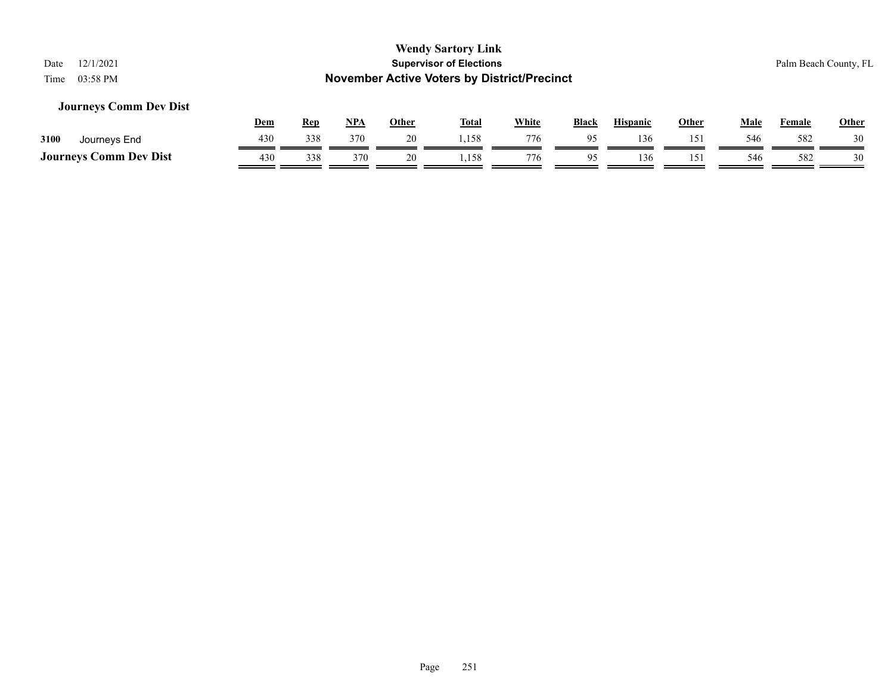#### **Journeys Comm Dev Dist**

|                               | Dem | Rep | <b>NPA</b> | Other | <b>Total</b> | White | <b>Black</b> | <b>Hispanic</b> | Other | Male | Female | <b>Other</b> |
|-------------------------------|-----|-----|------------|-------|--------------|-------|--------------|-----------------|-------|------|--------|--------------|
| 3100<br>Journeys End          | 430 | 338 | 370        |       | ,158         | 776   | 05           | 136             | ۱۲۱   | 546  | 582    | 30           |
| <b>Journeys Comm Dev Dist</b> | 430 | 338 | 370        | 20    | 1,158        | 776   |              | 136             | 15'   | 546  | 582    | 30           |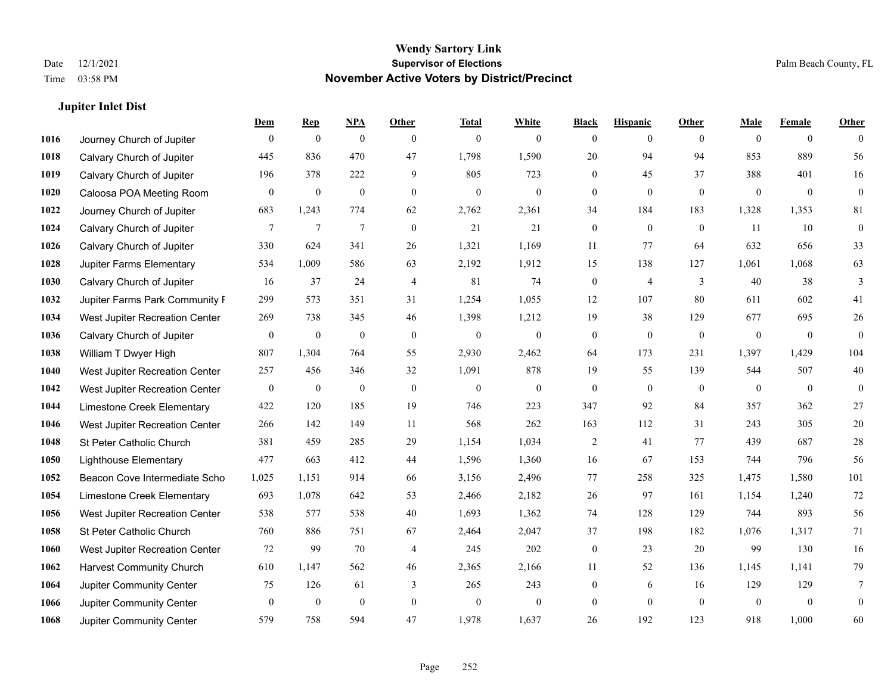#### **Jupiter Inlet Dist**

|      |                                 | Dem          | <b>Rep</b>       | $NPA$            | <b>Other</b>   | <b>Total</b>     | <b>White</b>     | <b>Black</b>     | <b>Hispanic</b>  | <b>Other</b>   | <b>Male</b>  | <b>Female</b>  | <b>Other</b>     |
|------|---------------------------------|--------------|------------------|------------------|----------------|------------------|------------------|------------------|------------------|----------------|--------------|----------------|------------------|
| 1016 | Journey Church of Jupiter       | $\theta$     | $\boldsymbol{0}$ | $\boldsymbol{0}$ | $\theta$       | $\mathbf{0}$     | $\overline{0}$   | $\overline{0}$   | $\overline{0}$   | $\theta$       | $\mathbf{0}$ | $\overline{0}$ | $\Omega$         |
| 1018 | Calvary Church of Jupiter       | 445          | 836              | 470              | 47             | 1,798            | 1,590            | 20               | 94               | 94             | 853          | 889            | 56               |
| 1019 | Calvary Church of Jupiter       | 196          | 378              | 222              | 9              | 805              | 723              | $\overline{0}$   | 45               | 37             | 388          | 401            | 16               |
| 1020 | Caloosa POA Meeting Room        | $\theta$     | $\boldsymbol{0}$ | $\boldsymbol{0}$ | $\mathbf{0}$   | $\boldsymbol{0}$ | $\boldsymbol{0}$ | $\boldsymbol{0}$ | $\mathbf{0}$     | $\mathbf{0}$   | $\mathbf{0}$ | $\mathbf{0}$   | $\boldsymbol{0}$ |
| 1022 | Journey Church of Jupiter       | 683          | 1,243            | 774              | 62             | 2,762            | 2,361            | 34               | 184              | 183            | 1,328        | 1,353          | 81               |
| 1024 | Calvary Church of Jupiter       | 7            | $\tau$           | $\tau$           | $\mathbf{0}$   | 21               | 21               | $\boldsymbol{0}$ | $\boldsymbol{0}$ | $\mathbf{0}$   | 11           | 10             | $\boldsymbol{0}$ |
| 1026 | Calvary Church of Jupiter       | 330          | 624              | 341              | 26             | 1,321            | 1,169            | 11               | 77               | 64             | 632          | 656            | 33               |
| 1028 | Jupiter Farms Elementary        | 534          | 1,009            | 586              | 63             | 2,192            | 1,912            | 15               | 138              | 127            | 1,061        | 1,068          | 63               |
| 1030 | Calvary Church of Jupiter       | 16           | 37               | 24               | $\overline{4}$ | 81               | 74               | $\boldsymbol{0}$ | $\overline{4}$   | 3              | 40           | 38             | 3                |
| 1032 | Jupiter Farms Park Community I  | 299          | 573              | 351              | 31             | 1,254            | 1,055            | 12               | 107              | 80             | 611          | 602            | 41               |
| 1034 | West Jupiter Recreation Center  | 269          | 738              | 345              | 46             | 1,398            | 1,212            | 19               | 38               | 129            | 677          | 695            | $26\,$           |
| 1036 | Calvary Church of Jupiter       | $\mathbf{0}$ | $\mathbf{0}$     | $\mathbf{0}$     | $\mathbf{0}$   | $\mathbf{0}$     | $\mathbf{0}$     | $\overline{0}$   | $\mathbf{0}$     | $\mathbf{0}$   | $\mathbf{0}$ | $\theta$       | $\theta$         |
| 1038 | William T Dwyer High            | 807          | 1,304            | 764              | 55             | 2,930            | 2,462            | 64               | 173              | 231            | 1,397        | 1,429          | 104              |
| 1040 | West Jupiter Recreation Center  | 257          | 456              | 346              | 32             | 1,091            | 878              | 19               | 55               | 139            | 544          | 507            | 40               |
| 1042 | West Jupiter Recreation Center  | $\mathbf{0}$ | $\mathbf{0}$     | $\mathbf{0}$     | $\theta$       | $\mathbf{0}$     | $\overline{0}$   | $\overline{0}$   | $\mathbf{0}$     | $\theta$       | $\mathbf{0}$ | $\theta$       | $\mathbf{0}$     |
| 1044 | Limestone Creek Elementary      | 422          | 120              | 185              | 19             | 746              | 223              | 347              | 92               | 84             | 357          | 362            | $27\,$           |
| 1046 | West Jupiter Recreation Center  | 266          | 142              | 149              | 11             | 568              | 262              | 163              | 112              | 31             | 243          | 305            | $20\,$           |
| 1048 | St Peter Catholic Church        | 381          | 459              | 285              | 29             | 1,154            | 1,034            | $\overline{2}$   | 41               | 77             | 439          | 687            | $28\,$           |
| 1050 | <b>Lighthouse Elementary</b>    | 477          | 663              | 412              | 44             | 1,596            | 1,360            | 16               | 67               | 153            | 744          | 796            | 56               |
| 1052 | Beacon Cove Intermediate Scho   | 1,025        | 1,151            | 914              | 66             | 3,156            | 2,496            | 77               | 258              | 325            | 1,475        | 1,580          | 101              |
| 1054 | Limestone Creek Elementary      | 693          | 1,078            | 642              | 53             | 2,466            | 2,182            | 26               | 97               | 161            | 1,154        | 1,240          | $72\,$           |
| 1056 | West Jupiter Recreation Center  | 538          | 577              | 538              | $40\,$         | 1,693            | 1,362            | 74               | 128              | 129            | 744          | 893            | 56               |
| 1058 | St Peter Catholic Church        | 760          | 886              | 751              | 67             | 2,464            | 2,047            | 37               | 198              | 182            | 1,076        | 1,317          | 71               |
| 1060 | West Jupiter Recreation Center  | 72           | 99               | 70               | $\overline{4}$ | 245              | 202              | $\boldsymbol{0}$ | 23               | 20             | 99           | 130            | 16               |
| 1062 | <b>Harvest Community Church</b> | 610          | 1.147            | 562              | 46             | 2,365            | 2,166            | 11               | 52               | 136            | 1,145        | 1,141          | 79               |
| 1064 | Jupiter Community Center        | 75           | 126              | 61               | 3              | 265              | 243              | $\boldsymbol{0}$ | 6                | 16             | 129          | 129            | 7                |
| 1066 | Jupiter Community Center        | $\mathbf{0}$ | $\boldsymbol{0}$ | $\mathbf{0}$     | $\mathbf{0}$   | $\mathbf{0}$     | $\overline{0}$   | $\overline{0}$   | $\theta$         | $\overline{0}$ | $\mathbf{0}$ | $\overline{0}$ | $\mathbf{0}$     |
| 1068 | Jupiter Community Center        | 579          | 758              | 594              | 47             | 1,978            | 1,637            | 26               | 192              | 123            | 918          | 1,000          | 60               |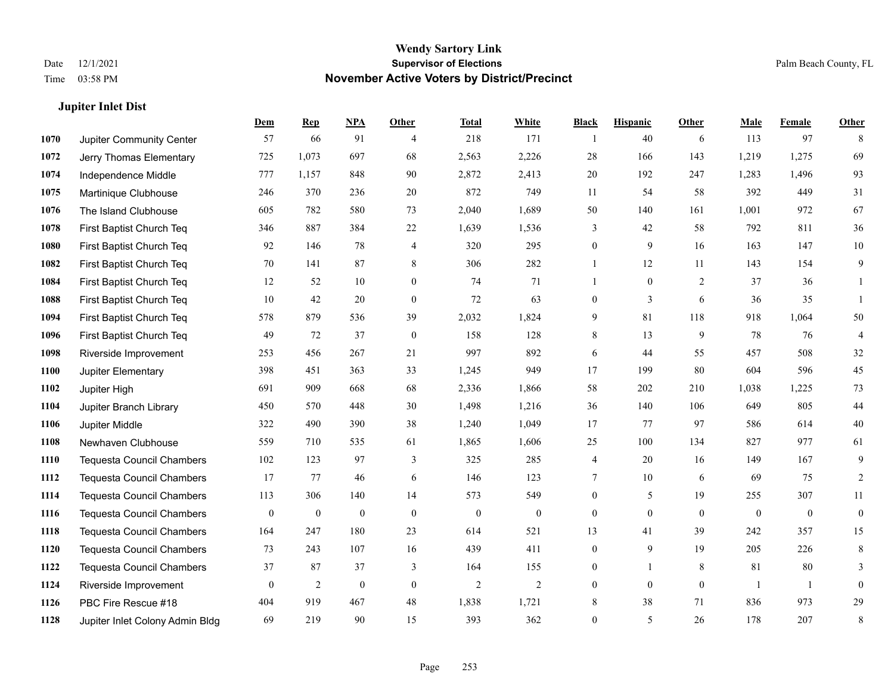### **Jupiter Inlet Dist**

|      |                                  | Dem              | <b>Rep</b>       | NPA              | <b>Other</b>     | <b>Total</b>     | <b>White</b>     | <b>Black</b>     | <b>Hispanic</b>  | <b>Other</b>     | <b>Male</b>      | Female           | <b>Other</b>     |
|------|----------------------------------|------------------|------------------|------------------|------------------|------------------|------------------|------------------|------------------|------------------|------------------|------------------|------------------|
| 1070 | Jupiter Community Center         | 57               | 66               | 91               | $\overline{4}$   | 218              | 171              |                  | 40               | 6                | 113              | 97               | 8                |
| 1072 | Jerry Thomas Elementary          | 725              | 1,073            | 697              | 68               | 2,563            | 2,226            | 28               | 166              | 143              | 1,219            | 1,275            | 69               |
| 1074 | Independence Middle              | 777              | 1,157            | 848              | 90               | 2,872            | 2,413            | $20\,$           | 192              | 247              | 1,283            | 1,496            | 93               |
| 1075 | Martinique Clubhouse             | 246              | 370              | 236              | 20               | 872              | 749              | 11               | 54               | 58               | 392              | 449              | 31               |
| 1076 | The Island Clubhouse             | 605              | 782              | 580              | 73               | 2,040            | 1,689            | 50               | 140              | 161              | 1,001            | 972              | 67               |
| 1078 | First Baptist Church Teq         | 346              | 887              | 384              | 22               | 1,639            | 1,536            | 3                | $42\,$           | 58               | 792              | 811              | 36               |
| 1080 | First Baptist Church Teq         | 92               | 146              | 78               | 4                | 320              | 295              | $\boldsymbol{0}$ | 9                | 16               | 163              | 147              | $10\,$           |
| 1082 | First Baptist Church Teq         | 70               | 141              | 87               | 8                | 306              | 282              | $\mathbf{1}$     | 12               | 11               | 143              | 154              | 9                |
| 1084 | First Baptist Church Teq         | 12               | 52               | 10               | $\mathbf{0}$     | 74               | 71               | 1                | $\mathbf{0}$     | 2                | 37               | 36               | 1                |
| 1088 | First Baptist Church Teq         | 10               | 42               | 20               | $\overline{0}$   | 72               | 63               | $\boldsymbol{0}$ | 3                | 6                | 36               | 35               | 1                |
| 1094 | First Baptist Church Teq         | 578              | 879              | 536              | 39               | 2,032            | 1,824            | 9                | 81               | 118              | 918              | 1,064            | 50               |
| 1096 | First Baptist Church Teq         | 49               | 72               | 37               | $\mathbf{0}$     | 158              | 128              | 8                | 13               | 9                | 78               | 76               | $\overline{4}$   |
| 1098 | Riverside Improvement            | 253              | 456              | 267              | 21               | 997              | 892              | 6                | 44               | 55               | 457              | 508              | $32\,$           |
| 1100 | Jupiter Elementary               | 398              | 451              | 363              | 33               | 1,245            | 949              | 17               | 199              | 80               | 604              | 596              | 45               |
| 1102 | Jupiter High                     | 691              | 909              | 668              | 68               | 2,336            | 1,866            | 58               | 202              | 210              | 1,038            | 1,225            | 73               |
| 1104 | Jupiter Branch Library           | 450              | 570              | 448              | 30               | 1,498            | 1,216            | 36               | 140              | 106              | 649              | 805              | 44               |
| 1106 | Jupiter Middle                   | 322              | 490              | 390              | 38               | 1,240            | 1,049            | 17               | 77               | 97               | 586              | 614              | $40\,$           |
| 1108 | Newhaven Clubhouse               | 559              | 710              | 535              | 61               | 1,865            | 1,606            | 25               | 100              | 134              | 827              | 977              | 61               |
| 1110 | <b>Tequesta Council Chambers</b> | 102              | 123              | 97               | 3                | 325              | 285              | 4                | 20               | 16               | 149              | 167              | 9                |
| 1112 | <b>Tequesta Council Chambers</b> | 17               | 77               | 46               | 6                | 146              | 123              | $\tau$           | 10               | 6                | 69               | 75               | $\overline{c}$   |
| 1114 | <b>Tequesta Council Chambers</b> | 113              | 306              | 140              | 14               | 573              | 549              | $\overline{0}$   | 5                | 19               | 255              | 307              | 11               |
| 1116 | Tequesta Council Chambers        | $\boldsymbol{0}$ | $\boldsymbol{0}$ | $\boldsymbol{0}$ | $\boldsymbol{0}$ | $\boldsymbol{0}$ | $\boldsymbol{0}$ | $\boldsymbol{0}$ | $\boldsymbol{0}$ | $\boldsymbol{0}$ | $\boldsymbol{0}$ | $\boldsymbol{0}$ | $\boldsymbol{0}$ |
| 1118 | <b>Tequesta Council Chambers</b> | 164              | 247              | 180              | 23               | 614              | 521              | 13               | 41               | 39               | 242              | 357              | 15               |
| 1120 | <b>Tequesta Council Chambers</b> | 73               | 243              | 107              | 16               | 439              | 411              | $\boldsymbol{0}$ | 9                | 19               | 205              | 226              | 8                |
| 1122 | <b>Tequesta Council Chambers</b> | 37               | 87               | 37               | 3                | 164              | 155              | $\overline{0}$   | $\mathbf{1}$     | 8                | 81               | 80               | 3                |
| 1124 | Riverside Improvement            | $\mathbf{0}$     | $\overline{c}$   | $\boldsymbol{0}$ | $\mathbf{0}$     | $\overline{2}$   | 2                | $\boldsymbol{0}$ | $\mathbf{0}$     | $\mathbf{0}$     | -1               | -1               | $\boldsymbol{0}$ |
| 1126 | PBC Fire Rescue #18              | 404              | 919              | 467              | 48               | 1,838            | 1,721            | 8                | 38               | 71               | 836              | 973              | 29               |
| 1128 | Jupiter Inlet Colony Admin Bldg  | 69               | 219              | 90               | 15               | 393              | 362              | $\overline{0}$   | 5                | 26               | 178              | 207              | 8                |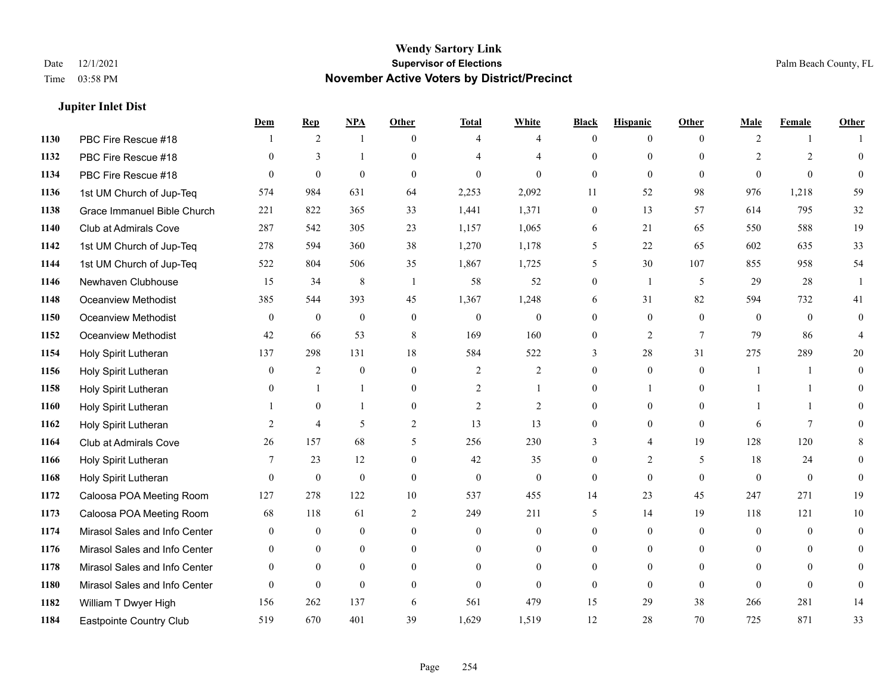### **Jupiter Inlet Dist**

|      |                               | Dem            | <b>Rep</b>     | NPA              | <b>Other</b>   | <b>Total</b>   | <b>White</b>     | <b>Black</b>     | <b>Hispanic</b>  | <b>Other</b> | <b>Male</b>    | <b>Female</b>  | <b>Other</b>   |
|------|-------------------------------|----------------|----------------|------------------|----------------|----------------|------------------|------------------|------------------|--------------|----------------|----------------|----------------|
| 1130 | PBC Fire Rescue #18           |                | 2              | 1                | $\theta$       | $\overline{4}$ | $\overline{4}$   | $\mathbf{0}$     | $\overline{0}$   | $\theta$     | 2              | $\mathbf{1}$   |                |
| 1132 | PBC Fire Rescue #18           | $\theta$       | 3              | $\mathbf{1}$     | $\Omega$       | $\overline{4}$ | $\overline{4}$   | $\theta$         | $\mathbf{0}$     | $\Omega$     | $\overline{2}$ | $\overline{2}$ | $\mathbf{0}$   |
| 1134 | PBC Fire Rescue #18           | $\Omega$       | $\theta$       | $\theta$         | $\Omega$       | $\theta$       | $\Omega$         | $\Omega$         | $\theta$         | $\Omega$     | $\Omega$       | $\Omega$       | $\theta$       |
| 1136 | 1st UM Church of Jup-Teq      | 574            | 984            | 631              | 64             | 2,253          | 2,092            | 11               | 52               | 98           | 976            | 1,218          | 59             |
| 1138 | Grace Immanuel Bible Church   | 221            | 822            | 365              | 33             | 1,441          | 1,371            | $\mathbf{0}$     | 13               | 57           | 614            | 795            | $32\,$         |
| 1140 | Club at Admirals Cove         | 287            | 542            | 305              | 23             | 1,157          | 1,065            | 6                | 21               | 65           | 550            | 588            | 19             |
| 1142 | 1st UM Church of Jup-Teq      | 278            | 594            | 360              | 38             | 1,270          | 1,178            | 5                | 22               | 65           | 602            | 635            | 33             |
| 1144 | 1st UM Church of Jup-Teq      | 522            | 804            | 506              | 35             | 1,867          | 1,725            | 5                | 30               | 107          | 855            | 958            | 54             |
| 1146 | Newhaven Clubhouse            | 15             | 34             | $\,8\,$          | -1             | 58             | 52               | $\boldsymbol{0}$ | $\mathbf{1}$     | 5            | 29             | 28             |                |
| 1148 | Oceanview Methodist           | 385            | 544            | 393              | 45             | 1,367          | 1,248            | 6                | 31               | 82           | 594            | 732            | 41             |
| 1150 | Oceanview Methodist           | $\overline{0}$ | $\mathbf{0}$   | $\mathbf{0}$     | $\theta$       | $\mathbf{0}$   | $\overline{0}$   | $\mathbf{0}$     | $\mathbf{0}$     | $\theta$     | $\overline{0}$ | $\theta$       | $\mathbf{0}$   |
| 1152 | <b>Oceanview Methodist</b>    | 42             | 66             | 53               | 8              | 169            | 160              | $\mathbf{0}$     | $\overline{2}$   | $\tau$       | 79             | 86             | 4              |
| 1154 | Holy Spirit Lutheran          | 137            | 298            | 131              | 18             | 584            | 522              | 3                | 28               | 31           | 275            | 289            | 20             |
| 1156 | Holy Spirit Lutheran          | $\mathbf{0}$   | 2              | $\boldsymbol{0}$ | $\mathbf{0}$   | $\overline{2}$ | $\overline{c}$   | $\boldsymbol{0}$ | $\boldsymbol{0}$ | $\mathbf{0}$ | 1              | -1             | $\mathbf{0}$   |
| 1158 | Holy Spirit Lutheran          | $\theta$       | -1             | -1               | $\mathbf{0}$   | $\overline{2}$ | 1                | $\mathbf{0}$     | 1                | $\theta$     |                | $\mathbf{1}$   | $\theta$       |
| 1160 | Holy Spirit Lutheran          |                | $\theta$       | $\mathbf{1}$     | $\theta$       | $\overline{2}$ | $\overline{2}$   | $\theta$         | $\theta$         | $\Omega$     | $\mathbf{1}$   | $\mathbf{1}$   | $\Omega$       |
| 1162 | Holy Spirit Lutheran          | 2              | $\overline{4}$ | 5                | $\mathbf{2}$   | 13             | 13               | $\mathbf{0}$     | $\mathbf{0}$     | $\theta$     | 6              | $\tau$         |                |
| 1164 | Club at Admirals Cove         | 26             | 157            | 68               | 5              | 256            | 230              | 3                | 4                | 19           | 128            | 120            | 8              |
| 1166 | Holy Spirit Lutheran          | 7              | 23             | 12               | $\overline{0}$ | 42             | 35               | $\mathbf{0}$     | 2                | 5            | 18             | 24             | $\overline{0}$ |
| 1168 | Holy Spirit Lutheran          | $\theta$       | $\mathbf{0}$   | $\theta$         | $\theta$       | $\mathbf{0}$   | $\mathbf{0}$     | $\mathbf{0}$     | $\theta$         | $\theta$     | $\theta$       | $\theta$       | $\theta$       |
| 1172 | Caloosa POA Meeting Room      | 127            | 278            | 122              | 10             | 537            | 455              | 14               | 23               | 45           | 247            | 271            | 19             |
| 1173 | Caloosa POA Meeting Room      | 68             | 118            | 61               | $\overline{c}$ | 249            | 211              | 5                | 14               | 19           | 118            | 121            | 10             |
| 1174 | Mirasol Sales and Info Center | $\mathbf{0}$   | $\mathbf{0}$   | $\mathbf{0}$     | $\mathbf{0}$   | $\mathbf{0}$   | $\boldsymbol{0}$ | $\mathbf{0}$     | $\mathbf{0}$     | $\theta$     | $\overline{0}$ | $\theta$       | $\mathbf{0}$   |
| 1176 | Mirasol Sales and Info Center | $\theta$       | $\theta$       | $\theta$         | $\theta$       | $\theta$       | $\overline{0}$   | $\theta$         | $\theta$         | $\theta$     | $\theta$       | $\theta$       | $\theta$       |
| 1178 | Mirasol Sales and Info Center | $\overline{0}$ | $\mathbf{0}$   | $\mathbf{0}$     | $\theta$       | $\theta$       | $\boldsymbol{0}$ | $\overline{0}$   | $\mathbf{0}$     | $\theta$     | $\mathbf{0}$   | $\Omega$       | $\Omega$       |
| 1180 | Mirasol Sales and Info Center | $\theta$       | $\mathbf{0}$   | $\mathbf{0}$     | $\theta$       | $\theta$       | $\mathbf{0}$     | $\theta$         | $\mathbf{0}$     | $\theta$     | $\theta$       | $\theta$       | $\overline{0}$ |
| 1182 | William T Dwyer High          | 156            | 262            | 137              | 6              | 561            | 479              | 15               | 29               | 38           | 266            | 281            | 14             |
| 1184 | Eastpointe Country Club       | 519            | 670            | 401              | 39             | 1,629          | 1,519            | 12               | 28               | 70           | 725            | 871            | 33             |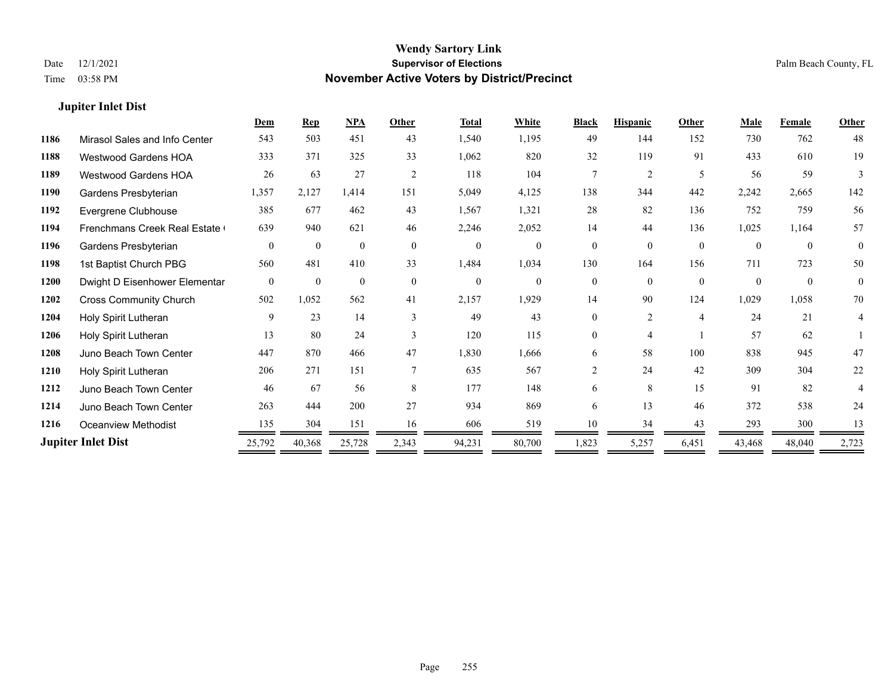### **Jupiter Inlet Dist**

|      |                               | Dem      | <b>Rep</b>   | NPA          | Other         | <b>Total</b> | White          | <b>Black</b>   | <b>Hispanic</b> | <b>Other</b>   | <b>Male</b> | Female   | <b>Other</b> |
|------|-------------------------------|----------|--------------|--------------|---------------|--------------|----------------|----------------|-----------------|----------------|-------------|----------|--------------|
| 1186 | Mirasol Sales and Info Center | 543      | 503          | 451          | 43            | 1,540        | 1,195          | 49             | 144             | 152            | 730         | 762      | 48           |
| 1188 | <b>Westwood Gardens HOA</b>   | 333      | 371          | 325          | 33            | 1,062        | 820            | 32             | 119             | 91             | 433         | 610      | 19           |
| 1189 | <b>Westwood Gardens HOA</b>   | 26       | 63           | 27           | 2             | 118          | 104            | 7              | $\overline{2}$  | 5              | 56          | 59       | 3            |
| 1190 | Gardens Presbyterian          | 1,357    | 2,127        | 1,414        | 151           | 5,049        | 4,125          | 138            | 344             | 442            | 2,242       | 2,665    | 142          |
| 1192 | Evergrene Clubhouse           | 385      | 677          | 462          | 43            | 1,567        | 1,321          | 28             | 82              | 136            | 752         | 759      | 56           |
| 1194 | Frenchmans Creek Real Estate  | 639      | 940          | 621          | 46            | 2,246        | 2,052          | 14             | 44              | 136            | 1,025       | 1,164    | 57           |
| 1196 | Gardens Presbyterian          | $\theta$ | $\mathbf{0}$ | $\mathbf{0}$ | $\mathbf{0}$  | $\mathbf{0}$ | $\overline{0}$ | $\overline{0}$ | $\overline{0}$  | $\theta$       | $\theta$    | $\theta$ | $\mathbf{0}$ |
| 1198 | 1st Baptist Church PBG        | 560      | 481          | 410          | 33            | 1,484        | 1,034          | 130            | 164             | 156            | 711         | 723      | 50           |
| 1200 | Dwight D Eisenhower Elementar | $\theta$ | $\theta$     | $\theta$     | $\theta$      | $\theta$     | $\Omega$       | $\Omega$       | $\Omega$        | $\theta$       | $\theta$    | $\theta$ | $\mathbf{0}$ |
| 1202 | <b>Cross Community Church</b> | 502      | 1,052        | 562          | 41            | 2,157        | 1,929          | 14             | 90              | 124            | 1,029       | 1,058    | 70           |
| 1204 | Holy Spirit Lutheran          | 9        | 23           | 14           | $\mathcal{E}$ | 49           | 43             | $\Omega$       | $\overline{c}$  | $\overline{4}$ | 24          | 21       | 4            |
| 1206 | Holy Spirit Lutheran          | 13       | 80           | 24           | 3             | 120          | 115            | $\theta$       | 4               |                | 57          | 62       |              |
| 1208 | Juno Beach Town Center        | 447      | 870          | 466          | 47            | 1,830        | 1,666          | 6              | 58              | 100            | 838         | 945      | 47           |
| 1210 | Holy Spirit Lutheran          | 206      | 271          | 151          |               | 635          | 567            | $\mathfrak{D}$ | 24              | 42             | 309         | 304      | 22           |
| 1212 | Juno Beach Town Center        | 46       | 67           | 56           | 8             | 177          | 148            | 6              | 8               | 15             | 91          | 82       |              |
| 1214 | Juno Beach Town Center        | 263      | 444          | 200          | 27            | 934          | 869            | 6              | 13              | 46             | 372         | 538      | 24           |
| 1216 | <b>Oceanview Methodist</b>    | 135      | 304          | 151          | 16            | 606          | 519            | 10             | 34              | 43             | 293         | 300      | 13           |
|      | <b>Jupiter Inlet Dist</b>     | 25,792   | 40,368       | 25,728       | 2,343         | 94,231       | 80,700         | 1,823          | 5,257           | 6,451          | 43,468      | 48,040   | 2,723        |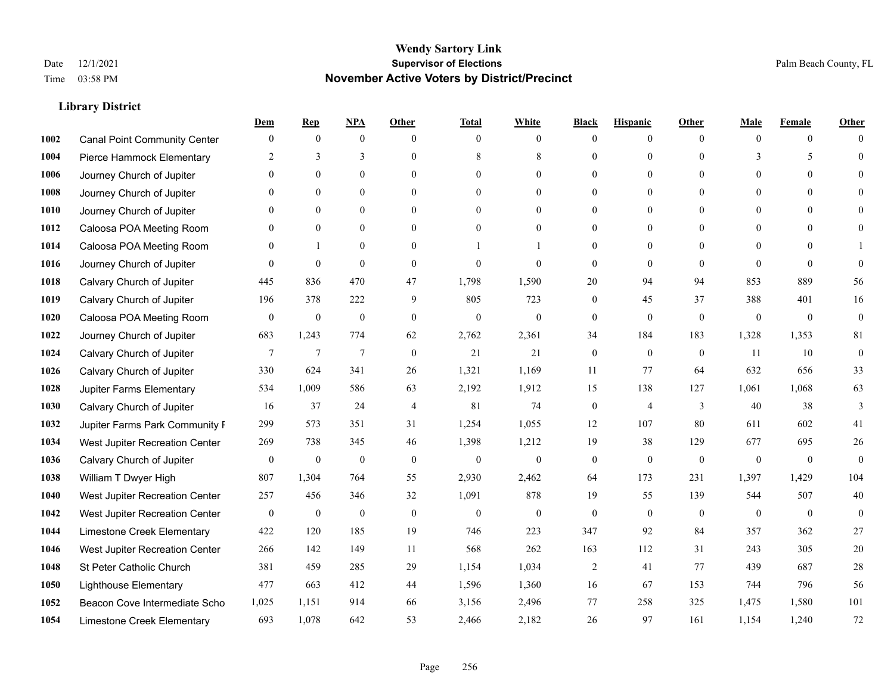|      |                                     | Dem              | <b>Rep</b>       | NPA              | <b>Other</b>   | <b>Total</b>     | <b>White</b>     | <b>Black</b>     | <b>Hispanic</b>  | <b>Other</b>   | <b>Male</b>  | <b>Female</b>  | <b>Other</b>     |
|------|-------------------------------------|------------------|------------------|------------------|----------------|------------------|------------------|------------------|------------------|----------------|--------------|----------------|------------------|
| 1002 | <b>Canal Point Community Center</b> | $\mathbf{0}$     | $\mathbf{0}$     | $\boldsymbol{0}$ | $\Omega$       | $\Omega$         | $\overline{0}$   | $\mathbf{0}$     | $\mathbf{0}$     | $\theta$       | $\theta$     | $\overline{0}$ | $\Omega$         |
| 1004 | Pierce Hammock Elementary           | 2                | 3                | 3                | $\theta$       | 8                | 8                | $\theta$         | $\mathbf{0}$     | $\Omega$       | 3            | 5              | $\theta$         |
| 1006 | Journey Church of Jupiter           | $\Omega$         | $\theta$         | $\theta$         | $\Omega$       | $\Omega$         | $\Omega$         | $\Omega$         | $\theta$         | $\Omega$       | $\Omega$     | $\Omega$       | $\Omega$         |
| 1008 | Journey Church of Jupiter           | $\overline{0}$   | $\mathbf{0}$     | $\mathbf{0}$     | $\overline{0}$ | $\theta$         | $\boldsymbol{0}$ | $\overline{0}$   | $\boldsymbol{0}$ | $\theta$       | $\mathbf{0}$ | $\mathbf{0}$   |                  |
| 1010 | Journey Church of Jupiter           | 0                | $\mathbf{0}$     | $\mathbf{0}$     | $\theta$       | $\Omega$         | $\overline{0}$   | $\overline{0}$   | $\mathbf{0}$     | $\theta$       | $\theta$     | $\theta$       | $\Omega$         |
| 1012 | Caloosa POA Meeting Room            | 0                | $\mathbf{0}$     | $\mathbf{0}$     | $\theta$       | $\Omega$         | $\mathbf{0}$     | $\overline{0}$   | $\mathbf{0}$     | $\Omega$       | $\theta$     | $\Omega$       | $\mathbf{0}$     |
| 1014 | Caloosa POA Meeting Room            | $\theta$         | $\mathbf{1}$     | $\theta$         | $\theta$       |                  | 1                | $\overline{0}$   | $\mathbf{0}$     | $\theta$       | $\theta$     | $\Omega$       |                  |
| 1016 | Journey Church of Jupiter           | $\theta$         | $\mathbf{0}$     | $\mathbf{0}$     | $\theta$       | $\theta$         | $\overline{0}$   | $\mathbf{0}$     | $\mathbf{0}$     | $\theta$       | $\Omega$     | $\theta$       | $\theta$         |
| 1018 | Calvary Church of Jupiter           | 445              | 836              | 470              | 47             | 1,798            | 1,590            | 20               | 94               | 94             | 853          | 889            | 56               |
| 1019 | Calvary Church of Jupiter           | 196              | 378              | 222              | 9              | 805              | 723              | $\overline{0}$   | 45               | 37             | 388          | 401            | 16               |
| 1020 | Caloosa POA Meeting Room            | $\overline{0}$   | $\mathbf{0}$     | $\mathbf{0}$     | $\theta$       | $\mathbf{0}$     | $\mathbf{0}$     | $\mathbf{0}$     | $\mathbf{0}$     | $\theta$       | $\theta$     | $\theta$       | $\mathbf{0}$     |
| 1022 | Journey Church of Jupiter           | 683              | 1,243            | 774              | 62             | 2,762            | 2,361            | 34               | 184              | 183            | 1,328        | 1,353          | 81               |
| 1024 | Calvary Church of Jupiter           | 7                | $\tau$           | $\overline{7}$   | $\mathbf{0}$   | 21               | 21               | $\boldsymbol{0}$ | $\mathbf{0}$     | $\overline{0}$ | 11           | 10             | $\boldsymbol{0}$ |
| 1026 | Calvary Church of Jupiter           | 330              | 624              | 341              | 26             | 1,321            | 1,169            | 11               | 77               | 64             | 632          | 656            | 33               |
| 1028 | Jupiter Farms Elementary            | 534              | 1,009            | 586              | 63             | 2,192            | 1,912            | 15               | 138              | 127            | 1,061        | 1,068          | 63               |
| 1030 | Calvary Church of Jupiter           | 16               | 37               | 24               | $\overline{4}$ | 81               | 74               | $\boldsymbol{0}$ | 4                | 3              | 40           | 38             | 3                |
| 1032 | Jupiter Farms Park Community I      | 299              | 573              | 351              | 31             | 1,254            | 1,055            | 12               | 107              | 80             | 611          | 602            | 41               |
| 1034 | West Jupiter Recreation Center      | 269              | 738              | 345              | 46             | 1,398            | 1,212            | 19               | 38               | 129            | 677          | 695            | 26               |
| 1036 | Calvary Church of Jupiter           | $\boldsymbol{0}$ | $\boldsymbol{0}$ | $\mathbf{0}$     | $\theta$       | $\mathbf{0}$     | $\mathbf{0}$     | $\mathbf{0}$     | $\mathbf{0}$     | $\theta$       | $\mathbf{0}$ | $\mathbf{0}$   | $\mathbf{0}$     |
| 1038 | William T Dwyer High                | 807              | 1,304            | 764              | 55             | 2,930            | 2,462            | 64               | 173              | 231            | 1,397        | 1,429          | 104              |
| 1040 | West Jupiter Recreation Center      | 257              | 456              | 346              | 32             | 1,091            | 878              | 19               | 55               | 139            | 544          | 507            | 40               |
| 1042 | West Jupiter Recreation Center      | $\boldsymbol{0}$ | $\boldsymbol{0}$ | $\boldsymbol{0}$ | $\mathbf{0}$   | $\boldsymbol{0}$ | $\mathbf{0}$     | $\boldsymbol{0}$ | $\mathbf{0}$     | $\overline{0}$ | $\mathbf{0}$ | $\mathbf{0}$   | $\mathbf{0}$     |
| 1044 | Limestone Creek Elementary          | 422              | 120              | 185              | 19             | 746              | 223              | 347              | 92               | 84             | 357          | 362            | 27               |
| 1046 | West Jupiter Recreation Center      | 266              | 142              | 149              | 11             | 568              | 262              | 163              | 112              | 31             | 243          | 305            | 20               |
| 1048 | St Peter Catholic Church            | 381              | 459              | 285              | 29             | 1,154            | 1,034            | 2                | 41               | 77             | 439          | 687            | $28\,$           |
| 1050 | <b>Lighthouse Elementary</b>        | 477              | 663              | 412              | 44             | 1,596            | 1,360            | 16               | 67               | 153            | 744          | 796            | 56               |
| 1052 | Beacon Cove Intermediate Scho       | 1,025            | 1,151            | 914              | 66             | 3,156            | 2,496            | 77               | 258              | 325            | 1,475        | 1,580          | 101              |
| 1054 | Limestone Creek Elementary          | 693              | 1,078            | 642              | 53             | 2,466            | 2,182            | 26               | 97               | 161            | 1,154        | 1,240          | 72               |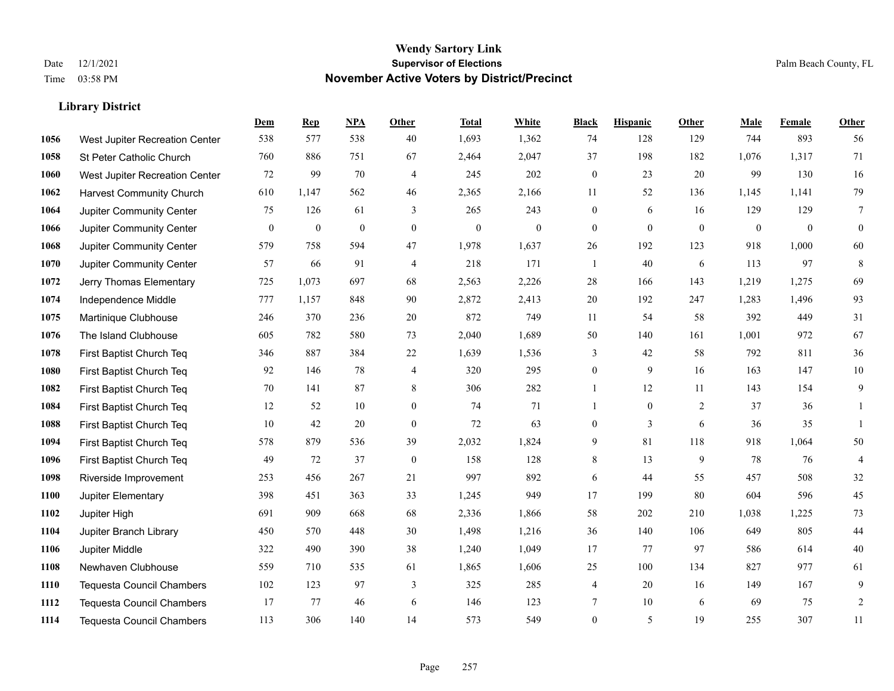|      |                                  | Dem          | <b>Rep</b>       | NPA          | <b>Other</b>   | <b>Total</b>     | <b>White</b>     | <b>Black</b>     | <b>Hispanic</b> | <b>Other</b>   | <b>Male</b>  | <b>Female</b> | Other          |
|------|----------------------------------|--------------|------------------|--------------|----------------|------------------|------------------|------------------|-----------------|----------------|--------------|---------------|----------------|
| 1056 | West Jupiter Recreation Center   | 538          | 577              | 538          | 40             | 1,693            | 1,362            | 74               | 128             | 129            | 744          | 893           | 56             |
| 1058 | St Peter Catholic Church         | 760          | 886              | 751          | 67             | 2,464            | 2,047            | 37               | 198             | 182            | 1,076        | 1,317         | 71             |
| 1060 | West Jupiter Recreation Center   | 72           | 99               | 70           | $\overline{4}$ | 245              | 202              | $\boldsymbol{0}$ | 23              | 20             | 99           | 130           | 16             |
| 1062 | <b>Harvest Community Church</b>  | 610          | 1,147            | 562          | 46             | 2,365            | 2,166            | 11               | 52              | 136            | 1,145        | 1,141         | 79             |
| 1064 | Jupiter Community Center         | 75           | 126              | 61           | 3              | 265              | 243              | $\boldsymbol{0}$ | 6               | 16             | 129          | 129           | $\overline{7}$ |
| 1066 | Jupiter Community Center         | $\mathbf{0}$ | $\boldsymbol{0}$ | $\mathbf{0}$ | $\mathbf{0}$   | $\boldsymbol{0}$ | $\boldsymbol{0}$ | $\boldsymbol{0}$ | $\mathbf{0}$    | $\overline{0}$ | $\mathbf{0}$ | $\mathbf{0}$  | $\mathbf{0}$   |
| 1068 | Jupiter Community Center         | 579          | 758              | 594          | $47\,$         | 1,978            | 1,637            | $26\,$           | 192             | 123            | 918          | 1,000         | 60             |
| 1070 | Jupiter Community Center         | 57           | 66               | 91           | $\overline{4}$ | 218              | 171              | $\mathbf{1}$     | 40              | 6              | 113          | 97            | $\,8\,$        |
| 1072 | Jerry Thomas Elementary          | 725          | 1,073            | 697          | 68             | 2,563            | 2,226            | 28               | 166             | 143            | 1,219        | 1,275         | 69             |
| 1074 | Independence Middle              | 777          | 1,157            | 848          | 90             | 2,872            | 2,413            | 20               | 192             | 247            | 1,283        | 1,496         | 93             |
| 1075 | Martinique Clubhouse             | 246          | 370              | 236          | 20             | 872              | 749              | 11               | 54              | 58             | 392          | 449           | 31             |
| 1076 | The Island Clubhouse             | 605          | 782              | 580          | 73             | 2,040            | 1,689            | 50               | 140             | 161            | 1,001        | 972           | 67             |
| 1078 | First Baptist Church Teq         | 346          | 887              | 384          | $22\,$         | 1,639            | 1,536            | 3                | 42              | 58             | 792          | 811           | 36             |
| 1080 | First Baptist Church Teq         | 92           | 146              | 78           | $\overline{4}$ | 320              | 295              | $\boldsymbol{0}$ | 9               | 16             | 163          | 147           | $10\,$         |
| 1082 | First Baptist Church Teq         | 70           | 141              | 87           | 8              | 306              | 282              | 1                | 12              | 11             | 143          | 154           | 9              |
| 1084 | First Baptist Church Teq         | 12           | 52               | 10           | $\overline{0}$ | 74               | 71               | $\mathbf{1}$     | $\mathbf{0}$    | 2              | 37           | 36            | $\mathbf{1}$   |
| 1088 | First Baptist Church Teq         | 10           | 42               | 20           | $\mathbf{0}$   | 72               | 63               | $\boldsymbol{0}$ | $\overline{3}$  | 6              | 36           | 35            | $\mathbf{1}$   |
| 1094 | First Baptist Church Teq         | 578          | 879              | 536          | 39             | 2,032            | 1,824            | 9                | 81              | 118            | 918          | 1,064         | $50\,$         |
| 1096 | First Baptist Church Teq         | 49           | 72               | 37           | $\mathbf{0}$   | 158              | 128              | 8                | 13              | 9              | 78           | 76            | $\overline{4}$ |
| 1098 | Riverside Improvement            | 253          | 456              | 267          | 21             | 997              | 892              | 6                | 44              | 55             | 457          | 508           | $32\,$         |
| 1100 | Jupiter Elementary               | 398          | 451              | 363          | 33             | 1,245            | 949              | 17               | 199             | 80             | 604          | 596           | 45             |
| 1102 | Jupiter High                     | 691          | 909              | 668          | 68             | 2,336            | 1,866            | 58               | 202             | 210            | 1,038        | 1,225         | 73             |
| 1104 | Jupiter Branch Library           | 450          | 570              | 448          | 30             | 1,498            | 1,216            | 36               | 140             | 106            | 649          | 805           | $44\,$         |
| 1106 | Jupiter Middle                   | 322          | 490              | 390          | 38             | 1,240            | 1,049            | 17               | 77              | 97             | 586          | 614           | 40             |
| 1108 | Newhaven Clubhouse               | 559          | 710              | 535          | 61             | 1,865            | 1,606            | 25               | $100\,$         | 134            | 827          | 977           | 61             |
| 1110 | <b>Tequesta Council Chambers</b> | 102          | 123              | 97           | 3              | 325              | 285              | 4                | 20              | 16             | 149          | 167           | 9              |
| 1112 | <b>Tequesta Council Chambers</b> | 17           | 77               | 46           | 6              | 146              | 123              | 7                | 10              | 6              | 69           | 75            | $\sqrt{2}$     |
| 1114 | Tequesta Council Chambers        | 113          | 306              | 140          | 14             | 573              | 549              | $\mathbf{0}$     | 5               | 19             | 255          | 307           | 11             |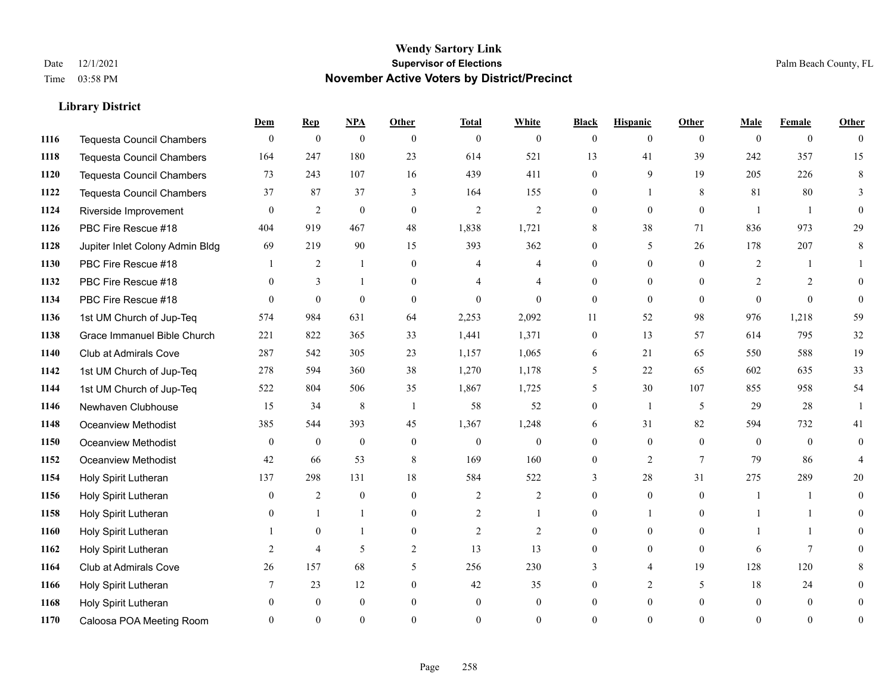|      |                                  | Dem          | <b>Rep</b>       | NPA              | <b>Other</b>   | <b>Total</b>   | <b>White</b>   | <b>Black</b>     | <b>Hispanic</b> | <b>Other</b> | <b>Male</b>    | <b>Female</b>  | <b>Other</b>   |
|------|----------------------------------|--------------|------------------|------------------|----------------|----------------|----------------|------------------|-----------------|--------------|----------------|----------------|----------------|
| 1116 | <b>Tequesta Council Chambers</b> | $\mathbf{0}$ | $\boldsymbol{0}$ | $\boldsymbol{0}$ | $\theta$       | $\overline{0}$ | $\overline{0}$ | $\mathbf{0}$     | $\overline{0}$  | $\theta$     | $\theta$       | $\overline{0}$ | $\Omega$       |
| 1118 | <b>Tequesta Council Chambers</b> | 164          | 247              | 180              | 23             | 614            | 521            | 13               | 41              | 39           | 242            | 357            | 15             |
| 1120 | <b>Tequesta Council Chambers</b> | 73           | 243              | 107              | 16             | 439            | 411            | $\theta$         | 9               | 19           | 205            | 226            | 8              |
| 1122 | Tequesta Council Chambers        | 37           | 87               | 37               | 3              | 164            | 155            | $\overline{0}$   |                 | 8            | 81             | 80             | 3              |
| 1124 | Riverside Improvement            | $\theta$     | $\overline{2}$   | $\mathbf{0}$     | $\theta$       | $\overline{2}$ | 2              | $\theta$         | $\overline{0}$  | $\theta$     | $\overline{1}$ | $\mathbf{1}$   | $\theta$       |
| 1126 | PBC Fire Rescue #18              | 404          | 919              | 467              | 48             | 1,838          | 1,721          | 8                | 38              | 71           | 836            | 973            | 29             |
| 1128 | Jupiter Inlet Colony Admin Bldg  | 69           | 219              | 90               | 15             | 393            | 362            | $\overline{0}$   | 5               | 26           | 178            | 207            | 8              |
| 1130 | PBC Fire Rescue #18              |              | 2                | $\mathbf{1}$     | $\theta$       | 4              | 4              | $\Omega$         | $\Omega$        | $\Omega$     | 2              | -1             |                |
| 1132 | PBC Fire Rescue #18              | $\theta$     | 3                | 1                | $\overline{0}$ |                | $\overline{4}$ | $\Omega$         | $\overline{0}$  | $\theta$     | 2              | 2              | $\Omega$       |
| 1134 | PBC Fire Rescue #18              | $\Omega$     | $\theta$         | $\mathbf{0}$     | $\theta$       | $\Omega$       | $\Omega$       | $\overline{0}$   | $\overline{0}$  | $\theta$     | $\theta$       | $\theta$       | $\theta$       |
| 1136 | 1st UM Church of Jup-Teq         | 574          | 984              | 631              | 64             | 2,253          | 2,092          | 11               | 52              | 98           | 976            | 1,218          | 59             |
| 1138 | Grace Immanuel Bible Church      | 221          | 822              | 365              | 33             | 1,441          | 1,371          | $\boldsymbol{0}$ | 13              | 57           | 614            | 795            | 32             |
| 1140 | Club at Admirals Cove            | 287          | 542              | 305              | 23             | 1,157          | 1,065          | 6                | 21              | 65           | 550            | 588            | 19             |
| 1142 | 1st UM Church of Jup-Teq         | 278          | 594              | 360              | 38             | 1,270          | 1,178          | 5                | 22              | 65           | 602            | 635            | 33             |
| 1144 | 1st UM Church of Jup-Teq         | 522          | 804              | 506              | 35             | 1,867          | 1,725          | 5                | 30              | 107          | 855            | 958            | 54             |
| 1146 | Newhaven Clubhouse               | 15           | 34               | $\,$ 8 $\,$      | $\overline{1}$ | 58             | 52             | $\theta$         | 1               | 5            | 29             | 28             | $\mathbf{1}$   |
| 1148 | Oceanview Methodist              | 385          | 544              | 393              | 45             | 1,367          | 1,248          | 6                | 31              | 82           | 594            | 732            | 41             |
| 1150 | Oceanview Methodist              | $\mathbf{0}$ | $\mathbf{0}$     | $\mathbf{0}$     | $\overline{0}$ | $\overline{0}$ | $\overline{0}$ | 0                | $\overline{0}$  | $\theta$     | $\theta$       | $\theta$       | $\overline{0}$ |
| 1152 | Oceanview Methodist              | 42           | 66               | 53               | 8              | 169            | 160            | 0                | $\overline{c}$  | 7            | 79             | 86             | 4              |
| 1154 | Holy Spirit Lutheran             | 137          | 298              | 131              | 18             | 584            | 522            | 3                | 28              | 31           | 275            | 289            | 20             |
| 1156 | Holy Spirit Lutheran             | $\theta$     | $\overline{2}$   | $\mathbf{0}$     | $\Omega$       | $\overline{2}$ | 2              | $\theta$         | $\Omega$        | $\Omega$     | $\overline{1}$ | $\mathbf{1}$   | $\Omega$       |
| 1158 | Holy Spirit Lutheran             | $\Omega$     |                  | 1                | $\mathbf{0}$   | $\overline{2}$ | 1              | 0                | 1               | $\mathbf{0}$ |                | 1              | $\theta$       |
| 1160 | Holy Spirit Lutheran             |              | $\mathbf{0}$     | 1                | $\overline{0}$ | $\overline{2}$ | $\overline{2}$ | 0                | $\overline{0}$  | $\theta$     |                | 1              | 0              |
| 1162 | Holy Spirit Lutheran             | 2            | $\overline{4}$   | 5                | 2              | 13             | 13             | $\theta$         | $\overline{0}$  | $\theta$     | 6              | $\tau$         | 0              |
| 1164 | <b>Club at Admirals Cove</b>     | 26           | 157              | 68               | 5              | 256            | 230            | 3                | 4               | 19           | 128            | 120            |                |
| 1166 | Holy Spirit Lutheran             |              | 23               | 12               | $\overline{0}$ | 42             | 35             | 0                | $\overline{2}$  | 5            | 18             | 24             | $\theta$       |
| 1168 | Holy Spirit Lutheran             | $\Omega$     | $\mathbf{0}$     | $\mathbf{0}$     | $\Omega$       | $\mathbf{0}$   | $\overline{0}$ | 0                | $\overline{0}$  | $\theta$     | $\theta$       | $\mathbf{0}$   | $\overline{0}$ |
| 1170 | Caloosa POA Meeting Room         |              | $\Omega$         | $\theta$         | $\Omega$       | $\Omega$       | $\theta$       | $\Omega$         | $\Omega$        | $\Omega$     | $\Omega$       | $\Omega$       | $\overline{0}$ |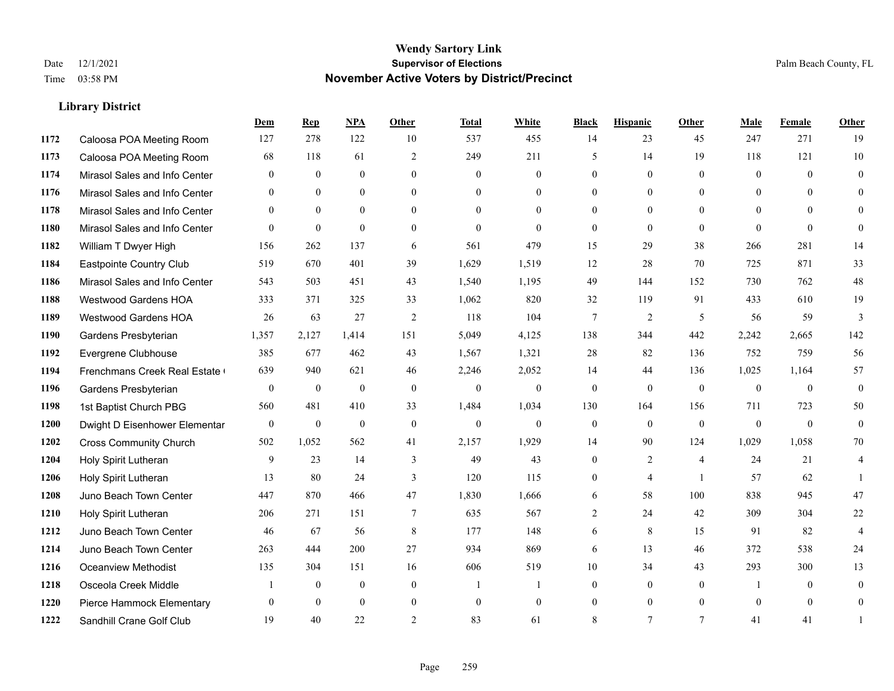|      |                               | Dem          | <b>Rep</b>       | NPA          | <b>Other</b>   | <b>Total</b>   | <b>White</b>   | <b>Black</b>     | <b>Hispanic</b> | <b>Other</b>   | <b>Male</b>  | Female       | <b>Other</b>   |
|------|-------------------------------|--------------|------------------|--------------|----------------|----------------|----------------|------------------|-----------------|----------------|--------------|--------------|----------------|
| 1172 | Caloosa POA Meeting Room      | 127          | 278              | 122          | 10             | 537            | 455            | 14               | 23              | 45             | 247          | 271          | 19             |
| 1173 | Caloosa POA Meeting Room      | 68           | 118              | 61           | 2              | 249            | 211            | 5                | 14              | 19             | 118          | 121          | 10             |
| 1174 | Mirasol Sales and Info Center | $\theta$     | $\theta$         | $\theta$     | $\Omega$       | $\theta$       | $\mathbf{0}$   | $\theta$         | $\theta$        | $\Omega$       | $\theta$     | $\theta$     | $\theta$       |
| 1176 | Mirasol Sales and Info Center | $\mathbf{0}$ | $\boldsymbol{0}$ | $\mathbf{0}$ | $\mathbf{0}$   | $\overline{0}$ | $\overline{0}$ | $\mathbf{0}$     | $\mathbf{0}$    | $\overline{0}$ | $\mathbf{0}$ | $\mathbf{0}$ | $\theta$       |
| 1178 | Mirasol Sales and Info Center | $\theta$     | $\theta$         | $\Omega$     | $\theta$       | $\Omega$       | $\overline{0}$ | $\mathbf{0}$     | $\theta$        | $\theta$       | $\theta$     | $\theta$     | $\mathbf{0}$   |
| 1180 | Mirasol Sales and Info Center | $\theta$     | $\mathbf{0}$     | $\mathbf{0}$ | $\theta$       | $\mathbf{0}$   | $\mathbf{0}$   | $\mathbf{0}$     | $\theta$        | $\theta$       | $\Omega$     | $\theta$     | $\mathbf{0}$   |
| 1182 | William T Dwyer High          | 156          | 262              | 137          | 6              | 561            | 479            | 15               | 29              | 38             | 266          | 281          | 14             |
| 1184 | Eastpointe Country Club       | 519          | 670              | 401          | 39             | 1,629          | 1,519          | 12               | 28              | 70             | 725          | 871          | 33             |
| 1186 | Mirasol Sales and Info Center | 543          | 503              | 451          | 43             | 1,540          | 1,195          | 49               | 144             | 152            | 730          | 762          | $48\,$         |
| 1188 | Westwood Gardens HOA          | 333          | 371              | 325          | 33             | 1,062          | 820            | 32               | 119             | 91             | 433          | 610          | 19             |
| 1189 | Westwood Gardens HOA          | 26           | 63               | 27           | 2              | 118            | 104            | $\tau$           | $\overline{2}$  | 5              | 56           | 59           | 3              |
| 1190 | Gardens Presbyterian          | 1,357        | 2,127            | 1,414        | 151            | 5,049          | 4,125          | 138              | 344             | 442            | 2,242        | 2,665        | 142            |
| 1192 | Evergrene Clubhouse           | 385          | 677              | 462          | 43             | 1,567          | 1,321          | 28               | 82              | 136            | 752          | 759          | 56             |
| 1194 | Frenchmans Creek Real Estate  | 639          | 940              | 621          | 46             | 2,246          | 2,052          | 14               | 44              | 136            | 1,025        | 1,164        | 57             |
| 1196 | Gardens Presbyterian          | $\mathbf{0}$ | $\mathbf{0}$     | $\mathbf{0}$ | $\theta$       | $\mathbf{0}$   | $\overline{0}$ | $\mathbf{0}$     | $\mathbf{0}$    | $\theta$       | $\mathbf{0}$ | $\theta$     | $\mathbf{0}$   |
| 1198 | 1st Baptist Church PBG        | 560          | 481              | 410          | 33             | 1,484          | 1,034          | 130              | 164             | 156            | 711          | 723          | 50             |
| 1200 | Dwight D Eisenhower Elementar | $\mathbf{0}$ | $\mathbf{0}$     | $\mathbf{0}$ | $\mathbf{0}$   | $\mathbf{0}$   | $\overline{0}$ | $\boldsymbol{0}$ | $\mathbf{0}$    | $\overline{0}$ | $\mathbf{0}$ | $\mathbf{0}$ | $\mathbf{0}$   |
| 1202 | <b>Cross Community Church</b> | 502          | 1,052            | 562          | 41             | 2,157          | 1,929          | 14               | 90              | 124            | 1,029        | 1,058        | 70             |
| 1204 | Holy Spirit Lutheran          | 9            | 23               | 14           | 3              | 49             | 43             | $\mathbf{0}$     | $\overline{2}$  | $\overline{4}$ | 24           | 21           | 4              |
| 1206 | Holy Spirit Lutheran          | 13           | 80               | 24           | 3              | 120            | 115            | $\theta$         | $\overline{4}$  | $\overline{1}$ | 57           | 62           | $\mathbf{1}$   |
| 1208 | Juno Beach Town Center        | 447          | 870              | 466          | 47             | 1,830          | 1,666          | 6                | 58              | 100            | 838          | 945          | $47\,$         |
| 1210 | Holy Spirit Lutheran          | 206          | 271              | 151          | $\overline{7}$ | 635            | 567            | 2                | 24              | 42             | 309          | 304          | $22\,$         |
| 1212 | Juno Beach Town Center        | 46           | 67               | 56           | 8              | 177            | 148            | 6                | 8               | 15             | 91           | 82           | $\overline{4}$ |
| 1214 | Juno Beach Town Center        | 263          | 444              | 200          | 27             | 934            | 869            | 6                | 13              | 46             | 372          | 538          | 24             |
| 1216 | <b>Oceanview Methodist</b>    | 135          | 304              | 151          | 16             | 606            | 519            | 10               | 34              | 43             | 293          | 300          | 13             |
| 1218 | Osceola Creek Middle          |              | $\overline{0}$   | $\mathbf{0}$ | $\mathbf{0}$   | -1             | 1              | $\overline{0}$   | $\mathbf{0}$    | $\theta$       | -1           | $\theta$     | $\mathbf{0}$   |
| 1220 | Pierce Hammock Elementary     | $\theta$     | $\theta$         | $\theta$     | $\mathbf{0}$   | $\mathbf{0}$   | $\mathbf{0}$   | $\mathbf{0}$     | $\theta$        | $\theta$       | $\theta$     | $\theta$     | $\overline{0}$ |
| 1222 | Sandhill Crane Golf Club      | 19           | 40               | 22           | $\overline{2}$ | 83             | 61             | 8                | $\tau$          | $\tau$         | 41           | 41           | 1              |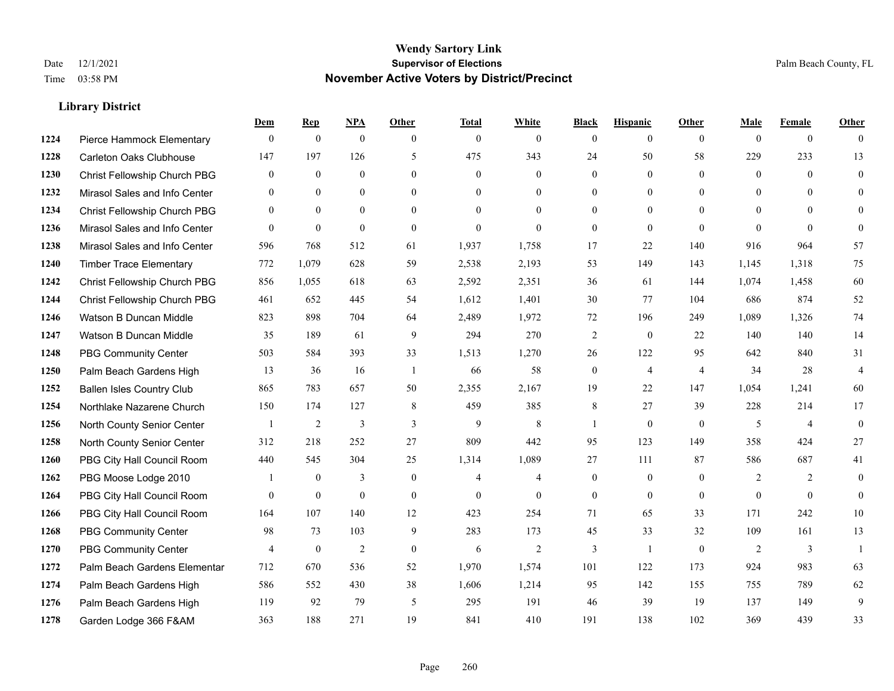|      |                                  | Dem            | <b>Rep</b>       | NPA              | <b>Other</b>   | <b>Total</b>   | <b>White</b>   | <b>Black</b>     | <b>Hispanic</b>  | <b>Other</b>   | <b>Male</b>  | <b>Female</b>  | <b>Other</b>   |
|------|----------------------------------|----------------|------------------|------------------|----------------|----------------|----------------|------------------|------------------|----------------|--------------|----------------|----------------|
| 1224 | Pierce Hammock Elementary        | $\mathbf{0}$   | $\boldsymbol{0}$ | $\boldsymbol{0}$ | $\theta$       | $\mathbf{0}$   | $\overline{0}$ | $\mathbf{0}$     | $\mathbf{0}$     | $\theta$       | $\theta$     | $\overline{0}$ | $\Omega$       |
| 1228 | <b>Carleton Oaks Clubhouse</b>   | 147            | 197              | 126              | 5              | 475            | 343            | 24               | 50               | 58             | 229          | 233            | 13             |
| 1230 | Christ Fellowship Church PBG     | $\theta$       | $\mathbf{0}$     | $\theta$         | $\Omega$       | $\theta$       | $\Omega$       | $\theta$         | $\theta$         | $\Omega$       | $\theta$     | $\Omega$       | $\theta$       |
| 1232 | Mirasol Sales and Info Center    | $\mathbf{0}$   | $\boldsymbol{0}$ | $\mathbf{0}$     | $\mathbf{0}$   | $\overline{0}$ | $\overline{0}$ | $\boldsymbol{0}$ | $\boldsymbol{0}$ | $\mathbf{0}$   | $\mathbf{0}$ | $\mathbf{0}$   | $\theta$       |
| 1234 | Christ Fellowship Church PBG     | $\overline{0}$ | $\mathbf{0}$     | $\Omega$         | $\theta$       | $\Omega$       | $\overline{0}$ | $\mathbf{0}$     | $\mathbf{0}$     | $\theta$       | $\theta$     | $\theta$       | $\overline{0}$ |
| 1236 | Mirasol Sales and Info Center    | $\theta$       | $\mathbf{0}$     | $\mathbf{0}$     | $\theta$       | $\mathbf{0}$   | $\overline{0}$ | $\mathbf{0}$     | $\mathbf{0}$     | $\theta$       | $\theta$     | $\theta$       | $\Omega$       |
| 1238 | Mirasol Sales and Info Center    | 596            | 768              | 512              | 61             | 1,937          | 1.758          | 17               | 22               | 140            | 916          | 964            | 57             |
| 1240 | <b>Timber Trace Elementary</b>   | 772            | 1,079            | 628              | 59             | 2,538          | 2,193          | 53               | 149              | 143            | 1,145        | 1,318          | 75             |
| 1242 | Christ Fellowship Church PBG     | 856            | 1,055            | 618              | 63             | 2,592          | 2,351          | 36               | 61               | 144            | 1,074        | 1,458          | 60             |
| 1244 | Christ Fellowship Church PBG     | 461            | 652              | 445              | 54             | 1,612          | 1,401          | 30               | 77               | 104            | 686          | 874            | 52             |
| 1246 | Watson B Duncan Middle           | 823            | 898              | 704              | 64             | 2,489          | 1,972          | 72               | 196              | 249            | 1,089        | 1,326          | 74             |
| 1247 | Watson B Duncan Middle           | 35             | 189              | 61               | 9              | 294            | 270            | $\sqrt{2}$       | $\boldsymbol{0}$ | 22             | 140          | 140            | 14             |
| 1248 | <b>PBG Community Center</b>      | 503            | 584              | 393              | 33             | 1,513          | 1,270          | 26               | 122              | 95             | 642          | 840            | 31             |
| 1250 | Palm Beach Gardens High          | 13             | 36               | 16               | $\overline{1}$ | 66             | 58             | $\boldsymbol{0}$ | $\overline{4}$   | $\overline{4}$ | 34           | 28             | $\overline{4}$ |
| 1252 | <b>Ballen Isles Country Club</b> | 865            | 783              | 657              | 50             | 2,355          | 2,167          | 19               | 22               | 147            | 1,054        | 1,241          | 60             |
| 1254 | Northlake Nazarene Church        | 150            | 174              | 127              | 8              | 459            | 385            | 8                | 27               | 39             | 228          | 214            | 17             |
| 1256 | North County Senior Center       | -1             | 2                | 3                | 3              | 9              | 8              | 1                | $\mathbf{0}$     | $\mathbf{0}$   | 5            | 4              | $\mathbf{0}$   |
| 1258 | North County Senior Center       | 312            | 218              | 252              | 27             | 809            | 442            | 95               | 123              | 149            | 358          | 424            | 27             |
| 1260 | PBG City Hall Council Room       | 440            | 545              | 304              | 25             | 1,314          | 1,089          | 27               | 111              | 87             | 586          | 687            | 41             |
| 1262 | PBG Moose Lodge 2010             |                | $\mathbf{0}$     | 3                | $\theta$       | $\overline{4}$ | $\overline{4}$ | $\mathbf{0}$     | $\mathbf{0}$     | $\theta$       | 2            | 2              | $\theta$       |
| 1264 | PBG City Hall Council Room       | $\theta$       | $\boldsymbol{0}$ | $\mathbf{0}$     | $\theta$       | $\mathbf{0}$   | $\overline{0}$ | $\boldsymbol{0}$ | $\mathbf{0}$     | $\theta$       | $\Omega$     | $\theta$       | $\mathbf{0}$   |
| 1266 | PBG City Hall Council Room       | 164            | 107              | 140              | 12             | 423            | 254            | 71               | 65               | 33             | 171          | 242            | 10             |
| 1268 | <b>PBG Community Center</b>      | 98             | 73               | 103              | 9              | 283            | 173            | 45               | 33               | 32             | 109          | 161            | 13             |
| 1270 | <b>PBG Community Center</b>      | $\overline{4}$ | $\mathbf{0}$     | $\overline{2}$   | $\theta$       | 6              | $\overline{c}$ | 3                | $\mathbf{1}$     | $\theta$       | 2            | 3              | $\overline{1}$ |
| 1272 | Palm Beach Gardens Elementar     | 712            | 670              | 536              | 52             | 1,970          | 1,574          | 101              | 122              | 173            | 924          | 983            | 63             |
| 1274 | Palm Beach Gardens High          | 586            | 552              | 430              | 38             | 1,606          | 1,214          | 95               | 142              | 155            | 755          | 789            | 62             |
| 1276 | Palm Beach Gardens High          | 119            | 92               | 79               | 5              | 295            | 191            | 46               | 39               | 19             | 137          | 149            | 9              |
| 1278 | Garden Lodge 366 F&AM            | 363            | 188              | 271              | 19             | 841            | 410            | 191              | 138              | 102            | 369          | 439            | 33             |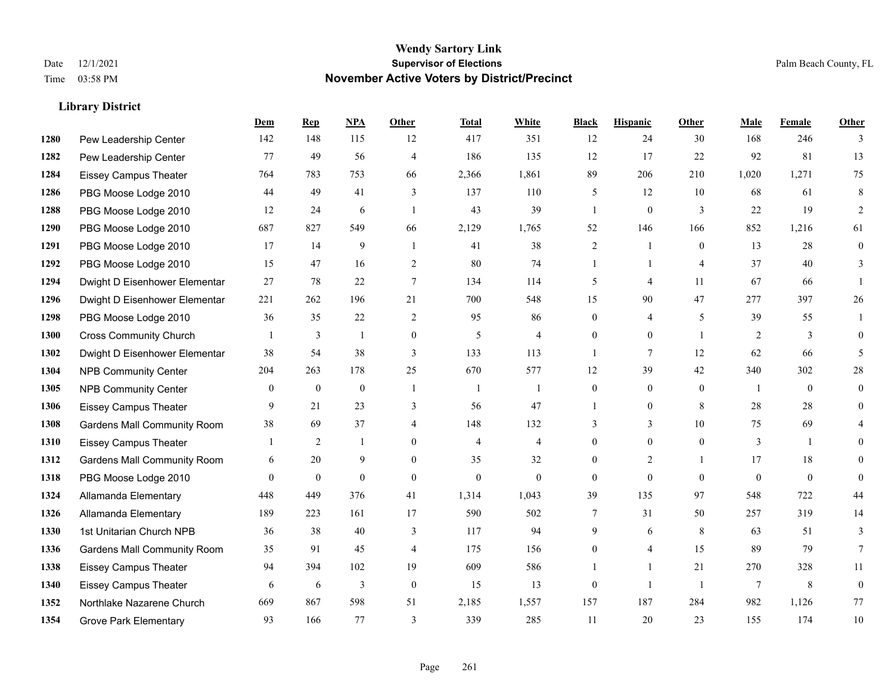#### **Wendy Sartory Link** Date 12/1/2021 **Supervisor of Elections** Palm Beach County, FL Time 03:58 PM **November Active Voters by District/Precinct**

# **Dem Rep NPA Other Total White Black Hispanic Other Male Female Other** Pew Leadership Center 142 148 115 12 417 351 12 24 30 168 246 3 Pew Leadership Center 77 49 56 4 186 135 12 17 22 92 81 13 Eissey Campus Theater 764 783 753 66 2,366 1,861 89 206 210 1,020 1,271 75 PBG Moose Lodge 2010 44 49 41 3 137 110 5 12 10 68 61 8 PBG Moose Lodge 2010 12 24 6 1 43 39 1 0 3 22 19 2 PBG Moose Lodge 2010 687 827 549 66 2,129 1,765 52 146 166 852 1,216 61 PBG Moose Lodge 2010 17 14 9 1 41 38 2 1 0 13 28 0 PBG Moose Lodge 2010 15 47 16 2 80 74 1 1 4 37 40 3 Dwight D Eisenhower Elementar 27 78 22 7 134 114 5 4 11 67 66 1 Dwight D Eisenhower Elementar 221 262 196 21 700 548 15 90 47 277 397 26 PBG Moose Lodge 2010 36 35 22 2 95 86 0 4 5 39 55 1 Cross Community Church 1 3 1 0 5 4 0 0 1 2 3 0 Dwight D Eisenhower Elementar 38 54 38 3 133 113 1 7 12 62 66 5 NPB Community Center 204 263 178 25 670 577 12 39 42 340 302 28 NPB Community Center 0 0 0 1 1 1 0 0 0 1 0 0 Eissey Campus Theater **9** 21 23 3 56 47 1 0 8 28 28 0 Gardens Mall Community Room 38 69 37 4 148 132 3 3 10 75 69 4 Eissey Campus Theater 1 2 1 0 4 4 0 0 0 3 1 0 **1312 Gardens Mall Community Room** 6 20 9 0 35 32 0 2 1 17 18 0 PBG Moose Lodge 2010 0 0 0 0 0 0 0 0 0 0 0 0 Allamanda Elementary 448 449 376 41 1,314 1,043 39 135 97 548 722 44 Allamanda Elementary 189 223 161 17 590 502 7 31 50 257 319 14 1st Unitarian Church NPB 36 38 40 3 117 94 9 6 8 63 51 3 Gardens Mall Community Room 35 91 45 4 175 156 0 4 15 89 79 7 Eissey Campus Theater 94 394 102 19 609 586 1 1 21 270 328 11 Eissey Campus Theater 6 6 6 3 0 15 13 0 1 1 7 8 0 Northlake Nazarene Church 669 867 598 51 2,185 1,557 157 187 284 982 1,126 77 Grove Park Elementary 93 166 77 3 339 285 11 20 23 155 174 10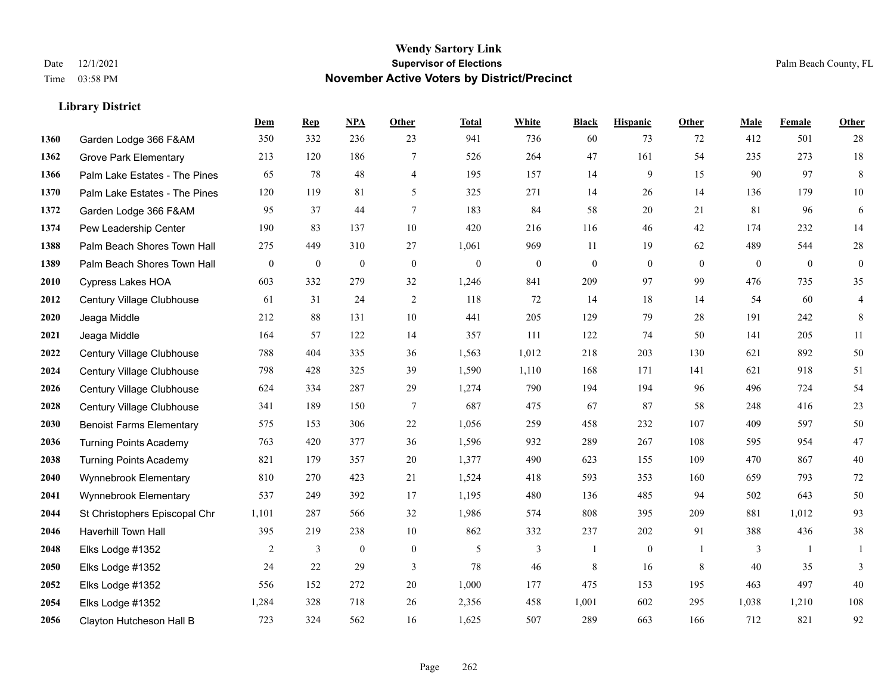#### **Wendy Sartory Link** Date 12/1/2021 **Supervisor of Elections** Palm Beach County, FL Time 03:58 PM **November Active Voters by District/Precinct**

# **Dem Rep NPA Other Total White Black Hispanic Other Male Female Other** Garden Lodge 366 F&AM 350 332 236 23 941 736 60 73 72 412 501 28 Grove Park Elementary 213 120 186 7 526 264 47 161 54 235 273 18 Palm Lake Estates - The Pines 65 78 48 4 195 157 14 9 15 90 97 8 Palm Lake Estates - The Pines 120 119 81 5 325 271 14 26 14 136 179 10 Garden Lodge 366 F&AM 95 37 44 7 183 84 58 20 21 81 96 6 Pew Leadership Center 190 83 137 10 420 216 116 46 42 174 232 14 1388 Palm Beach Shores Town Hall 275 449 310 27 1,061 969 11 19 62 489 544 28 Palm Beach Shores Town Hall 0 0 0 0 0 0 0 0 0 0 0 0 Cypress Lakes HOA 603 332 279 32 1,246 841 209 97 99 476 735 35 Century Village Clubhouse 61 31 24 2 118 72 14 18 14 54 60 4 Jeaga Middle 212 88 131 10 441 205 129 79 28 191 242 8 Jeaga Middle 164 57 122 14 357 111 122 74 50 141 205 11 Century Village Clubhouse 788 404 335 36 1,563 1,012 218 203 130 621 892 50 Century Village Clubhouse 798 428 325 39 1,590 1,110 168 171 141 621 918 51 Century Village Clubhouse 624 334 287 29 1,274 790 194 194 96 496 724 54 Century Village Clubhouse 341 189 150 7 687 475 67 87 58 248 416 23 Benoist Farms Elementary 575 153 306 22 1,056 259 458 232 107 409 597 50 Turning Points Academy 763 420 377 36 1,596 932 289 267 108 595 954 47 Turning Points Academy 821 179 357 20 1,377 490 623 155 109 470 867 40 Wynnebrook Elementary 810 270 423 21 1,524 418 593 353 160 659 793 72 Wynnebrook Elementary 537 249 392 17 1,195 480 136 485 94 502 643 50 St Christophers Episcopal Chr 1,101 287 566 32 1,986 574 808 395 209 881 1,012 93 Haverhill Town Hall 395 219 238 10 862 332 237 202 91 388 436 38 Elks Lodge #1352 2 3 0 0 5 3 1 0 1 3 1 1 Elks Lodge #1352 24 22 29 3 78 46 8 16 8 40 35 3 Elks Lodge #1352 556 152 272 20 1,000 177 475 153 195 463 497 40 Elks Lodge #1352 1,284 328 718 26 2,356 458 1,001 602 295 1,038 1,210 108 Clayton Hutcheson Hall B 723 324 562 16 1,625 507 289 663 166 712 821 92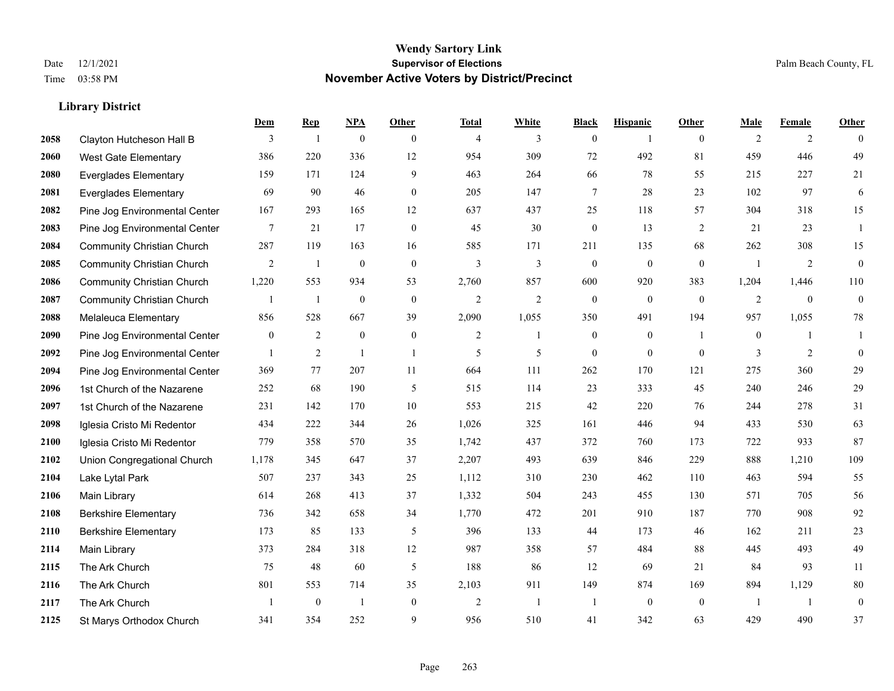|      |                                   | Dem          | <b>Rep</b>       | NPA              | <b>Other</b>     | <b>Total</b>   | <b>White</b>   | <b>Black</b>     | <b>Hispanic</b> | <b>Other</b>   | <b>Male</b>    | <b>Female</b> | <b>Other</b>     |
|------|-----------------------------------|--------------|------------------|------------------|------------------|----------------|----------------|------------------|-----------------|----------------|----------------|---------------|------------------|
| 2058 | Clayton Hutcheson Hall B          | 3            | 1                | $\boldsymbol{0}$ | $\overline{0}$   | $\overline{4}$ | 3              | $\boldsymbol{0}$ | 1               | $\overline{0}$ | 2              | 2             | $\theta$         |
| 2060 | <b>West Gate Elementary</b>       | 386          | 220              | 336              | 12               | 954            | 309            | 72               | 492             | 81             | 459            | 446           | 49               |
| 2080 | <b>Everglades Elementary</b>      | 159          | 171              | 124              | 9                | 463            | 264            | 66               | 78              | 55             | 215            | 227           | 21               |
| 2081 | <b>Everglades Elementary</b>      | 69           | 90               | 46               | $\boldsymbol{0}$ | 205            | 147            | 7                | 28              | 23             | 102            | 97            | 6                |
| 2082 | Pine Jog Environmental Center     | 167          | 293              | 165              | 12               | 637            | 437            | 25               | 118             | 57             | 304            | 318           | 15               |
| 2083 | Pine Jog Environmental Center     | 7            | 21               | 17               | $\boldsymbol{0}$ | 45             | 30             | $\boldsymbol{0}$ | 13              | 2              | 21             | 23            | -1               |
| 2084 | <b>Community Christian Church</b> | 287          | 119              | 163              | 16               | 585            | 171            | 211              | 135             | 68             | 262            | 308           | 15               |
| 2085 | <b>Community Christian Church</b> | 2            | 1                | $\mathbf{0}$     | $\theta$         | 3              | $\overline{3}$ | $\mathbf{0}$     | $\mathbf{0}$    | $\theta$       | $\overline{1}$ | 2             | $\boldsymbol{0}$ |
| 2086 | <b>Community Christian Church</b> | 1,220        | 553              | 934              | 53               | 2,760          | 857            | 600              | 920             | 383            | 1,204          | 1,446         | 110              |
| 2087 | <b>Community Christian Church</b> | 1            | 1                | $\mathbf{0}$     | $\mathbf{0}$     | $\overline{2}$ | $\overline{2}$ | $\mathbf{0}$     | $\mathbf{0}$    | $\overline{0}$ | 2              | $\mathbf{0}$  | $\boldsymbol{0}$ |
| 2088 | Melaleuca Elementary              | 856          | 528              | 667              | 39               | 2,090          | 1,055          | 350              | 491             | 194            | 957            | 1,055         | 78               |
| 2090 | Pine Jog Environmental Center     | $\mathbf{0}$ | 2                | $\mathbf{0}$     | $\mathbf{0}$     | 2              | 1              | $\boldsymbol{0}$ | $\mathbf{0}$    | $\overline{1}$ | $\overline{0}$ | 1             | 1                |
| 2092 | Pine Jog Environmental Center     | $\mathbf{1}$ | $\overline{2}$   | $\overline{1}$   | $\overline{1}$   | 5              | 5              | $\mathbf{0}$     | $\mathbf{0}$    | $\theta$       | 3              | 2             | $\mathbf{0}$     |
| 2094 | Pine Jog Environmental Center     | 369          | 77               | 207              | 11               | 664            | 111            | 262              | 170             | 121            | 275            | 360           | $29\,$           |
| 2096 | 1st Church of the Nazarene        | 252          | 68               | 190              | 5                | 515            | 114            | 23               | 333             | 45             | 240            | 246           | 29               |
| 2097 | 1st Church of the Nazarene        | 231          | 142              | 170              | $10\,$           | 553            | 215            | 42               | 220             | 76             | 244            | 278           | 31               |
| 2098 | Iglesia Cristo Mi Redentor        | 434          | 222              | 344              | 26               | 1,026          | 325            | 161              | 446             | 94             | 433            | 530           | 63               |
| 2100 | Iglesia Cristo Mi Redentor        | 779          | 358              | 570              | 35               | 1,742          | 437            | 372              | 760             | 173            | 722            | 933           | 87               |
| 2102 | Union Congregational Church       | 1,178        | 345              | 647              | 37               | 2,207          | 493            | 639              | 846             | 229            | 888            | 1,210         | 109              |
| 2104 | Lake Lytal Park                   | 507          | 237              | 343              | 25               | 1,112          | 310            | 230              | 462             | 110            | 463            | 594           | 55               |
| 2106 | Main Library                      | 614          | 268              | 413              | 37               | 1,332          | 504            | 243              | 455             | 130            | 571            | 705           | 56               |
| 2108 | <b>Berkshire Elementary</b>       | 736          | 342              | 658              | 34               | 1,770          | 472            | 201              | 910             | 187            | 770            | 908           | 92               |
| 2110 | <b>Berkshire Elementary</b>       | 173          | 85               | 133              | 5                | 396            | 133            | 44               | 173             | 46             | 162            | 211           | $23\,$           |
| 2114 | Main Library                      | 373          | 284              | 318              | 12               | 987            | 358            | 57               | 484             | 88             | 445            | 493           | 49               |
| 2115 | The Ark Church                    | 75           | 48               | 60               | 5                | 188            | 86             | 12               | 69              | 21             | 84             | 93            | 11               |
| 2116 | The Ark Church                    | 801          | 553              | 714              | 35               | 2,103          | 911            | 149              | 874             | 169            | 894            | 1,129         | $80\,$           |
| 2117 | The Ark Church                    | $\mathbf{1}$ | $\boldsymbol{0}$ | $\overline{1}$   | $\overline{0}$   | $\overline{2}$ | $\overline{1}$ | 1                | $\mathbf{0}$    | $\mathbf{0}$   | -1             | -1            | $\boldsymbol{0}$ |
| 2125 | St Marys Orthodox Church          | 341          | 354              | 252              | 9                | 956            | 510            | 41               | 342             | 63             | 429            | 490           | 37               |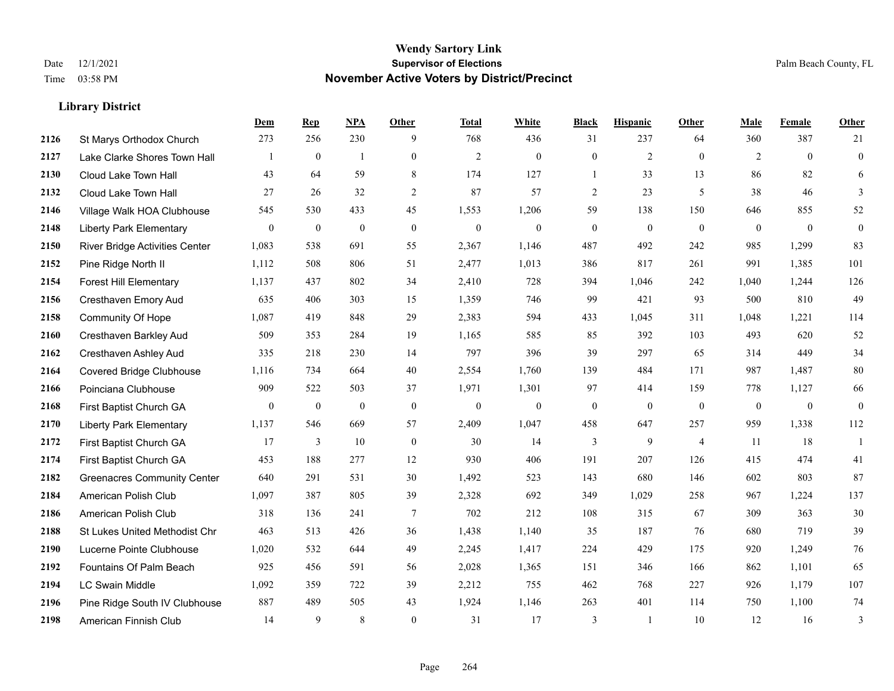|      |                                       | Dem              | <b>Rep</b>       | NPA              | <b>Other</b>     | <b>Total</b>   | <b>White</b> | <b>Black</b>     | <b>Hispanic</b>  | <b>Other</b>   | <b>Male</b>  | Female       | <b>Other</b>     |
|------|---------------------------------------|------------------|------------------|------------------|------------------|----------------|--------------|------------------|------------------|----------------|--------------|--------------|------------------|
| 2126 | St Marys Orthodox Church              | 273              | 256              | 230              | 9                | 768            | 436          | 31               | 237              | 64             | 360          | 387          | 21               |
| 2127 | Lake Clarke Shores Town Hall          |                  | $\mathbf{0}$     | $\mathbf{1}$     | $\overline{0}$   | $\overline{2}$ | $\mathbf{0}$ | $\mathbf{0}$     | $\overline{2}$   | $\theta$       | 2            | $\theta$     | $\mathbf{0}$     |
| 2130 | Cloud Lake Town Hall                  | 43               | 64               | 59               | 8                | 174            | 127          | $\mathbf{1}$     | 33               | 13             | 86           | 82           | 6                |
| 2132 | Cloud Lake Town Hall                  | 27               | 26               | 32               | 2                | 87             | 57           | $\overline{c}$   | 23               | 5              | 38           | 46           | 3                |
| 2146 | Village Walk HOA Clubhouse            | 545              | 530              | 433              | 45               | 1,553          | 1,206        | 59               | 138              | 150            | 646          | 855          | 52               |
| 2148 | <b>Liberty Park Elementary</b>        | $\boldsymbol{0}$ | $\boldsymbol{0}$ | $\boldsymbol{0}$ | $\boldsymbol{0}$ | $\mathbf{0}$   | $\mathbf{0}$ | $\boldsymbol{0}$ | $\boldsymbol{0}$ | $\mathbf{0}$   | $\mathbf{0}$ | $\mathbf{0}$ | $\boldsymbol{0}$ |
| 2150 | <b>River Bridge Activities Center</b> | 1,083            | 538              | 691              | 55               | 2,367          | 1,146        | 487              | 492              | 242            | 985          | 1,299        | 83               |
| 2152 | Pine Ridge North II                   | 1,112            | 508              | 806              | 51               | 2,477          | 1,013        | 386              | 817              | 261            | 991          | 1,385        | 101              |
| 2154 | <b>Forest Hill Elementary</b>         | 1,137            | 437              | 802              | 34               | 2,410          | 728          | 394              | 1,046            | 242            | 1,040        | 1,244        | 126              |
| 2156 | Cresthaven Emory Aud                  | 635              | 406              | 303              | 15               | 1,359          | 746          | 99               | 421              | 93             | 500          | 810          | 49               |
| 2158 | Community Of Hope                     | 1,087            | 419              | 848              | 29               | 2,383          | 594          | 433              | 1,045            | 311            | 1,048        | 1,221        | 114              |
| 2160 | Cresthaven Barkley Aud                | 509              | 353              | 284              | 19               | 1,165          | 585          | 85               | 392              | 103            | 493          | 620          | 52               |
| 2162 | Cresthaven Ashley Aud                 | 335              | 218              | 230              | 14               | 797            | 396          | 39               | 297              | 65             | 314          | 449          | 34               |
| 2164 | Covered Bridge Clubhouse              | 1,116            | 734              | 664              | 40               | 2,554          | 1,760        | 139              | 484              | 171            | 987          | 1,487        | $80\,$           |
| 2166 | Poinciana Clubhouse                   | 909              | 522              | 503              | 37               | 1,971          | 1,301        | 97               | 414              | 159            | 778          | 1,127        | 66               |
| 2168 | First Baptist Church GA               | $\mathbf{0}$     | $\bf{0}$         | $\boldsymbol{0}$ | $\mathbf{0}$     | $\mathbf{0}$   | $\mathbf{0}$ | $\boldsymbol{0}$ | $\mathbf{0}$     | $\mathbf{0}$   | $\mathbf{0}$ | $\mathbf{0}$ | $\mathbf{0}$     |
| 2170 | <b>Liberty Park Elementary</b>        | 1,137            | 546              | 669              | 57               | 2,409          | 1,047        | 458              | 647              | 257            | 959          | 1,338        | 112              |
| 2172 | First Baptist Church GA               | 17               | 3                | 10               | $\mathbf{0}$     | 30             | 14           | 3                | 9                | $\overline{4}$ | 11           | 18           | $\mathbf{1}$     |
| 2174 | First Baptist Church GA               | 453              | 188              | 277              | 12               | 930            | 406          | 191              | 207              | 126            | 415          | 474          | 41               |
| 2182 | <b>Greenacres Community Center</b>    | 640              | 291              | 531              | 30               | 1,492          | 523          | 143              | 680              | 146            | 602          | 803          | 87               |
| 2184 | American Polish Club                  | 1,097            | 387              | 805              | 39               | 2,328          | 692          | 349              | 1,029            | 258            | 967          | 1,224        | 137              |
| 2186 | American Polish Club                  | 318              | 136              | 241              | $\tau$           | 702            | 212          | 108              | 315              | 67             | 309          | 363          | 30               |
| 2188 | St Lukes United Methodist Chr         | 463              | 513              | 426              | 36               | 1,438          | 1,140        | 35               | 187              | 76             | 680          | 719          | 39               |
| 2190 | Lucerne Pointe Clubhouse              | 1,020            | 532              | 644              | 49               | 2,245          | 1,417        | 224              | 429              | 175            | 920          | 1,249        | 76               |
| 2192 | Fountains Of Palm Beach               | 925              | 456              | 591              | 56               | 2,028          | 1,365        | 151              | 346              | 166            | 862          | 1,101        | 65               |
| 2194 | <b>LC Swain Middle</b>                | 1,092            | 359              | 722              | 39               | 2,212          | 755          | 462              | 768              | 227            | 926          | 1,179        | 107              |
| 2196 | Pine Ridge South IV Clubhouse         | 887              | 489              | 505              | 43               | 1,924          | 1,146        | 263              | 401              | 114            | 750          | 1,100        | 74               |
| 2198 | American Finnish Club                 | 14               | 9                | 8                | $\theta$         | 31             | 17           | 3                | 1                | 10             | 12           | 16           | 3                |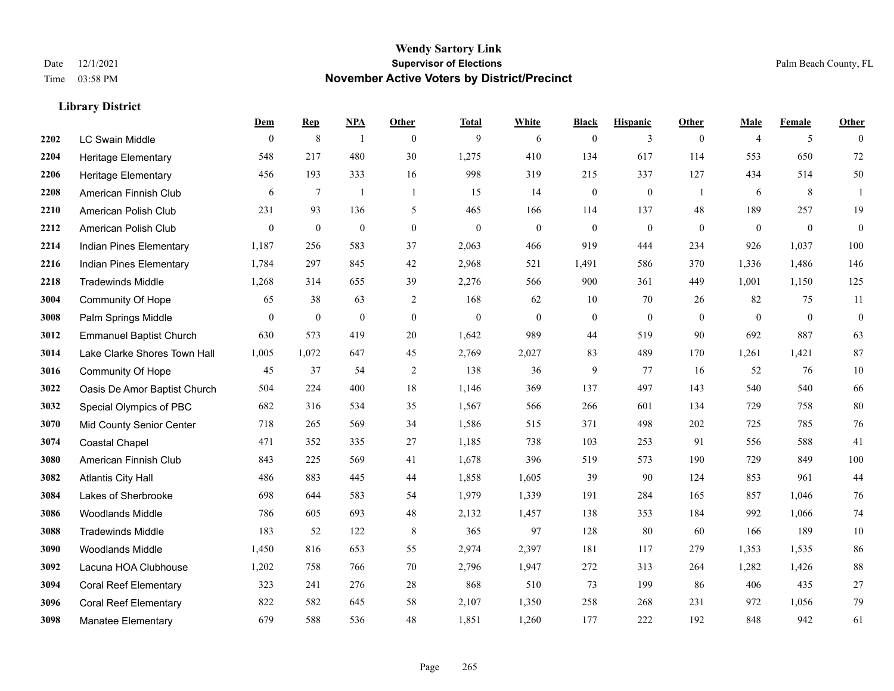|      |                                | Dem            | <b>Rep</b>       | NPA              | <b>Other</b>   | <b>Total</b> | <b>White</b>   | <b>Black</b>     | <b>Hispanic</b>  | Other          | <b>Male</b>    | <b>Female</b> | <b>Other</b>     |
|------|--------------------------------|----------------|------------------|------------------|----------------|--------------|----------------|------------------|------------------|----------------|----------------|---------------|------------------|
| 2202 | <b>LC Swain Middle</b>         | $\bf{0}$       | $\,8\,$          | -1               | $\overline{0}$ | 9            | 6              | $\boldsymbol{0}$ | 3                | $\overline{0}$ | $\overline{4}$ | 5             | $\theta$         |
| 2204 | <b>Heritage Elementary</b>     | 548            | 217              | 480              | 30             | 1,275        | 410            | 134              | 617              | 114            | 553            | 650           | 72               |
| 2206 | <b>Heritage Elementary</b>     | 456            | 193              | 333              | 16             | 998          | 319            | 215              | 337              | 127            | 434            | 514           | 50               |
| 2208 | American Finnish Club          | 6              | 7                | $\mathbf{1}$     | $\overline{1}$ | 15           | 14             | $\boldsymbol{0}$ | $\boldsymbol{0}$ | -1             | 6              | 8             |                  |
| 2210 | American Polish Club           | 231            | 93               | 136              | 5              | 465          | 166            | 114              | 137              | 48             | 189            | 257           | 19               |
| 2212 | American Polish Club           | $\overline{0}$ | $\boldsymbol{0}$ | $\boldsymbol{0}$ | $\mathbf{0}$   | $\mathbf{0}$ | $\mathbf{0}$   | $\boldsymbol{0}$ | $\mathbf{0}$     | $\mathbf{0}$   | $\overline{0}$ | $\mathbf{0}$  | $\mathbf{0}$     |
| 2214 | Indian Pines Elementary        | 1,187          | 256              | 583              | 37             | 2,063        | 466            | 919              | 444              | 234            | 926            | 1,037         | 100              |
| 2216 | Indian Pines Elementary        | 1,784          | 297              | 845              | 42             | 2,968        | 521            | 1,491            | 586              | 370            | 1,336          | 1,486         | 146              |
| 2218 | <b>Tradewinds Middle</b>       | 1,268          | 314              | 655              | 39             | 2,276        | 566            | 900              | 361              | 449            | 1,001          | 1,150         | 125              |
| 3004 | <b>Community Of Hope</b>       | 65             | 38               | 63               | $\overline{2}$ | 168          | 62             | 10               | 70               | 26             | 82             | 75            | 11               |
| 3008 | Palm Springs Middle            | $\mathbf{0}$   | $\bf{0}$         | $\boldsymbol{0}$ | $\overline{0}$ | $\mathbf{0}$ | $\overline{0}$ | $\boldsymbol{0}$ | $\mathbf{0}$     | $\theta$       | $\overline{0}$ | $\mathbf{0}$  | $\boldsymbol{0}$ |
| 3012 | <b>Emmanuel Baptist Church</b> | 630            | 573              | 419              | 20             | 1,642        | 989            | 44               | 519              | 90             | 692            | 887           | 63               |
| 3014 | Lake Clarke Shores Town Hall   | 1,005          | 1,072            | 647              | 45             | 2,769        | 2,027          | 83               | 489              | 170            | 1,261          | 1,421         | 87               |
| 3016 | <b>Community Of Hope</b>       | 45             | 37               | 54               | $\overline{2}$ | 138          | 36             | 9                | 77               | 16             | 52             | 76            | $10\,$           |
| 3022 | Oasis De Amor Baptist Church   | 504            | 224              | 400              | 18             | 1,146        | 369            | 137              | 497              | 143            | 540            | 540           | 66               |
| 3032 | Special Olympics of PBC        | 682            | 316              | 534              | 35             | 1,567        | 566            | 266              | 601              | 134            | 729            | 758           | 80               |
| 3070 | Mid County Senior Center       | 718            | 265              | 569              | 34             | 1,586        | 515            | 371              | 498              | 202            | 725            | 785           | 76               |
| 3074 | <b>Coastal Chapel</b>          | 471            | 352              | 335              | 27             | 1,185        | 738            | 103              | 253              | 91             | 556            | 588           | 41               |
| 3080 | American Finnish Club          | 843            | 225              | 569              | 41             | 1,678        | 396            | 519              | 573              | 190            | 729            | 849           | $100\,$          |
| 3082 | <b>Atlantis City Hall</b>      | 486            | 883              | 445              | 44             | 1,858        | 1,605          | 39               | 90               | 124            | 853            | 961           | 44               |
| 3084 | Lakes of Sherbrooke            | 698            | 644              | 583              | 54             | 1,979        | 1,339          | 191              | 284              | 165            | 857            | 1,046         | 76               |
| 3086 | <b>Woodlands Middle</b>        | 786            | 605              | 693              | 48             | 2,132        | 1,457          | 138              | 353              | 184            | 992            | 1,066         | 74               |
| 3088 | <b>Tradewinds Middle</b>       | 183            | 52               | 122              | 8              | 365          | 97             | 128              | 80               | 60             | 166            | 189           | $10\,$           |
| 3090 | <b>Woodlands Middle</b>        | 1,450          | 816              | 653              | 55             | 2,974        | 2,397          | 181              | 117              | 279            | 1,353          | 1,535         | 86               |
| 3092 | Lacuna HOA Clubhouse           | 1,202          | 758              | 766              | 70             | 2,796        | 1,947          | 272              | 313              | 264            | 1,282          | 1,426         | 88               |
| 3094 | <b>Coral Reef Elementary</b>   | 323            | 241              | 276              | 28             | 868          | 510            | 73               | 199              | 86             | 406            | 435           | $27\,$           |
| 3096 | <b>Coral Reef Elementary</b>   | 822            | 582              | 645              | 58             | 2,107        | 1,350          | 258              | 268              | 231            | 972            | 1,056         | 79               |
| 3098 | <b>Manatee Elementary</b>      | 679            | 588              | 536              | 48             | 1,851        | 1,260          | 177              | 222              | 192            | 848            | 942           | 61               |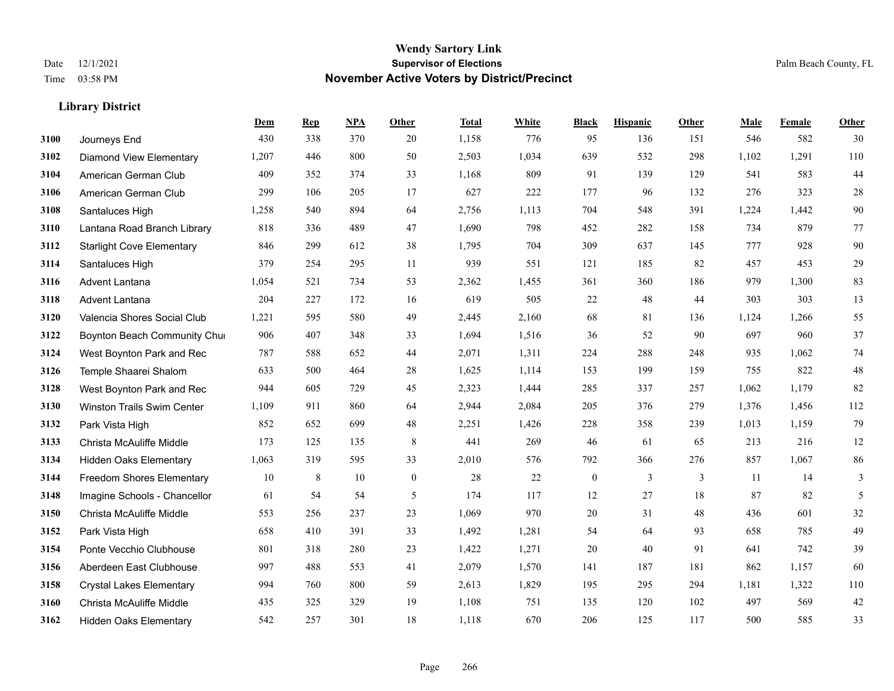|      |                                  | Dem   | <b>Rep</b> | NPA | <b>Other</b> | <b>Total</b> | <b>White</b> | <b>Black</b>     | <b>Hispanic</b> | Other | <b>Male</b> | <b>Female</b> | <b>Other</b> |
|------|----------------------------------|-------|------------|-----|--------------|--------------|--------------|------------------|-----------------|-------|-------------|---------------|--------------|
| 3100 | Journeys End                     | 430   | 338        | 370 | 20           | 1,158        | 776          | 95               | 136             | 151   | 546         | 582           | 30           |
| 3102 | <b>Diamond View Elementary</b>   | 1,207 | 446        | 800 | 50           | 2,503        | 1,034        | 639              | 532             | 298   | 1,102       | 1,291         | 110          |
| 3104 | American German Club             | 409   | 352        | 374 | 33           | 1,168        | 809          | 91               | 139             | 129   | 541         | 583           | $44$         |
| 3106 | American German Club             | 299   | 106        | 205 | 17           | 627          | 222          | 177              | 96              | 132   | 276         | 323           | $28\,$       |
| 3108 | Santaluces High                  | 1,258 | 540        | 894 | 64           | 2,756        | 1,113        | 704              | 548             | 391   | 1,224       | 1,442         | $90\,$       |
| 3110 | Lantana Road Branch Library      | 818   | 336        | 489 | 47           | 1,690        | 798          | 452              | 282             | 158   | 734         | 879           | 77           |
| 3112 | <b>Starlight Cove Elementary</b> | 846   | 299        | 612 | 38           | 1,795        | 704          | 309              | 637             | 145   | 777         | 928           | 90           |
| 3114 | Santaluces High                  | 379   | 254        | 295 | 11           | 939          | 551          | 121              | 185             | 82    | 457         | 453           | 29           |
| 3116 | Advent Lantana                   | 1,054 | 521        | 734 | 53           | 2,362        | 1,455        | 361              | 360             | 186   | 979         | 1,300         | 83           |
| 3118 | Advent Lantana                   | 204   | 227        | 172 | 16           | 619          | 505          | 22               | 48              | 44    | 303         | 303           | 13           |
| 3120 | Valencia Shores Social Club      | 1,221 | 595        | 580 | 49           | 2,445        | 2,160        | 68               | 81              | 136   | 1,124       | 1,266         | 55           |
| 3122 | Boynton Beach Community Chur     | 906   | 407        | 348 | 33           | 1,694        | 1,516        | 36               | 52              | 90    | 697         | 960           | 37           |
| 3124 | West Boynton Park and Rec        | 787   | 588        | 652 | 44           | 2,071        | 1,311        | 224              | 288             | 248   | 935         | 1,062         | 74           |
| 3126 | Temple Shaarei Shalom            | 633   | 500        | 464 | 28           | 1,625        | 1,114        | 153              | 199             | 159   | 755         | 822           | 48           |
| 3128 | West Boynton Park and Rec        | 944   | 605        | 729 | 45           | 2,323        | 1,444        | 285              | 337             | 257   | 1,062       | 1,179         | 82           |
| 3130 | Winston Trails Swim Center       | 1,109 | 911        | 860 | 64           | 2,944        | 2,084        | 205              | 376             | 279   | 1,376       | 1,456         | 112          |
| 3132 | Park Vista High                  | 852   | 652        | 699 | 48           | 2,251        | 1,426        | 228              | 358             | 239   | 1,013       | 1,159         | 79           |
| 3133 | Christa McAuliffe Middle         | 173   | 125        | 135 | 8            | 441          | 269          | 46               | 61              | 65    | 213         | 216           | 12           |
| 3134 | Hidden Oaks Elementary           | 1,063 | 319        | 595 | 33           | 2,010        | 576          | 792              | 366             | 276   | 857         | 1,067         | 86           |
| 3144 | <b>Freedom Shores Elementary</b> | 10    | 8          | 10  | $\mathbf{0}$ | 28           | 22           | $\boldsymbol{0}$ | 3               | 3     | 11          | 14            | 3            |
| 3148 | Imagine Schools - Chancellor     | 61    | 54         | 54  | 5            | 174          | 117          | 12               | 27              | 18    | 87          | 82            | 5            |
| 3150 | Christa McAuliffe Middle         | 553   | 256        | 237 | 23           | 1,069        | 970          | $20\,$           | 31              | 48    | 436         | 601           | $32\,$       |
| 3152 | Park Vista High                  | 658   | 410        | 391 | 33           | 1,492        | 1,281        | 54               | 64              | 93    | 658         | 785           | 49           |
| 3154 | Ponte Vecchio Clubhouse          | 801   | 318        | 280 | 23           | 1,422        | 1,271        | 20               | 40              | 91    | 641         | 742           | 39           |
| 3156 | Aberdeen East Clubhouse          | 997   | 488        | 553 | 41           | 2,079        | 1,570        | 141              | 187             | 181   | 862         | 1,157         | 60           |
| 3158 | <b>Crystal Lakes Elementary</b>  | 994   | 760        | 800 | 59           | 2,613        | 1,829        | 195              | 295             | 294   | 1,181       | 1,322         | $110\,$      |
| 3160 | Christa McAuliffe Middle         | 435   | 325        | 329 | 19           | 1,108        | 751          | 135              | 120             | 102   | 497         | 569           | 42           |
| 3162 | <b>Hidden Oaks Elementary</b>    | 542   | 257        | 301 | 18           | 1,118        | 670          | 206              | 125             | 117   | 500         | 585           | 33           |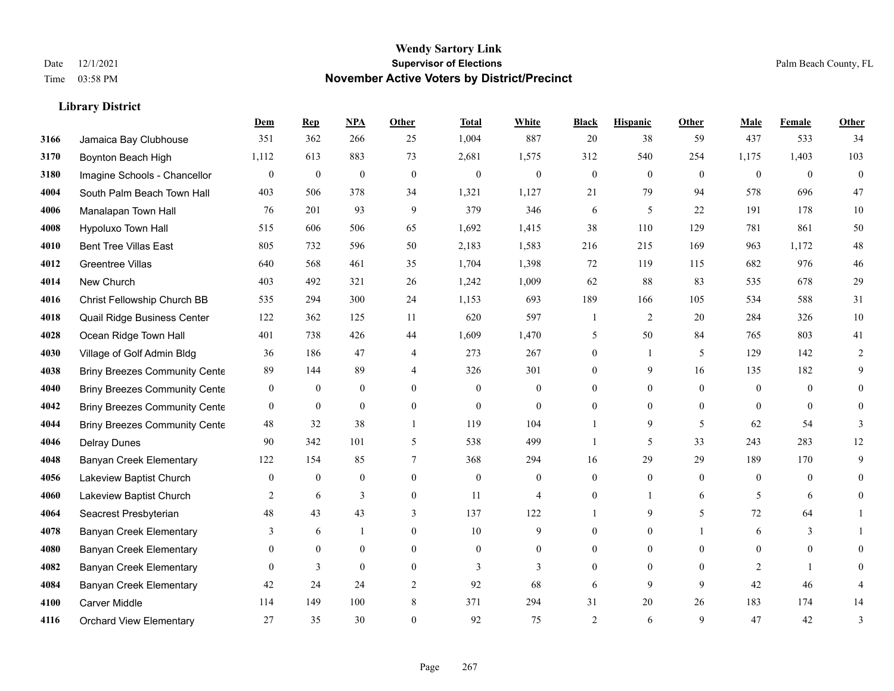#### **Wendy Sartory Link** Date 12/1/2021 **Supervisor of Elections** Palm Beach County, FL Time 03:58 PM **November Active Voters by District/Precinct**

# **Dem Rep NPA Other Total White Black Hispanic Other Male Female Other** Jamaica Bay Clubhouse 351 362 266 25 1,004 887 20 38 59 437 533 34 Boynton Beach High 1,112 613 883 73 2,681 1,575 312 540 254 1,175 1,403 103 Imagine Schools - Chancellor 0 0 0 0 0 0 0 0 0 0 0 0 South Palm Beach Town Hall 403 506 378 34 1,321 1,127 21 79 94 578 696 47 Manalapan Town Hall 76 201 93 9 379 346 6 5 22 191 178 10 Hypoluxo Town Hall 515 606 506 65 1,692 1,415 38 110 129 781 861 50 Bent Tree Villas East 805 732 596 50 2,183 1,583 216 215 169 963 1,172 48 Greentree Villas 640 568 461 35 1,704 1,398 72 119 115 682 976 46 New Church 403 492 321 26 1,242 1,009 62 88 83 535 678 29 Christ Fellowship Church BB 535 294 300 24 1,153 693 189 166 105 534 588 31 Quail Ridge Business Center 122 362 125 11 620 597 1 2 20 284 326 10 Ocean Ridge Town Hall 401 738 426 44 1,609 1,470 5 50 84 765 803 41 Village of Golf Admin Bldg 36 186 47 4 273 267 0 1 5 129 142 2 **4038 Briny Breezes Community Cente** 89 144 89 4 326 301 0 9 16 135 182 9 Briny Breezes Community Center 0 0 0 0 0 0 0 0 0 0 0 0 Briny Breezes Community Center 0 0 0 0 0 0 0 0 0 0 0 0 Briny Breezes Community Cente  $\begin{array}{cccc} 48 & 32 & 38 & 1 & 119 & 104 & 1 & 9 & 5 & 62 & 54 & 3 \end{array}$  Delray Dunes 90 342 101 5 538 499 1 5 33 243 283 12 Banyan Creek Elementary 122 154 85 7 368 294 16 29 29 189 170 9 Lakeview Baptist Church 0 0 0 0 0 0 0 0 0 0 0 0 Lakeview Baptist Church 2 6 3 0 11 4 0 1 6 5 6 0 Seacrest Presbyterian **48** 43 43 3 137 122 1 9 5 72 64 1 **4078 Banyan Creek Elementary 3 6 1 0 10 9 0 0 1 6 3 1**  Banyan Creek Elementary 0 0 0 0 0 0 0 0 0 0 0 0 **4082 Banyan Creek Elementary 0 3 0 0 3 3 3 0 0 0 2 1 0**  Banyan Creek Elementary 42 24 24 2 92 68 6 9 9 42 46 4 Carver Middle 114 149 100 8 371 294 31 20 26 183 174 14 Orchard View Elementary 27 35 30 0 92 75 2 6 9 47 42 3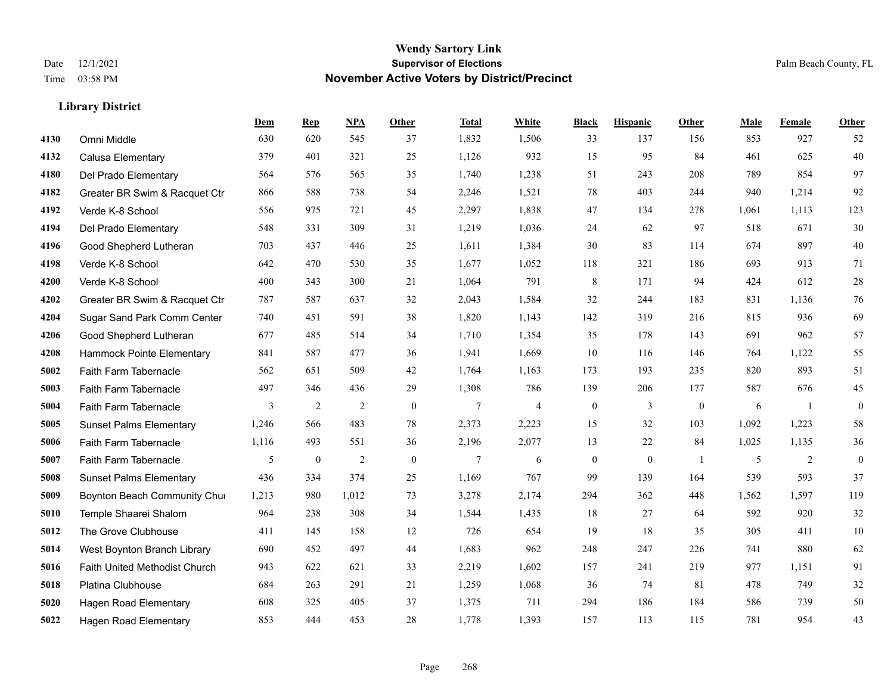#### **Wendy Sartory Link** Date 12/1/2021 **Supervisor of Elections Supervisor of Elections** Palm Beach County, FL Time 03:58 PM **November Active Voters by District/Precinct**

|      |                                | Dem   | <b>Rep</b>   | <b>NPA</b> | Other          | <b>Total</b> | <b>White</b> | <b>Black</b>     | <b>Hispanic</b> | <b>Other</b>   | Male  | Female         | Other        |
|------|--------------------------------|-------|--------------|------------|----------------|--------------|--------------|------------------|-----------------|----------------|-------|----------------|--------------|
| 4130 | Omni Middle                    | 630   | 620          | 545        | 37             | 1,832        | 1,506        | 33               | 137             | 156            | 853   | 927            | 52           |
| 4132 | Calusa Elementary              | 379   | 401          | 321        | 25             | 1,126        | 932          | 15               | 95              | 84             | 461   | 625            | 40           |
| 4180 | Del Prado Elementary           | 564   | 576          | 565        | 35             | 1,740        | 1,238        | 51               | 243             | 208            | 789   | 854            | 97           |
| 4182 | Greater BR Swim & Racquet Ctr  | 866   | 588          | 738        | 54             | 2,246        | 1,521        | 78               | 403             | 244            | 940   | 1,214          | 92           |
| 4192 | Verde K-8 School               | 556   | 975          | 721        | 45             | 2,297        | 1,838        | 47               | 134             | 278            | 1,061 | 1,113          | 123          |
| 4194 | Del Prado Elementary           | 548   | 331          | 309        | 31             | 1,219        | 1,036        | 24               | 62              | 97             | 518   | 671            | 30           |
| 4196 | Good Shepherd Lutheran         | 703   | 437          | 446        | 25             | 1,611        | 1,384        | 30               | 83              | 114            | 674   | 897            | 40           |
| 4198 | Verde K-8 School               | 642   | 470          | 530        | 35             | 1,677        | 1,052        | 118              | 321             | 186            | 693   | 913            | 71           |
| 4200 | Verde K-8 School               | 400   | 343          | 300        | 21             | 1,064        | 791          | 8                | 171             | 94             | 424   | 612            | $28\,$       |
| 4202 | Greater BR Swim & Racquet Ctr  | 787   | 587          | 637        | 32             | 2,043        | 1,584        | 32               | 244             | 183            | 831   | 1,136          | 76           |
| 4204 | Sugar Sand Park Comm Center    | 740   | 451          | 591        | 38             | 1,820        | 1,143        | 142              | 319             | 216            | 815   | 936            | 69           |
| 4206 | Good Shepherd Lutheran         | 677   | 485          | 514        | 34             | 1,710        | 1,354        | 35               | 178             | 143            | 691   | 962            | 57           |
| 4208 | Hammock Pointe Elementary      | 841   | 587          | 477        | 36             | 1,941        | 1,669        | 10               | 116             | 146            | 764   | 1,122          | 55           |
| 5002 | Faith Farm Tabernacle          | 562   | 651          | 509        | 42             | 1,764        | 1,163        | 173              | 193             | 235            | 820   | 893            | 51           |
| 5003 | Faith Farm Tabernacle          | 497   | 346          | 436        | 29             | 1,308        | 786          | 139              | 206             | 177            | 587   | 676            | 45           |
| 5004 | Faith Farm Tabernacle          | 3     | 2            | 2          | $\overline{0}$ | 7            | 4            | $\boldsymbol{0}$ | 3               | $\overline{0}$ | 6     | $\overline{1}$ | $\mathbf{0}$ |
| 5005 | <b>Sunset Palms Elementary</b> | 1,246 | 566          | 483        | 78             | 2,373        | 2,223        | 15               | 32              | 103            | 1,092 | 1,223          | 58           |
| 5006 | Faith Farm Tabernacle          | 1,116 | 493          | 551        | 36             | 2,196        | 2,077        | 13               | 22              | 84             | 1,025 | 1,135          | 36           |
| 5007 | Faith Farm Tabernacle          | 5     | $\mathbf{0}$ | 2          | $\overline{0}$ | 7            | 6            | $\boldsymbol{0}$ | $\mathbf{0}$    | $\overline{1}$ | 5     | 2              | $\mathbf{0}$ |
| 5008 | <b>Sunset Palms Elementary</b> | 436   | 334          | 374        | 25             | 1,169        | 767          | 99               | 139             | 164            | 539   | 593            | 37           |
| 5009 | Boynton Beach Community Chur   | 1,213 | 980          | 1,012      | 73             | 3,278        | 2,174        | 294              | 362             | 448            | 1,562 | 1,597          | 119          |
| 5010 | Temple Shaarei Shalom          | 964   | 238          | 308        | 34             | 1,544        | 1,435        | 18               | 27              | 64             | 592   | 920            | 32           |
| 5012 | The Grove Clubhouse            | 411   | 145          | 158        | 12             | 726          | 654          | 19               | 18              | 35             | 305   | 411            | 10           |
| 5014 | West Boynton Branch Library    | 690   | 452          | 497        | 44             | 1,683        | 962          | 248              | 247             | 226            | 741   | 880            | 62           |
| 5016 | Faith United Methodist Church  | 943   | 622          | 621        | 33             | 2,219        | 1,602        | 157              | 241             | 219            | 977   | 1,151          | 91           |
| 5018 | Platina Clubhouse              | 684   | 263          | 291        | 21             | 1,259        | 1,068        | 36               | 74              | 81             | 478   | 749            | 32           |
| 5020 | <b>Hagen Road Elementary</b>   | 608   | 325          | 405        | 37             | 1,375        | 711          | 294              | 186             | 184            | 586   | 739            | 50           |
| 5022 | <b>Hagen Road Elementary</b>   | 853   | 444          | 453        | 28             | 1,778        | 1,393        | 157              | 113             | 115            | 781   | 954            | 43           |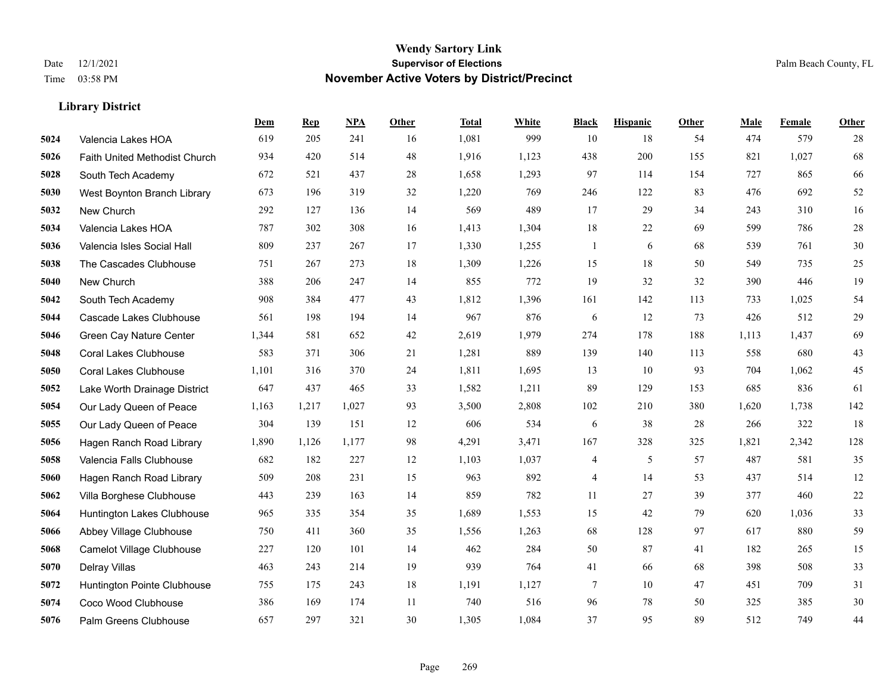|      |                               | Dem   | <b>Rep</b> | NPA   | <b>Other</b> | <b>Total</b> | <b>White</b> | <b>Black</b>   | <b>Hispanic</b> | <b>Other</b> | <b>Male</b> | Female | <b>Other</b> |
|------|-------------------------------|-------|------------|-------|--------------|--------------|--------------|----------------|-----------------|--------------|-------------|--------|--------------|
| 5024 | Valencia Lakes HOA            | 619   | 205        | 241   | 16           | 1,081        | 999          | 10             | 18              | 54           | 474         | 579    | 28           |
| 5026 | Faith United Methodist Church | 934   | 420        | 514   | 48           | 1,916        | 1,123        | 438            | 200             | 155          | 821         | 1,027  | 68           |
| 5028 | South Tech Academy            | 672   | 521        | 437   | 28           | 1,658        | 1,293        | 97             | 114             | 154          | 727         | 865    | 66           |
| 5030 | West Boynton Branch Library   | 673   | 196        | 319   | 32           | 1,220        | 769          | 246            | 122             | 83           | 476         | 692    | $52\,$       |
| 5032 | New Church                    | 292   | 127        | 136   | 14           | 569          | 489          | 17             | 29              | 34           | 243         | 310    | 16           |
| 5034 | Valencia Lakes HOA            | 787   | 302        | 308   | 16           | 1,413        | 1,304        | 18             | 22              | 69           | 599         | 786    | $28\,$       |
| 5036 | Valencia Isles Social Hall    | 809   | 237        | 267   | 17           | 1,330        | 1,255        | 1              | 6               | 68           | 539         | 761    | $30\,$       |
| 5038 | The Cascades Clubhouse        | 751   | 267        | 273   | 18           | 1,309        | 1,226        | 15             | 18              | 50           | 549         | 735    | 25           |
| 5040 | New Church                    | 388   | 206        | 247   | 14           | 855          | 772          | 19             | 32              | 32           | 390         | 446    | 19           |
| 5042 | South Tech Academy            | 908   | 384        | 477   | 43           | 1,812        | 1,396        | 161            | 142             | 113          | 733         | 1,025  | 54           |
| 5044 | Cascade Lakes Clubhouse       | 561   | 198        | 194   | 14           | 967          | 876          | 6              | 12              | 73           | 426         | 512    | 29           |
| 5046 | Green Cay Nature Center       | 1,344 | 581        | 652   | 42           | 2,619        | 1,979        | 274            | 178             | 188          | 1,113       | 1,437  | 69           |
| 5048 | <b>Coral Lakes Clubhouse</b>  | 583   | 371        | 306   | 21           | 1,281        | 889          | 139            | 140             | 113          | 558         | 680    | $43\,$       |
| 5050 | <b>Coral Lakes Clubhouse</b>  | 1,101 | 316        | 370   | 24           | 1,811        | 1,695        | 13             | 10              | 93           | 704         | 1,062  | 45           |
| 5052 | Lake Worth Drainage District  | 647   | 437        | 465   | 33           | 1,582        | 1,211        | 89             | 129             | 153          | 685         | 836    | 61           |
| 5054 | Our Lady Queen of Peace       | 1,163 | 1,217      | 1,027 | 93           | 3,500        | 2,808        | 102            | 210             | 380          | 1,620       | 1,738  | 142          |
| 5055 | Our Lady Queen of Peace       | 304   | 139        | 151   | 12           | 606          | 534          | 6              | 38              | 28           | 266         | 322    | 18           |
| 5056 | Hagen Ranch Road Library      | 1,890 | 1,126      | 1,177 | 98           | 4,291        | 3,471        | 167            | 328             | 325          | 1,821       | 2,342  | 128          |
| 5058 | Valencia Falls Clubhouse      | 682   | 182        | 227   | 12           | 1,103        | 1,037        | 4              | 5               | 57           | 487         | 581    | 35           |
| 5060 | Hagen Ranch Road Library      | 509   | 208        | 231   | 15           | 963          | 892          | $\overline{4}$ | 14              | 53           | 437         | 514    | 12           |
| 5062 | Villa Borghese Clubhouse      | 443   | 239        | 163   | 14           | 859          | 782          | 11             | 27              | 39           | 377         | 460    | $22\,$       |
| 5064 | Huntington Lakes Clubhouse    | 965   | 335        | 354   | 35           | 1,689        | 1,553        | 15             | 42              | 79           | 620         | 1,036  | 33           |
| 5066 | Abbey Village Clubhouse       | 750   | 411        | 360   | 35           | 1,556        | 1,263        | 68             | 128             | 97           | 617         | 880    | 59           |
| 5068 | Camelot Village Clubhouse     | 227   | 120        | 101   | 14           | 462          | 284          | 50             | 87              | 41           | 182         | 265    | 15           |
| 5070 | Delray Villas                 | 463   | 243        | 214   | 19           | 939          | 764          | 41             | 66              | 68           | 398         | 508    | 33           |
| 5072 | Huntington Pointe Clubhouse   | 755   | 175        | 243   | 18           | 1,191        | 1,127        | 7              | 10              | 47           | 451         | 709    | 31           |
| 5074 | Coco Wood Clubhouse           | 386   | 169        | 174   | 11           | 740          | 516          | 96             | 78              | 50           | 325         | 385    | $30\,$       |
| 5076 | Palm Greens Clubhouse         | 657   | 297        | 321   | 30           | 1,305        | 1,084        | 37             | 95              | 89           | 512         | 749    | 44           |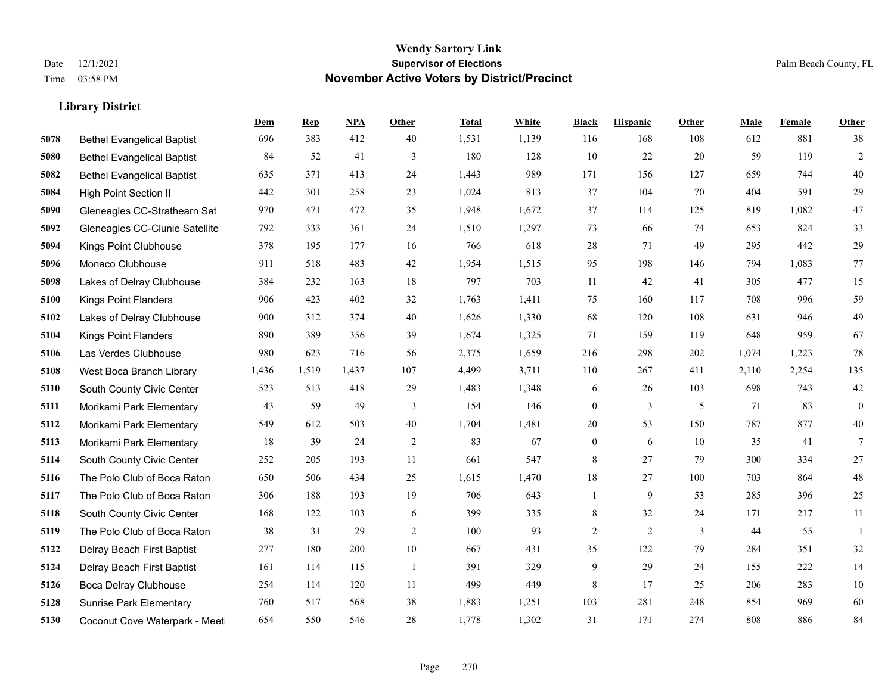#### **Wendy Sartory Link** Date 12/1/2021 **Supervisor of Elections** Palm Beach County, FL Time 03:58 PM **November Active Voters by District/Precinct**

# **Dem Rep NPA Other Total White Black Hispanic Other Male Female Other** Bethel Evangelical Baptist 696 383 412 40 1,531 1,139 116 168 108 612 881 38 Bethel Evangelical Baptist 84 52 41 3 180 128 10 22 20 59 119 2 Bethel Evangelical Baptist 635 371 413 24 1,443 989 171 156 127 659 744 40 High Point Section II 442 301 258 23 1,024 813 37 104 70 404 591 29 Gleneagles CC-Strathearn Sat 970 471 472 35 1,948 1,672 37 114 125 819 1,082 47 Gleneagles CC-Clunie Satellite 792 333 361 24 1,510 1,297 73 66 74 653 824 33 Kings Point Clubhouse 378 195 177 16 766 618 28 71 49 295 442 29 Monaco Clubhouse 911 518 483 42 1,954 1,515 95 198 146 794 1,083 77 Lakes of Delray Clubhouse 384 232 163 18 797 703 11 42 41 305 477 15 Kings Point Flanders 906 423 402 32 1,763 1,411 75 160 117 708 996 59 Lakes of Delray Clubhouse 900 312 374 40 1,626 1,330 68 120 108 631 946 49 Kings Point Flanders 890 389 356 39 1,674 1,325 71 159 119 648 959 67 Las Verdes Clubhouse 980 623 716 56 2,375 1,659 216 298 202 1,074 1,223 78 West Boca Branch Library 1,436 1,519 1,437 107 4,499 3,711 110 267 411 2,110 2,254 135 South County Civic Center 523 513 418 29 1,483 1,348 6 26 103 698 743 42 Morikami Park Elementary 43 59 49 3 154 146 0 3 5 71 83 0 Morikami Park Elementary 549 612 503 40 1,704 1,481 20 53 150 787 877 40 Morikami Park Elementary 18 39 24 2 83 67 0 6 10 35 41 7 South County Civic Center 252 205 193 11 661 547 8 27 79 300 334 27 The Polo Club of Boca Raton 650 506 434 25 1,615 1,470 18 27 100 703 864 48 The Polo Club of Boca Raton 306 188 193 19 706 643 1 9 53 285 396 25 South County Civic Center 168 122 103 6 399 335 8 32 24 171 217 11 The Polo Club of Boca Raton 38 31 29 2 100 93 2 2 3 44 55 1 Delray Beach First Baptist 277 180 200 10 667 431 35 122 79 284 351 32 Delray Beach First Baptist 161 114 115 1 391 329 9 29 24 155 222 14 Boca Delray Clubhouse 254 114 120 11 499 449 8 17 25 206 283 10 Sunrise Park Elementary 760 517 568 38 1,883 1,251 103 281 248 854 969 60

Coconut Cove Waterpark - Meet 654 550 546 28 1,778 1,302 31 171 274 808 886 84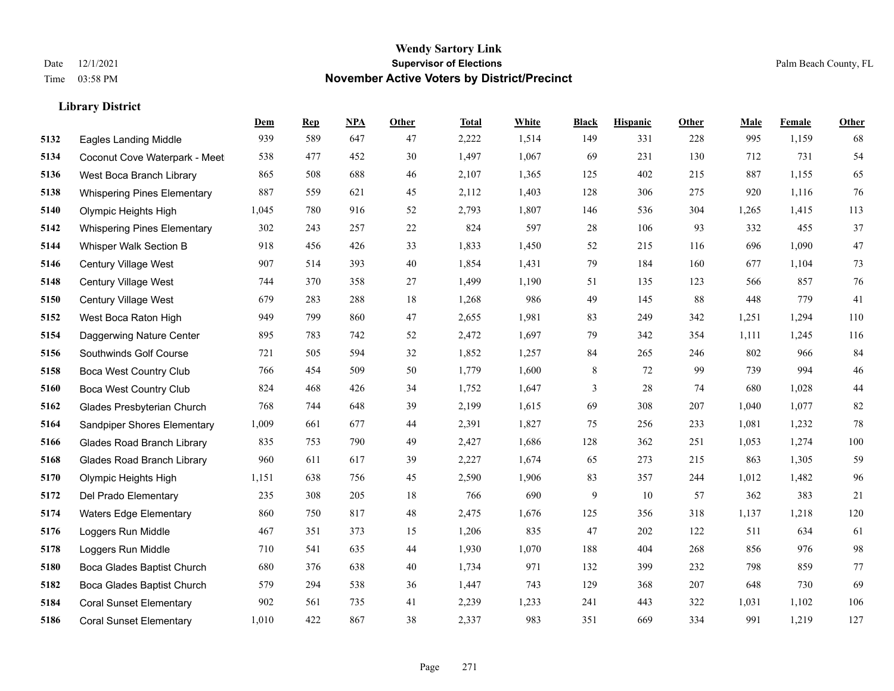|      |                                    | Dem   | <b>Rep</b> | NPA | <b>Other</b> | <b>Total</b> | <b>White</b> | <b>Black</b> | <b>Hispanic</b> | <b>Other</b> | <b>Male</b> | <b>Female</b> | <b>Other</b> |
|------|------------------------------------|-------|------------|-----|--------------|--------------|--------------|--------------|-----------------|--------------|-------------|---------------|--------------|
| 5132 | <b>Eagles Landing Middle</b>       | 939   | 589        | 647 | 47           | 2,222        | 1,514        | 149          | 331             | 228          | 995         | 1,159         | 68           |
| 5134 | Coconut Cove Waterpark - Meet      | 538   | 477        | 452 | 30           | 1,497        | 1,067        | 69           | 231             | 130          | 712         | 731           | 54           |
| 5136 | West Boca Branch Library           | 865   | 508        | 688 | 46           | 2,107        | 1,365        | 125          | 402             | 215          | 887         | 1,155         | 65           |
| 5138 | <b>Whispering Pines Elementary</b> | 887   | 559        | 621 | 45           | 2,112        | 1,403        | 128          | 306             | 275          | 920         | 1,116         | 76           |
| 5140 | Olympic Heights High               | 1,045 | 780        | 916 | 52           | 2,793        | 1,807        | 146          | 536             | 304          | 1,265       | 1,415         | 113          |
| 5142 | <b>Whispering Pines Elementary</b> | 302   | 243        | 257 | 22           | 824          | 597          | 28           | 106             | 93           | 332         | 455           | 37           |
| 5144 | Whisper Walk Section B             | 918   | 456        | 426 | 33           | 1,833        | 1,450        | 52           | 215             | 116          | 696         | 1,090         | 47           |
| 5146 | Century Village West               | 907   | 514        | 393 | 40           | 1,854        | 1,431        | 79           | 184             | 160          | 677         | 1,104         | 73           |
| 5148 | Century Village West               | 744   | 370        | 358 | 27           | 1,499        | 1,190        | 51           | 135             | 123          | 566         | 857           | 76           |
| 5150 | Century Village West               | 679   | 283        | 288 | 18           | 1,268        | 986          | 49           | 145             | 88           | 448         | 779           | 41           |
| 5152 | West Boca Raton High               | 949   | 799        | 860 | 47           | 2,655        | 1,981        | 83           | 249             | 342          | 1,251       | 1,294         | 110          |
| 5154 | Daggerwing Nature Center           | 895   | 783        | 742 | 52           | 2,472        | 1,697        | 79           | 342             | 354          | 1,111       | 1,245         | 116          |
| 5156 | Southwinds Golf Course             | 721   | 505        | 594 | 32           | 1,852        | 1,257        | 84           | 265             | 246          | 802         | 966           | 84           |
| 5158 | <b>Boca West Country Club</b>      | 766   | 454        | 509 | 50           | 1,779        | 1,600        | 8            | 72              | 99           | 739         | 994           | 46           |
| 5160 | <b>Boca West Country Club</b>      | 824   | 468        | 426 | 34           | 1,752        | 1,647        | 3            | 28              | 74           | 680         | 1,028         | $44\,$       |
| 5162 | Glades Presbyterian Church         | 768   | 744        | 648 | 39           | 2,199        | 1,615        | 69           | 308             | 207          | 1,040       | 1,077         | $82\,$       |
| 5164 | Sandpiper Shores Elementary        | 1,009 | 661        | 677 | 44           | 2,391        | 1,827        | 75           | 256             | 233          | 1,081       | 1,232         | $78\,$       |
| 5166 | <b>Glades Road Branch Library</b>  | 835   | 753        | 790 | 49           | 2,427        | 1,686        | 128          | 362             | 251          | 1,053       | 1,274         | 100          |
| 5168 | <b>Glades Road Branch Library</b>  | 960   | 611        | 617 | 39           | 2,227        | 1,674        | 65           | 273             | 215          | 863         | 1,305         | 59           |
| 5170 | Olympic Heights High               | 1,151 | 638        | 756 | 45           | 2,590        | 1,906        | 83           | 357             | 244          | 1,012       | 1,482         | 96           |
| 5172 | Del Prado Elementary               | 235   | 308        | 205 | 18           | 766          | 690          | 9            | 10              | 57           | 362         | 383           | 21           |
| 5174 | <b>Waters Edge Elementary</b>      | 860   | 750        | 817 | 48           | 2,475        | 1,676        | 125          | 356             | 318          | 1,137       | 1,218         | 120          |
| 5176 | Loggers Run Middle                 | 467   | 351        | 373 | 15           | 1,206        | 835          | 47           | 202             | 122          | 511         | 634           | 61           |
| 5178 | Loggers Run Middle                 | 710   | 541        | 635 | 44           | 1,930        | 1,070        | 188          | 404             | 268          | 856         | 976           | 98           |
| 5180 | Boca Glades Baptist Church         | 680   | 376        | 638 | 40           | 1,734        | 971          | 132          | 399             | 232          | 798         | 859           | 77           |
| 5182 | Boca Glades Baptist Church         | 579   | 294        | 538 | 36           | 1,447        | 743          | 129          | 368             | 207          | 648         | 730           | 69           |
| 5184 | <b>Coral Sunset Elementary</b>     | 902   | 561        | 735 | 41           | 2,239        | 1,233        | 241          | 443             | 322          | 1,031       | 1,102         | 106          |
| 5186 | <b>Coral Sunset Elementary</b>     | 1,010 | 422        | 867 | 38           | 2,337        | 983          | 351          | 669             | 334          | 991         | 1,219         | 127          |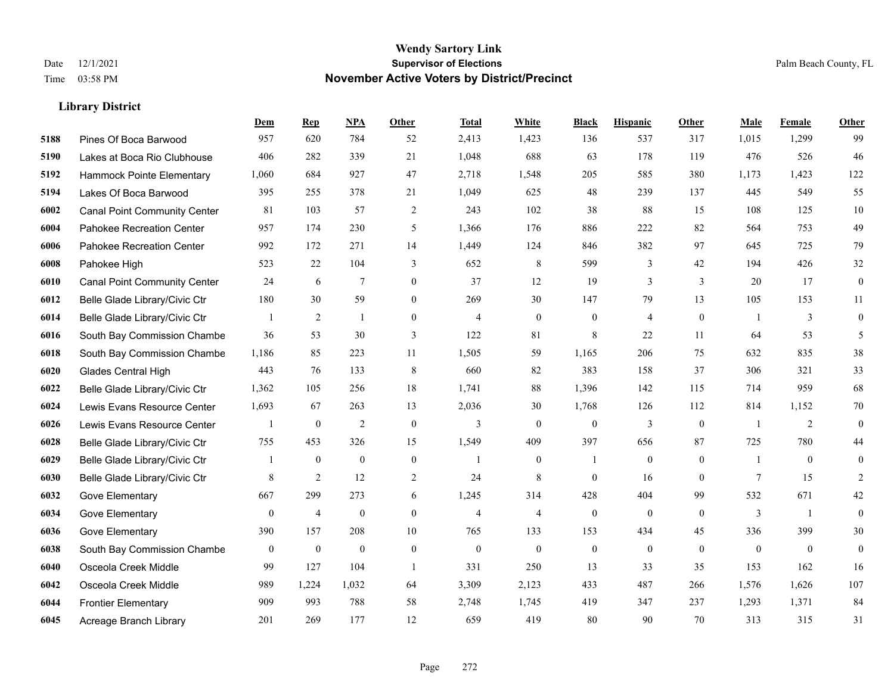|      |                                     | Dem              | <b>Rep</b>     | NPA              | <b>Other</b>   | <b>Total</b>   | White          | <b>Black</b>     | <b>Hispanic</b>  | Other          | <b>Male</b>    | Female         | <b>Other</b>     |
|------|-------------------------------------|------------------|----------------|------------------|----------------|----------------|----------------|------------------|------------------|----------------|----------------|----------------|------------------|
| 5188 | Pines Of Boca Barwood               | 957              | 620            | 784              | 52             | 2,413          | 1,423          | 136              | 537              | 317            | 1,015          | 1,299          | 99               |
| 5190 | Lakes at Boca Rio Clubhouse         | 406              | 282            | 339              | 21             | 1,048          | 688            | 63               | 178              | 119            | 476            | 526            | 46               |
| 5192 | Hammock Pointe Elementary           | 1,060            | 684            | 927              | 47             | 2,718          | 1,548          | 205              | 585              | 380            | 1,173          | 1,423          | 122              |
| 5194 | Lakes Of Boca Barwood               | 395              | 255            | 378              | 21             | 1,049          | 625            | 48               | 239              | 137            | 445            | 549            | 55               |
| 6002 | <b>Canal Point Community Center</b> | 81               | 103            | 57               | $\overline{2}$ | 243            | 102            | 38               | 88               | 15             | 108            | 125            | $10\,$           |
| 6004 | Pahokee Recreation Center           | 957              | 174            | 230              | 5              | 1,366          | 176            | 886              | 222              | 82             | 564            | 753            | 49               |
| 6006 | Pahokee Recreation Center           | 992              | 172            | 271              | 14             | 1,449          | 124            | 846              | 382              | 97             | 645            | 725            | 79               |
| 6008 | Pahokee High                        | 523              | 22             | 104              | 3              | 652            | 8              | 599              | 3                | 42             | 194            | 426            | 32               |
| 6010 | <b>Canal Point Community Center</b> | 24               | 6              | $\tau$           | $\overline{0}$ | 37             | 12             | 19               | 3                | 3              | 20             | 17             | $\boldsymbol{0}$ |
| 6012 | Belle Glade Library/Civic Ctr       | 180              | 30             | 59               | $\overline{0}$ | 269            | 30             | 147              | 79               | 13             | 105            | 153            | 11               |
| 6014 | Belle Glade Library/Civic Ctr       | 1                | 2              | $\mathbf{1}$     | $\overline{0}$ | $\overline{4}$ | $\overline{0}$ | $\boldsymbol{0}$ | $\overline{4}$   | $\theta$       | $\overline{1}$ | 3              | $\mathbf{0}$     |
| 6016 | South Bay Commission Chambe         | 36               | 53             | 30               | 3              | 122            | 81             | 8                | 22               | 11             | 64             | 53             | 5                |
| 6018 | South Bay Commission Chambe         | 1,186            | 85             | 223              | 11             | 1,505          | 59             | 1.165            | 206              | 75             | 632            | 835            | 38               |
| 6020 | <b>Glades Central High</b>          | 443              | 76             | 133              | $\,8\,$        | 660            | 82             | 383              | 158              | 37             | 306            | 321            | 33               |
| 6022 | Belle Glade Library/Civic Ctr       | 1,362            | 105            | 256              | 18             | 1,741          | 88             | 1,396            | 142              | 115            | 714            | 959            | 68               |
| 6024 | Lewis Evans Resource Center         | 1,693            | 67             | 263              | 13             | 2,036          | 30             | 1,768            | 126              | 112            | 814            | 1,152          | 70               |
| 6026 | Lewis Evans Resource Center         |                  | $\mathbf{0}$   | 2                | $\mathbf{0}$   | 3              | $\mathbf{0}$   | $\mathbf{0}$     | 3                | $\theta$       | $\overline{1}$ | 2              | $\mathbf{0}$     |
| 6028 | Belle Glade Library/Civic Ctr       | 755              | 453            | 326              | 15             | 1,549          | 409            | 397              | 656              | 87             | 725            | 780            | 44               |
| 6029 | Belle Glade Library/Civic Ctr       | 1                | $\bf{0}$       | $\boldsymbol{0}$ | $\mathbf{0}$   | -1             | $\overline{0}$ | 1                | $\mathbf{0}$     | $\theta$       | -1             | $\overline{0}$ | $\boldsymbol{0}$ |
| 6030 | Belle Glade Library/Civic Ctr       | 8                | 2              | 12               | $\overline{2}$ | 24             | 8              | $\mathbf{0}$     | 16               | $\theta$       | $\tau$         | 15             | 2                |
| 6032 | Gove Elementary                     | 667              | 299            | 273              | 6              | 1,245          | 314            | 428              | 404              | 99             | 532            | 671            | $42\,$           |
| 6034 | Gove Elementary                     | $\boldsymbol{0}$ | $\overline{4}$ | $\boldsymbol{0}$ | $\overline{0}$ | $\overline{4}$ | $\overline{4}$ | $\boldsymbol{0}$ | $\boldsymbol{0}$ | $\overline{0}$ | 3              | -1             | $\mathbf{0}$     |
| 6036 | Gove Elementary                     | 390              | 157            | 208              | 10             | 765            | 133            | 153              | 434              | 45             | 336            | 399            | 30               |
| 6038 | South Bay Commission Chambe         | $\overline{0}$   | $\mathbf{0}$   | $\mathbf{0}$     | $\Omega$       | $\mathbf{0}$   | $\mathbf{0}$   | $\boldsymbol{0}$ | $\mathbf{0}$     | $\theta$       | $\theta$       | $\theta$       | $\mathbf{0}$     |
| 6040 | Osceola Creek Middle                | 99               | 127            | 104              | $\overline{1}$ | 331            | 250            | 13               | 33               | 35             | 153            | 162            | 16               |
| 6042 | Osceola Creek Middle                | 989              | 1,224          | 1,032            | 64             | 3,309          | 2,123          | 433              | 487              | 266            | 1,576          | 1,626          | 107              |
| 6044 | <b>Frontier Elementary</b>          | 909              | 993            | 788              | 58             | 2,748          | 1,745          | 419              | 347              | 237            | 1,293          | 1,371          | 84               |
| 6045 | Acreage Branch Library              | 201              | 269            | 177              | 12             | 659            | 419            | 80               | 90               | 70             | 313            | 315            | 31               |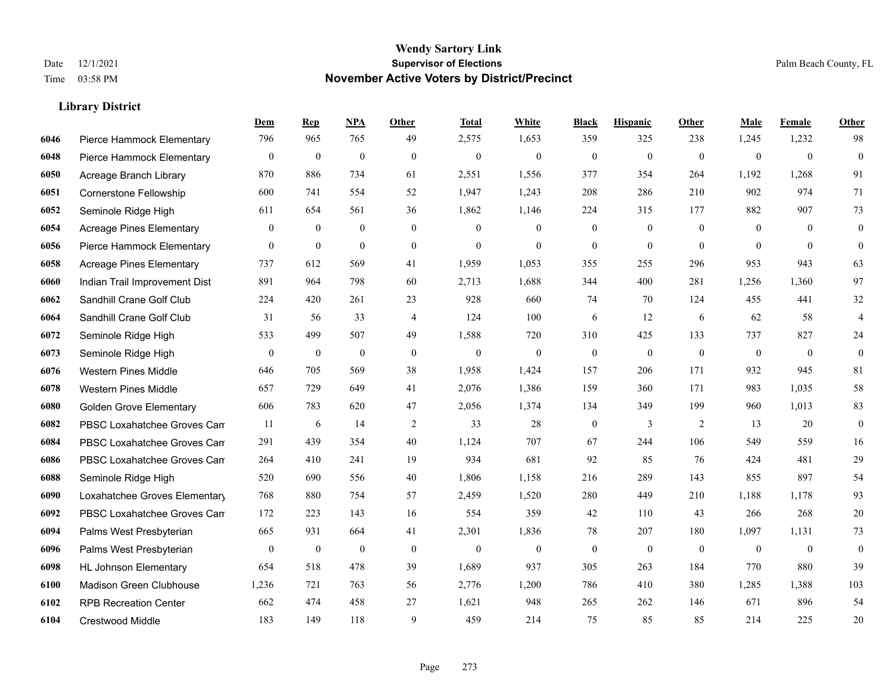|      |                                 | Dem          | <b>Rep</b>       | NPA              | <b>Other</b>     | <b>Total</b>     | White            | <b>Black</b>     | <b>Hispanic</b>  | Other          | <b>Male</b>      | Female           | <b>Other</b>            |
|------|---------------------------------|--------------|------------------|------------------|------------------|------------------|------------------|------------------|------------------|----------------|------------------|------------------|-------------------------|
| 6046 | Pierce Hammock Elementary       | 796          | 965              | 765              | 49               | 2,575            | 1,653            | 359              | 325              | 238            | 1,245            | 1,232            | 98                      |
| 6048 | Pierce Hammock Elementary       | $\bf{0}$     | $\boldsymbol{0}$ | $\boldsymbol{0}$ | $\theta$         | $\boldsymbol{0}$ | $\boldsymbol{0}$ | $\boldsymbol{0}$ | $\boldsymbol{0}$ | $\mathbf{0}$   | $\boldsymbol{0}$ | $\boldsymbol{0}$ | $\boldsymbol{0}$        |
| 6050 | Acreage Branch Library          | 870          | 886              | 734              | 61               | 2,551            | 1,556            | 377              | 354              | 264            | 1,192            | 1,268            | 91                      |
| 6051 | Cornerstone Fellowship          | 600          | 741              | 554              | 52               | 1,947            | 1,243            | 208              | 286              | 210            | 902              | 974              | 71                      |
| 6052 | Seminole Ridge High             | 611          | 654              | 561              | 36               | 1,862            | 1,146            | 224              | 315              | 177            | 882              | 907              | 73                      |
| 6054 | <b>Acreage Pines Elementary</b> | $\mathbf{0}$ | $\bf{0}$         | $\mathbf{0}$     | $\mathbf{0}$     | $\theta$         | $\mathbf{0}$     | $\boldsymbol{0}$ | $\overline{0}$   | $\overline{0}$ | $\overline{0}$   | $\overline{0}$   | $\mathbf{0}$            |
| 6056 | Pierce Hammock Elementary       | $\mathbf{0}$ | $\boldsymbol{0}$ | $\boldsymbol{0}$ | $\boldsymbol{0}$ | $\mathbf{0}$     | $\boldsymbol{0}$ | $\boldsymbol{0}$ | $\mathbf{0}$     | $\mathbf{0}$   | $\overline{0}$   | $\mathbf{0}$     | $\boldsymbol{0}$        |
| 6058 | <b>Acreage Pines Elementary</b> | 737          | 612              | 569              | 41               | 1,959            | 1,053            | 355              | 255              | 296            | 953              | 943              | 63                      |
| 6060 | Indian Trail Improvement Dist   | 891          | 964              | 798              | 60               | 2,713            | 1,688            | 344              | 400              | 281            | 1,256            | 1,360            | 97                      |
| 6062 | Sandhill Crane Golf Club        | 224          | 420              | 261              | 23               | 928              | 660              | 74               | 70               | 124            | 455              | 441              | 32                      |
| 6064 | Sandhill Crane Golf Club        | 31           | 56               | 33               | $\overline{4}$   | 124              | 100              | 6                | 12               | 6              | 62               | 58               | $\overline{\mathbf{4}}$ |
| 6072 | Seminole Ridge High             | 533          | 499              | 507              | 49               | 1,588            | 720              | 310              | 425              | 133            | 737              | 827              | $24\,$                  |
| 6073 | Seminole Ridge High             | $\mathbf{0}$ | $\bf{0}$         | $\mathbf{0}$     | $\mathbf{0}$     | $\mathbf{0}$     | $\overline{0}$   | $\mathbf{0}$     | $\mathbf{0}$     | $\theta$       | $\overline{0}$   | $\mathbf{0}$     | $\mathbf{0}$            |
| 6076 | <b>Western Pines Middle</b>     | 646          | 705              | 569              | 38               | 1,958            | 1,424            | 157              | 206              | 171            | 932              | 945              | 81                      |
| 6078 | <b>Western Pines Middle</b>     | 657          | 729              | 649              | 41               | 2,076            | 1,386            | 159              | 360              | 171            | 983              | 1.035            | 58                      |
| 6080 | <b>Golden Grove Elementary</b>  | 606          | 783              | 620              | 47               | 2,056            | 1,374            | 134              | 349              | 199            | 960              | 1,013            | 83                      |
| 6082 | PBSC Loxahatchee Groves Can     | 11           | 6                | 14               | 2                | 33               | 28               | $\boldsymbol{0}$ | 3                | 2              | 13               | 20               | $\boldsymbol{0}$        |
| 6084 | PBSC Loxahatchee Groves Can     | 291          | 439              | 354              | 40               | 1,124            | 707              | 67               | 244              | 106            | 549              | 559              | 16                      |
| 6086 | PBSC Loxahatchee Groves Can     | 264          | 410              | 241              | 19               | 934              | 681              | 92               | 85               | 76             | 424              | 481              | 29                      |
| 6088 | Seminole Ridge High             | 520          | 690              | 556              | 40               | 1,806            | 1,158            | 216              | 289              | 143            | 855              | 897              | 54                      |
| 6090 | Loxahatchee Groves Elementary   | 768          | 880              | 754              | 57               | 2,459            | 1,520            | 280              | 449              | 210            | 1,188            | 1.178            | 93                      |
| 6092 | PBSC Loxahatchee Groves Can     | 172          | 223              | 143              | 16               | 554              | 359              | 42               | 110              | 43             | 266              | 268              | $20\,$                  |
| 6094 | Palms West Presbyterian         | 665          | 931              | 664              | 41               | 2,301            | 1,836            | 78               | 207              | 180            | 1,097            | 1,131            | 73                      |
| 6096 | Palms West Presbyterian         | $\mathbf{0}$ | $\bf{0}$         | $\boldsymbol{0}$ | $\boldsymbol{0}$ | $\mathbf{0}$     | $\boldsymbol{0}$ | $\boldsymbol{0}$ | $\boldsymbol{0}$ | $\mathbf{0}$   | $\overline{0}$   | $\mathbf{0}$     | $\boldsymbol{0}$        |
| 6098 | <b>HL Johnson Elementary</b>    | 654          | 518              | 478              | 39               | 1,689            | 937              | 305              | 263              | 184            | 770              | 880              | 39                      |
| 6100 | Madison Green Clubhouse         | 1,236        | 721              | 763              | 56               | 2,776            | 1,200            | 786              | 410              | 380            | 1,285            | 1,388            | 103                     |
| 6102 | <b>RPB Recreation Center</b>    | 662          | 474              | 458              | 27               | 1,621            | 948              | 265              | 262              | 146            | 671              | 896              | 54                      |
| 6104 | Crestwood Middle                | 183          | 149              | 118              | 9                | 459              | 214              | 75               | 85               | 85             | 214              | 225              | 20                      |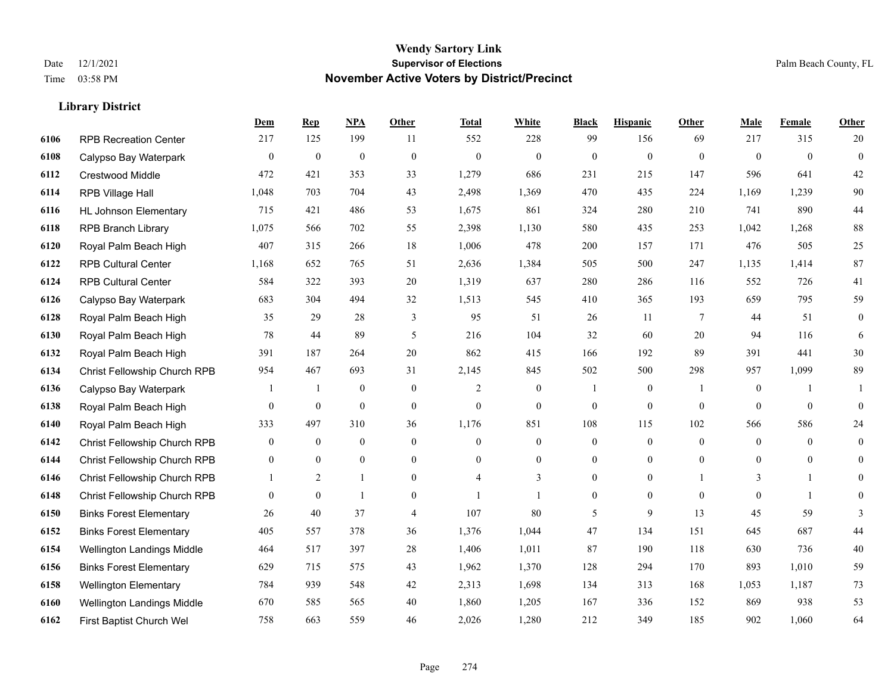#### **Wendy Sartory Link** Date 12/1/2021 **Supervisor of Elections** Palm Beach County, FL Time 03:58 PM **November Active Voters by District/Precinct**

# **Dem Rep NPA Other Total White Black Hispanic Other Male Female Other** RPB Recreation Center 217 125 199 11 552 228 99 156 69 217 315 20 Calypso Bay Waterpark 0 0 0 0 0 0 0 0 0 0 0 0 Crestwood Middle 472 421 353 33 1,279 686 231 215 147 596 641 42 RPB Village Hall 1,048 703 704 43 2,498 1,369 470 435 224 1,169 1,239 90 HL Johnson Elementary 715 421 486 53 1,675 861 324 280 210 741 890 44 RPB Branch Library 1,075 566 702 55 2,398 1,130 580 435 253 1,042 1,268 88 Royal Palm Beach High 407 315 266 18 1,006 478 200 157 171 476 505 25 RPB Cultural Center 1,168 652 765 51 2,636 1,384 505 500 247 1,135 1,414 87 RPB Cultural Center 584 322 393 20 1,319 637 280 286 116 552 726 41 Calypso Bay Waterpark 683 304 494 32 1,513 545 410 365 193 659 795 59 Royal Palm Beach High 35 29 28 3 95 51 26 11 7 44 51 0 Royal Palm Beach High 78 44 89 5 216 104 32 60 20 94 116 6 Royal Palm Beach High 391 187 264 20 862 415 166 192 89 391 441 30 Christ Fellowship Church RPB 954 467 693 31 2,145 845 502 500 298 957 1,099 89 Calypso Bay Waterpark 1 1 0 0 2 0 1 0 1 0 1 1 Royal Palm Beach High 0 0 0 0 0 0 0 0 0 0 0 0 Royal Palm Beach High 333 497 310 36 1,176 851 108 115 102 566 586 24 Christ Fellowship Church RPB 0 0 0 0 0 0 0 0 0 0 0 0 Christ Fellowship Church RPB 0 0 0 0 0 0 0 0 0 0 0 0 Christ Fellowship Church RPB 1 2 1 0 4 3 0 0 1 3 1 0 Christ Fellowship Church RPB 0 0 1 0 1 1 0 0 0 0 1 0 Binks Forest Elementary 26 40 37 4 107 80 5 9 13 45 59 3 Binks Forest Elementary 405 557 378 36 1,376 1,044 47 134 151 645 687 44 Wellington Landings Middle 464 517 397 28 1,406 1,011 87 190 118 630 736 40 Binks Forest Elementary 629 715 575 43 1,962 1,370 128 294 170 893 1,010 59 Wellington Elementary 784 939 548 42 2,313 1,698 134 313 168 1,053 1,187 73 Wellington Landings Middle 670 585 565 40 1,860 1,205 167 336 152 869 938 53 First Baptist Church Wel 758 663 559 46 2,026 1,280 212 349 185 902 1,060 64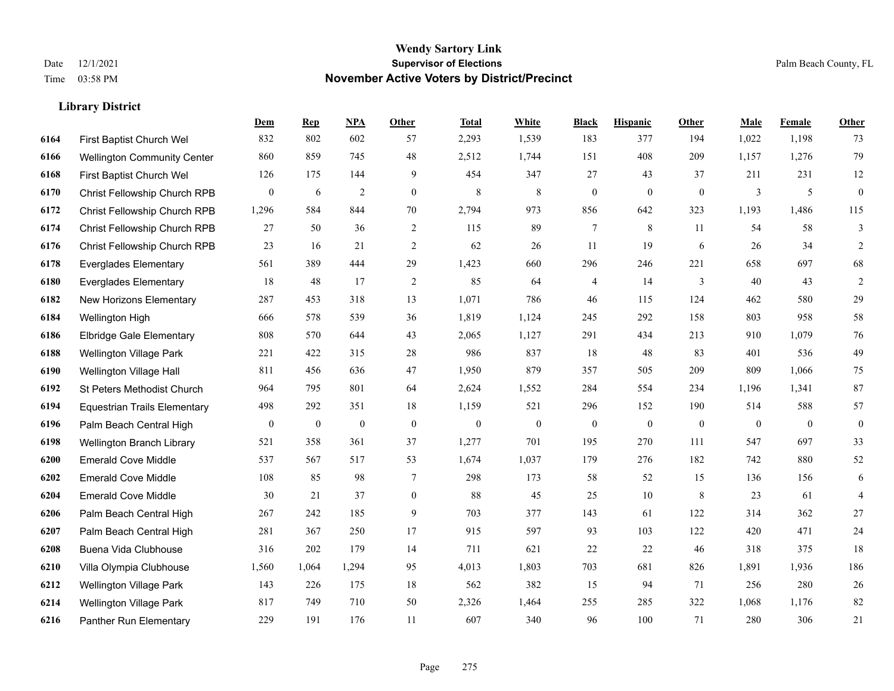|      |                                     | Dem              | <b>Rep</b>       | NPA              | <b>Other</b>     | <b>Total</b>     | White            | <b>Black</b>     | <b>Hispanic</b>  | Other            | <b>Male</b>      | <b>Female</b>  | <b>Other</b>     |
|------|-------------------------------------|------------------|------------------|------------------|------------------|------------------|------------------|------------------|------------------|------------------|------------------|----------------|------------------|
| 6164 | First Baptist Church Wel            | 832              | 802              | 602              | 57               | 2,293            | 1,539            | 183              | 377              | 194              | 1,022            | 1,198          | 73               |
| 6166 | <b>Wellington Community Center</b>  | 860              | 859              | 745              | 48               | 2,512            | 1,744            | 151              | 408              | 209              | 1,157            | 1,276          | 79               |
| 6168 | First Baptist Church Wel            | 126              | 175              | 144              | 9                | 454              | 347              | 27               | 43               | 37               | 211              | 231            | 12               |
| 6170 | Christ Fellowship Church RPB        | $\bf{0}$         | 6                | $\overline{2}$   | $\overline{0}$   | $\,8\,$          | $\,8\,$          | $\boldsymbol{0}$ | $\overline{0}$   | $\mathbf{0}$     | 3                | 5              | $\boldsymbol{0}$ |
| 6172 | <b>Christ Fellowship Church RPB</b> | 1,296            | 584              | 844              | 70               | 2,794            | 973              | 856              | 642              | 323              | 1,193            | 1,486          | 115              |
| 6174 | Christ Fellowship Church RPB        | 27               | 50               | 36               | 2                | 115              | 89               | 7                | 8                | 11               | 54               | 58             | 3                |
| 6176 | Christ Fellowship Church RPB        | 23               | 16               | 21               | 2                | 62               | 26               | 11               | 19               | 6                | 26               | 34             | $\overline{2}$   |
| 6178 | <b>Everglades Elementary</b>        | 561              | 389              | 444              | 29               | 1,423            | 660              | 296              | 246              | 221              | 658              | 697            | 68               |
| 6180 | <b>Everglades Elementary</b>        | 18               | 48               | 17               | $\overline{2}$   | 85               | 64               | 4                | 14               | 3                | 40               | 43             | $\overline{c}$   |
| 6182 | New Horizons Elementary             | 287              | 453              | 318              | 13               | 1,071            | 786              | 46               | 115              | 124              | 462              | 580            | 29               |
| 6184 | Wellington High                     | 666              | 578              | 539              | 36               | 1,819            | 1,124            | 245              | 292              | 158              | 803              | 958            | 58               |
| 6186 | <b>Elbridge Gale Elementary</b>     | 808              | 570              | 644              | 43               | 2,065            | 1,127            | 291              | 434              | 213              | 910              | 1,079          | 76               |
| 6188 | <b>Wellington Village Park</b>      | 221              | 422              | 315              | 28               | 986              | 837              | 18               | 48               | 83               | 401              | 536            | 49               |
| 6190 | Wellington Village Hall             | 811              | 456              | 636              | 47               | 1,950            | 879              | 357              | 505              | 209              | 809              | 1,066          | $75\,$           |
| 6192 | <b>St Peters Methodist Church</b>   | 964              | 795              | 801              | 64               | 2,624            | 1,552            | 284              | 554              | 234              | 1,196            | 1,341          | 87               |
| 6194 | <b>Equestrian Trails Elementary</b> | 498              | 292              | 351              | 18               | 1,159            | 521              | 296              | 152              | 190              | 514              | 588            | 57               |
| 6196 | Palm Beach Central High             | $\boldsymbol{0}$ | $\boldsymbol{0}$ | $\boldsymbol{0}$ | $\boldsymbol{0}$ | $\boldsymbol{0}$ | $\boldsymbol{0}$ | $\boldsymbol{0}$ | $\boldsymbol{0}$ | $\boldsymbol{0}$ | $\boldsymbol{0}$ | $\overline{0}$ | $\boldsymbol{0}$ |
| 6198 | Wellington Branch Library           | 521              | 358              | 361              | 37               | 1,277            | 701              | 195              | 270              | 111              | 547              | 697            | 33               |
| 6200 | <b>Emerald Cove Middle</b>          | 537              | 567              | 517              | 53               | 1,674            | 1,037            | 179              | 276              | 182              | 742              | 880            | 52               |
| 6202 | <b>Emerald Cove Middle</b>          | 108              | 85               | 98               | $\tau$           | 298              | 173              | 58               | 52               | 15               | 136              | 156            | 6                |
| 6204 | <b>Emerald Cove Middle</b>          | 30               | 21               | 37               | $\overline{0}$   | 88               | 45               | 25               | 10               | 8                | 23               | 61             | $\overline{4}$   |
| 6206 | Palm Beach Central High             | 267              | 242              | 185              | 9                | 703              | 377              | 143              | 61               | 122              | 314              | 362            | 27               |
| 6207 | Palm Beach Central High             | 281              | 367              | 250              | 17               | 915              | 597              | 93               | 103              | 122              | 420              | 471            | $24\,$           |
| 6208 | Buena Vida Clubhouse                | 316              | 202              | 179              | 14               | 711              | 621              | 22               | 22               | 46               | 318              | 375            | 18               |
| 6210 | Villa Olympia Clubhouse             | 1,560            | 1.064            | 1,294            | 95               | 4,013            | 1,803            | 703              | 681              | 826              | 1,891            | 1,936          | 186              |
| 6212 | Wellington Village Park             | 143              | 226              | 175              | 18               | 562              | 382              | 15               | 94               | 71               | 256              | 280            | 26               |
| 6214 | <b>Wellington Village Park</b>      | 817              | 749              | 710              | 50               | 2,326            | 1,464            | 255              | 285              | 322              | 1,068            | 1,176          | 82               |
| 6216 | Panther Run Elementary              | 229              | 191              | 176              | 11               | 607              | 340              | 96               | 100              | 71               | 280              | 306            | 21               |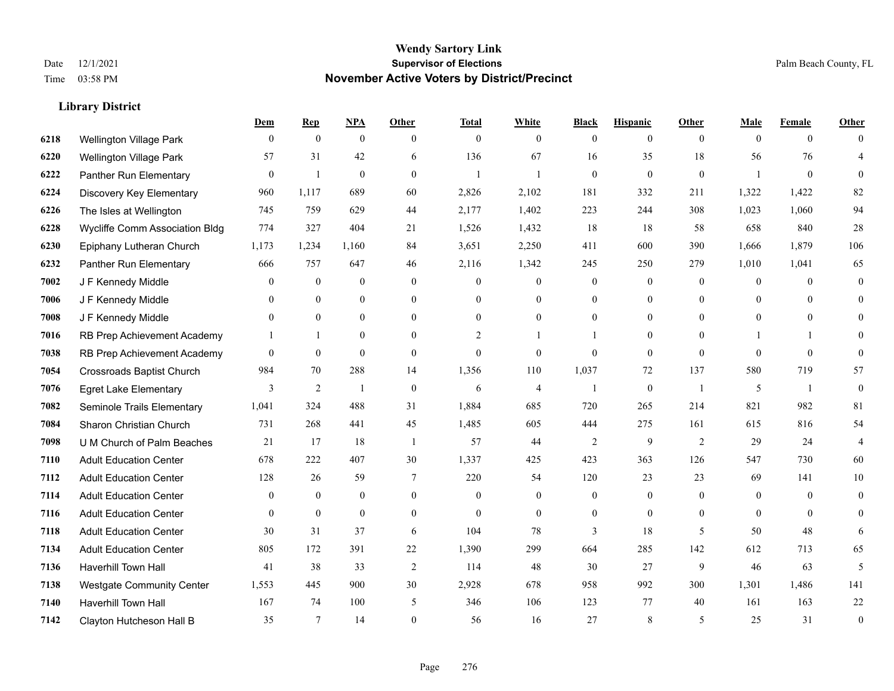#### **Wendy Sartory Link** Date 12/1/2021 **Supervisor of Elections** Palm Beach County, FL Time 03:58 PM **November Active Voters by District/Precinct**

# **Dem Rep NPA Other Total White Black Hispanic Other Male Female Other** Wellington Village Park 0 0 0 0 0 0 0 0 0 0 0 0 Wellington Village Park 57 31 42 6 136 67 16 35 18 56 76 4 Panther Run Elementary 0 1 0 0 1 1 0 0 0 1 0 0 Discovery Key Elementary 960 1,117 689 60 2,826 2,102 181 332 211 1,322 1,422 82 The Isles at Wellington 745 759 629 44 2,177 1,402 223 244 308 1,023 1,060 94 Wycliffe Comm Association Bldg 774 327 404 21 1,526 1,432 18 18 58 658 840 28 Epiphany Lutheran Church 1,173 1,234 1,160 84 3,651 2,250 411 600 390 1,666 1,879 106 Panther Run Elementary 666 757 647 46 2,116 1,342 245 250 279 1,010 1,041 65 J F Kennedy Middle 0 0 0 0 0 0 0 0 0 0 0 0 J F Kennedy Middle 0 0 0 0 0 0 0 0 0 0 0 0 J F Kennedy Middle 0 0 0 0 0 0 0 0 0 0 0 0 RB Prep Achievement Academy 1 1 0 0 0 2 1 1 0 1 0 0 1 1 0 RB Prep Achievement Academy 0 0 0 0 0 0 0 0 0 0 0 0 Crossroads Baptist Church 984 70 288 14 1,356 110 1,037 72 137 580 719 57 Egret Lake Elementary 3 2 1 0 6 4 1 0 1 5 1 0 Seminole Trails Elementary 1,041 324 488 31 1,884 685 720 265 214 821 982 81 Sharon Christian Church 731 268 441 45 1,485 605 444 275 161 615 816 54 U M Church of Palm Beaches 21 17 18 1 57 44 2 9 2 29 24 4 Adult Education Center 678 222 407 30 1,337 425 423 363 126 547 730 60 Adult Education Center 128 26 59 7 220 54 120 23 23 69 141 10 Adult Education Center 0 0 0 0 0 0 0 0 0 0 0 0 Adult Education Center 0 0 0 0 0 0 0 0 0 0 0 0 Adult Education Center 30 31 37 6 104 78 3 18 5 50 48 6 Adult Education Center 805 172 391 22 1,390 299 664 285 142 612 713 65 Haverhill Town Hall 41 38 33 2 114 48 30 27 9 46 63 5 Westgate Community Center 1,553 445 900 30 2,928 678 958 992 300 1,301 1,486 141 Haverhill Town Hall 167 74 100 5 346 106 123 77 40 161 163 22 Clayton Hutcheson Hall B 35 7 14 0 56 16 27 8 5 25 31 0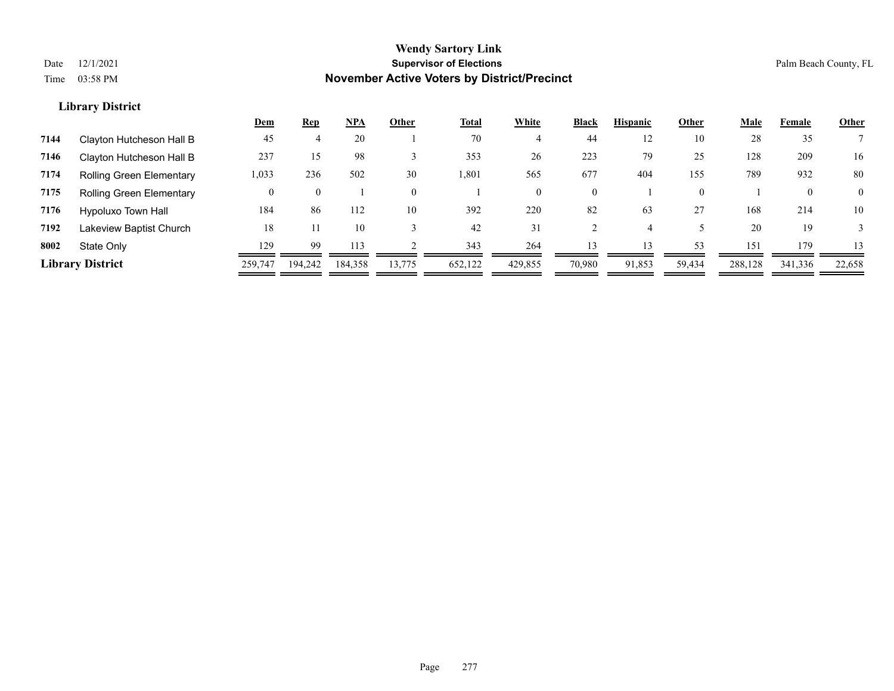|      |                                 | <u>Dem</u> | <b>Rep</b> | <b>NPA</b> | Other    | <b>Total</b> | White    | <b>Black</b>   | <b>Hispanic</b> | Other    | <b>Male</b> | Female       | <b>Other</b> |
|------|---------------------------------|------------|------------|------------|----------|--------------|----------|----------------|-----------------|----------|-------------|--------------|--------------|
| 7144 | Clayton Hutcheson Hall B        | 45         |            | 20         |          | 70           |          | 44             | 12              | 10       | 28          | 35           |              |
| 7146 | Clayton Hutcheson Hall B        | 237        | 15         | 98         |          | 353          | 26       | 223            | 79              | 25       | 128         | 209          | 16           |
| 7174 | <b>Rolling Green Elementary</b> | 1,033      | 236        | 502        | 30       | 1,801        | 565      | 677            | 404             | 155      | 789         | 932          | 80           |
| 7175 | <b>Rolling Green Elementary</b> | 0          | $\theta$   |            | $\theta$ |              | $\Omega$ | $\overline{0}$ |                 | $\theta$ |             | $\mathbf{0}$ | $\Omega$     |
| 7176 | Hypoluxo Town Hall              | 184        | 86         | 112        | 10       | 392          | 220      | 82             | 63              | 27       | 168         | 214          | 10           |
| 7192 | Lakeview Baptist Church         | 18         | 11         | 10         |          | 42           | 31       |                |                 |          | 20          | 19           |              |
| 8002 | State Only                      | 129        | 99         | 113        |          | 343          | 264      | 13             | 13              | 53       | 151         | 179          | 13           |
|      | <b>Library District</b>         | 259,747    | 194.242    | 184.358    | 13,775   | 652,122      | 429,855  | 70,980         | 91,853          | 59,434   | 288,128     | 341,336      | 22,658       |
|      |                                 |            |            |            |          |              |          |                |                 |          |             |              |              |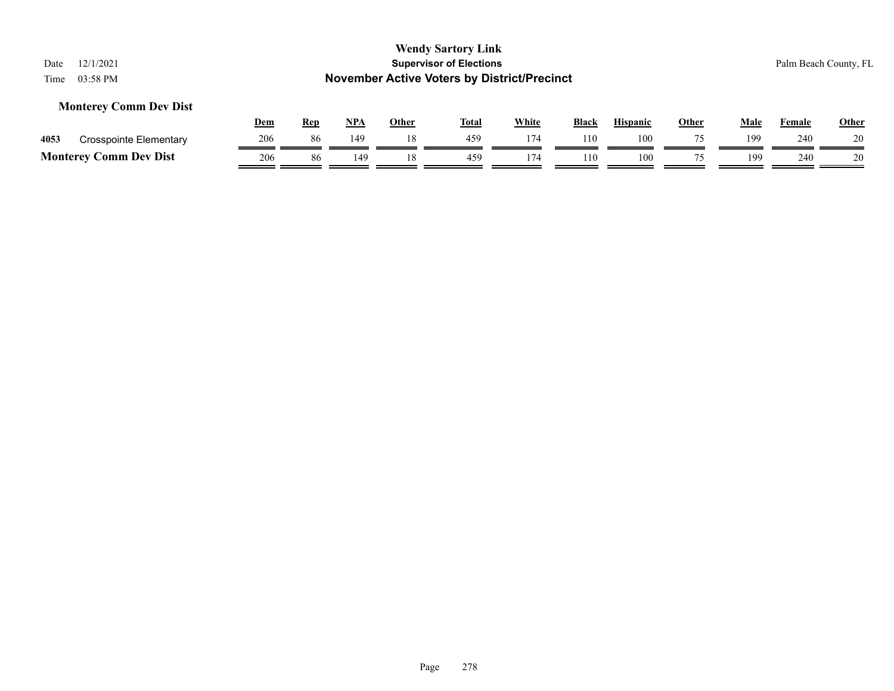### **Monterey Comm Dev Dist**

|                 |                               | <u>Dem</u> | Rep | <b>NPA</b>      | Other | <b>Total</b> | White | <b>Black</b> | <b>Hispanic</b> | Other | Male | Female | <b>Other</b> |
|-----------------|-------------------------------|------------|-----|-----------------|-------|--------------|-------|--------------|-----------------|-------|------|--------|--------------|
| 4053            | <b>Crosspointe Elementary</b> | 206        | 86  | 14 <sup>c</sup> |       | 459          | 174   | 110          | 100             | 75    | 199  | 240    | 20           |
| <b>Monterey</b> | Comm Dev Dist                 | 206        | 86  | 149             |       | 459          | 174   | 110          | 100             |       | 199  | 240    | 20           |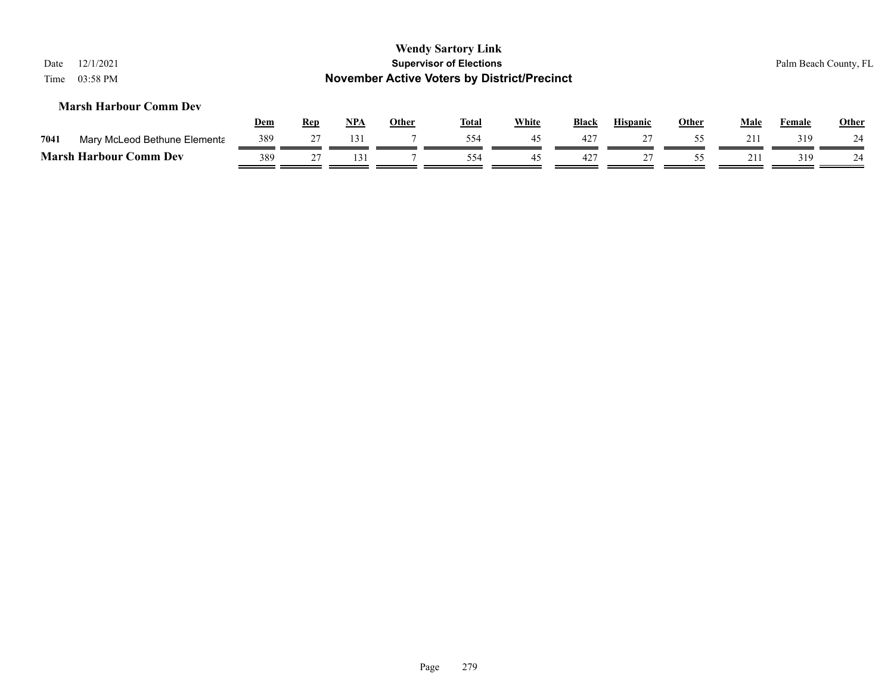| Date<br>Time | 12/1/2021<br>03:58 PM         |            |            |            |              | <b>Wendy Sartory Link</b><br><b>Supervisor of Elections</b><br><b>November Active Voters by District/Precinct</b> |       |              |                 |              |              |        | Palm Beach County, FL |
|--------------|-------------------------------|------------|------------|------------|--------------|-------------------------------------------------------------------------------------------------------------------|-------|--------------|-----------------|--------------|--------------|--------|-----------------------|
|              | <b>Marsh Harbour Comm Dev</b> | <b>Dem</b> | <b>Rep</b> | <u>NPA</u> | <b>Other</b> | <b>Total</b>                                                                                                      | White | <b>Black</b> | <b>Hispanic</b> | <b>Other</b> | Male         | Female | Other                 |
| 7041         | Mary McLeod Bethune Elementa  | 389        | 27         | 131        |              | 554                                                                                                               | 45    | 427          | 27              | 55           | 211          | 319    | 24                    |
|              | <b>Marsh Harbour Comm Dev</b> | 389        | 27         | 131        |              | 554                                                                                                               | 45    | 427          | 27              | 55           | $21^{\circ}$ | 319    | 24                    |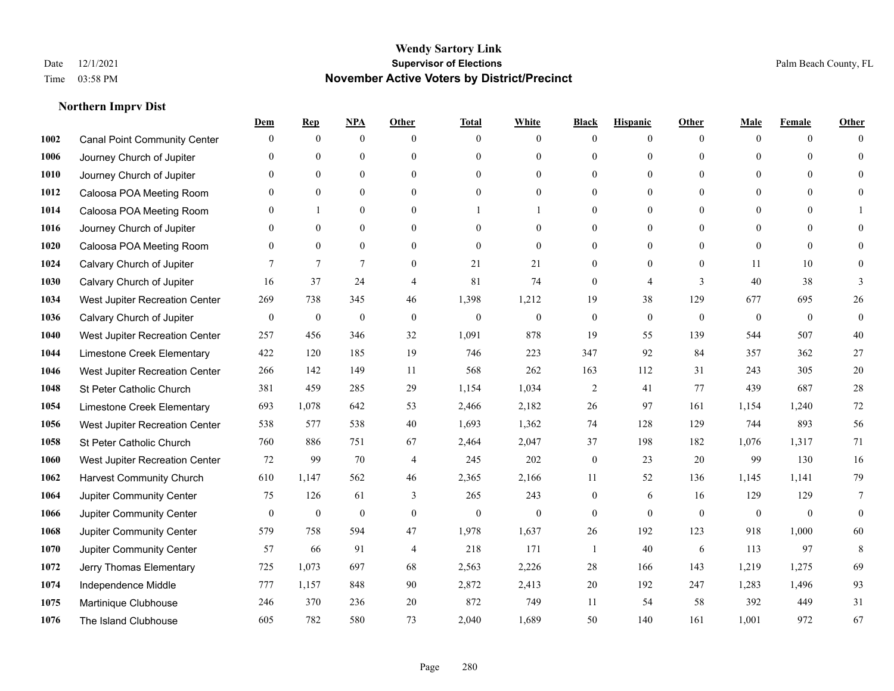|      |                                     | Dem              | <b>Rep</b>       | NPA              | <b>Other</b>   | <b>Total</b>     | <b>White</b>     | <b>Black</b>     | <b>Hispanic</b>  | <b>Other</b> | <b>Male</b>  | <b>Female</b>  | <b>Other</b> |
|------|-------------------------------------|------------------|------------------|------------------|----------------|------------------|------------------|------------------|------------------|--------------|--------------|----------------|--------------|
| 1002 | <b>Canal Point Community Center</b> | $\mathbf{0}$     | $\mathbf{0}$     | $\boldsymbol{0}$ | $\Omega$       | $\Omega$         | $\overline{0}$   | $\mathbf{0}$     | $\boldsymbol{0}$ | $\theta$     | $\theta$     | $\overline{0}$ | $\Omega$     |
| 1006 | Journey Church of Jupiter           | $\theta$         | $\theta$         | $\mathbf{0}$     | $\theta$       | $\Omega$         | $\overline{0}$   | $\overline{0}$   | $\mathbf{0}$     | $\theta$     | $\theta$     | $\theta$       | $\theta$     |
| 1010 | Journey Church of Jupiter           | 0                | $\theta$         | $\theta$         | $\Omega$       | $\Omega$         | $\Omega$         | $\Omega$         | $\theta$         | $\Omega$     | $\Omega$     | $\Omega$       | $\Omega$     |
| 1012 | Caloosa POA Meeting Room            | 0                | $\mathbf{0}$     | $\boldsymbol{0}$ | $\overline{0}$ | $\theta$         | $\boldsymbol{0}$ | $\overline{0}$   | $\boldsymbol{0}$ | $\mathbf{0}$ | $\mathbf{0}$ | $\mathbf{0}$   | $\theta$     |
| 1014 | Caloosa POA Meeting Room            | 0                |                  | $\mathbf{0}$     | $\theta$       |                  |                  | $\overline{0}$   | $\mathbf{0}$     | $\theta$     | $\mathbf{0}$ | $\Omega$       |              |
| 1016 | Journey Church of Jupiter           | 0                | $\mathbf{0}$     | $\mathbf{0}$     | $\theta$       | $\Omega$         | $\overline{0}$   | $\overline{0}$   | $\mathbf{0}$     | $\Omega$     | $\mathbf{0}$ | $\Omega$       | $\Omega$     |
| 1020 | Caloosa POA Meeting Room            | 0                | $\theta$         | $\mathbf{0}$     | $\theta$       | $\Omega$         | $\mathbf{0}$     | $\overline{0}$   | $\mathbf{0}$     | $\theta$     | $\Omega$     | $\theta$       | $\Omega$     |
| 1024 | Calvary Church of Jupiter           |                  | $\overline{7}$   | $\overline{7}$   | $\Omega$       | 21               | 21               | $\overline{0}$   | $\mathbf{0}$     | $\theta$     | 11           | 10             | $\theta$     |
| 1030 | Calvary Church of Jupiter           | 16               | 37               | 24               | $\overline{4}$ | 81               | 74               | $\boldsymbol{0}$ | $\overline{4}$   | 3            | 40           | 38             | 3            |
| 1034 | West Jupiter Recreation Center      | 269              | 738              | 345              | 46             | 1,398            | 1,212            | 19               | 38               | 129          | 677          | 695            | 26           |
| 1036 | Calvary Church of Jupiter           | $\mathbf{0}$     | $\theta$         | $\mathbf{0}$     | $\theta$       | $\theta$         | $\mathbf{0}$     | $\mathbf{0}$     | $\mathbf{0}$     | $\theta$     | $\theta$     | $\theta$       | $\mathbf{0}$ |
| 1040 | West Jupiter Recreation Center      | 257              | 456              | 346              | 32             | 1,091            | 878              | 19               | 55               | 139          | 544          | 507            | $40\,$       |
| 1044 | Limestone Creek Elementary          | 422              | 120              | 185              | 19             | 746              | 223              | 347              | 92               | 84           | 357          | 362            | $27\,$       |
| 1046 | West Jupiter Recreation Center      | 266              | 142              | 149              | 11             | 568              | 262              | 163              | 112              | 31           | 243          | 305            | $20\,$       |
| 1048 | St Peter Catholic Church            | 381              | 459              | 285              | 29             | 1,154            | 1,034            | $\overline{c}$   | 41               | 77           | 439          | 687            | 28           |
| 1054 | Limestone Creek Elementary          | 693              | 1,078            | 642              | 53             | 2,466            | 2,182            | 26               | 97               | 161          | 1,154        | 1,240          | 72           |
| 1056 | West Jupiter Recreation Center      | 538              | 577              | 538              | 40             | 1,693            | 1,362            | 74               | 128              | 129          | 744          | 893            | 56           |
| 1058 | St Peter Catholic Church            | 760              | 886              | 751              | 67             | 2,464            | 2,047            | 37               | 198              | 182          | 1,076        | 1,317          | 71           |
| 1060 | West Jupiter Recreation Center      | 72               | 99               | 70               | $\overline{4}$ | 245              | 202              | $\boldsymbol{0}$ | 23               | 20           | 99           | 130            | 16           |
| 1062 | <b>Harvest Community Church</b>     | 610              | 1.147            | 562              | 46             | 2,365            | 2,166            | 11               | 52               | 136          | 1,145        | 1,141          | 79           |
| 1064 | Jupiter Community Center            | 75               | 126              | 61               | 3              | 265              | 243              | $\boldsymbol{0}$ | 6                | 16           | 129          | 129            | 7            |
| 1066 | Jupiter Community Center            | $\boldsymbol{0}$ | $\boldsymbol{0}$ | $\boldsymbol{0}$ | $\mathbf{0}$   | $\boldsymbol{0}$ | $\boldsymbol{0}$ | $\boldsymbol{0}$ | $\mathbf{0}$     | $\mathbf{0}$ | $\mathbf{0}$ | $\mathbf{0}$   | $\mathbf{0}$ |
| 1068 | Jupiter Community Center            | 579              | 758              | 594              | 47             | 1,978            | 1,637            | 26               | 192              | 123          | 918          | 1,000          | 60           |
| 1070 | Jupiter Community Center            | 57               | 66               | 91               | $\overline{4}$ | 218              | 171              | 1                | 40               | 6            | 113          | 97             | 8            |
| 1072 | Jerry Thomas Elementary             | 725              | 1,073            | 697              | 68             | 2,563            | 2,226            | 28               | 166              | 143          | 1,219        | 1,275          | 69           |
| 1074 | Independence Middle                 | 777              | 1,157            | 848              | 90             | 2,872            | 2,413            | $20\,$           | 192              | 247          | 1,283        | 1,496          | 93           |
| 1075 | Martinique Clubhouse                | 246              | 370              | 236              | 20             | 872              | 749              | 11               | 54               | 58           | 392          | 449            | 31           |
| 1076 | The Island Clubhouse                | 605              | 782              | 580              | 73             | 2,040            | 1,689            | 50               | 140              | 161          | 1,001        | 972            | 67           |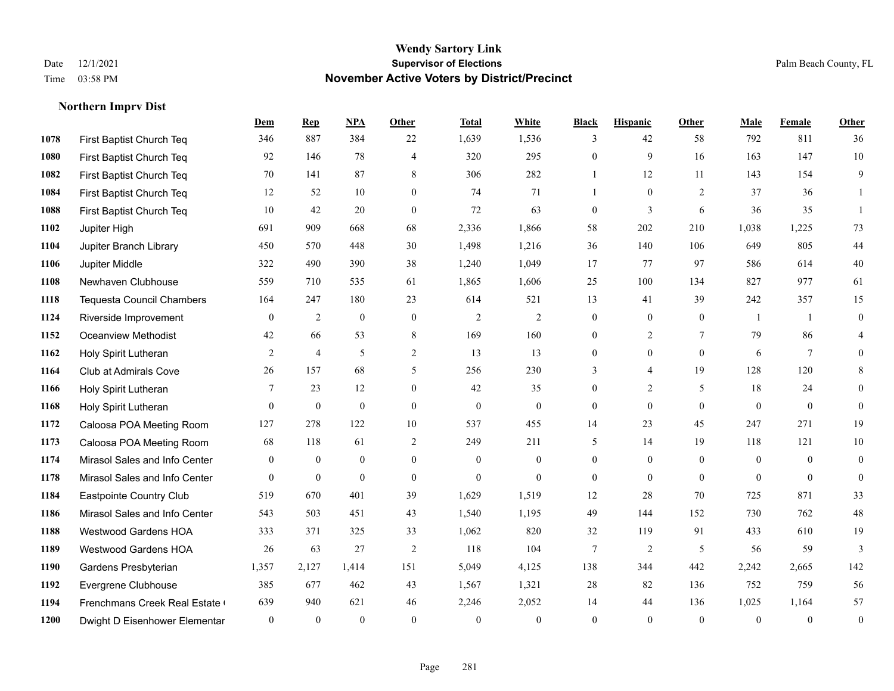|      |                                  | Dem          | <b>Rep</b>       | NPA          | <b>Other</b>   | <b>Total</b> | White          | <b>Black</b>     | <b>Hispanic</b> | <b>Other</b>   | <b>Male</b>    | Female         | <b>Other</b>     |
|------|----------------------------------|--------------|------------------|--------------|----------------|--------------|----------------|------------------|-----------------|----------------|----------------|----------------|------------------|
| 1078 | First Baptist Church Teq         | 346          | 887              | 384          | 22             | 1,639        | 1,536          | 3                | 42              | 58             | 792            | 811            | 36               |
| 1080 | First Baptist Church Teq         | 92           | 146              | 78           | $\overline{4}$ | 320          | 295            | $\mathbf{0}$     | 9               | 16             | 163            | 147            | 10               |
| 1082 | First Baptist Church Teq         | 70           | 141              | 87           | 8              | 306          | 282            | $\mathbf{1}$     | 12              | 11             | 143            | 154            | 9                |
| 1084 | First Baptist Church Teq         | 12           | 52               | 10           | $\overline{0}$ | 74           | 71             | $\mathbf{1}$     | $\mathbf{0}$    | 2              | 37             | 36             | 1                |
| 1088 | First Baptist Church Teq         | 10           | 42               | 20           | $\theta$       | 72           | 63             | $\mathbf{0}$     | 3               | 6              | 36             | 35             | $\mathbf{1}$     |
| 1102 | Jupiter High                     | 691          | 909              | 668          | 68             | 2,336        | 1,866          | 58               | 202             | 210            | 1,038          | 1,225          | 73               |
| 1104 | Jupiter Branch Library           | 450          | 570              | 448          | 30             | 1,498        | 1,216          | 36               | 140             | 106            | 649            | 805            | 44               |
| 1106 | Jupiter Middle                   | 322          | 490              | 390          | 38             | 1,240        | 1,049          | 17               | 77              | 97             | 586            | 614            | 40               |
| 1108 | Newhaven Clubhouse               | 559          | 710              | 535          | 61             | 1,865        | 1,606          | 25               | 100             | 134            | 827            | 977            | 61               |
| 1118 | <b>Tequesta Council Chambers</b> | 164          | 247              | 180          | 23             | 614          | 521            | 13               | 41              | 39             | 242            | 357            | 15               |
| 1124 | Riverside Improvement            | $\mathbf{0}$ | 2                | $\mathbf{0}$ | $\theta$       | 2            | $\overline{2}$ | $\mathbf{0}$     | $\mathbf{0}$    | $\theta$       | $\overline{1}$ | $\overline{1}$ | $\mathbf{0}$     |
| 1152 | <b>Oceanview Methodist</b>       | 42           | 66               | 53           | 8              | 169          | 160            | $\mathbf{0}$     | $\overline{2}$  | $\tau$         | 79             | 86             | 4                |
| 1162 | Holy Spirit Lutheran             | 2            | $\overline{4}$   | 5            | 2              | 13           | 13             | $\mathbf{0}$     | $\mathbf{0}$    | $\theta$       | 6              | $\tau$         | $\mathbf{0}$     |
| 1164 | Club at Admirals Cove            | 26           | 157              | 68           | 5              | 256          | 230            | 3                | 4               | 19             | 128            | 120            | 8                |
| 1166 | Holy Spirit Lutheran             | 7            | 23               | 12           | $\mathbf{0}$   | 42           | 35             | $\mathbf{0}$     | 2               | 5              | 18             | 24             | $\mathbf{0}$     |
| 1168 | Holy Spirit Lutheran             | $\mathbf{0}$ | $\mathbf{0}$     | $\mathbf{0}$ | $\theta$       | $\mathbf{0}$ | $\mathbf{0}$   | $\mathbf{0}$     | $\mathbf{0}$    | $\theta$       | $\mathbf{0}$   | $\mathbf{0}$   | $\mathbf{0}$     |
| 1172 | Caloosa POA Meeting Room         | 127          | 278              | 122          | 10             | 537          | 455            | 14               | 23              | 45             | 247            | 271            | 19               |
| 1173 | Caloosa POA Meeting Room         | 68           | 118              | 61           | 2              | 249          | 211            | 5                | 14              | 19             | 118            | 121            | $10\,$           |
| 1174 | Mirasol Sales and Info Center    | $\mathbf{0}$ | $\boldsymbol{0}$ | $\mathbf{0}$ | $\overline{0}$ | $\mathbf{0}$ | $\mathbf{0}$   | $\mathbf{0}$     | $\mathbf{0}$    | $\theta$       | $\mathbf{0}$   | $\theta$       | $\mathbf{0}$     |
| 1178 | Mirasol Sales and Info Center    | $\mathbf{0}$ | $\boldsymbol{0}$ | $\mathbf{0}$ | $\mathbf{0}$   | $\mathbf{0}$ | $\overline{0}$ | $\boldsymbol{0}$ | $\mathbf{0}$    | $\overline{0}$ | $\mathbf{0}$   | $\mathbf{0}$   | $\boldsymbol{0}$ |
| 1184 | Eastpointe Country Club          | 519          | 670              | 401          | 39             | 1,629        | 1,519          | 12               | 28              | 70             | 725            | 871            | 33               |
| 1186 | Mirasol Sales and Info Center    | 543          | 503              | 451          | 43             | 1,540        | 1,195          | 49               | 144             | 152            | 730            | 762            | $48\,$           |
| 1188 | Westwood Gardens HOA             | 333          | 371              | 325          | 33             | 1,062        | 820            | 32               | 119             | 91             | 433            | 610            | 19               |
| 1189 | <b>Westwood Gardens HOA</b>      | 26           | 63               | 27           | 2              | 118          | 104            | 7                | 2               | 5              | 56             | 59             | 3                |
| 1190 | Gardens Presbyterian             | 1,357        | 2,127            | 1,414        | 151            | 5,049        | 4,125          | 138              | 344             | 442            | 2,242          | 2,665          | 142              |
| 1192 | Evergrene Clubhouse              | 385          | 677              | 462          | 43             | 1,567        | 1,321          | 28               | 82              | 136            | 752            | 759            | 56               |
| 1194 | Frenchmans Creek Real Estate     | 639          | 940              | 621          | 46             | 2,246        | 2,052          | 14               | 44              | 136            | 1,025          | 1,164          | 57               |
| 1200 | Dwight D Eisenhower Elementar    | $\mathbf{0}$ | $\theta$         | $\theta$     | $\theta$       | $\theta$     | $\mathbf{0}$   | $\theta$         | $\theta$        | $\theta$       | $\theta$       | $\theta$       | $\boldsymbol{0}$ |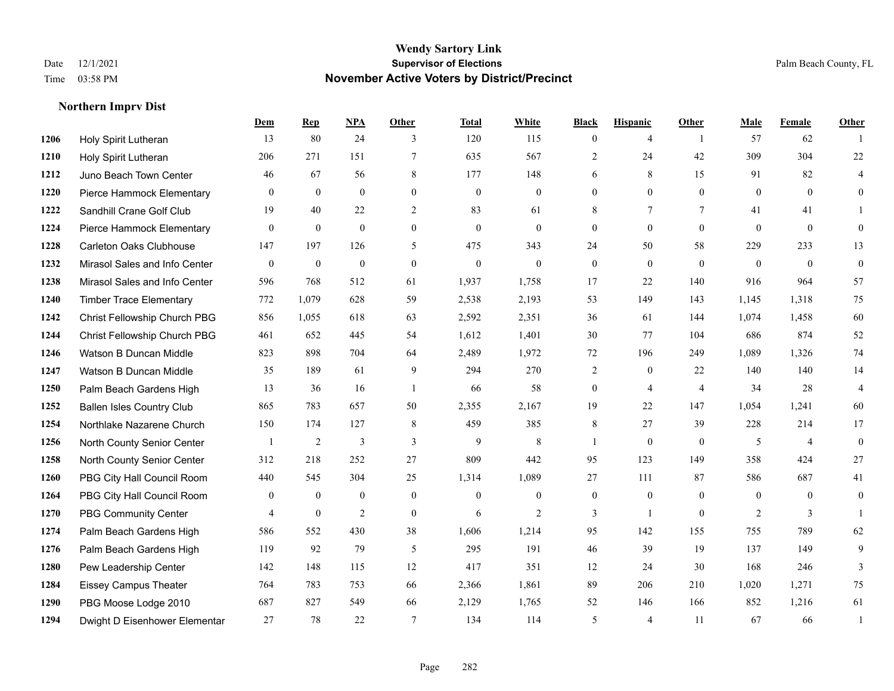|      |                                  | Dem          | <b>Rep</b>       | NPA              | <b>Other</b>     | <b>Total</b>     | <b>White</b>     | <b>Black</b>   | <b>Hispanic</b>  | <b>Other</b>   | <b>Male</b>    | Female         | <b>Other</b>   |
|------|----------------------------------|--------------|------------------|------------------|------------------|------------------|------------------|----------------|------------------|----------------|----------------|----------------|----------------|
| 1206 | Holy Spirit Lutheran             | 13           | 80               | 24               | 3                | 120              | 115              | $\overline{0}$ | 4                | $\overline{1}$ | 57             | 62             |                |
| 1210 | Holy Spirit Lutheran             | 206          | 271              | 151              | $\tau$           | 635              | 567              | $\overline{2}$ | 24               | 42             | 309            | 304            | 22             |
| 1212 | Juno Beach Town Center           | 46           | 67               | 56               | 8                | 177              | 148              | 6              | 8                | 15             | 91             | 82             | 4              |
| 1220 | Pierce Hammock Elementary        | $\Omega$     | $\mathbf{0}$     | $\mathbf{0}$     | $\mathbf{0}$     | $\mathbf{0}$     | $\mathbf{0}$     | $\overline{0}$ | $\overline{0}$   | $\mathbf{0}$   | $\mathbf{0}$   | $\overline{0}$ | $\overline{0}$ |
| 1222 | Sandhill Crane Golf Club         | 19           | 40               | 22               | 2                | 83               | 61               | 8              | $\tau$           | $\tau$         | 41             | 41             |                |
| 1224 | Pierce Hammock Elementary        | $\mathbf{0}$ | $\boldsymbol{0}$ | $\boldsymbol{0}$ | $\mathbf{0}$     | $\boldsymbol{0}$ | $\boldsymbol{0}$ | $\overline{0}$ | $\boldsymbol{0}$ | $\mathbf{0}$   | $\theta$       | $\mathbf{0}$   | $\overline{0}$ |
| 1228 | <b>Carleton Oaks Clubhouse</b>   | 147          | 197              | 126              | 5                | 475              | 343              | 24             | 50               | 58             | 229            | 233            | 13             |
| 1232 | Mirasol Sales and Info Center    | $\theta$     | $\mathbf{0}$     | $\theta$         | $\Omega$         | $\theta$         | $\Omega$         | $\overline{0}$ | $\theta$         | $\Omega$       | $\theta$       | $\Omega$       | $\overline{0}$ |
| 1238 | Mirasol Sales and Info Center    | 596          | 768              | 512              | 61               | 1,937            | 1,758            | 17             | 22               | 140            | 916            | 964            | 57             |
| 1240 | <b>Timber Trace Elementary</b>   | 772          | 1,079            | 628              | 59               | 2,538            | 2,193            | 53             | 149              | 143            | 1,145          | 1,318          | 75             |
| 1242 | Christ Fellowship Church PBG     | 856          | 1,055            | 618              | 63               | 2,592            | 2,351            | 36             | 61               | 144            | 1,074          | 1,458          | 60             |
| 1244 | Christ Fellowship Church PBG     | 461          | 652              | 445              | 54               | 1,612            | 1,401            | 30             | 77               | 104            | 686            | 874            | 52             |
| 1246 | Watson B Duncan Middle           | 823          | 898              | 704              | 64               | 2,489            | 1,972            | 72             | 196              | 249            | 1,089          | 1,326          | 74             |
| 1247 | Watson B Duncan Middle           | 35           | 189              | 61               | 9                | 294              | 270              | $\overline{2}$ | $\overline{0}$   | 22             | 140            | 140            | 14             |
| 1250 | Palm Beach Gardens High          | 13           | 36               | 16               | $\overline{1}$   | 66               | 58               | $\overline{0}$ | $\overline{4}$   | $\overline{4}$ | 34             | 28             | $\overline{4}$ |
| 1252 | <b>Ballen Isles Country Club</b> | 865          | 783              | 657              | 50               | 2,355            | 2,167            | 19             | 22               | 147            | 1,054          | 1,241          | 60             |
| 1254 | Northlake Nazarene Church        | 150          | 174              | 127              | 8                | 459              | 385              | 8              | 27               | 39             | 228            | 214            | 17             |
| 1256 | North County Senior Center       |              | $\overline{2}$   | 3                | 3                | 9                | 8                | -1             | $\overline{0}$   | $\theta$       | 5              | $\overline{4}$ | $\overline{0}$ |
| 1258 | North County Senior Center       | 312          | 218              | 252              | 27               | 809              | 442              | 95             | 123              | 149            | 358            | 424            | 27             |
| 1260 | PBG City Hall Council Room       | 440          | 545              | 304              | 25               | 1,314            | 1,089            | 27             | 111              | 87             | 586            | 687            | 41             |
| 1264 | PBG City Hall Council Room       | $\theta$     | $\mathbf{0}$     | $\theta$         | $\theta$         | $\Omega$         | $\Omega$         | $\overline{0}$ | $\overline{0}$   | $\Omega$       | $\Omega$       | $\Omega$       | $\overline{0}$ |
| 1270 | PBG Community Center             | 4            | $\boldsymbol{0}$ | $\overline{2}$   | $\boldsymbol{0}$ | 6                | $\mathbf{2}$     | 3              | $\mathbf{1}$     | $\mathbf{0}$   | $\overline{c}$ | 3              |                |
| 1274 | Palm Beach Gardens High          | 586          | 552              | 430              | 38               | 1,606            | 1,214            | 95             | 142              | 155            | 755            | 789            | 62             |
| 1276 | Palm Beach Gardens High          | 119          | 92               | 79               | 5                | 295              | 191              | 46             | 39               | 19             | 137            | 149            | 9              |
| 1280 | Pew Leadership Center            | 142          | 148              | 115              | 12               | 417              | 351              | 12             | 24               | 30             | 168            | 246            | 3              |
| 1284 | <b>Eissey Campus Theater</b>     | 764          | 783              | 753              | 66               | 2,366            | 1,861            | 89             | 206              | 210            | 1,020          | 1,271          | 75             |
| 1290 | PBG Moose Lodge 2010             | 687          | 827              | 549              | 66               | 2,129            | 1,765            | 52             | 146              | 166            | 852            | 1,216          | 61             |
| 1294 | Dwight D Eisenhower Elementar    | 27           | 78               | 22               | $\tau$           | 134              | 114              | 5              | $\overline{4}$   | 11             | 67             | 66             | $\overline{1}$ |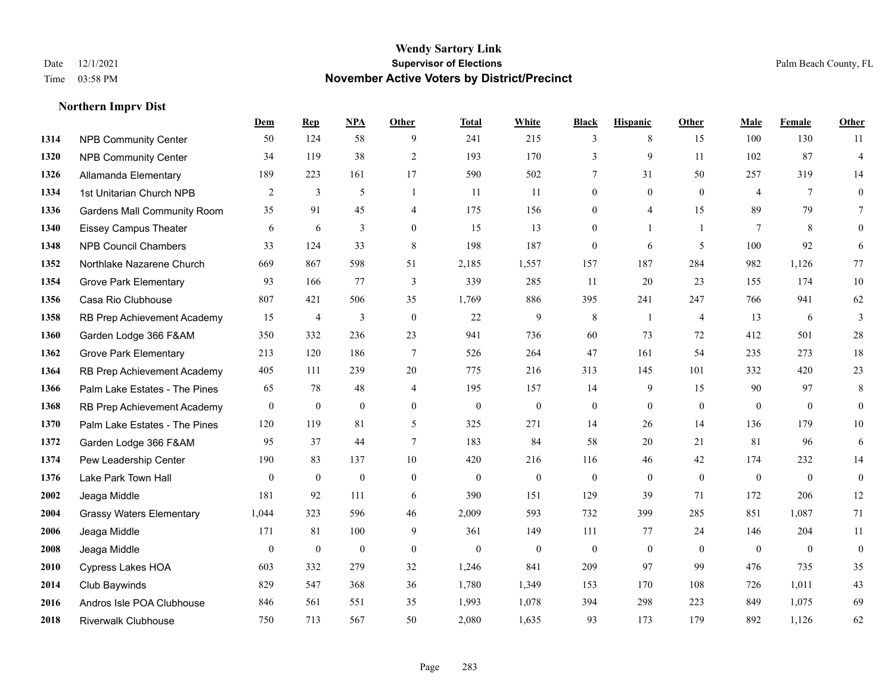**Northern Imprv Dist**

#### **Wendy Sartory Link** Date 12/1/2021 **Supervisor of Elections** Palm Beach County, FL Time 03:58 PM **November Active Voters by District/Precinct**

# **Dem Rep NPA Other Total White Black Hispanic Other Male Female Other** NPB Community Center 50 124 58 9 241 215 3 8 15 100 130 11 NPB Community Center 34 119 38 2 193 170 3 9 11 102 87 4 Allamanda Elementary 189 223 161 17 590 502 7 31 50 257 319 14 1st Unitarian Church NPB 2 3 5 1 11 11 0 0 0 4 7 0 Gardens Mall Community Room 35 91 45 4 175 156 0 4 15 89 79 7 Eissey Campus Theater 6 6 6 3 0 15 13 0 1 1 7 8 0 NPB Council Chambers 33 124 33 8 198 187 0 6 5 100 92 6 Northlake Nazarene Church 669 867 598 51 2,185 1,557 157 187 284 982 1,126 77 Grove Park Elementary 93 166 77 3 339 285 11 20 23 155 174 10 Casa Rio Clubhouse 807 421 506 35 1,769 886 395 241 247 766 941 62 RB Prep Achievement Academy 15 4 3 0 22 9 8 1 4 13 6 3 Garden Lodge 366 F&AM 350 332 236 23 941 736 60 73 72 412 501 28 Grove Park Elementary 213 120 186 7 526 264 47 161 54 235 273 18 RB Prep Achievement Academy 405 111 239 20 775 216 313 145 101 332 420 23 Palm Lake Estates - The Pines 65 78 48 4 195 157 14 9 15 90 97 8 RB Prep Achievement Academy 0 0 0 0 0 0 0 0 0 0 0 0 Palm Lake Estates - The Pines 120 119 81 5 325 271 14 26 14 136 179 10 Garden Lodge 366 F&AM 95 37 44 7 183 84 58 20 21 81 96 6 Pew Leadership Center 190 83 137 10 420 216 116 46 42 174 232 14 Lake Park Town Hall 0 0 0 0 0 0 0 0 0 0 0 0 Jeaga Middle 181 92 111 6 390 151 129 39 71 172 206 12 Grassy Waters Elementary 1,044 323 596 46 2,009 593 732 399 285 851 1,087 71 Jeaga Middle 171 81 100 9 361 149 111 77 24 146 204 11 Jeaga Middle 0 0 0 0 0 0 0 0 0 0 0 0 Cypress Lakes HOA 603 332 279 32 1,246 841 209 97 99 476 735 35 Club Baywinds 829 547 368 36 1,780 1,349 153 170 108 726 1,011 43 Andros Isle POA Clubhouse 846 561 551 35 1,993 1,078 394 298 223 849 1,075 69 Riverwalk Clubhouse 750 713 567 50 2,080 1,635 93 173 179 892 1,126 62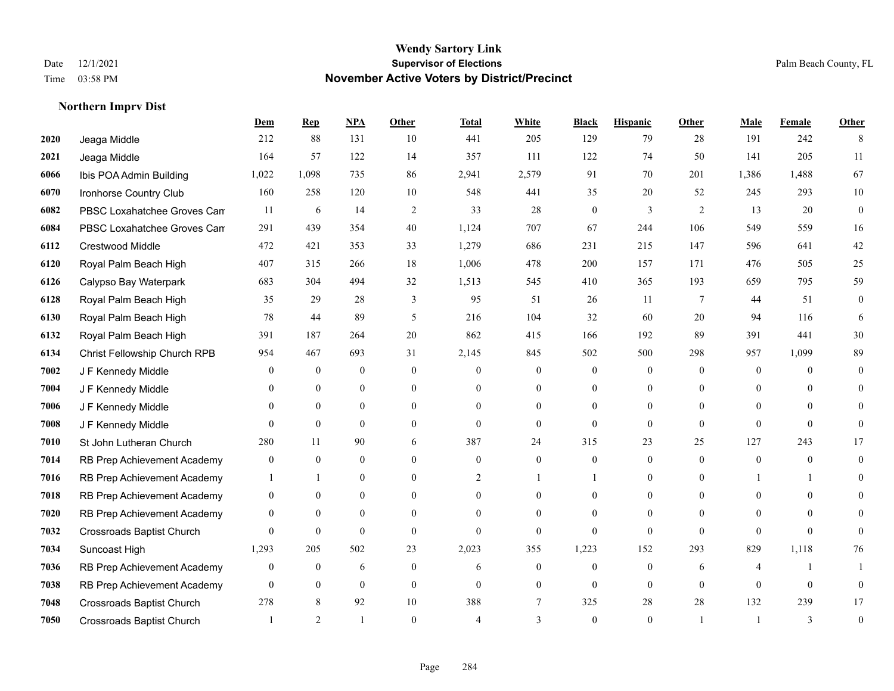**Northern Imprv Dist**

#### **Wendy Sartory Link** Date 12/1/2021 **Supervisor of Elections** Palm Beach County, FL Time 03:58 PM **November Active Voters by District/Precinct**

Jeaga Middle 212 88 131 10 441 205 129 79 28 191 242 8

**Dem Rep NPA Other Total White Black Hispanic Other Male Female Other**

# Jeaga Middle 164 57 122 14 357 111 122 74 50 141 205 11 Ibis POA Admin Building 1,022 1,098 735 86 2,941 2,579 91 70 201 1,386 1,488 67 Ironhorse Country Club 160 258 120 10 548 441 35 20 52 245 293 10 PBSC Loxahatchee Groves Can  $11$  6  $14$  2  $33$  28 0  $3$  2  $13$  20 0 PBSC Loxahatchee Groves Campus 291 439 354 40 1,124 707 67 244 106 549 559 16 Crestwood Middle 472 421 353 33 1,279 686 231 215 147 596 641 42 Royal Palm Beach High 407 315 266 18 1,006 478 200 157 171 476 505 25

| 01 Z U | Royal Palm Beach High        | 40 /             | 312            | 200            | 18.            | 1,000          | 4/8      | 200      | 12/      | 1/1      | 4/0      | <b>JUJ</b> | 25       |
|--------|------------------------------|------------------|----------------|----------------|----------------|----------------|----------|----------|----------|----------|----------|------------|----------|
| 6126   | Calypso Bay Waterpark        | 683              | 304            | 494            | 32             | 1,513          | 545      | 410      | 365      | 193      | 659      | 795        | 59       |
| 6128   | Royal Palm Beach High        | 35               | 29             | 28             | 3              | 95             | 51       | 26       | 11       |          | 44       | 51         | $\Omega$ |
| 6130   | Royal Palm Beach High        | 78               | 44             | 89             | 5              | 216            | 104      | 32       | 60       | 20       | 94       | 116        | -6       |
| 6132   | Royal Palm Beach High        | 391              | 187            | 264            | 20             | 862            | 415      | 166      | 192      | 89       | 391      | 441        | 30       |
| 6134   | Christ Fellowship Church RPB | 954              | 467            | 693            | 31             | 2,145          | 845      | 502      | 500      | 298      | 957      | 1,099      | 89       |
| 7002   | J F Kennedy Middle           | $\Omega$         | $\overline{0}$ | $\overline{0}$ | $\Omega$       | $\Omega$       | $\Omega$ | $\Omega$ | $\Omega$ | $\Omega$ | $\Omega$ | $\Omega$   | $\Omega$ |
| 7004   | J F Kennedy Middle           | $\Omega$         | $\theta$       | $\Omega$       | $\theta$       | $\theta$       | $\theta$ | 0        | $\Omega$ | $\Omega$ | 0        | $\Omega$   | $\Omega$ |
| 7006   | J F Kennedy Middle           |                  | $\overline{0}$ | $\overline{0}$ | $\Omega$       | $\Omega$       | $\Omega$ |          | $\Omega$ | $\Omega$ | 0        | $\Omega$   | $\Omega$ |
| 7008   | J F Kennedy Middle           |                  | $\theta$       | $\theta$       | $\theta$       | $\Omega$       | $\theta$ |          | $\Omega$ | $\Omega$ | 0        | $\Omega$   |          |
| 7010   | St John Lutheran Church      | 280              | 11             | 90             | 6              | 387            | 24       | 315      | 23       | 25       | 127      | 243        | 17       |
| 7014   | RB Prep Achievement Academy  | $\boldsymbol{0}$ | $\Omega$       | $\overline{0}$ | $\Omega$       | $\Omega$       | $\Omega$ | $\Omega$ | $\Omega$ | $\Omega$ | 0        | $\Omega$   | $\Omega$ |
| 7016   | RB Prep Achievement Academy  |                  |                | $\overline{0}$ | $\theta$       |                |          |          | $\Omega$ | $\Omega$ |          |            | $\Omega$ |
| 7018   | RB Prep Achievement Academy  | $\theta$         | $\theta$       | $\overline{0}$ | $\Omega$       | $\Omega$       | $\Omega$ |          | $\Omega$ | $\Omega$ | 0        | $\theta$   | $\Omega$ |
| 7020   | RB Prep Achievement Academy  | $\theta$         | $\theta$       | $\Omega$       | $\Omega$       | $\Omega$       | $\Omega$ |          | $\Omega$ |          |          | $\Omega$   |          |
| 7032   | Crossroads Baptist Church    | $\theta$         | $\mathbf{0}$   | $\overline{0}$ | $\overline{0}$ | $\overline{0}$ | $\theta$ | $\Omega$ | $\theta$ |          | 0        |            |          |
| 7034   | Suncoast High                | 1,293            | 205            | 502            | 23             | 2,023          | 355      | 1,223    | 152      | 293      | 829      | 1,118      | 76       |
| 7036   | RB Prep Achievement Academy  | $\theta$         | $\mathbf{0}$   | 6              | $\Omega$       | 6              | $\Omega$ | $\Omega$ | $\Omega$ | 6        |          |            |          |
| 7038   | RB Prep Achievement Academy  | $\mathbf{0}$     | $\mathbf{0}$   | $\overline{0}$ | $\mathbf{0}$   | $\mathbf{0}$   | $\theta$ | $\Omega$ | $\Omega$ | $\Omega$ | $\theta$ | $\Omega$   |          |
| 7048   | Crossroads Baptist Church    | 278              | 8              | 92             | 10             | 388            |          | 325      | 28       | 28       | 132      | 239        | 17       |
| 7050   | Crossroads Baptist Church    |                  |                |                | $\theta$       |                |          |          |          |          |          |            |          |
|        |                              |                  |                |                |                |                |          |          |          |          |          |            |          |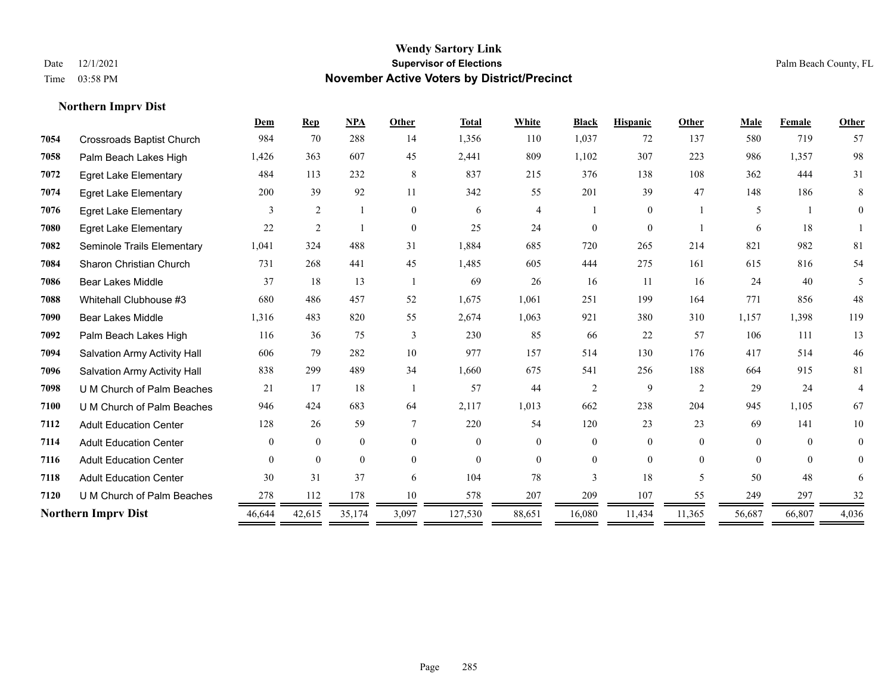|      |                                  | Dem            | <b>Rep</b>     | <b>NPA</b>   | Other    | <b>Total</b> | White          | <b>Black</b>   | <b>Hispanic</b> | Other          | Male     | Female       | Other          |
|------|----------------------------------|----------------|----------------|--------------|----------|--------------|----------------|----------------|-----------------|----------------|----------|--------------|----------------|
| 7054 | <b>Crossroads Baptist Church</b> | 984            | 70             | 288          | 14       | 1,356        | 110            | 1,037          | 72              | 137            | 580      | 719          | 57             |
| 7058 | Palm Beach Lakes High            | 1,426          | 363            | 607          | 45       | 2,441        | 809            | 1,102          | 307             | 223            | 986      | 1,357        | 98             |
| 7072 | <b>Egret Lake Elementary</b>     | 484            | 113            | 232          | 8        | 837          | 215            | 376            | 138             | 108            | 362      | 444          | 31             |
| 7074 | <b>Egret Lake Elementary</b>     | 200            | 39             | 92           | 11       | 342          | 55             | 201            | 39              | 47             | 148      | 186          | 8              |
| 7076 | <b>Egret Lake Elementary</b>     | 3              | $\overline{2}$ |              | $\theta$ | 6            | $\overline{4}$ |                | $\overline{0}$  |                | 5        | $\mathbf{1}$ | $\Omega$       |
| 7080 | <b>Egret Lake Elementary</b>     | 22             | $\mathfrak{2}$ |              | $\theta$ | 25           | 24             | $\Omega$       | $\Omega$        |                | 6        | 18           |                |
| 7082 | Seminole Trails Elementary       | 1,041          | 324            | 488          | 31       | 1,884        | 685            | 720            | 265             | 214            | 821      | 982          | 81             |
| 7084 | Sharon Christian Church          | 731            | 268            | 441          | 45       | 1,485        | 605            | 444            | 275             | 161            | 615      | 816          | 54             |
| 7086 | <b>Bear Lakes Middle</b>         | 37             | 18             | 13           |          | 69           | 26             | 16             | 11              | 16             | 24       | 40           | 5              |
| 7088 | Whitehall Clubhouse #3           | 680            | 486            | 457          | 52       | 1,675        | 1,061          | 251            | 199             | 164            | 771      | 856          | 48             |
| 7090 | <b>Bear Lakes Middle</b>         | 1,316          | 483            | 820          | 55       | 2,674        | 1,063          | 921            | 380             | 310            | 1,157    | 1,398        | 119            |
| 7092 | Palm Beach Lakes High            | 116            | 36             | 75           | 3        | 230          | 85             | 66             | 22              | 57             | 106      | 111          | 13             |
| 7094 | Salvation Army Activity Hall     | 606            | 79             | 282          | 10       | 977          | 157            | 514            | 130             | 176            | 417      | 514          | 46             |
| 7096 | Salvation Army Activity Hall     | 838            | 299            | 489          | 34       | 1,660        | 675            | 541            | 256             | 188            | 664      | 915          | 81             |
| 7098 | U M Church of Palm Beaches       | 21             | 17             | 18           |          | 57           | 44             | $\overline{2}$ | 9               | 2              | 29       | 24           | $\overline{4}$ |
| 7100 | U M Church of Palm Beaches       | 946            | 424            | 683          | 64       | 2,117        | 1,013          | 662            | 238             | 204            | 945      | 1,105        | 67             |
| 7112 | <b>Adult Education Center</b>    | 128            | 26             | 59           | 7        | 220          | 54             | 120            | 23              | 23             | 69       | 141          | 10             |
| 7114 | <b>Adult Education Center</b>    | $\overline{0}$ | $\mathbf{0}$   | $\mathbf{0}$ | $\theta$ | $\Omega$     | $\overline{0}$ | $\overline{0}$ | $\overline{0}$  | $\Omega$       | $\theta$ | $\Omega$     | $\overline{0}$ |
| 7116 | <b>Adult Education Center</b>    | $\Omega$       | $\theta$       | $\theta$     | $\theta$ | $\theta$     | $\Omega$       | $\Omega$       | $\Omega$        | $\theta$       | $\theta$ | $\theta$     | $\Omega$       |
| 7118 | <b>Adult Education Center</b>    | 30             | 31             | 37           | 6        | 104          | 78             | 3              | 18              | $\overline{5}$ | 50       | 48           | 6              |
| 7120 | U M Church of Palm Beaches       | 278            | 112            | 178          | 10       | 578          | 207            | 209            | 107             | 55             | 249      | 297          | 32             |
|      | <b>Northern Imprv Dist</b>       | 46,644         | 42,615         | 35,174       | 3,097    | 127,530      | 88,651         | 16,080         | 11,434          | 11,365         | 56,687   | 66,807       | 4,036          |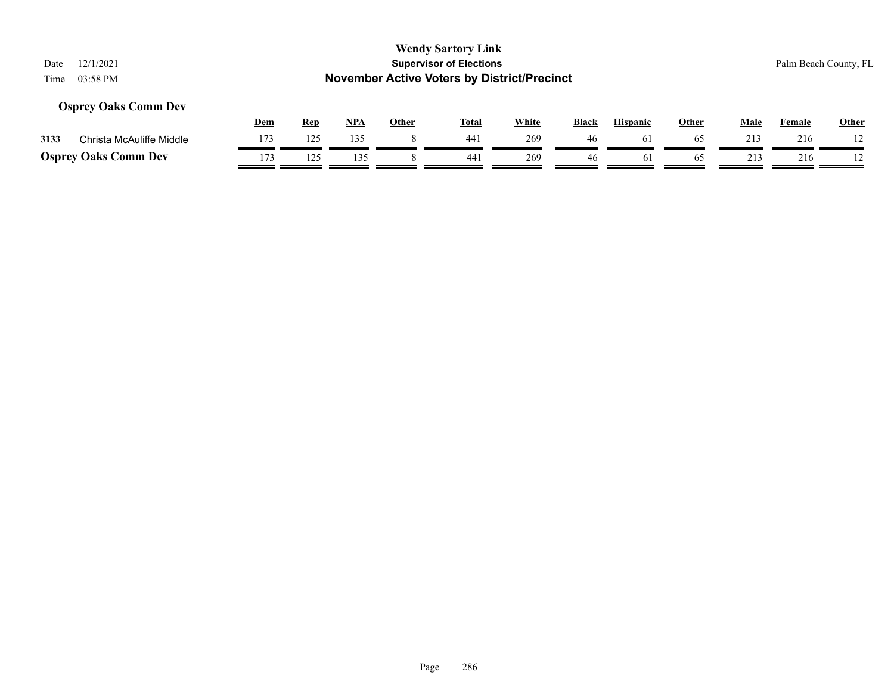| <b>Wendy Sartory Link</b><br><b>Supervisor of Elections</b><br>12/1/2021<br>Date<br><b>November Active Voters by District/Precinct</b><br>03:58 PM<br>Time |     |            |            |              |              |              |              |                 |              |             | Palm Beach County, FL |              |  |
|------------------------------------------------------------------------------------------------------------------------------------------------------------|-----|------------|------------|--------------|--------------|--------------|--------------|-----------------|--------------|-------------|-----------------------|--------------|--|
| <b>Osprey Oaks Comm Dev</b>                                                                                                                                | Dem | <b>Rep</b> | <u>NPA</u> | <b>Other</b> | <u>Total</u> | <b>White</b> | <b>Black</b> | <b>Hispanic</b> | <b>Other</b> | <b>Male</b> | Female                | <b>Other</b> |  |
| Christa McAuliffe Middle<br>3133                                                                                                                           | 173 | 125        | 135        |              | 441          | 269          | 46           | 61              | 65           | 213         | 216                   |              |  |
| <b>Osprey Oaks Comm Dev</b>                                                                                                                                | 173 | 125        | 135        |              | 441          | 269          | 46           | 61              | 65           | 213         | 216                   |              |  |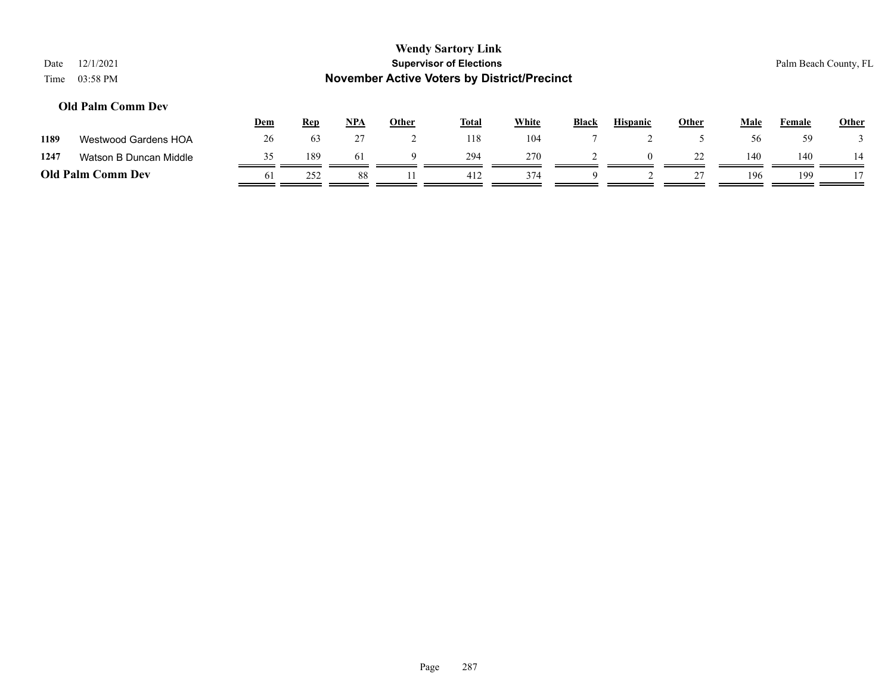| <b>Wendy Sartory Link</b><br><b>Supervisor of Elections</b><br>12/1/2021<br>Date<br><b>November Active Voters by District/Precinct</b><br>03:58 PM<br>Time |                          |     |            |            |       |              |       |              |                 |       |      | Palm Beach County, FL |              |  |
|------------------------------------------------------------------------------------------------------------------------------------------------------------|--------------------------|-----|------------|------------|-------|--------------|-------|--------------|-----------------|-------|------|-----------------------|--------------|--|
|                                                                                                                                                            | <b>Old Palm Comm Dev</b> | Dem | <b>Rep</b> | <u>NPA</u> | Other | <b>Total</b> | White | <b>Black</b> | <b>Hispanic</b> | Other | Male | Female                | <b>Other</b> |  |
| 1189                                                                                                                                                       | Westwood Gardens HOA     | 26  | 63         | 27         |       | 118          | 104   |              |                 |       | 56   | 59                    |              |  |
| 1247                                                                                                                                                       | Watson B Duncan Middle   | 35  | 189        | 61         | 9     | 294          | 270   |              | $\Omega$        | 22    | 140  | 140                   | 14           |  |
| <b>Old Palm Comm Dev</b>                                                                                                                                   |                          | 61  | 252        | 88         | 11    | 412          | 374   | Q            |                 | 27    | 196  | 199                   |              |  |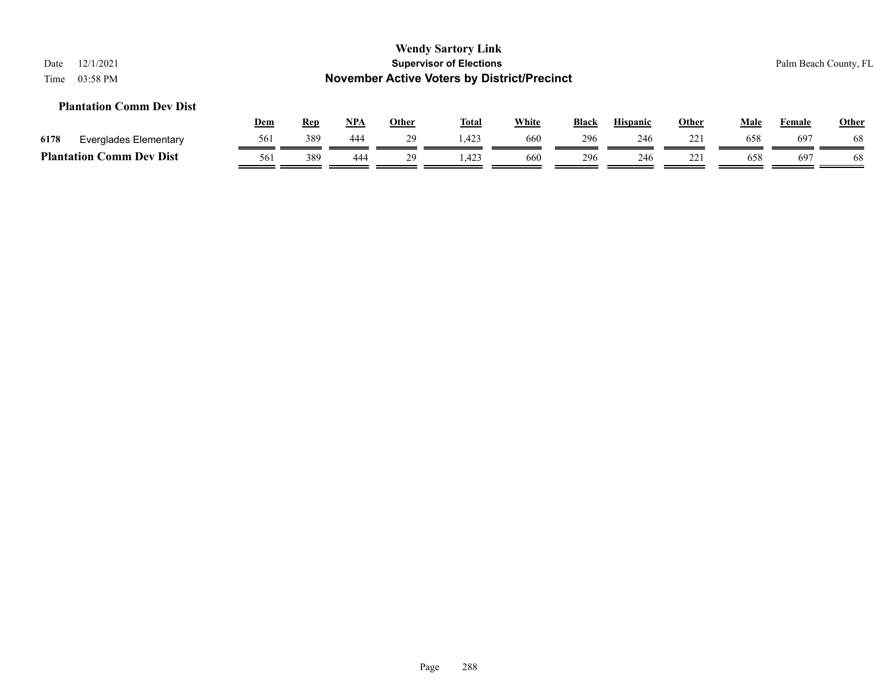#### **Plantation Comm Dev Dist**

|      |                                             | <u>Dem</u> | Rep | <b>NPA</b> | Other | <b>Total</b> | White | <b>Black</b> | <b>Hispanic</b> | Other              | Male | Female | <b>Other</b> |
|------|---------------------------------------------|------------|-----|------------|-------|--------------|-------|--------------|-----------------|--------------------|------|--------|--------------|
| 6178 | Everglades Elementary                       | 561        | 389 | 444        |       | :423         | 660   | 296          | 246             | $22^{\circ}$<br>-- | 658  | 697    | 60           |
|      | <b>Comm Dev Dist</b><br><b>Plantation (</b> | 561        | 389 | 444        | 29    | 1,423        | 660   | 296          | 246             | $22^{\circ}$<br>-- | 658  | 697    |              |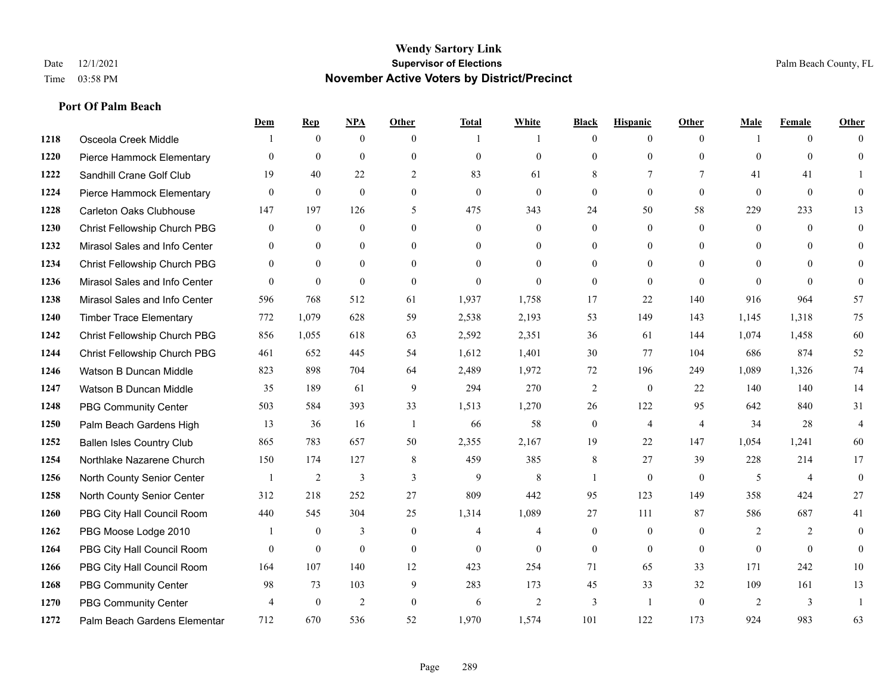#### **Wendy Sartory Link** Date 12/1/2021 **Supervisor of Elections** Palm Beach County, FL Time 03:58 PM **November Active Voters by District/Precinct**

# **Dem Rep NPA Other Total White Black Hispanic Other Male Female Other** Osceola Creek Middle  $\begin{array}{cccccccc} 1 & 0 & 0 & 0 & 1 & 1 & 0 & 0 & 0 \end{array}$  Pierce Hammock Elementary 0 0 0 0 0 0 0 0 0 0 0 0 Sandhill Crane Golf Club 19 40 22 2 83 61 8 7 7 41 41 1 Pierce Hammock Elementary 0 0 0 0 0 0 0 0 0 0 0 0 Carleton Oaks Clubhouse 147 197 126 5 475 343 24 50 58 229 233 13 Christ Fellowship Church PBG 0 0 0 0 0 0 0 0 0 0 0 0 Mirasol Sales and Info Center 0 0 0 0 0 0 0 0 0 0 0 0 Christ Fellowship Church PBG 0 0 0 0 0 0 0 0 0 0 0 0 Mirasol Sales and Info Center 0 0 0 0 0 0 0 0 0 0 0 0 Mirasol Sales and Info Center 596 768 512 61 1,937 1,758 17 22 140 916 964 57 Timber Trace Elementary 772 1,079 628 59 2,538 2,193 53 149 143 1,145 1,318 75 Christ Fellowship Church PBG 856 1,055 618 63 2,592 2,351 36 61 144 1,074 1,458 60 Christ Fellowship Church PBG 461 652 445 54 1,612 1,401 30 77 104 686 874 52 Watson B Duncan Middle 823 898 704 64 2,489 1,972 72 196 249 1,089 1,326 74 Watson B Duncan Middle 35 189 61 9 294 270 2 0 22 140 140 14 PBG Community Center 503 584 393 33 1,513 1,270 26 122 95 642 840 31 Palm Beach Gardens High 13 36 16 1 66 58 0 4 4 34 28 4 Ballen Isles Country Club 865 783 657 50 2,355 2,167 19 22 147 1,054 1,241 60 Northlake Nazarene Church 150 174 127 8 459 385 8 27 39 228 214 17 North County Senior Center 1 2 3 3 3 9 8 1 0 0 5 4 0 North County Senior Center 312 218 252 27 809 442 95 123 149 358 424 27 PBG City Hall Council Room 440 545 304 25 1,314 1,089 27 111 87 586 687 41 PBG Moose Lodge 2010 1 0 3 0 4 4 0 0 0 2 2 0 PBG City Hall Council Room 0 0 0 0 0 0 0 0 0 0 0 0 PBG City Hall Council Room 164 107 140 12 423 254 71 65 33 171 242 10 PBG Community Center 98 73 103 9 283 173 45 33 32 109 161 13 PBG Community Center  $\begin{array}{ccccccccccccc}\n4 & 0 & 2 & 0 & 6 & 2 & 3 & 1 & 0 & 2 & 3 & 1\n\end{array}$ Palm Beach Gardens Elementary 712 670 536 52 1,970 1,574 101 122 173 924 983 63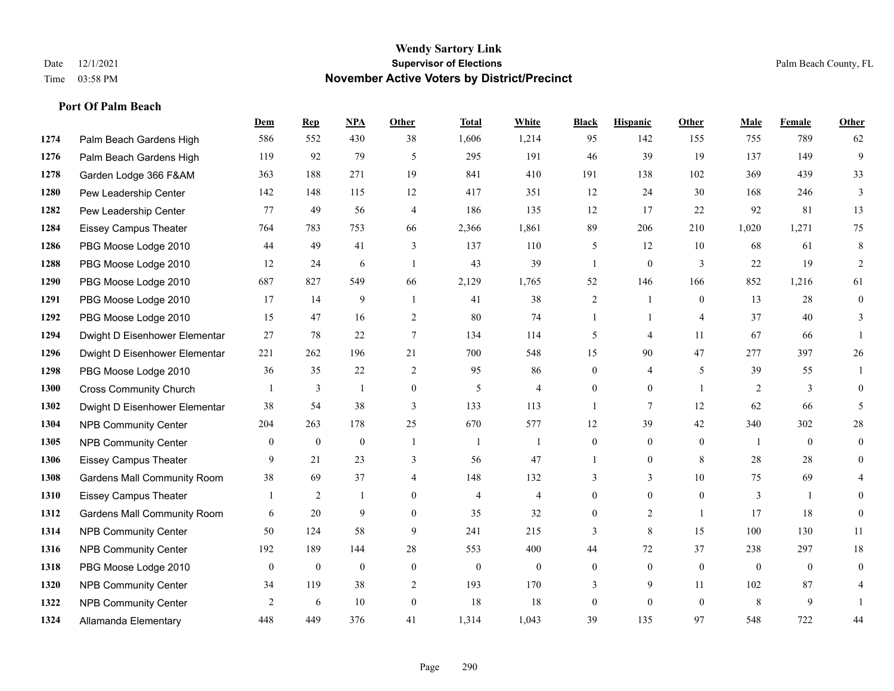|      |                                    | Dem            | <b>Rep</b>       | NPA              | <b>Other</b>   | <b>Total</b>     | <b>White</b>     | <b>Black</b>     | <b>Hispanic</b> | <b>Other</b>   | <b>Male</b>  | <b>Female</b>  | <b>Other</b>   |
|------|------------------------------------|----------------|------------------|------------------|----------------|------------------|------------------|------------------|-----------------|----------------|--------------|----------------|----------------|
| 1274 | Palm Beach Gardens High            | 586            | 552              | 430              | 38             | 1,606            | 1,214            | 95               | 142             | 155            | 755          | 789            | 62             |
| 1276 | Palm Beach Gardens High            | 119            | 92               | 79               | 5              | 295              | 191              | 46               | 39              | 19             | 137          | 149            | 9              |
| 1278 | Garden Lodge 366 F&AM              | 363            | 188              | 271              | 19             | 841              | 410              | 191              | 138             | 102            | 369          | 439            | 33             |
| 1280 | Pew Leadership Center              | 142            | 148              | 115              | 12             | 417              | 351              | 12               | 24              | 30             | 168          | 246            | 3              |
| 1282 | Pew Leadership Center              | 77             | 49               | 56               | $\overline{4}$ | 186              | 135              | 12               | 17              | 22             | 92           | 81             | 13             |
| 1284 | <b>Eissey Campus Theater</b>       | 764            | 783              | 753              | 66             | 2,366            | 1,861            | 89               | 206             | 210            | 1,020        | 1,271          | 75             |
| 1286 | PBG Moose Lodge 2010               | 44             | 49               | 41               | 3              | 137              | 110              | 5                | 12              | 10             | 68           | 61             | 8              |
| 1288 | PBG Moose Lodge 2010               | 12             | 24               | 6                | $\overline{1}$ | 43               | 39               | $\mathbf{1}$     | $\overline{0}$  | 3              | 22           | 19             | 2              |
| 1290 | PBG Moose Lodge 2010               | 687            | 827              | 549              | 66             | 2,129            | 1,765            | 52               | 146             | 166            | 852          | 1,216          | 61             |
| 1291 | PBG Moose Lodge 2010               | 17             | 14               | 9                | -1             | 41               | 38               | $\overline{c}$   | $\mathbf{1}$    | $\theta$       | 13           | 28             | $\overline{0}$ |
| 1292 | PBG Moose Lodge 2010               | 15             | 47               | 16               | $\overline{2}$ | 80               | 74               | $\mathbf{1}$     | $\mathbf{1}$    | $\overline{4}$ | 37           | 40             | 3              |
| 1294 | Dwight D Eisenhower Elementar      | 27             | 78               | 22               | $\tau$         | 134              | 114              | 5                | 4               | 11             | 67           | 66             |                |
| 1296 | Dwight D Eisenhower Elementar      | 221            | 262              | 196              | 21             | 700              | 548              | 15               | 90              | 47             | 277          | 397            | 26             |
| 1298 | PBG Moose Lodge 2010               | 36             | 35               | 22               | 2              | 95               | 86               | $\overline{0}$   | 4               | 5              | 39           | 55             | $\overline{1}$ |
| 1300 | <b>Cross Community Church</b>      |                | 3                | $\mathbf{1}$     | $\mathbf{0}$   | 5                | $\overline{4}$   | $\overline{0}$   | $\overline{0}$  | $\overline{1}$ | 2            | 3              | $\overline{0}$ |
| 1302 | Dwight D Eisenhower Elementar      | 38             | 54               | 38               | 3              | 133              | 113              | $\mathbf{1}$     | $\tau$          | 12             | 62           | 66             | 5              |
| 1304 | <b>NPB Community Center</b>        | 204            | 263              | 178              | 25             | 670              | 577              | 12               | 39              | 42             | 340          | 302            | $28\,$         |
| 1305 | <b>NPB Community Center</b>        | $\overline{0}$ | $\mathbf{0}$     | $\mathbf{0}$     | -1             | $\mathbf{1}$     | 1                | $\overline{0}$   | $\overline{0}$  | $\theta$       | -1           | $\theta$       | $\overline{0}$ |
| 1306 | <b>Eissey Campus Theater</b>       | 9              | 21               | 23               | 3              | 56               | 47               | $\mathbf{1}$     | $\overline{0}$  | 8              | 28           | 28             | $\overline{0}$ |
| 1308 | <b>Gardens Mall Community Room</b> | 38             | 69               | 37               | $\overline{4}$ | 148              | 132              | 3                | $\overline{3}$  | 10             | 75           | 69             |                |
| 1310 | <b>Eissey Campus Theater</b>       |                | 2                |                  | $\Omega$       | $\overline{4}$   | $\overline{4}$   | $\overline{0}$   | $\overline{0}$  | $\theta$       | 3            | $\mathbf{1}$   | 0              |
| 1312 | <b>Gardens Mall Community Room</b> | 6              | 20               | 9                | $\theta$       | 35               | 32               | $\overline{0}$   | $\overline{2}$  | $\overline{1}$ | 17           | 18             | $\mathbf{0}$   |
| 1314 | <b>NPB Community Center</b>        | 50             | 124              | 58               | 9              | 241              | 215              | 3                | 8               | 15             | 100          | 130            | 11             |
| 1316 | <b>NPB Community Center</b>        | 192            | 189              | 144              | 28             | 553              | 400              | 44               | 72              | 37             | 238          | 297            | 18             |
| 1318 | PBG Moose Lodge 2010               | $\mathbf{0}$   | $\boldsymbol{0}$ | $\boldsymbol{0}$ | $\mathbf{0}$   | $\boldsymbol{0}$ | $\boldsymbol{0}$ | $\boldsymbol{0}$ | $\overline{0}$  | $\mathbf{0}$   | $\mathbf{0}$ | $\overline{0}$ | $\overline{0}$ |
| 1320 | <b>NPB Community Center</b>        | 34             | 119              | 38               | 2              | 193              | 170              | 3                | 9               | 11             | 102          | 87             | 4              |
| 1322 | <b>NPB Community Center</b>        | 2              | 6                | 10               | $\theta$       | 18               | 18               | $\overline{0}$   | $\Omega$        | $\theta$       | 8            | 9              |                |
| 1324 | Allamanda Elementary               | 448            | 449              | 376              | 41             | 1,314            | 1,043            | 39               | 135             | 97             | 548          | 722            | 44             |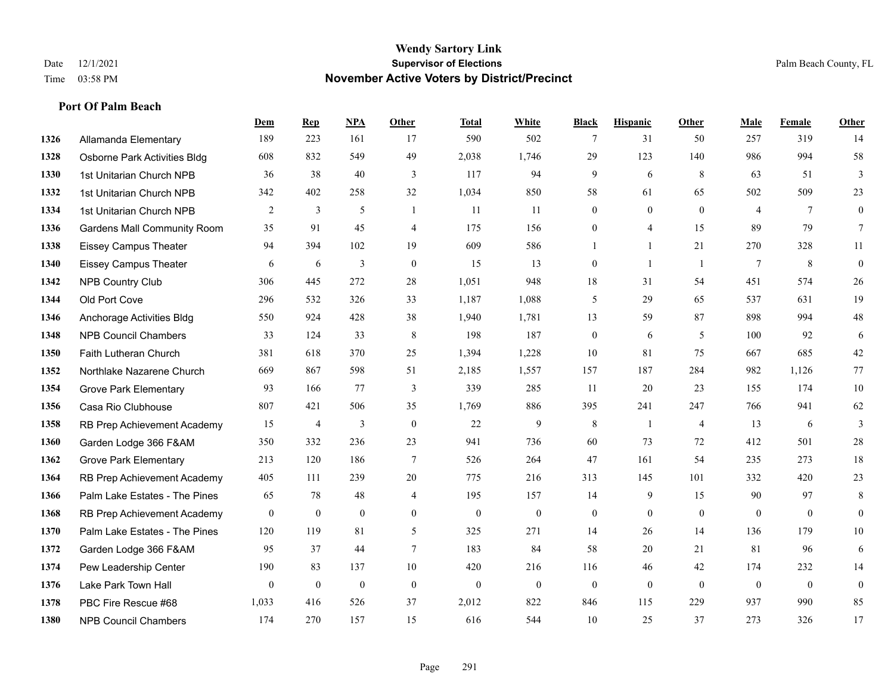#### **Wendy Sartory Link** Date 12/1/2021 **Supervisor of Elections** Palm Beach County, FL Time 03:58 PM **November Active Voters by District/Precinct**

# **Dem Rep NPA Other Total White Black Hispanic Other Male Female Other** Allamanda Elementary 189 223 161 17 590 502 7 31 50 257 319 14 Osborne Park Activities Bldg 608 832 549 49 2,038 1,746 29 123 140 986 994 58 1st Unitarian Church NPB 36 38 40 3 117 94 9 6 8 63 51 3 1st Unitarian Church NPB 342 402 258 32 1,034 850 58 61 65 502 509 23 1st Unitarian Church NPB 2 3 5 1 11 11 0 0 0 4 7 0 Gardens Mall Community Room 35 91 45 4 175 156 0 4 15 89 79 7 Eissey Campus Theater 94 394 102 19 609 586 1 1 21 270 328 11 Eissey Campus Theater 6 6 6 3 0 15 13 0 1 1 7 8 0 NPB Country Club 306 445 272 28 1,051 948 18 31 54 451 574 26 Old Port Cove 296 532 326 33 1,187 1,088 5 29 65 537 631 19 Anchorage Activities Bldg 550 924 428 38 1,940 1,781 13 59 87 898 994 48 NPB Council Chambers 33 124 33 8 198 187 0 6 5 100 92 6 Faith Lutheran Church 381 618 370 25 1,394 1,228 10 81 75 667 685 42 Northlake Nazarene Church 669 867 598 51 2,185 1,557 157 187 284 982 1,126 77 Grove Park Elementary 93 166 77 3 339 285 11 20 23 155 174 10 Casa Rio Clubhouse 807 421 506 35 1,769 886 395 241 247 766 941 62 RB Prep Achievement Academy 15 4 3 0 22 9 8 1 4 13 6 3 Garden Lodge 366 F&AM 350 332 236 23 941 736 60 73 72 412 501 28 Grove Park Elementary 213 120 186 7 526 264 47 161 54 235 273 18 RB Prep Achievement Academy 405 111 239 20 775 216 313 145 101 332 420 23 Palm Lake Estates - The Pines 65 78 48 4 195 157 14 9 15 90 97 8 RB Prep Achievement Academy 0 0 0 0 0 0 0 0 0 0 0 0 Palm Lake Estates - The Pines 120 119 81 5 325 271 14 26 14 136 179 10 Garden Lodge 366 F&AM 95 37 44 7 183 84 58 20 21 81 96 6 Pew Leadership Center 190 83 137 10 420 216 116 46 42 174 232 14 Lake Park Town Hall 0 0 0 0 0 0 0 0 0 0 0 0 PBC Fire Rescue #68 1,033 416 526 37 2,012 822 846 115 229 937 990 85 NPB Council Chambers 174 270 157 15 616 544 10 25 37 273 326 17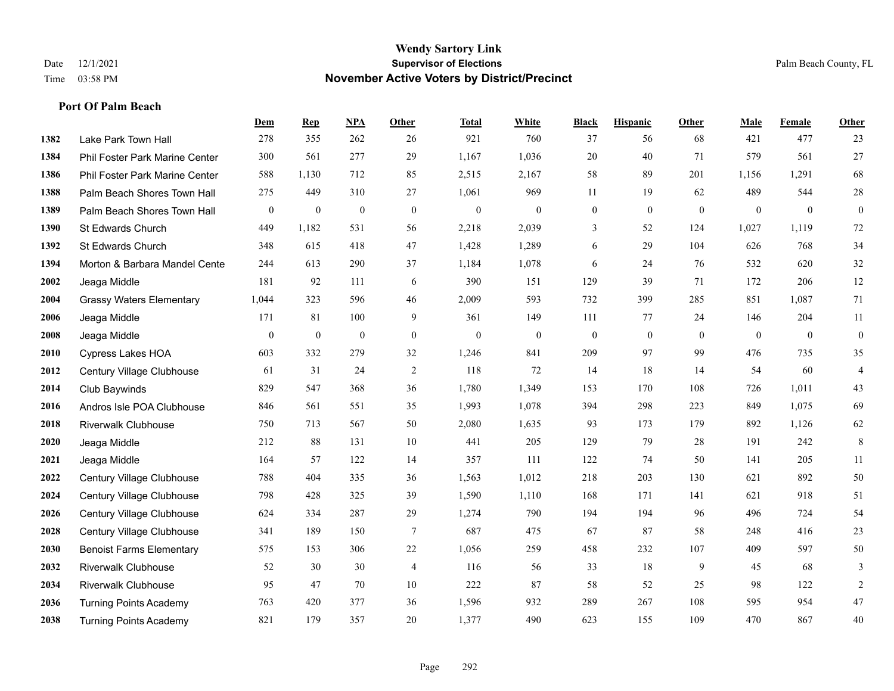#### **Wendy Sartory Link** Date 12/1/2021 **Supervisor of Elections** Palm Beach County, FL Time 03:58 PM **November Active Voters by District/Precinct**

# **Dem Rep NPA Other Total White Black Hispanic Other Male Female Other** Lake Park Town Hall 278 355 262 26 921 760 37 56 68 421 477 23 Phil Foster Park Marine Center 300 561 277 29 1,167 1,036 20 40 71 579 561 27 Phil Foster Park Marine Center 588 1,130 712 85 2,515 2,167 58 89 201 1,156 1,291 68 1388 Palm Beach Shores Town Hall 275 449 310 27 1,061 969 11 19 62 489 544 28 Palm Beach Shores Town Hall 0 0 0 0 0 0 0 0 0 0 0 0 St Edwards Church 449 1,182 531 56 2,218 2,039 3 52 124 1,027 1,119 72 St Edwards Church 348 615 418 47 1,428 1,289 6 29 104 626 768 34 **1394 Morton & Barbara Mandel Cente** 244 613 290 37 1,184 1,078 6 24 76 532 620 32 Jeaga Middle 181 92 111 6 390 151 129 39 71 172 206 12 Grassy Waters Elementary 1,044 323 596 46 2,009 593 732 399 285 851 1,087 71 Jeaga Middle 171 81 100 9 361 149 111 77 24 146 204 11 Jeaga Middle 0 0 0 0 0 0 0 0 0 0 0 0 Cypress Lakes HOA 603 332 279 32 1,246 841 209 97 99 476 735 35 Century Village Clubhouse 61 31 24 2 118 72 14 18 14 54 60 4 Club Baywinds 829 547 368 36 1,780 1,349 153 170 108 726 1,011 43 Andros Isle POA Clubhouse 846 561 551 35 1,993 1,078 394 298 223 849 1,075 69 Riverwalk Clubhouse 750 713 567 50 2,080 1,635 93 173 179 892 1,126 62 Jeaga Middle 212 88 131 10 441 205 129 79 28 191 242 8 Jeaga Middle 164 57 122 14 357 111 122 74 50 141 205 11 Century Village Clubhouse 788 404 335 36 1,563 1,012 218 203 130 621 892 50 Century Village Clubhouse 798 428 325 39 1,590 1,110 168 171 141 621 918 51 Century Village Clubhouse 624 334 287 29 1,274 790 194 194 96 496 724 54 Century Village Clubhouse 341 189 150 7 687 475 67 87 58 248 416 23 Benoist Farms Elementary 575 153 306 22 1,056 259 458 232 107 409 597 50 Riverwalk Clubhouse 52 30 30 4 116 56 33 18 9 45 68 3 Riverwalk Clubhouse 95 47 70 10 222 87 58 52 25 98 122 2 Turning Points Academy 763 420 377 36 1,596 932 289 267 108 595 954 47 Turning Points Academy 821 179 357 20 1,377 490 623 155 109 470 867 40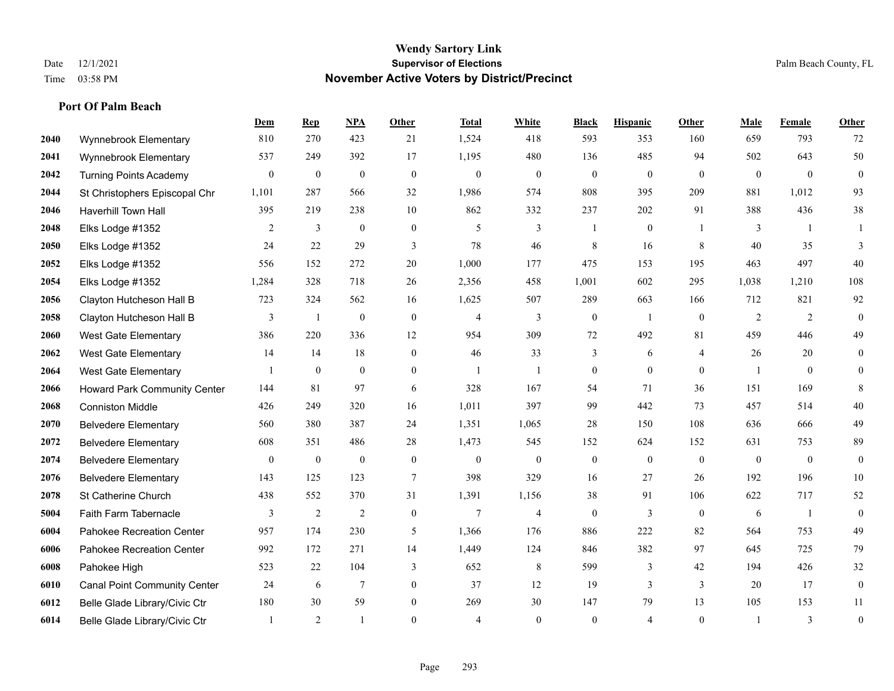#### **Wendy Sartory Link** Date 12/1/2021 **Supervisor of Elections** Palm Beach County, FL Time 03:58 PM **November Active Voters by District/Precinct**

# **Dem Rep NPA Other Total White Black Hispanic Other Male Female Other** Wynnebrook Elementary 810 270 423 21 1,524 418 593 353 160 659 793 72 Wynnebrook Elementary 537 249 392 17 1,195 480 136 485 94 502 643 50 Turning Points Academy 0 0 0 0 0 0 0 0 0 0 0 0 St Christophers Episcopal Chr 1,101 287 566 32 1,986 574 808 395 209 881 1,012 93 Haverhill Town Hall 395 219 238 10 862 332 237 202 91 388 436 38 Elks Lodge #1352 2 3 0 0 5 3 1 0 1 3 1 1 Elks Lodge #1352 24 22 29 3 78 46 8 16 8 40 35 3 Elks Lodge #1352 556 152 272 20 1,000 177 475 153 195 463 497 40 Elks Lodge #1352 1,284 328 718 26 2,356 458 1,001 602 295 1,038 1,210 108 Clayton Hutcheson Hall B 723 324 562 16 1,625 507 289 663 166 712 821 92 Clayton Hutcheson Hall B 3 1 0 0 4 3 0 1 0 2 2 0 West Gate Elementary 386 220 336 12 954 309 72 492 81 459 446 49 West Gate Elementary 14 14 18 0 46 33 3 6 4 26 20 0 West Gate Elementary 1 0 0 0 1 1 0 0 0 1 0 0 Howard Park Community Center 144 81 97 6 328 167 54 71 36 151 169 8 Conniston Middle 426 249 320 16 1,011 397 99 442 73 457 514 40 Belvedere Elementary 560 380 387 24 1,351 1,065 28 150 108 636 666 49 Belvedere Elementary 608 351 486 28 1,473 545 152 624 152 631 753 89 Belvedere Elementary 0 0 0 0 0 0 0 0 0 0 0 0 Belvedere Elementary 143 125 123 7 398 329 16 27 26 192 196 10 St Catherine Church 438 552 370 31 1,391 1,156 38 91 106 622 717 52 Faith Farm Tabernacle 3 2 2 0 7 4 0 3 0 6 1 0 Pahokee Recreation Center 957 174 230 5 1,366 176 886 222 82 564 753 49 Pahokee Recreation Center 992 172 271 14 1,449 124 846 382 97 645 725 79 Pahokee High 523 22 104 3 652 8 599 3 42 194 426 32 Canal Point Community Center 24 6 7 0 37 12 19 3 3 20 17 0 Belle Glade Library/Civic Ctr 180 30 59 0 269 30 147 79 13 105 153 11

Belle Glade Library/Civic Ctr 1 2 1 0 4 0 0 4 0 1 3 0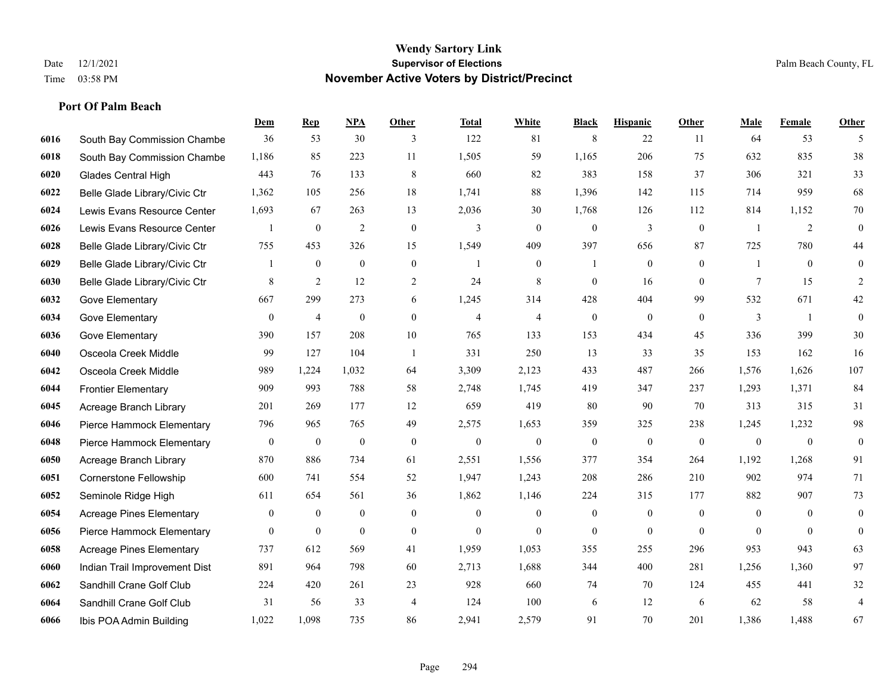|      |                                 | Dem              | <b>Rep</b>       | NPA              | <b>Other</b>   | <b>Total</b>   | <b>White</b>     | <b>Black</b>     | <b>Hispanic</b>  | <b>Other</b>   | <b>Male</b>    | <b>Female</b>  | <b>Other</b>     |
|------|---------------------------------|------------------|------------------|------------------|----------------|----------------|------------------|------------------|------------------|----------------|----------------|----------------|------------------|
| 6016 | South Bay Commission Chambe     | 36               | 53               | 30               | 3              | 122            | 81               | 8                | 22               | 11             | 64             | 53             | 5                |
| 6018 | South Bay Commission Chambe     | 1,186            | 85               | 223              | 11             | 1,505          | 59               | 1,165            | 206              | 75             | 632            | 835            | 38               |
| 6020 | <b>Glades Central High</b>      | 443              | 76               | 133              | 8              | 660            | 82               | 383              | 158              | 37             | 306            | 321            | 33               |
| 6022 | Belle Glade Library/Civic Ctr   | 1,362            | 105              | 256              | 18             | 1,741          | 88               | 1,396            | 142              | 115            | 714            | 959            | 68               |
| 6024 | Lewis Evans Resource Center     | 1,693            | 67               | 263              | 13             | 2,036          | 30               | 1,768            | 126              | 112            | 814            | 1,152          | $70\,$           |
| 6026 | Lewis Evans Resource Center     |                  | $\boldsymbol{0}$ | $\overline{2}$   | $\mathbf{0}$   | 3              | $\overline{0}$   | $\boldsymbol{0}$ | 3                | $\mathbf{0}$   | -1             | 2              | $\mathbf{0}$     |
| 6028 | Belle Glade Library/Civic Ctr   | 755              | 453              | 326              | 15             | 1,549          | 409              | 397              | 656              | 87             | 725            | 780            | 44               |
| 6029 | Belle Glade Library/Civic Ctr   | 1                | $\boldsymbol{0}$ | $\mathbf{0}$     | $\overline{0}$ |                | $\overline{0}$   | 1                | $\mathbf{0}$     | $\theta$       | 1              | $\theta$       | $\mathbf{0}$     |
| 6030 | Belle Glade Library/Civic Ctr   | 8                | $\overline{2}$   | 12               | $\overline{c}$ | 24             | $\,$ 8 $\,$      | $\boldsymbol{0}$ | 16               | $\overline{0}$ | 7              | 15             | 2                |
| 6032 | Gove Elementary                 | 667              | 299              | 273              | 6              | 1,245          | 314              | 428              | 404              | 99             | 532            | 671            | $42\,$           |
| 6034 | Gove Elementary                 | $\mathbf{0}$     | $\overline{4}$   | $\mathbf{0}$     | $\Omega$       | $\overline{4}$ | $\overline{4}$   | $\mathbf{0}$     | $\mathbf{0}$     | $\theta$       | 3              | $\overline{1}$ | $\mathbf{0}$     |
| 6036 | Gove Elementary                 | 390              | 157              | 208              | $10\,$         | 765            | 133              | 153              | 434              | 45             | 336            | 399            | $30\,$           |
| 6040 | Osceola Creek Middle            | 99               | 127              | 104              | $\overline{1}$ | 331            | 250              | 13               | 33               | 35             | 153            | 162            | 16               |
| 6042 | Osceola Creek Middle            | 989              | 1,224            | 1,032            | 64             | 3,309          | 2,123            | 433              | 487              | 266            | 1,576          | 1,626          | 107              |
| 6044 | <b>Frontier Elementary</b>      | 909              | 993              | 788              | 58             | 2,748          | 1,745            | 419              | 347              | 237            | 1,293          | 1,371          | 84               |
| 6045 | Acreage Branch Library          | 201              | 269              | 177              | 12             | 659            | 419              | 80               | 90               | 70             | 313            | 315            | 31               |
| 6046 | Pierce Hammock Elementary       | 796              | 965              | 765              | 49             | 2,575          | 1,653            | 359              | 325              | 238            | 1,245          | 1,232          | 98               |
| 6048 | Pierce Hammock Elementary       | $\boldsymbol{0}$ | $\bf{0}$         | $\boldsymbol{0}$ | $\theta$       | $\mathbf{0}$   | $\boldsymbol{0}$ | $\mathbf{0}$     | $\mathbf{0}$     | $\mathbf{0}$   | $\mathbf{0}$   | $\mathbf{0}$   | $\boldsymbol{0}$ |
| 6050 | Acreage Branch Library          | 870              | 886              | 734              | 61             | 2,551          | 1,556            | 377              | 354              | 264            | 1,192          | 1,268          | 91               |
| 6051 | Cornerstone Fellowship          | 600              | 741              | 554              | 52             | 1,947          | 1,243            | 208              | 286              | 210            | 902            | 974            | 71               |
| 6052 | Seminole Ridge High             | 611              | 654              | 561              | 36             | 1,862          | 1,146            | 224              | 315              | 177            | 882            | 907            | 73               |
| 6054 | <b>Acreage Pines Elementary</b> | $\boldsymbol{0}$ | $\bf{0}$         | $\boldsymbol{0}$ | $\overline{0}$ | $\mathbf{0}$   | $\boldsymbol{0}$ | $\boldsymbol{0}$ | $\boldsymbol{0}$ | $\overline{0}$ | $\overline{0}$ | $\overline{0}$ | $\mathbf{0}$     |
| 6056 | Pierce Hammock Elementary       | $\overline{0}$   | $\mathbf{0}$     | $\mathbf{0}$     | $\mathbf{0}$   | $\theta$       | $\overline{0}$   | $\mathbf{0}$     | $\mathbf{0}$     | $\theta$       | $\theta$       | $\theta$       | $\boldsymbol{0}$ |
| 6058 | <b>Acreage Pines Elementary</b> | 737              | 612              | 569              | 41             | 1,959          | 1,053            | 355              | 255              | 296            | 953            | 943            | 63               |
| 6060 | Indian Trail Improvement Dist   | 891              | 964              | 798              | 60             | 2,713          | 1,688            | 344              | 400              | 281            | 1,256          | 1,360          | 97               |
| 6062 | Sandhill Crane Golf Club        | 224              | 420              | 261              | 23             | 928            | 660              | 74               | 70               | 124            | 455            | 441            | $32\,$           |
| 6064 | Sandhill Crane Golf Club        | 31               | 56               | 33               | 4              | 124            | 100              | 6                | 12               | 6              | 62             | 58             | 4                |
| 6066 | Ibis POA Admin Building         | 1,022            | 1.098            | 735              | 86             | 2,941          | 2,579            | 91               | 70               | 201            | 1,386          | 1,488          | 67               |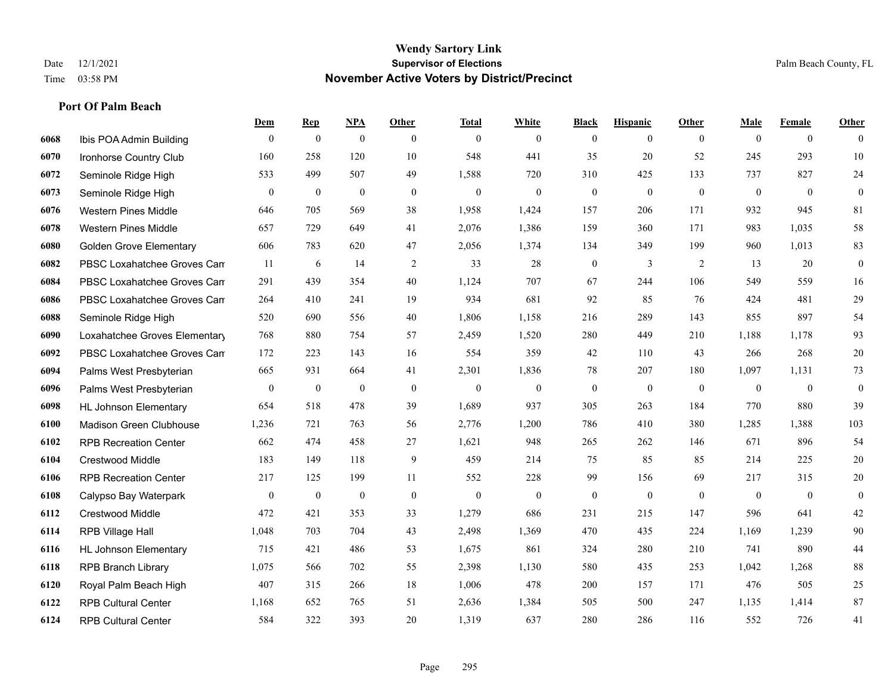|      |                                | Dem            | <b>Rep</b>       | NPA              | <b>Other</b>   | <b>Total</b> | <b>White</b>   | <b>Black</b>     | <b>Hispanic</b>  | <b>Other</b> | <b>Male</b>    | <b>Female</b>  | <b>Other</b>     |
|------|--------------------------------|----------------|------------------|------------------|----------------|--------------|----------------|------------------|------------------|--------------|----------------|----------------|------------------|
| 6068 | Ibis POA Admin Building        | $\mathbf{0}$   | $\boldsymbol{0}$ | $\mathbf{0}$     | $\overline{0}$ | $\theta$     | $\overline{0}$ | $\mathbf{0}$     | $\mathbf{0}$     | $\theta$     | $\mathbf{0}$   | $\overline{0}$ | $\theta$         |
| 6070 | Ironhorse Country Club         | 160            | 258              | 120              | 10             | 548          | 441            | 35               | 20               | 52           | 245            | 293            | $10\,$           |
| 6072 | Seminole Ridge High            | 533            | 499              | 507              | 49             | 1,588        | 720            | 310              | 425              | 133          | 737            | 827            | $24\,$           |
| 6073 | Seminole Ridge High            | $\overline{0}$ | $\boldsymbol{0}$ | $\boldsymbol{0}$ | $\mathbf{0}$   | $\mathbf{0}$ | $\overline{0}$ | $\boldsymbol{0}$ | $\mathbf{0}$     | $\theta$     | $\mathbf{0}$   | $\mathbf{0}$   | $\mathbf{0}$     |
| 6076 | <b>Western Pines Middle</b>    | 646            | 705              | 569              | 38             | 1,958        | 1,424          | 157              | 206              | 171          | 932            | 945            | 81               |
| 6078 | <b>Western Pines Middle</b>    | 657            | 729              | 649              | 41             | 2,076        | 1,386          | 159              | 360              | 171          | 983            | 1,035          | 58               |
| 6080 | <b>Golden Grove Elementary</b> | 606            | 783              | 620              | 47             | 2,056        | 1,374          | 134              | 349              | 199          | 960            | 1,013          | 83               |
| 6082 | PBSC Loxahatchee Groves Can    | -11            | 6                | 14               | 2              | 33           | 28             | $\boldsymbol{0}$ | 3                | 2            | 13             | 20             | $\mathbf{0}$     |
| 6084 | PBSC Loxahatchee Groves Can    | 291            | 439              | 354              | 40             | 1,124        | 707            | 67               | 244              | 106          | 549            | 559            | 16               |
| 6086 | PBSC Loxahatchee Groves Can    | 264            | 410              | 241              | 19             | 934          | 681            | 92               | 85               | 76           | 424            | 481            | $29\,$           |
| 6088 | Seminole Ridge High            | 520            | 690              | 556              | 40             | 1,806        | 1,158          | 216              | 289              | 143          | 855            | 897            | 54               |
| 6090 | Loxahatchee Groves Elementary  | 768            | 880              | 754              | 57             | 2,459        | 1,520          | 280              | 449              | 210          | 1,188          | 1,178          | 93               |
| 6092 | PBSC Loxahatchee Groves Can    | 172            | 223              | 143              | 16             | 554          | 359            | 42               | 110              | 43           | 266            | 268            | $20\,$           |
| 6094 | Palms West Presbyterian        | 665            | 931              | 664              | 41             | 2,301        | 1,836          | 78               | 207              | 180          | 1,097          | 1,131          | $73\,$           |
| 6096 | Palms West Presbyterian        | $\overline{0}$ | $\bf{0}$         | $\mathbf{0}$     | $\overline{0}$ | $\mathbf{0}$ | $\overline{0}$ | $\boldsymbol{0}$ | $\boldsymbol{0}$ | $\theta$     | $\overline{0}$ | $\overline{0}$ | $\boldsymbol{0}$ |
| 6098 | <b>HL Johnson Elementary</b>   | 654            | 518              | 478              | 39             | 1,689        | 937            | 305              | 263              | 184          | 770            | 880            | 39               |
| 6100 | <b>Madison Green Clubhouse</b> | 1,236          | 721              | 763              | 56             | 2,776        | 1,200          | 786              | 410              | 380          | 1,285          | 1,388          | 103              |
| 6102 | <b>RPB Recreation Center</b>   | 662            | 474              | 458              | 27             | 1,621        | 948            | 265              | 262              | 146          | 671            | 896            | 54               |
| 6104 | Crestwood Middle               | 183            | 149              | 118              | 9              | 459          | 214            | 75               | 85               | 85           | 214            | 225            | $20\,$           |
| 6106 | <b>RPB Recreation Center</b>   | 217            | 125              | 199              | 11             | 552          | 228            | 99               | 156              | 69           | 217            | 315            | $20\,$           |
| 6108 | Calypso Bay Waterpark          | $\mathbf{0}$   | $\mathbf{0}$     | $\mathbf{0}$     | $\theta$       | $\theta$     | $\mathbf{0}$   | $\mathbf{0}$     | $\mathbf{0}$     | $\theta$     | $\theta$       | $\mathbf{0}$   | $\mathbf{0}$     |
| 6112 | Crestwood Middle               | 472            | 421              | 353              | 33             | 1,279        | 686            | 231              | 215              | 147          | 596            | 641            | $42\,$           |
| 6114 | RPB Village Hall               | 1,048          | 703              | 704              | 43             | 2,498        | 1,369          | 470              | 435              | 224          | 1,169          | 1,239          | $90\,$           |
| 6116 | <b>HL Johnson Elementary</b>   | 715            | 421              | 486              | 53             | 1,675        | 861            | 324              | 280              | 210          | 741            | 890            | $44\,$           |
| 6118 | <b>RPB Branch Library</b>      | 1,075          | 566              | 702              | 55             | 2,398        | 1,130          | 580              | 435              | 253          | 1,042          | 1,268          | $88\,$           |
| 6120 | Royal Palm Beach High          | 407            | 315              | 266              | 18             | 1,006        | 478            | 200              | 157              | 171          | 476            | 505            | $25\,$           |
| 6122 | <b>RPB Cultural Center</b>     | 1,168          | 652              | 765              | 51             | 2,636        | 1,384          | 505              | 500              | 247          | 1,135          | 1,414          | 87               |
| 6124 | <b>RPB Cultural Center</b>     | 584            | 322              | 393              | 20             | 1,319        | 637            | 280              | 286              | 116          | 552            | 726            | 41               |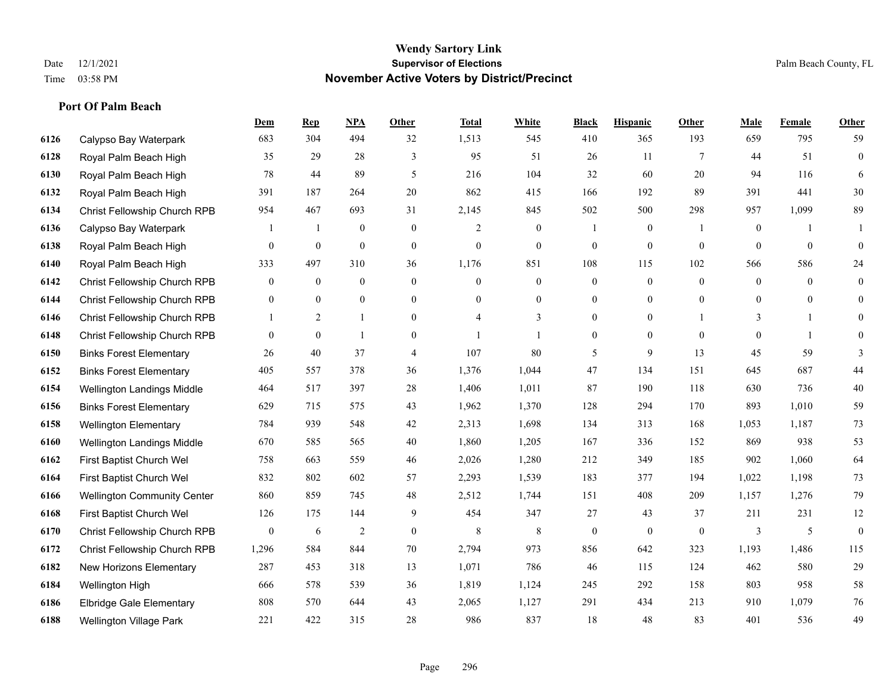|      |                                    | Dem            | <b>Rep</b>       | NPA              | <b>Other</b>     | <b>Total</b>   | <b>White</b>     | <b>Black</b>     | <b>Hispanic</b> | <b>Other</b>    | <b>Male</b>      | <b>Female</b> | <b>Other</b>     |
|------|------------------------------------|----------------|------------------|------------------|------------------|----------------|------------------|------------------|-----------------|-----------------|------------------|---------------|------------------|
| 6126 | Calypso Bay Waterpark              | 683            | 304              | 494              | 32               | 1,513          | 545              | 410              | 365             | 193             | 659              | 795           | 59               |
| 6128 | Royal Palm Beach High              | 35             | 29               | 28               | 3                | 95             | 51               | 26               | 11              | $7\phantom{.0}$ | 44               | 51            | $\boldsymbol{0}$ |
| 6130 | Royal Palm Beach High              | 78             | 44               | 89               | 5                | 216            | 104              | 32               | 60              | 20              | 94               | 116           | 6                |
| 6132 | Royal Palm Beach High              | 391            | 187              | 264              | 20               | 862            | 415              | 166              | 192             | 89              | 391              | 441           | $30\,$           |
| 6134 | Christ Fellowship Church RPB       | 954            | 467              | 693              | 31               | 2,145          | 845              | 502              | 500             | 298             | 957              | 1,099         | 89               |
| 6136 | Calypso Bay Waterpark              |                | -1               | $\boldsymbol{0}$ | $\mathbf{0}$     | 2              | $\boldsymbol{0}$ | $\mathbf{1}$     | $\mathbf{0}$    | -1              | $\boldsymbol{0}$ | -1            |                  |
| 6138 | Royal Palm Beach High              | $\overline{0}$ | $\mathbf{0}$     | $\mathbf{0}$     | $\mathbf{0}$     | $\mathbf{0}$   | $\mathbf{0}$     | $\boldsymbol{0}$ | $\overline{0}$  | $\mathbf{0}$    | $\overline{0}$   | $\mathbf{0}$  | $\mathbf{0}$     |
| 6140 | Royal Palm Beach High              | 333            | 497              | 310              | 36               | 1,176          | 851              | 108              | 115             | 102             | 566              | 586           | 24               |
| 6142 | Christ Fellowship Church RPB       | 0              | $\boldsymbol{0}$ | $\boldsymbol{0}$ | $\boldsymbol{0}$ | $\overline{0}$ | $\boldsymbol{0}$ | $\boldsymbol{0}$ | $\mathbf{0}$    | $\mathbf{0}$    | $\mathbf{0}$     | $\mathbf{0}$  | $\mathbf{0}$     |
| 6144 | Christ Fellowship Church RPB       | $\overline{0}$ | $\overline{0}$   | $\mathbf{0}$     | $\overline{0}$   | $\theta$       | $\mathbf{0}$     | $\mathbf{0}$     | $\mathbf{0}$    | $\overline{0}$  | $\overline{0}$   | $\theta$      | $\overline{0}$   |
| 6146 | Christ Fellowship Church RPB       | $\mathbf{1}$   | 2                | $\mathbf{1}$     | $\overline{0}$   | $\overline{4}$ | 3                | $\mathbf{0}$     | $\overline{0}$  |                 | 3                | 1             | $\theta$         |
| 6148 | Christ Fellowship Church RPB       | $\overline{0}$ | $\mathbf{0}$     | $\mathbf{1}$     | $\overline{0}$   |                | $\mathbf{1}$     | $\boldsymbol{0}$ | $\overline{0}$  | $\theta$        | $\theta$         | $\mathbf{1}$  | $\mathbf{0}$     |
| 6150 | <b>Binks Forest Elementary</b>     | 26             | 40               | 37               | 4                | 107            | 80               | 5                | 9               | 13              | 45               | 59            | 3                |
| 6152 | <b>Binks Forest Elementary</b>     | 405            | 557              | 378              | 36               | 1,376          | 1,044            | 47               | 134             | 151             | 645              | 687           | 44               |
| 6154 | Wellington Landings Middle         | 464            | 517              | 397              | 28               | 1,406          | 1,011            | 87               | 190             | 118             | 630              | 736           | $40\,$           |
| 6156 | <b>Binks Forest Elementary</b>     | 629            | 715              | 575              | 43               | 1,962          | 1,370            | 128              | 294             | 170             | 893              | 1,010         | 59               |
| 6158 | <b>Wellington Elementary</b>       | 784            | 939              | 548              | 42               | 2,313          | 1,698            | 134              | 313             | 168             | 1,053            | 1,187         | 73               |
| 6160 | Wellington Landings Middle         | 670            | 585              | 565              | 40               | 1,860          | 1,205            | 167              | 336             | 152             | 869              | 938           | 53               |
| 6162 | First Baptist Church Wel           | 758            | 663              | 559              | 46               | 2,026          | 1,280            | 212              | 349             | 185             | 902              | 1,060         | 64               |
| 6164 | First Baptist Church Wel           | 832            | 802              | 602              | 57               | 2,293          | 1,539            | 183              | 377             | 194             | 1,022            | 1,198         | 73               |
| 6166 | <b>Wellington Community Center</b> | 860            | 859              | 745              | 48               | 2,512          | 1,744            | 151              | 408             | 209             | 1,157            | 1,276         | 79               |
| 6168 | First Baptist Church Wel           | 126            | 175              | 144              | 9                | 454            | 347              | 27               | 43              | 37              | 211              | 231           | 12               |
| 6170 | Christ Fellowship Church RPB       | 0              | 6                | $\overline{2}$   | $\mathbf{0}$     | 8              | 8                | $\mathbf{0}$     | $\mathbf{0}$    | $\mathbf{0}$    | 3                | 5             | $\mathbf{0}$     |
| 6172 | Christ Fellowship Church RPB       | 1,296          | 584              | 844              | 70               | 2,794          | 973              | 856              | 642             | 323             | 1,193            | 1,486         | 115              |
| 6182 | New Horizons Elementary            | 287            | 453              | 318              | 13               | 1,071          | 786              | 46               | 115             | 124             | 462              | 580           | 29               |
| 6184 | Wellington High                    | 666            | 578              | 539              | 36               | 1,819          | 1,124            | 245              | 292             | 158             | 803              | 958           | 58               |
| 6186 | <b>Elbridge Gale Elementary</b>    | 808            | 570              | 644              | 43               | 2,065          | 1,127            | 291              | 434             | 213             | 910              | 1,079         | 76               |
| 6188 | Wellington Village Park            | 221            | 422              | 315              | 28               | 986            | 837              | 18               | 48              | 83              | 401              | 536           | 49               |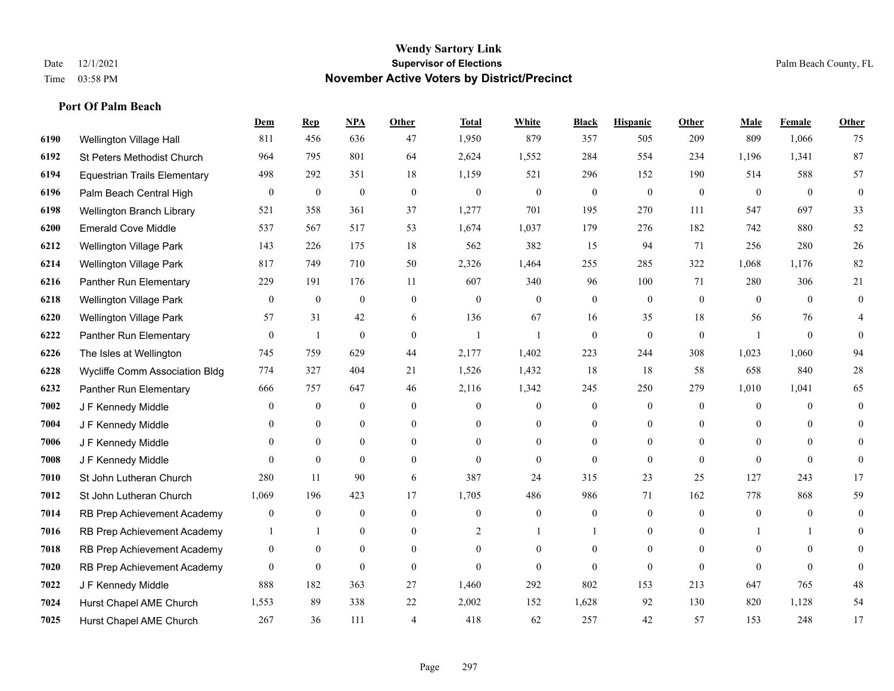#### **Wendy Sartory Link** Date 12/1/2021 **Supervisor of Elections** Palm Beach County, FL Time 03:58 PM **November Active Voters by District/Precinct**

# **Dem Rep NPA Other Total White Black Hispanic Other Male Female Other** Wellington Village Hall 811 456 636 47 1,950 879 357 505 209 809 1,066 75 St Peters Methodist Church 964 795 801 64 2,624 1,552 284 554 234 1,196 1,341 87 Equestrian Trails Elementary 498 292 351 18 1,159 521 296 152 190 514 588 57 Palm Beach Central High 0 0 0 0 0 0 0 0 0 0 0 0 Wellington Branch Library 521 358 361 37 1,277 701 195 270 111 547 697 33 Emerald Cove Middle 537 567 517 53 1,674 1,037 179 276 182 742 880 52 Wellington Village Park 143 226 175 18 562 382 15 94 71 256 280 26 Wellington Village Park 817 749 710 50 2,326 1,464 255 285 322 1,068 1,176 82 Panther Run Elementary 229 191 176 11 607 340 96 100 71 280 306 21 Wellington Village Park 0 0 0 0 0 0 0 0 0 0 0 0 Wellington Village Park 57 31 42 6 136 67 16 35 18 56 76 4 Panther Run Elementary 0 1 0 0 1 1 0 0 0 1 0 0 The Isles at Wellington 745 759 629 44 2,177 1,402 223 244 308 1,023 1,060 94 Wycliffe Comm Association Bldg 774 327 404 21 1,526 1,432 18 18 58 658 840 28 Panther Run Elementary 666 757 647 46 2,116 1,342 245 250 279 1,010 1,041 65 J F Kennedy Middle 0 0 0 0 0 0 0 0 0 0 **7004 J F Kennedy Middle 0 0 0 0 0 0 0 0 0** 0 J F Kennedy Middle 0 0 0 0 0 0 0 0 0 0 J F Kennedy Middle 0 0 0 0 0 0 0 0 0 0 St John Lutheran Church 280 11 90 6 387 24 315 23 25 127 243 17 St John Lutheran Church 1,069 196 423 17 1,705 486 986 71 162 778 868 59 RB Prep Achievement Academy 0 0 0 0 0 0 0 0 0 0 0 0 RB Prep Achievement Academy 1 1 0 0 0 2 1 1 0 1 0 0 1 1 0 RB Prep Achievement Academy 0 0 0 0 0 0 0 0 0 0 0 0 RB Prep Achievement Academy 0 0 0 0 0 0 0 0 0 0 0 0 J F Kennedy Middle 888 182 363 27 1,460 292 802 153 213 647 765 48 Hurst Chapel AME Church 1,553 89 338 22 2,002 152 1,628 92 130 820 1,128 54 Hurst Chapel AME Church 267 36 111 4 418 62 257 42 57 153 248 17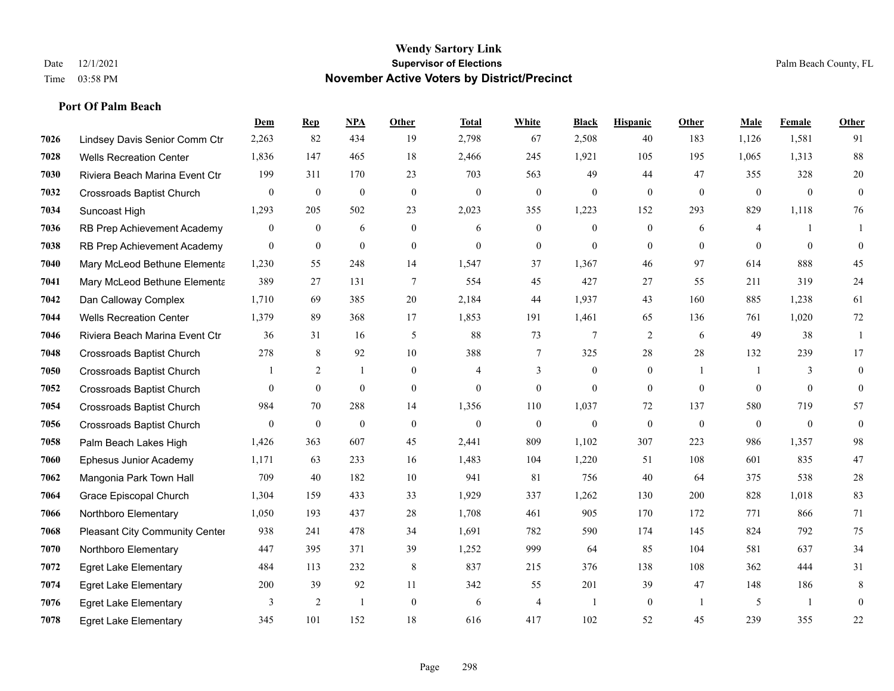|      |                                  | Dem              | <b>Rep</b>       | <u>NPA</u>       | <b>Other</b>   | <b>Total</b>   | <b>White</b>   | <b>Black</b>     | <b>Hispanic</b>  | Other          | <b>Male</b>  | Female   | <b>Other</b> |
|------|----------------------------------|------------------|------------------|------------------|----------------|----------------|----------------|------------------|------------------|----------------|--------------|----------|--------------|
| 7026 | Lindsey Davis Senior Comm Ctr    | 2,263            | 82               | 434              | 19             | 2,798          | 67             | 2,508            | 40               | 183            | 1,126        | 1,581    | 91           |
| 7028 | <b>Wells Recreation Center</b>   | 1,836            | 147              | 465              | 18             | 2,466          | 245            | 1.921            | 105              | 195            | 1.065        | 1,313    | 88           |
| 7030 | Riviera Beach Marina Event Ctr   | 199              | 311              | 170              | 23             | 703            | 563            | 49               | 44               | 47             | 355          | 328      | $20\,$       |
| 7032 | <b>Crossroads Baptist Church</b> | $\overline{0}$   | $\boldsymbol{0}$ | $\boldsymbol{0}$ | $\mathbf{0}$   | $\overline{0}$ | $\overline{0}$ | $\mathbf{0}$     | $\mathbf{0}$     | $\mathbf{0}$   | $\mathbf{0}$ | $\theta$ | $\mathbf{0}$ |
| 7034 | Suncoast High                    | 1,293            | 205              | 502              | 23             | 2,023          | 355            | 1,223            | 152              | 293            | 829          | 1,118    | 76           |
| 7036 | RB Prep Achievement Academy      | $\boldsymbol{0}$ | $\mathbf{0}$     | 6                | $\overline{0}$ | 6              | $\mathbf{0}$   | $\boldsymbol{0}$ | $\boldsymbol{0}$ | 6              | 4            |          |              |
| 7038 | RB Prep Achievement Academy      | $\overline{0}$   | $\mathbf{0}$     | $\mathbf{0}$     | $\mathbf{0}$   | $\theta$       | $\overline{0}$ | $\mathbf{0}$     | $\mathbf{0}$     | $\theta$       | $\theta$     | $\theta$ | $\mathbf{0}$ |
| 7040 | Mary McLeod Bethune Elementa     | 1,230            | 55               | 248              | 14             | 1,547          | 37             | 1,367            | 46               | 97             | 614          | 888      | 45           |
| 7041 | Mary McLeod Bethune Elementa     | 389              | 27               | 131              | 7              | 554            | 45             | 427              | 27               | 55             | 211          | 319      | $24\,$       |
| 7042 | Dan Calloway Complex             | 1,710            | 69               | 385              | $20\,$         | 2,184          | 44             | 1,937            | 43               | 160            | 885          | 1,238    | 61           |
| 7044 | <b>Wells Recreation Center</b>   | 1,379            | 89               | 368              | 17             | 1,853          | 191            | 1,461            | 65               | 136            | 761          | 1,020    | 72           |
| 7046 | Riviera Beach Marina Event Ctr   | 36               | 31               | 16               | 5              | 88             | 73             | 7                | 2                | 6              | 49           | 38       | $\mathbf{1}$ |
| 7048 | Crossroads Baptist Church        | 278              | 8                | 92               | $10\,$         | 388            | 7              | 325              | $28\,$           | 28             | 132          | 239      | 17           |
| 7050 | <b>Crossroads Baptist Church</b> | 1                | 2                | $\mathbf{1}$     | $\overline{0}$ | $\overline{4}$ | 3              | $\boldsymbol{0}$ | $\mathbf{0}$     | $\overline{1}$ |              | 3        | $\mathbf{0}$ |
| 7052 | <b>Crossroads Baptist Church</b> | $\theta$         | $\mathbf{0}$     | $\mathbf{0}$     | $\Omega$       | $\theta$       | $\overline{0}$ | $\theta$         | $\Omega$         | $\theta$       | $\theta$     | $\theta$ | $\theta$     |
| 7054 | Crossroads Baptist Church        | 984              | 70               | 288              | 14             | 1,356          | 110            | 1,037            | 72               | 137            | 580          | 719      | 57           |
| 7056 | <b>Crossroads Baptist Church</b> | $\overline{0}$   | $\mathbf{0}$     | $\mathbf{0}$     | $\mathbf{0}$   | $\theta$       | $\overline{0}$ | $\mathbf{0}$     | $\theta$         | $\theta$       | $\theta$     | $\theta$ | $\mathbf{0}$ |
| 7058 | Palm Beach Lakes High            | 1,426            | 363              | 607              | 45             | 2,441          | 809            | 1,102            | 307              | 223            | 986          | 1,357    | $\bf{98}$    |
| 7060 | <b>Ephesus Junior Academy</b>    | 1,171            | 63               | 233              | 16             | 1,483          | 104            | 1,220            | 51               | 108            | 601          | 835      | 47           |
| 7062 | Mangonia Park Town Hall          | 709              | 40               | 182              | 10             | 941            | 81             | 756              | 40               | 64             | 375          | 538      | $28\,$       |
| 7064 | Grace Episcopal Church           | 1,304            | 159              | 433              | 33             | 1,929          | 337            | 1,262            | 130              | 200            | 828          | 1,018    | 83           |
| 7066 | Northboro Elementary             | 1,050            | 193              | 437              | 28             | 1,708          | 461            | 905              | 170              | 172            | 771          | 866      | 71           |
| 7068 | Pleasant City Community Center   | 938              | 241              | 478              | 34             | 1,691          | 782            | 590              | 174              | 145            | 824          | 792      | 75           |
| 7070 | Northboro Elementary             | 447              | 395              | 371              | 39             | 1,252          | 999            | 64               | 85               | 104            | 581          | 637      | 34           |
| 7072 | <b>Egret Lake Elementary</b>     | 484              | 113              | 232              | 8              | 837            | 215            | 376              | 138              | 108            | 362          | 444      | 31           |
| 7074 | <b>Egret Lake Elementary</b>     | 200              | 39               | 92               | 11             | 342            | 55             | 201              | 39               | 47             | 148          | 186      | 8            |
| 7076 | <b>Egret Lake Elementary</b>     | 3                | 2                | $\mathbf{1}$     | $\mathbf{0}$   | 6              | $\overline{4}$ | $\overline{1}$   | $\mathbf{0}$     | -1             | 5            | -1       | $\mathbf{0}$ |
| 7078 | <b>Egret Lake Elementary</b>     | 345              | 101              | 152              | 18             | 616            | 417            | 102              | 52               | 45             | 239          | 355      | $22\,$       |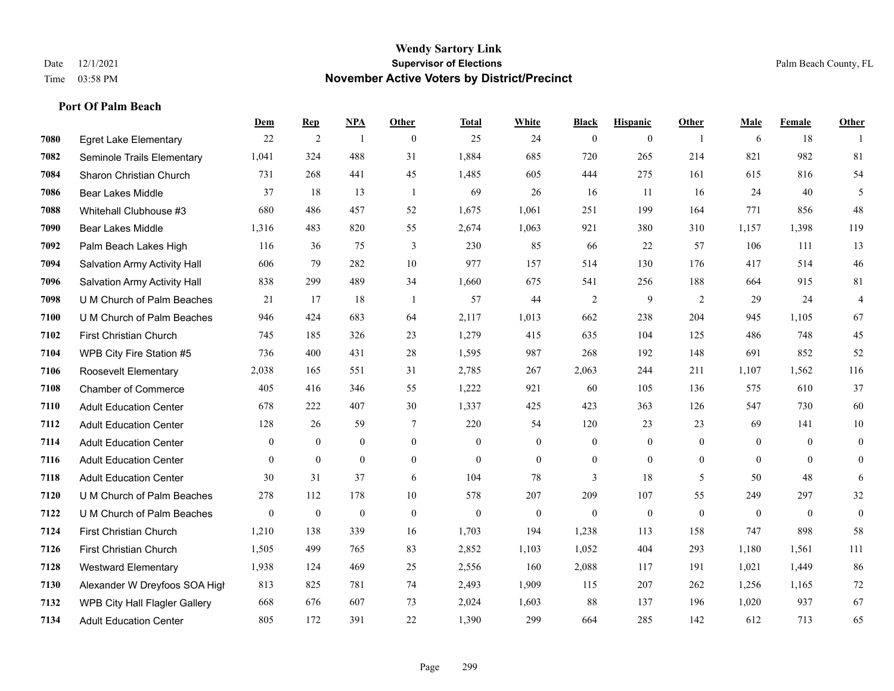|      |                                      | Dem          | <b>Rep</b>       | NPA              | <b>Other</b>   | <b>Total</b> | White            | <b>Black</b>     | <b>Hispanic</b>  | Other          | Male             | Female         | Other            |
|------|--------------------------------------|--------------|------------------|------------------|----------------|--------------|------------------|------------------|------------------|----------------|------------------|----------------|------------------|
| 7080 | <b>Egret Lake Elementary</b>         | 22           | $\overline{2}$   | $\overline{1}$   | $\theta$       | 25           | 24               | $\mathbf{0}$     | $\mathbf{0}$     | $\overline{1}$ | 6                | 18             |                  |
| 7082 | Seminole Trails Elementary           | 1,041        | 324              | 488              | 31             | 1,884        | 685              | 720              | 265              | 214            | 821              | 982            | 81               |
| 7084 | Sharon Christian Church              | 731          | 268              | 441              | 45             | 1,485        | 605              | 444              | 275              | 161            | 615              | 816            | 54               |
| 7086 | <b>Bear Lakes Middle</b>             | 37           | 18               | 13               | $\overline{1}$ | 69           | 26               | 16               | 11               | 16             | 24               | 40             | 5                |
| 7088 | Whitehall Clubhouse #3               | 680          | 486              | 457              | 52             | 1,675        | 1,061            | 251              | 199              | 164            | 771              | 856            | 48               |
| 7090 | <b>Bear Lakes Middle</b>             | 1,316        | 483              | 820              | 55             | 2,674        | 1,063            | 921              | 380              | 310            | 1,157            | 1,398          | 119              |
| 7092 | Palm Beach Lakes High                | 116          | 36               | 75               | 3              | 230          | 85               | 66               | 22               | 57             | 106              | 111            | 13               |
| 7094 | Salvation Army Activity Hall         | 606          | 79               | 282              | 10             | 977          | 157              | 514              | 130              | 176            | 417              | 514            | $46\,$           |
| 7096 | Salvation Army Activity Hall         | 838          | 299              | 489              | 34             | 1,660        | 675              | 541              | 256              | 188            | 664              | 915            | 81               |
| 7098 | U M Church of Palm Beaches           | 21           | 17               | 18               | -1             | 57           | 44               | $\overline{2}$   | 9                | 2              | 29               | 24             | $\overline{4}$   |
| 7100 | U M Church of Palm Beaches           | 946          | 424              | 683              | 64             | 2,117        | 1,013            | 662              | 238              | 204            | 945              | 1,105          | 67               |
| 7102 | First Christian Church               | 745          | 185              | 326              | 23             | 1,279        | 415              | 635              | 104              | 125            | 486              | 748            | $45\,$           |
| 7104 | WPB City Fire Station #5             | 736          | 400              | 431              | 28             | 1,595        | 987              | 268              | 192              | 148            | 691              | 852            | 52               |
| 7106 | Roosevelt Elementary                 | 2,038        | 165              | 551              | 31             | 2,785        | 267              | 2,063            | 244              | 211            | 1,107            | 1,562          | 116              |
| 7108 | <b>Chamber of Commerce</b>           | 405          | 416              | 346              | 55             | 1,222        | 921              | 60               | 105              | 136            | 575              | 610            | 37               |
| 7110 | <b>Adult Education Center</b>        | 678          | 222              | 407              | 30             | 1,337        | 425              | 423              | 363              | 126            | 547              | 730            | 60               |
| 7112 | <b>Adult Education Center</b>        | 128          | 26               | 59               | $\tau$         | 220          | 54               | 120              | 23               | 23             | 69               | 141            | 10               |
| 7114 | <b>Adult Education Center</b>        | $\mathbf{0}$ | $\overline{0}$   | $\overline{0}$   | $\overline{0}$ | $\theta$     | $\overline{0}$   | $\boldsymbol{0}$ | $\mathbf{0}$     | $\overline{0}$ | $\overline{0}$   | $\theta$       | $\boldsymbol{0}$ |
| 7116 | <b>Adult Education Center</b>        | $\theta$     | $\mathbf{0}$     | $\overline{0}$   | $\Omega$       | $\theta$     | $\overline{0}$   | $\mathbf{0}$     | $\mathbf{0}$     | $\theta$       | $\theta$         | $\theta$       | $\mathbf{0}$     |
| 7118 | <b>Adult Education Center</b>        | 30           | 31               | 37               | 6              | 104          | 78               | 3                | 18               | 5              | 50               | 48             | 6                |
| 7120 | U M Church of Palm Beaches           | 278          | 112              | 178              | 10             | 578          | 207              | 209              | 107              | 55             | 249              | 297            | $32\,$           |
| 7122 | U M Church of Palm Beaches           | $\mathbf{0}$ | $\boldsymbol{0}$ | $\boldsymbol{0}$ | $\mathbf{0}$   | $\mathbf{0}$ | $\boldsymbol{0}$ | $\boldsymbol{0}$ | $\boldsymbol{0}$ | $\mathbf{0}$   | $\boldsymbol{0}$ | $\overline{0}$ | $\mathbf{0}$     |
| 7124 | First Christian Church               | 1,210        | 138              | 339              | 16             | 1,703        | 194              | 1,238            | 113              | 158            | 747              | 898            | 58               |
| 7126 | <b>First Christian Church</b>        | 1,505        | 499              | 765              | 83             | 2,852        | 1,103            | 1,052            | 404              | 293            | 1,180            | 1,561          | 111              |
| 7128 | <b>Westward Elementary</b>           | 1,938        | 124              | 469              | 25             | 2,556        | 160              | 2,088            | 117              | 191            | 1,021            | 1,449          | 86               |
| 7130 | Alexander W Dreyfoos SOA High        | 813          | 825              | 781              | 74             | 2,493        | 1,909            | 115              | 207              | 262            | 1,256            | 1,165          | 72               |
| 7132 | <b>WPB City Hall Flagler Gallery</b> | 668          | 676              | 607              | 73             | 2,024        | 1,603            | 88               | 137              | 196            | 1,020            | 937            | 67               |
| 7134 | <b>Adult Education Center</b>        | 805          | 172              | 391              | 22             | 1,390        | 299              | 664              | 285              | 142            | 612              | 713            | 65               |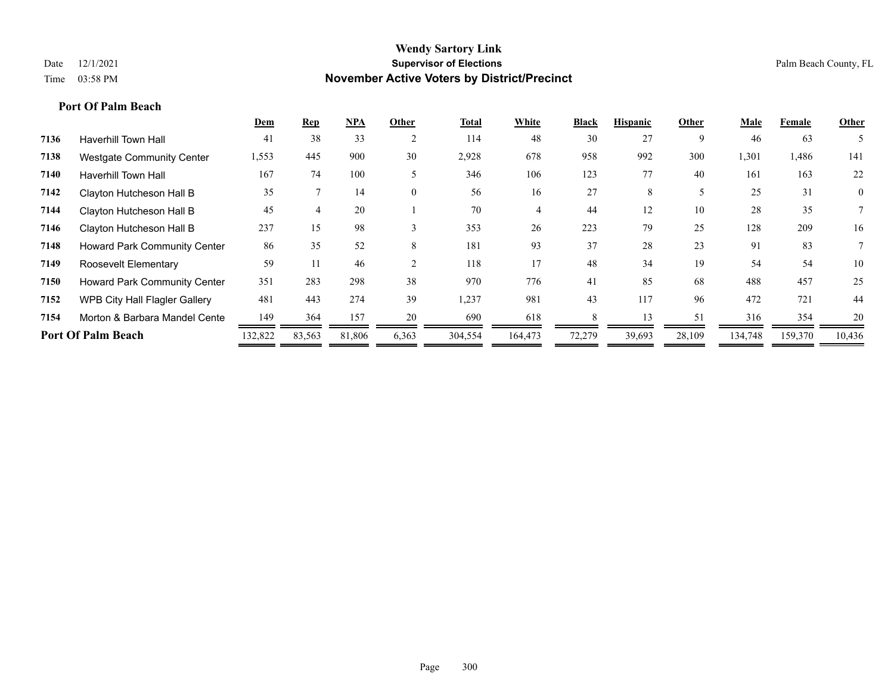|      |                                     | Dem     | <b>Rep</b> | <b>NPA</b> | Other                    | <b>Total</b> | White   | <b>Black</b> | <b>Hispanic</b> | Other  | Male    | Female  | Other          |
|------|-------------------------------------|---------|------------|------------|--------------------------|--------------|---------|--------------|-----------------|--------|---------|---------|----------------|
| 7136 | <b>Haverhill Town Hall</b>          | 41      | 38         | 33         | $\overline{2}$           | 114          | 48      | 30           | 27              | 9      | 46      | 63      |                |
| 7138 | <b>Westgate Community Center</b>    | 1,553   | 445        | 900        | 30                       | 2,928        | 678     | 958          | 992             | 300    | 1,301   | 1,486   | 141            |
| 7140 | <b>Haverhill Town Hall</b>          | 167     | 74         | 100        | $\overline{\mathcal{L}}$ | 346          | 106     | 123          | 77              | 40     | 161     | 163     | 22             |
| 7142 | Clayton Hutcheson Hall B            | 35      |            | 14         | $\theta$                 | 56           | 16      | 27           | 8               |        | 25      | 31      | $\overline{0}$ |
| 7144 | Clayton Hutcheson Hall B            | 45      |            | 20         |                          | 70           | 4       | 44           | 12              | 10     | 28      | 35      |                |
| 7146 | Clayton Hutcheson Hall B            | 237     | 15         | 98         | $\mathcal{E}$            | 353          | 26      | 223          | 79              | 25     | 128     | 209     | 16             |
| 7148 | Howard Park Community Center        | 86      | 35         | 52         | 8                        | 181          | 93      | 37           | 28              | 23     | 91      | 83      |                |
| 7149 | Roosevelt Elementary                | 59      | 11         | 46         |                          | 118          | 17      | 48           | 34              | 19     | 54      | 54      | 10             |
| 7150 | <b>Howard Park Community Center</b> | 351     | 283        | 298        | 38                       | 970          | 776     | 41           | 85              | 68     | 488     | 457     | 25             |
| 7152 | WPB City Hall Flagler Gallery       | 481     | 443        | 274        | 39                       | 1,237        | 981     | 43           | 117             | 96     | 472     | 721     | 44             |
| 7154 | Morton & Barbara Mandel Cente       | 149     | 364        | 157        | 20                       | 690          | 618     |              | 13              | 51     | 316     | 354     | 20             |
|      | <b>Port Of Palm Beach</b>           | 132,822 | 83,563     | 81,806     | 6,363                    | 304,554      | 164,473 | 72,279       | 39,693          | 28,109 | 134,748 | 159,370 | 10,436         |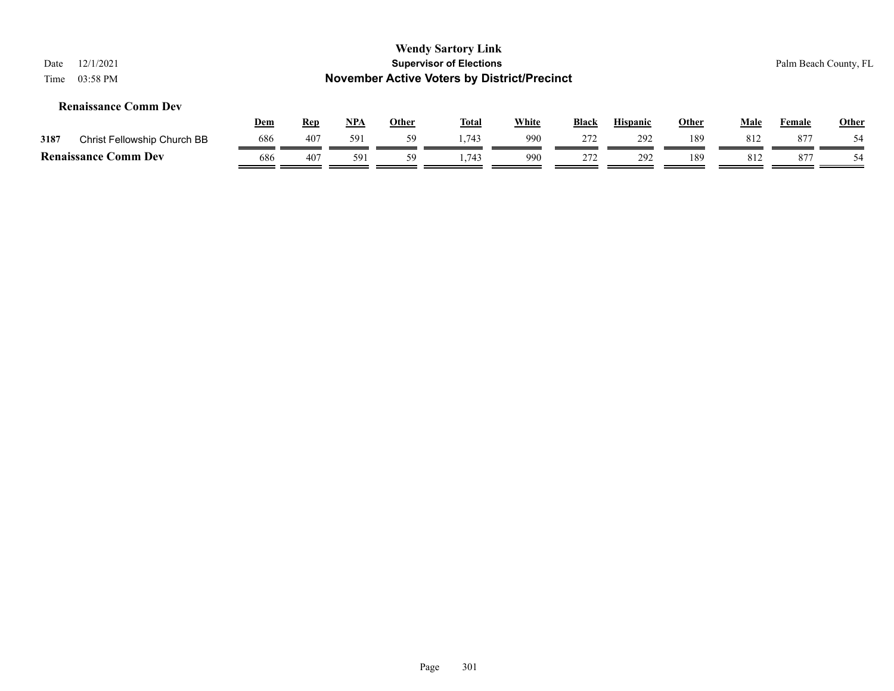| 12/1/2021<br>Date<br>03:58 PM<br>Time |            |            |     |              | <b>Wendy Sartory Link</b><br><b>Supervisor of Elections</b><br><b>November Active Voters by District/Precinct</b> |              |              |                 |              |             |               | Palm Beach County, FL |
|---------------------------------------|------------|------------|-----|--------------|-------------------------------------------------------------------------------------------------------------------|--------------|--------------|-----------------|--------------|-------------|---------------|-----------------------|
| <b>Renaissance Comm Dev</b>           | <u>Dem</u> | <b>Rep</b> | NPA | <b>Other</b> | <u>Total</u>                                                                                                      | <b>White</b> | <b>Black</b> | <b>Hispanic</b> | <b>Other</b> | <b>Male</b> | <b>Female</b> | <b>Other</b>          |
| 3187<br>Christ Fellowship Church BB   | 686        | 407        | 591 | 59           | .743                                                                                                              | 990          | 272          | 292             | 189          | 812         | 877           | 54                    |
| <b>Renaissance Comm Dev</b>           | 686        | 407        | 591 | 59           | 1.743                                                                                                             | 990          | 272          | 292             | 189          | 812         | 877           | 54                    |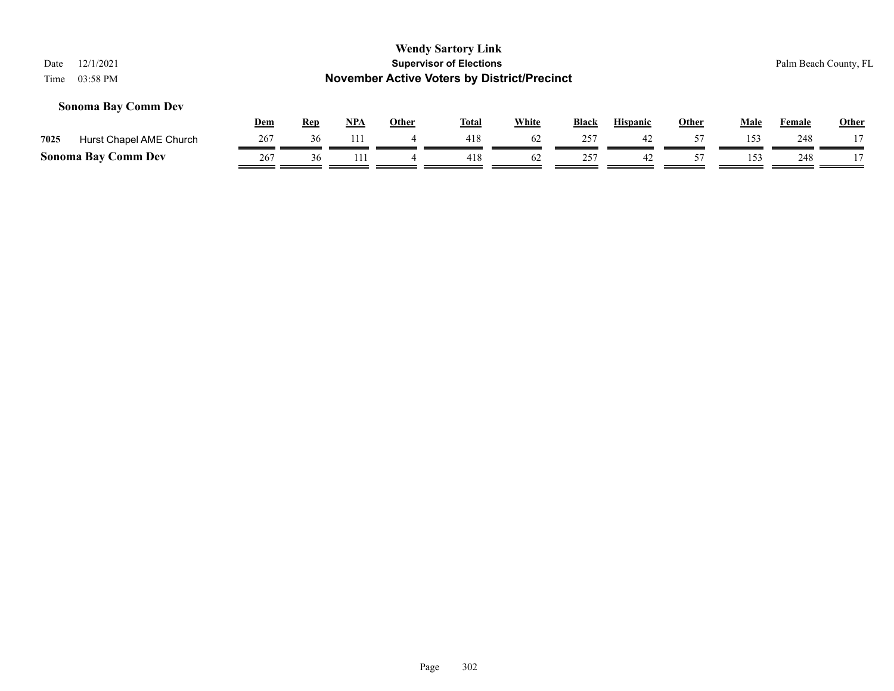| 12/1/2021<br>Date               |     |            |            |              | <b>Wendy Sartory Link</b><br><b>Supervisor of Elections</b> |              |              |                 |              |      |               | Palm Beach County, FL |  |  |
|---------------------------------|-----|------------|------------|--------------|-------------------------------------------------------------|--------------|--------------|-----------------|--------------|------|---------------|-----------------------|--|--|
| 03:58 PM<br>Time                |     |            |            |              | <b>November Active Voters by District/Precinct</b>          |              |              |                 |              |      |               |                       |  |  |
| <b>Sonoma Bay Comm Dev</b>      |     |            |            |              |                                                             |              |              |                 |              |      |               |                       |  |  |
|                                 | Dem | <u>Rep</u> | <u>NPA</u> | <b>Other</b> | <u>Total</u>                                                | <b>White</b> | <b>Black</b> | <b>Hispanic</b> | <b>Other</b> | Male | <b>Female</b> | <b>Other</b>          |  |  |
| 7025<br>Hurst Chapel AME Church | 267 | 36         | -111       |              | 418                                                         | 62           | 257          | 42              | 57           | 153  | 248           |                       |  |  |
| <b>Sonoma Bay Comm Dev</b>      | 267 | 36         | 111        | 4            | 418                                                         | 62           | 257          | 42              | 57           | 153  | 248           |                       |  |  |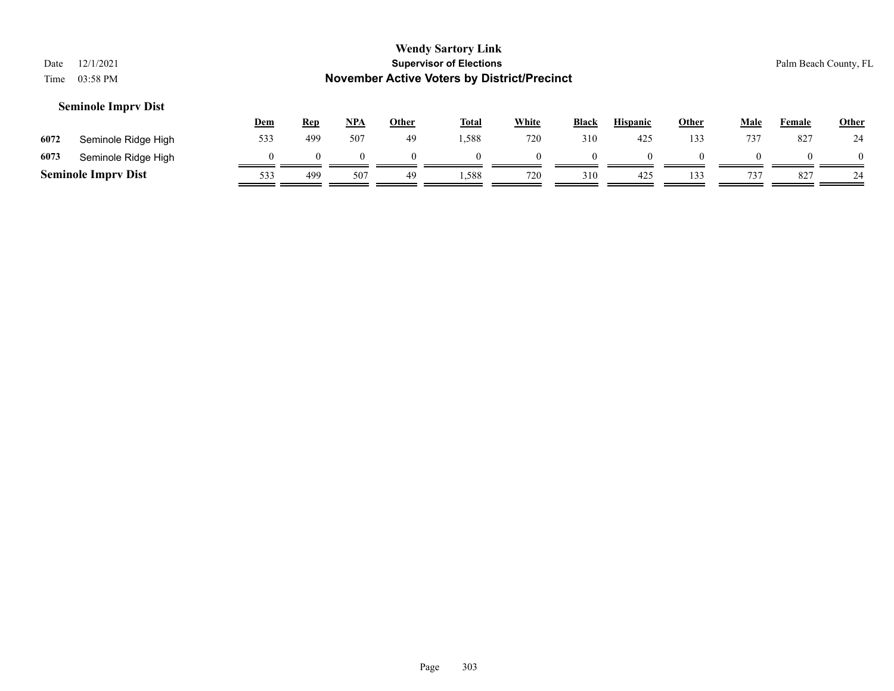| Date<br>Time | 12/1/2021<br>03:58 PM      |            |            |            |              | <b>Wendy Sartory Link</b><br><b>Supervisor of Elections</b><br><b>November Active Voters by District/Precinct</b> |              |              |                 |          |             |               | Palm Beach County, FL |
|--------------|----------------------------|------------|------------|------------|--------------|-------------------------------------------------------------------------------------------------------------------|--------------|--------------|-----------------|----------|-------------|---------------|-----------------------|
|              | <b>Seminole Imprv Dist</b> | <b>Dem</b> | <u>Rep</u> | <u>NPA</u> | <b>Other</b> | <u>Total</u>                                                                                                      | <b>White</b> | <b>Black</b> | <b>Hispanic</b> | Other    | <b>Male</b> | <b>Female</b> | Other                 |
| 6072         | Seminole Ridge High        | 533        | 499        | 507        | 49           | 1,588                                                                                                             | 720          | 310          | 425             | 133      | 737         | 827           | 24                    |
| 6073         | Seminole Ridge High        | $\theta$   |            | $\Omega$   | $\Omega$     | $\Omega$                                                                                                          |              |              |                 | $\Omega$ | $\theta$    | $\Omega$      | $\Omega$              |
|              | <b>Seminole Imprv Dist</b> | 533        | 499        | 507        | 49           | 1,588                                                                                                             | 720          | 310          | 425             | 133      | 737         | 827           | 24                    |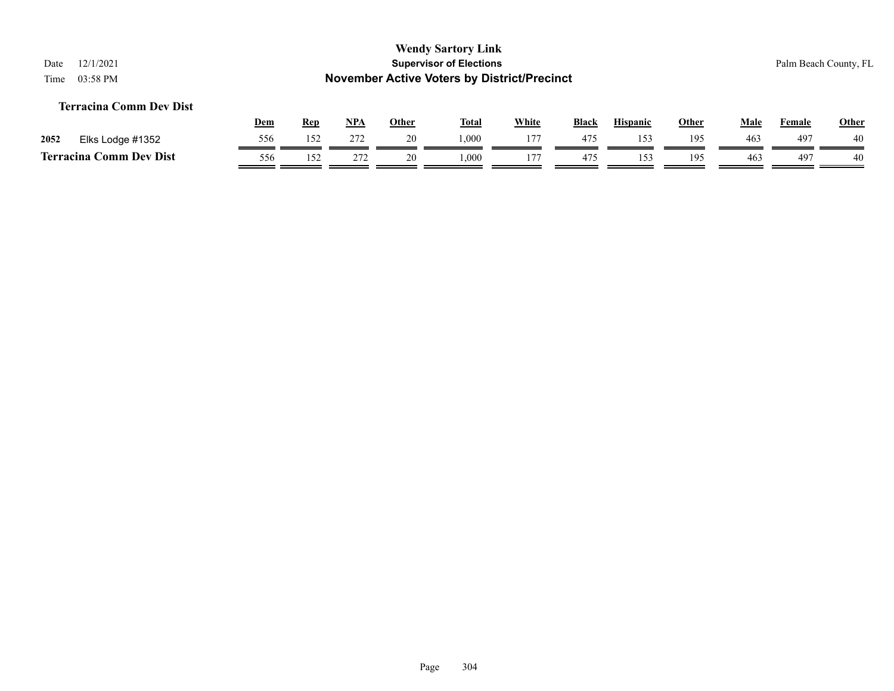# **Terracina Comm Dev Dist**

|      |                            | <b>Dem</b> | <b>Rep</b> | <b>NPA</b>    | Other  | <b>Total</b> | White | <b>Black</b> | <b>Hispanic</b> | Other | Male            | Female | <b>Other</b> |
|------|----------------------------|------------|------------|---------------|--------|--------------|-------|--------------|-----------------|-------|-----------------|--------|--------------|
| 2052 | Elks Lodge #1352           | 556        | 152        | 272           | 20     | 000.         | 177   | 475          | 15′             | 195   | 46 <sub>3</sub> | 497    | 40           |
|      | Comm Dev Dist<br>Terracina | 556        | ٬۲         | $\sim$<br>212 | $\sim$ | $000$ .      | 177   | 475          | 15′             | 195   | 463             | 497    | 40           |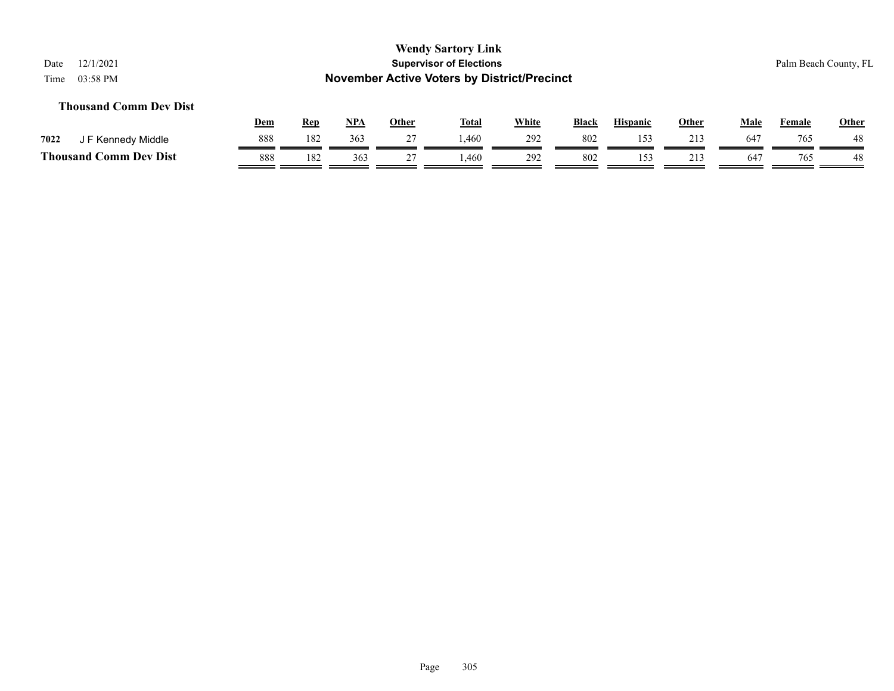# **Thousand Comm Dev Dist**

|                             | <u>Dem</u> | <b>Rep</b> | <b>NPA</b> | Other | <b>Total</b> | White | <b>Black</b> | <b>Hispanic</b> | Other | Male         | Female | <b>Other</b> |
|-----------------------------|------------|------------|------------|-------|--------------|-------|--------------|-----------------|-------|--------------|--------|--------------|
| 7022<br>F Kennedy Middle    | 888        | 182        | 363        | . .   | .460         | 292   | 802          | : ح ا           |       | $64^{\circ}$ | 765    | 48           |
| Thousand (<br>Comm Dev Dist | 888        | 182        | 363        |       | .460         | 292   | 802          |                 | 213   | 64           | 765    | 48           |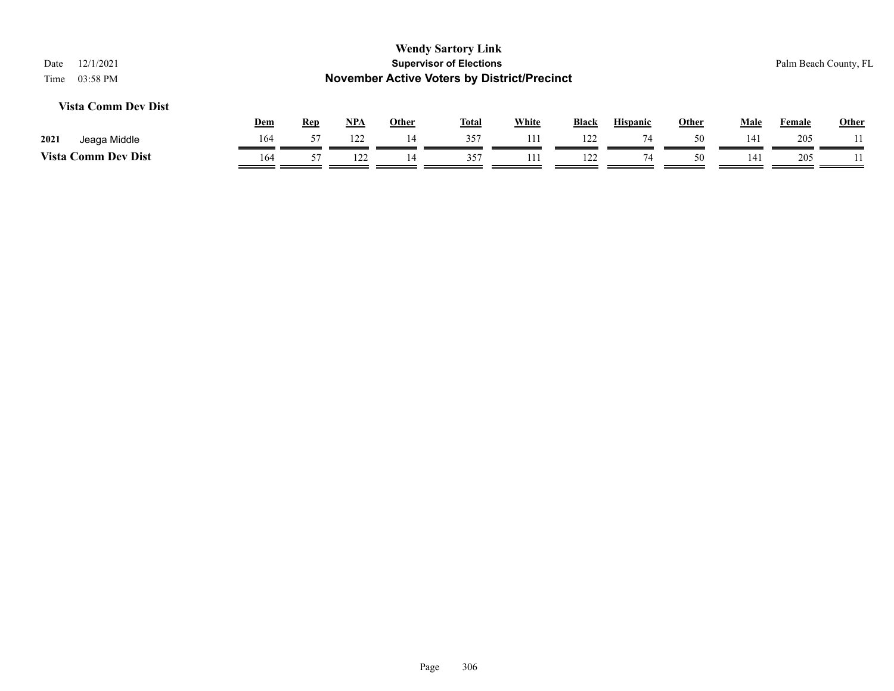| 12/1/2021<br>Date<br>03:58 PM<br>Time |            |            |     |              | <b>Wendy Sartory Link</b><br><b>Supervisor of Elections</b><br><b>November Active Voters by District/Precinct</b> |              |       |                 |              |                 |        | Palm Beach County, FL |
|---------------------------------------|------------|------------|-----|--------------|-------------------------------------------------------------------------------------------------------------------|--------------|-------|-----------------|--------------|-----------------|--------|-----------------------|
| <b>Vista Comm Dev Dist</b>            |            |            |     |              |                                                                                                                   |              |       |                 |              |                 |        |                       |
|                                       | <b>Dem</b> | <b>Rep</b> | NPA | <b>Other</b> | <u>Total</u>                                                                                                      | <b>White</b> | Black | <b>Hispanic</b> | <b>Other</b> | <u>Male</u>     | Female | <b>Other</b>          |
| 2021<br>Jeaga Middle                  | 164        | 57         | 122 | 14           | 357                                                                                                               | 111          | 122   | 74              | 50           | 14 <sup>2</sup> | 205    |                       |
| <b>Vista Comm Dev Dist</b>            | 164        | 57         | 122 | 14           | 357                                                                                                               | 11           | 122   | 74              | 50           | 141             | 205    |                       |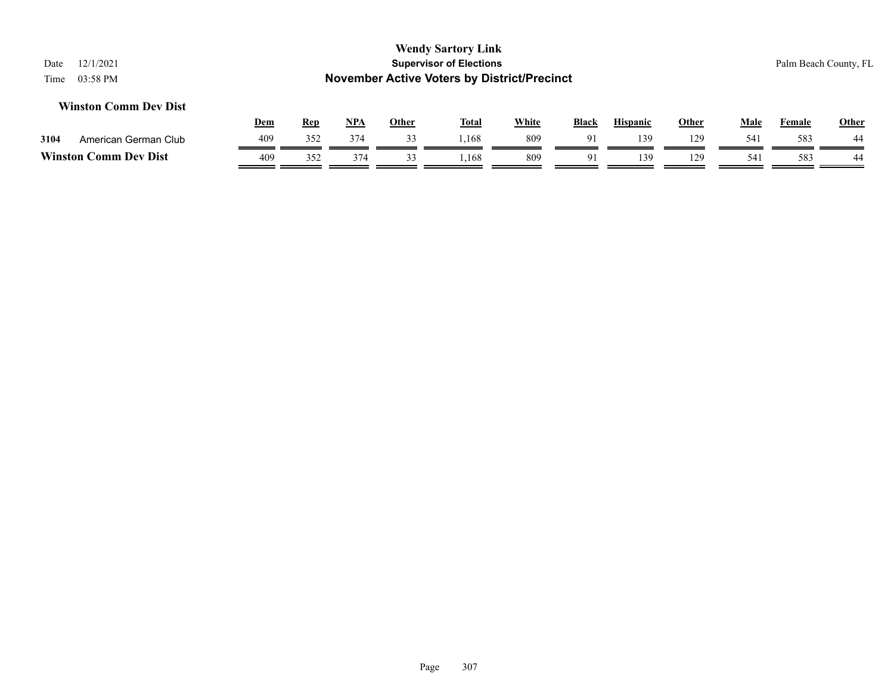# **Wendy Sartory Link** Date 12/1/2021 **Supervisor of Elections** Palm Beach County, FL Time 03:58 PM **November Active Voters by District/Precinct Dem Rep NPA Other Total White Black Hispanic Other Male Female Other Winston Comm Dev Dist 3104** American German Club  $\frac{409}{\sqrt{352}} \frac{352}{\sqrt{374}} \frac{374}{\sqrt{33}} \frac{33}{\sqrt{374}} \frac{1,168}{\sqrt{374}} \frac{809}{\sqrt{374}} \frac{91}{\sqrt{374}} \frac{139}{\sqrt{374}} \frac{129}{\sqrt{374}} \frac{583}{\sqrt{374}} \frac{44}{\sqrt{374}}$ **Winston Comm Dev Dist**  $\frac{409}{409}$   $\frac{352}{352}$   $\frac{374}{409}$   $\frac{33}{409}$   $\frac{1,168}{409}$   $\frac{809}{409}$   $\frac{91}{409}$   $\frac{139}{409}$   $\frac{139}{409}$   $\frac{541}{409}$   $\frac{583}{440}$   $\frac{44}{409}$

 $\overline{\phantom{a}}$ 

 $\equiv$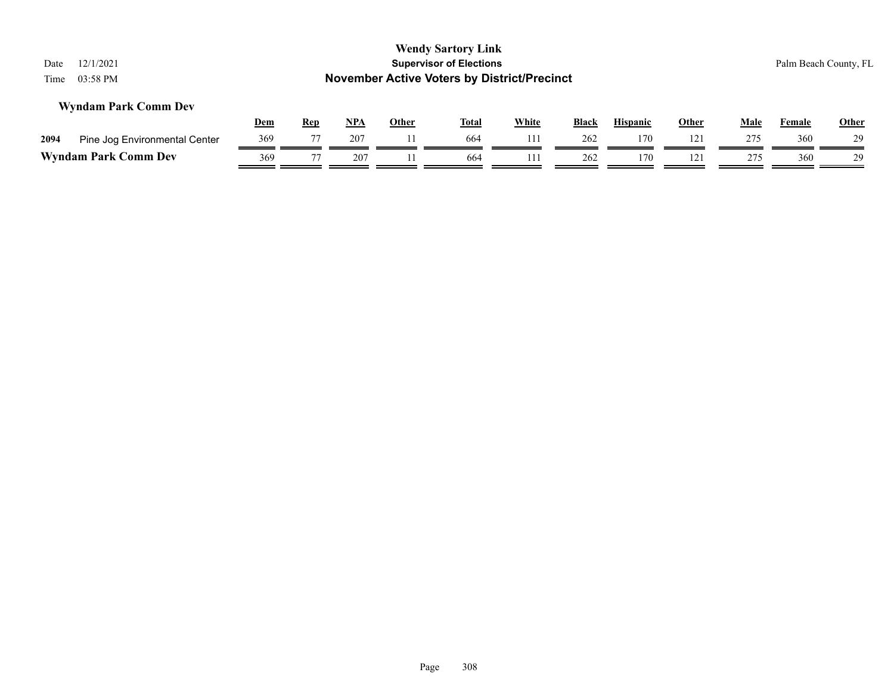| 12/1/2021<br>Date<br>03:58 PM<br>Time |            |            |            |              | <b>Wendy Sartory Link</b><br><b>Supervisor of Elections</b><br><b>November Active Voters by District/Precinct</b> |              |              |                 |              |             |               | Palm Beach County, FL |
|---------------------------------------|------------|------------|------------|--------------|-------------------------------------------------------------------------------------------------------------------|--------------|--------------|-----------------|--------------|-------------|---------------|-----------------------|
| <b>Wyndam Park Comm Dev</b>           | <u>Dem</u> | <b>Rep</b> | <u>NPA</u> | <b>Other</b> | <u>Total</u>                                                                                                      | <b>White</b> | <b>Black</b> | <b>Hispanic</b> | <u>Other</u> | <u>Male</u> | <b>Female</b> | <b>Other</b>          |
| 2094<br>Pine Jog Environmental Center | 369        | 77         | 207        | 11           | 664                                                                                                               | 111          | 262          | 170             | 121          | 275         | 360           | 29                    |
| <b>Wyndam Park Comm Dev</b>           | 369        | 77         | 207        | 11           | 664                                                                                                               | 111          | 262          | 170             | 121          | 275         | 360           | 29                    |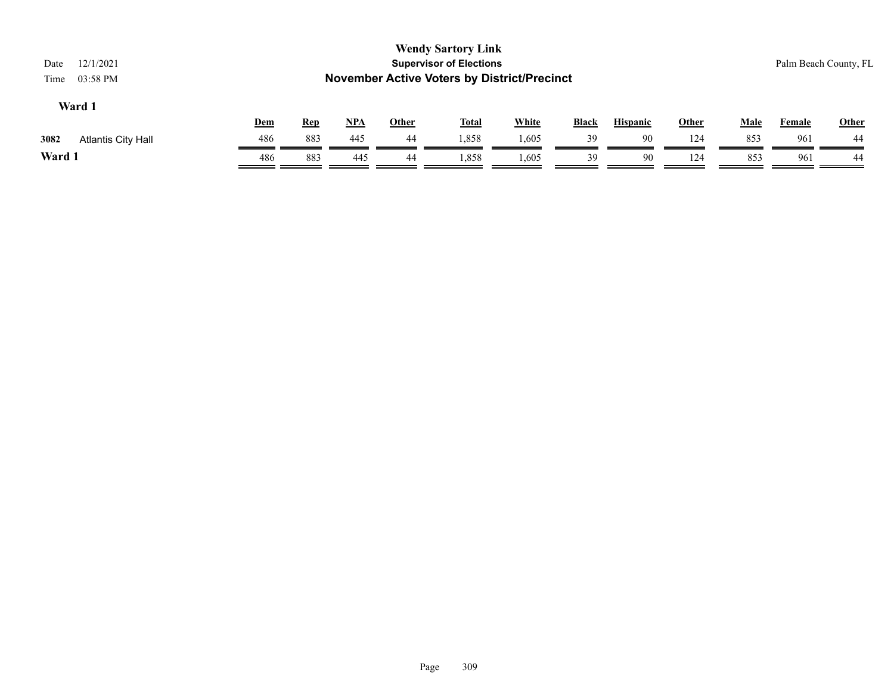| 12/1/2021<br>Date<br>03:58 PM<br>Time |            |            |            |              | <b>Wendy Sartory Link</b><br><b>Supervisor of Elections</b><br><b>November Active Voters by District/Precinct</b> |              |              |                 |              |             |               | Palm Beach County, FL |
|---------------------------------------|------------|------------|------------|--------------|-------------------------------------------------------------------------------------------------------------------|--------------|--------------|-----------------|--------------|-------------|---------------|-----------------------|
| Ward 1                                | <u>Dem</u> | <b>Rep</b> | <u>NPA</u> | <b>Other</b> | <u>Total</u>                                                                                                      | <b>White</b> | <b>Black</b> | <b>Hispanic</b> | <b>Other</b> | <b>Male</b> | <b>Female</b> | Other                 |
| 3082<br><b>Atlantis City Hall</b>     | 486        | 883        | 445        | 44           | 1,858                                                                                                             | 1,605        | 39           | 90              | 124          | 853         | 961           | 44                    |
| Ward 1                                | 486        | 883        | 445        | 44           | 1,858                                                                                                             | 1,605        | 39           | 90              | 124          | 853         | 961           | 44                    |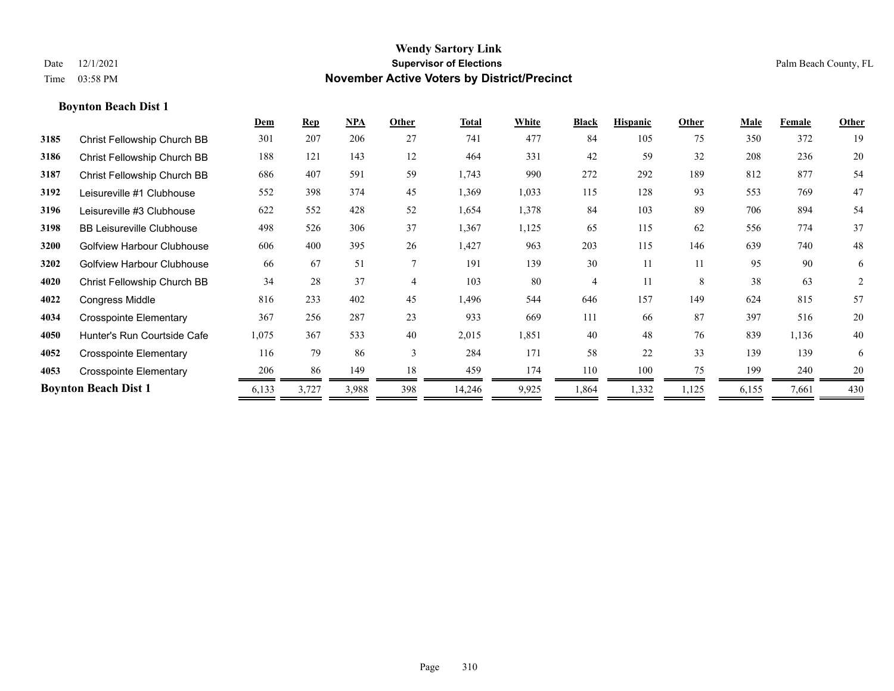|      |                                   | Dem   | <b>Rep</b> | NPA   | Other          | <b>Total</b> | White | <b>Black</b> | <b>Hispanic</b> | Other | Male  | Female | Other          |
|------|-----------------------------------|-------|------------|-------|----------------|--------------|-------|--------------|-----------------|-------|-------|--------|----------------|
| 3185 | Christ Fellowship Church BB       | 301   | 207        | 206   | 27             | 741          | 477   | 84           | 105             | 75    | 350   | 372    | 19             |
| 3186 | Christ Fellowship Church BB       | 188   | 121        | 143   | 12             | 464          | 331   | 42           | 59              | 32    | 208   | 236    | 20             |
| 3187 | Christ Fellowship Church BB       | 686   | 407        | 591   | 59             | 1,743        | 990   | 272          | 292             | 189   | 812   | 877    | 54             |
| 3192 | Leisureville #1 Clubhouse         | 552   | 398        | 374   | 45             | 1,369        | 1,033 | 115          | 128             | 93    | 553   | 769    | 47             |
| 3196 | Leisureville #3 Clubhouse         | 622   | 552        | 428   | 52             | 1,654        | 1,378 | 84           | 103             | 89    | 706   | 894    | 54             |
| 3198 | <b>BB Leisureville Clubhouse</b>  | 498   | 526        | 306   | 37             | 1,367        | 1,125 | 65           | 115             | 62    | 556   | 774    | 37             |
| 3200 | Golfview Harbour Clubhouse        | 606   | 400        | 395   | 26             | 1,427        | 963   | 203          | 115             | 146   | 639   | 740    | 48             |
| 3202 | <b>Golfview Harbour Clubhouse</b> | 66    | 67         | 51    | $\tau$         | 191          | 139   | 30           | 11              | 11    | 95    | 90     | 6              |
| 4020 | Christ Fellowship Church BB       | 34    | 28         | 37    | $\overline{4}$ | 103          | 80    | 4            | 11              | 8     | 38    | 63     | $\overline{2}$ |
| 4022 | <b>Congress Middle</b>            | 816   | 233        | 402   | 45             | 1,496        | 544   | 646          | 157             | 149   | 624   | 815    | 57             |
| 4034 | <b>Crosspointe Elementary</b>     | 367   | 256        | 287   | 23             | 933          | 669   | 111          | 66              | 87    | 397   | 516    | 20             |
| 4050 | Hunter's Run Courtside Cafe       | 1,075 | 367        | 533   | 40             | 2,015        | 1,851 | 40           | 48              | 76    | 839   | 1,136  | 40             |
| 4052 | <b>Crosspointe Elementary</b>     | 116   | 79         | 86    | 3              | 284          | 171   | 58           | 22              | 33    | 139   | 139    | 6              |
| 4053 | <b>Crosspointe Elementary</b>     | 206   | 86         | 149   | 18             | 459          | 174   | 110          | 100             | 75    | 199   | 240    | 20             |
|      | <b>Boynton Beach Dist 1</b>       | 6,133 | 3,727      | 3,988 | 398            | 14,246       | 9,925 | 1,864        | 1,332           | 1,125 | 6,155 | 7,661  | 430            |
|      |                                   |       |            |       |                |              |       |              |                 |       |       |        |                |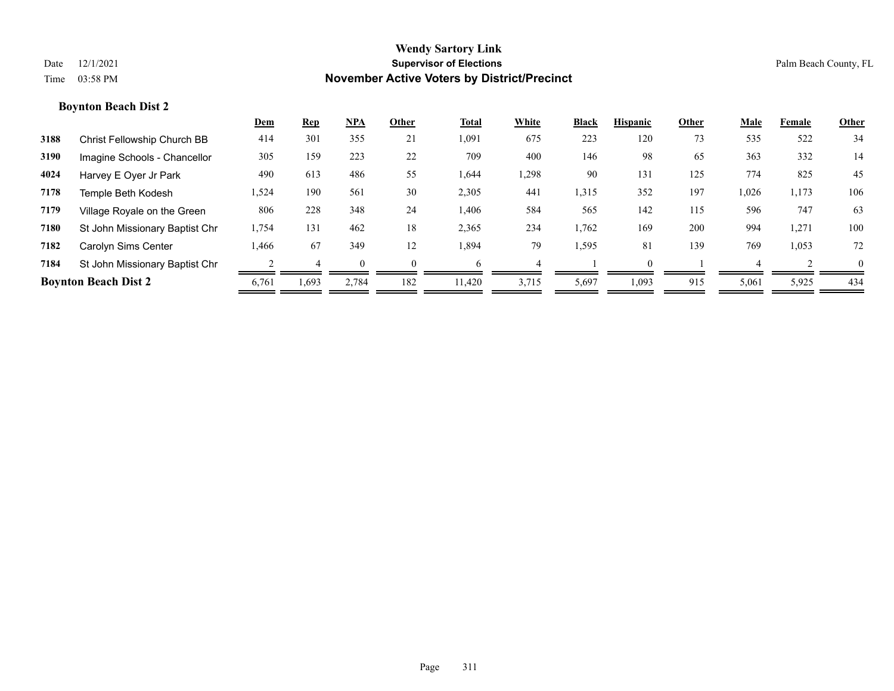|      |                                | Dem   | Rep   | NPA   | Other    | Total  | White | <b>Black</b> | <b>Hispanic</b> | Other | Male  | Female | Other    |
|------|--------------------------------|-------|-------|-------|----------|--------|-------|--------------|-----------------|-------|-------|--------|----------|
| 3188 | Christ Fellowship Church BB    | 414   | 301   | 355   | 21       | 1,091  | 675   | 223          | 120             | 73    | 535   | 522    | 34       |
| 3190 | Imagine Schools - Chancellor   | 305   | 159   | 223   | 22       | 709    | 400   | 146          | 98              | 65    | 363   | 332    | 14       |
| 4024 | Harvey E Oyer Jr Park          | 490   | 613   | 486   | 55       | 1,644  | 1,298 | 90           | 131             | 125   | 774   | 825    | 45       |
| 7178 | Temple Beth Kodesh             | 1,524 | 190   | 561   | 30       | 2,305  | 441   | 1,315        | 352             | 197   | 1,026 | 1,173  | 106      |
| 7179 | Village Royale on the Green    | 806   | 228   | 348   | 24       | 1,406  | 584   | 565          | 142             | 115   | 596   | 747    | 63       |
| 7180 | St John Missionary Baptist Chr | 1,754 | 131   | 462   | 18       | 2,365  | 234   | 1,762        | 169             | 200   | 994   | 1,271  | 100      |
| 7182 | Carolyn Sims Center            | .466  | 67    | 349   | 12       | 1,894  | 79    | 1,595        | 81              | 139   | 769   | 1,053  | 72       |
| 7184 | St John Missionary Baptist Chr |       |       |       | $\Omega$ | h      |       |              | $\Omega$        |       |       |        | $\theta$ |
|      | <b>Boynton Beach Dist 2</b>    | 6,761 | 1,693 | 2,784 | 182      | 11,420 | 3,715 | 5,697        | 1,093           | 915   | 5,061 | 5,925  | 434      |
|      |                                |       |       |       |          |        |       |              |                 |       |       |        |          |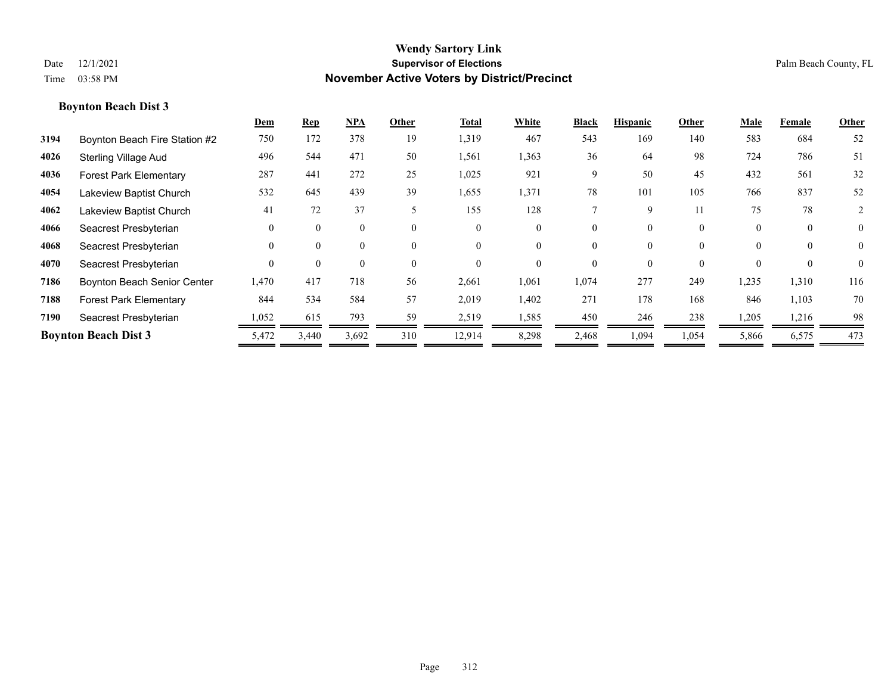|      |                                    | Dem      | <b>Rep</b> | NPA   | Other    | <b>Total</b> | White    | <b>Black</b> | <b>Hispanic</b> | Other    | Male     | Female   | Other          |
|------|------------------------------------|----------|------------|-------|----------|--------------|----------|--------------|-----------------|----------|----------|----------|----------------|
| 3194 | Boynton Beach Fire Station #2      | 750      | 172        | 378   | 19       | 1,319        | 467      | 543          | 169             | 140      | 583      | 684      | 52             |
| 4026 | <b>Sterling Village Aud</b>        | 496      | 544        | 471   | 50       | 1,561        | 1,363    | 36           | 64              | 98       | 724      | 786      | 51             |
| 4036 | <b>Forest Park Elementary</b>      | 287      | 441        | 272   | 25       | 1,025        | 921      | 9            | 50              | 45       | 432      | 561      | 32             |
| 4054 | Lakeview Baptist Church            | 532      | 645        | 439   | 39       | 1,655        | 1,371    | 78           | 101             | 105      | 766      | 837      | 52             |
| 4062 | Lakeview Baptist Church            | 41       | 72         | 37    |          | 155          | 128      |              | 9               | 11       | 75       | 78       | 2              |
| 4066 | Seacrest Presbyterian              | $\theta$ | 0          | 0     | $\theta$ | $\Omega$     | $\theta$ | $\Omega$     | $\Omega$        | $\theta$ | $\theta$ | $\theta$ | $\overline{0}$ |
| 4068 | Seacrest Presbyterian              | $\theta$ | 0          | 0     | $\Omega$ | $\Omega$     |          | $\Omega$     | $\Omega$        | $\theta$ | $\Omega$ | $\Omega$ | $\theta$       |
| 4070 | Seacrest Presbyterian              | $\theta$ | 0          | 0     | $\theta$ | $\Omega$     |          | $\Omega$     |                 | $\theta$ | $\Omega$ | $\Omega$ | $\theta$       |
| 7186 | <b>Boynton Beach Senior Center</b> | 1,470    | 417        | 718   | 56       | 2,661        | 1,061    | 1,074        | 277             | 249      | 1,235    | 1,310    | 116            |
| 7188 | <b>Forest Park Elementary</b>      | 844      | 534        | 584   | 57       | 2,019        | 1,402    | 271          | 178             | 168      | 846      | 1,103    | 70             |
| 7190 | Seacrest Presbyterian              | 1,052    | 615        | 793   | 59       | 2,519        | 1,585    | 450          | 246             | 238      | 1,205    | 1,216    | 98             |
|      | <b>Boynton Beach Dist 3</b>        | 5,472    | 3,440      | 3,692 | 310      | 12,914       | 8,298    | 2,468        | 1,094           | 1,054    | 5,866    | 6,575    | 473            |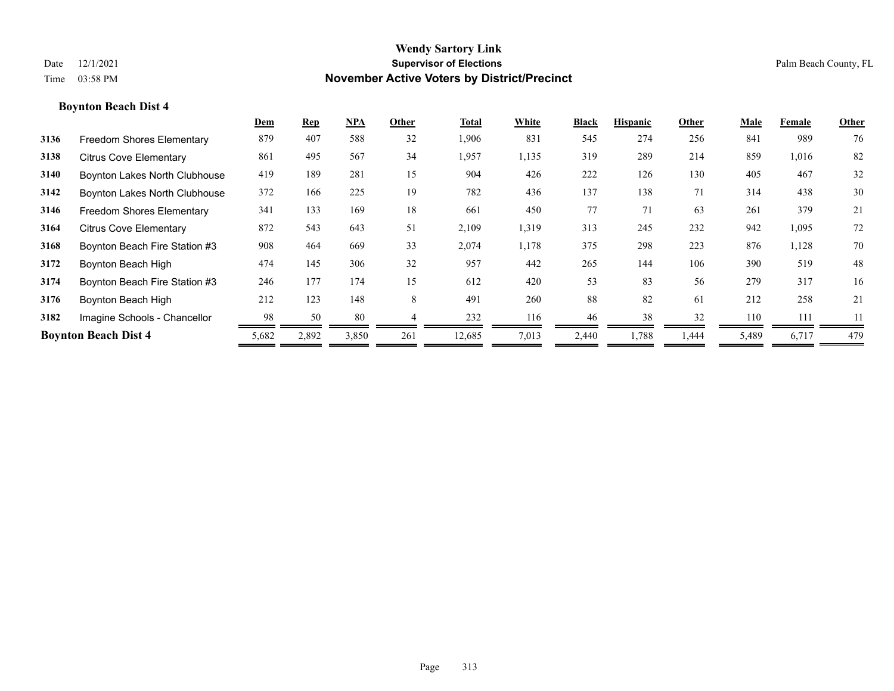|      |                               | Dem   | <b>Rep</b> | NPA   | Other | Total  | White | <b>Black</b> | <b>Hispanic</b> | Other | Male  | Female | Other |
|------|-------------------------------|-------|------------|-------|-------|--------|-------|--------------|-----------------|-------|-------|--------|-------|
| 3136 | Freedom Shores Elementary     | 879   | 407        | 588   | 32    | 1,906  | 831   | 545          | 274             | 256   | 841   | 989    | 76    |
| 3138 | <b>Citrus Cove Elementary</b> | 861   | 495        | 567   | 34    | 1,957  | 1,135 | 319          | 289             | 214   | 859   | 1,016  | 82    |
| 3140 | Boynton Lakes North Clubhouse | 419   | 189        | 281   | 15    | 904    | 426   | 222          | 126             | 130   | 405   | 467    | 32    |
| 3142 | Boynton Lakes North Clubhouse | 372   | 166        | 225   | 19    | 782    | 436   | 137          | 138             | 71    | 314   | 438    | 30    |
| 3146 | Freedom Shores Elementary     | 341   | 133        | 169   | 18    | 661    | 450   | 77           | 71              | 63    | 261   | 379    | 21    |
| 3164 | <b>Citrus Cove Elementary</b> | 872   | 543        | 643   | 51    | 2,109  | 1,319 | 313          | 245             | 232   | 942   | 1,095  | 72    |
| 3168 | Boynton Beach Fire Station #3 | 908   | 464        | 669   | 33    | 2,074  | 1,178 | 375          | 298             | 223   | 876   | 1,128  | 70    |
| 3172 | Boynton Beach High            | 474   | 145        | 306   | 32    | 957    | 442   | 265          | 144             | 106   | 390   | 519    | 48    |
| 3174 | Boynton Beach Fire Station #3 | 246   | 177        | 174   | 15    | 612    | 420   | 53           | 83              | 56    | 279   | 317    | 16    |
| 3176 | Boynton Beach High            | 212   | 123        | 148   | 8     | 491    | 260   | 88           | 82              | 61    | 212   | 258    | 21    |
| 3182 | Imagine Schools - Chancellor  | 98    | 50         | 80    |       | 232    | 116   | 46           | 38              | 32    | 110   | 111    | 11    |
|      | <b>Boynton Beach Dist 4</b>   | 5,682 | 2,892      | 3,850 | 261   | 12,685 | 7,013 | 2,440        | 1,788           | 1,444 | 5,489 | 6,717  | 479   |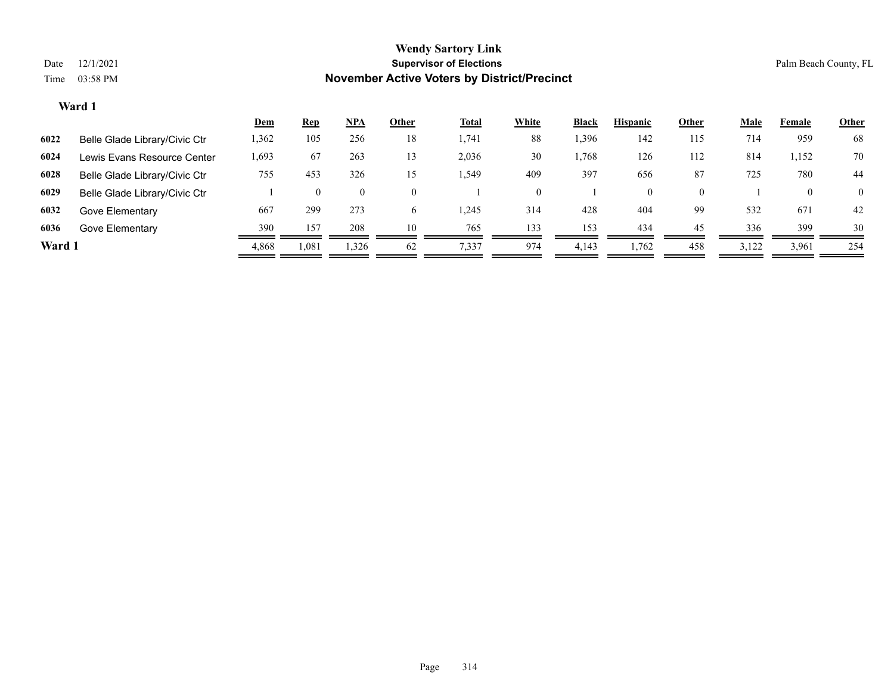|        |                               | <b>Dem</b> | <b>Rep</b> | $NPA$    | Other | <b>Total</b> | <b>White</b> | <b>Black</b> | <b>Hispanic</b> | Other    | <u>Male</u> | Female | <b>Other</b>   |
|--------|-------------------------------|------------|------------|----------|-------|--------------|--------------|--------------|-----------------|----------|-------------|--------|----------------|
| 6022   | Belle Glade Library/Civic Ctr | 1,362      | 105        | 256      | 18    | 1,741        | 88           | 1,396        | 142             | 115      | 714         | 959    | 68             |
| 6024   | Lewis Evans Resource Center   | 1,693      | 67         | 263      | 13    | 2,036        | 30           | .,768        | 126             | 112      | 814         | 1,152  | 70             |
| 6028   | Belle Glade Library/Civic Ctr | 755        | 453        | 326      | 15    | .549         | 409          | 397          | 656             | 87       | 725         | 780    | 44             |
| 6029   | Belle Glade Library/Civic Ctr |            |            | $\theta$ | 0     |              |              |              | $\theta$        | $\theta$ |             |        | $\overline{0}$ |
| 6032   | Gove Elementary               | 667        | 299        | 273      |       | ,245         | 314          | 428          | 404             | 99       | 532         | 671    | 42             |
| 6036   | Gove Elementary               | 390        | 157        | 208      | 10    | 765          | 133          | 153          | 434             | 45       | 336         | 399    | 30             |
| Ward 1 |                               | 4,868      | 1,081      | 1,326    | 62    | 7,337        | 974          | 4,143        | 1,762           | 458      | 3,122       | 3,961  | 254            |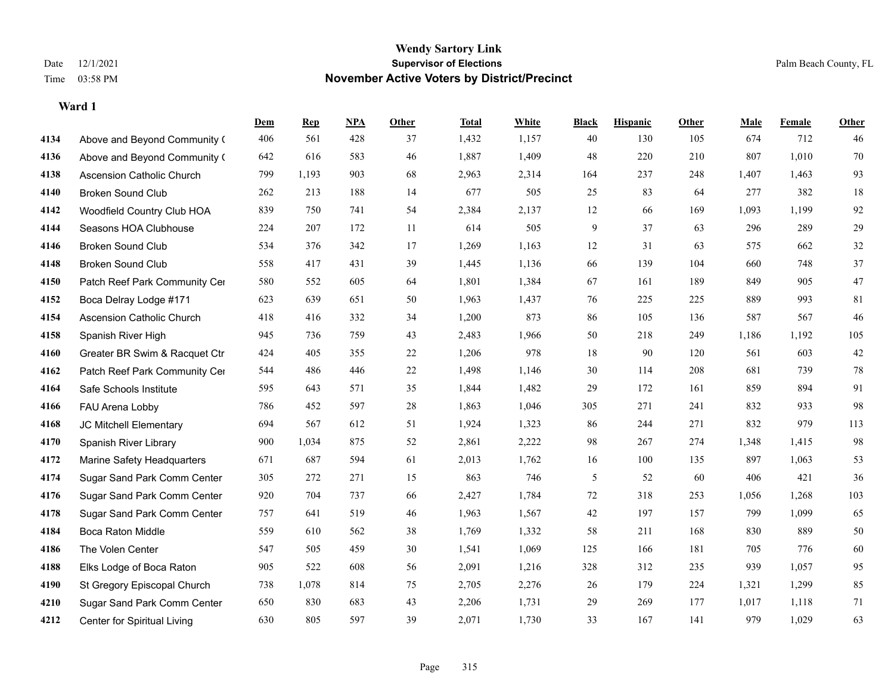**Ward 1**

#### **Wendy Sartory Link** Date 12/1/2021 **Supervisor of Elections** Palm Beach County, FL Time 03:58 PM **November Active Voters by District/Precinct**

**Dem Rep NPA Other Total White Black Hispanic Other Male Female Other**

# Above and Beyond Community Church 406 561 428 37 1,432 1,157 40 130 105 674 712 46 Above and Beyond Community Church 642 616 583 46 1,887 1,409 48 220 210 807 1,010 70 Ascension Catholic Church 799 1,193 903 68 2,963 2,314 164 237 248 1,407 1,463 93 Broken Sound Club 262 213 188 14 677 505 25 83 64 277 382 18 Woodfield Country Club HOA 839 750 741 54 2,384 2,137 12 66 169 1,093 1,199 92 Seasons HOA Clubhouse 224 207 172 11 614 505 9 37 63 296 289 29 Broken Sound Club 534 376 342 17 1,269 1,163 12 31 63 575 662 32 Broken Sound Club 558 417 431 39 1,445 1,136 66 139 104 660 748 37 4150 Patch Reef Park Community Center 580 552 605 64 1,801 1,384 67 161 189 849 905 47 Boca Delray Lodge #171 623 639 651 50 1,963 1,437 76 225 225 889 993 81 Ascension Catholic Church 418 416 332 34 1,200 873 86 105 136 587 567 46 Spanish River High 945 736 759 43 2,483 1,966 50 218 249 1,186 1,192 105 Greater BR Swim & Racquet Ctr 424 405 355 22 1,206 978 18 90 120 561 603 42 4162 Patch Reef Park Community Center 544 486 446 22 1,498 1,146 30 114 208 681 739 78 Safe Schools Institute 595 643 571 35 1,844 1,482 29 172 161 859 894 91 FAU Arena Lobby 786 452 597 28 1,863 1,046 305 271 241 832 933 98 JC Mitchell Elementary 694 567 612 51 1,924 1,323 86 244 271 832 979 113 Spanish River Library 900 1,034 875 52 2,861 2,222 98 267 274 1,348 1,415 98 Marine Safety Headquarters 671 687 594 61 2,013 1,762 16 100 135 897 1,063 53 Sugar Sand Park Comm Center 305 272 271 15 863 746 5 52 60 406 421 36 Sugar Sand Park Comm Center 920 704 737 66 2,427 1,784 72 318 253 1,056 1,268 103 Sugar Sand Park Comm Center 757 641 519 46 1,963 1,567 42 197 157 799 1,099 65 Boca Raton Middle 559 610 562 38 1,769 1,332 58 211 168 830 889 50 The Volen Center 547 505 459 30 1,541 1,069 125 166 181 705 776 60 Elks Lodge of Boca Raton 905 522 608 56 2,091 1,216 328 312 235 939 1,057 95 St Gregory Episcopal Church 738 1,078 814 75 2,705 2,276 26 179 224 1,321 1,299 85 Sugar Sand Park Comm Center 650 830 683 43 2,206 1,731 29 269 177 1,017 1,118 71

Center for Spiritual Living 630 805 597 39 2,071 1,730 33 167 141 979 1,029 63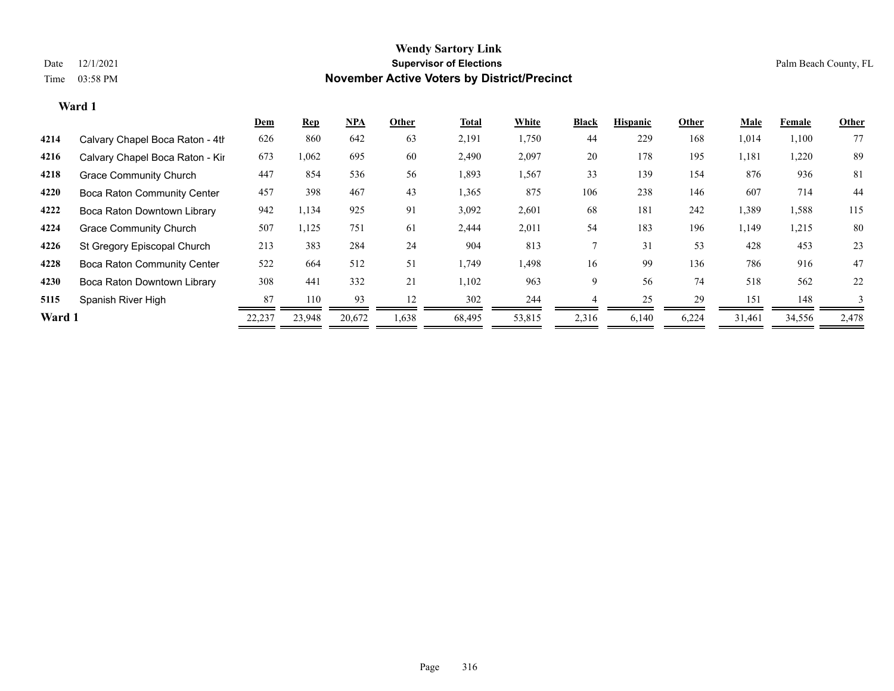|        |                                    | <u>Dem</u> | <b>Rep</b> | NPA    | Other | <b>Total</b> | White  | <b>Black</b> | <b>Hispanic</b> | Other | Male   | Female | Other |
|--------|------------------------------------|------------|------------|--------|-------|--------------|--------|--------------|-----------------|-------|--------|--------|-------|
| 4214   | Calvary Chapel Boca Raton - 4th    | 626        | 860        | 642    | 63    | 2,191        | 1,750  | 44           | 229             | 168   | 1,014  | 1,100  | 77    |
| 4216   | Calvary Chapel Boca Raton - Kir    | 673        | 1,062      | 695    | 60    | 2,490        | 2,097  | 20           | 178             | 195   | 1,181  | 1,220  | 89    |
| 4218   | <b>Grace Community Church</b>      | 447        | 854        | 536    | 56    | 1,893        | 1,567  | 33           | 139             | 154   | 876    | 936    | 81    |
| 4220   | <b>Boca Raton Community Center</b> | 457        | 398        | 467    | 43    | 1,365        | 875    | 106          | 238             | 146   | 607    | 714    | 44    |
| 4222   | Boca Raton Downtown Library        | 942        | 1,134      | 925    | 91    | 3,092        | 2,601  | 68           | 181             | 242   | 1,389  | 1,588  | 115   |
| 4224   | <b>Grace Community Church</b>      | 507        | 1,125      | 751    | 61    | 2,444        | 2,011  | 54           | 183             | 196   | 1,149  | 1,215  | 80    |
| 4226   | St Gregory Episcopal Church        | 213        | 383        | 284    | 24    | 904          | 813    |              | 31              | 53    | 428    | 453    | 23    |
| 4228   | <b>Boca Raton Community Center</b> | 522        | 664        | 512    | 51    | 1,749        | 1,498  | 16           | 99              | 136   | 786    | 916    | 47    |
| 4230   | Boca Raton Downtown Library        | 308        | 441        | 332    | 21    | 1,102        | 963    | 9            | 56              | 74    | 518    | 562    | 22    |
| 5115   | Spanish River High                 | 87         | 110        | 93     | 12    | 302          | 244    |              | 25              | 29    | 151    | 148    |       |
| Ward 1 |                                    | 22,237     | 23,948     | 20,672 | 1,638 | 68,495       | 53,815 | 2,316        | 6,140           | 6,224 | 31,461 | 34,556 | 2,478 |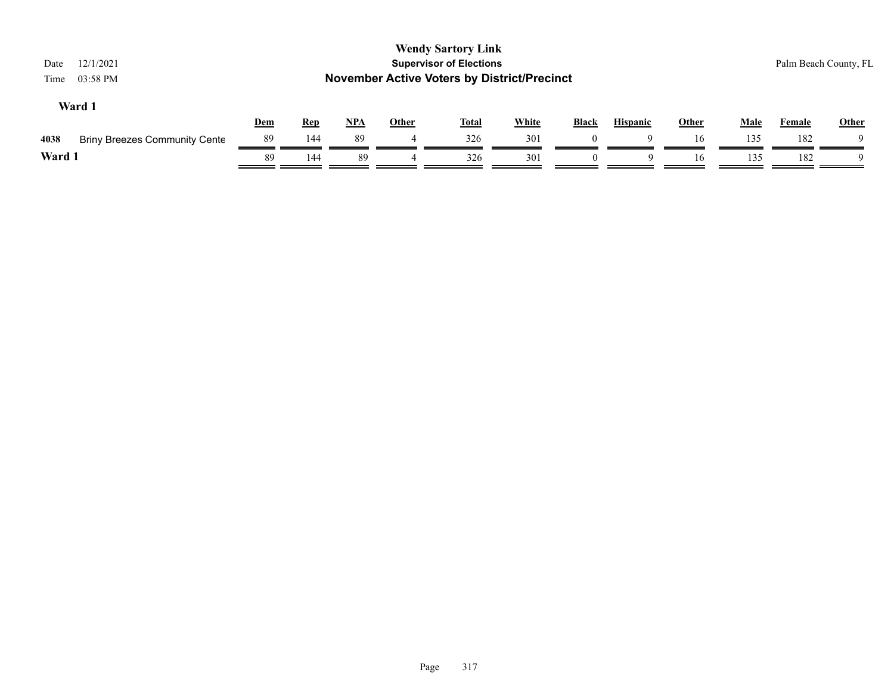| 12/1/2021<br>Date<br>03:58 PM<br>Time        |     |            |       |              | <b>Wendy Sartory Link</b><br><b>Supervisor of Elections</b><br><b>November Active Voters by District/Precinct</b> |              |              |                 |              |             |               | Palm Beach County, FL |
|----------------------------------------------|-----|------------|-------|--------------|-------------------------------------------------------------------------------------------------------------------|--------------|--------------|-----------------|--------------|-------------|---------------|-----------------------|
| Ward 1                                       | Dem | <b>Rep</b> | $NPA$ | <b>Other</b> | <u>Total</u>                                                                                                      | <b>White</b> | <b>Black</b> | <b>Hispanic</b> | <b>Other</b> | <u>Male</u> | <b>Female</b> | Other                 |
| <b>Briny Breezes Community Cente</b><br>4038 | -89 | 144        | 89    |              | 326                                                                                                               | 301          |              | Q               | 16           | 135         | 182           |                       |
| Ward 1                                       | 89  | 144        | -89   |              | 326                                                                                                               | 301          |              | 9               | 16           | 135         | 182           |                       |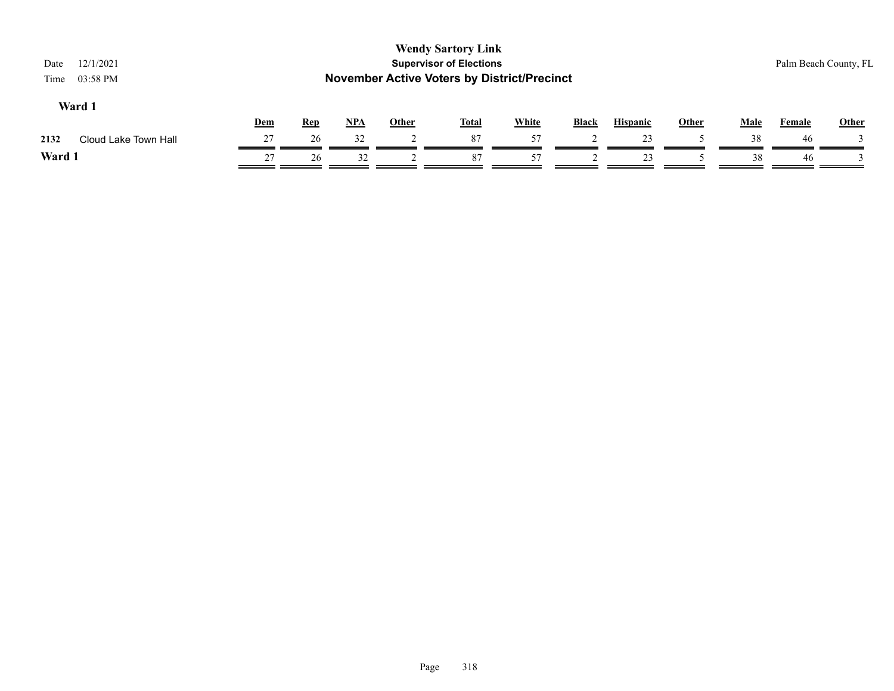| 12/1/2021<br>Date<br>03:58 PM<br>Time |            |            |            |              | <b>Wendy Sartory Link</b><br><b>Supervisor of Elections</b><br><b>November Active Voters by District/Precinct</b> |              |       |                 |              |      | Palm Beach County, FL |              |
|---------------------------------------|------------|------------|------------|--------------|-------------------------------------------------------------------------------------------------------------------|--------------|-------|-----------------|--------------|------|-----------------------|--------------|
| Ward 1                                | <u>Dem</u> | <b>Rep</b> | <u>NPA</u> | <b>Other</b> | <b>Total</b>                                                                                                      | <b>White</b> | Black | <b>Hispanic</b> | <b>Other</b> | Male | Female                | <b>Other</b> |
| Cloud Lake Town Hall<br>2132          | 27         | 26         | 32         |              | 87                                                                                                                | 57           |       | 23              |              | 38   | -46                   |              |
| Ward 1                                | 27         | 26         | 32         |              | 87                                                                                                                | 57           |       | 23              |              | 38   | 46                    |              |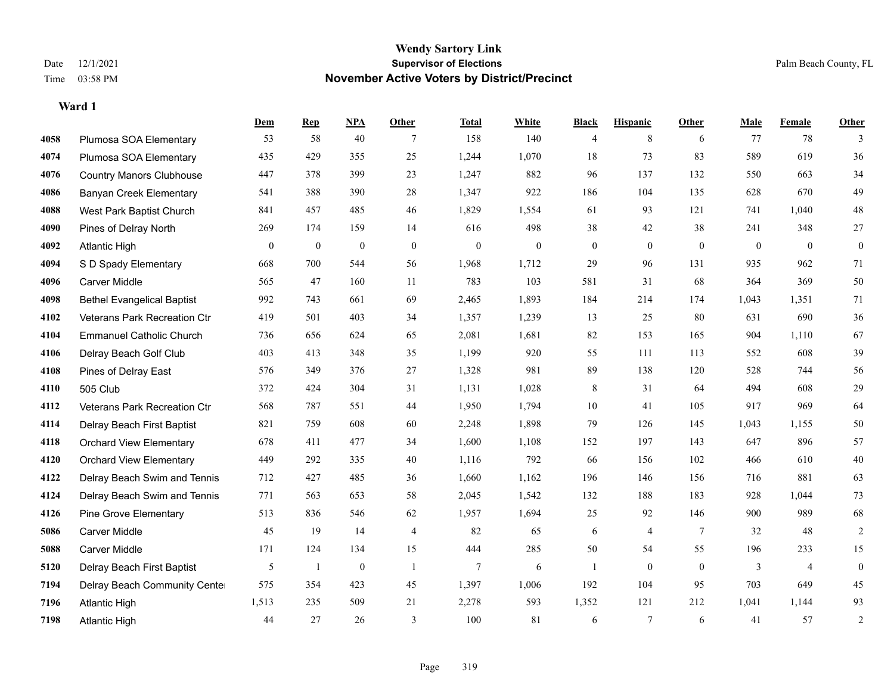|      |                                   | <b>Dem</b>       | <b>Rep</b>   | NPA              | <b>Other</b>   | <b>Total</b>     | <b>White</b>     | <b>Black</b>     | <b>Hispanic</b>  | <b>Other</b> | <b>Male</b>  | <b>Female</b>  | <b>Other</b>     |
|------|-----------------------------------|------------------|--------------|------------------|----------------|------------------|------------------|------------------|------------------|--------------|--------------|----------------|------------------|
| 4058 | Plumosa SOA Elementary            | 53               | 58           | 40               | 7              | 158              | 140              | 4                | 8                | 6            | 77           | 78             | 3                |
| 4074 | Plumosa SOA Elementary            | 435              | 429          | 355              | 25             | 1,244            | 1,070            | 18               | 73               | 83           | 589          | 619            | 36               |
| 4076 | <b>Country Manors Clubhouse</b>   | 447              | 378          | 399              | 23             | 1,247            | 882              | 96               | 137              | 132          | 550          | 663            | 34               |
| 4086 | Banyan Creek Elementary           | 541              | 388          | 390              | 28             | 1,347            | 922              | 186              | 104              | 135          | 628          | 670            | 49               |
| 4088 | West Park Baptist Church          | 841              | 457          | 485              | 46             | 1,829            | 1,554            | 61               | 93               | 121          | 741          | 1.040          | $48\,$           |
| 4090 | Pines of Delray North             | 269              | 174          | 159              | 14             | 616              | 498              | 38               | 42               | 38           | 241          | 348            | $27\,$           |
| 4092 | <b>Atlantic High</b>              | $\boldsymbol{0}$ | $\mathbf{0}$ | $\boldsymbol{0}$ | $\mathbf{0}$   | $\boldsymbol{0}$ | $\boldsymbol{0}$ | $\boldsymbol{0}$ | $\boldsymbol{0}$ | $\mathbf{0}$ | $\mathbf{0}$ | $\mathbf{0}$   | $\boldsymbol{0}$ |
| 4094 | S D Spady Elementary              | 668              | 700          | 544              | 56             | 1,968            | 1,712            | 29               | 96               | 131          | 935          | 962            | 71               |
| 4096 | <b>Carver Middle</b>              | 565              | 47           | 160              | 11             | 783              | 103              | 581              | 31               | 68           | 364          | 369            | 50               |
| 4098 | <b>Bethel Evangelical Baptist</b> | 992              | 743          | 661              | 69             | 2,465            | 1,893            | 184              | 214              | 174          | 1,043        | 1,351          | 71               |
| 4102 | Veterans Park Recreation Ctr      | 419              | 501          | 403              | 34             | 1,357            | 1,239            | 13               | 25               | 80           | 631          | 690            | 36               |
| 4104 | <b>Emmanuel Catholic Church</b>   | 736              | 656          | 624              | 65             | 2,081            | 1,681            | 82               | 153              | 165          | 904          | 1,110          | 67               |
| 4106 | Delray Beach Golf Club            | 403              | 413          | 348              | 35             | 1,199            | 920              | 55               | 111              | 113          | 552          | 608            | 39               |
| 4108 | Pines of Delray East              | 576              | 349          | 376              | 27             | 1,328            | 981              | 89               | 138              | 120          | 528          | 744            | 56               |
| 4110 | 505 Club                          | 372              | 424          | 304              | 31             | 1,131            | 1,028            | 8                | 31               | 64           | 494          | 608            | 29               |
| 4112 | Veterans Park Recreation Ctr      | 568              | 787          | 551              | 44             | 1,950            | 1,794            | 10               | 41               | 105          | 917          | 969            | 64               |
| 4114 | Delray Beach First Baptist        | 821              | 759          | 608              | 60             | 2,248            | 1,898            | 79               | 126              | 145          | 1,043        | 1,155          | $50\,$           |
| 4118 | <b>Orchard View Elementary</b>    | 678              | 411          | 477              | 34             | 1,600            | 1,108            | 152              | 197              | 143          | 647          | 896            | 57               |
| 4120 | <b>Orchard View Elementary</b>    | 449              | 292          | 335              | 40             | 1,116            | 792              | 66               | 156              | 102          | 466          | 610            | $40\,$           |
| 4122 | Delray Beach Swim and Tennis      | 712              | 427          | 485              | 36             | 1,660            | 1,162            | 196              | 146              | 156          | 716          | 881            | 63               |
| 4124 | Delray Beach Swim and Tennis      | 771              | 563          | 653              | 58             | 2,045            | 1,542            | 132              | 188              | 183          | 928          | 1,044          | 73               |
| 4126 | <b>Pine Grove Elementary</b>      | 513              | 836          | 546              | 62             | 1,957            | 1,694            | $25\,$           | 92               | 146          | 900          | 989            | 68               |
| 5086 | <b>Carver Middle</b>              | 45               | 19           | 14               | 4              | 82               | 65               | 6                | 4                | 7            | 32           | 48             | $\sqrt{2}$       |
| 5088 | <b>Carver Middle</b>              | 171              | 124          | 134              | 15             | 444              | 285              | 50               | 54               | 55           | 196          | 233            | 15               |
| 5120 | Delray Beach First Baptist        | 5                | $\mathbf{1}$ | $\mathbf{0}$     | $\overline{1}$ | $\overline{7}$   | 6                | 1                | $\theta$         | $\theta$     | 3            | $\overline{4}$ | $\mathbf{0}$     |
| 7194 | Delray Beach Community Cente      | 575              | 354          | 423              | 45             | 1,397            | 1,006            | 192              | 104              | 95           | 703          | 649            | 45               |
| 7196 | <b>Atlantic High</b>              | 1,513            | 235          | 509              | 21             | 2,278            | 593              | 1,352            | 121              | 212          | 1,041        | 1,144          | 93               |
| 7198 | <b>Atlantic High</b>              | 44               | 27           | 26               | 3              | 100              | 81               | 6                | $7\phantom{.0}$  | 6            | 41           | 57             | $\sqrt{2}$       |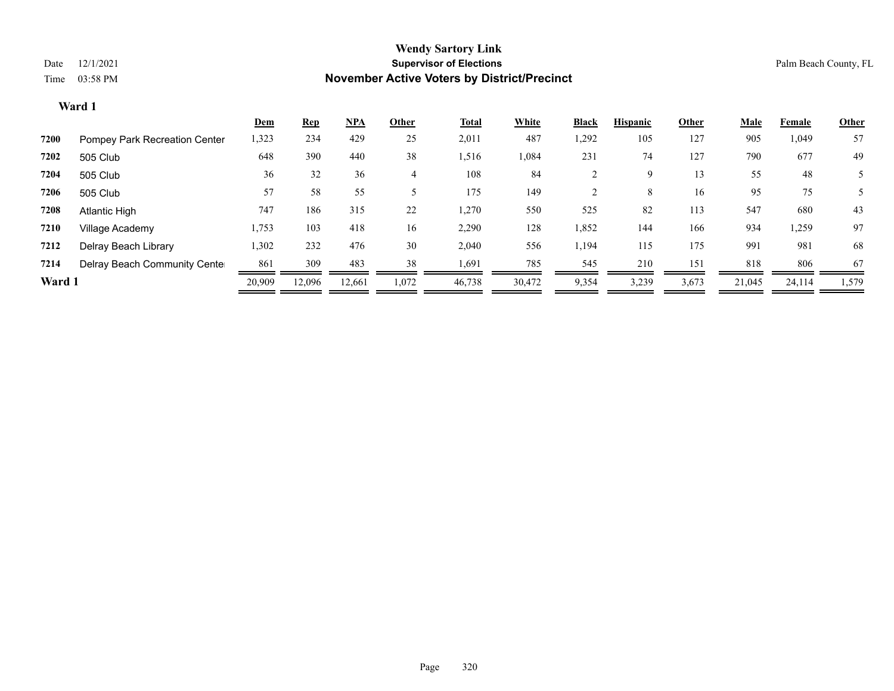|        |                               | Dem    | <b>Rep</b> | <u>NPA</u> | Other | Total  | White  | <b>Black</b> | <b>Hispanic</b> | Other | Male   | Female | <b>Other</b> |
|--------|-------------------------------|--------|------------|------------|-------|--------|--------|--------------|-----------------|-------|--------|--------|--------------|
| 7200   | Pompey Park Recreation Center | 1,323  | 234        | 429        | 25    | 2,011  | 487    | 1,292        | 105             | 127   | 905    | 1,049  | 57           |
| 7202   | 505 Club                      | 648    | 390        | 440        | 38    | 1,516  | 1,084  | 231          | 74              | 127   | 790    | 677    | 49           |
| 7204   | 505 Club                      | 36     | 32         | 36         |       | 108    | 84     |              | 9               | 13    | 55     | 48     |              |
| 7206   | 505 Club                      | 57     | 58         | 55         |       | 175    | 149    |              | 8               | 16    | 95     | 75     | 5            |
| 7208   | Atlantic High                 | 747    | 186        | 315        | 22    | 1,270  | 550    | 525          | 82              | 113   | 547    | 680    | 43           |
| 7210   | Village Academy               | 1,753  | 103        | 418        | 16    | 2,290  | 128    | 1,852        | 144             | 166   | 934    | 1,259  | 97           |
| 7212   | Delray Beach Library          | 1,302  | 232        | 476        | 30    | 2,040  | 556    | 1,194        | 115             | 175   | 991    | 981    | 68           |
| 7214   | Delray Beach Community Cente  | 861    | 309        | 483        | 38    | 1,691  | 785    | 545          | 210             | 151   | 818    | 806    | 67           |
| Ward 1 |                               | 20,909 | 12.096     | 12,661     | 1,072 | 46,738 | 30,472 | 9,354        | 3,239           | 3,673 | 21,045 | 24,114 | 1,579        |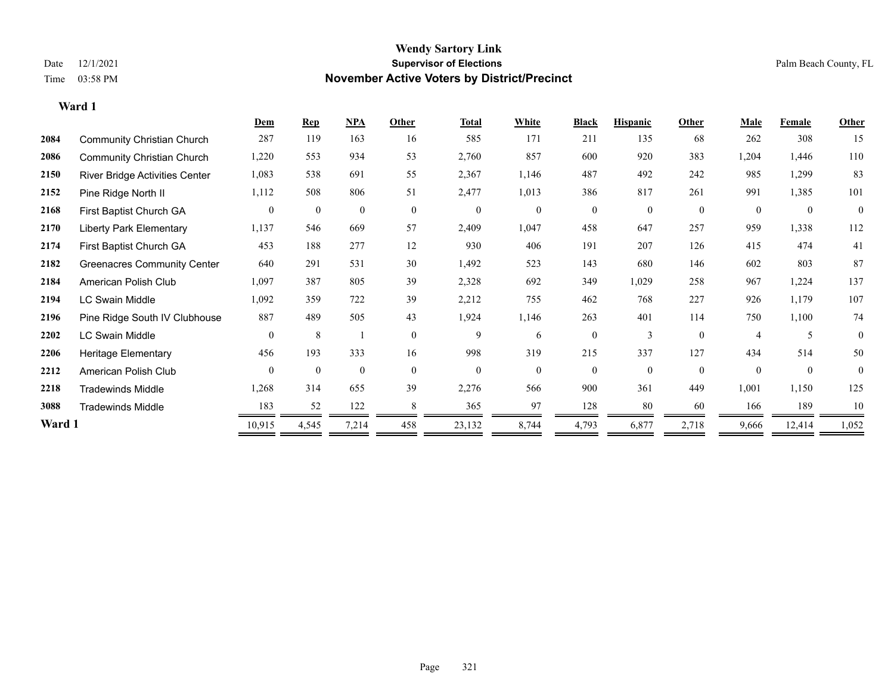|        |                                    | Dem            | <b>Rep</b>       | <b>NPA</b>       | Other          | <b>Total</b>     | White          | <b>Black</b>   | <b>Hispanic</b> | Other            | Male           | Female           | Other        |
|--------|------------------------------------|----------------|------------------|------------------|----------------|------------------|----------------|----------------|-----------------|------------------|----------------|------------------|--------------|
| 2084   | <b>Community Christian Church</b>  | 287            | 119              | 163              | 16             | 585              | 171            | 211            | 135             | 68               | 262            | 308              | 15           |
| 2086   | <b>Community Christian Church</b>  | 1,220          | 553              | 934              | 53             | 2,760            | 857            | 600            | 920             | 383              | 1,204          | 1,446            | 110          |
| 2150   | River Bridge Activities Center     | 1,083          | 538              | 691              | 55             | 2,367            | 1,146          | 487            | 492             | 242              | 985            | 1,299            | 83           |
| 2152   | Pine Ridge North II                | 1,112          | 508              | 806              | 51             | 2,477            | 1,013          | 386            | 817             | 261              | 991            | 1,385            | 101          |
| 2168   | First Baptist Church GA            | $\overline{0}$ | $\boldsymbol{0}$ | $\boldsymbol{0}$ | $\overline{0}$ | $\boldsymbol{0}$ | $\mathbf{0}$   | $\mathbf{0}$   | $\mathbf{0}$    | $\boldsymbol{0}$ | $\theta$       | $\boldsymbol{0}$ | $\mathbf{0}$ |
| 2170   | <b>Liberty Park Elementary</b>     | 1,137          | 546              | 669              | 57             | 2,409            | 1,047          | 458            | 647             | 257              | 959            | 1,338            | 112          |
| 2174   | First Baptist Church GA            | 453            | 188              | 277              | 12             | 930              | 406            | 191            | 207             | 126              | 415            | 474              | 41           |
| 2182   | <b>Greenacres Community Center</b> | 640            | 291              | 531              | 30             | 1,492            | 523            | 143            | 680             | 146              | 602            | 803              | 87           |
| 2184   | American Polish Club               | 1,097          | 387              | 805              | 39             | 2,328            | 692            | 349            | 1,029           | 258              | 967            | 1,224            | 137          |
| 2194   | <b>LC Swain Middle</b>             | 1,092          | 359              | 722              | 39             | 2,212            | 755            | 462            | 768             | 227              | 926            | 1,179            | 107          |
| 2196   | Pine Ridge South IV Clubhouse      | 887            | 489              | 505              | 43             | 1,924            | 1,146          | 263            | 401             | 114              | 750            | 1,100            | 74           |
| 2202   | <b>LC Swain Middle</b>             | $\theta$       | 8                |                  | $\theta$       | 9                | 6              | $\mathbf{0}$   | $\mathbf{3}$    | $\theta$         | $\overline{A}$ |                  | $\Omega$     |
| 2206   | Heritage Elementary                | 456            | 193              | 333              | 16             | 998              | 319            | 215            | 337             | 127              | 434            | 514              | 50           |
| 2212   | American Polish Club               | $\theta$       | $\mathbf{0}$     | $\overline{0}$   | $\overline{0}$ | $\boldsymbol{0}$ | $\overline{0}$ | $\overline{0}$ | $\overline{0}$  | $\mathbf{0}$     | $\theta$       | $\mathbf{0}$     | $\theta$     |
| 2218   | <b>Tradewinds Middle</b>           | 1,268          | 314              | 655              | 39             | 2,276            | 566            | 900            | 361             | 449              | 1,001          | 1,150            | 125          |
| 3088   | <b>Tradewinds Middle</b>           | 183            | 52               | 122              | 8              | 365              | 97             | 128            | 80              | 60               | 166            | 189              | 10           |
| Ward 1 |                                    | 10,915         | 4,545            | 7,214            | 458            | 23,132           | 8,744          | 4,793          | 6,877           | 2,718            | 9,666          | 12,414           | 1,052        |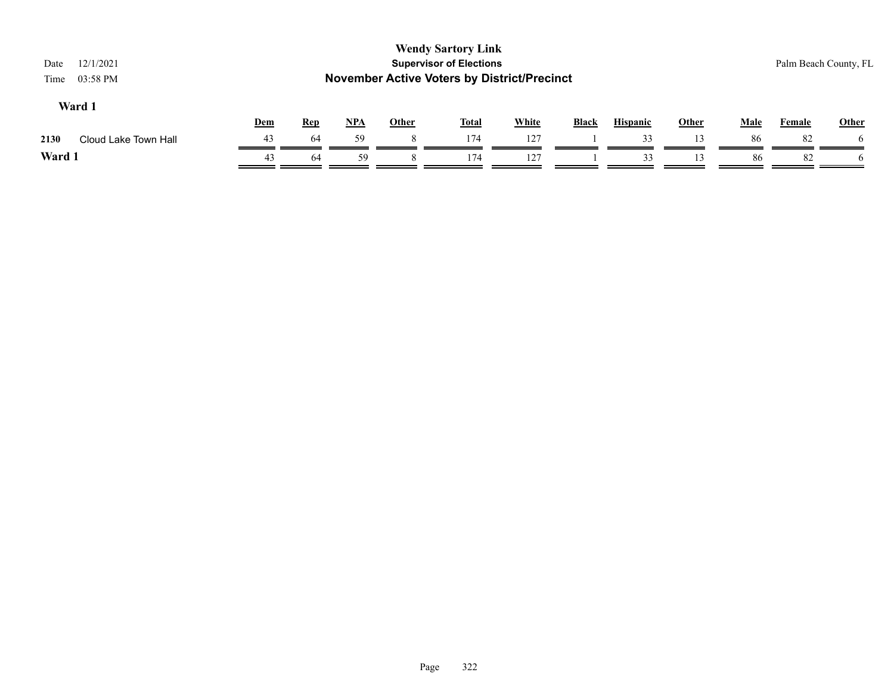| <b>Wendy Sartory Link</b><br><b>Supervisor of Elections</b><br>12/1/2021<br>Date<br><b>November Active Voters by District/Precinct</b><br>03:58 PM<br>Time |     |            |       |              |              |              |              |                 |              |             | Palm Beach County, FL |       |  |
|------------------------------------------------------------------------------------------------------------------------------------------------------------|-----|------------|-------|--------------|--------------|--------------|--------------|-----------------|--------------|-------------|-----------------------|-------|--|
| Ward 1                                                                                                                                                     | Dem | <b>Rep</b> | $NPA$ | <b>Other</b> | <b>Total</b> | <b>White</b> | <b>Black</b> | <b>Hispanic</b> | <b>Other</b> | <b>Male</b> | <b>Female</b>         | Other |  |
| Cloud Lake Town Hall<br>2130                                                                                                                               | 43  | 64         | 59    | 8            | 174          | 127          |              | 33              | 13           | 86          | 82                    |       |  |
| Ward 1                                                                                                                                                     | 43  | 64         | 59    |              | 174          | 127          |              | 33              | 13           | 86          | 82                    |       |  |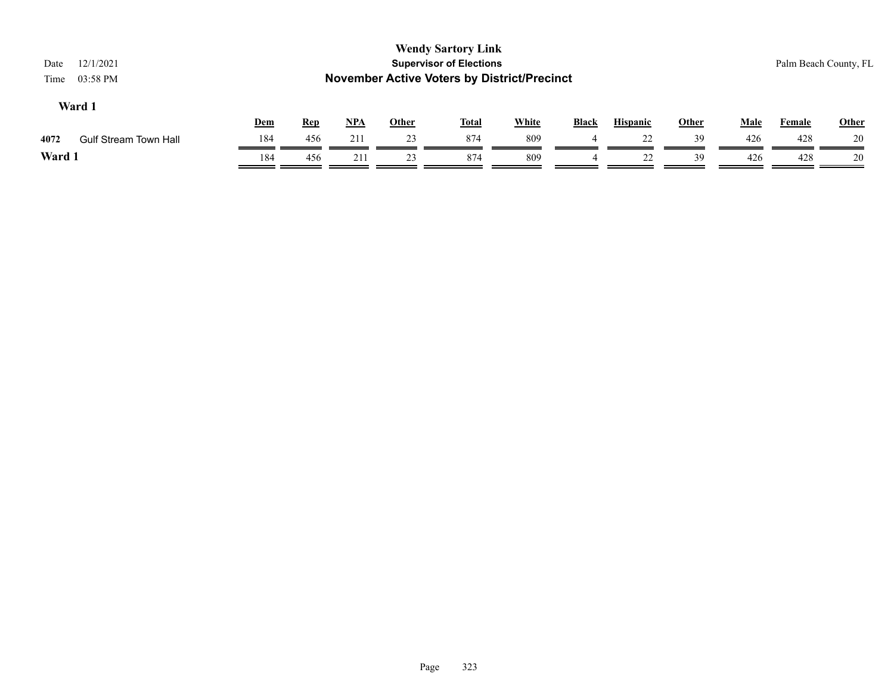| <b>Wendy Sartory Link</b><br><b>Supervisor of Elections</b><br>12/1/2021<br>Date<br><b>November Active Voters by District/Precinct</b><br>03:58 PM<br>Time |     |            |            |              |              |              |              |                 |              | Palm Beach County, FL |        |              |
|------------------------------------------------------------------------------------------------------------------------------------------------------------|-----|------------|------------|--------------|--------------|--------------|--------------|-----------------|--------------|-----------------------|--------|--------------|
| Ward 1                                                                                                                                                     | Dem | <b>Rep</b> | <u>NPA</u> | <b>Other</b> | <u>Total</u> | <b>White</b> | <b>Black</b> | <b>Hispanic</b> | <b>Other</b> | Male                  | Female | <b>Other</b> |
| 4072<br><b>Gulf Stream Town Hall</b>                                                                                                                       | 184 | 456        | 211        | 23           | 874          | 809          | 4            | 22              | 39           | 426                   | 428    | 20           |
| Ward 1                                                                                                                                                     | 184 | 456        | 211        | 23           | 874          | 809          | 4            | 22              | 39           | 426                   | 428    | 20           |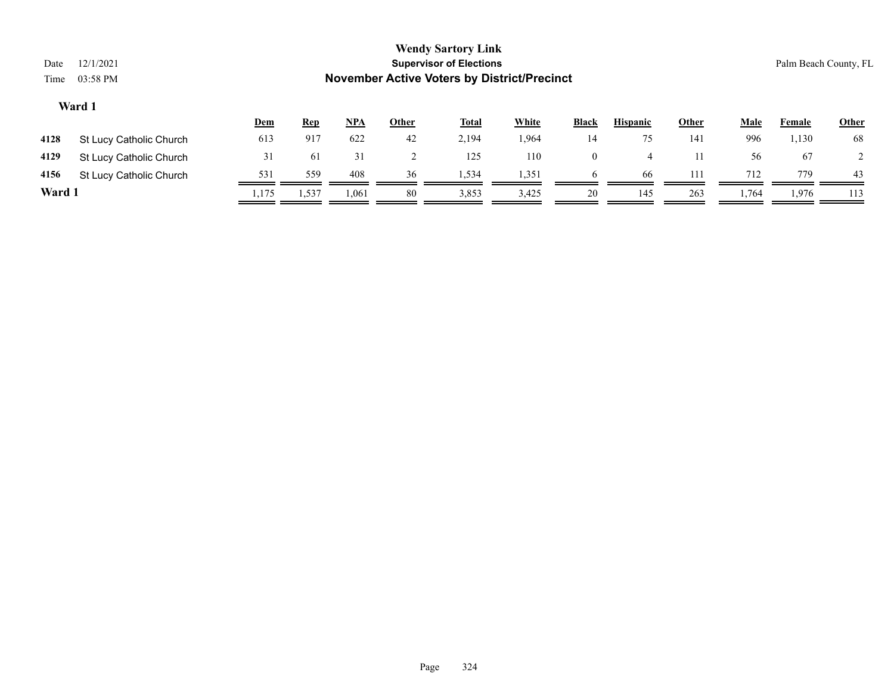| Date<br>Time | <b>Wendy Sartory Link</b><br><b>Supervisor of Elections</b><br>12/1/2021<br><b>November Active Voters by District/Precinct</b><br>03:58 PM |            |            |       |              |              |              |                |                 |              |       | Palm Beach County, FL |              |  |  |
|--------------|--------------------------------------------------------------------------------------------------------------------------------------------|------------|------------|-------|--------------|--------------|--------------|----------------|-----------------|--------------|-------|-----------------------|--------------|--|--|
|              | Ward 1                                                                                                                                     | <b>Dem</b> | <b>Rep</b> | NPA   | <b>Other</b> | <b>Total</b> | <b>White</b> | <b>Black</b>   | <b>Hispanic</b> | <b>Other</b> | Male  | Female                | <b>Other</b> |  |  |
| 4128         | St Lucy Catholic Church                                                                                                                    | 613        | 917        | 622   | 42           | 2,194        | 1,964        | 14             | 75              | 141          | 996   | 1,130                 | 68           |  |  |
| 4129         | St Lucy Catholic Church                                                                                                                    | 31         | 61         | 31    |              | 125          | 110          | $\overline{0}$ | $\overline{4}$  | 11           | 56    | 67                    |              |  |  |
| 4156         | St Lucy Catholic Church                                                                                                                    | 531        | 559        | 408   | 36           | 1,534        | 1,351        | 6              | 66              | 111          | 712   | 779                   | 43           |  |  |
| Ward 1       |                                                                                                                                            | 1,175      | 1,537      | 1,061 | 80           | 3,853        | 3,425        | 20             | 145             | 263          | 1,764 | 1,976                 | 113          |  |  |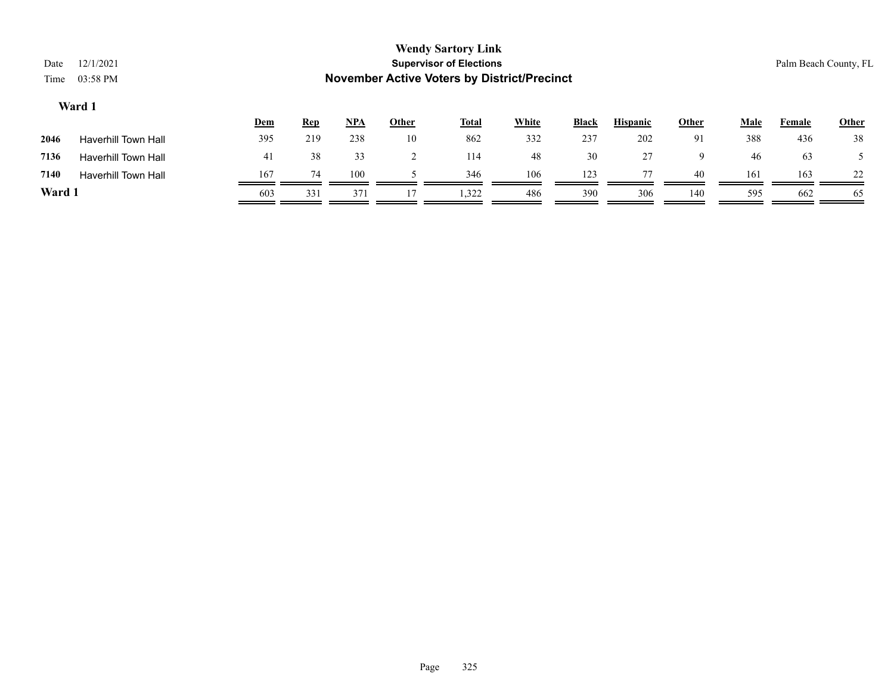| Date<br>Time | 12/1/2021<br>03:58 PM                                        |     |            |            |              | <b>Wendy Sartory Link</b><br><b>Supervisor of Elections</b> |              |              |                 |              |             | Palm Beach County, FL |              |  |
|--------------|--------------------------------------------------------------|-----|------------|------------|--------------|-------------------------------------------------------------|--------------|--------------|-----------------|--------------|-------------|-----------------------|--------------|--|
|              | <b>November Active Voters by District/Precinct</b><br>Ward 1 |     |            |            |              |                                                             |              |              |                 |              |             |                       |              |  |
|              |                                                              | Dem | <b>Rep</b> | <u>NPA</u> | <b>Other</b> | <b>Total</b>                                                | <b>White</b> | <b>Black</b> | <b>Hispanic</b> | <b>Other</b> | <b>Male</b> | Female                | <b>Other</b> |  |
| 2046         | <b>Haverhill Town Hall</b>                                   | 395 | 219        | 238        | 10           | 862                                                         | 332          | 237          | 202             | 91           | 388         | 436                   | 38           |  |
| 7136         | <b>Haverhill Town Hall</b>                                   | 41  | 38         | 33         |              | 114                                                         | 48           | 30           | 27              | 9            | 46          | 63                    |              |  |
| 7140         | <b>Haverhill Town Hall</b>                                   | 167 | 74         | 100        |              | 346                                                         | 106          | 123          | 77              | 40           | 161         | 163                   | 22           |  |
| Ward 1       |                                                              | 603 | 331        | 371        |              | 1.322                                                       | 486          | 390          | 306             | 140          | 595         | 662                   | 65           |  |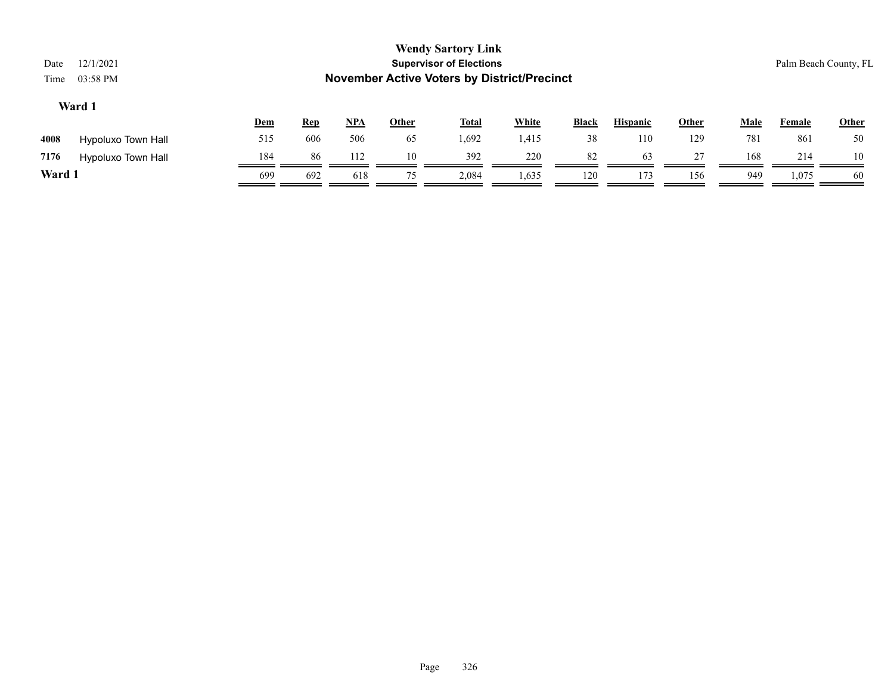| Date<br>Time                                                                                                                                                            | 12/1/2021<br>03:58 PM |     |     |     |    | <b>Wendy Sartory Link</b><br><b>Supervisor of Elections</b><br><b>November Active Voters by District/Precinct</b> |       |     |     |     |     | Palm Beach County, FL |       |
|-------------------------------------------------------------------------------------------------------------------------------------------------------------------------|-----------------------|-----|-----|-----|----|-------------------------------------------------------------------------------------------------------------------|-------|-----|-----|-----|-----|-----------------------|-------|
| Ward 1<br>$NPA$<br><b>White</b><br><b>Hispanic</b><br><b>Other</b><br><b>Black</b><br>Other<br><b>Male</b><br><b>Total</b><br><b>Rep</b><br><u>Dem</u><br><b>Female</b> |                       |     |     |     |    |                                                                                                                   |       |     |     |     |     |                       | Other |
| 4008                                                                                                                                                                    | Hypoluxo Town Hall    | 515 | 606 | 506 | 65 | 1,692                                                                                                             | 1,415 | 38  | 110 | 129 | 781 | 861                   | 50    |
| 7176                                                                                                                                                                    | Hypoluxo Town Hall    | 184 | 86  | 112 | 10 | 392                                                                                                               | 220   | 82  | 63  | 27  | 168 | 214                   | 10    |
| Ward 1                                                                                                                                                                  |                       | 699 | 692 | 618 | 75 | 2,084                                                                                                             | 1,635 | 120 | 173 | 156 | 949 | 1,075                 | -60   |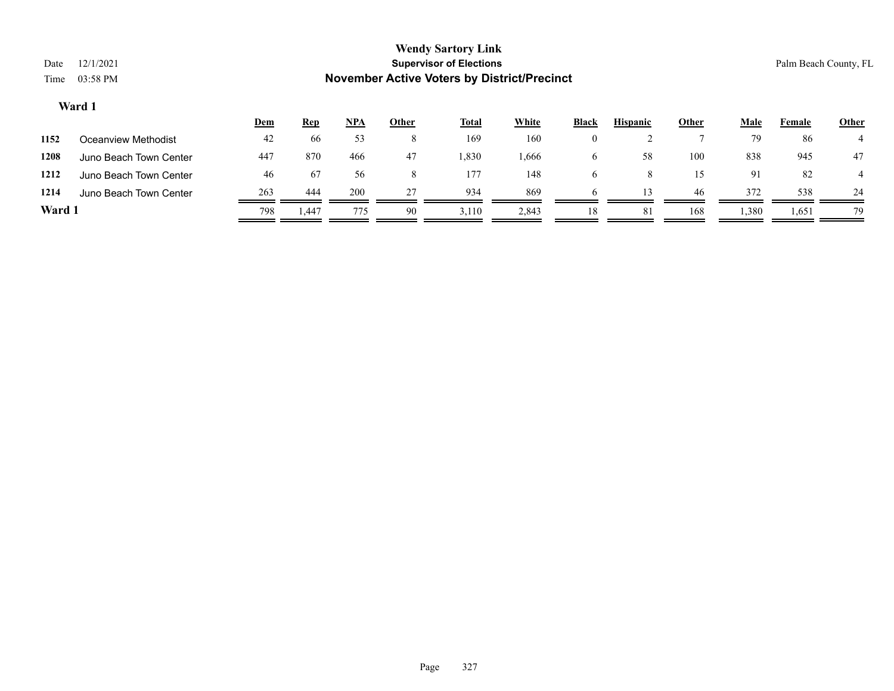| Date<br>Time | 12/1/2021<br>03:58 PM  |     |            |     |              | <b>Wendy Sartory Link</b><br><b>Supervisor of Elections</b><br><b>November Active Voters by District/Precinct</b> |              |              |                 |              |      | Palm Beach County, FL |       |
|--------------|------------------------|-----|------------|-----|--------------|-------------------------------------------------------------------------------------------------------------------|--------------|--------------|-----------------|--------------|------|-----------------------|-------|
|              | Ward 1                 |     |            |     |              |                                                                                                                   |              |              |                 |              |      |                       |       |
|              |                        | Dem | <u>Rep</u> | NPA | <u>Other</u> | <b>Total</b>                                                                                                      | <b>White</b> | <b>Black</b> | <b>Hispanic</b> | <b>Other</b> | Male | Female                | Other |
| 1152         | Oceanview Methodist    | 42  | 66         | 53  | 8            | 169                                                                                                               | 160          | $\bf{0}$     |                 |              | 79   | 86                    |       |
| 1208         | Juno Beach Town Center | 447 | 870        | 466 | 47           | .330                                                                                                              | 1,666        | $\sigma$     | 58              | 100          | 838  | 945                   | 47    |

۰

 $\equiv$ 

| Ward 1  |                               | 798 | 1.447           | 775                     | -90 | 3,110  | 2.843  |        |               | 168           | 1,380         | 1,651 | 79 |
|---------|-------------------------------|-----|-----------------|-------------------------|-----|--------|--------|--------|---------------|---------------|---------------|-------|----|
| 1214    | Juno Beach Town Center        | 263 | 444             | 200                     |     | 934    | 869    |        |               | 46            |               | 538   | 24 |
| 1212    | Juno Beach Town Center        | 46  | b/              |                         |     | 177    | 148    |        |               |               |               | 82    |    |
| $- - -$ | <u>ouno Douon Town Oonton</u> | .   | $\sim$ , $\sim$ | $\cdot\, \cdot\, \cdot$ | .   | $\sim$ | $   -$ | $\sim$ | $\sim$ $\sim$ | $\sim$ $\sim$ | $\sim$ $\sim$ | .     | .  |

-

-

Page 327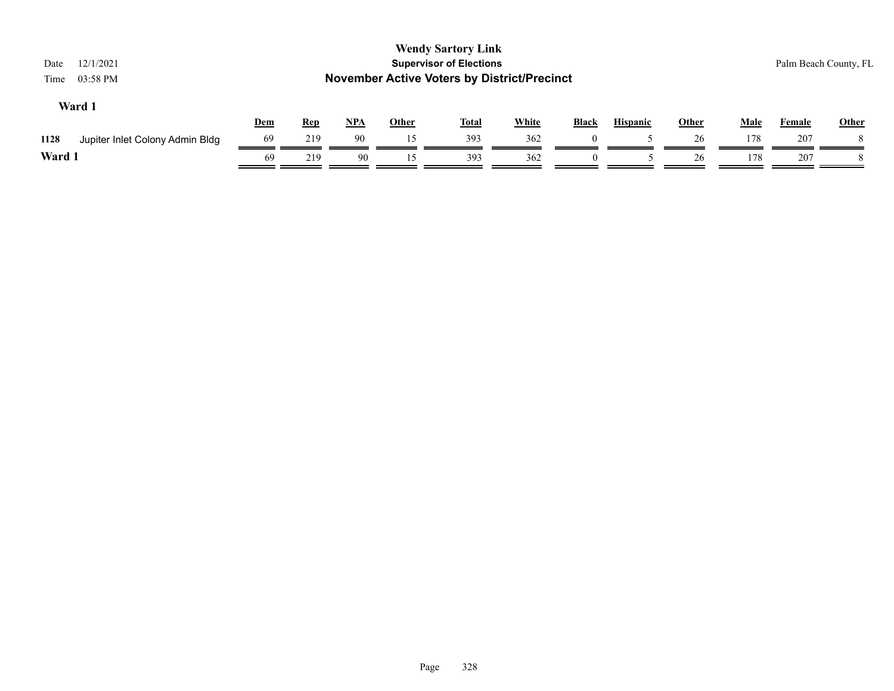| 12/1/2021<br>Date<br>03:58 PM<br>Time   |            |            |            |              | <b>Wendy Sartory Link</b><br><b>Supervisor of Elections</b><br><b>November Active Voters by District/Precinct</b> |              |          |                 |       |             | Palm Beach County, FL |              |
|-----------------------------------------|------------|------------|------------|--------------|-------------------------------------------------------------------------------------------------------------------|--------------|----------|-----------------|-------|-------------|-----------------------|--------------|
| Ward 1                                  | <b>Dem</b> | <u>Rep</u> | <u>NPA</u> | <b>Other</b> | <b>Total</b>                                                                                                      | <b>White</b> | Black    | <b>Hispanic</b> | Other | <b>Male</b> | <b>Female</b>         | <b>Other</b> |
| Jupiter Inlet Colony Admin Bldg<br>1128 | 69         | 219        | 90         | 15           | 393                                                                                                               | 362          | $\left($ |                 | 26    | 178         | 207                   |              |
| Ward 1                                  | 69         | 219        | 90         | 15           | 393                                                                                                               | 362          | $\theta$ |                 | 26    | 178         | 207                   |              |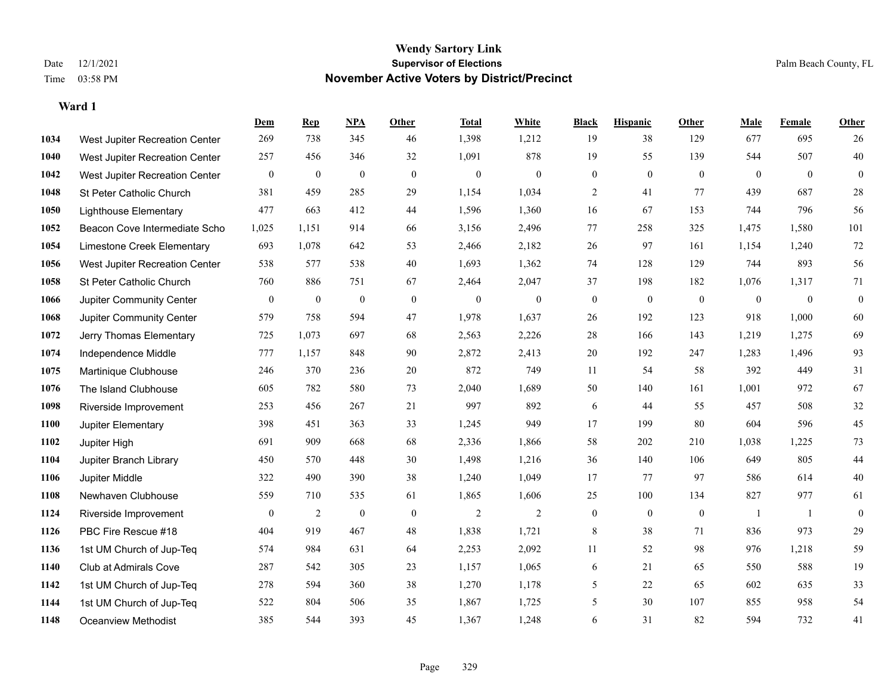|      |                                | Dem              | <b>Rep</b>       | NPA              | <b>Other</b>   | <b>Total</b>     | White            | <b>Black</b>     | <b>Hispanic</b> | <b>Other</b>   | <b>Male</b>    | Female         | <b>Other</b>     |
|------|--------------------------------|------------------|------------------|------------------|----------------|------------------|------------------|------------------|-----------------|----------------|----------------|----------------|------------------|
| 1034 | West Jupiter Recreation Center | 269              | 738              | 345              | 46             | 1,398            | 1,212            | 19               | 38              | 129            | 677            | 695            | 26               |
| 1040 | West Jupiter Recreation Center | 257              | 456              | 346              | 32             | 1,091            | 878              | 19               | 55              | 139            | 544            | 507            | 40               |
| 1042 | West Jupiter Recreation Center | $\mathbf{0}$     | $\boldsymbol{0}$ | $\boldsymbol{0}$ | $\overline{0}$ | $\boldsymbol{0}$ | $\boldsymbol{0}$ | $\boldsymbol{0}$ | $\mathbf{0}$    | $\overline{0}$ | $\overline{0}$ | $\overline{0}$ | $\boldsymbol{0}$ |
| 1048 | St Peter Catholic Church       | 381              | 459              | 285              | 29             | 1,154            | 1,034            | 2                | 41              | 77             | 439            | 687            | $28\,$           |
| 1050 | <b>Lighthouse Elementary</b>   | 477              | 663              | 412              | 44             | 1,596            | 1,360            | 16               | 67              | 153            | 744            | 796            | 56               |
| 1052 | Beacon Cove Intermediate Scho  | 1,025            | 1,151            | 914              | 66             | 3,156            | 2,496            | 77               | 258             | 325            | 1,475          | 1,580          | 101              |
| 1054 | Limestone Creek Elementary     | 693              | 1,078            | 642              | 53             | 2,466            | 2,182            | 26               | 97              | 161            | 1,154          | 1,240          | 72               |
| 1056 | West Jupiter Recreation Center | 538              | 577              | 538              | 40             | 1,693            | 1,362            | 74               | 128             | 129            | 744            | 893            | 56               |
| 1058 | St Peter Catholic Church       | 760              | 886              | 751              | 67             | 2,464            | 2,047            | 37               | 198             | 182            | 1,076          | 1,317          | 71               |
| 1066 | Jupiter Community Center       | $\bf{0}$         | $\bf{0}$         | $\mathbf{0}$     | $\mathbf{0}$   | $\theta$         | $\boldsymbol{0}$ | $\boldsymbol{0}$ | $\mathbf{0}$    | $\mathbf{0}$   | $\mathbf{0}$   | $\mathbf{0}$   | $\boldsymbol{0}$ |
| 1068 | Jupiter Community Center       | 579              | 758              | 594              | 47             | 1,978            | 1,637            | 26               | 192             | 123            | 918            | 1,000          | 60               |
| 1072 | Jerry Thomas Elementary        | 725              | 1,073            | 697              | 68             | 2,563            | 2,226            | 28               | 166             | 143            | 1,219          | 1,275          | 69               |
| 1074 | Independence Middle            | 777              | 1,157            | 848              | 90             | 2,872            | 2,413            | 20               | 192             | 247            | 1,283          | 1,496          | 93               |
| 1075 | Martinique Clubhouse           | 246              | 370              | 236              | $20\,$         | 872              | 749              | 11               | 54              | 58             | 392            | 449            | 31               |
| 1076 | The Island Clubhouse           | 605              | 782              | 580              | 73             | 2,040            | 1,689            | 50               | 140             | 161            | 1,001          | 972            | 67               |
| 1098 | Riverside Improvement          | 253              | 456              | 267              | 21             | 997              | 892              | 6                | 44              | 55             | 457            | 508            | $32\,$           |
| 1100 | Jupiter Elementary             | 398              | 451              | 363              | 33             | 1,245            | 949              | 17               | 199             | 80             | 604            | 596            | 45               |
| 1102 | Jupiter High                   | 691              | 909              | 668              | 68             | 2,336            | 1,866            | 58               | 202             | 210            | 1,038          | 1,225          | 73               |
| 1104 | Jupiter Branch Library         | 450              | 570              | 448              | 30             | 1,498            | 1,216            | 36               | 140             | 106            | 649            | 805            | $44\,$           |
| 1106 | Jupiter Middle                 | 322              | 490              | 390              | 38             | 1,240            | 1,049            | 17               | 77              | 97             | 586            | 614            | $40\,$           |
| 1108 | Newhaven Clubhouse             | 559              | 710              | 535              | 61             | 1,865            | 1,606            | 25               | 100             | 134            | 827            | 977            | 61               |
| 1124 | Riverside Improvement          | $\boldsymbol{0}$ | $\overline{2}$   | $\boldsymbol{0}$ | $\mathbf{0}$   | $\sqrt{2}$       | $\mathbf{2}$     | $\boldsymbol{0}$ | $\mathbf{0}$    | $\mathbf{0}$   | -1             | -1             | $\mathbf{0}$     |
| 1126 | PBC Fire Rescue #18            | 404              | 919              | 467              | 48             | 1,838            | 1,721            | 8                | 38              | 71             | 836            | 973            | $29\,$           |
| 1136 | 1st UM Church of Jup-Teq       | 574              | 984              | 631              | 64             | 2,253            | 2,092            | 11               | 52              | 98             | 976            | 1,218          | 59               |
| 1140 | Club at Admirals Cove          | 287              | 542              | 305              | 23             | 1,157            | 1,065            | 6                | 21              | 65             | 550            | 588            | 19               |
| 1142 | 1st UM Church of Jup-Teq       | 278              | 594              | 360              | 38             | 1,270            | 1,178            | 5                | 22              | 65             | 602            | 635            | 33               |
| 1144 | 1st UM Church of Jup-Teq       | 522              | 804              | 506              | 35             | 1,867            | 1,725            | 5                | 30              | 107            | 855            | 958            | 54               |
| 1148 | Oceanview Methodist            | 385              | 544              | 393              | 45             | 1,367            | 1,248            | 6                | 31              | 82             | 594            | 732            | 41               |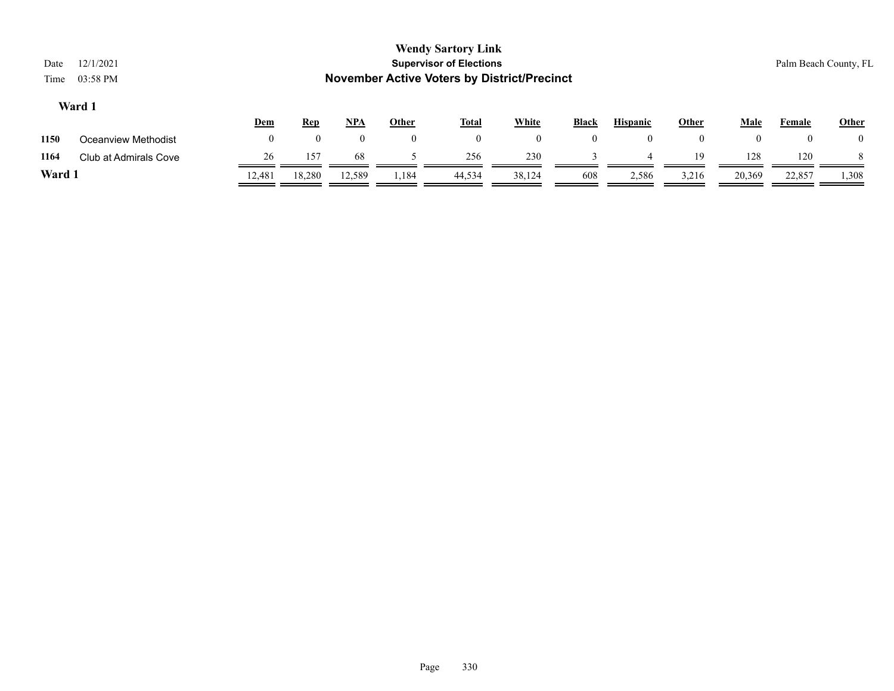| Date   | 12/1/2021             |              |            |          |              | <b>Wendy Sartory Link</b><br><b>Supervisor of Elections</b> |                |              |                 |              |              | Palm Beach County, FL |                |
|--------|-----------------------|--------------|------------|----------|--------------|-------------------------------------------------------------|----------------|--------------|-----------------|--------------|--------------|-----------------------|----------------|
| Time   | 03:58 PM              |              |            |          |              | <b>November Active Voters by District/Precinct</b>          |                |              |                 |              |              |                       |                |
|        | Ward 1                |              |            |          |              |                                                             |                |              |                 |              |              |                       |                |
|        |                       | <b>Dem</b>   | <u>Rep</u> | NPA      | <b>Other</b> | <b>Total</b>                                                | <b>White</b>   | <b>Black</b> | <b>Hispanic</b> | <b>Other</b> | <b>Male</b>  | <b>Female</b>         | Other          |
| 1150   | Oceanview Methodist   | $\mathbf{0}$ | $\theta$   | $\theta$ | $\mathbf{0}$ | $\mathbf{0}$                                                | $\overline{0}$ | $\theta$     | $\theta$        | $\mathbf{0}$ | $\mathbf{0}$ |                       | $\overline{0}$ |
| 1164   | Club at Admirals Cove | 26           | 157        | -68      |              | 256                                                         | 230            |              | $\overline{4}$  | 19           | 128          | 120                   | 8              |
| Ward 1 |                       | 12,481       | 18,280     | 12,589   | 1,184        | 44,534                                                      | 38,124         | 608          | 2,586           | 3,216        | 20,369       | 22,857                | 1,308          |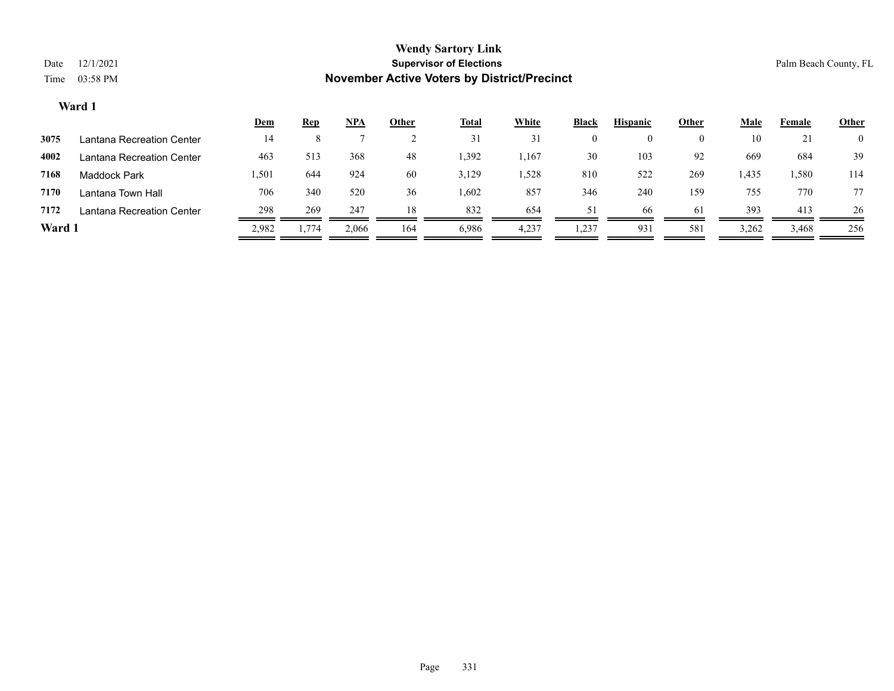|        |                           | <u>Dem</u> | <u>Rep</u> | NPA   | Other | <u>Total</u> | White | <b>Black</b> | <b>Hispanic</b> | Other | Male  | Female | <b>Other</b> |
|--------|---------------------------|------------|------------|-------|-------|--------------|-------|--------------|-----------------|-------|-------|--------|--------------|
| 3075   | Lantana Recreation Center | 14         |            |       |       | 31           | 31    | $^{(1)}$     | $\theta$        |       | 10    | 21     |              |
| 4002   | Lantana Recreation Center | 463        | 513        | 368   | 48    | 1,392        | .,167 | 30           | 103             | 92    | 669   | 684    | 39           |
| 7168   | Maddock Park              | 1,501      | 644        | 924   | 60    | 3,129        | . 528 | 810          | 522             | 269   | 1,435 | 1,580  | 114          |
| 7170   | Lantana Town Hall         | 706        | 340        | 520   | 36    | 1,602        | 857   | 346          | 240             | 159   | 755   | 770    | 77           |
| 7172   | Lantana Recreation Center | 298        | 269        | 247   | 18    | 832          | 654   | 51           | 66              | 61    | 393   | 413    | 26           |
| Ward 1 |                           | 2,982      | 1,774      | 2,066 | 164   | 6,986        | 4,237 | 1,237        | 93              | 581   | 3,262 | 3,468  | 256          |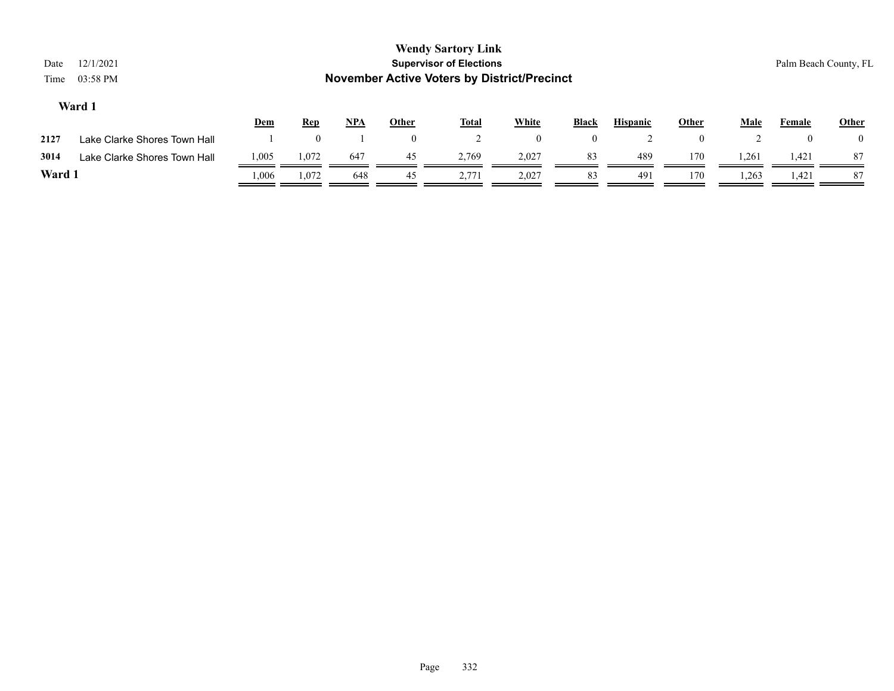| Date<br>Time | 12/1/2021<br>03:58 PM        |       |            |            |              | <b>Wendy Sartory Link</b><br><b>Supervisor of Elections</b><br><b>November Active Voters by District/Precinct</b> |                |                |                 |              |             | Palm Beach County, FL |                |
|--------------|------------------------------|-------|------------|------------|--------------|-------------------------------------------------------------------------------------------------------------------|----------------|----------------|-----------------|--------------|-------------|-----------------------|----------------|
|              | Ward 1                       | Dem   | <u>Rep</u> | <u>NPA</u> | Other        | <b>Total</b>                                                                                                      | <b>White</b>   | <b>Black</b>   | <b>Hispanic</b> | <b>Other</b> | <b>Male</b> | Female                | <b>Other</b>   |
| 2127         | Lake Clarke Shores Town Hall |       |            |            | $\mathbf{0}$ |                                                                                                                   | $\overline{0}$ | $\overline{0}$ |                 | $\theta$     |             | $\theta$              | $\overline{0}$ |
| 3014         | Lake Clarke Shores Town Hall | 1,005 | 1,072      | 647        | 45           | 2.769                                                                                                             | 2,027          | 83             | 489             | 170          | 1,261       | 1,421                 | 87             |
| Ward 1       |                              | 006   | 1,072      | 648        | 45           | 2,771                                                                                                             | 2,027          | 83             | 491             | 170          | 1,263       | 1,421                 | 87             |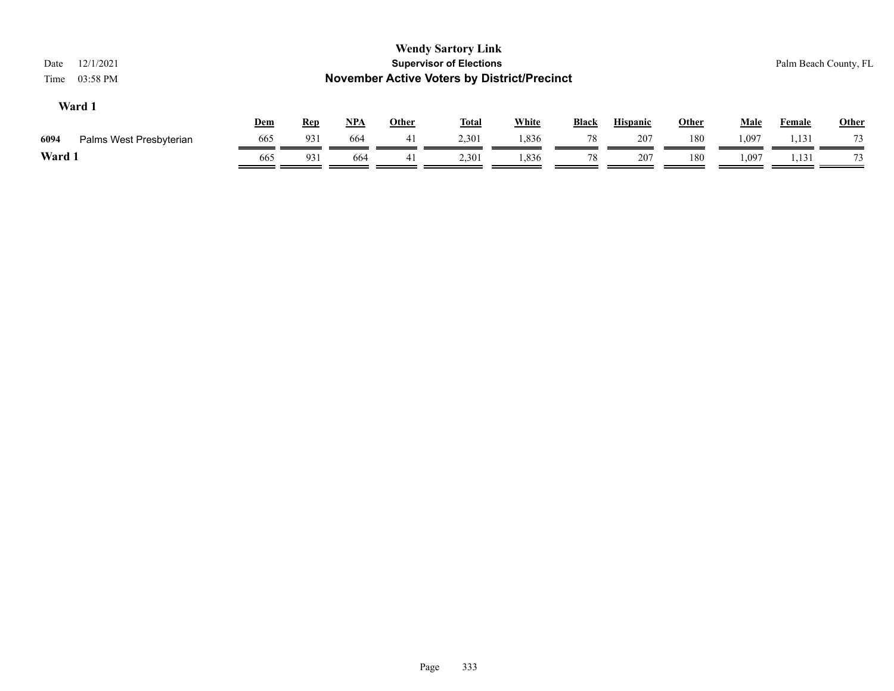| 12/1/2021<br>Date<br>03:58 PM<br>Time |     |            |            |              | <b>Wendy Sartory Link</b><br><b>Supervisor of Elections</b><br><b>November Active Voters by District/Precinct</b> |              |       |                 |              |             |               | Palm Beach County, FL |
|---------------------------------------|-----|------------|------------|--------------|-------------------------------------------------------------------------------------------------------------------|--------------|-------|-----------------|--------------|-------------|---------------|-----------------------|
| Ward 1                                | Dem | <b>Rep</b> | <u>NPA</u> | <b>Other</b> | <u>Total</u>                                                                                                      | <b>White</b> | Black | <b>Hispanic</b> | <b>Other</b> | <b>Male</b> | <b>Female</b> | <b>Other</b>          |
| 6094<br>Palms West Presbyterian       | 665 | 931        | 664        | 41           | 2,301                                                                                                             | 1,836        | 78    | 207             | 180          | 1,097       | 1,131         | 73                    |
| Ward 1                                | 665 | 931        | 664        | 41           | 2,301                                                                                                             | 1,836        | 78    | 207             | 180          | 1,097       | 1,131         | 73                    |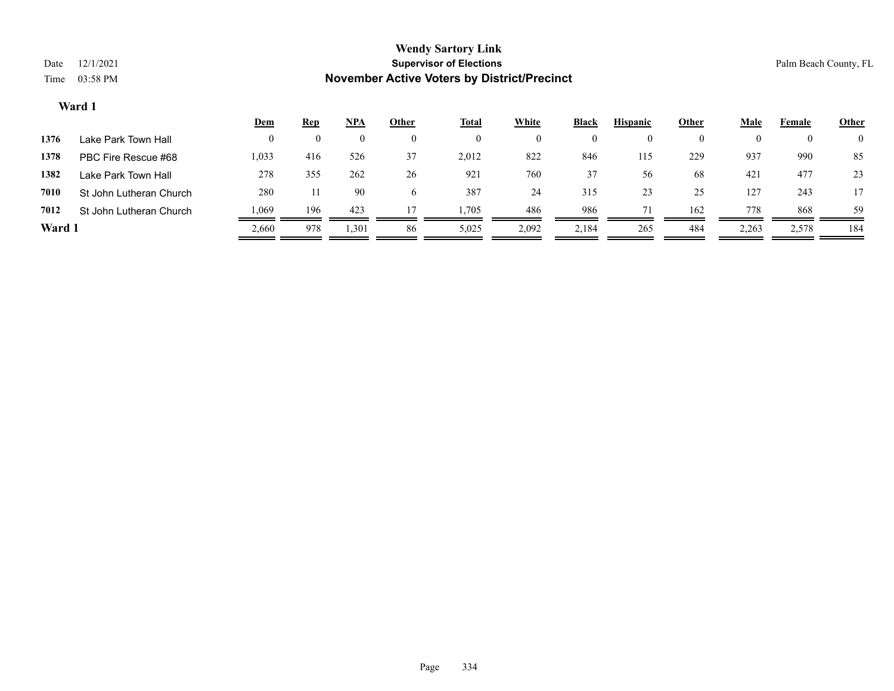|        |                         | <u>Dem</u> | <b>Rep</b> | <u>NPA</u> | Other        | <u>Total</u> | <b>White</b> | <b>Black</b>       | <b>Hispanic</b> | Other | Male  | Female   | <b>Other</b>   |
|--------|-------------------------|------------|------------|------------|--------------|--------------|--------------|--------------------|-----------------|-------|-------|----------|----------------|
| 1376   | Lake Park Town Hall     | $\theta$   | $\theta$   | $\theta$   | $_{0}$       | $\bf{0}$     |              | $\left( 0 \right)$ | $\theta$        |       |       | $\theta$ | $\overline{0}$ |
| 1378   | PBC Fire Rescue #68     | 1,033      | 416        | 526        | 37           | 2,012        | 822          | 846                | 115             | 229   | 937   | 990      | 85             |
| 1382   | Lake Park Town Hall     | 278        | 355        | 262        | 26           | 921          | 760          | 37                 | 56              | 68    | 421   | 477      | 23             |
| 7010   | St John Lutheran Church | 280        |            | 90         | <sub>(</sub> | 387          | 24           | 315                | 23              | 25    | 127   | 243      |                |
| 7012   | St John Lutheran Church | .069       | 196        | 423        | 17           | 1,705        | 486          | 986                |                 | 162   | 778   | 868      | 59             |
| Ward 1 |                         | 2,660      | 978        | 1,301      | 86           | 5,025        | 2,092        | 2,184              | 265             | 484   | 2,263 | 2,578    | 184            |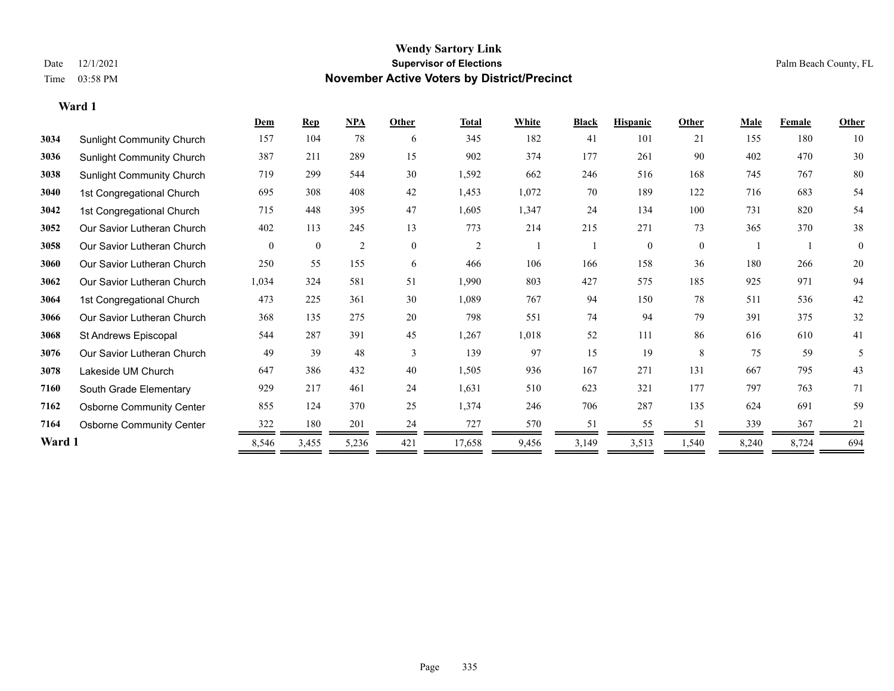**Ward 1**

#### **Wendy Sartory Link** Date 12/1/2021 **Supervisor of Elections** Palm Beach County, FL Time 03:58 PM **November Active Voters by District/Precinct**

|        |                                  | Dem          | Rep          | NPA   | Other    | <b>Total</b>   | White | <b>Black</b> | <b>Hispanic</b> | Other        | <b>Male</b> | Female | Other        |
|--------|----------------------------------|--------------|--------------|-------|----------|----------------|-------|--------------|-----------------|--------------|-------------|--------|--------------|
| 3034   | <b>Sunlight Community Church</b> | 157          | 104          | 78    | 6        | 345            | 182   | 41           | 101             | 21           | 155         | 180    | 10           |
| 3036   | <b>Sunlight Community Church</b> | 387          | 211          | 289   | 15       | 902            | 374   | 177          | 261             | 90           | 402         | 470    | $30\,$       |
| 3038   | <b>Sunlight Community Church</b> | 719          | 299          | 544   | 30       | 1,592          | 662   | 246          | 516             | 168          | 745         | 767    | 80           |
| 3040   | 1st Congregational Church        | 695          | 308          | 408   | 42       | 1,453          | 1,072 | 70           | 189             | 122          | 716         | 683    | 54           |
| 3042   | 1st Congregational Church        | 715          | 448          | 395   | 47       | 1,605          | 1,347 | 24           | 134             | 100          | 731         | 820    | 54           |
| 3052   | Our Savior Lutheran Church       | 402          | 113          | 245   | 13       | 773            | 214   | 215          | 271             | 73           | 365         | 370    | 38           |
| 3058   | Our Savior Lutheran Church       | $\mathbf{0}$ | $\mathbf{0}$ | 2     | $\theta$ | $\overline{2}$ |       |              | $\mathbf{0}$    | $\mathbf{0}$ |             |        | $\mathbf{0}$ |
| 3060   | Our Savior Lutheran Church       | 250          | 55           | 155   | 6        | 466            | 106   | 166          | 158             | 36           | 180         | 266    | 20           |
| 3062   | Our Savior Lutheran Church       | 1,034        | 324          | 581   | 51       | 1,990          | 803   | 427          | 575             | 185          | 925         | 971    | 94           |
| 3064   | 1st Congregational Church        | 473          | 225          | 361   | 30       | 1,089          | 767   | 94           | 150             | 78           | 511         | 536    | 42           |
| 3066   | Our Savior Lutheran Church       | 368          | 135          | 275   | 20       | 798            | 551   | 74           | 94              | 79           | 391         | 375    | 32           |
| 3068   | St Andrews Episcopal             | 544          | 287          | 391   | 45       | 1,267          | 1,018 | 52           | 111             | 86           | 616         | 610    | 41           |
| 3076   | Our Savior Lutheran Church       | 49           | 39           | 48    | 3        | 139            | 97    | 15           | 19              | 8            | 75          | 59     | 5            |
| 3078   | Lakeside UM Church               | 647          | 386          | 432   | 40       | 1,505          | 936   | 167          | 271             | 131          | 667         | 795    | 43           |
| 7160   | South Grade Elementary           | 929          | 217          | 461   | 24       | 1,631          | 510   | 623          | 321             | 177          | 797         | 763    | 71           |
| 7162   | <b>Osborne Community Center</b>  | 855          | 124          | 370   | 25       | 1,374          | 246   | 706          | 287             | 135          | 624         | 691    | 59           |
| 7164   | <b>Osborne Community Center</b>  | 322          | 180          | 201   | 24       | 727            | 570   | 51           | 55              | 51           | 339         | 367    | 21           |
| Ward 1 |                                  | 8,546        | 3,455        | 5,236 | 421      | 17,658         | 9,456 | 3,149        | 3,513           | 1,540        | 8,240       | 8,724  | 694          |
|        |                                  |              |              |       |          |                |       |              |                 |              |             |        |              |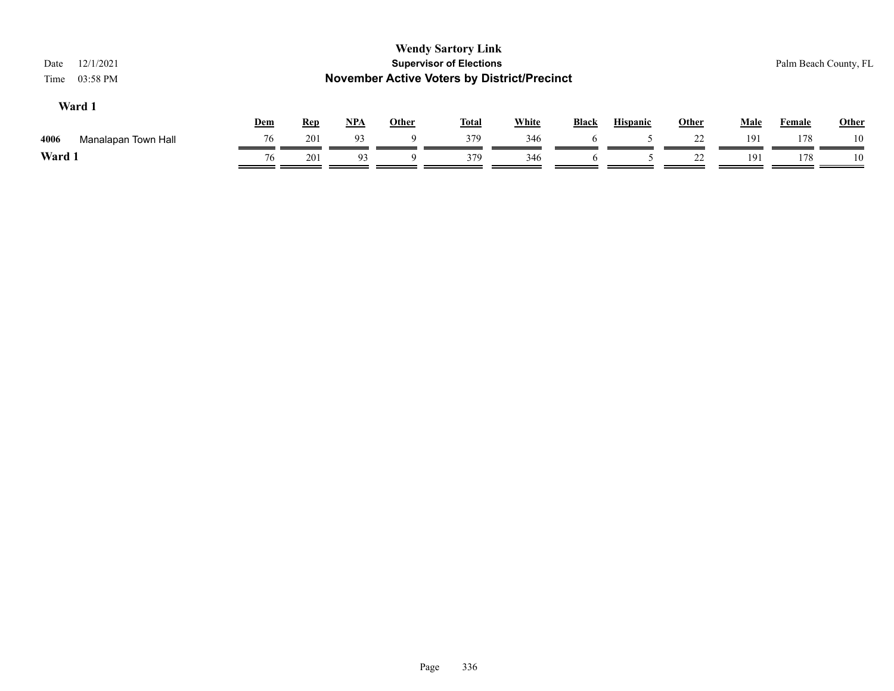| 12/1/2021<br>Date<br>03:58 PM<br>Time |     |            |       |              | <b>Wendy Sartory Link</b><br><b>Supervisor of Elections</b><br><b>November Active Voters by District/Precinct</b> |              |              |                 |              |             | Palm Beach County, FL |       |
|---------------------------------------|-----|------------|-------|--------------|-------------------------------------------------------------------------------------------------------------------|--------------|--------------|-----------------|--------------|-------------|-----------------------|-------|
| Ward 1                                | Dem | <b>Rep</b> | $NPA$ | <b>Other</b> | <u>Total</u>                                                                                                      | <b>White</b> | <b>Black</b> | <b>Hispanic</b> | <b>Other</b> | <b>Male</b> | <b>Female</b>         | Other |
| 4006<br>Manalapan Town Hall           | 76  | 201        | 93    | 9            | 379                                                                                                               | 346          |              |                 | 22           | 191         | 178                   | 10    |
| Ward 1                                | 76  | 201        | 93    | Q            | 379                                                                                                               | 346          | 6            |                 | 22           | 191         | 178                   | 10    |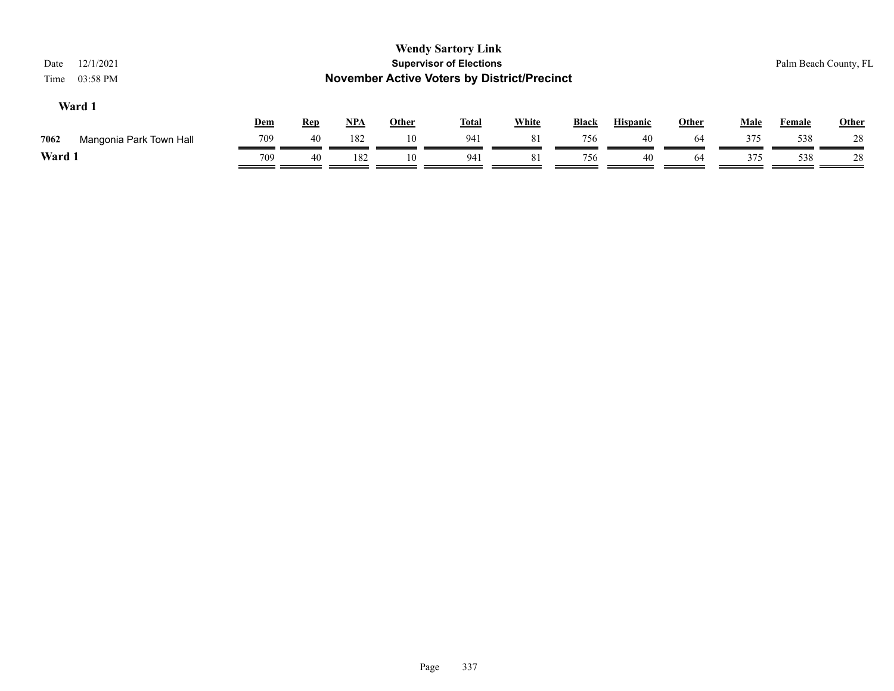| 12/1/2021<br>Date<br>03:58 PM<br>Time |     |            |            |       | <b>Wendy Sartory Link</b><br><b>Supervisor of Elections</b><br><b>November Active Voters by District/Precinct</b> |              |              |                 |              |             | Palm Beach County, FL |              |
|---------------------------------------|-----|------------|------------|-------|-------------------------------------------------------------------------------------------------------------------|--------------|--------------|-----------------|--------------|-------------|-----------------------|--------------|
| Ward 1                                | Dem | <b>Rep</b> | <u>NPA</u> | Other | <u>Total</u>                                                                                                      | <b>White</b> | <b>Black</b> | <b>Hispanic</b> | <b>Other</b> | <b>Male</b> | Female                | <b>Other</b> |
| 7062<br>Mangonia Park Town Hall       | 709 | 40         | 182        | 10    | 941                                                                                                               | 81           | 756          | 40              | 64           | 375         | 538                   | 28           |
| Ward 1                                | 709 | 40         | 182        | 10    | 941                                                                                                               | 81           | 756          | 40              | 64           | 375         | 538                   | 28           |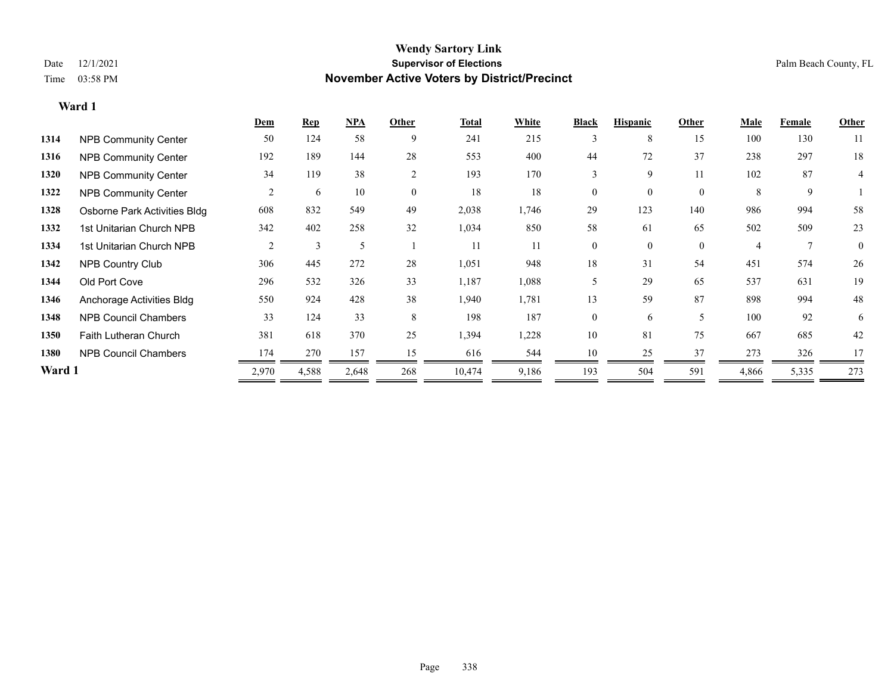|        |                              | Dem   | <b>Rep</b> | NPA   | Other          | <b>Total</b> | White | <b>Black</b>   | <b>Hispanic</b> | Other        | Male  | Female | <b>Other</b>   |
|--------|------------------------------|-------|------------|-------|----------------|--------------|-------|----------------|-----------------|--------------|-------|--------|----------------|
| 1314   | <b>NPB Community Center</b>  | 50    | 124        | 58    | 9              | 241          | 215   | 3              | 8               | 15           | 100   | 130    | 11             |
| 1316   | <b>NPB Community Center</b>  | 192   | 189        | 144   | 28             | 553          | 400   | 44             | 72              | 37           | 238   | 297    | 18             |
| 1320   | <b>NPB Community Center</b>  | 34    | 119        | 38    | $\overline{2}$ | 193          | 170   | 3              | 9               | 11           | 102   | 87     | 4              |
| 1322   | <b>NPB Community Center</b>  | 2     | 6          | 10    | $\theta$       | 18           | 18    | $\theta$       | $\Omega$        | $\theta$     | 8     | 9      |                |
| 1328   | Osborne Park Activities Bldg | 608   | 832        | 549   | 49             | 2,038        | 1,746 | 29             | 123             | 140          | 986   | 994    | 58             |
| 1332   | 1st Unitarian Church NPB     | 342   | 402        | 258   | 32             | 1,034        | 850   | 58             | 61              | 65           | 502   | 509    | 23             |
| 1334   | 1st Unitarian Church NPB     | 2     | 3          | 5     |                | 11           | 11    | $\overline{0}$ | $\overline{0}$  | $\mathbf{0}$ | 4     |        | $\overline{0}$ |
| 1342   | NPB Country Club             | 306   | 445        | 272   | 28             | 1,051        | 948   | 18             | 31              | 54           | 451   | 574    | 26             |
| 1344   | Old Port Cove                | 296   | 532        | 326   | 33             | 1,187        | 1,088 | 5              | 29              | 65           | 537   | 631    | 19             |
| 1346   | Anchorage Activities Bldg    | 550   | 924        | 428   | 38             | 1,940        | 1,781 | 13             | 59              | 87           | 898   | 994    | 48             |
| 1348   | <b>NPB Council Chambers</b>  | 33    | 124        | 33    | 8              | 198          | 187   | $\overline{0}$ | 6               | 5            | 100   | 92     | 6              |
| 1350   | <b>Faith Lutheran Church</b> | 381   | 618        | 370   | 25             | 1,394        | 1,228 | 10             | 81              | 75           | 667   | 685    | 42             |
| 1380   | <b>NPB Council Chambers</b>  | 174   | 270        | 157   | 15             | 616          | 544   | 10             | 25              | 37           | 273   | 326    | 17             |
| Ward 1 |                              | 2,970 | 4,588      | 2,648 | 268            | 10,474       | 9,186 | 193            | 504             | 591          | 4,866 | 5,335  | 273            |
|        |                              |       |            |       |                |              |       |                |                 |              |       |        |                |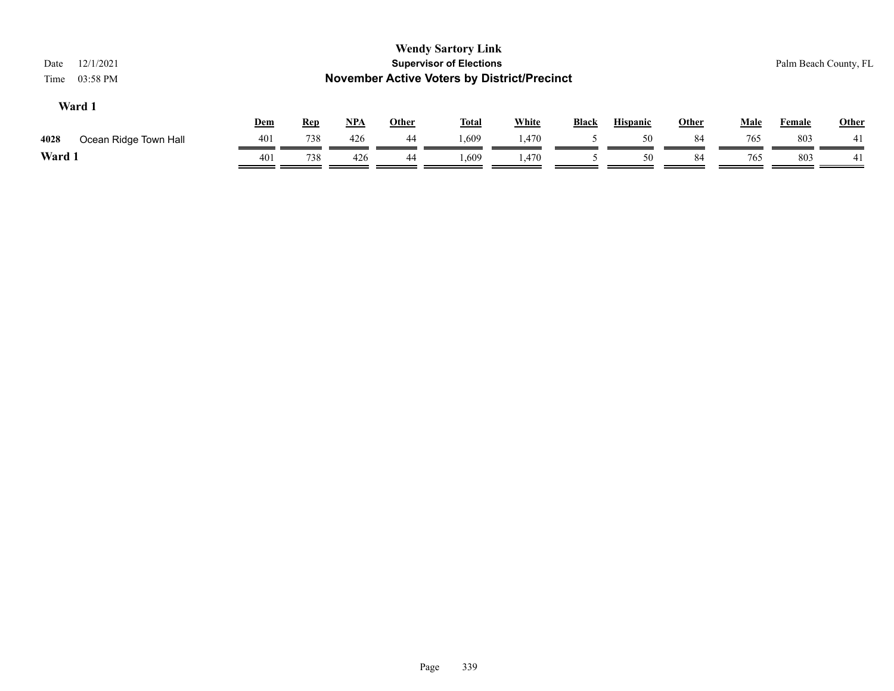| 12/1/2021<br>Date<br>03:58 PM<br>Time |            |            |            |              | <b>Wendy Sartory Link</b><br><b>Supervisor of Elections</b><br><b>November Active Voters by District/Precinct</b> |              |              |                 |              |             |               | Palm Beach County, FL |
|---------------------------------------|------------|------------|------------|--------------|-------------------------------------------------------------------------------------------------------------------|--------------|--------------|-----------------|--------------|-------------|---------------|-----------------------|
| Ward 1                                | <u>Dem</u> | <b>Rep</b> | <u>NPA</u> | <b>Other</b> | <u>Total</u>                                                                                                      | <b>White</b> | <b>Black</b> | <b>Hispanic</b> | <b>Other</b> | <b>Male</b> | <b>Female</b> | <b>Other</b>          |
| 4028<br>Ocean Ridge Town Hall         | 401        | 738        | 426        | 44           | 1,609                                                                                                             | 1.470        |              | 50              | 84           | 765         | 803           | 41                    |
| Ward 1                                | 401        | 738        | 426        | 44           | 1,609                                                                                                             | 1,470        |              | 50              | 84           | 765         | 803           | 41                    |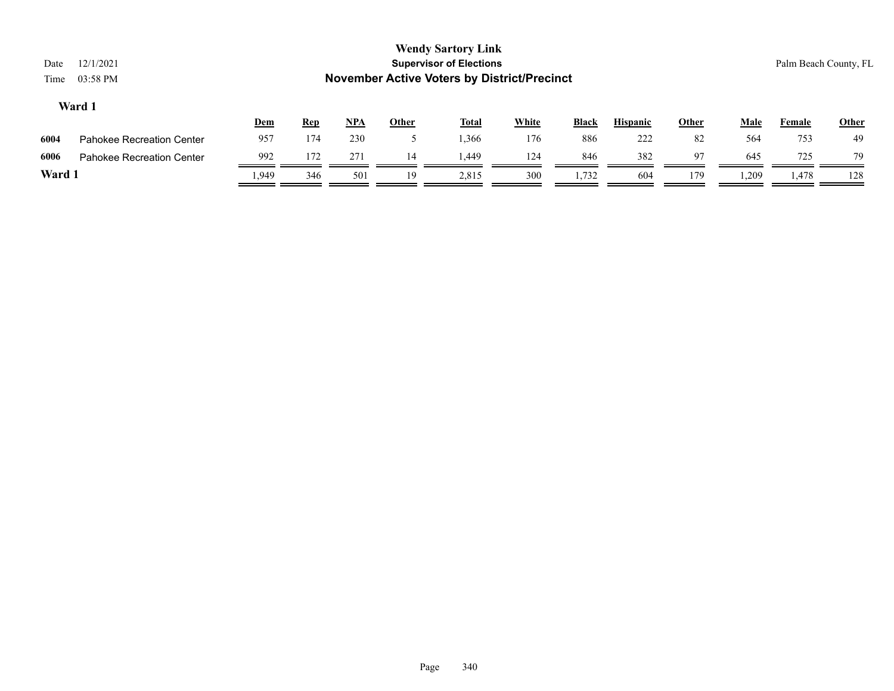| Date<br>Time | 12/1/2021<br>03:58 PM            |       |            |            |              | <b>Wendy Sartory Link</b><br><b>Supervisor of Elections</b><br><b>November Active Voters by District/Precinct</b> |              |              |                 |              |       |        | Palm Beach County, FL |
|--------------|----------------------------------|-------|------------|------------|--------------|-------------------------------------------------------------------------------------------------------------------|--------------|--------------|-----------------|--------------|-------|--------|-----------------------|
|              | Ward 1                           | Dem   | <u>Rep</u> | <u>NPA</u> | <b>Other</b> | <u>Total</u>                                                                                                      | <b>White</b> | <b>Black</b> | <b>Hispanic</b> | <b>Other</b> | Male  | Female | <b>Other</b>          |
| 6004         | <b>Pahokee Recreation Center</b> | 957   | 174        | 230        |              | 1,366                                                                                                             | 176          | 886          | 222             | 82           | 564   | 753    | 49                    |
| 6006         | <b>Pahokee Recreation Center</b> | 992   | 172        | 271        | 14           | 1.449                                                                                                             | 124          | 846          | 382             | 97           | 645   | 725    | 79                    |
| Ward 1       |                                  | 1.949 | 346        | 501        | 19           | 2,815                                                                                                             | 300          | 1,732        | 604             | 179          | 1,209 | 1,478  | 128                   |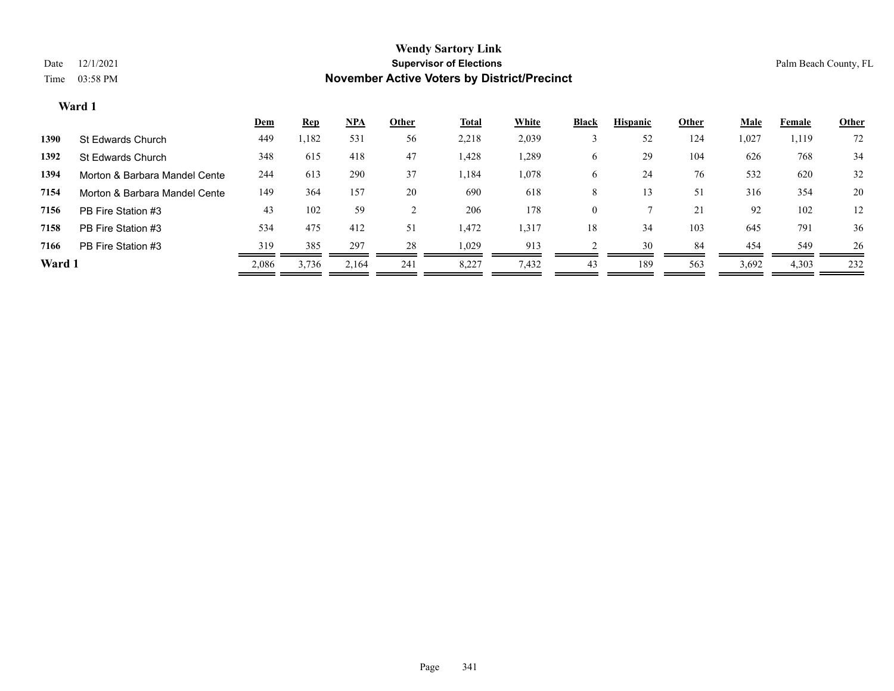|        |                               | <u>Dem</u> | <b>Rep</b> | <u>NPA</u> | Other | <b>Total</b> | White | <b>Black</b> | <b>Hispanic</b> | Other | <b>Male</b> | Female | <b>Other</b> |
|--------|-------------------------------|------------|------------|------------|-------|--------------|-------|--------------|-----------------|-------|-------------|--------|--------------|
| 1390   | St Edwards Church             | 449        | 1,182      | 531        | 56    | 2,218        | 2,039 |              | 52              | 124   | 1,027       | 1,119  | 72           |
| 1392   | St Edwards Church             | 348        | 615        | 418        | 47    | 1,428        | 1,289 | O            | 29              | 104   | 626         | 768    | 34           |
| 1394   | Morton & Barbara Mandel Cente | 244        | 613        | 290        | 37    | 1,184        | 1,078 | O            | 24              | 76    | 532         | 620    | 32           |
| 7154   | Morton & Barbara Mandel Cente | 149        | 364        | 157        | 20    | 690          | 618   | 8            | 13              | 51    | 316         | 354    | 20           |
| 7156   | PB Fire Station #3            | 43         | 102        | 59         |       | 206          | 178   | 0            |                 | 21    | 92          | 102    | 12           |
| 7158   | PB Fire Station #3            | 534        | 475        | 412        | 51    | 1,472        | 1,317 | 18           | 34              | 103   | 645         | 791    | 36           |
| 7166   | PB Fire Station #3            | 319        | 385        | 297        | 28    | 1,029        | 913   |              | 30              | 84    | 454         | 549    | 26           |
| Ward 1 |                               | 2,086      | 3,736      | 2.164      | 241   | 8,227        | 7,432 | 43           | 189             | 563   | 3,692       | 4,303  | 232          |
|        |                               |            |            |            |       |              |       |              |                 |       |             |        |              |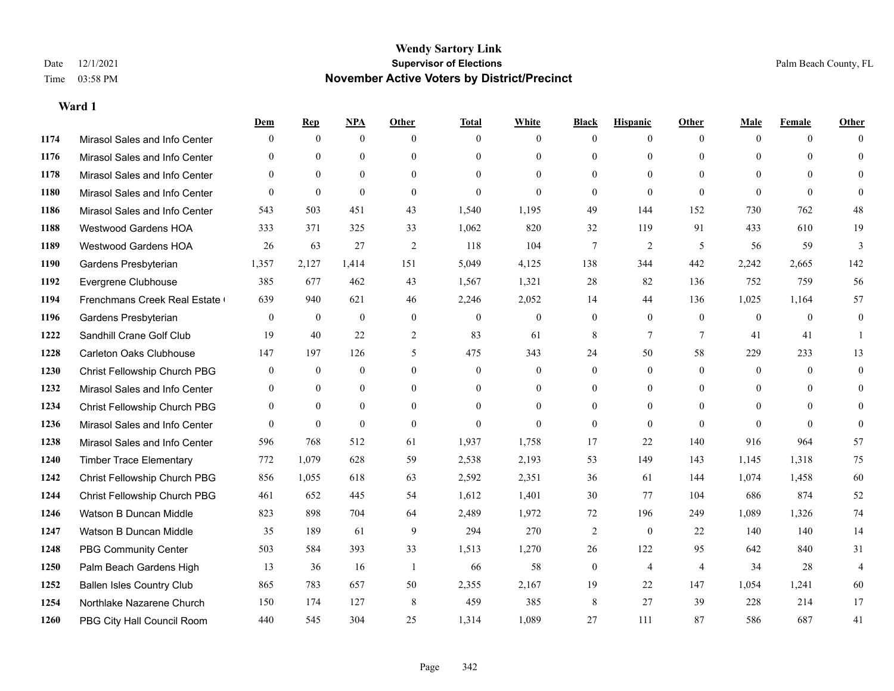|      |                                  | Dem            | <b>Rep</b>       | NPA              | <b>Other</b>   | <b>Total</b>     | <b>White</b>     | <b>Black</b>     | <b>Hispanic</b> | <b>Other</b>   | <b>Male</b>    | <b>Female</b> | <b>Other</b>   |
|------|----------------------------------|----------------|------------------|------------------|----------------|------------------|------------------|------------------|-----------------|----------------|----------------|---------------|----------------|
| 1174 | Mirasol Sales and Info Center    | $\mathbf{0}$   | $\mathbf{0}$     | $\mathbf{0}$     | $\theta$       | $\theta$         | $\overline{0}$   | $\mathbf{0}$     | $\overline{0}$  | $\theta$       | $\theta$       | $\theta$      | $\Omega$       |
| 1176 | Mirasol Sales and Info Center    | $\Omega$       | $\theta$         | $\theta$         | $\Omega$       | $\Omega$         | $\overline{0}$   | $\theta$         | $\mathbf{0}$    | $\theta$       | $\theta$       | $\Omega$      | $\theta$       |
| 1178 | Mirasol Sales and Info Center    | $\theta$       | $\theta$         | $\theta$         | $\Omega$       | $\Omega$         | $\Omega$         | $\theta$         | $\theta$        | $\Omega$       | $\Omega$       | $\Omega$      | $\Omega$       |
| 1180 | Mirasol Sales and Info Center    | $\mathbf{0}$   | $\mathbf{0}$     | $\mathbf{0}$     | $\overline{0}$ | $\mathbf{0}$     | $\overline{0}$   | $\mathbf{0}$     | $\mathbf{0}$    | $\theta$       | $\theta$       | $\theta$      | $\Omega$       |
| 1186 | Mirasol Sales and Info Center    | 543            | 503              | 451              | 43             | 1,540            | 1,195            | 49               | 144             | 152            | 730            | 762           | 48             |
| 1188 | <b>Westwood Gardens HOA</b>      | 333            | 371              | 325              | 33             | 1,062            | 820              | 32               | 119             | 91             | 433            | 610           | 19             |
| 1189 | Westwood Gardens HOA             | 26             | 63               | 27               | $\overline{2}$ | 118              | 104              | $\tau$           | $\overline{c}$  | 5              | 56             | 59            | $\mathfrak{Z}$ |
| 1190 | Gardens Presbyterian             | 1,357          | 2,127            | 1,414            | 151            | 5,049            | 4,125            | 138              | 344             | 442            | 2,242          | 2,665         | 142            |
| 1192 | Evergrene Clubhouse              | 385            | 677              | 462              | 43             | 1,567            | 1,321            | 28               | 82              | 136            | 752            | 759           | 56             |
| 1194 | Frenchmans Creek Real Estate     | 639            | 940              | 621              | 46             | 2,246            | 2,052            | 14               | 44              | 136            | 1,025          | 1,164         | 57             |
| 1196 | Gardens Presbyterian             | $\overline{0}$ | $\overline{0}$   | $\overline{0}$   | $\mathbf{0}$   | $\mathbf{0}$     | $\boldsymbol{0}$ | $\mathbf{0}$     | $\mathbf{0}$    | $\theta$       | $\overline{0}$ | $\theta$      | $\mathbf{0}$   |
| 1222 | Sandhill Crane Golf Club         | 19             | 40               | 22               | $\overline{2}$ | 83               | 61               | 8                | $\overline{7}$  | $\overline{7}$ | 41             | 41            | $\mathbf{1}$   |
| 1228 | <b>Carleton Oaks Clubhouse</b>   | 147            | 197              | 126              | 5              | 475              | 343              | 24               | 50              | 58             | 229            | 233           | 13             |
| 1230 | Christ Fellowship Church PBG     | $\overline{0}$ | $\boldsymbol{0}$ | $\boldsymbol{0}$ | $\overline{0}$ | $\boldsymbol{0}$ | $\boldsymbol{0}$ | $\boldsymbol{0}$ | $\overline{0}$  | $\mathbf{0}$   | $\mathbf{0}$   | $\mathbf{0}$  | $\mathbf{0}$   |
| 1232 | Mirasol Sales and Info Center    | $\overline{0}$ | $\overline{0}$   | $\overline{0}$   | $\theta$       | $\theta$         | $\overline{0}$   | $\mathbf{0}$     | $\mathbf{0}$    | $\theta$       | $\theta$       | $\theta$      | $\mathbf{0}$   |
| 1234 | Christ Fellowship Church PBG     | $\overline{0}$ | $\theta$         | $\overline{0}$   | $\theta$       | $\Omega$         | $\Omega$         | $\mathbf{0}$     | $\theta$        | $\theta$       | $\theta$       | $\Omega$      | $\theta$       |
| 1236 | Mirasol Sales and Info Center    | $\Omega$       | $\mathbf{0}$     | $\theta$         | $\Omega$       | $\theta$         | $\Omega$         | $\mathbf{0}$     | $\theta$        | $\Omega$       | $\Omega$       | $\theta$      | $\theta$       |
| 1238 | Mirasol Sales and Info Center    | 596            | 768              | 512              | 61             | 1,937            | 1,758            | 17               | 22              | 140            | 916            | 964           | 57             |
| 1240 | <b>Timber Trace Elementary</b>   | 772            | 1,079            | 628              | 59             | 2,538            | 2,193            | 53               | 149             | 143            | 1,145          | 1,318         | 75             |
| 1242 | Christ Fellowship Church PBG     | 856            | 1,055            | 618              | 63             | 2,592            | 2,351            | 36               | 61              | 144            | 1,074          | 1,458         | 60             |
| 1244 | Christ Fellowship Church PBG     | 461            | 652              | 445              | 54             | 1,612            | 1,401            | 30               | 77              | 104            | 686            | 874           | 52             |
| 1246 | Watson B Duncan Middle           | 823            | 898              | 704              | 64             | 2,489            | 1,972            | 72               | 196             | 249            | 1,089          | 1,326         | 74             |
| 1247 | Watson B Duncan Middle           | 35             | 189              | 61               | 9              | 294              | 270              | $\overline{c}$   | $\mathbf{0}$    | 22             | 140            | 140           | 14             |
| 1248 | <b>PBG Community Center</b>      | 503            | 584              | 393              | 33             | 1,513            | 1,270            | 26               | 122             | 95             | 642            | 840           | 31             |
| 1250 | Palm Beach Gardens High          | 13             | 36               | 16               | $\overline{1}$ | 66               | 58               | $\boldsymbol{0}$ | $\overline{4}$  | $\overline{4}$ | 34             | 28            | $\overline{4}$ |
| 1252 | <b>Ballen Isles Country Club</b> | 865            | 783              | 657              | 50             | 2,355            | 2,167            | 19               | 22              | 147            | 1,054          | 1,241         | 60             |
| 1254 | Northlake Nazarene Church        | 150            | 174              | 127              | 8              | 459              | 385              | 8                | 27              | 39             | 228            | 214           | 17             |
| 1260 | PBG City Hall Council Room       | 440            | 545              | 304              | 25             | 1,314            | 1,089            | 27               | 111             | 87             | 586            | 687           | 41             |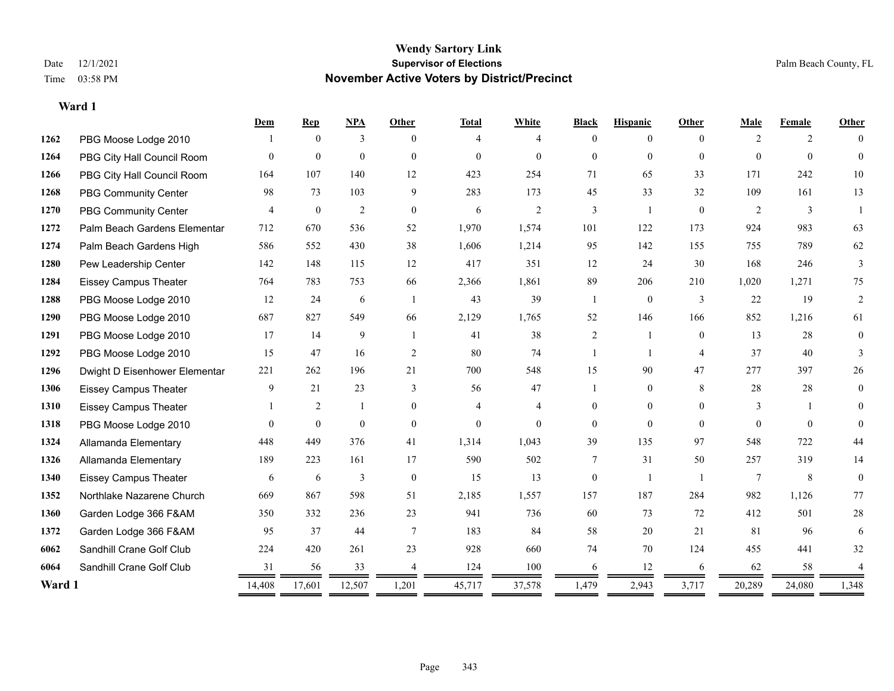|        |                               | Dem            | <b>Rep</b>       | NPA              | <b>Other</b>   | <b>Total</b>   | White          | <b>Black</b>   | <b>Hispanic</b> | <b>Other</b>   | Male            | Female       | Other    |
|--------|-------------------------------|----------------|------------------|------------------|----------------|----------------|----------------|----------------|-----------------|----------------|-----------------|--------------|----------|
| 1262   | PBG Moose Lodge 2010          |                | $\theta$         | 3                | $\Omega$       | 4              | 4              | $\theta$       | $\Omega$        | $\Omega$       | 2               | 2            | $\Omega$ |
| 1264   | PBG City Hall Council Room    | $\Omega$       | $\boldsymbol{0}$ | $\boldsymbol{0}$ | $\theta$       | $\overline{0}$ | $\overline{0}$ | $\overline{0}$ | $\overline{0}$  | $\theta$       | $\theta$        | $\mathbf{0}$ | $\Omega$ |
| 1266   | PBG City Hall Council Room    | 164            | 107              | 140              | 12             | 423            | 254            | 71             | 65              | 33             | 171             | 242          | 10       |
| 1268   | <b>PBG Community Center</b>   | 98             | 73               | 103              | 9              | 283            | 173            | 45             | 33              | 32             | 109             | 161          | 13       |
| 1270   | PBG Community Center          | $\overline{4}$ | $\mathbf{0}$     | $\overline{2}$   | $\theta$       | 6              | 2              | 3              | 1               | $\theta$       | 2               | 3            |          |
| 1272   | Palm Beach Gardens Elementar  | 712            | 670              | 536              | 52             | 1,970          | 1,574          | 101            | 122             | 173            | 924             | 983          | 63       |
| 1274   | Palm Beach Gardens High       | 586            | 552              | 430              | 38             | 1,606          | 1,214          | 95             | 142             | 155            | 755             | 789          | 62       |
| 1280   | Pew Leadership Center         | 142            | 148              | 115              | 12             | 417            | 351            | 12             | 24              | 30             | 168             | 246          | 3        |
| 1284   | <b>Eissey Campus Theater</b>  | 764            | 783              | 753              | 66             | 2,366          | 1,861          | 89             | 206             | 210            | 1,020           | 1,271        | 75       |
| 1288   | PBG Moose Lodge 2010          | 12             | 24               | 6                | $\overline{1}$ | 43             | 39             | -1             | $\mathbf{0}$    | 3              | 22              | 19           | 2        |
| 1290   | PBG Moose Lodge 2010          | 687            | 827              | 549              | 66             | 2,129          | 1,765          | 52             | 146             | 166            | 852             | 1,216        | 61       |
| 1291   | PBG Moose Lodge 2010          | 17             | 14               | 9                | $\overline{1}$ | 41             | 38             | 2              | 1               | $\theta$       | 13              | 28           | $\theta$ |
| 1292   | PBG Moose Lodge 2010          | 15             | 47               | 16               | 2              | 80             | 74             | 1              | 1               | $\overline{4}$ | 37              | 40           | 3        |
| 1296   | Dwight D Eisenhower Elementar | 221            | 262              | 196              | 21             | 700            | 548            | 15             | 90              | 47             | 277             | 397          | 26       |
| 1306   | <b>Eissey Campus Theater</b>  | 9              | 21               | 23               | 3              | 56             | 47             | 1              | $\overline{0}$  | 8              | 28              | 28           | $\theta$ |
| 1310   | <b>Eissey Campus Theater</b>  |                | $\overline{2}$   | $\mathbf{1}$     | $\theta$       | $\overline{4}$ | $\overline{4}$ | $\overline{0}$ | $\overline{0}$  | $\Omega$       | 3               |              | $\Omega$ |
| 1318   | PBG Moose Lodge 2010          | $\Omega$       | $\mathbf{0}$     | $\mathbf{0}$     | $\mathbf{0}$   | $\overline{0}$ | $\Omega$       | $\theta$       | $\theta$        | $\Omega$       | $\Omega$        | $\theta$     | $\Omega$ |
| 1324   | Allamanda Elementary          | 448            | 449              | 376              | 41             | 1,314          | 1,043          | 39             | 135             | 97             | 548             | 722          | 44       |
| 1326   | Allamanda Elementary          | 189            | 223              | 161              | 17             | 590            | 502            | 7              | 31              | 50             | 257             | 319          | 14       |
| 1340   | <b>Eissey Campus Theater</b>  | 6              | 6                | 3                | $\theta$       | 15             | 13             | $\theta$       | $\mathbf{1}$    | $\overline{1}$ | $7\phantom{.0}$ | 8            | $\theta$ |
| 1352   | Northlake Nazarene Church     | 669            | 867              | 598              | 51             | 2,185          | 1,557          | 157            | 187             | 284            | 982             | 1,126        | 77       |
| 1360   | Garden Lodge 366 F&AM         | 350            | 332              | 236              | 23             | 941            | 736            | 60             | 73              | 72             | 412             | 501          | $28\,$   |
| 1372   | Garden Lodge 366 F&AM         | 95             | 37               | 44               | $\overline{7}$ | 183            | 84             | 58             | 20              | 21             | 81              | 96           | 6        |
| 6062   | Sandhill Crane Golf Club      | 224            | 420              | 261              | 23             | 928            | 660            | 74             | 70              | 124            | 455             | 441          | 32       |
| 6064   | Sandhill Crane Golf Club      | 31             | 56               | 33               |                | 124            | 100            | 6              | 12              | 6              | 62              | 58           |          |
| Ward 1 |                               | 14,408         | 17,601           | 12,507           | 1,201          | 45,717         | 37,578         | 1,479          | 2,943           | 3,717          | 20,289          | 24,080       | 1,348    |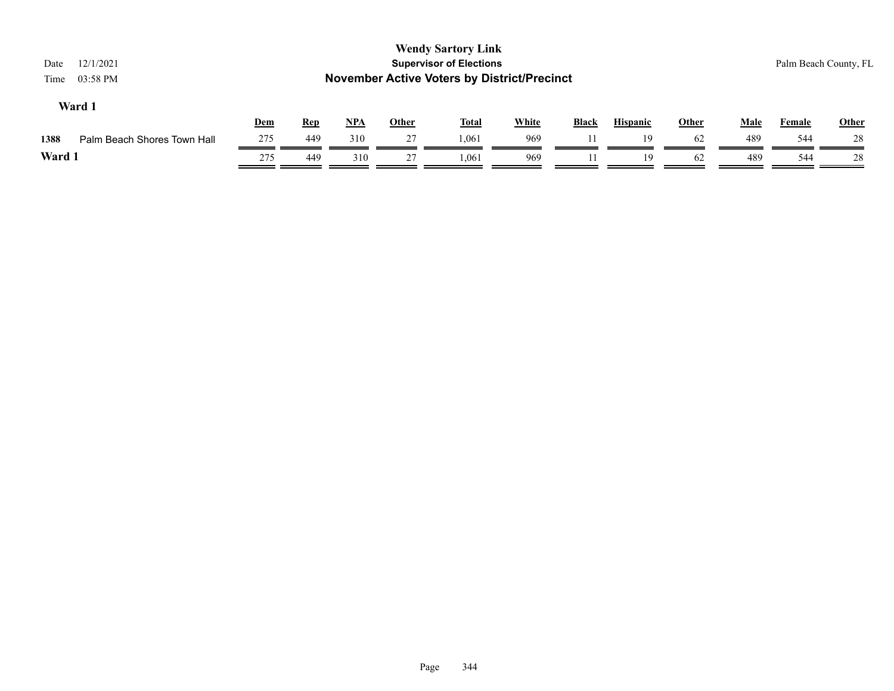| 12/1/2021<br>Date<br>03:58 PM<br>Time |            |            |            |              | <b>Wendy Sartory Link</b><br><b>Supervisor of Elections</b><br><b>November Active Voters by District/Precinct</b> |              |              |                 |              |             |               | Palm Beach County, FL |
|---------------------------------------|------------|------------|------------|--------------|-------------------------------------------------------------------------------------------------------------------|--------------|--------------|-----------------|--------------|-------------|---------------|-----------------------|
| Ward 1                                | <b>Dem</b> | <b>Rep</b> | <u>NPA</u> | <b>Other</b> | <u>Total</u>                                                                                                      | <b>White</b> | <b>Black</b> | <b>Hispanic</b> | <b>Other</b> | <b>Male</b> | <b>Female</b> | <b>Other</b>          |
| Palm Beach Shores Town Hall<br>1388   | 275        | 449        | 310        | 27           | 1,061                                                                                                             | 969          |              | 19              | 62           | 489         | 544           | 28                    |
| Ward 1                                | 275        | 449        | 310        | 27           | 1.061                                                                                                             | 969          |              | 19              | 62           | 489         | 544           | -28                   |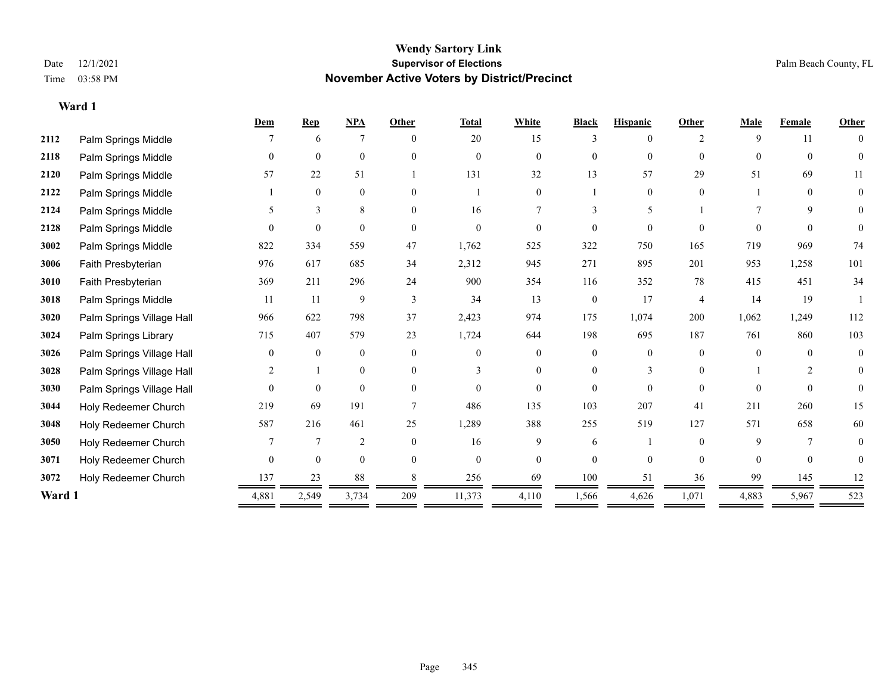**Ward 1**

#### **Wendy Sartory Link** Date 12/1/2021 **Supervisor of Elections Supervisor of Elections** Palm Beach County, FL Time 03:58 PM **November Active Voters by District/Precinct**

|        |                           | Dem      | <b>Rep</b>       | $NPA$            | Other    | <b>Total</b> | White          | <b>Black</b> | <b>Hispanic</b> | Other          | <b>Male</b> | <b>Female</b>  | <b>Other</b>     |
|--------|---------------------------|----------|------------------|------------------|----------|--------------|----------------|--------------|-----------------|----------------|-------------|----------------|------------------|
| 2112   | Palm Springs Middle       |          | 6                | $7\phantom{.0}$  | $\Omega$ | 20           | 15             | 3            | $\theta$        | 2              | 9           | 11             | $\theta$         |
| 2118   | Palm Springs Middle       | $\theta$ | $\overline{0}$   | $\mathbf{0}$     | $\Omega$ | $\theta$     | $\overline{0}$ | $\mathbf{0}$ | $\theta$        | $\Omega$       | $\theta$    | $\theta$       | $\overline{0}$   |
| 2120   | Palm Springs Middle       | 57       | 22               | 51               |          | 131          | 32             | 13           | 57              | 29             | 51          | 69             | 11               |
| 2122   | Palm Springs Middle       |          | $\boldsymbol{0}$ | $\boldsymbol{0}$ | $\theta$ |              | $\overline{0}$ |              | $\mathbf{0}$    | $\theta$       |             | $\theta$       | $\boldsymbol{0}$ |
| 2124   | Palm Springs Middle       |          | 3                | 8                | $\Omega$ | 16           |                |              | 5               |                |             | 9              | 0                |
| 2128   | Palm Springs Middle       |          | $\mathbf{0}$     | $\theta$         | $\Omega$ | $\theta$     | $\Omega$       | $\theta$     | $\Omega$        | $\Omega$       | $\Omega$    | $\Omega$       | $\mathbf{0}$     |
| 3002   | Palm Springs Middle       | 822      | 334              | 559              | 47       | 1,762        | 525            | 322          | 750             | 165            | 719         | 969            | 74               |
| 3006   | Faith Presbyterian        | 976      | 617              | 685              | 34       | 2,312        | 945            | 271          | 895             | 201            | 953         | 1,258          | 101              |
| 3010   | Faith Presbyterian        | 369      | 211              | 296              | 24       | 900          | 354            | 116          | 352             | 78             | 415         | 451            | 34               |
| 3018   | Palm Springs Middle       | 11       | 11               | 9                | 3        | 34           | 13             | $\mathbf{0}$ | 17              | $\overline{4}$ | 14          | 19             |                  |
| 3020   | Palm Springs Village Hall | 966      | 622              | 798              | 37       | 2,423        | 974            | 175          | 1,074           | 200            | 1,062       | 1,249          | 112              |
| 3024   | Palm Springs Library      | 715      | 407              | 579              | 23       | 1,724        | 644            | 198          | 695             | 187            | 761         | 860            | 103              |
| 3026   | Palm Springs Village Hall | $\theta$ | $\mathbf{0}$     | $\mathbf{0}$     | $\Omega$ | $\Omega$     | $\overline{0}$ | $\mathbf{0}$ | $\mathbf{0}$    | $\Omega$       | $\Omega$    | $\theta$       | $\mathbf{0}$     |
| 3028   | Palm Springs Village Hall | 2        |                  | $\mathbf{0}$     | $\theta$ | 3            | $\overline{0}$ | $\mathbf{0}$ | 3               | $\Omega$       |             | $\overline{2}$ | $\mathbf{0}$     |
| 3030   | Palm Springs Village Hall | $\theta$ | $\mathbf{0}$     | $\mathbf{0}$     | $\theta$ | $\theta$     | $\Omega$       | $\theta$     | $\theta$        | $\Omega$       | $\theta$    | $\theta$       | $\theta$         |
| 3044   | Holy Redeemer Church      | 219      | 69               | 191              |          | 486          | 135            | 103          | 207             | 41             | 211         | 260            | 15               |
| 3048   | Holy Redeemer Church      | 587      | 216              | 461              | 25       | 1,289        | 388            | 255          | 519             | 127            | 571         | 658            | 60               |
| 3050   | Holy Redeemer Church      |          | 7                | $\overline{2}$   | $\Omega$ | 16           | 9              | 6            |                 | $\Omega$       | 9           | 7              | 0                |
| 3071   | Holy Redeemer Church      | $\Omega$ | $\mathbf{0}$     | $\mathbf{0}$     | $\Omega$ | $\theta$     | $\overline{0}$ | $\theta$     | $\theta$        | $\Omega$       | $\theta$    | $\theta$       | $\theta$         |
| 3072   | Holy Redeemer Church      | 137      | 23               | 88               |          | 256          | 69             | 100          | 51              | 36             | 99          | 145            | 12               |
| Ward 1 |                           | 4,881    | 2,549            | 3,734            | 209      | 11,373       | 4,110          | 1,566        | 4,626           | 1,071          | 4,883       | 5,967          | 523              |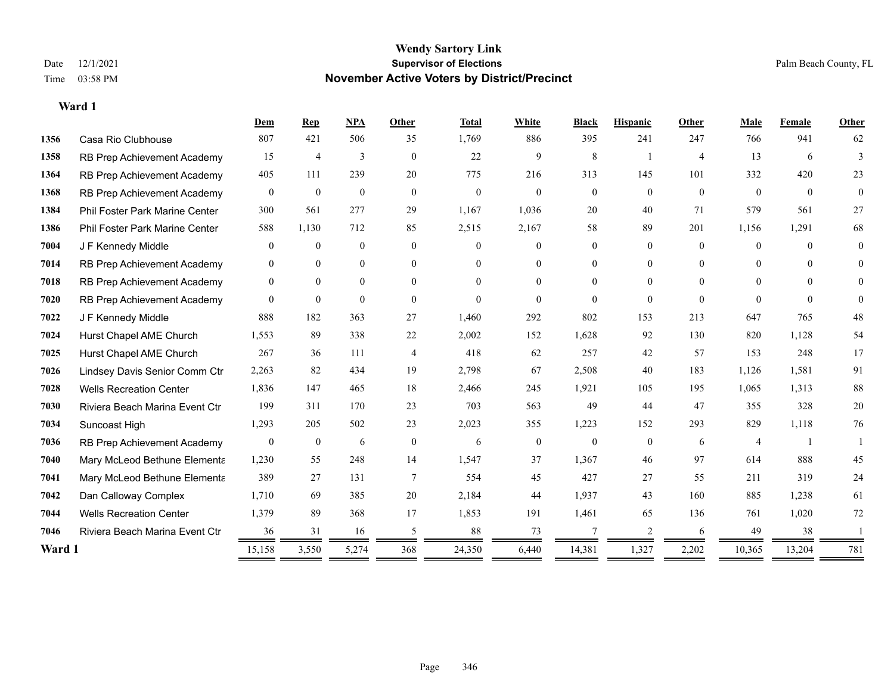|        |                                       | Dem              | Rep              | NPA              | Other          | <b>Total</b> | White          | <b>Black</b>   | <b>Hispanic</b> | Other          | Male           | Female         | Other    |
|--------|---------------------------------------|------------------|------------------|------------------|----------------|--------------|----------------|----------------|-----------------|----------------|----------------|----------------|----------|
| 1356   | Casa Rio Clubhouse                    | 807              | 421              | 506              | 35             | 1,769        | 886            | 395            | 241             | 247            | 766            | 941            | 62       |
| 1358   | RB Prep Achievement Academy           | 15               | 4                | 3                | $\overline{0}$ | 22           | 9              | 8              |                 | $\overline{4}$ | 13             | 6              | 3        |
| 1364   | RB Prep Achievement Academy           | 405              | 111              | 239              | 20             | 775          | 216            | 313            | 145             | 101            | 332            | 420            | 23       |
| 1368   | RB Prep Achievement Academy           | $\overline{0}$   | $\theta$         | $\mathbf{0}$     | $\overline{0}$ | $\theta$     | $\theta$       | $\mathbf{0}$   | $\theta$        | $\theta$       | $\theta$       | $\overline{0}$ | $\theta$ |
| 1384   | <b>Phil Foster Park Marine Center</b> | 300              | 561              | 277              | 29             | 1,167        | 1,036          | 20             | 40              | 71             | 579            | 561            | 27       |
| 1386   | Phil Foster Park Marine Center        | 588              | 1,130            | 712              | 85             | 2,515        | 2,167          | 58             | 89              | 201            | 1,156          | 1,291          | 68       |
| 7004   | J F Kennedy Middle                    | $\overline{0}$   | $\mathbf{0}$     | $\boldsymbol{0}$ | $\theta$       | $\Omega$     | $\overline{0}$ | 0              | $\overline{0}$  | $\Omega$       | $\theta$       | $\Omega$       | $\theta$ |
| 7014   | RB Prep Achievement Academy           | $\mathbf{0}$     | $\mathbf{0}$     | $\boldsymbol{0}$ | $\overline{0}$ | $\Omega$     | $\overline{0}$ | $\overline{0}$ | $\overline{0}$  | $\theta$       | $\theta$       | $\theta$       | $\theta$ |
| 7018   | RB Prep Achievement Academy           | $\mathbf{0}$     | $\theta$         | $\overline{0}$   | $\theta$       | $\Omega$     | $\Omega$       | $\Omega$       | $\theta$        | $\Omega$       | $\theta$       | $\Omega$       | 0        |
| 7020   | RB Prep Achievement Academy           | $\overline{0}$   | $\mathbf{0}$     | $\mathbf{0}$     | $\theta$       | $\theta$     | $\Omega$       | $\Omega$       | $\theta$        | $\theta$       | $\Omega$       | $\theta$       | $\Omega$ |
| 7022   | J F Kennedy Middle                    | 888              | 182              | 363              | 27             | 1,460        | 292            | 802            | 153             | 213            | 647            | 765            | 48       |
| 7024   | Hurst Chapel AME Church               | 1,553            | 89               | 338              | 22             | 2,002        | 152            | 1,628          | 92              | 130            | 820            | 1,128          | 54       |
| 7025   | Hurst Chapel AME Church               | 267              | 36               | 111              | $\overline{4}$ | 418          | 62             | 257            | 42              | 57             | 153            | 248            | 17       |
| 7026   | Lindsey Davis Senior Comm Ctr         | 2,263            | 82               | 434              | 19             | 2,798        | 67             | 2,508          | 40              | 183            | 1,126          | 1,581          | 91       |
| 7028   | <b>Wells Recreation Center</b>        | 1,836            | 147              | 465              | 18             | 2,466        | 245            | 1,921          | 105             | 195            | 1,065          | 1,313          | $88\,$   |
| 7030   | Riviera Beach Marina Event Ctr        | 199              | 311              | 170              | 23             | 703          | 563            | 49             | 44              | 47             | 355            | 328            | 20       |
| 7034   | Suncoast High                         | 1,293            | 205              | 502              | 23             | 2,023        | 355            | 1,223          | 152             | 293            | 829            | 1,118          | 76       |
| 7036   | RB Prep Achievement Academy           | $\boldsymbol{0}$ | $\boldsymbol{0}$ | 6                | $\mathbf{0}$   | 6            | $\overline{0}$ | $\mathbf{0}$   | $\overline{0}$  | 6              | $\overline{4}$ | -1             |          |
| 7040   | Mary McLeod Bethune Elementa          | 1,230            | 55               | 248              | 14             | 1,547        | 37             | 1,367          | 46              | 97             | 614            | 888            | 45       |
| 7041   | Mary McLeod Bethune Elementa          | 389              | 27               | 131              | 7              | 554          | 45             | 427            | 27              | 55             | 211            | 319            | 24       |
| 7042   | Dan Calloway Complex                  | 1,710            | 69               | 385              | 20             | 2,184        | 44             | 1,937          | 43              | 160            | 885            | 1,238          | 61       |
| 7044   | <b>Wells Recreation Center</b>        | 1,379            | 89               | 368              | 17             | 1,853        | 191            | 1,461          | 65              | 136            | 761            | 1,020          | 72       |
| 7046   | Riviera Beach Marina Event Ctr        | 36               | 31               | 16               | 5              | 88           | 73             | 7              | 2               | 6              | 49             | 38             |          |
| Ward 1 |                                       | 15,158           | 3,550            | 5,274            | 368            | 24,350       | 6,440          | 14,381         | 1,327           | 2,202          | 10,365         | 13,204         | 781      |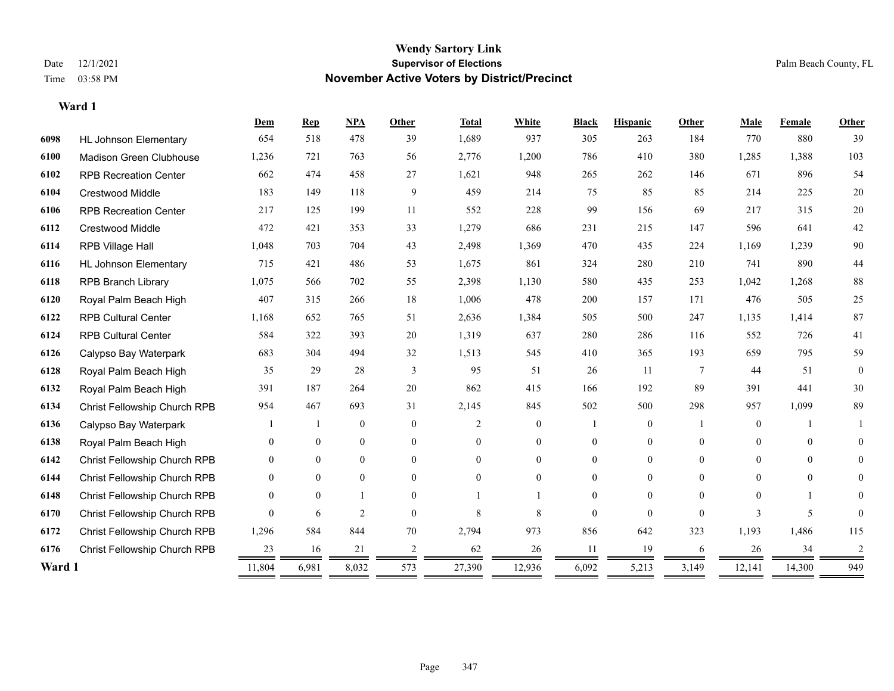|        |                              | Dem      | <b>Rep</b>     | NPA            | <b>Other</b>   | <b>Total</b> | White          | <b>Black</b> | <b>Hispanic</b>   | <b>Other</b>   | Male           | Female   | Other        |
|--------|------------------------------|----------|----------------|----------------|----------------|--------------|----------------|--------------|-------------------|----------------|----------------|----------|--------------|
| 6098   | <b>HL Johnson Elementary</b> | 654      | 518            | 478            | 39             | 1,689        | 937            | 305          | 263               | 184            | 770            | 880      | 39           |
| 6100   | Madison Green Clubhouse      | 1,236    | 721            | 763            | 56             | 2,776        | 1,200          | 786          | 410               | 380            | 1,285          | 1,388    | 103          |
| 6102   | <b>RPB Recreation Center</b> | 662      | 474            | 458            | 27             | 1,621        | 948            | 265          | 262               | 146            | 671            | 896      | 54           |
| 6104   | <b>Crestwood Middle</b>      | 183      | 149            | 118            | 9              | 459          | 214            | 75           | 85                | 85             | 214            | 225      | $20\,$       |
| 6106   | <b>RPB Recreation Center</b> | 217      | 125            | 199            | 11             | 552          | 228            | 99           | 156               | 69             | 217            | 315      | 20           |
| 6112   | <b>Crestwood Middle</b>      | 472      | 421            | 353            | 33             | 1,279        | 686            | 231          | 215               | 147            | 596            | 641      | $42\,$       |
| 6114   | RPB Village Hall             | 1,048    | 703            | 704            | 43             | 2,498        | 1,369          | 470          | 435               | 224            | 1,169          | 1,239    | 90           |
| 6116   | <b>HL Johnson Elementary</b> | 715      | 421            | 486            | 53             | 1,675        | 861            | 324          | 280               | 210            | 741            | 890      | $44\,$       |
| 6118   | <b>RPB Branch Library</b>    | 1,075    | 566            | 702            | 55             | 2,398        | 1,130          | 580          | 435               | 253            | 1,042          | 1,268    | $88\,$       |
| 6120   | Royal Palm Beach High        | 407      | 315            | 266            | 18             | 1,006        | 478            | 200          | 157               | 171            | 476            | 505      | 25           |
| 6122   | <b>RPB Cultural Center</b>   | 1,168    | 652            | 765            | 51             | 2,636        | 1,384          | 505          | 500               | 247            | 1,135          | 1,414    | 87           |
| 6124   | <b>RPB Cultural Center</b>   | 584      | 322            | 393            | 20             | 1,319        | 637            | 280          | 286               | 116            | 552            | 726      | 41           |
| 6126   | Calypso Bay Waterpark        | 683      | 304            | 494            | 32             | 1,513        | 545            | 410          | 365               | 193            | 659            | 795      | 59           |
| 6128   | Royal Palm Beach High        | 35       | 29             | 28             | $\mathfrak{Z}$ | 95           | 51             | 26           | 11                | $\overline{7}$ | 44             | 51       | $\mathbf{0}$ |
| 6132   | Royal Palm Beach High        | 391      | 187            | 264            | 20             | 862          | 415            | 166          | 192               | 89             | 391            | 441      | 30           |
| 6134   | Christ Fellowship Church RPB | 954      | 467            | 693            | 31             | 2,145        | 845            | 502          | 500               | 298            | 957            | 1,099    | 89           |
| 6136   | Calypso Bay Waterpark        |          | $\mathbf{1}$   | $\mathbf{0}$   | $\theta$       | 2            | $\overline{0}$ |              | $\overline{0}$    |                | $\overline{0}$ |          |              |
| 6138   | Royal Palm Beach High        | 0        | $\overline{0}$ | $\mathbf{0}$   | $\theta$       | $\Omega$     | $\overline{0}$ | $\theta$     | $\overline{0}$    | $\Omega$       | $\Omega$       | $\theta$ | 0            |
| 6142   | Christ Fellowship Church RPB | $\Omega$ | $\theta$       | $\overline{0}$ | $\theta$       | $\Omega$     | $\Omega$       | $\theta$     | $\Omega$          | $\theta$       | $\Omega$       | $\Omega$ | $\Omega$     |
| 6144   | Christ Fellowship Church RPB | $\theta$ | $\theta$       | $\theta$       | $\Omega$       | $\Omega$     | $\theta$       | 0            | $\Omega$          | $\Omega$       | $\Omega$       | $\theta$ | 0            |
| 6148   | Christ Fellowship Church RPB | 0        | $\theta$       | $\mathbf{1}$   | $\theta$       |              |                | $\theta$     | $\theta$          | $\theta$       | $\Omega$       |          | 0            |
| 6170   | Christ Fellowship Church RPB | 0        | 6              | $\mathfrak{2}$ | $\theta$       | 8            | 8              | $\theta$     | $\Omega$          | $\Omega$       | 3              | 5        | 0            |
| 6172   | Christ Fellowship Church RPB | 1,296    | 584            | 844            | 70             | 2,794        | 973            | 856          | 642               | 323            | 1,193          | 1,486    | 115          |
| 6176   | Christ Fellowship Church RPB | 23       | 16             | 21             | 2              | 62           | 26             | 11           | 19                | 6              | 26             | 34       | 2            |
| Ward 1 |                              | 11,804   | 6,981          | 8,032          | 573            | 27,390       | 12,936         | 6,092        | 5,213<br>$\equiv$ | 3,149          | 12,141         | 14,300   | 949          |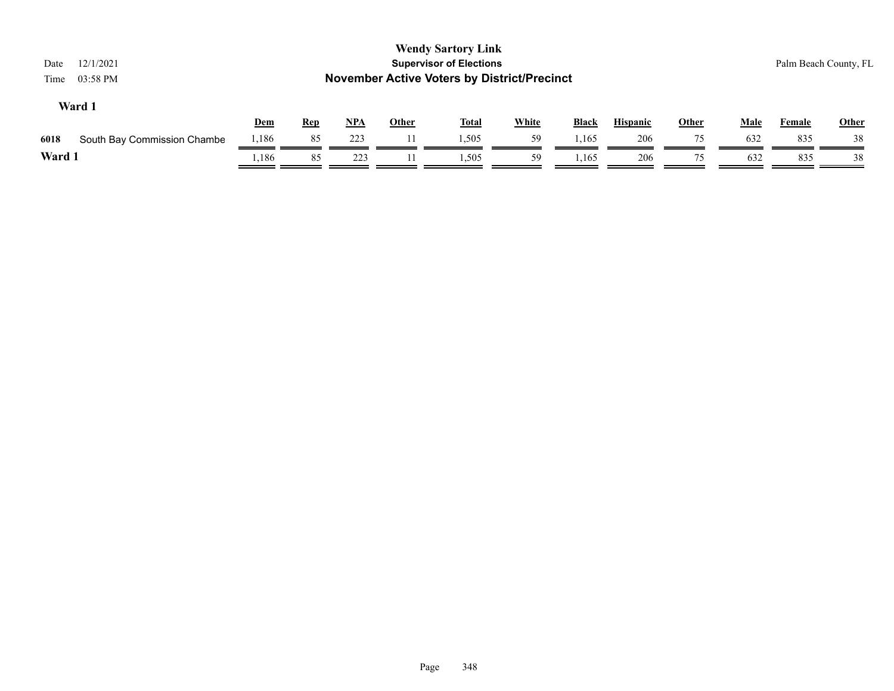| 12/1/2021<br>Date<br>03:58 PM<br>Time |            |            |            |              | <b>Wendy Sartory Link</b><br><b>Supervisor of Elections</b><br><b>November Active Voters by District/Precinct</b> |              |              |                 |              |             |        | Palm Beach County, FL |
|---------------------------------------|------------|------------|------------|--------------|-------------------------------------------------------------------------------------------------------------------|--------------|--------------|-----------------|--------------|-------------|--------|-----------------------|
| Ward 1                                | <u>Dem</u> | <u>Rep</u> | <u>NPA</u> | <b>Other</b> | <u>Total</u>                                                                                                      | <b>White</b> | <b>Black</b> | <b>Hispanic</b> | <b>Other</b> | <b>Male</b> | Female | <b>Other</b>          |
| 6018<br>South Bay Commission Chambe   | 1,186      | 85         | 223        |              | 1,505                                                                                                             | 59           | 1,165        | 206             | 75           | 632         | 835    | 38                    |
| Ward 1                                | ,186       | 85         | 223        |              | 1.505                                                                                                             | 59           | .165         | 206             | 75           | 632         | 835    | 38                    |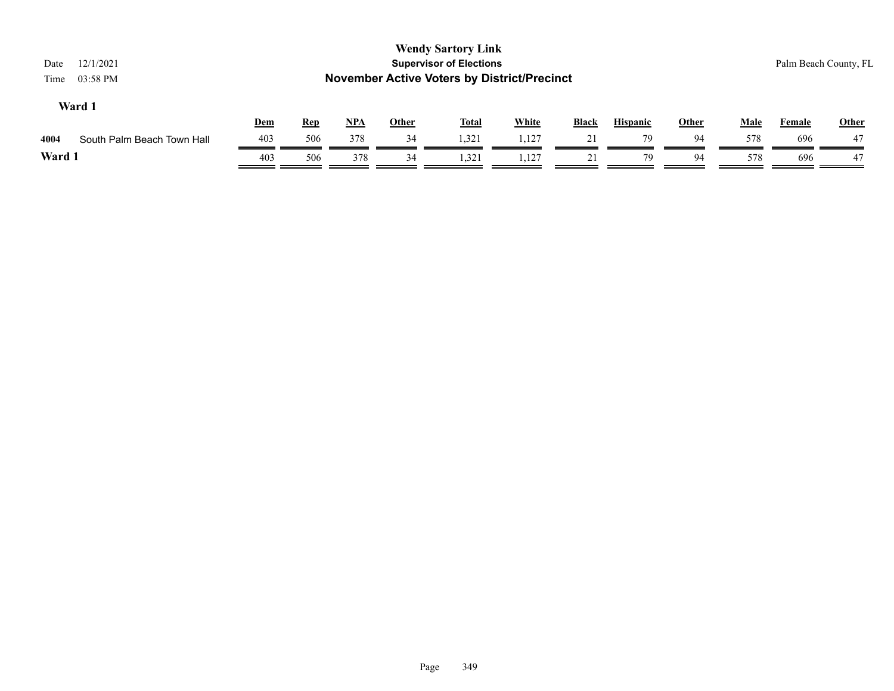| 12/1/2021<br>Date<br>03:58 PM<br>Time |     |            |            |              | <b>Wendy Sartory Link</b><br><b>Supervisor of Elections</b><br><b>November Active Voters by District/Precinct</b> |              |              |                 |              |             |               | Palm Beach County, FL |
|---------------------------------------|-----|------------|------------|--------------|-------------------------------------------------------------------------------------------------------------------|--------------|--------------|-----------------|--------------|-------------|---------------|-----------------------|
| Ward 1                                | Dem | <b>Rep</b> | <u>NPA</u> | <b>Other</b> | <b>Total</b>                                                                                                      | <b>White</b> | <b>Black</b> | <b>Hispanic</b> | <b>Other</b> | <b>Male</b> | <b>Female</b> | <b>Other</b>          |
| South Palm Beach Town Hall<br>4004    | 403 | 506        | 378        | 34           | 1,321                                                                                                             | 1,127        | 21           | 79              | 94           | 578         | 696           | 47                    |
| Ward 1                                | 403 | 506        | 378        | 34           | 1,321                                                                                                             | 1,127        | 21           | 79              | 94           | 578         | 696           | 47                    |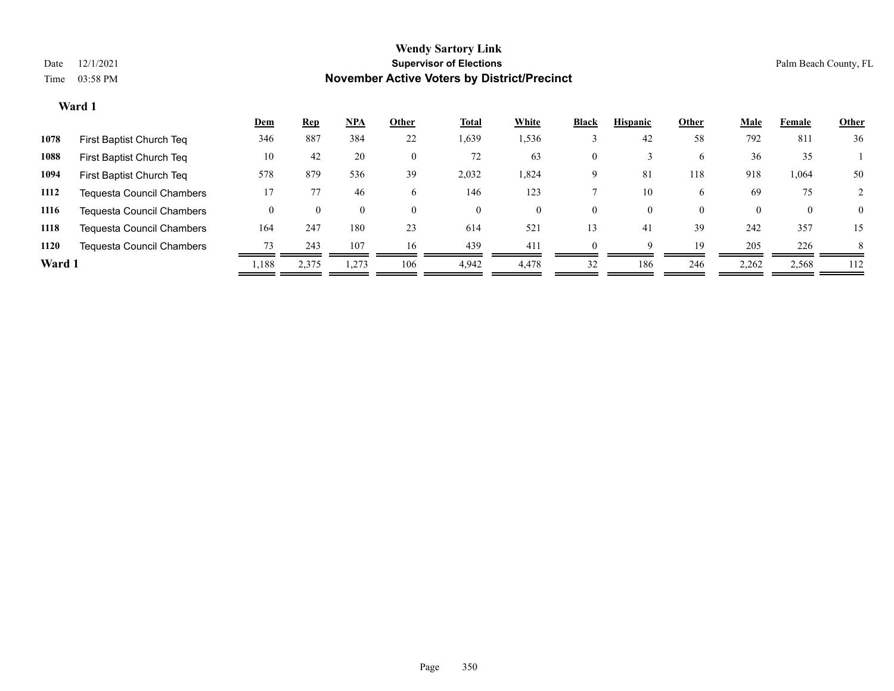|        |                                  | <u>Dem</u> | <b>Rep</b> | $NPA$              | Other        | <b>Total</b> | White    | <b>Black</b> | <b>Hispanic</b> | Other    | <b>Male</b> | Female   | <b>Other</b> |
|--------|----------------------------------|------------|------------|--------------------|--------------|--------------|----------|--------------|-----------------|----------|-------------|----------|--------------|
| 1078   | First Baptist Church Teq         | 346        | 887        | 384                | 22           | 1,639        | 1,536    |              | 42              | 58       | 792         | 811      | 36           |
| 1088   | First Baptist Church Teq         | 10         | 42         | 20                 | $\mathbf{0}$ | 72           | 63       | 0            |                 | 6        | 36          | 35       |              |
| 1094   | First Baptist Church Teq         | 578        | 879        | 536                | 39           | 2,032        | 1,824    | 9            | 81              | 118      | 918         | 1,064    | 50           |
| 1112   | Tequesta Council Chambers        | 17         |            | 46                 | 6            | 146          | 123      |              | 10              | 6        | 69          | 75       |              |
| 1116   | <b>Tequesta Council Chambers</b> |            | $\theta$   | $\left( 0 \right)$ | $\theta$     | $\theta$     | $^{(1)}$ | 0            | 0               | $\theta$ | $\theta$    | $\theta$ | $\mathbf{0}$ |
| 1118   | <b>Tequesta Council Chambers</b> | 164        | 247        | 180                | 23           | 614          | 521      | 13           | 41              | 39       | 242         | 357      | 15           |
| 1120   | Tequesta Council Chambers        | 73         | 243        | 107                | 16           | 439          | 411      |              | Q               | 19       | 205         | 226      | 8            |
| Ward 1 |                                  | 1,188      | 2,375      | 1.273              | 106          | 4,942        | 4.478    | 32           | 186             | 246      | 2,262       | 2,568    | 112          |
|        |                                  |            |            |                    |              |              |          |              |                 |          |             |          |              |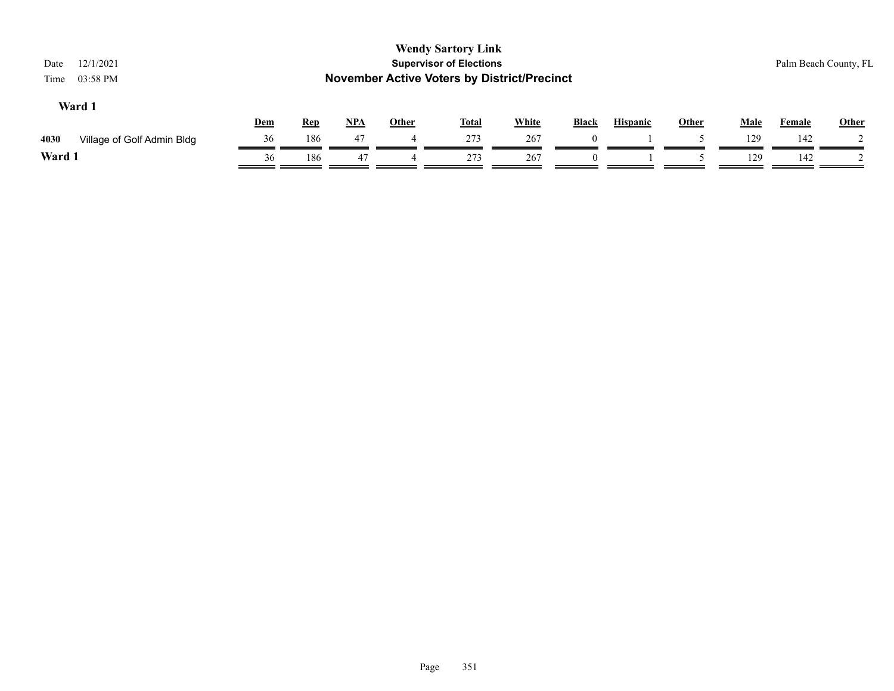| 12/1/2021<br>Date<br>03:58 PM<br>Time |     |            |            |                          | <b>Wendy Sartory Link</b><br><b>Supervisor of Elections</b><br><b>November Active Voters by District/Precinct</b> |              |              |                 |              |             | Palm Beach County, FL |              |
|---------------------------------------|-----|------------|------------|--------------------------|-------------------------------------------------------------------------------------------------------------------|--------------|--------------|-----------------|--------------|-------------|-----------------------|--------------|
| Ward 1                                | Dem | <b>Rep</b> | <u>NPA</u> | Other                    | <u>Total</u>                                                                                                      | <b>White</b> | <b>Black</b> | <b>Hispanic</b> | <b>Other</b> | <b>Male</b> | Female                | <b>Other</b> |
| 4030<br>Village of Golf Admin Bldg    | 36  | 186        | 47         | $\overline{\phantom{a}}$ | 273                                                                                                               | 267          |              |                 |              | 129         | 142                   |              |
| Ward 1                                | 36  | 186        | 47         |                          | 273                                                                                                               | 267          | $\Omega$     |                 |              | 129         | 142                   |              |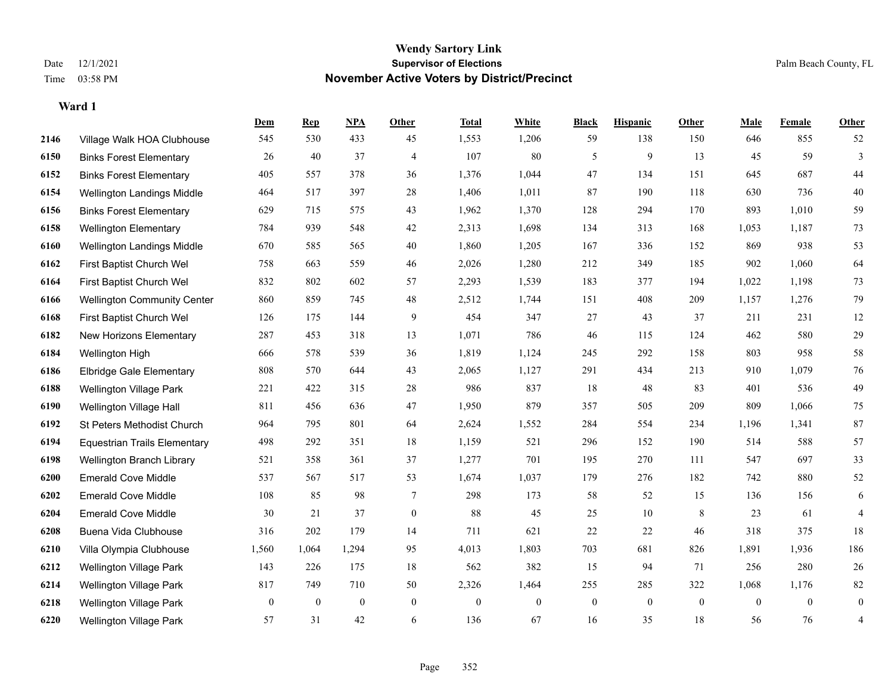|      |                                     | Dem          | <b>Rep</b>       | NPA          | <b>Other</b>   | <b>Total</b> | <b>White</b>   | <b>Black</b>   | <b>Hispanic</b> | <b>Other</b> | <b>Male</b> | <b>Female</b>  | <b>Other</b>   |
|------|-------------------------------------|--------------|------------------|--------------|----------------|--------------|----------------|----------------|-----------------|--------------|-------------|----------------|----------------|
| 2146 | Village Walk HOA Clubhouse          | 545          | 530              | 433          | 45             | 1,553        | 1,206          | 59             | 138             | 150          | 646         | 855            | 52             |
| 6150 | <b>Binks Forest Elementary</b>      | 26           | 40               | 37           | $\overline{4}$ | 107          | 80             | 5              | 9               | 13           | 45          | 59             | 3              |
| 6152 | <b>Binks Forest Elementary</b>      | 405          | 557              | 378          | 36             | 1,376        | 1,044          | 47             | 134             | 151          | 645         | 687            | 44             |
| 6154 | Wellington Landings Middle          | 464          | 517              | 397          | $28\,$         | 1,406        | 1,011          | 87             | 190             | 118          | 630         | 736            | 40             |
| 6156 | <b>Binks Forest Elementary</b>      | 629          | 715              | 575          | 43             | 1,962        | 1,370          | 128            | 294             | 170          | 893         | 1,010          | 59             |
| 6158 | <b>Wellington Elementary</b>        | 784          | 939              | 548          | 42             | 2,313        | 1,698          | 134            | 313             | 168          | 1,053       | 1,187          | 73             |
| 6160 | Wellington Landings Middle          | 670          | 585              | 565          | 40             | 1,860        | 1,205          | 167            | 336             | 152          | 869         | 938            | 53             |
| 6162 | First Baptist Church Wel            | 758          | 663              | 559          | 46             | 2,026        | 1,280          | 212            | 349             | 185          | 902         | 1,060          | 64             |
| 6164 | First Baptist Church Wel            | 832          | 802              | 602          | 57             | 2,293        | 1,539          | 183            | 377             | 194          | 1,022       | 1,198          | $73\,$         |
| 6166 | <b>Wellington Community Center</b>  | 860          | 859              | 745          | 48             | 2,512        | 1,744          | 151            | 408             | 209          | 1,157       | 1,276          | 79             |
| 6168 | First Baptist Church Wel            | 126          | 175              | 144          | 9              | 454          | 347            | 27             | 43              | 37           | 211         | 231            | 12             |
| 6182 | New Horizons Elementary             | 287          | 453              | 318          | 13             | 1,071        | 786            | 46             | 115             | 124          | 462         | 580            | 29             |
| 6184 | Wellington High                     | 666          | 578              | 539          | 36             | 1,819        | 1,124          | 245            | 292             | 158          | 803         | 958            | $58\,$         |
| 6186 | <b>Elbridge Gale Elementary</b>     | 808          | 570              | 644          | 43             | 2,065        | 1,127          | 291            | 434             | 213          | 910         | 1,079          | 76             |
| 6188 | <b>Wellington Village Park</b>      | 221          | 422              | 315          | 28             | 986          | 837            | 18             | 48              | 83           | 401         | 536            | 49             |
| 6190 | Wellington Village Hall             | 811          | 456              | 636          | 47             | 1,950        | 879            | 357            | 505             | 209          | 809         | 1,066          | $75\,$         |
| 6192 | St Peters Methodist Church          | 964          | 795              | 801          | 64             | 2,624        | 1,552          | 284            | 554             | 234          | 1,196       | 1,341          | $87\,$         |
| 6194 | <b>Equestrian Trails Elementary</b> | 498          | 292              | 351          | 18             | 1,159        | 521            | 296            | 152             | 190          | 514         | 588            | 57             |
| 6198 | Wellington Branch Library           | 521          | 358              | 361          | 37             | 1,277        | 701            | 195            | 270             | 111          | 547         | 697            | 33             |
| 6200 | <b>Emerald Cove Middle</b>          | 537          | 567              | 517          | 53             | 1,674        | 1,037          | 179            | 276             | 182          | 742         | 880            | 52             |
| 6202 | <b>Emerald Cove Middle</b>          | 108          | 85               | 98           | 7              | 298          | 173            | 58             | 52              | 15           | 136         | 156            | 6              |
| 6204 | <b>Emerald Cove Middle</b>          | 30           | 21               | 37           | $\mathbf{0}$   | 88           | 45             | 25             | 10              | 8            | 23          | 61             | $\overline{4}$ |
| 6208 | Buena Vida Clubhouse                | 316          | 202              | 179          | 14             | 711          | 621            | 22             | 22              | 46           | 318         | 375            | 18             |
| 6210 | Villa Olympia Clubhouse             | 1,560        | 1,064            | 1,294        | 95             | 4,013        | 1,803          | 703            | 681             | 826          | 1,891       | 1,936          | 186            |
| 6212 | Wellington Village Park             | 143          | 226              | 175          | 18             | 562          | 382            | 15             | 94              | 71           | 256         | 280            | 26             |
| 6214 | Wellington Village Park             | 817          | 749              | 710          | 50             | 2,326        | 1,464          | 255            | 285             | 322          | 1,068       | 1,176          | $82\,$         |
| 6218 | <b>Wellington Village Park</b>      | $\mathbf{0}$ | $\boldsymbol{0}$ | $\mathbf{0}$ | $\mathbf{0}$   | $\mathbf{0}$ | $\overline{0}$ | $\overline{0}$ | $\mathbf{0}$    | $\mathbf{0}$ | $\theta$    | $\overline{0}$ | $\bf{0}$       |
| 6220 | <b>Wellington Village Park</b>      | 57           | 31               | 42           | 6              | 136          | 67             | 16             | 35              | 18           | 56          | 76             | 4              |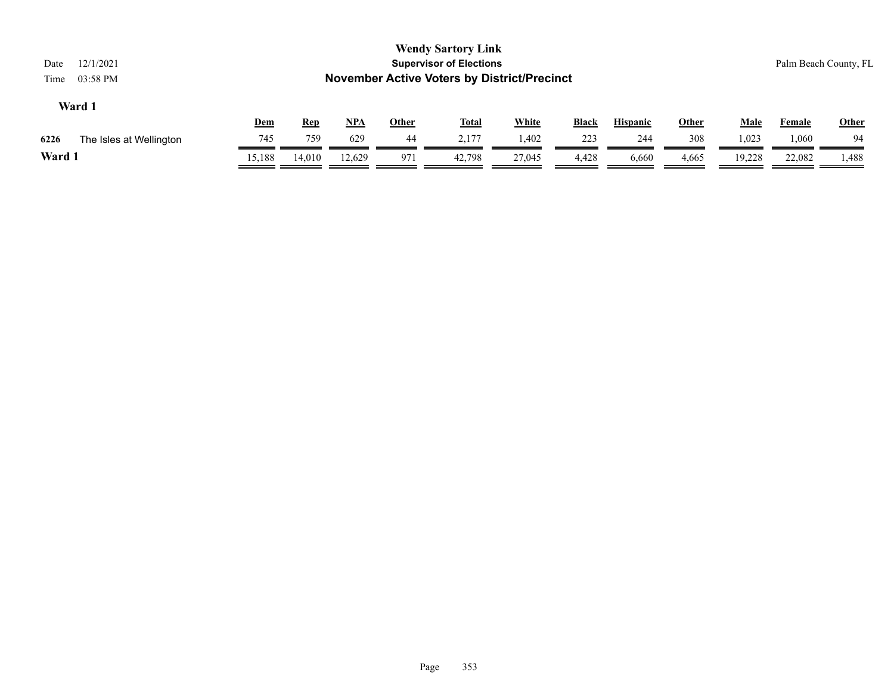| 12/1/2021<br>Date<br>03:58 PM<br>Time |            |            |        |              | <b>Wendy Sartory Link</b><br><b>Supervisor of Elections</b><br><b>November Active Voters by District/Precinct</b> |              |              |                 |              |             |               | Palm Beach County, FL |
|---------------------------------------|------------|------------|--------|--------------|-------------------------------------------------------------------------------------------------------------------|--------------|--------------|-----------------|--------------|-------------|---------------|-----------------------|
| Ward 1                                | <u>Dem</u> | <b>Rep</b> | $NPA$  | <b>Other</b> | <b>Total</b>                                                                                                      | <b>White</b> | <b>Black</b> | <b>Hispanic</b> | <b>Other</b> | <b>Male</b> | <b>Female</b> | <b>Other</b>          |
| 6226<br>The Isles at Wellington       | 745        | 759        | 629    | 44           | 2.177                                                                                                             | 1.402        | 223          | 244             | 308          | 1,023       | 1.060         | 94                    |
| Ward 1                                | 15,188     | 14,010     | 12,629 | 971          | 42,798                                                                                                            | 27,045       | 4,428        | 6,660           | 4,665        | 19,228      | 22,082        | 1,488                 |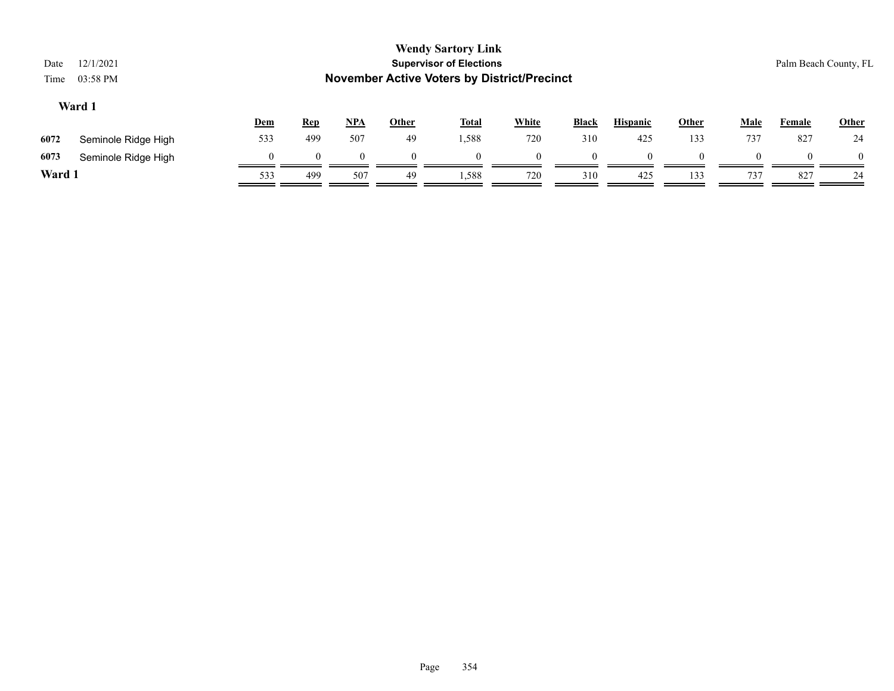| Date<br>Time                                                                                                                                                | 12/1/2021<br>03:58 PM |     |     |          |          | <b>Wendy Sartory Link</b><br><b>Supervisor of Elections</b><br><b>November Active Voters by District/Precinct</b> |     |          |     |     |     |        | Palm Beach County, FL |
|-------------------------------------------------------------------------------------------------------------------------------------------------------------|-----------------------|-----|-----|----------|----------|-------------------------------------------------------------------------------------------------------------------|-----|----------|-----|-----|-----|--------|-----------------------|
| Ward 1<br><b>White</b><br><u>NPA</u><br><b>Hispanic</b><br><b>Other</b><br><b>Total</b><br><b>Black</b><br><b>Other</b><br><b>Male</b><br>Dem<br><b>Rep</b> |                       |     |     |          |          |                                                                                                                   |     |          |     |     |     | Female | <b>Other</b>          |
| 6072                                                                                                                                                        | Seminole Ridge High   | 533 | 499 | 507      | 49       | 1,588                                                                                                             | 720 | 310      | 425 | 133 | 737 | 827    | 24                    |
| 6073                                                                                                                                                        | Seminole Ridge High   |     | 0   | $\Omega$ | $\theta$ | $\Omega$                                                                                                          |     | $\Omega$ |     |     |     |        | $\theta$              |
| Ward 1                                                                                                                                                      |                       | 533 | 499 | 507      | 49       | 1,588                                                                                                             | 720 | 310      | 425 | 133 | 737 | 827    | 24                    |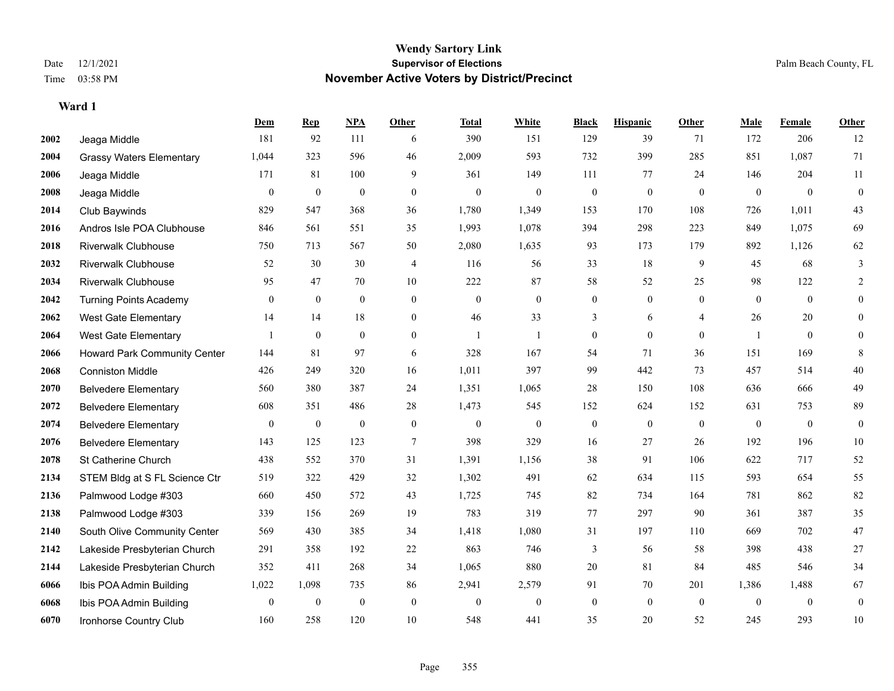**Ward 1**

#### **Wendy Sartory Link** Date 12/1/2021 **Supervisor of Elections** Palm Beach County, FL Time 03:58 PM **November Active Voters by District/Precinct**

## **Dem Rep NPA Other Total White Black Hispanic Other Male Female Other** Jeaga Middle 181 92 111 6 390 151 129 39 71 172 206 12 Grassy Waters Elementary 1,044 323 596 46 2,009 593 732 399 285 851 1,087 71 Jeaga Middle 171 81 100 9 361 149 111 77 24 146 204 11 Jeaga Middle 0 0 0 0 0 0 0 0 0 0 0 0 Club Baywinds 829 547 368 36 1,780 1,349 153 170 108 726 1,011 43 Andros Isle POA Clubhouse 846 561 551 35 1,993 1,078 394 298 223 849 1,075 69 Riverwalk Clubhouse 750 713 567 50 2,080 1,635 93 173 179 892 1,126 62 Riverwalk Clubhouse 52 30 30 4 116 56 33 18 9 45 68 3 Riverwalk Clubhouse 95 47 70 10 222 87 58 52 25 98 122 2 Turning Points Academy 0 0 0 0 0 0 0 0 0 0 0 0 West Gate Elementary 14 14 18 0 46 33 3 6 4 26 20 0 West Gate Elementary 1 0 0 0 1 1 0 0 0 1 0 0 Howard Park Community Center 144 81 97 6 328 167 54 71 36 151 169 8 Conniston Middle 426 249 320 16 1,011 397 99 442 73 457 514 40 Belvedere Elementary 560 380 387 24 1,351 1,065 28 150 108 636 666 49 Belvedere Elementary 608 351 486 28 1,473 545 152 624 152 631 753 89 Belvedere Elementary 0 0 0 0 0 0 0 0 0 0 0 0 Belvedere Elementary 143 125 123 7 398 329 16 27 26 192 196 10 St Catherine Church 438 552 370 31 1,391 1,156 38 91 106 622 717 52 STEM Bldg at S FL Science Ctr 519 322 429 32 1,302 491 62 634 115 593 654 55 Palmwood Lodge #303 660 450 572 43 1,725 745 82 734 164 781 862 82 Palmwood Lodge #303 339 156 269 19 783 319 77 297 90 361 387 35 South Olive Community Center 569 430 385 34 1,418 1,080 31 197 110 669 702 47 Lakeside Presbyterian Church 291 358 192 22 863 746 3 56 58 398 438 27 Lakeside Presbyterian Church 352 411 268 34 1,065 880 20 81 84 485 546 34 Ibis POA Admin Building 1,022 1,098 735 86 2,941 2,579 91 70 201 1,386 1,488 67 Ibis POA Admin Building 0 0 0 0 0 0 0 0 0 0 0 0

Ironhorse Country Club 160 258 120 10 548 441 35 20 52 245 293 10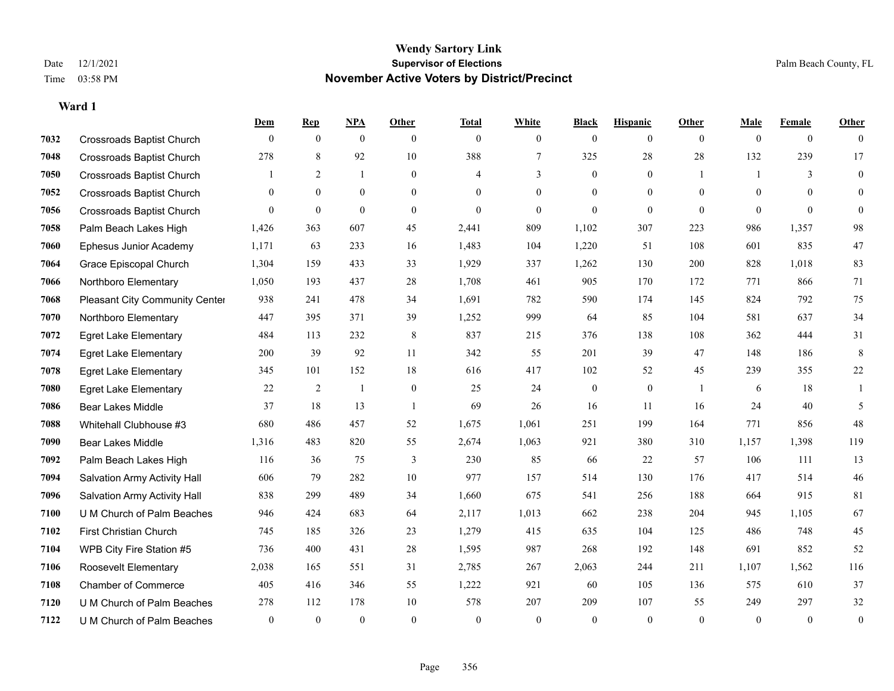|      |                                       | Dem            | <b>Rep</b>     | NPA          | <b>Other</b>   | <b>Total</b> | <b>White</b>   | <b>Black</b>     | <b>Hispanic</b> | <b>Other</b>   | <b>Male</b>    | Female         | <b>Other</b>     |
|------|---------------------------------------|----------------|----------------|--------------|----------------|--------------|----------------|------------------|-----------------|----------------|----------------|----------------|------------------|
| 7032 | <b>Crossroads Baptist Church</b>      | $\mathbf{0}$   | $\mathbf{0}$   | $\mathbf{0}$ | $\overline{0}$ | $\theta$     | $\overline{0}$ | $\mathbf{0}$     | $\overline{0}$  | $\overline{0}$ | $\theta$       | $\overline{0}$ | $\theta$         |
| 7048 | <b>Crossroads Baptist Church</b>      | 278            | 8              | 92           | 10             | 388          | $\tau$         | 325              | 28              | 28             | 132            | 239            | 17               |
| 7050 | <b>Crossroads Baptist Church</b>      |                | 2              | $\mathbf{1}$ | $\overline{0}$ | 4            | 3              | $\mathbf{0}$     | $\overline{0}$  | $\overline{1}$ | $\overline{1}$ | 3              | $\mathbf{0}$     |
| 7052 | <b>Crossroads Baptist Church</b>      | $\overline{0}$ | $\overline{0}$ | $\bf{0}$     | $\overline{0}$ | $\theta$     | $\overline{0}$ | $\mathbf{0}$     | $\overline{0}$  | $\mathbf{0}$   | $\mathbf{0}$   | $\theta$       | $\theta$         |
| 7056 | <b>Crossroads Baptist Church</b>      | $\theta$       | $\overline{0}$ | $\mathbf{0}$ | $\Omega$       | $\theta$     | $\overline{0}$ | $\theta$         | $\theta$        | $\theta$       | $\Omega$       | $\theta$       | $\theta$         |
| 7058 | Palm Beach Lakes High                 | 1,426          | 363            | 607          | 45             | 2,441        | 809            | 1,102            | 307             | 223            | 986            | 1,357          | $98\,$           |
| 7060 | Ephesus Junior Academy                | 1,171          | 63             | 233          | 16             | 1,483        | 104            | 1,220            | 51              | 108            | 601            | 835            | $47\,$           |
| 7064 | Grace Episcopal Church                | 1,304          | 159            | 433          | 33             | 1,929        | 337            | 1,262            | 130             | 200            | 828            | 1,018          | 83               |
| 7066 | Northboro Elementary                  | 1,050          | 193            | 437          | 28             | 1,708        | 461            | 905              | 170             | 172            | 771            | 866            | 71               |
| 7068 | <b>Pleasant City Community Center</b> | 938            | 241            | 478          | 34             | 1,691        | 782            | 590              | 174             | 145            | 824            | 792            | 75               |
| 7070 | Northboro Elementary                  | 447            | 395            | 371          | 39             | 1,252        | 999            | 64               | 85              | 104            | 581            | 637            | 34               |
| 7072 | <b>Egret Lake Elementary</b>          | 484            | 113            | 232          | 8              | 837          | 215            | 376              | 138             | 108            | 362            | 444            | 31               |
| 7074 | <b>Egret Lake Elementary</b>          | 200            | 39             | 92           | 11             | 342          | 55             | 201              | 39              | 47             | 148            | 186            | 8                |
| 7078 | <b>Egret Lake Elementary</b>          | 345            | 101            | 152          | 18             | 616          | 417            | 102              | 52              | 45             | 239            | 355            | $22\,$           |
| 7080 | <b>Egret Lake Elementary</b>          | 22             | 2              | $\mathbf{1}$ | $\overline{0}$ | 25           | 24             | $\boldsymbol{0}$ | $\overline{0}$  |                | 6              | 18             |                  |
| 7086 | <b>Bear Lakes Middle</b>              | 37             | 18             | 13           | $\overline{1}$ | 69           | 26             | 16               | 11              | 16             | 24             | 40             | 5                |
| 7088 | Whitehall Clubhouse #3                | 680            | 486            | 457          | 52             | 1,675        | 1,061          | 251              | 199             | 164            | 771            | 856            | $48\,$           |
| 7090 | Bear Lakes Middle                     | 1,316          | 483            | 820          | 55             | 2,674        | 1,063          | 921              | 380             | 310            | 1,157          | 1,398          | 119              |
| 7092 | Palm Beach Lakes High                 | 116            | 36             | 75           | 3              | 230          | 85             | 66               | 22              | 57             | 106            | 111            | 13               |
| 7094 | Salvation Army Activity Hall          | 606            | 79             | 282          | 10             | 977          | 157            | 514              | 130             | 176            | 417            | 514            | $46\,$           |
| 7096 | Salvation Army Activity Hall          | 838            | 299            | 489          | 34             | 1,660        | 675            | 541              | 256             | 188            | 664            | 915            | 81               |
| 7100 | U M Church of Palm Beaches            | 946            | 424            | 683          | 64             | 2,117        | 1,013          | 662              | 238             | 204            | 945            | 1,105          | 67               |
| 7102 | <b>First Christian Church</b>         | 745            | 185            | 326          | 23             | 1,279        | 415            | 635              | 104             | 125            | 486            | 748            | 45               |
| 7104 | WPB City Fire Station #5              | 736            | 400            | 431          | 28             | 1,595        | 987            | 268              | 192             | 148            | 691            | 852            | 52               |
| 7106 | Roosevelt Elementary                  | 2,038          | 165            | 551          | 31             | 2,785        | 267            | 2,063            | 244             | 211            | 1,107          | 1,562          | 116              |
| 7108 | <b>Chamber of Commerce</b>            | 405            | 416            | 346          | 55             | 1,222        | 921            | 60               | 105             | 136            | 575            | 610            | 37               |
| 7120 | U M Church of Palm Beaches            | 278            | 112            | 178          | 10             | 578          | 207            | 209              | 107             | 55             | 249            | 297            | $32\,$           |
| 7122 | U M Church of Palm Beaches            | $\mathbf{0}$   | $\mathbf{0}$   | $\mathbf{0}$ | $\theta$       | $\theta$     | $\mathbf{0}$   | $\theta$         | $\Omega$        | $\Omega$       | $\theta$       | $\theta$       | $\boldsymbol{0}$ |